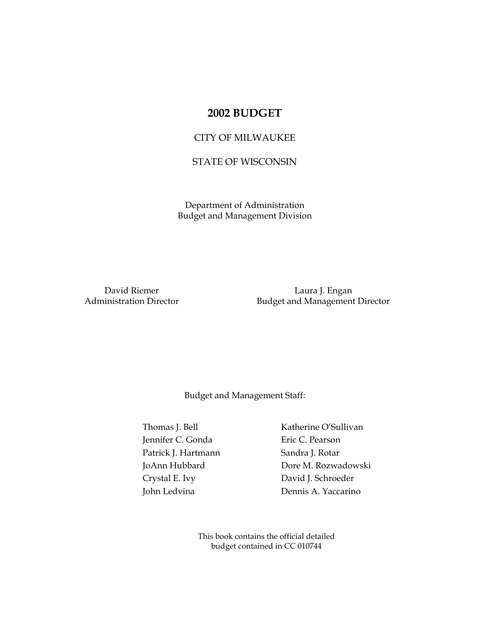# **2002 BUDGET**

## CITY OF MILWAUKEE

## STATE OF WISCONSIN

Department of Administration Budget and Management Division

David Riemer **Laura J. Engan** Administration Director **Budget and Management Director** 

Budget and Management Staff:

Thomas J. Bell Katherine O'Sullivan Jennifer C. Gonda Eric C. Pearson Patrick J. Hartmann Sandra J. Rotar Crystal E. Ivy David J. Schroeder

 JoAnn Hubbard Dore M. Rozwadowski John Ledvina Dennis A. Yaccarino

> This book contains the official detailed budget contained in CC 010744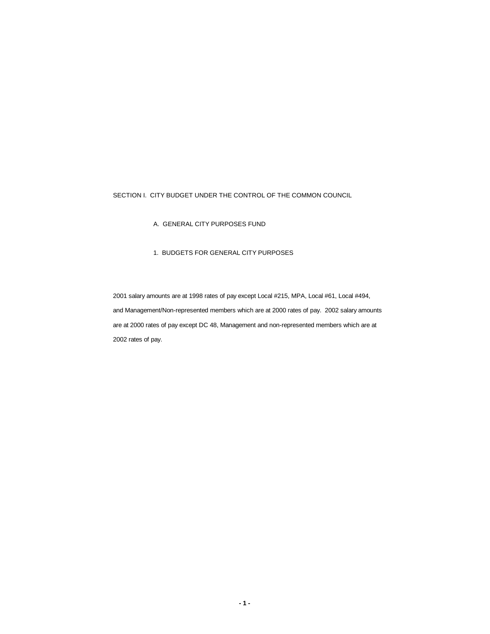#### SECTION I. CITY BUDGET UNDER THE CONTROL OF THE COMMON COUNCIL

A. GENERAL CITY PURPOSES FUND

### 1. BUDGETS FOR GENERAL CITY PURPOSES

2001 salary amounts are at 1998 rates of pay except Local #215, MPA, Local #61, Local #494, and Management/Non-represented members which are at 2000 rates of pay. 2002 salary amounts are at 2000 rates of pay except DC 48, Management and non-represented members which are at 2002 rates of pay.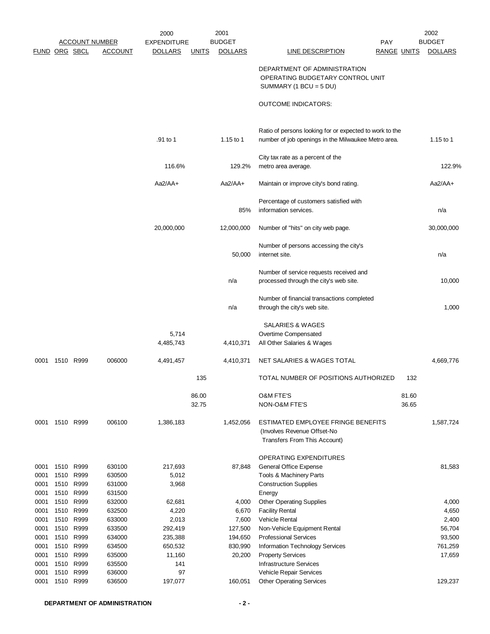|                      |              |                       |                  | 2000            |              | 2001           |                                                                                              |                    | 2002           |
|----------------------|--------------|-----------------------|------------------|-----------------|--------------|----------------|----------------------------------------------------------------------------------------------|--------------------|----------------|
|                      |              | <b>ACCOUNT NUMBER</b> |                  | EXPENDITURE     |              | <b>BUDGET</b>  | PAY                                                                                          |                    | <b>BUDGET</b>  |
| <b>FUND ORG SBCL</b> |              |                       | <u>ACCOUNT</u>   | <b>DOLLARS</b>  | <b>UNITS</b> | <b>DOLLARS</b> | <b>LINE DESCRIPTION</b>                                                                      | <u>RANGE UNITS</u> | <b>DOLLARS</b> |
|                      |              |                       |                  |                 |              |                | DEPARTMENT OF ADMINISTRATION<br>OPERATING BUDGETARY CONTROL UNIT<br>SUMMARY (1 BCU = $5$ DU) |                    |                |
|                      |              |                       |                  |                 |              |                | <b>OUTCOME INDICATORS:</b>                                                                   |                    |                |
|                      |              |                       |                  |                 |              |                | Ratio of persons looking for or expected to work to the                                      |                    |                |
|                      |              |                       |                  | .91 to 1        |              | 1.15 to 1      | number of job openings in the Milwaukee Metro area.                                          |                    | 1.15 to 1      |
|                      |              |                       |                  |                 |              |                | City tax rate as a percent of the                                                            |                    |                |
|                      |              |                       |                  | 116.6%          |              | 129.2%         | metro area average.                                                                          |                    | 122.9%         |
|                      |              |                       |                  | $Aa2/AA+$       |              | $Aa2/AA+$      | Maintain or improve city's bond rating.                                                      |                    | $Aa2/AA+$      |
|                      |              |                       |                  |                 |              |                | Percentage of customers satisfied with                                                       |                    |                |
|                      |              |                       |                  |                 |              | 85%            | information services.                                                                        |                    | n/a            |
|                      |              |                       |                  | 20,000,000      |              | 12,000,000     | Number of "hits" on city web page.                                                           |                    | 30,000,000     |
|                      |              |                       |                  |                 |              |                | Number of persons accessing the city's                                                       |                    |                |
|                      |              |                       |                  |                 |              | 50,000         | internet site.                                                                               |                    | n/a            |
|                      |              |                       |                  |                 |              |                | Number of service requests received and                                                      |                    |                |
|                      |              |                       |                  |                 |              | n/a            | processed through the city's web site.                                                       |                    | 10,000         |
|                      |              |                       |                  |                 |              |                | Number of financial transactions completed                                                   |                    |                |
|                      |              |                       |                  |                 |              | n/a            | through the city's web site.                                                                 |                    | 1,000          |
|                      |              |                       |                  |                 |              |                | SALARIES & WAGES                                                                             |                    |                |
|                      |              |                       |                  | 5,714           |              |                | Overtime Compensated                                                                         |                    |                |
|                      |              |                       |                  | 4,485,743       |              | 4,410,371      | All Other Salaries & Wages                                                                   |                    |                |
| 0001                 | 1510 R999    |                       | 006000           | 4,491,457       |              | 4,410,371      | NET SALARIES & WAGES TOTAL                                                                   |                    | 4,669,776      |
|                      |              |                       |                  |                 | 135          |                | TOTAL NUMBER OF POSITIONS AUTHORIZED                                                         | 132                |                |
|                      |              |                       |                  |                 | 86.00        |                | <b>O&amp;M FTE'S</b>                                                                         | 81.60              |                |
|                      |              |                       |                  |                 | 32.75        |                | NON-O&M FTE'S                                                                                | 36.65              |                |
| 0001                 | 1510 R999    |                       | 006100           | 1,386,183       |              | 1,452,056      | ESTIMATED EMPLOYEE FRINGE BENEFITS                                                           |                    | 1,587,724      |
|                      |              |                       |                  |                 |              |                | (Involves Revenue Offset-No                                                                  |                    |                |
|                      |              |                       |                  |                 |              |                | Transfers From This Account)                                                                 |                    |                |
|                      |              |                       |                  |                 |              |                | OPERATING EXPENDITURES                                                                       |                    |                |
| 0001                 | 1510         | R999                  | 630100           | 217,693         |              | 87,848         | General Office Expense                                                                       |                    | 81,583         |
| 0001                 | 1510         | R999                  | 630500           | 5,012           |              |                | Tools & Machinery Parts                                                                      |                    |                |
| 0001                 | 1510 R999    |                       | 631000           | 3,968           |              |                | <b>Construction Supplies</b>                                                                 |                    |                |
| 0001                 |              | 1510 R999             | 631500           |                 |              |                | Energy                                                                                       |                    |                |
| 0001<br>0001         | 1510<br>1510 | R999<br>R999          | 632000<br>632500 | 62,681<br>4,220 |              | 4,000<br>6,670 | <b>Other Operating Supplies</b><br><b>Facility Rental</b>                                    |                    | 4,000<br>4,650 |
| 0001                 | 1510         | R999                  | 633000           | 2,013           |              | 7,600          | Vehicle Rental                                                                               |                    | 2,400          |
| 0001                 | 1510         | R999                  | 633500           | 292,419         |              | 127,500        | Non-Vehicle Equipment Rental                                                                 |                    | 56,704         |
| 0001                 | 1510 R999    |                       | 634000           | 235,388         |              | 194,650        | <b>Professional Services</b>                                                                 |                    | 93,500         |
| 0001                 | 1510 R999    |                       | 634500           | 650,532         |              | 830,990        | Information Technology Services                                                              |                    | 761,259        |
| 0001                 | 1510         | R999                  | 635000           | 11,160          |              | 20,200         | <b>Property Services</b>                                                                     |                    | 17,659         |
| 0001                 | 1510         | R999                  | 635500           | 141             |              |                | <b>Infrastructure Services</b>                                                               |                    |                |
| 0001                 | 1510         | R999                  | 636000           | 97              |              |                | Vehicle Repair Services                                                                      |                    |                |
| 0001                 | 1510         | R999                  | 636500           | 197,077         |              | 160,051        | <b>Other Operating Services</b>                                                              |                    | 129,237        |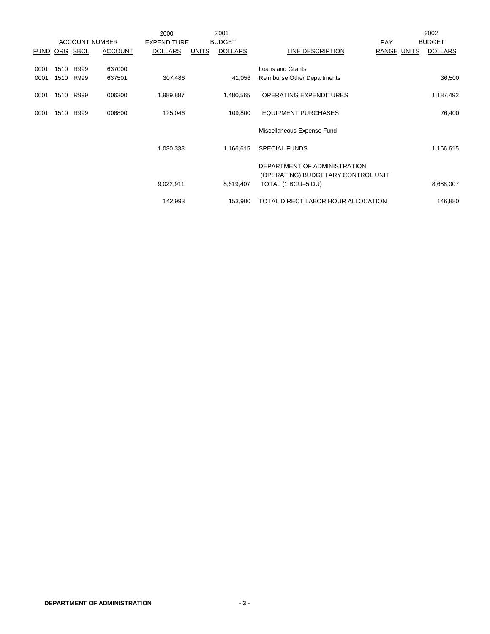|               |      |      |                       | 2000               |              | 2001           |                                    |                    | 2002           |
|---------------|------|------|-----------------------|--------------------|--------------|----------------|------------------------------------|--------------------|----------------|
|               |      |      | <b>ACCOUNT NUMBER</b> | <b>EXPENDITURE</b> |              | <b>BUDGET</b>  |                                    | <b>PAY</b>         | <b>BUDGET</b>  |
| FUND ORG SBCL |      |      | <b>ACCOUNT</b>        | <b>DOLLARS</b>     | <b>UNITS</b> | <b>DOLLARS</b> | <b>LINE DESCRIPTION</b>            | <b>RANGE UNITS</b> | <b>DOLLARS</b> |
|               |      |      |                       |                    |              |                |                                    |                    |                |
| 0001          | 1510 | R999 | 637000                |                    |              |                | Loans and Grants                   |                    |                |
| 0001          | 1510 | R999 | 637501                | 307,486            |              | 41,056         | Reimburse Other Departments        |                    | 36,500         |
|               |      |      |                       |                    |              |                |                                    |                    |                |
| 0001          | 1510 | R999 | 006300                | 1,989,887          |              | 1,480,565      | <b>OPERATING EXPENDITURES</b>      |                    | 1,187,492      |
| 0001          | 1510 | R999 | 006800                | 125,046            |              | 109,800        | <b>EQUIPMENT PURCHASES</b>         |                    | 76,400         |
|               |      |      |                       |                    |              |                |                                    |                    |                |
|               |      |      |                       |                    |              |                | Miscellaneous Expense Fund         |                    |                |
|               |      |      |                       |                    |              |                |                                    |                    |                |
|               |      |      |                       | 1,030,338          |              | 1,166,615      | <b>SPECIAL FUNDS</b>               |                    | 1,166,615      |
|               |      |      |                       |                    |              |                |                                    |                    |                |
|               |      |      |                       |                    |              |                | DEPARTMENT OF ADMINISTRATION       |                    |                |
|               |      |      |                       |                    |              |                | (OPERATING) BUDGETARY CONTROL UNIT |                    |                |
|               |      |      |                       | 9,022,911          |              | 8,619,407      | TOTAL (1 BCU=5 DU)                 |                    | 8,688,007      |
|               |      |      |                       |                    |              |                | TOTAL DIRECT LABOR HOUR ALLOCATION |                    |                |
|               |      |      |                       | 142,993            |              | 153,900        |                                    |                    | 146,880        |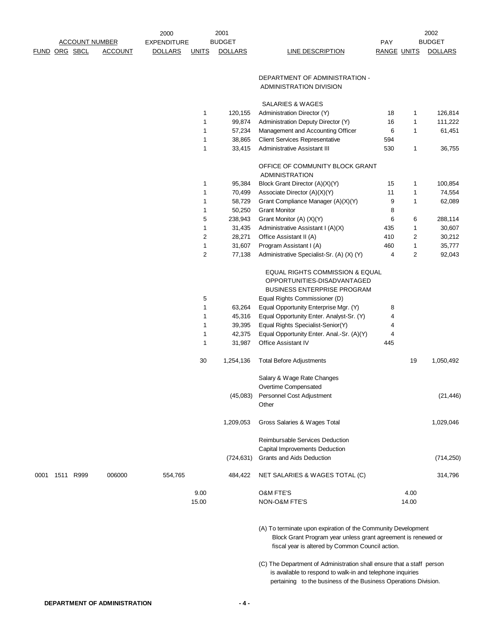|      |               |                       |                | 2000               |                              | 2001           |                                                                                                                                                                                                        |                    |       | 2002           |
|------|---------------|-----------------------|----------------|--------------------|------------------------------|----------------|--------------------------------------------------------------------------------------------------------------------------------------------------------------------------------------------------------|--------------------|-------|----------------|
|      |               | <b>ACCOUNT NUMBER</b> |                | <b>EXPENDITURE</b> |                              | <b>BUDGET</b>  |                                                                                                                                                                                                        | PAY                |       | <b>BUDGET</b>  |
|      | FUND ORG SBCL |                       | <b>ACCOUNT</b> | <b>DOLLARS</b>     | <b>UNITS</b>                 | <b>DOLLARS</b> | LINE DESCRIPTION                                                                                                                                                                                       | <b>RANGE UNITS</b> |       | <b>DOLLARS</b> |
|      |               |                       |                |                    |                              |                |                                                                                                                                                                                                        |                    |       |                |
|      |               |                       |                |                    |                              |                | DEPARTMENT OF ADMINISTRATION -                                                                                                                                                                         |                    |       |                |
|      |               |                       |                |                    |                              |                | ADMINISTRATION DIVISION                                                                                                                                                                                |                    |       |                |
|      |               |                       |                |                    |                              |                |                                                                                                                                                                                                        |                    |       |                |
|      |               |                       |                |                    |                              |                | SALARIES & WAGES                                                                                                                                                                                       |                    |       |                |
|      |               |                       |                |                    | 1                            | 120,155        | Administration Director (Y)                                                                                                                                                                            | 18                 | 1     | 126,814        |
|      |               |                       |                |                    | 1                            | 99,874         | Administration Deputy Director (Y)                                                                                                                                                                     | 16                 | 1     | 111,222        |
|      |               |                       |                |                    | 1                            | 57,234         | Management and Accounting Officer                                                                                                                                                                      | 6                  | 1     | 61,451         |
|      |               |                       |                |                    | $\mathbf{1}$<br>$\mathbf{1}$ | 38,865         | <b>Client Services Representative</b><br><b>Administrative Assistant III</b>                                                                                                                           | 594<br>530         |       |                |
|      |               |                       |                |                    |                              | 33,415         |                                                                                                                                                                                                        |                    | 1     | 36,755         |
|      |               |                       |                |                    |                              |                | OFFICE OF COMMUNITY BLOCK GRANT<br><b>ADMINISTRATION</b>                                                                                                                                               |                    |       |                |
|      |               |                       |                |                    | 1                            | 95,384         | Block Grant Director (A)(X)(Y)                                                                                                                                                                         | 15                 | 1     | 100,854        |
|      |               |                       |                |                    | 1                            | 70,499         | Associate Director (A)(X)(Y)                                                                                                                                                                           | 11                 | 1     | 74,554         |
|      |               |                       |                |                    | 1                            | 58,729         | Grant Compliance Manager (A)(X)(Y)                                                                                                                                                                     | 9                  | 1     | 62,089         |
|      |               |                       |                |                    | 1                            | 50,250         | <b>Grant Monitor</b>                                                                                                                                                                                   | 8                  |       |                |
|      |               |                       |                |                    | 5                            | 238,943        | Grant Monitor (A) (X)(Y)                                                                                                                                                                               | 6                  | 6     | 288,114        |
|      |               |                       |                |                    | 1                            | 31,435         | Administrative Assistant I (A)(X)                                                                                                                                                                      | 435                | 1     | 30,607         |
|      |               |                       |                |                    | $\sqrt{2}$                   | 28,271         | Office Assistant II (A)                                                                                                                                                                                | 410                | 2     | 30,212         |
|      |               |                       |                |                    | 1                            | 31,607         | Program Assistant I (A)                                                                                                                                                                                | 460                | 1     | 35,777         |
|      |               |                       |                |                    | $\overline{2}$               | 77,138         | Administrative Specialist-Sr. (A) (X) (Y)                                                                                                                                                              | 4                  | 2     | 92,043         |
|      |               |                       |                |                    |                              |                | EQUAL RIGHTS COMMISSION & EQUAL<br>OPPORTUNITIES-DISADVANTAGED                                                                                                                                         |                    |       |                |
|      |               |                       |                |                    |                              |                | BUSINESS ENTERPRISE PROGRAM                                                                                                                                                                            |                    |       |                |
|      |               |                       |                |                    | 5                            |                | Equal Rights Commissioner (D)                                                                                                                                                                          |                    |       |                |
|      |               |                       |                |                    | $\mathbf{1}$                 | 63,264         | Equal Opportunity Enterprise Mgr. (Y)                                                                                                                                                                  | 8                  |       |                |
|      |               |                       |                |                    | 1                            | 45,316         | Equal Opportunity Enter. Analyst-Sr. (Y)                                                                                                                                                               | 4                  |       |                |
|      |               |                       |                |                    | $\mathbf{1}$                 | 39,395         | Equal Rights Specialist-Senior(Y)                                                                                                                                                                      | 4                  |       |                |
|      |               |                       |                |                    | 1                            | 42,375         | Equal Opportunity Enter. Anal.-Sr. (A)(Y)                                                                                                                                                              | 4                  |       |                |
|      |               |                       |                |                    | 1                            | 31,987         | <b>Office Assistant IV</b>                                                                                                                                                                             | 445                |       |                |
|      |               |                       |                |                    | 30                           | 1,254,136      | <b>Total Before Adjustments</b>                                                                                                                                                                        |                    | 19    | 1,050,492      |
|      |               |                       |                |                    |                              |                | Salary & Wage Rate Changes                                                                                                                                                                             |                    |       |                |
|      |               |                       |                |                    |                              |                | Overtime Compensated                                                                                                                                                                                   |                    |       |                |
|      |               |                       |                |                    |                              | (45,083)       | Personnel Cost Adjustment                                                                                                                                                                              |                    |       | (21, 446)      |
|      |               |                       |                |                    |                              |                | Other                                                                                                                                                                                                  |                    |       |                |
|      |               |                       |                |                    |                              | 1,209,053      | Gross Salaries & Wages Total                                                                                                                                                                           |                    |       | 1,029,046      |
|      |               |                       |                |                    |                              |                | <b>Reimbursable Services Deduction</b>                                                                                                                                                                 |                    |       |                |
|      |               |                       |                |                    |                              |                | Capital Improvements Deduction                                                                                                                                                                         |                    |       |                |
|      |               |                       |                |                    |                              | (724, 631)     | Grants and Aids Deduction                                                                                                                                                                              |                    |       | (714, 250)     |
| 0001 | 1511 R999     |                       | 006000         | 554,765            |                              | 484,422        | NET SALARIES & WAGES TOTAL (C)                                                                                                                                                                         |                    |       | 314,796        |
|      |               |                       |                |                    | 9.00                         |                | <b>O&amp;M FTE'S</b>                                                                                                                                                                                   |                    | 4.00  |                |
|      |               |                       |                |                    | 15.00                        |                | NON-O&M FTE'S                                                                                                                                                                                          |                    | 14.00 |                |
|      |               |                       |                |                    |                              |                |                                                                                                                                                                                                        |                    |       |                |
|      |               |                       |                |                    |                              |                | (A) To terminate upon expiration of the Community Development<br>Block Grant Program year unless grant agreement is renewed or<br>fiscal year is altered by Common Council action.                     |                    |       |                |
|      |               |                       |                |                    |                              |                | (C) The Department of Administration shall ensure that a staff person<br>is available to respond to walk-in and telephone inquiries<br>pertaining to the business of the Business Operations Division. |                    |       |                |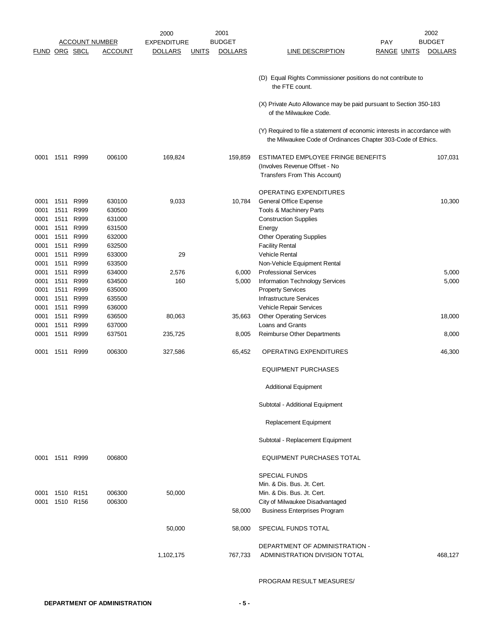|                              |                              |                              |                                      | 2000               |              | 2001           |                                                                                                                                                            |                    | 2002           |
|------------------------------|------------------------------|------------------------------|--------------------------------------|--------------------|--------------|----------------|------------------------------------------------------------------------------------------------------------------------------------------------------------|--------------------|----------------|
|                              |                              |                              | <b>ACCOUNT NUMBER</b>                | <b>EXPENDITURE</b> |              | <b>BUDGET</b>  |                                                                                                                                                            | <b>PAY</b>         | <b>BUDGET</b>  |
| <b>FUND ORG SBCL</b>         |                              |                              | <u>ACCOUNT</u>                       | <b>DOLLARS</b>     | <u>UNITS</u> | <b>DOLLARS</b> | <b>LINE DESCRIPTION</b>                                                                                                                                    | <u>RANGE UNITS</u> | <b>DOLLARS</b> |
|                              |                              |                              |                                      |                    |              |                | (D) Equal Rights Commissioner positions do not contribute to<br>the FTE count.                                                                             |                    |                |
|                              |                              |                              |                                      |                    |              |                | (X) Private Auto Allowance may be paid pursuant to Section 350-183<br>of the Milwaukee Code.                                                               |                    |                |
|                              |                              |                              |                                      |                    |              |                | (Y) Required to file a statement of economic interests in accordance with<br>the Milwaukee Code of Ordinances Chapter 303-Code of Ethics.                  |                    |                |
| 0001                         |                              | 1511 R999                    | 006100                               | 169,824            |              | 159,859        | ESTIMATED EMPLOYEE FRINGE BENEFITS<br>(Involves Revenue Offset - No<br>Transfers From This Account)                                                        |                    | 107,031        |
| 0001<br>0001                 | 1511<br>1511                 | R999<br>R999                 | 630100<br>630500                     | 9,033              |              | 10,784         | <b>OPERATING EXPENDITURES</b><br>General Office Expense<br>Tools & Machinery Parts                                                                         |                    | 10,300         |
| 0001<br>0001<br>0001<br>0001 | 1511<br>1511<br>1511<br>1511 | R999<br>R999<br>R999<br>R999 | 631000<br>631500<br>632000<br>632500 |                    |              |                | <b>Construction Supplies</b><br>Energy<br><b>Other Operating Supplies</b><br><b>Facility Rental</b>                                                        |                    |                |
| 0001<br>0001<br>0001         | 1511<br>1511<br>1511         | R999<br>R999<br>R999         | 633000<br>633500<br>634000           | 29<br>2,576        |              | 6,000          | <b>Vehicle Rental</b><br>Non-Vehicle Equipment Rental<br><b>Professional Services</b>                                                                      |                    | 5,000          |
| 0001<br>0001<br>0001         | 1511<br>1511<br>1511         | R999<br>R999<br>R999         | 634500<br>635000<br>635500           | 160                |              | 5,000          | Information Technology Services<br><b>Property Services</b><br><b>Infrastructure Services</b>                                                              |                    | 5,000          |
| 0001<br>0001<br>0001         | 1511<br>1511<br>1511         | R999<br>R999<br>R999         | 636000<br>636500<br>637000           | 80,063             |              | 35,663         | Vehicle Repair Services<br><b>Other Operating Services</b><br>Loans and Grants                                                                             |                    | 18,000         |
| 0001                         | 1511                         | R999                         | 637501                               | 235,725            |              | 8,005          | Reimburse Other Departments                                                                                                                                |                    | 8,000          |
| 0001                         | 1511                         | R999                         | 006300                               | 327,586            |              | 65,452         | <b>OPERATING EXPENDITURES</b>                                                                                                                              |                    | 46,300         |
|                              |                              |                              |                                      |                    |              |                | <b>EQUIPMENT PURCHASES</b>                                                                                                                                 |                    |                |
|                              |                              |                              |                                      |                    |              |                | <b>Additional Equipment</b>                                                                                                                                |                    |                |
|                              |                              |                              |                                      |                    |              |                | Subtotal - Additional Equipment                                                                                                                            |                    |                |
|                              |                              |                              |                                      |                    |              |                | Replacement Equipment                                                                                                                                      |                    |                |
|                              |                              |                              |                                      |                    |              |                | Subtotal - Replacement Equipment                                                                                                                           |                    |                |
|                              | 0001 1511 R999               |                              | 006800                               |                    |              |                | <b>EQUIPMENT PURCHASES TOTAL</b>                                                                                                                           |                    |                |
| 0001<br>0001                 |                              | 1510 R151<br>1510 R156       | 006300<br>006300                     | 50,000             |              | 58,000         | <b>SPECIAL FUNDS</b><br>Min. & Dis. Bus. Jt. Cert.<br>Min. & Dis. Bus. Jt. Cert.<br>City of Milwaukee Disadvantaged<br><b>Business Enterprises Program</b> |                    |                |
|                              |                              |                              |                                      | 50,000             |              | 58,000         | SPECIAL FUNDS TOTAL                                                                                                                                        |                    |                |
|                              |                              |                              |                                      | 1,102,175          |              | 767,733        | DEPARTMENT OF ADMINISTRATION -<br>ADMINISTRATION DIVISION TOTAL                                                                                            |                    | 468,127        |

PROGRAM RESULT MEASURES/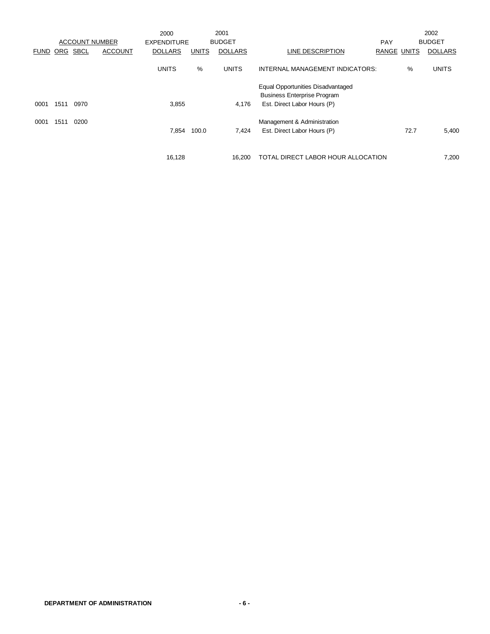|             |      | <b>ACCOUNT NUMBER</b> |                | 2000<br><b>EXPENDITURE</b> |              | 2001<br><b>BUDGET</b> |                                                                                                               | PAY                |      | 2002<br><b>BUDGET</b> |
|-------------|------|-----------------------|----------------|----------------------------|--------------|-----------------------|---------------------------------------------------------------------------------------------------------------|--------------------|------|-----------------------|
| <b>FUND</b> | ORG  | <b>SBCL</b>           | <b>ACCOUNT</b> | <b>DOLLARS</b>             | <b>UNITS</b> | <b>DOLLARS</b>        | LINE DESCRIPTION                                                                                              | <b>RANGE UNITS</b> |      | <b>DOLLARS</b>        |
|             |      |                       |                | <b>UNITS</b>               | $\%$         | <b>UNITS</b>          | INTERNAL MANAGEMENT INDICATORS:                                                                               |                    | %    | <b>UNITS</b>          |
| 0001        | 1511 | 0970                  |                | 3,855                      |              | 4,176                 | <b>Equal Opportunities Disadvantaged</b><br><b>Business Enterprise Program</b><br>Est. Direct Labor Hours (P) |                    |      |                       |
| 0001        | 1511 | 0200                  |                | 7,854                      | 100.0        | 7,424                 | Management & Administration<br>Est. Direct Labor Hours (P)                                                    |                    | 72.7 | 5,400                 |
|             |      |                       |                | 16,128                     |              | 16.200                | TOTAL DIRECT LABOR HOUR ALLOCATION                                                                            |                    |      | 7,200                 |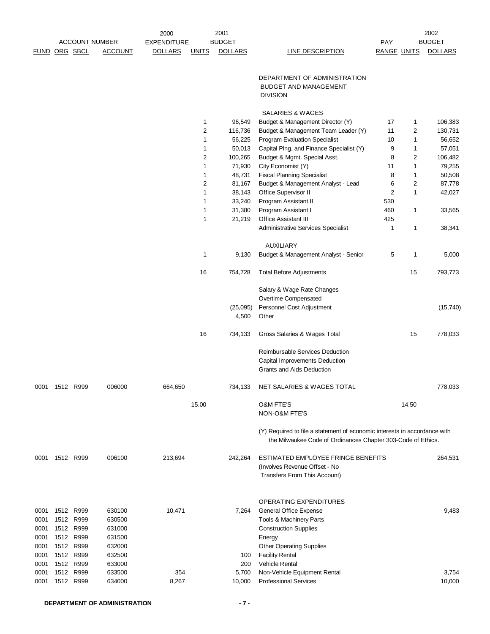|               |           |                        |                       | 2000               |              | 2001              |                                                                                                                                           |                    |       | 2002           |
|---------------|-----------|------------------------|-----------------------|--------------------|--------------|-------------------|-------------------------------------------------------------------------------------------------------------------------------------------|--------------------|-------|----------------|
|               |           |                        | <b>ACCOUNT NUMBER</b> | <b>EXPENDITURE</b> |              | <b>BUDGET</b>     |                                                                                                                                           | PAY                |       | <b>BUDGET</b>  |
| FUND ORG SBCL |           |                        | <b>ACCOUNT</b>        | <b>DOLLARS</b>     | <b>UNITS</b> | <b>DOLLARS</b>    | LINE DESCRIPTION                                                                                                                          | <b>RANGE UNITS</b> |       | <b>DOLLARS</b> |
|               |           |                        |                       |                    |              |                   | DEPARTMENT OF ADMINISTRATION<br><b>BUDGET AND MANAGEMENT</b>                                                                              |                    |       |                |
|               |           |                        |                       |                    |              |                   | <b>DIVISION</b>                                                                                                                           |                    |       |                |
|               |           |                        |                       |                    |              |                   | SALARIES & WAGES                                                                                                                          |                    |       |                |
|               |           |                        |                       |                    | 1            | 96,549            | Budget & Management Director (Y)                                                                                                          | 17                 | 1     | 106,383        |
|               |           |                        |                       |                    | 2            | 116,736           | Budget & Management Team Leader (Y)                                                                                                       | 11                 | 2     | 130,731        |
|               |           |                        |                       |                    | 1            | 56,225            | <b>Program Evaluation Specialist</b>                                                                                                      | 10                 | 1     | 56,652         |
|               |           |                        |                       |                    | 1            | 50,013            | Capital Plng. and Finance Specialist (Y)                                                                                                  | 9                  | 1     | 57,051         |
|               |           |                        |                       |                    | 2            | 100,265           | Budget & Mgmt. Special Asst.                                                                                                              | 8                  | 2     | 106,482        |
|               |           |                        |                       |                    | $\mathbf{1}$ | 71,930            | City Economist (Y)                                                                                                                        | 11                 | 1     | 79,255         |
|               |           |                        |                       |                    | 1            | 48,731            | <b>Fiscal Planning Specialist</b>                                                                                                         | 8                  | 1     | 50,508         |
|               |           |                        |                       |                    | 2            | 81,167            | Budget & Management Analyst - Lead                                                                                                        | 6                  | 2     | 87,778         |
|               |           |                        |                       |                    | 1<br>1       | 38,143<br>33,240  | Office Supervisor II<br>Program Assistant II                                                                                              | 2<br>530           | 1     | 42,027         |
|               |           |                        |                       |                    | 1            | 31,380            | Program Assistant I                                                                                                                       | 460                | 1     | 33,565         |
|               |           |                        |                       |                    | 1            | 21,219            | <b>Office Assistant III</b>                                                                                                               | 425                |       |                |
|               |           |                        |                       |                    |              |                   | Administrative Services Specialist                                                                                                        | $\mathbf{1}$       | 1     | 38,341         |
|               |           |                        |                       |                    |              |                   |                                                                                                                                           |                    |       |                |
|               |           |                        |                       |                    | 1            | 9,130             | <b>AUXILIARY</b><br>Budget & Management Analyst - Senior                                                                                  | 5                  | 1     | 5,000          |
|               |           |                        |                       |                    |              |                   |                                                                                                                                           |                    |       |                |
|               |           |                        |                       |                    | 16           | 754,728           | <b>Total Before Adjustments</b>                                                                                                           |                    | 15    | 793,773        |
|               |           |                        |                       |                    |              |                   | Salary & Wage Rate Changes                                                                                                                |                    |       |                |
|               |           |                        |                       |                    |              |                   | Overtime Compensated                                                                                                                      |                    |       |                |
|               |           |                        |                       |                    |              | (25,095)<br>4,500 | Personnel Cost Adjustment<br>Other                                                                                                        |                    |       | (15, 740)      |
|               |           |                        |                       |                    | 16           | 734,133           | Gross Salaries & Wages Total                                                                                                              |                    | 15    | 778,033        |
|               |           |                        |                       |                    |              |                   | Reimbursable Services Deduction                                                                                                           |                    |       |                |
|               |           |                        |                       |                    |              |                   | Capital Improvements Deduction                                                                                                            |                    |       |                |
|               |           |                        |                       |                    |              |                   | Grants and Aids Deduction                                                                                                                 |                    |       |                |
| 0001          | 1512 R999 |                        | 006000                | 664,650            |              | 734,133           | NET SALARIES & WAGES TOTAL                                                                                                                |                    |       | 778,033        |
|               |           |                        |                       |                    | 15.00        |                   | <b>O&amp;M FTE'S</b>                                                                                                                      |                    | 14.50 |                |
|               |           |                        |                       |                    |              |                   | NON-O&M FTE'S                                                                                                                             |                    |       |                |
|               |           |                        |                       |                    |              |                   | (Y) Required to file a statement of economic interests in accordance with<br>the Milwaukee Code of Ordinances Chapter 303-Code of Ethics. |                    |       |                |
| 0001          | 1512 R999 |                        | 006100                | 213,694            |              | 242,264           | ESTIMATED EMPLOYEE FRINGE BENEFITS<br>(Involves Revenue Offset - No<br>Transfers From This Account)                                       |                    |       | 264,531        |
|               |           |                        |                       |                    |              |                   |                                                                                                                                           |                    |       |                |
|               |           |                        |                       |                    |              |                   | OPERATING EXPENDITURES                                                                                                                    |                    |       |                |
| 0001          | 1512 R999 |                        | 630100                | 10,471             |              | 7,264             | General Office Expense                                                                                                                    |                    |       | 9,483          |
| 0001          |           | 1512 R999              | 630500                |                    |              |                   | Tools & Machinery Parts                                                                                                                   |                    |       |                |
| 0001          |           | 1512 R999              | 631000                |                    |              |                   | <b>Construction Supplies</b>                                                                                                              |                    |       |                |
| 0001<br>0001  |           | 1512 R999<br>1512 R999 | 631500<br>632000      |                    |              |                   | Energy<br><b>Other Operating Supplies</b>                                                                                                 |                    |       |                |
| 0001          | 1512      | R999                   | 632500                |                    |              | 100               | <b>Facility Rental</b>                                                                                                                    |                    |       |                |
| 0001          |           | 1512 R999              | 633000                |                    |              | 200               | Vehicle Rental                                                                                                                            |                    |       |                |
| 0001          |           | 1512 R999              | 633500                | 354                |              | 5,700             | Non-Vehicle Equipment Rental                                                                                                              |                    |       | 3,754          |
| 0001          |           | 1512 R999              | 634000                | 8,267              |              | 10,000            | <b>Professional Services</b>                                                                                                              |                    |       | 10,000         |
|               |           |                        |                       |                    |              |                   |                                                                                                                                           |                    |       |                |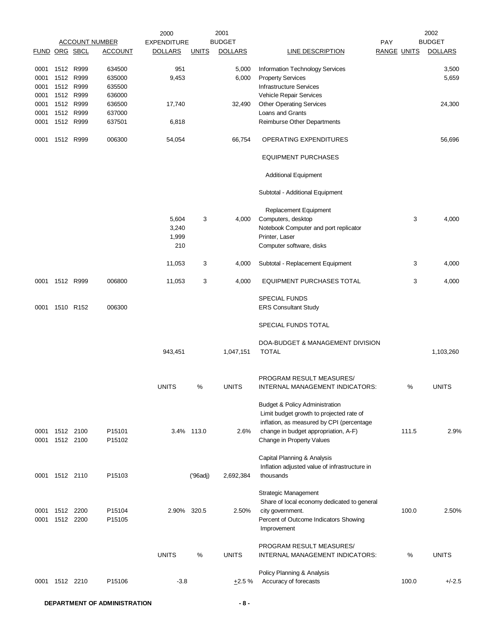|                |           |      |                       | 2000               |              | 2001           |                                               |                    |       | 2002           |
|----------------|-----------|------|-----------------------|--------------------|--------------|----------------|-----------------------------------------------|--------------------|-------|----------------|
|                |           |      | <b>ACCOUNT NUMBER</b> | <b>EXPENDITURE</b> |              | <b>BUDGET</b>  |                                               | <b>PAY</b>         |       | <b>BUDGET</b>  |
| FUND ORG SBCL  |           |      | <b>ACCOUNT</b>        | <b>DOLLARS</b>     | <b>UNITS</b> | <b>DOLLARS</b> | <b>LINE DESCRIPTION</b>                       | <b>RANGE UNITS</b> |       | <b>DOLLARS</b> |
| 0001           | 1512 R999 |      | 634500                | 951                |              | 5,000          | Information Technology Services               |                    |       | 3,500          |
| 0001           | 1512 R999 |      | 635000                | 9,453              |              | 6,000          | <b>Property Services</b>                      |                    |       | 5,659          |
| 0001           | 1512      | R999 | 635500                |                    |              |                | <b>Infrastructure Services</b>                |                    |       |                |
| 0001           | 1512 R999 |      | 636000                |                    |              |                | Vehicle Repair Services                       |                    |       |                |
| 0001           | 1512 R999 |      | 636500                | 17,740             |              | 32,490         | <b>Other Operating Services</b>               |                    |       | 24,300         |
| 0001           | 1512 R999 |      | 637000                |                    |              |                | Loans and Grants                              |                    |       |                |
| 0001           | 1512 R999 |      | 637501                | 6,818              |              |                | Reimburse Other Departments                   |                    |       |                |
|                |           |      |                       |                    |              |                |                                               |                    |       |                |
| 0001           | 1512 R999 |      | 006300                | 54,054             |              | 66,754         | OPERATING EXPENDITURES                        |                    |       | 56,696         |
|                |           |      |                       |                    |              |                | <b>EQUIPMENT PURCHASES</b>                    |                    |       |                |
|                |           |      |                       |                    |              |                | <b>Additional Equipment</b>                   |                    |       |                |
|                |           |      |                       |                    |              |                | Subtotal - Additional Equipment               |                    |       |                |
|                |           |      |                       | 5,604              | 3            | 4,000          | Replacement Equipment<br>Computers, desktop   |                    | 3     | 4,000          |
|                |           |      |                       | 3,240              |              |                | Notebook Computer and port replicator         |                    |       |                |
|                |           |      |                       | 1,999              |              |                | Printer, Laser                                |                    |       |                |
|                |           |      |                       | 210                |              |                | Computer software, disks                      |                    |       |                |
|                |           |      |                       |                    |              |                |                                               |                    |       |                |
|                |           |      |                       | 11,053             | 3            | 4,000          | Subtotal - Replacement Equipment              |                    | 3     | 4,000          |
| 0001           | 1512 R999 |      | 006800                | 11,053             | 3            | 4,000          | EQUIPMENT PURCHASES TOTAL                     |                    | 3     | 4,000          |
|                |           |      |                       |                    |              |                | <b>SPECIAL FUNDS</b>                          |                    |       |                |
| 0001           | 1510 R152 |      | 006300                |                    |              |                | <b>ERS Consultant Study</b>                   |                    |       |                |
|                |           |      |                       |                    |              |                | SPECIAL FUNDS TOTAL                           |                    |       |                |
|                |           |      |                       |                    |              |                | DOA-BUDGET & MANAGEMENT DIVISION              |                    |       |                |
|                |           |      |                       | 943,451            |              | 1,047,151      | <b>TOTAL</b>                                  |                    |       | 1,103,260      |
|                |           |      |                       |                    |              |                | PROGRAM RESULT MEASURES/                      |                    |       |                |
|                |           |      |                       | <b>UNITS</b>       | %            | <b>UNITS</b>   | INTERNAL MANAGEMENT INDICATORS:               |                    | %     | <b>UNITS</b>   |
|                |           |      |                       |                    |              |                | <b>Budget &amp; Policy Administration</b>     |                    |       |                |
|                |           |      |                       |                    |              |                | Limit budget growth to projected rate of      |                    |       |                |
|                |           |      |                       |                    |              |                | inflation, as measured by CPI (percentage     |                    |       |                |
| 0001           | 1512 2100 |      | P15101                |                    | 3.4% 113.0   | 2.6%           | change in budget appropriation, A-F)          |                    | 111.5 | 2.9%           |
| 0001           | 1512 2100 |      | P15102                |                    |              |                | Change in Property Values                     |                    |       |                |
|                |           |      |                       |                    |              |                |                                               |                    |       |                |
|                |           |      |                       |                    |              |                | Capital Planning & Analysis                   |                    |       |                |
|                |           |      |                       |                    |              |                | Inflation adjusted value of infrastructure in |                    |       |                |
| 0001 1512 2110 |           |      | P15103                |                    | ('96adj)     | 2,692,384      | thousands                                     |                    |       |                |
|                |           |      |                       |                    |              |                | <b>Strategic Management</b>                   |                    |       |                |
|                |           |      |                       |                    |              |                | Share of local economy dedicated to general   |                    |       |                |
| 0001           | 1512 2200 |      | P15104                | 2.90% 320.5        |              | 2.50%          | city government.                              |                    | 100.0 | 2.50%          |
| 0001           | 1512 2200 |      | P15105                |                    |              |                | Percent of Outcome Indicators Showing         |                    |       |                |
|                |           |      |                       |                    |              |                | Improvement                                   |                    |       |                |
|                |           |      |                       |                    |              |                |                                               |                    |       |                |
|                |           |      |                       |                    |              |                | PROGRAM RESULT MEASURES/                      |                    |       |                |
|                |           |      |                       | <b>UNITS</b>       | $\%$         | <b>UNITS</b>   | INTERNAL MANAGEMENT INDICATORS:               |                    | $\%$  | <b>UNITS</b>   |
|                |           |      |                       |                    |              |                | Policy Planning & Analysis                    |                    |       |                |
| 0001           | 1512 2210 |      | P15106                | $-3.8$             |              | $+2.5%$        | Accuracy of forecasts                         |                    | 100.0 | $+/-2.5$       |
|                |           |      |                       |                    |              |                |                                               |                    |       |                |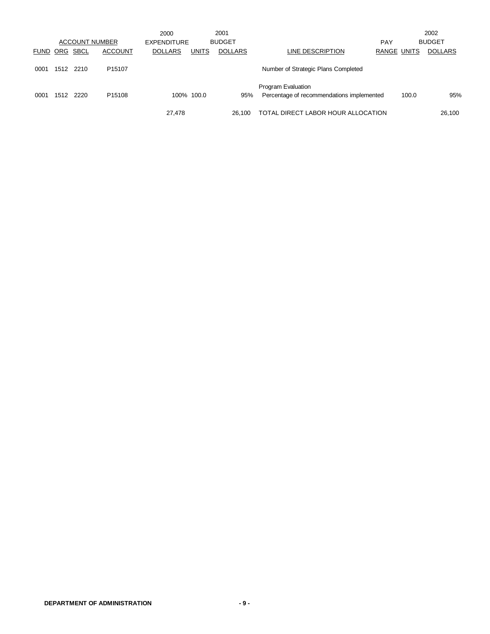|             |                 |           |                       | 2000           |              | 2001           |                                           |             |       | 2002           |
|-------------|-----------------|-----------|-----------------------|----------------|--------------|----------------|-------------------------------------------|-------------|-------|----------------|
|             |                 |           | <b>ACCOUNT NUMBER</b> | EXPENDITURE    |              | <b>BUDGET</b>  |                                           | <b>PAY</b>  |       | <b>BUDGET</b>  |
| <b>FUND</b> | <u>ORG SBCL</u> |           | <b>ACCOUNT</b>        | <b>DOLLARS</b> | <b>UNITS</b> | <b>DOLLARS</b> | LINE DESCRIPTION                          | RANGE UNITS |       | <b>DOLLARS</b> |
|             |                 |           |                       |                |              |                |                                           |             |       |                |
| 0001        |                 | 1512 2210 | P <sub>15107</sub>    |                |              |                | Number of Strategic Plans Completed       |             |       |                |
|             |                 |           |                       |                |              |                |                                           |             |       |                |
|             |                 |           |                       |                |              |                | Program Evaluation                        |             |       |                |
| 0001        | 1512            | 2220      | P <sub>15108</sub>    |                | 100% 100.0   | 95%            | Percentage of recommendations implemented |             | 100.0 | 95%            |
|             |                 |           |                       |                |              |                |                                           |             |       |                |
|             |                 |           |                       | 27,478         |              | 26.100         | TOTAL DIRECT LABOR HOUR ALLOCATION        |             |       | 26,100         |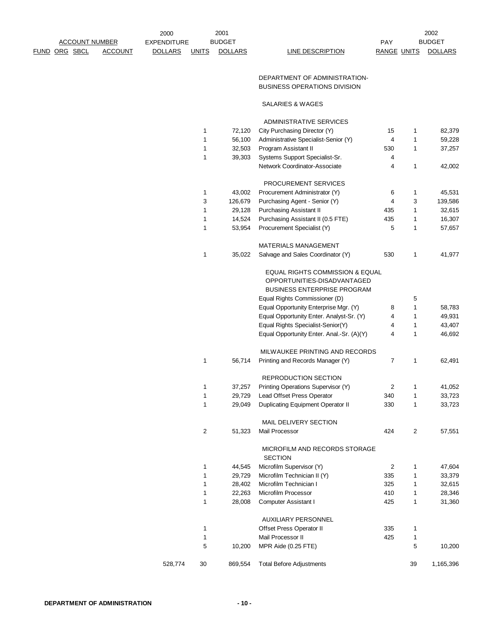|                      | <b>ACCOUNT NUMBER</b> |                | <b>EXPENDITURE</b> |                | <b>BUDGET</b>  |                                                                      | PAY                |            | <b>BUDGET</b>  |
|----------------------|-----------------------|----------------|--------------------|----------------|----------------|----------------------------------------------------------------------|--------------------|------------|----------------|
| <b>FUND ORG SBCL</b> |                       | <b>ACCOUNT</b> | <b>DOLLARS</b>     | <b>UNITS</b>   | <b>DOLLARS</b> | LINE DESCRIPTION                                                     | <b>RANGE UNITS</b> |            | <b>DOLLARS</b> |
|                      |                       |                |                    |                |                | DEPARTMENT OF ADMINISTRATION-<br><b>BUSINESS OPERATIONS DIVISION</b> |                    |            |                |
|                      |                       |                |                    |                |                | SALARIES & WAGES                                                     |                    |            |                |
|                      |                       |                |                    |                |                | ADMINISTRATIVE SERVICES                                              |                    |            |                |
|                      |                       |                |                    | 1              | 72,120         | City Purchasing Director (Y)                                         | 15                 | 1          | 82,379         |
|                      |                       |                |                    | $\mathbf{1}$   | 56,100         | Administrative Specialist-Senior (Y)                                 | $\overline{4}$     | 1          | 59,228         |
|                      |                       |                |                    | $\mathbf{1}$   | 32,503         | Program Assistant II                                                 | 530                | 1          | 37,257         |
|                      |                       |                |                    | $\mathbf{1}$   | 39,303         | Systems Support Specialist-Sr.                                       | 4                  |            |                |
|                      |                       |                |                    |                |                | Network Coordinator-Associate                                        | 4                  | 1          | 42,002         |
|                      |                       |                |                    |                |                | PROCUREMENT SERVICES                                                 |                    |            |                |
|                      |                       |                |                    | 1              | 43,002         | Procurement Administrator (Y)                                        | 6                  | 1          | 45,531         |
|                      |                       |                |                    | 3              | 126,679        | Purchasing Agent - Senior (Y)                                        | 4                  | 3          | 139,586        |
|                      |                       |                |                    | 1              | 29,128         | <b>Purchasing Assistant II</b>                                       | 435                | 1          | 32,615         |
|                      |                       |                |                    | 1              | 14,524         | Purchasing Assistant II (0.5 FTE)                                    | 435                | 1          | 16,307         |
|                      |                       |                |                    | $\mathbf{1}$   | 53,954         | Procurement Specialist (Y)                                           | 5                  | 1          | 57,657         |
|                      |                       |                |                    |                |                | <b>MATERIALS MANAGEMENT</b>                                          |                    |            |                |
|                      |                       |                |                    | 1              | 35,022         | Salvage and Sales Coordinator (Y)                                    | 530                | 1          | 41,977         |
|                      |                       |                |                    |                |                | EQUAL RIGHTS COMMISSION & EQUAL                                      |                    |            |                |
|                      |                       |                |                    |                |                | OPPORTUNITIES-DISADVANTAGED                                          |                    |            |                |
|                      |                       |                |                    |                |                | BUSINESS ENTERPRISE PROGRAM                                          |                    |            |                |
|                      |                       |                |                    |                |                | Equal Rights Commissioner (D)                                        |                    | 5          |                |
|                      |                       |                |                    |                |                | Equal Opportunity Enterprise Mgr. (Y)                                | 8                  | 1          | 58,783         |
|                      |                       |                |                    |                |                | Equal Opportunity Enter. Analyst-Sr. (Y)                             | 4                  | 1          | 49,931         |
|                      |                       |                |                    |                |                | Equal Rights Specialist-Senior(Y)                                    | 4                  | 1          | 43,407         |
|                      |                       |                |                    |                |                | Equal Opportunity Enter. Anal.-Sr. (A)(Y)                            | 4                  | 1          | 46,692         |
|                      |                       |                |                    |                |                | MILWAUKEE PRINTING AND RECORDS                                       |                    |            |                |
|                      |                       |                |                    | $\mathbf{1}$   | 56,714         | Printing and Records Manager (Y)                                     | 7                  | 1          | 62,491         |
|                      |                       |                |                    |                |                |                                                                      |                    |            |                |
|                      |                       |                |                    |                |                | REPRODUCTION SECTION                                                 |                    |            |                |
|                      |                       |                |                    | 1              | 37,257         | Printing Operations Supervisor (Y)                                   | 2                  | 1          | 41,052         |
|                      |                       |                |                    | 1              | 29,729         | Lead Offset Press Operator                                           | 340                | 1          | 33,723         |
|                      |                       |                |                    | $\mathbf{1}$   | 29,049         | Duplicating Equipment Operator II                                    | 330                | 1          | 33,723         |
|                      |                       |                |                    |                |                | MAIL DELIVERY SECTION                                                |                    |            |                |
|                      |                       |                |                    | $\overline{c}$ | 51,323         | Mail Processor                                                       | 424                | $\sqrt{2}$ | 57,551         |
|                      |                       |                |                    |                |                | MICROFILM AND RECORDS STORAGE<br><b>SECTION</b>                      |                    |            |                |
|                      |                       |                |                    | 1              | 44,545         | Microfilm Supervisor (Y)                                             | 2                  | 1          | 47,604         |
|                      |                       |                |                    | 1              | 29,729         | Microfilm Technician II (Y)                                          | 335                | 1          | 33,379         |
|                      |                       |                |                    | $\mathbf 1$    | 28,402         | Microfilm Technician I                                               | 325                | 1          | 32,615         |
|                      |                       |                |                    | 1              | 22,263         | Microfilm Processor                                                  | 410                | 1          | 28,346         |
|                      |                       |                |                    | $\mathbf{1}$   | 28,008         | <b>Computer Assistant I</b>                                          | 425                | 1          | 31,360         |
|                      |                       |                |                    |                |                | <b>AUXILIARY PERSONNEL</b>                                           |                    |            |                |
|                      |                       |                |                    | 1              |                | Offset Press Operator II                                             | 335                | 1          |                |
|                      |                       |                |                    | $\mathbf{1}$   |                | Mail Processor II                                                    | 425                | 1          |                |
|                      |                       |                |                    | 5              | 10,200         | MPR Aide (0.25 FTE)                                                  |                    | 5          | 10,200         |
|                      |                       |                | 528,774            | 30             | 869,554        | <b>Total Before Adjustments</b>                                      |                    | 39         | 1,165,396      |

2002

2000

2001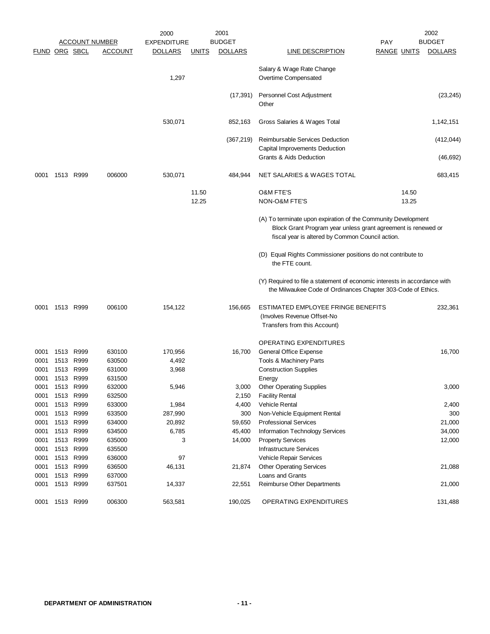|                      |                |           |                       | 2000               |              | 2001           |                                                                                                                                                                                    |                    |       | 2002           |
|----------------------|----------------|-----------|-----------------------|--------------------|--------------|----------------|------------------------------------------------------------------------------------------------------------------------------------------------------------------------------------|--------------------|-------|----------------|
|                      |                |           | <b>ACCOUNT NUMBER</b> | <b>EXPENDITURE</b> |              | <b>BUDGET</b>  |                                                                                                                                                                                    | PAY                |       | <b>BUDGET</b>  |
| <b>FUND ORG SBCL</b> |                |           | <u>ACCOUNT</u>        | <b>DOLLARS</b>     | <u>UNITS</u> | <b>DOLLARS</b> | <b>LINE DESCRIPTION</b>                                                                                                                                                            | <b>RANGE UNITS</b> |       | <b>DOLLARS</b> |
|                      |                |           |                       | 1,297              |              |                | Salary & Wage Rate Change<br>Overtime Compensated                                                                                                                                  |                    |       |                |
|                      |                |           |                       |                    |              | (17, 391)      | Personnel Cost Adjustment<br>Other                                                                                                                                                 |                    |       | (23, 245)      |
|                      |                |           |                       | 530,071            |              | 852,163        | Gross Salaries & Wages Total                                                                                                                                                       |                    |       | 1,142,151      |
|                      |                |           |                       |                    |              | (367, 219)     | <b>Reimbursable Services Deduction</b>                                                                                                                                             |                    |       | (412, 044)     |
|                      |                |           |                       |                    |              |                | Capital Improvements Deduction                                                                                                                                                     |                    |       |                |
|                      |                |           |                       |                    |              |                | Grants & Aids Deduction                                                                                                                                                            |                    |       | (46, 692)      |
| 0001                 | 1513 R999      |           | 006000                | 530,071            |              | 484,944        | NET SALARIES & WAGES TOTAL                                                                                                                                                         |                    |       | 683,415        |
|                      |                |           |                       |                    | 11.50        |                | <b>O&amp;M FTE'S</b>                                                                                                                                                               |                    | 14.50 |                |
|                      |                |           |                       |                    | 12.25        |                | NON-O&M FTE'S                                                                                                                                                                      |                    | 13.25 |                |
|                      |                |           |                       |                    |              |                | (A) To terminate upon expiration of the Community Development<br>Block Grant Program year unless grant agreement is renewed or<br>fiscal year is altered by Common Council action. |                    |       |                |
|                      |                |           |                       |                    |              |                | (D) Equal Rights Commissioner positions do not contribute to<br>the FTE count.                                                                                                     |                    |       |                |
|                      |                |           |                       |                    |              |                | (Y) Required to file a statement of economic interests in accordance with<br>the Milwaukee Code of Ordinances Chapter 303-Code of Ethics.                                          |                    |       |                |
| 0001                 | 1513 R999      |           | 006100                | 154,122            |              | 156,665        | ESTIMATED EMPLOYEE FRINGE BENEFITS<br>(Involves Revenue Offset-No<br>Transfers from this Account)                                                                                  |                    |       | 232,361        |
|                      |                |           |                       |                    |              |                | <b>OPERATING EXPENDITURES</b>                                                                                                                                                      |                    |       |                |
| 0001                 | 1513 R999      |           | 630100                | 170,956            |              | 16,700         | General Office Expense                                                                                                                                                             |                    |       | 16,700         |
| 0001                 | 1513           | R999      | 630500                | 4,492              |              |                | Tools & Machinery Parts                                                                                                                                                            |                    |       |                |
| 0001                 | 1513           | R999      | 631000                | 3,968              |              |                | <b>Construction Supplies</b>                                                                                                                                                       |                    |       |                |
| 0001                 |                | 1513 R999 | 631500                |                    |              |                | Energy                                                                                                                                                                             |                    |       |                |
| 0001                 | 1513           | R999      | 632000                | 5,946              |              | 3,000          | <b>Other Operating Supplies</b>                                                                                                                                                    |                    |       | 3,000          |
| 0001                 | 1513 R999      |           | 632500                |                    |              | 2,150          | <b>Facility Rental</b>                                                                                                                                                             |                    |       |                |
| 0001                 | 1513 R999      |           | 633000                | 1,984              |              | 4,400          | Vehicle Rental                                                                                                                                                                     |                    |       | 2,400          |
| 0001                 | 1513 R999      |           | 633500                | 287,990            |              | 300            | Non-Vehicle Equipment Rental                                                                                                                                                       |                    |       | 300            |
| 0001                 | 1513 R999      |           | 634000                | 20,892             |              | 59,650         | <b>Professional Services</b>                                                                                                                                                       |                    |       | 21,000         |
| 0001                 | 1513 R999      |           | 634500                | 6,785              |              | 45,400         | Information Technology Services                                                                                                                                                    |                    |       | 34,000         |
| 0001                 | 1513 R999      |           | 635000                | 3                  |              | 14,000         | <b>Property Services</b>                                                                                                                                                           |                    |       | 12,000         |
| 0001                 | 1513 R999      |           | 635500                |                    |              |                | <b>Infrastructure Services</b>                                                                                                                                                     |                    |       |                |
| 0001                 | 1513 R999      |           | 636000                | 97                 |              |                | Vehicle Repair Services                                                                                                                                                            |                    |       |                |
| 0001                 | 1513 R999      |           | 636500                | 46,131             |              | 21,874         | <b>Other Operating Services</b>                                                                                                                                                    |                    |       | 21,088         |
| 0001                 | 1513 R999      |           | 637000                |                    |              |                | Loans and Grants                                                                                                                                                                   |                    |       |                |
| 0001                 | 1513 R999      |           | 637501                | 14,337             |              | 22,551         | Reimburse Other Departments                                                                                                                                                        |                    |       | 21,000         |
|                      | 0001 1513 R999 |           | 006300                | 563,581            |              | 190,025        | OPERATING EXPENDITURES                                                                                                                                                             |                    |       | 131,488        |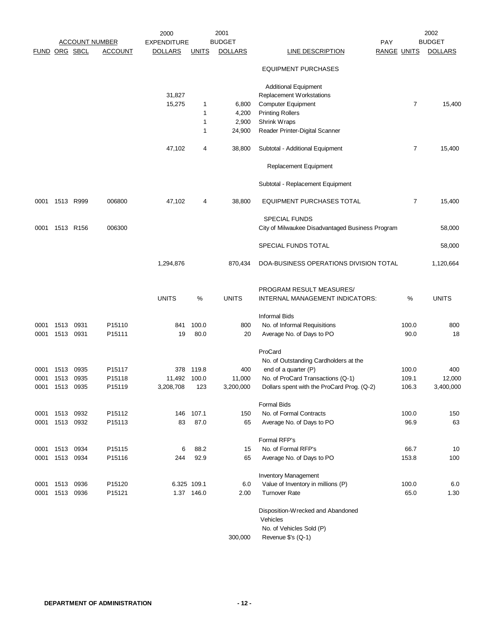|                      |      |           |                       | 2000               |              | 2001            |                                                  |                    | 2002           |
|----------------------|------|-----------|-----------------------|--------------------|--------------|-----------------|--------------------------------------------------|--------------------|----------------|
|                      |      |           | <b>ACCOUNT NUMBER</b> | <b>EXPENDITURE</b> |              | <b>BUDGET</b>   |                                                  | PAY                | <b>BUDGET</b>  |
| <b>FUND ORG SBCL</b> |      |           | <b>ACCOUNT</b>        | <b>DOLLARS</b>     | <b>UNITS</b> | <b>DOLLARS</b>  | LINE DESCRIPTION                                 | <b>RANGE UNITS</b> | <b>DOLLARS</b> |
|                      |      |           |                       |                    |              |                 | <b>EQUIPMENT PURCHASES</b>                       |                    |                |
|                      |      |           |                       |                    |              |                 | <b>Additional Equipment</b>                      |                    |                |
|                      |      |           |                       | 31,827             |              |                 | Replacement Workstations                         |                    |                |
|                      |      |           |                       | 15,275             | 1            | 6,800           | <b>Computer Equipment</b>                        | $\overline{7}$     | 15,400         |
|                      |      |           |                       |                    | 1            | 4,200           | <b>Printing Rollers</b>                          |                    |                |
|                      |      |           |                       |                    | 1<br>1       | 2,900<br>24,900 | Shrink Wraps<br>Reader Printer-Digital Scanner   |                    |                |
|                      |      |           |                       |                    |              |                 |                                                  |                    |                |
|                      |      |           |                       | 47,102             | 4            | 38,800          | Subtotal - Additional Equipment                  | 7                  | 15,400         |
|                      |      |           |                       |                    |              |                 | Replacement Equipment                            |                    |                |
|                      |      |           |                       |                    |              |                 | Subtotal - Replacement Equipment                 |                    |                |
| 0001                 |      | 1513 R999 | 006800                | 47,102             | 4            | 38,800          | <b>EQUIPMENT PURCHASES TOTAL</b>                 | 7                  | 15,400         |
|                      |      |           |                       |                    |              |                 | <b>SPECIAL FUNDS</b>                             |                    |                |
| 0001                 |      | 1513 R156 | 006300                |                    |              |                 | City of Milwaukee Disadvantaged Business Program |                    | 58,000         |
|                      |      |           |                       |                    |              |                 | SPECIAL FUNDS TOTAL                              |                    | 58,000         |
|                      |      |           |                       | 1,294,876          |              | 870,434         | DOA-BUSINESS OPERATIONS DIVISION TOTAL           |                    | 1,120,664      |
|                      |      |           |                       |                    |              |                 | PROGRAM RESULT MEASURES/                         |                    |                |
|                      |      |           |                       | <b>UNITS</b>       | %            | <b>UNITS</b>    | INTERNAL MANAGEMENT INDICATORS:                  | %                  | <b>UNITS</b>   |
|                      |      |           |                       |                    |              |                 | <b>Informal Bids</b>                             |                    |                |
| 0001                 | 1513 | 0931      | P15110                | 841                | 100.0        | 800             | No. of Informal Requisitions                     | 100.0              | 800            |
| 0001                 | 1513 | 0931      | P15111                | 19                 | 80.0         | 20              | Average No. of Days to PO                        | 90.0               | 18             |
|                      |      |           |                       |                    |              |                 | ProCard                                          |                    |                |
|                      |      |           |                       |                    |              |                 | No. of Outstanding Cardholders at the            |                    |                |
| 0001                 | 1513 | 0935      | P15117                | 378                | 119.8        | 400             | end of a quarter (P)                             | 100.0              | 400            |
| 0001                 | 1513 | 0935      | P15118                | 11,492             | 100.0        | 11,000          | No. of ProCard Transactions (Q-1)                | 109.1              | 12,000         |
| 0001                 | 1513 | 0935      | P15119                | 3,208,708          | 123          | 3,200,000       | Dollars spent with the ProCard Prog. (Q-2)       | 106.3              | 3,400,000      |
|                      |      |           |                       |                    |              |                 | <b>Formal Bids</b>                               |                    |                |
| 0001                 | 1513 | 0932      | P15112                | 146                | 107.1        | 150             | No. of Formal Contracts                          | 100.0              | 150            |
| 0001                 | 1513 | 0932      | P15113                | 83                 | 87.0         | 65              | Average No. of Days to PO                        | 96.9               | 63             |
|                      |      |           |                       |                    |              |                 | Formal RFP's                                     |                    |                |
| 0001                 | 1513 | 0934      | P15115                | 6                  | 88.2         | 15              | No. of Formal RFP's                              | 66.7               | 10             |
| 0001                 | 1513 | 0934      | P15116                | 244                | 92.9         | 65              | Average No. of Days to PO                        | 153.8              | 100            |
|                      |      |           |                       |                    |              |                 | <b>Inventory Management</b>                      |                    |                |
| 0001                 | 1513 | 0936      | P15120                |                    | 6.325 109.1  | 6.0             | Value of Inventory in millions (P)               | 100.0              | 6.0            |
| 0001                 | 1513 | 0936      | P15121                |                    | 1.37 146.0   | 2.00            | <b>Turnover Rate</b>                             | 65.0               | 1.30           |
|                      |      |           |                       |                    |              |                 | Disposition-Wrecked and Abandoned<br>Vehicles    |                    |                |
|                      |      |           |                       |                    |              |                 | No. of Vehicles Sold (P)                         |                    |                |
|                      |      |           |                       |                    |              | 300,000         | Revenue \$'s (Q-1)                               |                    |                |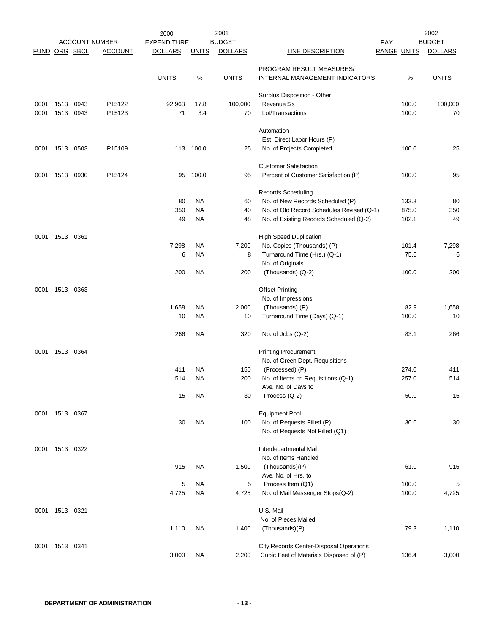|               |           |      |                       | 2000               |              | 2001           |                                                |                    |       | 2002           |
|---------------|-----------|------|-----------------------|--------------------|--------------|----------------|------------------------------------------------|--------------------|-------|----------------|
|               |           |      | <b>ACCOUNT NUMBER</b> | <b>EXPENDITURE</b> |              | <b>BUDGET</b>  |                                                | PAY                |       | <b>BUDGET</b>  |
| FUND ORG SBCL |           |      | <b>ACCOUNT</b>        | <b>DOLLARS</b>     | <b>UNITS</b> | <b>DOLLARS</b> | <b>LINE DESCRIPTION</b>                        | <b>RANGE UNITS</b> |       | <b>DOLLARS</b> |
|               |           |      |                       |                    |              |                | PROGRAM RESULT MEASURES/                       |                    |       |                |
|               |           |      |                       | <b>UNITS</b>       | $\%$         | <b>UNITS</b>   | INTERNAL MANAGEMENT INDICATORS:                |                    | %     | <b>UNITS</b>   |
|               |           |      |                       |                    |              |                | Surplus Disposition - Other                    |                    |       |                |
| 0001          | 1513      | 0943 | P <sub>15122</sub>    | 92,963             | 17.8         | 100,000        | Revenue \$'s                                   |                    | 100.0 | 100,000        |
| 0001          | 1513      | 0943 | P <sub>15123</sub>    | 71                 | 3.4          | 70             | Lot/Transactions                               |                    | 100.0 | 70             |
|               |           |      |                       |                    |              |                | Automation                                     |                    |       |                |
|               |           |      |                       |                    |              |                | Est. Direct Labor Hours (P)                    |                    |       |                |
| 0001          | 1513      | 0503 | P15109                |                    | 113 100.0    | 25             | No. of Projects Completed                      |                    | 100.0 | 25             |
|               |           |      |                       |                    |              |                | <b>Customer Satisfaction</b>                   |                    |       |                |
| 0001          | 1513      | 0930 | P15124                | 95                 | 100.0        | 95             | Percent of Customer Satisfaction (P)           |                    | 100.0 | 95             |
|               |           |      |                       |                    |              |                |                                                |                    |       |                |
|               |           |      |                       |                    |              |                | Records Scheduling                             |                    |       |                |
|               |           |      |                       | 80                 | <b>NA</b>    | 60             | No. of New Records Scheduled (P)               |                    | 133.3 | 80             |
|               |           |      |                       | 350                | <b>NA</b>    | 40             | No. of Old Record Schedules Revised (Q-1)      |                    | 875.0 | 350            |
|               |           |      |                       | 49                 | <b>NA</b>    | 48             | No. of Existing Records Scheduled (Q-2)        |                    | 102.1 | 49             |
| 0001          | 1513 0361 |      |                       |                    |              |                | <b>High Speed Duplication</b>                  |                    |       |                |
|               |           |      |                       | 7,298              | NA           | 7,200          | No. Copies (Thousands) (P)                     |                    | 101.4 | 7,298          |
|               |           |      |                       | 6                  | NA           | 8              | Turnaround Time (Hrs.) (Q-1)                   |                    | 75.0  | 6              |
|               |           |      |                       |                    |              |                | No. of Originals                               |                    |       |                |
|               |           |      |                       | 200                | NA           | 200            | (Thousands) (Q-2)                              |                    | 100.0 | 200            |
| 0001          | 1513      | 0363 |                       |                    |              |                | <b>Offset Printing</b>                         |                    |       |                |
|               |           |      |                       |                    |              |                |                                                |                    |       |                |
|               |           |      |                       |                    |              |                | No. of Impressions                             |                    |       |                |
|               |           |      |                       | 1,658              | NA           | 2,000          | (Thousands) (P)                                |                    | 82.9  | 1,658          |
|               |           |      |                       | 10                 | <b>NA</b>    | 10             | Turnaround Time (Days) (Q-1)                   |                    | 100.0 | 10             |
|               |           |      |                       | 266                | NA           | 320            | No. of Jobs (Q-2)                              |                    | 83.1  | 266            |
| 0001          | 1513 0364 |      |                       |                    |              |                | <b>Printing Procurement</b>                    |                    |       |                |
|               |           |      |                       |                    |              |                | No. of Green Dept. Requisitions                |                    |       |                |
|               |           |      |                       | 411                | <b>NA</b>    | 150            | (Processed) (P)                                |                    | 274.0 | 411            |
|               |           |      |                       | 514                | <b>NA</b>    | 200            | No. of Items on Requisitions (Q-1)             |                    | 257.0 | 514            |
|               |           |      |                       |                    |              |                | Ave. No. of Days to                            |                    |       |                |
|               |           |      |                       | 15                 | <b>NA</b>    | 30             | Process (Q-2)                                  |                    | 50.0  | 15             |
| 0001          | 1513 0367 |      |                       |                    |              |                | <b>Equipment Pool</b>                          |                    |       |                |
|               |           |      |                       | 30                 | <b>NA</b>    | 100            | No. of Requests Filled (P)                     |                    | 30.0  | 30             |
|               |           |      |                       |                    |              |                | No. of Requests Not Filled (Q1)                |                    |       |                |
|               |           |      |                       |                    |              |                |                                                |                    |       |                |
| 0001          | 1513 0322 |      |                       |                    |              |                | Interdepartmental Mail<br>No. of Items Handled |                    |       |                |
|               |           |      |                       | 915                | <b>NA</b>    | 1,500          | (Thousands)(P)                                 |                    | 61.0  | 915            |
|               |           |      |                       |                    |              |                | Ave. No. of Hrs. to                            |                    |       |                |
|               |           |      |                       | 5                  | NA           | 5              | Process Item (Q1)                              |                    | 100.0 | 5              |
|               |           |      |                       | 4,725              | <b>NA</b>    | 4,725          | No. of Mail Messenger Stops(Q-2)               |                    | 100.0 | 4,725          |
|               |           |      |                       |                    |              |                |                                                |                    |       |                |
| 0001          | 1513 0321 |      |                       |                    |              |                | U.S. Mail                                      |                    |       |                |
|               |           |      |                       |                    |              |                | No. of Pieces Mailed                           |                    |       |                |
|               |           |      |                       | 1,110              | <b>NA</b>    | 1,400          | (Thousands)(P)                                 |                    | 79.3  | 1,110          |
| 0001          | 1513 0341 |      |                       |                    |              |                | City Records Center-Disposal Operations        |                    |       |                |
|               |           |      |                       | 3,000              | <b>NA</b>    | 2,200          | Cubic Feet of Materials Disposed of (P)        |                    | 136.4 | 3,000          |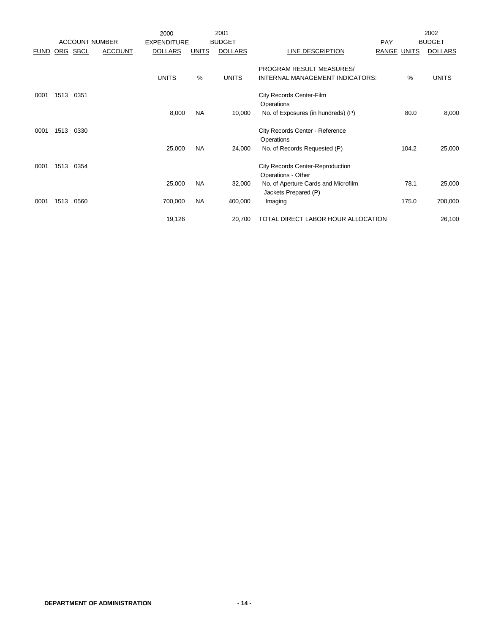|             |            |                       |                | 2000               |              | 2001           |                                                               |                    |       | 2002           |
|-------------|------------|-----------------------|----------------|--------------------|--------------|----------------|---------------------------------------------------------------|--------------------|-------|----------------|
|             |            | <b>ACCOUNT NUMBER</b> |                | <b>EXPENDITURE</b> |              | <b>BUDGET</b>  |                                                               | <b>PAY</b>         |       | <b>BUDGET</b>  |
| <u>FUND</u> | <b>ORG</b> | <b>SBCL</b>           | <b>ACCOUNT</b> | <b>DOLLARS</b>     | <b>UNITS</b> | <b>DOLLARS</b> | LINE DESCRIPTION                                              | <b>RANGE UNITS</b> |       | <b>DOLLARS</b> |
|             |            |                       |                |                    |              |                | PROGRAM RESULT MEASURES/                                      |                    |       |                |
|             |            |                       |                | <b>UNITS</b>       | $\%$         | <b>UNITS</b>   | INTERNAL MANAGEMENT INDICATORS:                               |                    | $\%$  | <b>UNITS</b>   |
| 0001        | 1513       | 0351                  |                |                    |              |                | City Records Center-Film                                      |                    |       |                |
|             |            |                       |                |                    |              |                | Operations                                                    |                    |       |                |
|             |            |                       |                | 8,000              | NA           | 10,000         | No. of Exposures (in hundreds) (P)                            |                    | 80.0  | 8,000          |
| 0001        | 1513       | 0330                  |                |                    |              |                | City Records Center - Reference                               |                    |       |                |
|             |            |                       |                |                    |              |                | Operations                                                    |                    |       |                |
|             |            |                       |                | 25,000             | <b>NA</b>    | 24,000         | No. of Records Requested (P)                                  |                    | 104.2 | 25,000         |
| 0001        | 1513       | 0354                  |                |                    |              |                | <b>City Records Center-Reproduction</b><br>Operations - Other |                    |       |                |
|             |            |                       |                | 25,000             | <b>NA</b>    | 32,000         | No. of Aperture Cards and Microfilm<br>Jackets Prepared (P)   |                    | 78.1  | 25,000         |
| 0001        | 1513       | 0560                  |                | 700,000            | <b>NA</b>    | 400,000        | Imaging                                                       |                    | 175.0 | 700,000        |
|             |            |                       |                | 19,126             |              | 20,700         | TOTAL DIRECT LABOR HOUR ALLOCATION                            |                    |       | 26,100         |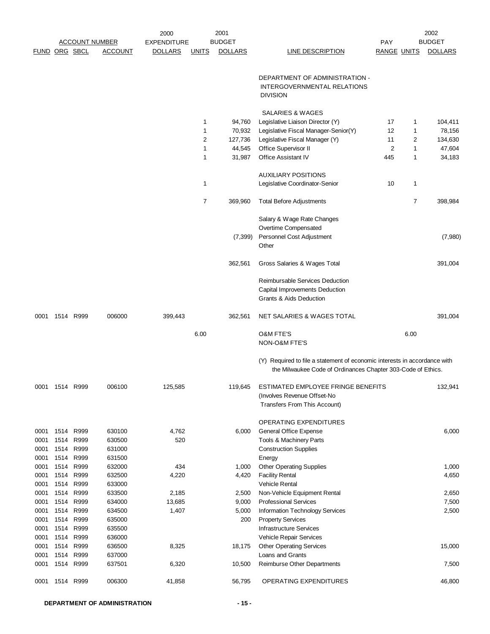|                      |      |                   |                       | 2000               |                | 2001           |                                                                                                                                           |                    |      | 2002           |
|----------------------|------|-------------------|-----------------------|--------------------|----------------|----------------|-------------------------------------------------------------------------------------------------------------------------------------------|--------------------|------|----------------|
|                      |      |                   | <b>ACCOUNT NUMBER</b> | <b>EXPENDITURE</b> |                | <b>BUDGET</b>  |                                                                                                                                           | PAY                |      | <b>BUDGET</b>  |
| <b>FUND ORG SBCL</b> |      |                   | <b>ACCOUNT</b>        | <b>DOLLARS</b>     | <u>UNITS</u>   | <b>DOLLARS</b> | LINE DESCRIPTION                                                                                                                          | <b>RANGE UNITS</b> |      | <b>DOLLARS</b> |
|                      |      |                   |                       |                    |                |                |                                                                                                                                           |                    |      |                |
|                      |      |                   |                       |                    |                |                | DEPARTMENT OF ADMINISTRATION -                                                                                                            |                    |      |                |
|                      |      |                   |                       |                    |                |                | INTERGOVERNMENTAL RELATIONS                                                                                                               |                    |      |                |
|                      |      |                   |                       |                    |                |                | <b>DIVISION</b>                                                                                                                           |                    |      |                |
|                      |      |                   |                       |                    |                |                | SALARIES & WAGES                                                                                                                          |                    |      |                |
|                      |      |                   |                       |                    | 1              | 94,760         | Legislative Liaison Director (Y)                                                                                                          | 17                 | 1    | 104,411        |
|                      |      |                   |                       |                    | $\mathbf{1}$   | 70,932         | Legislative Fiscal Manager-Senior(Y)                                                                                                      | 12                 | 1    | 78,156         |
|                      |      |                   |                       |                    | $\overline{c}$ | 127,736        | Legislative Fiscal Manager (Y)                                                                                                            | 11                 | 2    | 134,630        |
|                      |      |                   |                       |                    | $\mathbf{1}$   | 44,545         | Office Supervisor II                                                                                                                      | $\overline{2}$     | 1    | 47,604         |
|                      |      |                   |                       |                    | 1              | 31,987         | Office Assistant IV                                                                                                                       | 445                | 1    | 34,183         |
|                      |      |                   |                       |                    |                |                | <b>AUXILIARY POSITIONS</b>                                                                                                                |                    |      |                |
|                      |      |                   |                       |                    | 1              |                | Legislative Coordinator-Senior                                                                                                            | 10                 | 1    |                |
|                      |      |                   |                       |                    | 7              | 369,960        | <b>Total Before Adjustments</b>                                                                                                           |                    | 7    | 398,984        |
|                      |      |                   |                       |                    |                |                | Salary & Wage Rate Changes                                                                                                                |                    |      |                |
|                      |      |                   |                       |                    |                |                | Overtime Compensated                                                                                                                      |                    |      |                |
|                      |      |                   |                       |                    |                | (7, 399)       | Personnel Cost Adjustment<br>Other                                                                                                        |                    |      | (7,980)        |
|                      |      |                   |                       |                    |                | 362,561        | Gross Salaries & Wages Total                                                                                                              |                    |      | 391,004        |
|                      |      |                   |                       |                    |                |                | Reimbursable Services Deduction                                                                                                           |                    |      |                |
|                      |      |                   |                       |                    |                |                | Capital Improvements Deduction                                                                                                            |                    |      |                |
|                      |      |                   |                       |                    |                |                | Grants & Aids Deduction                                                                                                                   |                    |      |                |
| 0001                 |      | 1514 R999         | 006000                | 399,443            |                | 362,561        | NET SALARIES & WAGES TOTAL                                                                                                                |                    |      | 391,004        |
|                      |      |                   |                       |                    | 6.00           |                | <b>O&amp;M FTE'S</b>                                                                                                                      |                    | 6.00 |                |
|                      |      |                   |                       |                    |                |                | NON-O&M FTE'S                                                                                                                             |                    |      |                |
|                      |      |                   |                       |                    |                |                | (Y) Required to file a statement of economic interests in accordance with<br>the Milwaukee Code of Ordinances Chapter 303-Code of Ethics. |                    |      |                |
| 0001                 | 1514 | R999              | 006100                | 125,585            |                | 119,645        | ESTIMATED EMPLOYEE FRINGE BENEFITS                                                                                                        |                    |      | 132,941        |
|                      |      |                   |                       |                    |                |                | (Involves Revenue Offset-No                                                                                                               |                    |      |                |
|                      |      |                   |                       |                    |                |                | Transfers From This Account)                                                                                                              |                    |      |                |
|                      |      |                   |                       |                    |                |                | OPERATING EXPENDITURES                                                                                                                    |                    |      |                |
| 0001                 | 1514 | R999              | 630100                | 4,762              |                | 6,000          | General Office Expense                                                                                                                    |                    |      | 6,000          |
| 0001                 |      | 1514 R999         | 630500                | 520                |                |                | Tools & Machinery Parts                                                                                                                   |                    |      |                |
| 0001                 |      | 1514 R999         | 631000                |                    |                |                | <b>Construction Supplies</b>                                                                                                              |                    |      |                |
| 0001                 |      | 1514 R999         | 631500                |                    |                |                | Energy                                                                                                                                    |                    |      |                |
| 0001                 |      | 1514 R999         | 632000                | 434                |                | 1,000          | <b>Other Operating Supplies</b>                                                                                                           |                    |      | 1,000          |
| 0001                 | 1514 | R999              | 632500                | 4,220              |                | 4,420          | <b>Facility Rental</b>                                                                                                                    |                    |      | 4,650          |
| 0001                 |      | 1514 R999         | 633000                |                    |                |                | <b>Vehicle Rental</b>                                                                                                                     |                    |      |                |
| 0001                 |      | 1514 R999         | 633500                | 2,185              |                | 2,500          | Non-Vehicle Equipment Rental                                                                                                              |                    |      | 2,650          |
| 0001                 |      | 1514 R999         | 634000                | 13,685             |                | 9,000          | <b>Professional Services</b>                                                                                                              |                    |      | 7,500          |
| 0001                 |      | 1514 R999         | 634500                | 1,407              |                | 5,000          | Information Technology Services                                                                                                           |                    |      | 2,500          |
| 0001                 |      | 1514 R999         | 635000                |                    |                | 200            | <b>Property Services</b>                                                                                                                  |                    |      |                |
| 0001                 | 1514 | R999              | 635500                |                    |                |                | <b>Infrastructure Services</b>                                                                                                            |                    |      |                |
| 0001                 | 1514 | R999              | 636000                |                    |                |                | Vehicle Repair Services                                                                                                                   |                    |      |                |
| 0001                 | 1514 | R999<br>1514 R999 | 636500<br>637000      | 8,325              |                | 18,175         | <b>Other Operating Services</b><br>Loans and Grants                                                                                       |                    |      | 15,000         |
| 0001<br>0001         |      | 1514 R999         | 637501                | 6,320              |                | 10,500         | Reimburse Other Departments                                                                                                               |                    |      | 7,500          |
| 0001                 |      | 1514 R999         | 006300                | 41,858             |                | 56,795         | OPERATING EXPENDITURES                                                                                                                    |                    |      | 46,800         |
|                      |      |                   |                       |                    |                |                |                                                                                                                                           |                    |      |                |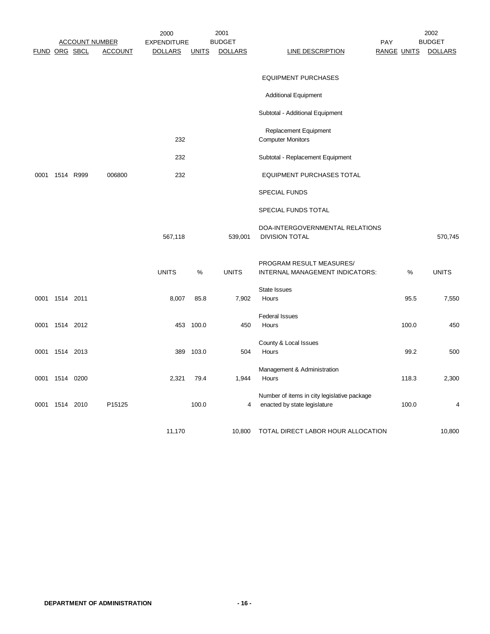|                      |                | <b>ACCOUNT NUMBER</b> |                | 2000<br><b>EXPENDITURE</b> |              | 2001<br><b>BUDGET</b> |                                                                             | PAY                |       | 2002<br><b>BUDGET</b> |
|----------------------|----------------|-----------------------|----------------|----------------------------|--------------|-----------------------|-----------------------------------------------------------------------------|--------------------|-------|-----------------------|
| <b>FUND ORG SBCL</b> |                |                       | <b>ACCOUNT</b> | <b>DOLLARS</b>             | <b>UNITS</b> | <b>DOLLARS</b>        | <b>LINE DESCRIPTION</b>                                                     | <b>RANGE UNITS</b> |       | <b>DOLLARS</b>        |
|                      |                |                       |                |                            |              |                       | <b>EQUIPMENT PURCHASES</b>                                                  |                    |       |                       |
|                      |                |                       |                |                            |              |                       | <b>Additional Equipment</b>                                                 |                    |       |                       |
|                      |                |                       |                |                            |              |                       | Subtotal - Additional Equipment                                             |                    |       |                       |
|                      |                |                       |                | 232                        |              |                       | Replacement Equipment<br><b>Computer Monitors</b>                           |                    |       |                       |
|                      |                |                       |                | 232                        |              |                       | Subtotal - Replacement Equipment                                            |                    |       |                       |
| 0001                 | 1514 R999      |                       | 006800         | 232                        |              |                       | <b>EQUIPMENT PURCHASES TOTAL</b>                                            |                    |       |                       |
|                      |                |                       |                |                            |              |                       | <b>SPECIAL FUNDS</b>                                                        |                    |       |                       |
|                      |                |                       |                |                            |              |                       | SPECIAL FUNDS TOTAL                                                         |                    |       |                       |
|                      |                |                       |                | 567,118                    |              | 539,001               | DOA-INTERGOVERNMENTAL RELATIONS<br><b>DIVISION TOTAL</b>                    |                    |       | 570,745               |
|                      |                |                       |                | <b>UNITS</b>               | %            | <b>UNITS</b>          | PROGRAM RESULT MEASURES/<br>INTERNAL MANAGEMENT INDICATORS:                 |                    | %     | <b>UNITS</b>          |
|                      | 0001 1514 2011 |                       |                | 8,007                      | 85.8         | 7,902                 | <b>State Issues</b><br>Hours                                                |                    | 95.5  | 7,550                 |
|                      | 0001 1514 2012 |                       |                |                            | 453 100.0    | 450                   | <b>Federal Issues</b><br>Hours                                              |                    | 100.0 | 450                   |
|                      | 0001 1514 2013 |                       |                |                            | 389 103.0    | 504                   | County & Local Issues<br>Hours                                              |                    | 99.2  | 500                   |
| 0001                 | 1514 0200      |                       |                | 2,321                      | 79.4         | 1,944                 | Management & Administration<br>Hours                                        |                    | 118.3 | 2,300                 |
| 0001                 | 1514 2010      |                       | P15125         |                            | 100.0        | 4                     | Number of items in city legislative package<br>enacted by state legislature |                    | 100.0 | 4                     |
|                      |                |                       |                | 11,170                     |              | 10,800                | TOTAL DIRECT LABOR HOUR ALLOCATION                                          |                    |       | 10,800                |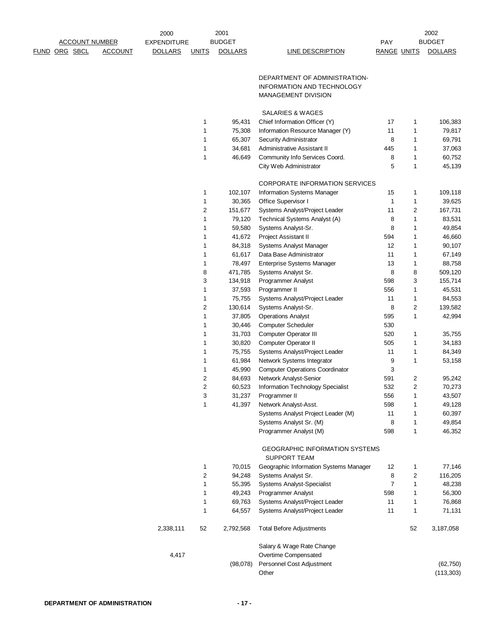|                       |                | 2000               |                         | 2001           |                                                              |                    |                         | 2002             |
|-----------------------|----------------|--------------------|-------------------------|----------------|--------------------------------------------------------------|--------------------|-------------------------|------------------|
| <b>ACCOUNT NUMBER</b> |                | <b>EXPENDITURE</b> |                         | <b>BUDGET</b>  |                                                              | PAY                |                         | <b>BUDGET</b>    |
| FUND ORG SBCL         | <b>ACCOUNT</b> | <b>DOLLARS</b>     | <b>UNITS</b>            | <b>DOLLARS</b> | LINE DESCRIPTION                                             | <b>RANGE UNITS</b> |                         | <b>DOLLARS</b>   |
|                       |                |                    |                         |                | DEPARTMENT OF ADMINISTRATION-                                |                    |                         |                  |
|                       |                |                    |                         |                | INFORMATION AND TECHNOLOGY                                   |                    |                         |                  |
|                       |                |                    |                         |                | <b>MANAGEMENT DIVISION</b>                                   |                    |                         |                  |
|                       |                |                    |                         |                | SALARIES & WAGES                                             |                    |                         |                  |
|                       |                |                    | 1                       | 95,431         | Chief Information Officer (Y)                                | 17                 | $\mathbf{1}$            | 106,383          |
|                       |                |                    | 1                       | 75,308         | Information Resource Manager (Y)                             | 11                 | 1                       | 79,817           |
|                       |                |                    | 1                       | 65,307         | Security Administrator                                       | 8                  | 1                       | 69,791           |
|                       |                |                    | 1                       | 34,681         | Administrative Assistant II                                  | 445                | 1                       | 37,063           |
|                       |                |                    | 1                       | 46,649         | Community Info Services Coord.                               | 8                  | 1                       | 60,752           |
|                       |                |                    |                         |                | City Web Administrator                                       | 5                  | $\mathbf{1}$            | 45,139           |
|                       |                |                    |                         |                | <b>CORPORATE INFORMATION SERVICES</b>                        |                    |                         |                  |
|                       |                |                    | 1                       | 102,107        | Information Systems Manager                                  | 15                 | 1                       | 109,118          |
|                       |                |                    | 1                       | 30,365         | Office Supervisor I                                          | 1                  | $\mathbf{1}$            | 39,625           |
|                       |                |                    | 2                       | 151,677        | Systems Analyst/Project Leader                               | 11                 | $\overline{\mathbf{c}}$ | 167,731          |
|                       |                |                    | 1                       | 79,120         | Technical Systems Analyst (A)                                | 8                  | $\mathbf{1}$            | 83,531           |
|                       |                |                    | 1                       | 59,580         | Systems Analyst-Sr.                                          | 8                  | 1                       | 49,854           |
|                       |                |                    | 1                       | 41,672         | Project Assistant II                                         | 594                | $\mathbf{1}$            | 46,660           |
|                       |                |                    | 1                       | 84,318         | Systems Analyst Manager                                      | 12                 | $\mathbf 1$             | 90,107           |
|                       |                |                    | 1                       | 61,617         | Data Base Administrator                                      | 11                 | $\mathbf{1}$            | 67,149           |
|                       |                |                    | 1                       | 78,497         | <b>Enterprise Systems Manager</b>                            | 13                 | 1                       | 88,758           |
|                       |                |                    | 8                       | 471,785        | Systems Analyst Sr.                                          | 8                  | 8                       | 509,120          |
|                       |                |                    | 3                       | 134,918        | Programmer Analyst                                           | 598                | 3                       | 155,714          |
|                       |                |                    | 1                       | 37,593         | Programmer II                                                | 556                | 1                       | 45,531           |
|                       |                |                    | 1                       | 75,755         | Systems Analyst/Project Leader                               | 11                 | 1                       | 84,553           |
|                       |                |                    | 2                       | 130,614        | Systems Analyst-Sr.                                          | 8                  | $\overline{\mathbf{c}}$ | 139,582          |
|                       |                |                    | 1                       | 37,805         | <b>Operations Analyst</b>                                    | 595                | $\mathbf{1}$            | 42,994           |
|                       |                |                    | 1                       | 30,446         | <b>Computer Scheduler</b>                                    | 530                |                         |                  |
|                       |                |                    | 1                       | 31,703         | <b>Computer Operator III</b>                                 | 520                | 1                       | 35,755           |
|                       |                |                    | 1                       | 30,820         | <b>Computer Operator II</b>                                  | 505                | 1                       | 34,183           |
|                       |                |                    | 1                       | 75,755         | Systems Analyst/Project Leader                               | 11                 | 1                       | 84,349           |
|                       |                |                    | 1                       | 61,984         | Network Systems Integrator                                   | 9                  | $\mathbf{1}$            | 53,158           |
|                       |                |                    | 1                       | 45,990         | <b>Computer Operations Coordinator</b>                       | 3                  |                         |                  |
|                       |                |                    | $\overline{\mathbf{c}}$ | 84,693         | Network Analyst-Senior                                       | 591                | 2                       | 95,242           |
|                       |                |                    | 2                       | 60,523         | Information Technology Specialist                            | 532                | 2                       | 70,273           |
|                       |                |                    | 3                       | 31,237         | Programmer II                                                | 556                | 1                       | 43,507           |
|                       |                |                    | 1                       | 41,397         | Network Analyst-Asst.                                        | 598                | 1                       | 49,128           |
|                       |                |                    |                         |                | Systems Analyst Project Leader (M)                           | 11                 | 1                       | 60,397           |
|                       |                |                    |                         |                | Systems Analyst Sr. (M)<br>Programmer Analyst (M)            | 8<br>598           | 1<br>$\mathbf{1}$       | 49,854<br>46,352 |
|                       |                |                    |                         |                | <b>GEOGRAPHIC INFORMATION SYSTEMS</b><br><b>SUPPORT TEAM</b> |                    |                         |                  |
|                       |                |                    | 1                       | 70,015         | Geographic Information Systems Manager                       | 12                 | 1                       | 77,146           |
|                       |                |                    | 2                       | 94,248         | Systems Analyst Sr.                                          | 8                  | 2                       | 116,205          |
|                       |                |                    | 1                       | 55,395         | <b>Systems Analyst-Specialist</b>                            | $\overline{7}$     | 1                       | 48,238           |
|                       |                |                    | 1                       | 49,243         | <b>Programmer Analyst</b>                                    | 598                | 1                       | 56,300           |
|                       |                |                    | 1                       | 69,763         | Systems Analyst/Project Leader                               | 11                 | 1                       | 76,868           |
|                       |                |                    | 1                       | 64,557         | Systems Analyst/Project Leader                               | 11                 | $\mathbf{1}$            | 71,131           |
|                       |                | 2,338,111          | 52                      | 2,792,568      | <b>Total Before Adjustments</b>                              |                    | 52                      | 3,187,058        |
|                       |                |                    |                         |                | Salary & Wage Rate Change                                    |                    |                         |                  |
|                       |                | 4,417              |                         |                | Overtime Compensated                                         |                    |                         |                  |
|                       |                |                    |                         | (98,078)       | Personnel Cost Adjustment                                    |                    |                         | (62, 750)        |
|                       |                |                    |                         |                | Other                                                        |                    |                         | (113, 303)       |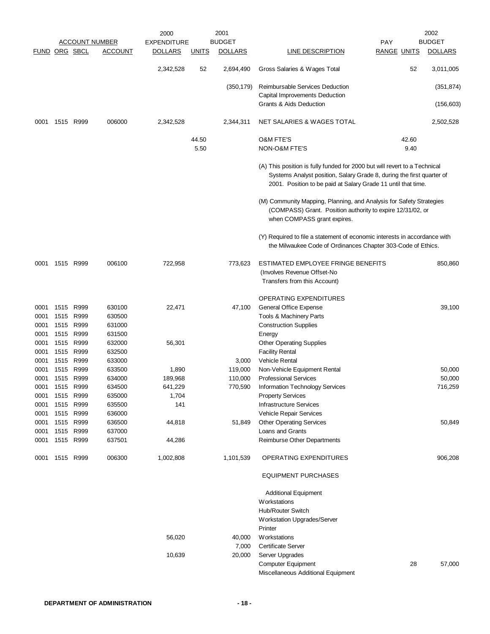|                      |                |           |                | 2000               |              | 2001           |                                                                                                                                                                                                                     |                    |       | 2002           |
|----------------------|----------------|-----------|----------------|--------------------|--------------|----------------|---------------------------------------------------------------------------------------------------------------------------------------------------------------------------------------------------------------------|--------------------|-------|----------------|
|                      |                |           | ACCOUNT NUMBER | <b>EXPENDITURE</b> |              | <b>BUDGET</b>  |                                                                                                                                                                                                                     | <b>PAY</b>         |       | <b>BUDGET</b>  |
| <b>FUND ORG SBCL</b> |                |           | <b>ACCOUNT</b> | <b>DOLLARS</b>     | <b>UNITS</b> | <b>DOLLARS</b> | <b>LINE DESCRIPTION</b>                                                                                                                                                                                             | <b>RANGE UNITS</b> |       | <b>DOLLARS</b> |
|                      |                |           |                | 2,342,528          | 52           | 2,694,490      | Gross Salaries & Wages Total                                                                                                                                                                                        |                    | 52    | 3,011,005      |
|                      |                |           |                |                    |              | (350, 179)     | Reimbursable Services Deduction                                                                                                                                                                                     |                    |       | (351, 874)     |
|                      |                |           |                |                    |              |                | Capital Improvements Deduction<br>Grants & Aids Deduction                                                                                                                                                           |                    |       | (156, 603)     |
| 0001                 |                | 1515 R999 | 006000         | 2,342,528          |              | 2,344,311      | NET SALARIES & WAGES TOTAL                                                                                                                                                                                          |                    |       | 2,502,528      |
|                      |                |           |                |                    | 44.50        |                | <b>O&amp;M FTE'S</b>                                                                                                                                                                                                |                    | 42.60 |                |
|                      |                |           |                |                    | 5.50         |                | NON-O&M FTE'S                                                                                                                                                                                                       |                    | 9.40  |                |
|                      |                |           |                |                    |              |                | (A) This position is fully funded for 2000 but will revert to a Technical<br>Systems Analyst position, Salary Grade 8, during the first quarter of<br>2001. Position to be paid at Salary Grade 11 until that time. |                    |       |                |
|                      |                |           |                |                    |              |                | (M) Community Mapping, Planning, and Analysis for Safety Strategies<br>(COMPASS) Grant. Position authority to expire 12/31/02, or<br>when COMPASS grant expires.                                                    |                    |       |                |
|                      |                |           |                |                    |              |                | (Y) Required to file a statement of economic interests in accordance with<br>the Milwaukee Code of Ordinances Chapter 303-Code of Ethics.                                                                           |                    |       |                |
| 0001                 |                | 1515 R999 | 006100         | 722,958            |              | 773,623        | ESTIMATED EMPLOYEE FRINGE BENEFITS<br>(Involves Revenue Offset-No<br>Transfers from this Account)                                                                                                                   |                    |       | 850,860        |
|                      |                |           |                |                    |              |                | OPERATING EXPENDITURES                                                                                                                                                                                              |                    |       |                |
| 0001                 | 1515           | R999      | 630100         | 22,471             |              | 47,100         | General Office Expense                                                                                                                                                                                              |                    |       | 39,100         |
| 0001                 | 1515           | R999      | 630500         |                    |              |                | Tools & Machinery Parts                                                                                                                                                                                             |                    |       |                |
| 0001                 | 1515           | R999      | 631000         |                    |              |                | <b>Construction Supplies</b>                                                                                                                                                                                        |                    |       |                |
| 0001                 |                | 1515 R999 | 631500         |                    |              |                | Energy                                                                                                                                                                                                              |                    |       |                |
| 0001                 |                | 1515 R999 | 632000         | 56,301             |              |                | <b>Other Operating Supplies</b>                                                                                                                                                                                     |                    |       |                |
| 0001                 | 1515           | R999      | 632500         |                    |              |                | <b>Facility Rental</b>                                                                                                                                                                                              |                    |       |                |
| 0001                 | 1515           | R999      | 633000         |                    |              | 3,000          | Vehicle Rental                                                                                                                                                                                                      |                    |       |                |
| 0001                 | 1515           | R999      | 633500         | 1,890              |              | 119,000        | Non-Vehicle Equipment Rental                                                                                                                                                                                        |                    |       | 50,000         |
| 0001                 |                | 1515 R999 | 634000         | 189,968            |              | 110,000        | <b>Professional Services</b>                                                                                                                                                                                        |                    |       | 50,000         |
| 0001                 | 1515           | R999      | 634500         | 641,229            |              | 770,590        | Information Technology Services                                                                                                                                                                                     |                    |       | 716,259        |
|                      | 0001 1515 R999 |           | 635000         | 1,704              |              |                | <b>Property Services</b>                                                                                                                                                                                            |                    |       |                |
| 0001                 |                | 1515 R999 | 635500         | 141                |              |                | <b>Infrastructure Services</b>                                                                                                                                                                                      |                    |       |                |
| 0001                 |                | 1515 R999 | 636000         |                    |              |                | Vehicle Repair Services                                                                                                                                                                                             |                    |       |                |
| 0001                 | 1515           | R999      | 636500         | 44,818             |              | 51,849         | <b>Other Operating Services</b>                                                                                                                                                                                     |                    |       | 50,849         |
| 0001                 |                | 1515 R999 | 637000         |                    |              |                | Loans and Grants                                                                                                                                                                                                    |                    |       |                |
| 0001                 |                | 1515 R999 | 637501         | 44,286             |              |                | Reimburse Other Departments                                                                                                                                                                                         |                    |       |                |
| 0001                 | 1515 R999      |           | 006300         | 1,002,808          |              | 1,101,539      | OPERATING EXPENDITURES                                                                                                                                                                                              |                    |       | 906,208        |
|                      |                |           |                |                    |              |                | <b>EQUIPMENT PURCHASES</b>                                                                                                                                                                                          |                    |       |                |
|                      |                |           |                |                    |              |                | <b>Additional Equipment</b>                                                                                                                                                                                         |                    |       |                |
|                      |                |           |                |                    |              |                | Workstations                                                                                                                                                                                                        |                    |       |                |
|                      |                |           |                |                    |              |                | Hub/Router Switch                                                                                                                                                                                                   |                    |       |                |
|                      |                |           |                |                    |              |                | Workstation Upgrades/Server                                                                                                                                                                                         |                    |       |                |
|                      |                |           |                |                    |              |                | Printer                                                                                                                                                                                                             |                    |       |                |
|                      |                |           |                | 56,020             |              | 40,000         | Workstations                                                                                                                                                                                                        |                    |       |                |
|                      |                |           |                |                    |              | 7,000          | <b>Certificate Server</b>                                                                                                                                                                                           |                    |       |                |
|                      |                |           |                | 10,639             |              | 20,000         | Server Upgrades                                                                                                                                                                                                     |                    |       |                |
|                      |                |           |                |                    |              |                | <b>Computer Equipment</b>                                                                                                                                                                                           |                    | 28    | 57,000         |
|                      |                |           |                |                    |              |                | Miscellaneous Additional Equipment                                                                                                                                                                                  |                    |       |                |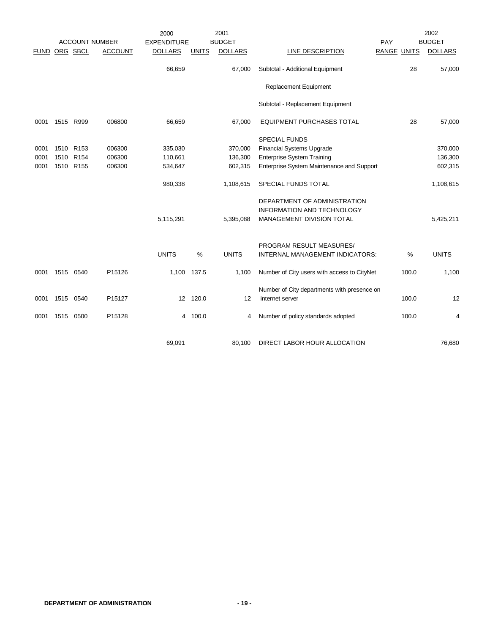|             |          |                  |                       | 2000               |              | 2001           |                                             |                    |       | 2002           |
|-------------|----------|------------------|-----------------------|--------------------|--------------|----------------|---------------------------------------------|--------------------|-------|----------------|
|             |          |                  | <b>ACCOUNT NUMBER</b> | <b>EXPENDITURE</b> |              | <b>BUDGET</b>  |                                             | PAY                |       | <b>BUDGET</b>  |
| <b>FUND</b> | ORG SBCL |                  | <b>ACCOUNT</b>        | <b>DOLLARS</b>     | <b>UNITS</b> | <b>DOLLARS</b> | <b>LINE DESCRIPTION</b>                     | <b>RANGE UNITS</b> |       | <b>DOLLARS</b> |
|             |          |                  |                       | 66,659             |              | 67,000         | Subtotal - Additional Equipment             |                    | 28    | 57,000         |
|             |          |                  |                       |                    |              |                | Replacement Equipment                       |                    |       |                |
|             |          |                  |                       |                    |              |                | Subtotal - Replacement Equipment            |                    |       |                |
| 0001        |          | 1515 R999        | 006800                | 66,659             |              | 67,000         | <b>EQUIPMENT PURCHASES TOTAL</b>            |                    | 28    | 57,000         |
|             |          |                  |                       |                    |              |                | <b>SPECIAL FUNDS</b>                        |                    |       |                |
| 0001        |          | 1510 R153        | 006300                | 335,030            |              | 370,000        | <b>Financial Systems Upgrade</b>            |                    |       | 370,000        |
| 0001        | 1510     | R <sub>154</sub> | 006300                | 110,661            |              | 136,300        | <b>Enterprise System Training</b>           |                    |       | 136,300        |
| 0001        | 1510     | R <sub>155</sub> | 006300                | 534,647            |              | 602,315        | Enterprise System Maintenance and Support   |                    |       | 602,315        |
|             |          |                  |                       | 980,338            |              | 1,108,615      | SPECIAL FUNDS TOTAL                         |                    |       | 1,108,615      |
|             |          |                  |                       |                    |              |                | DEPARTMENT OF ADMINISTRATION                |                    |       |                |
|             |          |                  |                       |                    |              |                | <b>INFORMATION AND TECHNOLOGY</b>           |                    |       |                |
|             |          |                  |                       | 5,115,291          |              | 5,395,088      | MANAGEMENT DIVISION TOTAL                   |                    |       | 5,425,211      |
|             |          |                  |                       |                    |              |                |                                             |                    |       |                |
|             |          |                  |                       |                    |              |                | PROGRAM RESULT MEASURES/                    |                    |       |                |
|             |          |                  |                       | <b>UNITS</b>       | $\%$         | <b>UNITS</b>   | INTERNAL MANAGEMENT INDICATORS:             |                    | $\%$  | <b>UNITS</b>   |
| 0001        | 1515     | 0540             | P15126                | 1,100              | 137.5        | 1,100          | Number of City users with access to CityNet |                    | 100.0 | 1,100          |
|             |          |                  |                       |                    |              |                | Number of City departments with presence on |                    |       |                |
| 0001        | 1515     | 0540             | P15127                |                    | 12 120.0     | 12             | internet server                             |                    | 100.0 | 12             |
| 0001        | 1515     | 0500             | P15128                |                    | 4 100.0      | 4              | Number of policy standards adopted          |                    | 100.0 | 4              |
|             |          |                  |                       |                    |              |                |                                             |                    |       |                |
|             |          |                  |                       | 69,091             |              | 80,100         | DIRECT LABOR HOUR ALLOCATION                |                    |       | 76,680         |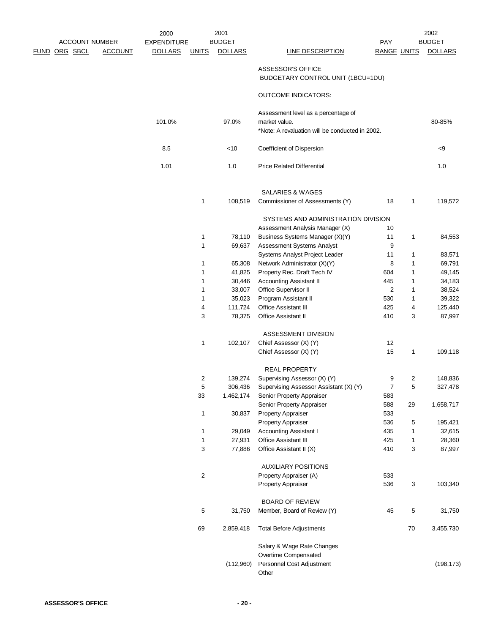|             |                       |                | 2000               |                         | 2001           |                                                 |                    |    | 2002           |
|-------------|-----------------------|----------------|--------------------|-------------------------|----------------|-------------------------------------------------|--------------------|----|----------------|
|             | <b>ACCOUNT NUMBER</b> |                | <b>EXPENDITURE</b> |                         | <b>BUDGET</b>  |                                                 | <b>PAY</b>         |    | <b>BUDGET</b>  |
| <u>FUND</u> | ORG SBCL              | <b>ACCOUNT</b> | <b>DOLLARS</b>     | <u>UNITS</u>            | <b>DOLLARS</b> | <b>LINE DESCRIPTION</b>                         | <b>RANGE UNITS</b> |    | <b>DOLLARS</b> |
|             |                       |                |                    |                         |                |                                                 |                    |    |                |
|             |                       |                |                    |                         |                | ASSESSOR'S OFFICE                               |                    |    |                |
|             |                       |                |                    |                         |                | BUDGETARY CONTROL UNIT (1BCU=1DU)               |                    |    |                |
|             |                       |                |                    |                         |                | <b>OUTCOME INDICATORS:</b>                      |                    |    |                |
|             |                       |                |                    |                         |                |                                                 |                    |    |                |
|             |                       |                |                    |                         |                | Assessment level as a percentage of             |                    |    |                |
|             |                       |                | 101.0%             |                         | 97.0%          | market value.                                   |                    |    | 80-85%         |
|             |                       |                |                    |                         |                | *Note: A revaluation will be conducted in 2002. |                    |    |                |
|             |                       |                | 8.5                |                         | $<$ 10         | Coefficient of Dispersion                       |                    |    | < 9            |
|             |                       |                | 1.01               |                         | 1.0            | <b>Price Related Differential</b>               |                    |    | 1.0            |
|             |                       |                |                    |                         |                |                                                 |                    |    |                |
|             |                       |                |                    |                         |                | SALARIES & WAGES                                |                    |    |                |
|             |                       |                |                    | $\mathbf{1}$            | 108,519        | Commissioner of Assessments (Y)                 | 18                 | 1  | 119,572        |
|             |                       |                |                    |                         |                | SYSTEMS AND ADMINISTRATION DIVISION             |                    |    |                |
|             |                       |                |                    |                         |                | Assessment Analysis Manager (X)                 | 10                 |    |                |
|             |                       |                |                    | $\mathbf{1}$            | 78,110         | Business Systems Manager (X)(Y)                 | 11                 | 1  | 84,553         |
|             |                       |                |                    | $\mathbf{1}$            | 69,637         | Assessment Systems Analyst                      | 9                  |    |                |
|             |                       |                |                    |                         |                | Systems Analyst Project Leader                  | 11                 | 1  | 83,571         |
|             |                       |                |                    | 1                       | 65,308         | Network Administrator (X)(Y)                    | 8                  | 1  | 69,791         |
|             |                       |                |                    | 1                       | 41,825         | Property Rec. Draft Tech IV                     | 604                | 1  | 49,145         |
|             |                       |                |                    | 1                       | 30,446         | Accounting Assistant II                         | 445                | 1  | 34,183         |
|             |                       |                |                    | 1                       | 33,007         | Office Supervisor II                            | 2                  | 1  | 38,524         |
|             |                       |                |                    | 1                       | 35,023         | Program Assistant II                            | 530                | 1  | 39,322         |
|             |                       |                |                    | 4                       | 111,724        | <b>Office Assistant III</b>                     | 425                | 4  | 125,440        |
|             |                       |                |                    | 3                       | 78,375         | Office Assistant II                             | 410                | 3  | 87,997         |
|             |                       |                |                    |                         |                | ASSESSMENT DIVISION                             |                    |    |                |
|             |                       |                |                    | $\mathbf{1}$            | 102,107        | Chief Assessor (X) (Y)                          | 12                 |    |                |
|             |                       |                |                    |                         |                | Chief Assessor (X) (Y)                          | 15                 | 1  | 109,118        |
|             |                       |                |                    |                         |                | <b>REAL PROPERTY</b>                            |                    |    |                |
|             |                       |                |                    | 2                       | 139,274        | Supervising Assessor (X) (Y)                    | 9                  | 2  | 148,836        |
|             |                       |                |                    | 5                       | 306,436        | Supervising Assessor Assistant (X) (Y)          | 7                  | 5  | 327,478        |
|             |                       |                |                    | 33                      | 1,462,174      | Senior Property Appraiser                       | 583                |    |                |
|             |                       |                |                    |                         |                | Senior Property Appraiser                       | 588                | 29 | 1,658,717      |
|             |                       |                |                    | $\mathbf{1}$            | 30,837         | Property Appraiser                              | 533                |    |                |
|             |                       |                |                    |                         |                | Property Appraiser                              | 536                | 5  | 195,421        |
|             |                       |                |                    | $\mathbf{1}$            | 29,049         | <b>Accounting Assistant I</b>                   | 435                | 1  | 32,615         |
|             |                       |                |                    | $\mathbf{1}$            | 27,931         | Office Assistant III                            | 425                | 1  | 28,360         |
|             |                       |                |                    | 3                       | 77,886         | Office Assistant II (X)                         | 410                | 3  | 87,997         |
|             |                       |                |                    |                         |                | <b>AUXILIARY POSITIONS</b>                      |                    |    |                |
|             |                       |                |                    | $\overline{\mathbf{c}}$ |                | Property Appraiser (A)                          | 533                |    |                |
|             |                       |                |                    |                         |                | <b>Property Appraiser</b>                       | 536                | 3  | 103,340        |
|             |                       |                |                    |                         |                | <b>BOARD OF REVIEW</b>                          |                    |    |                |
|             |                       |                |                    | 5                       | 31,750         | Member, Board of Review (Y)                     | 45                 | 5  | 31,750         |
|             |                       |                |                    |                         |                |                                                 |                    |    |                |
|             |                       |                |                    | 69                      | 2,859,418      | <b>Total Before Adjustments</b>                 |                    | 70 | 3,455,730      |
|             |                       |                |                    |                         |                | Salary & Wage Rate Changes                      |                    |    |                |
|             |                       |                |                    |                         |                | Overtime Compensated                            |                    |    |                |
|             |                       |                |                    |                         | (112,960)      | Personnel Cost Adjustment                       |                    |    | (198, 173)     |
|             |                       |                |                    |                         |                | Other                                           |                    |    |                |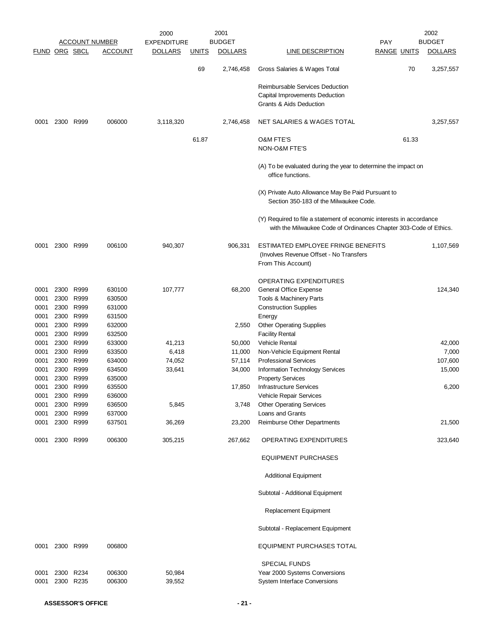|                      |           |                        |                       | 2000               |              | 2001           |                                                                                              |                    |       | 2002           |
|----------------------|-----------|------------------------|-----------------------|--------------------|--------------|----------------|----------------------------------------------------------------------------------------------|--------------------|-------|----------------|
|                      |           |                        | <b>ACCOUNT NUMBER</b> | <b>EXPENDITURE</b> |              | <b>BUDGET</b>  |                                                                                              | <b>PAY</b>         |       | <b>BUDGET</b>  |
| <b>FUND ORG SBCL</b> |           |                        | <b>ACCOUNT</b>        | <b>DOLLARS</b>     | <b>UNITS</b> | <b>DOLLARS</b> | <b>LINE DESCRIPTION</b>                                                                      | <b>RANGE UNITS</b> |       | <b>DOLLARS</b> |
|                      |           |                        |                       |                    | 69           | 2,746,458      | Gross Salaries & Wages Total                                                                 |                    | 70    | 3,257,557      |
|                      |           |                        |                       |                    |              |                | Reimbursable Services Deduction                                                              |                    |       |                |
|                      |           |                        |                       |                    |              |                | Capital Improvements Deduction                                                               |                    |       |                |
|                      |           |                        |                       |                    |              |                | Grants & Aids Deduction                                                                      |                    |       |                |
| 0001                 |           | 2300 R999              | 006000                | 3,118,320          |              | 2,746,458      | NET SALARIES & WAGES TOTAL                                                                   |                    |       | 3,257,557      |
|                      |           |                        |                       |                    |              |                |                                                                                              |                    |       |                |
|                      |           |                        |                       |                    | 61.87        |                | <b>O&amp;M FTE'S</b>                                                                         |                    | 61.33 |                |
|                      |           |                        |                       |                    |              |                | NON-O&M FTE'S                                                                                |                    |       |                |
|                      |           |                        |                       |                    |              |                | (A) To be evaluated during the year to determine the impact on<br>office functions.          |                    |       |                |
|                      |           |                        |                       |                    |              |                | (X) Private Auto Allowance May Be Paid Pursuant to<br>Section 350-183 of the Milwaukee Code. |                    |       |                |
|                      |           |                        |                       |                    |              |                | (Y) Required to file a statement of economic interests in accordance                         |                    |       |                |
|                      |           |                        |                       |                    |              |                | with the Milwaukee Code of Ordinances Chapter 303-Code of Ethics.                            |                    |       |                |
| 0001                 |           | 2300 R999              | 006100                | 940,307            |              | 906,331        | ESTIMATED EMPLOYEE FRINGE BENEFITS                                                           |                    |       | 1,107,569      |
|                      |           |                        |                       |                    |              |                | (Involves Revenue Offset - No Transfers)                                                     |                    |       |                |
|                      |           |                        |                       |                    |              |                | From This Account)                                                                           |                    |       |                |
|                      |           |                        |                       |                    |              |                | <b>OPERATING EXPENDITURES</b>                                                                |                    |       |                |
| 0001                 | 2300      | R999                   | 630100                | 107,777            |              | 68,200         | General Office Expense                                                                       |                    |       | 124,340        |
| 0001                 |           | 2300 R999              | 630500                |                    |              |                | Tools & Machinery Parts                                                                      |                    |       |                |
| 0001                 | 2300 R999 |                        | 631000                |                    |              |                | <b>Construction Supplies</b>                                                                 |                    |       |                |
| 0001                 | 2300      | R999                   | 631500                |                    |              |                | Energy                                                                                       |                    |       |                |
| 0001                 |           | 2300 R999              | 632000                |                    |              | 2,550          | <b>Other Operating Supplies</b>                                                              |                    |       |                |
| 0001                 | 2300 R999 |                        | 632500                |                    |              |                | <b>Facility Rental</b>                                                                       |                    |       |                |
| 0001                 | 2300      | R999                   | 633000                | 41,213             |              | 50,000         | Vehicle Rental                                                                               |                    |       | 42,000         |
| 0001                 |           | 2300 R999              | 633500                | 6,418              |              | 11,000         | Non-Vehicle Equipment Rental                                                                 |                    |       | 7,000          |
| 0001                 |           | 2300 R999              | 634000                | 74,052             |              | 57,114         | <b>Professional Services</b>                                                                 |                    |       | 107,600        |
| 0001<br>0001         |           | 2300 R999<br>2300 R999 | 634500<br>635000      | 33,641             |              | 34,000         | Information Technology Services<br><b>Property Services</b>                                  |                    |       | 15,000         |
| 0001                 | 2300      | R999                   | 635500                |                    |              | 17,850         | <b>Infrastructure Services</b>                                                               |                    |       | 6,200          |
| 0001                 |           | 2300 R999              | 636000                |                    |              |                | Vehicle Repair Services                                                                      |                    |       |                |
| 0001                 | 2300      | R999                   | 636500                | 5,845              |              | 3,748          | <b>Other Operating Services</b>                                                              |                    |       |                |
| 0001                 | 2300      | R999                   | 637000                |                    |              |                | Loans and Grants                                                                             |                    |       |                |
| 0001                 |           | 2300 R999              | 637501                | 36,269             |              | 23,200         | Reimburse Other Departments                                                                  |                    |       | 21,500         |
| 0001                 | 2300 R999 |                        | 006300                | 305,215            |              | 267,662        | OPERATING EXPENDITURES                                                                       |                    |       | 323,640        |
|                      |           |                        |                       |                    |              |                | <b>EQUIPMENT PURCHASES</b>                                                                   |                    |       |                |
|                      |           |                        |                       |                    |              |                | <b>Additional Equipment</b>                                                                  |                    |       |                |
|                      |           |                        |                       |                    |              |                | Subtotal - Additional Equipment                                                              |                    |       |                |
|                      |           |                        |                       |                    |              |                | Replacement Equipment                                                                        |                    |       |                |
|                      |           |                        |                       |                    |              |                | Subtotal - Replacement Equipment                                                             |                    |       |                |
| 0001                 |           | 2300 R999              | 006800                |                    |              |                | <b>EQUIPMENT PURCHASES TOTAL</b>                                                             |                    |       |                |
|                      |           |                        |                       |                    |              |                | <b>SPECIAL FUNDS</b>                                                                         |                    |       |                |
| 0001                 |           | 2300 R234              | 006300                | 50,984             |              |                | Year 2000 Systems Conversions                                                                |                    |       |                |
| 0001                 | 2300      | R235                   | 006300                | 39,552             |              |                | System Interface Conversions                                                                 |                    |       |                |
|                      |           |                        |                       |                    |              |                |                                                                                              |                    |       |                |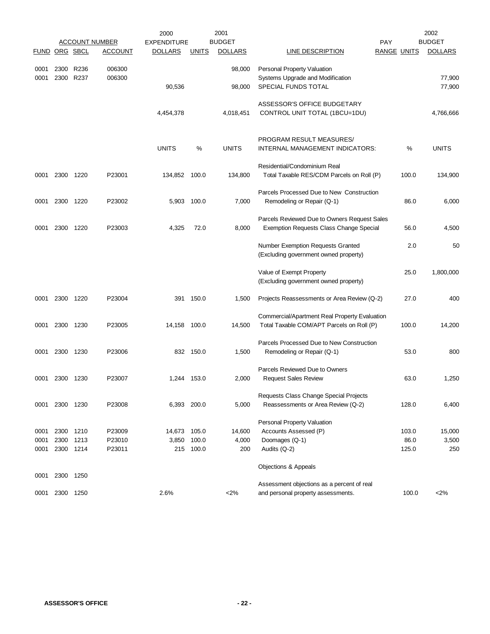|               |              |              | <b>ACCOUNT NUMBER</b> | 2000<br><b>EXPENDITURE</b> |                | 2001<br><b>BUDGET</b> |                                                                                            | <b>PAY</b>         | 2002<br><b>BUDGET</b> |
|---------------|--------------|--------------|-----------------------|----------------------------|----------------|-----------------------|--------------------------------------------------------------------------------------------|--------------------|-----------------------|
| FUND ORG SBCL |              |              | <b>ACCOUNT</b>        | <b>DOLLARS</b>             | <b>UNITS</b>   | <b>DOLLARS</b>        | <b>LINE DESCRIPTION</b>                                                                    | <b>RANGE UNITS</b> | <b>DOLLARS</b>        |
| 0001          | 2300         | R236         | 006300                |                            |                | 98,000                | Personal Property Valuation                                                                |                    |                       |
| 0001          | 2300         | R237         | 006300                | 90,536                     |                | 98,000                | Systems Upgrade and Modification<br>SPECIAL FUNDS TOTAL                                    |                    | 77,900<br>77,900      |
|               |              |              |                       | 4,454,378                  |                | 4,018,451             | ASSESSOR'S OFFICE BUDGETARY<br>CONTROL UNIT TOTAL (1BCU=1DU)                               |                    | 4,766,666             |
|               |              |              |                       |                            |                |                       |                                                                                            |                    |                       |
|               |              |              |                       | <b>UNITS</b>               | %              | <b>UNITS</b>          | PROGRAM RESULT MEASURES/<br>INTERNAL MANAGEMENT INDICATORS:                                | %                  | <b>UNITS</b>          |
| 0001          | 2300         | 1220         | P23001                | 134,852                    | 100.0          | 134,800               | Residential/Condominium Real<br>Total Taxable RES/CDM Parcels on Roll (P)                  | 100.0              | 134,900               |
|               |              |              |                       |                            |                |                       | Parcels Processed Due to New Construction                                                  |                    |                       |
| 0001          | 2300         | 1220         | P23002                | 5,903                      | 100.0          | 7,000                 | Remodeling or Repair (Q-1)                                                                 | 86.0               | 6,000                 |
| 0001          | 2300         | 1220         | P23003                | 4,325                      | 72.0           | 8,000                 | Parcels Reviewed Due to Owners Request Sales<br>Exemption Requests Class Change Special    | 56.0               | 4,500                 |
|               |              |              |                       |                            |                |                       | Number Exemption Requests Granted<br>(Excluding government owned property)                 | 2.0                | 50                    |
|               |              |              |                       |                            |                |                       | Value of Exempt Property<br>(Excluding government owned property)                          | 25.0               | 1,800,000             |
| 0001          | 2300         | 1220         | P23004                |                            | 391 150.0      | 1,500                 | Projects Reassessments or Area Review (Q-2)                                                | 27.0               | 400                   |
| 0001          | 2300         | 1230         | P23005                | 14,158                     | 100.0          | 14,500                | Commercial/Apartment Real Property Evaluation<br>Total Taxable COM/APT Parcels on Roll (P) | 100.0              | 14,200                |
|               |              |              |                       |                            |                |                       | Parcels Processed Due to New Construction                                                  |                    |                       |
| 0001          | 2300 1230    |              | P23006                |                            | 832 150.0      | 1,500                 | Remodeling or Repair (Q-1)                                                                 | 53.0               | 800                   |
| 0001          | 2300 1230    |              | P23007                |                            | 1,244 153.0    | 2,000                 | Parcels Reviewed Due to Owners<br><b>Request Sales Review</b>                              | 63.0               | 1,250                 |
|               |              |              |                       |                            |                |                       |                                                                                            |                    |                       |
|               |              |              |                       |                            |                |                       | Requests Class Change Special Projects                                                     |                    |                       |
| 0001          | 2300 1230    |              | P23008                |                            | 6,393 200.0    | 5,000                 | Reassessments or Area Review (Q-2)                                                         | 128.0              | 6,400                 |
|               |              |              |                       |                            |                |                       | Personal Property Valuation                                                                |                    |                       |
| 0001          | 2300<br>2300 | 1210<br>1213 | P23009<br>P23010      | 14,673                     | 105.0<br>100.0 | 14,600                | Accounts Assessed (P)                                                                      | 103.0<br>86.0      | 15,000                |
| 0001<br>0001  | 2300         | 1214         | P23011                | 3,850<br>215               | 100.0          | 4,000<br>200          | Doomages (Q-1)<br>Audits (Q-2)                                                             | 125.0              | 3,500<br>250          |
|               |              |              |                       |                            |                |                       | Objections & Appeals                                                                       |                    |                       |
| 0001          | 2300         | 1250         |                       |                            |                |                       |                                                                                            |                    |                       |
|               |              |              |                       |                            |                |                       | Assessment objections as a percent of real                                                 |                    |                       |
| 0001          | 2300 1250    |              |                       | 2.6%                       |                | <2%                   | and personal property assessments.                                                         | 100.0              | <2%                   |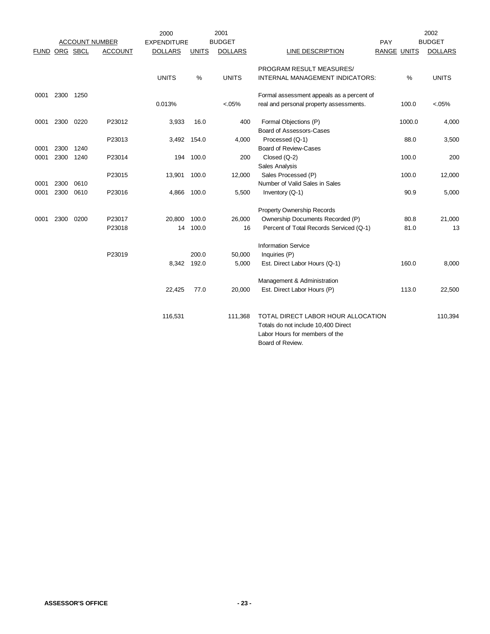|               |      |      |                       | 2000               |              | 2001           |                                           |                    | 2002           |
|---------------|------|------|-----------------------|--------------------|--------------|----------------|-------------------------------------------|--------------------|----------------|
|               |      |      | <b>ACCOUNT NUMBER</b> | <b>EXPENDITURE</b> |              | <b>BUDGET</b>  |                                           | PAY                | <b>BUDGET</b>  |
| FUND ORG SBCL |      |      | <b>ACCOUNT</b>        | <b>DOLLARS</b>     | <b>UNITS</b> | <b>DOLLARS</b> | LINE DESCRIPTION                          | <b>RANGE UNITS</b> | <b>DOLLARS</b> |
|               |      |      |                       |                    |              |                | PROGRAM RESULT MEASURES/                  |                    |                |
|               |      |      |                       | <b>UNITS</b>       | %            | <b>UNITS</b>   | INTERNAL MANAGEMENT INDICATORS:           | %                  | <b>UNITS</b>   |
| 0001          | 2300 | 1250 |                       |                    |              |                | Formal assessment appeals as a percent of |                    |                |
|               |      |      |                       | 0.013%             |              | $< 05\%$       | real and personal property assessments.   | 100.0              | <05%           |
| 0001          | 2300 | 0220 | P23012                | 3,933              | 16.0         | 400            | Formal Objections (P)                     | 1000.0             | 4,000          |
|               |      |      |                       |                    |              |                | Board of Assessors-Cases                  |                    |                |
|               |      |      | P23013                |                    | 3,492 154.0  | 4,000          | Processed (Q-1)                           | 88.0               | 3,500          |
| 0001          | 2300 | 1240 |                       |                    |              |                | <b>Board of Review-Cases</b>              |                    |                |
| 0001          | 2300 | 1240 | P23014                | 194                | 100.0        | 200            | Closed (Q-2)                              | 100.0              | 200            |
|               |      |      |                       |                    |              |                | Sales Analysis                            |                    |                |
|               |      |      | P23015                | 13,901             | 100.0        | 12,000         | Sales Processed (P)                       | 100.0              | 12,000         |
| 0001          | 2300 | 0610 |                       |                    |              |                | Number of Valid Sales in Sales            |                    |                |
| 0001          | 2300 | 0610 | P23016                |                    | 4,866 100.0  | 5,500          | Inventory (Q-1)                           | 90.9               | 5,000          |
|               |      |      |                       |                    |              |                | <b>Property Ownership Records</b>         |                    |                |
| 0001          | 2300 | 0200 | P23017                | 20,800             | 100.0        | 26,000         | Ownership Documents Recorded (P)          | 80.8               | 21,000         |
|               |      |      | P23018                |                    | 14 100.0     | 16             | Percent of Total Records Serviced (Q-1)   | 81.0               | 13             |
|               |      |      |                       |                    |              |                | <b>Information Service</b>                |                    |                |
|               |      |      | P23019                |                    | 200.0        | 50,000         | Inquiries (P)                             |                    |                |
|               |      |      |                       | 8,342              | 192.0        | 5,000          | Est. Direct Labor Hours (Q-1)             | 160.0              | 8,000          |
|               |      |      |                       |                    |              |                | Management & Administration               |                    |                |
|               |      |      |                       | 22,425             | 77.0         | 20,000         | Est. Direct Labor Hours (P)               | 113.0              | 22,500         |
|               |      |      |                       |                    |              |                |                                           |                    |                |
|               |      |      |                       | 116,531            |              | 111,368        | TOTAL DIRECT LABOR HOUR ALLOCATION        |                    | 110,394        |
|               |      |      |                       |                    |              |                | Totals do not include 10,400 Direct       |                    |                |
|               |      |      |                       |                    |              |                | Labor Hours for members of the            |                    |                |
|               |      |      |                       |                    |              |                | Board of Review.                          |                    |                |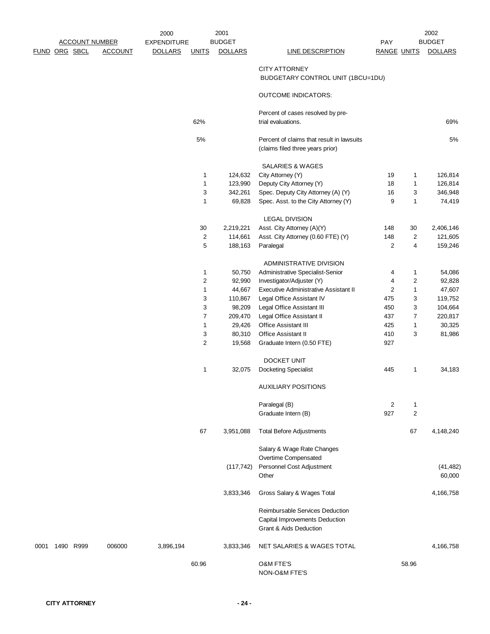|      | FUND ORG SBCL |           | <b>ACCOUNT NUMBER</b><br><b>ACCOUNT</b> | 2000<br><b>EXPENDITURE</b><br><b>DOLLARS</b> | <b>UNITS</b>        | 2001<br><b>BUDGET</b><br><b>DOLLARS</b> | <b>LINE DESCRIPTION</b>                                                                     | PAY<br><b>RANGE UNITS</b> |                         | 2002<br><b>BUDGET</b><br><b>DOLLARS</b> |
|------|---------------|-----------|-----------------------------------------|----------------------------------------------|---------------------|-----------------------------------------|---------------------------------------------------------------------------------------------|---------------------------|-------------------------|-----------------------------------------|
|      |               |           |                                         |                                              |                     |                                         | <b>CITY ATTORNEY</b><br>BUDGETARY CONTROL UNIT (1BCU=1DU)                                   |                           |                         |                                         |
|      |               |           |                                         |                                              |                     |                                         | <b>OUTCOME INDICATORS:</b>                                                                  |                           |                         |                                         |
|      |               |           |                                         |                                              |                     |                                         | Percent of cases resolved by pre-                                                           |                           |                         |                                         |
|      |               |           |                                         |                                              | 62%                 |                                         | trial evaluations.                                                                          |                           |                         | 69%                                     |
|      |               |           |                                         |                                              | 5%                  |                                         | Percent of claims that result in lawsuits<br>(claims filed three years prior)               |                           |                         | 5%                                      |
|      |               |           |                                         |                                              |                     |                                         | <b>SALARIES &amp; WAGES</b>                                                                 |                           |                         |                                         |
|      |               |           |                                         |                                              | 1                   | 124,632                                 | City Attorney (Y)                                                                           | 19                        | 1                       | 126,814                                 |
|      |               |           |                                         |                                              | 1                   | 123,990                                 | Deputy City Attorney (Y)                                                                    | 18                        | $\mathbf{1}$            | 126,814                                 |
|      |               |           |                                         |                                              | 3                   | 342,261                                 | Spec. Deputy City Attorney (A) (Y)                                                          | 16                        | 3                       | 346,948                                 |
|      |               |           |                                         |                                              | 1                   | 69,828                                  | Spec. Asst. to the City Attorney (Y)                                                        | 9                         | 1                       | 74,419                                  |
|      |               |           |                                         |                                              |                     |                                         | <b>LEGAL DIVISION</b>                                                                       |                           |                         |                                         |
|      |               |           |                                         |                                              | 30                  | 2,219,221                               | Asst. City Attorney (A)(Y)                                                                  | 148                       | 30                      | 2,406,146                               |
|      |               |           |                                         |                                              | $\overline{c}$      | 114,661                                 | Asst. City Attorney (0.60 FTE) (Y)                                                          | 148                       | $\overline{\mathbf{c}}$ | 121,605                                 |
|      |               |           |                                         |                                              | 5                   | 188,163                                 | Paralegal                                                                                   | 2                         | 4                       | 159,246                                 |
|      |               |           |                                         |                                              |                     |                                         | ADMINISTRATIVE DIVISION                                                                     |                           |                         |                                         |
|      |               |           |                                         |                                              | 1                   | 50,750                                  | Administrative Specialist-Senior                                                            | 4                         | $\mathbf{1}$            | 54,086                                  |
|      |               |           |                                         |                                              | 2                   | 92,990                                  | Investigator/Adjuster (Y)                                                                   | 4                         | 2                       | 92,828                                  |
|      |               |           |                                         |                                              | 1                   | 44,667                                  | Executive Administrative Assistant II                                                       | $\overline{2}$            | $\mathbf{1}$            | 47,607                                  |
|      |               |           |                                         |                                              | 3                   | 110,867                                 | Legal Office Assistant IV                                                                   | 475                       | 3                       | 119,752                                 |
|      |               |           |                                         |                                              | 3                   | 98,209                                  | Legal Office Assistant III                                                                  | 450                       | 3                       | 104,664                                 |
|      |               |           |                                         |                                              | 7                   | 209,470                                 | Legal Office Assistant II                                                                   | 437                       | $\overline{7}$          | 220,817                                 |
|      |               |           |                                         |                                              | 1                   | 29,426                                  | <b>Office Assistant III</b>                                                                 | 425                       | 1                       | 30,325                                  |
|      |               |           |                                         |                                              | 3<br>$\overline{c}$ | 80,310                                  | <b>Office Assistant II</b>                                                                  | 410<br>927                | 3                       | 81,986                                  |
|      |               |           |                                         |                                              |                     | 19,568                                  | Graduate Intern (0.50 FTE)                                                                  |                           |                         |                                         |
|      |               |           |                                         |                                              |                     |                                         | <b>DOCKET UNIT</b>                                                                          |                           |                         |                                         |
|      |               |           |                                         |                                              | 1                   | 32,075                                  | <b>Docketing Specialist</b>                                                                 | 445                       | 1                       | 34,183                                  |
|      |               |           |                                         |                                              |                     |                                         | <b>AUXILIARY POSITIONS</b>                                                                  |                           |                         |                                         |
|      |               |           |                                         |                                              |                     |                                         | Paralegal (B)                                                                               | 2                         | $\mathbf{1}$            |                                         |
|      |               |           |                                         |                                              |                     |                                         | Graduate Intern (B)                                                                         | 927                       | $\overline{c}$          |                                         |
|      |               |           |                                         |                                              | 67                  | 3,951,088                               | <b>Total Before Adjustments</b>                                                             |                           | 67                      | 4,148,240                               |
|      |               |           |                                         |                                              |                     |                                         | Salary & Wage Rate Changes                                                                  |                           |                         |                                         |
|      |               |           |                                         |                                              |                     |                                         | Overtime Compensated                                                                        |                           |                         |                                         |
|      |               |           |                                         |                                              |                     | (117, 742)                              | Personnel Cost Adjustment<br>Other                                                          |                           |                         | (41, 482)<br>60,000                     |
|      |               |           |                                         |                                              |                     | 3,833,346                               | Gross Salary & Wages Total                                                                  |                           |                         | 4,166,758                               |
|      |               |           |                                         |                                              |                     |                                         | Reimbursable Services Deduction<br>Capital Improvements Deduction<br>Grant & Aids Deduction |                           |                         |                                         |
| 0001 |               | 1490 R999 | 006000                                  | 3,896,194                                    |                     | 3,833,346                               | NET SALARIES & WAGES TOTAL                                                                  |                           |                         | 4,166,758                               |
|      |               |           |                                         |                                              | 60.96               |                                         | O&M FTE'S<br>NON-O&M FTE'S                                                                  |                           | 58.96                   |                                         |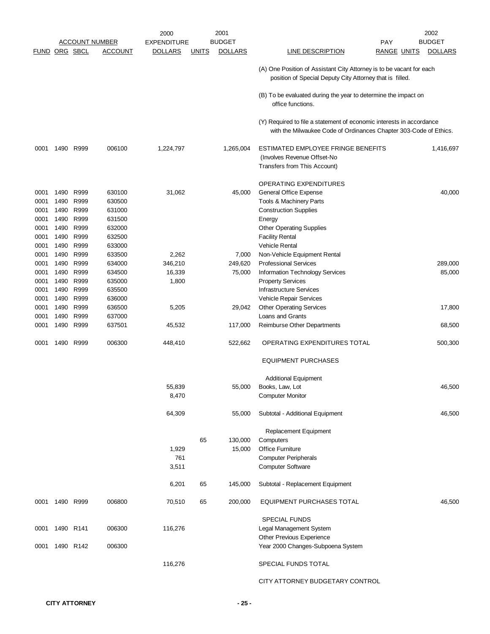|               |      |           |                       | 2000               |              | 2001           |                                                                                                                                           |                    | 2002           |
|---------------|------|-----------|-----------------------|--------------------|--------------|----------------|-------------------------------------------------------------------------------------------------------------------------------------------|--------------------|----------------|
|               |      |           | <b>ACCOUNT NUMBER</b> | <b>EXPENDITURE</b> |              | <b>BUDGET</b>  |                                                                                                                                           | <b>PAY</b>         | <b>BUDGET</b>  |
| FUND ORG SBCL |      |           | <b>ACCOUNT</b>        | <b>DOLLARS</b>     | <b>UNITS</b> | <b>DOLLARS</b> | LINE DESCRIPTION                                                                                                                          | <b>RANGE UNITS</b> | <b>DOLLARS</b> |
|               |      |           |                       |                    |              |                | (A) One Position of Assistant City Attorney is to be vacant for each<br>position of Special Deputy City Attorney that is filled.          |                    |                |
|               |      |           |                       |                    |              |                | (B) To be evaluated during the year to determine the impact on<br>office functions.                                                       |                    |                |
|               |      |           |                       |                    |              |                | (Y) Required to file a statement of economic interests in accordance<br>with the Milwaukee Code of Ordinances Chapter 303-Code of Ethics. |                    |                |
| 0001          | 1490 | R999      | 006100                | 1,224,797          |              | 1,265,004      | ESTIMATED EMPLOYEE FRINGE BENEFITS<br>(Involves Revenue Offset-No<br>Transfers from This Account)                                         |                    | 1,416,697      |
|               |      |           |                       |                    |              |                |                                                                                                                                           |                    |                |
|               |      |           |                       |                    |              |                | OPERATING EXPENDITURES                                                                                                                    |                    |                |
| 0001          | 1490 | R999      | 630100                | 31,062             |              | 45,000         | General Office Expense                                                                                                                    |                    | 40,000         |
| 0001          | 1490 | R999      | 630500                |                    |              |                | Tools & Machinery Parts                                                                                                                   |                    |                |
| 0001          | 1490 | R999      | 631000                |                    |              |                | <b>Construction Supplies</b>                                                                                                              |                    |                |
| 0001          | 1490 | R999      | 631500                |                    |              |                | Energy                                                                                                                                    |                    |                |
| 0001          | 1490 | R999      | 632000                |                    |              |                | <b>Other Operating Supplies</b>                                                                                                           |                    |                |
| 0001          | 1490 | R999      | 632500                |                    |              |                | <b>Facility Rental</b>                                                                                                                    |                    |                |
| 0001          | 1490 | R999      | 633000                |                    |              |                | Vehicle Rental                                                                                                                            |                    |                |
| 0001          | 1490 | R999      | 633500                | 2,262              |              | 7,000          | Non-Vehicle Equipment Rental                                                                                                              |                    |                |
| 0001          | 1490 | R999      | 634000                | 346,210            |              | 249,620        | <b>Professional Services</b>                                                                                                              |                    | 289,000        |
| 0001          | 1490 | R999      | 634500                | 16,339             |              | 75,000         | Information Technology Services                                                                                                           |                    | 85,000         |
| 0001          | 1490 | R999      | 635000                | 1,800              |              |                | <b>Property Services</b>                                                                                                                  |                    |                |
| 0001          | 1490 | R999      | 635500                |                    |              |                | <b>Infrastructure Services</b>                                                                                                            |                    |                |
| 0001          | 1490 | R999      | 636000                |                    |              |                | Vehicle Repair Services                                                                                                                   |                    |                |
| 0001          | 1490 | R999      | 636500                | 5,205              |              | 29,042         | <b>Other Operating Services</b>                                                                                                           |                    | 17,800         |
| 0001          | 1490 | R999      | 637000                |                    |              |                | Loans and Grants                                                                                                                          |                    |                |
| 0001          | 1490 | R999      | 637501                | 45,532             |              | 117,000        | Reimburse Other Departments                                                                                                               |                    | 68,500         |
| 0001          |      | 1490 R999 | 006300                | 448,410            |              | 522,662        | OPERATING EXPENDITURES TOTAL                                                                                                              |                    | 500,300        |
|               |      |           |                       |                    |              |                | <b>EQUIPMENT PURCHASES</b>                                                                                                                |                    |                |
|               |      |           |                       |                    |              |                | <b>Additional Equipment</b>                                                                                                               |                    |                |
|               |      |           |                       | 55,839             |              | 55,000         | Books, Law, Lot                                                                                                                           |                    | 46,500         |
|               |      |           |                       | 8,470              |              |                | <b>Computer Monitor</b>                                                                                                                   |                    |                |
|               |      |           |                       | 64,309             |              | 55,000         | Subtotal - Additional Equipment                                                                                                           |                    | 46,500         |
|               |      |           |                       |                    |              |                | Replacement Equipment                                                                                                                     |                    |                |
|               |      |           |                       |                    | 65           | 130,000        | Computers                                                                                                                                 |                    |                |
|               |      |           |                       | 1,929              |              | 15,000         | <b>Office Furniture</b>                                                                                                                   |                    |                |
|               |      |           |                       | 761                |              |                | <b>Computer Peripherals</b>                                                                                                               |                    |                |
|               |      |           |                       | 3,511              |              |                | <b>Computer Software</b>                                                                                                                  |                    |                |
|               |      |           |                       | 6,201              | 65           | 145,000        | Subtotal - Replacement Equipment                                                                                                          |                    |                |
| 0001          |      | 1490 R999 | 006800                | 70,510             | 65           | 200,000        | EQUIPMENT PURCHASES TOTAL                                                                                                                 |                    | 46,500         |
|               |      |           |                       |                    |              |                | <b>SPECIAL FUNDS</b>                                                                                                                      |                    |                |
| 0001          |      | 1490 R141 | 006300                | 116,276            |              |                | Legal Management System                                                                                                                   |                    |                |
|               |      |           |                       |                    |              |                | Other Previous Experience                                                                                                                 |                    |                |
| 0001          |      | 1490 R142 | 006300                |                    |              |                | Year 2000 Changes-Subpoena System                                                                                                         |                    |                |
|               |      |           |                       | 116,276            |              |                | SPECIAL FUNDS TOTAL                                                                                                                       |                    |                |
|               |      |           |                       |                    |              |                | CITY ATTORNEY BUDGETARY CONTROL                                                                                                           |                    |                |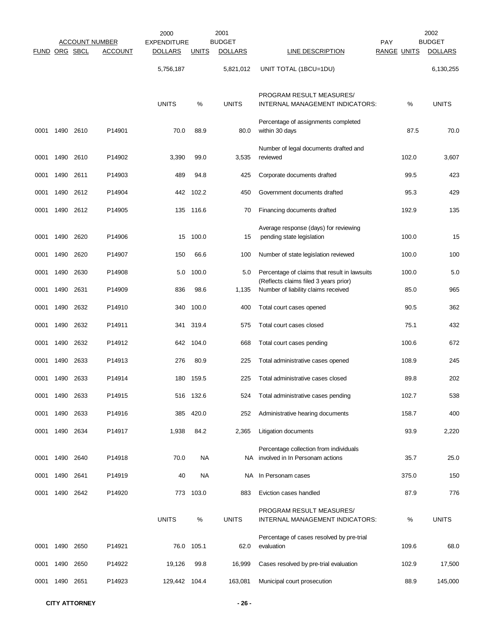|               |      |      |                                  | 2000                                 |              | 2001                            |                                                                                       |                                  | 2002                            |
|---------------|------|------|----------------------------------|--------------------------------------|--------------|---------------------------------|---------------------------------------------------------------------------------------|----------------------------------|---------------------------------|
| FUND ORG SBCL |      |      | ACCOUNT NUMBER<br><b>ACCOUNT</b> | <b>EXPENDITURE</b><br><u>DOLLARS</u> | <b>UNITS</b> | <b>BUDGET</b><br><b>DOLLARS</b> | LINE DESCRIPTION                                                                      | <b>PAY</b><br><b>RANGE UNITS</b> | <b>BUDGET</b><br><b>DOLLARS</b> |
|               |      |      |                                  | 5,756,187                            |              | 5,821,012                       | UNIT TOTAL (1BCU=1DU)                                                                 |                                  | 6,130,255                       |
|               |      |      |                                  | <b>UNITS</b>                         | %            | <b>UNITS</b>                    | PROGRAM RESULT MEASURES/<br>INTERNAL MANAGEMENT INDICATORS:                           | %                                | <b>UNITS</b>                    |
| 0001          | 1490 | 2610 | P14901                           | 70.0                                 | 88.9         | 80.0                            | Percentage of assignments completed<br>within 30 days                                 | 87.5                             | 70.0                            |
| 0001          | 1490 | 2610 | P14902                           | 3,390                                | 99.0         | 3,535                           | Number of legal documents drafted and<br>reviewed                                     | 102.0                            | 3,607                           |
| 0001          | 1490 | 2611 | P14903                           | 489                                  | 94.8         | 425                             | Corporate documents drafted                                                           | 99.5                             | 423                             |
| 0001          | 1490 | 2612 | P14904                           | 442                                  | 102.2        | 450                             | Government documents drafted                                                          | 95.3                             | 429                             |
| 0001          | 1490 | 2612 | P14905                           | 135                                  | 116.6        | 70                              | Financing documents drafted                                                           | 192.9                            | 135                             |
| 0001          | 1490 | 2620 | P14906                           | 15                                   | 100.0        | 15                              | Average response (days) for reviewing<br>pending state legislation                    | 100.0                            | 15                              |
| 0001          | 1490 | 2620 | P14907                           | 150                                  | 66.6         | 100                             | Number of state legislation reviewed                                                  | 100.0                            | 100                             |
| 0001          | 1490 | 2630 | P14908                           | 5.0                                  | 100.0        | 5.0                             | Percentage of claims that result in lawsuits<br>(Reflects claims filed 3 years prior) | 100.0                            | 5.0                             |
| 0001          | 1490 | 2631 | P14909                           | 836                                  | 98.6         | 1,135                           | Number of liability claims received                                                   | 85.0                             | 965                             |
| 0001          | 1490 | 2632 | P14910                           | 340                                  | 100.0        | 400                             | Total court cases opened                                                              | 90.5                             | 362                             |
| 0001          | 1490 | 2632 | P14911                           | 341                                  | 319.4        | 575                             | Total court cases closed                                                              | 75.1                             | 432                             |
| 0001          | 1490 | 2632 | P14912                           | 642                                  | 104.0        | 668                             | Total court cases pending                                                             | 100.6                            | 672                             |
| 0001          | 1490 | 2633 | P14913                           | 276                                  | 80.9         | 225                             | Total administrative cases opened                                                     | 108.9                            | 245                             |
| 0001          | 1490 | 2633 | P14914                           | 180                                  | 159.5        | 225                             | Total administrative cases closed                                                     | 89.8                             | 202                             |
| 0001          | 1490 | 2633 | P14915                           |                                      | 516 132.6    | 524                             | Total administrative cases pending                                                    | 102.7                            | 538                             |
| 0001          | 1490 | 2633 | P14916                           | 385                                  | 420.0        | 252                             | Administrative hearing documents                                                      | 158.7                            | 400                             |
| 0001          | 1490 | 2634 | P14917                           | 1,938                                | 84.2         | 2,365                           | Litigation documents                                                                  | 93.9                             | 2,220                           |
| 0001          | 1490 | 2640 | P14918                           | 70.0                                 | <b>NA</b>    | NA.                             | Percentage collection from individuals<br>involved in In Personam actions             | 35.7                             | 25.0                            |
| 0001          | 1490 | 2641 | P14919                           | 40                                   | NA           |                                 | NA In Personam cases                                                                  | 375.0                            | 150                             |
| 0001          | 1490 | 2642 | P14920                           | 773                                  | 103.0        | 883                             | Eviction cases handled                                                                | 87.9                             | 776                             |
|               |      |      |                                  | <b>UNITS</b>                         | %            | <b>UNITS</b>                    | PROGRAM RESULT MEASURES/<br>INTERNAL MANAGEMENT INDICATORS:                           | %                                | <b>UNITS</b>                    |
| 0001          | 1490 | 2650 | P14921                           | 76.0                                 | 105.1        | 62.0                            | Percentage of cases resolved by pre-trial<br>evaluation                               | 109.6                            | 68.0                            |
| 0001          | 1490 | 2650 | P14922                           | 19,126                               | 99.8         | 16,999                          | Cases resolved by pre-trial evaluation                                                | 102.9                            | 17,500                          |
| 0001          | 1490 | 2651 | P14923                           | 129,442 104.4                        |              | 163,081                         | Municipal court prosecution                                                           | 88.9                             | 145,000                         |
|               |      |      |                                  |                                      |              |                                 |                                                                                       |                                  |                                 |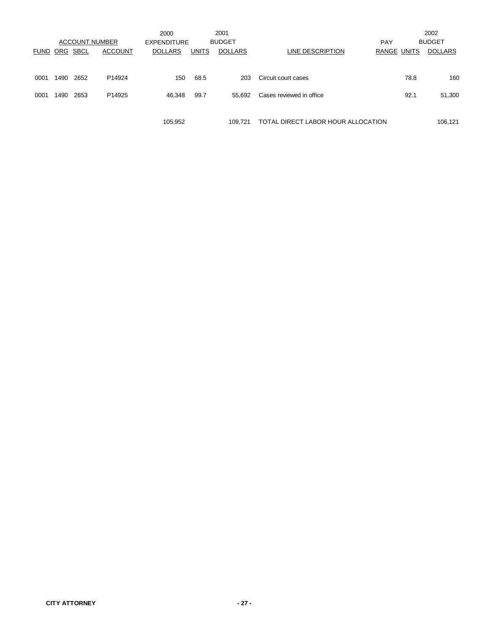|             |       |      | <b>ACCOUNT NUMBER</b> | 2000<br><b>EXPENDITURE</b> |              | 2001<br><b>BUDGET</b> |                                    | PAY                |      | 2002<br><b>BUDGET</b> |
|-------------|-------|------|-----------------------|----------------------------|--------------|-----------------------|------------------------------------|--------------------|------|-----------------------|
| <b>FUND</b> | ORG   | SBCL | <b>ACCOUNT</b>        | <b>DOLLARS</b>             | <b>UNITS</b> | <b>DOLLARS</b>        | LINE DESCRIPTION                   | <b>RANGE UNITS</b> |      | <b>DOLLARS</b>        |
| 0001        | 1490. | 2652 | P14924                | 150                        | 68.5         | 203                   | Circuit court cases                |                    | 78.8 | 160                   |
| 0001        | 1490  | 2653 | P <sub>14925</sub>    | 46,348                     | 99.7         | 55.692                | Cases reviewed in office           |                    | 92.1 | 51,300                |
|             |       |      |                       | 105,952                    |              | 109.721               | TOTAL DIRECT LABOR HOUR ALLOCATION |                    |      | 106,121               |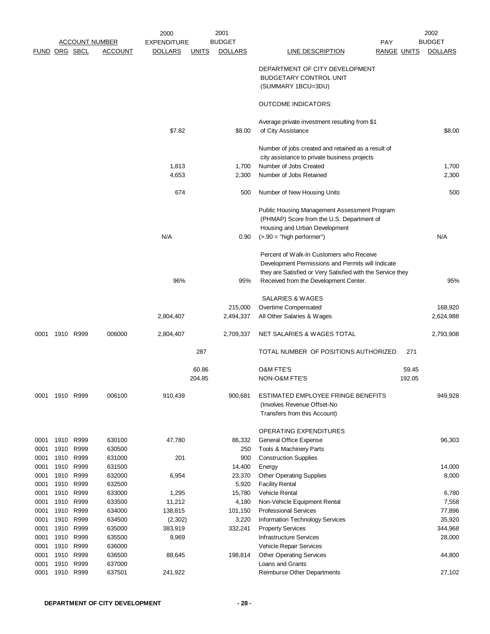|                      |      |           |                       | 2000               |              | 2001           |                                                            |                    | 2002           |
|----------------------|------|-----------|-----------------------|--------------------|--------------|----------------|------------------------------------------------------------|--------------------|----------------|
|                      |      |           | <u>ACCOUNT NUMBER</u> | <b>EXPENDITURE</b> |              | <b>BUDGET</b>  | PAY                                                        |                    | <b>BUDGET</b>  |
| <b>FUND ORG SBCL</b> |      |           | <b>ACCOUNT</b>        | <b>DOLLARS</b>     | <b>UNITS</b> | <b>DOLLARS</b> | <b>LINE DESCRIPTION</b>                                    | <b>RANGE UNITS</b> | <b>DOLLARS</b> |
|                      |      |           |                       |                    |              |                | DEPARTMENT OF CITY DEVELOPMENT                             |                    |                |
|                      |      |           |                       |                    |              |                | <b>BUDGETARY CONTROL UNIT</b>                              |                    |                |
|                      |      |           |                       |                    |              |                | (SUMMARY 1BCU=3DU)                                         |                    |                |
|                      |      |           |                       |                    |              |                | <b>OUTCOME INDICATORS:</b>                                 |                    |                |
|                      |      |           |                       |                    |              |                | Average private investment resulting from \$1              |                    |                |
|                      |      |           |                       | \$7.82             |              | \$8.00         | of City Assistance                                         |                    | \$8.00         |
|                      |      |           |                       |                    |              |                | Number of jobs created and retained as a result of         |                    |                |
|                      |      |           |                       |                    |              |                | city assistance to private business projects               |                    |                |
|                      |      |           |                       | 1,813              |              | 1,700          | Number of Jobs Created                                     |                    | 1,700          |
|                      |      |           |                       | 4,653              |              | 2,300          | Number of Jobs Retained                                    |                    | 2,300          |
|                      |      |           |                       | 674                |              | 500            | Number of New Housing Units                                |                    | 500            |
|                      |      |           |                       |                    |              |                | Public Housing Management Assessment Program               |                    |                |
|                      |      |           |                       |                    |              |                | (PHMAP) Score from the U.S. Department of                  |                    |                |
|                      |      |           |                       |                    |              |                | Housing and Urban Development                              |                    |                |
|                      |      |           |                       | N/A                |              | 0.90           | $($ >.90 = "high performer")                               |                    | N/A            |
|                      |      |           |                       |                    |              |                | Percent of Walk-In Customers who Receive                   |                    |                |
|                      |      |           |                       |                    |              |                | Development Permissions and Permits will Indicate          |                    |                |
|                      |      |           |                       |                    |              |                | they are Satisfied or Very Satisfied with the Service they |                    |                |
|                      |      |           |                       | 96%                |              | 95%            | Received from the Development Center.                      |                    | 95%            |
|                      |      |           |                       |                    |              |                | SALARIES & WAGES                                           |                    |                |
|                      |      |           |                       |                    |              | 215,000        | Overtime Compensated                                       |                    | 168,920        |
|                      |      |           |                       | 2,804,407          |              | 2,494,337      | All Other Salaries & Wages                                 |                    | 2,624,988      |
| 0001                 |      | 1910 R999 | 006000                | 2,804,407          |              | 2,709,337      | NET SALARIES & WAGES TOTAL                                 |                    | 2,793,908      |
|                      |      |           |                       |                    | 287          |                | TOTAL NUMBER OF POSITIONS AUTHORIZED                       | 271                |                |
|                      |      |           |                       |                    | 60.86        |                | <b>O&amp;M FTE'S</b>                                       | 59.45              |                |
|                      |      |           |                       |                    | 204.85       |                | NON-O&M FTE'S                                              | 192.05             |                |
| 0001                 |      | 1910 R999 | 006100                | 910,439            |              | 900,681        | ESTIMATED EMPLOYEE FRINGE BENEFITS                         |                    | 949,928        |
|                      |      |           |                       |                    |              |                | (Involves Revenue Offset-No                                |                    |                |
|                      |      |           |                       |                    |              |                | Transfers from this Account)                               |                    |                |
|                      |      |           |                       |                    |              |                | OPERATING EXPENDITURES                                     |                    |                |
| 0001                 |      | 1910 R999 | 630100                | 47,780             |              | 86,332         | General Office Expense                                     |                    | 96,303         |
| 0001                 | 1910 | R999      | 630500                |                    |              | 250            | Tools & Machinery Parts                                    |                    |                |
| 0001                 | 1910 | R999      | 631000                | 201                |              | 900            | <b>Construction Supplies</b>                               |                    |                |
| 0001                 | 1910 | R999      | 631500                |                    |              | 14,400         | Energy                                                     |                    | 14,000         |
| 0001                 | 1910 | R999      | 632000                | 6,954              |              | 23,370         | <b>Other Operating Supplies</b>                            |                    | 8,000          |
| 0001                 | 1910 | R999      | 632500                |                    |              | 5,920          | <b>Facility Rental</b>                                     |                    |                |
| 0001                 |      | 1910 R999 | 633000                | 1,295              |              | 15,780         | Vehicle Rental                                             |                    | 6,780          |
| 0001                 | 1910 | R999      | 633500                | 11,212             |              | 4,180          | Non-Vehicle Equipment Rental                               |                    | 7,558          |
| 0001                 | 1910 | R999      | 634000                | 138,815            |              | 101,150        | <b>Professional Services</b>                               |                    | 77,896         |
| 0001                 | 1910 | R999      | 634500                | (2,302)            |              | 3,220          | Information Technology Services                            |                    | 35,920         |
| 0001                 | 1910 | R999      | 635000                | 383,919            |              | 332,241        | <b>Property Services</b>                                   |                    | 344,968        |
| 0001                 | 1910 | R999      | 635500                | 9,969              |              |                | <b>Infrastructure Services</b>                             |                    | 28,000         |
| 0001                 | 1910 | R999      | 636000                |                    |              |                | Vehicle Repair Services                                    |                    |                |
| 0001                 | 1910 | R999      | 636500                | 88,645             |              | 198,814        | <b>Other Operating Services</b>                            |                    | 44,800         |
| 0001                 | 1910 | R999      | 637000                |                    |              |                | Loans and Grants                                           |                    |                |
| 0001                 | 1910 | R999      | 637501                | 241,922            |              |                | Reimburse Other Departments                                |                    | 27,102         |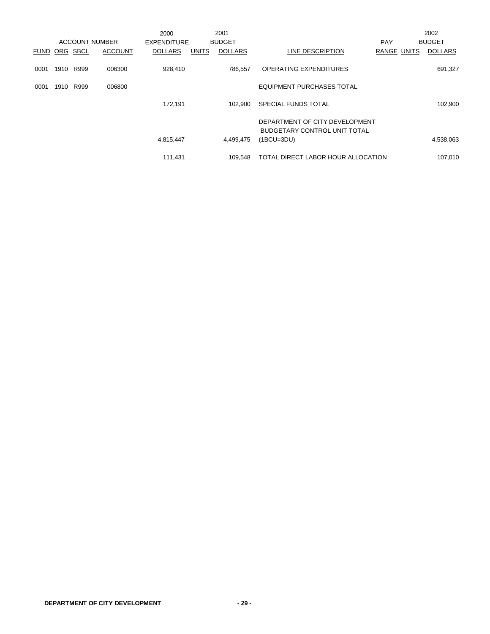|             |      |             |                       | 2000               |              | 2001           |                                                                |                    | 2002           |
|-------------|------|-------------|-----------------------|--------------------|--------------|----------------|----------------------------------------------------------------|--------------------|----------------|
|             |      |             | <b>ACCOUNT NUMBER</b> | <b>EXPENDITURE</b> |              | <b>BUDGET</b>  |                                                                | <b>PAY</b>         | <b>BUDGET</b>  |
| <b>FUND</b> | ORG  | <b>SBCL</b> | <b>ACCOUNT</b>        | <b>DOLLARS</b>     | <b>UNITS</b> | <b>DOLLARS</b> | LINE DESCRIPTION                                               | <b>RANGE UNITS</b> | <b>DOLLARS</b> |
| 0001        | 1910 | R999        | 006300                | 928,410            |              | 786.557        | OPERATING EXPENDITURES                                         |                    | 691,327        |
| 0001        | 1910 | R999        | 006800                |                    |              |                | <b>EQUIPMENT PURCHASES TOTAL</b>                               |                    |                |
|             |      |             |                       | 172,191            |              | 102.900        | SPECIAL FUNDS TOTAL                                            |                    | 102,900        |
|             |      |             |                       |                    |              |                | DEPARTMENT OF CITY DEVELOPMENT<br>BUDGETARY CONTROL UNIT TOTAL |                    |                |
|             |      |             |                       | 4,815,447          |              | 4,499,475      | $(1BCU=3DU)$                                                   |                    | 4,538,063      |
|             |      |             |                       | 111,431            |              | 109.548        | TOTAL DIRECT LABOR HOUR ALLOCATION                             |                    | 107,010        |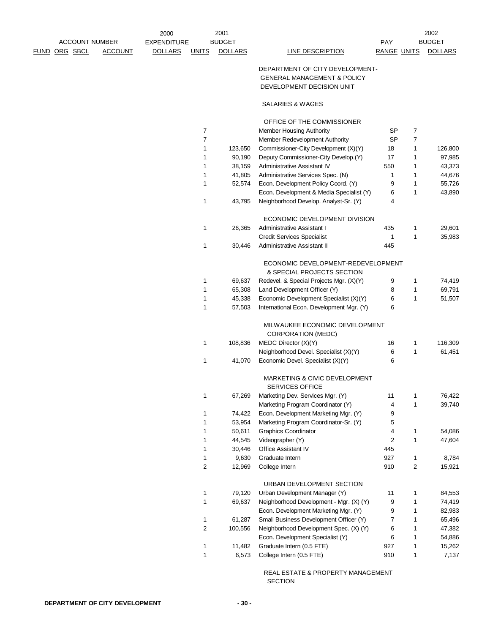|                       |                | 2000               |                | 2001           |                                                                    |                    |              | 2002           |
|-----------------------|----------------|--------------------|----------------|----------------|--------------------------------------------------------------------|--------------------|--------------|----------------|
| <b>ACCOUNT NUMBER</b> |                | <b>EXPENDITURE</b> |                | <b>BUDGET</b>  |                                                                    | <b>PAY</b>         |              | <b>BUDGET</b>  |
| FUND ORG SBCL         | <b>ACCOUNT</b> | <b>DOLLARS</b>     | <b>UNITS</b>   | <b>DOLLARS</b> | <b>LINE DESCRIPTION</b>                                            | <b>RANGE UNITS</b> |              | <b>DOLLARS</b> |
|                       |                |                    |                |                | DEPARTMENT OF CITY DEVELOPMENT-                                    |                    |              |                |
|                       |                |                    |                |                | <b>GENERAL MANAGEMENT &amp; POLICY</b>                             |                    |              |                |
|                       |                |                    |                |                | DEVELOPMENT DECISION UNIT                                          |                    |              |                |
|                       |                |                    |                |                | SALARIES & WAGES                                                   |                    |              |                |
|                       |                |                    |                |                | OFFICE OF THE COMMISSIONER                                         |                    |              |                |
|                       |                |                    | $\overline{7}$ |                | <b>Member Housing Authority</b>                                    | SP                 | 7            |                |
|                       |                |                    | $\overline{7}$ |                | Member Redevelopment Authority                                     | SP                 | 7            |                |
|                       |                |                    | 1              | 123,650        | Commissioner-City Development (X)(Y)                               | 18                 | $\mathbf{1}$ | 126,800        |
|                       |                |                    | 1              | 90,190         | Deputy Commissioner-City Develop.(Y)                               | 17                 | $\mathbf{1}$ | 97,985         |
|                       |                |                    | 1              | 38,159         | Administrative Assistant IV                                        | 550                | 1            | 43,373         |
|                       |                |                    | $\mathbf{1}$   | 41,805         | Administrative Services Spec. (N)                                  | 1                  | 1            | 44,676         |
|                       |                |                    | 1              | 52,574         | Econ. Development Policy Coord. (Y)                                | 9                  | 1            | 55,726         |
|                       |                |                    |                |                | Econ. Development & Media Specialist (Y)                           | 6                  | $\mathbf{1}$ | 43,890         |
|                       |                |                    | $\mathbf{1}$   | 43,795         | Neighborhood Develop. Analyst-Sr. (Y)                              | 4                  |              |                |
|                       |                |                    |                |                | ECONOMIC DEVELOPMENT DIVISION                                      |                    |              |                |
|                       |                |                    | 1              | 26,365         | Administrative Assistant I                                         | 435                | 1            | 29,601         |
|                       |                |                    |                |                | <b>Credit Services Specialist</b>                                  | 1                  | $\mathbf{1}$ | 35,983         |
|                       |                |                    | 1              | 30,446         | Administrative Assistant II                                        | 445                |              |                |
|                       |                |                    |                |                | ECONOMIC DEVELOPMENT-REDEVELOPMENT<br>& SPECIAL PROJECTS SECTION   |                    |              |                |
|                       |                |                    | 1              | 69,637         | Redevel. & Special Projects Mgr. (X)(Y)                            | 9                  | 1            | 74,419         |
|                       |                |                    | 1              | 65,308         | Land Development Officer (Y)                                       | 8                  | 1            | 69,791         |
|                       |                |                    | 1              | 45,338         | Economic Development Specialist (X)(Y)                             | 6                  | $\mathbf{1}$ | 51,507         |
|                       |                |                    | $\mathbf{1}$   | 57,503         | International Econ. Development Mgr. (Y)                           | 6                  |              |                |
|                       |                |                    |                |                | MILWAUKEE ECONOMIC DEVELOPMENT<br><b>CORPORATION (MEDC)</b>        |                    |              |                |
|                       |                |                    | 1              | 108,836        | MEDC Director (X)(Y)                                               | 16                 | $\mathbf{1}$ | 116,309        |
|                       |                |                    |                |                | Neighborhood Devel. Specialist (X)(Y)                              | 6                  | $\mathbf{1}$ | 61,451         |
|                       |                |                    | 1              | 41,070         | Economic Devel. Specialist (X)(Y)                                  | 6                  |              |                |
|                       |                |                    |                |                | <b>MARKETING &amp; CIVIC DEVELOPMENT</b><br><b>SERVICES OFFICE</b> |                    |              |                |
|                       |                |                    | $\mathbf 1$    | 67,269         | Marketing Dev. Services Mgr. (Y)                                   | 11                 | 1            | 76,422         |
|                       |                |                    |                |                | Marketing Program Coordinator (Y)                                  | 4                  | $\mathbf{1}$ | 39,740         |
|                       |                |                    | 1              | 74,422         | Econ. Development Marketing Mgr. (Y)                               | 9                  |              |                |
|                       |                |                    | 1              | 53,954         | Marketing Program Coordinator-Sr. (Y)                              | 5                  |              |                |
|                       |                |                    | 1              | 50,611         | <b>Graphics Coordinator</b>                                        | 4                  | 1            | 54,086         |
|                       |                |                    | 1              | 44,545         | Videographer (Y)                                                   | $\overline{c}$     | $\mathbf{1}$ | 47,604         |
|                       |                |                    | 1              | 30,446         | Office Assistant IV                                                | 445                |              |                |
|                       |                |                    | 1              | 9,630          | Graduate Intern                                                    | 927                | $\mathbf{1}$ | 8,784          |
|                       |                |                    | $\overline{2}$ | 12,969         | College Intern                                                     | 910                | 2            | 15,921         |
|                       |                |                    |                |                | URBAN DEVELOPMENT SECTION                                          |                    |              |                |
|                       |                |                    | 1              | 79,120         | Urban Development Manager (Y)                                      | 11                 | $\mathbf{1}$ | 84,553         |
|                       |                |                    | 1              | 69,637         | Neighborhood Development - Mgr. (X) (Y)                            | 9                  | $\mathbf{1}$ | 74,419         |
|                       |                |                    |                |                | Econ. Development Marketing Mgr. (Y)                               | 9                  | 1            | 82,983         |
|                       |                |                    | 1              | 61,287         | Small Business Development Officer (Y)                             | 7                  | $\mathbf{1}$ | 65,496         |
|                       |                |                    | 2              | 100,556        | Neighborhood Development Spec. (X) (Y)                             | 6                  | $\mathbf{1}$ | 47,382         |
|                       |                |                    |                |                | Econ. Development Specialist (Y)                                   | 6                  | $\mathbf{1}$ | 54,886         |
|                       |                |                    | 1              | 11,482         | Graduate Intern (0.5 FTE)                                          | 927                | $\mathbf{1}$ | 15,262         |
|                       |                |                    | 1              | 6,573          | College Intern (0.5 FTE)                                           | 910                | $\mathbf{1}$ | 7,137          |

 REAL ESTATE & PROPERTY MANAGEMENT SECTION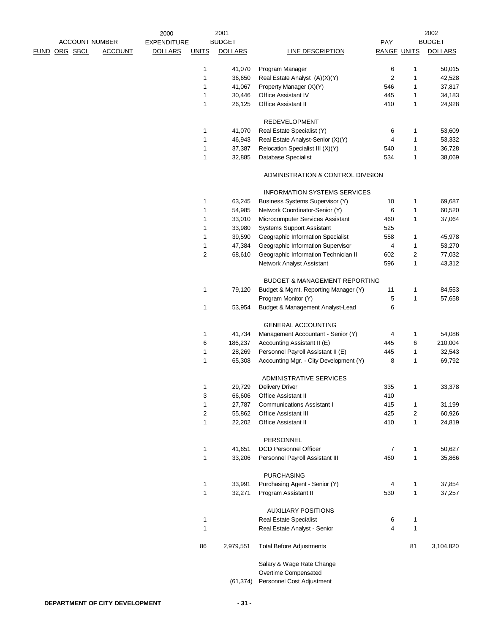|                      |                       |                | 2000               |              | 2001             |                                                                   |                    |                   | 2002             |
|----------------------|-----------------------|----------------|--------------------|--------------|------------------|-------------------------------------------------------------------|--------------------|-------------------|------------------|
|                      | <b>ACCOUNT NUMBER</b> |                | <b>EXPENDITURE</b> |              | <b>BUDGET</b>    |                                                                   | <b>PAY</b>         |                   | <b>BUDGET</b>    |
| <b>FUND ORG SBCL</b> |                       | <b>ACCOUNT</b> | <b>DOLLARS</b>     | <b>UNITS</b> | <b>DOLLARS</b>   | LINE DESCRIPTION                                                  | <b>RANGE UNITS</b> |                   | <b>DOLLARS</b>   |
|                      |                       |                |                    | 1            | 41,070           | Program Manager                                                   | 6                  | 1                 | 50,015           |
|                      |                       |                |                    | 1            | 36,650           | Real Estate Analyst (A)(X)(Y)                                     | 2                  | 1                 | 42,528           |
|                      |                       |                |                    | 1            | 41,067           | Property Manager (X)(Y)                                           | 546                | 1                 | 37,817           |
|                      |                       |                |                    | 1            | 30,446           | Office Assistant IV                                               | 445                | 1                 | 34,183           |
|                      |                       |                |                    | 1            | 26,125           | <b>Office Assistant II</b>                                        | 410                | 1                 | 24,928           |
|                      |                       |                |                    |              |                  | <b>REDEVELOPMENT</b>                                              |                    |                   |                  |
|                      |                       |                |                    | 1            | 41,070           | Real Estate Specialist (Y)                                        | 6                  | 1                 | 53,609           |
|                      |                       |                |                    | 1            | 46,943           | Real Estate Analyst-Senior (X)(Y)                                 | 4                  | 1                 | 53,332           |
|                      |                       |                |                    | 1            | 37,387           | Relocation Specialist III (X)(Y)                                  | 540                | 1                 | 36,728           |
|                      |                       |                |                    | 1            | 32,885           | Database Specialist                                               | 534                | 1                 | 38,069           |
|                      |                       |                |                    |              |                  | ADMINISTRATION & CONTROL DIVISION                                 |                    |                   |                  |
|                      |                       |                |                    |              |                  | <b>INFORMATION SYSTEMS SERVICES</b>                               |                    |                   |                  |
|                      |                       |                |                    | 1            | 63,245           | Business Systems Supervisor (Y)                                   | 10                 | 1                 | 69,687           |
|                      |                       |                |                    | 1            | 54,985           | Network Coordinator-Senior (Y)                                    | 6                  | 1                 | 60,520           |
|                      |                       |                |                    | 1            |                  | Microcomputer Services Assistant                                  |                    | 1                 |                  |
|                      |                       |                |                    |              | 33,010           |                                                                   | 460                |                   | 37,064           |
|                      |                       |                |                    | 1            | 33,980<br>39,590 | <b>Systems Support Assistant</b>                                  | 525                |                   |                  |
|                      |                       |                |                    | 1            |                  | Geographic Information Specialist                                 | 558                | 1                 | 45,978           |
|                      |                       |                |                    | 1            | 47,384           | Geographic Information Supervisor                                 | 4                  | 1                 | 53,270           |
|                      |                       |                |                    | 2            | 68,610           | Geographic Information Technician II<br>Network Analyst Assistant | 602<br>596         | 2<br>$\mathbf{1}$ | 77,032<br>43,312 |
|                      |                       |                |                    |              |                  |                                                                   |                    |                   |                  |
|                      |                       |                |                    |              |                  | <b>BUDGET &amp; MANAGEMENT REPORTING</b>                          |                    |                   |                  |
|                      |                       |                |                    | 1            | 79,120           | Budget & Mgmt. Reporting Manager (Y)                              | 11                 | 1                 | 84,553           |
|                      |                       |                |                    |              |                  | Program Monitor (Y)                                               | 5                  | 1                 | 57,658           |
|                      |                       |                |                    | 1            | 53,954           | Budget & Management Analyst-Lead                                  | 6                  |                   |                  |
|                      |                       |                |                    |              |                  | <b>GENERAL ACCOUNTING</b>                                         |                    |                   |                  |
|                      |                       |                |                    | 1            | 41,734           | Management Accountant - Senior (Y)                                | 4                  | 1                 | 54,086           |
|                      |                       |                |                    | 6            | 186,237          | Accounting Assistant II (E)                                       | 445                | 6                 | 210,004          |
|                      |                       |                |                    | 1            | 28,269           | Personnel Payroll Assistant II (E)                                | 445                | 1                 | 32,543           |
|                      |                       |                |                    | 1            | 65,308           | Accounting Mgr. - City Development (Y)                            | 8                  | 1                 | 69,792           |
|                      |                       |                |                    |              |                  | <b>ADMINISTRATIVE SERVICES</b>                                    |                    |                   |                  |
|                      |                       |                |                    |              | 29,729           | <b>Delivery Driver</b>                                            | 335                |                   | 33,378           |
|                      |                       |                |                    | 3            | 66,606           | <b>Office Assistant II</b>                                        | 410                |                   |                  |
|                      |                       |                |                    | 1            | 27,787           | <b>Communications Assistant I</b>                                 | 415                | 1                 | 31,199           |
|                      |                       |                |                    | 2            | 55,862           | <b>Office Assistant III</b>                                       | 425                | 2                 | 60,926           |
|                      |                       |                |                    | 1            | 22,202           | Office Assistant II                                               | 410                | $\mathbf{1}$      | 24,819           |
|                      |                       |                |                    |              |                  | PERSONNEL                                                         |                    |                   |                  |
|                      |                       |                |                    | 1            | 41,651           | <b>DCD Personnel Officer</b>                                      | 7                  | 1                 | 50,627           |
|                      |                       |                |                    | 1            | 33,206           | Personnel Payroll Assistant III                                   | 460                | 1                 | 35,866           |
|                      |                       |                |                    |              |                  | <b>PURCHASING</b>                                                 |                    |                   |                  |
|                      |                       |                |                    | 1            | 33,991           | Purchasing Agent - Senior (Y)                                     | 4                  | 1                 | 37,854           |
|                      |                       |                |                    | 1            | 32,271           | Program Assistant II                                              | 530                | $\mathbf{1}$      | 37,257           |
|                      |                       |                |                    |              |                  |                                                                   |                    |                   |                  |
|                      |                       |                |                    |              |                  | <b>AUXILIARY POSITIONS</b>                                        |                    |                   |                  |
|                      |                       |                |                    | 1            |                  | Real Estate Specialist                                            | 6                  | 1                 |                  |
|                      |                       |                |                    | 1            |                  | Real Estate Analyst - Senior                                      | 4                  | $\mathbf{1}$      |                  |
|                      |                       |                |                    | 86           | 2,979,551        | <b>Total Before Adjustments</b>                                   |                    | 81                | 3,104,820        |
|                      |                       |                |                    |              |                  | Salary & Wage Rate Change                                         |                    |                   |                  |
|                      |                       |                |                    |              |                  | Overtime Compensated                                              |                    |                   |                  |
|                      |                       |                |                    |              | (61, 374)        | Personnel Cost Adjustment                                         |                    |                   |                  |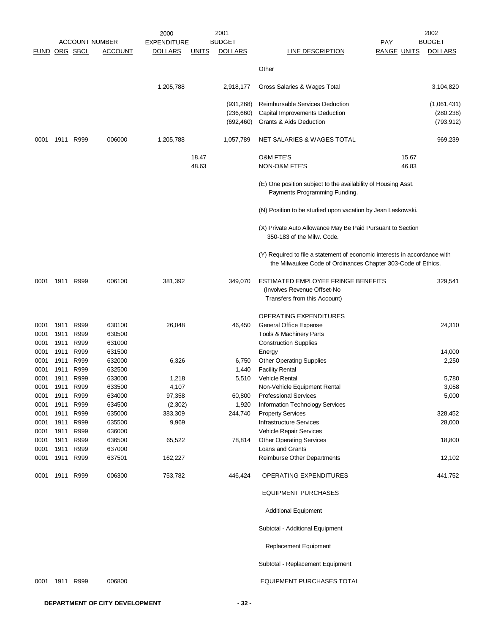|                      |                |              |                       | 2000               |              | 2001           |                                                                                                                                           |                    |       | 2002           |
|----------------------|----------------|--------------|-----------------------|--------------------|--------------|----------------|-------------------------------------------------------------------------------------------------------------------------------------------|--------------------|-------|----------------|
|                      |                |              | <b>ACCOUNT NUMBER</b> | <b>EXPENDITURE</b> |              | <b>BUDGET</b>  |                                                                                                                                           | <b>PAY</b>         |       | <b>BUDGET</b>  |
| <b>FUND ORG SBCL</b> |                |              | <u>ACCOUNT</u>        | <b>DOLLARS</b>     | <u>UNITS</u> | <b>DOLLARS</b> | <b>LINE DESCRIPTION</b>                                                                                                                   | <u>RANGE UNITS</u> |       | <b>DOLLARS</b> |
|                      |                |              |                       |                    |              |                | Other                                                                                                                                     |                    |       |                |
|                      |                |              |                       |                    |              |                |                                                                                                                                           |                    |       |                |
|                      |                |              |                       | 1,205,788          |              | 2,918,177      | Gross Salaries & Wages Total                                                                                                              |                    |       | 3,104,820      |
|                      |                |              |                       |                    |              | (931, 268)     | Reimbursable Services Deduction                                                                                                           |                    |       | (1,061,431)    |
|                      |                |              |                       |                    |              | (236,660)      | Capital Improvements Deduction                                                                                                            |                    |       | (280, 238)     |
|                      |                |              |                       |                    |              | (692, 460)     | Grants & Aids Deduction                                                                                                                   |                    |       | (793, 912)     |
| 0001                 | 1911           | R999         | 006000                | 1,205,788          |              | 1,057,789      | NET SALARIES & WAGES TOTAL                                                                                                                |                    |       | 969,239        |
|                      |                |              |                       |                    | 18.47        |                | <b>O&amp;M FTE'S</b>                                                                                                                      |                    | 15.67 |                |
|                      |                |              |                       |                    | 48.63        |                | NON-O&M FTE'S                                                                                                                             |                    | 46.83 |                |
|                      |                |              |                       |                    |              |                | (E) One position subject to the availability of Housing Asst.<br>Payments Programming Funding.                                            |                    |       |                |
|                      |                |              |                       |                    |              |                | (N) Position to be studied upon vacation by Jean Laskowski.                                                                               |                    |       |                |
|                      |                |              |                       |                    |              |                | (X) Private Auto Allowance May Be Paid Pursuant to Section<br>350-183 of the Milw. Code.                                                  |                    |       |                |
|                      |                |              |                       |                    |              |                | (Y) Required to file a statement of economic interests in accordance with<br>the Milwaukee Code of Ordinances Chapter 303-Code of Ethics. |                    |       |                |
| 0001                 | 1911           | R999         | 006100                | 381,392            |              | 349,070        | ESTIMATED EMPLOYEE FRINGE BENEFITS<br>(Involves Revenue Offset-No<br>Transfers from this Account)                                         |                    |       | 329,541        |
|                      |                |              |                       |                    |              |                | OPERATING EXPENDITURES                                                                                                                    |                    |       |                |
| 0001                 |                | 1911 R999    | 630100                | 26,048             |              | 46,450         | General Office Expense                                                                                                                    |                    |       | 24,310         |
| 0001                 | 1911           | R999         | 630500                |                    |              |                | Tools & Machinery Parts                                                                                                                   |                    |       |                |
| 0001                 | 1911           | R999         | 631000                |                    |              |                | <b>Construction Supplies</b>                                                                                                              |                    |       |                |
| 0001                 | 1911           | R999         | 631500                |                    |              |                | Energy                                                                                                                                    |                    |       | 14,000         |
| 0001                 | 1911           | R999         | 632000                | 6,326              |              | 6,750          | <b>Other Operating Supplies</b>                                                                                                           |                    |       | 2,250          |
| 0001                 | 1911           | R999         | 632500                |                    |              | 1,440          | <b>Facility Rental</b>                                                                                                                    |                    |       |                |
| 0001                 | 1911           | R999         | 633000                | 1,218              |              | 5,510          | Vehicle Rental                                                                                                                            |                    |       | 5,780          |
| 0001                 | 1911           | R999         | 633500                | 4,107              |              |                | Non-Vehicle Equipment Rental                                                                                                              |                    |       | 3,058          |
| 0001                 | 1911           | R999         | 634000                | 97,358             |              | 60,800         | <b>Professional Services</b>                                                                                                              |                    |       | 5,000          |
| 0001                 | 1911           | R999         | 634500                | (2,302)            |              | 1,920          | Information Technology Services                                                                                                           |                    |       |                |
| 0001                 | 1911           | R999         | 635000                | 383,309            |              | 244,740        | <b>Property Services</b>                                                                                                                  |                    |       | 328,452        |
| 0001                 | 1911           | R999         | 635500                | 9,969              |              |                | <b>Infrastructure Services</b>                                                                                                            |                    |       | 28,000         |
| 0001                 | 1911           | R999         | 636000                |                    |              |                | Vehicle Repair Services                                                                                                                   |                    |       |                |
| 0001                 | 1911           | R999         | 636500                | 65,522             |              | 78,814         | <b>Other Operating Services</b>                                                                                                           |                    |       | 18,800         |
| 0001<br>0001         | 1911<br>1911   | R999<br>R999 | 637000<br>637501      | 162,227            |              |                | Loans and Grants<br><b>Reimburse Other Departments</b>                                                                                    |                    |       | 12,102         |
|                      |                |              |                       |                    |              |                |                                                                                                                                           |                    |       |                |
| 0001                 |                | 1911 R999    | 006300                | 753,782            |              | 446,424        | OPERATING EXPENDITURES                                                                                                                    |                    |       | 441,752        |
|                      |                |              |                       |                    |              |                | <b>EQUIPMENT PURCHASES</b>                                                                                                                |                    |       |                |
|                      |                |              |                       |                    |              |                | <b>Additional Equipment</b>                                                                                                               |                    |       |                |
|                      |                |              |                       |                    |              |                | Subtotal - Additional Equipment                                                                                                           |                    |       |                |
|                      |                |              |                       |                    |              |                | Replacement Equipment                                                                                                                     |                    |       |                |
|                      |                |              |                       |                    |              |                | Subtotal - Replacement Equipment                                                                                                          |                    |       |                |
|                      | 0001 1911 R999 |              | 006800                |                    |              |                | <b>EQUIPMENT PURCHASES TOTAL</b>                                                                                                          |                    |       |                |
|                      |                |              |                       |                    |              |                |                                                                                                                                           |                    |       |                |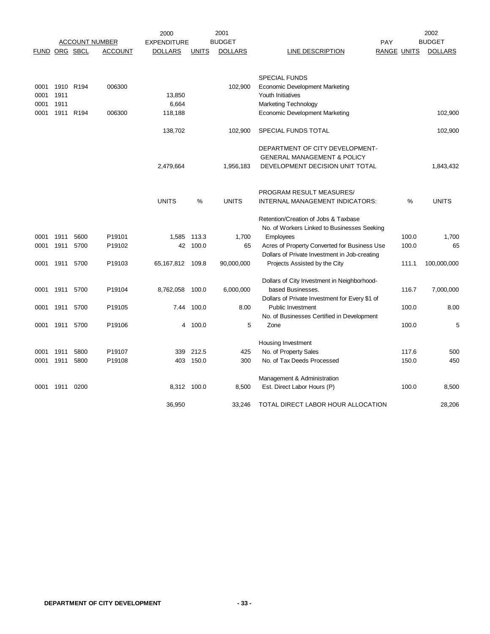|                      |           |           |                       | 2000               |              | 2001           |                                                                                |     |                    | 2002           |
|----------------------|-----------|-----------|-----------------------|--------------------|--------------|----------------|--------------------------------------------------------------------------------|-----|--------------------|----------------|
|                      |           |           | <b>ACCOUNT NUMBER</b> | <b>EXPENDITURE</b> |              | <b>BUDGET</b>  |                                                                                | PAY |                    | <b>BUDGET</b>  |
| <b>FUND ORG SBCL</b> |           |           | <b>ACCOUNT</b>        | <b>DOLLARS</b>     | <b>UNITS</b> | <b>DOLLARS</b> | <b>LINE DESCRIPTION</b>                                                        |     | <b>RANGE UNITS</b> | <b>DOLLARS</b> |
|                      |           |           |                       |                    |              |                |                                                                                |     |                    |                |
|                      |           |           |                       |                    |              |                | <b>SPECIAL FUNDS</b>                                                           |     |                    |                |
| 0001                 |           | 1910 R194 | 006300                |                    |              | 102,900        | <b>Economic Development Marketing</b>                                          |     |                    |                |
| 0001                 | 1911      |           |                       | 13,850             |              |                | Youth Initiatives                                                              |     |                    |                |
| 0001                 | 1911      |           |                       | 6,664              |              |                | Marketing Technology                                                           |     |                    |                |
| 0001                 |           | 1911 R194 | 006300                | 118,188            |              |                | <b>Economic Development Marketing</b>                                          |     |                    | 102,900        |
|                      |           |           |                       | 138,702            |              | 102,900        | SPECIAL FUNDS TOTAL                                                            |     |                    | 102,900        |
|                      |           |           |                       |                    |              |                | DEPARTMENT OF CITY DEVELOPMENT-                                                |     |                    |                |
|                      |           |           |                       |                    |              |                | <b>GENERAL MANAGEMENT &amp; POLICY</b>                                         |     |                    |                |
|                      |           |           |                       | 2,479,664          |              | 1,956,183      | DEVELOPMENT DECISION UNIT TOTAL                                                |     |                    | 1,843,432      |
|                      |           |           |                       |                    |              |                | PROGRAM RESULT MEASURES/                                                       |     |                    |                |
|                      |           |           |                       | <b>UNITS</b>       | %            | <b>UNITS</b>   | INTERNAL MANAGEMENT INDICATORS:                                                |     | %                  | <b>UNITS</b>   |
|                      |           |           |                       |                    |              |                | Retention/Creation of Jobs & Taxbase                                           |     |                    |                |
|                      |           |           |                       |                    |              |                | No. of Workers Linked to Businesses Seeking                                    |     |                    |                |
| 0001                 | 1911      | 5600      | P19101                | 1,585              | 113.3        | 1,700          | Employees                                                                      |     | 100.0              | 1,700          |
| 0001                 | 1911      | 5700      | P19102                | 42                 | 100.0        | 65             | Acres of Property Converted for Business Use                                   |     | 100.0              | 65             |
| 0001                 | 1911      | 5700      | P19103                | 65,167,812 109.8   |              | 90,000,000     | Dollars of Private Investment in Job-creating<br>Projects Assisted by the City |     | 111.1              | 100,000,000    |
|                      |           |           |                       |                    |              |                |                                                                                |     |                    |                |
|                      |           |           |                       |                    |              |                | Dollars of City Investment in Neighborhood-                                    |     |                    |                |
| 0001                 | 1911 5700 |           | P19104                | 8,762,058          | 100.0        | 6,000,000      | based Businesses.                                                              |     | 116.7              | 7,000,000      |
|                      |           |           |                       | 7.44               |              | 8.00           | Dollars of Private Investment for Every \$1 of                                 |     | 100.0              | 8.00           |
| 0001                 | 1911      | 5700      | P19105                |                    | 100.0        |                | <b>Public Investment</b><br>No. of Businesses Certified in Development         |     |                    |                |
| 0001                 | 1911      | 5700      | P19106                | 4                  | 100.0        | 5              | Zone                                                                           |     | 100.0              | 5              |
|                      |           |           |                       |                    |              |                | Housing Investment                                                             |     |                    |                |
| 0001                 | 1911      | 5800      | P19107                |                    | 339 212.5    | 425            | No. of Property Sales                                                          |     | 117.6              | 500            |
| 0001                 | 1911      | 5800      | P19108                |                    | 403 150.0    | 300            | No. of Tax Deeds Processed                                                     |     | 150.0              | 450            |
|                      |           |           |                       |                    |              |                |                                                                                |     |                    |                |
|                      |           |           |                       |                    |              |                | Management & Administration                                                    |     |                    |                |
| 0001                 | 1911      | 0200      |                       |                    | 8,312 100.0  | 8,500          | Est. Direct Labor Hours (P)                                                    |     | 100.0              | 8,500          |
|                      |           |           |                       | 36,950             |              | 33,246         | TOTAL DIRECT LABOR HOUR ALLOCATION                                             |     |                    | 28,206         |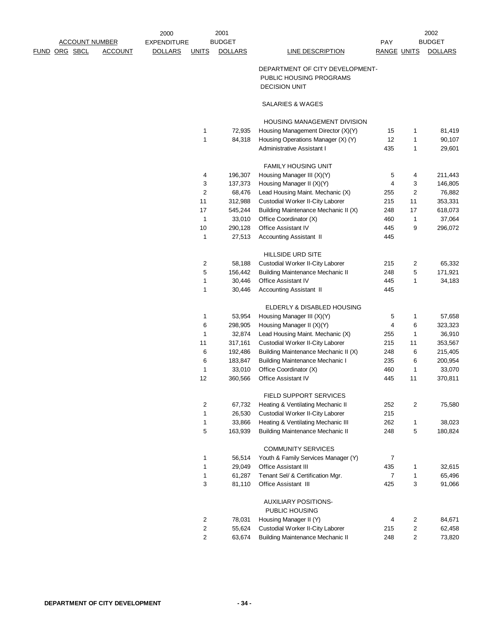|             |                       |                | 2000               |                | 2001           |                                         |                    |                  | 2002           |
|-------------|-----------------------|----------------|--------------------|----------------|----------------|-----------------------------------------|--------------------|------------------|----------------|
|             | <b>ACCOUNT NUMBER</b> |                | <b>EXPENDITURE</b> |                | <b>BUDGET</b>  |                                         | PAY                |                  | <b>BUDGET</b>  |
| <u>FUND</u> | ORG SBCL              | <b>ACCOUNT</b> | <b>DOLLARS</b>     | <b>UNITS</b>   | <b>DOLLARS</b> | <b>LINE DESCRIPTION</b>                 | <b>RANGE UNITS</b> |                  | <b>DOLLARS</b> |
|             |                       |                |                    |                |                | DEPARTMENT OF CITY DEVELOPMENT-         |                    |                  |                |
|             |                       |                |                    |                |                | PUBLIC HOUSING PROGRAMS                 |                    |                  |                |
|             |                       |                |                    |                |                | <b>DECISION UNIT</b>                    |                    |                  |                |
|             |                       |                |                    |                |                | SALARIES & WAGES                        |                    |                  |                |
|             |                       |                |                    |                |                | HOUSING MANAGEMENT DIVISION             |                    |                  |                |
|             |                       |                |                    | 1              | 72,935         | Housing Management Director (X)(Y)      | 15                 | $\mathbf{1}$     | 81,419         |
|             |                       |                |                    | 1              | 84,318         | Housing Operations Manager (X) (Y)      | 12                 | $\mathbf{1}$     | 90,107         |
|             |                       |                |                    |                |                | Administrative Assistant I              | 435                | $\mathbf{1}$     | 29,601         |
|             |                       |                |                    |                |                | <b>FAMILY HOUSING UNIT</b>              |                    |                  |                |
|             |                       |                |                    | 4              | 196,307        | Housing Manager III (X)(Y)              | 5                  | 4                | 211,443        |
|             |                       |                |                    | 3              | 137,373        | Housing Manager II (X)(Y)               | 4                  | 3                | 146,805        |
|             |                       |                |                    | 2              | 68,476         | Lead Housing Maint. Mechanic (X)        | 255                | 2                | 76,882         |
|             |                       |                |                    | 11             | 312,988        | Custodial Worker II-City Laborer        | 215                | 11               | 353,331        |
|             |                       |                |                    | 17             | 545,244        | Building Maintenance Mechanic II (X)    | 248                | 17               | 618,073        |
|             |                       |                |                    | $\mathbf{1}$   | 33,010         | Office Coordinator (X)                  | 460                | $\mathbf{1}$     | 37,064         |
|             |                       |                |                    | 10             | 290,128        | <b>Office Assistant IV</b>              | 445                | 9                | 296,072        |
|             |                       |                |                    | 1              | 27,513         | Accounting Assistant II                 | 445                |                  |                |
|             |                       |                |                    |                |                | <b>HILLSIDE URD SITE</b>                |                    |                  |                |
|             |                       |                |                    | $\overline{c}$ | 58,188         | Custodial Worker II-City Laborer        | 215                | 2                | 65,332         |
|             |                       |                |                    | 5              | 156,442        | <b>Building Maintenance Mechanic II</b> | 248                | 5                | 171,921        |
|             |                       |                |                    | 1              | 30,446         | <b>Office Assistant IV</b>              | 445                | $\mathbf{1}$     | 34,183         |
|             |                       |                |                    | 1              | 30,446         | Accounting Assistant II                 | 445                |                  |                |
|             |                       |                |                    |                |                | ELDERLY & DISABLED HOUSING              |                    |                  |                |
|             |                       |                |                    | 1              | 53,954         | Housing Manager III (X)(Y)              | 5                  | $\mathbf{1}$     | 57,658         |
|             |                       |                |                    | 6              | 298,905        | Housing Manager II (X)(Y)               | 4                  | 6                | 323,323        |
|             |                       |                |                    | $\mathbf{1}$   | 32,874         | Lead Housing Maint. Mechanic (X)        | 255                | $\mathbf{1}$     | 36,910         |
|             |                       |                |                    | 11             | 317,161        | Custodial Worker II-City Laborer        | 215                | 11               | 353,567        |
|             |                       |                |                    | 6              | 192,486        | Building Maintenance Mechanic II (X)    | 248                | 6                | 215,405        |
|             |                       |                |                    | 6              | 183,847        | <b>Building Maintenance Mechanic I</b>  | 235                | 6                | 200,954        |
|             |                       |                |                    | $\mathbf{1}$   | 33,010         | Office Coordinator (X)                  | 460                | $\mathbf{1}$     | 33,070         |
|             |                       |                |                    | 12             | 360,566        | Office Assistant IV                     | 445                | 11               | 370,811        |
|             |                       |                |                    |                |                | FIELD SUPPORT SERVICES                  |                    |                  |                |
|             |                       |                |                    | $\overline{2}$ | 67,732         | Heating & Ventilating Mechanic II       | 252                | 2                | 75,580         |
|             |                       |                |                    | 1              | 26,530         | Custodial Worker II-City Laborer        | 215                |                  |                |
|             |                       |                |                    | 1              | 33,866         | Heating & Ventilating Mechanic III      | 262                | $\mathbf{1}$     | 38,023         |
|             |                       |                |                    | 5              | 163,939        | <b>Building Maintenance Mechanic II</b> | 248                | 5                | 180,824        |
|             |                       |                |                    |                |                | <b>COMMUNITY SERVICES</b>               |                    |                  |                |
|             |                       |                |                    | 1              | 56,514         | Youth & Family Services Manager (Y)     | 7                  |                  |                |
|             |                       |                |                    | 1              | 29,049         | <b>Office Assistant III</b>             | 435                | 1                | 32,615         |
|             |                       |                |                    | 1              | 61,287         | Tenant Sel/ & Certification Mgr.        | 7                  | $\mathbf{1}$     | 65,496         |
|             |                       |                |                    | 3              | 81,110         | Office Assistant III                    | 425                | 3                | 91,066         |
|             |                       |                |                    |                |                | AUXILIARY POSITIONS-                    |                    |                  |                |
|             |                       |                |                    |                |                | PUBLIC HOUSING                          |                    |                  |                |
|             |                       |                |                    | $\overline{c}$ | 78,031         | Housing Manager II (Y)                  | 4                  | 2                | 84,671         |
|             |                       |                |                    | $\overline{c}$ | 55,624         | Custodial Worker II-City Laborer        | 215                | $\boldsymbol{2}$ | 62,458         |
|             |                       |                |                    | $\overline{2}$ | 63,674         | <b>Building Maintenance Mechanic II</b> | 248                | $\overline{c}$   | 73,820         |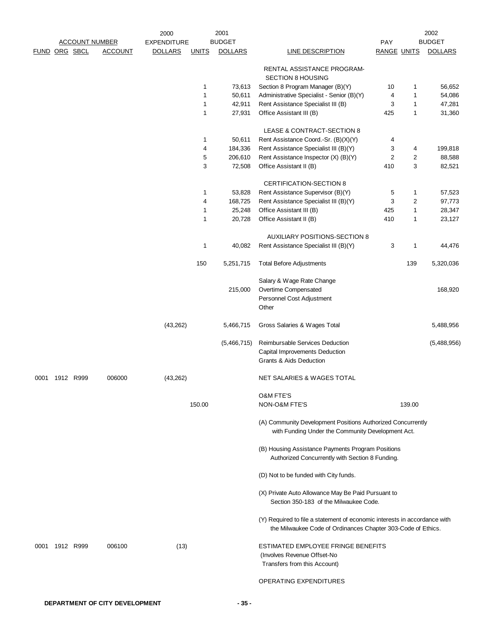|               |           |           |                       | 2000               |              | 2001           |                                                                                                                                           |                    |              | 2002           |
|---------------|-----------|-----------|-----------------------|--------------------|--------------|----------------|-------------------------------------------------------------------------------------------------------------------------------------------|--------------------|--------------|----------------|
|               |           |           | <b>ACCOUNT NUMBER</b> | <b>EXPENDITURE</b> |              | <b>BUDGET</b>  |                                                                                                                                           | <b>PAY</b>         |              | <b>BUDGET</b>  |
| FUND ORG SBCL |           |           | <b>ACCOUNT</b>        | <b>DOLLARS</b>     | <b>UNITS</b> | <b>DOLLARS</b> | <b>LINE DESCRIPTION</b>                                                                                                                   | <b>RANGE UNITS</b> |              | <b>DOLLARS</b> |
|               |           |           |                       |                    |              |                | RENTAL ASSISTANCE PROGRAM-<br><b>SECTION 8 HOUSING</b>                                                                                    |                    |              |                |
|               |           |           |                       |                    | 1            | 73,613         | Section 8 Program Manager (B)(Y)                                                                                                          | 10                 | 1            | 56,652         |
|               |           |           |                       |                    | 1            | 50,611         | Administrative Specialist - Senior (B)(Y)                                                                                                 | 4                  | 1            | 54,086         |
|               |           |           |                       |                    | 1            | 42,911         | Rent Assistance Specialist III (B)                                                                                                        | 3                  | 1            | 47,281         |
|               |           |           |                       |                    | 1            | 27,931         | Office Assistant III (B)                                                                                                                  | 425                | $\mathbf{1}$ | 31,360         |
|               |           |           |                       |                    |              |                |                                                                                                                                           |                    |              |                |
|               |           |           |                       |                    |              |                | LEASE & CONTRACT-SECTION 8                                                                                                                |                    |              |                |
|               |           |           |                       |                    | 1            | 50,611         | Rent Assistance Coord.-Sr. (B)(X)(Y)                                                                                                      | 4                  |              |                |
|               |           |           |                       |                    | 4            | 184,336        | Rent Assistance Specialist III (B)(Y)                                                                                                     | 3                  | 4            | 199,818        |
|               |           |           |                       |                    | 5            | 206,610        | Rent Assistance Inspector (X) (B)(Y)                                                                                                      | $\overline{2}$     | 2            | 88,588         |
|               |           |           |                       |                    | 3            | 72,508         | Office Assistant II (B)                                                                                                                   | 410                | 3            | 82,521         |
|               |           |           |                       |                    |              |                | <b>CERTIFICATION-SECTION 8</b>                                                                                                            |                    |              |                |
|               |           |           |                       |                    | 1            | 53,828         | Rent Assistance Supervisor (B)(Y)                                                                                                         | 5                  | 1            | 57,523         |
|               |           |           |                       |                    | 4            | 168,725        | Rent Assistance Specialist III (B)(Y)                                                                                                     | 3                  | 2            | 97,773         |
|               |           |           |                       |                    | 1            | 25,248         | Office Assistant III (B)                                                                                                                  | 425                | 1            | 28,347         |
|               |           |           |                       |                    | 1            | 20,728         | Office Assistant II (B)                                                                                                                   | 410                | 1            | 23,127         |
|               |           |           |                       |                    |              |                |                                                                                                                                           |                    |              |                |
|               |           |           |                       |                    | 1            | 40,082         | <b>AUXILIARY POSITIONS-SECTION 8</b><br>Rent Assistance Specialist III (B)(Y)                                                             | 3                  | 1            | 44,476         |
|               |           |           |                       |                    |              |                |                                                                                                                                           |                    |              |                |
|               |           |           |                       |                    | 150          | 5,251,715      | <b>Total Before Adjustments</b>                                                                                                           |                    | 139          | 5,320,036      |
|               |           |           |                       |                    |              |                | Salary & Wage Rate Change                                                                                                                 |                    |              |                |
|               |           |           |                       |                    |              | 215,000        | Overtime Compensated                                                                                                                      |                    |              | 168,920        |
|               |           |           |                       |                    |              |                | Personnel Cost Adjustment                                                                                                                 |                    |              |                |
|               |           |           |                       |                    |              |                | Other                                                                                                                                     |                    |              |                |
|               |           |           |                       | (43, 262)          |              | 5,466,715      | Gross Salaries & Wages Total                                                                                                              |                    |              | 5,488,956      |
|               |           |           |                       |                    |              | (5,466,715)    | Reimbursable Services Deduction<br>Capital Improvements Deduction                                                                         |                    |              | (5,488,956)    |
|               |           |           |                       |                    |              |                | Grants & Aids Deduction                                                                                                                   |                    |              |                |
| 0001          |           | 1912 R999 | 006000                | (43, 262)          |              |                | NET SALARIES & WAGES TOTAL                                                                                                                |                    |              |                |
|               |           |           |                       |                    |              |                | <b>O&amp;M FTE'S</b>                                                                                                                      |                    |              |                |
|               |           |           |                       |                    | 150.00       |                | NON-O&M FTE'S                                                                                                                             |                    | 139.00       |                |
|               |           |           |                       |                    |              |                | (A) Community Development Positions Authorized Concurrently<br>with Funding Under the Community Development Act.                          |                    |              |                |
|               |           |           |                       |                    |              |                | (B) Housing Assistance Payments Program Positions<br>Authorized Concurrently with Section 8 Funding.                                      |                    |              |                |
|               |           |           |                       |                    |              |                | (D) Not to be funded with City funds.                                                                                                     |                    |              |                |
|               |           |           |                       |                    |              |                | (X) Private Auto Allowance May Be Paid Pursuant to<br>Section 350-183 of the Milwaukee Code.                                              |                    |              |                |
|               |           |           |                       |                    |              |                |                                                                                                                                           |                    |              |                |
|               |           |           |                       |                    |              |                | (Y) Required to file a statement of economic interests in accordance with<br>the Milwaukee Code of Ordinances Chapter 303-Code of Ethics. |                    |              |                |
| 0001          | 1912 R999 |           | 006100                | (13)               |              |                | ESTIMATED EMPLOYEE FRINGE BENEFITS<br>(Involves Revenue Offset-No<br>Transfers from this Account)                                         |                    |              |                |
|               |           |           |                       |                    |              |                | <b>OPERATING EXPENDITURES</b>                                                                                                             |                    |              |                |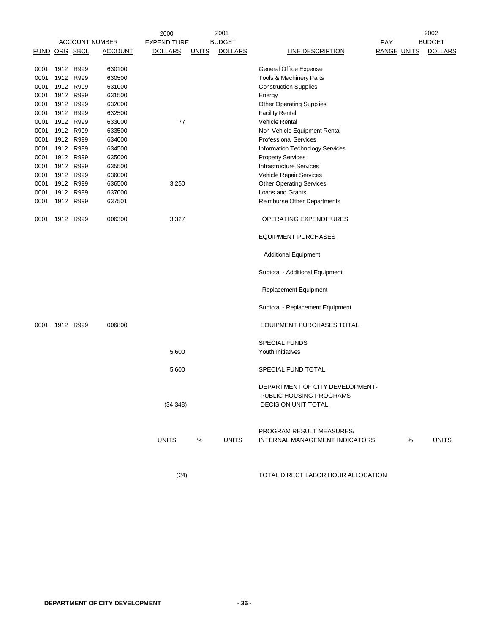|                      |           |                       | 2000               |              | 2001           |                                                                                          |                    | 2002           |
|----------------------|-----------|-----------------------|--------------------|--------------|----------------|------------------------------------------------------------------------------------------|--------------------|----------------|
|                      |           | <b>ACCOUNT NUMBER</b> | <b>EXPENDITURE</b> |              | <b>BUDGET</b>  |                                                                                          | <b>PAY</b>         | <b>BUDGET</b>  |
| <b>FUND ORG SBCL</b> |           | <u>ACCOUNT</u>        | <b>DOLLARS</b>     | <b>UNITS</b> | <b>DOLLARS</b> | <b>LINE DESCRIPTION</b>                                                                  | <b>RANGE UNITS</b> | <b>DOLLARS</b> |
| 0001                 | 1912 R999 | 630100                |                    |              |                | General Office Expense                                                                   |                    |                |
| 0001                 | 1912 R999 | 630500                |                    |              |                | Tools & Machinery Parts                                                                  |                    |                |
| 0001                 | 1912 R999 | 631000                |                    |              |                | <b>Construction Supplies</b>                                                             |                    |                |
| 0001                 | 1912 R999 | 631500                |                    |              |                | Energy                                                                                   |                    |                |
| 0001                 | 1912 R999 | 632000                |                    |              |                | <b>Other Operating Supplies</b>                                                          |                    |                |
| 0001                 | 1912 R999 | 632500                |                    |              |                | <b>Facility Rental</b>                                                                   |                    |                |
| 0001                 | 1912 R999 | 633000                | 77                 |              |                | Vehicle Rental                                                                           |                    |                |
| 0001                 | 1912 R999 | 633500                |                    |              |                | Non-Vehicle Equipment Rental                                                             |                    |                |
| 0001                 | 1912 R999 | 634000                |                    |              |                | <b>Professional Services</b>                                                             |                    |                |
| 0001                 | 1912 R999 | 634500                |                    |              |                | Information Technology Services                                                          |                    |                |
| 0001                 | 1912 R999 | 635000                |                    |              |                | <b>Property Services</b>                                                                 |                    |                |
| 0001                 | 1912 R999 | 635500                |                    |              |                | <b>Infrastructure Services</b>                                                           |                    |                |
| 0001                 | 1912 R999 | 636000                |                    |              |                | Vehicle Repair Services                                                                  |                    |                |
| 0001                 | 1912 R999 | 636500                | 3,250              |              |                | <b>Other Operating Services</b>                                                          |                    |                |
| 0001                 | 1912 R999 | 637000                |                    |              |                | Loans and Grants                                                                         |                    |                |
| 0001                 | 1912 R999 | 637501                |                    |              |                | Reimburse Other Departments                                                              |                    |                |
| 0001                 | 1912 R999 | 006300                | 3,327              |              |                | OPERATING EXPENDITURES                                                                   |                    |                |
|                      |           |                       |                    |              |                | <b>EQUIPMENT PURCHASES</b>                                                               |                    |                |
|                      |           |                       |                    |              |                | <b>Additional Equipment</b>                                                              |                    |                |
|                      |           |                       |                    |              |                | Subtotal - Additional Equipment                                                          |                    |                |
|                      |           |                       |                    |              |                | Replacement Equipment                                                                    |                    |                |
|                      |           |                       |                    |              |                | Subtotal - Replacement Equipment                                                         |                    |                |
| 0001                 | 1912 R999 | 006800                |                    |              |                | <b>EQUIPMENT PURCHASES TOTAL</b>                                                         |                    |                |
|                      |           |                       |                    |              |                | <b>SPECIAL FUNDS</b>                                                                     |                    |                |
|                      |           |                       | 5,600              |              |                | Youth Initiatives                                                                        |                    |                |
|                      |           |                       | 5,600              |              |                | SPECIAL FUND TOTAL                                                                       |                    |                |
|                      |           |                       | (34, 348)          |              |                | DEPARTMENT OF CITY DEVELOPMENT-<br>PUBLIC HOUSING PROGRAMS<br><b>DECISION UNIT TOTAL</b> |                    |                |
|                      |           |                       | <b>UNITS</b>       | %            | <b>UNITS</b>   | PROGRAM RESULT MEASURES/<br>INTERNAL MANAGEMENT INDICATORS:                              | %                  | <b>UNITS</b>   |
|                      |           |                       | (24)               |              |                | TOTAL DIRECT LABOR HOUR ALLOCATION                                                       |                    |                |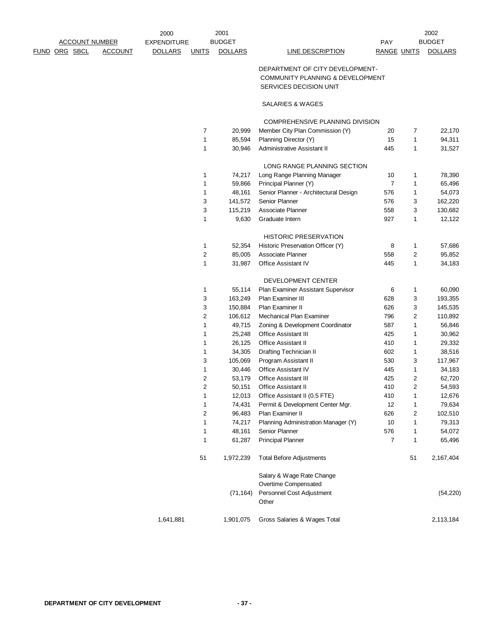| <b>ACCOUNT NUMBER</b> |               | 2001<br>2000   |                    |                  |                |                                       | 2002               |                |                |
|-----------------------|---------------|----------------|--------------------|------------------|----------------|---------------------------------------|--------------------|----------------|----------------|
|                       |               |                | <b>EXPENDITURE</b> |                  | <b>BUDGET</b>  |                                       | <b>PAY</b>         |                | <b>BUDGET</b>  |
|                       | FUND ORG SBCL | <b>ACCOUNT</b> | <b>DOLLARS</b>     | <b>UNITS</b>     | <b>DOLLARS</b> | <b>LINE DESCRIPTION</b>               | <b>RANGE UNITS</b> |                | <b>DOLLARS</b> |
|                       |               |                |                    |                  |                | DEPARTMENT OF CITY DEVELOPMENT-       |                    |                |                |
|                       |               |                |                    |                  |                | COMMUNITY PLANNING & DEVELOPMENT      |                    |                |                |
|                       |               |                |                    |                  |                | SERVICES DECISION UNIT                |                    |                |                |
|                       |               |                |                    |                  |                | SALARIES & WAGES                      |                    |                |                |
|                       |               |                |                    |                  |                | COMPREHENSIVE PLANNING DIVISION       |                    |                |                |
|                       |               |                |                    | $\overline{7}$   | 20,999         | Member City Plan Commission (Y)       | 20                 | 7              | 22,170         |
|                       |               |                |                    | 1                | 85,594         | Planning Director (Y)                 | 15                 | $\mathbf{1}$   | 94,311         |
|                       |               |                |                    | 1                | 30,946         | Administrative Assistant II           | 445                | $\mathbf{1}$   | 31,527         |
|                       |               |                |                    |                  |                | LONG RANGE PLANNING SECTION           |                    |                |                |
|                       |               |                |                    | 1                | 74,217         | Long Range Planning Manager           | 10                 | 1              | 78,390         |
|                       |               |                |                    | 1                | 59,866         | Principal Planner (Y)                 | $\overline{7}$     | $\mathbf{1}$   | 65,496         |
|                       |               |                |                    | 1                | 48,161         | Senior Planner - Architectural Design | 576                | $\mathbf{1}$   | 54,073         |
|                       |               |                |                    | 3                | 141,572        | Senior Planner                        | 576                | 3              | 162,220        |
|                       |               |                |                    | 3                | 115,219        | Associate Planner                     | 558                | 3              | 130,682        |
|                       |               |                |                    | $\mathbf{1}$     | 9,630          | Graduate Intern                       | 927                | $\mathbf{1}$   | 12,122         |
|                       |               |                |                    |                  |                | <b>HISTORIC PRESERVATION</b>          |                    |                |                |
|                       |               |                |                    | 1                | 52,354         | Historic Preservation Officer (Y)     | 8                  | $\mathbf{1}$   | 57,686         |
|                       |               |                |                    | $\boldsymbol{2}$ | 85,005         | Associate Planner                     | 558                | $\overline{c}$ | 95,852         |
|                       |               |                |                    | 1                | 31,987         | Office Assistant IV                   | 445                | $\mathbf{1}$   | 34,183         |
|                       |               |                |                    |                  |                | DEVELOPMENT CENTER                    |                    |                |                |
|                       |               |                |                    | 1                | 55,114         | Plan Examiner Assistant Supervisor    | 6                  | $\mathbf{1}$   | 60,090         |
|                       |               |                |                    | 3                | 163,249        | Plan Examiner III                     | 628                | 3              | 193,355        |
|                       |               |                |                    | 3                | 150,884        | Plan Examiner II                      | 626                | 3              | 145,535        |
|                       |               |                |                    | $\overline{2}$   | 106,612        | Mechanical Plan Examiner              | 796                | $\overline{2}$ | 110,892        |
|                       |               |                |                    | 1                | 49,715         | Zoning & Development Coordinator      | 587                | $\mathbf{1}$   | 56,846         |
|                       |               |                |                    | $\mathbf{1}$     | 25,248         | <b>Office Assistant III</b>           | 425                | $\mathbf{1}$   | 30,962         |
|                       |               |                |                    | 1                | 26,125         | Office Assistant II                   | 410                | $\mathbf{1}$   | 29,332         |
|                       |               |                |                    | 1                | 34,305         | Drafting Technician II                | 602                | $\mathbf{1}$   | 38,516         |
|                       |               |                |                    | 3                | 105,069        | Program Assistant II                  | 530                | 3              | 117,967        |
|                       |               |                |                    | 1                | 30,446         | Office Assistant IV                   | 445                | $\mathbf{1}$   | 34,183         |
|                       |               |                |                    | $\overline{c}$   | 53,179         | <b>Office Assistant III</b>           | 425                | 2              | 62,720         |
|                       |               |                |                    | $\overline{2}$   | 50,151         | Office Assistant II                   | 410                | $\overline{2}$ | 54,593         |
|                       |               |                |                    | 1                | 12,013         | Office Assistant II (0.5 FTE)         | 410                | $\mathbf{1}$   | 12,676         |
|                       |               |                |                    | 1                | 74,431         | Permit & Development Center Mgr.      | 12                 | $\mathbf{1}$   | 79,634         |
|                       |               |                |                    | 2                | 96,483         | Plan Examiner II                      | 626                | 2              | 102,510        |
|                       |               |                |                    | 1                | 74,217         | Planning Administration Manager (Y)   | 10                 | $\mathbf{1}$   | 79,313         |
|                       |               |                |                    | 1                | 48,161         | Senior Planner                        | 576                | 1              | 54,072         |
|                       |               |                |                    | 1                | 61,287         | <b>Principal Planner</b>              | $\overline{7}$     | $\mathbf{1}$   | 65,496         |
|                       |               |                |                    | 51               | 1,972,239      | <b>Total Before Adjustments</b>       |                    | 51             | 2,167,404      |
|                       |               |                |                    |                  |                | Salary & Wage Rate Change             |                    |                |                |
|                       |               |                |                    |                  |                | Overtime Compensated                  |                    |                |                |
|                       |               |                |                    |                  | (71, 164)      | Personnel Cost Adjustment<br>Other    |                    |                | (54, 220)      |
|                       |               |                | 1,641,881          |                  | 1,901,075      | Gross Salaries & Wages Total          |                    |                | 2,113,184      |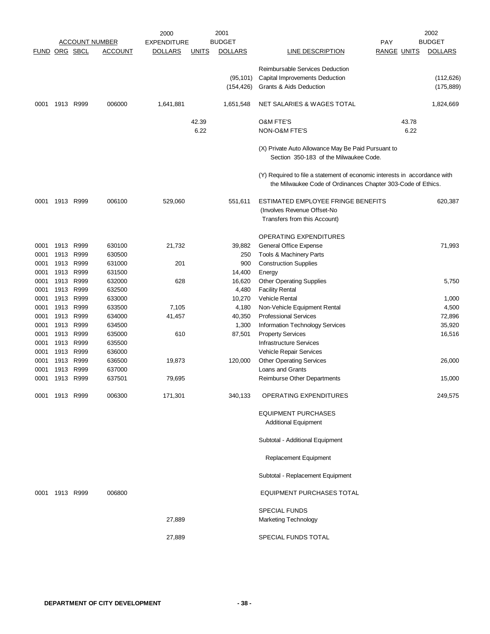|                      |           |                   | <b>ACCOUNT NUMBER</b> | 2000<br><b>EXPENDITURE</b> |               | 2001<br><b>BUDGET</b>   |                                                                                                                                           | <b>PAY</b>         |               | 2002<br><b>BUDGET</b>    |
|----------------------|-----------|-------------------|-----------------------|----------------------------|---------------|-------------------------|-------------------------------------------------------------------------------------------------------------------------------------------|--------------------|---------------|--------------------------|
| <b>FUND ORG SBCL</b> |           |                   | <b>ACCOUNT</b>        | <b>DOLLARS</b>             | <b>UNITS</b>  | <b>DOLLARS</b>          | LINE DESCRIPTION                                                                                                                          | <b>RANGE UNITS</b> |               | <b>DOLLARS</b>           |
|                      |           |                   |                       |                            |               | (95, 101)<br>(154, 426) | Reimbursable Services Deduction<br>Capital Improvements Deduction<br><b>Grants &amp; Aids Deduction</b>                                   |                    |               | (112, 626)<br>(175, 889) |
| 0001                 | 1913      | R999              | 006000                | 1,641,881                  |               | 1,651,548               | NET SALARIES & WAGES TOTAL                                                                                                                |                    |               | 1,824,669                |
|                      |           |                   |                       |                            | 42.39<br>6.22 |                         | <b>O&amp;M FTE'S</b><br>NON-O&M FTE'S                                                                                                     |                    | 43.78<br>6.22 |                          |
|                      |           |                   |                       |                            |               |                         | (X) Private Auto Allowance May Be Paid Pursuant to<br>Section 350-183 of the Milwaukee Code.                                              |                    |               |                          |
|                      |           |                   |                       |                            |               |                         | (Y) Required to file a statement of economic interests in accordance with<br>the Milwaukee Code of Ordinances Chapter 303-Code of Ethics. |                    |               |                          |
| 0001                 |           | 1913 R999         | 006100                | 529,060                    |               | 551,611                 | ESTIMATED EMPLOYEE FRINGE BENEFITS<br>(Involves Revenue Offset-No<br>Transfers from this Account)                                         |                    |               | 620,387                  |
|                      |           |                   |                       |                            |               |                         | <b>OPERATING EXPENDITURES</b>                                                                                                             |                    |               |                          |
| 0001                 | 1913      | R999              | 630100                | 21,732                     |               | 39,882                  | General Office Expense                                                                                                                    |                    |               | 71,993                   |
| 0001                 | 1913      | R999              | 630500                |                            |               | 250                     | Tools & Machinery Parts                                                                                                                   |                    |               |                          |
| 0001                 | 1913      | R999              | 631000                | 201                        |               | 900                     | <b>Construction Supplies</b>                                                                                                              |                    |               |                          |
| 0001                 | 1913 R999 |                   | 631500                |                            |               | 14,400                  | Energy                                                                                                                                    |                    |               |                          |
| 0001                 | 1913      | R999              | 632000                | 628                        |               | 16,620                  | <b>Other Operating Supplies</b>                                                                                                           |                    |               | 5,750                    |
| 0001                 | 1913 R999 |                   | 632500                |                            |               | 4,480                   | <b>Facility Rental</b>                                                                                                                    |                    |               |                          |
| 0001                 | 1913 R999 |                   | 633000                |                            |               | 10,270                  | <b>Vehicle Rental</b>                                                                                                                     |                    |               | 1,000                    |
| 0001                 | 1913      | R999              | 633500                | 7,105                      |               | 4,180                   | Non-Vehicle Equipment Rental                                                                                                              |                    |               | 4,500                    |
| 0001                 | 1913 R999 |                   | 634000                | 41,457                     |               | 40,350                  | <b>Professional Services</b>                                                                                                              |                    |               | 72,896                   |
| 0001                 | 1913      | R999              | 634500                |                            |               | 1,300                   | Information Technology Services                                                                                                           |                    |               | 35,920                   |
| 0001                 |           | 1913 R999         | 635000                | 610                        |               | 87,501                  | <b>Property Services</b>                                                                                                                  |                    |               | 16,516                   |
| 0001                 | 1913 R999 |                   | 635500                |                            |               |                         | <b>Infrastructure Services</b>                                                                                                            |                    |               |                          |
| 0001                 | 1913      | R999              | 636000                |                            |               |                         | Vehicle Repair Services                                                                                                                   |                    |               |                          |
| 0001                 | 1913 R999 |                   | 636500                | 19,873                     |               | 120,000                 | <b>Other Operating Services</b>                                                                                                           |                    |               | 26,000                   |
| 0001<br>0001         | 1913      | R999<br>1913 R999 | 637000<br>637501      | 79,695                     |               |                         | Loans and Grants<br>Reimburse Other Departments                                                                                           |                    |               | 15,000                   |
|                      |           |                   |                       |                            |               |                         |                                                                                                                                           |                    |               |                          |
| 0001                 | 1913 R999 |                   | 006300                | 171,301                    |               | 340,133                 | OPERATING EXPENDITURES                                                                                                                    |                    |               | 249,575                  |
|                      |           |                   |                       |                            |               |                         | <b>EQUIPMENT PURCHASES</b><br><b>Additional Equipment</b>                                                                                 |                    |               |                          |
|                      |           |                   |                       |                            |               |                         | Subtotal - Additional Equipment                                                                                                           |                    |               |                          |
|                      |           |                   |                       |                            |               |                         | Replacement Equipment                                                                                                                     |                    |               |                          |
|                      |           |                   |                       |                            |               |                         | Subtotal - Replacement Equipment                                                                                                          |                    |               |                          |
| 0001                 |           | 1913 R999         | 006800                |                            |               |                         | <b>EQUIPMENT PURCHASES TOTAL</b>                                                                                                          |                    |               |                          |
|                      |           |                   |                       |                            |               |                         | <b>SPECIAL FUNDS</b>                                                                                                                      |                    |               |                          |
|                      |           |                   |                       | 27,889                     |               |                         | Marketing Technology                                                                                                                      |                    |               |                          |
|                      |           |                   |                       | 27,889                     |               |                         | SPECIAL FUNDS TOTAL                                                                                                                       |                    |               |                          |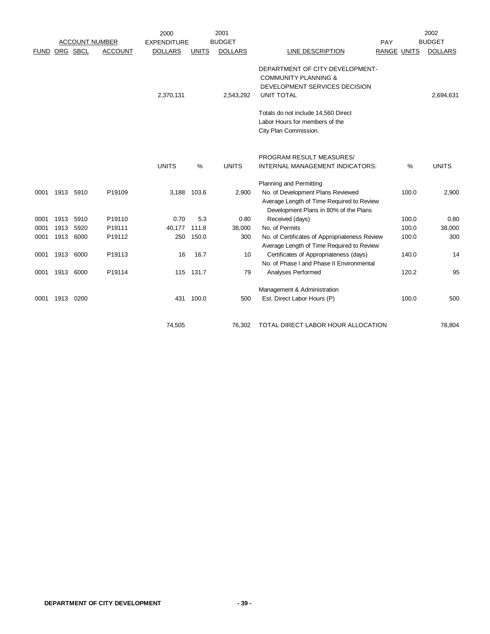|               |      |                       |                | 2000               |              | 2001           |                                                                                                                          |     |                    | 2002           |
|---------------|------|-----------------------|----------------|--------------------|--------------|----------------|--------------------------------------------------------------------------------------------------------------------------|-----|--------------------|----------------|
|               |      | <b>ACCOUNT NUMBER</b> |                | <b>EXPENDITURE</b> |              | <b>BUDGET</b>  |                                                                                                                          | PAY |                    | <b>BUDGET</b>  |
| FUND ORG SBCL |      |                       | <b>ACCOUNT</b> | <b>DOLLARS</b>     | <b>UNITS</b> | <b>DOLLARS</b> | LINE DESCRIPTION                                                                                                         |     | <b>RANGE UNITS</b> | <b>DOLLARS</b> |
|               |      |                       |                | 2,370,131          |              | 2,543,292      | DEPARTMENT OF CITY DEVELOPMENT-<br><b>COMMUNITY PLANNING &amp;</b><br>DEVELOPMENT SERVICES DECISION<br><b>UNIT TOTAL</b> |     |                    | 2,694,631      |
|               |      |                       |                |                    |              |                | Totals do not include 14,560 Direct<br>Labor Hours for members of the<br>City Plan Commission.                           |     |                    |                |
|               |      |                       |                |                    |              |                | PROGRAM RESULT MEASURES/                                                                                                 |     |                    |                |
|               |      |                       |                | <b>UNITS</b>       | $\%$         | <b>UNITS</b>   | INTERNAL MANAGEMENT INDICATORS:                                                                                          |     | $\%$               | <b>UNITS</b>   |
|               |      |                       |                |                    |              |                | <b>Planning and Permitting</b>                                                                                           |     |                    |                |
| 0001          | 1913 | 5910                  | P19109         | 3,188              | 103.6        | 2,900          | No. of Development Plans Reviewed<br>Average Length of Time Required to Review<br>Development Plans in 80% of the Plans  |     | 100.0              | 2,900          |
| 0001          | 1913 | 5910                  | P19110         | 0.70               | 5.3          | 0.80           | Received (days)                                                                                                          |     | 100.0              | 0.80           |
| 0001          | 1913 | 5920                  | P19111         | 40,177             | 111.8        | 38,000         | No. of Permits                                                                                                           |     | 100.0              | 38,000         |
| 0001          | 1913 | 6000                  | P19112         | 250                | 150.0        | 300            | No. of Certificates of Appropriateness Review<br>Average Length of Time Required to Review                               |     | 100.0              | 300            |
| 0001          | 1913 | 6000                  | P19113         | 16                 | 16.7         | 10             | Certificates of Appropriateness (days)<br>No. of Phase I and Phase II Environmental                                      |     | 140.0              | 14             |
| 0001          | 1913 | 6000                  | P19114         |                    | 115 131.7    | 79             | Analyses Performed                                                                                                       |     | 120.2              | 95             |
|               |      |                       |                |                    |              |                | Management & Administration                                                                                              |     |                    |                |
| 0001          | 1913 | 0200                  |                |                    | 431 100.0    | 500            | Est. Direct Labor Hours (P)                                                                                              |     | 100.0              | 500            |
|               |      |                       |                | 74,505             |              | 76,302         | TOTAL DIRECT LABOR HOUR ALLOCATION                                                                                       |     |                    | 78,804         |
|               |      |                       |                |                    |              |                |                                                                                                                          |     |                    |                |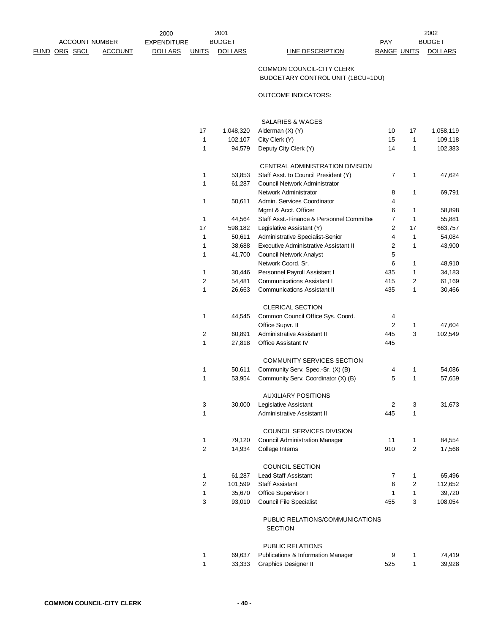FUND ORG SBCL ACCOUNT DOLLARS UNITS DOLLARS LINE DESCRIPTION RANGE UNITS DOLLARS

2001 2002 PAY BUDGET

## COMMON COUNCIL-CITY CLERK BUDGETARY CONTROL UNIT (1BCU=1DU)

## OUTCOME INDICATORS:

|        |                   | <b>SALARIES &amp; WAGES</b>                                                      |                |              |                   |
|--------|-------------------|----------------------------------------------------------------------------------|----------------|--------------|-------------------|
| 17     | 1,048,320         | Alderman (X) (Y)                                                                 | 10             | 17           | 1,058,119         |
| 1      | 102,107           | City Clerk (Y)                                                                   | 15             | 1            | 109,118           |
| 1      | 94,579            | Deputy City Clerk (Y)                                                            | 14             | 1            | 102,383           |
|        |                   | CENTRAL ADMINISTRATION DIVISION                                                  |                |              |                   |
| 1      | 53,853            | Staff Asst. to Council President (Y)                                             | 7              | 1            | 47,624            |
| 1      | 61,287            | Council Network Administrator                                                    |                |              |                   |
|        |                   | Network Administrator                                                            | 8              | 1            | 69,791            |
| 1      | 50,611            | Admin. Services Coordinator                                                      | 4              |              |                   |
|        |                   | Mgmt & Acct. Officer                                                             | 6              | 1            | 58,898            |
| 1      | 44,564            | Staff Asst.-Finance & Personnel Committer                                        | 7              | $\mathbf{1}$ | 55,881            |
| 17     | 598,182           | Legislative Assistant (Y)                                                        | 2<br>4         | 17<br>1      | 663,757           |
| 1<br>1 | 50,611            | Administrative Specialist-Senior<br><b>Executive Administrative Assistant II</b> | $\overline{2}$ | $\mathbf{1}$ | 54,084            |
| 1      | 38,688<br>41,700  | <b>Council Network Analyst</b>                                                   | 5              |              | 43,900            |
|        |                   | Network Coord. Sr.                                                               | 6              | 1            | 48,910            |
| 1      | 30,446            | Personnel Payroll Assistant I                                                    | 435            | $\mathbf{1}$ | 34,183            |
| 2      | 54,481            | <b>Communications Assistant I</b>                                                | 415            | 2            | 61,169            |
| 1      | 26,663            | <b>Communications Assistant II</b>                                               | 435            | 1            | 30,466            |
|        |                   | <b>CLERICAL SECTION</b>                                                          |                |              |                   |
| 1      | 44,545            | Common Council Office Sys. Coord.                                                | 4              |              |                   |
|        |                   | Office Supvr. II                                                                 | $\overline{2}$ | $\mathbf{1}$ | 47,604            |
| 2      | 60,891            | Administrative Assistant II                                                      | 445            | 3            | 102,549           |
| 1      | 27,818            | <b>Office Assistant IV</b>                                                       | 445            |              |                   |
|        |                   | <b>COMMUNITY SERVICES SECTION</b>                                                |                |              |                   |
| 1      | 50,611            | Community Serv. Spec.-Sr. (X) (B)                                                | 4              | 1            | 54,086            |
| 1      | 53,954            | Community Serv. Coordinator (X) (B)                                              | 5              | 1            | 57,659            |
|        |                   | <b>AUXILIARY POSITIONS</b>                                                       |                |              |                   |
| 3      | 30,000            | Legislative Assistant                                                            | 2              | 3            | 31,673            |
| 1      |                   | <b>Administrative Assistant II</b>                                               | 445            | 1            |                   |
|        |                   | COUNCIL SERVICES DIVISION                                                        |                |              |                   |
| 1      | 79,120            | <b>Council Administration Manager</b>                                            | 11             | 1            | 84,554            |
| 2      | 14,934            | College Interns                                                                  | 910            | 2            | 17,568            |
|        |                   | <b>COUNCIL SECTION</b>                                                           |                |              |                   |
| 1      | 61,287            | <b>Lead Staff Assistant</b>                                                      | 7              | 1            | 65,496            |
| 2<br>1 | 101,599<br>35,670 | <b>Staff Assistant</b><br>Office Supervisor I                                    | 6<br>1         | 2<br>1       | 112,652           |
| 3      | 93,010            | <b>Council File Specialist</b>                                                   | 455            | 3            | 39,720<br>108,054 |
|        |                   |                                                                                  |                |              |                   |
|        |                   | PUBLIC RELATIONS/COMMUNICATIONS<br>SECTION                                       |                |              |                   |
|        |                   | PUBLIC RELATIONS                                                                 |                |              |                   |
|        |                   |                                                                                  |                |              |                   |

|  | 69,637 Publications & Information Manager |     | 74.419 |
|--|-------------------------------------------|-----|--------|
|  | 33,333 Graphics Designer II               | 525 | 39,928 |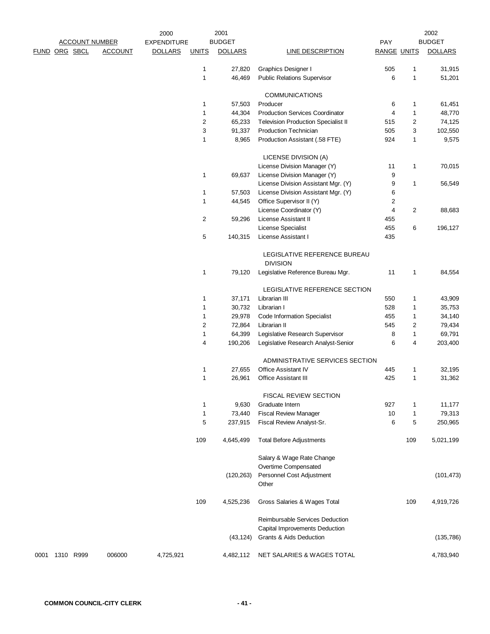|               |                       |                | 2000               |                  | 2001           |                                                           |                    |                | 2002           |
|---------------|-----------------------|----------------|--------------------|------------------|----------------|-----------------------------------------------------------|--------------------|----------------|----------------|
|               | <b>ACCOUNT NUMBER</b> |                | <b>EXPENDITURE</b> |                  | <b>BUDGET</b>  |                                                           | PAY                |                | <b>BUDGET</b>  |
| FUND ORG SBCL |                       | <b>ACCOUNT</b> | <b>DOLLARS</b>     | <b>UNITS</b>     | <b>DOLLARS</b> | <b>LINE DESCRIPTION</b>                                   | <b>RANGE UNITS</b> |                | <b>DOLLARS</b> |
|               |                       |                |                    | 1                | 27,820         | Graphics Designer I                                       | 505                | 1              | 31,915         |
|               |                       |                |                    | 1                | 46,469         | <b>Public Relations Supervisor</b>                        | 6                  | $\mathbf{1}$   | 51,201         |
|               |                       |                |                    |                  |                | <b>COMMUNICATIONS</b>                                     |                    |                |                |
|               |                       |                |                    | 1                | 57,503         | Producer                                                  | 6                  | 1              | 61,451         |
|               |                       |                |                    | 1                | 44,304         | <b>Production Services Coordinator</b>                    | 4                  | $\mathbf{1}$   | 48,770         |
|               |                       |                |                    | $\boldsymbol{2}$ | 65,233         | <b>Television Production Specialist II</b>                | 515                | 2              | 74,125         |
|               |                       |                |                    | 3                | 91,337         | <b>Production Technician</b>                              | 505                | 3              | 102,550        |
|               |                       |                |                    | $\mathbf{1}$     | 8,965          | Production Assistant (.58 FTE)                            | 924                | $\mathbf{1}$   | 9,575          |
|               |                       |                |                    |                  |                | LICENSE DIVISION (A)                                      |                    |                |                |
|               |                       |                |                    |                  |                | License Division Manager (Y)                              | 11                 | $\mathbf{1}$   | 70,015         |
|               |                       |                |                    | 1                | 69,637         | License Division Manager (Y)                              | 9                  |                |                |
|               |                       |                |                    |                  |                | License Division Assistant Mgr. (Y)                       | 9                  | $\mathbf{1}$   | 56,549         |
|               |                       |                |                    | 1                | 57,503         | License Division Assistant Mgr. (Y)                       | 6                  |                |                |
|               |                       |                |                    | 1                | 44,545         | Office Supervisor II (Y)                                  | 2                  |                |                |
|               |                       |                |                    |                  |                | License Coordinator (Y)                                   | 4                  | $\overline{2}$ | 88,683         |
|               |                       |                |                    | $\overline{2}$   | 59,296         | License Assistant II                                      | 455                |                |                |
|               |                       |                |                    |                  |                | License Specialist                                        | 455                | 6              | 196,127        |
|               |                       |                |                    | 5                | 140,315        | License Assistant I                                       | 435                |                |                |
|               |                       |                |                    |                  |                | LEGISLATIVE REFERENCE BUREAU<br><b>DIVISION</b>           |                    |                |                |
|               |                       |                |                    | 1                | 79,120         | Legislative Reference Bureau Mgr.                         | 11                 | 1              | 84,554         |
|               |                       |                |                    |                  |                | LEGISLATIVE REFERENCE SECTION                             |                    |                |                |
|               |                       |                |                    | 1                | 37,171         | Librarian III                                             | 550                | 1              | 43,909         |
|               |                       |                |                    | 1                | 30,732         | Librarian I                                               | 528                | $\mathbf{1}$   | 35,753         |
|               |                       |                |                    | 1                | 29,978         | <b>Code Information Specialist</b>                        | 455                | $\mathbf{1}$   | 34,140         |
|               |                       |                |                    | $\overline{2}$   | 72,864         | Librarian II                                              | 545                | $\overline{2}$ | 79,434         |
|               |                       |                |                    | 1                | 64,399         | Legislative Research Supervisor                           | 8                  | $\mathbf{1}$   | 69,791         |
|               |                       |                |                    | 4                | 190,206        | Legislative Research Analyst-Senior                       | 6                  | 4              | 203,400        |
|               |                       |                |                    |                  |                | ADMINISTRATIVE SERVICES SECTION                           |                    |                |                |
|               |                       |                |                    | 1                | 27,655         | <b>Office Assistant IV</b>                                | 445                | 1              | 32,195         |
|               |                       |                |                    | 1                | 26,961         | <b>Office Assistant III</b>                               | 425                | $\mathbf{1}$   | 31,362         |
|               |                       |                |                    |                  |                | <b>FISCAL REVIEW SECTION</b>                              |                    |                |                |
|               |                       |                |                    | 1                | 9,630          | Graduate Intern                                           | 927                | 1              | 11,177         |
|               |                       |                |                    | $\mathbf{1}$     | 73,440         | <b>Fiscal Review Manager</b>                              | 10                 | 1              | 79,313         |
|               |                       |                |                    | 5                | 237,915        | Fiscal Review Analyst-Sr.                                 | 6                  | 5              | 250,965        |
|               |                       |                |                    | 109              | 4,645,499      | <b>Total Before Adjustments</b>                           |                    | 109            | 5,021,199      |
|               |                       |                |                    |                  |                | Salary & Wage Rate Change<br>Overtime Compensated         |                    |                |                |
|               |                       |                |                    |                  |                | Personnel Cost Adjustment                                 |                    |                |                |
|               |                       |                |                    |                  | (120, 263)     | Other                                                     |                    |                | (101, 473)     |
|               |                       |                |                    | 109              | 4,525,236      | Gross Salaries & Wages Total                              |                    | 109            | 4,919,726      |
|               |                       |                |                    |                  |                | Reimbursable Services Deduction                           |                    |                |                |
|               |                       |                |                    |                  | (43, 124)      | Capital Improvements Deduction<br>Grants & Aids Deduction |                    |                | (135, 786)     |
| 0001          | 1310 R999             | 006000         | 4,725,921          |                  | 4,482,112      | NET SALARIES & WAGES TOTAL                                |                    |                | 4,783,940      |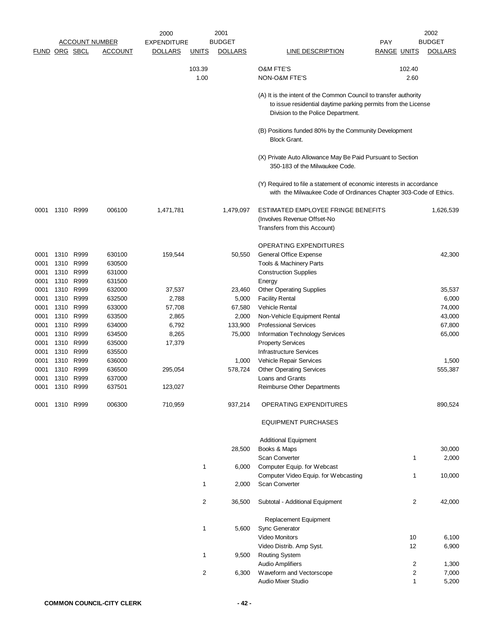|              |                |               |                       | 2000            |                | 2001            |                                                                                                                                                                         |                    | 2002                     |
|--------------|----------------|---------------|-----------------------|-----------------|----------------|-----------------|-------------------------------------------------------------------------------------------------------------------------------------------------------------------------|--------------------|--------------------------|
|              |                |               | <b>ACCOUNT NUMBER</b> | EXPENDITURE     |                | <b>BUDGET</b>   |                                                                                                                                                                         | <b>PAY</b>         | <b>BUDGET</b>            |
|              |                | FUND ORG SBCL | <b>ACCOUNT</b>        | <b>DOLLARS</b>  | <b>UNITS</b>   | <b>DOLLARS</b>  | LINE DESCRIPTION                                                                                                                                                        | <b>RANGE UNITS</b> | <b>DOLLARS</b>           |
|              |                |               |                       |                 | 103.39<br>1.00 |                 | <b>O&amp;M FTE'S</b><br>NON-O&M FTE'S                                                                                                                                   | 102.40<br>2.60     |                          |
|              |                |               |                       |                 |                |                 | (A) It is the intent of the Common Council to transfer authority<br>to issue residential daytime parking permits from the License<br>Division to the Police Department. |                    |                          |
|              |                |               |                       |                 |                |                 | (B) Positions funded 80% by the Community Development<br><b>Block Grant.</b>                                                                                            |                    |                          |
|              |                |               |                       |                 |                |                 | (X) Private Auto Allowance May Be Paid Pursuant to Section<br>350-183 of the Milwaukee Code.                                                                            |                    |                          |
|              |                |               |                       |                 |                |                 | (Y) Required to file a statement of economic interests in accordance<br>with the Milwaukee Code of Ordinances Chapter 303-Code of Ethics.                               |                    |                          |
| 0001         |                | 1310 R999     | 006100                | 1,471,781       |                | 1,479,097       | ESTIMATED EMPLOYEE FRINGE BENEFITS<br>(Involves Revenue Offset-No<br>Transfers from this Account)                                                                       |                    | 1,626,539                |
| 0001         |                | 1310 R999     | 630100                | 159,544         |                | 50,550          | OPERATING EXPENDITURES<br>General Office Expense                                                                                                                        |                    | 42,300                   |
| 0001<br>0001 | 1310<br>1310   | R999<br>R999  | 630500<br>631000      |                 |                |                 | Tools & Machinery Parts<br><b>Construction Supplies</b>                                                                                                                 |                    |                          |
| 0001         |                | 1310 R999     | 631500                |                 |                |                 | Energy                                                                                                                                                                  |                    |                          |
| 0001<br>0001 | 1310<br>1310   | R999<br>R999  | 632000<br>632500      | 37,537<br>2,788 |                | 23,460<br>5,000 | <b>Other Operating Supplies</b><br><b>Facility Rental</b>                                                                                                               |                    | 35,537<br>6,000          |
| 0001         |                | 1310 R999     | 633000                | 57,708          |                | 67,580          | <b>Vehicle Rental</b>                                                                                                                                                   |                    | 74,000                   |
| 0001         | 1310           | R999          | 633500                | 2,865           |                | 2,000           | Non-Vehicle Equipment Rental                                                                                                                                            |                    | 43,000                   |
| 0001         | 1310           | R999          | 634000                | 6,792           |                | 133,900         | <b>Professional Services</b>                                                                                                                                            |                    | 67,800                   |
| 0001         | 1310           | R999          | 634500                | 8,265           |                | 75,000          | Information Technology Services                                                                                                                                         |                    | 65,000                   |
| 0001         |                | 1310 R999     | 635000                | 17,379          |                |                 | <b>Property Services</b>                                                                                                                                                |                    |                          |
| 0001         | 1310           | R999          | 635500                |                 |                |                 | <b>Infrastructure Services</b>                                                                                                                                          |                    |                          |
| 0001         |                | 1310 R999     | 636000                |                 |                | 1,000           | Vehicle Repair Services                                                                                                                                                 |                    | 1,500                    |
| 0001         | 1310           | R999          | 636500                | 295,054         |                | 578,724         | <b>Other Operating Services</b>                                                                                                                                         |                    | 555,387                  |
| 0001         |                | 1310 R999     | 637000                |                 |                |                 | Loans and Grants                                                                                                                                                        |                    |                          |
| 0001         | 1310           | R999          | 637501                | 123,027         |                |                 | <b>Reimburse Other Departments</b>                                                                                                                                      |                    |                          |
|              | 0001 1310 R999 |               | 006300                | 710,959         |                | 937,214         | OPERATING EXPENDITURES                                                                                                                                                  |                    | 890,524                  |
|              |                |               |                       |                 |                |                 | <b>EQUIPMENT PURCHASES</b>                                                                                                                                              |                    |                          |
|              |                |               |                       |                 |                |                 | <b>Additional Equipment</b>                                                                                                                                             |                    |                          |
|              |                |               |                       |                 |                | 28,500          | Books & Maps<br><b>Scan Converter</b>                                                                                                                                   |                    | 30,000<br>2,000<br>1     |
|              |                |               |                       |                 | 1              | 6,000           | Computer Equip. for Webcast                                                                                                                                             |                    |                          |
|              |                |               |                       |                 | 1              | 2,000           | Computer Video Equip. for Webcasting<br>Scan Converter                                                                                                                  |                    | 10,000<br>1              |
|              |                |               |                       |                 | $\overline{c}$ | 36,500          | Subtotal - Additional Equipment                                                                                                                                         |                    | $\overline{2}$<br>42,000 |
|              |                |               |                       |                 | $\mathbf{1}$   | 5,600           | Replacement Equipment<br>Sync Generator                                                                                                                                 |                    |                          |
|              |                |               |                       |                 |                |                 | Video Monitors<br>Video Distrib. Amp Syst.                                                                                                                              | 10<br>12           | 6,100<br>6,900           |
|              |                |               |                       |                 | 1              | 9,500           | <b>Routing System</b>                                                                                                                                                   |                    |                          |
|              |                |               |                       |                 |                |                 | <b>Audio Amplifiers</b>                                                                                                                                                 |                    | 1,300<br>2               |
|              |                |               |                       |                 | 2              | 6,300           | Waveform and Vectorscope                                                                                                                                                |                    | $\overline{c}$<br>7,000  |
|              |                |               |                       |                 |                |                 | Audio Mixer Studio                                                                                                                                                      |                    | $\mathbf{1}$<br>5,200    |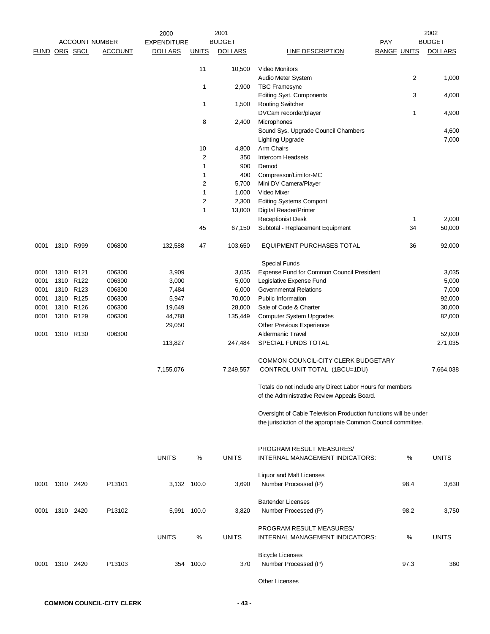|               | <b>ACCOUNT NUMBER</b> |           |                | 2000<br><b>EXPENDITURE</b> |                | 2001<br><b>BUDGET</b> | 2002<br><b>BUDGET</b><br><b>PAY</b>                              |                    |                |
|---------------|-----------------------|-----------|----------------|----------------------------|----------------|-----------------------|------------------------------------------------------------------|--------------------|----------------|
| FUND ORG SBCL |                       |           | <b>ACCOUNT</b> | <b>DOLLARS</b>             | <b>UNITS</b>   | <b>DOLLARS</b>        | LINE DESCRIPTION                                                 | <b>RANGE UNITS</b> | <b>DOLLARS</b> |
|               |                       |           |                |                            |                |                       |                                                                  |                    |                |
|               |                       |           |                |                            | 11             | 10,500                | Video Monitors                                                   |                    |                |
|               |                       |           |                |                            |                |                       | Audio Meter System                                               | $\overline{2}$     | 1,000          |
|               |                       |           |                |                            | 1              | 2,900                 | <b>TBC Framesync</b>                                             |                    |                |
|               |                       |           |                |                            |                |                       | <b>Editing Syst. Components</b>                                  | 3                  | 4,000          |
|               |                       |           |                |                            | 1              | 1,500                 | <b>Routing Switcher</b>                                          |                    |                |
|               |                       |           |                |                            |                |                       | DVCam recorder/player                                            | 1                  | 4,900          |
|               |                       |           |                |                            | 8              | 2,400                 | Microphones                                                      |                    |                |
|               |                       |           |                |                            |                |                       | Sound Sys. Upgrade Council Chambers                              |                    | 4,600          |
|               |                       |           |                |                            |                |                       | <b>Lighting Upgrade</b>                                          |                    | 7,000          |
|               |                       |           |                |                            | 10             | 4,800                 | Arm Chairs                                                       |                    |                |
|               |                       |           |                |                            | $\overline{c}$ | 350                   | Intercom Headsets                                                |                    |                |
|               |                       |           |                |                            | 1              | 900                   | Demod                                                            |                    |                |
|               |                       |           |                |                            | 1              | 400                   | Compressor/Limitor-MC                                            |                    |                |
|               |                       |           |                |                            | $\overline{2}$ | 5,700                 | Mini DV Camera/Player                                            |                    |                |
|               |                       |           |                |                            | 1              | 1,000                 | Video Mixer                                                      |                    |                |
|               |                       |           |                |                            | $\overline{c}$ | 2,300                 | <b>Editing Systems Compont</b>                                   |                    |                |
|               |                       |           |                |                            | 1              | 13,000                | Digital Reader/Printer                                           |                    |                |
|               |                       |           |                |                            |                |                       | <b>Receptionist Desk</b>                                         | $\mathbf{1}$       | 2,000          |
|               |                       |           |                |                            | 45             | 67,150                | Subtotal - Replacement Equipment                                 | 34                 | 50,000         |
| 0001          | 1310 R999             |           | 006800         | 132,588                    | 47             | 103,650               | EQUIPMENT PURCHASES TOTAL                                        | 36                 | 92,000         |
|               |                       |           |                |                            |                |                       | <b>Special Funds</b>                                             |                    |                |
| 0001          | 1310 R121             |           | 006300         | 3,909                      |                | 3,035                 | Expense Fund for Common Council President                        |                    | 3,035          |
| 0001          |                       | 1310 R122 | 006300         | 3,000                      |                | 5,000                 | Legislative Expense Fund                                         |                    | 5,000          |
| 0001          |                       | 1310 R123 | 006300         | 7,484                      |                | 6,000                 | <b>Governmental Relations</b>                                    |                    | 7,000          |
| 0001          |                       | 1310 R125 | 006300         | 5,947                      |                | 70,000                | <b>Public Information</b>                                        |                    | 92,000         |
| 0001          |                       | 1310 R126 | 006300         | 19,649                     |                | 28,000                | Sale of Code & Charter                                           |                    | 30,000         |
| 0001          |                       | 1310 R129 | 006300         | 44,788                     |                | 135,449               | Computer System Upgrades                                         |                    | 82,000         |
|               |                       |           |                | 29,050                     |                |                       | Other Previous Experience                                        |                    |                |
| 0001          |                       | 1310 R130 | 006300         |                            |                |                       | <b>Aldermanic Travel</b>                                         |                    | 52,000         |
|               |                       |           |                | 113,827                    |                | 247,484               | SPECIAL FUNDS TOTAL                                              |                    | 271,035        |
|               |                       |           |                |                            |                |                       |                                                                  |                    |                |
|               |                       |           |                |                            |                |                       | COMMON COUNCIL-CITY CLERK BUDGETARY                              |                    |                |
|               |                       |           |                | 7,155,076                  |                | 7,249,557             | CONTROL UNIT TOTAL (1BCU=1DU)                                    |                    | 7,664,038      |
|               |                       |           |                |                            |                |                       | Totals do not include any Direct Labor Hours for members         |                    |                |
|               |                       |           |                |                            |                |                       | of the Administrative Review Appeals Board.                      |                    |                |
|               |                       |           |                |                            |                |                       | Oversight of Cable Television Production functions will be under |                    |                |
|               |                       |           |                |                            |                |                       | the jurisdiction of the appropriate Common Council committee.    |                    |                |
|               |                       |           |                |                            |                |                       | PROGRAM RESULT MEASURES/                                         |                    |                |
|               |                       |           |                | <b>UNITS</b>               | %              | <b>UNITS</b>          | INTERNAL MANAGEMENT INDICATORS:                                  | %                  | <b>UNITS</b>   |
|               |                       |           |                |                            |                |                       | <b>Liquor and Malt Licenses</b>                                  |                    |                |
| 0001          | 1310 2420             |           | P13101         | 3,132 100.0                |                | 3,690                 | Number Processed (P)                                             | 98.4               | 3,630          |
|               |                       |           |                |                            |                |                       |                                                                  |                    |                |
|               |                       |           |                |                            |                |                       | <b>Bartender Licenses</b>                                        |                    |                |
| 0001          | 1310 2420             |           | P13102         | 5,991 100.0                |                | 3,820                 | Number Processed (P)                                             | 98.2               | 3,750          |
|               |                       |           |                |                            |                |                       | PROGRAM RESULT MEASURES/                                         |                    |                |
|               |                       |           |                | <b>UNITS</b>               | $\%$           | <b>UNITS</b>          | INTERNAL MANAGEMENT INDICATORS:                                  | %                  | <b>UNITS</b>   |
|               |                       |           |                |                            |                |                       | <b>Bicycle Licenses</b>                                          |                    |                |
| 0001          | 1310 2420             |           | P13103         | 354                        | 100.0          | 370                   | Number Processed (P)                                             | 97.3               | 360            |
|               |                       |           |                |                            |                |                       |                                                                  |                    |                |
|               |                       |           |                |                            |                |                       | <b>Other Licenses</b>                                            |                    |                |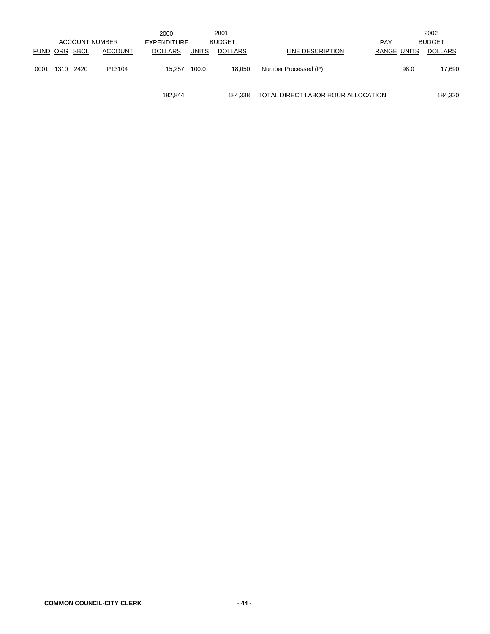|                      |      |      |                       | 2000           |              | 2001           |                      |             |      | 2002          |
|----------------------|------|------|-----------------------|----------------|--------------|----------------|----------------------|-------------|------|---------------|
|                      |      |      | <b>ACCOUNT NUMBER</b> | EXPENDITURE    |              | <b>BUDGET</b>  |                      | <b>PAY</b>  |      | <b>BUDGET</b> |
| <b>FUND ORG SBCL</b> |      |      | <b>ACCOUNT</b>        | <b>DOLLARS</b> | <b>UNITS</b> | <b>DOLLARS</b> | LINE DESCRIPTION     | RANGE UNITS |      | DOLLARS       |
|                      |      |      |                       |                |              |                |                      |             |      |               |
| 0001                 | 1310 | 2420 | P13104                | 15.257         | 100.0        | 18,050         | Number Processed (P) |             | 98.0 | 17,690        |
|                      |      |      |                       |                |              |                |                      |             |      |               |
|                      |      |      |                       |                |              |                |                      |             |      |               |

182,844 184,338 TOTAL DIRECT LABOR HOUR ALLOCATION 184,320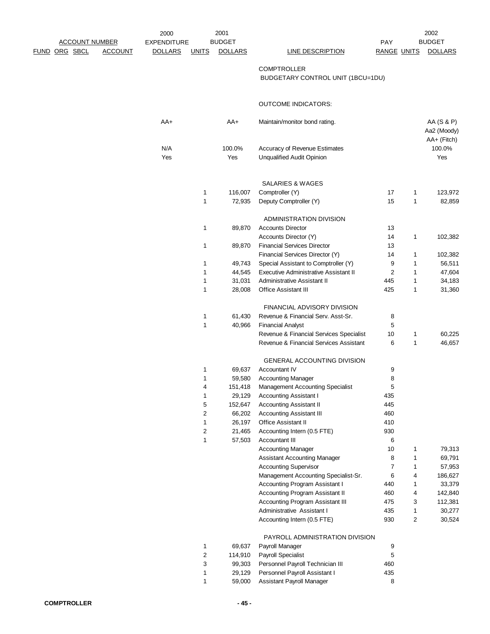|                       |                | 2000               |                  | 2001           |                                                                        |                     |                   | 2002              |
|-----------------------|----------------|--------------------|------------------|----------------|------------------------------------------------------------------------|---------------------|-------------------|-------------------|
| <b>ACCOUNT NUMBER</b> |                | <b>EXPENDITURE</b> |                  | <b>BUDGET</b>  |                                                                        | PAY                 |                   | <b>BUDGET</b>     |
| <u>FUND ORG SBCL</u>  | <b>ACCOUNT</b> | <b>DOLLARS</b>     | <b>UNITS</b>     | <b>DOLLARS</b> | <b>LINE DESCRIPTION</b>                                                | <b>RANGE UNITS</b>  |                   | <b>DOLLARS</b>    |
|                       |                |                    |                  |                | <b>COMPTROLLER</b>                                                     |                     |                   |                   |
|                       |                |                    |                  |                | BUDGETARY CONTROL UNIT (1BCU=1DU)                                      |                     |                   |                   |
|                       |                |                    |                  |                |                                                                        |                     |                   |                   |
|                       |                |                    |                  |                | <b>OUTCOME INDICATORS:</b>                                             |                     |                   |                   |
|                       |                |                    |                  |                |                                                                        |                     |                   |                   |
|                       |                | AA+                |                  | AA+            | Maintain/monitor bond rating.                                          |                     |                   | AA (S & P)        |
|                       |                |                    |                  |                |                                                                        |                     |                   | Aa2 (Moody)       |
|                       |                |                    |                  |                |                                                                        |                     |                   | AA+ (Fitch)       |
|                       |                | N/A<br>Yes         |                  | 100.0%<br>Yes  | Accuracy of Revenue Estimates<br><b>Unqualified Audit Opinion</b>      |                     |                   | 100.0%<br>Yes     |
|                       |                |                    |                  |                |                                                                        |                     |                   |                   |
|                       |                |                    |                  |                | SALARIES & WAGES                                                       |                     |                   |                   |
|                       |                |                    | 1                | 116,007        | Comptroller (Y)                                                        | 17                  | $\mathbf{1}$      | 123,972           |
|                       |                |                    | 1                | 72,935         | Deputy Comptroller (Y)                                                 | 15                  | $\mathbf{1}$      | 82,859            |
|                       |                |                    |                  |                |                                                                        |                     |                   |                   |
|                       |                |                    |                  |                | ADMINISTRATION DIVISION                                                |                     |                   |                   |
|                       |                |                    | 1                | 89,870         | <b>Accounts Director</b>                                               | 13                  |                   |                   |
|                       |                |                    |                  |                | Accounts Director (Y)                                                  | 14                  | $\mathbf{1}$      | 102,382           |
|                       |                |                    | 1                | 89,870         | <b>Financial Services Director</b>                                     | 13                  |                   |                   |
|                       |                |                    |                  |                | Financial Services Director (Y)                                        | 14                  | $\mathbf{1}$      | 102,382           |
|                       |                |                    | 1                | 49,743         | Special Assistant to Comptroller (Y)                                   | 9                   | 1                 | 56,511            |
|                       |                |                    | 1                | 44,545         | Executive Administrative Assistant II                                  | 2                   | 1                 | 47,604            |
|                       |                |                    | 1                | 31,031         | Administrative Assistant II                                            | 445                 | 1                 | 34,183            |
|                       |                |                    | 1                | 28,008         | <b>Office Assistant III</b>                                            | 425                 | $\mathbf{1}$      | 31,360            |
|                       |                |                    |                  |                | FINANCIAL ADVISORY DIVISION                                            |                     |                   |                   |
|                       |                |                    | 1                | 61,430         | Revenue & Financial Serv. Asst-Sr.                                     | 8                   |                   |                   |
|                       |                |                    | 1                | 40,966         | <b>Financial Analyst</b>                                               | 5                   |                   |                   |
|                       |                |                    |                  |                | Revenue & Financial Services Specialist                                | 10                  | 1                 | 60,225            |
|                       |                |                    |                  |                | Revenue & Financial Services Assistant                                 | 6                   | $\mathbf{1}$      | 46,657            |
|                       |                |                    |                  |                | <b>GENERAL ACCOUNTING DIVISION</b>                                     |                     |                   |                   |
|                       |                |                    | 1                | 69,637         | Accountant IV                                                          | 9                   |                   |                   |
|                       |                |                    | 1                | 59,580         | <b>Accounting Manager</b>                                              | 8                   |                   |                   |
|                       |                |                    | 4                | 151,418        | <b>Management Accounting Specialist</b>                                | 5                   |                   |                   |
|                       |                |                    | 1                | 29,129         | <b>Accounting Assistant I</b>                                          | 435                 |                   |                   |
|                       |                |                    | 5                | 152,647        | <b>Accounting Assistant II</b>                                         | 445                 |                   |                   |
|                       |                |                    | 2                | 66,202         | <b>Accounting Assistant III</b>                                        | 460                 |                   |                   |
|                       |                |                    | 1                | 26,197         | Office Assistant II                                                    | 410                 |                   |                   |
|                       |                |                    | 2                | 21,465         | Accounting Intern (0.5 FTE)                                            | 930                 |                   |                   |
|                       |                |                    | 1                | 57,503         | Accountant III                                                         | 6                   |                   |                   |
|                       |                |                    |                  |                | <b>Accounting Manager</b>                                              | 10                  | 1                 | 79,313            |
|                       |                |                    |                  |                | <b>Assistant Accounting Manager</b>                                    | 8<br>$\overline{7}$ | 1                 | 69,791            |
|                       |                |                    |                  |                | <b>Accounting Supervisor</b>                                           | 6                   | $\mathbf{1}$<br>4 | 57,953            |
|                       |                |                    |                  |                | Management Accounting Specialist-Sr.<br>Accounting Program Assistant I | 440                 | 1                 | 186,627<br>33,379 |
|                       |                |                    |                  |                | Accounting Program Assistant II                                        | 460                 | 4                 | 142,840           |
|                       |                |                    |                  |                | Accounting Program Assistant III                                       | 475                 | 3                 | 112,381           |
|                       |                |                    |                  |                | Administrative Assistant I                                             | 435                 | $\mathbf{1}$      | 30,277            |
|                       |                |                    |                  |                | Accounting Intern (0.5 FTE)                                            | 930                 | 2                 | 30,524            |
|                       |                |                    |                  |                |                                                                        |                     |                   |                   |
|                       |                |                    | 1                | 69,637         | PAYROLL ADMINISTRATION DIVISION<br>Payroll Manager                     | 9                   |                   |                   |
|                       |                |                    | $\boldsymbol{2}$ | 114,910        | <b>Payroll Specialist</b>                                              | 5                   |                   |                   |
|                       |                |                    | 3                | 99,303         | Personnel Payroll Technician III                                       | 460                 |                   |                   |
|                       |                |                    | 1                | 29,129         | Personnel Payroll Assistant I                                          | 435                 |                   |                   |
|                       |                |                    | 1                | 59,000         | Assistant Payroll Manager                                              | 8                   |                   |                   |
|                       |                |                    |                  |                |                                                                        |                     |                   |                   |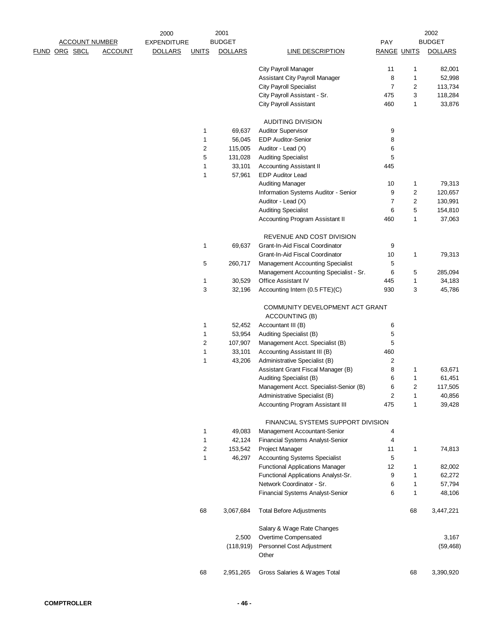|  |                       |                | 2000               |              | 2001              |                                                                         |                    |                | 2002           |
|--|-----------------------|----------------|--------------------|--------------|-------------------|-------------------------------------------------------------------------|--------------------|----------------|----------------|
|  | <b>ACCOUNT NUMBER</b> |                | <b>EXPENDITURE</b> |              | <b>BUDGET</b>     |                                                                         | PAY                |                | <b>BUDGET</b>  |
|  | FUND ORG SBCL         | <b>ACCOUNT</b> | <b>DOLLARS</b>     | <b>UNITS</b> | <b>DOLLARS</b>    | <b>LINE DESCRIPTION</b>                                                 | <b>RANGE UNITS</b> |                | <b>DOLLARS</b> |
|  |                       |                |                    |              |                   | City Payroll Manager                                                    | 11                 | 1              | 82,001         |
|  |                       |                |                    |              |                   | Assistant City Payroll Manager                                          | 8                  | 1              | 52,998         |
|  |                       |                |                    |              |                   | <b>City Payroll Specialist</b>                                          | $\overline{7}$     | 2              | 113,734        |
|  |                       |                |                    |              |                   | City Payroll Assistant - Sr.                                            | 475                | 3              | 118,284        |
|  |                       |                |                    |              |                   | <b>City Payroll Assistant</b>                                           | 460                | 1              | 33,876         |
|  |                       |                |                    |              |                   | <b>AUDITING DIVISION</b>                                                |                    |                |                |
|  |                       |                |                    | 1            | 69,637            | <b>Auditor Supervisor</b>                                               | 9                  |                |                |
|  |                       |                |                    | 1            | 56,045            | <b>EDP Auditor-Senior</b>                                               | 8                  |                |                |
|  |                       |                |                    | $\sqrt{2}$   | 115,005           | Auditor - Lead (X)                                                      | 6                  |                |                |
|  |                       |                |                    | 5            | 131,028           | <b>Auditing Specialist</b>                                              | 5                  |                |                |
|  |                       |                |                    | 1            | 33,101            | <b>Accounting Assistant II</b>                                          | 445                |                |                |
|  |                       |                |                    | 1            | 57,961            | <b>EDP Auditor Lead</b>                                                 |                    |                |                |
|  |                       |                |                    |              |                   | <b>Auditing Manager</b>                                                 | 10                 | 1              | 79,313         |
|  |                       |                |                    |              |                   | Information Systems Auditor - Senior                                    | 9                  | 2              | 120,657        |
|  |                       |                |                    |              |                   | Auditor - Lead (X)                                                      | $\overline{7}$     | $\overline{2}$ | 130,991        |
|  |                       |                |                    |              |                   | <b>Auditing Specialist</b>                                              | 6                  | 5              | 154,810        |
|  |                       |                |                    |              |                   | Accounting Program Assistant II                                         | 460                | 1              | 37,063         |
|  |                       |                |                    |              |                   | REVENUE AND COST DIVISION                                               |                    |                |                |
|  |                       |                |                    | 1            | 69,637            | Grant-In-Aid Fiscal Coordinator                                         | 9                  |                |                |
|  |                       |                |                    |              |                   | Grant-In-Aid Fiscal Coordinator                                         | 10                 | 1              | 79,313         |
|  |                       |                |                    | 5            | 260,717           | <b>Management Accounting Specialist</b>                                 | 5                  |                |                |
|  |                       |                |                    |              |                   | Management Accounting Specialist - Sr.                                  | 6                  | 5              | 285,094        |
|  |                       |                |                    | 1            | 30,529            | Office Assistant IV                                                     | 445                | 1              | 34,183         |
|  |                       |                |                    | 3            | 32,196            | Accounting Intern (0.5 FTE)(C)                                          | 930                | 3              | 45,786         |
|  |                       |                |                    | 1            | 52,452            | COMMUNITY DEVELOPMENT ACT GRANT<br>ACCOUNTING (B)<br>Accountant III (B) |                    |                |                |
|  |                       |                |                    | 1            | 53,954            |                                                                         | 6<br>5             |                |                |
|  |                       |                |                    | $\sqrt{2}$   | 107,907           | Auditing Specialist (B)<br>Management Acct. Specialist (B)              | 5                  |                |                |
|  |                       |                |                    | 1            | 33,101            | Accounting Assistant III (B)                                            | 460                |                |                |
|  |                       |                |                    | 1            | 43,206            | Administrative Specialist (B)                                           | 2                  |                |                |
|  |                       |                |                    |              |                   | Assistant Grant Fiscal Manager (B)                                      | 8                  | 1              | 63,671         |
|  |                       |                |                    |              |                   | Auditing Specialist (B)                                                 | 6                  | 1              | 61,451         |
|  |                       |                |                    |              |                   | Management Acct. Specialist-Senior (B)                                  | 6                  | 2              | 117,505        |
|  |                       |                |                    |              |                   | Administrative Specialist (B)                                           | $\overline{c}$     | 1              | 40,856         |
|  |                       |                |                    |              |                   | <b>Accounting Program Assistant III</b>                                 | 475                | 1              | 39,428         |
|  |                       |                |                    |              |                   | FINANCIAL SYSTEMS SUPPORT DIVISION                                      |                    |                |                |
|  |                       |                |                    |              | 49,083            | Management Accountant-Senior                                            |                    |                |                |
|  |                       |                |                    | 1<br>1       | 42,124            |                                                                         | 4<br>4             |                |                |
|  |                       |                |                    | $\sqrt{2}$   |                   | Financial Systems Analyst-Senior                                        |                    |                |                |
|  |                       |                |                    | 1            | 153,542<br>46,297 | Project Manager<br><b>Accounting Systems Specialist</b>                 | 11<br>5            | 1              | 74,813         |
|  |                       |                |                    |              |                   | <b>Functional Applications Manager</b>                                  | 12                 |                |                |
|  |                       |                |                    |              |                   |                                                                         | 9                  | 1              | 82,002         |
|  |                       |                |                    |              |                   | Functional Applications Analyst-Sr.<br>Network Coordinator - Sr.        |                    | 1              | 62,272         |
|  |                       |                |                    |              |                   |                                                                         | 6                  | 1              | 57,794         |
|  |                       |                |                    |              |                   | Financial Systems Analyst-Senior                                        | 6                  | 1              | 48,106         |
|  |                       |                |                    | 68           | 3,067,684         | <b>Total Before Adjustments</b>                                         |                    | 68             | 3,447,221      |
|  |                       |                |                    |              |                   | Salary & Wage Rate Changes                                              |                    |                |                |
|  |                       |                |                    |              | 2,500             | Overtime Compensated                                                    |                    |                | 3,167          |
|  |                       |                |                    |              | (118, 919)        | Personnel Cost Adjustment<br>Other                                      |                    |                | (59, 468)      |
|  |                       |                |                    |              |                   |                                                                         |                    |                |                |
|  |                       |                |                    | 68           | 2,951,265         | Gross Salaries & Wages Total                                            |                    | 68             | 3,390,920      |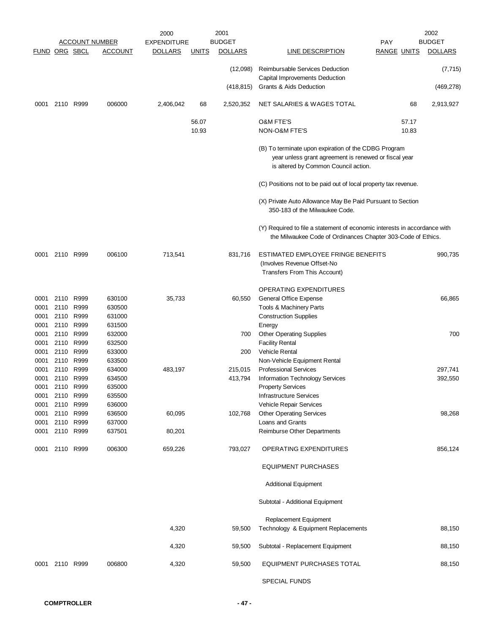|               |           |           |                                         | 2000                                 |              | 2001                            |                                                                                                                                                       |                                  | 2002                            |
|---------------|-----------|-----------|-----------------------------------------|--------------------------------------|--------------|---------------------------------|-------------------------------------------------------------------------------------------------------------------------------------------------------|----------------------------------|---------------------------------|
| FUND ORG SBCL |           |           | <b>ACCOUNT NUMBER</b><br><b>ACCOUNT</b> | <b>EXPENDITURE</b><br><b>DOLLARS</b> | <u>UNITS</u> | <b>BUDGET</b><br><b>DOLLARS</b> | LINE DESCRIPTION                                                                                                                                      | <b>PAY</b><br><b>RANGE UNITS</b> | <b>BUDGET</b><br><b>DOLLARS</b> |
|               |           |           |                                         |                                      |              |                                 |                                                                                                                                                       |                                  |                                 |
|               |           |           |                                         |                                      |              | (12,098)                        | <b>Reimbursable Services Deduction</b><br>Capital Improvements Deduction                                                                              |                                  | (7, 715)                        |
|               |           |           |                                         |                                      |              | (418, 815)                      | Grants & Aids Deduction                                                                                                                               |                                  | (469, 278)                      |
| 0001          | 2110 R999 |           | 006000                                  | 2,406,042                            | 68           | 2,520,352                       | NET SALARIES & WAGES TOTAL                                                                                                                            | 68                               | 2,913,927                       |
|               |           |           |                                         |                                      | 56.07        |                                 | <b>O&amp;M FTE'S</b>                                                                                                                                  | 57.17                            |                                 |
|               |           |           |                                         |                                      | 10.93        |                                 | NON-O&M FTE'S                                                                                                                                         | 10.83                            |                                 |
|               |           |           |                                         |                                      |              |                                 | (B) To terminate upon expiration of the CDBG Program<br>year unless grant agreement is renewed or fiscal year<br>is altered by Common Council action. |                                  |                                 |
|               |           |           |                                         |                                      |              |                                 | (C) Positions not to be paid out of local property tax revenue.                                                                                       |                                  |                                 |
|               |           |           |                                         |                                      |              |                                 |                                                                                                                                                       |                                  |                                 |
|               |           |           |                                         |                                      |              |                                 | (X) Private Auto Allowance May Be Paid Pursuant to Section<br>350-183 of the Milwaukee Code.                                                          |                                  |                                 |
|               |           |           |                                         |                                      |              |                                 | (Y) Required to file a statement of economic interests in accordance with<br>the Milwaukee Code of Ordinances Chapter 303-Code of Ethics.             |                                  |                                 |
| 0001          |           | 2110 R999 | 006100                                  | 713,541                              |              | 831,716                         | ESTIMATED EMPLOYEE FRINGE BENEFITS<br>(Involves Revenue Offset-No<br>Transfers From This Account)                                                     |                                  | 990,735                         |
|               |           |           |                                         |                                      |              |                                 |                                                                                                                                                       |                                  |                                 |
|               |           |           |                                         |                                      |              |                                 | OPERATING EXPENDITURES                                                                                                                                |                                  |                                 |
| 0001          | 2110 R999 |           | 630100                                  | 35,733                               |              | 60,550                          | General Office Expense                                                                                                                                |                                  | 66,865                          |
| 0001          | 2110 R999 | 2110 R999 | 630500                                  |                                      |              |                                 | Tools & Machinery Parts                                                                                                                               |                                  |                                 |
| 0001<br>0001  | 2110 R999 |           | 631000<br>631500                        |                                      |              |                                 | <b>Construction Supplies</b><br>Energy                                                                                                                |                                  |                                 |
| 0001          |           | 2110 R999 | 632000                                  |                                      |              | 700                             | <b>Other Operating Supplies</b>                                                                                                                       |                                  | 700                             |
| 0001          |           | 2110 R999 | 632500                                  |                                      |              |                                 | <b>Facility Rental</b>                                                                                                                                |                                  |                                 |
| 0001          |           | 2110 R999 | 633000                                  |                                      |              | 200                             | <b>Vehicle Rental</b>                                                                                                                                 |                                  |                                 |
| 0001          |           | 2110 R999 | 633500                                  |                                      |              |                                 | Non-Vehicle Equipment Rental                                                                                                                          |                                  |                                 |
| 0001          | 2110      | R999      | 634000                                  | 483,197                              |              | 215,015                         | <b>Professional Services</b>                                                                                                                          |                                  | 297,741                         |
| 0001          | 2110 R999 |           | 634500                                  |                                      |              | 413,794                         | Information Technology Services                                                                                                                       |                                  | 392,550                         |
| 0001          | 2110 R999 |           | 635000                                  |                                      |              |                                 | <b>Property Services</b>                                                                                                                              |                                  |                                 |
| 0001          | 2110 R999 |           | 635500                                  |                                      |              |                                 | <b>Infrastructure Services</b>                                                                                                                        |                                  |                                 |
| 0001          | 2110 R999 |           | 636000                                  |                                      |              |                                 | Vehicle Repair Services                                                                                                                               |                                  |                                 |
| 0001          | 2110 R999 |           | 636500                                  | 60,095                               |              | 102,768                         | <b>Other Operating Services</b>                                                                                                                       |                                  | 98,268                          |
| 0001          | 2110 R999 |           | 637000                                  |                                      |              |                                 | Loans and Grants                                                                                                                                      |                                  |                                 |
| 0001          | 2110 R999 |           | 637501                                  | 80,201                               |              |                                 | Reimburse Other Departments                                                                                                                           |                                  |                                 |
| 0001          | 2110 R999 |           | 006300                                  | 659,226                              |              | 793,027                         | OPERATING EXPENDITURES                                                                                                                                |                                  | 856,124                         |
|               |           |           |                                         |                                      |              |                                 | <b>EQUIPMENT PURCHASES</b>                                                                                                                            |                                  |                                 |
|               |           |           |                                         |                                      |              |                                 | <b>Additional Equipment</b>                                                                                                                           |                                  |                                 |
|               |           |           |                                         |                                      |              |                                 | Subtotal - Additional Equipment                                                                                                                       |                                  |                                 |
|               |           |           |                                         |                                      |              |                                 | Replacement Equipment                                                                                                                                 |                                  |                                 |
|               |           |           |                                         | 4,320                                |              | 59,500                          | Technology & Equipment Replacements                                                                                                                   |                                  | 88,150                          |
|               |           |           |                                         | 4,320                                |              | 59,500                          | Subtotal - Replacement Equipment                                                                                                                      |                                  | 88,150                          |
| 0001          |           | 2110 R999 | 006800                                  | 4,320                                |              | 59,500                          | EQUIPMENT PURCHASES TOTAL                                                                                                                             |                                  | 88,150                          |
|               |           |           |                                         |                                      |              |                                 | <b>SPECIAL FUNDS</b>                                                                                                                                  |                                  |                                 |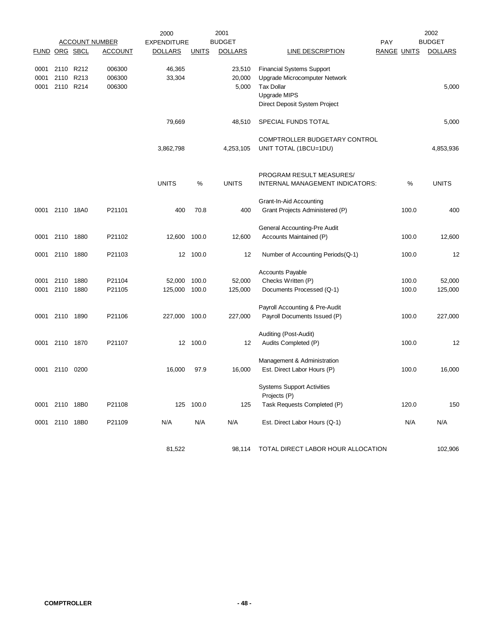|                      |                |           |                       | 2000               |              | 2001           | 2002                               |                    |       |                |  |
|----------------------|----------------|-----------|-----------------------|--------------------|--------------|----------------|------------------------------------|--------------------|-------|----------------|--|
|                      |                |           | <b>ACCOUNT NUMBER</b> | <b>EXPENDITURE</b> |              | <b>BUDGET</b>  |                                    | <b>PAY</b>         |       | <b>BUDGET</b>  |  |
| <b>FUND ORG SBCL</b> |                |           | <b>ACCOUNT</b>        | <b>DOLLARS</b>     | <b>UNITS</b> | <b>DOLLARS</b> | <b>LINE DESCRIPTION</b>            | <b>RANGE UNITS</b> |       | <b>DOLLARS</b> |  |
|                      |                |           |                       |                    |              |                |                                    |                    |       |                |  |
| 0001                 | 2110           | R212      | 006300                | 46,365             |              | 23,510         | <b>Financial Systems Support</b>   |                    |       |                |  |
| 0001                 |                | 2110 R213 | 006300                | 33,304             |              | 20,000         | Upgrade Microcomputer Network      |                    |       |                |  |
| 0001                 |                | 2110 R214 | 006300                |                    |              | 5,000          | <b>Tax Dollar</b>                  |                    |       | 5,000          |  |
|                      |                |           |                       |                    |              |                | Upgrade MIPS                       |                    |       |                |  |
|                      |                |           |                       |                    |              |                | Direct Deposit System Project      |                    |       |                |  |
|                      |                |           |                       |                    |              |                |                                    |                    |       |                |  |
|                      |                |           |                       | 79,669             |              | 48,510         | SPECIAL FUNDS TOTAL                |                    |       | 5,000          |  |
|                      |                |           |                       |                    |              |                |                                    |                    |       |                |  |
|                      |                |           |                       |                    |              |                | COMPTROLLER BUDGETARY CONTROL      |                    |       |                |  |
|                      |                |           |                       | 3,862,798          |              | 4,253,105      | UNIT TOTAL (1BCU=1DU)              |                    |       | 4,853,936      |  |
|                      |                |           |                       |                    |              |                |                                    |                    |       |                |  |
|                      |                |           |                       |                    |              |                |                                    |                    |       |                |  |
|                      |                |           |                       |                    |              |                |                                    |                    |       |                |  |
|                      |                |           |                       |                    |              |                | PROGRAM RESULT MEASURES/           |                    |       |                |  |
|                      |                |           |                       | <b>UNITS</b>       | %            | <b>UNITS</b>   | INTERNAL MANAGEMENT INDICATORS:    |                    | %     | <b>UNITS</b>   |  |
|                      |                |           |                       |                    |              |                |                                    |                    |       |                |  |
|                      |                |           |                       |                    |              |                | <b>Grant-In-Aid Accounting</b>     |                    |       |                |  |
|                      | 0001 2110 18A0 |           | P21101                | 400                | 70.8         | 400            | Grant Projects Administered (P)    |                    | 100.0 | 400            |  |
|                      |                |           |                       |                    |              |                |                                    |                    |       |                |  |
|                      |                |           |                       |                    |              |                | General Accounting-Pre Audit       |                    |       |                |  |
| 0001                 | 2110           | 1880      | P21102                | 12,600             | 100.0        | 12,600         | Accounts Maintained (P)            |                    | 100.0 | 12,600         |  |
|                      |                |           |                       |                    |              |                |                                    |                    |       |                |  |
| 0001                 | 2110           | 1880      | P21103                |                    | 12 100.0     | 12             | Number of Accounting Periods(Q-1)  |                    | 100.0 | 12             |  |
|                      |                |           |                       |                    |              |                |                                    |                    |       |                |  |
|                      |                |           |                       |                    |              |                | <b>Accounts Payable</b>            |                    |       |                |  |
| 0001                 | 2110           | 1880      | P21104                | 52,000             | 100.0        | 52,000         | Checks Written (P)                 |                    | 100.0 | 52,000         |  |
| 0001                 | 2110           | 1880      | P21105                | 125,000            | 100.0        | 125,000        | Documents Processed (Q-1)          |                    | 100.0 | 125,000        |  |
|                      |                |           |                       |                    |              |                |                                    |                    |       |                |  |
|                      |                |           |                       |                    |              |                | Payroll Accounting & Pre-Audit     |                    |       |                |  |
| 0001                 | 2110           | 1890      | P21106                | 227,000            | 100.0        | 227,000        | Payroll Documents Issued (P)       |                    | 100.0 | 227,000        |  |
|                      |                |           |                       |                    |              |                |                                    |                    |       |                |  |
|                      |                |           |                       |                    |              |                | Auditing (Post-Audit)              |                    |       |                |  |
| 0001                 | 2110           | 1870      | P21107                |                    | 12 100.0     | 12             | Audits Completed (P)               |                    | 100.0 | 12             |  |
|                      |                |           |                       |                    |              |                |                                    |                    |       |                |  |
|                      |                |           |                       |                    |              |                | Management & Administration        |                    |       |                |  |
|                      | 0001 2110      | 0200      |                       | 16,000             | 97.9         | 16,000         | Est. Direct Labor Hours (P)        |                    | 100.0 | 16,000         |  |
|                      |                |           |                       |                    |              |                |                                    |                    |       |                |  |
|                      |                |           |                       |                    |              |                | <b>Systems Support Activities</b>  |                    |       |                |  |
|                      |                |           |                       |                    |              |                | Projects (P)                       |                    |       |                |  |
|                      | 0001 2110 18B0 |           | P21108                | 125                | 100.0        | 125            | Task Requests Completed (P)        |                    | 120.0 | 150            |  |
|                      |                |           |                       |                    |              |                |                                    |                    |       |                |  |
|                      | 0001 2110 18B0 |           | P21109                | N/A                | N/A          | N/A            | Est. Direct Labor Hours (Q-1)      |                    | N/A   | N/A            |  |
|                      |                |           |                       |                    |              |                |                                    |                    |       |                |  |
|                      |                |           |                       |                    |              |                |                                    |                    |       |                |  |
|                      |                |           |                       | 81,522             |              | 98,114         | TOTAL DIRECT LABOR HOUR ALLOCATION |                    |       | 102,906        |  |
|                      |                |           |                       |                    |              |                |                                    |                    |       |                |  |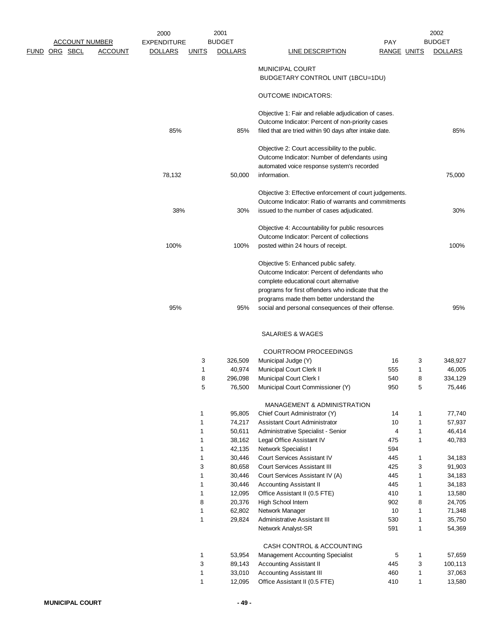|                      | <b>ACCOUNT NUMBER</b> |                | 2000<br><b>EXPENDITURE</b> |              | 2001<br><b>BUDGET</b> |                                                                                                                                                                                                                                  | <b>PAY</b>         |              | 2002<br><b>BUDGET</b> |
|----------------------|-----------------------|----------------|----------------------------|--------------|-----------------------|----------------------------------------------------------------------------------------------------------------------------------------------------------------------------------------------------------------------------------|--------------------|--------------|-----------------------|
| <b>FUND ORG SBCL</b> |                       | <b>ACCOUNT</b> | <b>DOLLARS</b>             | <u>UNITS</u> | <b>DOLLARS</b>        | <b>LINE DESCRIPTION</b>                                                                                                                                                                                                          | <b>RANGE UNITS</b> |              | <b>DOLLARS</b>        |
|                      |                       |                |                            |              |                       | <b>MUNICIPAL COURT</b><br>BUDGETARY CONTROL UNIT (1BCU=1DU)                                                                                                                                                                      |                    |              |                       |
|                      |                       |                |                            |              |                       | <b>OUTCOME INDICATORS:</b>                                                                                                                                                                                                       |                    |              |                       |
|                      |                       |                | 85%                        |              | 85%                   | Objective 1: Fair and reliable adjudication of cases.<br>Outcome Indicator: Percent of non-priority cases<br>filed that are tried within 90 days after intake date.                                                              |                    |              | 85%                   |
|                      |                       |                |                            |              |                       | Objective 2: Court accessibility to the public.<br>Outcome Indicator: Number of defendants using<br>automated voice response system's recorded                                                                                   |                    |              |                       |
|                      |                       |                | 78,132                     |              | 50,000                | information.                                                                                                                                                                                                                     |                    |              | 75,000                |
|                      |                       |                | 38%                        |              | 30%                   | Objective 3: Effective enforcement of court judgements.<br>Outcome Indicator: Ratio of warrants and commitments<br>issued to the number of cases adjudicated.                                                                    |                    |              | 30%                   |
|                      |                       |                | 100%                       |              | 100%                  | Objective 4: Accountability for public resources<br>Outcome Indicator: Percent of collections<br>posted within 24 hours of receipt.                                                                                              |                    |              | 100%                  |
|                      |                       |                |                            |              |                       | Objective 5: Enhanced public safety.<br>Outcome Indicator: Percent of defendants who<br>complete educational court alternative<br>programs for first offenders who indicate that the<br>programs made them better understand the |                    |              |                       |
|                      |                       |                | 95%                        |              | 95%                   | social and personal consequences of their offense.                                                                                                                                                                               |                    |              | 95%                   |
|                      |                       |                |                            |              |                       | SALARIES & WAGES                                                                                                                                                                                                                 |                    |              |                       |
|                      |                       |                |                            |              |                       | <b>COURTROOM PROCEEDINGS</b>                                                                                                                                                                                                     |                    |              |                       |
|                      |                       |                |                            | 3            | 326,509               | Municipal Judge (Y)                                                                                                                                                                                                              | 16                 | 3            | 348,927               |
|                      |                       |                |                            | 1            | 40,974                | Municipal Court Clerk II                                                                                                                                                                                                         | 555                | 1            | 46,005                |
|                      |                       |                |                            | 8<br>5       | 296,098<br>76,500     | Municipal Court Clerk I<br>Municipal Court Commissioner (Y)                                                                                                                                                                      | 540<br>950         | 8<br>5       | 334,129<br>75,446     |
|                      |                       |                |                            |              |                       | MANAGEMENT & ADMINISTRATION                                                                                                                                                                                                      |                    |              |                       |
|                      |                       |                |                            | 1            | 95,805                | Chief Court Administrator (Y)                                                                                                                                                                                                    | 14                 | $\mathbf{1}$ | 77,740                |
|                      |                       |                |                            | 1            | 74,217                | Assistant Court Administrator                                                                                                                                                                                                    | 10                 | $\mathbf{1}$ | 57,937                |
|                      |                       |                |                            | 1            | 50,611                | Administrative Specialist - Senior                                                                                                                                                                                               | 4                  | $\mathbf{1}$ | 46,414                |
|                      |                       |                |                            | 1            | 38,162                | Legal Office Assistant IV                                                                                                                                                                                                        | 475                | $\mathbf{1}$ | 40,783                |
|                      |                       |                |                            | 1            | 42,135                | Network Specialist I                                                                                                                                                                                                             | 594                |              |                       |
|                      |                       |                |                            | 1            | 30,446                | Court Services Assistant IV                                                                                                                                                                                                      | 445                | $\mathbf{1}$ | 34,183                |
|                      |                       |                |                            | 3            | 80,658                | Court Services Assistant III                                                                                                                                                                                                     | 425                | 3            | 91,903                |
|                      |                       |                |                            | 1            | 30,446                | Court Services Assistant IV (A)                                                                                                                                                                                                  | 445                | $\mathbf{1}$ | 34,183                |
|                      |                       |                |                            | 1            | 30,446                | <b>Accounting Assistant II</b>                                                                                                                                                                                                   | 445                | $\mathbf{1}$ | 34,183                |
|                      |                       |                |                            | 1            | 12,095                | Office Assistant II (0.5 FTE)                                                                                                                                                                                                    | 410                | $\mathbf{1}$ | 13,580                |
|                      |                       |                |                            | 8            | 20,376                | High School Intern                                                                                                                                                                                                               | 902                | 8            | 24,705                |
|                      |                       |                |                            | 1            | 62,802                | Network Manager                                                                                                                                                                                                                  | $10$               | 1            | 71,348                |

|   |        | CASH CONTROL & ACCOUNTING               |     |         |
|---|--------|-----------------------------------------|-----|---------|
|   | 53.954 | <b>Management Accounting Specialist</b> | 5   | 57.659  |
| 3 | 89.143 | <b>Accounting Assistant II</b>          | 445 | 100.113 |
|   | 33.010 | <b>Accounting Assistant III</b>         | 460 | 37.063  |
|   | 12.095 | Office Assistant II (0.5 FTE)           | 410 | 13,580  |

1 29,824 Administrative Assistant III 530 1 35,750

Network Analyst-SR 591 1 54,369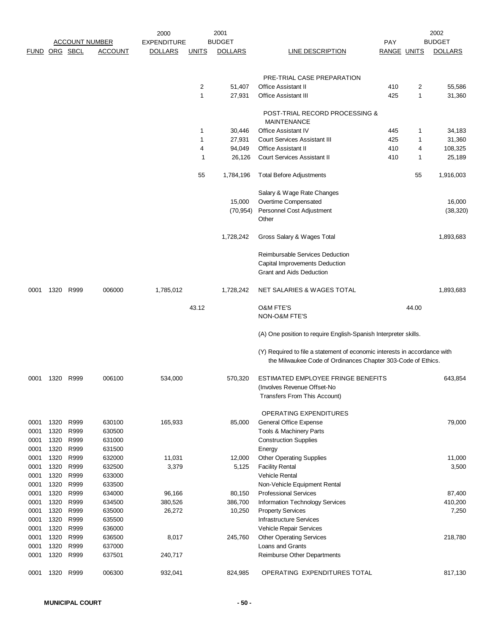|               |              |              | <b>ACCOUNT NUMBER</b> | 2000<br><b>EXPENDITURE</b> |              | 2001<br><b>BUDGET</b> |                                                                           | <b>PAY</b>         |                  | 2002<br><b>BUDGET</b> |
|---------------|--------------|--------------|-----------------------|----------------------------|--------------|-----------------------|---------------------------------------------------------------------------|--------------------|------------------|-----------------------|
| FUND ORG SBCL |              |              | ACCOUNT               | <b>DOLLARS</b>             | <b>UNITS</b> | <b>DOLLARS</b>        | LINE DESCRIPTION                                                          | <b>RANGE UNITS</b> |                  | <b>DOLLARS</b>        |
|               |              |              |                       |                            |              |                       |                                                                           |                    |                  |                       |
|               |              |              |                       |                            |              |                       | PRE-TRIAL CASE PREPARATION                                                |                    |                  |                       |
|               |              |              |                       |                            | 2            | 51,407                | <b>Office Assistant II</b>                                                | 410                | 2                | 55,586                |
|               |              |              |                       |                            | 1            | 27,931                | <b>Office Assistant III</b>                                               | 425                | $\mathbf{1}$     | 31,360                |
|               |              |              |                       |                            |              |                       | POST-TRIAL RECORD PROCESSING &                                            |                    |                  |                       |
|               |              |              |                       |                            |              |                       | <b>MAINTENANCE</b>                                                        |                    |                  |                       |
|               |              |              |                       |                            | 1            | 30,446                | <b>Office Assistant IV</b>                                                | 445                | $\mathbf{1}$     | 34,183                |
|               |              |              |                       |                            | 1<br>4       | 27,931<br>94,049      | <b>Court Services Assistant III</b><br><b>Office Assistant II</b>         | 425<br>410         | $\mathbf 1$<br>4 | 31,360<br>108,325     |
|               |              |              |                       |                            | 1            | 26,126                | <b>Court Services Assistant II</b>                                        | 410                | $\mathbf 1$      | 25,189                |
|               |              |              |                       |                            |              |                       |                                                                           |                    |                  |                       |
|               |              |              |                       |                            | 55           | 1,784,196             | <b>Total Before Adjustments</b>                                           |                    | 55               | 1,916,003             |
|               |              |              |                       |                            |              |                       | Salary & Wage Rate Changes                                                |                    |                  |                       |
|               |              |              |                       |                            |              | 15,000                | Overtime Compensated                                                      |                    |                  | 16,000                |
|               |              |              |                       |                            |              | (70, 954)             | Personnel Cost Adjustment<br>Other                                        |                    |                  | (38, 320)             |
|               |              |              |                       |                            |              | 1,728,242             | Gross Salary & Wages Total                                                |                    |                  | 1,893,683             |
|               |              |              |                       |                            |              |                       | <b>Reimbursable Services Deduction</b>                                    |                    |                  |                       |
|               |              |              |                       |                            |              |                       | Capital Improvements Deduction                                            |                    |                  |                       |
|               |              |              |                       |                            |              |                       | Grant and Aids Deduction                                                  |                    |                  |                       |
| 0001          | 1320         | R999         | 006000                | 1,785,012                  |              | 1,728,242             | NET SALARIES & WAGES TOTAL                                                |                    |                  | 1,893,683             |
|               |              |              |                       |                            | 43.12        |                       | <b>O&amp;M FTE'S</b>                                                      |                    | 44.00            |                       |
|               |              |              |                       |                            |              |                       | NON-O&M FTE'S                                                             |                    |                  |                       |
|               |              |              |                       |                            |              |                       | (A) One position to require English-Spanish Interpreter skills.           |                    |                  |                       |
|               |              |              |                       |                            |              |                       | (Y) Required to file a statement of economic interests in accordance with |                    |                  |                       |
|               |              |              |                       |                            |              |                       | the Milwaukee Code of Ordinances Chapter 303-Code of Ethics.              |                    |                  |                       |
| 0001          | 1320         | R999         | 006100                | 534,000                    |              | 570,320               | ESTIMATED EMPLOYEE FRINGE BENEFITS                                        |                    |                  | 643,854               |
|               |              |              |                       |                            |              |                       | (Involves Revenue Offset-No<br>Transfers From This Account)               |                    |                  |                       |
|               |              |              |                       |                            |              |                       |                                                                           |                    |                  |                       |
|               |              |              |                       |                            |              |                       | <b>OPERATING EXPENDITURES</b>                                             |                    |                  |                       |
| 0001          | 1320         | R999         | 630100                | 165,933                    |              | 85,000                | General Office Expense                                                    |                    |                  | 79,000                |
| 0001<br>0001  | 1320<br>1320 | R999<br>R999 | 630500<br>631000      |                            |              |                       | Tools & Machinery Parts<br><b>Construction Supplies</b>                   |                    |                  |                       |
| 0001          | 1320         | R999         | 631500                |                            |              |                       | Energy                                                                    |                    |                  |                       |
| 0001          | 1320         | R999         | 632000                | 11,031                     |              | 12,000                | <b>Other Operating Supplies</b>                                           |                    |                  | 11,000                |
| 0001          | 1320         | R999         | 632500                | 3,379                      |              | 5,125                 | <b>Facility Rental</b>                                                    |                    |                  | 3,500                 |
| 0001          | 1320         | R999         | 633000                |                            |              |                       | <b>Vehicle Rental</b>                                                     |                    |                  |                       |
| 0001          | 1320         | R999         | 633500                |                            |              |                       | Non-Vehicle Equipment Rental                                              |                    |                  |                       |
| 0001          | 1320         | R999         | 634000                | 96,166                     |              | 80,150                | <b>Professional Services</b>                                              |                    |                  | 87,400                |
| 0001          | 1320         | R999         | 634500                | 380,526                    |              | 386,700               | Information Technology Services                                           |                    |                  | 410,200               |
| 0001          | 1320         | R999         | 635000                | 26,272                     |              | 10,250                | <b>Property Services</b>                                                  |                    |                  | 7,250                 |
| 0001          | 1320         | R999         | 635500                |                            |              |                       | <b>Infrastructure Services</b>                                            |                    |                  |                       |
| 0001          | 1320         | R999         | 636000                |                            |              |                       | Vehicle Repair Services                                                   |                    |                  |                       |
| 0001<br>0001  | 1320<br>1320 | R999<br>R999 | 636500<br>637000      | 8,017                      |              | 245,760               | <b>Other Operating Services</b><br>Loans and Grants                       |                    |                  | 218,780               |
| 0001          | 1320         | R999         | 637501                | 240,717                    |              |                       | Reimburse Other Departments                                               |                    |                  |                       |
| 0001          | 1320         | R999         | 006300                | 932,041                    |              | 824,985               | OPERATING EXPENDITURES TOTAL                                              |                    |                  | 817,130               |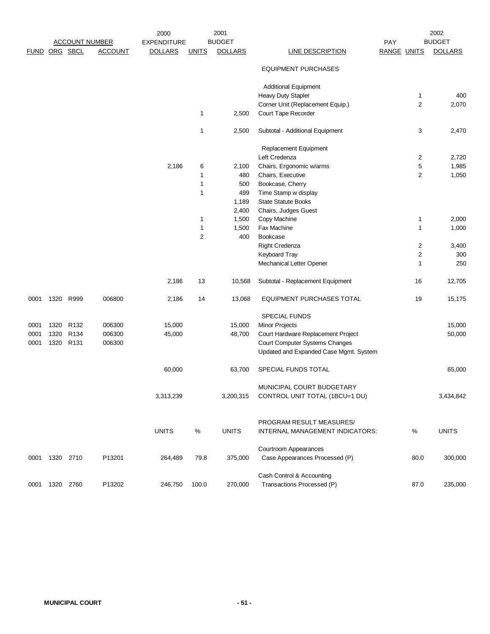|      |               |                  |                       |                    |              |                |                                        |             |                  | 2002           |  |
|------|---------------|------------------|-----------------------|--------------------|--------------|----------------|----------------------------------------|-------------|------------------|----------------|--|
|      |               |                  | <b>ACCOUNT NUMBER</b> | <b>EXPENDITURE</b> |              | <b>BUDGET</b>  |                                        | PAY         |                  | <b>BUDGET</b>  |  |
|      | FUND ORG SBCL |                  | <b>ACCOUNT</b>        | <b>DOLLARS</b>     | <b>UNITS</b> | <b>DOLLARS</b> | <b>LINE DESCRIPTION</b>                | RANGE UNITS |                  | <b>DOLLARS</b> |  |
|      |               |                  |                       |                    |              |                | <b>EQUIPMENT PURCHASES</b>             |             |                  |                |  |
|      |               |                  |                       |                    |              |                | <b>Additional Equipment</b>            |             |                  |                |  |
|      |               |                  |                       |                    |              |                | <b>Heavy Duty Stapler</b>              |             | 1                | 400            |  |
|      |               |                  |                       |                    |              |                | Corner Unit (Replacement Equip.)       |             | $\overline{c}$   | 2,070          |  |
|      |               |                  |                       |                    | 1            | 2,500          | Court Tape Recorder                    |             |                  |                |  |
|      |               |                  |                       |                    | 1            | 2,500          | Subtotal - Additional Equipment        |             | 3                | 2,470          |  |
|      |               |                  |                       |                    |              |                | Replacement Equipment                  |             |                  |                |  |
|      |               |                  |                       |                    |              |                | Left Credenza                          |             | 2                | 2,720          |  |
|      |               |                  |                       | 2,186              | 6            | 2,100          | Chairs, Ergonomic w/arms               |             | 5                | 1,985          |  |
|      |               |                  |                       |                    | 1            | 480            | Chairs, Executive                      |             | 2                | 1,050          |  |
|      |               |                  |                       |                    | 1            | 500            | Bookcase, Cherry                       |             |                  |                |  |
|      |               |                  |                       |                    | 1            | 499            | Time Stamp w display                   |             |                  |                |  |
|      |               |                  |                       |                    |              | 1,189          | <b>State Statute Books</b>             |             |                  |                |  |
|      |               |                  |                       |                    |              | 2,400          | Chairs, Judges Guest                   |             |                  |                |  |
|      |               |                  |                       |                    | 1            | 1,500          | Copy Machine                           |             | 1                | 2,000          |  |
|      |               |                  |                       |                    | 1            | 1,500          | Fax Machine                            |             | $\mathbf{1}$     | 1,000          |  |
|      |               |                  |                       |                    | 2            | 400            | Bookcase                               |             |                  |                |  |
|      |               |                  |                       |                    |              |                | Right Credenza                         |             | 2                | 3,400          |  |
|      |               |                  |                       |                    |              |                | Keyboard Tray                          |             | $\boldsymbol{2}$ | 300            |  |
|      |               |                  |                       |                    |              |                | Mechanical Letter Opener               |             | 1                | 250            |  |
|      |               |                  |                       | 2,186              | 13           | 10,568         | Subtotal - Replacement Equipment       |             | 16               | 12,705         |  |
| 0001 | 1320          | R999             | 006800                | 2,186              | 14           | 13,068         | EQUIPMENT PURCHASES TOTAL              |             | 19               | 15,175         |  |
|      |               |                  |                       |                    |              |                | SPECIAL FUNDS                          |             |                  |                |  |
| 0001 | 1320          | R <sub>132</sub> | 006300                | 15,000             |              | 15,000         | Minor Projects                         |             |                  | 15,000         |  |
| 0001 | 1320 R134     |                  | 006300                | 45,000             |              | 48,700         | Court Hardware Replacement Project     |             |                  | 50,000         |  |
| 0001 | 1320 R131     |                  | 006300                |                    |              |                | Court Computer Systems Changes         |             |                  |                |  |
|      |               |                  |                       |                    |              |                | Updated and Expanded Case Mgmt. System |             |                  |                |  |
|      |               |                  |                       | 60,000             |              | 63,700         | SPECIAL FUNDS TOTAL                    |             |                  | 65,000         |  |
|      |               |                  |                       |                    |              |                | MUNICIPAL COURT BUDGETARY              |             |                  |                |  |
|      |               |                  |                       | 3,313,239          |              | 3,200,315      | CONTROL UNIT TOTAL (1BCU=1 DU)         |             |                  | 3,434,842      |  |
|      |               |                  |                       |                    |              |                | PROGRAM RESULT MEASURES/               |             |                  |                |  |
|      |               |                  |                       | <b>UNITS</b>       | $\%$         | <b>UNITS</b>   | INTERNAL MANAGEMENT INDICATORS:        |             | $\%$             | <b>UNITS</b>   |  |
|      |               |                  |                       |                    |              |                | Courtroom Appearances                  |             |                  |                |  |
| 0001 | 1320 2710     |                  | P13201                | 264,489            | 79.8         | 375,000        | Case Appearances Processed (P)         |             | 80.0             | 300,000        |  |
|      |               |                  |                       |                    |              |                | Cash Control & Accounting              |             |                  |                |  |
| 0001 | 1320          | 2760             | P13202                | 246,750            | 100.0        | 270,000        | Transactions Processed (P)             |             | 87.0             | 235,000        |  |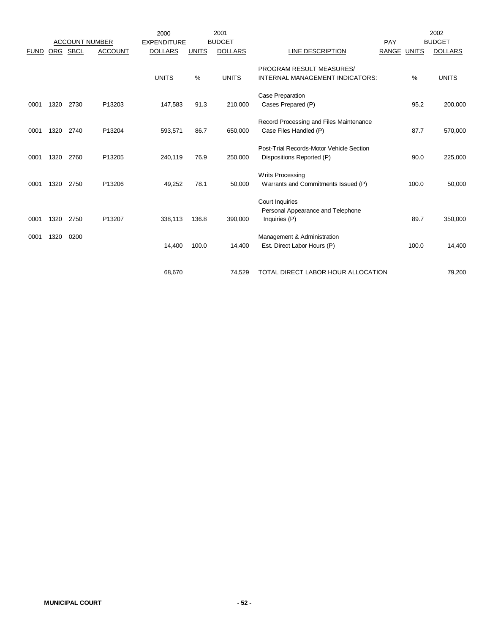|             |            | <b>ACCOUNT NUMBER</b> |                | 2000<br><b>EXPENDITURE</b> |              | 2001<br><b>BUDGET</b> |                                                                              | PAY   |              | 2002<br><b>BUDGET</b> |
|-------------|------------|-----------------------|----------------|----------------------------|--------------|-----------------------|------------------------------------------------------------------------------|-------|--------------|-----------------------|
| <b>FUND</b> | <b>ORG</b> | <b>SBCL</b>           | <b>ACCOUNT</b> | <b>DOLLARS</b>             | <b>UNITS</b> | <b>DOLLARS</b>        | LINE DESCRIPTION                                                             | RANGE | <b>UNITS</b> | <b>DOLLARS</b>        |
|             |            |                       |                | <b>UNITS</b>               | %            | <b>UNITS</b>          | PROGRAM RESULT MEASURES/<br>INTERNAL MANAGEMENT INDICATORS:                  |       | %            | <b>UNITS</b>          |
| 0001        | 1320       | 2730                  | P13203         | 147,583                    | 91.3         | 210,000               | Case Preparation<br>Cases Prepared (P)                                       |       | 95.2         | 200,000               |
| 0001        | 1320       | 2740                  | P13204         | 593,571                    | 86.7         | 650,000               | Record Processing and Files Maintenance<br>Case Files Handled (P)            |       | 87.7         | 570,000               |
| 0001        | 1320       | 2760                  | P13205         | 240,119                    | 76.9         | 250,000               | Post-Trial Records-Motor Vehicle Section<br>Dispositions Reported (P)        |       | 90.0         | 225,000               |
| 0001        | 1320       | 2750                  | P13206         | 49,252                     | 78.1         | 50,000                | Writs Processing<br>Warrants and Commitments Issued (P)                      |       | 100.0        | 50,000                |
| 0001        | 1320       | 2750                  | P13207         | 338,113                    | 136.8        | 390,000               | <b>Court Inquiries</b><br>Personal Appearance and Telephone<br>Inquiries (P) |       | 89.7         | 350,000               |
| 0001        | 1320       | 0200                  |                | 14,400                     | 100.0        | 14,400                | Management & Administration<br>Est. Direct Labor Hours (P)                   |       | 100.0        | 14,400                |
|             |            |                       |                | 68.670                     |              | 74,529                | TOTAL DIRECT LABOR HOUR ALLOCATION                                           |       |              | 79,200                |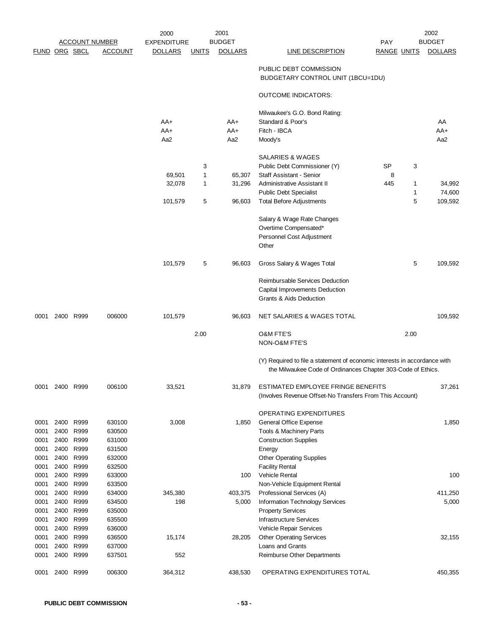|               |              |                       |                  | 2000               |              | 2001           |                                                                                                                                           |                    |                   | 2002              |
|---------------|--------------|-----------------------|------------------|--------------------|--------------|----------------|-------------------------------------------------------------------------------------------------------------------------------------------|--------------------|-------------------|-------------------|
|               |              | <u>ACCOUNT NUMBER</u> |                  | <b>EXPENDITURE</b> |              | <b>BUDGET</b>  |                                                                                                                                           | PAY                |                   | <b>BUDGET</b>     |
| FUND ORG SBCL |              |                       | <b>ACCOUNT</b>   | <b>DOLLARS</b>     | <b>UNITS</b> | <b>DOLLARS</b> | <b>LINE DESCRIPTION</b>                                                                                                                   | <b>RANGE UNITS</b> |                   | <b>DOLLARS</b>    |
|               |              |                       |                  |                    |              |                | PUBLIC DEBT COMMISSION<br>BUDGETARY CONTROL UNIT (1BCU=1DU)                                                                               |                    |                   |                   |
|               |              |                       |                  |                    |              |                | <b>OUTCOME INDICATORS:</b>                                                                                                                |                    |                   |                   |
|               |              |                       |                  |                    |              |                | Milwaukee's G.O. Bond Rating:                                                                                                             |                    |                   |                   |
|               |              |                       |                  | AA+                |              | AA+            | Standard & Poor's                                                                                                                         |                    |                   | AA                |
|               |              |                       |                  | AA+<br>Aa2         |              | AA+<br>Aa2     | Fitch - IBCA<br>Moody's                                                                                                                   |                    |                   | AA+<br>Aa2        |
|               |              |                       |                  |                    |              |                |                                                                                                                                           |                    |                   |                   |
|               |              |                       |                  |                    |              |                | SALARIES & WAGES                                                                                                                          |                    |                   |                   |
|               |              |                       |                  |                    | 3            |                | Public Debt Commissioner (Y)                                                                                                              | SP                 | 3                 |                   |
|               |              |                       |                  | 69,501             | 1            | 65,307         | Staff Assistant - Senior                                                                                                                  | 8                  |                   |                   |
|               |              |                       |                  | 32,078             | 1            | 31,296         | Administrative Assistant II                                                                                                               | 445                | $\mathbf{1}$      | 34,992            |
|               |              |                       |                  | 101,579            | 5            | 96,603         | <b>Public Debt Specialist</b><br><b>Total Before Adjustments</b>                                                                          |                    | $\mathbf{1}$<br>5 | 74,600<br>109,592 |
|               |              |                       |                  |                    |              |                |                                                                                                                                           |                    |                   |                   |
|               |              |                       |                  |                    |              |                | Salary & Wage Rate Changes                                                                                                                |                    |                   |                   |
|               |              |                       |                  |                    |              |                | Overtime Compensated*                                                                                                                     |                    |                   |                   |
|               |              |                       |                  |                    |              |                | Personnel Cost Adjustment                                                                                                                 |                    |                   |                   |
|               |              |                       |                  |                    |              |                | Other                                                                                                                                     |                    |                   |                   |
|               |              |                       |                  | 101,579            | 5            | 96,603         | Gross Salary & Wages Total                                                                                                                |                    | 5                 | 109,592           |
|               |              |                       |                  |                    |              |                | Reimbursable Services Deduction                                                                                                           |                    |                   |                   |
|               |              |                       |                  |                    |              |                | Capital Improvements Deduction                                                                                                            |                    |                   |                   |
|               |              |                       |                  |                    |              |                | Grants & Aids Deduction                                                                                                                   |                    |                   |                   |
| 0001          |              | 2400 R999             | 006000           | 101,579            |              | 96,603         | NET SALARIES & WAGES TOTAL                                                                                                                |                    |                   | 109,592           |
|               |              |                       |                  |                    |              |                |                                                                                                                                           |                    |                   |                   |
|               |              |                       |                  |                    | 2.00         |                | <b>O&amp;M FTE'S</b><br>NON-O&M FTE'S                                                                                                     |                    | 2.00              |                   |
|               |              |                       |                  |                    |              |                |                                                                                                                                           |                    |                   |                   |
|               |              |                       |                  |                    |              |                | (Y) Required to file a statement of economic interests in accordance with<br>the Milwaukee Code of Ordinances Chapter 303-Code of Ethics. |                    |                   |                   |
| 0001          | 2400         | R999                  | 006100           | 33,521             |              | 31,879         | ESTIMATED EMPLOYEE FRINGE BENEFITS<br>(Involves Revenue Offset-No Transfers From This Account)                                            |                    |                   | 37,261            |
|               |              |                       |                  |                    |              |                | OPERATING EXPENDITURES                                                                                                                    |                    |                   |                   |
| 0001          | 2400         | R999                  | 630100           | 3,008              |              | 1,850          | General Office Expense                                                                                                                    |                    |                   | 1,850             |
| 0001          | 2400         | R999                  | 630500           |                    |              |                | Tools & Machinery Parts                                                                                                                   |                    |                   |                   |
| 0001          | 2400         | R999                  | 631000           |                    |              |                | <b>Construction Supplies</b>                                                                                                              |                    |                   |                   |
| 0001          | 2400         | R999                  | 631500           |                    |              |                | Energy                                                                                                                                    |                    |                   |                   |
| 0001          | 2400         | R999                  | 632000           |                    |              |                | <b>Other Operating Supplies</b>                                                                                                           |                    |                   |                   |
| 0001          | 2400         | R999                  | 632500           |                    |              |                | <b>Facility Rental</b>                                                                                                                    |                    |                   |                   |
| 0001<br>0001  | 2400<br>2400 | R999<br>R999          | 633000<br>633500 |                    |              | 100            | <b>Vehicle Rental</b><br>Non-Vehicle Equipment Rental                                                                                     |                    |                   | 100               |
| 0001          | 2400         | R999                  | 634000           | 345,380            |              | 403,375        | Professional Services (A)                                                                                                                 |                    |                   | 411,250           |
| 0001          | 2400 R999    |                       | 634500           | 198                |              | 5,000          | Information Technology Services                                                                                                           |                    |                   | 5,000             |
| 0001          | 2400         | R999                  | 635000           |                    |              |                | <b>Property Services</b>                                                                                                                  |                    |                   |                   |
| 0001          | 2400         | R999                  | 635500           |                    |              |                | <b>Infrastructure Services</b>                                                                                                            |                    |                   |                   |
| 0001          | 2400         | R999                  | 636000           |                    |              |                | Vehicle Repair Services                                                                                                                   |                    |                   |                   |
| 0001          | 2400         | R999                  | 636500           | 15,174             |              | 28,205         | <b>Other Operating Services</b>                                                                                                           |                    |                   | 32,155            |
| 0001          | 2400         | R999                  | 637000           |                    |              |                | Loans and Grants                                                                                                                          |                    |                   |                   |
| 0001          | 2400         | R999                  | 637501           | 552                |              |                | Reimburse Other Departments                                                                                                               |                    |                   |                   |
| 0001          | 2400         | R999                  | 006300           | 364,312            |              | 438,530        | OPERATING EXPENDITURES TOTAL                                                                                                              |                    |                   | 450,355           |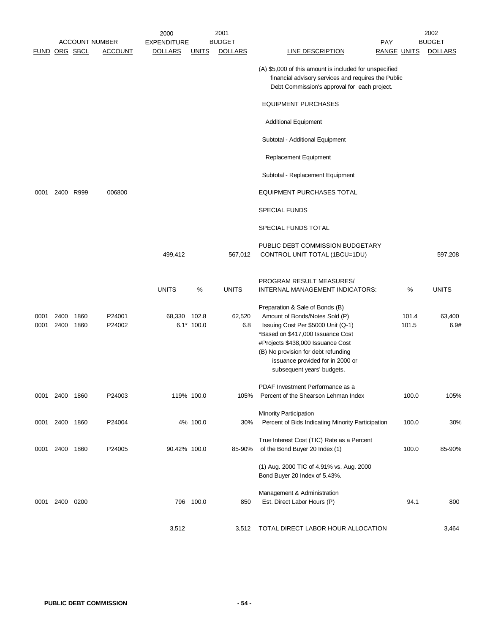|                      |              |              |                                         | 2000                                 |                      | 2001                            |                                                                                                                                                                                                                                                                                            |                    | 2002<br><b>BUDGET</b> |
|----------------------|--------------|--------------|-----------------------------------------|--------------------------------------|----------------------|---------------------------------|--------------------------------------------------------------------------------------------------------------------------------------------------------------------------------------------------------------------------------------------------------------------------------------------|--------------------|-----------------------|
| <b>FUND ORG SBCL</b> |              |              | <b>ACCOUNT NUMBER</b><br><b>ACCOUNT</b> | <b>EXPENDITURE</b><br><b>DOLLARS</b> | <u>UNITS</u>         | <b>BUDGET</b><br><b>DOLLARS</b> | PAY<br>LINE DESCRIPTION                                                                                                                                                                                                                                                                    | <b>RANGE UNITS</b> | <b>DOLLARS</b>        |
|                      |              |              |                                         |                                      |                      |                                 | (A) \$5,000 of this amount is included for unspecified<br>financial advisory services and requires the Public<br>Debt Commission's approval for each project.                                                                                                                              |                    |                       |
|                      |              |              |                                         |                                      |                      |                                 | <b>EQUIPMENT PURCHASES</b>                                                                                                                                                                                                                                                                 |                    |                       |
|                      |              |              |                                         |                                      |                      |                                 | <b>Additional Equipment</b>                                                                                                                                                                                                                                                                |                    |                       |
|                      |              |              |                                         |                                      |                      |                                 | Subtotal - Additional Equipment                                                                                                                                                                                                                                                            |                    |                       |
|                      |              |              |                                         |                                      |                      |                                 | Replacement Equipment                                                                                                                                                                                                                                                                      |                    |                       |
|                      |              |              |                                         |                                      |                      |                                 | Subtotal - Replacement Equipment                                                                                                                                                                                                                                                           |                    |                       |
| 0001                 |              | 2400 R999    | 006800                                  |                                      |                      |                                 | EQUIPMENT PURCHASES TOTAL                                                                                                                                                                                                                                                                  |                    |                       |
|                      |              |              |                                         |                                      |                      |                                 | <b>SPECIAL FUNDS</b>                                                                                                                                                                                                                                                                       |                    |                       |
|                      |              |              |                                         |                                      |                      |                                 | SPECIAL FUNDS TOTAL                                                                                                                                                                                                                                                                        |                    |                       |
|                      |              |              |                                         | 499,412                              |                      | 567,012                         | PUBLIC DEBT COMMISSION BUDGETARY<br>CONTROL UNIT TOTAL (1BCU=1DU)                                                                                                                                                                                                                          |                    | 597,208               |
|                      |              |              |                                         | <b>UNITS</b>                         | %                    | <b>UNITS</b>                    | PROGRAM RESULT MEASURES/<br>INTERNAL MANAGEMENT INDICATORS:                                                                                                                                                                                                                                | %                  | <b>UNITS</b>          |
| 0001<br>0001         | 2400<br>2400 | 1860<br>1860 | P24001<br>P24002                        | 68,330                               | 102.8<br>$6.1*100.0$ | 62,520<br>6.8                   | Preparation & Sale of Bonds (B)<br>Amount of Bonds/Notes Sold (P)<br>Issuing Cost Per \$5000 Unit (Q-1)<br>*Based on \$417,000 Issuance Cost<br>#Projects \$438,000 Issuance Cost<br>(B) No provision for debt refunding<br>issuance provided for in 2000 or<br>subsequent years' budgets. | 101.4<br>101.5     | 63,400<br>6.9#        |
| 0001                 | 2400 1860    |              | P24003                                  | 119% 100.0                           |                      | 105%                            | PDAF Investment Performance as a<br>Percent of the Shearson Lehman Index                                                                                                                                                                                                                   | 100.0              | 105%                  |
| 0001                 | 2400         | 1860         | P24004                                  |                                      | 4% 100.0             | 30%                             | <b>Minority Participation</b><br>Percent of Bids Indicating Minority Participation                                                                                                                                                                                                         | 100.0              | 30%                   |
| 0001                 | 2400 1860    |              | P24005                                  | 90.42% 100.0                         |                      | 85-90%                          | True Interest Cost (TIC) Rate as a Percent<br>of the Bond Buyer 20 Index (1)                                                                                                                                                                                                               | 100.0              | 85-90%                |
|                      |              |              |                                         |                                      |                      |                                 | (1) Aug. 2000 TIC of 4.91% vs. Aug. 2000<br>Bond Buyer 20 Index of 5.43%.                                                                                                                                                                                                                  |                    |                       |
| 0001                 | 2400 0200    |              |                                         |                                      | 796 100.0            | 850                             | Management & Administration<br>Est. Direct Labor Hours (P)                                                                                                                                                                                                                                 | 94.1               | 800                   |
|                      |              |              |                                         | 3,512                                |                      | 3,512                           | TOTAL DIRECT LABOR HOUR ALLOCATION                                                                                                                                                                                                                                                         |                    | 3,464                 |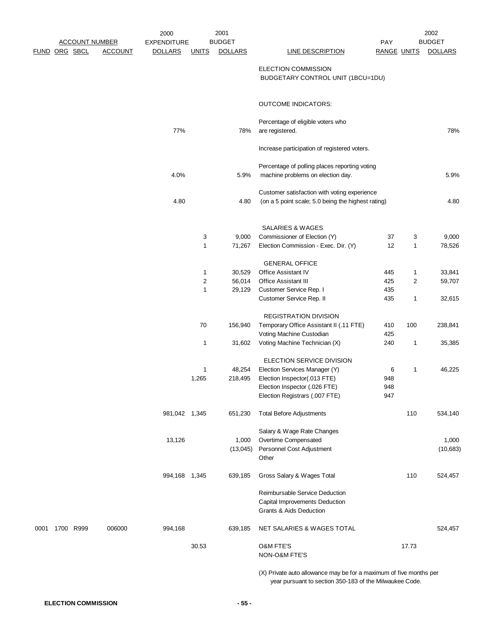|      |               |           |                                         | 2000                                 |              | 2001                            |                                                                     |                                  |       | 2002                            |
|------|---------------|-----------|-----------------------------------------|--------------------------------------|--------------|---------------------------------|---------------------------------------------------------------------|----------------------------------|-------|---------------------------------|
|      | FUND ORG SBCL |           | <b>ACCOUNT NUMBER</b><br><b>ACCOUNT</b> | <b>EXPENDITURE</b><br><b>DOLLARS</b> | <b>UNITS</b> | <b>BUDGET</b><br><b>DOLLARS</b> | <b>LINE DESCRIPTION</b>                                             | <b>PAY</b><br><b>RANGE UNITS</b> |       | <b>BUDGET</b><br><b>DOLLARS</b> |
|      |               |           |                                         |                                      |              |                                 |                                                                     |                                  |       |                                 |
|      |               |           |                                         |                                      |              |                                 | <b>ELECTION COMMISSION</b>                                          |                                  |       |                                 |
|      |               |           |                                         |                                      |              |                                 | BUDGETARY CONTROL UNIT (1BCU=1DU)                                   |                                  |       |                                 |
|      |               |           |                                         |                                      |              |                                 |                                                                     |                                  |       |                                 |
|      |               |           |                                         |                                      |              |                                 | <b>OUTCOME INDICATORS:</b>                                          |                                  |       |                                 |
|      |               |           |                                         |                                      |              |                                 |                                                                     |                                  |       |                                 |
|      |               |           |                                         |                                      |              |                                 | Percentage of eligible voters who                                   |                                  |       |                                 |
|      |               |           |                                         | 77%                                  |              | 78%                             | are registered.                                                     |                                  |       | 78%                             |
|      |               |           |                                         |                                      |              |                                 |                                                                     |                                  |       |                                 |
|      |               |           |                                         |                                      |              |                                 | Increase participation of registered voters.                        |                                  |       |                                 |
|      |               |           |                                         |                                      |              |                                 | Percentage of polling places reporting voting                       |                                  |       |                                 |
|      |               |           |                                         | 4.0%                                 |              | 5.9%                            | machine problems on election day.                                   |                                  |       | 5.9%                            |
|      |               |           |                                         |                                      |              |                                 |                                                                     |                                  |       |                                 |
|      |               |           |                                         |                                      |              |                                 | Customer satisfaction with voting experience                        |                                  |       |                                 |
|      |               |           |                                         | 4.80                                 |              | 4.80                            | (on a 5 point scale; 5.0 being the highest rating)                  |                                  |       | 4.80                            |
|      |               |           |                                         |                                      |              |                                 |                                                                     |                                  |       |                                 |
|      |               |           |                                         |                                      |              |                                 | <b>SALARIES &amp; WAGES</b>                                         |                                  |       |                                 |
|      |               |           |                                         |                                      | 3            | 9,000                           | Commissioner of Election (Y)                                        | 37                               | 3     | 9,000                           |
|      |               |           |                                         |                                      | 1            | 71,267                          | Election Commission - Exec. Dir. (Y)                                | 12                               | 1     | 78,526                          |
|      |               |           |                                         |                                      |              |                                 |                                                                     |                                  |       |                                 |
|      |               |           |                                         |                                      | $\mathbf{1}$ | 30,529                          | <b>GENERAL OFFICE</b><br>Office Assistant IV                        | 445                              | 1     | 33,841                          |
|      |               |           |                                         |                                      | $\sqrt{2}$   | 56,014                          | <b>Office Assistant III</b>                                         | 425                              | 2     | 59,707                          |
|      |               |           |                                         |                                      | 1            | 29,129                          | Customer Service Rep. I                                             | 435                              |       |                                 |
|      |               |           |                                         |                                      |              |                                 | Customer Service Rep. II                                            | 435                              | 1     | 32,615                          |
|      |               |           |                                         |                                      |              |                                 |                                                                     |                                  |       |                                 |
|      |               |           |                                         |                                      |              |                                 | <b>REGISTRATION DIVISION</b>                                        |                                  |       |                                 |
|      |               |           |                                         |                                      | $70\,$       | 156,940                         | Temporary Office Assistant II (.11 FTE)<br>Voting Machine Custodian | 410<br>425                       | 100   | 238,841                         |
|      |               |           |                                         |                                      | $\mathbf{1}$ | 31,602                          | Voting Machine Technician (X)                                       | 240                              | 1     | 35,385                          |
|      |               |           |                                         |                                      |              |                                 |                                                                     |                                  |       |                                 |
|      |               |           |                                         |                                      |              |                                 | ELECTION SERVICE DIVISION                                           |                                  |       |                                 |
|      |               |           |                                         |                                      | 1            | 48,254                          | Election Services Manager (Y)                                       | 6                                | 1     | 46,225                          |
|      |               |           |                                         |                                      | 1,265        | 218,495                         | Election Inspector(.013 FTE)<br>Election Inspector (.026 FTE)       | 948<br>948                       |       |                                 |
|      |               |           |                                         |                                      |              |                                 | Election Registrars (.007 FTE)                                      | 947                              |       |                                 |
|      |               |           |                                         |                                      |              |                                 |                                                                     |                                  |       |                                 |
|      |               |           |                                         | 981,042 1,345                        |              | 651,230                         | <b>Total Before Adjustments</b>                                     |                                  | 110   | 534,140                         |
|      |               |           |                                         |                                      |              |                                 |                                                                     |                                  |       |                                 |
|      |               |           |                                         |                                      |              |                                 | Salary & Wage Rate Changes                                          |                                  |       |                                 |
|      |               |           |                                         | 13,126                               |              | 1,000                           | Overtime Compensated                                                |                                  |       | 1,000                           |
|      |               |           |                                         |                                      |              | (13,045)                        | Personnel Cost Adjustment<br>Other                                  |                                  |       | (10, 683)                       |
|      |               |           |                                         |                                      |              |                                 |                                                                     |                                  |       |                                 |
|      |               |           |                                         | 994,168 1,345                        |              | 639,185                         | Gross Salary & Wages Total                                          |                                  | 110   | 524,457                         |
|      |               |           |                                         |                                      |              |                                 |                                                                     |                                  |       |                                 |
|      |               |           |                                         |                                      |              |                                 | Reimbursable Service Deduction                                      |                                  |       |                                 |
|      |               |           |                                         |                                      |              |                                 | Capital Improvements Deduction<br>Grants & Aids Deduction           |                                  |       |                                 |
|      |               |           |                                         |                                      |              |                                 |                                                                     |                                  |       |                                 |
| 0001 |               | 1700 R999 | 006000                                  | 994,168                              |              | 639,185                         | NET SALARIES & WAGES TOTAL                                          |                                  |       | 524,457                         |
|      |               |           |                                         |                                      |              |                                 |                                                                     |                                  |       |                                 |
|      |               |           |                                         |                                      | 30.53        |                                 | <b>O&amp;M FTE'S</b>                                                |                                  | 17.73 |                                 |
|      |               |           |                                         |                                      |              |                                 | NON-O&M FTE'S                                                       |                                  |       |                                 |
|      |               |           |                                         |                                      |              |                                 | (X) Private auto allowance may be for a maximum of five months per  |                                  |       |                                 |
|      |               |           |                                         |                                      |              |                                 | year pursuant to section 350-183 of the Milwaukee Code.             |                                  |       |                                 |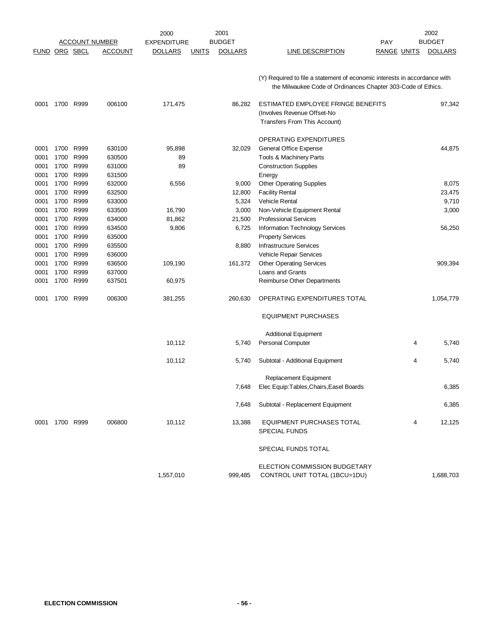|                      |           |      |                       | 2000               |              | 2001           |                                                                           |                    |   | 2002           |
|----------------------|-----------|------|-----------------------|--------------------|--------------|----------------|---------------------------------------------------------------------------|--------------------|---|----------------|
|                      |           |      | <b>ACCOUNT NUMBER</b> | <b>EXPENDITURE</b> |              | <b>BUDGET</b>  |                                                                           | <b>PAY</b>         |   | <b>BUDGET</b>  |
| <b>FUND ORG SBCL</b> |           |      | <b>ACCOUNT</b>        | <b>DOLLARS</b>     | <b>UNITS</b> | <b>DOLLARS</b> | <b>LINE DESCRIPTION</b>                                                   | <b>RANGE UNITS</b> |   | <b>DOLLARS</b> |
|                      |           |      |                       |                    |              |                |                                                                           |                    |   |                |
|                      |           |      |                       |                    |              |                | (Y) Required to file a statement of economic interests in accordance with |                    |   |                |
|                      |           |      |                       |                    |              |                | the Milwaukee Code of Ordinances Chapter 303-Code of Ethics.              |                    |   |                |
| 0001                 | 1700 R999 |      | 006100                | 171,475            |              | 86,282         | ESTIMATED EMPLOYEE FRINGE BENEFITS                                        |                    |   | 97,342         |
|                      |           |      |                       |                    |              |                | (Involves Revenue Offset-No                                               |                    |   |                |
|                      |           |      |                       |                    |              |                | Transfers From This Account)                                              |                    |   |                |
|                      |           |      |                       |                    |              |                | OPERATING EXPENDITURES                                                    |                    |   |                |
| 0001                 | 1700      | R999 | 630100                | 95,898             |              | 32,029         | General Office Expense                                                    |                    |   | 44,875         |
| 0001                 | 1700      | R999 | 630500                | 89                 |              |                | Tools & Machinery Parts                                                   |                    |   |                |
| 0001                 | 1700      | R999 | 631000                | 89                 |              |                | <b>Construction Supplies</b>                                              |                    |   |                |
| 0001                 | 1700      | R999 | 631500                |                    |              |                | Energy                                                                    |                    |   |                |
| 0001                 | 1700      | R999 | 632000                | 6,556              |              | 9,000          | <b>Other Operating Supplies</b>                                           |                    |   | 8,075          |
| 0001                 | 1700      | R999 | 632500                |                    |              | 12,800         | <b>Facility Rental</b>                                                    |                    |   | 23,475         |
| 0001                 | 1700      | R999 | 633000                |                    |              | 5,324          | <b>Vehicle Rental</b>                                                     |                    |   | 9,710          |
| 0001                 | 1700      | R999 | 633500                | 16,790             |              | 3,000          | Non-Vehicle Equipment Rental                                              |                    |   | 3,000          |
| 0001                 | 1700 R999 |      | 634000                | 81,862             |              | 21,500         | <b>Professional Services</b>                                              |                    |   |                |
| 0001                 | 1700      | R999 | 634500                | 9,806              |              | 6,725          | Information Technology Services                                           |                    |   | 56,250         |
| 0001                 | 1700      | R999 | 635000                |                    |              |                | <b>Property Services</b>                                                  |                    |   |                |
| 0001                 | 1700      | R999 | 635500                |                    |              | 8,880          | <b>Infrastructure Services</b>                                            |                    |   |                |
| 0001                 | 1700      | R999 | 636000                |                    |              |                | Vehicle Repair Services                                                   |                    |   |                |
| 0001                 | 1700      | R999 | 636500                | 109,190            |              | 161,372        | <b>Other Operating Services</b>                                           |                    |   | 909,394        |
| 0001                 | 1700      | R999 | 637000                |                    |              |                | Loans and Grants                                                          |                    |   |                |
| 0001                 | 1700      | R999 | 637501                | 60,975             |              |                | Reimburse Other Departments                                               |                    |   |                |
| 0001                 | 1700      | R999 | 006300                | 381,255            |              | 260,630        | OPERATING EXPENDITURES TOTAL                                              |                    |   | 1,054,779      |
|                      |           |      |                       |                    |              |                | <b>EQUIPMENT PURCHASES</b>                                                |                    |   |                |
|                      |           |      |                       |                    |              |                | <b>Additional Equipment</b>                                               |                    |   |                |
|                      |           |      |                       | 10,112             |              | 5,740          | Personal Computer                                                         |                    | 4 | 5,740          |
|                      |           |      |                       | 10,112             |              | 5,740          | Subtotal - Additional Equipment                                           |                    | 4 | 5,740          |
|                      |           |      |                       |                    |              |                | Replacement Equipment                                                     |                    |   |                |
|                      |           |      |                       |                    |              | 7,648          | Elec Equip: Tables, Chairs, Easel Boards                                  |                    |   | 6,385          |
|                      |           |      |                       |                    |              | 7,648          | Subtotal - Replacement Equipment                                          |                    |   | 6,385          |
| 0001                 | 1700 R999 |      | 006800                | 10,112             |              | 13,388         | EQUIPMENT PURCHASES TOTAL                                                 |                    | 4 | 12,125         |
|                      |           |      |                       |                    |              |                | <b>SPECIAL FUNDS</b>                                                      |                    |   |                |
|                      |           |      |                       |                    |              |                | SPECIAL FUNDS TOTAL                                                       |                    |   |                |
|                      |           |      |                       |                    |              |                | ELECTION COMMISSION BUDGETARY                                             |                    |   |                |
|                      |           |      |                       | 1,557,010          |              | 999,485        | CONTROL UNIT TOTAL (1BCU=1DU)                                             |                    |   | 1,688,703      |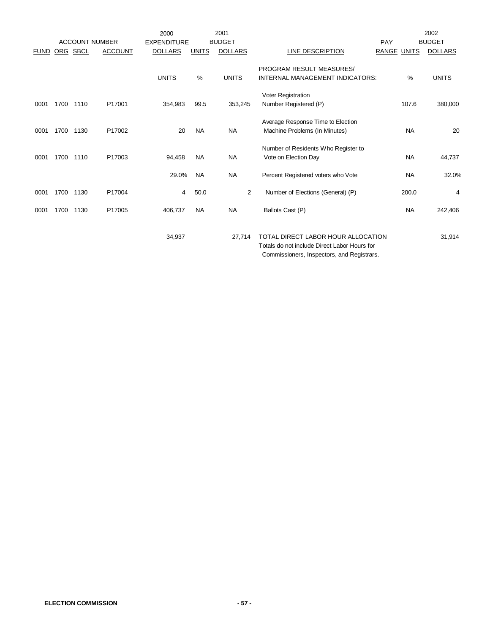|             |      |          |                                         | 2000                                 |              | 2001                            |                                                                                    |                       | 2002                            |
|-------------|------|----------|-----------------------------------------|--------------------------------------|--------------|---------------------------------|------------------------------------------------------------------------------------|-----------------------|---------------------------------|
| <b>FUND</b> |      | ORG SBCL | <b>ACCOUNT NUMBER</b><br><b>ACCOUNT</b> | <b>EXPENDITURE</b><br><b>DOLLARS</b> | <b>UNITS</b> | <b>BUDGET</b><br><b>DOLLARS</b> | <b>LINE DESCRIPTION</b>                                                            | PAY<br>RANGE<br>UNITS | <b>BUDGET</b><br><b>DOLLARS</b> |
|             |      |          |                                         |                                      |              |                                 |                                                                                    |                       |                                 |
|             |      |          |                                         | <b>UNITS</b>                         | $\%$         | <b>UNITS</b>                    | <b>PROGRAM RESULT MEASURES/</b><br>INTERNAL MANAGEMENT INDICATORS:                 | $\%$                  | <b>UNITS</b>                    |
|             |      |          |                                         |                                      |              |                                 |                                                                                    |                       |                                 |
|             |      |          |                                         |                                      |              |                                 | Voter Registration                                                                 |                       |                                 |
| 0001        | 1700 | 1110     | P17001                                  | 354,983                              | 99.5         | 353,245                         | Number Registered (P)                                                              | 107.6                 | 380,000                         |
|             |      |          |                                         |                                      |              |                                 | Average Response Time to Election                                                  |                       |                                 |
| 0001        | 1700 | 1130     | P17002                                  | 20                                   | <b>NA</b>    | <b>NA</b>                       | Machine Problems (In Minutes)                                                      | <b>NA</b>             | 20                              |
|             |      |          |                                         |                                      |              |                                 | Number of Residents Who Register to                                                |                       |                                 |
| 0001        | 1700 | 1110     | P17003                                  | 94,458                               | <b>NA</b>    | <b>NA</b>                       | Vote on Election Day                                                               | <b>NA</b>             | 44,737                          |
|             |      |          |                                         |                                      |              |                                 |                                                                                    |                       |                                 |
|             |      |          |                                         | 29.0%                                | <b>NA</b>    | <b>NA</b>                       | Percent Registered voters who Vote                                                 | <b>NA</b>             | 32.0%                           |
| 0001        | 1700 | 1130     | P17004                                  | 4                                    | 50.0         | $\overline{2}$                  | Number of Elections (General) (P)                                                  | 200.0                 | 4                               |
|             |      |          |                                         |                                      |              |                                 |                                                                                    |                       |                                 |
| 0001        | 1700 | 1130     | P17005                                  | 406,737                              | <b>NA</b>    | <b>NA</b>                       | Ballots Cast (P)                                                                   | <b>NA</b>             | 242,406                         |
|             |      |          |                                         |                                      |              |                                 |                                                                                    |                       |                                 |
|             |      |          |                                         | 34,937                               |              | 27,714                          | TOTAL DIRECT LABOR HOUR ALLOCATION<br>Totals do not include Direct Labor Hours for |                       | 31,914                          |

Commissioners, Inspectors, and Registrars.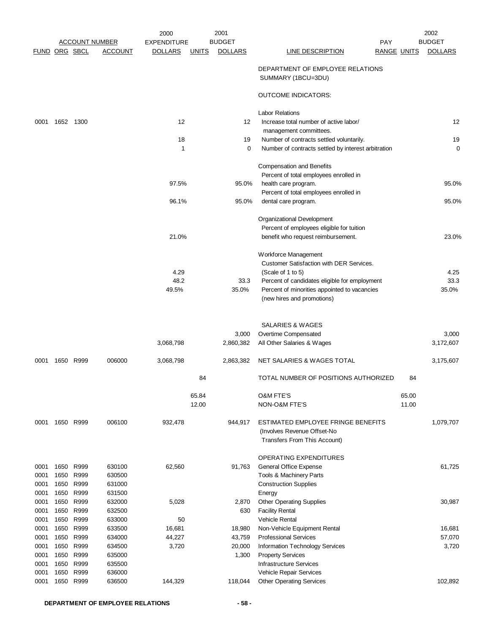|                      |              |                       |                  | 2000               |                | 2001           |                                                         |                    | 2002           |
|----------------------|--------------|-----------------------|------------------|--------------------|----------------|----------------|---------------------------------------------------------|--------------------|----------------|
|                      |              | <u>ACCOUNT NUMBER</u> |                  | <b>EXPENDITURE</b> |                | <b>BUDGET</b>  | <b>PAY</b>                                              |                    | <b>BUDGET</b>  |
| <b>FUND ORG SBCL</b> |              |                       | ACCOUNT          | <b>DOLLARS</b>     | <b>UNITS</b>   | <b>DOLLARS</b> | <u>LINE DESCRIPTION</u>                                 | <b>RANGE UNITS</b> | <b>DOLLARS</b> |
|                      |              |                       |                  |                    |                |                | DEPARTMENT OF EMPLOYEE RELATIONS<br>SUMMARY (1BCU=3DU)  |                    |                |
|                      |              |                       |                  |                    |                |                | <b>OUTCOME INDICATORS:</b>                              |                    |                |
|                      |              |                       |                  |                    |                |                | <b>Labor Relations</b>                                  |                    |                |
| 0001                 | 1652 1300    |                       |                  | 12                 |                | 12             | Increase total number of active labor/                  |                    | 12             |
|                      |              |                       |                  |                    |                |                | management committees.                                  |                    |                |
|                      |              |                       |                  | 18                 |                | 19             | Number of contracts settled voluntarily.                |                    | 19             |
|                      |              |                       |                  | 1                  |                | 0              | Number of contracts settled by interest arbitration     |                    | $\mathbf 0$    |
|                      |              |                       |                  |                    |                |                | <b>Compensation and Benefits</b>                        |                    |                |
|                      |              |                       |                  |                    |                |                | Percent of total employees enrolled in                  |                    |                |
|                      |              |                       |                  | 97.5%              |                | 95.0%          | health care program.                                    |                    | 95.0%          |
|                      |              |                       |                  |                    |                |                | Percent of total employees enrolled in                  |                    |                |
|                      |              |                       |                  | 96.1%              |                | 95.0%          | dental care program.                                    |                    | 95.0%          |
|                      |              |                       |                  |                    |                |                |                                                         |                    |                |
|                      |              |                       |                  |                    |                |                | Organizational Development                              |                    |                |
|                      |              |                       |                  |                    |                |                | Percent of employees eligible for tuition               |                    |                |
|                      |              |                       |                  | 21.0%              |                |                | benefit who request reimbursement.                      |                    | 23.0%          |
|                      |              |                       |                  |                    |                |                | Workforce Management                                    |                    |                |
|                      |              |                       |                  |                    |                |                | Customer Satisfaction with DER Services.                |                    |                |
|                      |              |                       |                  | 4.29               |                |                | (Scale of 1 to 5)                                       |                    | 4.25           |
|                      |              |                       |                  | 48.2               |                | 33.3           | Percent of candidates eligible for employment           |                    | 33.3           |
|                      |              |                       |                  | 49.5%              |                | 35.0%          | Percent of minorities appointed to vacancies            |                    | 35.0%          |
|                      |              |                       |                  |                    |                |                | (new hires and promotions)                              |                    |                |
|                      |              |                       |                  |                    |                |                |                                                         |                    |                |
|                      |              |                       |                  |                    |                |                | <b>SALARIES &amp; WAGES</b>                             |                    |                |
|                      |              |                       |                  |                    |                | 3,000          | Overtime Compensated                                    |                    | 3,000          |
|                      |              |                       |                  | 3,068,798          |                | 2,860,382      | All Other Salaries & Wages                              |                    | 3,172,607      |
| 0001                 |              | 1650 R999             | 006000           | 3,068,798          |                | 2,863,382      | NET SALARIES & WAGES TOTAL                              |                    | 3,175,607      |
|                      |              |                       |                  |                    | 84             |                | TOTAL NUMBER OF POSITIONS AUTHORIZED                    | 84                 |                |
|                      |              |                       |                  |                    |                |                |                                                         |                    |                |
|                      |              |                       |                  |                    | 65.84<br>12.00 |                | <b>O&amp;M FTE'S</b><br>NON-O&M FTE'S                   | 65.00<br>11.00     |                |
|                      |              |                       |                  |                    |                |                |                                                         |                    |                |
| 0001                 |              | 1650 R999             | 006100           | 932,478            |                | 944,917        | ESTIMATED EMPLOYEE FRINGE BENEFITS                      |                    | 1,079,707      |
|                      |              |                       |                  |                    |                |                | (Involves Revenue Offset-No                             |                    |                |
|                      |              |                       |                  |                    |                |                | Transfers From This Account)                            |                    |                |
|                      |              |                       |                  |                    |                |                |                                                         |                    |                |
|                      |              |                       |                  |                    |                |                | OPERATING EXPENDITURES                                  |                    |                |
| 0001                 | 1650<br>1650 | R999<br>R999          | 630100           | 62,560             |                | 91,763         | General Office Expense                                  |                    | 61,725         |
| 0001<br>0001         | 1650 R999    |                       | 630500<br>631000 |                    |                |                | Tools & Machinery Parts<br><b>Construction Supplies</b> |                    |                |
| 0001                 | 1650         | R999                  | 631500           |                    |                |                |                                                         |                    |                |
| 0001                 | 1650         | R999                  | 632000           | 5,028              |                | 2,870          | Energy<br><b>Other Operating Supplies</b>               |                    | 30,987         |
| 0001                 | 1650 R999    |                       | 632500           |                    |                | 630            | <b>Facility Rental</b>                                  |                    |                |
| 0001                 | 1650 R999    |                       | 633000           | 50                 |                |                | <b>Vehicle Rental</b>                                   |                    |                |
| 0001                 | 1650         | R999                  | 633500           | 16,681             |                | 18,980         | Non-Vehicle Equipment Rental                            |                    | 16,681         |
| 0001                 | 1650         | R999                  | 634000           | 44,227             |                | 43,759         | <b>Professional Services</b>                            |                    | 57,070         |
| 0001                 | 1650 R999    |                       | 634500           | 3,720              |                | 20,000         | Information Technology Services                         |                    | 3,720          |
| 0001                 | 1650         | R999                  | 635000           |                    |                | 1,300          | <b>Property Services</b>                                |                    |                |
| 0001                 | 1650 R999    |                       | 635500           |                    |                |                | <b>Infrastructure Services</b>                          |                    |                |
| 0001                 | 1650         | R999                  | 636000           |                    |                |                | Vehicle Repair Services                                 |                    |                |
| 0001                 | 1650         | R999                  | 636500           | 144,329            |                | 118,044        | <b>Other Operating Services</b>                         |                    | 102,892        |
|                      |              |                       |                  |                    |                |                |                                                         |                    |                |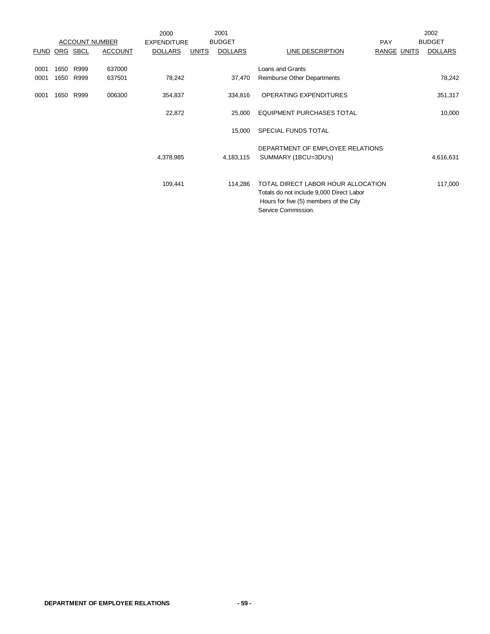|             |            |             |                       | 2000               |              | 2001           |                                                                                                                                                 |                    | 2002           |
|-------------|------------|-------------|-----------------------|--------------------|--------------|----------------|-------------------------------------------------------------------------------------------------------------------------------------------------|--------------------|----------------|
|             |            |             | <b>ACCOUNT NUMBER</b> | <b>EXPENDITURE</b> |              | <b>BUDGET</b>  |                                                                                                                                                 | <b>PAY</b>         | <b>BUDGET</b>  |
| <b>FUND</b> | <u>ORG</u> | <b>SBCL</b> | <b>ACCOUNT</b>        | <b>DOLLARS</b>     | <b>UNITS</b> | <b>DOLLARS</b> | <u>LINE DESCRIPTION</u>                                                                                                                         | <b>RANGE UNITS</b> | <b>DOLLARS</b> |
| 0001        | 1650       | R999        | 637000                |                    |              |                | Loans and Grants                                                                                                                                |                    |                |
| 0001        |            | 1650 R999   | 637501                | 78,242             |              | 37,470         | <b>Reimburse Other Departments</b>                                                                                                              |                    | 78,242         |
|             |            |             |                       |                    |              |                |                                                                                                                                                 |                    |                |
| 0001        | 1650       | R999        | 006300                | 354,837            |              | 334,816        | <b>OPERATING EXPENDITURES</b>                                                                                                                   |                    | 351,317        |
|             |            |             |                       | 22,872             |              | 25,000         | <b>EQUIPMENT PURCHASES TOTAL</b>                                                                                                                |                    | 10,000         |
|             |            |             |                       |                    |              | 15,000         | SPECIAL FUNDS TOTAL                                                                                                                             |                    |                |
|             |            |             |                       |                    |              |                |                                                                                                                                                 |                    |                |
|             |            |             |                       |                    |              |                | DEPARTMENT OF EMPLOYEE RELATIONS                                                                                                                |                    |                |
|             |            |             |                       | 4,378,985          |              | 4,183,115      | SUMMARY (1BCU=3DU's)                                                                                                                            |                    | 4,616,631      |
|             |            |             |                       |                    |              |                |                                                                                                                                                 |                    |                |
|             |            |             |                       | 109,441            |              | 114,286        | TOTAL DIRECT LABOR HOUR ALLOCATION<br>Totals do not include 9,000 Direct Labor<br>Hours for five (5) members of the City<br>Service Commission. |                    | 117,000        |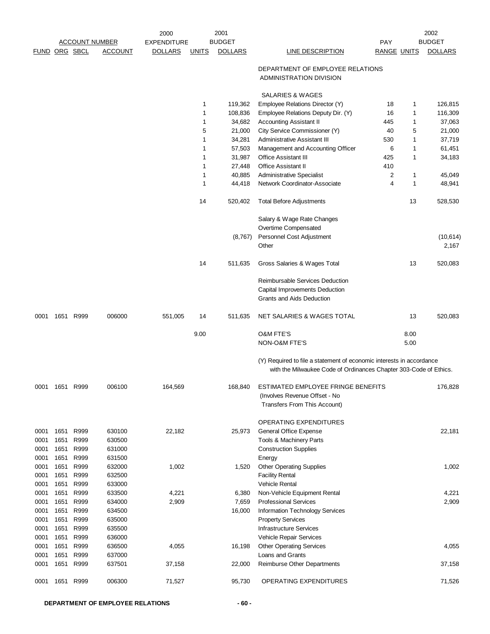|               |              |                       |                  | 2000               |              | 2001           |                                                                                                                                           |                    |              | 2002           |
|---------------|--------------|-----------------------|------------------|--------------------|--------------|----------------|-------------------------------------------------------------------------------------------------------------------------------------------|--------------------|--------------|----------------|
|               |              | <b>ACCOUNT NUMBER</b> |                  | <b>EXPENDITURE</b> |              | <b>BUDGET</b>  |                                                                                                                                           | <b>PAY</b>         |              | <b>BUDGET</b>  |
| FUND ORG SBCL |              |                       | <b>ACCOUNT</b>   | <b>DOLLARS</b>     | <b>UNITS</b> | <b>DOLLARS</b> | <b>LINE DESCRIPTION</b>                                                                                                                   | <b>RANGE UNITS</b> |              | <b>DOLLARS</b> |
|               |              |                       |                  |                    |              |                | DEPARTMENT OF EMPLOYEE RELATIONS<br>ADMINISTRATION DIVISION                                                                               |                    |              |                |
|               |              |                       |                  |                    |              |                | SALARIES & WAGES                                                                                                                          |                    |              |                |
|               |              |                       |                  |                    | 1            | 119,362        | Employee Relations Director (Y)                                                                                                           | 18                 | 1            | 126,815        |
|               |              |                       |                  |                    | 1            | 108,836        | Employee Relations Deputy Dir. (Y)                                                                                                        | 16                 | 1            | 116,309        |
|               |              |                       |                  |                    | 1            | 34,682         | <b>Accounting Assistant II</b>                                                                                                            | 445                | 1            | 37,063         |
|               |              |                       |                  |                    | 5            | 21,000         | City Service Commissioner (Y)                                                                                                             | 40                 | 5            | 21,000         |
|               |              |                       |                  |                    | 1            | 34,281         | <b>Administrative Assistant III</b>                                                                                                       | 530                | $\mathbf{1}$ | 37,719         |
|               |              |                       |                  |                    | 1            | 57,503         | Management and Accounting Officer                                                                                                         | 6                  | $\mathbf{1}$ | 61,451         |
|               |              |                       |                  |                    | 1            | 31,987         | <b>Office Assistant III</b>                                                                                                               | 425                | 1            | 34,183         |
|               |              |                       |                  |                    | 1            | 27,448         | <b>Office Assistant II</b>                                                                                                                | 410                |              |                |
|               |              |                       |                  |                    | 1            | 40,885         | Administrative Specialist                                                                                                                 | 2                  | 1            | 45,049         |
|               |              |                       |                  |                    | 1            | 44,418         | Network Coordinator-Associate                                                                                                             | 4                  | 1            | 48,941         |
|               |              |                       |                  |                    | 14           | 520,402        | <b>Total Before Adjustments</b>                                                                                                           |                    | 13           | 528,530        |
|               |              |                       |                  |                    |              |                | Salary & Wage Rate Changes                                                                                                                |                    |              |                |
|               |              |                       |                  |                    |              |                | Overtime Compensated                                                                                                                      |                    |              |                |
|               |              |                       |                  |                    |              | (8,767)        | Personnel Cost Adjustment                                                                                                                 |                    |              | (10, 614)      |
|               |              |                       |                  |                    |              |                | Other                                                                                                                                     |                    |              | 2,167          |
|               |              |                       |                  |                    | 14           | 511,635        | Gross Salaries & Wages Total                                                                                                              |                    | 13           | 520,083        |
|               |              |                       |                  |                    |              |                | Reimbursable Services Deduction<br>Capital Improvements Deduction<br>Grants and Aids Deduction                                            |                    |              |                |
|               |              |                       |                  |                    |              |                |                                                                                                                                           |                    |              |                |
| 0001          |              | 1651 R999             | 006000           | 551,005            | 14           | 511,635        | NET SALARIES & WAGES TOTAL                                                                                                                |                    | 13           | 520,083        |
|               |              |                       |                  |                    | 9.00         |                | <b>O&amp;M FTE'S</b><br>NON-O&M FTE'S                                                                                                     |                    | 8.00<br>5.00 |                |
|               |              |                       |                  |                    |              |                | (Y) Required to file a statement of economic interests in accordance<br>with the Milwaukee Code of Ordinances Chapter 303-Code of Ethics. |                    |              |                |
| 0001          | 1651         | R999                  | 006100           | 164,569            |              | 168,840        | ESTIMATED EMPLOYEE FRINGE BENEFITS<br>(Involves Revenue Offset - No                                                                       |                    |              | 176,828        |
|               |              |                       |                  |                    |              |                | Transfers From This Account)                                                                                                              |                    |              |                |
|               |              |                       |                  |                    |              |                | OPERATING EXPENDITURES                                                                                                                    |                    |              |                |
| 0001          | 1651         | R999                  | 630100           | 22,182             |              | 25,973         | General Office Expense                                                                                                                    |                    |              | 22,181         |
| 0001          | 1651         | R999                  | 630500           |                    |              |                | Tools & Machinery Parts                                                                                                                   |                    |              |                |
| 0001          | 1651         | R999                  | 631000           |                    |              |                | <b>Construction Supplies</b>                                                                                                              |                    |              |                |
| 0001          | 1651         | R999                  | 631500           |                    |              |                | Energy                                                                                                                                    |                    |              |                |
| 0001          | 1651         | R999                  | 632000           | 1,002              |              | 1,520          | <b>Other Operating Supplies</b>                                                                                                           |                    |              | 1,002          |
| 0001          | 1651         | R999                  | 632500           |                    |              |                | <b>Facility Rental</b>                                                                                                                    |                    |              |                |
| 0001          | 1651         | R999                  | 633000           |                    |              |                | Vehicle Rental                                                                                                                            |                    |              |                |
| 0001          | 1651         | R999                  | 633500           | 4,221              |              | 6,380          | Non-Vehicle Equipment Rental                                                                                                              |                    |              | 4,221          |
| 0001          | 1651         | R999                  | 634000           | 2,909              |              | 7,659          | <b>Professional Services</b>                                                                                                              |                    |              | 2,909          |
| 0001          | 1651         | R999                  | 634500           |                    |              | 16,000         | Information Technology Services                                                                                                           |                    |              |                |
| 0001          | 1651         | R999                  | 635000           |                    |              |                | <b>Property Services</b>                                                                                                                  |                    |              |                |
| 0001          | 1651         | R999                  | 635500           |                    |              |                | <b>Infrastructure Services</b>                                                                                                            |                    |              |                |
| 0001          | 1651         | R999                  | 636000           |                    |              |                | Vehicle Repair Services                                                                                                                   |                    |              |                |
| 0001          | 1651         | R999                  | 636500           | 4,055              |              | 16,198         | <b>Other Operating Services</b>                                                                                                           |                    |              | 4,055          |
| 0001<br>0001  | 1651<br>1651 | R999<br>R999          | 637000<br>637501 | 37,158             |              | 22,000         | Loans and Grants<br>Reimburse Other Departments                                                                                           |                    |              | 37,158         |
|               |              |                       |                  |                    |              |                |                                                                                                                                           |                    |              |                |
| 0001          | 1651         | R999                  | 006300           | 71,527             |              | 95,730         | OPERATING EXPENDITURES                                                                                                                    |                    |              | 71,526         |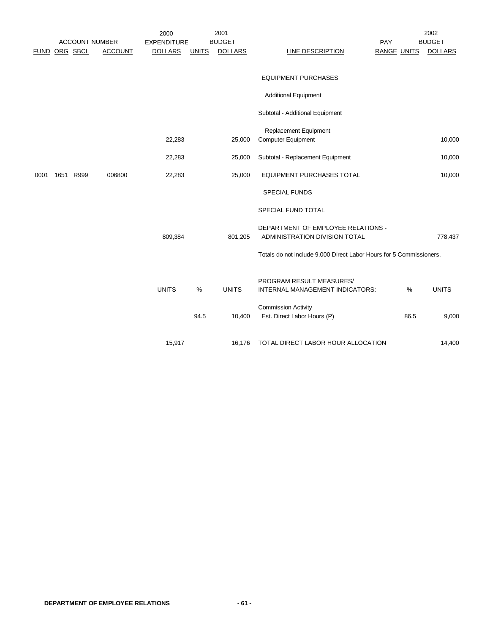|               |                       |                | 2000               |              | 2001           |                                                                     |                    |      | 2002           |
|---------------|-----------------------|----------------|--------------------|--------------|----------------|---------------------------------------------------------------------|--------------------|------|----------------|
|               | <b>ACCOUNT NUMBER</b> |                | <b>EXPENDITURE</b> |              | <b>BUDGET</b>  |                                                                     | PAY                |      | <b>BUDGET</b>  |
| FUND ORG SBCL |                       | <b>ACCOUNT</b> | <b>DOLLARS</b>     | <b>UNITS</b> | <b>DOLLARS</b> | <b>LINE DESCRIPTION</b>                                             | <b>RANGE UNITS</b> |      | <b>DOLLARS</b> |
|               |                       |                |                    |              |                |                                                                     |                    |      |                |
|               |                       |                |                    |              |                | <b>EQUIPMENT PURCHASES</b>                                          |                    |      |                |
|               |                       |                |                    |              |                | <b>Additional Equipment</b>                                         |                    |      |                |
|               |                       |                |                    |              |                | Subtotal - Additional Equipment                                     |                    |      |                |
|               |                       |                |                    |              |                | Replacement Equipment                                               |                    |      |                |
|               |                       |                | 22,283             |              | 25,000         | <b>Computer Equipment</b>                                           |                    |      | 10,000         |
|               |                       |                | 22,283             |              | 25,000         | Subtotal - Replacement Equipment                                    |                    |      | 10,000         |
| 0001          | 1651 R999             | 006800         | 22,283             |              | 25,000         | <b>EQUIPMENT PURCHASES TOTAL</b>                                    |                    |      | 10,000         |
|               |                       |                |                    |              |                | <b>SPECIAL FUNDS</b>                                                |                    |      |                |
|               |                       |                |                    |              |                | SPECIAL FUND TOTAL                                                  |                    |      |                |
|               |                       |                |                    |              |                | DEPARTMENT OF EMPLOYEE RELATIONS -                                  |                    |      |                |
|               |                       |                | 809,384            |              | 801,205        | ADMINISTRATION DIVISION TOTAL                                       |                    |      | 778,437        |
|               |                       |                |                    |              |                | Totals do not include 9,000 Direct Labor Hours for 5 Commissioners. |                    |      |                |
|               |                       |                |                    |              |                | PROGRAM RESULT MEASURES/                                            |                    |      |                |
|               |                       |                | <b>UNITS</b>       | %            | <b>UNITS</b>   | INTERNAL MANAGEMENT INDICATORS:                                     |                    | %    | <b>UNITS</b>   |
|               |                       |                |                    |              |                | <b>Commission Activity</b>                                          |                    |      |                |
|               |                       |                |                    | 94.5         | 10,400         | Est. Direct Labor Hours (P)                                         |                    | 86.5 | 9,000          |
|               |                       |                | 15,917             |              | 16,176         | TOTAL DIRECT LABOR HOUR ALLOCATION                                  |                    |      | 14,400         |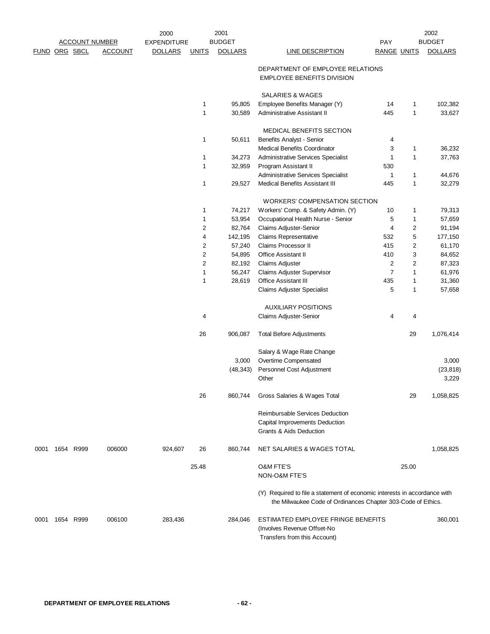| FUND ORG SBCL<br><b>ACCOUNT</b><br><b>DOLLARS</b><br><b>DOLLARS</b><br><b>DOLLARS</b><br><b>UNITS</b><br><b>LINE DESCRIPTION</b><br><b>RANGE UNITS</b><br>DEPARTMENT OF EMPLOYEE RELATIONS<br><b>EMPLOYEE BENEFITS DIVISION</b><br>SALARIES & WAGES<br>$\mathbf{1}$<br>95,805<br>Employee Benefits Manager (Y)<br>102,382<br>14<br>$\mathbf{1}$<br>$\mathbf{1}$<br>$\mathbf{1}$<br>445<br>33,627<br>30,589<br>Administrative Assistant II<br>MEDICAL BENEFITS SECTION<br>1<br>50,611<br>Benefits Analyst - Senior<br>4<br>Medical Benefits Coordinator<br>3<br>36,232<br>1<br>$\mathbf{1}$<br>1<br><b>Administrative Services Specialist</b><br>37,763<br>34,273<br>1<br>1<br>32,959<br>Program Assistant II<br>530<br>Administrative Services Specialist<br>1<br>$\mathbf{1}$<br>44,676<br>$\mathbf{1}$<br><b>Medical Benefits Assistant III</b><br>$\mathbf{1}$<br>32,279<br>29,527<br>445<br><b>WORKERS' COMPENSATION SECTION</b><br>Workers' Comp. & Safety Admin. (Y)<br>1<br>74,217<br>10<br>$\mathbf{1}$<br>79,313<br>1<br>53,954<br>Occupational Health Nurse - Senior<br>5<br>$\mathbf{1}$<br>57,659<br>$\overline{2}$<br>$\overline{c}$<br>82,764<br>Claims Adjuster-Senior<br>4<br>91,194<br>5<br>$\overline{4}$<br><b>Claims Representative</b><br>142,195<br>532<br>177,150<br>$\overline{c}$<br>57,240<br><b>Claims Processor II</b><br>415<br>$\overline{2}$<br>61,170<br>$\overline{c}$<br>3<br>Office Assistant II<br>410<br>54,895<br>84,652<br>$\sqrt{2}$<br>$\overline{2}$<br>$\overline{c}$<br>82,192<br><b>Claims Adjuster</b><br>87,323<br>$\mathbf{1}$<br>$\overline{7}$<br>$\mathbf{1}$<br>56,247<br>Claims Adjuster Supervisor<br>61,976<br>1<br>28,619<br>Office Assistant III<br>435<br>$\mathbf{1}$<br>31,360<br>Claims Adjuster Specialist<br>5<br>$\mathbf{1}$<br>57,658<br><b>AUXILIARY POSITIONS</b><br>Claims Adjuster-Senior<br>4<br>4<br>4<br>1,076,414<br>26<br>906,087<br><b>Total Before Adjustments</b><br>29<br>Salary & Wage Rate Change<br>Overtime Compensated<br>3,000<br>3,000<br>Personnel Cost Adjustment<br>(23, 818)<br>(48, 343)<br>3,229<br>Other<br>26<br>860,744<br>Gross Salaries & Wages Total<br>29<br>1,058,825<br>Reimbursable Services Deduction<br>Capital Improvements Deduction<br><b>Grants &amp; Aids Deduction</b><br>1654 R999<br>006000<br>924,607<br>26<br>860,744<br>NET SALARIES & WAGES TOTAL<br>1,058,825<br>0001<br><b>O&amp;M FTE'S</b><br>25.00<br>25.48<br>NON-O&M FTE'S<br>(Y) Required to file a statement of economic interests in accordance with<br>the Milwaukee Code of Ordinances Chapter 303-Code of Ethics.<br>ESTIMATED EMPLOYEE FRINGE BENEFITS<br>360,001<br>1654 R999<br>006100<br>283,436<br>284,046<br>0001<br>(Involves Revenue Offset-No<br>Transfers from this Account) | 2001<br>2000<br><b>BUDGET</b><br><b>ACCOUNT NUMBER</b><br><b>EXPENDITURE</b> |  |  |  | <b>PAY</b> | 2002<br><b>BUDGET</b> |  |  |
|-------------------------------------------------------------------------------------------------------------------------------------------------------------------------------------------------------------------------------------------------------------------------------------------------------------------------------------------------------------------------------------------------------------------------------------------------------------------------------------------------------------------------------------------------------------------------------------------------------------------------------------------------------------------------------------------------------------------------------------------------------------------------------------------------------------------------------------------------------------------------------------------------------------------------------------------------------------------------------------------------------------------------------------------------------------------------------------------------------------------------------------------------------------------------------------------------------------------------------------------------------------------------------------------------------------------------------------------------------------------------------------------------------------------------------------------------------------------------------------------------------------------------------------------------------------------------------------------------------------------------------------------------------------------------------------------------------------------------------------------------------------------------------------------------------------------------------------------------------------------------------------------------------------------------------------------------------------------------------------------------------------------------------------------------------------------------------------------------------------------------------------------------------------------------------------------------------------------------------------------------------------------------------------------------------------------------------------------------------------------------------------------------------------------------------------------------------------------------------------------------------------------------------------------------------------------------------------------------------------------------------------------------------------------------------------------------------------------------------------------------------------------------|------------------------------------------------------------------------------|--|--|--|------------|-----------------------|--|--|
|                                                                                                                                                                                                                                                                                                                                                                                                                                                                                                                                                                                                                                                                                                                                                                                                                                                                                                                                                                                                                                                                                                                                                                                                                                                                                                                                                                                                                                                                                                                                                                                                                                                                                                                                                                                                                                                                                                                                                                                                                                                                                                                                                                                                                                                                                                                                                                                                                                                                                                                                                                                                                                                                                                                                                                         |                                                                              |  |  |  |            |                       |  |  |
|                                                                                                                                                                                                                                                                                                                                                                                                                                                                                                                                                                                                                                                                                                                                                                                                                                                                                                                                                                                                                                                                                                                                                                                                                                                                                                                                                                                                                                                                                                                                                                                                                                                                                                                                                                                                                                                                                                                                                                                                                                                                                                                                                                                                                                                                                                                                                                                                                                                                                                                                                                                                                                                                                                                                                                         |                                                                              |  |  |  |            |                       |  |  |
|                                                                                                                                                                                                                                                                                                                                                                                                                                                                                                                                                                                                                                                                                                                                                                                                                                                                                                                                                                                                                                                                                                                                                                                                                                                                                                                                                                                                                                                                                                                                                                                                                                                                                                                                                                                                                                                                                                                                                                                                                                                                                                                                                                                                                                                                                                                                                                                                                                                                                                                                                                                                                                                                                                                                                                         |                                                                              |  |  |  |            |                       |  |  |
|                                                                                                                                                                                                                                                                                                                                                                                                                                                                                                                                                                                                                                                                                                                                                                                                                                                                                                                                                                                                                                                                                                                                                                                                                                                                                                                                                                                                                                                                                                                                                                                                                                                                                                                                                                                                                                                                                                                                                                                                                                                                                                                                                                                                                                                                                                                                                                                                                                                                                                                                                                                                                                                                                                                                                                         |                                                                              |  |  |  |            |                       |  |  |
|                                                                                                                                                                                                                                                                                                                                                                                                                                                                                                                                                                                                                                                                                                                                                                                                                                                                                                                                                                                                                                                                                                                                                                                                                                                                                                                                                                                                                                                                                                                                                                                                                                                                                                                                                                                                                                                                                                                                                                                                                                                                                                                                                                                                                                                                                                                                                                                                                                                                                                                                                                                                                                                                                                                                                                         |                                                                              |  |  |  |            |                       |  |  |
|                                                                                                                                                                                                                                                                                                                                                                                                                                                                                                                                                                                                                                                                                                                                                                                                                                                                                                                                                                                                                                                                                                                                                                                                                                                                                                                                                                                                                                                                                                                                                                                                                                                                                                                                                                                                                                                                                                                                                                                                                                                                                                                                                                                                                                                                                                                                                                                                                                                                                                                                                                                                                                                                                                                                                                         |                                                                              |  |  |  |            |                       |  |  |
|                                                                                                                                                                                                                                                                                                                                                                                                                                                                                                                                                                                                                                                                                                                                                                                                                                                                                                                                                                                                                                                                                                                                                                                                                                                                                                                                                                                                                                                                                                                                                                                                                                                                                                                                                                                                                                                                                                                                                                                                                                                                                                                                                                                                                                                                                                                                                                                                                                                                                                                                                                                                                                                                                                                                                                         |                                                                              |  |  |  |            |                       |  |  |
|                                                                                                                                                                                                                                                                                                                                                                                                                                                                                                                                                                                                                                                                                                                                                                                                                                                                                                                                                                                                                                                                                                                                                                                                                                                                                                                                                                                                                                                                                                                                                                                                                                                                                                                                                                                                                                                                                                                                                                                                                                                                                                                                                                                                                                                                                                                                                                                                                                                                                                                                                                                                                                                                                                                                                                         |                                                                              |  |  |  |            |                       |  |  |
|                                                                                                                                                                                                                                                                                                                                                                                                                                                                                                                                                                                                                                                                                                                                                                                                                                                                                                                                                                                                                                                                                                                                                                                                                                                                                                                                                                                                                                                                                                                                                                                                                                                                                                                                                                                                                                                                                                                                                                                                                                                                                                                                                                                                                                                                                                                                                                                                                                                                                                                                                                                                                                                                                                                                                                         |                                                                              |  |  |  |            |                       |  |  |
|                                                                                                                                                                                                                                                                                                                                                                                                                                                                                                                                                                                                                                                                                                                                                                                                                                                                                                                                                                                                                                                                                                                                                                                                                                                                                                                                                                                                                                                                                                                                                                                                                                                                                                                                                                                                                                                                                                                                                                                                                                                                                                                                                                                                                                                                                                                                                                                                                                                                                                                                                                                                                                                                                                                                                                         |                                                                              |  |  |  |            |                       |  |  |
|                                                                                                                                                                                                                                                                                                                                                                                                                                                                                                                                                                                                                                                                                                                                                                                                                                                                                                                                                                                                                                                                                                                                                                                                                                                                                                                                                                                                                                                                                                                                                                                                                                                                                                                                                                                                                                                                                                                                                                                                                                                                                                                                                                                                                                                                                                                                                                                                                                                                                                                                                                                                                                                                                                                                                                         |                                                                              |  |  |  |            |                       |  |  |
|                                                                                                                                                                                                                                                                                                                                                                                                                                                                                                                                                                                                                                                                                                                                                                                                                                                                                                                                                                                                                                                                                                                                                                                                                                                                                                                                                                                                                                                                                                                                                                                                                                                                                                                                                                                                                                                                                                                                                                                                                                                                                                                                                                                                                                                                                                                                                                                                                                                                                                                                                                                                                                                                                                                                                                         |                                                                              |  |  |  |            |                       |  |  |
|                                                                                                                                                                                                                                                                                                                                                                                                                                                                                                                                                                                                                                                                                                                                                                                                                                                                                                                                                                                                                                                                                                                                                                                                                                                                                                                                                                                                                                                                                                                                                                                                                                                                                                                                                                                                                                                                                                                                                                                                                                                                                                                                                                                                                                                                                                                                                                                                                                                                                                                                                                                                                                                                                                                                                                         |                                                                              |  |  |  |            |                       |  |  |
|                                                                                                                                                                                                                                                                                                                                                                                                                                                                                                                                                                                                                                                                                                                                                                                                                                                                                                                                                                                                                                                                                                                                                                                                                                                                                                                                                                                                                                                                                                                                                                                                                                                                                                                                                                                                                                                                                                                                                                                                                                                                                                                                                                                                                                                                                                                                                                                                                                                                                                                                                                                                                                                                                                                                                                         |                                                                              |  |  |  |            |                       |  |  |
|                                                                                                                                                                                                                                                                                                                                                                                                                                                                                                                                                                                                                                                                                                                                                                                                                                                                                                                                                                                                                                                                                                                                                                                                                                                                                                                                                                                                                                                                                                                                                                                                                                                                                                                                                                                                                                                                                                                                                                                                                                                                                                                                                                                                                                                                                                                                                                                                                                                                                                                                                                                                                                                                                                                                                                         |                                                                              |  |  |  |            |                       |  |  |
|                                                                                                                                                                                                                                                                                                                                                                                                                                                                                                                                                                                                                                                                                                                                                                                                                                                                                                                                                                                                                                                                                                                                                                                                                                                                                                                                                                                                                                                                                                                                                                                                                                                                                                                                                                                                                                                                                                                                                                                                                                                                                                                                                                                                                                                                                                                                                                                                                                                                                                                                                                                                                                                                                                                                                                         |                                                                              |  |  |  |            |                       |  |  |
|                                                                                                                                                                                                                                                                                                                                                                                                                                                                                                                                                                                                                                                                                                                                                                                                                                                                                                                                                                                                                                                                                                                                                                                                                                                                                                                                                                                                                                                                                                                                                                                                                                                                                                                                                                                                                                                                                                                                                                                                                                                                                                                                                                                                                                                                                                                                                                                                                                                                                                                                                                                                                                                                                                                                                                         |                                                                              |  |  |  |            |                       |  |  |
|                                                                                                                                                                                                                                                                                                                                                                                                                                                                                                                                                                                                                                                                                                                                                                                                                                                                                                                                                                                                                                                                                                                                                                                                                                                                                                                                                                                                                                                                                                                                                                                                                                                                                                                                                                                                                                                                                                                                                                                                                                                                                                                                                                                                                                                                                                                                                                                                                                                                                                                                                                                                                                                                                                                                                                         |                                                                              |  |  |  |            |                       |  |  |
|                                                                                                                                                                                                                                                                                                                                                                                                                                                                                                                                                                                                                                                                                                                                                                                                                                                                                                                                                                                                                                                                                                                                                                                                                                                                                                                                                                                                                                                                                                                                                                                                                                                                                                                                                                                                                                                                                                                                                                                                                                                                                                                                                                                                                                                                                                                                                                                                                                                                                                                                                                                                                                                                                                                                                                         |                                                                              |  |  |  |            |                       |  |  |
|                                                                                                                                                                                                                                                                                                                                                                                                                                                                                                                                                                                                                                                                                                                                                                                                                                                                                                                                                                                                                                                                                                                                                                                                                                                                                                                                                                                                                                                                                                                                                                                                                                                                                                                                                                                                                                                                                                                                                                                                                                                                                                                                                                                                                                                                                                                                                                                                                                                                                                                                                                                                                                                                                                                                                                         |                                                                              |  |  |  |            |                       |  |  |
|                                                                                                                                                                                                                                                                                                                                                                                                                                                                                                                                                                                                                                                                                                                                                                                                                                                                                                                                                                                                                                                                                                                                                                                                                                                                                                                                                                                                                                                                                                                                                                                                                                                                                                                                                                                                                                                                                                                                                                                                                                                                                                                                                                                                                                                                                                                                                                                                                                                                                                                                                                                                                                                                                                                                                                         |                                                                              |  |  |  |            |                       |  |  |
|                                                                                                                                                                                                                                                                                                                                                                                                                                                                                                                                                                                                                                                                                                                                                                                                                                                                                                                                                                                                                                                                                                                                                                                                                                                                                                                                                                                                                                                                                                                                                                                                                                                                                                                                                                                                                                                                                                                                                                                                                                                                                                                                                                                                                                                                                                                                                                                                                                                                                                                                                                                                                                                                                                                                                                         |                                                                              |  |  |  |            |                       |  |  |
|                                                                                                                                                                                                                                                                                                                                                                                                                                                                                                                                                                                                                                                                                                                                                                                                                                                                                                                                                                                                                                                                                                                                                                                                                                                                                                                                                                                                                                                                                                                                                                                                                                                                                                                                                                                                                                                                                                                                                                                                                                                                                                                                                                                                                                                                                                                                                                                                                                                                                                                                                                                                                                                                                                                                                                         |                                                                              |  |  |  |            |                       |  |  |
|                                                                                                                                                                                                                                                                                                                                                                                                                                                                                                                                                                                                                                                                                                                                                                                                                                                                                                                                                                                                                                                                                                                                                                                                                                                                                                                                                                                                                                                                                                                                                                                                                                                                                                                                                                                                                                                                                                                                                                                                                                                                                                                                                                                                                                                                                                                                                                                                                                                                                                                                                                                                                                                                                                                                                                         |                                                                              |  |  |  |            |                       |  |  |
|                                                                                                                                                                                                                                                                                                                                                                                                                                                                                                                                                                                                                                                                                                                                                                                                                                                                                                                                                                                                                                                                                                                                                                                                                                                                                                                                                                                                                                                                                                                                                                                                                                                                                                                                                                                                                                                                                                                                                                                                                                                                                                                                                                                                                                                                                                                                                                                                                                                                                                                                                                                                                                                                                                                                                                         |                                                                              |  |  |  |            |                       |  |  |
|                                                                                                                                                                                                                                                                                                                                                                                                                                                                                                                                                                                                                                                                                                                                                                                                                                                                                                                                                                                                                                                                                                                                                                                                                                                                                                                                                                                                                                                                                                                                                                                                                                                                                                                                                                                                                                                                                                                                                                                                                                                                                                                                                                                                                                                                                                                                                                                                                                                                                                                                                                                                                                                                                                                                                                         |                                                                              |  |  |  |            |                       |  |  |
|                                                                                                                                                                                                                                                                                                                                                                                                                                                                                                                                                                                                                                                                                                                                                                                                                                                                                                                                                                                                                                                                                                                                                                                                                                                                                                                                                                                                                                                                                                                                                                                                                                                                                                                                                                                                                                                                                                                                                                                                                                                                                                                                                                                                                                                                                                                                                                                                                                                                                                                                                                                                                                                                                                                                                                         |                                                                              |  |  |  |            |                       |  |  |
|                                                                                                                                                                                                                                                                                                                                                                                                                                                                                                                                                                                                                                                                                                                                                                                                                                                                                                                                                                                                                                                                                                                                                                                                                                                                                                                                                                                                                                                                                                                                                                                                                                                                                                                                                                                                                                                                                                                                                                                                                                                                                                                                                                                                                                                                                                                                                                                                                                                                                                                                                                                                                                                                                                                                                                         |                                                                              |  |  |  |            |                       |  |  |
|                                                                                                                                                                                                                                                                                                                                                                                                                                                                                                                                                                                                                                                                                                                                                                                                                                                                                                                                                                                                                                                                                                                                                                                                                                                                                                                                                                                                                                                                                                                                                                                                                                                                                                                                                                                                                                                                                                                                                                                                                                                                                                                                                                                                                                                                                                                                                                                                                                                                                                                                                                                                                                                                                                                                                                         |                                                                              |  |  |  |            |                       |  |  |
|                                                                                                                                                                                                                                                                                                                                                                                                                                                                                                                                                                                                                                                                                                                                                                                                                                                                                                                                                                                                                                                                                                                                                                                                                                                                                                                                                                                                                                                                                                                                                                                                                                                                                                                                                                                                                                                                                                                                                                                                                                                                                                                                                                                                                                                                                                                                                                                                                                                                                                                                                                                                                                                                                                                                                                         |                                                                              |  |  |  |            |                       |  |  |
|                                                                                                                                                                                                                                                                                                                                                                                                                                                                                                                                                                                                                                                                                                                                                                                                                                                                                                                                                                                                                                                                                                                                                                                                                                                                                                                                                                                                                                                                                                                                                                                                                                                                                                                                                                                                                                                                                                                                                                                                                                                                                                                                                                                                                                                                                                                                                                                                                                                                                                                                                                                                                                                                                                                                                                         |                                                                              |  |  |  |            |                       |  |  |
|                                                                                                                                                                                                                                                                                                                                                                                                                                                                                                                                                                                                                                                                                                                                                                                                                                                                                                                                                                                                                                                                                                                                                                                                                                                                                                                                                                                                                                                                                                                                                                                                                                                                                                                                                                                                                                                                                                                                                                                                                                                                                                                                                                                                                                                                                                                                                                                                                                                                                                                                                                                                                                                                                                                                                                         |                                                                              |  |  |  |            |                       |  |  |
|                                                                                                                                                                                                                                                                                                                                                                                                                                                                                                                                                                                                                                                                                                                                                                                                                                                                                                                                                                                                                                                                                                                                                                                                                                                                                                                                                                                                                                                                                                                                                                                                                                                                                                                                                                                                                                                                                                                                                                                                                                                                                                                                                                                                                                                                                                                                                                                                                                                                                                                                                                                                                                                                                                                                                                         |                                                                              |  |  |  |            |                       |  |  |
|                                                                                                                                                                                                                                                                                                                                                                                                                                                                                                                                                                                                                                                                                                                                                                                                                                                                                                                                                                                                                                                                                                                                                                                                                                                                                                                                                                                                                                                                                                                                                                                                                                                                                                                                                                                                                                                                                                                                                                                                                                                                                                                                                                                                                                                                                                                                                                                                                                                                                                                                                                                                                                                                                                                                                                         |                                                                              |  |  |  |            |                       |  |  |
|                                                                                                                                                                                                                                                                                                                                                                                                                                                                                                                                                                                                                                                                                                                                                                                                                                                                                                                                                                                                                                                                                                                                                                                                                                                                                                                                                                                                                                                                                                                                                                                                                                                                                                                                                                                                                                                                                                                                                                                                                                                                                                                                                                                                                                                                                                                                                                                                                                                                                                                                                                                                                                                                                                                                                                         |                                                                              |  |  |  |            |                       |  |  |
|                                                                                                                                                                                                                                                                                                                                                                                                                                                                                                                                                                                                                                                                                                                                                                                                                                                                                                                                                                                                                                                                                                                                                                                                                                                                                                                                                                                                                                                                                                                                                                                                                                                                                                                                                                                                                                                                                                                                                                                                                                                                                                                                                                                                                                                                                                                                                                                                                                                                                                                                                                                                                                                                                                                                                                         |                                                                              |  |  |  |            |                       |  |  |
|                                                                                                                                                                                                                                                                                                                                                                                                                                                                                                                                                                                                                                                                                                                                                                                                                                                                                                                                                                                                                                                                                                                                                                                                                                                                                                                                                                                                                                                                                                                                                                                                                                                                                                                                                                                                                                                                                                                                                                                                                                                                                                                                                                                                                                                                                                                                                                                                                                                                                                                                                                                                                                                                                                                                                                         |                                                                              |  |  |  |            |                       |  |  |
|                                                                                                                                                                                                                                                                                                                                                                                                                                                                                                                                                                                                                                                                                                                                                                                                                                                                                                                                                                                                                                                                                                                                                                                                                                                                                                                                                                                                                                                                                                                                                                                                                                                                                                                                                                                                                                                                                                                                                                                                                                                                                                                                                                                                                                                                                                                                                                                                                                                                                                                                                                                                                                                                                                                                                                         |                                                                              |  |  |  |            |                       |  |  |
|                                                                                                                                                                                                                                                                                                                                                                                                                                                                                                                                                                                                                                                                                                                                                                                                                                                                                                                                                                                                                                                                                                                                                                                                                                                                                                                                                                                                                                                                                                                                                                                                                                                                                                                                                                                                                                                                                                                                                                                                                                                                                                                                                                                                                                                                                                                                                                                                                                                                                                                                                                                                                                                                                                                                                                         |                                                                              |  |  |  |            |                       |  |  |
|                                                                                                                                                                                                                                                                                                                                                                                                                                                                                                                                                                                                                                                                                                                                                                                                                                                                                                                                                                                                                                                                                                                                                                                                                                                                                                                                                                                                                                                                                                                                                                                                                                                                                                                                                                                                                                                                                                                                                                                                                                                                                                                                                                                                                                                                                                                                                                                                                                                                                                                                                                                                                                                                                                                                                                         |                                                                              |  |  |  |            |                       |  |  |
|                                                                                                                                                                                                                                                                                                                                                                                                                                                                                                                                                                                                                                                                                                                                                                                                                                                                                                                                                                                                                                                                                                                                                                                                                                                                                                                                                                                                                                                                                                                                                                                                                                                                                                                                                                                                                                                                                                                                                                                                                                                                                                                                                                                                                                                                                                                                                                                                                                                                                                                                                                                                                                                                                                                                                                         |                                                                              |  |  |  |            |                       |  |  |
|                                                                                                                                                                                                                                                                                                                                                                                                                                                                                                                                                                                                                                                                                                                                                                                                                                                                                                                                                                                                                                                                                                                                                                                                                                                                                                                                                                                                                                                                                                                                                                                                                                                                                                                                                                                                                                                                                                                                                                                                                                                                                                                                                                                                                                                                                                                                                                                                                                                                                                                                                                                                                                                                                                                                                                         |                                                                              |  |  |  |            |                       |  |  |
|                                                                                                                                                                                                                                                                                                                                                                                                                                                                                                                                                                                                                                                                                                                                                                                                                                                                                                                                                                                                                                                                                                                                                                                                                                                                                                                                                                                                                                                                                                                                                                                                                                                                                                                                                                                                                                                                                                                                                                                                                                                                                                                                                                                                                                                                                                                                                                                                                                                                                                                                                                                                                                                                                                                                                                         |                                                                              |  |  |  |            |                       |  |  |
|                                                                                                                                                                                                                                                                                                                                                                                                                                                                                                                                                                                                                                                                                                                                                                                                                                                                                                                                                                                                                                                                                                                                                                                                                                                                                                                                                                                                                                                                                                                                                                                                                                                                                                                                                                                                                                                                                                                                                                                                                                                                                                                                                                                                                                                                                                                                                                                                                                                                                                                                                                                                                                                                                                                                                                         |                                                                              |  |  |  |            |                       |  |  |
|                                                                                                                                                                                                                                                                                                                                                                                                                                                                                                                                                                                                                                                                                                                                                                                                                                                                                                                                                                                                                                                                                                                                                                                                                                                                                                                                                                                                                                                                                                                                                                                                                                                                                                                                                                                                                                                                                                                                                                                                                                                                                                                                                                                                                                                                                                                                                                                                                                                                                                                                                                                                                                                                                                                                                                         |                                                                              |  |  |  |            |                       |  |  |
|                                                                                                                                                                                                                                                                                                                                                                                                                                                                                                                                                                                                                                                                                                                                                                                                                                                                                                                                                                                                                                                                                                                                                                                                                                                                                                                                                                                                                                                                                                                                                                                                                                                                                                                                                                                                                                                                                                                                                                                                                                                                                                                                                                                                                                                                                                                                                                                                                                                                                                                                                                                                                                                                                                                                                                         |                                                                              |  |  |  |            |                       |  |  |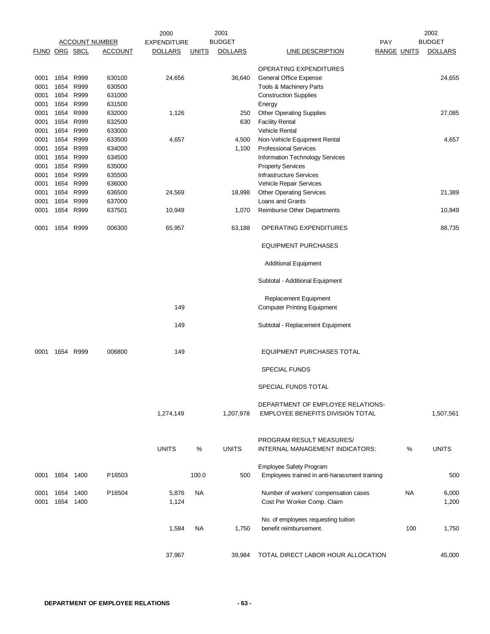| <b>BUDGET</b><br><b>BUDGET</b><br><b>ACCOUNT NUMBER</b><br><b>EXPENDITURE</b><br>PAY<br><b>FUND ORG SBCL</b><br><b>ACCOUNT</b><br><b>DOLLARS</b><br><b>UNITS</b><br><b>DOLLARS</b><br><b>LINE DESCRIPTION</b><br><b>RANGE UNITS</b><br>OPERATING EXPENDITURES<br>1654 R999<br>630100<br>24,656<br>General Office Expense<br>0001<br>36,640<br>1654<br>R999<br>0001<br>630500<br>Tools & Machinery Parts<br>0001<br>1654 R999<br>631000<br><b>Construction Supplies</b><br>1654 R999<br>0001<br>631500<br>Energy<br>1654 R999<br>632000<br>0001<br>1,126<br>250<br><b>Other Operating Supplies</b><br>1654 R999<br>632500<br>630<br><b>Facility Rental</b><br>0001<br>1654 R999<br>Vehicle Rental<br>0001<br>633000<br>1654<br>R999<br>0001<br>633500<br>Non-Vehicle Equipment Rental<br>4,657<br>4,500<br>0001<br>1654 R999<br>634000<br>1,100<br><b>Professional Services</b><br>1654<br>R999<br>0001<br>634500<br>Information Technology Services<br>1654 R999<br>0001<br>635000<br><b>Property Services</b><br>1654 R999<br>635500<br><b>Infrastructure Services</b><br>0001<br>1654<br>R999<br>0001<br>636000<br>Vehicle Repair Services<br>1654<br>R999<br>0001<br>636500<br>18,998<br><b>Other Operating Services</b><br>24,569<br>0001<br>1654 R999<br>637000<br>Loans and Grants<br>R999<br>0001<br>1654<br>637501<br>10,949<br>1,070<br>Reimburse Other Departments<br>1654 R999<br>006300<br>65,957<br>63,188<br>OPERATING EXPENDITURES<br>0001<br><b>EQUIPMENT PURCHASES</b><br><b>Additional Equipment</b><br>Subtotal - Additional Equipment<br>Replacement Equipment<br>149<br><b>Computer Printing Equipment</b><br>149<br>Subtotal - Replacement Equipment<br>1654 R999<br>006800<br>149<br><b>EQUIPMENT PURCHASES TOTAL</b><br>0001<br><b>SPECIAL FUNDS</b><br>SPECIAL FUNDS TOTAL<br>DEPARTMENT OF EMPLOYEE RELATIONS-<br>1,274,149<br>1,207,978<br><b>EMPLOYEE BENEFITS DIVISION TOTAL</b><br>PROGRAM RESULT MEASURES/<br><b>UNITS</b><br>%<br><b>UNITS</b><br>%<br><b>UNITS</b><br>INTERNAL MANAGEMENT INDICATORS:<br>Employee Safety Program<br>100.0<br>1654 1400<br>P16503<br>500<br>Employees trained in anti-harassment training<br>0001<br>Number of workers' compensation cases<br>1654 1400<br>P16504<br>5,876<br>NA.<br>NA.<br>0001<br>1654 1400<br>1,124<br>Cost Per Worker Comp. Claim<br>0001<br>No. of employees requesting tuition<br>benefit reimbursement.<br>100<br>1,584<br>NA<br>1,750<br>37,967<br>TOTAL DIRECT LABOR HOUR ALLOCATION<br>39,984 |  |  | 2000 | 2001 |  | 2002           |
|-----------------------------------------------------------------------------------------------------------------------------------------------------------------------------------------------------------------------------------------------------------------------------------------------------------------------------------------------------------------------------------------------------------------------------------------------------------------------------------------------------------------------------------------------------------------------------------------------------------------------------------------------------------------------------------------------------------------------------------------------------------------------------------------------------------------------------------------------------------------------------------------------------------------------------------------------------------------------------------------------------------------------------------------------------------------------------------------------------------------------------------------------------------------------------------------------------------------------------------------------------------------------------------------------------------------------------------------------------------------------------------------------------------------------------------------------------------------------------------------------------------------------------------------------------------------------------------------------------------------------------------------------------------------------------------------------------------------------------------------------------------------------------------------------------------------------------------------------------------------------------------------------------------------------------------------------------------------------------------------------------------------------------------------------------------------------------------------------------------------------------------------------------------------------------------------------------------------------------------------------------------------------------------------------------------------------------------------------------------------------------------------------------------------------------------------------------------------------------------------|--|--|------|------|--|----------------|
|                                                                                                                                                                                                                                                                                                                                                                                                                                                                                                                                                                                                                                                                                                                                                                                                                                                                                                                                                                                                                                                                                                                                                                                                                                                                                                                                                                                                                                                                                                                                                                                                                                                                                                                                                                                                                                                                                                                                                                                                                                                                                                                                                                                                                                                                                                                                                                                                                                                                                         |  |  |      |      |  |                |
|                                                                                                                                                                                                                                                                                                                                                                                                                                                                                                                                                                                                                                                                                                                                                                                                                                                                                                                                                                                                                                                                                                                                                                                                                                                                                                                                                                                                                                                                                                                                                                                                                                                                                                                                                                                                                                                                                                                                                                                                                                                                                                                                                                                                                                                                                                                                                                                                                                                                                         |  |  |      |      |  | <b>DOLLARS</b> |
|                                                                                                                                                                                                                                                                                                                                                                                                                                                                                                                                                                                                                                                                                                                                                                                                                                                                                                                                                                                                                                                                                                                                                                                                                                                                                                                                                                                                                                                                                                                                                                                                                                                                                                                                                                                                                                                                                                                                                                                                                                                                                                                                                                                                                                                                                                                                                                                                                                                                                         |  |  |      |      |  |                |
|                                                                                                                                                                                                                                                                                                                                                                                                                                                                                                                                                                                                                                                                                                                                                                                                                                                                                                                                                                                                                                                                                                                                                                                                                                                                                                                                                                                                                                                                                                                                                                                                                                                                                                                                                                                                                                                                                                                                                                                                                                                                                                                                                                                                                                                                                                                                                                                                                                                                                         |  |  |      |      |  | 24,655         |
|                                                                                                                                                                                                                                                                                                                                                                                                                                                                                                                                                                                                                                                                                                                                                                                                                                                                                                                                                                                                                                                                                                                                                                                                                                                                                                                                                                                                                                                                                                                                                                                                                                                                                                                                                                                                                                                                                                                                                                                                                                                                                                                                                                                                                                                                                                                                                                                                                                                                                         |  |  |      |      |  |                |
|                                                                                                                                                                                                                                                                                                                                                                                                                                                                                                                                                                                                                                                                                                                                                                                                                                                                                                                                                                                                                                                                                                                                                                                                                                                                                                                                                                                                                                                                                                                                                                                                                                                                                                                                                                                                                                                                                                                                                                                                                                                                                                                                                                                                                                                                                                                                                                                                                                                                                         |  |  |      |      |  |                |
|                                                                                                                                                                                                                                                                                                                                                                                                                                                                                                                                                                                                                                                                                                                                                                                                                                                                                                                                                                                                                                                                                                                                                                                                                                                                                                                                                                                                                                                                                                                                                                                                                                                                                                                                                                                                                                                                                                                                                                                                                                                                                                                                                                                                                                                                                                                                                                                                                                                                                         |  |  |      |      |  |                |
|                                                                                                                                                                                                                                                                                                                                                                                                                                                                                                                                                                                                                                                                                                                                                                                                                                                                                                                                                                                                                                                                                                                                                                                                                                                                                                                                                                                                                                                                                                                                                                                                                                                                                                                                                                                                                                                                                                                                                                                                                                                                                                                                                                                                                                                                                                                                                                                                                                                                                         |  |  |      |      |  | 27,085         |
|                                                                                                                                                                                                                                                                                                                                                                                                                                                                                                                                                                                                                                                                                                                                                                                                                                                                                                                                                                                                                                                                                                                                                                                                                                                                                                                                                                                                                                                                                                                                                                                                                                                                                                                                                                                                                                                                                                                                                                                                                                                                                                                                                                                                                                                                                                                                                                                                                                                                                         |  |  |      |      |  |                |
|                                                                                                                                                                                                                                                                                                                                                                                                                                                                                                                                                                                                                                                                                                                                                                                                                                                                                                                                                                                                                                                                                                                                                                                                                                                                                                                                                                                                                                                                                                                                                                                                                                                                                                                                                                                                                                                                                                                                                                                                                                                                                                                                                                                                                                                                                                                                                                                                                                                                                         |  |  |      |      |  |                |
|                                                                                                                                                                                                                                                                                                                                                                                                                                                                                                                                                                                                                                                                                                                                                                                                                                                                                                                                                                                                                                                                                                                                                                                                                                                                                                                                                                                                                                                                                                                                                                                                                                                                                                                                                                                                                                                                                                                                                                                                                                                                                                                                                                                                                                                                                                                                                                                                                                                                                         |  |  |      |      |  | 4,657          |
|                                                                                                                                                                                                                                                                                                                                                                                                                                                                                                                                                                                                                                                                                                                                                                                                                                                                                                                                                                                                                                                                                                                                                                                                                                                                                                                                                                                                                                                                                                                                                                                                                                                                                                                                                                                                                                                                                                                                                                                                                                                                                                                                                                                                                                                                                                                                                                                                                                                                                         |  |  |      |      |  |                |
|                                                                                                                                                                                                                                                                                                                                                                                                                                                                                                                                                                                                                                                                                                                                                                                                                                                                                                                                                                                                                                                                                                                                                                                                                                                                                                                                                                                                                                                                                                                                                                                                                                                                                                                                                                                                                                                                                                                                                                                                                                                                                                                                                                                                                                                                                                                                                                                                                                                                                         |  |  |      |      |  |                |
|                                                                                                                                                                                                                                                                                                                                                                                                                                                                                                                                                                                                                                                                                                                                                                                                                                                                                                                                                                                                                                                                                                                                                                                                                                                                                                                                                                                                                                                                                                                                                                                                                                                                                                                                                                                                                                                                                                                                                                                                                                                                                                                                                                                                                                                                                                                                                                                                                                                                                         |  |  |      |      |  |                |
|                                                                                                                                                                                                                                                                                                                                                                                                                                                                                                                                                                                                                                                                                                                                                                                                                                                                                                                                                                                                                                                                                                                                                                                                                                                                                                                                                                                                                                                                                                                                                                                                                                                                                                                                                                                                                                                                                                                                                                                                                                                                                                                                                                                                                                                                                                                                                                                                                                                                                         |  |  |      |      |  |                |
|                                                                                                                                                                                                                                                                                                                                                                                                                                                                                                                                                                                                                                                                                                                                                                                                                                                                                                                                                                                                                                                                                                                                                                                                                                                                                                                                                                                                                                                                                                                                                                                                                                                                                                                                                                                                                                                                                                                                                                                                                                                                                                                                                                                                                                                                                                                                                                                                                                                                                         |  |  |      |      |  |                |
|                                                                                                                                                                                                                                                                                                                                                                                                                                                                                                                                                                                                                                                                                                                                                                                                                                                                                                                                                                                                                                                                                                                                                                                                                                                                                                                                                                                                                                                                                                                                                                                                                                                                                                                                                                                                                                                                                                                                                                                                                                                                                                                                                                                                                                                                                                                                                                                                                                                                                         |  |  |      |      |  | 21,389         |
|                                                                                                                                                                                                                                                                                                                                                                                                                                                                                                                                                                                                                                                                                                                                                                                                                                                                                                                                                                                                                                                                                                                                                                                                                                                                                                                                                                                                                                                                                                                                                                                                                                                                                                                                                                                                                                                                                                                                                                                                                                                                                                                                                                                                                                                                                                                                                                                                                                                                                         |  |  |      |      |  |                |
|                                                                                                                                                                                                                                                                                                                                                                                                                                                                                                                                                                                                                                                                                                                                                                                                                                                                                                                                                                                                                                                                                                                                                                                                                                                                                                                                                                                                                                                                                                                                                                                                                                                                                                                                                                                                                                                                                                                                                                                                                                                                                                                                                                                                                                                                                                                                                                                                                                                                                         |  |  |      |      |  | 10,949         |
|                                                                                                                                                                                                                                                                                                                                                                                                                                                                                                                                                                                                                                                                                                                                                                                                                                                                                                                                                                                                                                                                                                                                                                                                                                                                                                                                                                                                                                                                                                                                                                                                                                                                                                                                                                                                                                                                                                                                                                                                                                                                                                                                                                                                                                                                                                                                                                                                                                                                                         |  |  |      |      |  | 88,735         |
|                                                                                                                                                                                                                                                                                                                                                                                                                                                                                                                                                                                                                                                                                                                                                                                                                                                                                                                                                                                                                                                                                                                                                                                                                                                                                                                                                                                                                                                                                                                                                                                                                                                                                                                                                                                                                                                                                                                                                                                                                                                                                                                                                                                                                                                                                                                                                                                                                                                                                         |  |  |      |      |  |                |
|                                                                                                                                                                                                                                                                                                                                                                                                                                                                                                                                                                                                                                                                                                                                                                                                                                                                                                                                                                                                                                                                                                                                                                                                                                                                                                                                                                                                                                                                                                                                                                                                                                                                                                                                                                                                                                                                                                                                                                                                                                                                                                                                                                                                                                                                                                                                                                                                                                                                                         |  |  |      |      |  |                |
|                                                                                                                                                                                                                                                                                                                                                                                                                                                                                                                                                                                                                                                                                                                                                                                                                                                                                                                                                                                                                                                                                                                                                                                                                                                                                                                                                                                                                                                                                                                                                                                                                                                                                                                                                                                                                                                                                                                                                                                                                                                                                                                                                                                                                                                                                                                                                                                                                                                                                         |  |  |      |      |  |                |
|                                                                                                                                                                                                                                                                                                                                                                                                                                                                                                                                                                                                                                                                                                                                                                                                                                                                                                                                                                                                                                                                                                                                                                                                                                                                                                                                                                                                                                                                                                                                                                                                                                                                                                                                                                                                                                                                                                                                                                                                                                                                                                                                                                                                                                                                                                                                                                                                                                                                                         |  |  |      |      |  |                |
|                                                                                                                                                                                                                                                                                                                                                                                                                                                                                                                                                                                                                                                                                                                                                                                                                                                                                                                                                                                                                                                                                                                                                                                                                                                                                                                                                                                                                                                                                                                                                                                                                                                                                                                                                                                                                                                                                                                                                                                                                                                                                                                                                                                                                                                                                                                                                                                                                                                                                         |  |  |      |      |  |                |
|                                                                                                                                                                                                                                                                                                                                                                                                                                                                                                                                                                                                                                                                                                                                                                                                                                                                                                                                                                                                                                                                                                                                                                                                                                                                                                                                                                                                                                                                                                                                                                                                                                                                                                                                                                                                                                                                                                                                                                                                                                                                                                                                                                                                                                                                                                                                                                                                                                                                                         |  |  |      |      |  |                |
|                                                                                                                                                                                                                                                                                                                                                                                                                                                                                                                                                                                                                                                                                                                                                                                                                                                                                                                                                                                                                                                                                                                                                                                                                                                                                                                                                                                                                                                                                                                                                                                                                                                                                                                                                                                                                                                                                                                                                                                                                                                                                                                                                                                                                                                                                                                                                                                                                                                                                         |  |  |      |      |  |                |
|                                                                                                                                                                                                                                                                                                                                                                                                                                                                                                                                                                                                                                                                                                                                                                                                                                                                                                                                                                                                                                                                                                                                                                                                                                                                                                                                                                                                                                                                                                                                                                                                                                                                                                                                                                                                                                                                                                                                                                                                                                                                                                                                                                                                                                                                                                                                                                                                                                                                                         |  |  |      |      |  |                |
|                                                                                                                                                                                                                                                                                                                                                                                                                                                                                                                                                                                                                                                                                                                                                                                                                                                                                                                                                                                                                                                                                                                                                                                                                                                                                                                                                                                                                                                                                                                                                                                                                                                                                                                                                                                                                                                                                                                                                                                                                                                                                                                                                                                                                                                                                                                                                                                                                                                                                         |  |  |      |      |  |                |
|                                                                                                                                                                                                                                                                                                                                                                                                                                                                                                                                                                                                                                                                                                                                                                                                                                                                                                                                                                                                                                                                                                                                                                                                                                                                                                                                                                                                                                                                                                                                                                                                                                                                                                                                                                                                                                                                                                                                                                                                                                                                                                                                                                                                                                                                                                                                                                                                                                                                                         |  |  |      |      |  |                |
|                                                                                                                                                                                                                                                                                                                                                                                                                                                                                                                                                                                                                                                                                                                                                                                                                                                                                                                                                                                                                                                                                                                                                                                                                                                                                                                                                                                                                                                                                                                                                                                                                                                                                                                                                                                                                                                                                                                                                                                                                                                                                                                                                                                                                                                                                                                                                                                                                                                                                         |  |  |      |      |  | 1,507,561      |
|                                                                                                                                                                                                                                                                                                                                                                                                                                                                                                                                                                                                                                                                                                                                                                                                                                                                                                                                                                                                                                                                                                                                                                                                                                                                                                                                                                                                                                                                                                                                                                                                                                                                                                                                                                                                                                                                                                                                                                                                                                                                                                                                                                                                                                                                                                                                                                                                                                                                                         |  |  |      |      |  |                |
|                                                                                                                                                                                                                                                                                                                                                                                                                                                                                                                                                                                                                                                                                                                                                                                                                                                                                                                                                                                                                                                                                                                                                                                                                                                                                                                                                                                                                                                                                                                                                                                                                                                                                                                                                                                                                                                                                                                                                                                                                                                                                                                                                                                                                                                                                                                                                                                                                                                                                         |  |  |      |      |  |                |
|                                                                                                                                                                                                                                                                                                                                                                                                                                                                                                                                                                                                                                                                                                                                                                                                                                                                                                                                                                                                                                                                                                                                                                                                                                                                                                                                                                                                                                                                                                                                                                                                                                                                                                                                                                                                                                                                                                                                                                                                                                                                                                                                                                                                                                                                                                                                                                                                                                                                                         |  |  |      |      |  |                |
|                                                                                                                                                                                                                                                                                                                                                                                                                                                                                                                                                                                                                                                                                                                                                                                                                                                                                                                                                                                                                                                                                                                                                                                                                                                                                                                                                                                                                                                                                                                                                                                                                                                                                                                                                                                                                                                                                                                                                                                                                                                                                                                                                                                                                                                                                                                                                                                                                                                                                         |  |  |      |      |  |                |
|                                                                                                                                                                                                                                                                                                                                                                                                                                                                                                                                                                                                                                                                                                                                                                                                                                                                                                                                                                                                                                                                                                                                                                                                                                                                                                                                                                                                                                                                                                                                                                                                                                                                                                                                                                                                                                                                                                                                                                                                                                                                                                                                                                                                                                                                                                                                                                                                                                                                                         |  |  |      |      |  | 500            |
|                                                                                                                                                                                                                                                                                                                                                                                                                                                                                                                                                                                                                                                                                                                                                                                                                                                                                                                                                                                                                                                                                                                                                                                                                                                                                                                                                                                                                                                                                                                                                                                                                                                                                                                                                                                                                                                                                                                                                                                                                                                                                                                                                                                                                                                                                                                                                                                                                                                                                         |  |  |      |      |  | 6,000          |
|                                                                                                                                                                                                                                                                                                                                                                                                                                                                                                                                                                                                                                                                                                                                                                                                                                                                                                                                                                                                                                                                                                                                                                                                                                                                                                                                                                                                                                                                                                                                                                                                                                                                                                                                                                                                                                                                                                                                                                                                                                                                                                                                                                                                                                                                                                                                                                                                                                                                                         |  |  |      |      |  | 1,200          |
|                                                                                                                                                                                                                                                                                                                                                                                                                                                                                                                                                                                                                                                                                                                                                                                                                                                                                                                                                                                                                                                                                                                                                                                                                                                                                                                                                                                                                                                                                                                                                                                                                                                                                                                                                                                                                                                                                                                                                                                                                                                                                                                                                                                                                                                                                                                                                                                                                                                                                         |  |  |      |      |  |                |
|                                                                                                                                                                                                                                                                                                                                                                                                                                                                                                                                                                                                                                                                                                                                                                                                                                                                                                                                                                                                                                                                                                                                                                                                                                                                                                                                                                                                                                                                                                                                                                                                                                                                                                                                                                                                                                                                                                                                                                                                                                                                                                                                                                                                                                                                                                                                                                                                                                                                                         |  |  |      |      |  | 1,750          |
|                                                                                                                                                                                                                                                                                                                                                                                                                                                                                                                                                                                                                                                                                                                                                                                                                                                                                                                                                                                                                                                                                                                                                                                                                                                                                                                                                                                                                                                                                                                                                                                                                                                                                                                                                                                                                                                                                                                                                                                                                                                                                                                                                                                                                                                                                                                                                                                                                                                                                         |  |  |      |      |  | 45,000         |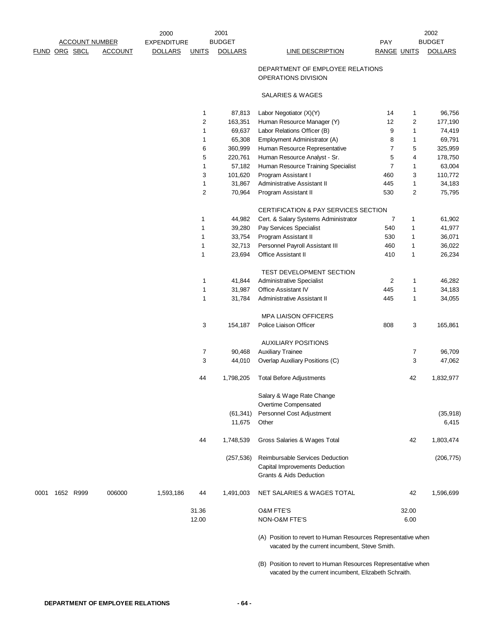| <b>ACCOUNT NUMBER</b> |  |           | 2001<br>2000<br><b>BUDGET</b><br><b>EXPENDITURE</b> |                |                |                | PAY                                                                                                             |                    | 2002<br><b>BUDGET</b> |                |
|-----------------------|--|-----------|-----------------------------------------------------|----------------|----------------|----------------|-----------------------------------------------------------------------------------------------------------------|--------------------|-----------------------|----------------|
| FUND ORG SBCL         |  |           | <b>ACCOUNT</b>                                      | <b>DOLLARS</b> | <b>UNITS</b>   | <b>DOLLARS</b> | <b>LINE DESCRIPTION</b>                                                                                         | <b>RANGE UNITS</b> |                       | <b>DOLLARS</b> |
|                       |  |           |                                                     |                |                |                | DEPARTMENT OF EMPLOYEE RELATIONS                                                                                |                    |                       |                |
|                       |  |           |                                                     |                |                |                | OPERATIONS DIVISION                                                                                             |                    |                       |                |
|                       |  |           |                                                     |                |                |                | <b>SALARIES &amp; WAGES</b>                                                                                     |                    |                       |                |
|                       |  |           |                                                     |                | 1              | 87,813         | Labor Negotiator (X)(Y)                                                                                         | 14                 | $\mathbf{1}$          | 96,756         |
|                       |  |           |                                                     |                | $\overline{c}$ | 163,351        | Human Resource Manager (Y)                                                                                      | 12                 | $\overline{2}$        | 177,190        |
|                       |  |           |                                                     |                | 1              | 69,637         | Labor Relations Officer (B)                                                                                     | 9                  | $\mathbf{1}$          | 74,419         |
|                       |  |           |                                                     |                | 1              | 65,308         | Employment Administrator (A)                                                                                    | 8                  | $\mathbf{1}$          | 69,791         |
|                       |  |           |                                                     |                | 6              | 360,999        | Human Resource Representative                                                                                   | $\overline{7}$     | 5                     | 325,959        |
|                       |  |           |                                                     |                | 5              | 220,761        | Human Resource Analyst - Sr.                                                                                    | 5                  | 4                     | 178,750        |
|                       |  |           |                                                     |                | 1              | 57,182         | Human Resource Training Specialist                                                                              | $\overline{7}$     | $\mathbf{1}$          | 63,004         |
|                       |  |           |                                                     |                | 3              | 101,620        | Program Assistant I                                                                                             | 460                | 3                     | 110,772        |
|                       |  |           |                                                     |                | 1              | 31,867         | Administrative Assistant II                                                                                     | 445                | $\mathbf{1}$          | 34,183         |
|                       |  |           |                                                     |                | $\overline{c}$ | 70,964         | Program Assistant II                                                                                            | 530                | $\overline{c}$        | 75,795         |
|                       |  |           |                                                     |                |                |                | CERTIFICATION & PAY SERVICES SECTION                                                                            |                    |                       |                |
|                       |  |           |                                                     |                | 1              | 44,982         | Cert. & Salary Systems Administrator                                                                            | $\overline{7}$     | 1                     | 61,902         |
|                       |  |           |                                                     |                |                |                |                                                                                                                 |                    |                       |                |
|                       |  |           |                                                     |                | 1              | 39,280         | Pay Services Specialist                                                                                         | 540                | $\mathbf{1}$          | 41,977         |
|                       |  |           |                                                     |                | 1              | 33,754         | Program Assistant II                                                                                            | 530                | 1                     | 36,071         |
|                       |  |           |                                                     |                | 1              | 32,713         | Personnel Payroll Assistant III                                                                                 | 460                | 1                     | 36,022         |
|                       |  |           |                                                     |                | $\mathbf{1}$   | 23,694         | Office Assistant II                                                                                             | 410                | $\mathbf{1}$          | 26,234         |
|                       |  |           |                                                     |                |                |                | TEST DEVELOPMENT SECTION                                                                                        |                    |                       |                |
|                       |  |           |                                                     |                | 1              | 41,844         | Administrative Specialist                                                                                       | $\overline{2}$     | 1                     | 46,282         |
|                       |  |           |                                                     |                | 1              | 31,987         | Office Assistant IV                                                                                             | 445                | $\mathbf{1}$          | 34,183         |
|                       |  |           |                                                     |                | 1              | 31,784         | Administrative Assistant II                                                                                     | 445                | $\mathbf{1}$          | 34,055         |
|                       |  |           |                                                     |                |                |                | <b>MPA LIAISON OFFICERS</b>                                                                                     |                    |                       |                |
|                       |  |           |                                                     |                | 3              | 154,187        | Police Liaison Officer                                                                                          | 808                | 3                     | 165,861        |
|                       |  |           |                                                     |                |                |                | <b>AUXILIARY POSITIONS</b>                                                                                      |                    |                       |                |
|                       |  |           |                                                     |                | 7              | 90,468         | <b>Auxiliary Trainee</b>                                                                                        |                    | 7                     | 96,709         |
|                       |  |           |                                                     |                | 3              | 44,010         | Overlap Auxiliary Positions (C)                                                                                 |                    | 3                     | 47,062         |
|                       |  |           |                                                     |                | 44             | 1,798,205      | <b>Total Before Adjustments</b>                                                                                 |                    | 42                    | 1,832,977      |
|                       |  |           |                                                     |                |                |                | Salary & Wage Rate Change                                                                                       |                    |                       |                |
|                       |  |           |                                                     |                |                |                | Overtime Compensated                                                                                            |                    |                       |                |
|                       |  |           |                                                     |                |                | (61, 341)      | Personnel Cost Adjustment                                                                                       |                    |                       | (35, 918)      |
|                       |  |           |                                                     |                |                | 11,675         | Other                                                                                                           |                    |                       | 6,415          |
|                       |  |           |                                                     |                | 44             | 1,748,539      | Gross Salaries & Wages Total                                                                                    |                    | 42                    | 1,803,474      |
|                       |  |           |                                                     |                |                | (257, 536)     | Reimbursable Services Deduction                                                                                 |                    |                       | (206, 775)     |
|                       |  |           |                                                     |                |                |                | Capital Improvements Deduction                                                                                  |                    |                       |                |
|                       |  |           |                                                     |                |                |                | <b>Grants &amp; Aids Deduction</b>                                                                              |                    |                       |                |
| 0001                  |  | 1652 R999 | 006000                                              | 1,593,186      | 44             | 1,491,003      | NET SALARIES & WAGES TOTAL                                                                                      |                    | 42                    | 1,596,699      |
|                       |  |           |                                                     |                | 31.36          |                | <b>O&amp;M FTE'S</b>                                                                                            |                    | 32.00                 |                |
|                       |  |           |                                                     |                | 12.00          |                | NON-O&M FTE'S                                                                                                   |                    | 6.00                  |                |
|                       |  |           |                                                     |                |                |                | (A) Position to revert to Human Resources Representative when<br>vacated by the current incumbent, Steve Smith. |                    |                       |                |

(B) Position to revert to Human Resources Representative when vacated by the current incumbent, Elizabeth Schraith.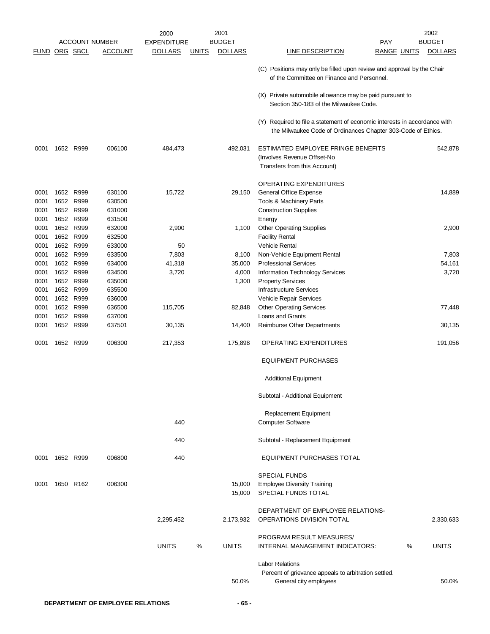|                      |           |           |                       | 2000               | 2001                           |                                                                                                                                           | 2002                                 |
|----------------------|-----------|-----------|-----------------------|--------------------|--------------------------------|-------------------------------------------------------------------------------------------------------------------------------------------|--------------------------------------|
|                      |           |           | <b>ACCOUNT NUMBER</b> | <b>EXPENDITURE</b> | <b>BUDGET</b>                  | <b>PAY</b>                                                                                                                                | <b>BUDGET</b>                        |
| <b>FUND ORG SBCL</b> |           |           | <b>ACCOUNT</b>        | <b>DOLLARS</b>     | <b>DOLLARS</b><br><u>UNITS</u> | <u>LINE DESCRIPTION</u>                                                                                                                   | <b>RANGE UNITS</b><br><b>DOLLARS</b> |
|                      |           |           |                       |                    |                                | (C) Positions may only be filled upon review and approval by the Chair<br>of the Committee on Finance and Personnel.                      |                                      |
|                      |           |           |                       |                    |                                | (X) Private automobile allowance may be paid pursuant to<br>Section 350-183 of the Milwaukee Code.                                        |                                      |
|                      |           |           |                       |                    |                                | (Y) Required to file a statement of economic interests in accordance with<br>the Milwaukee Code of Ordinances Chapter 303-Code of Ethics. |                                      |
| 0001                 |           | 1652 R999 | 006100                | 484,473            | 492,031                        | ESTIMATED EMPLOYEE FRINGE BENEFITS<br>(Involves Revenue Offset-No<br>Transfers from this Account)                                         | 542,878                              |
|                      |           |           |                       |                    |                                | <b>OPERATING EXPENDITURES</b>                                                                                                             |                                      |
| 0001                 | 1652      | R999      | 630100                | 15,722             | 29,150                         | General Office Expense                                                                                                                    | 14,889                               |
| 0001                 | 1652      | R999      | 630500                |                    |                                | Tools & Machinery Parts                                                                                                                   |                                      |
| 0001                 |           | 1652 R999 | 631000                |                    |                                | <b>Construction Supplies</b>                                                                                                              |                                      |
| 0001                 | 1652      | R999      | 631500                |                    |                                | Energy                                                                                                                                    |                                      |
| 0001                 | 1652      | R999      | 632000                | 2,900              | 1,100                          | <b>Other Operating Supplies</b>                                                                                                           | 2,900                                |
| 0001                 |           | 1652 R999 | 632500                |                    |                                | <b>Facility Rental</b>                                                                                                                    |                                      |
| 0001                 |           | 1652 R999 | 633000                | 50                 |                                | <b>Vehicle Rental</b>                                                                                                                     |                                      |
| 0001                 | 1652      | R999      | 633500                | 7,803              | 8,100                          | Non-Vehicle Equipment Rental                                                                                                              | 7,803                                |
| 0001                 |           | 1652 R999 | 634000                | 41,318             | 35,000                         | <b>Professional Services</b>                                                                                                              | 54,161                               |
| 0001                 | 1652      | R999      | 634500                | 3,720              | 4,000                          | Information Technology Services                                                                                                           | 3,720                                |
| 0001                 |           | 1652 R999 | 635000                |                    | 1,300                          | <b>Property Services</b>                                                                                                                  |                                      |
| 0001                 |           | 1652 R999 | 635500                |                    |                                | <b>Infrastructure Services</b>                                                                                                            |                                      |
| 0001                 | 1652      | R999      | 636000                |                    |                                | Vehicle Repair Services                                                                                                                   |                                      |
| 0001                 | 1652      | R999      | 636500                | 115,705            | 82,848                         | <b>Other Operating Services</b>                                                                                                           | 77,448                               |
| 0001                 | 1652      | R999      | 637000                |                    |                                | Loans and Grants                                                                                                                          |                                      |
| 0001                 |           | 1652 R999 | 637501                | 30,135             | 14,400                         | Reimburse Other Departments                                                                                                               | 30,135                               |
| 0001                 |           | 1652 R999 | 006300                | 217,353            | 175,898                        | <b>OPERATING EXPENDITURES</b>                                                                                                             | 191,056                              |
|                      |           |           |                       |                    |                                | <b>EQUIPMENT PURCHASES</b>                                                                                                                |                                      |
|                      |           |           |                       |                    |                                | <b>Additional Equipment</b>                                                                                                               |                                      |
|                      |           |           |                       |                    |                                | Subtotal - Additional Equipment                                                                                                           |                                      |
|                      |           |           |                       |                    |                                | Replacement Equipment                                                                                                                     |                                      |
|                      |           |           |                       | 440                |                                | <b>Computer Software</b>                                                                                                                  |                                      |
|                      |           |           |                       | 440                |                                | Subtotal - Replacement Equipment                                                                                                          |                                      |
| 0001                 | 1652 R999 |           | 006800                | 440                |                                | EQUIPMENT PURCHASES TOTAL                                                                                                                 |                                      |
|                      |           |           |                       |                    |                                | <b>SPECIAL FUNDS</b>                                                                                                                      |                                      |
| 0001                 |           | 1650 R162 | 006300                |                    | 15,000                         | <b>Employee Diversity Training</b>                                                                                                        |                                      |
|                      |           |           |                       |                    | 15,000                         | SPECIAL FUNDS TOTAL                                                                                                                       |                                      |
|                      |           |           |                       | 2,295,452          | 2,173,932                      | DEPARTMENT OF EMPLOYEE RELATIONS-<br>OPERATIONS DIVISION TOTAL                                                                            | 2,330,633                            |
|                      |           |           |                       |                    |                                | PROGRAM RESULT MEASURES/                                                                                                                  |                                      |
|                      |           |           |                       | <b>UNITS</b>       | %<br><b>UNITS</b>              | INTERNAL MANAGEMENT INDICATORS:                                                                                                           | %<br><b>UNITS</b>                    |
|                      |           |           |                       |                    |                                | <b>Labor Relations</b>                                                                                                                    |                                      |
|                      |           |           |                       |                    |                                | Percent of grievance appeals to arbitration settled.                                                                                      |                                      |
|                      |           |           |                       |                    | 50.0%                          | General city employees                                                                                                                    | 50.0%                                |
|                      |           |           |                       |                    |                                |                                                                                                                                           |                                      |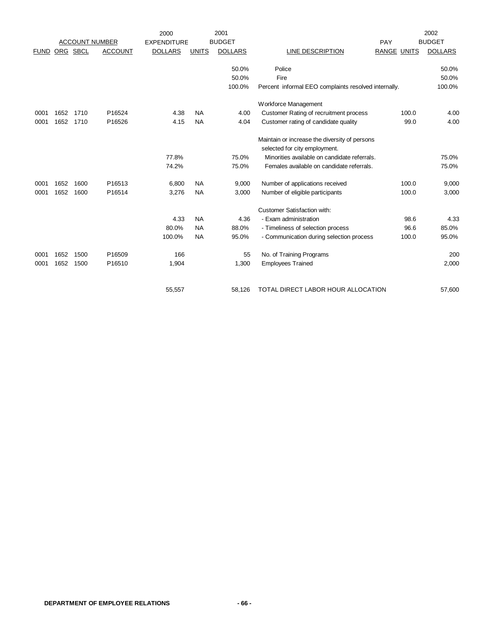|             |      |          |                       | 2000               |              | 2001           |                                                                                |                    | 2002           |
|-------------|------|----------|-----------------------|--------------------|--------------|----------------|--------------------------------------------------------------------------------|--------------------|----------------|
|             |      |          | <b>ACCOUNT NUMBER</b> | <b>EXPENDITURE</b> |              | <b>BUDGET</b>  |                                                                                | PAY                | <b>BUDGET</b>  |
| <b>FUND</b> |      | ORG SBCL | <b>ACCOUNT</b>        | <b>DOLLARS</b>     | <b>UNITS</b> | <b>DOLLARS</b> | LINE DESCRIPTION                                                               | <b>RANGE UNITS</b> | <b>DOLLARS</b> |
|             |      |          |                       |                    |              | 50.0%          | Police                                                                         |                    | 50.0%          |
|             |      |          |                       |                    |              | 50.0%          | Fire                                                                           |                    | 50.0%          |
|             |      |          |                       |                    |              | 100.0%         | Percent informal EEO complaints resolved internally.                           |                    | 100.0%         |
|             |      |          |                       |                    |              |                | Workforce Management                                                           |                    |                |
| 0001        | 1652 | 1710     | P16524                | 4.38               | <b>NA</b>    | 4.00           | Customer Rating of recruitment process                                         | 100.0              | 4.00           |
| 0001        | 1652 | 1710     | P16526                | 4.15               | <b>NA</b>    | 4.04           | Customer rating of candidate quality                                           | 99.0               | 4.00           |
|             |      |          |                       |                    |              |                | Maintain or increase the diversity of persons<br>selected for city employment. |                    |                |
|             |      |          |                       | 77.8%              |              | 75.0%          | Minorities available on candidate referrals.                                   |                    | 75.0%          |
|             |      |          |                       | 74.2%              |              | 75.0%          | Females available on candidate referrals.                                      |                    | 75.0%          |
| 0001        | 1652 | 1600     | P16513                | 6,800              | <b>NA</b>    | 9,000          | Number of applications received                                                | 100.0              | 9,000          |
| 0001        | 1652 | 1600     | P16514                | 3,276              | <b>NA</b>    | 3,000          | Number of eligible participants                                                | 100.0              | 3,000          |
|             |      |          |                       |                    |              |                | <b>Customer Satisfaction with:</b>                                             |                    |                |
|             |      |          |                       | 4.33               | <b>NA</b>    | 4.36           | - Exam administration                                                          | 98.6               | 4.33           |
|             |      |          |                       | 80.0%              | <b>NA</b>    | 88.0%          | - Timeliness of selection process                                              | 96.6               | 85.0%          |
|             |      |          |                       | 100.0%             | <b>NA</b>    | 95.0%          | - Communication during selection process                                       | 100.0              | 95.0%          |
| 0001        | 1652 | 1500     | P16509                | 166                |              | 55             | No. of Training Programs                                                       |                    | 200            |
| 0001        | 1652 | 1500     | P16510                | 1,904              |              | 1,300          | <b>Employees Trained</b>                                                       |                    | 2,000          |
|             |      |          |                       | 55,557             |              | 58,126         | TOTAL DIRECT LABOR HOUR ALLOCATION                                             |                    | 57,600         |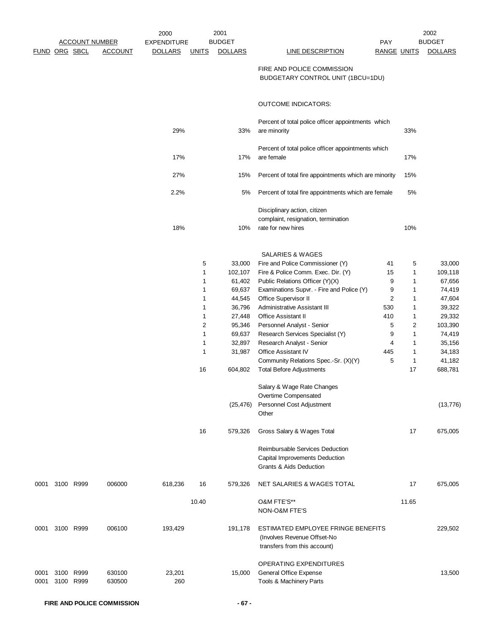|              |               |                        |                  | 2000               |                 | 2001             |                                                                                                         |                    |                                | 2002             |
|--------------|---------------|------------------------|------------------|--------------------|-----------------|------------------|---------------------------------------------------------------------------------------------------------|--------------------|--------------------------------|------------------|
|              |               | <b>ACCOUNT NUMBER</b>  |                  | <b>EXPENDITURE</b> |                 | <b>BUDGET</b>    |                                                                                                         | PAY                |                                | <b>BUDGET</b>    |
|              | FUND ORG SBCL |                        | <b>ACCOUNT</b>   | <b>DOLLARS</b>     | <b>UNITS</b>    | <b>DOLLARS</b>   | <b>LINE DESCRIPTION</b>                                                                                 | <b>RANGE UNITS</b> |                                | <b>DOLLARS</b>   |
|              |               |                        |                  |                    |                 |                  | FIRE AND POLICE COMMISSION<br>BUDGETARY CONTROL UNIT (1BCU=1DU)                                         |                    |                                |                  |
|              |               |                        |                  |                    |                 |                  | <b>OUTCOME INDICATORS:</b>                                                                              |                    |                                |                  |
|              |               |                        |                  |                    |                 |                  |                                                                                                         |                    |                                |                  |
|              |               |                        |                  | 29%                |                 | 33%              | Percent of total police officer appointments which<br>are minority                                      |                    | 33%                            |                  |
|              |               |                        |                  | 17%                |                 | 17%              | Percent of total police officer appointments which<br>are female                                        |                    | 17%                            |                  |
|              |               |                        |                  | 27%                |                 | 15%              | Percent of total fire appointments which are minority                                                   |                    | 15%                            |                  |
|              |               |                        |                  | 2.2%               |                 | 5%               | Percent of total fire appointments which are female                                                     |                    | 5%                             |                  |
|              |               |                        |                  | 18%                |                 | 10%              | Disciplinary action, citizen<br>complaint, resignation, termination<br>rate for new hires               |                    | 10%                            |                  |
|              |               |                        |                  |                    |                 |                  |                                                                                                         |                    |                                |                  |
|              |               |                        |                  |                    |                 |                  | <b>SALARIES &amp; WAGES</b>                                                                             |                    |                                |                  |
|              |               |                        |                  |                    | 5               | 33,000           | Fire and Police Commissioner (Y)                                                                        | 41                 | 5                              | 33,000           |
|              |               |                        |                  |                    | 1               | 102,107          | Fire & Police Comm. Exec. Dir. (Y)                                                                      | 15                 | $\mathbf{1}$                   | 109,118          |
|              |               |                        |                  |                    | 1               | 61,402           | Public Relations Officer (Y)(X)                                                                         | 9                  | $\mathbf{1}$                   | 67,656           |
|              |               |                        |                  |                    | 1               | 69,637           | Examinations Supvr. - Fire and Police (Y)                                                               | 9                  | 1                              | 74,419           |
|              |               |                        |                  |                    | 1               | 44,545           | Office Supervisor II                                                                                    | 2                  | $\mathbf{1}$                   | 47,604           |
|              |               |                        |                  |                    | 1               | 36,796           | <b>Administrative Assistant III</b>                                                                     | 530                | $\mathbf{1}$                   | 39,322           |
|              |               |                        |                  |                    | 1               | 27,448           | <b>Office Assistant II</b>                                                                              | 410                | $\mathbf{1}$                   | 29,332           |
|              |               |                        |                  |                    | $\sqrt{2}$<br>1 | 95,346<br>69,637 | Personnel Analyst - Senior                                                                              | 5                  | $\overline{2}$<br>$\mathbf{1}$ | 103,390          |
|              |               |                        |                  |                    | 1               | 32,897           | Research Services Specialist (Y)<br>Research Analyst - Senior                                           | 9<br>4             | $\mathbf{1}$                   | 74,419<br>35,156 |
|              |               |                        |                  |                    | 1               | 31,987           | Office Assistant IV                                                                                     | 445                | $\mathbf{1}$                   | 34,183           |
|              |               |                        |                  |                    |                 |                  | Community Relations Spec.-Sr. (X)(Y)                                                                    | 5                  | $\mathbf{1}$                   | 41,182           |
|              |               |                        |                  |                    | 16              | 604,802          | <b>Total Before Adjustments</b>                                                                         |                    | 17                             | 688,781          |
|              |               |                        |                  |                    |                 |                  | Salary & Wage Rate Changes<br>Overtime Compensated                                                      |                    |                                |                  |
|              |               |                        |                  |                    |                 | (25, 476)        | Personnel Cost Adjustment<br>Other                                                                      |                    |                                | (13, 776)        |
|              |               |                        |                  |                    | 16              | 579,326          | Gross Salary & Wages Total                                                                              |                    | 17                             | 675,005          |
|              |               |                        |                  |                    |                 |                  | Reimbursable Services Deduction<br>Capital Improvements Deduction<br><b>Grants &amp; Aids Deduction</b> |                    |                                |                  |
| 0001         |               | 3100 R999              | 006000           | 618,236            | 16              | 579,326          | NET SALARIES & WAGES TOTAL                                                                              |                    | 17                             | 675,005          |
|              |               |                        |                  |                    | 10.40           |                  | O&M FTE'S**<br>NON-O&M FTE'S                                                                            |                    | 11.65                          |                  |
| 0001         |               | 3100 R999              | 006100           | 193,429            |                 | 191,178          | ESTIMATED EMPLOYEE FRINGE BENEFITS<br>(Involves Revenue Offset-No<br>transfers from this account)       |                    |                                | 229,502          |
| 0001<br>0001 |               | 3100 R999<br>3100 R999 | 630100<br>630500 | 23,201<br>260      |                 | 15,000           | OPERATING EXPENDITURES<br>General Office Expense<br>Tools & Machinery Parts                             |                    |                                | 13,500           |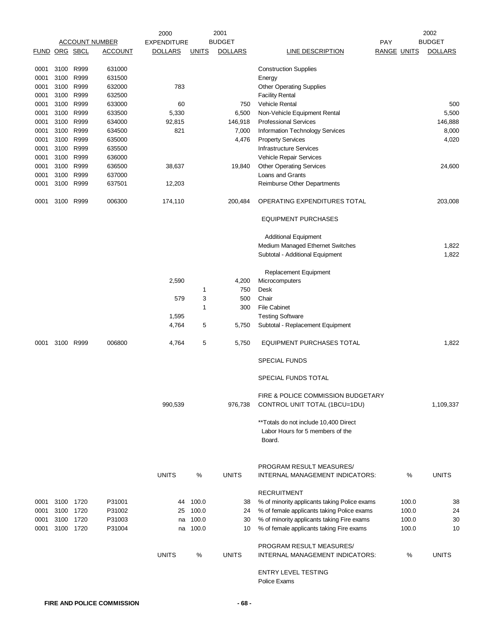|      |                      |           |                       | 2000               |              | 2001           |                                                                                      |            |                    | 2002           |
|------|----------------------|-----------|-----------------------|--------------------|--------------|----------------|--------------------------------------------------------------------------------------|------------|--------------------|----------------|
|      |                      |           | <b>ACCOUNT NUMBER</b> | <b>EXPENDITURE</b> |              | <b>BUDGET</b>  |                                                                                      | <b>PAY</b> |                    | <b>BUDGET</b>  |
|      | <b>FUND ORG SBCL</b> |           | <u>ACCOUNT</u>        | <b>DOLLARS</b>     | <b>UNITS</b> | <b>DOLLARS</b> | <b>LINE DESCRIPTION</b>                                                              |            | <u>RANGE UNITS</u> | <b>DOLLARS</b> |
| 0001 |                      | 3100 R999 | 631000                |                    |              |                | <b>Construction Supplies</b>                                                         |            |                    |                |
| 0001 | 3100 R999            |           | 631500                |                    |              |                | Energy                                                                               |            |                    |                |
| 0001 | 3100 R999            |           | 632000                | 783                |              |                | <b>Other Operating Supplies</b>                                                      |            |                    |                |
| 0001 | 3100 R999            |           | 632500                |                    |              |                | <b>Facility Rental</b>                                                               |            |                    |                |
| 0001 | 3100 R999            |           | 633000                | 60                 |              | 750            | <b>Vehicle Rental</b>                                                                |            |                    | 500            |
|      | 3100 R999            |           |                       |                    |              |                |                                                                                      |            |                    | 5,500          |
| 0001 |                      | R999      | 633500                | 5,330              |              | 6,500          | Non-Vehicle Equipment Rental                                                         |            |                    |                |
| 0001 | 3100                 |           | 634000                | 92,815             |              | 146,918        | <b>Professional Services</b>                                                         |            |                    | 146,888        |
| 0001 | 3100 R999            |           | 634500                | 821                |              | 7,000          | Information Technology Services                                                      |            |                    | 8,000          |
| 0001 | 3100 R999            |           | 635000                |                    |              | 4,476          | <b>Property Services</b>                                                             |            |                    | 4,020          |
| 0001 | 3100 R999            |           | 635500                |                    |              |                | <b>Infrastructure Services</b>                                                       |            |                    |                |
| 0001 | 3100 R999            |           | 636000                |                    |              |                | Vehicle Repair Services                                                              |            |                    |                |
| 0001 |                      | 3100 R999 | 636500                | 38,637             |              | 19,840         | <b>Other Operating Services</b>                                                      |            |                    | 24,600         |
| 0001 | 3100                 | R999      | 637000                |                    |              |                | Loans and Grants                                                                     |            |                    |                |
| 0001 | 3100                 | R999      | 637501                | 12,203             |              |                | Reimburse Other Departments                                                          |            |                    |                |
| 0001 | 3100 R999            |           | 006300                | 174,110            |              | 200,484        | OPERATING EXPENDITURES TOTAL                                                         |            |                    | 203,008        |
|      |                      |           |                       |                    |              |                | <b>EQUIPMENT PURCHASES</b>                                                           |            |                    |                |
|      |                      |           |                       |                    |              |                | <b>Additional Equipment</b>                                                          |            |                    |                |
|      |                      |           |                       |                    |              |                | Medium Managed Ethernet Switches                                                     |            |                    | 1,822          |
|      |                      |           |                       |                    |              |                | Subtotal - Additional Equipment                                                      |            |                    | 1,822          |
|      |                      |           |                       |                    |              |                |                                                                                      |            |                    |                |
|      |                      |           |                       |                    |              |                | Replacement Equipment                                                                |            |                    |                |
|      |                      |           |                       | 2,590              |              | 4,200          | Microcomputers                                                                       |            |                    |                |
|      |                      |           |                       |                    | 1            | 750            | Desk                                                                                 |            |                    |                |
|      |                      |           |                       | 579                | 3            | 500            | Chair                                                                                |            |                    |                |
|      |                      |           |                       |                    | 1            | 300            | <b>File Cabinet</b>                                                                  |            |                    |                |
|      |                      |           |                       | 1,595              |              |                | <b>Testing Software</b>                                                              |            |                    |                |
|      |                      |           |                       | 4,764              | 5            | 5,750          | Subtotal - Replacement Equipment                                                     |            |                    |                |
| 0001 | 3100                 | R999      | 006800                | 4,764              | 5            | 5,750          | EQUIPMENT PURCHASES TOTAL                                                            |            |                    | 1,822          |
|      |                      |           |                       |                    |              |                | <b>SPECIAL FUNDS</b>                                                                 |            |                    |                |
|      |                      |           |                       |                    |              |                | SPECIAL FUNDS TOTAL                                                                  |            |                    |                |
|      |                      |           |                       |                    |              |                | FIRE & POLICE COMMISSION BUDGETARY                                                   |            |                    |                |
|      |                      |           |                       | 990,539            |              | 976,738        | CONTROL UNIT TOTAL (1BCU=1DU)                                                        |            |                    | 1,109,337      |
|      |                      |           |                       |                    |              |                | ** Totals do not include 10,400 Direct<br>Labor Hours for 5 members of the<br>Board. |            |                    |                |
|      |                      |           |                       | <b>UNITS</b>       | %            | <b>UNITS</b>   | PROGRAM RESULT MEASURES/<br>INTERNAL MANAGEMENT INDICATORS:                          |            | $\%$               | <b>UNITS</b>   |
|      |                      |           |                       |                    |              |                |                                                                                      |            |                    |                |
|      |                      |           |                       |                    |              |                | <b>RECRUITMENT</b>                                                                   |            |                    |                |
| 0001 | 3100                 | 1720      | P31001                | 44                 | 100.0        | 38             | % of minority applicants taking Police exams                                         |            | 100.0              | 38             |
| 0001 | 3100 1720            |           | P31002                | 25                 | 100.0        | 24             | % of female applicants taking Police exams                                           |            | 100.0              | 24             |
| 0001 | 3100 1720            |           | P31003                | na                 | 100.0        | 30             | % of minority applicants taking Fire exams                                           |            | 100.0              | 30             |
| 0001 | 3100 1720            |           | P31004                | na                 | 100.0        | 10             | % of female applicants taking Fire exams                                             |            | 100.0              | 10             |
|      |                      |           |                       |                    |              |                | PROGRAM RESULT MEASURES/                                                             |            |                    |                |
|      |                      |           |                       | <b>UNITS</b>       | %            | <b>UNITS</b>   | INTERNAL MANAGEMENT INDICATORS:                                                      |            | %                  | <b>UNITS</b>   |
|      |                      |           |                       |                    |              |                | <b>ENTRY LEVEL TESTING</b><br>Police Exams                                           |            |                    |                |
|      |                      |           |                       |                    |              |                |                                                                                      |            |                    |                |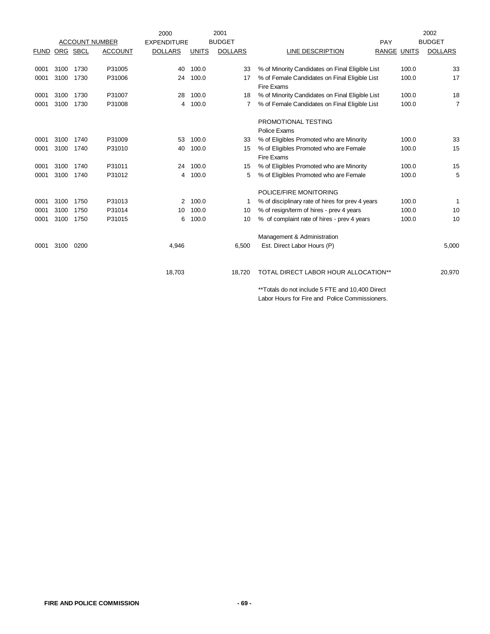|             |          |      |                       | 2000               |              | 2001           |                                                  |                    |       | 2002           |
|-------------|----------|------|-----------------------|--------------------|--------------|----------------|--------------------------------------------------|--------------------|-------|----------------|
|             |          |      | <b>ACCOUNT NUMBER</b> | <b>EXPENDITURE</b> |              | <b>BUDGET</b>  |                                                  | PAY                |       | <b>BUDGET</b>  |
| <b>FUND</b> | ORG SBCL |      | <b>ACCOUNT</b>        | <b>DOLLARS</b>     | <b>UNITS</b> | <b>DOLLARS</b> | LINE DESCRIPTION                                 | <b>RANGE UNITS</b> |       | <b>DOLLARS</b> |
|             |          |      |                       |                    |              |                |                                                  |                    |       |                |
| 0001        | 3100     | 1730 | P31005                | 40                 | 100.0        | 33             | % of Minority Candidates on Final Eligible List  |                    | 100.0 | 33             |
| 0001        | 3100     | 1730 | P31006                | 24                 | 100.0        | 17             | % of Female Candidates on Final Eligible List    |                    | 100.0 | 17             |
|             |          |      |                       |                    |              |                | Fire Exams                                       |                    |       |                |
| 0001        | 3100     | 1730 | P31007                | 28                 | 100.0        | 18             | % of Minority Candidates on Final Eligible List  |                    | 100.0 | 18             |
| 0001        | 3100     | 1730 | P31008                | 4                  | 100.0        | 7              | % of Female Candidates on Final Eligible List    |                    | 100.0 | 7              |
|             |          |      |                       |                    |              |                | PROMOTIONAL TESTING                              |                    |       |                |
|             |          |      |                       |                    |              |                | Police Exams                                     |                    |       |                |
| 0001        | 3100     | 1740 | P31009                | 53                 | 100.0        | 33             | % of Eligibles Promoted who are Minority         |                    | 100.0 | 33             |
| 0001        | 3100     | 1740 | P31010                | 40                 | 100.0        | 15             | % of Eligibles Promoted who are Female           |                    | 100.0 | 15             |
|             |          |      |                       |                    |              |                | Fire Exams                                       |                    |       |                |
| 0001        | 3100     | 1740 | P31011                | 24                 | 100.0        | 15             | % of Eligibles Promoted who are Minority         |                    | 100.0 | 15             |
| 0001        | 3100     | 1740 | P31012                | 4                  | 100.0        | 5              | % of Eligibles Promoted who are Female           |                    | 100.0 | 5              |
|             |          |      |                       |                    |              |                | POLICE/FIRE MONITORING                           |                    |       |                |
| 0001        | 3100     | 1750 | P31013                | 2                  | 100.0        |                | % of disciplinary rate of hires for prev 4 years |                    | 100.0 | 1              |
| 0001        | 3100     | 1750 | P31014                | 10                 | 100.0        | 10             | % of resign/term of hires - prev 4 years         |                    | 100.0 | 10             |
| 0001        | 3100     | 1750 | P31015                | 6                  | 100.0        | 10             | % of complaint rate of hires - prev 4 years      |                    | 100.0 | 10             |
|             |          |      |                       |                    |              |                | Management & Administration                      |                    |       |                |
| 0001        | 3100     | 0200 |                       | 4,946              |              | 6,500          | Est. Direct Labor Hours (P)                      |                    |       | 5,000          |
|             |          |      |                       |                    |              |                |                                                  |                    |       |                |
|             |          |      |                       |                    |              |                |                                                  |                    |       |                |
|             |          |      |                       | 18,703             |              | 18,720         | TOTAL DIRECT LABOR HOUR ALLOCATION**             |                    |       | 20,970         |

\*\*Totals do not include 5 FTE and 10,400 Direct Labor Hours for Fire and Police Commissioners.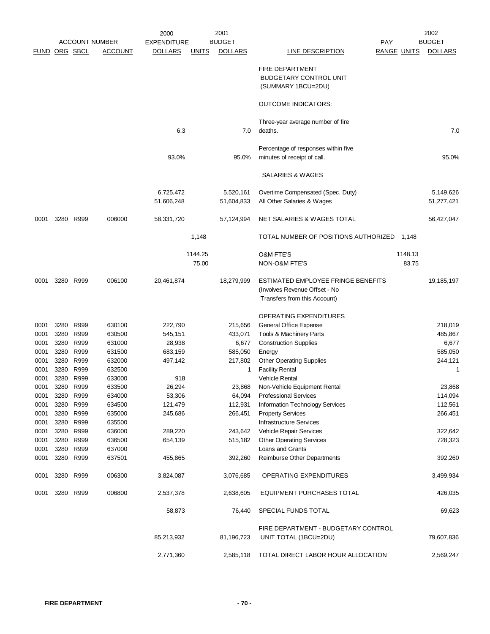|                      |                       |           |                                     | 2001<br>2000            |                  |                         |                                                                                                     |                    | 2002                    |  |
|----------------------|-----------------------|-----------|-------------------------------------|-------------------------|------------------|-------------------------|-----------------------------------------------------------------------------------------------------|--------------------|-------------------------|--|
|                      | <b>ACCOUNT NUMBER</b> |           | <b>BUDGET</b><br><b>EXPENDITURE</b> |                         |                  | <b>PAY</b>              |                                                                                                     | <b>BUDGET</b>      |                         |  |
| <b>FUND ORG SBCL</b> |                       |           | <b>ACCOUNT</b>                      | <b>DOLLARS</b>          | <b>UNITS</b>     | <b>DOLLARS</b>          | <b>LINE DESCRIPTION</b>                                                                             | <b>RANGE UNITS</b> | <b>DOLLARS</b>          |  |
|                      |                       |           |                                     |                         |                  |                         | <b>FIRE DEPARTMENT</b><br><b>BUDGETARY CONTROL UNIT</b><br>(SUMMARY 1BCU=2DU)                       |                    |                         |  |
|                      |                       |           |                                     |                         |                  |                         | <b>OUTCOME INDICATORS:</b>                                                                          |                    |                         |  |
|                      |                       |           |                                     |                         |                  |                         | Three-year average number of fire                                                                   |                    |                         |  |
|                      |                       |           |                                     | 6.3                     |                  | 7.0                     | deaths.                                                                                             |                    | 7.0                     |  |
|                      |                       |           |                                     | 93.0%                   |                  | 95.0%                   | Percentage of responses within five<br>minutes of receipt of call.                                  |                    | 95.0%                   |  |
|                      |                       |           |                                     |                         |                  |                         | SALARIES & WAGES                                                                                    |                    |                         |  |
|                      |                       |           |                                     | 6,725,472<br>51,606,248 |                  | 5,520,161<br>51,604,833 | Overtime Compensated (Spec. Duty)<br>All Other Salaries & Wages                                     |                    | 5,149,626<br>51,277,421 |  |
| 0001                 |                       | 3280 R999 | 006000                              | 58,331,720              |                  | 57,124,994              | NET SALARIES & WAGES TOTAL                                                                          |                    | 56,427,047              |  |
|                      |                       |           |                                     |                         | 1,148            |                         | TOTAL NUMBER OF POSITIONS AUTHORIZED                                                                | 1,148              |                         |  |
|                      |                       |           |                                     |                         | 1144.25<br>75.00 |                         | <b>O&amp;M FTE'S</b><br>NON-O&M FTE'S                                                               | 1148.13<br>83.75   |                         |  |
| 0001                 |                       | 3280 R999 | 006100                              | 20,461,874              |                  | 18,279,999              | ESTIMATED EMPLOYEE FRINGE BENEFITS<br>(Involves Revenue Offset - No<br>Transfers from this Account) |                    | 19,185,197              |  |
|                      |                       |           |                                     |                         |                  |                         | OPERATING EXPENDITURES                                                                              |                    |                         |  |
| 0001                 |                       | 3280 R999 | 630100                              | 222,790                 |                  | 215,656                 | General Office Expense                                                                              |                    | 218,019                 |  |
| 0001                 |                       | 3280 R999 | 630500                              | 545,151                 |                  | 433,071                 | Tools & Machinery Parts                                                                             |                    | 485,867                 |  |
| 0001                 |                       | 3280 R999 | 631000                              | 28,938                  |                  | 6,677                   | <b>Construction Supplies</b>                                                                        |                    | 6,677                   |  |
| 0001                 |                       | 3280 R999 | 631500                              | 683,159                 |                  | 585,050                 | Energy                                                                                              |                    | 585,050                 |  |
| 0001                 |                       | 3280 R999 | 632000                              | 497,142                 |                  | 217,802                 | <b>Other Operating Supplies</b>                                                                     |                    | 244,121                 |  |
| 0001                 | 3280                  | R999      | 632500                              |                         |                  | 1                       | <b>Facility Rental</b>                                                                              |                    | 1                       |  |
| 0001                 |                       | 3280 R999 | 633000                              | 918                     |                  |                         | <b>Vehicle Rental</b>                                                                               |                    |                         |  |
| 0001                 | 3280                  | R999      | 633500                              | 26,294                  |                  | 23,868                  | Non-Vehicle Equipment Rental                                                                        |                    | 23,868                  |  |
| 0001                 |                       | 3280 R999 | 634000                              | 53,306                  |                  | 64,094                  | <b>Professional Services</b>                                                                        |                    | 114,094                 |  |
| 0001                 |                       | 3280 R999 | 634500                              | 121,479                 |                  | 112,931                 | <b>Information Technology Services</b>                                                              |                    | 112,561                 |  |
| 0001                 |                       | 3280 R999 | 635000                              | 245,686                 |                  | 266,451                 | <b>Property Services</b>                                                                            |                    | 266,451                 |  |
| 0001                 |                       | 3280 R999 | 635500                              |                         |                  |                         | Infrastructure Services                                                                             |                    |                         |  |
| 0001                 |                       | 3280 R999 | 636000                              | 289,220                 |                  | 243,642                 | Vehicle Repair Services                                                                             |                    | 322,642                 |  |
| 0001                 |                       | 3280 R999 | 636500                              | 654,139                 |                  | 515,182                 | <b>Other Operating Services</b>                                                                     |                    | 728,323                 |  |
| 0001                 |                       | 3280 R999 | 637000                              |                         |                  |                         | Loans and Grants                                                                                    |                    |                         |  |
| 0001                 |                       | 3280 R999 | 637501                              | 455,865                 |                  | 392,260                 | Reimburse Other Departments                                                                         |                    | 392,260                 |  |
| 0001                 |                       | 3280 R999 | 006300                              | 3,824,087               |                  | 3,076,685               | OPERATING EXPENDITURES                                                                              |                    | 3,499,934               |  |
| 0001                 |                       | 3280 R999 | 006800                              | 2,537,378               |                  | 2,638,605               | <b>EQUIPMENT PURCHASES TOTAL</b>                                                                    |                    | 426,035                 |  |
|                      |                       |           |                                     | 58,873                  |                  | 76,440                  | SPECIAL FUNDS TOTAL                                                                                 |                    | 69,623                  |  |
|                      |                       |           |                                     | 85,213,932              |                  | 81,196,723              | FIRE DEPARTMENT - BUDGETARY CONTROL<br>UNIT TOTAL (1BCU=2DU)                                        |                    | 79,607,836              |  |
|                      |                       |           |                                     | 2,771,360               |                  | 2,585,118               | TOTAL DIRECT LABOR HOUR ALLOCATION                                                                  |                    | 2,569,247               |  |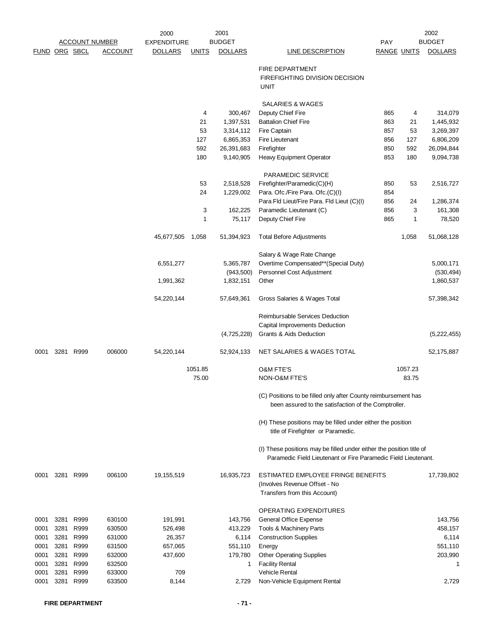|               |      |                       |                | 2000               |              | 2001                   |                                                                                                                                        |                    |          | 2002                   |  |
|---------------|------|-----------------------|----------------|--------------------|--------------|------------------------|----------------------------------------------------------------------------------------------------------------------------------------|--------------------|----------|------------------------|--|
|               |      | <b>ACCOUNT NUMBER</b> |                | <b>EXPENDITURE</b> |              | <b>BUDGET</b>          |                                                                                                                                        | PAY                |          | <b>BUDGET</b>          |  |
| FUND ORG SBCL |      |                       | <b>ACCOUNT</b> | <b>DOLLARS</b>     | <b>UNITS</b> | <b>DOLLARS</b>         | <b>LINE DESCRIPTION</b>                                                                                                                | <b>RANGE UNITS</b> |          | <b>DOLLARS</b>         |  |
|               |      |                       |                |                    |              |                        | FIRE DEPARTMENT                                                                                                                        |                    |          |                        |  |
|               |      |                       |                |                    |              |                        | FIREFIGHTING DIVISION DECISION                                                                                                         |                    |          |                        |  |
|               |      |                       |                |                    |              |                        | <b>UNIT</b>                                                                                                                            |                    |          |                        |  |
|               |      |                       |                |                    |              |                        |                                                                                                                                        |                    |          |                        |  |
|               |      |                       |                |                    |              |                        | <b>SALARIES &amp; WAGES</b>                                                                                                            |                    |          |                        |  |
|               |      |                       |                |                    | 4            | 300,467                | Deputy Chief Fire                                                                                                                      | 865                | 4        | 314,079                |  |
|               |      |                       |                |                    | 21<br>53     | 1,397,531<br>3,314,112 | <b>Battalion Chief Fire</b><br>Fire Captain                                                                                            | 863<br>857         | 21<br>53 | 1,445,932<br>3,269,397 |  |
|               |      |                       |                |                    | 127          | 6,865,353              | Fire Lieutenant                                                                                                                        | 856                | 127      | 6,806,209              |  |
|               |      |                       |                |                    | 592          | 26,391,683             | Firefighter                                                                                                                            | 850                | 592      | 26,094,844             |  |
|               |      |                       |                |                    | 180          | 9,140,905              | <b>Heavy Equipment Operator</b>                                                                                                        | 853                | 180      | 9,094,738              |  |
|               |      |                       |                |                    |              |                        |                                                                                                                                        |                    |          |                        |  |
|               |      |                       |                |                    |              |                        | <b>PARAMEDIC SERVICE</b>                                                                                                               |                    |          |                        |  |
|               |      |                       |                |                    | 53           | 2,518,528              | Firefighter/Paramedic(C)(H)                                                                                                            | 850                | 53       | 2,516,727              |  |
|               |      |                       |                |                    | 24           | 1,229,002              | Para. Ofc./Fire Para. Ofc.(C)(I)                                                                                                       | 854                |          |                        |  |
|               |      |                       |                |                    |              |                        | Para Fld Lieut/Fire Para. Fld Lieut (C)(I)                                                                                             | 856                | 24       | 1,286,374              |  |
|               |      |                       |                |                    | 3<br>1       | 162,225<br>75,117      | Paramedic Lieutenant (C)<br>Deputy Chief Fire                                                                                          | 856<br>865         | 3<br>1   | 161,308<br>78,520      |  |
|               |      |                       |                |                    |              |                        |                                                                                                                                        |                    |          |                        |  |
|               |      |                       |                | 45,677,505         | 1,058        | 51,394,923             | <b>Total Before Adjustments</b>                                                                                                        |                    | 1,058    | 51,068,128             |  |
|               |      |                       |                |                    |              |                        | Salary & Wage Rate Change                                                                                                              |                    |          |                        |  |
|               |      |                       |                | 6,551,277          |              | 5,365,787              | Overtime Compensated**(Special Duty)                                                                                                   |                    |          | 5,000,171              |  |
|               |      |                       |                |                    |              | (943, 500)             | Personnel Cost Adjustment                                                                                                              |                    |          | (530, 494)             |  |
|               |      |                       |                | 1,991,362          |              | 1,832,151              | Other                                                                                                                                  |                    |          | 1,860,537              |  |
|               |      |                       |                | 54,220,144         |              | 57,649,361             | Gross Salaries & Wages Total                                                                                                           |                    |          | 57,398,342             |  |
|               |      |                       |                |                    |              |                        | Reimbursable Services Deduction                                                                                                        |                    |          |                        |  |
|               |      |                       |                |                    |              |                        | Capital Improvements Deduction                                                                                                         |                    |          |                        |  |
|               |      |                       |                |                    |              | (4,725,228)            | Grants & Aids Deduction                                                                                                                |                    |          | (5,222,455)            |  |
| 0001          |      | 3281 R999             | 006000         | 54,220,144         |              | 52,924,133             | NET SALARIES & WAGES TOTAL                                                                                                             |                    |          | 52,175,887             |  |
|               |      |                       |                | 1051.85<br>75.00   |              |                        | <b>O&amp;M FTE'S</b>                                                                                                                   |                    | 1057.23  |                        |  |
|               |      |                       |                |                    |              |                        | <b>NON-O&amp;M FTE'S</b>                                                                                                               |                    | 83.75    |                        |  |
|               |      |                       |                |                    |              |                        |                                                                                                                                        |                    |          |                        |  |
|               |      |                       |                |                    |              |                        | (C) Positions to be filled only after County reimbursement has<br>been assured to the satisfaction of the Comptroller.                 |                    |          |                        |  |
|               |      |                       |                |                    |              |                        | (H) These positions may be filled under either the position<br>title of Firefighter or Paramedic.                                      |                    |          |                        |  |
|               |      |                       |                |                    |              |                        | (I) These positions may be filled under either the position title of<br>Paramedic Field Lieutenant or Fire Paramedic Field Lieutenant. |                    |          |                        |  |
| 0001          |      | 3281 R999             | 006100         | 19,155,519         |              | 16,935,723             | ESTIMATED EMPLOYEE FRINGE BENEFITS<br>(Involves Revenue Offset - No<br>Transfers from this Account)                                    |                    |          | 17,739,802             |  |
|               |      |                       |                |                    |              |                        |                                                                                                                                        |                    |          |                        |  |
| 0001          | 3281 | R999                  | 630100         | 191,991            |              | 143,756                | OPERATING EXPENDITURES<br>General Office Expense                                                                                       |                    |          | 143,756                |  |
| 0001          | 3281 | R999                  | 630500         | 526,498            |              | 413,229                | Tools & Machinery Parts                                                                                                                |                    |          | 458,157                |  |
| 0001          | 3281 | R999                  | 631000         | 26,357             |              | 6,114                  | <b>Construction Supplies</b>                                                                                                           |                    |          | 6,114                  |  |
| 0001          | 3281 | R999                  | 631500         | 657,065            |              | 551,110                | Energy                                                                                                                                 |                    |          | 551,110                |  |
| 0001          | 3281 | R999                  | 632000         | 437,600            |              | 179,780                | <b>Other Operating Supplies</b>                                                                                                        |                    |          | 203,990                |  |
| 0001          | 3281 | R999                  | 632500         |                    |              | 1                      | <b>Facility Rental</b>                                                                                                                 |                    |          | $\mathbf 1$            |  |
| 0001          | 3281 | R999                  | 633000         | 709                |              |                        | Vehicle Rental                                                                                                                         |                    |          |                        |  |
| 0001          | 3281 | R999                  | 633500         | 8,144              |              | 2,729                  | Non-Vehicle Equipment Rental                                                                                                           |                    |          | 2,729                  |  |
|               |      |                       |                |                    |              |                        |                                                                                                                                        |                    |          |                        |  |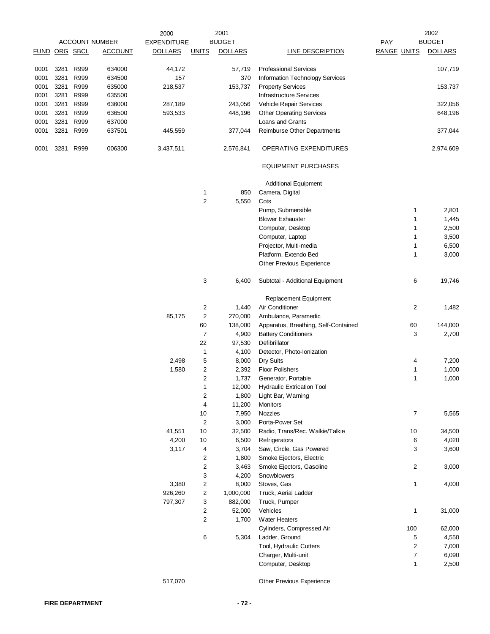|               | <b>ACCOUNT NUMBER</b> |      |                | 2000               |                         | 2001           | 2002                                 |                    |                |  |
|---------------|-----------------------|------|----------------|--------------------|-------------------------|----------------|--------------------------------------|--------------------|----------------|--|
|               |                       |      |                | <b>EXPENDITURE</b> |                         | <b>BUDGET</b>  |                                      | PAY                | <b>BUDGET</b>  |  |
| FUND ORG SBCL |                       |      | <b>ACCOUNT</b> | <b>DOLLARS</b>     | <b>UNITS</b>            | <b>DOLLARS</b> | <b>LINE DESCRIPTION</b>              | <b>RANGE UNITS</b> | <b>DOLLARS</b> |  |
| 0001          | 3281                  | R999 | 634000         | 44,172             |                         | 57,719         | <b>Professional Services</b>         |                    | 107,719        |  |
| 0001          | 3281                  | R999 | 634500         | 157                |                         | 370            | Information Technology Services      |                    |                |  |
| 0001          | 3281                  | R999 | 635000         | 218,537            |                         | 153,737        | <b>Property Services</b>             |                    | 153,737        |  |
| 0001          | 3281                  | R999 | 635500         |                    |                         |                | <b>Infrastructure Services</b>       |                    |                |  |
| 0001          | 3281                  | R999 | 636000         | 287,189            |                         | 243,056        | Vehicle Repair Services              |                    | 322,056        |  |
| 0001          | 3281                  | R999 | 636500         | 593,533            |                         | 448,196        | <b>Other Operating Services</b>      |                    | 648,196        |  |
| 0001          | 3281                  | R999 | 637000         |                    |                         |                | Loans and Grants                     |                    |                |  |
| 0001          | 3281 R999             |      | 637501         | 445,559            |                         | 377,044        | Reimburse Other Departments          |                    | 377,044        |  |
| 0001          | 3281                  | R999 | 006300         | 3,437,511          |                         | 2,576,841      | OPERATING EXPENDITURES               |                    | 2,974,609      |  |
|               |                       |      |                |                    |                         |                | <b>EQUIPMENT PURCHASES</b>           |                    |                |  |
|               |                       |      |                |                    |                         |                | <b>Additional Equipment</b>          |                    |                |  |
|               |                       |      |                |                    | 1                       | 850            | Camera, Digital                      |                    |                |  |
|               |                       |      |                |                    | $\overline{c}$          | 5,550          | Cots                                 |                    |                |  |
|               |                       |      |                |                    |                         |                | Pump, Submersible                    | 1                  | 2,801          |  |
|               |                       |      |                |                    |                         |                | <b>Blower Exhauster</b>              | 1                  | 1,445          |  |
|               |                       |      |                |                    |                         |                | Computer, Desktop                    | 1                  | 2,500          |  |
|               |                       |      |                |                    |                         |                | Computer, Laptop                     | 1                  | 3,500          |  |
|               |                       |      |                |                    |                         |                | Projector, Multi-media               | 1                  | 6,500          |  |
|               |                       |      |                |                    |                         |                | Platform, Extendo Bed                | 1                  | 3,000          |  |
|               |                       |      |                |                    |                         |                | Other Previous Experience            |                    |                |  |
|               |                       |      |                |                    | 3                       | 6,400          | Subtotal - Additional Equipment      | 6                  | 19,746         |  |
|               |                       |      |                |                    |                         |                | Replacement Equipment                |                    |                |  |
|               |                       |      |                |                    | 2                       | 1,440          | Air Conditioner                      | 2                  | 1,482          |  |
|               |                       |      |                | 85,175             | 2                       | 270,000        | Ambulance, Paramedic                 |                    |                |  |
|               |                       |      |                |                    | 60                      | 138,000        | Apparatus, Breathing, Self-Contained | 60                 | 144,000        |  |
|               |                       |      |                |                    | $\overline{7}$          | 4,900          | <b>Battery Conditioners</b>          | 3                  | 2,700          |  |
|               |                       |      |                |                    | 22                      | 97,530         | Defibrillator                        |                    |                |  |
|               |                       |      |                |                    | 1                       | 4,100          | Detector, Photo-Ionization           |                    |                |  |
|               |                       |      |                | 2,498              | 5                       | 8,000          | Dry Suits                            | 4                  | 7,200          |  |
|               |                       |      |                | 1,580              | 2                       | 2,392          | <b>Floor Polishers</b>               | 1                  | 1,000          |  |
|               |                       |      |                |                    | $\overline{c}$          | 1,737          | Generator, Portable                  | 1                  | 1,000          |  |
|               |                       |      |                |                    |                         | 12,000         | <b>Hydraulic Extrication Tool</b>    |                    |                |  |
|               |                       |      |                |                    | 2                       | 1,800          | Light Bar, Warning                   |                    |                |  |
|               |                       |      |                |                    | 4                       | 11,200         | Monitors                             |                    |                |  |
|               |                       |      |                |                    | 10                      | 7,950          | Nozzles                              | 7                  | 5,565          |  |
|               |                       |      |                |                    | $\overline{c}$          | 3,000          | Porta-Power Set                      |                    |                |  |
|               |                       |      |                | 41,551             | $10$                    | 32,500         | Radio, Trans/Rec. Walkie/Talkie      | 10                 | 34,500         |  |
|               |                       |      |                | 4,200              | 10                      | 6,500          | Refrigerators                        | 6                  | 4,020          |  |
|               |                       |      |                | 3,117              | 4                       | 3,704          | Saw, Circle, Gas Powered             | 3                  | 3,600          |  |
|               |                       |      |                |                    | 2                       | 1,800          | Smoke Ejectors, Electric             |                    |                |  |
|               |                       |      |                |                    | 2                       | 3,463          | Smoke Ejectors, Gasoline             | 2                  | 3,000          |  |
|               |                       |      |                |                    | 3                       | 4,200          | Snowblowers                          |                    |                |  |
|               |                       |      |                | 3,380              | $\overline{\mathbf{c}}$ | 8,000          | Stoves, Gas                          | 1                  | 4,000          |  |
|               |                       |      |                | 926,260            | 2                       | 1,000,000      | Truck, Aerial Ladder                 |                    |                |  |
|               |                       |      |                | 797,307            | 3                       | 882,000        | Truck, Pumper                        |                    |                |  |
|               |                       |      |                |                    | 2                       | 52,000         | Vehicles                             | 1                  | 31,000         |  |
|               |                       |      |                |                    | 2                       | 1,700          | <b>Water Heaters</b>                 |                    |                |  |
|               |                       |      |                |                    |                         |                | Cylinders, Compressed Air            | 100                | 62,000         |  |
|               |                       |      |                |                    | 6                       | 5,304          | Ladder, Ground                       | 5                  | 4,550          |  |
|               |                       |      |                |                    |                         |                | Tool, Hydraulic Cutters              | 2                  | 7,000          |  |
|               |                       |      |                |                    |                         |                | Charger, Multi-unit                  | 7                  | 6,090          |  |
|               |                       |      |                |                    |                         |                | Computer, Desktop                    | 1                  | 2,500          |  |
|               |                       |      |                | 517,070            |                         |                | Other Previous Experience            |                    |                |  |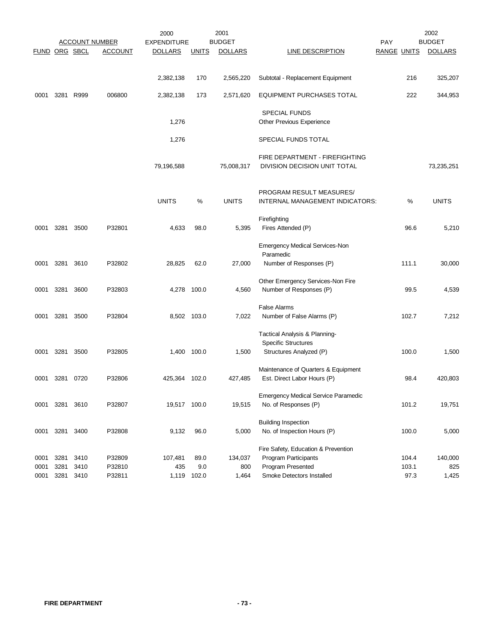|                      |                      | <b>ACCOUNT NUMBER</b> |                            | 2000<br><b>EXPENDITURE</b> |                      | 2001<br><b>BUDGET</b>   |                                                                                                               | <b>PAY</b>             | 2002<br><b>BUDGET</b>   |
|----------------------|----------------------|-----------------------|----------------------------|----------------------------|----------------------|-------------------------|---------------------------------------------------------------------------------------------------------------|------------------------|-------------------------|
| FUND ORG SBCL        |                      |                       | <b>ACCOUNT</b>             | <b>DOLLARS</b>             | <b>UNITS</b>         | <b>DOLLARS</b>          | LINE DESCRIPTION                                                                                              | <b>RANGE UNITS</b>     | <b>DOLLARS</b>          |
|                      |                      |                       |                            |                            |                      |                         |                                                                                                               |                        |                         |
|                      |                      |                       |                            | 2,382,138                  | 170                  | 2,565,220               | Subtotal - Replacement Equipment                                                                              | 216                    | 325,207                 |
| 0001                 | 3281                 | R999                  | 006800                     | 2,382,138                  | 173                  | 2,571,620               | EQUIPMENT PURCHASES TOTAL                                                                                     | 222                    | 344,953                 |
|                      |                      |                       |                            | 1,276                      |                      |                         | <b>SPECIAL FUNDS</b><br>Other Previous Experience                                                             |                        |                         |
|                      |                      |                       |                            | 1,276                      |                      |                         | SPECIAL FUNDS TOTAL                                                                                           |                        |                         |
|                      |                      |                       |                            | 79,196,588                 |                      | 75,008,317              | FIRE DEPARTMENT - FIREFIGHTING<br>DIVISION DECISION UNIT TOTAL                                                |                        | 73,235,251              |
|                      |                      |                       |                            | <b>UNITS</b>               | %                    | <b>UNITS</b>            | PROGRAM RESULT MEASURES/<br>INTERNAL MANAGEMENT INDICATORS:                                                   | %                      | <b>UNITS</b>            |
| 0001                 | 3281                 | 3500                  | P32801                     | 4,633                      | 98.0                 | 5,395                   | Firefighting<br>Fires Attended (P)                                                                            | 96.6                   | 5,210                   |
| 0001                 | 3281                 | 3610                  | P32802                     | 28,825                     | 62.0                 | 27,000                  | <b>Emergency Medical Services-Non</b><br>Paramedic<br>Number of Responses (P)                                 | 111.1                  | 30,000                  |
| 0001                 | 3281                 | 3600                  | P32803                     | 4,278                      | 100.0                | 4,560                   | Other Emergency Services-Non Fire<br>Number of Responses (P)                                                  | 99.5                   | 4,539                   |
| 0001                 | 3281                 | 3500                  | P32804                     |                            | 8,502 103.0          | 7,022                   | <b>False Alarms</b><br>Number of False Alarms (P)                                                             | 102.7                  | 7,212                   |
| 0001                 | 3281                 | 3500                  | P32805                     |                            | 1,400 100.0          | 1,500                   | Tactical Analysis & Planning-<br><b>Specific Structures</b><br>Structures Analyzed (P)                        | 100.0                  | 1,500                   |
| 0001                 | 3281                 | 0720                  | P32806                     | 425,364 102.0              |                      | 427,485                 | Maintenance of Quarters & Equipment<br>Est. Direct Labor Hours (P)                                            | 98.4                   | 420,803                 |
| 0001                 | 3281                 | 3610                  | P32807                     | 19,517 100.0               |                      | 19,515                  | <b>Emergency Medical Service Paramedic</b><br>No. of Responses (P)                                            | 101.2                  | 19,751                  |
| 0001                 | 3281                 | 3400                  | P32808                     | 9,132                      | 96.0                 | 5,000                   | <b>Building Inspection</b><br>No. of Inspection Hours (P)                                                     | 100.0                  | 5,000                   |
| 0001<br>0001<br>0001 | 3281<br>3281<br>3281 | 3410<br>3410<br>3410  | P32809<br>P32810<br>P32811 | 107,481<br>435<br>1,119    | 89.0<br>9.0<br>102.0 | 134,037<br>800<br>1,464 | Fire Safety, Education & Prevention<br>Program Participants<br>Program Presented<br>Smoke Detectors Installed | 104.4<br>103.1<br>97.3 | 140,000<br>825<br>1,425 |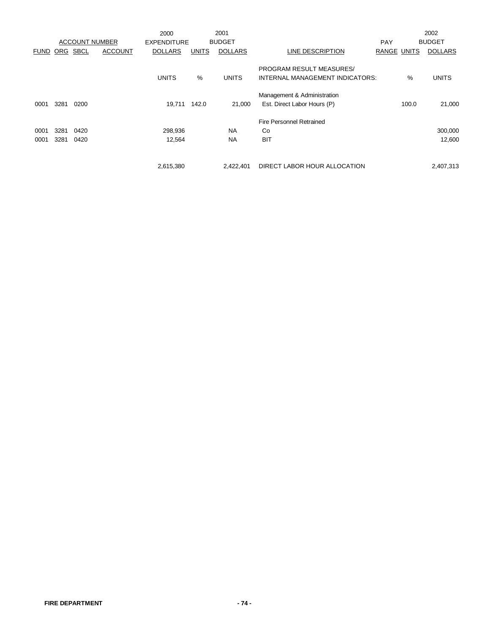|          |      |             |                       | 2000               |              | 2001           |                                                             |            |                    | 2002           |
|----------|------|-------------|-----------------------|--------------------|--------------|----------------|-------------------------------------------------------------|------------|--------------------|----------------|
|          |      |             | <b>ACCOUNT NUMBER</b> | <b>EXPENDITURE</b> |              | <b>BUDGET</b>  |                                                             | <b>PAY</b> |                    | <b>BUDGET</b>  |
| FUND ORG |      | <b>SBCL</b> | <b>ACCOUNT</b>        | <b>DOLLARS</b>     | <b>UNITS</b> | <b>DOLLARS</b> | LINE DESCRIPTION                                            |            | <b>RANGE UNITS</b> | <b>DOLLARS</b> |
|          |      |             |                       | <b>UNITS</b>       | %            | <b>UNITS</b>   | PROGRAM RESULT MEASURES/<br>INTERNAL MANAGEMENT INDICATORS: |            | %                  | <b>UNITS</b>   |
|          |      |             |                       |                    |              |                |                                                             |            |                    |                |
|          |      |             |                       |                    |              |                | Management & Administration                                 |            |                    |                |
| 0001     | 3281 | 0200        |                       | 19.711             | 142.0        | 21,000         | Est. Direct Labor Hours (P)                                 |            | 100.0              | 21,000         |
|          |      |             |                       |                    |              |                | <b>Fire Personnel Retrained</b>                             |            |                    |                |
| 0001     | 3281 | 0420        |                       | 298,936            |              | <b>NA</b>      | Co                                                          |            |                    | 300,000        |
| 0001     | 3281 | 0420        |                       | 12,564             |              | <b>NA</b>      | <b>BIT</b>                                                  |            |                    | 12,600         |
|          |      |             |                       |                    |              |                |                                                             |            |                    |                |
|          |      |             |                       | 2,615,380          |              | 2,422,401      | DIRECT LABOR HOUR ALLOCATION                                |            |                    | 2,407,313      |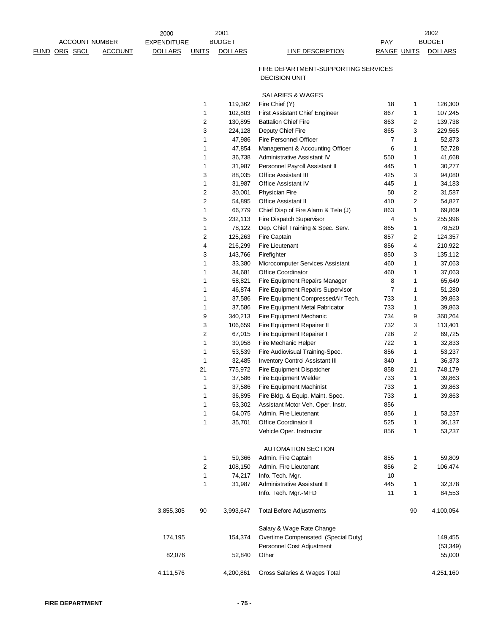| <b>ACCOUNT NUMBER</b>                  | 2000                                 |                         | 2001<br><b>BUDGET</b> |                                                                |                           |                         | 2002<br><b>BUDGET</b> |
|----------------------------------------|--------------------------------------|-------------------------|-----------------------|----------------------------------------------------------------|---------------------------|-------------------------|-----------------------|
| <b>FUND ORG SBCL</b><br><b>ACCOUNT</b> | <b>EXPENDITURE</b><br><b>DOLLARS</b> | <b>UNITS</b>            | <b>DOLLARS</b>        | <b>LINE DESCRIPTION</b>                                        | PAY<br><b>RANGE UNITS</b> |                         | <b>DOLLARS</b>        |
|                                        |                                      |                         |                       |                                                                |                           |                         |                       |
|                                        |                                      |                         |                       | FIRE DEPARTMENT-SUPPORTING SERVICES                            |                           |                         |                       |
|                                        |                                      |                         |                       | <b>DECISION UNIT</b>                                           |                           |                         |                       |
|                                        |                                      |                         |                       |                                                                |                           |                         |                       |
|                                        |                                      |                         |                       | SALARIES & WAGES                                               |                           |                         |                       |
|                                        |                                      | 1                       | 119,362               | Fire Chief (Y)                                                 | 18                        | 1                       | 126,300               |
|                                        |                                      | 1                       | 102,803               | First Assistant Chief Engineer                                 | 867                       | $\mathbf{1}$            | 107,245               |
|                                        |                                      | 2                       | 130,895               | <b>Battalion Chief Fire</b>                                    | 863                       | 2                       | 139,738               |
|                                        |                                      | 3                       | 224,128               | Deputy Chief Fire                                              | 865                       | 3                       | 229,565               |
|                                        |                                      | 1                       | 47,986                | Fire Personnel Officer                                         | $\overline{7}$            | 1                       | 52,873                |
|                                        |                                      | 1<br>1                  | 47,854<br>36,738      | Management & Accounting Officer<br>Administrative Assistant IV | 6<br>550                  | 1<br>$\mathbf{1}$       | 52,728<br>41,668      |
|                                        |                                      | 1                       | 31,987                | Personnel Payroll Assistant II                                 | 445                       | 1                       | 30,277                |
|                                        |                                      | 3                       | 88,035                | Office Assistant III                                           | 425                       | 3                       | 94,080                |
|                                        |                                      | 1                       | 31,987                | <b>Office Assistant IV</b>                                     | 445                       | 1                       | 34,183                |
|                                        |                                      | $\overline{2}$          | 30,001                | <b>Physician Fire</b>                                          | 50                        | $\overline{\mathbf{c}}$ | 31,587                |
|                                        |                                      | $\overline{\mathbf{c}}$ | 54,895                | Office Assistant II                                            | 410                       | $\boldsymbol{2}$        | 54,827                |
|                                        |                                      | 1                       | 66,779                | Chief Disp of Fire Alarm & Tele (J)                            | 863                       | 1                       | 69,869                |
|                                        |                                      | 5                       | 232,113               | Fire Dispatch Supervisor                                       | 4                         | 5                       | 255,996               |
|                                        |                                      | 1                       | 78,122                | Dep. Chief Training & Spec. Serv.                              | 865                       | $\mathbf{1}$            | 78,520                |
|                                        |                                      | $\overline{\mathbf{c}}$ | 125,263               | Fire Captain                                                   | 857                       | 2                       | 124,357               |
|                                        |                                      | 4                       | 216,299               | <b>Fire Lieutenant</b>                                         | 856                       | 4                       | 210,922               |
|                                        |                                      | 3                       | 143,766               | Firefighter                                                    | 850                       | 3                       | 135,112               |
|                                        |                                      | 1                       | 33,380                | Microcomputer Services Assistant                               | 460                       | 1                       | 37,063                |
|                                        |                                      | 1                       | 34,681                | <b>Office Coordinator</b>                                      | 460                       | 1                       | 37,063                |
|                                        |                                      | 1                       | 58,821                | Fire Equipment Repairs Manager                                 | 8                         | $\mathbf{1}$            | 65,649                |
|                                        |                                      | 1                       | 46,874                | Fire Equipment Repairs Supervisor                              | 7                         | 1                       | 51,280                |
|                                        |                                      | 1                       | 37,586                | Fire Equipment CompressedAir Tech.                             | 733                       | 1                       | 39,863                |
|                                        |                                      | 1                       | 37,586                | Fire Equipment Metal Fabricator                                | 733                       | 1                       | 39,863                |
|                                        |                                      | 9                       | 340,213               | Fire Equipment Mechanic                                        | 734                       | 9                       | 360,264               |
|                                        |                                      | 3                       | 106,659               | Fire Equipment Repairer II                                     | 732                       | 3                       | 113,401               |
|                                        |                                      | $\overline{\mathbf{c}}$ | 67,015                | Fire Equipment Repairer I                                      | 726                       | $\overline{\mathbf{c}}$ | 69,725                |
|                                        |                                      | 1                       | 30,958                | Fire Mechanic Helper                                           | 722                       | 1                       | 32,833                |
|                                        |                                      | 1                       | 53,539                | Fire Audiovisual Training-Spec.                                | 856                       | 1                       | 53,237                |
|                                        |                                      | 1                       | 32,485                | <b>Inventory Control Assistant III</b>                         | 340                       | $\mathbf{1}$            | 36,373                |
|                                        |                                      | 21                      | 775,972               | Fire Equipment Dispatcher                                      | 858                       | 21                      | 748,179               |
|                                        |                                      | 1                       | 37,586                | Fire Equipment Welder                                          | 733                       | $\mathbf{1}$            | 39,863                |
|                                        |                                      | 1                       | 37,586                | Fire Equipment Machinist                                       | 733                       | $\overline{1}$          | 39,863                |
|                                        |                                      | 1                       | 36,895                | Fire Bldg. & Equip. Maint. Spec.                               | 733                       | 1                       | 39,863                |
|                                        |                                      | 1                       | 53,302                | Assistant Motor Veh. Oper. Instr.                              | 856                       |                         |                       |
|                                        |                                      | 1                       | 54,075                | Admin. Fire Lieutenant                                         | 856                       | 1                       | 53,237                |
|                                        |                                      | $\mathbf 1$             | 35,701                | Office Coordinator II                                          | 525                       | 1                       | 36,137                |
|                                        |                                      |                         |                       | Vehicle Oper. Instructor                                       | 856                       | 1                       | 53,237                |
|                                        |                                      |                         |                       | <b>AUTOMATION SECTION</b>                                      |                           |                         |                       |
|                                        |                                      | 1                       | 59,366                | Admin. Fire Captain                                            | 855                       | 1                       | 59,809                |
|                                        |                                      | 2                       | 108,150               | Admin. Fire Lieutenant                                         | 856                       | 2                       | 106,474               |
|                                        |                                      | 1                       | 74,217                | Info. Tech. Mgr.                                               | 10                        |                         |                       |
|                                        |                                      | $\mathbf 1$             | 31,987                | Administrative Assistant II                                    | 445                       | 1                       | 32,378                |
|                                        |                                      |                         |                       | Info. Tech. Mgr.-MFD                                           | 11                        | $\mathbf{1}$            | 84,553                |
|                                        |                                      |                         |                       |                                                                |                           |                         |                       |
|                                        | 3,855,305                            | 90                      | 3,993,647             | <b>Total Before Adjustments</b>                                |                           | 90                      | 4,100,054             |
|                                        |                                      |                         |                       | Salary & Wage Rate Change                                      |                           |                         |                       |
|                                        | 174,195                              |                         | 154,374               | Overtime Compensated (Special Duty)                            |                           |                         | 149,455               |
|                                        |                                      |                         |                       | Personnel Cost Adjustment                                      |                           |                         | (53, 349)             |
|                                        | 82,076                               |                         | 52,840                | Other                                                          |                           |                         | 55,000                |
|                                        |                                      |                         |                       |                                                                |                           |                         |                       |
|                                        | 4,111,576                            |                         | 4,200,861             | Gross Salaries & Wages Total                                   |                           |                         | 4,251,160             |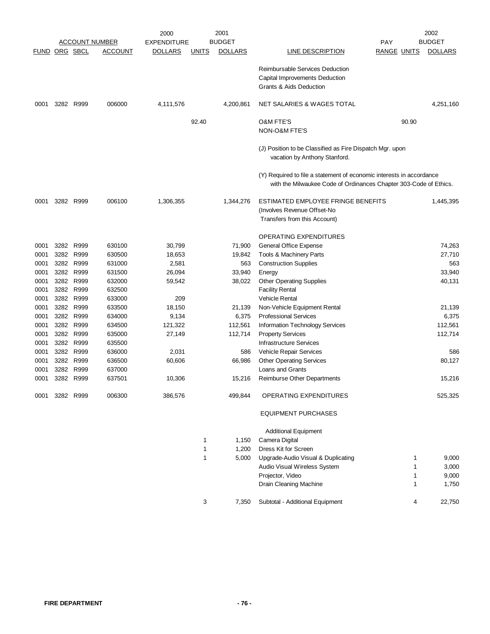|              |      |                        |                       | 2000               |                   | 2001           |                                                                                                                                           |                    | 2002           |
|--------------|------|------------------------|-----------------------|--------------------|-------------------|----------------|-------------------------------------------------------------------------------------------------------------------------------------------|--------------------|----------------|
|              |      |                        | <b>ACCOUNT NUMBER</b> | <b>EXPENDITURE</b> |                   | <b>BUDGET</b>  |                                                                                                                                           | <b>PAY</b>         | <b>BUDGET</b>  |
|              |      | <b>FUND ORG SBCL</b>   | <u>ACCOUNT</u>        | <b>DOLLARS</b>     | <u>UNITS</u>      | <b>DOLLARS</b> | <b>LINE DESCRIPTION</b>                                                                                                                   | <b>RANGE UNITS</b> | <b>DOLLARS</b> |
|              |      |                        |                       |                    |                   |                | Reimbursable Services Deduction                                                                                                           |                    |                |
|              |      |                        |                       |                    |                   |                | Capital Improvements Deduction<br><b>Grants &amp; Aids Deduction</b>                                                                      |                    |                |
| 0001         |      | 3282 R999              | 006000                | 4,111,576          |                   | 4,200,861      | NET SALARIES & WAGES TOTAL                                                                                                                |                    | 4,251,160      |
|              |      |                        |                       |                    | 92.40             |                | <b>O&amp;M FTE'S</b>                                                                                                                      | 90.90              |                |
|              |      |                        |                       |                    |                   |                | NON-O&M FTE'S                                                                                                                             |                    |                |
|              |      |                        |                       |                    |                   |                | (J) Position to be Classified as Fire Dispatch Mgr. upon<br>vacation by Anthony Stanford.                                                 |                    |                |
|              |      |                        |                       |                    |                   |                | (Y) Required to file a statement of economic interests in accordance<br>with the Milwaukee Code of Ordinances Chapter 303-Code of Ethics. |                    |                |
| 0001         |      | 3282 R999              | 006100                | 1,306,355          |                   | 1,344,276      | ESTIMATED EMPLOYEE FRINGE BENEFITS                                                                                                        |                    | 1,445,395      |
|              |      |                        |                       |                    |                   |                | (Involves Revenue Offset-No                                                                                                               |                    |                |
|              |      |                        |                       |                    |                   |                | Transfers from this Account)                                                                                                              |                    |                |
|              |      |                        |                       |                    |                   |                | OPERATING EXPENDITURES                                                                                                                    |                    |                |
| 0001         |      | 3282 R999              | 630100                | 30,799             |                   | 71,900         | General Office Expense                                                                                                                    |                    | 74,263         |
| 0001<br>0001 |      | 3282 R999<br>3282 R999 | 630500<br>631000      | 18,653<br>2,581    |                   | 19,842<br>563  | Tools & Machinery Parts<br><b>Construction Supplies</b>                                                                                   |                    | 27,710<br>563  |
| 0001         | 3282 | R999                   | 631500                | 26,094             |                   | 33,940         | Energy                                                                                                                                    |                    | 33,940         |
| 0001         |      | 3282 R999              | 632000                | 59,542             |                   | 38,022         | <b>Other Operating Supplies</b>                                                                                                           |                    | 40,131         |
| 0001         |      | 3282 R999              | 632500                |                    |                   |                | <b>Facility Rental</b>                                                                                                                    |                    |                |
| 0001         |      | 3282 R999              | 633000                | 209                |                   |                | <b>Vehicle Rental</b>                                                                                                                     |                    |                |
| 0001         | 3282 | R999                   | 633500                | 18,150             |                   | 21,139         | Non-Vehicle Equipment Rental                                                                                                              |                    | 21,139         |
| 0001         |      | 3282 R999              | 634000                | 9,134              |                   | 6,375          | <b>Professional Services</b>                                                                                                              |                    | 6,375          |
| 0001         |      | 3282 R999              | 634500                | 121,322            |                   | 112,561        | Information Technology Services                                                                                                           |                    | 112,561        |
| 0001         | 3282 | R999                   | 635000                | 27,149             |                   | 112,714        | <b>Property Services</b>                                                                                                                  |                    | 112,714        |
| 0001         |      | 3282 R999              | 635500                |                    |                   |                | <b>Infrastructure Services</b>                                                                                                            |                    |                |
| 0001         |      | 3282 R999              | 636000                | 2,031              |                   | 586            | Vehicle Repair Services                                                                                                                   |                    | 586            |
| 0001         |      | 3282 R999              | 636500                | 60,606             |                   | 66,986         | <b>Other Operating Services</b>                                                                                                           |                    | 80,127         |
| 0001<br>0001 |      | 3282 R999<br>3282 R999 | 637000<br>637501      |                    |                   | 15,216         | Loans and Grants<br>Reimburse Other Departments                                                                                           |                    | 15,216         |
|              |      |                        |                       | 10,306             |                   |                |                                                                                                                                           |                    |                |
| 0001         |      | 3282 R999              | 006300                | 386,576            |                   | 499,844        | OPERATING EXPENDITURES                                                                                                                    |                    | 525,325        |
|              |      |                        |                       |                    |                   |                | <b>EQUIPMENT PURCHASES</b>                                                                                                                |                    |                |
|              |      |                        |                       |                    |                   |                | <b>Additional Equipment</b>                                                                                                               |                    |                |
|              |      |                        |                       |                    | 1<br>$\mathbf{1}$ | 1,150          | Camera Digital<br>Dress Kit for Screen                                                                                                    |                    |                |
|              |      |                        |                       |                    | 1                 | 1,200<br>5,000 | Upgrade-Audio Visual & Duplicating                                                                                                        | 1                  | 9,000          |
|              |      |                        |                       |                    |                   |                | Audio Visual Wireless System                                                                                                              | 1                  | 3,000          |
|              |      |                        |                       |                    |                   |                | Projector, Video                                                                                                                          | 1                  | 9,000          |
|              |      |                        |                       |                    |                   |                | Drain Cleaning Machine                                                                                                                    | 1                  | 1,750          |
|              |      |                        |                       |                    | 3                 | 7,350          | Subtotal - Additional Equipment                                                                                                           | 4                  | 22,750         |
|              |      |                        |                       |                    |                   |                |                                                                                                                                           |                    |                |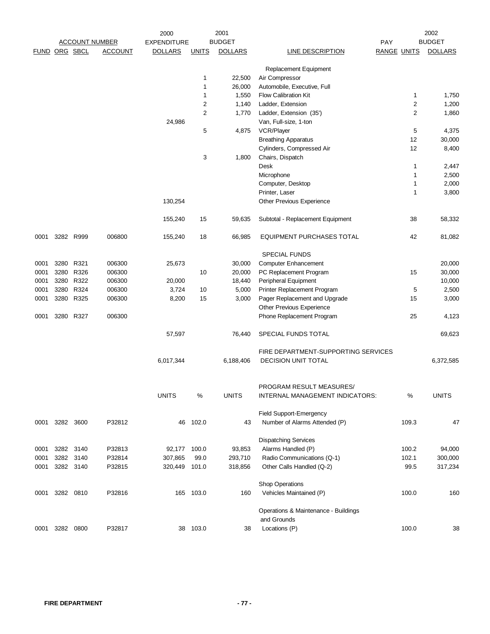|      | <b>ACCOUNT NUMBER</b> |           |                | 2001<br>2000       |                |                | 2002                                    |                    |                |
|------|-----------------------|-----------|----------------|--------------------|----------------|----------------|-----------------------------------------|--------------------|----------------|
|      |                       |           |                | <b>EXPENDITURE</b> |                | <b>BUDGET</b>  |                                         | PAY                | <b>BUDGET</b>  |
|      | FUND ORG SBCL         |           | <b>ACCOUNT</b> | <b>DOLLARS</b>     | <b>UNITS</b>   | <b>DOLLARS</b> | <b>LINE DESCRIPTION</b>                 | <b>RANGE UNITS</b> | <b>DOLLARS</b> |
|      |                       |           |                |                    |                |                |                                         |                    |                |
|      |                       |           |                |                    | 1              | 22,500         | Replacement Equipment<br>Air Compressor |                    |                |
|      |                       |           |                |                    | 1              | 26,000         | Automobile, Executive, Full             |                    |                |
|      |                       |           |                |                    | 1              | 1,550          | <b>Flow Calibration Kit</b>             | $\mathbf{1}$       | 1,750          |
|      |                       |           |                |                    | 2              | 1,140          | Ladder, Extension                       | $\boldsymbol{2}$   | 1,200          |
|      |                       |           |                |                    | $\overline{c}$ | 1,770          | Ladder, Extension (35')                 | $\overline{2}$     | 1,860          |
|      |                       |           |                | 24,986             |                |                | Van, Full-size, 1-ton                   |                    |                |
|      |                       |           |                |                    | 5              | 4,875          | VCR/Player                              | 5                  | 4,375          |
|      |                       |           |                |                    |                |                | <b>Breathing Apparatus</b>              | 12                 | 30,000         |
|      |                       |           |                |                    |                |                | Cylinders, Compressed Air               | 12                 | 8,400          |
|      |                       |           |                |                    | 3              | 1,800          | Chairs, Dispatch                        |                    |                |
|      |                       |           |                |                    |                |                | Desk                                    | $\mathbf{1}$       | 2,447          |
|      |                       |           |                |                    |                |                | Microphone                              | 1                  | 2,500          |
|      |                       |           |                |                    |                |                | Computer, Desktop                       | 1                  | 2,000          |
|      |                       |           |                |                    |                |                | Printer, Laser                          | 1                  | 3,800          |
|      |                       |           |                | 130,254            |                |                | Other Previous Experience               |                    |                |
|      |                       |           |                |                    |                |                |                                         |                    |                |
|      |                       |           |                | 155,240            | 15             | 59,635         | Subtotal - Replacement Equipment        | 38                 | 58,332         |
| 0001 |                       | 3282 R999 | 006800         | 155,240            | 18             | 66,985         | EQUIPMENT PURCHASES TOTAL               | 42                 | 81,082         |
|      |                       |           |                |                    |                |                | <b>SPECIAL FUNDS</b>                    |                    |                |
| 0001 | 3280                  | R321      | 006300         | 25,673             |                | 30,000         | <b>Computer Enhancement</b>             |                    | 20,000         |
| 0001 | 3280                  | R326      | 006300         |                    | 10             | 20,000         | PC Replacement Program                  | 15                 | 30,000         |
| 0001 | 3280                  | R322      | 006300         | 20,000             |                | 18,440         | Peripheral Equipment                    |                    | 10,000         |
| 0001 | 3280                  | R324      | 006300         | 3,724              | 10             | 5,000          | Printer Replacement Program             | 5                  | 2,500          |
| 0001 | 3280                  | R325      | 006300         | 8,200              | 15             | 3,000          | Pager Replacement and Upgrade           | 15                 | 3,000          |
|      |                       |           |                |                    |                |                | Other Previous Experience               |                    |                |
| 0001 |                       | 3280 R327 | 006300         |                    |                |                | Phone Replacement Program               | 25                 | 4,123          |
|      |                       |           |                | 57,597             |                | 76,440         | SPECIAL FUNDS TOTAL                     |                    | 69,623         |
|      |                       |           |                |                    |                |                | FIRE DEPARTMENT-SUPPORTING SERVICES     |                    |                |
|      |                       |           |                | 6,017,344          |                | 6,188,406      | DECISION UNIT TOTAL                     |                    | 6,372,585      |
|      |                       |           |                |                    |                |                | PROGRAM RESULT MEASURES/                |                    |                |
|      |                       |           |                | <b>UNITS</b>       | $\%$           | <b>UNITS</b>   | INTERNAL MANAGEMENT INDICATORS:         | $\%$               | <b>UNITS</b>   |
|      |                       |           |                |                    |                |                |                                         |                    |                |
|      |                       |           |                |                    |                |                | Field Support-Emergency                 |                    |                |
| 0001 | 3282 3600             |           | P32812         | 46                 | 102.0          | 43             | Number of Alarms Attended (P)           | 109.3              | 47             |
|      |                       |           |                |                    |                |                | <b>Dispatching Services</b>             |                    |                |
| 0001 | 3282 3140             |           | P32813         | 92,177             | 100.0          | 93,853         | Alarms Handled (P)                      | 100.2              | 94,000         |
| 0001 | 3282 3140             |           | P32814         | 307,865            | 99.0           | 293,710        | Radio Communications (Q-1)              | 102.1              | 300,000        |
| 0001 | 3282 3140             |           | P32815         | 320,449            | 101.0          | 318,856        | Other Calls Handled (Q-2)               | 99.5               | 317,234        |
|      |                       |           |                |                    |                |                | Shop Operations                         |                    |                |
| 0001 | 3282 0810             |           | P32816         |                    | 165 103.0      | 160            | Vehicles Maintained (P)                 | 100.0              | 160            |
|      |                       |           |                |                    |                |                | Operations & Maintenance - Buildings    |                    |                |
|      |                       |           |                |                    |                |                | and Grounds                             |                    |                |
| 0001 | 3282 0800             |           | P32817         |                    | 38 103.0       | 38             | Locations (P)                           | 100.0              | 38             |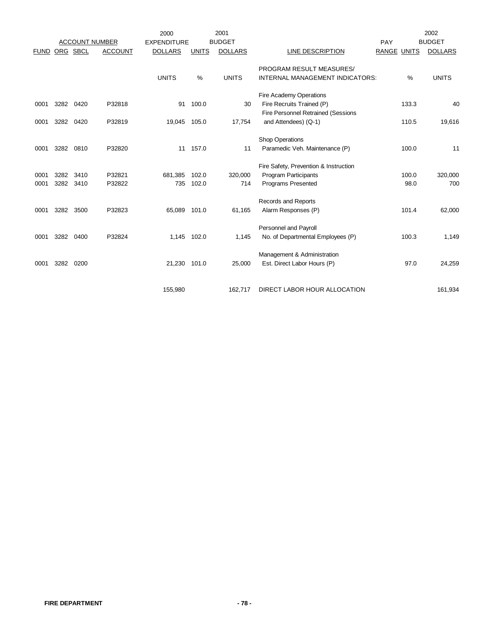|             |      |          |                       | 2000               |              | 2001           |                                           |       |              | 2002           |
|-------------|------|----------|-----------------------|--------------------|--------------|----------------|-------------------------------------------|-------|--------------|----------------|
|             |      |          | <b>ACCOUNT NUMBER</b> | <b>EXPENDITURE</b> |              | <b>BUDGET</b>  |                                           | PAY   |              | <b>BUDGET</b>  |
| <b>FUND</b> |      | ORG SBCL | <b>ACCOUNT</b>        | <b>DOLLARS</b>     | <b>UNITS</b> | <b>DOLLARS</b> | <b>LINE DESCRIPTION</b>                   | RANGE | <b>UNITS</b> | <b>DOLLARS</b> |
|             |      |          |                       |                    |              |                |                                           |       |              |                |
|             |      |          |                       |                    |              |                | PROGRAM RESULT MEASURES/                  |       |              |                |
|             |      |          |                       | <b>UNITS</b>       | $\%$         | <b>UNITS</b>   | INTERNAL MANAGEMENT INDICATORS:           |       | $\%$         | <b>UNITS</b>   |
|             |      |          |                       |                    |              |                | Fire Academy Operations                   |       |              |                |
| 0001        | 3282 | 0420     | P32818                | 91                 | 100.0        | 30             | Fire Recruits Trained (P)                 |       | 133.3        | 40             |
|             |      |          |                       |                    |              |                | <b>Fire Personnel Retrained (Sessions</b> |       |              |                |
| 0001        | 3282 | 0420     | P32819                | 19,045             | 105.0        | 17,754         | and Attendees) (Q-1)                      |       | 110.5        | 19,616         |
|             |      |          |                       |                    |              |                |                                           |       |              |                |
|             |      |          |                       |                    |              |                | <b>Shop Operations</b>                    |       |              |                |
| 0001        | 3282 | 0810     | P32820                | 11                 | 157.0        | 11             | Paramedic Veh. Maintenance (P)            |       | 100.0        | 11             |
|             |      |          |                       |                    |              |                |                                           |       |              |                |
|             |      |          |                       |                    |              |                | Fire Safety, Prevention & Instruction     |       |              |                |
| 0001        | 3282 | 3410     | P32821                | 681,385            | 102.0        | 320,000        | Program Participants                      |       | 100.0        | 320,000        |
| 0001        | 3282 | 3410     | P32822                | 735                | 102.0        | 714            | <b>Programs Presented</b>                 |       | 98.0         | 700            |
|             |      |          |                       |                    |              |                | Records and Reports                       |       |              |                |
| 0001        | 3282 | 3500     | P32823                | 65,089             | 101.0        | 61,165         | Alarm Responses (P)                       |       | 101.4        | 62,000         |
|             |      |          |                       |                    |              |                |                                           |       |              |                |
|             |      |          |                       |                    |              |                | Personnel and Payroll                     |       |              |                |
| 0001        | 3282 | 0400     | P32824                | 1,145              | 102.0        | 1,145          | No. of Departmental Employees (P)         |       | 100.3        | 1,149          |
|             |      |          |                       |                    |              |                |                                           |       |              |                |
|             |      |          |                       |                    |              |                | Management & Administration               |       |              |                |
| 0001        | 3282 | 0200     |                       | 21,230             | 101.0        | 25,000         | Est. Direct Labor Hours (P)               |       | 97.0         | 24,259         |
|             |      |          |                       |                    |              |                |                                           |       |              |                |
|             |      |          |                       | 155,980            |              | 162,717        | DIRECT LABOR HOUR ALLOCATION              |       |              | 161,934        |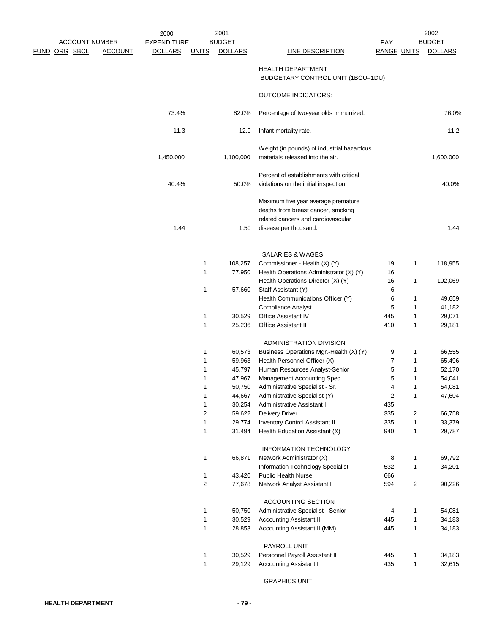|                       |                | 2000               |                | 2001           |                                            |                    |                | 2002           |
|-----------------------|----------------|--------------------|----------------|----------------|--------------------------------------------|--------------------|----------------|----------------|
| <b>ACCOUNT NUMBER</b> |                | <b>EXPENDITURE</b> |                | <b>BUDGET</b>  |                                            | <b>PAY</b>         |                | <b>BUDGET</b>  |
| <b>FUND ORG SBCL</b>  | <b>ACCOUNT</b> | <b>DOLLARS</b>     | <b>UNITS</b>   | <b>DOLLARS</b> | <b>LINE DESCRIPTION</b>                    | <b>RANGE UNITS</b> |                | <b>DOLLARS</b> |
|                       |                |                    |                |                |                                            |                    |                |                |
|                       |                |                    |                |                | <b>HEALTH DEPARTMENT</b>                   |                    |                |                |
|                       |                |                    |                |                | BUDGETARY CONTROL UNIT (1BCU=1DU)          |                    |                |                |
|                       |                |                    |                |                |                                            |                    |                |                |
|                       |                |                    |                |                | <b>OUTCOME INDICATORS:</b>                 |                    |                |                |
|                       |                | 73.4%              |                | 82.0%          | Percentage of two-year olds immunized.     |                    |                | 76.0%          |
|                       |                |                    |                |                |                                            |                    |                |                |
|                       |                | 11.3               |                | 12.0           | Infant mortality rate.                     |                    |                | 11.2           |
|                       |                |                    |                |                |                                            |                    |                |                |
|                       |                |                    |                |                | Weight (in pounds) of industrial hazardous |                    |                |                |
|                       |                | 1,450,000          |                | 1,100,000      | materials released into the air.           |                    |                | 1,600,000      |
|                       |                |                    |                |                |                                            |                    |                |                |
|                       |                |                    |                |                | Percent of establishments with critical    |                    |                |                |
|                       |                | 40.4%              |                | 50.0%          | violations on the initial inspection.      |                    |                | 40.0%          |
|                       |                |                    |                |                |                                            |                    |                |                |
|                       |                |                    |                |                | Maximum five year average premature        |                    |                |                |
|                       |                |                    |                |                | deaths from breast cancer, smoking         |                    |                |                |
|                       |                |                    |                |                | related cancers and cardiovascular         |                    |                |                |
|                       |                | 1.44               |                | 1.50           | disease per thousand.                      |                    |                | 1.44           |
|                       |                |                    |                |                |                                            |                    |                |                |
|                       |                |                    |                |                |                                            |                    |                |                |
|                       |                |                    |                |                | SALARIES & WAGES                           |                    |                |                |
|                       |                |                    | 1              | 108,257        | Commissioner - Health (X) (Y)              | 19                 | $\mathbf{1}$   | 118,955        |
|                       |                |                    | 1              | 77,950         | Health Operations Administrator (X) (Y)    | 16                 |                |                |
|                       |                |                    |                |                | Health Operations Director (X) (Y)         | 16                 | $\mathbf{1}$   | 102,069        |
|                       |                |                    | 1              | 57,660         | Staff Assistant (Y)                        | 6                  |                |                |
|                       |                |                    |                |                | Health Communications Officer (Y)          | 6                  | $\mathbf{1}$   | 49,659         |
|                       |                |                    |                |                | <b>Compliance Analyst</b>                  | 5                  | $\mathbf{1}$   | 41,182         |
|                       |                |                    | 1              | 30,529         | Office Assistant IV                        | 445                | 1              | 29,071         |
|                       |                |                    | 1              | 25,236         | Office Assistant II                        | 410                | 1              | 29,181         |
|                       |                |                    |                |                |                                            |                    |                |                |
|                       |                |                    |                |                | ADMINISTRATION DIVISION                    |                    |                |                |
|                       |                |                    | 1              | 60,573         | Business Operations Mgr.-Health (X) (Y)    | 9                  | 1              | 66,555         |
|                       |                |                    | 1              | 59,963         | Health Personnel Officer (X)               | 7                  | $\mathbf{1}$   | 65,496         |
|                       |                |                    | 1              | 45,797         | Human Resources Analyst-Senior             | 5                  | $\mathbf{1}$   | 52,170         |
|                       |                |                    | 1              | 47,967         | Management Accounting Spec.                | 5                  | 1              | 54,041         |
|                       |                |                    | 1              | 50,750         | Administrative Specialist - Sr.            | 4                  | 1              | 54,081         |
|                       |                |                    | 1              | 44,667         | Administrative Specialist (Y)              | $\overline{c}$     | $\mathbf{1}$   | 47,604         |
|                       |                |                    | 1              | 30,254         | Administrative Assistant I                 | 435                |                |                |
|                       |                |                    | 2              | 59,622         | <b>Delivery Driver</b>                     | 335                | $\overline{c}$ | 66,758         |
|                       |                |                    | $\mathbf 1$    | 29,774         | Inventory Control Assistant II             | 335                | $\mathbf{1}$   | 33,379         |
|                       |                |                    | 1              | 31,494         | Health Education Assistant (X)             | 940                | $\mathbf{1}$   | 29,787         |
|                       |                |                    |                |                |                                            |                    |                |                |
|                       |                |                    |                |                | <b>INFORMATION TECHNOLOGY</b>              |                    |                |                |
|                       |                |                    | 1              | 66,871         | Network Administrator (X)                  | 8                  | 1              | 69,792         |
|                       |                |                    |                |                | Information Technology Specialist          | 532                | $\mathbf{1}$   | 34,201         |
|                       |                |                    | 1              | 43,420         | <b>Public Health Nurse</b>                 | 666                |                |                |
|                       |                |                    | $\overline{c}$ | 77,678         | Network Analyst Assistant I                | 594                | $\overline{c}$ | 90,226         |
|                       |                |                    |                |                |                                            |                    |                |                |
|                       |                |                    |                |                | ACCOUNTING SECTION                         |                    |                |                |
|                       |                |                    | 1              | 50,750         | Administrative Specialist - Senior         | 4                  | $\mathbf{1}$   | 54,081         |
|                       |                |                    | $\mathbf 1$    | 30,529         | <b>Accounting Assistant II</b>             | 445                | $\mathbf{1}$   | 34,183         |
|                       |                |                    | $\mathbf 1$    | 28,853         | Accounting Assistant II (MM)               | 445                | $\mathbf{1}$   | 34,183         |
|                       |                |                    |                |                |                                            |                    |                |                |
|                       |                |                    |                |                | PAYROLL UNIT                               |                    |                |                |
|                       |                |                    | 1              | 30,529         | Personnel Payroll Assistant II             | 445                | $\mathbf{1}$   | 34,183         |
|                       |                |                    | $\mathbf 1$    | 29,129         | <b>Accounting Assistant I</b>              | 435                | $\mathbf{1}$   | 32,615         |
|                       |                |                    |                |                |                                            |                    |                |                |

GRAPHICS UNIT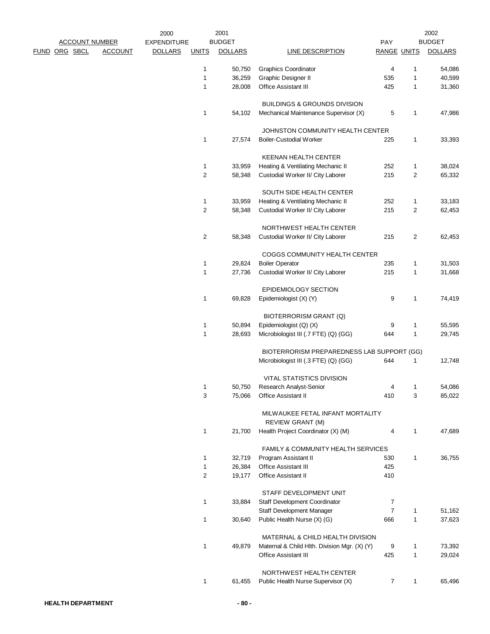|  |                       |                | 2000               |                | 2001           |                                                             |                    |              | 2002           |
|--|-----------------------|----------------|--------------------|----------------|----------------|-------------------------------------------------------------|--------------------|--------------|----------------|
|  | <b>ACCOUNT NUMBER</b> |                | <b>EXPENDITURE</b> |                | <b>BUDGET</b>  |                                                             | PAY                |              | <b>BUDGET</b>  |
|  | FUND ORG SBCL         | <b>ACCOUNT</b> | <b>DOLLARS</b>     | <b>UNITS</b>   | <b>DOLLARS</b> | <b>LINE DESCRIPTION</b>                                     | <b>RANGE UNITS</b> |              | <b>DOLLARS</b> |
|  |                       |                |                    | 1              | 50,750         | <b>Graphics Coordinator</b>                                 | 4                  | 1            | 54,086         |
|  |                       |                |                    | 1              | 36,259         | Graphic Designer II                                         | 535                | 1            | 40,599         |
|  |                       |                |                    | 1              | 28,008         | Office Assistant III                                        | 425                | 1            | 31,360         |
|  |                       |                |                    |                |                | <b>BUILDINGS &amp; GROUNDS DIVISION</b>                     |                    |              |                |
|  |                       |                |                    | 1              | 54,102         | Mechanical Maintenance Supervisor (X)                       | 5                  | 1            | 47,986         |
|  |                       |                |                    |                |                | JOHNSTON COMMUNITY HEALTH CENTER                            |                    |              |                |
|  |                       |                |                    | 1              | 27,574         | <b>Boiler-Custodial Worker</b>                              | 225                | 1            | 33,393         |
|  |                       |                |                    |                |                | <b>KEENAN HEALTH CENTER</b>                                 |                    |              |                |
|  |                       |                |                    | 1              | 33,959         | Heating & Ventilating Mechanic II                           | 252                | 1            | 38,024         |
|  |                       |                |                    | $\overline{c}$ | 58,348         | Custodial Worker II/ City Laborer                           | 215                | 2            | 65,332         |
|  |                       |                |                    |                |                | SOUTH SIDE HEALTH CENTER                                    |                    |              |                |
|  |                       |                |                    | 1              | 33,959         | Heating & Ventilating Mechanic II                           | 252                | 1            | 33,183         |
|  |                       |                |                    | 2              | 58,348         | Custodial Worker II/ City Laborer                           | 215                | 2            | 62,453         |
|  |                       |                |                    |                |                | NORTHWEST HEALTH CENTER                                     |                    |              |                |
|  |                       |                |                    | $\overline{2}$ | 58,348         | Custodial Worker II/ City Laborer                           | 215                | 2            | 62,453         |
|  |                       |                |                    |                |                | COGGS COMMUNITY HEALTH CENTER                               |                    |              |                |
|  |                       |                |                    | 1              | 29,824         | <b>Boiler Operator</b>                                      | 235                | 1            | 31,503         |
|  |                       |                |                    | 1              | 27,736         | Custodial Worker II/ City Laborer                           | 215                | $\mathbf{1}$ | 31,668         |
|  |                       |                |                    |                |                | EPIDEMIOLOGY SECTION                                        |                    |              |                |
|  |                       |                |                    | 1              | 69,828         | Epidemiologist (X) (Y)                                      | 9                  | 1            | 74,419         |
|  |                       |                |                    |                |                | BIOTERRORISM GRANT (Q)                                      |                    |              |                |
|  |                       |                |                    | 1              | 50,894         | Epidemiologist (Q) (X)                                      | 9                  | 1            | 55,595         |
|  |                       |                |                    | 1              | 28,693         | Microbiologist III (.7 FTE) (Q) (GG)                        | 644                | 1            | 29,745         |
|  |                       |                |                    |                |                | BIOTERRORISM PREPAREDNESS LAB SUPPORT (GG)                  |                    |              |                |
|  |                       |                |                    |                |                | Microbiologist III (.3 FTE) (Q) (GG)                        | 644                | 1            | 12,748         |
|  |                       |                |                    |                |                | VITAL STATISTICS DIVISION                                   |                    |              |                |
|  |                       |                |                    | 1              | 50,750         | Research Analyst-Senior                                     | Δ                  | 1            | 54,086         |
|  |                       |                |                    | 3              | 75,066         | Office Assistant II                                         | 410                | 3            | 85,022         |
|  |                       |                |                    |                |                | MILWAUKEE FETAL INFANT MORTALITY<br><b>REVIEW GRANT (M)</b> |                    |              |                |
|  |                       |                |                    | 1              | 21,700         | Health Project Coordinator (X) (M)                          | 4                  | 1            | 47,689         |
|  |                       |                |                    |                |                | FAMILY & COMMUNITY HEALTH SERVICES                          |                    |              |                |
|  |                       |                |                    | 1              | 32,719         | Program Assistant II                                        | 530                | $\mathbf{1}$ | 36,755         |
|  |                       |                |                    | 1              | 26,384         | <b>Office Assistant III</b>                                 | 425                |              |                |
|  |                       |                |                    | $\overline{c}$ | 19,177         | Office Assistant II                                         | 410                |              |                |
|  |                       |                |                    |                |                | STAFF DEVELOPMENT UNIT                                      |                    |              |                |
|  |                       |                |                    | 1              | 33,884         | Staff Development Coordinator                               | 7                  |              |                |
|  |                       |                |                    |                |                | Staff Development Manager                                   | $\overline{7}$     | 1            | 51,162         |
|  |                       |                |                    | 1              | 30,640         | Public Health Nurse (X) (G)                                 | 666                | 1            | 37,623         |
|  |                       |                |                    |                |                | MATERNAL & CHILD HEALTH DIVISION                            |                    |              |                |
|  |                       |                |                    | 1              | 49,879         | Maternal & Child Hlth. Division Mgr. (X) (Y)                | 9                  | 1            | 73,392         |
|  |                       |                |                    |                |                | <b>Office Assistant III</b>                                 | 425                | 1            | 29,024         |
|  |                       |                |                    |                |                | NORTHWEST HEALTH CENTER                                     |                    |              |                |
|  |                       |                |                    | 1              | 61,455         | Public Health Nurse Supervisor (X)                          | 7                  | $\mathbf{1}$ | 65,496         |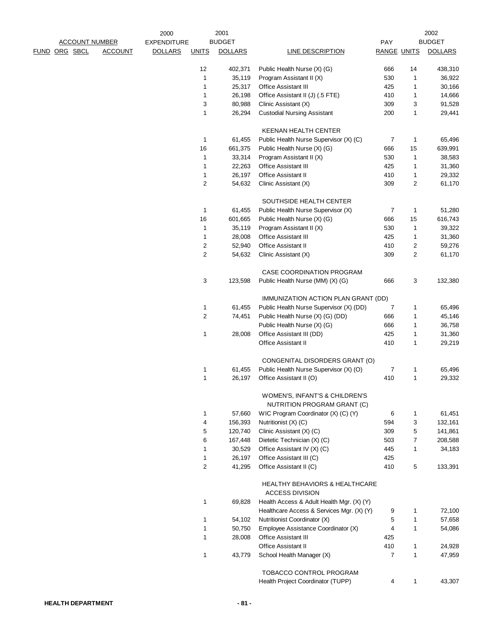|             |                            | 2000               |                         | 2001           |                                                                     |                    |              | 2002           |
|-------------|----------------------------|--------------------|-------------------------|----------------|---------------------------------------------------------------------|--------------------|--------------|----------------|
|             | <b>ACCOUNT NUMBER</b>      | <b>EXPENDITURE</b> |                         | <b>BUDGET</b>  |                                                                     | PAY                |              | <b>BUDGET</b>  |
| <u>FUND</u> | ORG SBCL<br><b>ACCOUNT</b> | <b>DOLLARS</b>     | <b>UNITS</b>            | <b>DOLLARS</b> | <b>LINE DESCRIPTION</b>                                             | <b>RANGE UNITS</b> |              | <b>DOLLARS</b> |
|             |                            |                    | 12                      | 402,371        | Public Health Nurse (X) (G)                                         | 666                | 14           | 438,310        |
|             |                            |                    | 1                       | 35,119         | Program Assistant II (X)                                            | 530                | 1            | 36,922         |
|             |                            |                    | 1                       | 25,317         | Office Assistant III                                                | 425                | 1            | 30,166         |
|             |                            |                    | 1                       | 26,198         | Office Assistant II (J) (.5 FTE)                                    | 410                | 1            | 14,666         |
|             |                            |                    | 3                       | 80,988         | Clinic Assistant (X)                                                | 309                | 3            | 91,528         |
|             |                            |                    | 1                       | 26,294         | <b>Custodial Nursing Assistant</b>                                  | 200                | 1            | 29,441         |
|             |                            |                    |                         |                | <b>KEENAN HEALTH CENTER</b>                                         |                    |              |                |
|             |                            |                    | 1                       | 61,455         | Public Health Nurse Supervisor (X) (C)                              | 7                  | $\mathbf{1}$ | 65,496         |
|             |                            |                    | 16                      | 661,375        | Public Health Nurse (X) (G)                                         | 666                | 15           | 639,991        |
|             |                            |                    | 1                       | 33,314         | Program Assistant II (X)                                            | 530                | $\mathbf{1}$ | 38,583         |
|             |                            |                    | 1                       | 22,263         | Office Assistant III                                                | 425                | 1            | 31,360         |
|             |                            |                    | 1                       | 26,197         | Office Assistant II                                                 | 410                | $\mathbf{1}$ | 29,332         |
|             |                            |                    | $\overline{c}$          | 54,632         | Clinic Assistant (X)                                                | 309                | 2            | 61,170         |
|             |                            |                    |                         |                | SOUTHSIDE HEALTH CENTER                                             |                    |              |                |
|             |                            |                    | 1                       | 61,455         | Public Health Nurse Supervisor (X)                                  | 7                  | 1            | 51,280         |
|             |                            |                    | 16                      | 601,665        | Public Health Nurse (X) (G)                                         | 666                | 15           | 616,743        |
|             |                            |                    | $\mathbf{1}$            | 35,119         | Program Assistant II (X)                                            | 530                | $\mathbf{1}$ | 39,322         |
|             |                            |                    | 1                       | 28,008         | Office Assistant III                                                | 425                | $\mathbf{1}$ | 31,360         |
|             |                            |                    | $\overline{\mathbf{c}}$ | 52,940         | Office Assistant II                                                 | 410                | 2            | 59,276         |
|             |                            |                    | 2                       | 54,632         | Clinic Assistant (X)                                                | 309                | 2            | 61,170         |
|             |                            |                    |                         |                | CASE COORDINATION PROGRAM                                           |                    |              |                |
|             |                            |                    | 3                       | 123,598        | Public Health Nurse (MM) (X) (G)                                    | 666                | 3            | 132,380        |
|             |                            |                    |                         |                | IMMUNIZATION ACTION PLAN GRANT (DD)                                 |                    |              |                |
|             |                            |                    | 1                       | 61,455         | Public Health Nurse Supervisor (X) (DD)                             | $\overline{7}$     | 1            | 65,496         |
|             |                            |                    | $\overline{c}$          | 74,451         | Public Health Nurse (X) (G) (DD)                                    | 666                | 1            | 45,146         |
|             |                            |                    |                         |                | Public Health Nurse (X) (G)                                         | 666                | 1            | 36,758         |
|             |                            |                    | 1                       | 28,008         | Office Assistant III (DD)                                           | 425                | $\mathbf{1}$ | 31,360         |
|             |                            |                    |                         |                | <b>Office Assistant II</b>                                          | 410                | 1            | 29,219         |
|             |                            |                    |                         |                | CONGENITAL DISORDERS GRANT (O)                                      |                    |              |                |
|             |                            |                    | 1                       | 61,455         | Public Health Nurse Supervisor (X) (O)                              | 7                  | 1            | 65,496         |
|             |                            |                    | 1                       | 26,197         | Office Assistant II (O)                                             | 410                | $\mathbf{1}$ | 29,332         |
|             |                            |                    |                         |                | WOMEN'S, INFANT'S & CHILDREN'S                                      |                    |              |                |
|             |                            |                    |                         |                | NUTRITION PROGRAM GRANT (C)                                         |                    |              |                |
|             |                            |                    | 1                       | 57,660         | WIC Program Coordinator (X) (C) (Y)                                 | 6                  | 1            | 61,451         |
|             |                            |                    | 4                       | 156,393        | Nutritionist (X) (C)                                                | 594                | 3            | 132,161        |
|             |                            |                    | 5                       | 120,740        | Clinic Assistant (X) (C)                                            | 309                | 5            | 141,861        |
|             |                            |                    | 6                       | 167,448        | Dietetic Technician (X) (C)                                         | 503                | 7            | 208,588        |
|             |                            |                    | 1                       | 30,529         | Office Assistant IV (X) (C)                                         | 445                | 1            | 34,183         |
|             |                            |                    | $\mathbf 1$             | 26,197         | Office Assistant III (C)                                            | 425                |              |                |
|             |                            |                    | 2                       | 41,295         | Office Assistant II (C)                                             | 410                | 5            | 133,391        |
|             |                            |                    |                         |                | <b>HEALTHY BEHAVIORS &amp; HEALTHCARE</b><br><b>ACCESS DIVISION</b> |                    |              |                |
|             |                            |                    | 1                       | 69,828         | Health Access & Adult Health Mgr. (X) (Y)                           |                    |              |                |
|             |                            |                    |                         |                | Healthcare Access & Services Mgr. (X) (Y)                           | 9                  | 1            | 72,100         |
|             |                            |                    | 1                       | 54,102         | Nutritionist Coordinator (X)                                        | 5                  | 1            | 57,658         |
|             |                            |                    | 1                       | 50,750         | Employee Assistance Coordinator (X)                                 | 4                  | $\mathbf{1}$ | 54,086         |
|             |                            |                    | 1                       | 28,008         | <b>Office Assistant III</b>                                         | 425                |              |                |
|             |                            |                    |                         |                | <b>Office Assistant II</b>                                          | 410                | 1            | 24,928         |
|             |                            |                    | 1                       | 43,779         | School Health Manager (X)                                           | 7                  | $\mathbf{1}$ | 47,959         |
|             |                            |                    |                         |                | TOBACCO CONTROL PROGRAM                                             |                    |              |                |
|             |                            |                    |                         |                | Health Project Coordinator (TUPP)                                   | 4                  | 1            | 43,307         |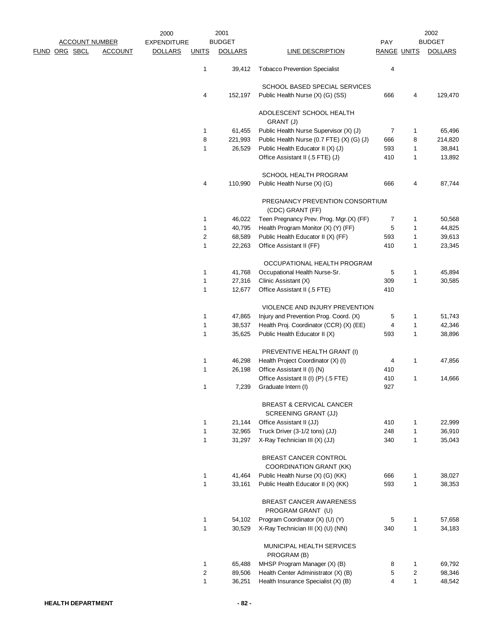|                       |                | 2000               |              | 2001           |                                                                    |                    |                | 2002           |
|-----------------------|----------------|--------------------|--------------|----------------|--------------------------------------------------------------------|--------------------|----------------|----------------|
| <b>ACCOUNT NUMBER</b> |                | <b>EXPENDITURE</b> |              | <b>BUDGET</b>  |                                                                    | PAY                |                | <b>BUDGET</b>  |
| <u>FUND ORG SBCL</u>  | <b>ACCOUNT</b> | <b>DOLLARS</b>     | <b>UNITS</b> | <b>DOLLARS</b> | <b>LINE DESCRIPTION</b>                                            | <b>RANGE UNITS</b> |                | <b>DOLLARS</b> |
|                       |                |                    | 1            | 39,412         | <b>Tobacco Prevention Specialist</b>                               | 4                  |                |                |
|                       |                |                    |              |                | SCHOOL BASED SPECIAL SERVICES                                      |                    |                |                |
|                       |                |                    | 4            | 152,197        | Public Health Nurse (X) (G) (SS)                                   | 666                | 4              | 129,470        |
|                       |                |                    |              |                | ADOLESCENT SCHOOL HEALTH<br>GRANT (J)                              |                    |                |                |
|                       |                |                    | 1            | 61,455         | Public Health Nurse Supervisor (X) (J)                             | 7                  | $\mathbf{1}$   | 65,496         |
|                       |                |                    | 8            | 221,993        | Public Health Nurse (0.7 FTE) (X) (G) (J)                          | 666                | 8              | 214,820        |
|                       |                |                    | 1            | 26,529         | Public Health Educator II (X) (J)                                  | 593                | $\mathbf{1}$   | 38,841         |
|                       |                |                    |              |                | Office Assistant II (.5 FTE) (J)                                   | 410                | 1              | 13,892         |
|                       |                |                    |              |                | SCHOOL HEALTH PROGRAM                                              |                    |                |                |
|                       |                |                    | 4            | 110,990        | Public Health Nurse (X) (G)                                        | 666                | 4              | 87,744         |
|                       |                |                    |              |                | PREGNANCY PREVENTION CONSORTIUM<br>(CDC) GRANT (FF)                |                    |                |                |
|                       |                |                    | 1            | 46,022         | Teen Pregnancy Prev. Prog. Mgr.(X) (FF)                            | 7                  | 1              | 50,568         |
|                       |                |                    | 1            | 40,795         | Health Program Monitor (X) (Y) (FF)                                | 5                  | $\mathbf{1}$   | 44,825         |
|                       |                |                    | 2            | 68,589         | Public Health Educator II (X) (FF)                                 | 593                | $\mathbf{1}$   | 39,613         |
|                       |                |                    | 1            | 22,263         | Office Assistant II (FF)                                           | 410                | $\mathbf{1}$   | 23,345         |
|                       |                |                    |              |                | OCCUPATIONAL HEALTH PROGRAM                                        |                    |                |                |
|                       |                |                    | 1            | 41,768         | Occupational Health Nurse-Sr.                                      | 5                  | 1              | 45,894         |
|                       |                |                    | 1            | 27,316         | Clinic Assistant (X)                                               | 309                | $\mathbf{1}$   | 30,585         |
|                       |                |                    | 1            | 12,677         | Office Assistant II (.5 FTE)                                       | 410                |                |                |
|                       |                |                    |              |                | VIOLENCE AND INJURY PREVENTION                                     |                    |                |                |
|                       |                |                    | 1            | 47,865         | Injury and Prevention Prog. Coord. (X)                             | 5                  | 1              | 51,743         |
|                       |                |                    | 1            | 38,537         | Health Proj. Coordinator (CCR) (X) (EE)                            | 4                  | 1              | 42,346         |
|                       |                |                    | 1            | 35,625         | Public Health Educator II (X)                                      | 593                | $\mathbf{1}$   | 38,896         |
|                       |                |                    |              |                | PREVENTIVE HEALTH GRANT (I)                                        |                    |                |                |
|                       |                |                    | 1            | 46,298         | Health Project Coordinator (X) (I)                                 | 4                  | $\mathbf{1}$   | 47,856         |
|                       |                |                    | 1            | 26,198         | Office Assistant II (I) (N)                                        | 410                |                |                |
|                       |                |                    |              |                | Office Assistant II (I) (P) (.5 FTE)                               | 410                | 1              | 14,666         |
|                       |                |                    | 1            | 7,239          | Graduate Intern (I)                                                | 927                |                |                |
|                       |                |                    |              |                | <b>BREAST &amp; CERVICAL CANCER</b><br><b>SCREENING GRANT (JJ)</b> |                    |                |                |
|                       |                |                    | 1            | 21,144         | Office Assistant II (JJ)                                           | 410                | $\mathbf{1}$   | 22,999         |
|                       |                |                    | 1            | 32,965         | Truck Driver (3-1/2 tons) (JJ)                                     | 248                | $\mathbf{1}$   | 36,910         |
|                       |                |                    | $\mathbf{1}$ | 31,297         | X-Ray Technician III (X) (JJ)                                      | 340                | $\mathbf{1}$   | 35,043         |
|                       |                |                    |              |                | BREAST CANCER CONTROL                                              |                    |                |                |
|                       |                |                    |              |                | <b>COORDINATION GRANT (KK)</b>                                     |                    |                |                |
|                       |                |                    | 1            | 41,464         | Public Health Nurse (X) (G) (KK)                                   | 666                | $\mathbf{1}$   | 38,027         |
|                       |                |                    | $\mathbf{1}$ | 33,161         | Public Health Educator II (X) (KK)                                 | 593                | $\mathbf{1}$   | 38,353         |
|                       |                |                    |              |                | <b>BREAST CANCER AWARENESS</b><br>PROGRAM GRANT (U)                |                    |                |                |
|                       |                |                    | 1            | 54,102         | Program Coordinator (X) (U) (Y)                                    | 5                  | $\mathbf{1}$   | 57,658         |
|                       |                |                    | 1            | 30,529         | X-Ray Technician III (X) (U) (NN)                                  | 340                | $\mathbf{1}$   | 34,183         |
|                       |                |                    |              |                | MUNICIPAL HEALTH SERVICES<br>PROGRAM (B)                           |                    |                |                |
|                       |                |                    | 1            | 65,488         | MHSP Program Manager (X) (B)                                       | 8                  | $\mathbf{1}$   | 69,792         |
|                       |                |                    | 2            | 89,506         | Health Center Administrator (X) (B)                                | 5                  | $\overline{2}$ | 98,346         |
|                       |                |                    | $\mathbf{1}$ | 36,251         | Health Insurance Specialist (X) (B)                                | $\overline{4}$     | $\mathbf{1}$   | 48,542         |
|                       |                |                    |              |                |                                                                    |                    |                |                |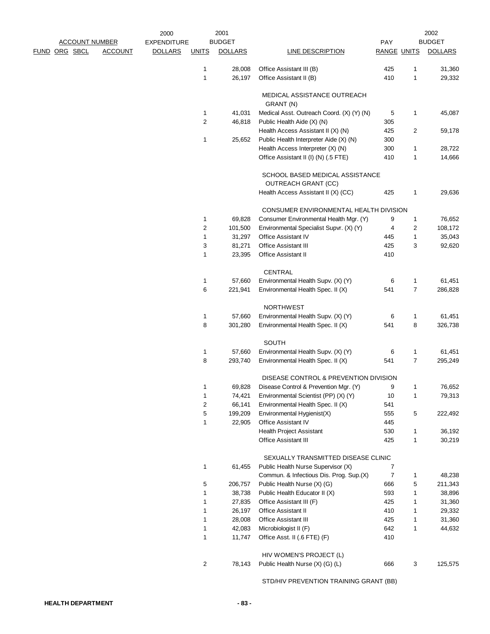|  |                       |                | 2000               |              | 2001           |                                                                  |                    |                | 2002           |
|--|-----------------------|----------------|--------------------|--------------|----------------|------------------------------------------------------------------|--------------------|----------------|----------------|
|  | <b>ACCOUNT NUMBER</b> |                | <b>EXPENDITURE</b> |              | <b>BUDGET</b>  |                                                                  | PAY                |                | <b>BUDGET</b>  |
|  | FUND ORG SBCL         | <b>ACCOUNT</b> | <b>DOLLARS</b>     | <b>UNITS</b> | <b>DOLLARS</b> | <b>LINE DESCRIPTION</b>                                          | <b>RANGE UNITS</b> |                | <b>DOLLARS</b> |
|  |                       |                |                    | 1            | 28,008         | Office Assistant III (B)                                         | 425                | 1              | 31,360         |
|  |                       |                |                    | 1            | 26,197         | Office Assistant II (B)                                          | 410                | $\mathbf{1}$   | 29,332         |
|  |                       |                |                    |              |                | MEDICAL ASSISTANCE OUTREACH<br>GRANT (N)                         |                    |                |                |
|  |                       |                |                    | 1            | 41,031         | Medical Asst. Outreach Coord. (X) (Y) (N)                        | 5                  | 1              | 45,087         |
|  |                       |                |                    | 2            | 46,818         | Public Health Aide (X) (N)<br>Health Access Assistant II (X) (N) | 305<br>425         | 2              | 59,178         |
|  |                       |                |                    | 1            | 25,652         | Public Health Interpreter Aide (X) (N)                           | 300                |                |                |
|  |                       |                |                    |              |                | Health Access Interpreter (X) (N)                                | 300                | 1              | 28,722         |
|  |                       |                |                    |              |                | Office Assistant II (I) (N) (.5 FTE)                             | 410                | 1              | 14,666         |
|  |                       |                |                    |              |                | SCHOOL BASED MEDICAL ASSISTANCE<br><b>OUTREACH GRANT (CC)</b>    |                    |                |                |
|  |                       |                |                    |              |                | Health Access Assistant II (X) (CC)                              | 425                | 1              | 29,636         |
|  |                       |                |                    |              |                | CONSUMER ENVIRONMENTAL HEALTH DIVISION                           |                    |                |                |
|  |                       |                |                    | 1            | 69,828         | Consumer Environmental Health Mgr. (Y)                           | 9                  | 1              | 76,652         |
|  |                       |                |                    | 2            | 101,500        | Environmental Specialist Supvr. (X) (Y)                          | 4                  | 2              | 108,172        |
|  |                       |                |                    | 1            | 31,297         | <b>Office Assistant IV</b>                                       | 445                | 1              | 35,043         |
|  |                       |                |                    | 3            | 81,271         | <b>Office Assistant III</b>                                      | 425                | 3              | 92,620         |
|  |                       |                |                    | 1            | 23,395         | Office Assistant II                                              | 410                |                |                |
|  |                       |                |                    |              |                | CENTRAL                                                          |                    |                |                |
|  |                       |                |                    | 1            | 57,660         | Environmental Health Supv. (X) (Y)                               | 6                  | 1              | 61,451         |
|  |                       |                |                    | 6            | 221,941        | Environmental Health Spec. II (X)                                | 541                | $\overline{7}$ | 286,828        |
|  |                       |                |                    |              |                | <b>NORTHWEST</b>                                                 |                    |                |                |
|  |                       |                |                    | 1            | 57,660         | Environmental Health Supv. (X) (Y)                               | 6                  | 1              | 61,451         |
|  |                       |                |                    | 8            | 301,280        | Environmental Health Spec. II (X)                                | 541                | 8              | 326,738        |
|  |                       |                |                    |              |                | <b>SOUTH</b>                                                     |                    |                |                |
|  |                       |                |                    | 1            | 57,660         | Environmental Health Supv. (X) (Y)                               | 6                  | 1              | 61,451         |
|  |                       |                |                    | 8            | 293,740        | Environmental Health Spec. II (X)                                | 541                | $\overline{7}$ | 295,249        |
|  |                       |                |                    |              |                | DISEASE CONTROL & PREVENTION DIVISION                            |                    |                |                |
|  |                       |                |                    | 1            | 69,828         | Disease Control & Prevention Mgr. (Y)                            | 9                  | 1              | 76,652         |
|  |                       |                |                    | 1            | 74,421         | Environmental Scientist (PP) (X) (Y)                             | 10                 | $\mathbf{1}$   | 79,313         |
|  |                       |                |                    | 2            | 66,141         | Environmental Health Spec. II (X)                                | 541                |                |                |
|  |                       |                |                    | 5            | 199,209        | Environmental Hygienist(X)                                       | 555                | 5              | 222,492        |
|  |                       |                |                    | 1            | 22,905         | Office Assistant IV                                              | 445                |                |                |
|  |                       |                |                    |              |                | Health Project Assistant                                         | 530                | $\mathbf{1}$   | 36,192         |
|  |                       |                |                    |              |                | <b>Office Assistant III</b>                                      | 425                | 1              | 30,219         |
|  |                       |                |                    |              |                | SEXUALLY TRANSMITTED DISEASE CLINIC                              |                    |                |                |
|  |                       |                |                    | 1            | 61,455         | Public Health Nurse Supervisor (X)                               | 7                  |                |                |
|  |                       |                |                    |              |                | Commun. & Infectious Dis. Prog. Sup.(X)                          | $\overline{7}$     | $\mathbf{1}$   | 48,238         |
|  |                       |                |                    | 5            | 206,757        | Public Health Nurse (X) (G)                                      | 666                | 5              | 211,343        |
|  |                       |                |                    | 1            | 38,738         | Public Health Educator II (X)                                    | 593                | 1              | 38,896         |
|  |                       |                |                    | 1            | 27,835         | Office Assistant III (F)                                         | 425                | 1              | 31,360         |
|  |                       |                |                    | 1            | 26,197         | <b>Office Assistant II</b>                                       | 410                | 1              | 29,332         |
|  |                       |                |                    | 1            | 28,008         | <b>Office Assistant III</b>                                      | 425                | 1              | 31,360         |
|  |                       |                |                    | 1            | 42,083         | Microbiologist II (F)                                            | 642                | 1              | 44,632         |
|  |                       |                |                    | 1            | 11,747         | Office Asst. II (.6 FTE) (F)                                     | 410                |                |                |
|  |                       |                |                    |              |                | HIV WOMEN'S PROJECT (L)                                          |                    |                |                |
|  |                       |                |                    | 2            | 78,143         | Public Health Nurse (X) (G) (L)                                  | 666                | 3              | 125,575        |
|  |                       |                |                    |              |                |                                                                  |                    |                |                |

STD/HIV PREVENTION TRAINING GRANT (BB)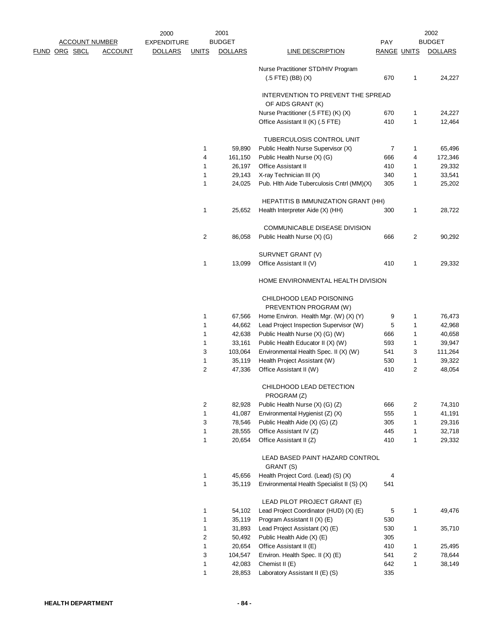|                       |                | 2000               |              | 2001           |                                                             |                    |   | 2002           |
|-----------------------|----------------|--------------------|--------------|----------------|-------------------------------------------------------------|--------------------|---|----------------|
| <u>ACCOUNT NUMBER</u> |                | <b>EXPENDITURE</b> |              | <b>BUDGET</b>  |                                                             | <b>PAY</b>         |   | <b>BUDGET</b>  |
| <u>RG SBCL</u>        | <b>ACCOUNT</b> | <b>DOLLARS</b>     | <b>UNITS</b> | <b>DOLLARS</b> | <b>LINE DESCRIPTION</b>                                     | <b>RANGE UNITS</b> |   | <b>DOLLARS</b> |
|                       |                |                    |              |                | Nurse Practitioner STD/HIV Program<br>$(.5$ FTE) (BB) $(X)$ | 670                | 1 | 24,227         |
|                       |                |                    |              |                | INTERVENTION TO PREVENT THE SPREAD<br>OF AIDS GRANT (K)     |                    |   |                |
|                       |                |                    |              |                | Nurse Practitioner (.5 FTE) (K) (X)                         | 670                | 1 | 24,227         |
|                       |                |                    |              |                | Office Assistant II (K) (.5 FTE)                            | 410                | 1 | 12,464         |
|                       |                |                    |              |                | TUBERCULOSIS CONTROL UNIT                                   |                    |   |                |
|                       |                |                    | 1            | 59,890         | Public Health Nurse Supervisor (X)                          | 7                  | 1 | 65,496         |
|                       |                |                    | 4            | 161,150        | Public Health Nurse (X) (G)                                 | 666                | 4 | 172,346        |
|                       |                |                    | 1            | 26,197         | Office Assistant II                                         | 410                | 1 | 29,332         |
|                       |                |                    | 1            | 29,143         | X-ray Technician III (X)                                    | 340                | 1 | 33,541         |
|                       |                |                    | $\mathbf{1}$ | 24,025         | Pub. Hlth Aide Tuberculosis Cntrl (MM)(X)                   | 305                | 1 | 25,202         |
|                       |                |                    |              |                | HEPATITIS B IMMUNIZATION GRANT (HH)                         |                    |   |                |
|                       |                |                    | 1            | 25,652         | Health Interpreter Aide (X) (HH)                            | 300                | 1 | 28,722         |
|                       |                |                    |              |                | <b>COMMUNICABLE DISEASE DIVISION</b>                        |                    |   |                |
|                       |                |                    | 2            | 86,058         | Public Health Nurse (X) (G)                                 | 666                | 2 | 90,292         |
|                       |                |                    |              |                | SURVNET GRANT (V)                                           |                    |   |                |
|                       |                |                    | 1            | 13,099         | Office Assistant II (V)                                     | 410                | 1 | 29,332         |
|                       |                |                    |              |                | HOME ENVIRONMENTAL HEALTH DIVISION                          |                    |   |                |
|                       |                |                    |              |                | CHILDHOOD LEAD POISONING                                    |                    |   |                |
|                       |                |                    |              |                | PREVENTION PROGRAM (W)                                      |                    |   |                |
|                       |                |                    | 1            | 67,566         | Home Environ. Health Mgr. (W) (X) (Y)                       | 9                  | 1 | 76,473         |
|                       |                |                    | 1            | 44,662         | Lead Project Inspection Supervisor (W)                      | 5                  | 1 | 42,968         |
|                       |                |                    | 1            | 42,638         | Public Health Nurse (X) (G) (W)                             | 666                | 1 | 40,658         |
|                       |                |                    | 1            | 33,161         | Public Health Educator II (X) (W)                           | 593                | 1 | 39,947         |
|                       |                |                    | 3            | 103,064        | Environmental Health Spec. II (X) (W)                       | 541                | 3 | 111,264        |
|                       |                |                    | 1            | 35,119         | Health Project Assistant (W)                                | 530                | 1 | 39,322         |
|                       |                |                    | 2            | 47,336         | Office Assistant II (W)                                     | 410                | 2 | 48,054         |
|                       |                |                    |              |                | CHILDHOOD LEAD DETECTION<br>PROGRAM (Z)                     |                    |   |                |
|                       |                |                    | 2            | 82,928         | Public Health Nurse (X) (G) (Z)                             | 666                | 2 | 74,310         |
|                       |                |                    | $\mathbf{1}$ | 41,087         | Environmental Hygienist (Z) (X)                             | 555                | 1 | 41,191         |
|                       |                |                    | 3            | 78,546         | Public Health Aide (X) (G) (Z)                              | 305                | 1 | 29,316         |
|                       |                |                    | 1            | 28,555         | Office Assistant IV (Z)                                     | 445                | 1 | 32,718         |
|                       |                |                    | 1            | 20,654         | Office Assistant II (Z)                                     | 410                | 1 | 29,332         |
|                       |                |                    |              |                | LEAD BASED PAINT HAZARD CONTROL<br>GRANT (S)                |                    |   |                |
|                       |                |                    | 1            | 45,656         | Health Project Cord. (Lead) (S) (X)                         | 4                  |   |                |
|                       |                |                    | 1            | 35,119         | Environmental Health Specialist II (S) (X)                  | 541                |   |                |
|                       |                |                    |              |                | LEAD PILOT PROJECT GRANT (E)                                |                    |   |                |
|                       |                |                    | 1            | 54,102         | Lead Project Coordinator (HUD) (X) (E)                      | 5                  | 1 | 49,476         |
|                       |                |                    | 1            | 35,119         | Program Assistant II (X) (E)                                | 530                |   |                |
|                       |                |                    | 1            | 31,893         | Lead Project Assistant (X) (E)                              | 530                | 1 | 35,710         |
|                       |                |                    | 2            | 50,492         | Public Health Aide (X) (E)                                  | 305                |   |                |
|                       |                |                    | 1            | 20,654         | Office Assistant II (E)                                     | 410                | 1 | 25,495         |
|                       |                |                    | 3            | 104,547        | Environ. Health Spec. II (X) (E)                            | 541                | 2 | 78,644         |
|                       |                |                    | 1            | 42,083         | Chemist II (E)                                              | 642                | 1 | 38,149         |
|                       |                |                    | 1            | 28,853         | Laboratory Assistant II (E) (S)                             | 335                |   |                |

FUND ORG SBCL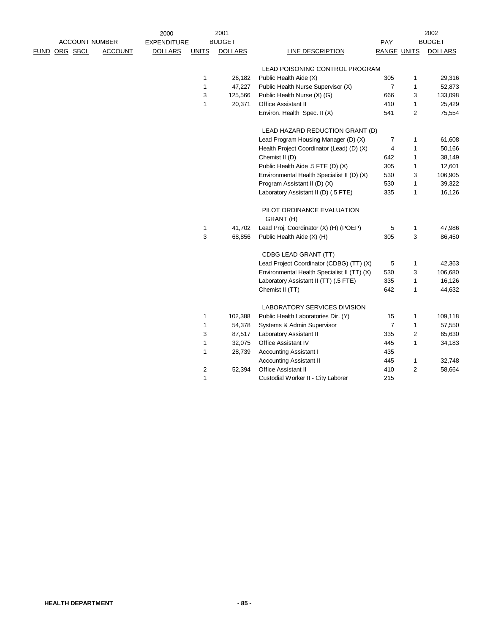|                       |                | 2000               |                | 2001           |                                             |                    |                | 2002           |
|-----------------------|----------------|--------------------|----------------|----------------|---------------------------------------------|--------------------|----------------|----------------|
| <b>ACCOUNT NUMBER</b> |                | <b>EXPENDITURE</b> |                | <b>BUDGET</b>  |                                             | <b>PAY</b>         |                | <b>BUDGET</b>  |
| FUND ORG SBCL         | <b>ACCOUNT</b> | <b>DOLLARS</b>     | <b>UNITS</b>   | <b>DOLLARS</b> | <b>LINE DESCRIPTION</b>                     | <b>RANGE UNITS</b> |                | <b>DOLLARS</b> |
|                       |                |                    |                |                | LEAD POISONING CONTROL PROGRAM              |                    |                |                |
|                       |                |                    | 1              | 26,182         | Public Health Aide (X)                      | 305                | 1              | 29,316         |
|                       |                |                    | 1              | 47,227         | Public Health Nurse Supervisor (X)          | 7                  | $\mathbf{1}$   | 52,873         |
|                       |                |                    | 3              | 125,566        | Public Health Nurse (X) (G)                 | 666                | 3              | 133,098        |
|                       |                |                    | $\mathbf{1}$   | 20,371         | Office Assistant II                         | 410                | $\mathbf{1}$   | 25,429         |
|                       |                |                    |                |                | Environ. Health Spec. II (X)                | 541                | $\overline{c}$ | 75,554         |
|                       |                |                    |                |                | LEAD HAZARD REDUCTION GRANT (D)             |                    |                |                |
|                       |                |                    |                |                | Lead Program Housing Manager (D) (X)        | $\overline{7}$     | 1              | 61,608         |
|                       |                |                    |                |                | Health Project Coordinator (Lead) (D) (X)   | 4                  | 1              | 50,166         |
|                       |                |                    |                |                | Chemist II (D)                              | 642                | $\mathbf{1}$   | 38,149         |
|                       |                |                    |                |                | Public Health Aide .5 FTE (D) (X)           | 305                | 1              | 12,601         |
|                       |                |                    |                |                | Environmental Health Specialist II (D) (X)  | 530                | 3              | 106,905        |
|                       |                |                    |                |                | Program Assistant II (D) (X)                | 530                | $\mathbf{1}$   | 39,322         |
|                       |                |                    |                |                | Laboratory Assistant II (D) (.5 FTE)        | 335                | $\mathbf{1}$   | 16,126         |
|                       |                |                    |                |                | PILOT ORDINANCE EVALUATION<br>GRANT (H)     |                    |                |                |
|                       |                |                    | 1              | 41,702         | Lead Proj. Coordinator (X) (H) (POEP)       | 5                  | $\mathbf{1}$   | 47,986         |
|                       |                |                    | 3              | 68,856         | Public Health Aide (X) (H)                  | 305                | 3              | 86,450         |
|                       |                |                    |                |                | CDBG LEAD GRANT (TT)                        |                    |                |                |
|                       |                |                    |                |                | Lead Project Coordinator (CDBG) (TT) (X)    | 5                  | 1              | 42,363         |
|                       |                |                    |                |                | Environmental Health Specialist II (TT) (X) | 530                | 3              | 106,680        |
|                       |                |                    |                |                | Laboratory Assistant II (TT) (.5 FTE)       | 335                | 1              | 16,126         |
|                       |                |                    |                |                | Chemist II (TT)                             | 642                | $\mathbf{1}$   | 44,632         |
|                       |                |                    |                |                | LABORATORY SERVICES DIVISION                |                    |                |                |
|                       |                |                    | 1              | 102,388        | Public Health Laboratories Dir. (Y)         | 15                 | $\mathbf{1}$   | 109,118        |
|                       |                |                    | 1              | 54,378         | Systems & Admin Supervisor                  | $\overline{7}$     | $\mathbf{1}$   | 57,550         |
|                       |                |                    | 3              | 87,517         | Laboratory Assistant II                     | 335                | $\overline{c}$ | 65,630         |
|                       |                |                    | 1              | 32,075         | Office Assistant IV                         | 445                | $\mathbf{1}$   | 34,183         |
|                       |                |                    | 1              | 28,739         | <b>Accounting Assistant I</b>               | 435                |                |                |
|                       |                |                    |                |                | <b>Accounting Assistant II</b>              | 445                | $\mathbf{1}$   | 32,748         |
|                       |                |                    | $\overline{c}$ | 52,394         | <b>Office Assistant II</b>                  | 410                | $\overline{2}$ | 58,664         |
|                       |                |                    | $\mathbf{1}$   |                | Custodial Worker II - City Laborer          | 215                |                |                |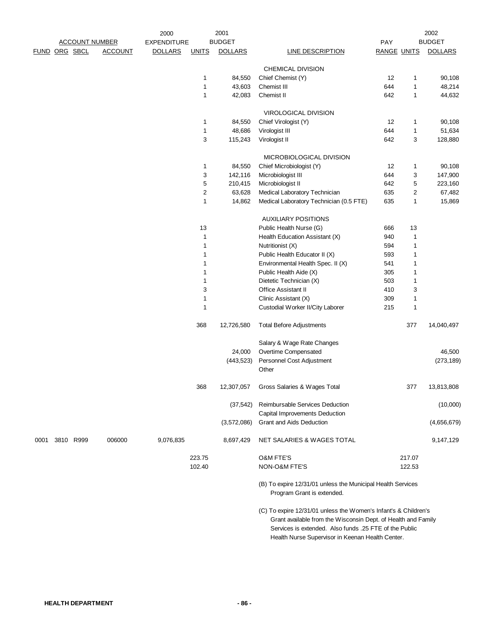| 2001<br>2000<br><b>ACCOUNT NUMBER</b> |  |           | 2002           |                    |                |                |                                                                                                                                  |                    |                |                |
|---------------------------------------|--|-----------|----------------|--------------------|----------------|----------------|----------------------------------------------------------------------------------------------------------------------------------|--------------------|----------------|----------------|
|                                       |  |           |                | <b>EXPENDITURE</b> |                | <b>BUDGET</b>  |                                                                                                                                  | PAY                |                | <b>BUDGET</b>  |
| FUND ORG SBCL                         |  |           | <b>ACCOUNT</b> | <b>DOLLARS</b>     | <b>UNITS</b>   | <b>DOLLARS</b> | <b>LINE DESCRIPTION</b>                                                                                                          | <b>RANGE UNITS</b> |                | <b>DOLLARS</b> |
|                                       |  |           |                |                    |                |                | CHEMICAL DIVISION                                                                                                                |                    |                |                |
|                                       |  |           |                |                    | 1              | 84,550         | Chief Chemist (Y)                                                                                                                | 12                 | 1              | 90,108         |
|                                       |  |           |                |                    | $\mathbf 1$    | 43,603         | Chemist III                                                                                                                      | 644                | $\mathbf{1}$   | 48,214         |
|                                       |  |           |                |                    | 1              | 42,083         | Chemist II                                                                                                                       | 642                | $\mathbf{1}$   | 44,632         |
|                                       |  |           |                |                    |                |                |                                                                                                                                  |                    |                |                |
|                                       |  |           |                |                    | 1              | 84,550         | VIROLOGICAL DIVISION<br>Chief Virologist (Y)                                                                                     | 12                 | 1              | 90,108         |
|                                       |  |           |                |                    | 1              | 48,686         |                                                                                                                                  | 644                | $\mathbf{1}$   | 51,634         |
|                                       |  |           |                |                    | 3              | 115,243        | Virologist III<br>Virologist II                                                                                                  | 642                | 3              | 128,880        |
|                                       |  |           |                |                    |                |                |                                                                                                                                  |                    |                |                |
|                                       |  |           |                |                    |                |                | MICROBIOLOGICAL DIVISION                                                                                                         |                    |                |                |
|                                       |  |           |                |                    | 1              | 84,550         | Chief Microbiologist (Y)                                                                                                         | 12                 | 1              | 90,108         |
|                                       |  |           |                |                    | 3              | 142,116        | Microbiologist III                                                                                                               | 644                | 3              | 147,900        |
|                                       |  |           |                |                    | 5              | 210,415        | Microbiologist II                                                                                                                | 642                | 5              | 223,160        |
|                                       |  |           |                |                    | $\overline{c}$ | 63,628         | Medical Laboratory Technician                                                                                                    | 635                | $\overline{2}$ | 67,482         |
|                                       |  |           |                |                    | $\mathbf{1}$   | 14,862         | Medical Laboratory Technician (0.5 FTE)                                                                                          | 635                | $\mathbf{1}$   | 15,869         |
|                                       |  |           |                |                    |                |                | <b>AUXILIARY POSITIONS</b>                                                                                                       |                    |                |                |
|                                       |  |           |                |                    | 13             |                | Public Health Nurse (G)                                                                                                          | 666                | 13             |                |
|                                       |  |           |                |                    | 1              |                | Health Education Assistant (X)                                                                                                   | 940                | $\mathbf{1}$   |                |
|                                       |  |           |                |                    | 1              |                | Nutritionist (X)                                                                                                                 | 594                | $\mathbf{1}$   |                |
|                                       |  |           |                |                    | $\mathbf 1$    |                | Public Health Educator II (X)                                                                                                    | 593                | $\mathbf{1}$   |                |
|                                       |  |           |                |                    | 1              |                | Environmental Health Spec. II (X)                                                                                                | 541                | 1              |                |
|                                       |  |           |                |                    | 1              |                | Public Health Aide (X)                                                                                                           | 305                | 1              |                |
|                                       |  |           |                |                    | $\mathbf 1$    |                | Dietetic Technician (X)                                                                                                          | 503                | 1              |                |
|                                       |  |           |                |                    | 3              |                | Office Assistant II                                                                                                              | 410                | 3              |                |
|                                       |  |           |                |                    | 1              |                | Clinic Assistant (X)                                                                                                             | 309                | $\mathbf{1}$   |                |
|                                       |  |           |                |                    | $\mathbf 1$    |                | Custodial Worker II/City Laborer                                                                                                 | 215                | $\mathbf 1$    |                |
|                                       |  |           |                |                    | 368            | 12,726,580     | <b>Total Before Adjustments</b>                                                                                                  |                    | 377            | 14,040,497     |
|                                       |  |           |                |                    |                |                | Salary & Wage Rate Changes                                                                                                       |                    |                |                |
|                                       |  |           |                |                    |                | 24,000         | Overtime Compensated                                                                                                             |                    |                | 46,500         |
|                                       |  |           |                |                    |                | (443, 523)     | Personnel Cost Adjustment                                                                                                        |                    |                | (273, 189)     |
|                                       |  |           |                |                    |                |                | Other                                                                                                                            |                    |                |                |
|                                       |  |           |                |                    | 368            | 12,307,057     | Gross Salaries & Wages Total                                                                                                     |                    | 377            | 13,813,808     |
|                                       |  |           |                |                    |                | (37, 542)      | Reimbursable Services Deduction                                                                                                  |                    |                | (10,000)       |
|                                       |  |           |                |                    |                | (3,572,086)    | Capital Improvements Deduction<br>Grant and Aids Deduction                                                                       |                    |                | (4,656,679)    |
|                                       |  |           |                |                    |                |                |                                                                                                                                  |                    |                |                |
| 0001                                  |  | 3810 R999 | 006000         | 9,076,835          |                | 8,697,429      | NET SALARIES & WAGES TOTAL                                                                                                       |                    |                | 9,147,129      |
|                                       |  |           |                |                    | 223.75         |                | O&M FTE'S                                                                                                                        |                    | 217.07         |                |
|                                       |  |           |                |                    | 102.40         |                | NON-O&M FTE'S                                                                                                                    |                    | 122.53         |                |
|                                       |  |           |                |                    |                |                | (B) To expire 12/31/01 unless the Municipal Health Services<br>Program Grant is extended.                                        |                    |                |                |
|                                       |  |           |                |                    |                |                | (C) To expire 12/31/01 unless the Women's Infant's & Children's<br>Grant available from the Wisconsin Dept. of Health and Family |                    |                |                |

 Services is extended. Also funds .25 FTE of the Public Health Nurse Supervisor in Keenan Health Center.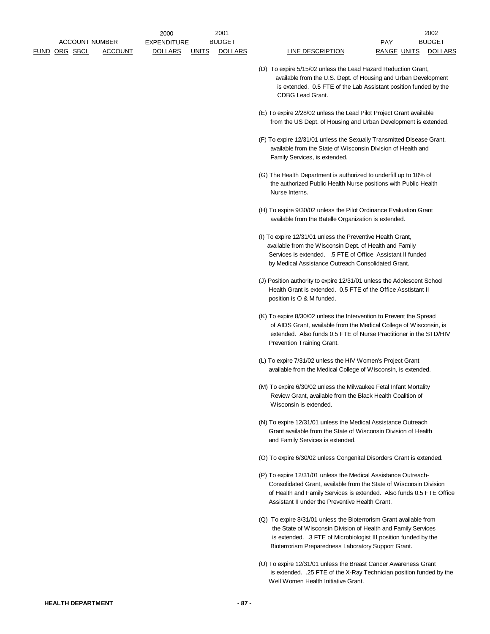- (D) To expire 5/15/02 unless the Lead Hazard Reduction Grant, available from the U.S. Dept. of Housing and Urban Development is extended. 0.5 FTE of the Lab Assistant position funded by the CDBG Lead Grant.
- (E) To expire 2/28/02 unless the Lead Pilot Project Grant available from the US Dept. of Housing and Urban Development is extended.
- (F) To expire 12/31/01 unless the Sexually Transmitted Disease Grant, available from the State of Wisconsin Division of Health and Family Services, is extended.
- (G) The Health Department is authorized to underfill up to 10% of the authorized Public Health Nurse positions with Public Health Nurse Interns.
- (H) To expire 9/30/02 unless the Pilot Ordinance Evaluation Grant available from the Batelle Organization is extended.
- (I) To expire 12/31/01 unless the Preventive Health Grant, available from the Wisconsin Dept. of Health and Family Services is extended. .5 FTE of Office Assistant II funded by Medical Assistance Outreach Consolidated Grant.
- (J) Position authority to expire 12/31/01 unless the Adolescent School Health Grant is extended. 0.5 FTE of the Office Asstistant II position is O & M funded.
- (K) To expire 8/30/02 unless the Intervention to Prevent the Spread of AIDS Grant, available from the Medical College of Wisconsin, is extended. Also funds 0.5 FTE of Nurse Practitioner in the STD/HIV Prevention Training Grant.
- (L) To expire 7/31/02 unless the HIV Women's Project Grant available from the Medical College of Wisconsin, is extended.
- (M) To expire 6/30/02 unless the Milwaukee Fetal Infant Mortality Review Grant, available from the Black Health Coalition of Wisconsin is extended.
- (N) To expire 12/31/01 unless the Medical Assistance Outreach Grant available from the State of Wisconsin Division of Health and Family Services is extended.
- (O) To expire 6/30/02 unless Congenital Disorders Grant is extended.
- (P) To expire 12/31/01 unless the Medical Assistance Outreach- Consolidated Grant, available from the State of Wisconsin Division of Health and Family Services is extended. Also funds 0.5 FTE Office Assistant II under the Preventive Health Grant.
- (Q) To expire 8/31/01 unless the Bioterrorism Grant available from the State of Wisconsin Division of Health and Family Services is extended. .3 FTE of Microbiologist III position funded by the Bioterrorism Preparedness Laboratory Support Grant.
- (U) To expire 12/31/01 unless the Breast Cancer Awareness Grant is extended. .25 FTE of the X-Ray Technician position funded by the Well Women Health Initiative Grant.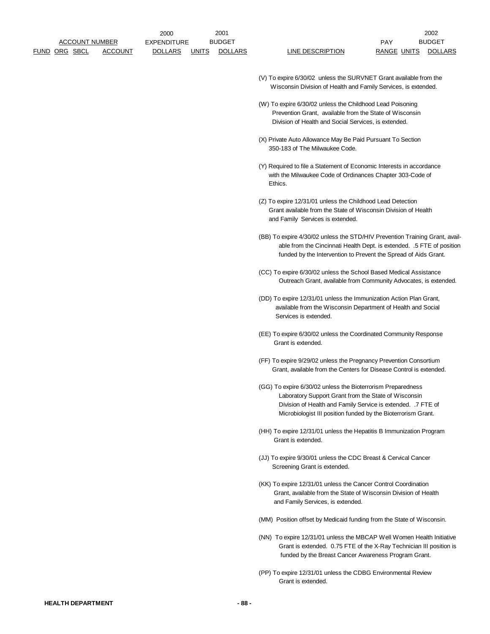- (V) To expire 6/30/02 unless the SURVNET Grant available from the Wisconsin Division of Health and Family Services, is extended.
- (W) To expire 6/30/02 unless the Childhood Lead Poisoning Prevention Grant, available from the State of Wisconsin Division of Health and Social Services, is extended.
- (X) Private Auto Allowance May Be Paid Pursuant To Section 350-183 of The Milwaukee Code.
- (Y) Required to file a Statement of Economic Interests in accordance with the Milwaukee Code of Ordinances Chapter 303-Code of Ethics.
- (Z) To expire 12/31/01 unless the Childhood Lead Detection Grant available from the State of Wisconsin Division of Health and Family Services is extended.
- (BB) To expire 4/30/02 unless the STD/HIV Prevention Training Grant, avail able from the Cincinnati Health Dept. is extended. .5 FTE of position funded by the Intervention to Prevent the Spread of Aids Grant.
- (CC) To expire 6/30/02 unless the School Based Medical Assistance Outreach Grant, available from Community Advocates, is extended.
- (DD) To expire 12/31/01 unless the Immunization Action Plan Grant, available from the Wisconsin Department of Health and Social Services is extended.
- (EE) To expire 6/30/02 unless the Coordinated Community Response Grant is extended.
- (FF) To expire 9/29/02 unless the Pregnancy Prevention Consortium Grant, available from the Centers for Disease Control is extended.
- (GG) To expire 6/30/02 unless the Bioterrorism Preparedness Laboratory Support Grant from the State of Wisconsin Division of Health and Family Service is extended. .7 FTE of Microbiologist III position funded by the Bioterrorism Grant.
- (HH) To expire 12/31/01 unless the Hepatitis B Immunization Program Grant is extended.
- (JJ) To expire 9/30/01 unless the CDC Breast & Cervical Cancer Screening Grant is extended.
- (KK) To expire 12/31/01 unless the Cancer Control Coordination Grant, available from the State of Wisconsin Division of Health and Family Services, is extended.
- (MM) Position offset by Medicaid funding from the State of Wisconsin.
- (NN) To expire 12/31/01 unless the MBCAP Well Women Health Initiative Grant is extended. 0.75 FTE of the X-Ray Technician III position is funded by the Breast Cancer Awareness Program Grant.
- (PP) To expire 12/31/01 unless the CDBG Environmental Review Grant is extended.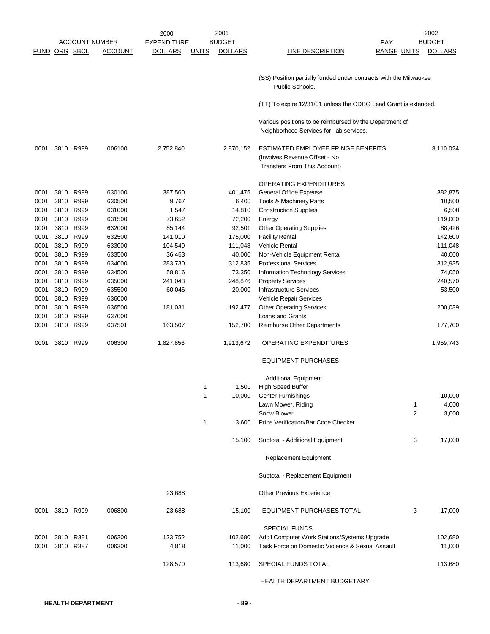|                      |      |           |                       | 2000               | 2001                           |                                                                                                     |                    | 2002           |
|----------------------|------|-----------|-----------------------|--------------------|--------------------------------|-----------------------------------------------------------------------------------------------------|--------------------|----------------|
|                      |      |           | <u>ACCOUNT NUMBER</u> | <b>EXPENDITURE</b> | <b>BUDGET</b>                  |                                                                                                     | PAY                | <b>BUDGET</b>  |
| <b>FUND ORG SBCL</b> |      |           | <u>ACCOUNT</u>        | <b>DOLLARS</b>     | <b>DOLLARS</b><br><u>UNITS</u> | <b>LINE DESCRIPTION</b>                                                                             | <b>RANGE UNITS</b> | <b>DOLLARS</b> |
|                      |      |           |                       |                    |                                | (SS) Position partially funded under contracts with the Milwaukee<br>Public Schools.                |                    |                |
|                      |      |           |                       |                    |                                | (TT) To expire 12/31/01 unless the CDBG Lead Grant is extended.                                     |                    |                |
|                      |      |           |                       |                    |                                |                                                                                                     |                    |                |
|                      |      |           |                       |                    |                                | Various positions to be reimbursed by the Department of<br>Neighborhood Services for lab services.  |                    |                |
| 0001                 | 3810 | R999      | 006100                | 2,752,840          | 2,870,152                      | ESTIMATED EMPLOYEE FRINGE BENEFITS<br>(Involves Revenue Offset - No<br>Transfers From This Account) |                    | 3,110,024      |
|                      |      |           |                       |                    |                                | OPERATING EXPENDITURES                                                                              |                    |                |
| 0001                 | 3810 | R999      | 630100                | 387,560            | 401,475                        | General Office Expense                                                                              |                    | 382,875        |
| 0001                 | 3810 | R999      | 630500                | 9,767              | 6,400                          | Tools & Machinery Parts                                                                             |                    | 10,500         |
| 0001                 |      | 3810 R999 | 631000                | 1,547              | 14,810                         | <b>Construction Supplies</b>                                                                        |                    | 6,500          |
| 0001                 | 3810 | R999      | 631500                | 73,652             | 72,200                         | Energy                                                                                              |                    | 119,000        |
| 0001                 | 3810 | R999      | 632000                | 85,144             | 92,501                         | <b>Other Operating Supplies</b>                                                                     |                    | 88,426         |
| 0001                 |      | 3810 R999 | 632500                | 141,010            | 175,000                        | <b>Facility Rental</b>                                                                              |                    | 142,600        |
| 0001                 | 3810 | R999      | 633000                | 104,540            | 111,048                        | Vehicle Rental                                                                                      |                    | 111,048        |
| 0001                 | 3810 | R999      | 633500                | 36,463             | 40,000                         | Non-Vehicle Equipment Rental                                                                        |                    | 40,000         |
| 0001                 |      | 3810 R999 | 634000                | 283,730            | 312,835                        | <b>Professional Services</b>                                                                        |                    | 312,935        |
| 0001                 | 3810 | R999      | 634500                | 58,816             | 73,350                         | Information Technology Services                                                                     |                    | 74,050         |
| 0001                 | 3810 | R999      | 635000                | 241,043            | 248,876                        | <b>Property Services</b>                                                                            |                    | 240,570        |
| 0001                 | 3810 | R999      | 635500                | 60,046             | 20,000                         | <b>Infrastructure Services</b>                                                                      |                    | 53,500         |
| 0001                 | 3810 | R999      | 636000                |                    |                                | Vehicle Repair Services                                                                             |                    |                |
| 0001                 | 3810 | R999      | 636500                | 181,031            | 192,477                        | <b>Other Operating Services</b>                                                                     |                    | 200,039        |
| 0001                 | 3810 | R999      | 637000                |                    |                                | Loans and Grants                                                                                    |                    |                |
| 0001                 |      | 3810 R999 | 637501                | 163,507            | 152,700                        | Reimburse Other Departments                                                                         |                    | 177,700        |
| 0001                 |      | 3810 R999 | 006300                | 1,827,856          | 1,913,672                      | OPERATING EXPENDITURES                                                                              |                    | 1,959,743      |
|                      |      |           |                       |                    |                                | <b>EQUIPMENT PURCHASES</b>                                                                          |                    |                |
|                      |      |           |                       |                    |                                | <b>Additional Equipment</b>                                                                         |                    |                |
|                      |      |           |                       |                    | 1,500<br>1                     | High Speed Buffer                                                                                   |                    |                |
|                      |      |           |                       |                    | 1<br>10,000                    | <b>Center Furnishings</b>                                                                           |                    | 10,000         |
|                      |      |           |                       |                    |                                | Lawn Mower, Riding                                                                                  | 1                  | 4,000          |
|                      |      |           |                       |                    |                                | Snow Blower                                                                                         | $\overline{2}$     | 3,000          |
|                      |      |           |                       |                    | 1<br>3,600                     | Price Verification/Bar Code Checker                                                                 |                    |                |
|                      |      |           |                       |                    | 15,100                         | Subtotal - Additional Equipment                                                                     | 3                  | 17,000         |
|                      |      |           |                       |                    |                                | Replacement Equipment                                                                               |                    |                |
|                      |      |           |                       |                    |                                | Subtotal - Replacement Equipment                                                                    |                    |                |
|                      |      |           |                       | 23,688             |                                | Other Previous Experience                                                                           |                    |                |
| 0001                 |      | 3810 R999 | 006800                | 23,688             | 15,100                         | EQUIPMENT PURCHASES TOTAL                                                                           | 3                  | 17,000         |
|                      |      |           |                       |                    |                                | <b>SPECIAL FUNDS</b>                                                                                |                    |                |
| 0001                 |      | 3810 R381 | 006300                | 123,752            | 102,680                        | Add'I Computer Work Stations/Systems Upgrade                                                        |                    | 102,680        |
| 0001                 |      | 3810 R387 | 006300                | 4,818              | 11,000                         | Task Force on Domestic Violence & Sexual Assault                                                    |                    | 11,000         |
|                      |      |           |                       | 128,570            | 113,680                        | SPECIAL FUNDS TOTAL                                                                                 |                    | 113,680        |
|                      |      |           |                       |                    |                                | HEALTH DEPARTMENT BUDGETARY                                                                         |                    |                |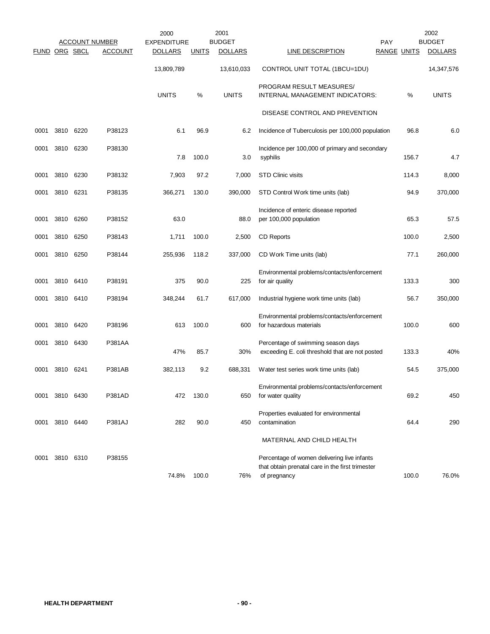|               |           |      | <b>ACCOUNT NUMBER</b> | 2000<br><b>EXPENDITURE</b> |              | 2001<br><b>BUDGET</b> |                                                                                                                 | <b>PAY</b>         | 2002<br><b>BUDGET</b> |
|---------------|-----------|------|-----------------------|----------------------------|--------------|-----------------------|-----------------------------------------------------------------------------------------------------------------|--------------------|-----------------------|
| FUND ORG SBCL |           |      | <b>ACCOUNT</b>        | <b>DOLLARS</b>             | <b>UNITS</b> | <b>DOLLARS</b>        | LINE DESCRIPTION                                                                                                | <b>RANGE UNITS</b> | <b>DOLLARS</b>        |
|               |           |      |                       | 13,809,789                 |              | 13,610,033            | CONTROL UNIT TOTAL (1BCU=1DU)                                                                                   |                    | 14,347,576            |
|               |           |      |                       | <b>UNITS</b>               | %            | <b>UNITS</b>          | PROGRAM RESULT MEASURES/<br>INTERNAL MANAGEMENT INDICATORS:                                                     | ℅                  | <b>UNITS</b>          |
|               |           |      |                       |                            |              |                       | DISEASE CONTROL AND PREVENTION                                                                                  |                    |                       |
| 0001          | 3810      | 6220 | P38123                | 6.1                        | 96.9         | 6.2                   | Incidence of Tuberculosis per 100,000 population                                                                | 96.8               | 6.0                   |
| 0001          | 3810      | 6230 | P38130                | 7.8                        | 100.0        | 3.0                   | Incidence per 100,000 of primary and secondary<br>syphilis                                                      | 156.7              | 4.7                   |
| 0001          | 3810      | 6230 | P38132                | 7,903                      | 97.2         | 7,000                 | <b>STD Clinic visits</b>                                                                                        | 114.3              | 8,000                 |
| 0001          | 3810      | 6231 | P38135                | 366,271                    | 130.0        | 390,000               | STD Control Work time units (lab)                                                                               | 94.9               | 370,000               |
| 0001          | 3810      | 6260 | P38152                | 63.0                       |              | 88.0                  | Incidence of enteric disease reported<br>per 100,000 population                                                 | 65.3               | 57.5                  |
| 0001          | 3810      | 6250 | P38143                | 1,711                      | 100.0        | 2,500                 | <b>CD Reports</b>                                                                                               | 100.0              | 2,500                 |
| 0001          | 3810      | 6250 | P38144                | 255,936                    | 118.2        | 337,000               | CD Work Time units (lab)                                                                                        | 77.1               | 260,000               |
| 0001          | 3810      | 6410 | P38191                | 375                        | 90.0         | 225                   | Environmental problems/contacts/enforcement<br>for air quality                                                  | 133.3              | 300                   |
| 0001          | 3810      | 6410 | P38194                | 348,244                    | 61.7         | 617,000               | Industrial hygiene work time units (lab)                                                                        | 56.7               | 350,000               |
| 0001          | 3810      | 6420 | P38196                | 613                        | 100.0        | 600                   | Environmental problems/contacts/enforcement<br>for hazardous materials                                          | 100.0              | 600                   |
| 0001          | 3810      | 6430 | <b>P381AA</b>         | 47%                        | 85.7         | 30%                   | Percentage of swimming season days<br>exceeding E. coli threshold that are not posted                           | 133.3              | 40%                   |
| 0001          | 3810      | 6241 | <b>P381AB</b>         | 382,113                    | 9.2          | 688,331               | Water test series work time units (lab)                                                                         | 54.5               | 375,000               |
| 0001          | 3810 6430 |      | P381AD                | 472                        | 130.0        | 650                   | Environmental problems/contacts/enforcement<br>for water quality                                                | 69.2               | 450                   |
| 0001          | 3810 6440 |      | <b>P381AJ</b>         | 282                        | 90.0         | 450                   | Properties evaluated for environmental<br>contamination                                                         | 64.4               | 290                   |
|               |           |      |                       |                            |              |                       | MATERNAL AND CHILD HEALTH                                                                                       |                    |                       |
| 0001          | 3810 6310 |      | P38155                | 74.8%                      | 100.0        | 76%                   | Percentage of women delivering live infants<br>that obtain prenatal care in the first trimester<br>of pregnancy | 100.0              | 76.0%                 |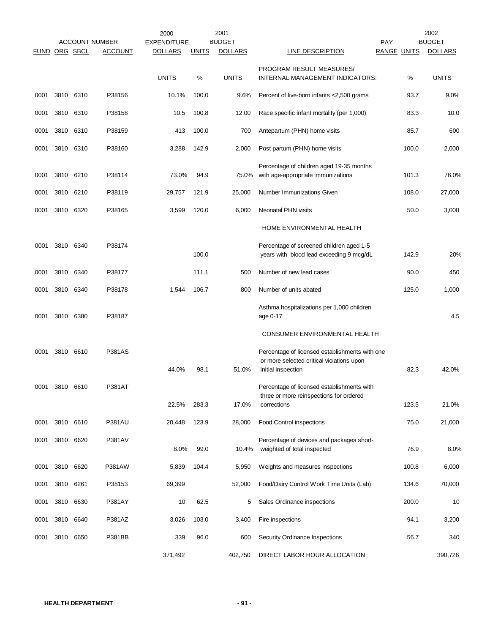|               |      |           | <b>ACCOUNT NUMBER</b> | 2000<br><b>EXPENDITURE</b> |              | 2001<br><b>BUDGET</b> |                                                                                             | <b>PAY</b>         | 2002<br><b>BUDGET</b> |
|---------------|------|-----------|-----------------------|----------------------------|--------------|-----------------------|---------------------------------------------------------------------------------------------|--------------------|-----------------------|
| FUND ORG SBCL |      |           | <b>ACCOUNT</b>        | <b>DOLLARS</b>             | <b>UNITS</b> | <b>DOLLARS</b>        | LINE DESCRIPTION                                                                            | <b>RANGE UNITS</b> | <b>DOLLARS</b>        |
|               |      |           |                       | <b>UNITS</b>               | %            | <b>UNITS</b>          | PROGRAM RESULT MEASURES/<br>INTERNAL MANAGEMENT INDICATORS:                                 | %                  | <b>UNITS</b>          |
| 0001          |      | 3810 6310 | P38156                | 10.1%                      | 100.0        | 9.6%                  | Percent of live-born infants <2,500 grams                                                   | 93.7               | 9.0%                  |
| 0001          |      | 3810 6310 | P38158                | 10.5                       | 100.8        | 12.00                 | Race specific infant mortality (per 1,000)                                                  | 83.3               | 10.0                  |
| 0001          |      | 3810 6310 | P38159                | 413                        | 100.0        | 700                   | Antepartum (PHN) home visits                                                                | 85.7               | 600                   |
| 0001          |      | 3810 6310 | P38160                | 3,288                      | 142.9        | 2,000                 | Post partum (PHN) home visits                                                               | 100.0              | 2,000                 |
| 0001          |      | 3810 6210 | P38114                | 73.0%                      | 94.9         | 75.0%                 | Percentage of children aged 19-35 months<br>with age-appropriate immunizations              | 101.3              | 76.0%                 |
| 0001          | 3810 | 6210      | P38119                | 29,757                     | 121.9        | 25,000                | Number Immunizations Given                                                                  | 108.0              | 27,000                |
| 0001          |      | 3810 6320 | P38165                | 3,599                      | 120.0        | 6,000                 | Neonatal PHN visits                                                                         | 50.0               | 3,000                 |
|               |      |           |                       |                            |              |                       | HOME ENVIRONMENTAL HEALTH                                                                   |                    |                       |
| 0001          |      | 3810 6340 | P38174                |                            | 100.0        |                       | Percentage of screened children aged 1-5<br>years with blood lead exceeding 9 mcg/dL        | 142.9              | 20%                   |
| 0001          |      | 3810 6340 | P38177                |                            | 111.1        | 500                   | Number of new lead cases                                                                    | 90.0               | 450                   |
| 0001          |      | 3810 6340 | P38178                | 1,544                      | 106.7        | 800                   | Number of units abated                                                                      | 125.0              | 1,000                 |
| 0001          | 3810 | 6380      | P38187                |                            |              |                       | Asthma hospitalizations per 1,000 children<br>age 0-17                                      |                    | 4.5                   |
|               |      |           |                       |                            |              |                       | CONSUMER ENVIRONMENTAL HEALTH                                                               |                    |                       |
| 0001          |      | 3810 6610 | <b>P381AS</b>         |                            |              |                       | Percentage of licensed establishments with one<br>or more selected critical violations upon |                    |                       |
|               |      |           |                       | 44.0%                      | 98.1         | 51.0%                 | initial inspection                                                                          | 82.3               | 42.0%                 |
| 0001          | 3810 | 6610      | P381AT                |                            |              |                       | Percentage of licensed establishments with<br>three or more reinspections for ordered       |                    |                       |
|               |      |           |                       | 22.5%                      | 283.3        | 17.0%                 | corrections                                                                                 | 123.5              | 21.0%                 |
| 0001          |      | 3810 6610 | <b>P381AU</b>         | 20,448                     | 123.9        | 28,000                | <b>Food Control inspections</b>                                                             | 75.0               | 21,000                |
| 0001          | 3810 | 6620      | P381AV                | 8.0%                       | 99.0         | 10.4%                 | Percentage of devices and packages short-<br>weighted of total inspected                    | 76.9               | 8.0%                  |
| 0001          |      | 3810 6620 | P381AW                | 5,839                      | 104.4        | 5,950                 | Weights and measures inspections                                                            | 100.8              | 6,000                 |
| 0001          |      | 3810 6261 | P38153                | 69,399                     |              | 52,000                | Food/Dairy Control Work Time Units (Lab)                                                    | 134.6              | 70,000                |
| 0001          |      | 3810 6630 | P381AY                | 10                         | 62.5         | 5                     | Sales Ordinance inspections                                                                 | 200.0              | 10                    |
| 0001          |      | 3810 6640 | P381AZ                | 3,026                      | 103.0        | 3,400                 | Fire inspections                                                                            | 94.1               | 3,200                 |
| 0001          |      | 3810 6650 | P381BB                | 339                        | 96.0         | 600                   | Security Ordinance Inspections                                                              | 56.7               | 340                   |
|               |      |           |                       | 371,492                    |              | 402,750               | DIRECT LABOR HOUR ALLOCATION                                                                |                    | 390,726               |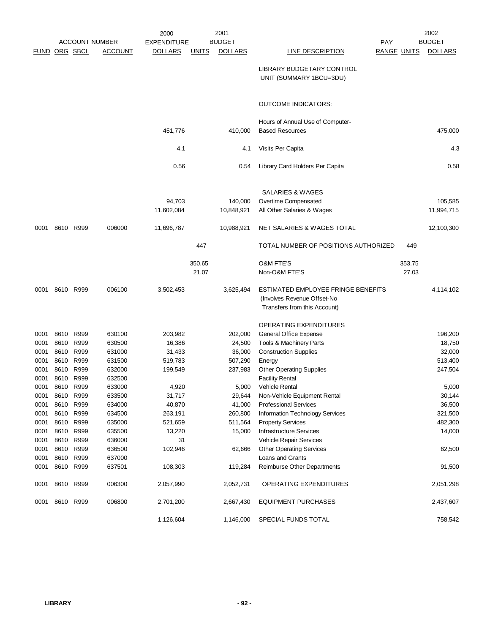|              |                      |                        |                       | 2000               |              | 2001           |                                                                   |                    | 2002           |
|--------------|----------------------|------------------------|-----------------------|--------------------|--------------|----------------|-------------------------------------------------------------------|--------------------|----------------|
|              |                      |                        | <b>ACCOUNT NUMBER</b> | <b>EXPENDITURE</b> |              | <b>BUDGET</b>  |                                                                   | <b>PAY</b>         | <b>BUDGET</b>  |
|              | <b>FUND ORG SBCL</b> |                        | <b>ACCOUNT</b>        | <b>DOLLARS</b>     | <b>UNITS</b> | <b>DOLLARS</b> | LINE DESCRIPTION                                                  | <b>RANGE UNITS</b> | <b>DOLLARS</b> |
|              |                      |                        |                       |                    |              |                | LIBRARY BUDGETARY CONTROL<br>UNIT (SUMMARY 1BCU=3DU)              |                    |                |
|              |                      |                        |                       |                    |              |                | <b>OUTCOME INDICATORS:</b>                                        |                    |                |
|              |                      |                        |                       |                    |              |                |                                                                   |                    |                |
|              |                      |                        |                       |                    |              |                | Hours of Annual Use of Computer-                                  |                    |                |
|              |                      |                        |                       | 451,776            |              | 410,000        | <b>Based Resources</b>                                            |                    | 475,000        |
|              |                      |                        |                       | 4.1                |              | 4.1            | Visits Per Capita                                                 |                    | 4.3            |
|              |                      |                        |                       | 0.56               |              | 0.54           | Library Card Holders Per Capita                                   |                    | 0.58           |
|              |                      |                        |                       |                    |              |                | SALARIES & WAGES                                                  |                    |                |
|              |                      |                        |                       | 94,703             |              | 140,000        | Overtime Compensated                                              |                    | 105,585        |
|              |                      |                        |                       | 11,602,084         |              | 10,848,921     | All Other Salaries & Wages                                        |                    | 11,994,715     |
| 0001         |                      | 8610 R999              | 006000                | 11,696,787         |              | 10,988,921     | NET SALARIES & WAGES TOTAL                                        |                    | 12,100,300     |
|              |                      |                        |                       |                    | 447          |                | TOTAL NUMBER OF POSITIONS AUTHORIZED                              | 449                |                |
|              |                      |                        |                       |                    | 350.65       |                | <b>O&amp;M FTE'S</b>                                              | 353.75             |                |
|              |                      |                        |                       |                    | 21.07        |                | Non-O&M FTE'S                                                     | 27.03              |                |
|              |                      |                        |                       |                    |              |                |                                                                   |                    |                |
| 0001         |                      | 8610 R999              | 006100                | 3,502,453          |              | 3,625,494      | ESTIMATED EMPLOYEE FRINGE BENEFITS<br>(Involves Revenue Offset-No |                    | 4,114,102      |
|              |                      |                        |                       |                    |              |                | Transfers from this Account)                                      |                    |                |
|              |                      |                        |                       |                    |              |                |                                                                   |                    |                |
|              |                      |                        |                       |                    |              |                | OPERATING EXPENDITURES                                            |                    |                |
| 0001         |                      | 8610 R999              | 630100                | 203,982            |              | 202,000        | General Office Expense                                            |                    | 196,200        |
| 0001         |                      | 8610 R999              | 630500                | 16,386             |              | 24,500         | Tools & Machinery Parts                                           |                    | 18,750         |
| 0001         |                      | 8610 R999              | 631000                | 31,433             |              | 36,000         | <b>Construction Supplies</b>                                      |                    | 32,000         |
| 0001         |                      | 8610 R999              | 631500                | 519,783            |              | 507,290        | Energy                                                            |                    | 513,400        |
| 0001<br>0001 | 8610<br>8610         | R999<br>R999           | 632000<br>632500      | 199,549            |              | 237,983        | <b>Other Operating Supplies</b><br><b>Facility Rental</b>         |                    | 247,504        |
| 0001         |                      | 8610 R999              | 633000                | 4,920              |              | 5,000          | Vehicle Rental                                                    |                    | 5,000          |
| 0001         |                      | 8610 R999              | 633500                | 31,717             |              | 29,644         | Non-Vehicle Equipment Rental                                      |                    | 30,144         |
| 0001         |                      | 8610 R999              | 634000                | 40,870             |              | 41,000         | <b>Professional Services</b>                                      |                    | 36,500         |
| 0001         |                      | 8610 R999              | 634500                | 263,191            |              | 260,800        | Information Technology Services                                   |                    | 321,500        |
| 0001         |                      | 8610 R999              | 635000                | 521,659            |              | 511,564        | <b>Property Services</b>                                          |                    | 482,300        |
| 0001         |                      | 8610 R999              | 635500                | 13,220             |              | 15,000         | <b>Infrastructure Services</b>                                    |                    | 14,000         |
| 0001         |                      | 8610 R999              | 636000                | 31                 |              |                | Vehicle Repair Services                                           |                    |                |
| 0001         |                      | 8610 R999              | 636500                | 102,946            |              | 62,666         | <b>Other Operating Services</b>                                   |                    | 62,500         |
| 0001<br>0001 |                      | 8610 R999<br>8610 R999 | 637000<br>637501      | 108,303            |              | 119,284        | Loans and Grants<br>Reimburse Other Departments                   |                    | 91,500         |
|              |                      |                        |                       |                    |              |                |                                                                   |                    |                |
| 0001         |                      | 8610 R999              | 006300                | 2,057,990          |              | 2,052,731      | OPERATING EXPENDITURES                                            |                    | 2,051,298      |
|              | 0001 8610 R999       |                        | 006800                | 2,701,200          |              | 2,667,430      | <b>EQUIPMENT PURCHASES</b>                                        |                    | 2,437,607      |
|              |                      |                        |                       | 1,126,604          |              | 1,146,000      | SPECIAL FUNDS TOTAL                                               |                    | 758,542        |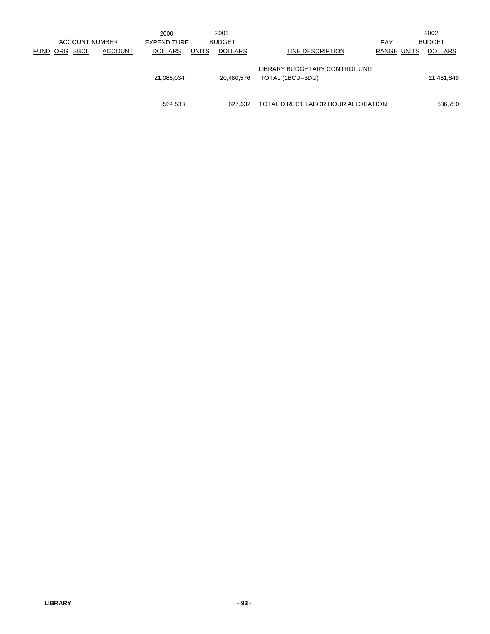|          |             | <b>ACCOUNT NUMBER</b> | 2000<br><b>EXPENDITURE</b> |              | 2001<br><b>BUDGET</b> |                                                    | <b>PAY</b>  | 2002<br><b>BUDGET</b> |
|----------|-------------|-----------------------|----------------------------|--------------|-----------------------|----------------------------------------------------|-------------|-----------------------|
| FUND ORG | <b>SBCL</b> | <b>ACCOUNT</b>        | <b>DOLLARS</b>             | <b>UNITS</b> | <b>DOLLARS</b>        | LINE DESCRIPTION                                   | RANGE UNITS | <b>DOLLARS</b>        |
|          |             |                       | 21,085,034                 |              | 20,480,576            | LIBRARY BUDGETARY CONTROL UNIT<br>TOTAL (1BCU=3DU) |             | 21,461,849            |
|          |             |                       | 564,533                    |              | 627.632               | TOTAL DIRECT LABOR HOUR ALLOCATION                 |             | 636,750               |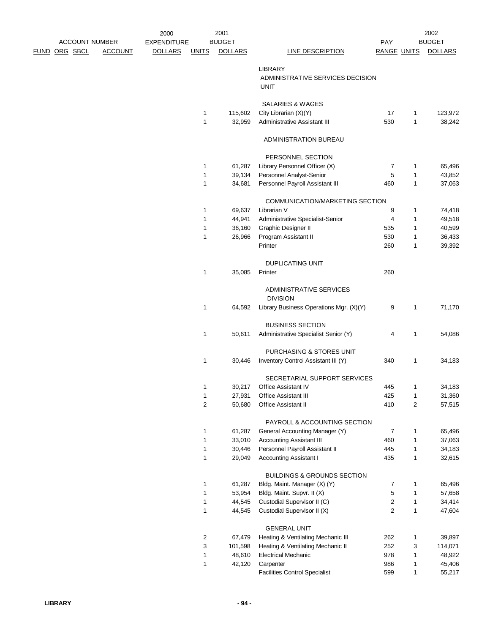|                      |                       |                | 2000               |                         | 2001             |                                                                 |                    |        | 2002             |
|----------------------|-----------------------|----------------|--------------------|-------------------------|------------------|-----------------------------------------------------------------|--------------------|--------|------------------|
|                      | <b>ACCOUNT NUMBER</b> |                | <b>EXPENDITURE</b> |                         | <b>BUDGET</b>    |                                                                 | PAY                |        | <b>BUDGET</b>    |
| <u>FUND ORG SBCL</u> |                       | <b>ACCOUNT</b> | <b>DOLLARS</b>     | <b>UNITS</b>            | <b>DOLLARS</b>   | <b>LINE DESCRIPTION</b>                                         | <b>RANGE UNITS</b> |        | <b>DOLLARS</b>   |
|                      |                       |                |                    |                         |                  | <b>LIBRARY</b>                                                  |                    |        |                  |
|                      |                       |                |                    |                         |                  | ADMINISTRATIVE SERVICES DECISION                                |                    |        |                  |
|                      |                       |                |                    |                         |                  | UNIT                                                            |                    |        |                  |
|                      |                       |                |                    |                         |                  |                                                                 |                    |        |                  |
|                      |                       |                |                    |                         |                  | SALARIES & WAGES                                                |                    |        |                  |
|                      |                       |                |                    | 1                       | 115,602          | City Librarian (X)(Y)                                           | 17                 | 1      | 123,972          |
|                      |                       |                |                    | $\mathbf{1}$            | 32,959           | <b>Administrative Assistant III</b>                             | 530                | 1      | 38,242           |
|                      |                       |                |                    |                         |                  |                                                                 |                    |        |                  |
|                      |                       |                |                    |                         |                  | <b>ADMINISTRATION BUREAU</b>                                    |                    |        |                  |
|                      |                       |                |                    |                         |                  | PERSONNEL SECTION                                               |                    |        |                  |
|                      |                       |                |                    | 1                       | 61,287           | Library Personnel Officer (X)                                   | 7                  | 1      | 65,496           |
|                      |                       |                |                    | $\mathbf{1}$            | 39,134           | Personnel Analyst-Senior                                        | 5                  | 1      | 43,852           |
|                      |                       |                |                    | $\mathbf{1}$            | 34,681           | Personnel Payroll Assistant III                                 | 460                | 1      | 37,063           |
|                      |                       |                |                    |                         |                  |                                                                 |                    |        |                  |
|                      |                       |                |                    |                         |                  | COMMUNICATION/MARKETING SECTION                                 |                    |        |                  |
|                      |                       |                |                    | 1                       | 69,637           | Librarian V                                                     | 9                  | 1      | 74,418           |
|                      |                       |                |                    | 1                       | 44,941           | Administrative Specialist-Senior                                | 4                  | 1      | 49,518           |
|                      |                       |                |                    | $\mathbf 1$             | 36,160           | Graphic Designer II                                             | 535                | 1      | 40,599           |
|                      |                       |                |                    | 1                       | 26,966           | Program Assistant II<br>Printer                                 | 530<br>260         | 1<br>1 | 36,433<br>39,392 |
|                      |                       |                |                    |                         |                  |                                                                 |                    |        |                  |
|                      |                       |                |                    |                         |                  | <b>DUPLICATING UNIT</b>                                         |                    |        |                  |
|                      |                       |                |                    | 1                       | 35,085           | Printer                                                         | 260                |        |                  |
|                      |                       |                |                    |                         |                  |                                                                 |                    |        |                  |
|                      |                       |                |                    |                         |                  | ADMINISTRATIVE SERVICES                                         |                    |        |                  |
|                      |                       |                |                    |                         |                  | <b>DIVISION</b>                                                 |                    |        |                  |
|                      |                       |                |                    | 1                       | 64,592           | Library Business Operations Mgr. (X)(Y)                         | 9                  | 1      | 71,170           |
|                      |                       |                |                    |                         |                  |                                                                 |                    |        |                  |
|                      |                       |                |                    | 1                       | 50,611           | <b>BUSINESS SECTION</b><br>Administrative Specialist Senior (Y) | 4                  | 1      | 54,086           |
|                      |                       |                |                    |                         |                  |                                                                 |                    |        |                  |
|                      |                       |                |                    |                         |                  | PURCHASING & STORES UNIT                                        |                    |        |                  |
|                      |                       |                |                    | 1                       | 30,446           | Inventory Control Assistant III (Y)                             | 340                | 1      | 34,183           |
|                      |                       |                |                    |                         |                  |                                                                 |                    |        |                  |
|                      |                       |                |                    |                         |                  | SECRETARIAL SUPPORT SERVICES                                    |                    |        |                  |
|                      |                       |                |                    | 1                       |                  | 30,217 Office Assistant IV                                      | 445                | 1      | 34,183           |
|                      |                       |                |                    | $\mathbf{1}$            | 27,931           | Office Assistant III                                            | 425                | 1      | 31,360           |
|                      |                       |                |                    | 2                       | 50,680           | <b>Office Assistant II</b>                                      | 410                | 2      | 57,515           |
|                      |                       |                |                    |                         |                  | PAYROLL & ACCOUNTING SECTION                                    |                    |        |                  |
|                      |                       |                |                    | 1                       | 61,287           | General Accounting Manager (Y)                                  | 7                  | 1      | 65,496           |
|                      |                       |                |                    | 1                       | 33,010           | <b>Accounting Assistant III</b>                                 | 460                | 1      | 37,063           |
|                      |                       |                |                    | 1                       | 30,446           | Personnel Payroll Assistant II                                  | 445                | 1      | 34,183           |
|                      |                       |                |                    | $\mathbf{1}$            | 29,049           | <b>Accounting Assistant I</b>                                   | 435                | 1      | 32,615           |
|                      |                       |                |                    |                         |                  |                                                                 |                    |        |                  |
|                      |                       |                |                    |                         |                  | <b>BUILDINGS &amp; GROUNDS SECTION</b>                          |                    |        |                  |
|                      |                       |                |                    | 1                       | 61,287           | Bldg. Maint. Manager (X) (Y)                                    | 7                  | 1      | 65,496           |
|                      |                       |                |                    | 1<br>1                  | 53,954<br>44,545 | Bldg. Maint. Supvr. II (X)<br>Custodial Supervisor II (C)       | 5<br>2             | 1<br>1 | 57,658<br>34,414 |
|                      |                       |                |                    | $\mathbf{1}$            | 44,545           | Custodial Supervisor II (X)                                     | $\overline{c}$     | 1      | 47,604           |
|                      |                       |                |                    |                         |                  |                                                                 |                    |        |                  |
|                      |                       |                |                    |                         |                  | <b>GENERAL UNIT</b>                                             |                    |        |                  |
|                      |                       |                |                    | $\overline{\mathbf{c}}$ | 67,479           | Heating & Ventilating Mechanic III                              | 262                | 1      | 39,897           |
|                      |                       |                |                    | 3                       | 101,598          | Heating & Ventilating Mechanic II                               | 252                | 3      | 114,071          |
|                      |                       |                |                    | 1                       | 48,610           | <b>Electrical Mechanic</b>                                      | 978                | 1      | 48,922           |
|                      |                       |                |                    | $\mathbf{1}$            | 42,120           | Carpenter                                                       | 986                | 1      | 45,406           |
|                      |                       |                |                    |                         |                  | <b>Facilities Control Specialist</b>                            | 599                | 1      | 55,217           |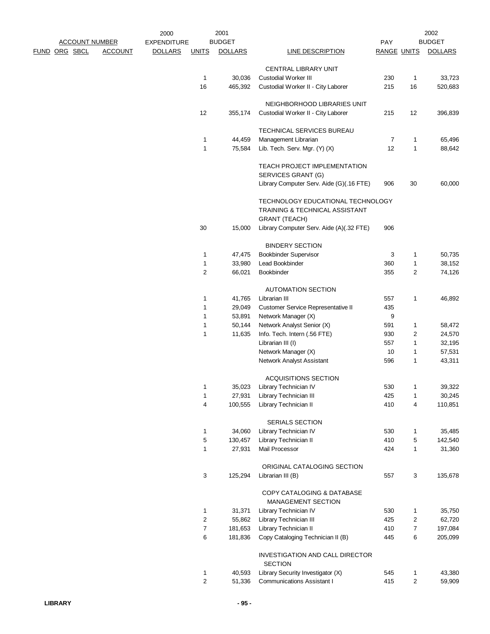|  |                       |                | 2000               |                  | 2001           |                                                                     |                    |                   | 2002             |
|--|-----------------------|----------------|--------------------|------------------|----------------|---------------------------------------------------------------------|--------------------|-------------------|------------------|
|  | <b>ACCOUNT NUMBER</b> |                | <b>EXPENDITURE</b> |                  | <b>BUDGET</b>  |                                                                     | PAY                |                   | <b>BUDGET</b>    |
|  | FUND ORG SBCL         | <b>ACCOUNT</b> | <b>DOLLARS</b>     | <b>UNITS</b>     | <b>DOLLARS</b> | LINE DESCRIPTION                                                    | <b>RANGE UNITS</b> |                   | <b>DOLLARS</b>   |
|  |                       |                |                    |                  |                | CENTRAL LIBRARY UNIT                                                |                    |                   |                  |
|  |                       |                |                    | $\mathbf{1}$     | 30,036         | Custodial Worker III                                                | 230                | 1                 | 33,723           |
|  |                       |                |                    | 16               | 465,392        | Custodial Worker II - City Laborer                                  | 215                | 16                | 520,683          |
|  |                       |                |                    |                  |                | NEIGHBORHOOD LIBRARIES UNIT                                         |                    |                   |                  |
|  |                       |                |                    | 12               | 355,174        | Custodial Worker II - City Laborer                                  | 215                | 12                | 396,839          |
|  |                       |                |                    |                  |                | <b>TECHNICAL SERVICES BUREAU</b>                                    |                    |                   |                  |
|  |                       |                |                    | 1                | 44,459         | Management Librarian                                                | 7                  | 1                 | 65,496           |
|  |                       |                |                    | 1                | 75,584         | Lib. Tech. Serv. Mgr. (Y) (X)                                       | 12                 | $\mathbf{1}$      | 88,642           |
|  |                       |                |                    |                  |                | TEACH PROJECT IMPLEMENTATION<br>SERVICES GRANT (G)                  |                    |                   |                  |
|  |                       |                |                    |                  |                | Library Computer Serv. Aide (G)(.16 FTE)                            | 906                | 30                | 60,000           |
|  |                       |                |                    |                  |                | TECHNOLOGY EDUCATIONAL TECHNOLOGY<br>TRAINING & TECHNICAL ASSISTANT |                    |                   |                  |
|  |                       |                |                    |                  |                | <b>GRANT (TEACH)</b>                                                |                    |                   |                  |
|  |                       |                |                    | 30               | 15,000         | Library Computer Serv. Aide (A)(.32 FTE)                            | 906                |                   |                  |
|  |                       |                |                    |                  |                | <b>BINDERY SECTION</b>                                              |                    |                   |                  |
|  |                       |                |                    | 1                | 47,475         | <b>Bookbinder Supervisor</b>                                        | 3                  | $\mathbf{1}$      | 50,735           |
|  |                       |                |                    | $\mathbf 1$      | 33,980         | Lead Bookbinder                                                     | 360                | $\mathbf{1}$      | 38,152           |
|  |                       |                |                    | 2                | 66,021         | Bookbinder                                                          | 355                | $\overline{2}$    | 74,126           |
|  |                       |                |                    |                  |                |                                                                     |                    |                   |                  |
|  |                       |                |                    |                  |                | <b>AUTOMATION SECTION</b>                                           |                    |                   |                  |
|  |                       |                |                    | 1                | 41,765         | Librarian III                                                       | 557                | 1                 | 46,892           |
|  |                       |                |                    | 1                | 29,049         | Customer Service Representative II                                  | 435                |                   |                  |
|  |                       |                |                    | 1                | 53,891         | Network Manager (X)                                                 | 9                  |                   |                  |
|  |                       |                |                    | 1                | 50,144         | Network Analyst Senior (X)                                          | 591                | 1                 | 58,472           |
|  |                       |                |                    | 1                | 11,635         | Info. Tech. Intern (.56 FTE)                                        | 930                | 2                 | 24,570           |
|  |                       |                |                    |                  |                | Librarian III (I)                                                   | 557                | $\mathbf{1}$      | 32,195           |
|  |                       |                |                    |                  |                | Network Manager (X)<br>Network Analyst Assistant                    | 10<br>596          | 1<br>$\mathbf{1}$ | 57,531<br>43,311 |
|  |                       |                |                    |                  |                |                                                                     |                    |                   |                  |
|  |                       |                |                    |                  |                | <b>ACQUISITIONS SECTION</b>                                         |                    |                   |                  |
|  |                       |                |                    | 1                |                | 35,023 Library Technician IV                                        | 530                | 1                 | 39,322           |
|  |                       |                |                    | 1                | 27,931         | Library Technician III                                              | 425                | $\mathbf{1}$      | 30,245           |
|  |                       |                |                    | 4                | 100,555        | Library Technician II                                               | 410                | 4                 | 110,851          |
|  |                       |                |                    |                  |                | SERIALS SECTION                                                     |                    |                   |                  |
|  |                       |                |                    | 1                | 34,060         | Library Technician IV                                               | 530                | 1                 | 35,485           |
|  |                       |                |                    | 5                | 130,457        | Library Technician II                                               | 410                | 5                 | 142,540          |
|  |                       |                |                    | 1                | 27,931         | Mail Processor                                                      | 424                | $\mathbf{1}$      | 31,360           |
|  |                       |                |                    |                  |                | ORIGINAL CATALOGING SECTION                                         |                    |                   |                  |
|  |                       |                |                    | 3                | 125,294        | Librarian III (B)                                                   | 557                | 3                 | 135,678          |
|  |                       |                |                    |                  |                | COPY CATALOGING & DATABASE                                          |                    |                   |                  |
|  |                       |                |                    | 1                | 31,371         | <b>MANAGEMENT SECTION</b><br>Library Technician IV                  | 530                | 1                 | 35,750           |
|  |                       |                |                    | 2                | 55,862         | Library Technician III                                              | 425                | 2                 | 62,720           |
|  |                       |                |                    | $\boldsymbol{7}$ | 181,653        | Library Technician II                                               | 410                | $\overline{7}$    | 197,084          |
|  |                       |                |                    | 6                | 181,836        | Copy Cataloging Technician II (B)                                   | 445                | 6                 | 205,099          |
|  |                       |                |                    |                  |                |                                                                     |                    |                   |                  |
|  |                       |                |                    |                  |                | INVESTIGATION AND CALL DIRECTOR<br><b>SECTION</b>                   |                    |                   |                  |
|  |                       |                |                    | 1                | 40,593         | Library Security Investigator (X)                                   | 545                | 1                 | 43,380           |
|  |                       |                |                    | $\overline{c}$   | 51,336         | <b>Communications Assistant I</b>                                   | 415                | 2                 | 59,909           |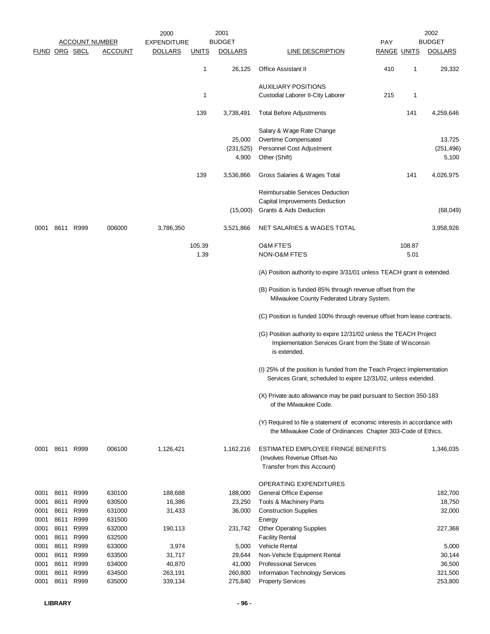|               |      |           |                       | 2000               |              | 2001                |                                                                                                                                                 |                    |              | 2002                |
|---------------|------|-----------|-----------------------|--------------------|--------------|---------------------|-------------------------------------------------------------------------------------------------------------------------------------------------|--------------------|--------------|---------------------|
|               |      |           | <b>ACCOUNT NUMBER</b> | <b>EXPENDITURE</b> |              | <b>BUDGET</b>       |                                                                                                                                                 | PAY                |              | <b>BUDGET</b>       |
| FUND ORG SBCL |      |           | <b>ACCOUNT</b>        | <b>DOLLARS</b>     | <u>UNITS</u> | <b>DOLLARS</b>      | <b>LINE DESCRIPTION</b>                                                                                                                         | <b>RANGE UNITS</b> |              | <b>DOLLARS</b>      |
|               |      |           |                       |                    | 1            | 26,125              | <b>Office Assistant II</b>                                                                                                                      | 410                | $\mathbf{1}$ | 29,332              |
|               |      |           |                       |                    |              |                     | <b>AUXILIARY POSITIONS</b>                                                                                                                      |                    |              |                     |
|               |      |           |                       |                    | $\mathbf 1$  |                     | Custodial Laborer II-City Laborer                                                                                                               | 215                | 1            |                     |
|               |      |           |                       |                    | 139          | 3,738,491           | <b>Total Before Adjustments</b>                                                                                                                 |                    | 141          | 4,259,646           |
|               |      |           |                       |                    |              |                     | Salary & Wage Rate Change                                                                                                                       |                    |              |                     |
|               |      |           |                       |                    |              | 25,000              | Overtime Compensated                                                                                                                            |                    |              | 13,725              |
|               |      |           |                       |                    |              | (231, 525)<br>4,900 | Personnel Cost Adjustment<br>Other (Shift)                                                                                                      |                    |              | (251, 496)<br>5,100 |
|               |      |           |                       |                    |              |                     |                                                                                                                                                 |                    |              |                     |
|               |      |           |                       |                    | 139          | 3,536,866           | Gross Salaries & Wages Total                                                                                                                    |                    | 141          | 4,026,975           |
|               |      |           |                       |                    |              |                     | Reimbursable Services Deduction                                                                                                                 |                    |              |                     |
|               |      |           |                       |                    |              |                     | Capital Improvements Deduction                                                                                                                  |                    |              |                     |
|               |      |           |                       |                    |              | (15,000)            | Grants & Aids Deduction                                                                                                                         |                    |              | (68, 049)           |
| 0001          |      | 8611 R999 | 006000                | 3,786,350          |              | 3,521,866           | NET SALARIES & WAGES TOTAL                                                                                                                      |                    |              | 3,958,926           |
|               |      |           |                       |                    | 105.39       |                     | <b>O&amp;M FTE'S</b>                                                                                                                            |                    | 108.87       |                     |
|               |      |           |                       |                    | 1.39         |                     | NON-O&M FTE'S                                                                                                                                   |                    | 5.01         |                     |
|               |      |           |                       |                    |              |                     | (A) Position authority to expire 3/31/01 unless TEACH grant is extended.                                                                        |                    |              |                     |
|               |      |           |                       |                    |              |                     | (B) Position is funded 85% through revenue offset from the                                                                                      |                    |              |                     |
|               |      |           |                       |                    |              |                     | Milwaukee County Federated Library System.                                                                                                      |                    |              |                     |
|               |      |           |                       |                    |              |                     | (C) Position is funded 100% through revenue offset from lease contracts.                                                                        |                    |              |                     |
|               |      |           |                       |                    |              |                     | (G) Position authority to expire 12/31/02 unless the TEACH Project<br>Implementation Services Grant from the State of Wisconsin<br>is extended. |                    |              |                     |
|               |      |           |                       |                    |              |                     | (I) 25% of the position is funded from the Teach Project Implementation<br>Services Grant, scheduled to expire 12/31/02, unless extended.       |                    |              |                     |
|               |      |           |                       |                    |              |                     | (X) Private auto allowance may be paid pursuant to Section 350-183<br>of the Milwaukee Code.                                                    |                    |              |                     |
|               |      |           |                       |                    |              |                     | (Y) Required to file a statement of economic interests in accordance with<br>the Milwaukee Code of Ordinances Chapter 303-Code of Ethics.       |                    |              |                     |
| 0001          |      | 8611 R999 | 006100                | 1,126,421          |              | 1,162,216           | ESTIMATED EMPLOYEE FRINGE BENEFITS<br>(Involves Revenue Offset-No<br>Transfer from this Account)                                                |                    |              | 1,346,035           |
|               |      |           |                       |                    |              |                     | OPERATING EXPENDITURES                                                                                                                          |                    |              |                     |
| 0001          |      | 8611 R999 | 630100                | 188,688            |              | 188,000             | General Office Expense                                                                                                                          |                    |              | 182,700             |
| 0001          | 8611 | R999      | 630500                | 16,386             |              | 23,250              | Tools & Machinery Parts                                                                                                                         |                    |              | 18,750              |
| 0001          | 8611 | R999      | 631000                | 31,433             |              | 36,000              | <b>Construction Supplies</b>                                                                                                                    |                    |              | 32,000              |
| 0001          | 8611 | R999      | 631500                |                    |              |                     | Energy                                                                                                                                          |                    |              |                     |
| 0001          | 8611 | R999      | 632000                | 190,113            |              | 231,742             | <b>Other Operating Supplies</b>                                                                                                                 |                    |              | 227,368             |
| 0001          | 8611 | R999      | 632500                |                    |              |                     | <b>Facility Rental</b>                                                                                                                          |                    |              |                     |
| 0001          | 8611 | R999      | 633000                | 3,974              |              | 5,000               | Vehicle Rental                                                                                                                                  |                    |              | 5,000               |
| 0001          | 8611 | R999      | 633500                | 31,717             |              | 29,644              | Non-Vehicle Equipment Rental                                                                                                                    |                    |              | 30,144              |
| 0001          | 8611 | R999      | 634000                | 40,870             |              | 41,000              | <b>Professional Services</b>                                                                                                                    |                    |              | 36,500              |
| 0001          | 8611 | R999      | 634500                | 263,191            |              | 260,800             | Information Technology Services                                                                                                                 |                    |              | 321,500             |
| 0001          | 8611 | R999      | 635000                | 339,134            |              | 275,840             | <b>Property Services</b>                                                                                                                        |                    |              | 253,800             |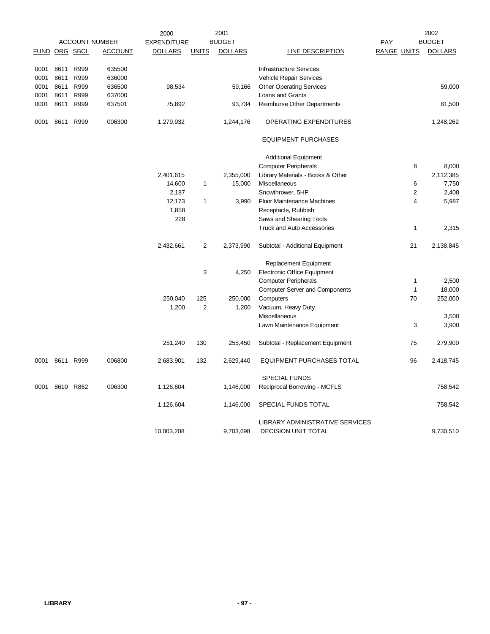|      |               |      |                       | 2000               |                | 2001           |                                       | 2002               |                |                |
|------|---------------|------|-----------------------|--------------------|----------------|----------------|---------------------------------------|--------------------|----------------|----------------|
|      |               |      | <b>ACCOUNT NUMBER</b> | <b>EXPENDITURE</b> |                | <b>BUDGET</b>  |                                       | <b>PAY</b>         |                | <b>BUDGET</b>  |
|      | FUND ORG SBCL |      | <b>ACCOUNT</b>        | <b>DOLLARS</b>     | <b>UNITS</b>   | <b>DOLLARS</b> | LINE DESCRIPTION                      | <b>RANGE UNITS</b> |                | <b>DOLLARS</b> |
| 0001 | 8611          | R999 | 635500                |                    |                |                | <b>Infrastructure Services</b>        |                    |                |                |
| 0001 | 8611          | R999 | 636000                |                    |                |                | Vehicle Repair Services               |                    |                |                |
| 0001 | 8611          | R999 | 636500                | 98,534             |                | 59,166         | <b>Other Operating Services</b>       |                    |                | 59,000         |
| 0001 | 8611          | R999 | 637000                |                    |                |                | Loans and Grants                      |                    |                |                |
| 0001 | 8611          | R999 | 637501                | 75,892             |                | 93,734         | Reimburse Other Departments           |                    |                | 81,500         |
| 0001 | 8611          | R999 | 006300                | 1,279,932          |                | 1,244,176      | OPERATING EXPENDITURES                |                    |                | 1,248,262      |
|      |               |      |                       |                    |                |                | <b>EQUIPMENT PURCHASES</b>            |                    |                |                |
|      |               |      |                       |                    |                |                | <b>Additional Equipment</b>           |                    |                |                |
|      |               |      |                       |                    |                |                | <b>Computer Peripherals</b>           |                    | 8              | 8,000          |
|      |               |      |                       | 2,401,615          |                | 2,355,000      | Library Materials - Books & Other     |                    |                | 2,112,385      |
|      |               |      |                       | 14,600             | 1              | 15,000         | Miscellaneous                         |                    | 6              | 7,750          |
|      |               |      |                       | 2,187              |                |                | Snowthrower, 5HP                      |                    | $\overline{2}$ | 2,408          |
|      |               |      |                       | 12,173             | 1              | 3,990          | Floor Maintenance Machines            |                    | 4              | 5,987          |
|      |               |      |                       | 1,858              |                |                | Receptacle, Rubbish                   |                    |                |                |
|      |               |      |                       | 228                |                |                | Saws and Shearing Tools               |                    |                |                |
|      |               |      |                       |                    |                |                | <b>Truck and Auto Accessories</b>     |                    | $\mathbf{1}$   | 2,315          |
|      |               |      |                       | 2,432,661          | $\overline{2}$ | 2,373,990      | Subtotal - Additional Equipment       |                    | 21             | 2,138,845      |
|      |               |      |                       |                    |                |                | Replacement Equipment                 |                    |                |                |
|      |               |      |                       |                    | 3              | 4,250          | Electronic Office Equipment           |                    |                |                |
|      |               |      |                       |                    |                |                | <b>Computer Peripherals</b>           |                    | $\mathbf{1}$   | 2,500          |
|      |               |      |                       |                    |                |                | <b>Computer Server and Components</b> |                    | $\mathbf{1}$   | 18,000         |
|      |               |      |                       | 250,040            | 125            | 250,000        | Computers                             |                    | 70             | 252,000        |
|      |               |      |                       | 1,200              | $\overline{2}$ | 1,200          | Vacuum, Heavy Duty                    |                    |                |                |
|      |               |      |                       |                    |                |                | Miscellaneous                         |                    |                | 3,500          |
|      |               |      |                       |                    |                |                | Lawn Maintenance Equipment            |                    | 3              | 3,900          |
|      |               |      |                       | 251,240            | 130            | 255,450        | Subtotal - Replacement Equipment      |                    | 75             | 279,900        |
| 0001 | 8611          | R999 | 006800                | 2,683,901          | 132            | 2,629,440      | <b>EQUIPMENT PURCHASES TOTAL</b>      |                    | 96             | 2,418,745      |
|      |               |      |                       |                    |                |                | <b>SPECIAL FUNDS</b>                  |                    |                |                |
| 0001 | 8610          | R862 | 006300                | 1,126,604          |                | 1,146,000      | Reciprocal Borrowing - MCFLS          |                    |                | 758,542        |
|      |               |      |                       | 1,126,604          |                | 1,146,000      | SPECIAL FUNDS TOTAL                   |                    |                | 758,542        |
|      |               |      |                       |                    |                |                | LIBRARY ADMINISTRATIVE SERVICES       |                    |                |                |
|      |               |      |                       | 10,003,208         |                | 9,703,698      | <b>DECISION UNIT TOTAL</b>            |                    |                | 9,730,510      |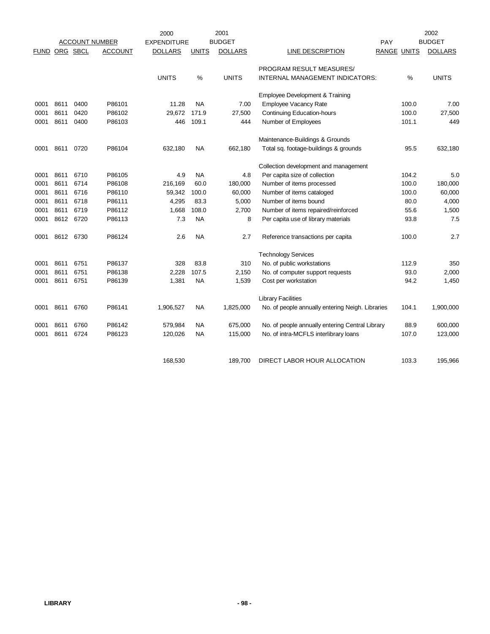|             |      |          |                       | 2000               |               | 2001           |                                                  |                    | 2002           |
|-------------|------|----------|-----------------------|--------------------|---------------|----------------|--------------------------------------------------|--------------------|----------------|
|             |      |          | <b>ACCOUNT NUMBER</b> | <b>EXPENDITURE</b> |               | <b>BUDGET</b>  |                                                  | <b>PAY</b>         | <b>BUDGET</b>  |
| <b>FUND</b> |      | ORG SBCL | <b>ACCOUNT</b>        | <b>DOLLARS</b>     | <b>UNITS</b>  | <b>DOLLARS</b> | <b>LINE DESCRIPTION</b>                          | <b>RANGE UNITS</b> | <b>DOLLARS</b> |
|             |      |          |                       |                    |               |                | PROGRAM RESULT MEASURES/                         |                    |                |
|             |      |          |                       | <b>UNITS</b>       | $\frac{0}{0}$ | <b>UNITS</b>   | INTERNAL MANAGEMENT INDICATORS:                  | $\frac{0}{0}$      | <b>UNITS</b>   |
|             |      |          |                       |                    |               |                | Employee Development & Training                  |                    |                |
| 0001        | 8611 | 0400     | P86101                | 11.28              | <b>NA</b>     | 7.00           | <b>Employee Vacancy Rate</b>                     | 100.0              | 7.00           |
| 0001        | 8611 | 0420     | P86102                | 29,672             | 171.9         | 27,500         | <b>Continuing Education-hours</b>                | 100.0              | 27,500         |
| 0001        | 8611 | 0400     | P86103                | 446                | 109.1         | 444            | Number of Employees                              | 101.1              | 449            |
|             |      |          |                       |                    |               |                | Maintenance-Buildings & Grounds                  |                    |                |
| 0001        | 8611 | 0720     | P86104                | 632,180            | <b>NA</b>     | 662,180        | Total sq. footage-buildings & grounds            | 95.5               | 632,180        |
|             |      |          |                       |                    |               |                | Collection development and management            |                    |                |
| 0001        | 8611 | 6710     | P86105                | 4.9                | <b>NA</b>     | 4.8            | Per capita size of collection                    | 104.2              | 5.0            |
| 0001        | 8611 | 6714     | P86108                | 216,169            | 60.0          | 180,000        | Number of items processed                        | 100.0              | 180,000        |
| 0001        | 8611 | 6716     | P86110                | 59,342             | 100.0         | 60,000         | Number of items cataloged                        | 100.0              | 60,000         |
| 0001        | 8611 | 6718     | P86111                | 4,295              | 83.3          | 5,000          | Number of items bound                            | 80.0               | 4,000          |
| 0001        | 8611 | 6719     | P86112                | 1,668              | 108.0         | 2,700          | Number of items repaired/reinforced              | 55.6               | 1,500          |
| 0001        | 8612 | 6720     | P86113                | 7.3                | <b>NA</b>     | 8              | Per capita use of library materials              | 93.8               | 7.5            |
| 0001        | 8612 | 6730     | P86124                | 2.6                | <b>NA</b>     | 2.7            | Reference transactions per capita                | 100.0              | 2.7            |
|             |      |          |                       |                    |               |                | <b>Technology Services</b>                       |                    |                |
| 0001        | 8611 | 6751     | P86137                | 328                | 83.8          | 310            | No. of public workstations                       | 112.9              | 350            |
| 0001        | 8611 | 6751     | P86138                | 2,228              | 107.5         | 2,150          | No. of computer support requests                 | 93.0               | 2,000          |
| 0001        | 8611 | 6751     | P86139                | 1,381              | <b>NA</b>     | 1,539          | Cost per workstation                             | 94.2               | 1,450          |
|             |      |          |                       |                    |               |                | <b>Library Facilities</b>                        |                    |                |
| 0001        | 8611 | 6760     | P86141                | 1,906,527          | ΝA            | 1,825,000      | No. of people annually entering Neigh. Libraries | 104.1              | 1,900,000      |
| 0001        | 8611 | 6760     | P86142                | 579,984            | NA.           | 675,000        | No. of people annually entering Central Library  | 88.9               | 600,000        |
| 0001        | 8611 | 6724     | P86123                | 120,026            | NA.           | 115,000        | No. of intra-MCFLS interlibrary loans            | 107.0              | 123,000        |
|             |      |          |                       |                    |               |                |                                                  |                    |                |
|             |      |          |                       | 168,530            |               | 189,700        | DIRECT LABOR HOUR ALLOCATION                     | 103.3              | 195,966        |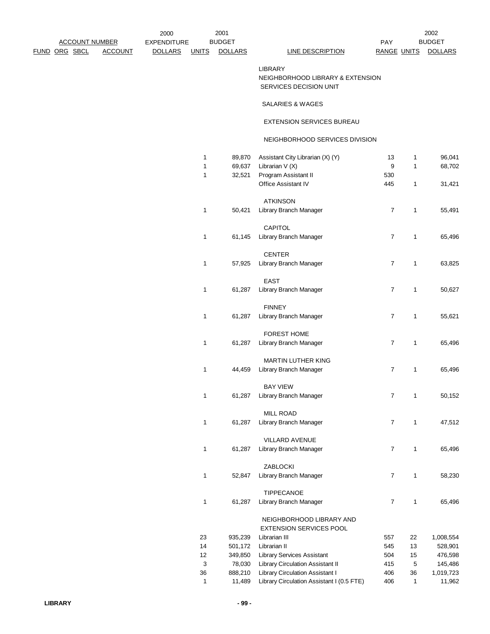|                       |                | 2000               |              | 2001           |                                                                              |                    |              | 2002           |
|-----------------------|----------------|--------------------|--------------|----------------|------------------------------------------------------------------------------|--------------------|--------------|----------------|
| <b>ACCOUNT NUMBER</b> |                | <b>EXPENDITURE</b> |              | <b>BUDGET</b>  |                                                                              | <b>PAY</b>         |              | <b>BUDGET</b>  |
| <b>RG SBCL</b>        | <b>ACCOUNT</b> | <b>DOLLARS</b>     | <b>UNITS</b> | <b>DOLLARS</b> | <b>LINE DESCRIPTION</b>                                                      | <b>RANGE UNITS</b> |              | <u>DOLLARS</u> |
|                       |                |                    |              |                | <b>LIBRARY</b><br>NEIGHBORHOOD LIBRARY & EXTENSION<br>SERVICES DECISION UNIT |                    |              |                |
|                       |                |                    |              |                | SALARIES & WAGES                                                             |                    |              |                |
|                       |                |                    |              |                | EXTENSION SERVICES BUREAU                                                    |                    |              |                |
|                       |                |                    |              |                | NEIGHBORHOOD SERVICES DIVISION                                               |                    |              |                |
|                       |                |                    | $\mathbf{1}$ | 89,870         | Assistant City Librarian (X) (Y)                                             | 13                 | $\mathbf{1}$ | 96,041         |
|                       |                |                    | 1            | 69,637         | Librarian $V(X)$                                                             | 9                  | $\mathbf{1}$ | 68,702         |
|                       |                |                    | 1            | 32,521         | Program Assistant II                                                         | 530                |              |                |
|                       |                |                    |              |                | Office Assistant IV                                                          | 445                | $\mathbf{1}$ | 31,421         |
|                       |                |                    |              |                | <b>ATKINSON</b>                                                              |                    |              |                |
|                       |                |                    | 1            | 50,421         | Library Branch Manager                                                       | $\overline{7}$     | $\mathbf{1}$ | 55,491         |
|                       |                |                    |              |                | CAPITOL                                                                      |                    |              |                |
|                       |                |                    | 1            | 61,145         | Library Branch Manager                                                       | $\overline{7}$     | $\mathbf{1}$ | 65,496         |
|                       |                |                    |              |                | <b>CENTER</b>                                                                |                    |              |                |
|                       |                |                    | 1            | 57,925         | Library Branch Manager                                                       | $\overline{7}$     | $\mathbf{1}$ | 63,825         |
|                       |                |                    |              |                | <b>EAST</b>                                                                  |                    |              |                |
|                       |                |                    | 1            | 61,287         | Library Branch Manager                                                       | $\overline{7}$     | 1            | 50,627         |
|                       |                |                    |              |                | <b>FINNEY</b>                                                                |                    |              |                |
|                       |                |                    | $\mathbf{1}$ | 61,287         | Library Branch Manager                                                       | $\overline{7}$     | $\mathbf{1}$ | 55,621         |
|                       |                |                    |              |                | <b>FOREST HOME</b>                                                           |                    |              |                |
|                       |                |                    | $\mathbf{1}$ | 61,287         | Library Branch Manager                                                       | $\overline{7}$     | $\mathbf{1}$ | 65,496         |
|                       |                |                    |              |                | MARTIN LUTHER KING                                                           |                    |              |                |
|                       |                |                    | 1            | 44,459         | Library Branch Manager                                                       | $\overline{7}$     | $\mathbf{1}$ | 65,496         |
|                       |                |                    |              |                | <b>BAY VIEW</b>                                                              |                    |              |                |
|                       |                |                    | 1            | 61,287         | Library Branch Manager                                                       | $\overline{7}$     | $\mathbf{1}$ | 50,152         |
|                       |                |                    |              |                | <b>MILL ROAD</b>                                                             |                    |              |                |
|                       |                |                    | 1            | 61,287         | Library Branch Manager                                                       | $\overline{7}$     | 1            | 47,512         |
|                       |                |                    |              |                | <b>VILLARD AVENUE</b>                                                        |                    |              |                |

ZABLOCKI

TIPPECANOE

1 61,287 Library Branch Manager 7 1 65,496

1 52,847 Library Branch Manager 7 1 58,230

1 61,287 Library Branch Manager 7 1 65,496

23 935,239 Librarian III 557 22 1,008,554 14 501,172 Librarian II 545 13 528,901 12 349,850 Library Services Assistant 504 15 476,598 3 78,030 Library Circulation Assistant II 415 5 145,486 36 888,210 Library Circulation Assistant I 406 36 1,019,723 1 11,489 Library Circulation Assistant I (0.5 FTE) 406 1 11,962

 NEIGHBORHOOD LIBRARY AND EXTENSION SERVICES POOL

**LIBRARY - 99 -**

FUND ORG SBCL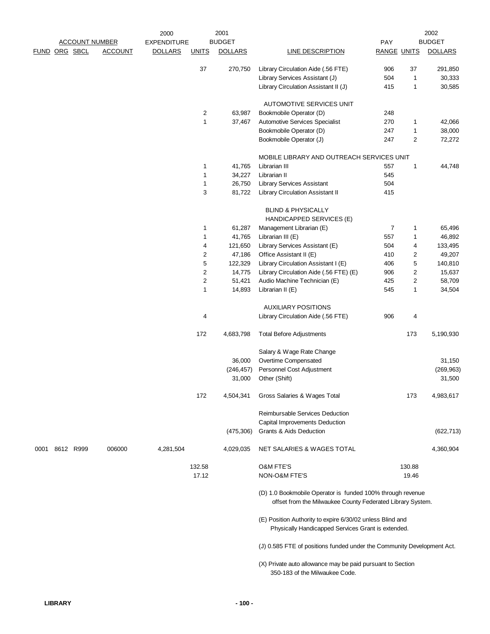|               |  |                       |                | 2000               |                                                                                              | 2001           |                                                                                                                          |                    |                | 2002           |
|---------------|--|-----------------------|----------------|--------------------|----------------------------------------------------------------------------------------------|----------------|--------------------------------------------------------------------------------------------------------------------------|--------------------|----------------|----------------|
|               |  | <b>ACCOUNT NUMBER</b> |                | <b>EXPENDITURE</b> |                                                                                              | <b>BUDGET</b>  |                                                                                                                          | PAY                |                | <b>BUDGET</b>  |
| FUND ORG SBCL |  |                       | <b>ACCOUNT</b> | <b>DOLLARS</b>     | <b>UNITS</b>                                                                                 | <b>DOLLARS</b> | <b>LINE DESCRIPTION</b>                                                                                                  | <b>RANGE UNITS</b> |                | <b>DOLLARS</b> |
|               |  |                       |                |                    | 37                                                                                           | 270,750        | Library Circulation Aide (.56 FTE)                                                                                       | 906                | 37             | 291,850        |
|               |  |                       |                |                    |                                                                                              |                | Library Services Assistant (J)                                                                                           | 504                | $\mathbf{1}$   | 30,333         |
|               |  |                       |                |                    |                                                                                              |                | Library Circulation Assistant II (J)                                                                                     | 415                | $\mathbf{1}$   | 30,585         |
|               |  |                       |                |                    |                                                                                              |                | <b>AUTOMOTIVE SERVICES UNIT</b>                                                                                          |                    |                |                |
|               |  |                       |                |                    | 2                                                                                            | 63,987         | Bookmobile Operator (D)                                                                                                  | 248                |                |                |
|               |  |                       |                |                    | 1                                                                                            | 37,467         | Automotive Services Specialist                                                                                           | 270                | $\mathbf{1}$   | 42,066         |
|               |  |                       |                |                    |                                                                                              |                | Bookmobile Operator (D)                                                                                                  | 247                | $\mathbf{1}$   | 38,000         |
|               |  |                       |                |                    |                                                                                              |                | Bookmobile Operator (J)                                                                                                  | 247                | $\overline{c}$ | 72,272         |
|               |  |                       |                |                    |                                                                                              |                | MOBILE LIBRARY AND OUTREACH SERVICES UNIT                                                                                |                    |                |                |
|               |  |                       |                |                    | 1                                                                                            | 41,765         | Librarian III                                                                                                            | 557                | $\mathbf{1}$   | 44,748         |
|               |  |                       |                |                    | 1                                                                                            | 34,227         | Librarian II                                                                                                             | 545                |                |                |
|               |  |                       |                |                    | $\mathbf{1}$                                                                                 | 26,750         | <b>Library Services Assistant</b>                                                                                        | 504                |                |                |
|               |  |                       |                |                    | 3                                                                                            | 81,722         | Library Circulation Assistant II                                                                                         | 415                |                |                |
|               |  |                       |                |                    |                                                                                              |                | <b>BLIND &amp; PHYSICALLY</b>                                                                                            |                    |                |                |
|               |  |                       |                |                    |                                                                                              |                | HANDICAPPED SERVICES (E)                                                                                                 |                    |                |                |
|               |  |                       |                |                    | 1                                                                                            | 61,287         | Management Librarian (E)                                                                                                 | 7                  | 1              | 65,496         |
|               |  |                       |                |                    | $\mathbf{1}$                                                                                 | 41,765         | Librarian III (E)                                                                                                        | 557                | $\mathbf{1}$   | 46,892         |
|               |  |                       |                |                    | 4                                                                                            | 121,650        | Library Services Assistant (E)                                                                                           | 504                | 4              | 133,495        |
|               |  |                       |                |                    | 2                                                                                            | 47,186         | Office Assistant II (E)                                                                                                  | 410                | 2              | 49,207         |
|               |  |                       |                |                    | 5                                                                                            | 122,329        | Library Circulation Assistant I (E)                                                                                      | 406                | 5              | 140,810        |
|               |  |                       |                |                    | $\overline{c}$                                                                               | 14,775         | Library Circulation Aide (.56 FTE) (E)                                                                                   | 906                | 2              | 15,637         |
|               |  |                       |                |                    | $\overline{c}$                                                                               | 51,421         | Audio Machine Technician (E)                                                                                             | 425                | 2              | 58,709         |
|               |  |                       |                |                    | $\mathbf{1}$                                                                                 | 14,893         | Librarian II (E)                                                                                                         | 545                | 1              | 34,504         |
|               |  |                       |                |                    |                                                                                              |                | <b>AUXILIARY POSITIONS</b>                                                                                               |                    |                |                |
|               |  |                       |                |                    | 4                                                                                            |                | Library Circulation Aide (.56 FTE)                                                                                       | 906                | 4              |                |
|               |  |                       |                |                    | 172                                                                                          | 4,683,798      | <b>Total Before Adjustments</b>                                                                                          |                    | 173            | 5,190,930      |
|               |  |                       |                |                    |                                                                                              |                | Salary & Wage Rate Change                                                                                                |                    |                |                |
|               |  |                       |                |                    |                                                                                              | 36,000         | Overtime Compensated                                                                                                     |                    |                | 31,150         |
|               |  |                       |                |                    |                                                                                              | (246, 457)     | Personnel Cost Adjustment                                                                                                |                    |                | (269, 963)     |
|               |  |                       |                |                    |                                                                                              | 31,000         | Other (Shift)                                                                                                            |                    |                | 31,500         |
|               |  |                       |                |                    | 172                                                                                          | 4,504,341      | Gross Salaries & Wages Total                                                                                             |                    | 173            | 4,983,617      |
|               |  |                       |                |                    |                                                                                              |                | Reimbursable Services Deduction                                                                                          |                    |                |                |
|               |  |                       |                |                    |                                                                                              |                | Capital Improvements Deduction                                                                                           |                    |                |                |
|               |  |                       |                |                    |                                                                                              | (475, 306)     | <b>Grants &amp; Aids Deduction</b>                                                                                       |                    |                | (622, 713)     |
| 0001          |  | 8612 R999             | 006000         | 4,281,504          |                                                                                              | 4,029,035      | NET SALARIES & WAGES TOTAL                                                                                               |                    |                | 4,360,904      |
|               |  |                       |                |                    | 132.58                                                                                       |                | <b>O&amp;M FTE'S</b>                                                                                                     |                    | 130.88         |                |
|               |  |                       |                |                    | 17.12                                                                                        |                | NON-O&M FTE'S                                                                                                            |                    | 19.46          |                |
|               |  |                       |                |                    |                                                                                              |                | (D) 1.0 Bookmobile Operator is funded 100% through revenue<br>offset from the Milwaukee County Federated Library System. |                    |                |                |
|               |  |                       |                |                    |                                                                                              |                | (E) Position Authority to expire 6/30/02 unless Blind and<br>Physically Handicapped Services Grant is extended.          |                    |                |                |
|               |  |                       |                |                    |                                                                                              |                | (J) 0.585 FTE of positions funded under the Community Development Act.                                                   |                    |                |                |
|               |  |                       |                |                    | (X) Private auto allowance may be paid pursuant to Section<br>350-183 of the Milwaukee Code. |                |                                                                                                                          |                    |                |                |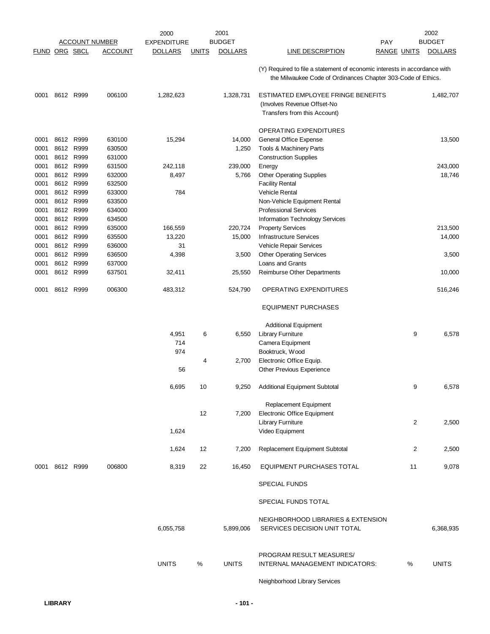|                      |                        |           |                       | 2000               | 2001                           |                                                                                                                                           |                    | 2002           |
|----------------------|------------------------|-----------|-----------------------|--------------------|--------------------------------|-------------------------------------------------------------------------------------------------------------------------------------------|--------------------|----------------|
|                      |                        |           | <b>ACCOUNT NUMBER</b> | <b>EXPENDITURE</b> | <b>BUDGET</b>                  |                                                                                                                                           | PAY                | <b>BUDGET</b>  |
| <b>FUND ORG SBCL</b> |                        |           | <u>ACCOUNT</u>        | <b>DOLLARS</b>     | <b>DOLLARS</b><br><u>UNITS</u> | <b>LINE DESCRIPTION</b>                                                                                                                   | <u>RANGE UNITS</u> | <b>DOLLARS</b> |
|                      |                        |           |                       |                    |                                | (Y) Required to file a statement of economic interests in accordance with<br>the Milwaukee Code of Ordinances Chapter 303-Code of Ethics. |                    |                |
| 0001                 | 8612 R999              |           | 006100                | 1,282,623          | 1,328,731                      | ESTIMATED EMPLOYEE FRINGE BENEFITS<br>(Involves Revenue Offset-No<br>Transfers from this Account)                                         |                    | 1,482,707      |
|                      |                        |           |                       |                    |                                | OPERATING EXPENDITURES                                                                                                                    |                    |                |
| 0001                 | 8612                   | R999      | 630100                | 15,294             | 14,000                         | General Office Expense                                                                                                                    |                    | 13,500         |
| 0001                 | 8612 R999              |           | 630500                |                    | 1,250                          | Tools & Machinery Parts                                                                                                                   |                    |                |
| 0001                 | 8612 R999              |           | 631000                |                    |                                | <b>Construction Supplies</b>                                                                                                              |                    |                |
| 0001                 | 8612 R999              |           | 631500                | 242,118            | 239,000                        | Energy                                                                                                                                    |                    | 243,000        |
| 0001<br>0001         | 8612 R999<br>8612 R999 |           | 632000<br>632500      | 8,497              | 5,766                          | <b>Other Operating Supplies</b><br><b>Facility Rental</b>                                                                                 |                    | 18,746         |
| 0001                 | 8612 R999              |           | 633000                | 784                |                                | Vehicle Rental                                                                                                                            |                    |                |
| 0001                 | 8612 R999              |           | 633500                |                    |                                | Non-Vehicle Equipment Rental                                                                                                              |                    |                |
| 0001                 |                        | 8612 R999 | 634000                |                    |                                | <b>Professional Services</b>                                                                                                              |                    |                |
| 0001                 |                        | 8612 R999 | 634500                |                    |                                | Information Technology Services                                                                                                           |                    |                |
| 0001                 | 8612                   | R999      | 635000                | 166,559            | 220,724                        | <b>Property Services</b>                                                                                                                  |                    | 213,500        |
| 0001                 | 8612 R999              |           | 635500                | 13,220             | 15,000                         | <b>Infrastructure Services</b>                                                                                                            |                    | 14,000         |
| 0001                 | 8612 R999              |           | 636000                | 31                 |                                | Vehicle Repair Services                                                                                                                   |                    |                |
| 0001<br>0001         | 8612 R999              | 8612 R999 | 636500<br>637000      | 4,398              | 3,500                          | <b>Other Operating Services</b><br>Loans and Grants                                                                                       |                    | 3,500          |
| 0001                 | 8612 R999              |           | 637501                | 32,411             | 25,550                         | Reimburse Other Departments                                                                                                               |                    | 10,000         |
| 0001                 |                        | 8612 R999 | 006300                | 483,312            | 524,790                        | OPERATING EXPENDITURES                                                                                                                    |                    | 516,246        |
|                      |                        |           |                       |                    |                                | <b>EQUIPMENT PURCHASES</b>                                                                                                                |                    |                |
|                      |                        |           |                       |                    |                                |                                                                                                                                           |                    |                |
|                      |                        |           |                       | 4,951              | 6<br>6,550                     | <b>Additional Equipment</b><br><b>Library Furniture</b>                                                                                   | 9                  | 6,578          |
|                      |                        |           |                       | 714                |                                | Camera Equipment                                                                                                                          |                    |                |
|                      |                        |           |                       | 974                |                                | Booktruck, Wood                                                                                                                           |                    |                |
|                      |                        |           |                       |                    | 2,700<br>4                     | Electronic Office Equip.                                                                                                                  |                    |                |
|                      |                        |           |                       | 56                 |                                | Other Previous Experience                                                                                                                 |                    |                |
|                      |                        |           |                       | 6,695              | 10<br>9,250                    | <b>Additional Equipment Subtotal</b>                                                                                                      | 9                  | 6,578          |
|                      |                        |           |                       |                    | 12<br>7,200                    | Replacement Equipment<br><b>Electronic Office Equipment</b>                                                                               |                    |                |
|                      |                        |           |                       |                    |                                | <b>Library Furniture</b>                                                                                                                  | 2                  | 2,500          |
|                      |                        |           |                       | 1,624              |                                | Video Equipment                                                                                                                           |                    |                |
|                      |                        |           |                       | 1,624              | 12<br>7,200                    | Replacement Equipment Subtotal                                                                                                            | 2                  | 2,500          |
|                      | 0001 8612 R999         |           | 006800                | 8,319              | 22<br>16,450                   | EQUIPMENT PURCHASES TOTAL                                                                                                                 | 11                 | 9,078          |
|                      |                        |           |                       |                    |                                | <b>SPECIAL FUNDS</b>                                                                                                                      |                    |                |
|                      |                        |           |                       |                    |                                | SPECIAL FUNDS TOTAL                                                                                                                       |                    |                |
|                      |                        |           |                       | 6,055,758          | 5,899,006                      | NEIGHBORHOOD LIBRARIES & EXTENSION<br>SERVICES DECISION UNIT TOTAL                                                                        |                    | 6,368,935      |
|                      |                        |           |                       | <b>UNITS</b>       | %<br><b>UNITS</b>              | PROGRAM RESULT MEASURES/<br>INTERNAL MANAGEMENT INDICATORS:                                                                               | %                  | <b>UNITS</b>   |
|                      |                        |           |                       |                    |                                | Neighborhood Library Services                                                                                                             |                    |                |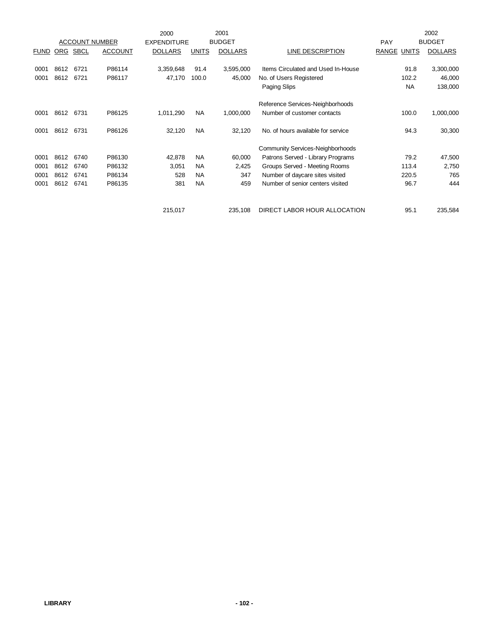|             |            |             |                       | 2000               |              | 2001           |                                         |                       | 2002              |
|-------------|------------|-------------|-----------------------|--------------------|--------------|----------------|-----------------------------------------|-----------------------|-------------------|
|             |            |             | <b>ACCOUNT NUMBER</b> | <b>EXPENDITURE</b> |              | <b>BUDGET</b>  |                                         | <b>PAY</b>            | <b>BUDGET</b>     |
| <b>FUND</b> | <u>ORG</u> | <b>SBCL</b> | <b>ACCOUNT</b>        | <b>DOLLARS</b>     | <b>UNITS</b> | <b>DOLLARS</b> | LINE DESCRIPTION                        | <b>RANGE</b><br>UNITS | <b>DOLLARS</b>    |
|             |            |             |                       |                    |              |                |                                         |                       |                   |
| 0001        | 8612       | 6721        | P86114                | 3,359,648          | 91.4         | 3,595,000      | Items Circulated and Used In-House      |                       | 91.8<br>3,300,000 |
| 0001        | 8612       | 6721        | P86117                | 47,170             | 100.0        | 45,000         | No. of Users Registered                 | 102.2                 | 46,000            |
|             |            |             |                       |                    |              |                | Paging Slips                            | <b>NA</b>             | 138,000           |
|             |            |             |                       |                    |              |                | Reference Services-Neighborhoods        |                       |                   |
| 0001        | 8612       | 6731        | P86125                | 1,011,290          | <b>NA</b>    | 1,000,000      | Number of customer contacts             | 100.0                 | 1,000,000         |
| 0001        | 8612       | 6731        | P86126                | 32,120             | <b>NA</b>    | 32,120         | No. of hours available for service      |                       | 94.3<br>30,300    |
|             |            |             |                       |                    |              |                | <b>Community Services-Neighborhoods</b> |                       |                   |
| 0001        | 8612       | 6740        | P86130                | 42,878             | <b>NA</b>    | 60,000         | Patrons Served - Library Programs       |                       | 79.2<br>47,500    |
| 0001        | 8612       | 6740        | P86132                | 3,051              | <b>NA</b>    | 2,425          | Groups Served - Meeting Rooms           | 113.4                 | 2,750             |
| 0001        | 8612       | 6741        | P86134                | 528                | <b>NA</b>    | 347            | Number of daycare sites visited         | 220.5                 | 765               |
| 0001        | 8612       | 6741        | P86135                | 381                | <b>NA</b>    | 459            | Number of senior centers visited        | 96.7                  | 444               |
|             |            |             |                       | 215,017            |              | 235,108        | DIRECT LABOR HOUR ALLOCATION            | 95.1                  |                   |
|             |            |             |                       |                    |              |                |                                         |                       | 235,584           |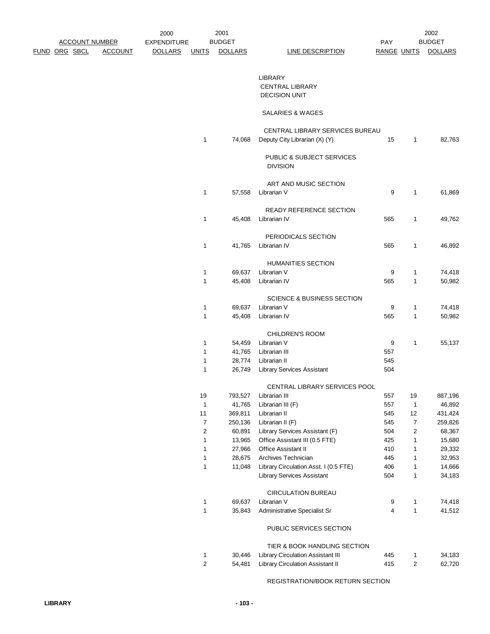| <b>ACCOUNT NUMBER</b> |                | 2000<br><b>EXPENDITURE</b> |                | 2001<br><b>BUDGET</b> |                                       | PAY                |                         | 2002<br><b>BUDGET</b> |
|-----------------------|----------------|----------------------------|----------------|-----------------------|---------------------------------------|--------------------|-------------------------|-----------------------|
| <u>FUND ORG SBCL</u>  | <b>ACCOUNT</b> | <b>DOLLARS</b>             | <b>UNITS</b>   | <b>DOLLARS</b>        | <b>LINE DESCRIPTION</b>               | <b>RANGE UNITS</b> |                         | <b>DOLLARS</b>        |
|                       |                |                            |                |                       |                                       |                    |                         |                       |
|                       |                |                            |                |                       | <b>LIBRARY</b>                        |                    |                         |                       |
|                       |                |                            |                |                       | <b>CENTRAL LIBRARY</b>                |                    |                         |                       |
|                       |                |                            |                |                       | <b>DECISION UNIT</b>                  |                    |                         |                       |
|                       |                |                            |                |                       | SALARIES & WAGES                      |                    |                         |                       |
|                       |                |                            |                |                       | CENTRAL LIBRARY SERVICES BUREAU       |                    |                         |                       |
|                       |                |                            | 1              | 74,068                | Deputy City Librarian (X) (Y)         | 15                 | 1                       | 82,763                |
|                       |                |                            |                |                       | PUBLIC & SUBJECT SERVICES             |                    |                         |                       |
|                       |                |                            |                |                       | <b>DIVISION</b>                       |                    |                         |                       |
|                       |                |                            |                |                       | ART AND MUSIC SECTION                 |                    |                         |                       |
|                       |                |                            | 1              | 57,558                | Librarian V                           | 9                  | 1                       | 61,869                |
|                       |                |                            |                |                       | READY REFERENCE SECTION               |                    |                         |                       |
|                       |                |                            | 1              | 45,408                | Librarian IV                          | 565                | 1                       | 49,762                |
|                       |                |                            |                |                       | PERIODICALS SECTION                   |                    |                         |                       |
|                       |                |                            | $\mathbf{1}$   | 41,765                | Librarian IV                          | 565                | 1                       | 46,892                |
|                       |                |                            |                |                       | HUMANITIES SECTION                    |                    |                         |                       |
|                       |                |                            | 1              | 69,637                | Librarian V                           | 9                  | $\mathbf{1}$            | 74,418                |
|                       |                |                            | 1              | 45,408                | Librarian IV                          | 565                | $\mathbf{1}$            | 50,982                |
|                       |                |                            |                |                       | <b>SCIENCE &amp; BUSINESS SECTION</b> |                    |                         |                       |
|                       |                |                            | 1              | 69,637                | Librarian V                           | 9                  | $\mathbf{1}$            | 74,418                |
|                       |                |                            | 1              | 45,408                | Librarian IV                          | 565                | 1                       | 50,982                |
|                       |                |                            |                |                       |                                       |                    |                         |                       |
|                       |                |                            | 1              | 54,459                | CHILDREN'S ROOM<br>Librarian V        | 9                  | 1                       | 55,137                |
|                       |                |                            | 1              | 41,765                | Librarian III                         | 557                |                         |                       |
|                       |                |                            | 1              | 28,774                | Librarian II                          | 545                |                         |                       |
|                       |                |                            | 1              | 26,749                | Library Services Assistant            | 504                |                         |                       |
|                       |                |                            |                |                       | CENTRAL LIBRARY SERVICES POOL         |                    |                         |                       |
|                       |                |                            | 19             | 793,527               | Librarian III                         | 557                | 19                      | 887,196               |
|                       |                |                            | $\mathbf{1}$   | 41,765                | Librarian III (F)                     | 557                | $\mathbf{1}$            | 46,892                |
|                       |                |                            | 11             | 369,811               | Librarian II                          | 545                | 12                      | 431,424               |
|                       |                |                            | $\overline{7}$ | 250,136               | Librarian II (F)                      | 545                | $\overline{7}$          | 259,826               |
|                       |                |                            | $\overline{c}$ | 60,891                | Library Services Assistant (F)        | 504                | $\overline{\mathbf{c}}$ | 68,367                |
|                       |                |                            | $\mathbf{1}$   | 13,965                | Office Assistant III (0.5 FTE)        | 425                | $\mathbf{1}$            | 15,680                |
|                       |                |                            | 1              | 27,966                | Office Assistant II                   | 410                | $\mathbf{1}$            | 29,332                |
|                       |                |                            | $\mathbf{1}$   | 28,675                | Archives Technician                   | 445                | $\mathbf{1}$            | 32,953                |
|                       |                |                            | 1              | 11,048                | Library Circulation Asst. I (0.5 FTE) | 406                | 1                       | 14,666                |
|                       |                |                            |                |                       | <b>Library Services Assistant</b>     | 504                | $\mathbf{1}$            | 34,183                |
|                       |                |                            |                |                       | <b>CIRCULATION BUREAU</b>             |                    |                         |                       |
|                       |                |                            | $\mathbf{1}$   | 69,637                | Librarian V                           | 9                  | $\mathbf{1}$            | 74,418                |
|                       |                |                            | $\mathbf{1}$   | 35,843                | Administrative Specialist Sr          | 4                  | $\mathbf{1}$            | 41,512                |
|                       |                |                            |                |                       | PUBLIC SERVICES SECTION               |                    |                         |                       |
|                       |                |                            |                |                       | TIER & BOOK HANDLING SECTION          |                    |                         |                       |
|                       |                |                            | $\mathbf{1}$   | 30,446                | Library Circulation Assistant III     | 445                | $\mathbf{1}$            | 34,183                |
|                       |                |                            | $\overline{2}$ | 54,481                | Library Circulation Assistant II      | 415                | $\overline{2}$          | 62,720                |
|                       |                |                            |                |                       |                                       |                    |                         |                       |

REGISTRATION/BOOK RETURN SECTION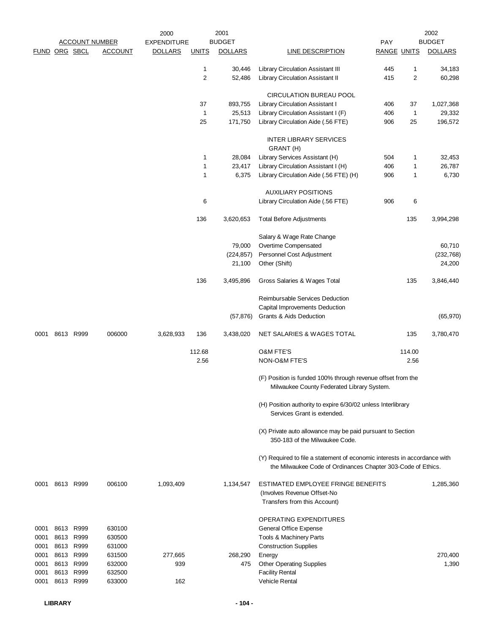|               |                |                       |                | 2000               |                     | 2001             |                                                                           |                    |              | 2002             |
|---------------|----------------|-----------------------|----------------|--------------------|---------------------|------------------|---------------------------------------------------------------------------|--------------------|--------------|------------------|
|               |                | <b>ACCOUNT NUMBER</b> |                | <b>EXPENDITURE</b> |                     | <b>BUDGET</b>    |                                                                           | PAY                |              | <b>BUDGET</b>    |
| FUND ORG SBCL |                |                       | <b>ACCOUNT</b> | <b>DOLLARS</b>     | <b>UNITS</b>        | <b>DOLLARS</b>   | LINE DESCRIPTION                                                          | <b>RANGE UNITS</b> |              | <b>DOLLARS</b>   |
|               |                |                       |                |                    |                     |                  |                                                                           |                    |              |                  |
|               |                |                       |                |                    | 1<br>$\overline{c}$ | 30,446<br>52,486 | Library Circulation Assistant III<br>Library Circulation Assistant II     | 445<br>415         | 1<br>2       | 34,183<br>60,298 |
|               |                |                       |                |                    |                     |                  |                                                                           |                    |              |                  |
|               |                |                       |                |                    |                     |                  | <b>CIRCULATION BUREAU POOL</b>                                            |                    |              |                  |
|               |                |                       |                |                    | 37                  | 893,755          | Library Circulation Assistant I                                           | 406                | 37           | 1,027,368        |
|               |                |                       |                |                    | $\mathbf{1}$        | 25,513           | Library Circulation Assistant I (F)                                       | 406                | $\mathbf{1}$ | 29,332           |
|               |                |                       |                |                    | 25                  | 171,750          | Library Circulation Aide (.56 FTE)                                        | 906                | 25           | 196,572          |
|               |                |                       |                |                    |                     |                  |                                                                           |                    |              |                  |
|               |                |                       |                |                    |                     |                  | <b>INTER LIBRARY SERVICES</b>                                             |                    |              |                  |
|               |                |                       |                |                    |                     |                  | GRANT (H)                                                                 |                    |              |                  |
|               |                |                       |                |                    | 1                   | 28,084           | Library Services Assistant (H)                                            | 504                | 1            | 32,453           |
|               |                |                       |                |                    | 1                   | 23,417           | Library Circulation Assistant I (H)                                       | 406                | 1            | 26,787           |
|               |                |                       |                |                    | 1                   | 6,375            | Library Circulation Aide (.56 FTE) (H)                                    | 906                | 1            | 6,730            |
|               |                |                       |                |                    |                     |                  | <b>AUXILIARY POSITIONS</b>                                                |                    |              |                  |
|               |                |                       |                |                    | 6                   |                  | Library Circulation Aide (.56 FTE)                                        | 906                | 6            |                  |
|               |                |                       |                |                    |                     |                  |                                                                           |                    |              |                  |
|               |                |                       |                |                    | 136                 | 3,620,653        | <b>Total Before Adjustments</b>                                           |                    | 135          | 3,994,298        |
|               |                |                       |                |                    |                     |                  |                                                                           |                    |              |                  |
|               |                |                       |                |                    |                     |                  | Salary & Wage Rate Change                                                 |                    |              |                  |
|               |                |                       |                |                    |                     | 79,000           | Overtime Compensated                                                      |                    |              | 60,710           |
|               |                |                       |                |                    |                     | (224, 857)       | Personnel Cost Adjustment                                                 |                    |              | (232, 768)       |
|               |                |                       |                |                    |                     | 21,100           | Other (Shift)                                                             |                    |              | 24,200           |
|               |                |                       |                |                    | 136                 | 3,495,896        | Gross Salaries & Wages Total                                              |                    | 135          | 3,846,440        |
|               |                |                       |                |                    |                     |                  |                                                                           |                    |              |                  |
|               |                |                       |                |                    |                     |                  | Reimbursable Services Deduction                                           |                    |              |                  |
|               |                |                       |                |                    |                     |                  | Capital Improvements Deduction                                            |                    |              |                  |
|               |                |                       |                |                    |                     | (57, 876)        | Grants & Aids Deduction                                                   |                    |              | (65, 970)        |
|               |                |                       |                |                    |                     |                  |                                                                           |                    |              |                  |
| 0001          | 8613 R999      |                       | 006000         | 3,628,933          | 136                 | 3,438,020        | NET SALARIES & WAGES TOTAL                                                |                    | 135          | 3,780,470        |
|               |                |                       |                |                    | 112.68              |                  | <b>O&amp;M FTE'S</b>                                                      |                    | 114.00       |                  |
|               |                |                       |                |                    | 2.56                |                  | NON-O&M FTE'S                                                             |                    | 2.56         |                  |
|               |                |                       |                |                    |                     |                  |                                                                           |                    |              |                  |
|               |                |                       |                |                    |                     |                  | (F) Position is funded 100% through revenue offset from the               |                    |              |                  |
|               |                |                       |                |                    |                     |                  | Milwaukee County Federated Library System.                                |                    |              |                  |
|               |                |                       |                |                    |                     |                  |                                                                           |                    |              |                  |
|               |                |                       |                |                    |                     |                  | (H) Position authority to expire 6/30/02 unless Interlibrary              |                    |              |                  |
|               |                |                       |                |                    |                     |                  | Services Grant is extended.                                               |                    |              |                  |
|               |                |                       |                |                    |                     |                  | (X) Private auto allowance may be paid pursuant to Section                |                    |              |                  |
|               |                |                       |                |                    |                     |                  | 350-183 of the Milwaukee Code.                                            |                    |              |                  |
|               |                |                       |                |                    |                     |                  |                                                                           |                    |              |                  |
|               |                |                       |                |                    |                     |                  | (Y) Required to file a statement of economic interests in accordance with |                    |              |                  |
|               |                |                       |                |                    |                     |                  | the Milwaukee Code of Ordinances Chapter 303-Code of Ethics.              |                    |              |                  |
|               |                |                       |                |                    |                     |                  |                                                                           |                    |              |                  |
|               | 0001 8613 R999 |                       | 006100         | 1,093,409          |                     | 1,134,547        | ESTIMATED EMPLOYEE FRINGE BENEFITS                                        |                    |              | 1,285,360        |
|               |                |                       |                |                    |                     |                  | (Involves Revenue Offset-No                                               |                    |              |                  |
|               |                |                       |                |                    |                     |                  | Transfers from this Account)                                              |                    |              |                  |
|               |                |                       |                |                    |                     |                  | OPERATING EXPENDITURES                                                    |                    |              |                  |
| 0001          | 8613 R999      |                       | 630100         |                    |                     |                  | General Office Expense                                                    |                    |              |                  |
| 0001          | 8613 R999      |                       | 630500         |                    |                     |                  | Tools & Machinery Parts                                                   |                    |              |                  |
| 0001          | 8613 R999      |                       | 631000         |                    |                     |                  | <b>Construction Supplies</b>                                              |                    |              |                  |
| 0001          | 8613           | R999                  | 631500         | 277,665            |                     | 268,290          | Energy                                                                    |                    |              | 270,400          |
| 0001          |                | 8613 R999             | 632000         | 939                |                     | 475              | <b>Other Operating Supplies</b>                                           |                    |              | 1,390            |
| 0001          |                | 8613 R999             | 632500         |                    |                     |                  | <b>Facility Rental</b>                                                    |                    |              |                  |
| 0001          |                | 8613 R999             | 633000         | 162                |                     |                  | <b>Vehicle Rental</b>                                                     |                    |              |                  |
|               |                |                       |                |                    |                     |                  |                                                                           |                    |              |                  |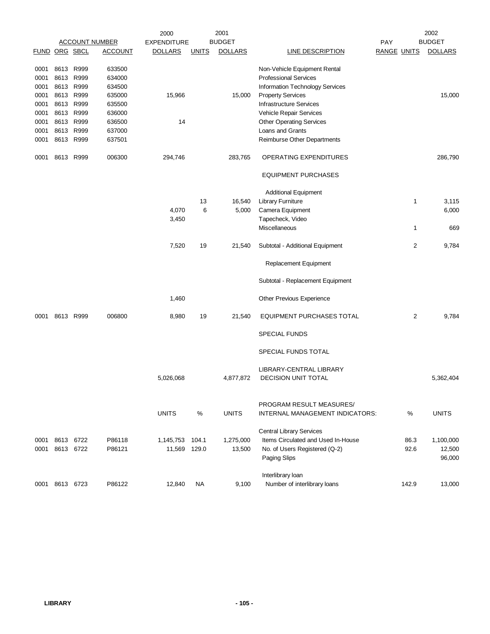|               |           |      |                       | 2000               |              | 2001           |                                                              |                    |       | 2002           |
|---------------|-----------|------|-----------------------|--------------------|--------------|----------------|--------------------------------------------------------------|--------------------|-------|----------------|
|               |           |      | <b>ACCOUNT NUMBER</b> | <b>EXPENDITURE</b> |              | <b>BUDGET</b>  |                                                              | PAY                |       | <b>BUDGET</b>  |
| FUND ORG SBCL |           |      | <b>ACCOUNT</b>        | <b>DOLLARS</b>     | <b>UNITS</b> | <b>DOLLARS</b> | <b>LINE DESCRIPTION</b>                                      | <b>RANGE UNITS</b> |       | <b>DOLLARS</b> |
| 0001          | 8613 R999 |      | 633500                |                    |              |                |                                                              |                    |       |                |
| 0001          | 8613      | R999 | 634000                |                    |              |                | Non-Vehicle Equipment Rental<br><b>Professional Services</b> |                    |       |                |
| 0001          | 8613 R999 |      | 634500                |                    |              |                | <b>Information Technology Services</b>                       |                    |       |                |
| 0001          | 8613      | R999 | 635000                | 15,966             |              | 15,000         |                                                              |                    |       | 15,000         |
|               | 8613      | R999 | 635500                |                    |              |                | <b>Property Services</b><br>Infrastructure Services          |                    |       |                |
| 0001          | 8613 R999 |      | 636000                |                    |              |                |                                                              |                    |       |                |
| 0001          |           |      |                       |                    |              |                | Vehicle Repair Services                                      |                    |       |                |
| 0001          | 8613 R999 |      | 636500                | 14                 |              |                | <b>Other Operating Services</b>                              |                    |       |                |
| 0001          | 8613      | R999 | 637000                |                    |              |                | Loans and Grants                                             |                    |       |                |
| 0001          | 8613 R999 |      | 637501                |                    |              |                | <b>Reimburse Other Departments</b>                           |                    |       |                |
| 0001          | 8613 R999 |      | 006300                | 294,746            |              | 283,765        | OPERATING EXPENDITURES                                       |                    |       | 286,790        |
|               |           |      |                       |                    |              |                | <b>EQUIPMENT PURCHASES</b>                                   |                    |       |                |
|               |           |      |                       |                    |              |                | <b>Additional Equipment</b>                                  |                    |       |                |
|               |           |      |                       |                    | 13           | 16,540         | <b>Library Furniture</b>                                     |                    | 1     | 3,115          |
|               |           |      |                       | 4,070              | 6            |                | Camera Equipment                                             |                    |       |                |
|               |           |      |                       |                    |              | 5,000          |                                                              |                    |       | 6,000          |
|               |           |      |                       | 3,450              |              |                | Tapecheck, Video<br>Miscellaneous                            |                    | 1     | 669            |
|               |           |      |                       |                    |              |                |                                                              |                    |       |                |
|               |           |      |                       | 7,520              | 19           | 21,540         | Subtotal - Additional Equipment                              |                    | 2     | 9,784          |
|               |           |      |                       |                    |              |                | Replacement Equipment                                        |                    |       |                |
|               |           |      |                       |                    |              |                | Subtotal - Replacement Equipment                             |                    |       |                |
|               |           |      |                       | 1,460              |              |                | Other Previous Experience                                    |                    |       |                |
| 0001          | 8613 R999 |      | 006800                | 8,980              | 19           | 21,540         | <b>EQUIPMENT PURCHASES TOTAL</b>                             |                    | 2     | 9,784          |
|               |           |      |                       |                    |              |                | <b>SPECIAL FUNDS</b>                                         |                    |       |                |
|               |           |      |                       |                    |              |                | SPECIAL FUNDS TOTAL                                          |                    |       |                |
|               |           |      |                       |                    |              |                |                                                              |                    |       |                |
|               |           |      |                       |                    |              |                | LIBRARY-CENTRAL LIBRARY                                      |                    |       |                |
|               |           |      |                       | 5,026,068          |              | 4,877,872      | DECISION UNIT TOTAL                                          |                    |       | 5,362,404      |
|               |           |      |                       |                    |              |                | PROGRAM RESULT MEASURES/                                     |                    |       |                |
|               |           |      |                       | <b>UNITS</b>       | %            | <b>UNITS</b>   | INTERNAL MANAGEMENT INDICATORS:                              |                    | %     | <b>UNITS</b>   |
|               |           |      |                       |                    |              |                |                                                              |                    |       |                |
|               |           |      |                       |                    |              |                | <b>Central Library Services</b>                              |                    |       |                |
| 0001          | 8613      | 6722 | P86118                | 1,145,753          | 104.1        | 1,275,000      | Items Circulated and Used In-House                           |                    | 86.3  | 1,100,000      |
| 0001          | 8613 6722 |      | P86121                | 11,569 129.0       |              | 13,500         | No. of Users Registered (Q-2)                                |                    | 92.6  | 12,500         |
|               |           |      |                       |                    |              |                | Paging Slips                                                 |                    |       | 96,000         |
|               |           |      |                       |                    |              |                |                                                              |                    |       |                |
| 0001          | 8613 6723 |      | P86122                | 12,840             | <b>NA</b>    | 9,100          | Interlibrary loan<br>Number of interlibrary loans            |                    | 142.9 | 13,000         |
|               |           |      |                       |                    |              |                |                                                              |                    |       |                |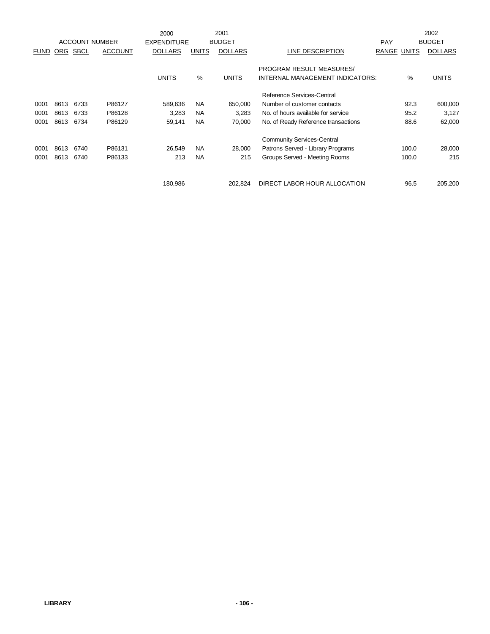|             |      |                       |                | 2000               |              | 2001           |                                     |            |              | 2002           |
|-------------|------|-----------------------|----------------|--------------------|--------------|----------------|-------------------------------------|------------|--------------|----------------|
|             |      | <b>ACCOUNT NUMBER</b> |                | <b>EXPENDITURE</b> |              | <b>BUDGET</b>  |                                     | <b>PAY</b> |              | <b>BUDGET</b>  |
| <b>FUND</b> | ORG  | <b>SBCL</b>           | <b>ACCOUNT</b> | <b>DOLLARS</b>     | <b>UNITS</b> | <b>DOLLARS</b> | LINE DESCRIPTION                    | RANGE      | <b>UNITS</b> | <b>DOLLARS</b> |
|             |      |                       |                |                    |              |                |                                     |            |              |                |
|             |      |                       |                |                    |              |                | PROGRAM RESULT MEASURES/            |            |              |                |
|             |      |                       |                | <b>UNITS</b>       | %            | <b>UNITS</b>   | INTERNAL MANAGEMENT INDICATORS:     |            | $\%$         | <b>UNITS</b>   |
|             |      |                       |                |                    |              |                | Reference Services-Central          |            |              |                |
| 0001        | 8613 | 6733                  | P86127         | 589,636            | <b>NA</b>    | 650,000        | Number of customer contacts         |            | 92.3         | 600,000        |
| 0001        | 8613 | 6733                  | P86128         | 3,283              | <b>NA</b>    | 3,283          | No. of hours available for service  |            | 95.2         | 3,127          |
| 0001        | 8613 | 6734                  | P86129         | 59,141             | <b>NA</b>    | 70,000         | No. of Ready Reference transactions |            | 88.6         | 62,000         |
|             |      |                       |                |                    |              |                | <b>Community Services-Central</b>   |            |              |                |
| 0001        | 8613 | 6740                  | P86131         | 26,549             | <b>NA</b>    | 28,000         | Patrons Served - Library Programs   |            | 100.0        | 28,000         |
| 0001        | 8613 | 6740                  | P86133         | 213                | <b>NA</b>    | 215            | Groups Served - Meeting Rooms       |            | 100.0        | 215            |
|             |      |                       |                |                    |              |                |                                     |            |              |                |
|             |      |                       |                | 180,986            |              | 202.824        | DIRECT LABOR HOUR ALLOCATION        |            | 96.5         | 205,200        |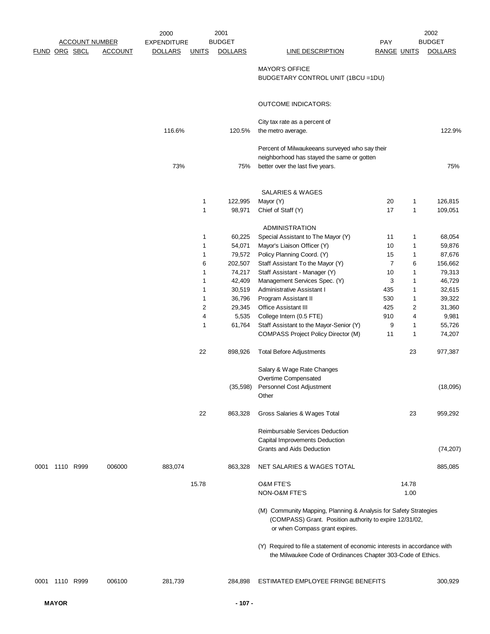|                |                       | 2000               |              | 2001           |                                                                           |                    |       | 2002           |
|----------------|-----------------------|--------------------|--------------|----------------|---------------------------------------------------------------------------|--------------------|-------|----------------|
|                | <b>ACCOUNT NUMBER</b> | <b>EXPENDITURE</b> |              | <b>BUDGET</b>  |                                                                           | PAY                |       | <b>BUDGET</b>  |
| FUND ORG SBCL  | <b>ACCOUNT</b>        | <b>DOLLARS</b>     | <u>UNITS</u> | <b>DOLLARS</b> | <b>LINE DESCRIPTION</b>                                                   | <b>RANGE UNITS</b> |       | <b>DOLLARS</b> |
|                |                       |                    |              |                |                                                                           |                    |       |                |
|                |                       |                    |              |                | <b>MAYOR'S OFFICE</b><br>BUDGETARY CONTROL UNIT (1BCU =1DU)               |                    |       |                |
|                |                       |                    |              |                |                                                                           |                    |       |                |
|                |                       |                    |              |                |                                                                           |                    |       |                |
|                |                       |                    |              |                | <b>OUTCOME INDICATORS:</b>                                                |                    |       |                |
|                |                       |                    |              |                |                                                                           |                    |       |                |
|                |                       |                    |              |                | City tax rate as a percent of                                             |                    |       |                |
|                |                       | 116.6%             |              | 120.5%         | the metro average.                                                        |                    |       | 122.9%         |
|                |                       |                    |              |                |                                                                           |                    |       |                |
|                |                       |                    |              |                | Percent of Milwaukeeans surveyed who say their                            |                    |       |                |
|                |                       |                    |              |                | neighborhood has stayed the same or gotten                                |                    |       |                |
|                |                       | 73%                |              | 75%            | better over the last five years.                                          |                    |       | 75%            |
|                |                       |                    |              |                |                                                                           |                    |       |                |
|                |                       |                    |              |                |                                                                           |                    |       |                |
|                |                       |                    |              |                | <b>SALARIES &amp; WAGES</b>                                               |                    |       |                |
|                |                       |                    | 1            | 122,995        | Mayor (Y)                                                                 | 20<br>17           | 1     | 126,815        |
|                |                       |                    | 1            | 98,971         | Chief of Staff (Y)                                                        |                    | 1     | 109,051        |
|                |                       |                    |              |                | ADMINISTRATION                                                            |                    |       |                |
|                |                       |                    | 1            | 60,225         | Special Assistant to The Mayor (Y)                                        | 11                 | 1     | 68,054         |
|                |                       |                    | 1            | 54,071         | Mayor's Liaison Officer (Y)                                               | 10                 | 1     | 59,876         |
|                |                       |                    | 1            | 79,572         | Policy Planning Coord. (Y)                                                | 15                 | 1     | 87,676         |
|                |                       |                    | 6            | 202,507        | Staff Assistant To the Mayor (Y)                                          | $\overline{7}$     | 6     | 156,662        |
|                |                       |                    | 1            | 74,217         | Staff Assistant - Manager (Y)                                             | 10                 | 1     | 79,313         |
|                |                       |                    | 1            | 42,409         | Management Services Spec. (Y)                                             | 3                  | 1     | 46,729         |
|                |                       |                    | 1            | 30,519         | Administrative Assistant I                                                | 435                | 1     | 32,615         |
|                |                       |                    | 1            | 36,796         | Program Assistant II                                                      | 530                | 1     | 39,322         |
|                |                       |                    | 2            | 29,345         | Office Assistant III                                                      | 425                | 2     | 31,360         |
|                |                       |                    | 4            | 5,535          | College Intern (0.5 FTE)                                                  | 910                | 4     | 9,981          |
|                |                       |                    | 1            | 61,764         | Staff Assistant to the Mayor-Senior (Y)                                   | 9                  | 1     | 55,726         |
|                |                       |                    |              |                | <b>COMPASS Project Policy Director (M)</b>                                | 11                 | 1     | 74,207         |
|                |                       |                    |              |                |                                                                           |                    |       |                |
|                |                       |                    | 22           | 898,926        | <b>Total Before Adjustments</b>                                           |                    | 23    | 977,387        |
|                |                       |                    |              |                |                                                                           |                    |       |                |
|                |                       |                    |              |                | Salary & Wage Rate Changes                                                |                    |       |                |
|                |                       |                    |              |                | Overtime Compensated                                                      |                    |       |                |
|                |                       |                    |              |                | (35,598) Personnel Cost Adjustment                                        |                    |       | (18,095)       |
|                |                       |                    |              |                | Other                                                                     |                    |       |                |
|                |                       |                    |              |                |                                                                           |                    |       |                |
|                |                       |                    | 22           | 863,328        | Gross Salaries & Wages Total                                              |                    | 23    | 959,292        |
|                |                       |                    |              |                |                                                                           |                    |       |                |
|                |                       |                    |              |                | Reimbursable Services Deduction<br>Capital Improvements Deduction         |                    |       |                |
|                |                       |                    |              |                | Grants and Aids Deduction                                                 |                    |       | (74, 207)      |
|                |                       |                    |              |                |                                                                           |                    |       |                |
| 0001 1110 R999 | 006000                | 883,074            |              | 863,328        | NET SALARIES & WAGES TOTAL                                                |                    |       | 885,085        |
|                |                       |                    |              |                |                                                                           |                    |       |                |
|                |                       |                    | 15.78        |                | O&M FTE'S                                                                 |                    | 14.78 |                |
|                |                       |                    |              |                | NON-O&M FTE'S                                                             |                    | 1.00  |                |
|                |                       |                    |              |                |                                                                           |                    |       |                |
|                |                       |                    |              |                | (M) Community Mapping, Planning & Analysis for Safety Strategies          |                    |       |                |
|                |                       |                    |              |                | (COMPASS) Grant. Position authority to expire 12/31/02,                   |                    |       |                |
|                |                       |                    |              |                | or when Compass grant expires.                                            |                    |       |                |
|                |                       |                    |              |                |                                                                           |                    |       |                |
|                |                       |                    |              |                | (Y) Required to file a statement of economic interests in accordance with |                    |       |                |
|                |                       |                    |              |                | the Milwaukee Code of Ordinances Chapter 303-Code of Ethics.              |                    |       |                |
|                |                       |                    |              |                |                                                                           |                    |       |                |
|                |                       |                    |              |                |                                                                           |                    |       |                |
| 0001 1110 R999 | 006100                | 281,739            |              | 284,898        | ESTIMATED EMPLOYEE FRINGE BENEFITS                                        |                    |       | 300,929        |
|                |                       |                    |              |                |                                                                           |                    |       |                |
| <b>MAYOR</b>   |                       |                    |              | $-107 -$       |                                                                           |                    |       |                |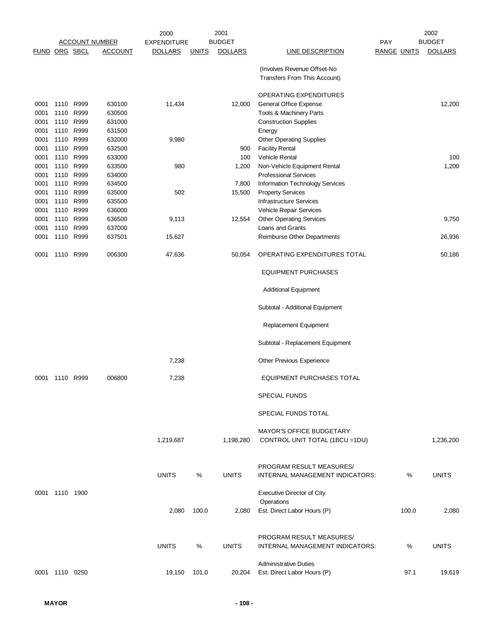|                      |                |      |                       | 2000               |              | 2001           |                                                                   |                    |       | 2002           |
|----------------------|----------------|------|-----------------------|--------------------|--------------|----------------|-------------------------------------------------------------------|--------------------|-------|----------------|
|                      |                |      | <b>ACCOUNT NUMBER</b> | <b>EXPENDITURE</b> |              | <b>BUDGET</b>  |                                                                   | PAY                |       | <b>BUDGET</b>  |
| <b>FUND ORG SBCL</b> |                |      | <u>ACCOUNT</u>        | <b>DOLLARS</b>     | <b>UNITS</b> | <b>DOLLARS</b> | <b>LINE DESCRIPTION</b>                                           | <b>RANGE UNITS</b> |       | <b>DOLLARS</b> |
|                      |                |      |                       |                    |              |                | (Involves Revenue Offset-No<br>Transfers From This Account)       |                    |       |                |
|                      |                |      |                       |                    |              |                | OPERATING EXPENDITURES                                            |                    |       |                |
| 0001                 | 1110 R999      |      | 630100                | 11,434             |              | 12,000         | General Office Expense                                            |                    |       | 12,200         |
| 0001                 | 1110           | R999 | 630500                |                    |              |                | Tools & Machinery Parts                                           |                    |       |                |
| 0001                 | 1110           | R999 | 631000                |                    |              |                | <b>Construction Supplies</b>                                      |                    |       |                |
| 0001                 | 1110 R999      |      | 631500                |                    |              |                | Energy                                                            |                    |       |                |
| 0001                 | 1110 R999      |      | 632000                | 9,980              |              |                | Other Operating Supplies                                          |                    |       |                |
| 0001                 | 1110 R999      |      | 632500                |                    |              | 900            | <b>Facility Rental</b>                                            |                    |       |                |
| 0001                 | 1110 R999      |      | 633000                |                    |              | 100            | Vehicle Rental                                                    |                    |       | 100            |
| 0001                 | 1110 R999      |      | 633500                | 980                |              | 1,200          | Non-Vehicle Equipment Rental                                      |                    |       | 1,200          |
| 0001                 | 1110           | R999 | 634000                |                    |              |                | <b>Professional Services</b>                                      |                    |       |                |
| 0001                 | 1110 R999      |      | 634500                |                    |              | 7,800          | Information Technology Services                                   |                    |       |                |
| 0001                 | 1110 R999      |      | 635000                | 502                |              | 15,500         | <b>Property Services</b>                                          |                    |       |                |
| 0001                 | 1110 R999      |      | 635500                |                    |              |                | <b>Infrastructure Services</b>                                    |                    |       |                |
| 0001                 | 1110 R999      |      | 636000                |                    |              |                | Vehicle Repair Services                                           |                    |       |                |
| 0001                 | 1110 R999      |      | 636500                | 9,113              |              | 12,554         | <b>Other Operating Services</b>                                   |                    |       | 9,750          |
| 0001                 | 1110           | R999 | 637000                |                    |              |                | Loans and Grants                                                  |                    |       |                |
| 0001                 | 1110 R999      |      | 637501                | 15,627             |              |                | Reimburse Other Departments                                       |                    |       | 26,936         |
| 0001                 | 1110 R999      |      | 006300                | 47,636             |              | 50,054         | OPERATING EXPENDITURES TOTAL                                      |                    |       | 50,186         |
|                      |                |      |                       |                    |              |                | <b>EQUIPMENT PURCHASES</b>                                        |                    |       |                |
|                      |                |      |                       |                    |              |                | <b>Additional Equipment</b>                                       |                    |       |                |
|                      |                |      |                       |                    |              |                | Subtotal - Additional Equipment                                   |                    |       |                |
|                      |                |      |                       |                    |              |                | Replacement Equipment                                             |                    |       |                |
|                      |                |      |                       |                    |              |                | Subtotal - Replacement Equipment                                  |                    |       |                |
|                      |                |      |                       | 7,238              |              |                | Other Previous Experience                                         |                    |       |                |
| 0001                 | 1110 R999      |      | 006800                | 7,238              |              |                | EQUIPMENT PURCHASES TOTAL                                         |                    |       |                |
|                      |                |      |                       |                    |              |                | <b>SPECIAL FUNDS</b>                                              |                    |       |                |
|                      |                |      |                       |                    |              |                | SPECIAL FUNDS TOTAL                                               |                    |       |                |
|                      |                |      |                       |                    |              |                |                                                                   |                    |       |                |
|                      |                |      |                       | 1,219,687          |              | 1,198,280      | <b>MAYOR'S OFFICE BUDGETARY</b><br>CONTROL UNIT TOTAL (1BCU =1DU) |                    |       | 1,236,200      |
|                      |                |      |                       | <b>UNITS</b>       | %            | <b>UNITS</b>   | PROGRAM RESULT MEASURES/<br>INTERNAL MANAGEMENT INDICATORS:       |                    | %     | <b>UNITS</b>   |
|                      | 1110 1900      |      |                       |                    |              |                |                                                                   |                    |       |                |
| 0001                 |                |      |                       |                    |              |                | Executive Director of City<br>Operations                          |                    |       |                |
|                      |                |      |                       | 2,080              | 100.0        | 2,080          | Est. Direct Labor Hours (P)                                       |                    | 100.0 | 2,080          |
|                      |                |      |                       |                    |              |                | PROGRAM RESULT MEASURES/                                          |                    |       |                |
|                      |                |      |                       | <b>UNITS</b>       | ℅            | <b>UNITS</b>   | INTERNAL MANAGEMENT INDICATORS:                                   |                    | %     | <b>UNITS</b>   |
|                      |                |      |                       |                    |              |                | <b>Administrative Duties</b>                                      |                    |       |                |
|                      | 0001 1110 0250 |      |                       | 19,150             | 101.0        | 20,204         | Est. Direct Labor Hours (P)                                       |                    | 97.1  | 19,619         |
|                      |                |      |                       |                    |              |                |                                                                   |                    |       |                |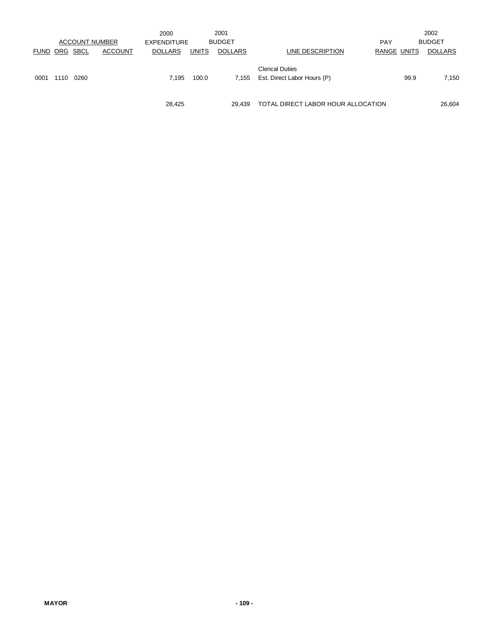|                      |      | <b>ACCOUNT NUMBER</b> |                | 2000                                 |              | 2001<br><b>BUDGET</b> |                                    | <b>PAY</b>  |      | 2002<br><b>BUDGET</b> |
|----------------------|------|-----------------------|----------------|--------------------------------------|--------------|-----------------------|------------------------------------|-------------|------|-----------------------|
| <b>FUND ORG SBCL</b> |      |                       | <b>ACCOUNT</b> | <b>EXPENDITURE</b><br><b>DOLLARS</b> | <b>UNITS</b> | <b>DOLLARS</b>        | LINE DESCRIPTION                   | RANGE UNITS |      | <b>DOLLARS</b>        |
|                      |      |                       |                |                                      |              |                       |                                    |             |      |                       |
|                      |      |                       |                |                                      |              |                       | <b>Clerical Duties</b>             |             |      |                       |
| 0001                 | 1110 | 0260                  |                | 7.195                                | 100.0        | 7.155                 | Est. Direct Labor Hours (P)        |             | 99.9 | 7,150                 |
|                      |      |                       |                |                                      |              |                       |                                    |             |      |                       |
|                      |      |                       |                | 28.425                               |              | 29.439                | TOTAL DIRECT LABOR HOUR ALLOCATION |             |      | 26.604                |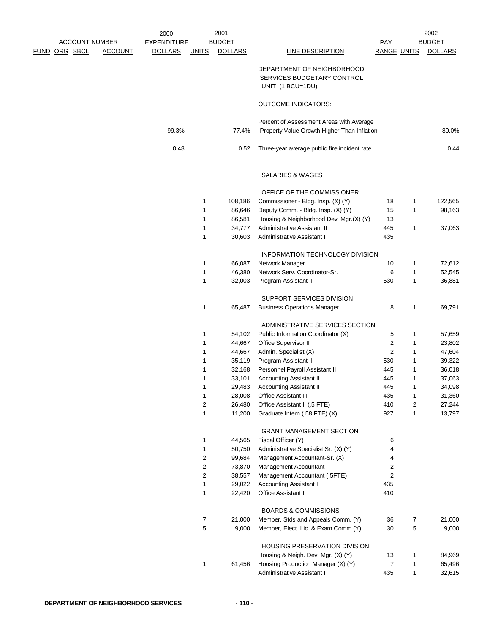| <b>ACCOUNT NUMBER</b> |                | 2000<br><b>EXPENDITURE</b> |              | 2001<br><b>BUDGET</b> |                                                                                         | <b>PAY</b>              |              | 2002<br><b>BUDGET</b> |
|-----------------------|----------------|----------------------------|--------------|-----------------------|-----------------------------------------------------------------------------------------|-------------------------|--------------|-----------------------|
| <u>FUND ORG SBCL</u>  | <b>ACCOUNT</b> | <b>DOLLARS</b>             | <b>UNITS</b> | <b>DOLLARS</b>        | LINE DESCRIPTION                                                                        | <b>RANGE UNITS</b>      |              | <b>DOLLARS</b>        |
|                       |                |                            |              |                       | DEPARTMENT OF NEIGHBORHOOD<br>SERVICES BUDGETARY CONTROL<br>UNIT (1 BCU=1DU)            |                         |              |                       |
|                       |                |                            |              |                       | <b>OUTCOME INDICATORS:</b>                                                              |                         |              |                       |
|                       |                |                            |              |                       |                                                                                         |                         |              |                       |
|                       |                | 99.3%                      |              | 77.4%                 | Percent of Assessment Areas with Average<br>Property Value Growth Higher Than Inflation |                         |              | 80.0%                 |
|                       |                | 0.48                       |              | 0.52                  | Three-year average public fire incident rate.                                           |                         |              | 0.44                  |
|                       |                |                            |              |                       | SALARIES & WAGES                                                                        |                         |              |                       |
|                       |                |                            |              |                       |                                                                                         |                         |              |                       |
|                       |                |                            |              |                       | OFFICE OF THE COMMISSIONER                                                              |                         |              |                       |
|                       |                |                            | 1            | 108,186               | Commissioner - Bldg. Insp. (X) (Y)                                                      | 18                      | 1            | 122,565               |
|                       |                |                            | 1            | 86,646                | Deputy Comm. - Bldg. Insp. (X) (Y)                                                      | 15                      | 1            | 98,163                |
|                       |                |                            | 1            | 86,581                | Housing & Neighborhood Dev. Mgr.(X) (Y)                                                 | 13                      |              |                       |
|                       |                |                            | 1            | 34,777                | Administrative Assistant II                                                             | 445                     | 1            | 37,063                |
|                       |                |                            | 1            | 30,603                | Administrative Assistant I                                                              | 435                     |              |                       |
|                       |                |                            |              |                       | INFORMATION TECHNOLOGY DIVISION                                                         |                         |              |                       |
|                       |                |                            | 1            | 66,087                | Network Manager                                                                         | 10                      | 1            | 72,612                |
|                       |                |                            | 1            | 46,380                | Network Serv. Coordinator-Sr.                                                           | 6                       | 1            | 52,545                |
|                       |                |                            | 1            | 32,003                | Program Assistant II                                                                    | 530                     | 1            | 36,881                |
|                       |                |                            |              |                       | SUPPORT SERVICES DIVISION                                                               |                         |              |                       |
|                       |                |                            | 1            | 65,487                | <b>Business Operations Manager</b>                                                      | 8                       | 1            | 69,791                |
|                       |                |                            |              |                       | ADMINISTRATIVE SERVICES SECTION                                                         |                         |              |                       |
|                       |                |                            | 1            | 54,102                | Public Information Coordinator (X)                                                      | 5                       | 1            | 57,659                |
|                       |                |                            | 1            | 44,667                | Office Supervisor II                                                                    | $\overline{2}$          | 1            | 23,802                |
|                       |                |                            | 1            | 44,667                | Admin. Specialist (X)                                                                   | $\overline{2}$          | 1            | 47,604                |
|                       |                |                            | 1            | 35,119                | Program Assistant II                                                                    | 530                     | 1            | 39,322                |
|                       |                |                            | 1            | 32,168                | Personnel Payroll Assistant II                                                          | 445                     | 1            | 36,018                |
|                       |                |                            | 1            | 33,101                | <b>Accounting Assistant II</b>                                                          | 445                     | 1            | 37,063                |
|                       |                |                            | 1            | 29,483                | <b>Accounting Assistant II</b>                                                          | 445                     |              | 34,098                |
|                       |                |                            | 1            | 28,008                | Office Assistant III                                                                    | 435                     | $\mathbf{1}$ | 31,360                |
|                       |                |                            | 2            | 26,480                | Office Assistant II (.5 FTE)                                                            | 410                     | 2            | 27,244                |
|                       |                |                            | 1            | 11,200                | Graduate Intern (.58 FTE) (X)                                                           | 927                     | 1            | 13,797                |
|                       |                |                            |              |                       | <b>GRANT MANAGEMENT SECTION</b>                                                         |                         |              |                       |
|                       |                |                            | 1            | 44,565                | Fiscal Officer (Y)                                                                      | 6                       |              |                       |
|                       |                |                            | 1            | 50,750                | Administrative Specialist Sr. (X) (Y)                                                   | 4                       |              |                       |
|                       |                |                            | 2            | 99,684                | Management Accountant-Sr. (X)                                                           | 4                       |              |                       |
|                       |                |                            | 2            | 73,870                | Management Accountant                                                                   | $\overline{\mathbf{c}}$ |              |                       |
|                       |                |                            | 2            | 38,557                | Management Accountant (.5FTE)                                                           | $\sqrt{2}$              |              |                       |
|                       |                |                            | 1            | 29,022                | <b>Accounting Assistant I</b>                                                           | 435                     |              |                       |
|                       |                |                            | 1            | 22,420                | Office Assistant II                                                                     | 410                     |              |                       |
|                       |                |                            |              |                       |                                                                                         |                         |              |                       |
|                       |                |                            |              |                       | <b>BOARDS &amp; COMMISSIONS</b>                                                         |                         |              |                       |
|                       |                |                            | 7            | 21,000                | Member, Stds and Appeals Comm. (Y)                                                      | 36                      | 7            | 21,000                |
|                       |                |                            | 5            | 9,000                 | Member, Elect. Lic. & Exam.Comm (Y)                                                     | $30\,$                  | 5            | 9,000                 |
|                       |                |                            |              |                       | HOUSING PRESERVATION DIVISION                                                           |                         |              |                       |
|                       |                |                            |              |                       | Housing & Neigh. Dev. Mgr. (X) (Y)                                                      | 13                      | 1            | 84,969                |
|                       |                |                            | 1            | 61,456                | Housing Production Manager (X) (Y)                                                      | $\overline{7}$          | 1            | 65,496                |
|                       |                |                            |              |                       | Administrative Assistant I                                                              | 435                     | $\mathbf{1}$ | 32,615                |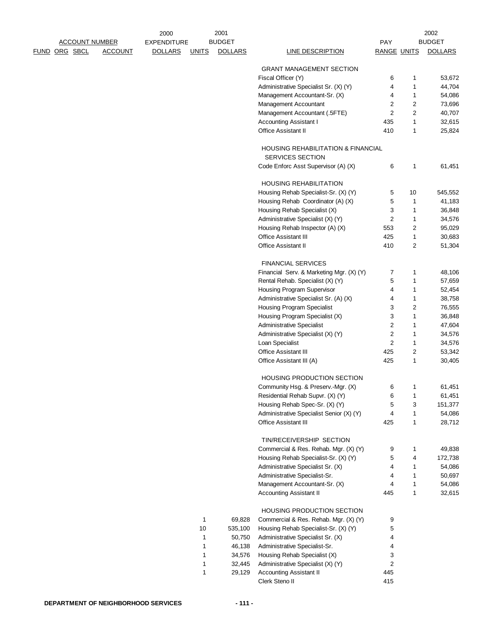|               |                       |                | 2000               |              | 2001           |                                                                            |                    |                | 2002           |
|---------------|-----------------------|----------------|--------------------|--------------|----------------|----------------------------------------------------------------------------|--------------------|----------------|----------------|
|               | <u>ACCOUNT NUMBER</u> |                | <b>EXPENDITURE</b> |              | <b>BUDGET</b>  |                                                                            | <b>PAY</b>         |                | <b>BUDGET</b>  |
| FUND ORG SBCL |                       | <b>ACCOUNT</b> | <b>DOLLARS</b>     | <b>UNITS</b> | <b>DOLLARS</b> | LINE DESCRIPTION                                                           | <b>RANGE UNITS</b> |                | <b>DOLLARS</b> |
|               |                       |                |                    |              |                | <b>GRANT MANAGEMENT SECTION</b>                                            |                    |                |                |
|               |                       |                |                    |              |                | Fiscal Officer (Y)                                                         | 6                  | 1              | 53,672         |
|               |                       |                |                    |              |                | Administrative Specialist Sr. (X) (Y)                                      | 4                  | 1              | 44,704         |
|               |                       |                |                    |              |                | Management Accountant-Sr. (X)                                              | 4                  | 1              | 54,086         |
|               |                       |                |                    |              |                | Management Accountant                                                      | $\overline{2}$     | $\overline{2}$ | 73,696         |
|               |                       |                |                    |              |                | Management Accountant (.5FTE)                                              | $\overline{2}$     | $\overline{2}$ | 40,707         |
|               |                       |                |                    |              |                | <b>Accounting Assistant I</b>                                              | 435                | 1              | 32,615         |
|               |                       |                |                    |              |                | <b>Office Assistant II</b>                                                 | 410                | 1              | 25,824         |
|               |                       |                |                    |              |                | <b>HOUSING REHABILITATION &amp; FINANCIAL</b><br>SERVICES SECTION          |                    |                |                |
|               |                       |                |                    |              |                | Code Enforc Asst Supervisor (A) (X)                                        | 6                  | 1              | 61,451         |
|               |                       |                |                    |              |                | <b>HOUSING REHABILITATION</b>                                              |                    |                |                |
|               |                       |                |                    |              |                | Housing Rehab Specialist-Sr. (X) (Y)                                       | 5                  | 10             | 545,552        |
|               |                       |                |                    |              |                | Housing Rehab Coordinator (A) (X)                                          | 5                  | 1              | 41,183         |
|               |                       |                |                    |              |                |                                                                            | 3                  | 1              |                |
|               |                       |                |                    |              |                | Housing Rehab Specialist (X)                                               |                    |                | 36,848         |
|               |                       |                |                    |              |                | Administrative Specialist (X) (Y)                                          | $\mathbf{2}$       | 1              | 34,576         |
|               |                       |                |                    |              |                | Housing Rehab Inspector (A) (X)                                            | 553                | 2              | 95,029         |
|               |                       |                |                    |              |                | <b>Office Assistant III</b>                                                | 425                | 1              | 30,683         |
|               |                       |                |                    |              |                | <b>Office Assistant II</b>                                                 | 410                | 2              | 51,304         |
|               |                       |                |                    |              |                | <b>FINANCIAL SERVICES</b>                                                  |                    |                |                |
|               |                       |                |                    |              |                | Financial Serv. & Marketing Mgr. (X) (Y)                                   | 7                  | 1              | 48,106         |
|               |                       |                |                    |              |                | Rental Rehab. Specialist (X) (Y)                                           | 5                  | 1              | 57,659         |
|               |                       |                |                    |              |                | Housing Program Supervisor                                                 | 4                  | 1              | 52,454         |
|               |                       |                |                    |              |                | Administrative Specialist Sr. (A) (X)                                      | 4                  | 1              | 38,758         |
|               |                       |                |                    |              |                | <b>Housing Program Specialist</b>                                          | 3                  | 2              | 76,555         |
|               |                       |                |                    |              |                | Housing Program Specialist (X)                                             | 3                  | 1              | 36,848         |
|               |                       |                |                    |              |                | <b>Administrative Specialist</b>                                           | $\overline{c}$     | 1              | 47,604         |
|               |                       |                |                    |              |                | Administrative Specialist (X) (Y)                                          | $\mathbf{2}$       | 1              | 34,576         |
|               |                       |                |                    |              |                | Loan Specialist                                                            | $\mathbf{2}$       | 1              | 34,576         |
|               |                       |                |                    |              |                | <b>Office Assistant III</b>                                                |                    |                |                |
|               |                       |                |                    |              |                |                                                                            | 425                | 2              | 53,342         |
|               |                       |                |                    |              |                | Office Assistant III (A)                                                   | 425                | 1              | 30,405         |
|               |                       |                |                    |              |                | <b>HOUSING PRODUCTION SECTION</b>                                          |                    |                |                |
|               |                       |                |                    |              |                | Community Hsg. & Preserv.-Mgr. (X)                                         | 6                  | 1              | 61,451         |
|               |                       |                |                    |              |                | Residential Rehab Supvr. (X) (Y)                                           | 6                  | 1              | 61,451         |
|               |                       |                |                    |              |                | Housing Rehab Spec-Sr. (X) (Y)                                             | 5                  | 3              | 151,377        |
|               |                       |                |                    |              |                | Administrative Specialist Senior (X) (Y)                                   | 4                  | 1              | 54,086         |
|               |                       |                |                    |              |                | <b>Office Assistant III</b>                                                | 425                | 1              | 28,712         |
|               |                       |                |                    |              |                | TIN/RECEIVERSHIP SECTION                                                   |                    |                |                |
|               |                       |                |                    |              |                | Commercial & Res. Rehab. Mgr. (X) (Y)                                      | 9                  | 1              | 49,838         |
|               |                       |                |                    |              |                | Housing Rehab Specialist-Sr. (X) (Y)                                       | 5                  | 4              | 172,738        |
|               |                       |                |                    |              |                | Administrative Specialist Sr. (X)                                          | 4                  | 1              | 54,086         |
|               |                       |                |                    |              |                | Administrative Specialist-Sr.                                              | 4                  | 1              | 50,697         |
|               |                       |                |                    |              |                | Management Accountant-Sr. (X)                                              | 4                  | 1              | 54,086         |
|               |                       |                |                    |              |                | <b>Accounting Assistant II</b>                                             | 445                | 1              | 32,615         |
|               |                       |                |                    |              |                |                                                                            |                    |                |                |
|               |                       |                |                    | 1            | 69,828         | <b>HOUSING PRODUCTION SECTION</b><br>Commercial & Res. Rehab. Mgr. (X) (Y) | 9                  |                |                |
|               |                       |                |                    | $10$         | 535,100        | Housing Rehab Specialist-Sr. (X) (Y)                                       | 5                  |                |                |
|               |                       |                |                    |              |                |                                                                            | 4                  |                |                |
|               |                       |                |                    | 1            | 50,750         | Administrative Specialist Sr. (X)                                          |                    |                |                |
|               |                       |                |                    | 1            | 46,138         | Administrative Specialist-Sr.                                              | 4                  |                |                |
|               |                       |                |                    | 1            | 34,576         | Housing Rehab Specialist (X)                                               | 3                  |                |                |
|               |                       |                |                    | 1            | 32,445         | Administrative Specialist (X) (Y)                                          | $\mathbf{2}$       |                |                |
|               |                       |                |                    | 1            | 29,129         | <b>Accounting Assistant II</b>                                             | 445                |                |                |
|               |                       |                |                    |              |                | Clerk Steno II                                                             | 415                |                |                |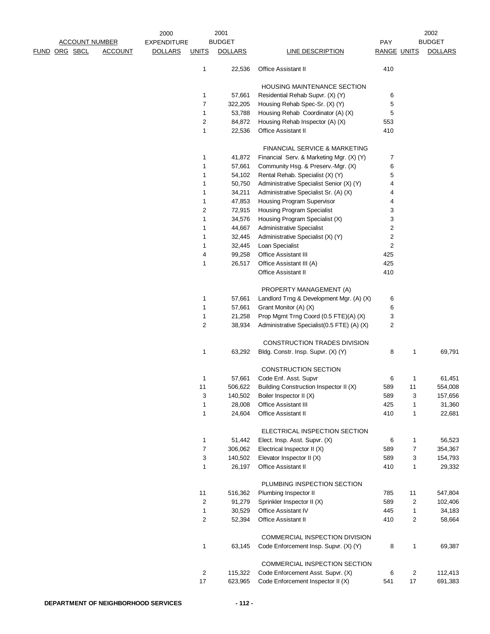|                       |                | 2000           |                | 2001           |                                            |                    |                         | 2002           |
|-----------------------|----------------|----------------|----------------|----------------|--------------------------------------------|--------------------|-------------------------|----------------|
| <u>ACCOUNT NUMBER</u> |                | EXPENDITURE    |                | <b>BUDGET</b>  |                                            | PAY                |                         | <b>BUDGET</b>  |
| <u>FUND ORG SBCL</u>  | <b>ACCOUNT</b> | <b>DOLLARS</b> | <b>UNITS</b>   | <b>DOLLARS</b> | <b>LINE DESCRIPTION</b>                    | <b>RANGE UNITS</b> |                         | <b>DOLLARS</b> |
|                       |                |                | 1              | 22,536         | <b>Office Assistant II</b>                 | 410                |                         |                |
|                       |                |                |                |                | <b>HOUSING MAINTENANCE SECTION</b>         |                    |                         |                |
|                       |                |                | 1              | 57,661         | Residential Rehab Supvr. (X) (Y)           | 6                  |                         |                |
|                       |                |                | 7              | 322,205        | Housing Rehab Spec-Sr. (X) (Y)             | 5                  |                         |                |
|                       |                |                | 1              | 53,788         | Housing Rehab Coordinator (A) (X)          | 5                  |                         |                |
|                       |                |                | 2              | 84,872         | Housing Rehab Inspector (A) (X)            | 553                |                         |                |
|                       |                |                | 1              | 22,536         | Office Assistant II                        | 410                |                         |                |
|                       |                |                |                |                | <b>FINANCIAL SERVICE &amp; MARKETING</b>   |                    |                         |                |
|                       |                |                | 1              | 41,872         | Financial Serv. & Marketing Mgr. (X) (Y)   | 7                  |                         |                |
|                       |                |                | 1              | 57,661         | Community Hsg. & Preserv.-Mgr. (X)         | 6                  |                         |                |
|                       |                |                | 1              | 54,102         | Rental Rehab. Specialist (X) (Y)           | 5                  |                         |                |
|                       |                |                | 1              | 50,750         | Administrative Specialist Senior (X) (Y)   | 4                  |                         |                |
|                       |                |                | 1              | 34,211         | Administrative Specialist Sr. (A) (X)      | 4                  |                         |                |
|                       |                |                | 1              | 47,853         | Housing Program Supervisor                 | 4                  |                         |                |
|                       |                |                | 2              | 72,915         | <b>Housing Program Specialist</b>          | 3                  |                         |                |
|                       |                |                | 1              | 34,576         | Housing Program Specialist (X)             | 3                  |                         |                |
|                       |                |                | 1              | 44,667         | <b>Administrative Specialist</b>           | $\overline{c}$     |                         |                |
|                       |                |                | 1              | 32,445         | Administrative Specialist (X) (Y)          | 2                  |                         |                |
|                       |                |                | 1              | 32,445         | Loan Specialist                            | $\overline{c}$     |                         |                |
|                       |                |                | 4              | 99,258         | <b>Office Assistant III</b>                | 425                |                         |                |
|                       |                |                | 1              | 26,517         | Office Assistant III (A)                   | 425                |                         |                |
|                       |                |                |                |                | <b>Office Assistant II</b>                 | 410                |                         |                |
|                       |                |                |                |                | PROPERTY MANAGEMENT (A)                    |                    |                         |                |
|                       |                |                | 1              | 57,661         | Landlord Trng & Development Mgr. (A) (X)   | 6                  |                         |                |
|                       |                |                | 1              | 57,661         | Grant Monitor (A) (X)                      | 6                  |                         |                |
|                       |                |                | 1              | 21,258         | Prop Mgmt Trng Coord (0.5 FTE)(A) (X)      | 3                  |                         |                |
|                       |                |                | $\overline{2}$ | 38,934         | Administrative Specialist(0.5 FTE) (A) (X) | 2                  |                         |                |
|                       |                |                |                |                | CONSTRUCTION TRADES DIVISION               |                    |                         |                |
|                       |                |                | 1              | 63,292         | Bldg. Constr. Insp. Supvr. (X) (Y)         | 8                  | 1                       | 69,791         |
|                       |                |                |                |                | <b>CONSTRUCTION SECTION</b>                |                    |                         |                |
|                       |                |                | 1              | 57,661         | Code Enf. Asst. Supvr                      | 6                  | $\mathbf{1}$            | 61,451         |
|                       |                |                | 11             | 506,622        | Building Construction Inspector II (X)     | 589                | 11                      | 554,008        |
|                       |                |                | 3              | 140,502        | Boiler Inspector II (X)                    | 589                | 3                       | 157,656        |
|                       |                |                | 1              | 28,008         | Office Assistant III                       | 425                | $\mathbf{1}$            | 31,360         |
|                       |                |                | 1              | 24,604         | Office Assistant II                        | 410                | $\mathbf{1}$            | 22,681         |
|                       |                |                |                |                | ELECTRICAL INSPECTION SECTION              |                    |                         |                |
|                       |                |                | 1              | 51,442         | Elect. Insp. Asst. Supvr. (X)              | 6                  | $\mathbf{1}$            | 56,523         |
|                       |                |                | $\overline{7}$ | 306,062        | Electrical Inspector II (X)                | 589                | $\overline{7}$          | 354,367        |
|                       |                |                | 3              | 140,502        | Elevator Inspector II (X)                  | 589                | 3                       | 154,793        |
|                       |                |                | 1              | 26,197         | Office Assistant II                        | 410                | $\mathbf{1}$            | 29,332         |
|                       |                |                |                |                | PLUMBING INSPECTION SECTION                |                    |                         |                |
|                       |                |                | 11             | 516,362        | Plumbing Inspector II                      | 785                | 11                      | 547,804        |
|                       |                |                | 2              | 91,279         | Sprinkler Inspector II (X)                 | 589                | $\overline{2}$          | 102,406        |
|                       |                |                | $\mathbf 1$    | 30,529         | Office Assistant IV                        | 445                | $\mathbf{1}$            | 34,183         |
|                       |                |                | 2              | 52,394         | Office Assistant II                        | 410                | $\overline{c}$          | 58,664         |
|                       |                |                |                |                | COMMERCIAL INSPECTION DIVISION             |                    |                         |                |
|                       |                |                | 1              | 63,145         | Code Enforcement Insp. Supvr. (X) (Y)      | 8                  | $\mathbf{1}$            | 69,387         |
|                       |                |                |                |                | COMMERCIAL INSPECTION SECTION              |                    |                         |                |
|                       |                |                | 2              | 115,322        | Code Enforcement Asst. Supvr. (X)          | 6                  | $\overline{\mathbf{c}}$ | 112,413        |
|                       |                |                | 17             | 623,965        | Code Enforcement Inspector II (X)          | 541                | 17                      | 691,383        |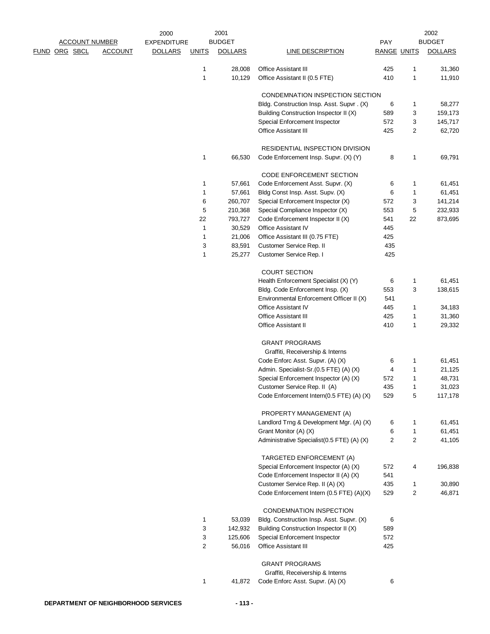|                       |                | 2000               |              | 2001           |                                            |                    |                | 2002           |
|-----------------------|----------------|--------------------|--------------|----------------|--------------------------------------------|--------------------|----------------|----------------|
| <b>ACCOUNT NUMBER</b> |                | <b>EXPENDITURE</b> |              | <b>BUDGET</b>  |                                            | PAY                |                | <b>BUDGET</b>  |
| <u>FUND ORG SBCL</u>  | <b>ACCOUNT</b> | <b>DOLLARS</b>     | <u>UNITS</u> | <b>DOLLARS</b> | <b>LINE DESCRIPTION</b>                    | <b>RANGE UNITS</b> |                | <b>DOLLARS</b> |
|                       |                |                    | 1            | 28,008         | <b>Office Assistant III</b>                | 425                | 1              | 31,360         |
|                       |                |                    | 1            | 10,129         | Office Assistant II (0.5 FTE)              | 410                | $\mathbf{1}$   | 11,910         |
|                       |                |                    |              |                |                                            |                    |                |                |
|                       |                |                    |              |                | CONDEMNATION INSPECTION SECTION            |                    |                |                |
|                       |                |                    |              |                | Bldg. Construction Insp. Asst. Supvr. (X)  | 6                  | 1              | 58,277         |
|                       |                |                    |              |                | Building Construction Inspector II (X)     | 589                | 3              | 159,173        |
|                       |                |                    |              |                | Special Enforcement Inspector              | 572                | 3              | 145,717        |
|                       |                |                    |              |                | Office Assistant III                       | 425                | $\overline{2}$ | 62,720         |
|                       |                |                    |              |                |                                            |                    |                |                |
|                       |                |                    |              |                | RESIDENTIAL INSPECTION DIVISION            |                    |                |                |
|                       |                |                    | 1            | 66,530         | Code Enforcement Insp. Supvr. (X) (Y)      | 8                  | 1              | 69,791         |
|                       |                |                    |              |                | CODE ENFORCEMENT SECTION                   |                    |                |                |
|                       |                |                    | 1            | 57,661         | Code Enforcement Asst. Supvr. (X)          | 6                  | 1              | 61,451         |
|                       |                |                    | 1            | 57,661         | Bldg Const Insp. Asst. Supv. (X)           | 6                  | 1              | 61,451         |
|                       |                |                    | 6            | 260,707        | Special Enforcement Inspector (X)          | 572                | 3              | 141,214        |
|                       |                |                    | 5            | 210,368        | Special Compliance Inspector (X)           | 553                | 5              | 232,933        |
|                       |                |                    | 22           | 793,727        | Code Enforcement Inspector II (X)          | 541                | 22             | 873,695        |
|                       |                |                    | 1            | 30,529         | Office Assistant IV                        | 445                |                |                |
|                       |                |                    | 1            | 21,006         | Office Assistant III (0.75 FTE)            | 425                |                |                |
|                       |                |                    | 3            | 83,591         | Customer Service Rep. II                   | 435                |                |                |
|                       |                |                    | 1            | 25,277         | Customer Service Rep. I                    | 425                |                |                |
|                       |                |                    |              |                |                                            |                    |                |                |
|                       |                |                    |              |                | <b>COURT SECTION</b>                       |                    |                |                |
|                       |                |                    |              |                | Health Enforcement Specialist (X) (Y)      | 6                  | 1              | 61,451         |
|                       |                |                    |              |                | Bldg. Code Enforcement Insp. (X)           | 553                | 3              | 138,615        |
|                       |                |                    |              |                | Environmental Enforcement Officer II (X)   | 541                |                |                |
|                       |                |                    |              |                | <b>Office Assistant IV</b>                 | 445                | 1              | 34,183         |
|                       |                |                    |              |                | <b>Office Assistant III</b>                | 425                | 1              | 31,360         |
|                       |                |                    |              |                | Office Assistant II                        | 410                | $\mathbf{1}$   | 29,332         |
|                       |                |                    |              |                |                                            |                    |                |                |
|                       |                |                    |              |                | <b>GRANT PROGRAMS</b>                      |                    |                |                |
|                       |                |                    |              |                | Graffiti, Receivership & Interns           |                    |                |                |
|                       |                |                    |              |                | Code Enforc Asst. Supvr. (A) (X)           | 6                  | 1              | 61,451         |
|                       |                |                    |              |                | Admin. Specialist-Sr.(0.5 FTE) (A) (X)     | 4                  | 1              | 21,125         |
|                       |                |                    |              |                | Special Enforcement Inspector (A) (X)      | 572                | 1              | 48,731         |
|                       |                |                    |              |                | Customer Service Rep. II (A)               | 435                | 1              | 31,023         |
|                       |                |                    |              |                | Code Enforcement Intern(0.5 FTE) (A) (X)   | 529                | 5              | 117,178        |
|                       |                |                    |              |                | PROPERTY MANAGEMENT (A)                    |                    |                |                |
|                       |                |                    |              |                | Landlord Trng & Development Mgr. (A) (X)   | 6                  | 1              | 61,451         |
|                       |                |                    |              |                | Grant Monitor (A) (X)                      | 6                  | $\mathbf{1}$   | 61,451         |
|                       |                |                    |              |                | Administrative Specialist(0.5 FTE) (A) (X) | $\overline{c}$     | 2              | 41,105         |
|                       |                |                    |              |                |                                            |                    |                |                |
|                       |                |                    |              |                | TARGETED ENFORCEMENT (A)                   |                    |                |                |
|                       |                |                    |              |                | Special Enforcement Inspector (A) (X)      | 572                | 4              | 196,838        |
|                       |                |                    |              |                | Code Enforcement Inspector II (A) (X)      | 541                |                |                |
|                       |                |                    |              |                | Customer Service Rep. II (A) (X)           | 435                | 1              | 30,890         |
|                       |                |                    |              |                | Code Enforcement Intern (0.5 FTE) (A)(X)   | 529                | 2              | 46,871         |
|                       |                |                    |              |                |                                            |                    |                |                |
|                       |                |                    |              |                | CONDEMNATION INSPECTION                    |                    |                |                |
|                       |                |                    | 1            | 53,039         | Bldg. Construction Insp. Asst. Supvr. (X)  | 6                  |                |                |
|                       |                |                    | 3            | 142,932        | Building Construction Inspector II (X)     | 589                |                |                |
|                       |                |                    | 3            | 125,606        | Special Enforcement Inspector              | 572                |                |                |
|                       |                |                    | 2            | 56,016         | Office Assistant III                       | 425                |                |                |
|                       |                |                    |              |                |                                            |                    |                |                |
|                       |                |                    |              |                | <b>GRANT PROGRAMS</b>                      |                    |                |                |
|                       |                |                    |              |                | Graffiti, Receivership & Interns           |                    |                |                |
|                       |                |                    | 1            | 41,872         | Code Enforc Asst. Supvr. (A) (X)           | 6                  |                |                |
|                       |                |                    |              |                |                                            |                    |                |                |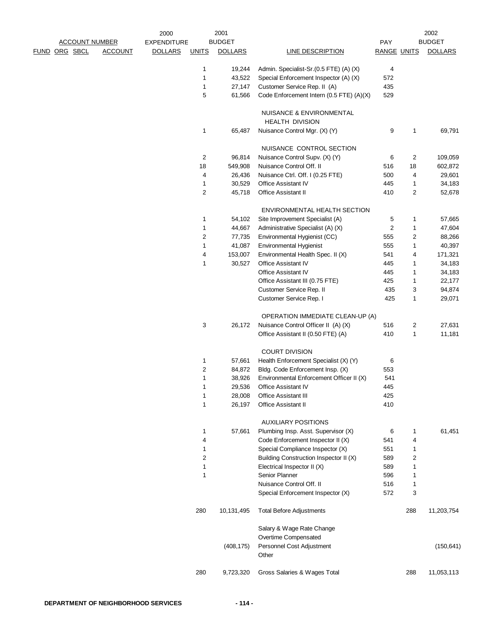|                       |                | 2000                           |                         | 2001             |                                                           |                    |        | 2002             |
|-----------------------|----------------|--------------------------------|-------------------------|------------------|-----------------------------------------------------------|--------------------|--------|------------------|
| <b>ACCOUNT NUMBER</b> |                | <b>EXPENDITURE</b>             |                         | <b>BUDGET</b>    |                                                           | PAY                |        | <b>BUDGET</b>    |
| FUND ORG SBCL         | <b>ACCOUNT</b> | <b>DOLLARS</b><br><b>UNITS</b> |                         | <b>DOLLARS</b>   | LINE DESCRIPTION                                          | <b>RANGE UNITS</b> |        | <b>DOLLARS</b>   |
|                       |                |                                | 1                       | 19,244           | Admin. Specialist-Sr.(0.5 FTE) (A) (X)                    | 4                  |        |                  |
|                       |                |                                | 1                       | 43,522           | Special Enforcement Inspector (A) (X)                     | 572                |        |                  |
|                       |                |                                | $\mathbf 1$             | 27,147           | Customer Service Rep. II (A)                              | 435                |        |                  |
|                       |                |                                | 5                       | 61,566           | Code Enforcement Intern (0.5 FTE) (A)(X)                  | 529                |        |                  |
|                       |                |                                |                         |                  | NUISANCE & ENVIRONMENTAL                                  |                    |        |                  |
|                       |                |                                |                         |                  | <b>HEALTH DIVISION</b>                                    |                    |        |                  |
|                       |                |                                | 1                       | 65,487           | Nuisance Control Mgr. (X) (Y)                             | 9                  | 1      | 69,791           |
|                       |                |                                |                         |                  | NUISANCE CONTROL SECTION                                  |                    |        |                  |
|                       |                |                                | $\overline{\mathbf{c}}$ | 96,814           | Nuisance Control Supv. (X) (Y)                            | 6                  | 2      | 109,059          |
|                       |                |                                | 18                      | 549,908          | Nuisance Control Off. II                                  | 516                | 18     | 602,872          |
|                       |                |                                | 4                       | 26,436           | Nuisance Ctrl. Off. I (0.25 FTE)                          | 500                | 4      | 29,601           |
|                       |                |                                | 1                       | 30,529           | Office Assistant IV                                       | 445                | 1      | 34,183           |
|                       |                |                                | $\sqrt{2}$              | 45,718           | Office Assistant II                                       | 410                | 2      | 52,678           |
|                       |                |                                |                         |                  | ENVIRONMENTAL HEALTH SECTION                              |                    |        |                  |
|                       |                |                                | 1                       | 54,102           | Site Improvement Specialist (A)                           | 5                  | 1      | 57,665           |
|                       |                |                                | 1                       | 44,667           | Administrative Specialist (A) (X)                         | 2                  | 1      | 47,604           |
|                       |                |                                | 2                       | 77,735           | Environmental Hygienist (CC)                              | 555                | 2      | 88,266           |
|                       |                |                                | 1                       | 41,087           | <b>Environmental Hygienist</b>                            | 555                | 1      | 40,397           |
|                       |                |                                | 4                       | 153,007          | Environmental Health Spec. II (X)                         | 541                | 4      | 171,321          |
|                       |                |                                | 1                       | 30,527           | Office Assistant IV                                       | 445                | 1      | 34,183           |
|                       |                |                                |                         |                  | Office Assistant IV                                       | 445                | 1      | 34,183           |
|                       |                |                                |                         |                  |                                                           |                    |        |                  |
|                       |                |                                |                         |                  | Office Assistant III (0.75 FTE)                           | 425                | 1      | 22,177           |
|                       |                |                                |                         |                  | Customer Service Rep. II<br>Customer Service Rep. I       | 435<br>425         | 3<br>1 | 94,874<br>29,071 |
|                       |                |                                |                         |                  | OPERATION IMMEDIATE CLEAN-UP (A)                          |                    |        |                  |
|                       |                |                                | 3                       | 26,172           | Nuisance Control Officer II (A) (X)                       | 516                | 2      | 27,631           |
|                       |                |                                |                         |                  | Office Assistant II (0.50 FTE) (A)                        | 410                | 1      | 11,181           |
|                       |                |                                |                         |                  | <b>COURT DIVISION</b>                                     |                    |        |                  |
|                       |                |                                | 1                       | 57,661           | Health Enforcement Specialist (X) (Y)                     | 6                  |        |                  |
|                       |                |                                |                         |                  |                                                           |                    |        |                  |
|                       |                |                                | 2                       | 84,872           | Bldg. Code Enforcement Insp. (X)                          | 553                |        |                  |
|                       |                |                                | 1                       | 38,926           | Environmental Enforcement Officer II (X)                  | 541                |        |                  |
|                       |                |                                | 1                       | 29,536           | Office Assistant IV                                       | 445                |        |                  |
|                       |                |                                | $\mathbf 1$<br>1        | 28,008<br>26,197 | <b>Office Assistant III</b><br><b>Office Assistant II</b> | 425<br>410         |        |                  |
|                       |                |                                |                         |                  |                                                           |                    |        |                  |
|                       |                |                                |                         |                  | <b>AUXILIARY POSITIONS</b>                                |                    |        |                  |
|                       |                |                                | 1                       | 57,661           | Plumbing Insp. Asst. Supervisor (X)                       | 6                  | 1      | 61,451           |
|                       |                |                                | 4                       |                  | Code Enforcement Inspector II (X)                         | 541                | 4      |                  |
|                       |                |                                | 1                       |                  | Special Compliance Inspector (X)                          | 551                | 1      |                  |
|                       |                |                                | 2                       |                  | Building Construction Inspector II (X)                    | 589                | 2      |                  |
|                       |                |                                | 1                       |                  | Electrical Inspector II (X)                               | 589                | 1      |                  |
|                       |                |                                | 1                       |                  | Senior Planner                                            | 596                | 1      |                  |
|                       |                |                                |                         |                  | Nuisance Control Off. II                                  | 516                | 1      |                  |
|                       |                |                                |                         |                  | Special Enforcement Inspector (X)                         | 572                | 3      |                  |
|                       |                |                                | 280                     | 10,131,495       | <b>Total Before Adjustments</b>                           |                    | 288    | 11,203,754       |
|                       |                |                                |                         |                  | Salary & Wage Rate Change                                 |                    |        |                  |
|                       |                |                                |                         |                  | Overtime Compensated                                      |                    |        |                  |
|                       |                |                                |                         | (408, 175)       | Personnel Cost Adjustment<br>Other                        |                    |        | (150, 641)       |
|                       |                |                                |                         |                  |                                                           |                    |        |                  |
|                       |                |                                | 280                     | 9,723,320        | Gross Salaries & Wages Total                              |                    | 288    | 11,053,113       |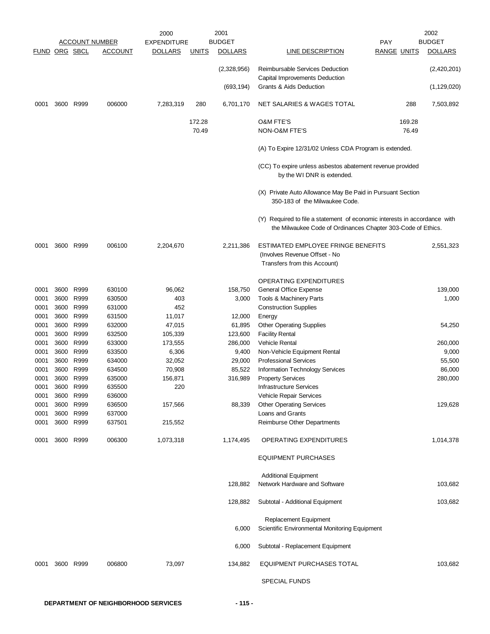|                      |      |                        |                       | 2000               |              | 2001             |                                                                                                                                           |                    | 2002             |
|----------------------|------|------------------------|-----------------------|--------------------|--------------|------------------|-------------------------------------------------------------------------------------------------------------------------------------------|--------------------|------------------|
|                      |      |                        | <u>ACCOUNT NUMBER</u> | <b>EXPENDITURE</b> |              | <b>BUDGET</b>    |                                                                                                                                           | <b>PAY</b>         | <b>BUDGET</b>    |
| <b>FUND ORG SBCL</b> |      |                        | <b>ACCOUNT</b>        | <b>DOLLARS</b>     | <b>UNITS</b> | <b>DOLLARS</b>   | LINE DESCRIPTION                                                                                                                          | <b>RANGE UNITS</b> | <b>DOLLARS</b>   |
|                      |      |                        |                       |                    |              | (2,328,956)      | <b>Reimbursable Services Deduction</b><br>Capital Improvements Deduction                                                                  |                    | (2,420,201)      |
|                      |      |                        |                       |                    |              | (693, 194)       | Grants & Aids Deduction                                                                                                                   |                    | (1, 129, 020)    |
| 0001                 |      | 3600 R999              | 006000                | 7,283,319          | 280          | 6,701,170        | NET SALARIES & WAGES TOTAL                                                                                                                | 288                | 7,503,892        |
|                      |      |                        |                       |                    | 172.28       |                  | <b>O&amp;M FTE'S</b>                                                                                                                      | 169.28             |                  |
|                      |      |                        |                       |                    | 70.49        |                  | <b>NON-O&amp;M FTE'S</b>                                                                                                                  | 76.49              |                  |
|                      |      |                        |                       |                    |              |                  | (A) To Expire 12/31/02 Unless CDA Program is extended.                                                                                    |                    |                  |
|                      |      |                        |                       |                    |              |                  | (CC) To expire unless asbestos abatement revenue provided<br>by the WI DNR is extended.                                                   |                    |                  |
|                      |      |                        |                       |                    |              |                  | (X) Private Auto Allowance May Be Paid in Pursuant Section<br>350-183 of the Milwaukee Code.                                              |                    |                  |
|                      |      |                        |                       |                    |              |                  | (Y) Required to file a statement of economic interests in accordance with<br>the Milwaukee Code of Ordinances Chapter 303-Code of Ethics. |                    |                  |
| 0001                 |      | 3600 R999              | 006100                | 2,204,670          |              | 2,211,386        | ESTIMATED EMPLOYEE FRINGE BENEFITS<br>(Involves Revenue Offset - No<br>Transfers from this Account)                                       |                    | 2,551,323        |
|                      |      |                        |                       |                    |              |                  | <b>OPERATING EXPENDITURES</b>                                                                                                             |                    |                  |
|                      |      |                        |                       |                    |              |                  |                                                                                                                                           |                    |                  |
| 0001<br>0001         |      | 3600 R999<br>3600 R999 | 630100<br>630500      | 96,062<br>403      |              | 158,750<br>3,000 | General Office Expense<br>Tools & Machinery Parts                                                                                         |                    | 139,000<br>1,000 |
| 0001                 |      | 3600 R999              | 631000                | 452                |              |                  | <b>Construction Supplies</b>                                                                                                              |                    |                  |
| 0001                 |      | 3600 R999              | 631500                | 11,017             |              | 12,000           | Energy                                                                                                                                    |                    |                  |
| 0001                 |      | 3600 R999              | 632000                | 47,015             |              | 61,895           | <b>Other Operating Supplies</b>                                                                                                           |                    | 54,250           |
| 0001                 |      | 3600 R999              | 632500                | 105,339            |              | 123,600          | <b>Facility Rental</b>                                                                                                                    |                    |                  |
| 0001                 |      | 3600 R999              | 633000                | 173,555            |              | 286,000          | <b>Vehicle Rental</b>                                                                                                                     |                    | 260,000          |
| 0001                 |      | 3600 R999              | 633500                | 6,306              |              | 9,400            | Non-Vehicle Equipment Rental                                                                                                              |                    | 9,000            |
| 0001                 |      | 3600 R999              | 634000                | 32,052             |              | 29,000           | <b>Professional Services</b>                                                                                                              |                    | 55,500           |
| 0001                 |      | 3600 R999              | 634500                | 70,908             |              | 85,522           | Information Technology Services                                                                                                           |                    | 86,000           |
| 0001                 |      | 3600 R999              | 635000                | 156,871            |              | 316,989          | <b>Property Services</b>                                                                                                                  |                    | 280,000          |
| 0001                 |      | 3600 R999              | 635500                | 220                |              |                  | <b>Infrastructure Services</b>                                                                                                            |                    |                  |
| 0001                 |      | 3600 R999              | 636000                |                    |              |                  | Vehicle Repair Services                                                                                                                   |                    |                  |
| 0001                 |      | 3600 R999              | 636500                | 157,566            |              | 88,339           | <b>Other Operating Services</b>                                                                                                           |                    | 129,628          |
| 0001                 | 3600 | R999                   | 637000                |                    |              |                  | Loans and Grants                                                                                                                          |                    |                  |
| 0001                 |      | 3600 R999              | 637501                | 215,552            |              |                  | Reimburse Other Departments                                                                                                               |                    |                  |
| 0001                 |      | 3600 R999              | 006300                | 1,073,318          |              | 1,174,495        | OPERATING EXPENDITURES                                                                                                                    |                    | 1,014,378        |
|                      |      |                        |                       |                    |              |                  | <b>EQUIPMENT PURCHASES</b>                                                                                                                |                    |                  |
|                      |      |                        |                       |                    |              |                  | <b>Additional Equipment</b>                                                                                                               |                    |                  |
|                      |      |                        |                       |                    |              | 128,882          | Network Hardware and Software                                                                                                             |                    | 103,682          |
|                      |      |                        |                       |                    |              | 128,882          | Subtotal - Additional Equipment                                                                                                           |                    | 103,682          |
|                      |      |                        |                       |                    |              | 6,000            | <b>Replacement Equipment</b><br>Scientific Environmental Monitoring Equipment                                                             |                    |                  |
|                      |      |                        |                       |                    |              | 6,000            | Subtotal - Replacement Equipment                                                                                                          |                    |                  |
| 0001                 |      | 3600 R999              | 006800                | 73,097             |              | 134,882          | EQUIPMENT PURCHASES TOTAL                                                                                                                 |                    | 103,682          |
|                      |      |                        |                       |                    |              |                  | <b>SPECIAL FUNDS</b>                                                                                                                      |                    |                  |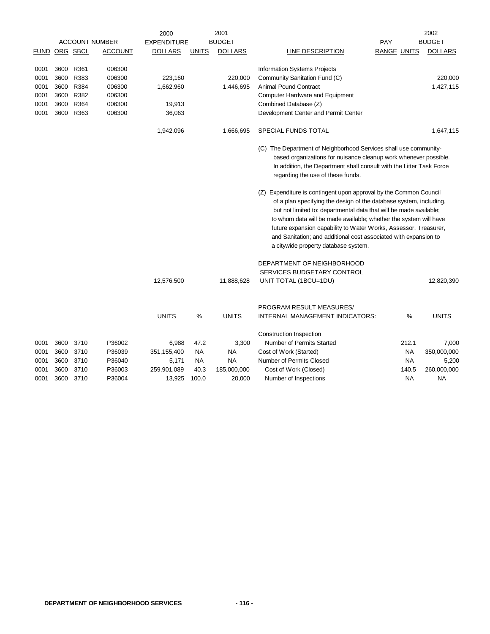|               |           |           |                       | 2000               |              | 2001           |                                                                                                                                                                                                                                                                                                                                                                                                                                                                                                                                                                                                             |                    |       | 2002           |
|---------------|-----------|-----------|-----------------------|--------------------|--------------|----------------|-------------------------------------------------------------------------------------------------------------------------------------------------------------------------------------------------------------------------------------------------------------------------------------------------------------------------------------------------------------------------------------------------------------------------------------------------------------------------------------------------------------------------------------------------------------------------------------------------------------|--------------------|-------|----------------|
|               |           |           | <b>ACCOUNT NUMBER</b> | <b>EXPENDITURE</b> |              | <b>BUDGET</b>  |                                                                                                                                                                                                                                                                                                                                                                                                                                                                                                                                                                                                             | <b>PAY</b>         |       | <b>BUDGET</b>  |
| FUND ORG SBCL |           |           | <b>ACCOUNT</b>        | <b>DOLLARS</b>     | <b>UNITS</b> | <b>DOLLARS</b> | LINE DESCRIPTION                                                                                                                                                                                                                                                                                                                                                                                                                                                                                                                                                                                            | <b>RANGE UNITS</b> |       | <b>DOLLARS</b> |
| 0001          | 3600 R361 |           | 006300                |                    |              |                | Information Systems Projects                                                                                                                                                                                                                                                                                                                                                                                                                                                                                                                                                                                |                    |       |                |
| 0001          | 3600      | R383      | 006300                | 223,160            |              | 220,000        | Community Sanitation Fund (C)                                                                                                                                                                                                                                                                                                                                                                                                                                                                                                                                                                               |                    |       | 220,000        |
| 0001          | 3600      | R384      | 006300                | 1,662,960          |              | 1,446,695      | <b>Animal Pound Contract</b>                                                                                                                                                                                                                                                                                                                                                                                                                                                                                                                                                                                |                    |       | 1,427,115      |
| 0001          |           | 3600 R382 | 006300                |                    |              |                | Computer Hardware and Equipment                                                                                                                                                                                                                                                                                                                                                                                                                                                                                                                                                                             |                    |       |                |
| 0001          |           | 3600 R364 | 006300                | 19,913             |              |                | Combined Database (Z)                                                                                                                                                                                                                                                                                                                                                                                                                                                                                                                                                                                       |                    |       |                |
| 0001          |           | 3600 R363 | 006300                | 36,063             |              |                | Development Center and Permit Center                                                                                                                                                                                                                                                                                                                                                                                                                                                                                                                                                                        |                    |       |                |
|               |           |           |                       | 1,942,096          |              | 1,666,695      | SPECIAL FUNDS TOTAL                                                                                                                                                                                                                                                                                                                                                                                                                                                                                                                                                                                         |                    |       | 1,647,115      |
|               |           |           |                       |                    |              |                | (C) The Department of Neighborhood Services shall use community-<br>based organizations for nuisance cleanup work whenever possible.<br>In addition, the Department shall consult with the Litter Task Force<br>regarding the use of these funds.<br>(Z) Expenditure is contingent upon approval by the Common Council<br>of a plan specifying the design of the database system, including,<br>but not limited to: departmental data that will be made available;<br>to whom data will be made available; whether the system will have<br>future expansion capability to Water Works, Assessor, Treasurer, |                    |       |                |
|               |           |           |                       |                    |              |                | and Sanitation; and additional cost associated with expansion to<br>a citywide property database system.                                                                                                                                                                                                                                                                                                                                                                                                                                                                                                    |                    |       |                |
|               |           |           |                       |                    |              |                | DEPARTMENT OF NEIGHBORHOOD                                                                                                                                                                                                                                                                                                                                                                                                                                                                                                                                                                                  |                    |       |                |
|               |           |           |                       |                    |              |                | SERVICES BUDGETARY CONTROL                                                                                                                                                                                                                                                                                                                                                                                                                                                                                                                                                                                  |                    |       |                |
|               |           |           |                       | 12,576,500         |              | 11,888,628     | UNIT TOTAL (1BCU=1DU)                                                                                                                                                                                                                                                                                                                                                                                                                                                                                                                                                                                       |                    |       | 12,820,390     |
|               |           |           |                       |                    |              |                | PROGRAM RESULT MEASURES/                                                                                                                                                                                                                                                                                                                                                                                                                                                                                                                                                                                    |                    |       |                |
|               |           |           |                       | <b>UNITS</b>       | %            | <b>UNITS</b>   | INTERNAL MANAGEMENT INDICATORS:                                                                                                                                                                                                                                                                                                                                                                                                                                                                                                                                                                             |                    | %     | <b>UNITS</b>   |
|               |           |           |                       |                    |              |                | Construction Inspection                                                                                                                                                                                                                                                                                                                                                                                                                                                                                                                                                                                     |                    |       |                |
| 0001          | 3600      | 3710      | P36002                | 6,988              | 47.2         | 3,300          | Number of Permits Started                                                                                                                                                                                                                                                                                                                                                                                                                                                                                                                                                                                   |                    | 212.1 | 7,000          |
| 0001          | 3600      | 3710      | P36039                | 351,155,400        | NA           | <b>NA</b>      | Cost of Work (Started)                                                                                                                                                                                                                                                                                                                                                                                                                                                                                                                                                                                      |                    | NA    | 350,000,000    |
| 0001          | 3600      | 3710      | P36040                | 5,171              | NA.          | <b>NA</b>      | Number of Permits Closed                                                                                                                                                                                                                                                                                                                                                                                                                                                                                                                                                                                    |                    | NA    | 5,200          |
| 0001          | 3600      | 3710      | P36003                | 259,901,089        | 40.3         | 185,000,000    | Cost of Work (Closed)                                                                                                                                                                                                                                                                                                                                                                                                                                                                                                                                                                                       |                    | 140.5 | 260,000,000    |
| 0001          | 3600      | 3710      | P36004                | 13,925             | 100.0        | 20,000         | Number of Inspections                                                                                                                                                                                                                                                                                                                                                                                                                                                                                                                                                                                       |                    | NA    | <b>NA</b>      |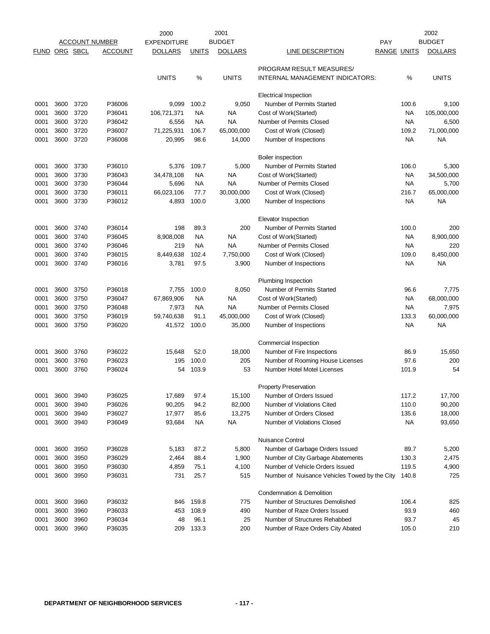|              |              |                       |                  | 2000                 |               | 2001                    |                                                     |                    | 2002                |
|--------------|--------------|-----------------------|------------------|----------------------|---------------|-------------------------|-----------------------------------------------------|--------------------|---------------------|
|              |              | <b>ACCOUNT NUMBER</b> |                  | <b>EXPENDITURE</b>   |               | <b>BUDGET</b>           |                                                     | PAY                | <b>BUDGET</b>       |
| FUND         | ORG SBCL     |                       | ACCOUNT          | <b>DOLLARS</b>       | <b>UNITS</b>  | <b>DOLLARS</b>          | LINE DESCRIPTION                                    | <b>RANGE UNITS</b> | <b>DOLLARS</b>      |
|              |              |                       |                  |                      |               |                         | PROGRAM RESULT MEASURES/                            |                    |                     |
|              |              |                       |                  | <b>UNITS</b>         | %             | <b>UNITS</b>            | <b>INTERNAL MANAGEMENT INDICATORS:</b>              | %                  | <b>UNITS</b>        |
|              |              |                       |                  |                      |               |                         |                                                     |                    |                     |
|              |              |                       |                  |                      |               |                         | <b>Electrical Inspection</b>                        |                    |                     |
| 0001         | 3600         | 3720                  | P36006           | 9,099                | 100.2         | 9,050                   | Number of Permits Started                           | 100.6              | 9,100               |
| 0001         | 3600         | 3720                  | P36041           | 106,721,371          | <b>NA</b>     | <b>NA</b>               | Cost of Work(Started)                               | <b>NA</b>          | 105,000,000         |
| 0001<br>0001 | 3600<br>3600 | 3720<br>3720          | P36042<br>P36007 | 6,556                | NA            | <b>NA</b><br>65,000,000 | Number of Permits Closed<br>Cost of Work (Closed)   | <b>NA</b><br>109.2 | 6,500<br>71,000,000 |
| 0001         | 3600         | 3720                  | P36008           | 71,225,931<br>20,995 | 106.7<br>98.6 | 14,000                  | Number of Inspections                               | <b>NA</b>          | ΝA                  |
|              |              |                       |                  |                      |               |                         |                                                     |                    |                     |
|              |              |                       |                  |                      |               |                         | Boiler inspection                                   |                    |                     |
| 0001         | 3600         | 3730                  | P36010           | 5,376                | 109.7         | 5,000                   | Number of Permits Started                           | 106.0              | 5,300               |
| 0001         | 3600         | 3730                  | P36043           | 34,478,108           | <b>NA</b>     | <b>NA</b>               | Cost of Work(Started)                               | <b>NA</b>          | 34,500,000          |
| 0001         | 3600         | 3730                  | P36044           | 5,696                | NA            | <b>NA</b>               | Number of Permits Closed                            | NA.                | 5,700               |
| 0001         | 3600         | 3730                  | P36011           | 66,023,106           | 77.7          | 30,000,000              | Cost of Work (Closed)                               | 216.7              | 65,000,000          |
| 0001         | 3600         | 3730                  | P36012           | 4,893                | 100.0         | 3,000                   | Number of Inspections                               | NA                 | <b>NA</b>           |
|              |              |                       |                  |                      |               |                         | <b>Elevator Inspection</b>                          |                    |                     |
| 0001         | 3600         | 3740                  | P36014           | 198                  | 89.3          | 200                     | Number of Permits Started                           | 100.0              | 200                 |
| 0001         | 3600         | 3740                  | P36045           | 8,908,008            | <b>NA</b>     | <b>NA</b>               | Cost of Work(Started)                               | NA                 | 8,900,000           |
| 0001         | 3600         | 3740                  | P36046           | 219                  | <b>NA</b>     | <b>NA</b>               | Number of Permits Closed                            | <b>NA</b>          | 220                 |
| 0001         | 3600         | 3740                  | P36015           | 8,449,638            | 102.4         | 7,750,000               | Cost of Work (Closed)                               | 109.0              | 8,450,000           |
| 0001         | 3600         | 3740                  | P36016           | 3,781                | 97.5          | 3,900                   | Number of Inspections                               | <b>NA</b>          | ΝA                  |
|              |              |                       |                  |                      |               |                         | Plumbing Inspection                                 |                    |                     |
| 0001         | 3600         | 3750                  | P36018           | 7,755                | 100.0         | 8,050                   | Number of Permits Started                           | 96.6               | 7,775               |
| 0001         | 3600         | 3750                  | P36047           | 67,869,906           | <b>NA</b>     | <b>NA</b>               | Cost of Work(Started)                               | NA                 | 68,000,000          |
| 0001         | 3600         | 3750                  | P36048           | 7,973                | <b>NA</b>     | <b>NA</b>               | Number of Permits Closed                            | <b>NA</b>          | 7,975               |
| 0001         | 3600         | 3750                  | P36019           | 59,740,638           | 91.1          | 45,000,000              | Cost of Work (Closed)                               | 133.3              | 60,000,000          |
| 0001         | 3600         | 3750                  | P36020           | 41,572               | 100.0         | 35,000                  | Number of Inspections                               | <b>NA</b>          | ΝA                  |
|              |              |                       |                  |                      |               |                         | Commercial Inspection                               |                    |                     |
| 0001         | 3600         | 3760                  | P36022           | 15,648               | 52.0          | 18,000                  | Number of Fire Inspections                          | 86.9               | 15,650              |
| 0001         | 3600         | 3760                  | P36023           | 195                  | 100.0         | 205                     | Number of Rooming House Licenses                    | 97.6               | 200                 |
| 0001         | 3600         | 3760                  | P36024           | 54                   | 103.9         | 53                      | Number Hotel Motel Licenses                         | 101.9              | 54                  |
|              |              |                       |                  |                      |               |                         |                                                     |                    |                     |
| 0001         | 3600         | 3940                  | P36025           | 17,689               | 97.4          | 15,100                  | Property Preservation<br>Number of Orders Issued    | 117.2              | 17,700              |
| 0001         | 3600         | 3940                  | P36026           | 90,205               | 94.2          | 82,000                  | Number of Violations Cited                          | 110.0              | 90,200              |
| 0001         | 3600         | 3940                  | P36027           | 17,977               | 85.6          | 13,275                  | Number of Orders Closed                             | 135.6              | 18,000              |
| 0001         | 3600         | 3940                  | P36049           | 93,684               | NA            | <b>NA</b>               | Number of Violations Closed                         | <b>NA</b>          | 93,650              |
|              |              |                       |                  |                      |               |                         |                                                     |                    |                     |
|              |              |                       |                  |                      |               |                         | Nuisance Control<br>Number of Garbage Orders Issued |                    |                     |
| 0001<br>0001 | 3600<br>3600 | 3950<br>3950          | P36028<br>P36029 | 5,183<br>2,464       | 87.2<br>88.4  | 5,800<br>1,900          | Number of City Garbage Abatements                   | 89.7<br>130.3      | 5,200<br>2,475      |
| 0001         | 3600         | 3950                  | P36030           | 4,859                | 75.1          | 4,100                   | Number of Vehicle Orders Issued                     | 119.5              | 4,900               |
| 0001         | 3600         | 3950                  | P36031           | 731                  | 25.7          | 515                     | Number of Nuisance Vehicles Towed by the City       | 140.8              | 725                 |
|              |              |                       |                  |                      |               |                         |                                                     |                    |                     |
|              |              |                       |                  |                      |               |                         | Condemnation & Demolition                           |                    |                     |
| 0001         | 3600         | 3960                  | P36032           | 846                  | 159.8         | 775                     | Number of Structures Demolished                     | 106.4              | 825                 |
| 0001         | 3600         | 3960                  | P36033           | 453                  | 108.9         | 490                     | Number of Raze Orders Issued                        | 93.9               | 460                 |
| 0001         | 3600         | 3960                  | P36034           | 48                   | 96.1          | 25                      | Number of Structures Rehabbed                       | 93.7               | 45                  |
| 0001         | 3600         | 3960                  | P36035           | 209                  | 133.3         | 200                     | Number of Raze Orders City Abated                   | 105.0              | 210                 |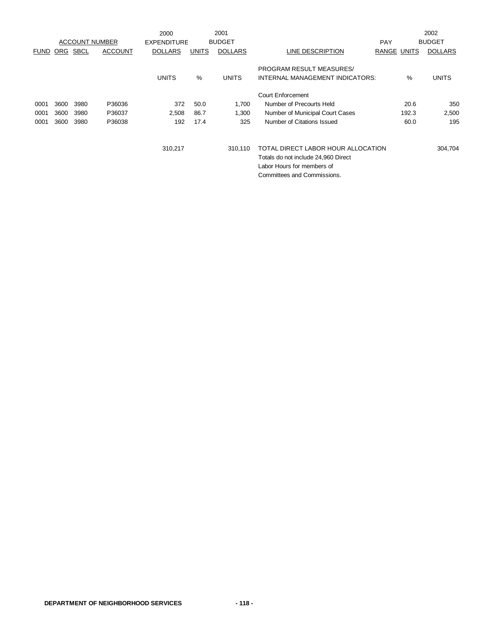|             |            |                       |                | 2000               |              | 2001           |                                     |                    |       | 2002           |
|-------------|------------|-----------------------|----------------|--------------------|--------------|----------------|-------------------------------------|--------------------|-------|----------------|
|             |            | <b>ACCOUNT NUMBER</b> |                | <b>EXPENDITURE</b> |              | <b>BUDGET</b>  |                                     | <b>PAY</b>         |       | <b>BUDGET</b>  |
| <b>FUND</b> | <u>ORG</u> | <b>SBCL</b>           | <b>ACCOUNT</b> | <b>DOLLARS</b>     | <b>UNITS</b> | <b>DOLLARS</b> | LINE DESCRIPTION                    | <b>RANGE UNITS</b> |       | <b>DOLLARS</b> |
|             |            |                       |                |                    |              |                | PROGRAM RESULT MEASURES/            |                    |       |                |
|             |            |                       |                | <b>UNITS</b>       | %            | <b>UNITS</b>   | INTERNAL MANAGEMENT INDICATORS:     |                    | %     | <b>UNITS</b>   |
|             |            |                       |                |                    |              |                | <b>Court Enforcement</b>            |                    |       |                |
| 0001        | 3600       | 3980                  | P36036         | 372                | 50.0         | 1,700          | Number of Precourts Held            |                    | 20.6  | 350            |
| 0001        | 3600       | 3980                  | P36037         | 2,508              | 86.7         | 1,300          | Number of Municipal Court Cases     |                    | 192.3 | 2,500          |
| 0001        | 3600       | 3980                  | P36038         | 192                | 17.4         | 325            | Number of Citations Issued          |                    | 60.0  | 195            |
|             |            |                       |                |                    |              |                |                                     |                    |       |                |
|             |            |                       |                | 310,217            |              | 310,110        | TOTAL DIRECT LABOR HOUR ALLOCATION  |                    |       | 304,704        |
|             |            |                       |                |                    |              |                | Totals do not include 24,960 Direct |                    |       |                |
|             |            |                       |                |                    |              |                | Labor Hours for members of          |                    |       |                |
|             |            |                       |                |                    |              |                | Committees and Commissions.         |                    |       |                |
|             |            |                       |                |                    |              |                |                                     |                    |       |                |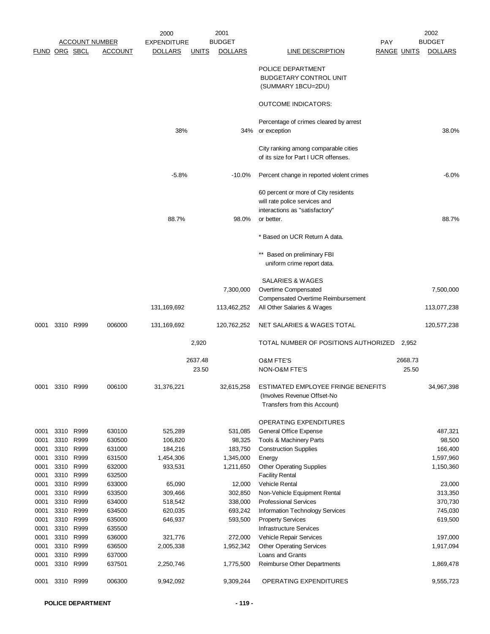|      |                      |                       |                | 2000               |              | 2001           |                                                                              |                    |         | 2002           |
|------|----------------------|-----------------------|----------------|--------------------|--------------|----------------|------------------------------------------------------------------------------|--------------------|---------|----------------|
|      |                      | <b>ACCOUNT NUMBER</b> |                | <b>EXPENDITURE</b> |              | <b>BUDGET</b>  |                                                                              | PAY                |         | <b>BUDGET</b>  |
|      | <b>FUND ORG SBCL</b> |                       | <b>ACCOUNT</b> | <b>DOLLARS</b>     | <b>UNITS</b> | <b>DOLLARS</b> | <b>LINE DESCRIPTION</b>                                                      | <b>RANGE UNITS</b> |         | <b>DOLLARS</b> |
|      |                      |                       |                |                    |              |                | POLICE DEPARTMENT                                                            |                    |         |                |
|      |                      |                       |                |                    |              |                | <b>BUDGETARY CONTROL UNIT</b>                                                |                    |         |                |
|      |                      |                       |                |                    |              |                | (SUMMARY 1BCU=2DU)                                                           |                    |         |                |
|      |                      |                       |                |                    |              |                | <b>OUTCOME INDICATORS:</b>                                                   |                    |         |                |
|      |                      |                       |                |                    |              |                | Percentage of crimes cleared by arrest                                       |                    |         |                |
|      |                      |                       |                | 38%                |              | 34%            | or exception                                                                 |                    |         | 38.0%          |
|      |                      |                       |                |                    |              |                | City ranking among comparable cities<br>of its size for Part I UCR offenses. |                    |         |                |
|      |                      |                       |                | $-5.8%$            |              | $-10.0\%$      | Percent change in reported violent crimes                                    |                    |         | $-6.0%$        |
|      |                      |                       |                |                    |              |                | 60 percent or more of City residents                                         |                    |         |                |
|      |                      |                       |                |                    |              |                | will rate police services and                                                |                    |         |                |
|      |                      |                       |                |                    |              |                | interactions as "satisfactory"                                               |                    |         |                |
|      |                      |                       |                | 88.7%              |              | 98.0%          | or better.                                                                   |                    |         | 88.7%          |
|      |                      |                       |                |                    |              |                | * Based on UCR Return A data.                                                |                    |         |                |
|      |                      |                       |                |                    |              |                |                                                                              |                    |         |                |
|      |                      |                       |                |                    |              |                | Based on preliminary FBI                                                     |                    |         |                |
|      |                      |                       |                |                    |              |                | uniform crime report data.                                                   |                    |         |                |
|      |                      |                       |                |                    |              |                | SALARIES & WAGES                                                             |                    |         |                |
|      |                      |                       |                |                    |              | 7,300,000      | Overtime Compensated                                                         |                    |         | 7,500,000      |
|      |                      |                       |                |                    |              |                | <b>Compensated Overtime Reimbursement</b>                                    |                    |         |                |
|      |                      |                       |                | 131,169,692        |              | 113,462,252    | All Other Salaries & Wages                                                   |                    |         | 113,077,238    |
| 0001 |                      | 3310 R999             | 006000         | 131,169,692        |              | 120,762,252    | NET SALARIES & WAGES TOTAL                                                   |                    |         | 120,577,238    |
|      |                      |                       |                |                    | 2,920        |                | TOTAL NUMBER OF POSITIONS AUTHORIZED                                         |                    | 2,952   |                |
|      |                      |                       |                |                    | 2637.48      |                | <b>O&amp;M FTE'S</b>                                                         |                    | 2668.73 |                |
|      |                      |                       |                |                    | 23.50        |                | NON-O&M FTE'S                                                                |                    | 25.50   |                |
|      |                      |                       |                |                    |              |                |                                                                              |                    |         |                |
| 0001 | 3310                 | R999                  | 006100         | 31,376,221         |              | 32,615,258     | ESTIMATED EMPLOYEE FRINGE BENEFITS<br>(Involves Revenue Offset-No            |                    |         | 34,967,398     |
|      |                      |                       |                |                    |              |                | Transfers from this Account)                                                 |                    |         |                |
|      |                      |                       |                |                    |              |                | <b>OPERATING EXPENDITURES</b>                                                |                    |         |                |
| 0001 | 3310                 | R999                  | 630100         | 525,289            |              | 531,085        | General Office Expense                                                       |                    |         | 487,321        |
| 0001 | 3310                 | R999                  | 630500         | 106,820            |              | 98,325         | Tools & Machinery Parts                                                      |                    |         | 98,500         |
| 0001 | 3310                 | R999                  | 631000         | 184,216            |              | 183,750        | <b>Construction Supplies</b>                                                 |                    |         | 166,400        |
| 0001 | 3310                 | R999                  | 631500         | 1,454,306          |              | 1,345,000      | Energy                                                                       |                    |         | 1,597,960      |
| 0001 |                      | 3310 R999             | 632000         | 933,531            |              | 1,211,650      | <b>Other Operating Supplies</b>                                              |                    |         | 1,150,360      |
| 0001 |                      | 3310 R999             | 632500         |                    |              |                | <b>Facility Rental</b>                                                       |                    |         |                |
| 0001 | 3310                 | R999                  | 633000         | 65,090             |              | 12,000         | <b>Vehicle Rental</b>                                                        |                    |         | 23,000         |
| 0001 |                      | 3310 R999             | 633500         | 309,466            |              | 302,850        | Non-Vehicle Equipment Rental                                                 |                    |         | 313,350        |
| 0001 |                      | 3310 R999             | 634000         | 518,542            |              | 338,000        | <b>Professional Services</b>                                                 |                    |         | 370,730        |
| 0001 | 3310                 | R999                  | 634500         | 620,035            |              | 693,242        | Information Technology Services                                              |                    |         | 745,030        |
| 0001 | 3310                 | R999                  | 635000         | 646,937            |              | 593,500        | <b>Property Services</b>                                                     |                    |         | 619,500        |
| 0001 | 3310                 | R999                  | 635500         |                    |              |                | <b>Infrastructure Services</b>                                               |                    |         |                |
| 0001 | 3310                 | R999                  | 636000         | 321,776            |              | 272,000        | Vehicle Repair Services                                                      |                    |         | 197,000        |
| 0001 | 3310                 | R999                  | 636500         | 2,005,338          |              | 1,952,342      | <b>Other Operating Services</b>                                              |                    |         | 1,917,094      |
| 0001 | 3310                 | R999                  | 637000         |                    |              |                | Loans and Grants                                                             |                    |         |                |
| 0001 |                      | 3310 R999             | 637501         | 2,250,746          |              | 1,775,500      | Reimburse Other Departments                                                  |                    |         | 1,869,478      |
| 0001 |                      | 3310 R999             | 006300         | 9,942,092          |              | 9,309,244      | OPERATING EXPENDITURES                                                       |                    |         | 9,555,723      |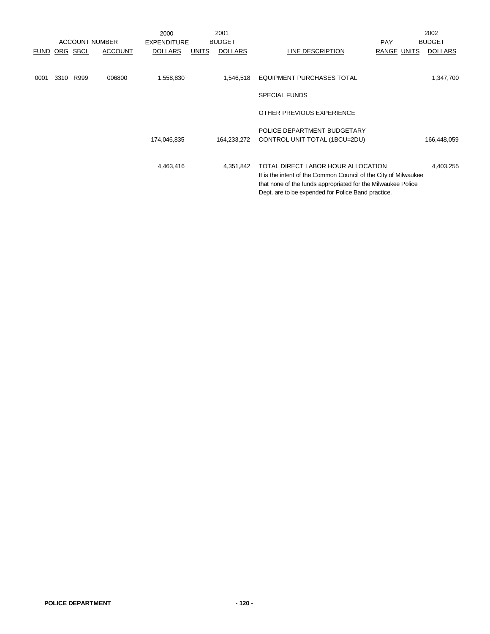|             |      |             |                       | 2000               |              | 2001           |                                                                                                                                                                                                                             | 2002           |
|-------------|------|-------------|-----------------------|--------------------|--------------|----------------|-----------------------------------------------------------------------------------------------------------------------------------------------------------------------------------------------------------------------------|----------------|
|             |      |             | <b>ACCOUNT NUMBER</b> | <b>EXPENDITURE</b> |              | <b>BUDGET</b>  | <b>PAY</b>                                                                                                                                                                                                                  | <b>BUDGET</b>  |
| <b>FUND</b> | ORG  | <b>SBCL</b> | <b>ACCOUNT</b>        | <b>DOLLARS</b>     | <b>UNITS</b> | <b>DOLLARS</b> | LINE DESCRIPTION<br><b>RANGE UNITS</b>                                                                                                                                                                                      | <b>DOLLARS</b> |
| 0001        | 3310 | R999        | 006800                | 1,558,830          |              | 1,546,518      | EQUIPMENT PURCHASES TOTAL                                                                                                                                                                                                   | 1,347,700      |
|             |      |             |                       |                    |              |                | <b>SPECIAL FUNDS</b>                                                                                                                                                                                                        |                |
|             |      |             |                       |                    |              |                | OTHER PREVIOUS EXPERIENCE                                                                                                                                                                                                   |                |
|             |      |             |                       | 174,046,835        |              | 164,233,272    | POLICE DEPARTMENT BUDGETARY<br>CONTROL UNIT TOTAL (1BCU=2DU)                                                                                                                                                                | 166,448,059    |
|             |      |             |                       | 4,463,416          |              | 4,351,842      | TOTAL DIRECT LABOR HOUR ALLOCATION<br>It is the intent of the Common Council of the City of Milwaukee<br>that none of the funds appropriated for the Milwaukee Police<br>Dept. are to be expended for Police Band practice. | 4,403,255      |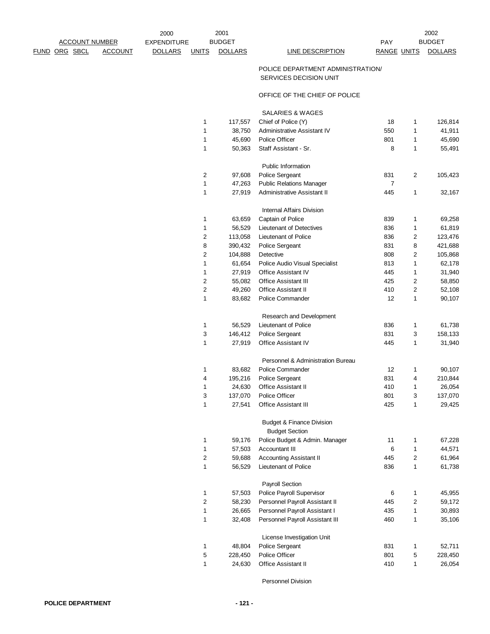FUND ORG SBCL ACCOUNT DOLLARS UNITS DOLLARS LINE DESCRIPTION RANGE UNITS DOLLARS

## POLICE DEPARTMENT ADMINISTRATION/ SERVICES DECISION UNIT

## OFFICE OF THE CHIEF OF POLICE

SALARIES & WAGES

| 1 | 117,557 | Chief of Police (Y)                  | 18  | 1 | 126,814 |
|---|---------|--------------------------------------|-----|---|---------|
| 1 | 38,750  | Administrative Assistant IV          | 550 | 1 | 41,911  |
| 1 | 45,690  | <b>Police Officer</b>                | 801 | 1 | 45,690  |
| 1 | 50,363  | Staff Assistant - Sr.                | 8   | 1 | 55,491  |
|   |         | Public Information                   |     |   |         |
| 2 | 97,608  | Police Sergeant                      | 831 | 2 | 105,423 |
| 1 | 47,263  | <b>Public Relations Manager</b>      | 7   |   |         |
| 1 | 27,919  | Administrative Assistant II          | 445 | 1 | 32,167  |
|   |         | <b>Internal Affairs Division</b>     |     |   |         |
| 1 | 63,659  | Captain of Police                    | 839 | 1 | 69,258  |
| 1 | 56,529  | Lieutenant of Detectives             | 836 | 1 | 61,819  |
| 2 | 113,058 | Lieutenant of Police                 | 836 | 2 | 123,476 |
| 8 | 390,432 | Police Sergeant                      | 831 | 8 | 421,688 |
| 2 | 104,888 | Detective                            | 808 | 2 | 105,868 |
| 1 | 61,654  | Police Audio Visual Specialist       | 813 | 1 | 62,178  |
| 1 | 27,919  | <b>Office Assistant IV</b>           | 445 | 1 | 31,940  |
| 2 | 55,082  | <b>Office Assistant III</b>          | 425 | 2 | 58,850  |
| 2 | 49,260  | <b>Office Assistant II</b>           | 410 | 2 | 52,108  |
| 1 | 83,682  | Police Commander                     | 12  | 1 | 90,107  |
|   |         | Research and Development             |     |   |         |
| 1 | 56,529  | Lieutenant of Police                 | 836 | 1 | 61,738  |
| 3 | 146,412 | Police Sergeant                      | 831 | 3 | 158,133 |
| 1 | 27,919  | Office Assistant IV                  | 445 | 1 | 31,940  |
|   |         | Personnel & Administration Bureau    |     |   |         |
| 1 | 83,682  | Police Commander                     | 12  | 1 | 90,107  |
| 4 | 195,216 | Police Sergeant                      | 831 | 4 | 210,844 |
| 1 | 24,630  | <b>Office Assistant II</b>           | 410 | 1 | 26,054  |
| 3 | 137,070 | <b>Police Officer</b>                | 801 | 3 | 137,070 |
| 1 | 27,541  | Office Assistant III                 | 425 | 1 | 29,425  |
|   |         | <b>Budget &amp; Finance Division</b> |     |   |         |
|   |         | <b>Budget Section</b>                |     |   |         |
| 1 | 59,176  | Police Budget & Admin. Manager       | 11  | 1 | 67,228  |
| 1 | 57,503  | Accountant III                       | 6   | 1 | 44,571  |
| 2 | 59,688  | <b>Accounting Assistant II</b>       | 445 | 2 | 61,964  |
| 1 | 56,529  | Lieutenant of Police                 | 836 | 1 | 61,738  |
|   |         | <b>Payroll Section</b>               |     |   |         |
| 1 | 57,503  | Police Payroll Supervisor            | 6   | 1 | 45,955  |
| 2 | 58,230  | Personnel Payroll Assistant II       | 445 | 2 | 59,172  |
| 1 | 26,665  | Personnel Payroll Assistant I        | 435 | 1 | 30,893  |
| 1 | 32,408  | Personnel Payroll Assistant III      | 460 | 1 | 35,106  |
|   |         | License Investigation Unit           |     |   |         |
| 1 | 48,804  | Police Sergeant                      | 831 | 1 | 52,711  |
| 5 | 228,450 | Police Officer                       | 801 | 5 | 228,450 |
| 1 | 24,630  | <b>Office Assistant II</b>           | 410 | 1 | 26,054  |
|   |         |                                      |     |   |         |

Personnel Division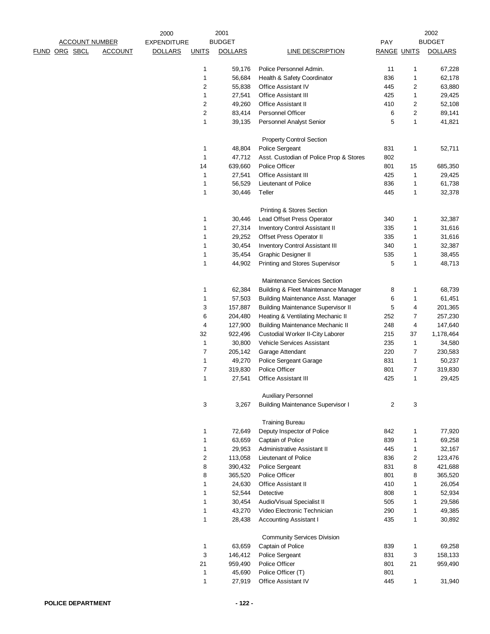|  |                       |                | 2000               |              | 2001           |                                           |                    |              | 2002           |
|--|-----------------------|----------------|--------------------|--------------|----------------|-------------------------------------------|--------------------|--------------|----------------|
|  | <b>ACCOUNT NUMBER</b> |                | <b>EXPENDITURE</b> |              | <b>BUDGET</b>  |                                           | <b>PAY</b>         |              | <b>BUDGET</b>  |
|  | <u>FUND ORG SBCL</u>  | <b>ACCOUNT</b> | <b>DOLLARS</b>     | <b>UNITS</b> | <b>DOLLARS</b> | <b>LINE DESCRIPTION</b>                   | <b>RANGE UNITS</b> |              | <b>DOLLARS</b> |
|  |                       |                |                    | 1            | 59,176         | Police Personnel Admin.                   | 11                 | 1            | 67,228         |
|  |                       |                |                    | 1            | 56,684         | Health & Safety Coordinator               | 836                | 1            | 62,178         |
|  |                       |                |                    | 2            | 55,838         | Office Assistant IV                       | 445                | 2            | 63,880         |
|  |                       |                |                    | 1            | 27,541         | <b>Office Assistant III</b>               | 425                | 1            | 29,425         |
|  |                       |                |                    | 2            | 49,260         | <b>Office Assistant II</b>                | 410                | 2            | 52,108         |
|  |                       |                |                    | 2            | 83,414         | Personnel Officer                         | 6                  | 2            | 89,141         |
|  |                       |                |                    | 1            | 39,135         | Personnel Analyst Senior                  | 5                  | 1            | 41,821         |
|  |                       |                |                    |              |                | <b>Property Control Section</b>           |                    |              |                |
|  |                       |                |                    | 1            | 48,804         | Police Sergeant                           | 831                | $\mathbf{1}$ | 52,711         |
|  |                       |                |                    | 1            | 47,712         | Asst. Custodian of Police Prop & Stores   | 802                |              |                |
|  |                       |                |                    | 14           | 639,660        | Police Officer                            | 801                | 15           | 685,350        |
|  |                       |                |                    | $\mathbf 1$  | 27,541         | Office Assistant III                      | 425                | $\mathbf{1}$ | 29,425         |
|  |                       |                |                    | 1            | 56,529         | Lieutenant of Police                      | 836                | 1            | 61,738         |
|  |                       |                |                    | 1            | 30,446         | Teller                                    | 445                | 1            | 32,378         |
|  |                       |                |                    |              |                | Printing & Stores Section                 |                    |              |                |
|  |                       |                |                    | 1            | 30,446         | Lead Offset Press Operator                | 340                | 1            | 32,387         |
|  |                       |                |                    | 1            | 27,314         | Inventory Control Assistant II            | 335                | 1            | 31,616         |
|  |                       |                |                    | 1            | 29,252         | Offset Press Operator II                  | 335                | 1            | 31,616         |
|  |                       |                |                    | 1            | 30,454         | <b>Inventory Control Assistant III</b>    | 340                | 1            | 32,387         |
|  |                       |                |                    | 1            | 35,454         | Graphic Designer II                       | 535                | 1            | 38,455         |
|  |                       |                |                    | 1            | 44,902         | Printing and Stores Supervisor            | 5                  | 1            | 48,713         |
|  |                       |                |                    |              |                | Maintenance Services Section              |                    |              |                |
|  |                       |                |                    | 1            | 62,384         | Building & Fleet Maintenance Manager      | 8                  | 1            | 68,739         |
|  |                       |                |                    | 1            | 57,503         | <b>Building Maintenance Asst. Manager</b> | 6                  | 1            | 61,451         |
|  |                       |                |                    | 3            | 157,887        | <b>Building Maintenance Supervisor II</b> | 5                  | 4            | 201,365        |
|  |                       |                |                    | 6            | 204,480        | Heating & Ventilating Mechanic II         | 252                | 7            | 257,230        |
|  |                       |                |                    | 4            | 127,900        | <b>Building Maintenance Mechanic II</b>   | 248                | 4            | 147,640        |
|  |                       |                |                    | 32           | 922,496        | Custodial Worker II-City Laborer          | 215                | 37           | 1,178,464      |
|  |                       |                |                    | $\mathbf 1$  | 30,800         | Vehicle Services Assistant                | 235                | 1            | 34,580         |
|  |                       |                |                    | 7            | 205,142        | Garage Attendant                          | 220                | 7            | 230,583        |
|  |                       |                |                    | 1            | 49,270         | Police Sergeant Garage                    | 831                | 1            | 50,237         |
|  |                       |                |                    | 7            | 319,830        | Police Officer                            | 801                | 7            | 319,830        |
|  |                       |                |                    | 1            | 27,541         | <b>Office Assistant III</b>               | 425                | 1            | 29,425         |
|  |                       |                |                    |              |                | <b>Auxiliary Personnel</b>                |                    |              |                |
|  |                       |                |                    | 3            | 3,267          | <b>Building Maintenance Supervisor I</b>  | 2                  | 3            |                |
|  |                       |                |                    |              |                | <b>Training Bureau</b>                    |                    |              |                |
|  |                       |                |                    | 1            | 72,649         | Deputy Inspector of Police                | 842                | $\mathbf{1}$ | 77,920         |
|  |                       |                |                    | 1            | 63,659         | Captain of Police                         | 839                | 1            | 69,258         |
|  |                       |                |                    | 1            | 29,953         | Administrative Assistant II               | 445                | $\mathbf{1}$ | 32,167         |
|  |                       |                |                    | 2            | 113,058        | Lieutenant of Police                      | 836                | 2            | 123,476        |
|  |                       |                |                    | 8            | 390,432        | Police Sergeant                           | 831                | 8            | 421,688        |
|  |                       |                |                    | 8            | 365,520        | Police Officer                            | 801                | 8            | 365,520        |
|  |                       |                |                    | 1            | 24,630         | Office Assistant II                       | 410                | 1            | 26,054         |
|  |                       |                |                    | 1            | 52,544         | Detective                                 | 808                | 1            | 52,934         |
|  |                       |                |                    | 1            | 30,454         | Audio/Visual Specialist II                | 505                | $\mathbf{1}$ | 29,586         |
|  |                       |                |                    | 1            | 43,270         | Video Electronic Technician               | 290                | 1            | 49,385         |
|  |                       |                |                    | 1            | 28,438         | <b>Accounting Assistant I</b>             | 435                | 1            | 30,892         |
|  |                       |                |                    |              |                | <b>Community Services Division</b>        |                    |              |                |
|  |                       |                |                    | 1            | 63,659         | Captain of Police                         | 839                | $\mathbf{1}$ | 69,258         |
|  |                       |                |                    | 3            | 146,412        | Police Sergeant                           | 831                | 3            | 158,133        |
|  |                       |                |                    | 21           | 959,490        | Police Officer                            | 801                | 21           | 959,490        |
|  |                       |                |                    | 1            | 45,690         | Police Officer (T)                        | 801                |              |                |
|  |                       |                |                    | $\mathbf 1$  | 27,919         | Office Assistant IV                       | 445                | $\mathbf{1}$ | 31,940         |
|  |                       |                |                    |              |                |                                           |                    |              |                |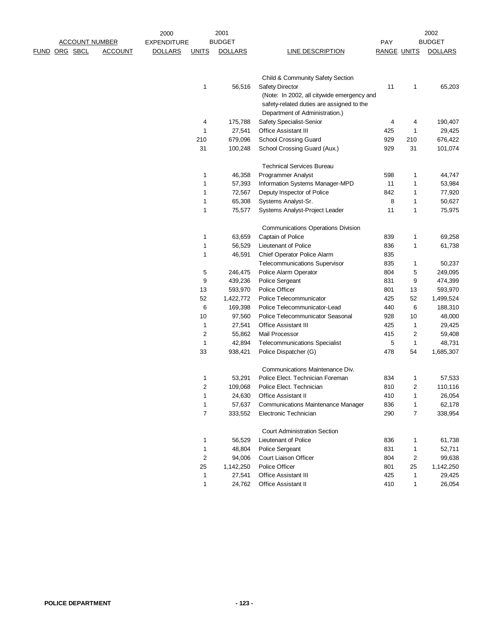| <b>ACCOUNT NUMBER</b> |  |          | 2000           |                    | 2001           |                |                                            |                    | 2002                    |                |
|-----------------------|--|----------|----------------|--------------------|----------------|----------------|--------------------------------------------|--------------------|-------------------------|----------------|
|                       |  |          |                | <b>EXPENDITURE</b> |                | <b>BUDGET</b>  |                                            | PAY                |                         | <b>BUDGET</b>  |
| <u>FUND</u>           |  | ORG SBCL | <b>ACCOUNT</b> | <b>DOLLARS</b>     | <b>UNITS</b>   | <b>DOLLARS</b> | <b>LINE DESCRIPTION</b>                    | <b>RANGE UNITS</b> |                         | <b>DOLLARS</b> |
|                       |  |          |                |                    |                |                | Child & Community Safety Section           |                    |                         |                |
|                       |  |          |                |                    | 1              | 56,516         | Safety Director                            | 11                 | 1                       | 65,203         |
|                       |  |          |                |                    |                |                | (Note: In 2002, all citywide emergency and |                    |                         |                |
|                       |  |          |                |                    |                |                | safety-related duties are assigned to the  |                    |                         |                |
|                       |  |          |                |                    |                |                | Department of Administration.)             |                    |                         |                |
|                       |  |          |                |                    | 4              | 175,788        | Safety Specialist-Senior                   | 4                  | 4                       | 190,407        |
|                       |  |          |                |                    | 1              | 27,541         | <b>Office Assistant III</b>                | 425                | $\mathbf{1}$            | 29,425         |
|                       |  |          |                |                    | 210            | 679,096        | School Crossing Guard                      | 929                | 210                     | 676,422        |
|                       |  |          |                |                    | 31             | 100,248        | School Crossing Guard (Aux.)               | 929                | 31                      | 101,074        |
|                       |  |          |                |                    |                |                | <b>Technical Services Bureau</b>           |                    |                         |                |
|                       |  |          |                |                    | 1              | 46,358         | Programmer Analyst                         | 598                | 1                       | 44,747         |
|                       |  |          |                |                    | 1              | 57,393         | Information Systems Manager-MPD            | 11                 | $\mathbf{1}$            | 53,984         |
|                       |  |          |                |                    | 1              | 72,567         | Deputy Inspector of Police                 | 842                | 1                       | 77,920         |
|                       |  |          |                |                    | 1              | 65,308         | Systems Analyst-Sr.                        | 8                  | 1                       | 50,627         |
|                       |  |          |                |                    | 1              | 75,577         | Systems Analyst-Project Leader             | 11                 | $\mathbf{1}$            | 75,975         |
|                       |  |          |                |                    |                |                | <b>Communications Operations Division</b>  |                    |                         |                |
|                       |  |          |                |                    | 1              | 63,659         | Captain of Police                          | 839                | $\mathbf{1}$            | 69,258         |
|                       |  |          |                |                    | 1              | 56,529         | Lieutenant of Police                       | 836                | $\mathbf{1}$            | 61,738         |
|                       |  |          |                |                    | 1              | 46,591         | Chief Operator Police Alarm                | 835                |                         |                |
|                       |  |          |                |                    |                |                | <b>Telecommunications Supervisor</b>       | 835                | 1                       | 50,237         |
|                       |  |          |                |                    | 5              | 246,475        | Police Alarm Operator                      | 804                | 5                       | 249,095        |
|                       |  |          |                |                    | 9              | 439,236        | Police Sergeant                            | 831                | 9                       | 474,399        |
|                       |  |          |                |                    | 13             | 593,970        | Police Officer                             | 801                | 13                      | 593,970        |
|                       |  |          |                |                    | 52             | 1,422,772      | Police Telecommunicator                    | 425                | 52                      | 1,499,524      |
|                       |  |          |                |                    | 6              | 169,398        | Police Telecommunicator-Lead               | 440                | 6                       | 188,310        |
|                       |  |          |                |                    | 10             | 97,560         | Police Telecommunicator Seasonal           | 928                | 10                      | 48,000         |
|                       |  |          |                |                    | $\mathbf{1}$   | 27,541         | <b>Office Assistant III</b>                | 425                | $\mathbf{1}$            | 29,425         |
|                       |  |          |                |                    | 2              | 55,862         | Mail Processor                             | 415                | $\overline{\mathbf{c}}$ | 59,408         |
|                       |  |          |                |                    | 1              | 42,894         | <b>Telecommunications Specialist</b>       | 5                  | $\mathbf{1}$            | 48,731         |
|                       |  |          |                |                    | 33             | 938,421        | Police Dispatcher (G)                      | 478                | 54                      | 1,685,307      |
|                       |  |          |                |                    |                |                | Communications Maintenance Div.            |                    |                         |                |
|                       |  |          |                |                    | 1              | 53,291         | Police Elect. Technician Foreman           | 834                | 1                       | 57,533         |
|                       |  |          |                |                    | 2              | 109,068        | Police Elect. Technician                   | 810                | $\overline{2}$          | 110,116        |
|                       |  |          |                |                    | 1              | 24,630         | Office Assistant II                        | 410                | 1                       | 26,054         |
|                       |  |          |                |                    | 1              | 57,637         | <b>Communications Maintenance Manager</b>  | 836                | $\mathbf{1}$            | 62,178         |
|                       |  |          |                |                    | 7              | 333,552        | Electronic Technician                      | 290                | $\overline{7}$          | 338,954        |
|                       |  |          |                |                    |                |                | <b>Court Administration Section</b>        |                    |                         |                |
|                       |  |          |                |                    | 1              | 56,529         | Lieutenant of Police                       | 836                | 1                       | 61,738         |
|                       |  |          |                |                    | 1              | 48,804         | Police Sergeant                            | 831                | 1                       | 52,711         |
|                       |  |          |                |                    | $\overline{c}$ | 94,006         | Court Liaison Officer                      | 804                | $\sqrt{2}$              | 99,638         |
|                       |  |          |                |                    | 25             | 1,142,250      | Police Officer                             | 801                | 25                      | 1,142,250      |
|                       |  |          |                |                    | 1              | 27,541         | <b>Office Assistant III</b>                | 425                | 1                       | 29,425         |
|                       |  |          |                |                    | 1              | 24,762         | Office Assistant II                        | 410                | $\mathbf{1}$            | 26,054         |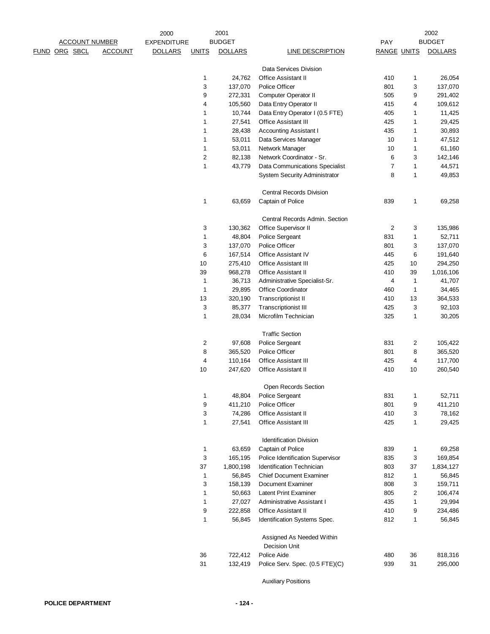|                      |                       |                | 2000               |              | 2001           |                                      |                    |              | 2002           |
|----------------------|-----------------------|----------------|--------------------|--------------|----------------|--------------------------------------|--------------------|--------------|----------------|
|                      | <b>ACCOUNT NUMBER</b> |                | <b>EXPENDITURE</b> |              | <b>BUDGET</b>  |                                      | PAY                |              | <b>BUDGET</b>  |
| <u>FUND ORG SBCL</u> |                       | <b>ACCOUNT</b> | <b>DOLLARS</b>     | <b>UNITS</b> | <b>DOLLARS</b> | <b>LINE DESCRIPTION</b>              | <b>RANGE UNITS</b> |              | <b>DOLLARS</b> |
|                      |                       |                |                    |              |                | Data Services Division               |                    |              |                |
|                      |                       |                |                    | 1            | 24,762         | <b>Office Assistant II</b>           | 410                | $\mathbf{1}$ | 26,054         |
|                      |                       |                |                    | 3            | 137,070        | Police Officer                       | 801                | 3            | 137,070        |
|                      |                       |                |                    | 9            | 272,331        | Computer Operator II                 | 505                | 9            | 291,402        |
|                      |                       |                |                    | 4            | 105,560        | Data Entry Operator II               | 415                | 4            | 109,612        |
|                      |                       |                |                    | 1            | 10,744         | Data Entry Operator I (0.5 FTE)      | 405                | 1            | 11,425         |
|                      |                       |                |                    | 1            | 27,541         | <b>Office Assistant III</b>          | 425                | 1            | 29,425         |
|                      |                       |                |                    | 1            | 28,438         | <b>Accounting Assistant I</b>        | 435                | $\mathbf{1}$ | 30,893         |
|                      |                       |                |                    | 1            | 53,011         | Data Services Manager                | 10                 | $\mathbf{1}$ | 47,512         |
|                      |                       |                |                    | 1            | 53,011         | Network Manager                      | 10                 | $\mathbf{1}$ | 61,160         |
|                      |                       |                |                    | $\sqrt{2}$   | 82,138         | Network Coordinator - Sr.            | 6                  | 3            | 142,146        |
|                      |                       |                |                    | $\mathbf{1}$ | 43,779         | Data Communications Specialist       | $\overline{7}$     | $\mathbf{1}$ | 44,571         |
|                      |                       |                |                    |              |                | <b>System Security Administrator</b> | 8                  | $\mathbf{1}$ | 49,853         |
|                      |                       |                |                    |              |                |                                      |                    |              |                |
|                      |                       |                |                    |              |                | <b>Central Records Division</b>      |                    |              |                |
|                      |                       |                |                    | $\mathbf{1}$ | 63,659         | Captain of Police                    | 839                | $\mathbf{1}$ | 69,258         |
|                      |                       |                |                    |              |                | Central Records Admin. Section       |                    |              |                |
|                      |                       |                |                    | 3            | 130,362        | Office Supervisor II                 | $\sqrt{2}$         | 3            | 135,986        |
|                      |                       |                |                    | $\mathbf{1}$ | 48,804         | <b>Police Sergeant</b>               | 831                | $\mathbf{1}$ | 52,711         |
|                      |                       |                |                    | 3            | 137,070        | Police Officer                       | 801                | 3            | 137,070        |
|                      |                       |                |                    | 6            | 167,514        | Office Assistant IV                  | 445                | 6            | 191,640        |
|                      |                       |                |                    | 10           | 275,410        | <b>Office Assistant III</b>          | 425                | 10           | 294,250        |
|                      |                       |                |                    | 39           | 968,278        | Office Assistant II                  | 410                | 39           | 1,016,106      |
|                      |                       |                |                    | $\mathbf{1}$ | 36,713         | Administrative Specialist-Sr.        | 4                  | $\mathbf{1}$ | 41,707         |
|                      |                       |                |                    | $\mathbf{1}$ | 29,895         | Office Coordinator                   | 460                | $\mathbf{1}$ | 34,465         |
|                      |                       |                |                    | 13           | 320,190        | <b>Transcriptionist II</b>           | 410                | 13           | 364,533        |
|                      |                       |                |                    | 3            | 85,377         | <b>Transcriptionist III</b>          | 425                | 3            | 92,103         |
|                      |                       |                |                    | $\mathbf{1}$ | 28,034         | Microfilm Technician                 | 325                | $\mathbf{1}$ | 30,205         |
|                      |                       |                |                    |              |                | <b>Traffic Section</b>               |                    |              |                |
|                      |                       |                |                    | 2            | 97,608         | Police Sergeant                      | 831                | 2            | 105,422        |
|                      |                       |                |                    | 8            | 365,520        | Police Officer                       | 801                | 8            | 365,520        |
|                      |                       |                |                    | 4            | 110,164        | Office Assistant III                 | 425                | 4            | 117,700        |
|                      |                       |                |                    | 10           | 247,620        | Office Assistant II                  | 410                | 10           | 260,540        |
|                      |                       |                |                    |              |                | Open Records Section                 |                    |              |                |
|                      |                       |                |                    | 1            | 48,804         | Police Sergeant                      | 831                | $\mathbf{1}$ | 52,711         |
|                      |                       |                |                    | 9            | 411,210        | Police Officer                       | 801                | 9            | 411,210        |
|                      |                       |                |                    | 3            | 74,286         | Office Assistant II                  | 410                | 3            | 78,162         |
|                      |                       |                |                    | 1            | 27,541         | <b>Office Assistant III</b>          | 425                | $\mathbf{1}$ | 29,425         |
|                      |                       |                |                    |              |                | <b>Identification Division</b>       |                    |              |                |
|                      |                       |                |                    | $\mathbf{1}$ | 63,659         | Captain of Police                    | 839                | 1            | 69,258         |
|                      |                       |                |                    |              |                | Police Identification Supervisor     |                    |              |                |
|                      |                       |                |                    | 3            | 165,195        |                                      | 835                | 3            | 169,854        |
|                      |                       |                |                    | 37           | 1,800,198      | Identification Technician            | 803                | 37           | 1,834,127      |
|                      |                       |                |                    | $\mathbf{1}$ | 56,845         | <b>Chief Document Examiner</b>       | 812                | 1            | 56,845         |
|                      |                       |                |                    | 3            | 158,139        | Document Examiner                    | 808                | 3            | 159,711        |
|                      |                       |                |                    | 1            | 50,663         | <b>Latent Print Examiner</b>         | 805                | 2            | 106,474        |
|                      |                       |                |                    | 1            | 27,027         | Administrative Assistant I           | 435                | $\mathbf{1}$ | 29,994         |
|                      |                       |                |                    | 9            | 222,858        | <b>Office Assistant II</b>           | 410                | 9            | 234,486        |
|                      |                       |                |                    | 1            | 56,845         | Identification Systems Spec.         | 812                | $\mathbf{1}$ | 56,845         |
|                      |                       |                |                    |              |                | Assigned As Needed Within            |                    |              |                |
|                      |                       |                |                    |              |                | <b>Decision Unit</b>                 |                    |              |                |
|                      |                       |                |                    | 36           | 722,412        | Police Aide                          | 480                | 36           | 818,316        |
|                      |                       |                |                    | 31           | 132,419        | Police Serv. Spec. (0.5 FTE)(C)      | 939                | 31           | 295,000        |
|                      |                       |                |                    |              |                |                                      |                    |              |                |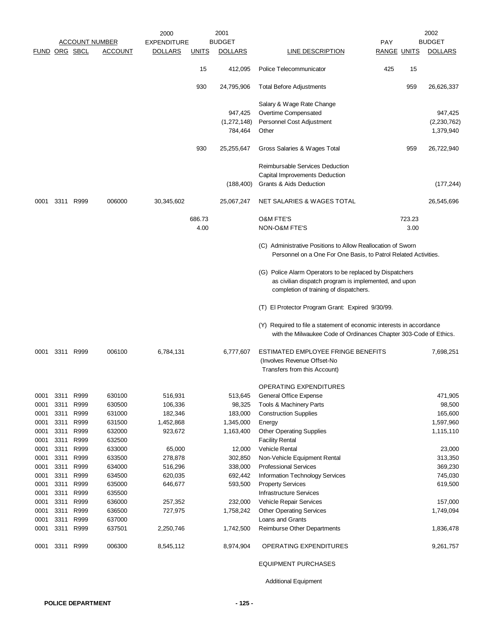|               |              |              |                       | 2000               |              | 2001                   |                                                                                                                                                             |                    |        | 2002                     |
|---------------|--------------|--------------|-----------------------|--------------------|--------------|------------------------|-------------------------------------------------------------------------------------------------------------------------------------------------------------|--------------------|--------|--------------------------|
|               |              |              | <b>ACCOUNT NUMBER</b> | <b>EXPENDITURE</b> |              | <b>BUDGET</b>          |                                                                                                                                                             | <b>PAY</b>         |        | <b>BUDGET</b>            |
| FUND ORG SBCL |              |              | <b>ACCOUNT</b>        | <b>DOLLARS</b>     | <u>UNITS</u> | <b>DOLLARS</b>         | <b>LINE DESCRIPTION</b>                                                                                                                                     | <b>RANGE UNITS</b> |        | <b>DOLLARS</b>           |
|               |              |              |                       |                    | 15           | 412,095                | Police Telecommunicator                                                                                                                                     | 425                | 15     |                          |
|               |              |              |                       |                    | 930          | 24,795,906             | <b>Total Before Adjustments</b>                                                                                                                             |                    | 959    | 26,626,337               |
|               |              |              |                       |                    |              |                        | Salary & Wage Rate Change                                                                                                                                   |                    |        |                          |
|               |              |              |                       |                    |              | 947,425                | Overtime Compensated                                                                                                                                        |                    |        | 947,425                  |
|               |              |              |                       |                    |              | (1,272,148)<br>784,464 | Personnel Cost Adjustment<br>Other                                                                                                                          |                    |        | (2,230,762)<br>1,379,940 |
|               |              |              |                       |                    | 930          | 25,255,647             | Gross Salaries & Wages Total                                                                                                                                |                    | 959    | 26,722,940               |
|               |              |              |                       |                    |              |                        | Reimbursable Services Deduction                                                                                                                             |                    |        |                          |
|               |              |              |                       |                    |              |                        | Capital Improvements Deduction                                                                                                                              |                    |        |                          |
|               |              |              |                       |                    |              | (188, 400)             | Grants & Aids Deduction                                                                                                                                     |                    |        | (177, 244)               |
| 0001          |              | 3311 R999    | 006000                | 30,345,602         |              | 25,067,247             | NET SALARIES & WAGES TOTAL                                                                                                                                  |                    |        | 26,545,696               |
|               |              |              |                       |                    | 686.73       |                        | <b>O&amp;M FTE'S</b>                                                                                                                                        |                    | 723.23 |                          |
|               |              |              |                       |                    | 4.00         |                        | <b>NON-O&amp;M FTE'S</b>                                                                                                                                    |                    | 3.00   |                          |
|               |              |              |                       |                    |              |                        | (C) Administrative Positions to Allow Reallocation of Sworn<br>Personnel on a One For One Basis, to Patrol Related Activities.                              |                    |        |                          |
|               |              |              |                       |                    |              |                        | (G) Police Alarm Operators to be replaced by Dispatchers<br>as civilian dispatch program is implemented, and upon<br>completion of training of dispatchers. |                    |        |                          |
|               |              |              |                       |                    |              |                        | (T) El Protector Program Grant: Expired 9/30/99.                                                                                                            |                    |        |                          |
|               |              |              |                       |                    |              |                        | (Y) Required to file a statement of economic interests in accordance<br>with the Milwaukee Code of Ordinances Chapter 303-Code of Ethics.                   |                    |        |                          |
| 0001          |              | 3311 R999    | 006100                | 6,784,131          |              | 6,777,607              | ESTIMATED EMPLOYEE FRINGE BENEFITS                                                                                                                          |                    |        | 7,698,251                |
|               |              |              |                       |                    |              |                        | (Involves Revenue Offset-No<br>Transfers from this Account)                                                                                                 |                    |        |                          |
|               |              |              |                       |                    |              |                        |                                                                                                                                                             |                    |        |                          |
|               |              |              |                       |                    |              |                        | OPERATING EXPENDITURES                                                                                                                                      |                    |        |                          |
| 0001          | 3311         | R999         | 630100                | 516,931            |              | 513,645                | General Office Expense                                                                                                                                      |                    |        | 471,905                  |
| 0001          | 3311         | R999         | 630500                | 106,336            |              | 98,325                 | Tools & Machinery Parts                                                                                                                                     |                    |        | 98,500                   |
| 0001          | 3311         | R999         | 631000                | 182,346            |              | 183,000                | <b>Construction Supplies</b>                                                                                                                                |                    |        | 165,600                  |
| 0001          | 3311         | R999         | 631500                | 1,452,868          |              | 1,345,000              | Energy                                                                                                                                                      |                    |        | 1,597,960                |
| 0001          | 3311         | R999         | 632000                | 923,672            |              | 1,163,400              | <b>Other Operating Supplies</b>                                                                                                                             |                    |        | 1,115,110                |
| 0001<br>0001  | 3311<br>3311 | R999<br>R999 | 632500                |                    |              |                        | <b>Facility Rental</b><br>Vehicle Rental                                                                                                                    |                    |        |                          |
| 0001          | 3311         | R999         | 633000<br>633500      | 65,000<br>278,878  |              | 12,000<br>302,850      | Non-Vehicle Equipment Rental                                                                                                                                |                    |        | 23,000<br>313,350        |
| 0001          | 3311         | R999         | 634000                | 516,296            |              | 338,000                | <b>Professional Services</b>                                                                                                                                |                    |        | 369,230                  |
| 0001          | 3311         | R999         | 634500                | 620,035            |              | 692,442                | <b>Information Technology Services</b>                                                                                                                      |                    |        | 745,030                  |
| 0001          | 3311         | R999         | 635000                | 646,677            |              | 593,500                | <b>Property Services</b>                                                                                                                                    |                    |        | 619,500                  |
| 0001          | 3311         | R999         | 635500                |                    |              |                        | <b>Infrastructure Services</b>                                                                                                                              |                    |        |                          |
| 0001          | 3311         | R999         | 636000                | 257,352            |              | 232,000                | Vehicle Repair Services                                                                                                                                     |                    |        | 157,000                  |
| 0001          | 3311         | R999         | 636500                | 727,975            |              | 1,758,242              | <b>Other Operating Services</b>                                                                                                                             |                    |        | 1,749,094                |
| 0001          | 3311         | R999         | 637000                |                    |              |                        | Loans and Grants                                                                                                                                            |                    |        |                          |
| 0001          | 3311         | R999         | 637501                | 2,250,746          |              | 1,742,500              | Reimburse Other Departments                                                                                                                                 |                    |        | 1,836,478                |
| 0001          |              | 3311 R999    | 006300                | 8,545,112          |              | 8,974,904              | OPERATING EXPENDITURES                                                                                                                                      |                    |        | 9,261,757                |
|               |              |              |                       |                    |              |                        |                                                                                                                                                             |                    |        |                          |

EQUIPMENT PURCHASES

Additional Equipment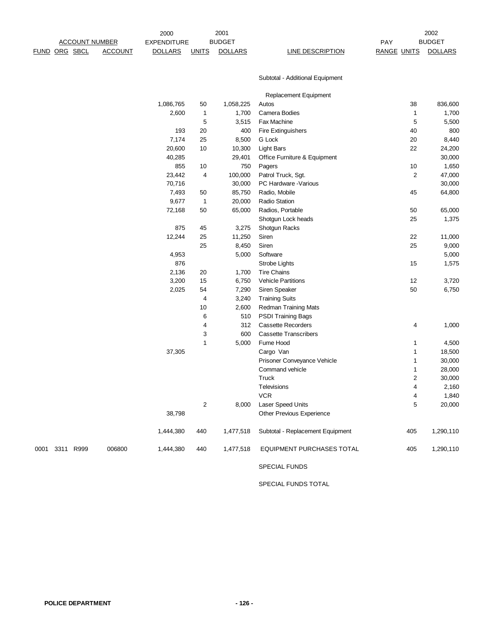|                | <b>ACCOUNT NUMBER</b> |                | <b>EXPENDITURE</b> |                  | <b>BUDGET</b>  |                                                           | PAY                | <b>BUDGET</b>  |
|----------------|-----------------------|----------------|--------------------|------------------|----------------|-----------------------------------------------------------|--------------------|----------------|
|                | FUND ORG SBCL         | <b>ACCOUNT</b> | <b>DOLLARS</b>     | <b>UNITS</b>     | <b>DOLLARS</b> | <b>LINE DESCRIPTION</b>                                   | <b>RANGE UNITS</b> | <b>DOLLARS</b> |
|                |                       |                |                    |                  |                | Subtotal - Additional Equipment                           |                    |                |
|                |                       |                |                    |                  |                | Replacement Equipment                                     |                    |                |
|                |                       |                | 1,086,765          | 50               | 1,058,225      | Autos                                                     | 38                 | 836,600        |
|                |                       |                | 2,600              | 1                | 1,700          | Camera Bodies                                             | 1                  | 1,700          |
|                |                       |                |                    | 5                | 3,515          | Fax Machine                                               | 5                  | 5,500          |
|                |                       |                | 193                | 20               | 400            | <b>Fire Extinguishers</b>                                 | 40                 | 800            |
|                |                       |                | 7,174              | 25               | 8,500          | G Lock                                                    | 20                 | 8,440          |
|                |                       |                | 20,600             | 10               | 10,300         | <b>Light Bars</b>                                         | 22                 | 24,200         |
|                |                       |                | 40,285             |                  | 29,401         | Office Furniture & Equipment                              |                    | 30,000         |
|                |                       |                | 855                | 10               | 750            | Pagers                                                    | 10                 | 1,650          |
|                |                       |                | 23,442             | 4                | 100,000        | Patrol Truck, Sgt.                                        | 2                  | 47,000         |
|                |                       |                | 70,716             |                  | 30,000         | PC Hardware - Various                                     |                    | 30,000         |
|                |                       |                | 7,493              | 50               | 85,750         | Radio, Mobile                                             | 45                 | 64,800         |
|                |                       |                | 9,677              | $\mathbf{1}$     | 20,000         | Radio Station                                             |                    |                |
|                |                       |                | 72,168             | 50               | 65,000         | Radios, Portable                                          | 50                 | 65,000         |
|                |                       |                |                    |                  |                | Shotgun Lock heads                                        | 25                 | 1,375          |
|                |                       |                | 875                | 45               | 3,275          | Shotgun Racks                                             |                    |                |
|                |                       |                | 12,244             | 25               | 11,250         | Siren                                                     | 22                 | 11,000         |
|                |                       |                |                    | 25               | 8,450          | Siren                                                     | 25                 | 9,000          |
|                |                       |                | 4,953              |                  | 5,000          | Software                                                  |                    | 5,000          |
|                |                       |                | 876                |                  |                | Strobe Lights                                             | 15                 | 1,575          |
|                |                       |                | 2,136              | 20               | 1,700          | <b>Tire Chains</b>                                        |                    |                |
|                |                       |                | 3,200              | 15               | 6,750          | <b>Vehicle Partitions</b>                                 | 12                 | 3,720          |
|                |                       |                | 2,025              | 54               | 7,290          | Siren Speaker                                             | 50                 | 6,750          |
|                |                       |                |                    | 4                | 3,240          | <b>Training Suits</b>                                     |                    |                |
|                |                       |                |                    | 10               | 2,600          | <b>Redman Training Mats</b>                               |                    |                |
|                |                       |                |                    | 6                | 510            | <b>PSDI Training Bags</b>                                 |                    |                |
|                |                       |                |                    | 4<br>3           | 312<br>600     | <b>Cassette Recorders</b><br><b>Cassette Transcribers</b> | 4                  | 1,000          |
|                |                       |                |                    | $\mathbf{1}$     | 5,000          | Fume Hood                                                 | 1                  | 4,500          |
|                |                       |                | 37,305             |                  |                | Cargo Van                                                 | 1                  | 18,500         |
|                |                       |                |                    |                  |                | Prisoner Conveyance Vehicle                               | 1                  | 30,000         |
|                |                       |                |                    |                  |                | Command vehicle                                           | 1                  | 28,000         |
|                |                       |                |                    |                  |                | Truck                                                     | 2                  | 30,000         |
|                |                       |                |                    |                  |                | Televisions                                               | 4                  | 2,160          |
|                |                       |                |                    |                  |                | <b>VCR</b>                                                | 4                  | 1,840          |
|                |                       |                |                    | $\boldsymbol{2}$ | 8,000          | Laser Speed Units                                         | 5                  | 20,000         |
|                |                       |                | 38,798             |                  |                | Other Previous Experience                                 |                    |                |
|                |                       |                | 1,444,380          | 440              | 1,477,518      | Subtotal - Replacement Equipment                          | 405                | 1,290,110      |
| 0001 3311 R999 |                       | 006800         | 1,444,380          | 440              | 1,477,518      | EQUIPMENT PURCHASES TOTAL                                 | 405                | 1,290,110      |
|                |                       |                |                    |                  |                | SPECIAL FUNDS                                             |                    |                |

2000

2001

SPECIAL FUNDS TOTAL

2002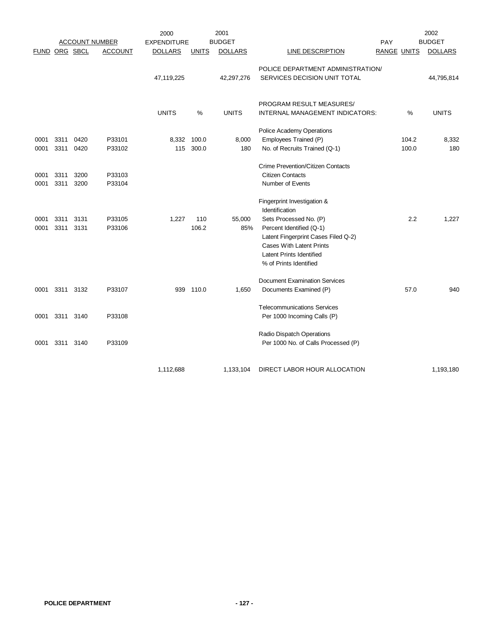|      |      |                      |                       | 2000               |              | 2001           |                                                                    |                    |       | 2002           |
|------|------|----------------------|-----------------------|--------------------|--------------|----------------|--------------------------------------------------------------------|--------------------|-------|----------------|
|      |      |                      | <b>ACCOUNT NUMBER</b> | <b>EXPENDITURE</b> |              | <b>BUDGET</b>  |                                                                    | PAY                |       | <b>BUDGET</b>  |
|      |      | <b>FUND ORG SBCL</b> | <b>ACCOUNT</b>        | <b>DOLLARS</b>     | <b>UNITS</b> | <b>DOLLARS</b> | <b>LINE DESCRIPTION</b>                                            | <b>RANGE UNITS</b> |       | <b>DOLLARS</b> |
|      |      |                      |                       |                    |              |                | POLICE DEPARTMENT ADMINISTRATION/                                  |                    |       |                |
|      |      |                      |                       | 47,119,225         |              | 42,297,276     | SERVICES DECISION UNIT TOTAL                                       |                    |       | 44,795,814     |
|      |      |                      |                       |                    |              |                |                                                                    |                    |       |                |
|      |      |                      |                       |                    |              |                |                                                                    |                    |       |                |
|      |      |                      |                       |                    |              |                | PROGRAM RESULT MEASURES/                                           |                    |       |                |
|      |      |                      |                       | <b>UNITS</b>       | %            | <b>UNITS</b>   | INTERNAL MANAGEMENT INDICATORS:                                    |                    | %     | <b>UNITS</b>   |
|      |      |                      |                       |                    |              |                | Police Academy Operations                                          |                    |       |                |
| 0001 | 3311 | 0420                 | P33101                | 8,332              | 100.0        | 8,000          | Employees Trained (P)                                              |                    | 104.2 | 8,332          |
| 0001 | 3311 | 0420                 | P33102                | 115                | 300.0        | 180            | No. of Recruits Trained (Q-1)                                      |                    | 100.0 | 180            |
|      |      |                      |                       |                    |              |                |                                                                    |                    |       |                |
|      |      |                      |                       |                    |              |                | <b>Crime Prevention/Citizen Contacts</b>                           |                    |       |                |
| 0001 | 3311 | 3200                 | P33103                |                    |              |                | <b>Citizen Contacts</b>                                            |                    |       |                |
| 0001 | 3311 | 3200                 | P33104                |                    |              |                | Number of Events                                                   |                    |       |                |
|      |      |                      |                       |                    |              |                |                                                                    |                    |       |                |
|      |      |                      |                       |                    |              |                | Fingerprint Investigation &                                        |                    |       |                |
|      |      |                      |                       |                    |              |                | Identification                                                     |                    |       |                |
| 0001 | 3311 | 3131                 | P33105                | 1,227              | 110          | 55,000         | Sets Processed No. (P)                                             |                    | 2.2   | 1,227          |
| 0001 | 3311 | 3131                 | P33106                |                    | 106.2        | 85%            | Percent Identified (Q-1)                                           |                    |       |                |
|      |      |                      |                       |                    |              |                | Latent Fingerprint Cases Filed Q-2)                                |                    |       |                |
|      |      |                      |                       |                    |              |                | <b>Cases With Latent Prints</b><br><b>Latent Prints Identified</b> |                    |       |                |
|      |      |                      |                       |                    |              |                | % of Prints Identified                                             |                    |       |                |
|      |      |                      |                       |                    |              |                |                                                                    |                    |       |                |
|      |      |                      |                       |                    |              |                | <b>Document Examination Services</b>                               |                    |       |                |
| 0001 |      | 3311 3132            | P33107                |                    | 939 110.0    | 1,650          | Documents Examined (P)                                             |                    | 57.0  | 940            |
|      |      |                      |                       |                    |              |                | <b>Telecommunications Services</b>                                 |                    |       |                |
| 0001 | 3311 | 3140                 | P33108                |                    |              |                | Per 1000 Incoming Calls (P)                                        |                    |       |                |
|      |      |                      |                       |                    |              |                |                                                                    |                    |       |                |
|      |      |                      |                       |                    |              |                | Radio Dispatch Operations                                          |                    |       |                |
| 0001 | 3311 | 3140                 | P33109                |                    |              |                | Per 1000 No. of Calls Processed (P)                                |                    |       |                |
|      |      |                      |                       |                    |              |                |                                                                    |                    |       |                |
|      |      |                      |                       | 1,112,688          |              | 1,133,104      | DIRECT LABOR HOUR ALLOCATION                                       |                    |       | 1,193,180      |
|      |      |                      |                       |                    |              |                |                                                                    |                    |       |                |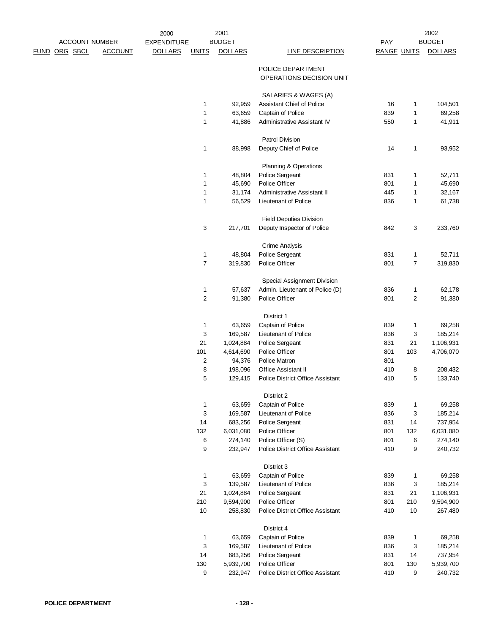|                      |                       |                | 2000               |                   | 2001             |                                                  |                    |                              | 2002           |
|----------------------|-----------------------|----------------|--------------------|-------------------|------------------|--------------------------------------------------|--------------------|------------------------------|----------------|
|                      | <b>ACCOUNT NUMBER</b> |                | <b>EXPENDITURE</b> |                   | <b>BUDGET</b>    |                                                  | PAY                |                              | <b>BUDGET</b>  |
| <u>FUND ORG SBCL</u> |                       | <b>ACCOUNT</b> | <b>DOLLARS</b>     | <b>UNITS</b>      | <b>DOLLARS</b>   | <b>LINE DESCRIPTION</b>                          | <b>RANGE UNITS</b> |                              | <b>DOLLARS</b> |
|                      |                       |                |                    |                   |                  | POLICE DEPARTMENT                                |                    |                              |                |
|                      |                       |                |                    |                   |                  | OPERATIONS DECISION UNIT                         |                    |                              |                |
|                      |                       |                |                    |                   |                  |                                                  |                    |                              |                |
|                      |                       |                |                    |                   |                  | SALARIES & WAGES (A)                             |                    |                              |                |
|                      |                       |                |                    | $\mathbf{1}$<br>1 | 92,959<br>63,659 | Assistant Chief of Police                        | 16<br>839          | $\mathbf{1}$<br>$\mathbf{1}$ | 104,501        |
|                      |                       |                |                    |                   | 41,886           | Captain of Police<br>Administrative Assistant IV | 550                |                              | 69,258         |
|                      |                       |                |                    | 1                 |                  |                                                  |                    | $\mathbf{1}$                 | 41,911         |
|                      |                       |                |                    |                   |                  | Patrol Division                                  |                    |                              |                |
|                      |                       |                |                    | 1                 | 88,998           | Deputy Chief of Police                           | 14                 | $\mathbf{1}$                 | 93,952         |
|                      |                       |                |                    |                   |                  | Planning & Operations                            |                    |                              |                |
|                      |                       |                |                    | 1                 | 48,804           | Police Sergeant                                  | 831                | $\mathbf{1}$                 | 52,711         |
|                      |                       |                |                    | 1                 | 45,690           | Police Officer                                   | 801                | $\mathbf{1}$                 | 45,690         |
|                      |                       |                |                    | 1                 | 31,174           | Administrative Assistant II                      | 445                | $\mathbf{1}$                 | 32,167         |
|                      |                       |                |                    | 1                 | 56,529           | Lieutenant of Police                             | 836                | $\mathbf{1}$                 | 61,738         |
|                      |                       |                |                    |                   |                  |                                                  |                    |                              |                |
|                      |                       |                |                    |                   |                  | <b>Field Deputies Division</b>                   |                    |                              |                |
|                      |                       |                |                    | 3                 | 217,701          | Deputy Inspector of Police                       | 842                | 3                            | 233,760        |
|                      |                       |                |                    |                   |                  | <b>Crime Analysis</b>                            |                    |                              |                |
|                      |                       |                |                    | 1                 | 48,804           | Police Sergeant                                  | 831                | $\mathbf{1}$                 | 52,711         |
|                      |                       |                |                    | $\overline{7}$    | 319,830          | Police Officer                                   | 801                | $\overline{7}$               | 319,830        |
|                      |                       |                |                    |                   |                  | Special Assignment Division                      |                    |                              |                |
|                      |                       |                |                    | 1                 | 57,637           | Admin. Lieutenant of Police (D)                  | 836                | $\mathbf{1}$                 | 62,178         |
|                      |                       |                |                    | $\overline{c}$    | 91,380           | Police Officer                                   | 801                | $\overline{2}$               | 91,380         |
|                      |                       |                |                    |                   |                  |                                                  |                    |                              |                |
|                      |                       |                |                    |                   |                  | District 1                                       |                    |                              |                |
|                      |                       |                |                    | 1                 | 63,659           | Captain of Police                                | 839                | $\mathbf{1}$                 | 69,258         |
|                      |                       |                |                    | 3                 | 169,587          | Lieutenant of Police                             | 836                | 3                            | 185,214        |
|                      |                       |                |                    | 21                | 1,024,884        | Police Sergeant                                  | 831                | 21                           | 1,106,931      |
|                      |                       |                |                    | 101               | 4,614,690        | Police Officer                                   | 801                | 103                          | 4,706,070      |
|                      |                       |                |                    | $\overline{c}$    | 94,376           | Police Matron                                    | 801                |                              |                |
|                      |                       |                |                    | 8                 | 198,096          | Office Assistant II                              | 410                | 8                            | 208,432        |
|                      |                       |                |                    | 5                 | 129,415          | <b>Police District Office Assistant</b>          | 410                | 5                            | 133,740        |
|                      |                       |                |                    |                   |                  | District 2                                       |                    |                              |                |
|                      |                       |                |                    | 1                 | 63,659           | Captain of Police                                | 839                | $\mathbf{1}$                 | 69,258         |
|                      |                       |                |                    | 3                 | 169,587          | Lieutenant of Police                             | 836                | 3                            | 185,214        |
|                      |                       |                |                    | 14                | 683,256          | Police Sergeant                                  | 831                | 14                           | 737,954        |
|                      |                       |                |                    | 132               | 6,031,080        | Police Officer                                   | 801                | 132                          | 6,031,080      |
|                      |                       |                |                    | 6                 | 274,140          | Police Officer (S)                               | 801                | 6                            | 274,140        |
|                      |                       |                |                    | 9                 | 232,947          | Police District Office Assistant                 | 410                | 9                            | 240,732        |
|                      |                       |                |                    |                   |                  | District 3                                       |                    |                              |                |
|                      |                       |                |                    | 1                 | 63,659           | Captain of Police                                | 839                | $\mathbf{1}$                 | 69,258         |
|                      |                       |                |                    | 3                 | 139,587          | Lieutenant of Police                             | 836                | 3                            | 185,214        |
|                      |                       |                |                    | 21                | 1,024,884        | Police Sergeant                                  | 831                | 21                           | 1,106,931      |
|                      |                       |                |                    | 210               | 9,594,900        | Police Officer                                   | 801                | 210                          | 9,594,900      |
|                      |                       |                |                    | 10                | 258,830          | Police District Office Assistant                 | 410                | 10                           | 267,480        |
|                      |                       |                |                    |                   |                  | District 4                                       |                    |                              |                |
|                      |                       |                |                    | 1                 | 63,659           | Captain of Police                                | 839                | $\mathbf{1}$                 | 69,258         |
|                      |                       |                |                    | 3                 | 169,587          | Lieutenant of Police                             | 836                | 3                            | 185,214        |
|                      |                       |                |                    | 14                | 683,256          | Police Sergeant                                  | 831                | 14                           | 737,954        |
|                      |                       |                |                    | 130               | 5,939,700        | Police Officer                                   | 801                | 130                          | 5,939,700      |
|                      |                       |                |                    | 9                 | 232,947          | Police District Office Assistant                 | 410                | 9                            | 240,732        |
|                      |                       |                |                    |                   |                  |                                                  |                    |                              |                |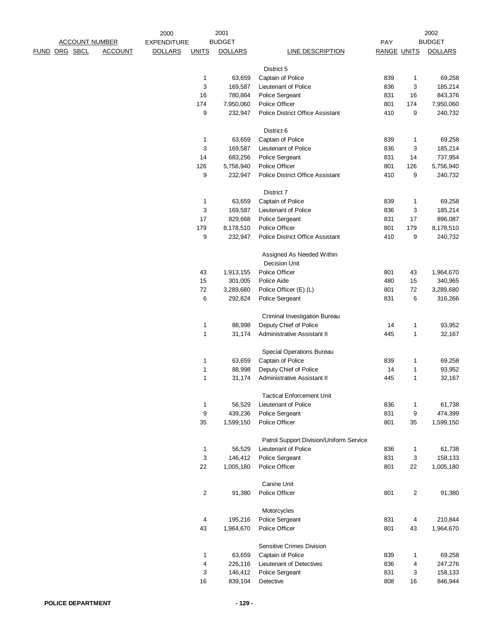|                       |                | 2000               |              | 2001           |                                         |                    |                         | 2002           |
|-----------------------|----------------|--------------------|--------------|----------------|-----------------------------------------|--------------------|-------------------------|----------------|
| <b>ACCOUNT NUMBER</b> |                | <b>EXPENDITURE</b> |              | <b>BUDGET</b>  |                                         | PAY                |                         | <b>BUDGET</b>  |
| FUND ORG SBCL         | <b>ACCOUNT</b> | <b>DOLLARS</b>     | <b>UNITS</b> | <b>DOLLARS</b> | LINE DESCRIPTION                        | <b>RANGE UNITS</b> |                         | <b>DOLLARS</b> |
|                       |                |                    |              |                |                                         |                    |                         |                |
|                       |                |                    |              |                | District 5                              |                    |                         |                |
|                       |                |                    | 1            | 63,659         | Captain of Police                       | 839                | $\mathbf{1}$            | 69,258         |
|                       |                |                    | 3            | 169,587        | Lieutenant of Police                    | 836                | 3                       | 185,214        |
|                       |                |                    | 16           | 780,864        | Police Sergeant                         | 831                | 16                      | 843,376        |
|                       |                |                    | 174          | 7,950,060      | Police Officer                          | 801                | 174                     | 7,950,060      |
|                       |                |                    | 9            | 232,947        | <b>Police District Office Assistant</b> | 410                | 9                       | 240,732        |
|                       |                |                    |              |                | District 6                              |                    |                         |                |
|                       |                |                    | 1            | 63,659         | Captain of Police                       | 839                | $\mathbf{1}$            | 69,258         |
|                       |                |                    | 3            | 169,587        | Lieutenant of Police                    | 836                | 3                       | 185,214        |
|                       |                |                    | 14           | 683,256        | Police Sergeant                         | 831                | 14                      | 737,954        |
|                       |                |                    | 126          | 5,756,940      | Police Officer                          | 801                | 126                     | 5,756,940      |
|                       |                |                    | 9            | 232,947        | <b>Police District Office Assistant</b> | 410                | 9                       | 240,732        |
|                       |                |                    |              |                | District 7                              |                    |                         |                |
|                       |                |                    | 1            | 63,659         | Captain of Police                       | 839                | 1                       | 69,258         |
|                       |                |                    | 3            | 169,587        | Lieutenant of Police                    | 836                | 3                       | 185,214        |
|                       |                |                    | 17           | 829,668        | Police Sergeant                         | 831                | 17                      | 896,087        |
|                       |                |                    | 179          | 8,178,510      | Police Officer                          | 801                | 179                     | 8,178,510      |
|                       |                |                    | 9            | 232,947        | <b>Police District Office Assistant</b> | 410                | 9                       | 240,732        |
|                       |                |                    |              |                | Assigned As Needed Within               |                    |                         |                |
|                       |                |                    |              |                | <b>Decision Unit</b>                    |                    |                         |                |
|                       |                |                    | 43           | 1,913,155      | Police Officer                          | 801                | 43                      | 1,964,670      |
|                       |                |                    | 15           | 301,005        | Police Aide                             | 480                | 15                      | 340,965        |
|                       |                |                    | 72           | 3,289,680      | Police Officer (E) (L)                  | 801                | 72                      | 3,289,680      |
|                       |                |                    | 6            | 292,824        | Police Sergeant                         | 831                | 6                       | 316,266        |
|                       |                |                    |              |                |                                         |                    |                         |                |
|                       |                |                    |              |                | Criminal Investigation Bureau           |                    |                         |                |
|                       |                |                    | 1            | 88,998         | Deputy Chief of Police                  | 14                 | $\mathbf{1}$            | 93,952         |
|                       |                |                    | 1            | 31,174         | Administrative Assistant II             | 445                | $\mathbf{1}$            | 32,167         |
|                       |                |                    |              |                | Special Operations Bureau               |                    |                         |                |
|                       |                |                    | 1            | 63,659         | Captain of Police                       | 839                | $\mathbf{1}$            | 69,258         |
|                       |                |                    | 1            | 88,998         | Deputy Chief of Police                  | 14                 | $\mathbf{1}$            | 93,952         |
|                       |                |                    | 1            | 31,174         | Administrative Assistant II             | 445                | $\mathbf{1}$            | 32,167         |
|                       |                |                    |              |                |                                         |                    |                         |                |
|                       |                |                    |              |                | <b>Tactical Enforcement Unit</b>        |                    |                         |                |
|                       |                |                    | 1            | 56,529         | Lieutenant of Police                    | 836                | $\mathbf{1}$            | 61,738         |
|                       |                |                    | 9            | 439,236        | Police Sergeant                         | 831                | $\boldsymbol{9}$        | 474,399        |
|                       |                |                    | 35           | 1,599,150      | Police Officer                          | 801                | 35                      | 1,599,150      |
|                       |                |                    |              |                | Patrol Support Division/Uniform Service |                    |                         |                |
|                       |                |                    | 1            | 56,529         | Lieutenant of Police                    | 836                | 1                       | 61,738         |
|                       |                |                    | 3            | 146,412        | Police Sergeant                         | 831                | 3                       | 158,133        |
|                       |                |                    | 22           | 1,005,180      | Police Officer                          | 801                | 22                      | 1,005,180      |
|                       |                |                    |              |                | Canine Unit                             |                    |                         |                |
|                       |                |                    | 2            | 91,380         | Police Officer                          | 801                | $\overline{\mathbf{c}}$ | 91,380         |
|                       |                |                    |              |                | Motorcycles                             |                    |                         |                |
|                       |                |                    | 4            | 195,216        | Police Sergeant                         | 831                | 4                       | 210,844        |
|                       |                |                    | 43           | 1,964,670      | Police Officer                          | 801                | 43                      | 1,964,670      |
|                       |                |                    |              |                |                                         |                    |                         |                |
|                       |                |                    |              |                | Sensitive Crimes Division               |                    |                         |                |
|                       |                |                    | 1            | 63,659         | Captain of Police                       | 839                | $\mathbf{1}$            | 69,258         |
|                       |                |                    | 4            | 226,116        | Lieutenant of Detectives                | 836                | 4                       | 247,276        |
|                       |                |                    | 3            | 146,412        | Police Sergeant                         | 831                | 3                       | 158,133        |
|                       |                |                    | 16           | 839,104        | Detective                               | 808                | 16                      | 846,944        |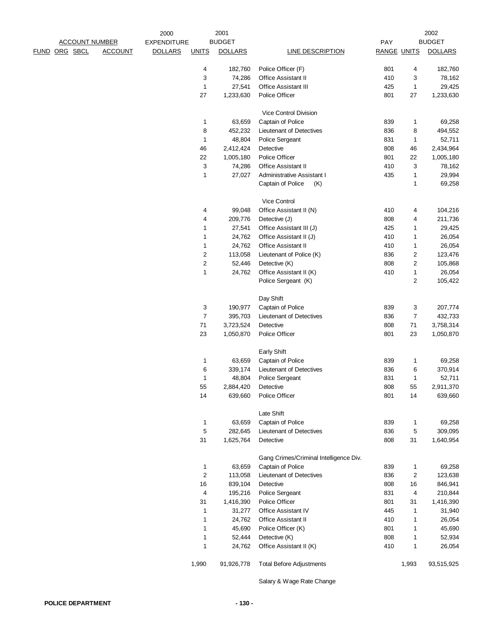|                      |                       |                | 2000               |                         | 2001           |                                        |                    |                  | 2002           |
|----------------------|-----------------------|----------------|--------------------|-------------------------|----------------|----------------------------------------|--------------------|------------------|----------------|
|                      | <b>ACCOUNT NUMBER</b> |                | <b>EXPENDITURE</b> |                         | <b>BUDGET</b>  |                                        | PAY                |                  | <b>BUDGET</b>  |
| <b>FUND ORG SBCL</b> |                       | <b>ACCOUNT</b> | <b>DOLLARS</b>     | <b>UNITS</b>            | <b>DOLLARS</b> | <b>LINE DESCRIPTION</b>                | <b>RANGE UNITS</b> |                  | <b>DOLLARS</b> |
|                      |                       |                |                    | 4                       | 182,760        | Police Officer (F)                     | 801                | 4                | 182,760        |
|                      |                       |                |                    | 3                       | 74,286         | <b>Office Assistant II</b>             | 410                | 3                | 78,162         |
|                      |                       |                |                    | $\mathbf{1}$            | 27,541         | <b>Office Assistant III</b>            | 425                | $\mathbf{1}$     | 29,425         |
|                      |                       |                |                    | 27                      | 1,233,630      | Police Officer                         | 801                | 27               | 1,233,630      |
|                      |                       |                |                    |                         |                | Vice Control Division                  |                    |                  |                |
|                      |                       |                |                    | $\mathbf{1}$            | 63,659         | Captain of Police                      | 839                | 1                | 69,258         |
|                      |                       |                |                    | 8                       | 452,232        | Lieutenant of Detectives               | 836                | 8                | 494,552        |
|                      |                       |                |                    | $\mathbf{1}$            | 48,804         | Police Sergeant                        | 831                | $\mathbf{1}$     | 52,711         |
|                      |                       |                |                    | 46                      | 2,412,424      | Detective                              | 808                | 46               | 2,434,964      |
|                      |                       |                |                    | 22                      | 1,005,180      | Police Officer                         | 801                | 22               | 1,005,180      |
|                      |                       |                |                    | 3                       | 74,286         | <b>Office Assistant II</b>             | 410                | 3                | 78,162         |
|                      |                       |                |                    | 1                       | 27,027         | Administrative Assistant I             | 435                | $\mathbf{1}$     | 29,994         |
|                      |                       |                |                    |                         |                | Captain of Police<br>(K)               |                    | $\mathbf{1}$     | 69,258         |
|                      |                       |                |                    |                         |                | Vice Control                           |                    |                  |                |
|                      |                       |                |                    | 4                       | 99,048         | Office Assistant II (N)                | 410                | 4                | 104,216        |
|                      |                       |                |                    | 4                       | 209,776        | Detective (J)                          | 808                | 4                | 211,736        |
|                      |                       |                |                    | 1                       | 27,541         | Office Assistant III (J)               | 425                | 1                | 29,425         |
|                      |                       |                |                    | 1                       | 24,762         | Office Assistant II (J)                | 410                | 1                | 26,054         |
|                      |                       |                |                    | 1                       | 24,762         | Office Assistant II                    | 410                | $\mathbf{1}$     | 26,054         |
|                      |                       |                |                    | $\overline{\mathbf{c}}$ | 113,058        | Lieutenant of Police (K)               | 836                | $\boldsymbol{2}$ | 123,476        |
|                      |                       |                |                    | $\boldsymbol{2}$        | 52,446         | Detective (K)                          | 808                | $\boldsymbol{2}$ | 105,868        |
|                      |                       |                |                    | 1                       | 24,762         | Office Assistant II (K)                | 410                | $\mathbf{1}$     | 26,054         |
|                      |                       |                |                    |                         |                | Police Sergeant (K)                    |                    | $\overline{2}$   | 105,422        |
|                      |                       |                |                    |                         |                | Day Shift                              |                    |                  |                |
|                      |                       |                |                    | 3                       | 190,977        | Captain of Police                      | 839                | 3                | 207,774        |
|                      |                       |                |                    | $\overline{7}$          | 395,703        | Lieutenant of Detectives               | 836                | $\overline{7}$   | 432,733        |
|                      |                       |                |                    | $71$                    | 3,723,524      | Detective                              | 808                | 71               | 3,758,314      |
|                      |                       |                |                    | 23                      | 1,050,870      | Police Officer                         | 801                | 23               | 1,050,870      |
|                      |                       |                |                    |                         |                | <b>Early Shift</b>                     |                    |                  |                |
|                      |                       |                |                    | 1                       | 63,659         | Captain of Police                      | 839                | 1                | 69,258         |
|                      |                       |                |                    | 6                       | 339,174        | Lieutenant of Detectives               | 836                | 6                | 370,914        |
|                      |                       |                |                    | 1                       | 48,804         | Police Sergeant                        | 831                | $\mathbf{1}$     | 52,711         |
|                      |                       |                |                    | 55                      | 2,884,420      | Detective                              | 808                | 55               | 2,911,370      |
|                      |                       |                |                    | 14                      | 639,660        | Police Officer                         | 801                | 14               | 639,660        |
|                      |                       |                |                    |                         |                | Late Shift                             |                    |                  |                |
|                      |                       |                |                    | 1                       | 63,659         | Captain of Police                      | 839                | 1                | 69,258         |
|                      |                       |                |                    | 5                       | 282,645        | Lieutenant of Detectives               | 836                | 5                | 309,095        |
|                      |                       |                |                    | 31                      | 1,625,764      | Detective                              | 808                | 31               | 1,640,954      |
|                      |                       |                |                    |                         |                | Gang Crimes/Criminal Intelligence Div. |                    |                  |                |
|                      |                       |                |                    | 1                       | 63,659         | Captain of Police                      | 839                | 1                | 69,258         |
|                      |                       |                |                    | $\boldsymbol{2}$        | 113,058        | Lieutenant of Detectives               | 836                | 2                | 123,638        |
|                      |                       |                |                    | 16                      | 839,104        | Detective                              | 808                | 16               | 846,941        |
|                      |                       |                |                    | 4                       | 195,216        | Police Sergeant                        | 831                | 4                | 210,844        |
|                      |                       |                |                    | 31                      | 1,416,390      | <b>Police Officer</b>                  | 801                | 31               | 1,416,390      |
|                      |                       |                |                    | 1                       | 31,277         | Office Assistant IV                    | 445                | 1                | 31,940         |
|                      |                       |                |                    | 1                       | 24,762         | <b>Office Assistant II</b>             | 410                | 1                | 26,054         |
|                      |                       |                |                    | 1                       | 45,690         | Police Officer (K)                     | 801                | $\mathbf{1}$     | 45,690         |
|                      |                       |                |                    | 1                       | 52,444         | Detective (K)                          | 808                | $\mathbf{1}$     | 52,934         |
|                      |                       |                |                    | 1                       | 24,762         | Office Assistant II (K)                | 410                | 1                | 26,054         |
|                      |                       |                |                    | 1,990                   | 91,926,778     | <b>Total Before Adjustments</b>        |                    | 1,993            | 93,515,925     |
|                      |                       |                |                    |                         |                |                                        |                    |                  |                |

Salary & Wage Rate Change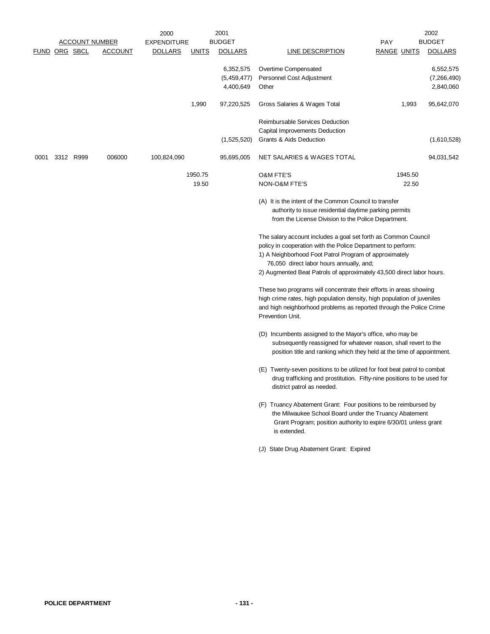|      |                      | <b>ACCOUNT NUMBER</b> |                | 2000<br><b>EXPENDITURE</b> |                  | 2001<br><b>BUDGET</b>                 |                                                                                                                                                                                                                                                                                                               | <b>PAY</b>         |                  | 2002<br><b>BUDGET</b>                 |
|------|----------------------|-----------------------|----------------|----------------------------|------------------|---------------------------------------|---------------------------------------------------------------------------------------------------------------------------------------------------------------------------------------------------------------------------------------------------------------------------------------------------------------|--------------------|------------------|---------------------------------------|
|      | <b>FUND ORG SBCL</b> |                       | <b>ACCOUNT</b> | <b>DOLLARS</b>             | <b>UNITS</b>     | <b>DOLLARS</b>                        | <b>LINE DESCRIPTION</b>                                                                                                                                                                                                                                                                                       | <b>RANGE UNITS</b> |                  | <b>DOLLARS</b>                        |
|      |                      |                       |                |                            |                  | 6,352,575<br>(5,459,477)<br>4,400,649 | Overtime Compensated<br>Personnel Cost Adjustment<br>Other                                                                                                                                                                                                                                                    |                    |                  | 6,552,575<br>(7,266,490)<br>2,840,060 |
|      |                      |                       |                |                            | 1,990            | 97,220,525                            | Gross Salaries & Wages Total                                                                                                                                                                                                                                                                                  |                    | 1,993            | 95,642,070                            |
|      |                      |                       |                |                            |                  | (1,525,520)                           | Reimbursable Services Deduction<br>Capital Improvements Deduction<br>Grants & Aids Deduction                                                                                                                                                                                                                  |                    |                  | (1,610,528)                           |
| 0001 |                      | 3312 R999             | 006000         | 100,824,090                |                  | 95,695,005                            | NET SALARIES & WAGES TOTAL                                                                                                                                                                                                                                                                                    |                    |                  | 94,031,542                            |
|      |                      |                       |                |                            | 1950.75<br>19.50 |                                       | <b>O&amp;M FTE'S</b><br>NON-O&M FTE'S                                                                                                                                                                                                                                                                         |                    | 1945.50<br>22.50 |                                       |
|      |                      |                       |                |                            |                  |                                       | (A) It is the intent of the Common Council to transfer<br>authority to issue residential daytime parking permits<br>from the License Division to the Police Department.                                                                                                                                       |                    |                  |                                       |
|      |                      |                       |                |                            |                  |                                       | The salary account includes a goal set forth as Common Council<br>policy in cooperation with the Police Department to perform:<br>1) A Neighborhood Foot Patrol Program of approximately<br>76,050 direct labor hours annually, and;<br>2) Augmented Beat Patrols of approximately 43,500 direct labor hours. |                    |                  |                                       |
|      |                      |                       |                |                            |                  |                                       | These two programs will concentrate their efforts in areas showing<br>high crime rates, high population density, high population of juveniles<br>and high neighborhood problems as reported through the Police Crime<br>Prevention Unit.                                                                      |                    |                  |                                       |
|      |                      |                       |                |                            |                  |                                       | (D) Incumbents assigned to the Mayor's office, who may be<br>subsequently reassigned for whatever reason, shall revert to the<br>position title and ranking which they held at the time of appointment.                                                                                                       |                    |                  |                                       |
|      |                      |                       |                |                            |                  |                                       | (E) Twenty-seven positions to be utilized for foot beat patrol to combat<br>drug trafficking and prostitution. Fifty-nine positions to be used for<br>district patrol as needed.                                                                                                                              |                    |                  |                                       |
|      |                      |                       |                |                            |                  |                                       | (F) Truancy Abatement Grant: Four positions to be reimbursed by<br>the Milwaukee School Board under the Truancy Abatement<br>Grant Program; position authority to expire 6/30/01 unless grant<br>is extended.                                                                                                 |                    |                  |                                       |
|      |                      |                       |                |                            |                  |                                       | (J) State Drug Abatement Grant: Expired                                                                                                                                                                                                                                                                       |                    |                  |                                       |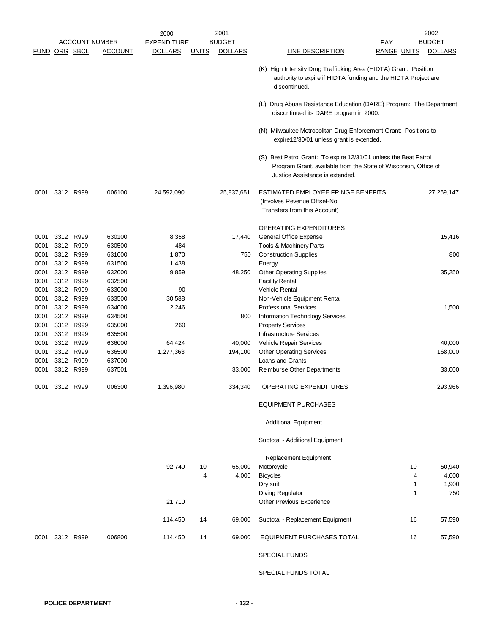|              |      |                        |                       | 2000               |              | 2001           |                                                                                                                                                                        |                    | 2002           |
|--------------|------|------------------------|-----------------------|--------------------|--------------|----------------|------------------------------------------------------------------------------------------------------------------------------------------------------------------------|--------------------|----------------|
|              |      |                        | <b>ACCOUNT NUMBER</b> | <b>EXPENDITURE</b> |              | <b>BUDGET</b>  |                                                                                                                                                                        | <b>PAY</b>         | <b>BUDGET</b>  |
|              |      | <u>FUND ORG SBCL</u>   | <u>ACCOUNT</u>        | <b>DOLLARS</b>     | <u>UNITS</u> | <b>DOLLARS</b> | <b>LINE DESCRIPTION</b>                                                                                                                                                | <u>RANGE UNITS</u> | <b>DOLLARS</b> |
|              |      |                        |                       |                    |              |                | (K) High Intensity Drug Trafficking Area (HIDTA) Grant. Position<br>authority to expire if HIDTA funding and the HIDTA Project are<br>discontinued.                    |                    |                |
|              |      |                        |                       |                    |              |                | (L) Drug Abuse Resistance Education (DARE) Program: The Department<br>discontinued its DARE program in 2000.                                                           |                    |                |
|              |      |                        |                       |                    |              |                | (N) Milwaukee Metropolitan Drug Enforcement Grant: Positions to<br>expire12/30/01 unless grant is extended.                                                            |                    |                |
|              |      |                        |                       |                    |              |                | (S) Beat Patrol Grant: To expire 12/31/01 unless the Beat Patrol<br>Program Grant, available from the State of Wisconsin, Office of<br>Justice Assistance is extended. |                    |                |
| 0001         |      | 3312 R999              | 006100                | 24,592,090         |              | 25,837,651     | ESTIMATED EMPLOYEE FRINGE BENEFITS<br>(Involves Revenue Offset-No<br>Transfers from this Account)                                                                      |                    | 27,269,147     |
|              |      |                        |                       |                    |              |                |                                                                                                                                                                        |                    |                |
|              |      |                        |                       |                    |              |                | OPERATING EXPENDITURES                                                                                                                                                 |                    |                |
| 0001         |      | 3312 R999              | 630100                | 8,358<br>484       |              | 17,440         | General Office Expense                                                                                                                                                 |                    | 15,416         |
| 0001<br>0001 |      | 3312 R999<br>3312 R999 | 630500<br>631000      | 1,870              |              | 750            | Tools & Machinery Parts<br><b>Construction Supplies</b>                                                                                                                |                    | 800            |
| 0001         |      | 3312 R999              | 631500                | 1,438              |              |                | Energy                                                                                                                                                                 |                    |                |
| 0001         |      | 3312 R999              | 632000                | 9,859              |              | 48,250         | <b>Other Operating Supplies</b>                                                                                                                                        |                    | 35,250         |
| 0001         |      | 3312 R999              | 632500                |                    |              |                | <b>Facility Rental</b>                                                                                                                                                 |                    |                |
| 0001         |      | 3312 R999              | 633000                | 90                 |              |                | <b>Vehicle Rental</b>                                                                                                                                                  |                    |                |
| 0001         |      | 3312 R999              | 633500                | 30,588             |              |                | Non-Vehicle Equipment Rental                                                                                                                                           |                    |                |
| 0001         |      | 3312 R999              | 634000                | 2,246              |              |                | <b>Professional Services</b>                                                                                                                                           |                    | 1,500          |
| 0001         |      | 3312 R999              | 634500                |                    |              | 800            | Information Technology Services                                                                                                                                        |                    |                |
| 0001         |      | 3312 R999              | 635000                | 260                |              |                | <b>Property Services</b>                                                                                                                                               |                    |                |
| 0001         |      | 3312 R999              | 635500                |                    |              |                | <b>Infrastructure Services</b>                                                                                                                                         |                    |                |
| 0001         |      | 3312 R999              | 636000                | 64,424             |              | 40,000         | Vehicle Repair Services                                                                                                                                                |                    | 40,000         |
| 0001         |      | 3312 R999              | 636500                | 1,277,363          |              | 194,100        | <b>Other Operating Services</b>                                                                                                                                        |                    | 168,000        |
| 0001         |      | 3312 R999              | 637000                |                    |              |                | Loans and Grants                                                                                                                                                       |                    |                |
| 0001         |      | 3312 R999              | 637501                |                    |              | 33,000         | Reimburse Other Departments                                                                                                                                            |                    | 33,000         |
| 0001         | 3312 | R999                   | 006300                | 1,396,980          |              | 334,340        | OPERATING EXPENDITURES                                                                                                                                                 |                    | 293,966        |
|              |      |                        |                       |                    |              |                | <b>EQUIPMENT PURCHASES</b>                                                                                                                                             |                    |                |
|              |      |                        |                       |                    |              |                | <b>Additional Equipment</b>                                                                                                                                            |                    |                |
|              |      |                        |                       |                    |              |                | Subtotal - Additional Equipment                                                                                                                                        |                    |                |
|              |      |                        |                       |                    |              |                | Replacement Equipment                                                                                                                                                  |                    |                |
|              |      |                        |                       | 92,740             | 10           | 65,000         | Motorcycle                                                                                                                                                             | 10                 | 50,940         |
|              |      |                        |                       |                    | 4            | 4,000          | <b>Bicycles</b>                                                                                                                                                        | 4                  | 4,000          |
|              |      |                        |                       |                    |              |                | Dry suit                                                                                                                                                               | 1                  | 1,900          |
|              |      |                        |                       | 21,710             |              |                | <b>Diving Regulator</b><br>Other Previous Experience                                                                                                                   | 1                  | 750            |
|              |      |                        |                       | 114,450            | 14           | 69,000         | Subtotal - Replacement Equipment                                                                                                                                       | 16                 | 57,590         |
| 0001         |      | 3312 R999              | 006800                | 114,450            | 14           | 69,000         | EQUIPMENT PURCHASES TOTAL                                                                                                                                              | 16                 | 57,590         |
|              |      |                        |                       |                    |              |                | <b>SPECIAL FUNDS</b>                                                                                                                                                   |                    |                |
|              |      |                        |                       |                    |              |                | SPECIAL FUNDS TOTAL                                                                                                                                                    |                    |                |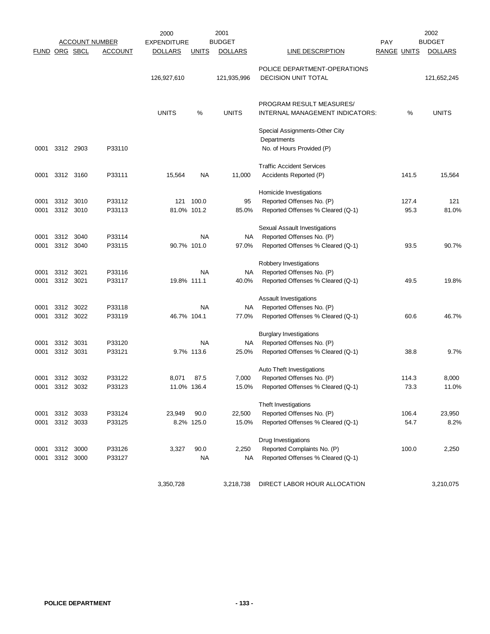|              |               |              |                       | 2000               |              | 2001           |                                                                  |                    |       | 2002           |
|--------------|---------------|--------------|-----------------------|--------------------|--------------|----------------|------------------------------------------------------------------|--------------------|-------|----------------|
|              |               |              | <b>ACCOUNT NUMBER</b> | <b>EXPENDITURE</b> |              | <b>BUDGET</b>  |                                                                  | PAY                |       | <b>BUDGET</b>  |
|              | FUND ORG SBCL |              | <b>ACCOUNT</b>        | <b>DOLLARS</b>     | <u>UNITS</u> | <b>DOLLARS</b> | <b>LINE DESCRIPTION</b>                                          | <b>RANGE UNITS</b> |       | <b>DOLLARS</b> |
|              |               |              |                       |                    |              |                | POLICE DEPARTMENT-OPERATIONS                                     |                    |       |                |
|              |               |              |                       | 126,927,610        |              | 121,935,996    | <b>DECISION UNIT TOTAL</b>                                       |                    |       | 121,652,245    |
|              |               |              |                       |                    |              |                | PROGRAM RESULT MEASURES/                                         |                    |       |                |
|              |               |              |                       | <b>UNITS</b>       | %            | <b>UNITS</b>   | INTERNAL MANAGEMENT INDICATORS:                                  |                    | %     | <b>UNITS</b>   |
|              |               |              |                       |                    |              |                | Special Assignments-Other City<br>Departments                    |                    |       |                |
| 0001         |               | 3312 2903    | P33110                |                    |              |                | No. of Hours Provided (P)                                        |                    |       |                |
|              |               |              |                       |                    |              |                | <b>Traffic Accident Services</b>                                 |                    |       |                |
| 0001         |               | 3312 3160    | P33111                | 15,564             | <b>NA</b>    | 11,000         | Accidents Reported (P)                                           |                    | 141.5 | 15,564         |
|              |               |              |                       |                    |              |                | Homicide Investigations                                          |                    |       |                |
| 0001         | 3312          | 3010         | P33112                | 121                | 100.0        | 95             | Reported Offenses No. (P)                                        |                    | 127.4 | 121            |
| 0001         | 3312          | 3010         | P33113                | 81.0% 101.2        |              | 85.0%          | Reported Offenses % Cleared (Q-1)                                |                    | 95.3  | 81.0%          |
|              |               |              |                       |                    |              |                | Sexual Assault Investigations                                    |                    |       |                |
| 0001         | 3312          | 3040         | P33114                |                    | ΝA           | ΝA             | Reported Offenses No. (P)                                        |                    |       |                |
| 0001         | 3312          | 3040         | P33115                | 90.7% 101.0        |              | 97.0%          | Reported Offenses % Cleared (Q-1)                                |                    | 93.5  | 90.7%          |
|              |               |              |                       |                    |              |                | Robbery Investigations                                           |                    |       |                |
| 0001         | 3312          | 3021         | P33116                |                    | NA           | NA             | Reported Offenses No. (P)                                        |                    |       |                |
| 0001         | 3312 3021     |              | P33117                | 19.8% 111.1        |              | 40.0%          | Reported Offenses % Cleared (Q-1)                                |                    | 49.5  | 19.8%          |
|              |               |              |                       |                    |              |                | Assault Investigations                                           |                    |       |                |
| 0001         | 3312          | 3022         | P33118                |                    | ΝA           | NA             | Reported Offenses No. (P)                                        |                    |       |                |
| 0001         | 3312          | 3022         | P33119                | 46.7% 104.1        |              | 77.0%          | Reported Offenses % Cleared (Q-1)                                |                    | 60.6  | 46.7%          |
|              |               |              |                       |                    |              |                | <b>Burglary Investigations</b>                                   |                    |       |                |
| 0001         | 3312          | 3031         | P33120                |                    | NA           | NA             | Reported Offenses No. (P)                                        |                    |       |                |
| 0001         | 3312 3031     |              | P33121                |                    | 9.7% 113.6   | 25.0%          | Reported Offenses % Cleared (Q-1)                                |                    | 38.8  | 9.7%           |
|              |               |              |                       |                    |              |                | Auto Theft Investigations                                        |                    |       |                |
| 0001         | 3312          | 3032         | P33122                | 8,071              | 87.5         | 7,000          | Reported Offenses No. (P)                                        |                    | 114.3 | 8,000          |
| 0001         | 3312          | 3032         | P33123                | 11.0% 136.4        |              | 15.0%          | Reported Offenses % Cleared (Q-1)                                |                    | 73.3  | 11.0%          |
|              |               |              |                       |                    |              |                | Theft Investigations                                             |                    |       |                |
| 0001         | 3312          | 3033         | P33124                | 23,949             | 90.0         | 22,500         | Reported Offenses No. (P)                                        |                    | 106.4 | 23,950         |
| 0001         |               | 3312 3033    | P33125                |                    | 8.2% 125.0   | 15.0%          | Reported Offenses % Cleared (Q-1)                                |                    | 54.7  | 8.2%           |
|              |               |              |                       |                    |              |                | Drug Investigations                                              |                    |       |                |
| 0001<br>0001 | 3312<br>3312  | 3000<br>3000 | P33126<br>P33127      | 3,327              | 90.0<br>NA   | 2,250<br>NA    | Reported Complaints No. (P)<br>Reported Offenses % Cleared (Q-1) |                    | 100.0 | 2,250          |
|              |               |              |                       |                    |              |                |                                                                  |                    |       |                |
|              |               |              |                       | 3,350,728          |              | 3,218,738      | DIRECT LABOR HOUR ALLOCATION                                     |                    |       | 3,210,075      |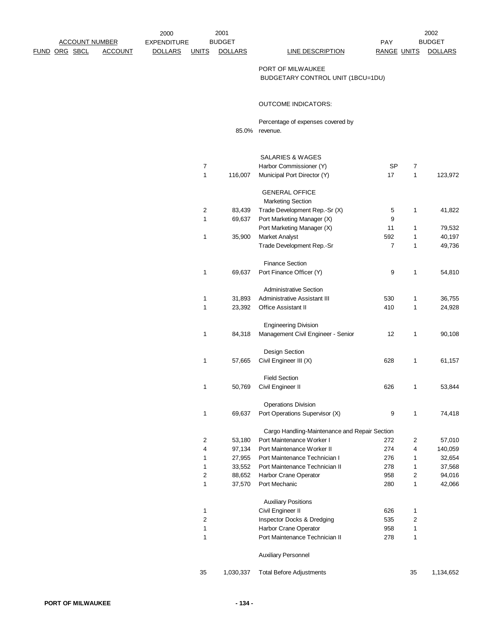|  | <b>ACCOUNT NUMBER</b> |                | <b>EXPENDITURE</b> |                  | <b>BUDGET</b>  |                                                        | PAY                |                | <b>BUDGET</b>  |
|--|-----------------------|----------------|--------------------|------------------|----------------|--------------------------------------------------------|--------------------|----------------|----------------|
|  | FUND ORG SBCL         | <b>ACCOUNT</b> | <b>DOLLARS</b>     | <b>UNITS</b>     | <b>DOLLARS</b> | LINE DESCRIPTION                                       | <b>RANGE UNITS</b> |                | <b>DOLLARS</b> |
|  |                       |                |                    |                  |                | PORT OF MILWAUKEE<br>BUDGETARY CONTROL UNIT (1BCU=1DU) |                    |                |                |
|  |                       |                |                    |                  |                | <b>OUTCOME INDICATORS:</b>                             |                    |                |                |
|  |                       |                |                    |                  |                | Percentage of expenses covered by<br>85.0% revenue.    |                    |                |                |
|  |                       |                |                    |                  |                |                                                        |                    |                |                |
|  |                       |                |                    |                  |                | <b>SALARIES &amp; WAGES</b>                            |                    |                |                |
|  |                       |                |                    | 7                |                | Harbor Commissioner (Y)                                | <b>SP</b>          | $\overline{7}$ |                |
|  |                       |                |                    | 1                | 116,007        | Municipal Port Director (Y)                            | 17                 | $\mathbf{1}$   | 123,972        |
|  |                       |                |                    |                  |                | <b>GENERAL OFFICE</b><br><b>Marketing Section</b>      |                    |                |                |
|  |                       |                |                    | 2                | 83,439         | Trade Development Rep.-Sr (X)                          | 5                  | 1              | 41,822         |
|  |                       |                |                    | 1                | 69,637         | Port Marketing Manager (X)                             | 9                  |                |                |
|  |                       |                |                    |                  |                | Port Marketing Manager (X)                             | 11                 | 1              | 79,532         |
|  |                       |                |                    | 1                | 35,900         | Market Analyst                                         | 592                | 1              | 40,197         |
|  |                       |                |                    |                  |                | Trade Development Rep.-Sr                              | $\overline{7}$     | $\mathbf{1}$   | 49,736         |
|  |                       |                |                    |                  |                |                                                        |                    |                |                |
|  |                       |                |                    |                  |                | <b>Finance Section</b>                                 |                    |                |                |
|  |                       |                |                    | $\mathbf{1}$     | 69,637         | Port Finance Officer (Y)                               | 9                  | $\mathbf{1}$   | 54,810         |
|  |                       |                |                    |                  |                |                                                        |                    |                |                |
|  |                       |                |                    |                  |                | <b>Administrative Section</b>                          |                    |                |                |
|  |                       |                |                    | 1                | 31,893         | <b>Administrative Assistant III</b>                    | 530                | 1              | 36,755         |
|  |                       |                |                    | 1                | 23,392         | Office Assistant II                                    | 410                | 1              | 24,928         |
|  |                       |                |                    |                  |                |                                                        |                    |                |                |
|  |                       |                |                    |                  |                | <b>Engineering Division</b>                            |                    |                |                |
|  |                       |                |                    | 1                | 84,318         | Management Civil Engineer - Senior                     | 12                 | 1              | 90,108         |
|  |                       |                |                    |                  |                | <b>Design Section</b>                                  |                    |                |                |
|  |                       |                |                    | 1                | 57,665         | Civil Engineer III (X)                                 | 628                | $\mathbf{1}$   | 61,157         |
|  |                       |                |                    |                  |                |                                                        |                    |                |                |
|  |                       |                |                    |                  |                | <b>Field Section</b>                                   |                    |                |                |
|  |                       |                |                    | 1                | 50,769         | Civil Engineer II                                      | 626                | 1              | 53,844         |
|  |                       |                |                    |                  |                |                                                        |                    |                |                |
|  |                       |                |                    |                  |                | <b>Operations Division</b>                             |                    |                |                |
|  |                       |                |                    | 1                | 69,637         | Port Operations Supervisor (X)                         | 9                  | $\mathbf{1}$   | 74,418         |
|  |                       |                |                    |                  |                |                                                        |                    |                |                |
|  |                       |                |                    |                  |                | Cargo Handling-Maintenance and Repair Section          |                    |                |                |
|  |                       |                |                    | $\overline{c}$   | 53,180         | Port Maintenance Worker I                              | 272                | 2              | 57,010         |
|  |                       |                |                    | $\overline{4}$   | 97,134         | Port Maintenance Worker II                             | 274                | 4              | 140,059        |
|  |                       |                |                    | 1                | 27,955         | Port Maintenance Technician I                          | 276                | 1              | 32,654         |
|  |                       |                |                    | $\mathbf{1}$     | 33,552         | Port Maintenance Technician II                         | 278                | 1              | 37,568         |
|  |                       |                |                    | $\boldsymbol{2}$ | 88,652         | Harbor Crane Operator                                  | 958                | 2              | 94,016         |
|  |                       |                |                    | $\mathbf 1$      | 37,570         | Port Mechanic                                          | 280                | $\mathbf{1}$   | 42,066         |
|  |                       |                |                    |                  |                | <b>Auxiliary Positions</b>                             |                    |                |                |
|  |                       |                |                    | 1                |                | Civil Engineer II                                      | 626                | $\mathbf{1}$   |                |
|  |                       |                |                    | $\sqrt{2}$       |                | Inspector Docks & Dredging                             | 535                | 2              |                |
|  |                       |                |                    | $\mathbf{1}$     |                | Harbor Crane Operator                                  | 958                | $\mathbf{1}$   |                |
|  |                       |                |                    | 1                |                | Port Maintenance Technician II                         | 278                | $\mathbf{1}$   |                |
|  |                       |                |                    |                  |                | <b>Auxiliary Personnel</b>                             |                    |                |                |
|  |                       |                |                    |                  |                |                                                        |                    |                |                |
|  |                       |                |                    | 35               | 1,030,337      | <b>Total Before Adjustments</b>                        |                    | 35             | 1,134,652      |

2002

2000

2001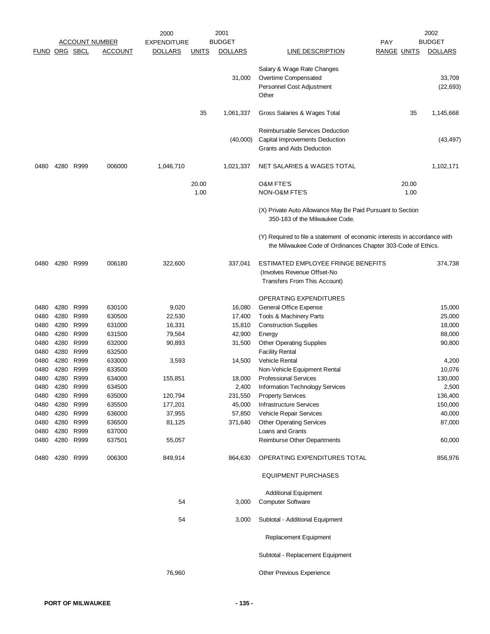|                      |                        |           |                       | 2000               |              | 2001           |                                                                                                                                           |                    |       | 2002           |
|----------------------|------------------------|-----------|-----------------------|--------------------|--------------|----------------|-------------------------------------------------------------------------------------------------------------------------------------------|--------------------|-------|----------------|
|                      |                        |           | <b>ACCOUNT NUMBER</b> | <b>EXPENDITURE</b> |              | <b>BUDGET</b>  |                                                                                                                                           | <b>PAY</b>         |       | <b>BUDGET</b>  |
| <b>FUND ORG SBCL</b> |                        |           | <b>ACCOUNT</b>        | <b>DOLLARS</b>     | <u>UNITS</u> | <b>DOLLARS</b> | <b>LINE DESCRIPTION</b>                                                                                                                   | <b>RANGE UNITS</b> |       | <b>DOLLARS</b> |
|                      |                        |           |                       |                    |              |                | Salary & Wage Rate Changes                                                                                                                |                    |       |                |
|                      |                        |           |                       |                    |              | 31,000         | Overtime Compensated                                                                                                                      |                    |       | 33,709         |
|                      |                        |           |                       |                    |              |                | Personnel Cost Adjustment                                                                                                                 |                    |       | (22, 693)      |
|                      |                        |           |                       |                    |              |                | Other                                                                                                                                     |                    |       |                |
|                      |                        |           |                       |                    | 35           | 1,061,337      | Gross Salaries & Wages Total                                                                                                              |                    | 35    | 1,145,668      |
|                      |                        |           |                       |                    |              |                | Reimbursable Services Deduction                                                                                                           |                    |       |                |
|                      |                        |           |                       |                    |              | (40,000)       | Capital Improvements Deduction                                                                                                            |                    |       | (43, 497)      |
|                      |                        |           |                       |                    |              |                | Grants and Aids Deduction                                                                                                                 |                    |       |                |
| 0480                 |                        | 4280 R999 | 006000                | 1,046,710          |              | 1,021,337      | NET SALARIES & WAGES TOTAL                                                                                                                |                    |       | 1,102,171      |
|                      |                        |           |                       |                    | 20.00        |                | <b>O&amp;M FTE'S</b>                                                                                                                      |                    | 20.00 |                |
|                      |                        |           |                       |                    | 1.00         |                | NON-O&M FTE'S                                                                                                                             |                    | 1.00  |                |
|                      |                        |           |                       |                    |              |                | (X) Private Auto Allowance May Be Paid Pursuant to Section<br>350-183 of the Milwaukee Code.                                              |                    |       |                |
|                      |                        |           |                       |                    |              |                | (Y) Required to file a statement of economic interests in accordance with<br>the Milwaukee Code of Ordinances Chapter 303-Code of Ethics. |                    |       |                |
| 0480                 | 4280 R999              |           | 006180                | 322,600            |              | 337,041        | ESTIMATED EMPLOYEE FRINGE BENEFITS                                                                                                        |                    |       | 374,738        |
|                      |                        |           |                       |                    |              |                | (Involves Revenue Offset-No                                                                                                               |                    |       |                |
|                      |                        |           |                       |                    |              |                | Transfers From This Account)                                                                                                              |                    |       |                |
|                      |                        |           |                       |                    |              |                | <b>OPERATING EXPENDITURES</b>                                                                                                             |                    |       |                |
| 0480                 | 4280 R999              |           | 630100                | 9,020              |              | 16,080         | General Office Expense                                                                                                                    |                    |       | 15,000         |
| 0480                 | 4280                   | R999      | 630500                | 22,530             |              | 17,400         | Tools & Machinery Parts                                                                                                                   |                    |       | 25,000         |
| 0480                 | 4280                   | R999      | 631000                | 16,331             |              | 15,810         | <b>Construction Supplies</b>                                                                                                              |                    |       | 18,000         |
| 0480                 | 4280 R999              |           | 631500                | 79,564             |              | 42,900         | Energy                                                                                                                                    |                    |       | 88,000         |
| 0480                 | 4280                   | R999      | 632000                | 90,893             |              | 31,500         | <b>Other Operating Supplies</b>                                                                                                           |                    |       | 90,800         |
| 0480                 | 4280                   | R999      | 632500                |                    |              |                | <b>Facility Rental</b>                                                                                                                    |                    |       |                |
| 0480                 | 4280 R999              |           | 633000                | 3,593              |              | 14,500         | Vehicle Rental                                                                                                                            |                    |       | 4,200          |
| 0480                 | 4280                   | R999      | 633500                |                    |              |                | Non-Vehicle Equipment Rental                                                                                                              |                    |       | 10,076         |
| 0480                 | 4280                   | R999      | 634000                | 155,851            |              | 18,000         | <b>Professional Services</b>                                                                                                              |                    |       | 130,000        |
| 0480                 | 4280                   | R999      | 634500                |                    |              | 2,400          | Information Technology Services                                                                                                           |                    |       | 2,500          |
| 0480                 | 4280 R999              |           | 635000                | 120,794            |              | 231,550        | <b>Property Services</b>                                                                                                                  |                    |       | 136,400        |
| 0480                 | 4280 R999              |           | 635500                | 177,201            |              | 45,000         | <b>Infrastructure Services</b>                                                                                                            |                    |       | 150,000        |
| 0480                 | 4280 R999              |           | 636000                | 37,955             |              | 57,850         | Vehicle Repair Services                                                                                                                   |                    |       | 40,000         |
| 0480                 | 4280 R999              |           | 636500                | 81,125             |              | 371,640        | <b>Other Operating Services</b>                                                                                                           |                    |       | 87,000         |
| 0480<br>0480         | 4280 R999<br>4280 R999 |           | 637000<br>637501      | 55,057             |              |                | Loans and Grants<br>Reimburse Other Departments                                                                                           |                    |       | 60,000         |
|                      |                        |           |                       |                    |              |                |                                                                                                                                           |                    |       |                |
| 0480                 | 4280 R999              |           | 006300                | 849,914            |              | 864,630        | OPERATING EXPENDITURES TOTAL                                                                                                              |                    |       | 856,976        |
|                      |                        |           |                       |                    |              |                | <b>EQUIPMENT PURCHASES</b>                                                                                                                |                    |       |                |
|                      |                        |           |                       | 54                 |              | 3,000          | <b>Additional Equipment</b><br><b>Computer Software</b>                                                                                   |                    |       |                |
|                      |                        |           |                       |                    |              |                |                                                                                                                                           |                    |       |                |
|                      |                        |           |                       | 54                 |              | 3,000          | Subtotal - Additional Equipment                                                                                                           |                    |       |                |
|                      |                        |           |                       |                    |              |                | Replacement Equipment                                                                                                                     |                    |       |                |
|                      |                        |           |                       |                    |              |                | Subtotal - Replacement Equipment                                                                                                          |                    |       |                |
|                      |                        |           |                       | 76,960             |              |                | Other Previous Experience                                                                                                                 |                    |       |                |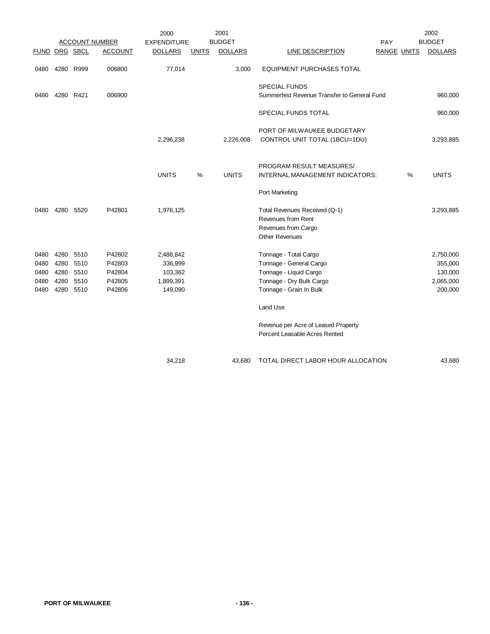|                                      |                                      |                                      |                                                | 2000                                                    |              | 2001           |                                                                                                                                   |                    |      | 2002                                                    |
|--------------------------------------|--------------------------------------|--------------------------------------|------------------------------------------------|---------------------------------------------------------|--------------|----------------|-----------------------------------------------------------------------------------------------------------------------------------|--------------------|------|---------------------------------------------------------|
|                                      |                                      |                                      | <b>ACCOUNT NUMBER</b>                          | <b>EXPENDITURE</b>                                      |              | <b>BUDGET</b>  |                                                                                                                                   | PAY                |      | <b>BUDGET</b>                                           |
| FUND ORG SBCL                        |                                      |                                      | <b>ACCOUNT</b>                                 | <b>DOLLARS</b>                                          | <b>UNITS</b> | <b>DOLLARS</b> | <b>LINE DESCRIPTION</b>                                                                                                           | <b>RANGE UNITS</b> |      | <b>DOLLARS</b>                                          |
| 0480                                 |                                      | 4280 R999                            | 006800                                         | 77,014                                                  |              | 3,000          | EQUIPMENT PURCHASES TOTAL                                                                                                         |                    |      |                                                         |
| 0480                                 | 4280                                 | R421                                 | 006900                                         |                                                         |              |                | <b>SPECIAL FUNDS</b><br>Summerfest Revenue Transfer to General Fund                                                               |                    |      | 960,000                                                 |
|                                      |                                      |                                      |                                                |                                                         |              |                | SPECIAL FUNDS TOTAL                                                                                                               |                    |      | 960,000                                                 |
|                                      |                                      |                                      |                                                | 2,296,238                                               |              | 2,226,008      | PORT OF MILWAUKEE BUDGETARY<br>CONTROL UNIT TOTAL (1BCU=1DU)                                                                      |                    |      | 3,293,885                                               |
|                                      |                                      |                                      |                                                | <b>UNITS</b>                                            | $\%$         | <b>UNITS</b>   | PROGRAM RESULT MEASURES/<br>INTERNAL MANAGEMENT INDICATORS:                                                                       |                    | $\%$ | <b>UNITS</b>                                            |
|                                      |                                      |                                      |                                                |                                                         |              |                | Port Marketing                                                                                                                    |                    |      |                                                         |
| 0480                                 | 4280                                 | 5520                                 | P42801                                         | 1,976,125                                               |              |                | Total Revenues Received (Q-1)<br>Revenues from Rent<br>Revenues from Cargo<br><b>Other Revenues</b>                               |                    |      | 3,293,885                                               |
| 0480<br>0480<br>0480<br>0480<br>0480 | 4280<br>4280<br>4280<br>4280<br>4280 | 5510<br>5510<br>5510<br>5510<br>5510 | P42802<br>P42803<br>P42804<br>P42805<br>P42806 | 2,488,842<br>336,999<br>103,362<br>1,899,391<br>149,090 |              |                | Tonnage - Total Cargo<br>Tonnage - General Cargo<br>Tonnage - Liquid Cargo<br>Tonnage - Dry Bulk Cargo<br>Tonnage - Grain In Bulk |                    |      | 2,750,000<br>355,000<br>130,000<br>2,065,000<br>200,000 |
|                                      |                                      |                                      |                                                |                                                         |              |                | Land Use<br>Revenue per Acre of Leased Property<br>Percent Leasable Acres Rented                                                  |                    |      |                                                         |
|                                      |                                      |                                      |                                                | 34,218                                                  |              | 43.680         | TOTAL DIRECT LABOR HOUR ALLOCATION                                                                                                |                    |      | 43,680                                                  |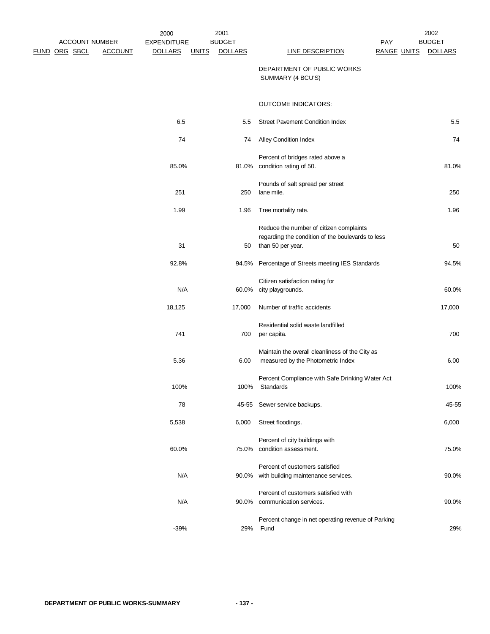| 2002<br><b>BUDGET</b> | <b>PAY</b>         |                                                                                                                   | 2001<br><b>BUDGET</b> |              | 2000<br><b>EXPENDITURE</b> |                | <b>ACCOUNT NUMBER</b> |  |
|-----------------------|--------------------|-------------------------------------------------------------------------------------------------------------------|-----------------------|--------------|----------------------------|----------------|-----------------------|--|
| <b>DOLLARS</b>        | <b>RANGE UNITS</b> | <b>LINE DESCRIPTION</b>                                                                                           | <b>DOLLARS</b>        | <b>UNITS</b> | <b>DOLLARS</b>             | <b>ACCOUNT</b> | <u>FUND ORG SBCL</u>  |  |
|                       |                    | DEPARTMENT OF PUBLIC WORKS<br>SUMMARY (4 BCU'S)                                                                   |                       |              |                            |                |                       |  |
|                       |                    | <b>OUTCOME INDICATORS:</b>                                                                                        |                       |              |                            |                |                       |  |
| 5.5                   |                    | <b>Street Pavement Condition Index</b>                                                                            | 5.5                   |              | 6.5                        |                |                       |  |
| 74                    |                    | <b>Alley Condition Index</b>                                                                                      | 74                    |              | 74                         |                |                       |  |
| 81.0%                 |                    | Percent of bridges rated above a<br>81.0% condition rating of 50.                                                 |                       |              | 85.0%                      |                |                       |  |
| 250                   |                    | Pounds of salt spread per street<br>lane mile.                                                                    | 250                   |              | 251                        |                |                       |  |
| 1.96                  |                    | Tree mortality rate.                                                                                              | 1.96                  |              | 1.99                       |                |                       |  |
| 50                    |                    | Reduce the number of citizen complaints<br>regarding the condition of the boulevards to less<br>than 50 per year. | 50                    |              | 31                         |                |                       |  |
| 94.5%                 |                    | Percentage of Streets meeting IES Standards                                                                       | 94.5%                 |              | 92.8%                      |                |                       |  |
|                       |                    | Citizen satisfaction rating for                                                                                   |                       |              |                            |                |                       |  |
| 60.0%                 |                    | 60.0% city playgrounds.                                                                                           |                       |              | N/A                        |                |                       |  |
| 17,000                |                    | Number of traffic accidents                                                                                       | 17,000                |              | 18,125                     |                |                       |  |
| 700                   |                    | Residential solid waste landfilled<br>per capita.                                                                 | 700                   |              | 741                        |                |                       |  |
| 6.00                  |                    | Maintain the overall cleanliness of the City as<br>measured by the Photometric Index                              | 6.00                  |              | 5.36                       |                |                       |  |
| 100%                  |                    | Percent Compliance with Safe Drinking Water Act<br>Standards                                                      | 100%                  |              | 100%                       |                |                       |  |
| 45-55                 |                    | 45-55 Sewer service backups.                                                                                      |                       |              | 78                         |                |                       |  |
| 6,000                 |                    | Street floodings.                                                                                                 | 6,000                 |              | 5,538                      |                |                       |  |
| 75.0%                 |                    | Percent of city buildings with<br>75.0% condition assessment.                                                     |                       |              | 60.0%                      |                |                       |  |
| 90.0%                 |                    | Percent of customers satisfied<br>90.0% with building maintenance services.                                       |                       |              | N/A                        |                |                       |  |
| 90.0%                 |                    | Percent of customers satisfied with<br>90.0% communication services.                                              |                       |              | N/A                        |                |                       |  |
| 29%                   |                    | Percent change in net operating revenue of Parking<br>Fund                                                        | 29%                   |              | $-39%$                     |                |                       |  |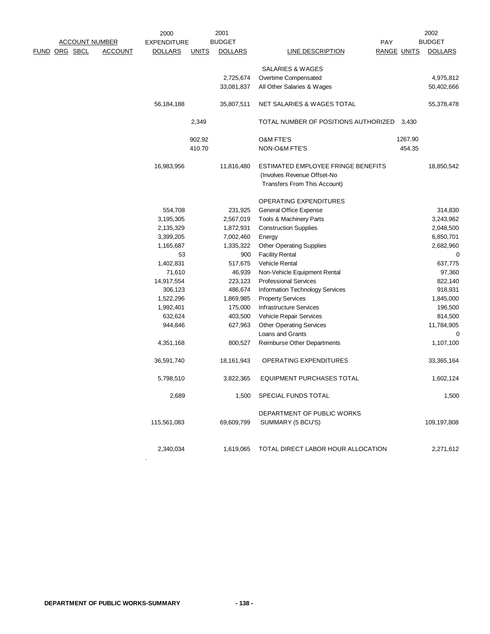|               |                       |                | 2000               |              | 2001<br><b>BUDGET</b> |                                      |                    |         | 2002<br><b>BUDGET</b> |
|---------------|-----------------------|----------------|--------------------|--------------|-----------------------|--------------------------------------|--------------------|---------|-----------------------|
|               | <b>ACCOUNT NUMBER</b> |                | <b>EXPENDITURE</b> |              |                       |                                      | <b>PAY</b>         |         |                       |
| FUND ORG SBCL |                       | <b>ACCOUNT</b> | <b>DOLLARS</b>     | <b>UNITS</b> | <b>DOLLARS</b>        | LINE DESCRIPTION                     | <b>RANGE UNITS</b> |         | <b>DOLLARS</b>        |
|               |                       |                |                    |              |                       | SALARIES & WAGES                     |                    |         |                       |
|               |                       |                |                    |              | 2,725,674             | Overtime Compensated                 |                    |         | 4,975,812             |
|               |                       |                |                    |              | 33,081,837            | All Other Salaries & Wages           |                    |         | 50,402,666            |
|               |                       |                |                    |              |                       |                                      |                    |         |                       |
|               |                       |                | 56,184,188         |              | 35,807,511            | NET SALARIES & WAGES TOTAL           |                    |         | 55,378,478            |
|               |                       |                |                    |              |                       |                                      |                    |         |                       |
|               |                       |                |                    | 2,349        |                       | TOTAL NUMBER OF POSITIONS AUTHORIZED |                    | 3.430   |                       |
|               |                       |                |                    | 902.92       |                       | <b>O&amp;M FTE'S</b>                 |                    | 1267.90 |                       |
|               |                       |                |                    | 410.70       |                       | NON-O&M FTE'S                        |                    | 454.35  |                       |
|               |                       |                |                    |              |                       |                                      |                    |         |                       |
|               |                       |                | 16,983,956         |              | 11,816,480            | ESTIMATED EMPLOYEE FRINGE BENEFITS   |                    |         | 18,850,542            |
|               |                       |                |                    |              |                       | (Involves Revenue Offset-No          |                    |         |                       |
|               |                       |                |                    |              |                       | Transfers From This Account)         |                    |         |                       |
|               |                       |                |                    |              |                       |                                      |                    |         |                       |
|               |                       |                |                    |              |                       | <b>OPERATING EXPENDITURES</b>        |                    |         |                       |
|               |                       |                | 554,708            |              | 231,925               | General Office Expense               |                    |         | 314,830               |
|               |                       |                | 3,195,305          |              | 2,567,019             | Tools & Machinery Parts              |                    |         | 3,243,962             |
|               |                       |                | 2,135,329          |              | 1,872,931             | <b>Construction Supplies</b>         |                    |         | 2,048,500             |
|               |                       |                | 3,399,205          |              | 7,002,460             | Energy                               |                    |         | 6,850,701             |
|               |                       |                | 1,165,687          |              | 1,335,322             | <b>Other Operating Supplies</b>      |                    |         | 2,682,960             |
|               |                       |                | 53                 |              | 900                   | <b>Facility Rental</b>               |                    |         | 0                     |
|               |                       |                | 1,402,831          |              | 517,675               | <b>Vehicle Rental</b>                |                    |         | 637,775               |
|               |                       |                | 71,610             |              | 46,939                | Non-Vehicle Equipment Rental         |                    |         | 97,360                |
|               |                       |                | 14,917,554         |              | 223,123               | <b>Professional Services</b>         |                    |         | 822,140               |
|               |                       |                | 306,123            |              | 486,674               | Information Technology Services      |                    |         | 918,931               |
|               |                       |                | 1,522,296          |              | 1,869,985             | <b>Property Services</b>             |                    |         | 1,845,000             |
|               |                       |                | 1,992,401          |              | 175,000               | <b>Infrastructure Services</b>       |                    |         | 196,500               |
|               |                       |                | 632,624            |              | 403,500               | Vehicle Repair Services              |                    |         | 814,500               |
|               |                       |                | 944,846            |              | 627,963               | <b>Other Operating Services</b>      |                    |         | 11,784,905            |
|               |                       |                |                    |              |                       | Loans and Grants                     |                    |         | 0                     |
|               |                       |                | 4,351,168          |              | 800,527               | Reimburse Other Departments          |                    |         | 1,107,100             |
|               |                       |                | 36,591,740         |              | 18,161,943            | OPERATING EXPENDITURES               |                    |         | 33,365,164            |
|               |                       |                |                    |              |                       |                                      |                    |         |                       |
|               |                       |                | 5,798,510          |              | 3,822,365             | <b>EQUIPMENT PURCHASES TOTAL</b>     |                    |         | 1,602,124             |
|               |                       |                | 2,689              |              | 1,500                 | SPECIAL FUNDS TOTAL                  |                    |         | 1,500                 |
|               |                       |                |                    |              |                       |                                      |                    |         |                       |
|               |                       |                |                    |              |                       | DEPARTMENT OF PUBLIC WORKS           |                    |         |                       |
|               |                       |                | 115,561,083        |              | 69,609,799            | SUMMARY (5 BCU'S)                    |                    |         | 109,197,808           |
|               |                       |                |                    |              |                       |                                      |                    |         |                       |
|               |                       |                | 2,340,034          |              | 1,619,065             | TOTAL DIRECT LABOR HOUR ALLOCATION   |                    |         | 2,271,612             |

.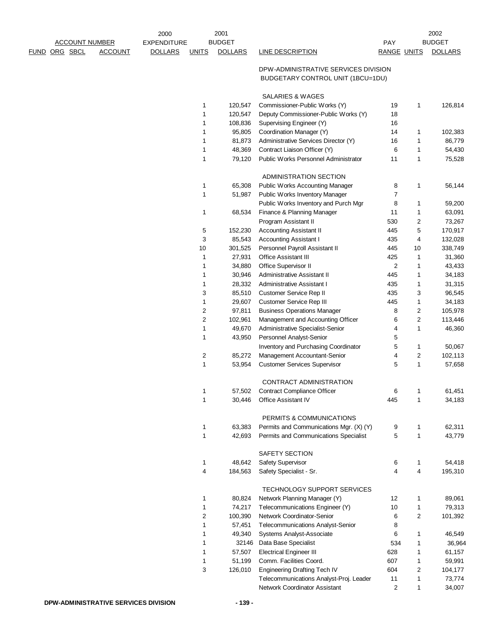|                       |                | 2000               |                | 2001           |                                         |                    |                         | 2002           |
|-----------------------|----------------|--------------------|----------------|----------------|-----------------------------------------|--------------------|-------------------------|----------------|
| <b>ACCOUNT NUMBER</b> |                | <b>EXPENDITURE</b> |                | <b>BUDGET</b>  |                                         | <b>PAY</b>         |                         | <b>BUDGET</b>  |
| <b>FUND ORG SBCL</b>  | <b>ACCOUNT</b> | <b>DOLLARS</b>     | <b>UNITS</b>   | <b>DOLLARS</b> | <b>LINE DESCRIPTION</b>                 | <b>RANGE UNITS</b> |                         | <b>DOLLARS</b> |
|                       |                |                    |                |                |                                         |                    |                         |                |
|                       |                |                    |                |                | DPW-ADMINISTRATIVE SERVICES DIVISION    |                    |                         |                |
|                       |                |                    |                |                | BUDGETARY CONTROL UNIT (1BCU=1DU)       |                    |                         |                |
|                       |                |                    |                |                |                                         |                    |                         |                |
|                       |                |                    |                |                | <b>SALARIES &amp; WAGES</b>             |                    |                         |                |
|                       |                |                    | 1              | 120,547        | Commissioner-Public Works (Y)           | 19                 | $\mathbf{1}$            | 126,814        |
|                       |                |                    | 1              | 120,547        | Deputy Commissioner-Public Works (Y)    | 18                 |                         |                |
|                       |                |                    | 1              | 108,836        | Supervising Engineer (Y)                | 16                 |                         |                |
|                       |                |                    | 1              | 95,805         | Coordination Manager (Y)                | 14                 | 1                       | 102,383        |
|                       |                |                    | 1              | 81,873         | Administrative Services Director (Y)    | 16                 | 1                       | 86,779         |
|                       |                |                    | 1              | 48,369         | Contract Liaison Officer (Y)            | 6                  | 1                       | 54,430         |
|                       |                |                    | 1              | 79,120         | Public Works Personnel Administrator    | 11                 | $\mathbf{1}$            | 75,528         |
|                       |                |                    |                |                | ADMINISTRATION SECTION                  |                    |                         |                |
|                       |                |                    | 1              | 65,308         | <b>Public Works Accounting Manager</b>  | 8                  | 1                       | 56,144         |
|                       |                |                    | 1              |                |                                         | $\overline{7}$     |                         |                |
|                       |                |                    |                | 51,987         | Public Works Inventory Manager          |                    |                         |                |
|                       |                |                    |                |                | Public Works Inventory and Purch Mgr    | 8                  | 1                       | 59,200         |
|                       |                |                    | $\mathbf{1}$   | 68,534         | Finance & Planning Manager              | 11                 | $\mathbf{1}$            | 63,091         |
|                       |                |                    |                |                | Program Assistant II                    | 530                | 2                       | 73,267         |
|                       |                |                    | 5              | 152,230        | <b>Accounting Assistant II</b>          | 445                | 5                       | 170,917        |
|                       |                |                    | 3              | 85,543         | <b>Accounting Assistant I</b>           | 435                | 4                       | 132,028        |
|                       |                |                    | 10             | 301,525        | Personnel Payroll Assistant II          | 445                | 10                      | 338,749        |
|                       |                |                    | 1              | 27,931         | Office Assistant III                    | 425                | 1                       | 31,360         |
|                       |                |                    | 1              | 34,880         | Office Supervisor II                    | $\sqrt{2}$         | 1                       | 43,433         |
|                       |                |                    | 1              | 30,946         | Administrative Assistant II             | 445                | 1                       | 34,183         |
|                       |                |                    | 1              | 28,332         | Administrative Assistant I              | 435                | 1                       | 31,315         |
|                       |                |                    | 3              | 85,510         | Customer Service Rep II                 | 435                | 3                       | 96,545         |
|                       |                |                    | 1              | 29,607         | Customer Service Rep III                | 445                | 1                       | 34,183         |
|                       |                |                    | $\overline{c}$ | 97,811         | <b>Business Operations Manager</b>      | 8                  | 2                       | 105,978        |
|                       |                |                    | $\overline{c}$ | 102,961        | Management and Accounting Officer       | 6                  | $\overline{\mathbf{c}}$ | 113,446        |
|                       |                |                    | 1              | 49,670         | Administrative Specialist-Senior        | 4                  | 1                       | 46,360         |
|                       |                |                    | 1              | 43,950         | Personnel Analyst-Senior                | 5                  |                         |                |
|                       |                |                    |                |                | Inventory and Purchasing Coordinator    | 5                  | $\mathbf{1}$            | 50,067         |
|                       |                |                    | 2              | 85,272         | Management Accountant-Senior            | 4                  | 2                       | 102,113        |
|                       |                |                    | 1              | 53,954         | <b>Customer Services Supervisor</b>     | 5                  | $\mathbf{1}$            | 57,658         |
|                       |                |                    |                |                |                                         |                    |                         |                |
|                       |                |                    |                |                | CONTRACT ADMINISTRATION                 |                    |                         |                |
|                       |                |                    |                | 57,502         | <b>Contract Compliance Officer</b>      | 6                  |                         | 61,451         |
|                       |                |                    | 1              | 30,446         | Office Assistant IV                     | 445                | 1                       | 34,183         |
|                       |                |                    |                |                | PERMITS & COMMUNICATIONS                |                    |                         |                |
|                       |                |                    | 1              | 63,383         | Permits and Communications Mgr. (X) (Y) | 9                  | 1                       | 62,311         |
|                       |                |                    | 1              | 42,693         | Permits and Communications Specialist   | 5                  | $\mathbf{1}$            | 43,779         |
|                       |                |                    |                |                |                                         |                    |                         |                |
|                       |                |                    |                |                | SAFETY SECTION                          |                    |                         |                |
|                       |                |                    | 1              | 48,642         | Safety Supervisor                       | 6                  | $\mathbf{1}$            | 54,418         |
|                       |                |                    | 4              | 184,563        | Safety Specialist - Sr.                 | 4                  | 4                       | 195,310        |
|                       |                |                    |                |                | TECHNOLOGY SUPPORT SERVICES             |                    |                         |                |
|                       |                |                    | 1              | 80,824         | Network Planning Manager (Y)            | 12                 | 1                       | 89,061         |
|                       |                |                    | 1              | 74,217         | Telecommunications Engineer (Y)         | 10                 | $\mathbf{1}$            | 79,313         |
|                       |                |                    | $\overline{c}$ | 100,390        | Network Coordinator-Senior              | 6                  | 2                       | 101,392        |
|                       |                |                    | 1              | 57,451         | Telecommunications Analyst-Senior       | 8                  |                         |                |
|                       |                |                    |                | 49,340         |                                         |                    |                         |                |
|                       |                |                    | 1<br>1         | 32146          | Systems Analyst-Associate               | 6<br>534           | $\mathbf{1}$            | 46,549         |
|                       |                |                    |                |                | Data Base Specialist                    |                    | 1                       | 36,964         |
|                       |                |                    | 1              | 57,507         | <b>Electrical Engineer III</b>          | 628                | 1                       | 61,157         |
|                       |                |                    | 1              | 51,199         | Comm. Facilities Coord.                 | 607                | 1                       | 59,991         |
|                       |                |                    | 3              | 126,010        | <b>Engineering Drafting Tech IV</b>     | 604                | 2                       | 104,177        |
|                       |                |                    |                |                | Telecommunications Analyst-Proj. Leader | 11                 | 1                       | 73,774         |
|                       |                |                    |                |                | Network Coordinator Assistant           | $\sqrt{2}$         | 1                       | 34,007         |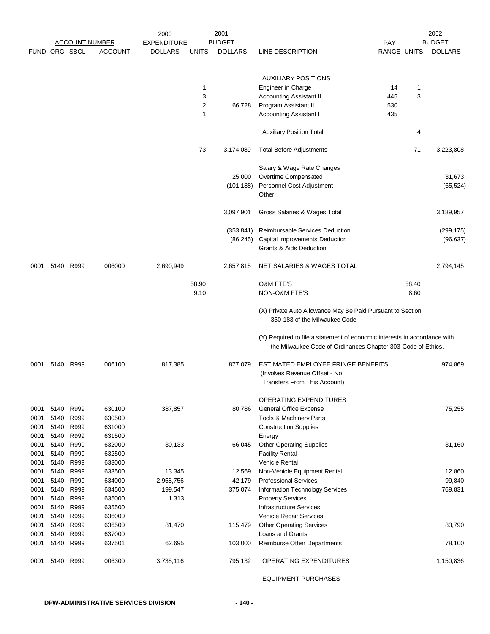|      |               |           |                       | 2000               |                | 2001           |                                                                                              |                    |       | 2002           |
|------|---------------|-----------|-----------------------|--------------------|----------------|----------------|----------------------------------------------------------------------------------------------|--------------------|-------|----------------|
|      |               |           | <b>ACCOUNT NUMBER</b> | <b>EXPENDITURE</b> |                | <b>BUDGET</b>  |                                                                                              | PAY                |       | <b>BUDGET</b>  |
|      | FUND ORG SBCL |           | <b>ACCOUNT</b>        | <b>DOLLARS</b>     | <u>UNITS</u>   | <b>DOLLARS</b> | <b>LINE DESCRIPTION</b>                                                                      | <b>RANGE UNITS</b> |       | <b>DOLLARS</b> |
|      |               |           |                       |                    |                |                |                                                                                              |                    |       |                |
|      |               |           |                       |                    |                |                | <b>AUXILIARY POSITIONS</b>                                                                   |                    |       |                |
|      |               |           |                       |                    | 1              |                | Engineer in Charge                                                                           | 14                 | 1     |                |
|      |               |           |                       |                    | 3              |                | <b>Accounting Assistant II</b>                                                               | 445                | 3     |                |
|      |               |           |                       |                    | $\overline{2}$ | 66,728         | Program Assistant II                                                                         | 530                |       |                |
|      |               |           |                       |                    | 1              |                | <b>Accounting Assistant I</b>                                                                | 435                |       |                |
|      |               |           |                       |                    |                |                | <b>Auxiliary Position Total</b>                                                              |                    | 4     |                |
|      |               |           |                       |                    | 73             | 3,174,089      | Total Before Adjustments                                                                     |                    | 71    | 3,223,808      |
|      |               |           |                       |                    |                |                | Salary & Wage Rate Changes                                                                   |                    |       |                |
|      |               |           |                       |                    |                | 25,000         | Overtime Compensated                                                                         |                    |       | 31,673         |
|      |               |           |                       |                    |                | (101, 188)     | Personnel Cost Adjustment                                                                    |                    |       | (65, 524)      |
|      |               |           |                       |                    |                |                | Other                                                                                        |                    |       |                |
|      |               |           |                       |                    |                |                |                                                                                              |                    |       |                |
|      |               |           |                       |                    |                | 3,097,901      | Gross Salaries & Wages Total                                                                 |                    |       | 3,189,957      |
|      |               |           |                       |                    |                | (353, 841)     | Reimbursable Services Deduction                                                              |                    |       | (299, 175)     |
|      |               |           |                       |                    |                | (86, 245)      | Capital Improvements Deduction                                                               |                    |       | (96, 637)      |
|      |               |           |                       |                    |                |                | <b>Grants &amp; Aids Deduction</b>                                                           |                    |       |                |
| 0001 |               | 5140 R999 | 006000                | 2,690,949          |                | 2,657,815      | NET SALARIES & WAGES TOTAL                                                                   |                    |       | 2,794,145      |
|      |               |           |                       |                    | 58.90          |                | <b>O&amp;M FTE'S</b>                                                                         |                    | 58.40 |                |
|      |               |           |                       |                    | 9.10           |                | NON-O&M FTE'S                                                                                |                    | 8.60  |                |
|      |               |           |                       |                    |                |                |                                                                                              |                    |       |                |
|      |               |           |                       |                    |                |                | (X) Private Auto Allowance May Be Paid Pursuant to Section<br>350-183 of the Milwaukee Code. |                    |       |                |
|      |               |           |                       |                    |                |                | (Y) Required to file a statement of economic interests in accordance with                    |                    |       |                |
|      |               |           |                       |                    |                |                | the Milwaukee Code of Ordinances Chapter 303-Code of Ethics.                                 |                    |       |                |
| 0001 | 5140          | R999      | 006100                | 817,385            |                | 877,079        | ESTIMATED EMPLOYEE FRINGE BENEFITS                                                           |                    |       | 974,869        |
|      |               |           |                       |                    |                |                | (Involves Revenue Offset - No                                                                |                    |       |                |
|      |               |           |                       |                    |                |                | Transfers From This Account)                                                                 |                    |       |                |
|      |               |           |                       |                    |                |                | OPERATING EXPENDITURES                                                                       |                    |       |                |
| 0001 | 5140          | R999      | 630100                | 387,857            |                | 80,786         | General Office Expense                                                                       |                    |       | 75,255         |
| 0001 | 5140          | R999      | 630500                |                    |                |                | Tools & Machinery Parts                                                                      |                    |       |                |
| 0001 | 5140          | R999      | 631000                |                    |                |                | <b>Construction Supplies</b>                                                                 |                    |       |                |
| 0001 | 5140          | R999      | 631500                |                    |                |                | Energy                                                                                       |                    |       |                |
| 0001 | 5140          | R999      | 632000                | 30,133             |                | 66,045         | <b>Other Operating Supplies</b>                                                              |                    |       | 31,160         |
| 0001 | 5140          | R999      | 632500                |                    |                |                | <b>Facility Rental</b>                                                                       |                    |       |                |
| 0001 | 5140          | R999      | 633000                |                    |                |                | <b>Vehicle Rental</b>                                                                        |                    |       |                |
| 0001 | 5140          | R999      | 633500                | 13,345             |                | 12,569         | Non-Vehicle Equipment Rental                                                                 |                    |       | 12,860         |
| 0001 | 5140          | R999      | 634000                | 2,958,756          |                | 42,179         | <b>Professional Services</b>                                                                 |                    |       | 99,840         |
| 0001 | 5140          | R999      | 634500                | 199,547            |                | 375,074        | <b>Information Technology Services</b>                                                       |                    |       | 769,831        |
| 0001 | 5140          | R999      | 635000                | 1,313              |                |                | <b>Property Services</b>                                                                     |                    |       |                |
| 0001 | 5140          | R999      | 635500                |                    |                |                | <b>Infrastructure Services</b>                                                               |                    |       |                |
| 0001 | 5140          | R999      | 636000                |                    |                |                | Vehicle Repair Services                                                                      |                    |       |                |
| 0001 | 5140          | R999      | 636500                | 81,470             |                | 115,479        | <b>Other Operating Services</b>                                                              |                    |       | 83,790         |
| 0001 | 5140          | R999      | 637000                |                    |                |                | Loans and Grants                                                                             |                    |       |                |
| 0001 | 5140          | R999      | 637501                | 62,695             |                | 103,000        | Reimburse Other Departments                                                                  |                    |       | 78,100         |
| 0001 | 5140          | R999      | 006300                | 3,735,116          |                | 795,132        | OPERATING EXPENDITURES                                                                       |                    |       | 1,150,836      |
|      |               |           |                       |                    |                |                | <b>EQUIPMENT PURCHASES</b>                                                                   |                    |       |                |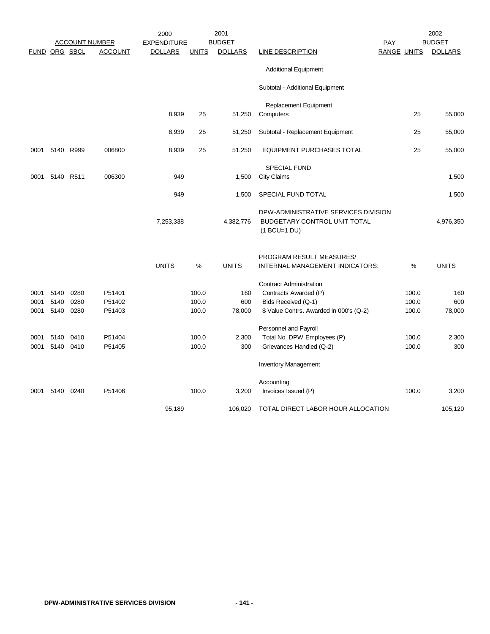|      |               |      |                       | 2000               |              | 2001           |                                                                                        |             |       | 2002           |
|------|---------------|------|-----------------------|--------------------|--------------|----------------|----------------------------------------------------------------------------------------|-------------|-------|----------------|
|      |               |      | <b>ACCOUNT NUMBER</b> | <b>EXPENDITURE</b> |              | <b>BUDGET</b>  |                                                                                        | PAY         |       | <b>BUDGET</b>  |
|      | FUND ORG SBCL |      | <b>ACCOUNT</b>        | <b>DOLLARS</b>     | <b>UNITS</b> | <b>DOLLARS</b> | <b>LINE DESCRIPTION</b>                                                                | RANGE UNITS |       | <b>DOLLARS</b> |
|      |               |      |                       |                    |              |                | <b>Additional Equipment</b>                                                            |             |       |                |
|      |               |      |                       |                    |              |                | Subtotal - Additional Equipment                                                        |             |       |                |
|      |               |      |                       |                    |              |                | Replacement Equipment                                                                  |             |       |                |
|      |               |      |                       | 8,939              | 25           | 51,250         | Computers                                                                              |             | 25    | 55,000         |
|      |               |      |                       | 8,939              | 25           | 51,250         | Subtotal - Replacement Equipment                                                       |             | 25    | 55,000         |
| 0001 | 5140 R999     |      | 006800                | 8,939              | 25           | 51,250         | <b>EQUIPMENT PURCHASES TOTAL</b>                                                       |             | 25    | 55,000         |
|      |               |      |                       |                    |              |                | <b>SPECIAL FUND</b>                                                                    |             |       |                |
| 0001 | 5140 R511     |      | 006300                | 949                |              | 1,500          | City Claims                                                                            |             |       | 1,500          |
|      |               |      |                       | 949                |              | 1,500          | SPECIAL FUND TOTAL                                                                     |             |       | 1,500          |
|      |               |      |                       | 7,253,338          |              | 4,382,776      | DPW-ADMINISTRATIVE SERVICES DIVISION<br>BUDGETARY CONTROL UNIT TOTAL<br>$(1 BCU=1 DU)$ |             |       | 4,976,350      |
|      |               |      |                       |                    |              |                | PROGRAM RESULT MEASURES/                                                               |             |       |                |
|      |               |      |                       | <b>UNITS</b>       | %            | <b>UNITS</b>   | INTERNAL MANAGEMENT INDICATORS:                                                        |             | %     | <b>UNITS</b>   |
|      |               |      |                       |                    |              |                | <b>Contract Administration</b>                                                         |             |       |                |
| 0001 | 5140          | 0280 | P51401                |                    | 100.0        | 160            | Contracts Awarded (P)                                                                  |             | 100.0 | 160            |
| 0001 | 5140          | 0280 | P51402                |                    | 100.0        | 600            | Bids Received (Q-1)                                                                    |             | 100.0 | 600            |
| 0001 | 5140          | 0280 | P51403                |                    | 100.0        | 78,000         | \$ Value Contrs. Awarded in 000's (Q-2)                                                |             | 100.0 | 78,000         |
|      |               |      |                       |                    |              |                | Personnel and Payroll                                                                  |             |       |                |
| 0001 | 5140          | 0410 | P51404                |                    | 100.0        | 2,300          | Total No. DPW Employees (P)                                                            |             | 100.0 | 2,300          |
| 0001 | 5140          | 0410 | P51405                |                    | 100.0        | 300            | Grievances Handled (Q-2)                                                               |             | 100.0 | 300            |
|      |               |      |                       |                    |              |                | <b>Inventory Management</b>                                                            |             |       |                |
|      |               |      |                       |                    |              |                | Accounting                                                                             |             |       |                |
| 0001 | 5140          | 0240 | P51406                |                    | 100.0        | 3,200          | Invoices Issued (P)                                                                    |             | 100.0 | 3,200          |
|      |               |      |                       | 95,189             |              | 106.020        | TOTAL DIRECT LABOR HOUR ALLOCATION                                                     |             |       | 105,120        |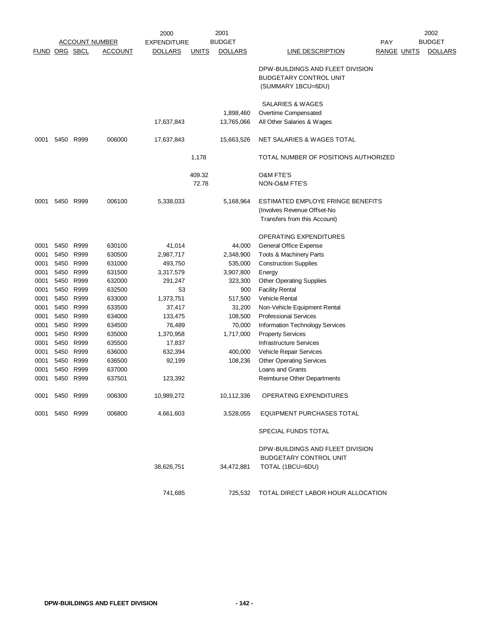|              |                      |                   |                       | 2000               |              | 2001                    |                                                                                                  |                    | 2002           |
|--------------|----------------------|-------------------|-----------------------|--------------------|--------------|-------------------------|--------------------------------------------------------------------------------------------------|--------------------|----------------|
|              |                      |                   | <b>ACCOUNT NUMBER</b> | <b>EXPENDITURE</b> |              | <b>BUDGET</b>           |                                                                                                  | PAY                | <b>BUDGET</b>  |
|              | <b>FUND ORG SBCL</b> |                   | <b>ACCOUNT</b>        | <b>DOLLARS</b>     | <b>UNITS</b> | <b>DOLLARS</b>          | <b>LINE DESCRIPTION</b>                                                                          | <b>RANGE UNITS</b> | <b>DOLLARS</b> |
|              |                      |                   |                       |                    |              |                         | DPW-BUILDINGS AND FLEET DIVISION<br><b>BUDGETARY CONTROL UNIT</b><br>(SUMMARY 1BCU=6DU)          |                    |                |
|              |                      |                   |                       | 17,637,843         |              | 1,898,460<br>13,765,066 | SALARIES & WAGES<br>Overtime Compensated<br>All Other Salaries & Wages                           |                    |                |
|              |                      |                   |                       |                    |              |                         |                                                                                                  |                    |                |
| 0001         |                      | 5450 R999         | 006000                | 17,637,843         |              | 15,663,526              | NET SALARIES & WAGES TOTAL                                                                       |                    |                |
|              |                      |                   |                       |                    | 1,178        |                         | TOTAL NUMBER OF POSITIONS AUTHORIZED                                                             |                    |                |
|              |                      |                   |                       |                    | 409.32       |                         | O&M FTE'S                                                                                        |                    |                |
|              |                      |                   |                       |                    | 72.78        |                         | NON-O&M FTE'S                                                                                    |                    |                |
| 0001         |                      | 5450 R999         | 006100                | 5,338,033          |              | 5,168,964               | ESTIMATED EMPLOYE FRINGE BENEFITS<br>(Involves Revenue Offset-No<br>Transfers from this Account) |                    |                |
|              |                      |                   |                       |                    |              |                         |                                                                                                  |                    |                |
|              |                      |                   |                       |                    |              |                         | <b>OPERATING EXPENDITURES</b>                                                                    |                    |                |
| 0001         |                      | 5450 R999         | 630100                | 41,014             |              | 44,000                  | General Office Expense                                                                           |                    |                |
| 0001         |                      | 5450 R999         | 630500                | 2,987,717          |              | 2,348,900               | Tools & Machinery Parts                                                                          |                    |                |
| 0001         | 5450                 | R999              | 631000                | 493,750            |              | 535,000                 | <b>Construction Supplies</b>                                                                     |                    |                |
| 0001         | 5450                 | 5450 R999<br>R999 | 631500<br>632000      | 3,317,579          |              | 3,907,800               | Energy<br><b>Other Operating Supplies</b>                                                        |                    |                |
| 0001<br>0001 | 5450                 | R999              | 632500                | 291,247<br>53      |              | 323,300<br>900          | <b>Facility Rental</b>                                                                           |                    |                |
| 0001         |                      | 5450 R999         | 633000                | 1,373,751          |              | 517,500                 | <b>Vehicle Rental</b>                                                                            |                    |                |
| 0001         | 5450                 | R999              | 633500                | 37,417             |              | 31,200                  | Non-Vehicle Equipment Rental                                                                     |                    |                |
| 0001         | 5450                 | R999              | 634000                | 133,475            |              | 108,500                 | <b>Professional Services</b>                                                                     |                    |                |
| 0001         |                      | 5450 R999         | 634500                | 76,489             |              | 70,000                  | Information Technology Services                                                                  |                    |                |
| 0001         |                      | 5450 R999         | 635000                | 1,370,958          |              | 1,717,000               | <b>Property Services</b>                                                                         |                    |                |
| 0001         | 5450                 | R999              | 635500                | 17,837             |              |                         | <b>Infrastructure Services</b>                                                                   |                    |                |
| 0001         |                      | 5450 R999         | 636000                | 632,394            |              | 400,000                 | Vehicle Repair Services                                                                          |                    |                |
| 0001         |                      | 5450 R999         | 636500                | 92,199             |              | 108,236                 | <b>Other Operating Services</b>                                                                  |                    |                |
| 0001         | 5450                 | R999              | 637000                |                    |              |                         | Loans and Grants                                                                                 |                    |                |
| 0001         | 5450                 | R999              | 637501                | 123,392            |              |                         | Reimburse Other Departments                                                                      |                    |                |
|              | 0001 5450 R999       |                   | 006300                | 10,989,272         |              | 10,112,336              | OPERATING EXPENDITURES                                                                           |                    |                |
| 0001         |                      | 5450 R999         | 006800                | 4,661,603          |              | 3,528,055               | <b>EQUIPMENT PURCHASES TOTAL</b>                                                                 |                    |                |
|              |                      |                   |                       |                    |              |                         | SPECIAL FUNDS TOTAL                                                                              |                    |                |
|              |                      |                   |                       |                    |              |                         | DPW-BUILDINGS AND FLEET DIVISION                                                                 |                    |                |
|              |                      |                   |                       |                    |              |                         | <b>BUDGETARY CONTROL UNIT</b>                                                                    |                    |                |
|              |                      |                   |                       | 38,626,751         |              | 34,472,881              | TOTAL (1BCU=6DU)                                                                                 |                    |                |
|              |                      |                   |                       | 741,685            |              | 725,532                 | TOTAL DIRECT LABOR HOUR ALLOCATION                                                               |                    |                |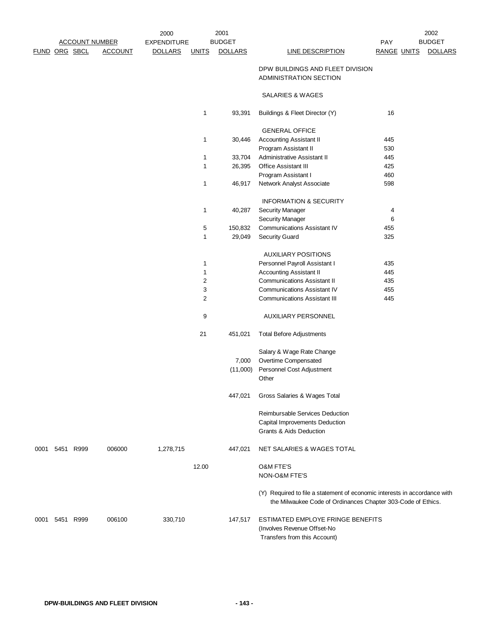|      |                      |                       |                | 2000               |                | 2001           |                                                                                                                                           |                    | 2002           |
|------|----------------------|-----------------------|----------------|--------------------|----------------|----------------|-------------------------------------------------------------------------------------------------------------------------------------------|--------------------|----------------|
|      |                      | <b>ACCOUNT NUMBER</b> |                | <b>EXPENDITURE</b> |                | <b>BUDGET</b>  |                                                                                                                                           | PAY                | <b>BUDGET</b>  |
|      | <b>FUND ORG SBCL</b> |                       | <b>ACCOUNT</b> | <b>DOLLARS</b>     | <b>UNITS</b>   | <b>DOLLARS</b> | <b>LINE DESCRIPTION</b>                                                                                                                   | <b>RANGE UNITS</b> | <b>DOLLARS</b> |
|      |                      |                       |                |                    |                |                | DPW BUILDINGS AND FLEET DIVISION<br><b>ADMINISTRATION SECTION</b>                                                                         |                    |                |
|      |                      |                       |                |                    |                |                | SALARIES & WAGES                                                                                                                          |                    |                |
|      |                      |                       |                |                    | 1              | 93,391         | Buildings & Fleet Director (Y)                                                                                                            | 16                 |                |
|      |                      |                       |                |                    |                |                | <b>GENERAL OFFICE</b>                                                                                                                     |                    |                |
|      |                      |                       |                |                    | 1              | 30,446         | <b>Accounting Assistant II</b>                                                                                                            | 445                |                |
|      |                      |                       |                |                    |                |                | Program Assistant II                                                                                                                      | 530                |                |
|      |                      |                       |                |                    | 1              | 33,704         | Administrative Assistant II                                                                                                               | 445                |                |
|      |                      |                       |                |                    | 1              | 26,395         | <b>Office Assistant III</b>                                                                                                               | 425                |                |
|      |                      |                       |                |                    |                |                | Program Assistant I                                                                                                                       | 460                |                |
|      |                      |                       |                |                    | 1              | 46,917         | Network Analyst Associate                                                                                                                 | 598                |                |
|      |                      |                       |                |                    |                |                | <b>INFORMATION &amp; SECURITY</b>                                                                                                         |                    |                |
|      |                      |                       |                |                    | 1              | 40,287         | <b>Security Manager</b>                                                                                                                   | 4                  |                |
|      |                      |                       |                |                    |                |                | <b>Security Manager</b>                                                                                                                   | 6                  |                |
|      |                      |                       |                |                    | 5              | 150,832        | <b>Communications Assistant IV</b>                                                                                                        | 455                |                |
|      |                      |                       |                |                    | 1              | 29,049         | <b>Security Guard</b>                                                                                                                     | 325                |                |
|      |                      |                       |                |                    |                |                | <b>AUXILIARY POSITIONS</b>                                                                                                                |                    |                |
|      |                      |                       |                |                    | 1              |                | Personnel Payroll Assistant I                                                                                                             | 435                |                |
|      |                      |                       |                |                    | 1              |                | <b>Accounting Assistant II</b>                                                                                                            | 445                |                |
|      |                      |                       |                |                    | 2              |                | <b>Communications Assistant II</b>                                                                                                        | 435                |                |
|      |                      |                       |                |                    | 3              |                | <b>Communications Assistant IV</b>                                                                                                        | 455                |                |
|      |                      |                       |                |                    | $\overline{2}$ |                | <b>Communications Assistant III</b>                                                                                                       | 445                |                |
|      |                      |                       |                |                    | 9              |                | <b>AUXILIARY PERSONNEL</b>                                                                                                                |                    |                |
|      |                      |                       |                |                    | 21             | 451,021        | <b>Total Before Adjustments</b>                                                                                                           |                    |                |
|      |                      |                       |                |                    |                |                | Salary & Wage Rate Change                                                                                                                 |                    |                |
|      |                      |                       |                |                    |                | 7,000          | Overtime Compensated                                                                                                                      |                    |                |
|      |                      |                       |                |                    |                | (11,000)       | Personnel Cost Adjustment<br>Other                                                                                                        |                    |                |
|      |                      |                       |                |                    |                | 447,021        | Gross Salaries & Wages Total                                                                                                              |                    |                |
|      |                      |                       |                |                    |                |                | Reimbursable Services Deduction<br>Capital Improvements Deduction<br><b>Grants &amp; Aids Deduction</b>                                   |                    |                |
| 0001 |                      | 5451 R999             | 006000         | 1,278,715          |                | 447,021        | NET SALARIES & WAGES TOTAL                                                                                                                |                    |                |
|      |                      |                       |                |                    | 12.00          |                | <b>O&amp;M FTE'S</b><br>NON-O&M FTE'S                                                                                                     |                    |                |
|      |                      |                       |                |                    |                |                | (Y) Required to file a statement of economic interests in accordance with<br>the Milwaukee Code of Ordinances Chapter 303-Code of Ethics. |                    |                |
|      | 0001 5451 R999       |                       | 006100         | 330,710            |                | 147,517        | ESTIMATED EMPLOYE FRINGE BENEFITS<br>(Involves Revenue Offset-No<br>Transfers from this Account)                                          |                    |                |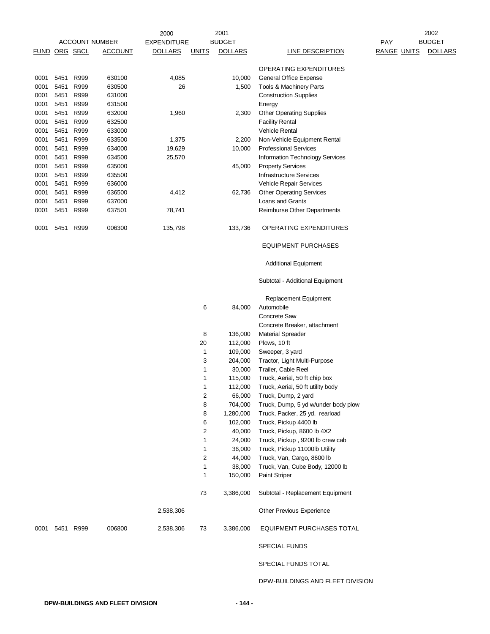|               |           |      | <u>ACCOUNT NUMBER</u> | 2000<br><b>EXPENDITURE</b> |              | 2001<br><b>BUDGET</b> |                                                     | PAY                | 2002<br><b>BUDGET</b> |
|---------------|-----------|------|-----------------------|----------------------------|--------------|-----------------------|-----------------------------------------------------|--------------------|-----------------------|
| FUND ORG SBCL |           |      | <b>ACCOUNT</b>        | <b>DOLLARS</b>             | <b>UNITS</b> | <b>DOLLARS</b>        | <b>LINE DESCRIPTION</b>                             | <b>RANGE UNITS</b> | <b>DOLLARS</b>        |
|               |           |      |                       |                            |              |                       | OPERATING EXPENDITURES                              |                    |                       |
| 0001          | 5451      | R999 | 630100                | 4,085                      |              | 10,000                | General Office Expense                              |                    |                       |
| 0001          | 5451      | R999 | 630500                | 26                         |              | 1,500                 | Tools & Machinery Parts                             |                    |                       |
| 0001          | 5451      | R999 | 631000                |                            |              |                       | <b>Construction Supplies</b>                        |                    |                       |
| 0001          | 5451      | R999 | 631500                |                            |              |                       | Energy                                              |                    |                       |
| 0001          | 5451      | R999 | 632000                | 1,960                      |              | 2,300                 | <b>Other Operating Supplies</b>                     |                    |                       |
| 0001          | 5451      | R999 | 632500                |                            |              |                       | <b>Facility Rental</b>                              |                    |                       |
| 0001          | 5451      | R999 | 633000                |                            |              |                       | Vehicle Rental                                      |                    |                       |
| 0001          | 5451      | R999 | 633500                | 1,375                      |              | 2,200                 | Non-Vehicle Equipment Rental                        |                    |                       |
| 0001          | 5451      | R999 | 634000                | 19,629                     |              | 10,000                | <b>Professional Services</b>                        |                    |                       |
| 0001          | 5451      | R999 | 634500                | 25,570                     |              |                       | Information Technology Services                     |                    |                       |
| 0001          | 5451      | R999 | 635000                |                            |              | 45,000                | <b>Property Services</b>                            |                    |                       |
| 0001          | 5451      | R999 | 635500                |                            |              |                       | <b>Infrastructure Services</b>                      |                    |                       |
| 0001          | 5451      | R999 | 636000                |                            |              |                       | Vehicle Repair Services                             |                    |                       |
| 0001          | 5451      | R999 | 636500                | 4,412                      |              | 62,736                | <b>Other Operating Services</b>                     |                    |                       |
| 0001          | 5451      | R999 | 637000                |                            |              |                       | Loans and Grants                                    |                    |                       |
| 0001          | 5451 R999 |      | 637501                | 78,741                     |              |                       | Reimburse Other Departments                         |                    |                       |
| 0001          | 5451      | R999 | 006300                | 135,798                    |              | 133,736               | <b>OPERATING EXPENDITURES</b>                       |                    |                       |
|               |           |      |                       |                            |              |                       | <b>EQUIPMENT PURCHASES</b>                          |                    |                       |
|               |           |      |                       |                            |              |                       | <b>Additional Equipment</b>                         |                    |                       |
|               |           |      |                       |                            |              |                       | Subtotal - Additional Equipment                     |                    |                       |
|               |           |      |                       |                            |              |                       | Replacement Equipment                               |                    |                       |
|               |           |      |                       |                            | 6            | 84,000                | Automobile                                          |                    |                       |
|               |           |      |                       |                            |              |                       | Concrete Saw                                        |                    |                       |
|               |           |      |                       |                            |              |                       | Concrete Breaker, attachment                        |                    |                       |
|               |           |      |                       |                            | 8            | 136,000               | <b>Material Spreader</b>                            |                    |                       |
|               |           |      |                       |                            | 20           | 112,000               | Plows, 10 ft                                        |                    |                       |
|               |           |      |                       |                            | 1<br>3       | 109,000<br>204,000    | Sweeper, 3 yard                                     |                    |                       |
|               |           |      |                       |                            | 1            | 30,000                | Tractor, Light Multi-Purpose<br>Trailer, Cable Reel |                    |                       |
|               |           |      |                       |                            | 1            | 115,000               | Truck, Aerial, 50 ft chip box                       |                    |                       |
|               |           |      |                       |                            | 1            | 112,000               | Truck, Aerial, 50 ft utility body                   |                    |                       |
|               |           |      |                       |                            | 2            | 66,000                | Truck, Dump, 2 yard                                 |                    |                       |
|               |           |      |                       |                            | 8            | 704,000               | Truck, Dump, 5 yd w/under body plow                 |                    |                       |
|               |           |      |                       |                            | 8            | 1,280,000             | Truck, Packer, 25 yd. rearload                      |                    |                       |
|               |           |      |                       |                            | 6            | 102,000               | Truck, Pickup 4400 lb                               |                    |                       |
|               |           |      |                       |                            | 2            | 40,000                | Truck, Pickup, 8600 lb 4X2                          |                    |                       |
|               |           |      |                       |                            | 1            | 24,000                | Truck, Pickup, 9200 lb crew cab                     |                    |                       |
|               |           |      |                       |                            | 1            | 36,000                | Truck, Pickup 11000lb Utility                       |                    |                       |
|               |           |      |                       |                            | 2            | 44,000                | Truck, Van, Cargo, 8600 lb                          |                    |                       |
|               |           |      |                       |                            | 1            | 38,000                | Truck, Van, Cube Body, 12000 lb                     |                    |                       |
|               |           |      |                       |                            | 1            | 150,000               | <b>Paint Striper</b>                                |                    |                       |
|               |           |      |                       |                            | 73           | 3,386,000             | Subtotal - Replacement Equipment                    |                    |                       |
|               |           |      |                       | 2,538,306                  |              |                       | Other Previous Experience                           |                    |                       |
| 0001          | 5451 R999 |      | 006800                | 2,538,306                  | 73           | 3,386,000             | EQUIPMENT PURCHASES TOTAL                           |                    |                       |
|               |           |      |                       |                            |              |                       | <b>SPECIAL FUNDS</b>                                |                    |                       |
|               |           |      |                       |                            |              |                       | SPECIAL FUNDS TOTAL                                 |                    |                       |
|               |           |      |                       |                            |              |                       | DPW-BUILDINGS AND FLEET DIVISION                    |                    |                       |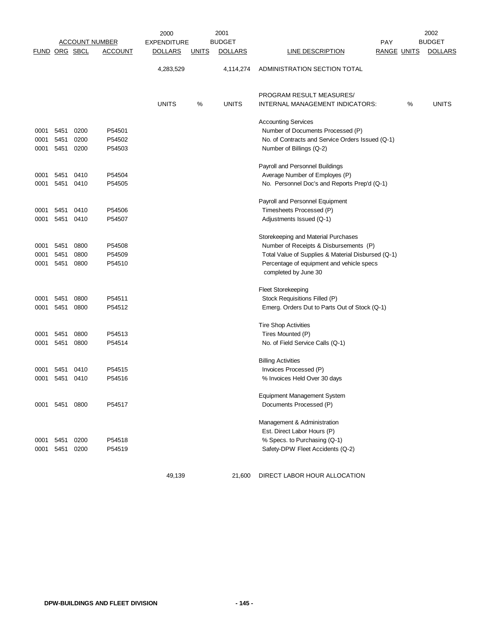|               |           |           | <b>ACCOUNT NUMBER</b> | 2000<br><b>EXPENDITURE</b> |              | 2001<br><b>BUDGET</b> | <b>PAY</b>                                         |                    | 2002<br><b>BUDGET</b> |
|---------------|-----------|-----------|-----------------------|----------------------------|--------------|-----------------------|----------------------------------------------------|--------------------|-----------------------|
| FUND ORG SBCL |           |           | <b>ACCOUNT</b>        | <b>DOLLARS</b>             | <u>UNITS</u> | <b>DOLLARS</b>        | <b>LINE DESCRIPTION</b>                            | <b>RANGE UNITS</b> | <b>DOLLARS</b>        |
|               |           |           |                       | 4,283,529                  |              | 4,114,274             | ADMINISTRATION SECTION TOTAL                       |                    |                       |
|               |           |           |                       |                            |              |                       | PROGRAM RESULT MEASURES/                           |                    |                       |
|               |           |           |                       | <b>UNITS</b>               | %            | <b>UNITS</b>          | INTERNAL MANAGEMENT INDICATORS:                    | %                  | <b>UNITS</b>          |
|               |           |           |                       |                            |              |                       | <b>Accounting Services</b>                         |                    |                       |
| 0001          | 5451      | 0200      | P54501                |                            |              |                       | Number of Documents Processed (P)                  |                    |                       |
| 0001          | 5451      | 0200      | P54502                |                            |              |                       | No. of Contracts and Service Orders Issued (Q-1)   |                    |                       |
| 0001          |           | 5451 0200 | P54503                |                            |              |                       | Number of Billings (Q-2)                           |                    |                       |
|               |           |           |                       |                            |              |                       | Payroll and Personnel Buildings                    |                    |                       |
| 0001          |           | 5451 0410 | P54504                |                            |              |                       | Average Number of Employes (P)                     |                    |                       |
| 0001          |           | 5451 0410 | P54505                |                            |              |                       | No. Personnel Doc's and Reports Prep'd (Q-1)       |                    |                       |
|               |           |           |                       |                            |              |                       | Payroll and Personnel Equipment                    |                    |                       |
| 0001          |           | 5451 0410 | P54506                |                            |              |                       | Timesheets Processed (P)                           |                    |                       |
| 0001          | 5451      | 0410      | P54507                |                            |              |                       | Adjustments Issued (Q-1)                           |                    |                       |
|               |           |           |                       |                            |              |                       | Storekeeping and Material Purchases                |                    |                       |
| 0001          | 5451      | 0800      | P54508                |                            |              |                       | Number of Receipts & Disbursements (P)             |                    |                       |
| 0001          | 5451      | 0800      | P54509                |                            |              |                       | Total Value of Supplies & Material Disbursed (Q-1) |                    |                       |
| 0001          |           | 5451 0800 | P54510                |                            |              |                       | Percentage of equipment and vehicle specs          |                    |                       |
|               |           |           |                       |                            |              |                       | completed by June 30                               |                    |                       |
|               |           |           |                       |                            |              |                       | <b>Fleet Storekeeping</b>                          |                    |                       |
| 0001          | 5451      | 0800      | P54511                |                            |              |                       | Stock Requisitions Filled (P)                      |                    |                       |
| 0001          | 5451      | 0800      | P54512                |                            |              |                       | Emerg. Orders Dut to Parts Out of Stock (Q-1)      |                    |                       |
|               |           |           |                       |                            |              |                       | <b>Tire Shop Activities</b>                        |                    |                       |
| 0001          | 5451      | 0800      | P54513                |                            |              |                       | Tires Mounted (P)                                  |                    |                       |
| 0001          | 5451      | 0800      | P54514                |                            |              |                       | No. of Field Service Calls (Q-1)                   |                    |                       |
|               |           |           |                       |                            |              |                       | <b>Billing Activities</b>                          |                    |                       |
| 0001          | 5451 0410 |           | P54515                |                            |              |                       | Invoices Processed (P)                             |                    |                       |
| 0001          |           | 5451 0410 | P54516                |                            |              |                       | % Invoices Held Over 30 days                       |                    |                       |
|               |           |           |                       |                            |              |                       | <b>Equipment Management System</b>                 |                    |                       |
| 0001          | 5451 0800 |           | P54517                |                            |              |                       | Documents Processed (P)                            |                    |                       |
|               |           |           |                       |                            |              |                       | Management & Administration                        |                    |                       |
|               |           |           |                       |                            |              |                       | Est. Direct Labor Hours (P)                        |                    |                       |
| 0001          | 5451      | 0200      | P54518                |                            |              |                       | % Specs. to Purchasing (Q-1)                       |                    |                       |
| 0001          | 5451      | 0200      | P54519                |                            |              |                       | Safety-DPW Fleet Accidents (Q-2)                   |                    |                       |
|               |           |           |                       |                            |              |                       |                                                    |                    |                       |
|               |           |           |                       | 49,139                     |              | 21,600                | DIRECT LABOR HOUR ALLOCATION                       |                    |                       |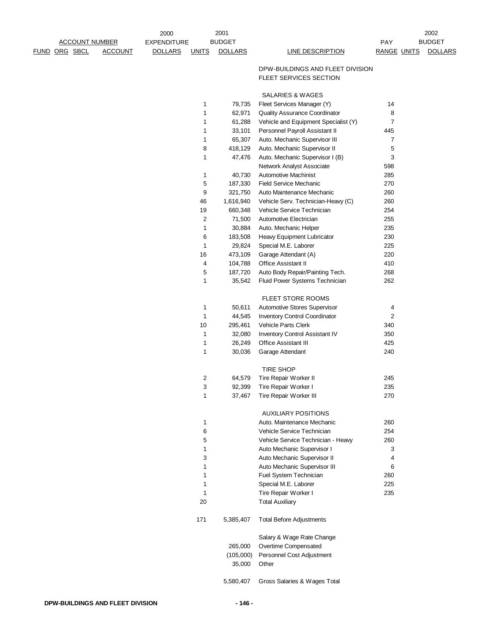|                       |                | 2000               |                | 2001           |                                                   |                    | 2002           |
|-----------------------|----------------|--------------------|----------------|----------------|---------------------------------------------------|--------------------|----------------|
| <b>ACCOUNT NUMBER</b> |                | <b>EXPENDITURE</b> | <b>BUDGET</b>  |                |                                                   | <b>PAY</b>         | <b>BUDGET</b>  |
| FUND ORG SBCL         | <b>ACCOUNT</b> | <b>DOLLARS</b>     | <b>UNITS</b>   | <b>DOLLARS</b> | LINE DESCRIPTION                                  | <b>RANGE UNITS</b> | <b>DOLLARS</b> |
|                       |                |                    |                |                |                                                   |                    |                |
|                       |                |                    |                |                | DPW-BUILDINGS AND FLEET DIVISION                  |                    |                |
|                       |                |                    |                |                | FLEET SERVICES SECTION                            |                    |                |
|                       |                |                    |                |                |                                                   |                    |                |
|                       |                |                    |                |                | SALARIES & WAGES                                  |                    |                |
|                       |                |                    | 1              | 79,735         | Fleet Services Manager (Y)                        | 14                 |                |
|                       |                |                    | 1              | 62,971         | Quality Assurance Coordinator                     | 8                  |                |
|                       |                |                    | 1              | 61,288         | Vehicle and Equipment Specialist (Y)              | $\overline{7}$     |                |
|                       |                |                    | 1              | 33,101         | Personnel Payroll Assistant II                    | 445                |                |
|                       |                |                    | 1              | 65,307         | Auto. Mechanic Supervisor III                     | $\overline{7}$     |                |
|                       |                |                    | 8              | 418,129        | Auto. Mechanic Supervisor II                      | 5                  |                |
|                       |                |                    | $\mathbf{1}$   | 47,476         | Auto. Mechanic Supervisor I (B)                   | 3                  |                |
|                       |                |                    |                |                | Network Analyst Associate                         | 598                |                |
|                       |                |                    | $\mathbf{1}$   | 40,730         | <b>Automotive Machinist</b>                       | 285                |                |
|                       |                |                    | 5              | 187,330        | <b>Field Service Mechanic</b>                     | 270                |                |
|                       |                |                    | 9              | 321,750        | Auto Maintenance Mechanic                         | 260                |                |
|                       |                |                    | 46             | 1,616,940      | Vehicle Serv. Technician-Heavy (C)                | 260                |                |
|                       |                |                    | 19             | 660,348        | Vehicle Service Technician                        | 254                |                |
|                       |                |                    | $\overline{c}$ | 71,500         | Automotive Electrician                            | 255                |                |
|                       |                |                    | 1              | 30,884         | Auto. Mechanic Helper                             | 235                |                |
|                       |                |                    | 6              | 183,508        | Heavy Equipment Lubricator                        | 230                |                |
|                       |                |                    | $\mathbf{1}$   | 29,824         | Special M.E. Laborer                              | 225                |                |
|                       |                |                    | 16             | 473,109        | Garage Attendant (A)                              | 220                |                |
|                       |                |                    | $\overline{4}$ | 104,788        | <b>Office Assistant II</b>                        | 410                |                |
|                       |                |                    | 5              | 187,720        | Auto Body Repair/Painting Tech.                   | 268                |                |
|                       |                |                    | 1              | 35,542         | Fluid Power Systems Technician                    | 262                |                |
|                       |                |                    |                |                |                                                   |                    |                |
|                       |                |                    |                |                | FLEET STORE ROOMS                                 |                    |                |
|                       |                |                    | $\mathbf{1}$   | 50,611         | Automotive Stores Supervisor                      | 4                  |                |
|                       |                |                    | $\mathbf{1}$   | 44,545         | Inventory Control Coordinator                     | $\overline{c}$     |                |
|                       |                |                    | 10             | 295,461        | Vehicle Parts Clerk                               | 340                |                |
|                       |                |                    | $\mathbf{1}$   | 32,080         | Inventory Control Assistant IV                    | 350                |                |
|                       |                |                    | 1              | 26,249         | <b>Office Assistant III</b>                       | 425                |                |
|                       |                |                    | $\mathbf{1}$   | 30,036         | Garage Attendant                                  | 240                |                |
|                       |                |                    |                |                |                                                   |                    |                |
|                       |                |                    |                |                | <b>TIRE SHOP</b>                                  |                    |                |
|                       |                |                    | $\overline{2}$ | 64,579         | Tire Repair Worker II                             | 245                |                |
|                       |                |                    | 3              | 92,399         | Tire Repair Worker I                              | 235                |                |
|                       |                |                    | 1              | 37,467         | Tire Repair Worker III                            | 270                |                |
|                       |                |                    |                |                |                                                   |                    |                |
|                       |                |                    |                |                | <b>AUXILIARY POSITIONS</b>                        |                    |                |
|                       |                |                    | $\mathbf{1}$   |                | Auto. Maintenance Mechanic                        | 260                |                |
|                       |                |                    | 6              |                | Vehicle Service Technician                        | 254                |                |
|                       |                |                    | 5              |                | Vehicle Service Technician - Heavy                | 260                |                |
|                       |                |                    | 1              |                | Auto Mechanic Supervisor I                        | 3                  |                |
|                       |                |                    | 3              |                | Auto Mechanic Supervisor II                       | 4                  |                |
|                       |                |                    | 1              |                | Auto Mechanic Supervisor III                      | 6                  |                |
|                       |                |                    | 1              |                | Fuel System Technician                            | 260                |                |
|                       |                |                    | 1              |                | Special M.E. Laborer                              | 225                |                |
|                       |                |                    | 1              |                | Tire Repair Worker I                              | 235                |                |
|                       |                |                    | 20             |                | <b>Total Auxiliary</b>                            |                    |                |
|                       |                |                    | 171            | 5,385,407      | <b>Total Before Adjustments</b>                   |                    |                |
|                       |                |                    |                |                |                                                   |                    |                |
|                       |                |                    |                | 265,000        | Salary & Wage Rate Change<br>Overtime Compensated |                    |                |
|                       |                |                    |                | (105,000)      | Personnel Cost Adjustment                         |                    |                |
|                       |                |                    |                | 35,000         | Other                                             |                    |                |
|                       |                |                    |                |                |                                                   |                    |                |
|                       |                |                    |                | 5,580,407      | Gross Salaries & Wages Total                      |                    |                |
|                       |                |                    |                |                |                                                   |                    |                |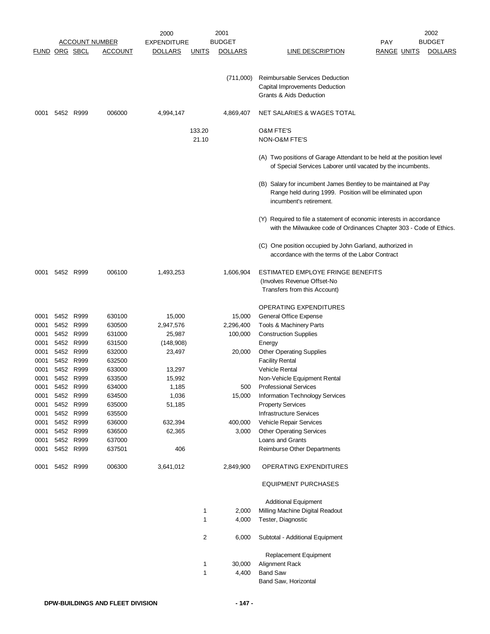|                      |           |                       |                  | 2000               |                 | 2001           |                                                                                                                                                       |                    | 2002           |
|----------------------|-----------|-----------------------|------------------|--------------------|-----------------|----------------|-------------------------------------------------------------------------------------------------------------------------------------------------------|--------------------|----------------|
|                      |           | <b>ACCOUNT NUMBER</b> |                  | <b>EXPENDITURE</b> |                 | <b>BUDGET</b>  |                                                                                                                                                       | PAY                | <b>BUDGET</b>  |
| <b>FUND ORG SBCL</b> |           |                       | <b>ACCOUNT</b>   | <u>DOLLARS</u>     | <u>UNITS</u>    | <b>DOLLARS</b> | <b>LINE DESCRIPTION</b>                                                                                                                               | <b>RANGE UNITS</b> | <b>DOLLARS</b> |
|                      |           |                       |                  |                    |                 | (711,000)      | Reimbursable Services Deduction<br>Capital Improvements Deduction<br>Grants & Aids Deduction                                                          |                    |                |
| 0001                 |           | 5452 R999             | 006000           | 4,994,147          |                 | 4,869,407      | NET SALARIES & WAGES TOTAL                                                                                                                            |                    |                |
|                      |           |                       |                  |                    | 133.20<br>21.10 |                | <b>O&amp;M FTE'S</b><br>NON-O&M FTE'S                                                                                                                 |                    |                |
|                      |           |                       |                  |                    |                 |                | (A) Two positions of Garage Attendant to be held at the position level<br>of Special Services Laborer until vacated by the incumbents.                |                    |                |
|                      |           |                       |                  |                    |                 |                | (B) Salary for incumbent James Bentley to be maintained at Pay<br>Range held during 1999. Position will be eliminated upon<br>incumbent's retirement. |                    |                |
|                      |           |                       |                  |                    |                 |                | (Y) Required to file a statement of economic interests in accordance<br>with the Milwaukee code of Ordinances Chapter 303 - Code of Ethics.           |                    |                |
|                      |           |                       |                  |                    |                 |                | (C) One position occupied by John Garland, authorized in<br>accordance with the terms of the Labor Contract                                           |                    |                |
| 0001                 |           | 5452 R999             | 006100           | 1,493,253          |                 | 1,606,904      | ESTIMATED EMPLOYE FRINGE BENEFITS<br>(Involves Revenue Offset-No<br>Transfers from this Account)                                                      |                    |                |
|                      |           |                       |                  |                    |                 |                | <b>OPERATING EXPENDITURES</b>                                                                                                                         |                    |                |
| 0001                 | 5452 R999 |                       | 630100           | 15,000             |                 | 15,000         | General Office Expense                                                                                                                                |                    |                |
| 0001                 | 5452 R999 |                       | 630500           | 2,947,576          |                 | 2,296,400      | Tools & Machinery Parts                                                                                                                               |                    |                |
| 0001                 |           | 5452 R999             | 631000           | 25,987             |                 | 100,000        | <b>Construction Supplies</b>                                                                                                                          |                    |                |
| 0001                 |           | 5452 R999             | 631500           | (148,908)          |                 |                | Energy                                                                                                                                                |                    |                |
| 0001                 |           | 5452 R999             | 632000           | 23,497             |                 | 20,000         | <b>Other Operating Supplies</b>                                                                                                                       |                    |                |
| 0001                 |           | 5452 R999             | 632500           |                    |                 |                | <b>Facility Rental</b>                                                                                                                                |                    |                |
| 0001                 |           | 5452 R999             | 633000           | 13,297             |                 |                | <b>Vehicle Rental</b>                                                                                                                                 |                    |                |
| 0001                 |           | 5452 R999             | 633500           | 15,992             |                 |                | Non-Vehicle Equipment Rental                                                                                                                          |                    |                |
| 0001                 | 5452      | R999                  | 634000           | 1,185              |                 | 500            | <b>Professional Services</b>                                                                                                                          |                    |                |
| 0001                 | 5452 R999 |                       | 634500           | 1,036              |                 | 15,000         | Information Technology Services                                                                                                                       |                    |                |
| 0001                 | 5452 R999 |                       | 635000           | 51,185             |                 |                | <b>Property Services</b>                                                                                                                              |                    |                |
| 0001                 | 5452 R999 |                       | 635500           |                    |                 |                | <b>Infrastructure Services</b>                                                                                                                        |                    |                |
| 0001                 | 5452 R999 |                       | 636000           | 632,394            |                 | 400,000        | Vehicle Repair Services                                                                                                                               |                    |                |
| 0001                 | 5452 R999 |                       | 636500           | 62,365             |                 | 3,000          | <b>Other Operating Services</b><br>Loans and Grants                                                                                                   |                    |                |
| 0001<br>0001         | 5452 R999 | 5452 R999             | 637000<br>637501 | 406                |                 |                | Reimburse Other Departments                                                                                                                           |                    |                |
| 0001                 | 5452 R999 |                       | 006300           | 3,641,012          |                 | 2,849,900      | OPERATING EXPENDITURES                                                                                                                                |                    |                |
|                      |           |                       |                  |                    |                 |                | <b>EQUIPMENT PURCHASES</b>                                                                                                                            |                    |                |
|                      |           |                       |                  |                    |                 |                | <b>Additional Equipment</b>                                                                                                                           |                    |                |
|                      |           |                       |                  |                    | 1               | 2,000          | Milling Machine Digital Readout                                                                                                                       |                    |                |
|                      |           |                       |                  |                    | 1               | 4,000          | Tester, Diagnostic                                                                                                                                    |                    |                |
|                      |           |                       |                  |                    | 2               | 6,000          | Subtotal - Additional Equipment                                                                                                                       |                    |                |
|                      |           |                       |                  |                    | 1               | 30,000         | Replacement Equipment<br>Alignment Rack                                                                                                               |                    |                |
|                      |           |                       |                  |                    | 1               | 4,400          | <b>Band Saw</b>                                                                                                                                       |                    |                |
|                      |           |                       |                  |                    |                 |                | Band Saw, Horizontal                                                                                                                                  |                    |                |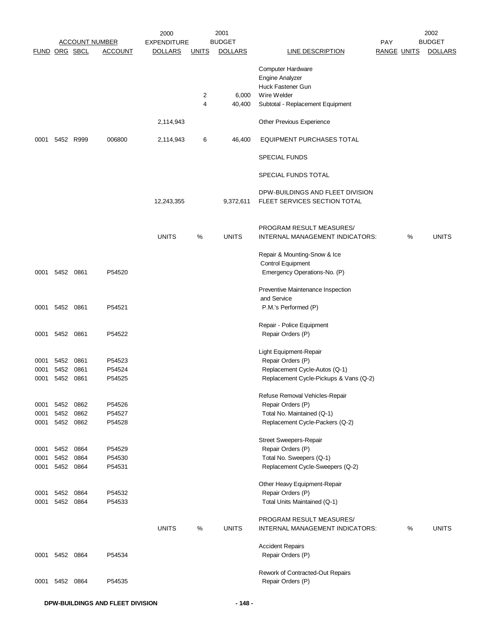|               |                |           |                       | 2000               |                | 2001           |                                                             |                    |   | 2002           |
|---------------|----------------|-----------|-----------------------|--------------------|----------------|----------------|-------------------------------------------------------------|--------------------|---|----------------|
|               |                |           | <b>ACCOUNT NUMBER</b> | <b>EXPENDITURE</b> |                | <b>BUDGET</b>  |                                                             | <b>PAY</b>         |   | <b>BUDGET</b>  |
| FUND ORG SBCL |                |           | <b>ACCOUNT</b>        | <b>DOLLARS</b>     | <b>UNITS</b>   | <b>DOLLARS</b> | <b>LINE DESCRIPTION</b>                                     | <b>RANGE UNITS</b> |   | <b>DOLLARS</b> |
|               |                |           |                       |                    |                |                | Computer Hardware                                           |                    |   |                |
|               |                |           |                       |                    |                |                | <b>Engine Analyzer</b>                                      |                    |   |                |
|               |                |           |                       |                    |                |                | Huck Fastener Gun                                           |                    |   |                |
|               |                |           |                       |                    |                |                | Wire Welder                                                 |                    |   |                |
|               |                |           |                       |                    | 2              | 6,000          |                                                             |                    |   |                |
|               |                |           |                       |                    | $\overline{4}$ | 40,400         | Subtotal - Replacement Equipment                            |                    |   |                |
|               |                |           |                       | 2,114,943          |                |                | Other Previous Experience                                   |                    |   |                |
| 0001          |                | 5452 R999 | 006800                | 2,114,943          | 6              | 46,400         | EQUIPMENT PURCHASES TOTAL                                   |                    |   |                |
|               |                |           |                       |                    |                |                | <b>SPECIAL FUNDS</b>                                        |                    |   |                |
|               |                |           |                       |                    |                |                | SPECIAL FUNDS TOTAL                                         |                    |   |                |
|               |                |           |                       |                    |                |                | DPW-BUILDINGS AND FLEET DIVISION                            |                    |   |                |
|               |                |           |                       | 12,243,355         |                | 9,372,611      | FLEET SERVICES SECTION TOTAL                                |                    |   |                |
|               |                |           |                       |                    |                |                | PROGRAM RESULT MEASURES/                                    |                    |   |                |
|               |                |           |                       | <b>UNITS</b>       | %              | <b>UNITS</b>   | INTERNAL MANAGEMENT INDICATORS:                             |                    | % | <b>UNITS</b>   |
|               |                |           |                       |                    |                |                | Repair & Mounting-Snow & Ice                                |                    |   |                |
|               |                |           |                       |                    |                |                | <b>Control Equipment</b>                                    |                    |   |                |
| 0001          | 5452 0861      |           | P54520                |                    |                |                | Emergency Operations-No. (P)                                |                    |   |                |
|               |                |           |                       |                    |                |                |                                                             |                    |   |                |
|               |                |           |                       |                    |                |                | Preventive Maintenance Inspection<br>and Service            |                    |   |                |
| 0001          | 5452 0861      |           | P54521                |                    |                |                | P.M.'s Performed (P)                                        |                    |   |                |
|               |                |           |                       |                    |                |                |                                                             |                    |   |                |
|               |                |           |                       |                    |                |                | Repair - Police Equipment                                   |                    |   |                |
| 0001          | 5452 0861      |           | P54522                |                    |                |                | Repair Orders (P)                                           |                    |   |                |
|               |                |           |                       |                    |                |                |                                                             |                    |   |                |
|               |                |           |                       |                    |                |                | Light Equipment-Repair                                      |                    |   |                |
| 0001          | 5452 0861      |           | P54523                |                    |                |                | Repair Orders (P)                                           |                    |   |                |
| 0001          | 5452           | 0861      | P54524                |                    |                |                | Replacement Cycle-Autos (Q-1)                               |                    |   |                |
| 0001          | 5452           | 0861      | P54525                |                    |                |                | Replacement Cycle-Pickups & Vans (Q-2)                      |                    |   |                |
|               |                |           |                       |                    |                |                |                                                             |                    |   |                |
|               |                |           |                       |                    |                |                | Refuse Removal Vehicles-Repair                              |                    |   |                |
| 0001          | 5452           | 0862      | P54526                |                    |                |                | Repair Orders (P)                                           |                    |   |                |
| 0001          |                | 5452 0862 | P54527                |                    |                |                | Total No. Maintained (Q-1)                                  |                    |   |                |
| 0001          | 5452 0862      |           | P54528                |                    |                |                | Replacement Cycle-Packers (Q-2)                             |                    |   |                |
|               |                |           |                       |                    |                |                |                                                             |                    |   |                |
|               |                |           |                       |                    |                |                | Street Sweepers-Repair                                      |                    |   |                |
| 0001          | 5452           | 0864      | P54529                |                    |                |                | Repair Orders (P)                                           |                    |   |                |
| 0001          | 5452           | 0864      | P54530                |                    |                |                | Total No. Sweepers (Q-1)                                    |                    |   |                |
| 0001          | 5452 0864      |           | P54531                |                    |                |                | Replacement Cycle-Sweepers (Q-2)                            |                    |   |                |
|               |                |           |                       |                    |                |                | Other Heavy Equipment-Repair                                |                    |   |                |
| 0001          | 5452           | 0864      | P54532                |                    |                |                | Repair Orders (P)                                           |                    |   |                |
| 0001          |                | 5452 0864 | P54533                |                    |                |                | Total Units Maintained (Q-1)                                |                    |   |                |
|               |                |           |                       |                    |                |                |                                                             |                    |   |                |
|               |                |           |                       | <b>UNITS</b>       | %              | <b>UNITS</b>   | PROGRAM RESULT MEASURES/<br>INTERNAL MANAGEMENT INDICATORS: |                    | % | <b>UNITS</b>   |
|               |                |           |                       |                    |                |                |                                                             |                    |   |                |
|               |                |           |                       |                    |                |                | <b>Accident Repairs</b>                                     |                    |   |                |
|               | 0001 5452 0864 |           | P54534                |                    |                |                | Repair Orders (P)                                           |                    |   |                |
|               |                |           |                       |                    |                |                |                                                             |                    |   |                |
|               |                |           |                       |                    |                |                | Rework of Contracted-Out Repairs                            |                    |   |                |
| 0001          | 5452           | 0864      | P54535                |                    |                |                | Repair Orders (P)                                           |                    |   |                |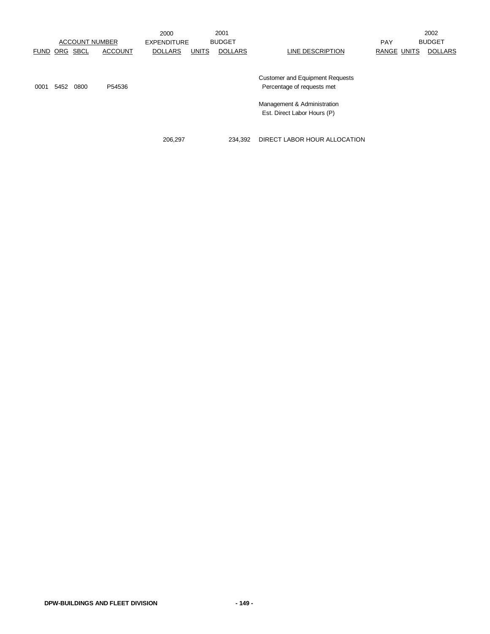|             |            |             | <b>ACCOUNT NUMBER</b> | 2000<br><b>EXPENDITURE</b> |              | 2001<br><b>BUDGET</b> |                                        | <b>PAY</b>         | 2002<br><b>BUDGET</b> |
|-------------|------------|-------------|-----------------------|----------------------------|--------------|-----------------------|----------------------------------------|--------------------|-----------------------|
| <b>FUND</b> | <u>ORG</u> | <b>SBCL</b> | <b>ACCOUNT</b>        | <b>DOLLARS</b>             | <b>UNITS</b> | <b>DOLLARS</b>        | LINE DESCRIPTION                       | <b>RANGE UNITS</b> | <b>DOLLARS</b>        |
|             |            |             |                       |                            |              |                       |                                        |                    |                       |
|             |            |             |                       |                            |              |                       | <b>Customer and Equipment Requests</b> |                    |                       |
| 0001        | 5452       | 0800        | P54536                |                            |              |                       | Percentage of requests met             |                    |                       |
|             |            |             |                       |                            |              |                       | Management & Administration            |                    |                       |
|             |            |             |                       |                            |              |                       | Est. Direct Labor Hours (P)            |                    |                       |
|             |            |             |                       |                            |              |                       |                                        |                    |                       |
|             |            |             |                       |                            |              |                       |                                        |                    |                       |

206,297 234,392 DIRECT LABOR HOUR ALLOCATION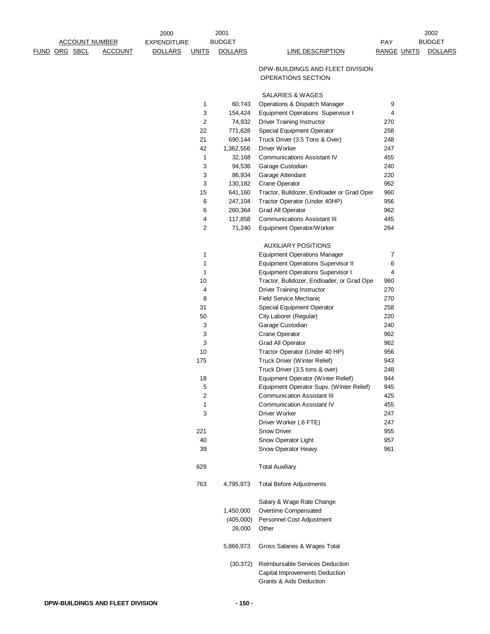|                      |                       |                | 2000           |              | 2001              |                                                                        |                    | 2002           |
|----------------------|-----------------------|----------------|----------------|--------------|-------------------|------------------------------------------------------------------------|--------------------|----------------|
|                      | <b>ACCOUNT NUMBER</b> |                | EXPENDITURE    |              | <b>BUDGET</b>     |                                                                        | PAY                | <b>BUDGET</b>  |
| <b>FUND ORG SBCL</b> |                       | <b>ACCOUNT</b> | <b>DOLLARS</b> | <b>UNITS</b> | <b>DOLLARS</b>    | <b>LINE DESCRIPTION</b>                                                | <b>RANGE UNITS</b> | <b>DOLLARS</b> |
|                      |                       |                |                |              |                   | DPW-BUILDINGS AND FLEET DIVISION                                       |                    |                |
|                      |                       |                |                |              |                   | OPERATIONS SECTION                                                     |                    |                |
|                      |                       |                |                |              |                   |                                                                        |                    |                |
|                      |                       |                |                |              |                   | <b>SALARIES &amp; WAGES</b>                                            |                    |                |
|                      |                       |                |                | 1            | 60,743            | Operations & Dispatch Manager                                          | 9<br>4             |                |
|                      |                       |                |                | 3<br>2       | 154,424<br>74,932 | Equipment Operations Supervisor I<br><b>Driver Training Instructor</b> | 270                |                |
|                      |                       |                |                | 22           | 771,628           | Special Equipment Operator                                             | 258                |                |
|                      |                       |                |                | 21           | 690,144           | Truck Driver (3.5 Tons & Over)                                         | 248                |                |
|                      |                       |                |                | 42           | 1,362,556         | Driver Worker                                                          | 247                |                |
|                      |                       |                |                | 1            | 32,168            | <b>Communications Assistant IV</b>                                     | 455                |                |
|                      |                       |                |                | 3            | 94,536            | Garage Custodian                                                       | 240                |                |
|                      |                       |                |                | 3            | 86,934            | Garage Attendant                                                       | 220                |                |
|                      |                       |                |                | 3            | 130,182           | Crane Operator                                                         | 962                |                |
|                      |                       |                |                | 15           | 641,160           | Tractor, Bulldozer, Endloader or Grad Oper                             | 960                |                |
|                      |                       |                |                | 6            | 247,104           | Tractor Operator (Under 40HP)                                          | 956                |                |
|                      |                       |                |                | 6            | 260,364           | Grad All Operator                                                      | 962                |                |
|                      |                       |                |                | 4            | 117,858           | <b>Communications Assistant III</b>                                    | 445                |                |
|                      |                       |                |                | 2            | 71,240            | Equipment Operator/Worker                                              | 264                |                |
|                      |                       |                |                |              |                   |                                                                        |                    |                |
|                      |                       |                |                |              |                   | <b>AUXILIARY POSITIONS</b>                                             |                    |                |
|                      |                       |                |                | 1            |                   | <b>Equipment Operations Manager</b>                                    | 7                  |                |
|                      |                       |                |                | $\mathbf 1$  |                   | <b>Equipment Operations Supervisor II</b>                              | 6                  |                |
|                      |                       |                |                | 1            |                   | <b>Equipment Operations Supervisor I</b>                               | 4                  |                |
|                      |                       |                |                | 10           |                   | Tractor, Bulldozer, Endloader, or Grad Ope                             | 960                |                |
|                      |                       |                |                | 4            |                   | <b>Driver Training Instructor</b>                                      | 270                |                |
|                      |                       |                |                | 8            |                   | <b>Field Service Mechanic</b>                                          | 270                |                |
|                      |                       |                |                | 31           |                   | Special Equipment Operator                                             | 258                |                |
|                      |                       |                |                | 50           |                   | City Laborer (Regular)                                                 | 220                |                |
|                      |                       |                |                | 3            |                   | Garage Custodian                                                       | 240                |                |
|                      |                       |                |                | 3            |                   | Crane Operator                                                         | 962                |                |
|                      |                       |                |                | 3            |                   | Grad All Operator                                                      | 962                |                |
|                      |                       |                |                | 10           |                   | Tractor Operator (Under 40 HP)                                         | 956                |                |
|                      |                       |                |                | 175          |                   | Truck Driver (Winter Relief)                                           | 943                |                |
|                      |                       |                |                |              |                   | Truck Driver (3.5 tons & over)                                         | 248                |                |
|                      |                       |                |                | 18           |                   | Equipment Operator (Winter Relief)                                     | 944                |                |
|                      |                       |                |                | 5            |                   | Equipment Operator Supv. (Winter Relief)                               | 945                |                |
|                      |                       |                |                | 2            |                   | <b>Communication Assistant III</b>                                     | 425                |                |
|                      |                       |                |                | 1            |                   | <b>Communication Assistant IV</b>                                      | 455                |                |
|                      |                       |                |                | 3            |                   | Driver Worker                                                          | 247                |                |
|                      |                       |                |                |              |                   | Driver Worker (.6 FTE)                                                 | 247                |                |
|                      |                       |                |                | 221          |                   | Snow Driver                                                            | 955                |                |
|                      |                       |                |                | 40           |                   | Snow Operator Light                                                    | 957                |                |
|                      |                       |                |                | 39           |                   | Snow Operator Heavy                                                    | 961                |                |
|                      |                       |                |                | 629          |                   | <b>Total Auxiliary</b>                                                 |                    |                |
|                      |                       |                |                | 763          | 4,795,973         | <b>Total Before Adjustments</b>                                        |                    |                |
|                      |                       |                |                |              |                   | Salary & Wage Rate Change                                              |                    |                |
|                      |                       |                |                |              | 1,450,000         | Overtime Compensated                                                   |                    |                |
|                      |                       |                |                |              | (405,000)         | Personnel Cost Adjustment                                              |                    |                |
|                      |                       |                |                |              | 26,000            | Other                                                                  |                    |                |
|                      |                       |                |                |              | 5,866,973         | Gross Salaries & Wages Total                                           |                    |                |
|                      |                       |                |                |              | (30, 372)         | Reimbursable Services Deduction                                        |                    |                |
|                      |                       |                |                |              |                   | Capital Improvements Deduction                                         |                    |                |
|                      |                       |                |                |              |                   | <b>Grants &amp; Aids Deduction</b>                                     |                    |                |
|                      |                       |                |                |              |                   |                                                                        |                    |                |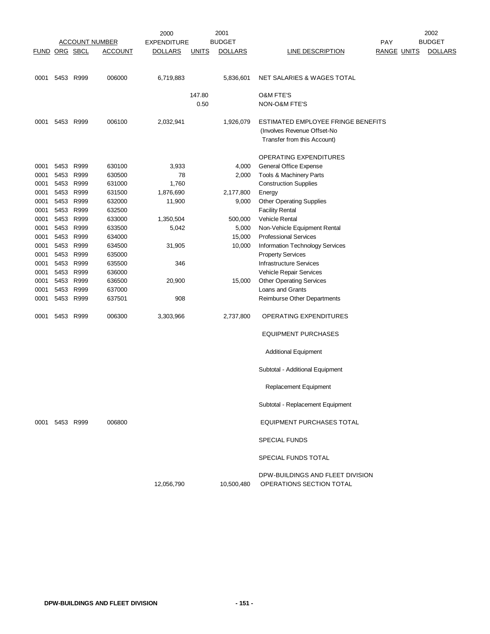|                      |                |      | <b>ACCOUNT NUMBER</b> | 2000<br><b>EXPENDITURE</b> |              | 2001<br><b>BUDGET</b> |                                                              | <b>PAY</b>         | 2002<br><b>BUDGET</b> |
|----------------------|----------------|------|-----------------------|----------------------------|--------------|-----------------------|--------------------------------------------------------------|--------------------|-----------------------|
|                      |                |      |                       |                            |              |                       |                                                              |                    |                       |
| <b>FUND ORG SBCL</b> |                |      | <b>ACCOUNT</b>        | <b>DOLLARS</b>             | <b>UNITS</b> | <b>DOLLARS</b>        | <b>LINE DESCRIPTION</b>                                      | <b>RANGE UNITS</b> | <b>DOLLARS</b>        |
| 0001                 | 5453 R999      |      | 006000                | 6,719,883                  |              | 5,836,601             | NET SALARIES & WAGES TOTAL                                   |                    |                       |
|                      |                |      |                       |                            | 147.80       |                       | <b>O&amp;M FTE'S</b>                                         |                    |                       |
|                      |                |      |                       |                            | 0.50         |                       | NON-O&M FTE'S                                                |                    |                       |
| 0001                 | 5453 R999      |      | 006100                | 2,032,941                  |              | 1,926,079             | ESTIMATED EMPLOYEE FRINGE BENEFITS                           |                    |                       |
|                      |                |      |                       |                            |              |                       | (Involves Revenue Offset-No<br>Transfer from this Account)   |                    |                       |
|                      |                |      |                       |                            |              |                       | OPERATING EXPENDITURES                                       |                    |                       |
| 0001                 | 5453 R999      |      | 630100                | 3,933                      |              | 4,000                 | General Office Expense                                       |                    |                       |
| 0001                 | 5453           | R999 | 630500                | 78                         |              | 2,000                 | Tools & Machinery Parts                                      |                    |                       |
| 0001                 | 5453           | R999 | 631000                | 1,760                      |              |                       | <b>Construction Supplies</b>                                 |                    |                       |
| 0001                 | 5453 R999      |      | 631500                | 1,876,690                  |              | 2,177,800             | Energy                                                       |                    |                       |
| 0001                 | 5453           | R999 | 632000                | 11,900                     |              | 9,000                 | <b>Other Operating Supplies</b>                              |                    |                       |
| 0001                 | 5453           | R999 | 632500                |                            |              |                       | <b>Facility Rental</b>                                       |                    |                       |
| 0001                 | 5453 R999      |      | 633000                | 1,350,504                  |              | 500,000               | <b>Vehicle Rental</b>                                        |                    |                       |
| 0001                 | 5453           | R999 | 633500                | 5,042                      |              | 5,000                 | Non-Vehicle Equipment Rental                                 |                    |                       |
| 0001                 | 5453           | R999 | 634000                |                            |              | 15,000                | <b>Professional Services</b>                                 |                    |                       |
| 0001                 | 5453 R999      |      | 634500                | 31,905                     |              | 10,000                | Information Technology Services                              |                    |                       |
| 0001                 | 5453           | R999 | 635000                |                            |              |                       | <b>Property Services</b>                                     |                    |                       |
| 0001                 | 5453           | R999 | 635500                | 346                        |              |                       | Infrastructure Services                                      |                    |                       |
| 0001                 | 5453           | R999 | 636000                |                            |              |                       | Vehicle Repair Services                                      |                    |                       |
| 0001                 | 5453           | R999 | 636500                | 20,900                     |              | 15,000                | <b>Other Operating Services</b>                              |                    |                       |
| 0001                 | 5453           | R999 | 637000                |                            |              |                       | Loans and Grants                                             |                    |                       |
| 0001                 | 5453           | R999 | 637501                | 908                        |              |                       | Reimburse Other Departments                                  |                    |                       |
| 0001                 | 5453           | R999 | 006300                | 3,303,966                  |              | 2,737,800             | <b>OPERATING EXPENDITURES</b>                                |                    |                       |
|                      |                |      |                       |                            |              |                       | <b>EQUIPMENT PURCHASES</b>                                   |                    |                       |
|                      |                |      |                       |                            |              |                       | <b>Additional Equipment</b>                                  |                    |                       |
|                      |                |      |                       |                            |              |                       | Subtotal - Additional Equipment                              |                    |                       |
|                      |                |      |                       |                            |              |                       | Replacement Equipment                                        |                    |                       |
|                      |                |      |                       |                            |              |                       | Subtotal - Replacement Equipment                             |                    |                       |
|                      | 0001 5453 R999 |      | 006800                |                            |              |                       | EQUIPMENT PURCHASES TOTAL                                    |                    |                       |
|                      |                |      |                       |                            |              |                       | <b>SPECIAL FUNDS</b>                                         |                    |                       |
|                      |                |      |                       |                            |              |                       | SPECIAL FUNDS TOTAL                                          |                    |                       |
|                      |                |      |                       | 12,056,790                 |              | 10,500,480            | DPW-BUILDINGS AND FLEET DIVISION<br>OPERATIONS SECTION TOTAL |                    |                       |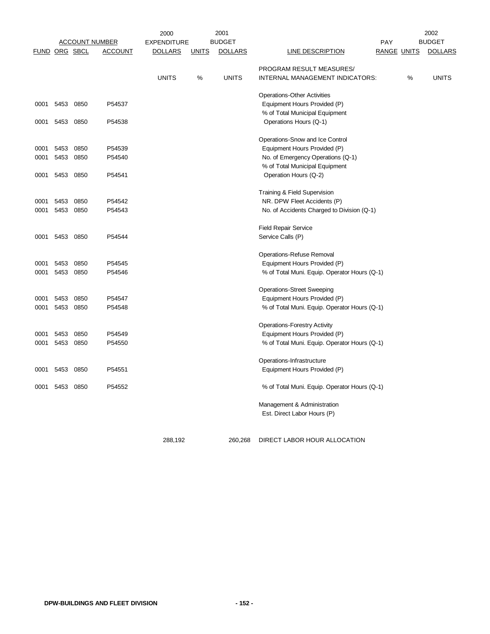|      |                      |                       |                | 2000               |              | 2001           | 2002                                         |                    |      |                |
|------|----------------------|-----------------------|----------------|--------------------|--------------|----------------|----------------------------------------------|--------------------|------|----------------|
|      |                      | <b>ACCOUNT NUMBER</b> |                | <b>EXPENDITURE</b> |              | <b>BUDGET</b>  |                                              | <b>PAY</b>         |      | <b>BUDGET</b>  |
|      | <b>FUND ORG SBCL</b> |                       | <b>ACCOUNT</b> | <b>DOLLARS</b>     | <b>UNITS</b> | <b>DOLLARS</b> | <b>LINE DESCRIPTION</b>                      | <b>RANGE UNITS</b> |      | <b>DOLLARS</b> |
|      |                      |                       |                |                    |              |                | PROGRAM RESULT MEASURES/                     |                    |      |                |
|      |                      |                       |                | <b>UNITS</b>       | %            | <b>UNITS</b>   | INTERNAL MANAGEMENT INDICATORS:              |                    | $\%$ | <b>UNITS</b>   |
|      |                      |                       |                |                    |              |                | <b>Operations-Other Activities</b>           |                    |      |                |
| 0001 | 5453                 | 0850                  | P54537         |                    |              |                | Equipment Hours Provided (P)                 |                    |      |                |
|      |                      |                       |                |                    |              |                | % of Total Municipal Equipment               |                    |      |                |
| 0001 | 5453 0850            |                       | P54538         |                    |              |                | Operations Hours (Q-1)                       |                    |      |                |
|      |                      |                       |                |                    |              |                | Operations-Snow and Ice Control              |                    |      |                |
| 0001 | 5453                 | 0850                  | P54539         |                    |              |                | Equipment Hours Provided (P)                 |                    |      |                |
| 0001 | 5453                 | 0850                  | P54540         |                    |              |                | No. of Emergency Operations (Q-1)            |                    |      |                |
|      |                      |                       |                |                    |              |                | % of Total Municipal Equipment               |                    |      |                |
| 0001 | 5453 0850            |                       | P54541         |                    |              |                | Operation Hours (Q-2)                        |                    |      |                |
|      |                      |                       |                |                    |              |                | Training & Field Supervision                 |                    |      |                |
| 0001 | 5453                 | 0850                  | P54542         |                    |              |                | NR. DPW Fleet Accidents (P)                  |                    |      |                |
| 0001 | 5453                 | 0850                  | P54543         |                    |              |                | No. of Accidents Charged to Division (Q-1)   |                    |      |                |
|      |                      |                       |                |                    |              |                | <b>Field Repair Service</b>                  |                    |      |                |
| 0001 | 5453                 | 0850                  | P54544         |                    |              |                | Service Calls (P)                            |                    |      |                |
|      |                      |                       |                |                    |              |                | Operations-Refuse Removal                    |                    |      |                |
| 0001 | 5453                 | 0850                  | P54545         |                    |              |                | Equipment Hours Provided (P)                 |                    |      |                |
| 0001 | 5453                 | 0850                  | P54546         |                    |              |                | % of Total Muni. Equip. Operator Hours (Q-1) |                    |      |                |
|      |                      |                       |                |                    |              |                | <b>Operations-Street Sweeping</b>            |                    |      |                |
| 0001 | 5453                 | 0850                  | P54547         |                    |              |                | Equipment Hours Provided (P)                 |                    |      |                |
| 0001 | 5453                 | 0850                  | P54548         |                    |              |                | % of Total Muni. Equip. Operator Hours (Q-1) |                    |      |                |
|      |                      |                       |                |                    |              |                | <b>Operations-Forestry Activity</b>          |                    |      |                |
| 0001 | 5453                 | 0850                  | P54549         |                    |              |                | Equipment Hours Provided (P)                 |                    |      |                |
| 0001 | 5453                 | 0850                  | P54550         |                    |              |                | % of Total Muni. Equip. Operator Hours (Q-1) |                    |      |                |
|      |                      |                       |                |                    |              |                | Operations-Infrastructure                    |                    |      |                |
| 0001 | 5453                 | 0850                  | P54551         |                    |              |                | Equipment Hours Provided (P)                 |                    |      |                |
| 0001 | 5453                 | 0850                  | P54552         |                    |              |                | % of Total Muni. Equip. Operator Hours (Q-1) |                    |      |                |
|      |                      |                       |                |                    |              |                | Management & Administration                  |                    |      |                |
|      |                      |                       |                |                    |              |                | Est. Direct Labor Hours (P)                  |                    |      |                |
|      |                      |                       |                |                    |              |                |                                              |                    |      |                |

288,192 260,268 DIRECT LABOR HOUR ALLOCATION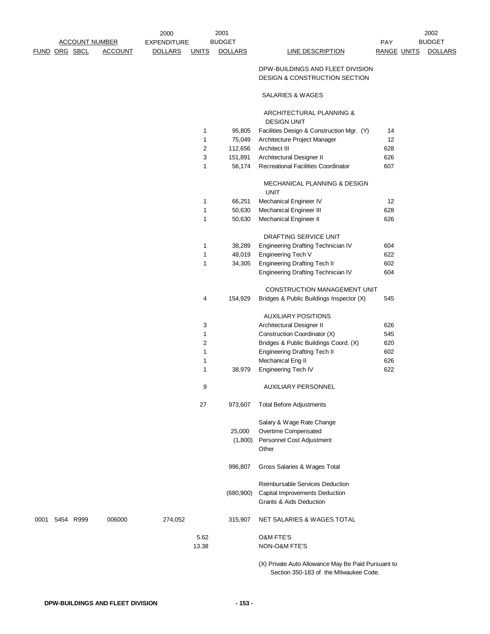|      |               | <b>ACCOUNT NUMBER</b> |                | 2000<br><b>EXPENDITURE</b> |              | 2001<br><b>BUDGET</b> |                                                                                                     | PAY                | 2002<br><b>BUDGET</b> |
|------|---------------|-----------------------|----------------|----------------------------|--------------|-----------------------|-----------------------------------------------------------------------------------------------------|--------------------|-----------------------|
|      | FUND ORG SBCL |                       | <b>ACCOUNT</b> | <b>DOLLARS</b>             | <b>UNITS</b> | <b>DOLLARS</b>        | <b>LINE DESCRIPTION</b>                                                                             | <b>RANGE UNITS</b> | <b>DOLLARS</b>        |
|      |               |                       |                |                            |              |                       | DPW-BUILDINGS AND FLEET DIVISION<br>DESIGN & CONSTRUCTION SECTION                                   |                    |                       |
|      |               |                       |                |                            |              |                       | SALARIES & WAGES                                                                                    |                    |                       |
|      |               |                       |                |                            |              |                       | ARCHITECTURAL PLANNING &<br><b>DESIGN UNIT</b>                                                      |                    |                       |
|      |               |                       |                |                            | 1            | 95,805                | Facilities Design & Construction Mgr. (Y)                                                           | 14                 |                       |
|      |               |                       |                |                            | $\mathbf{1}$ | 75,049                | Architecture Project Manager                                                                        | 12                 |                       |
|      |               |                       |                |                            | 2            | 112,656               | Architect III                                                                                       | 628                |                       |
|      |               |                       |                |                            | 3            | 151,891               | Architectural Designer II                                                                           | 626                |                       |
|      |               |                       |                |                            | $\mathbf{1}$ | 56,174                | Recreational Facilities Coordinator                                                                 | 607                |                       |
|      |               |                       |                |                            |              |                       | MECHANICAL PLANNING & DESIGN<br>UNIT                                                                |                    |                       |
|      |               |                       |                |                            | $\mathbf{1}$ | 66,251                | Mechanical Engineer IV                                                                              | 12                 |                       |
|      |               |                       |                |                            | $\mathbf{1}$ | 50,630                | Mechanical Engineer III                                                                             | 628                |                       |
|      |               |                       |                |                            | $\mathbf{1}$ | 50,630                | Mechanical Engineer II                                                                              | 626                |                       |
|      |               |                       |                |                            |              |                       | DRAFTING SERVICE UNIT                                                                               |                    |                       |
|      |               |                       |                |                            | 1            | 38,289                | Engineering Drafting Technician IV                                                                  | 604                |                       |
|      |               |                       |                |                            | $\mathbf{1}$ | 48,019                | Engineering Tech V                                                                                  | 622                |                       |
|      |               |                       |                |                            | $\mathbf{1}$ | 34,305                | <b>Engineering Drafting Tech II</b>                                                                 | 602                |                       |
|      |               |                       |                |                            |              |                       | Engineering Drafting Technician IV                                                                  | 604                |                       |
|      |               |                       |                |                            |              |                       | CONSTRUCTION MANAGEMENT UNIT                                                                        |                    |                       |
|      |               |                       |                |                            | 4            | 154,929               | Bridges & Public Buildings Inspector (X)                                                            | 545                |                       |
|      |               |                       |                |                            |              |                       | <b>AUXILIARY POSITIONS</b>                                                                          |                    |                       |
|      |               |                       |                |                            | 3            |                       | Architectural Designer II                                                                           | 626                |                       |
|      |               |                       |                |                            | 1            |                       | Construction Coordinator (X)                                                                        | 545                |                       |
|      |               |                       |                |                            | 2            |                       | Bridges & Public Buildings Coord. (X)                                                               | 620                |                       |
|      |               |                       |                |                            | 1            |                       | <b>Engineering Drafting Tech II</b>                                                                 | 602                |                       |
|      |               |                       |                |                            | 1            |                       | Mechanical Eng II                                                                                   | 626                |                       |
|      |               |                       |                |                            | 1            | 38,979                | Engineering Tech IV                                                                                 | 622                |                       |
|      |               |                       |                |                            | 9            |                       | AUXILIARY PERSONNEL                                                                                 |                    |                       |
|      |               |                       |                |                            | 27           | 973,607               | <b>Total Before Adjustments</b>                                                                     |                    |                       |
|      |               |                       |                |                            |              |                       | Salary & Wage Rate Change                                                                           |                    |                       |
|      |               |                       |                |                            |              | 25,000                | Overtime Compensated                                                                                |                    |                       |
|      |               |                       |                |                            |              | (1,800)               | Personnel Cost Adjustment<br>Other                                                                  |                    |                       |
|      |               |                       |                |                            |              | 996,807               | Gross Salaries & Wages Total                                                                        |                    |                       |
|      |               |                       |                |                            |              | (680, 900)            | <b>Reimbursable Services Deduction</b><br>Capital Improvements Deduction<br>Grants & Aids Deduction |                    |                       |
| 0001 |               | 5454 R999             | 006000         | 274,052                    |              | 315,907               | NET SALARIES & WAGES TOTAL                                                                          |                    |                       |
|      |               |                       |                |                            | 5.62         |                       | <b>O&amp;M FTE'S</b>                                                                                |                    |                       |
|      |               |                       |                |                            | 13.38        |                       | NON-O&M FTE'S                                                                                       |                    |                       |
|      |               |                       |                |                            |              |                       | (X) Private Auto Allowance May Be Paid Pursuant to                                                  |                    |                       |

Section 350-183 of the Milwaukee Code.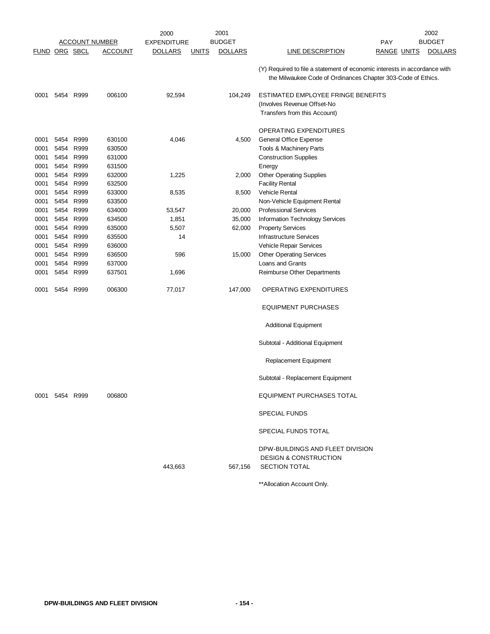|                      |                |           |                       | 2000               |              | 2001           |                                                                                                                                           |                    | 2002           |
|----------------------|----------------|-----------|-----------------------|--------------------|--------------|----------------|-------------------------------------------------------------------------------------------------------------------------------------------|--------------------|----------------|
|                      |                |           | <b>ACCOUNT NUMBER</b> | <b>EXPENDITURE</b> |              | <b>BUDGET</b>  |                                                                                                                                           | <b>PAY</b>         | <b>BUDGET</b>  |
| <b>FUND ORG SBCL</b> |                |           | <b>ACCOUNT</b>        | <u>DOLLARS</u>     | <b>UNITS</b> | <b>DOLLARS</b> | <b>LINE DESCRIPTION</b>                                                                                                                   | <u>RANGE UNITS</u> | <b>DOLLARS</b> |
|                      |                |           |                       |                    |              |                | (Y) Required to file a statement of economic interests in accordance with<br>the Milwaukee Code of Ordinances Chapter 303-Code of Ethics. |                    |                |
| 0001                 | 5454 R999      |           | 006100                | 92,594             |              | 104,249        | ESTIMATED EMPLOYEE FRINGE BENEFITS                                                                                                        |                    |                |
|                      |                |           |                       |                    |              |                | (Involves Revenue Offset-No                                                                                                               |                    |                |
|                      |                |           |                       |                    |              |                | Transfers from this Account)                                                                                                              |                    |                |
|                      |                |           |                       |                    |              |                | OPERATING EXPENDITURES                                                                                                                    |                    |                |
| 0001                 | 5454           | R999      | 630100                | 4,046              |              | 4,500          | General Office Expense                                                                                                                    |                    |                |
| 0001                 | 5454 R999      |           | 630500                |                    |              |                | Tools & Machinery Parts                                                                                                                   |                    |                |
| 0001                 | 5454           | R999      | 631000                |                    |              |                | <b>Construction Supplies</b>                                                                                                              |                    |                |
| 0001                 | 5454 R999      |           | 631500                |                    |              |                | Energy                                                                                                                                    |                    |                |
| 0001                 |                | 5454 R999 | 632000                | 1,225              |              | 2,000          | <b>Other Operating Supplies</b>                                                                                                           |                    |                |
| 0001                 | 5454           | R999      | 632500                |                    |              |                | <b>Facility Rental</b>                                                                                                                    |                    |                |
| 0001                 | 5454 R999      |           | 633000                | 8,535              |              | 8,500          | Vehicle Rental                                                                                                                            |                    |                |
| 0001                 | 5454 R999      |           | 633500                |                    |              |                | Non-Vehicle Equipment Rental                                                                                                              |                    |                |
| 0001                 | 5454           | R999      | 634000                | 53,547             |              | 20,000         | <b>Professional Services</b>                                                                                                              |                    |                |
| 0001                 | 5454 R999      |           | 634500                | 1,851              |              | 35,000         | Information Technology Services                                                                                                           |                    |                |
| 0001                 | 5454 R999      |           | 635000                | 5,507              |              | 62,000         | <b>Property Services</b>                                                                                                                  |                    |                |
| 0001                 | 5454 R999      |           | 635500                | 14                 |              |                | <b>Infrastructure Services</b>                                                                                                            |                    |                |
| 0001                 |                | 5454 R999 | 636000                |                    |              |                | Vehicle Repair Services                                                                                                                   |                    |                |
| 0001                 | 5454           | R999      | 636500                | 596                |              | 15,000         | <b>Other Operating Services</b>                                                                                                           |                    |                |
| 0001                 | 5454           | R999      | 637000                |                    |              |                | Loans and Grants                                                                                                                          |                    |                |
| 0001                 |                | 5454 R999 | 637501                | 1,696              |              |                | Reimburse Other Departments                                                                                                               |                    |                |
| 0001                 | 5454 R999      |           | 006300                | 77,017             |              | 147,000        | OPERATING EXPENDITURES                                                                                                                    |                    |                |
|                      |                |           |                       |                    |              |                | <b>EQUIPMENT PURCHASES</b>                                                                                                                |                    |                |
|                      |                |           |                       |                    |              |                | <b>Additional Equipment</b>                                                                                                               |                    |                |
|                      |                |           |                       |                    |              |                | Subtotal - Additional Equipment                                                                                                           |                    |                |
|                      |                |           |                       |                    |              |                | Replacement Equipment                                                                                                                     |                    |                |
|                      |                |           |                       |                    |              |                | Subtotal - Replacement Equipment                                                                                                          |                    |                |
|                      | 0001 5454 R999 |           | 006800                |                    |              |                | <b>EQUIPMENT PURCHASES TOTAL</b>                                                                                                          |                    |                |
|                      |                |           |                       |                    |              |                | <b>SPECIAL FUNDS</b>                                                                                                                      |                    |                |
|                      |                |           |                       |                    |              |                | SPECIAL FUNDS TOTAL                                                                                                                       |                    |                |
|                      |                |           |                       | 443,663            |              | 567,156        | DPW-BUILDINGS AND FLEET DIVISION<br><b>DESIGN &amp; CONSTRUCTION</b><br><b>SECTION TOTAL</b>                                              |                    |                |
|                      |                |           |                       |                    |              |                |                                                                                                                                           |                    |                |

\*\*Allocation Account Only.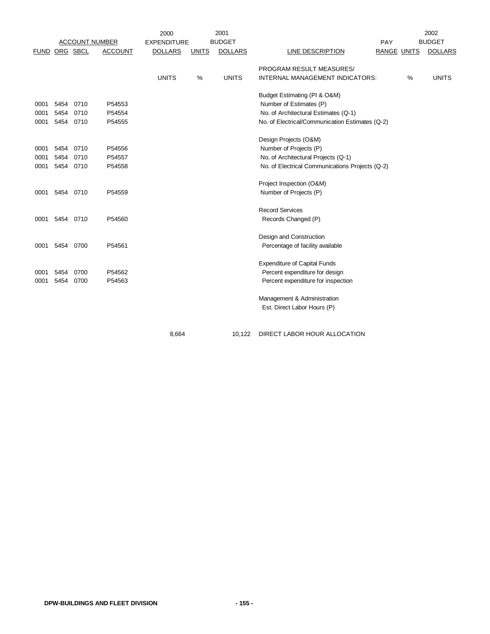|               |           |      |                       | 2000               |              | 2001           |                                                 |                    |   | 2002           |
|---------------|-----------|------|-----------------------|--------------------|--------------|----------------|-------------------------------------------------|--------------------|---|----------------|
|               |           |      | <b>ACCOUNT NUMBER</b> | <b>EXPENDITURE</b> |              | <b>BUDGET</b>  |                                                 | PAY                |   | <b>BUDGET</b>  |
| FUND ORG SBCL |           |      | <b>ACCOUNT</b>        | <b>DOLLARS</b>     | <b>UNITS</b> | <b>DOLLARS</b> | <b>LINE DESCRIPTION</b>                         | <b>RANGE UNITS</b> |   | <b>DOLLARS</b> |
|               |           |      |                       |                    |              |                | PROGRAM RESULT MEASURES/                        |                    |   |                |
|               |           |      |                       | <b>UNITS</b>       | %            | <b>UNITS</b>   | INTERNAL MANAGEMENT INDICATORS:                 |                    | % | <b>UNITS</b>   |
|               |           |      |                       |                    |              |                | Budget Estimating (PI & O&M)                    |                    |   |                |
| 0001          | 5454      | 0710 | P54553                |                    |              |                | Number of Estimates (P)                         |                    |   |                |
| 0001          | 5454      | 0710 | P54554                |                    |              |                | No. of Architectural Estimates (Q-1)            |                    |   |                |
| 0001          | 5454 0710 |      | P54555                |                    |              |                | No. of Electrical/Communication Estimates (Q-2) |                    |   |                |
|               |           |      |                       |                    |              |                | Design Projects (O&M)                           |                    |   |                |
| 0001          | 5454      | 0710 | P54556                |                    |              |                | Number of Projects (P)                          |                    |   |                |
| 0001          | 5454      | 0710 | P54557                |                    |              |                | No. of Architectural Projects (Q-1)             |                    |   |                |
| 0001          | 5454 0710 |      | P54558                |                    |              |                | No. of Electrical Communications Projects (Q-2) |                    |   |                |
|               |           |      |                       |                    |              |                | Project Inspection (O&M)                        |                    |   |                |
| 0001          | 5454 0710 |      | P54559                |                    |              |                | Number of Projects (P)                          |                    |   |                |
|               |           |      |                       |                    |              |                | <b>Record Services</b>                          |                    |   |                |
| 0001          | 5454      | 0710 | P54560                |                    |              |                | Records Changed (P)                             |                    |   |                |
|               |           |      |                       |                    |              |                | Design and Construction                         |                    |   |                |
| 0001          | 5454      | 0700 | P54561                |                    |              |                | Percentage of facility available                |                    |   |                |
|               |           |      |                       |                    |              |                | <b>Expenditure of Capital Funds</b>             |                    |   |                |
| 0001          | 5454      | 0700 | P54562                |                    |              |                | Percent expenditure for design                  |                    |   |                |
| 0001          | 5454      | 0700 | P54563                |                    |              |                | Percent expenditure for inspection              |                    |   |                |
|               |           |      |                       |                    |              |                | Management & Administration                     |                    |   |                |
|               |           |      |                       |                    |              |                | Est. Direct Labor Hours (P)                     |                    |   |                |
|               |           |      |                       |                    |              |                |                                                 |                    |   |                |

8,664 10,122 DIRECT LABOR HOUR ALLOCATION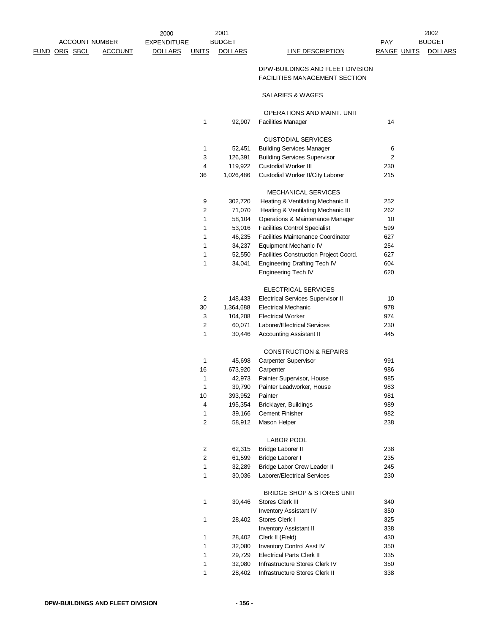|            | 2000               |                  | 2001           |                                                                          |             | 2002           |
|------------|--------------------|------------------|----------------|--------------------------------------------------------------------------|-------------|----------------|
|            | <b>EXPENDITURE</b> |                  | <b>BUDGET</b>  |                                                                          | PAY         | <b>BUDGET</b>  |
| <u>UNT</u> | <u>DOLLARS</u>     | <b>UNITS</b>     | <b>DOLLARS</b> | <b>LINE DESCRIPTION</b>                                                  | RANGE UNITS | <b>DOLLARS</b> |
|            |                    |                  |                | DPW-BUILDINGS AND FLEET DIVISION<br><b>FACILITIES MANAGEMENT SECTION</b> |             |                |
|            |                    |                  |                | SALARIES & WAGES                                                         |             |                |
|            |                    |                  |                | OPERATIONS AND MAINT. UNIT                                               |             |                |
|            |                    | 1                | 92,907         | <b>Facilities Manager</b>                                                | 14          |                |
|            |                    |                  |                | <b>CUSTODIAL SERVICES</b>                                                |             |                |
|            |                    | 1                | 52,451         | <b>Building Services Manager</b>                                         | 6           |                |
|            |                    | 3                | 126,391        | <b>Building Services Supervisor</b>                                      | 2           |                |
|            |                    | 4                | 119,922        | Custodial Worker III                                                     | 230         |                |
|            |                    | 36               | 1,026,486      | Custodial Worker II/City Laborer                                         | 215         |                |
|            |                    |                  |                | <b>MECHANICAL SERVICES</b>                                               |             |                |
|            |                    | 9                | 302,720        | Heating & Ventilating Mechanic II                                        | 252         |                |
|            |                    | 2                | 71,070         | Heating & Ventilating Mechanic III                                       | 262         |                |
|            |                    | 1                | 58,104         | Operations & Maintenance Manager                                         | 10          |                |
|            |                    | 1                | 53,016         | <b>Facilities Control Specialist</b>                                     | 599         |                |
|            |                    | 1                | 46,235         | <b>Facilities Maintenance Coordinator</b>                                | 627         |                |
|            |                    | 1                | 34,237         | Equipment Mechanic IV                                                    | 254         |                |
|            |                    | 1                | 52,550         | Facilities Construction Project Coord.                                   | 627         |                |
|            |                    | 1                | 34,041         | Engineering Drafting Tech IV                                             | 604         |                |
|            |                    |                  |                | <b>Engineering Tech IV</b>                                               | 620         |                |
|            |                    |                  |                | ELECTRICAL SERVICES                                                      |             |                |
|            |                    | $\overline{c}$   | 148,433        | <b>Electrical Services Supervisor II</b>                                 | 10          |                |
|            |                    | 30               | 1,364,688      | <b>Electrical Mechanic</b>                                               | 978         |                |
|            |                    | 3                | 104,208        | <b>Electrical Worker</b>                                                 | 974         |                |
|            |                    | 2                | 60,071         | Laborer/Electrical Services                                              | 230         |                |
|            |                    | 1                | 30,446         | <b>Accounting Assistant II</b>                                           | 445         |                |
|            |                    |                  |                | <b>CONSTRUCTION &amp; REPAIRS</b>                                        |             |                |
|            |                    | 1                | 45,698         | Carpenter Supervisor                                                     | 991         |                |
|            |                    | 16               | 673,920        | Carpenter                                                                | 986         |                |
|            |                    | 1                | 42,973         | Painter Supervisor, House                                                | 985         |                |
|            |                    | 1                | 39,790         | Painter Leadworker, House                                                | 983         |                |
|            |                    | 10               | 393,952        | Painter                                                                  | 981         |                |
|            |                    | 4                | 195,354        | Bricklayer, Buildings                                                    | 989         |                |
|            |                    | 1                | 39,166         | <b>Cement Finisher</b>                                                   | 982         |                |
|            |                    | $\boldsymbol{2}$ | 58,912         | Mason Helper                                                             | 238         |                |
|            |                    |                  |                | LABOR POOL                                                               |             |                |
|            |                    | 2                | 62,315         | Bridge Laborer II                                                        | 238         |                |
|            |                    | $\sqrt{2}$       | 61,599         | Bridge Laborer I                                                         | 235         |                |
|            |                    | 1                | 32,289         | Bridge Labor Crew Leader II                                              | 245         |                |
|            |                    | 1                | 30,036         | Laborer/Electrical Services                                              | 230         |                |
|            |                    |                  |                | <b>BRIDGE SHOP &amp; STORES UNIT</b>                                     |             |                |
|            |                    | 1                | 30,446         | Stores Clerk III                                                         | 340         |                |
|            |                    |                  |                | <b>Inventory Assistant IV</b>                                            | 350         |                |
|            |                    | $\mathbf{1}$     | 28,402         | Stores Clerk I                                                           | 325         |                |
|            |                    |                  |                | <b>Inventory Assistant II</b>                                            | 338         |                |
|            |                    | 1                | 28,402         | Clerk II (Field)                                                         | 430         |                |
|            |                    | 1                | 32,080         | Inventory Control Asst IV                                                | 350         |                |
|            |                    | 1                | 29,729         | <b>Electrical Parts Clerk II</b>                                         | 335         |                |
|            |                    | 1                | 32,080         | Infrastructure Stores Clerk IV                                           | 350         |                |
|            |                    | 1                | 28,402         | Infrastructure Stores Clerk II                                           | 338         |                |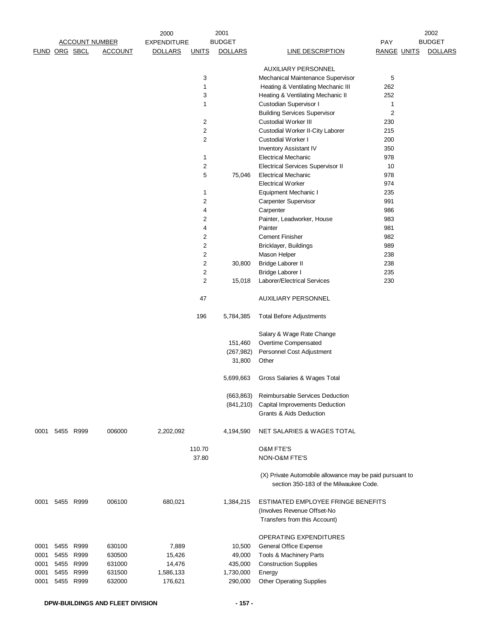|      |                      |                       |                | 2000               |                | 2001           |                                                                                                    |                    | 2002           |
|------|----------------------|-----------------------|----------------|--------------------|----------------|----------------|----------------------------------------------------------------------------------------------------|--------------------|----------------|
|      |                      | <b>ACCOUNT NUMBER</b> |                | <b>EXPENDITURE</b> |                | <b>BUDGET</b>  |                                                                                                    | <b>PAY</b>         | <b>BUDGET</b>  |
|      | <b>FUND ORG SBCL</b> |                       | <b>ACCOUNT</b> | <b>DOLLARS</b>     | <b>UNITS</b>   | <b>DOLLARS</b> | <b>LINE DESCRIPTION</b>                                                                            | <b>RANGE UNITS</b> | <b>DOLLARS</b> |
|      |                      |                       |                |                    |                |                | <b>AUXILIARY PERSONNEL</b>                                                                         |                    |                |
|      |                      |                       |                |                    |                |                |                                                                                                    |                    |                |
|      |                      |                       |                |                    | 3              |                | Mechanical Maintenance Supervisor                                                                  | 5                  |                |
|      |                      |                       |                |                    | $\mathbf 1$    |                | Heating & Ventilating Mechanic III                                                                 | 262                |                |
|      |                      |                       |                |                    | 3              |                | Heating & Ventilating Mechanic II                                                                  | 252                |                |
|      |                      |                       |                |                    | 1              |                | Custodian Supervisor I                                                                             | 1                  |                |
|      |                      |                       |                |                    |                |                | <b>Building Services Supervisor</b>                                                                | 2                  |                |
|      |                      |                       |                |                    | 2              |                | <b>Custodial Worker III</b>                                                                        | 230                |                |
|      |                      |                       |                |                    | $\overline{c}$ |                | Custodial Worker II-City Laborer                                                                   | 215                |                |
|      |                      |                       |                |                    | 2              |                | Custodial Worker I                                                                                 | 200                |                |
|      |                      |                       |                |                    |                |                | <b>Inventory Assistant IV</b>                                                                      | 350                |                |
|      |                      |                       |                |                    | 1              |                | <b>Electrical Mechanic</b>                                                                         | 978                |                |
|      |                      |                       |                |                    | 2              |                | <b>Electrical Services Supervisor II</b>                                                           | 10                 |                |
|      |                      |                       |                |                    | 5              | 75,046         | <b>Electrical Mechanic</b>                                                                         | 978                |                |
|      |                      |                       |                |                    |                |                | <b>Electrical Worker</b>                                                                           | 974                |                |
|      |                      |                       |                |                    | 1              |                | Equipment Mechanic I                                                                               | 235                |                |
|      |                      |                       |                |                    | 2              |                | Carpenter Supervisor                                                                               | 991                |                |
|      |                      |                       |                |                    | 4              |                | Carpenter                                                                                          | 986                |                |
|      |                      |                       |                |                    | 2              |                | Painter, Leadworker, House                                                                         | 983                |                |
|      |                      |                       |                |                    | 4              |                | Painter                                                                                            | 981                |                |
|      |                      |                       |                |                    | 2              |                | <b>Cement Finisher</b>                                                                             | 982                |                |
|      |                      |                       |                |                    | $\overline{c}$ |                | Bricklayer, Buildings                                                                              | 989                |                |
|      |                      |                       |                |                    | 2              |                | Mason Helper                                                                                       | 238                |                |
|      |                      |                       |                |                    | 2              | 30,800         | Bridge Laborer II                                                                                  | 238                |                |
|      |                      |                       |                |                    | 2              |                | Bridge Laborer I                                                                                   | 235                |                |
|      |                      |                       |                |                    | 2              | 15,018         | Laborer/Electrical Services                                                                        | 230                |                |
|      |                      |                       |                |                    | 47             |                | <b>AUXILIARY PERSONNEL</b>                                                                         |                    |                |
|      |                      |                       |                |                    | 196            | 5,784,385      | <b>Total Before Adjustments</b>                                                                    |                    |                |
|      |                      |                       |                |                    |                |                | Salary & Wage Rate Change                                                                          |                    |                |
|      |                      |                       |                |                    |                | 151,460        | Overtime Compensated                                                                               |                    |                |
|      |                      |                       |                |                    |                | (267, 982)     | Personnel Cost Adjustment                                                                          |                    |                |
|      |                      |                       |                |                    |                | 31,800         | Other                                                                                              |                    |                |
|      |                      |                       |                |                    |                | 5,699,663      | Gross Salaries & Wages Total                                                                       |                    |                |
|      |                      |                       |                |                    |                | (663, 863)     | Reimbursable Services Deduction                                                                    |                    |                |
|      |                      |                       |                |                    |                | (841,210)      | Capital Improvements Deduction                                                                     |                    |                |
|      |                      |                       |                |                    |                |                | Grants & Aids Deduction                                                                            |                    |                |
| 0001 |                      | 5455 R999             | 006000         | 2,202,092          |                | 4,194,590      | NET SALARIES & WAGES TOTAL                                                                         |                    |                |
|      |                      |                       |                |                    | 110.70         |                | <b>O&amp;M FTE'S</b>                                                                               |                    |                |
|      |                      |                       |                |                    | 37.80          |                | NON-O&M FTE'S                                                                                      |                    |                |
|      |                      |                       |                |                    |                |                | (X) Private Automobile allowance may be paid pursuant to<br>section 350-183 of the Milwaukee Code. |                    |                |
| 0001 |                      | 5455 R999             | 006100         | 680,021            |                | 1,384,215      | ESTIMATED EMPLOYEE FRINGE BENEFITS<br>(Involves Revenue Offset-No                                  |                    |                |
|      |                      |                       |                |                    |                |                | Transfers from this Account)                                                                       |                    |                |
|      |                      |                       |                |                    |                |                | OPERATING EXPENDITURES                                                                             |                    |                |
| 0001 |                      | 5455 R999             | 630100         | 7,889              |                | 10,500         | General Office Expense                                                                             |                    |                |
| 0001 |                      | 5455 R999             | 630500         | 15,426             |                | 49,000         | Tools & Machinery Parts                                                                            |                    |                |
| 0001 |                      | 5455 R999             | 631000         | 14,476             |                | 435,000        | <b>Construction Supplies</b>                                                                       |                    |                |
| 0001 |                      | 5455 R999             | 631500         | 1,586,133          |                | 1,730,000      | Energy                                                                                             |                    |                |
| 0001 |                      | 5455 R999             | 632000         | 176,621            |                | 290,000        | <b>Other Operating Supplies</b>                                                                    |                    |                |
|      |                      |                       |                |                    |                |                |                                                                                                    |                    |                |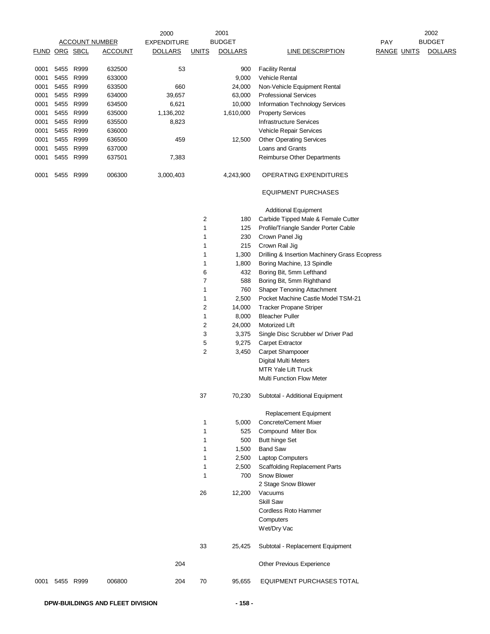|      |                      |           |                       | 2000               |                | 2001           |                                               |                    | 2002           |
|------|----------------------|-----------|-----------------------|--------------------|----------------|----------------|-----------------------------------------------|--------------------|----------------|
|      |                      |           | <b>ACCOUNT NUMBER</b> | <b>EXPENDITURE</b> |                | <b>BUDGET</b>  |                                               | PAY                | <b>BUDGET</b>  |
|      | <b>FUND ORG SBCL</b> |           | <b>ACCOUNT</b>        | <b>DOLLARS</b>     | <u>UNITS</u>   | <b>DOLLARS</b> | <b>LINE DESCRIPTION</b>                       | <b>RANGE UNITS</b> | <b>DOLLARS</b> |
| 0001 |                      | 5455 R999 | 632500                | 53                 |                | 900            | <b>Facility Rental</b>                        |                    |                |
| 0001 | 5455                 | R999      | 633000                |                    |                | 9,000          | Vehicle Rental                                |                    |                |
| 0001 |                      | 5455 R999 | 633500                | 660                |                | 24,000         | Non-Vehicle Equipment Rental                  |                    |                |
| 0001 |                      | 5455 R999 | 634000                | 39,657             |                | 63,000         | <b>Professional Services</b>                  |                    |                |
| 0001 |                      | 5455 R999 | 634500                | 6,621              |                | 10,000         | Information Technology Services               |                    |                |
| 0001 |                      | 5455 R999 | 635000                | 1,136,202          |                | 1,610,000      | <b>Property Services</b>                      |                    |                |
| 0001 |                      | 5455 R999 | 635500                | 8,823              |                |                | <b>Infrastructure Services</b>                |                    |                |
| 0001 |                      | 5455 R999 | 636000                |                    |                |                | Vehicle Repair Services                       |                    |                |
|      |                      | 5455 R999 |                       | 459                |                |                |                                               |                    |                |
| 0001 |                      |           | 636500                |                    |                | 12,500         | <b>Other Operating Services</b>               |                    |                |
| 0001 |                      | 5455 R999 | 637000                |                    |                |                | Loans and Grants                              |                    |                |
| 0001 |                      | 5455 R999 | 637501                | 7,383              |                |                | Reimburse Other Departments                   |                    |                |
| 0001 |                      | 5455 R999 | 006300                | 3,000,403          |                | 4,243,900      | <b>OPERATING EXPENDITURES</b>                 |                    |                |
|      |                      |           |                       |                    |                |                | <b>EQUIPMENT PURCHASES</b>                    |                    |                |
|      |                      |           |                       |                    |                |                | <b>Additional Equipment</b>                   |                    |                |
|      |                      |           |                       |                    | $\overline{c}$ | 180            | Carbide Tipped Male & Female Cutter           |                    |                |
|      |                      |           |                       |                    | 1              | 125            | Profile/Triangle Sander Porter Cable          |                    |                |
|      |                      |           |                       |                    | 1              | 230            | Crown Panel Jig                               |                    |                |
|      |                      |           |                       |                    | 1              | 215            | Crown Rail Jig                                |                    |                |
|      |                      |           |                       |                    | 1              | 1,300          | Drilling & Insertion Machinery Grass Ecopress |                    |                |
|      |                      |           |                       |                    | 1              | 1,800          | Boring Machine, 13 Spindle                    |                    |                |
|      |                      |           |                       |                    | 6              | 432            | Boring Bit, 5mm Lefthand                      |                    |                |
|      |                      |           |                       |                    | $\overline{7}$ | 588            | Boring Bit, 5mm Righthand                     |                    |                |
|      |                      |           |                       |                    | 1              | 760            | <b>Shaper Tenoning Attachment</b>             |                    |                |
|      |                      |           |                       |                    | 1              | 2,500          | Pocket Machine Castle Model TSM-21            |                    |                |
|      |                      |           |                       |                    | $\overline{c}$ | 14,000         | <b>Tracker Propane Striper</b>                |                    |                |
|      |                      |           |                       |                    | 1              | 8,000          | <b>Bleacher Puller</b>                        |                    |                |
|      |                      |           |                       |                    | $\overline{c}$ | 24,000         | Motorized Lift                                |                    |                |
|      |                      |           |                       |                    | 3              | 3,375          | Single Disc Scrubber w/ Driver Pad            |                    |                |
|      |                      |           |                       |                    | 5              | 9,275          | Carpet Extractor                              |                    |                |
|      |                      |           |                       |                    | $\overline{c}$ | 3,450          | Carpet Shampooer                              |                    |                |
|      |                      |           |                       |                    |                |                | <b>Digital Multi Meters</b>                   |                    |                |
|      |                      |           |                       |                    |                |                | MTR Yale Lift Truck                           |                    |                |
|      |                      |           |                       |                    |                |                |                                               |                    |                |
|      |                      |           |                       |                    |                |                | <b>Multi Function Flow Meter</b>              |                    |                |
|      |                      |           |                       |                    | 37             | 70,230         | Subtotal - Additional Equipment               |                    |                |
|      |                      |           |                       |                    |                |                | Replacement Equipment                         |                    |                |
|      |                      |           |                       |                    | 1              | 5,000          | Concrete/Cement Mixer                         |                    |                |
|      |                      |           |                       |                    | 1              | 525            | Compound Miter Box                            |                    |                |
|      |                      |           |                       |                    | 1              | 500            | <b>Butt hinge Set</b>                         |                    |                |
|      |                      |           |                       |                    | 1              | 1,500          | <b>Band Saw</b>                               |                    |                |
|      |                      |           |                       |                    | 1              | 2,500          | <b>Laptop Computers</b>                       |                    |                |
|      |                      |           |                       |                    | 1              | 2,500          | <b>Scaffolding Replacement Parts</b>          |                    |                |
|      |                      |           |                       |                    | 1              | 700            | Snow Blower                                   |                    |                |
|      |                      |           |                       |                    |                |                | 2 Stage Snow Blower                           |                    |                |
|      |                      |           |                       |                    | 26             | 12,200         | Vacuums                                       |                    |                |
|      |                      |           |                       |                    |                |                | Skill Saw                                     |                    |                |
|      |                      |           |                       |                    |                |                | Cordless Roto Hammer                          |                    |                |
|      |                      |           |                       |                    |                |                | Computers                                     |                    |                |
|      |                      |           |                       |                    |                |                | Wet/Dry Vac                                   |                    |                |
|      |                      |           |                       |                    | 33             | 25,425         | Subtotal - Replacement Equipment              |                    |                |
|      |                      |           |                       | 204                |                |                | Other Previous Experience                     |                    |                |
| 0001 |                      | 5455 R999 | 006800                | 204                | 70             | 95,655         | EQUIPMENT PURCHASES TOTAL                     |                    |                |
|      |                      |           |                       |                    |                |                |                                               |                    |                |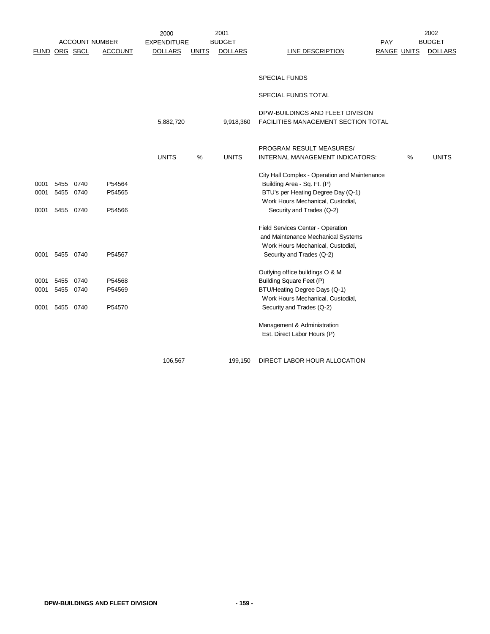|      |               |      |                       | 2000               |              | 2001           |                                               |                    |   | 2002           |
|------|---------------|------|-----------------------|--------------------|--------------|----------------|-----------------------------------------------|--------------------|---|----------------|
|      |               |      | <b>ACCOUNT NUMBER</b> | <b>EXPENDITURE</b> |              | <b>BUDGET</b>  |                                               | PAY                |   | <b>BUDGET</b>  |
|      | FUND ORG SBCL |      | <b>ACCOUNT</b>        | <b>DOLLARS</b>     | <u>UNITS</u> | <b>DOLLARS</b> | <b>LINE DESCRIPTION</b>                       | <b>RANGE UNITS</b> |   | <b>DOLLARS</b> |
|      |               |      |                       |                    |              |                |                                               |                    |   |                |
|      |               |      |                       |                    |              |                |                                               |                    |   |                |
|      |               |      |                       |                    |              |                | <b>SPECIAL FUNDS</b>                          |                    |   |                |
|      |               |      |                       |                    |              |                | SPECIAL FUNDS TOTAL                           |                    |   |                |
|      |               |      |                       |                    |              |                |                                               |                    |   |                |
|      |               |      |                       |                    |              |                | DPW-BUILDINGS AND FLEET DIVISION              |                    |   |                |
|      |               |      |                       | 5,882,720          |              | 9,918,360      | FACILITIES MANAGEMENT SECTION TOTAL           |                    |   |                |
|      |               |      |                       |                    |              |                |                                               |                    |   |                |
|      |               |      |                       |                    |              |                | PROGRAM RESULT MEASURES/                      |                    |   |                |
|      |               |      |                       | <b>UNITS</b>       | %            | <b>UNITS</b>   | INTERNAL MANAGEMENT INDICATORS:               |                    | % | <b>UNITS</b>   |
|      |               |      |                       |                    |              |                |                                               |                    |   |                |
|      |               |      |                       |                    |              |                | City Hall Complex - Operation and Maintenance |                    |   |                |
| 0001 | 5455 0740     |      | P54564                |                    |              |                | Building Area - Sq. Ft. (P)                   |                    |   |                |
| 0001 | 5455 0740     |      | P54565                |                    |              |                | BTU's per Heating Degree Day (Q-1)            |                    |   |                |
|      |               |      |                       |                    |              |                | Work Hours Mechanical, Custodial,             |                    |   |                |
| 0001 | 5455 0740     |      | P54566                |                    |              |                | Security and Trades (Q-2)                     |                    |   |                |
|      |               |      |                       |                    |              |                | Field Services Center - Operation             |                    |   |                |
|      |               |      |                       |                    |              |                | and Maintenance Mechanical Systems            |                    |   |                |
|      |               |      |                       |                    |              |                | Work Hours Mechanical, Custodial,             |                    |   |                |
| 0001 | 5455 0740     |      | P54567                |                    |              |                | Security and Trades (Q-2)                     |                    |   |                |
|      |               |      |                       |                    |              |                | Outlying office buildings O & M               |                    |   |                |
| 0001 | 5455          | 0740 | P54568                |                    |              |                | Building Square Feet (P)                      |                    |   |                |
| 0001 | 5455 0740     |      | P54569                |                    |              |                | BTU/Heating Degree Days (Q-1)                 |                    |   |                |
|      |               |      |                       |                    |              |                | Work Hours Mechanical, Custodial,             |                    |   |                |
| 0001 | 5455          | 0740 | P54570                |                    |              |                | Security and Trades (Q-2)                     |                    |   |                |
|      |               |      |                       |                    |              |                | Management & Administration                   |                    |   |                |
|      |               |      |                       |                    |              |                | Est. Direct Labor Hours (P)                   |                    |   |                |
|      |               |      |                       |                    |              |                |                                               |                    |   |                |
|      |               |      |                       | 106,567            |              | 199,150        | DIRECT LABOR HOUR ALLOCATION                  |                    |   |                |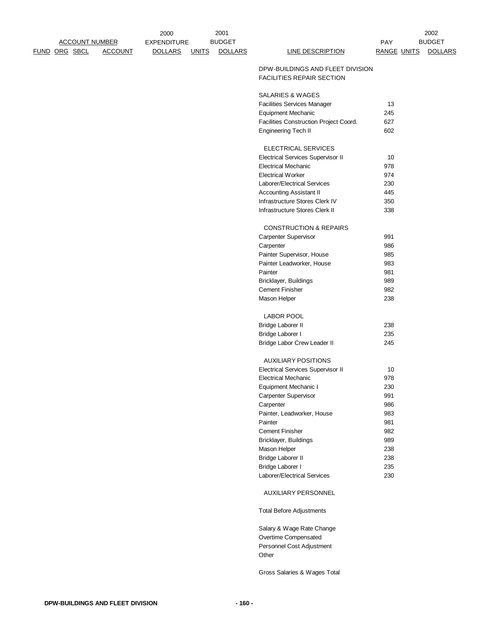|  |                       |                | 2000               |              | 2001           |                                                                      |                    | 2002           |
|--|-----------------------|----------------|--------------------|--------------|----------------|----------------------------------------------------------------------|--------------------|----------------|
|  | <b>ACCOUNT NUMBER</b> |                | <b>EXPENDITURE</b> |              | <b>BUDGET</b>  |                                                                      | <b>PAY</b>         | <b>BUDGET</b>  |
|  | FUND ORG SBCL         | <b>ACCOUNT</b> | <b>DOLLARS</b>     | <b>UNITS</b> | <b>DOLLARS</b> | <b>LINE DESCRIPTION</b>                                              | <b>RANGE UNITS</b> | <b>DOLLARS</b> |
|  |                       |                |                    |              |                | DPW-BUILDINGS AND FLEET DIVISION<br><b>FACILITIES REPAIR SECTION</b> |                    |                |
|  |                       |                |                    |              |                | SALARIES & WAGES                                                     |                    |                |
|  |                       |                |                    |              |                | <b>Facilities Services Manager</b>                                   | 13                 |                |
|  |                       |                |                    |              |                | Equipment Mechanic                                                   | 245                |                |
|  |                       |                |                    |              |                | Facilities Construction Project Coord.                               | 627                |                |
|  |                       |                |                    |              |                | Engineering Tech II                                                  | 602                |                |
|  |                       |                |                    |              |                | ELECTRICAL SERVICES                                                  |                    |                |
|  |                       |                |                    |              |                | <b>Electrical Services Supervisor II</b>                             | 10                 |                |
|  |                       |                |                    |              |                | <b>Electrical Mechanic</b>                                           | 978                |                |
|  |                       |                |                    |              |                | <b>Electrical Worker</b>                                             | 974                |                |
|  |                       |                |                    |              |                | Laborer/Electrical Services                                          | 230                |                |
|  |                       |                |                    |              |                | <b>Accounting Assistant II</b>                                       | 445                |                |
|  |                       |                |                    |              |                | Infrastructure Stores Clerk IV                                       | 350                |                |
|  |                       |                |                    |              |                | Infrastructure Stores Clerk II                                       | 338                |                |
|  |                       |                |                    |              |                | <b>CONSTRUCTION &amp; REPAIRS</b>                                    |                    |                |
|  |                       |                |                    |              |                | Carpenter Supervisor                                                 | 991                |                |
|  |                       |                |                    |              |                | Carpenter                                                            | 986                |                |
|  |                       |                |                    |              |                | Painter Supervisor, House                                            | 985                |                |
|  |                       |                |                    |              |                | Painter Leadworker, House                                            | 983                |                |
|  |                       |                |                    |              |                | Painter                                                              | 981                |                |
|  |                       |                |                    |              |                | Bricklayer, Buildings                                                | 989                |                |
|  |                       |                |                    |              |                | <b>Cement Finisher</b>                                               | 982                |                |
|  |                       |                |                    |              |                | Mason Helper                                                         | 238                |                |
|  |                       |                |                    |              |                | <b>LABOR POOL</b>                                                    |                    |                |
|  |                       |                |                    |              |                | Bridge Laborer II                                                    | 238                |                |
|  |                       |                |                    |              |                | Bridge Laborer I                                                     | 235                |                |
|  |                       |                |                    |              |                | Bridge Labor Crew Leader II                                          | 245                |                |
|  |                       |                |                    |              |                | <b>AUXILIARY POSITIONS</b>                                           |                    |                |
|  |                       |                |                    |              |                | <b>Electrical Services Supervisor II</b>                             | 10                 |                |
|  |                       |                |                    |              |                | <b>Electrical Mechanic</b>                                           | 978                |                |
|  |                       |                |                    |              |                | Equipment Mechanic I                                                 | 230                |                |
|  |                       |                |                    |              |                | Carpenter Supervisor                                                 | 991                |                |
|  |                       |                |                    |              |                | Carpenter                                                            | 986                |                |
|  |                       |                |                    |              |                | Painter, Leadworker, House                                           | 983                |                |
|  |                       |                |                    |              |                | Painter                                                              | 981                |                |
|  |                       |                |                    |              |                | <b>Cement Finisher</b>                                               | 982                |                |
|  |                       |                |                    |              |                | Bricklayer, Buildings                                                | 989                |                |
|  |                       |                |                    |              |                | Mason Helper                                                         | 238                |                |
|  |                       |                |                    |              |                | Bridge Laborer II                                                    | 238                |                |
|  |                       |                |                    |              |                | Bridge Laborer I                                                     | 235                |                |
|  |                       |                |                    |              |                | Laborer/Electrical Services                                          | 230                |                |
|  |                       |                |                    |              |                | AUXILIARY PERSONNEL                                                  |                    |                |
|  |                       |                |                    |              |                | <b>Total Before Adjustments</b>                                      |                    |                |
|  |                       |                |                    |              |                | Salary & Wage Rate Change                                            |                    |                |
|  |                       |                |                    |              |                | Overtime Compensated                                                 |                    |                |
|  |                       |                |                    |              |                | Personnel Cost Adjustment                                            |                    |                |
|  |                       |                |                    |              |                | Other                                                                |                    |                |

Gross Salaries & Wages Total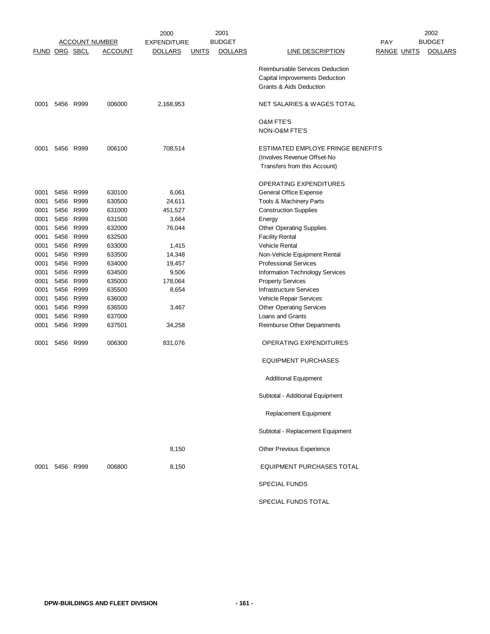|      |                      |           |                       | 2000               |              | 2001           |                                   |                    | 2002           |
|------|----------------------|-----------|-----------------------|--------------------|--------------|----------------|-----------------------------------|--------------------|----------------|
|      |                      |           | <b>ACCOUNT NUMBER</b> | <b>EXPENDITURE</b> |              | <b>BUDGET</b>  |                                   | PAY                | <b>BUDGET</b>  |
|      | <b>FUND ORG SBCL</b> |           | <b>ACCOUNT</b>        | <b>DOLLARS</b>     | <b>UNITS</b> | <b>DOLLARS</b> | <b>LINE DESCRIPTION</b>           | <b>RANGE UNITS</b> | <b>DOLLARS</b> |
|      |                      |           |                       |                    |              |                | Reimbursable Services Deduction   |                    |                |
|      |                      |           |                       |                    |              |                |                                   |                    |                |
|      |                      |           |                       |                    |              |                | Capital Improvements Deduction    |                    |                |
|      |                      |           |                       |                    |              |                | Grants & Aids Deduction           |                    |                |
| 0001 |                      | 5456 R999 | 006000                | 2,168,953          |              |                | NET SALARIES & WAGES TOTAL        |                    |                |
|      |                      |           |                       |                    |              |                | <b>O&amp;M FTE'S</b>              |                    |                |
|      |                      |           |                       |                    |              |                | NON-O&M FTE'S                     |                    |                |
| 0001 |                      | 5456 R999 | 006100                | 708,514            |              |                | ESTIMATED EMPLOYE FRINGE BENEFITS |                    |                |
|      |                      |           |                       |                    |              |                | (Involves Revenue Offset-No       |                    |                |
|      |                      |           |                       |                    |              |                | Transfers from this Account)      |                    |                |
|      |                      |           |                       |                    |              |                |                                   |                    |                |
|      |                      |           |                       |                    |              |                | <b>OPERATING EXPENDITURES</b>     |                    |                |
| 0001 |                      | 5456 R999 | 630100                | 6,061              |              |                | General Office Expense            |                    |                |
| 0001 | 5456                 | R999      | 630500                | 24,611             |              |                | Tools & Machinery Parts           |                    |                |
| 0001 | 5456                 | R999      | 631000                | 451,527            |              |                | <b>Construction Supplies</b>      |                    |                |
| 0001 | 5456                 | R999      | 631500                | 3,664              |              |                | Energy                            |                    |                |
| 0001 |                      | 5456 R999 | 632000                | 76,044             |              |                | <b>Other Operating Supplies</b>   |                    |                |
| 0001 |                      | 5456 R999 | 632500                |                    |              |                | <b>Facility Rental</b>            |                    |                |
| 0001 | 5456                 | R999      | 633000                | 1,415              |              |                | <b>Vehicle Rental</b>             |                    |                |
| 0001 | 5456                 | R999      | 633500                | 14,348             |              |                | Non-Vehicle Equipment Rental      |                    |                |
| 0001 | 5456                 | R999      | 634000                | 19,457             |              |                | <b>Professional Services</b>      |                    |                |
| 0001 | 5456                 | R999      | 634500                | 9,506              |              |                | Information Technology Services   |                    |                |
| 0001 | 5456                 | R999      | 635000                | 178,064            |              |                | <b>Property Services</b>          |                    |                |
| 0001 | 5456                 | R999      | 635500                | 8,654              |              |                | <b>Infrastructure Services</b>    |                    |                |
| 0001 | 5456                 | R999      | 636000                |                    |              |                | Vehicle Repair Services           |                    |                |
| 0001 | 5456                 | R999      | 636500                | 3,467              |              |                | <b>Other Operating Services</b>   |                    |                |
| 0001 | 5456                 | R999      | 637000                |                    |              |                | Loans and Grants                  |                    |                |
| 0001 |                      | 5456 R999 | 637501                | 34,258             |              |                | Reimburse Other Departments       |                    |                |
| 0001 |                      | 5456 R999 | 006300                | 831,076            |              |                | OPERATING EXPENDITURES            |                    |                |
|      |                      |           |                       |                    |              |                | <b>EQUIPMENT PURCHASES</b>        |                    |                |
|      |                      |           |                       |                    |              |                | <b>Additional Equipment</b>       |                    |                |
|      |                      |           |                       |                    |              |                | Subtotal - Additional Equipment   |                    |                |
|      |                      |           |                       |                    |              |                | Replacement Equipment             |                    |                |
|      |                      |           |                       |                    |              |                | Subtotal - Replacement Equipment  |                    |                |
|      |                      |           |                       | 8,150              |              |                | Other Previous Experience         |                    |                |
|      | 0001 5456 R999       |           | 006800                | 8,150              |              |                | <b>EQUIPMENT PURCHASES TOTAL</b>  |                    |                |
|      |                      |           |                       |                    |              |                | <b>SPECIAL FUNDS</b>              |                    |                |
|      |                      |           |                       |                    |              |                | SPECIAL FUNDS TOTAL               |                    |                |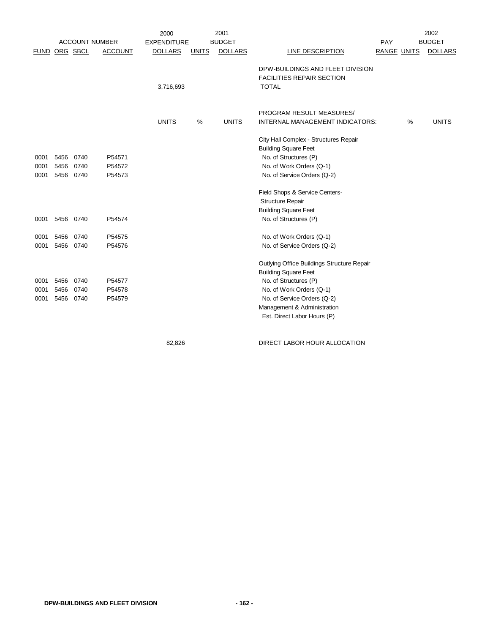|               |      |      |                       | 2000               |              | 2001           |                                            |                    |   | 2002           |
|---------------|------|------|-----------------------|--------------------|--------------|----------------|--------------------------------------------|--------------------|---|----------------|
|               |      |      | <b>ACCOUNT NUMBER</b> | <b>EXPENDITURE</b> |              | <b>BUDGET</b>  |                                            | PAY                |   | <b>BUDGET</b>  |
| FUND ORG SBCL |      |      | <b>ACCOUNT</b>        | <b>DOLLARS</b>     | <b>UNITS</b> | <b>DOLLARS</b> | <b>LINE DESCRIPTION</b>                    | <b>RANGE UNITS</b> |   | <b>DOLLARS</b> |
|               |      |      |                       |                    |              |                | DPW-BUILDINGS AND FLEET DIVISION           |                    |   |                |
|               |      |      |                       |                    |              |                | <b>FACILITIES REPAIR SECTION</b>           |                    |   |                |
|               |      |      |                       | 3,716,693          |              |                | <b>TOTAL</b>                               |                    |   |                |
|               |      |      |                       |                    |              |                | PROGRAM RESULT MEASURES/                   |                    |   |                |
|               |      |      |                       | <b>UNITS</b>       | %            | <b>UNITS</b>   | INTERNAL MANAGEMENT INDICATORS:            |                    | % | <b>UNITS</b>   |
|               |      |      |                       |                    |              |                | City Hall Complex - Structures Repair      |                    |   |                |
|               |      |      |                       |                    |              |                | <b>Building Square Feet</b>                |                    |   |                |
| 0001          | 5456 | 0740 | P54571                |                    |              |                | No. of Structures (P)                      |                    |   |                |
| 0001          | 5456 | 0740 | P54572                |                    |              |                | No. of Work Orders (Q-1)                   |                    |   |                |
| 0001          | 5456 | 0740 | P54573                |                    |              |                | No. of Service Orders (Q-2)                |                    |   |                |
|               |      |      |                       |                    |              |                | Field Shops & Service Centers-             |                    |   |                |
|               |      |      |                       |                    |              |                | <b>Structure Repair</b>                    |                    |   |                |
|               |      |      |                       |                    |              |                | <b>Building Square Feet</b>                |                    |   |                |
| 0001          | 5456 | 0740 | P54574                |                    |              |                | No. of Structures (P)                      |                    |   |                |
| 0001          | 5456 | 0740 | P54575                |                    |              |                | No. of Work Orders (Q-1)                   |                    |   |                |
| 0001          | 5456 | 0740 | P54576                |                    |              |                | No. of Service Orders (Q-2)                |                    |   |                |
|               |      |      |                       |                    |              |                | Outlying Office Buildings Structure Repair |                    |   |                |
|               |      |      |                       |                    |              |                | <b>Building Square Feet</b>                |                    |   |                |
| 0001          | 5456 | 0740 | P54577                |                    |              |                | No. of Structures (P)                      |                    |   |                |
| 0001          | 5456 | 0740 | P54578                |                    |              |                | No. of Work Orders (Q-1)                   |                    |   |                |
| 0001          | 5456 | 0740 | P54579                |                    |              |                | No. of Service Orders (Q-2)                |                    |   |                |
|               |      |      |                       |                    |              |                | Management & Administration                |                    |   |                |
|               |      |      |                       |                    |              |                | Est. Direct Labor Hours (P)                |                    |   |                |

82,826 DIRECT LABOR HOUR ALLOCATION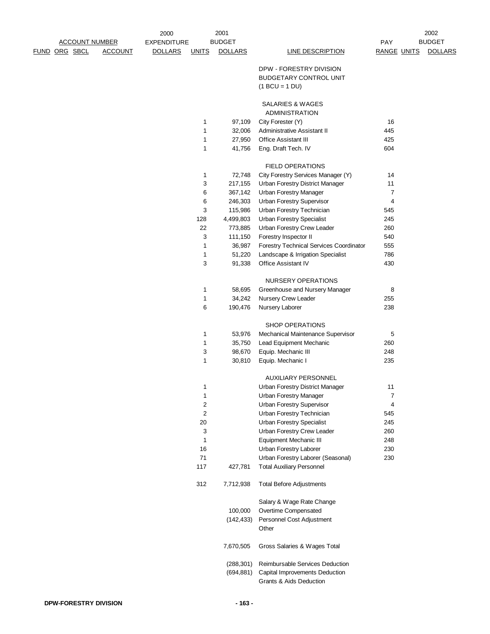|                                        | 2000               |              | 2001           |                                                                      |                    | 2002           |
|----------------------------------------|--------------------|--------------|----------------|----------------------------------------------------------------------|--------------------|----------------|
| <b>ACCOUNT NUMBER</b>                  | <b>EXPENDITURE</b> |              | <b>BUDGET</b>  |                                                                      | PAY                | <b>BUDGET</b>  |
| <b>FUND ORG SBCL</b><br><b>ACCOUNT</b> | <b>DOLLARS</b>     | <b>UNITS</b> | <b>DOLLARS</b> | <b>LINE DESCRIPTION</b>                                              | <b>RANGE UNITS</b> | <b>DOLLARS</b> |
|                                        |                    |              |                |                                                                      |                    |                |
|                                        |                    |              |                | DPW - FORESTRY DIVISION                                              |                    |                |
|                                        |                    |              |                | <b>BUDGETARY CONTROL UNIT</b>                                        |                    |                |
|                                        |                    |              |                | $(1 BCU = 1 DU)$                                                     |                    |                |
|                                        |                    |              |                | SALARIES & WAGES                                                     |                    |                |
|                                        |                    |              |                | <b>ADMINISTRATION</b>                                                |                    |                |
|                                        |                    | 1            | 97,109         | City Forester (Y)                                                    | 16                 |                |
|                                        |                    | 1            | 32,006         | Administrative Assistant II                                          | 445                |                |
|                                        |                    | 1            | 27,950         | <b>Office Assistant III</b>                                          | 425                |                |
|                                        |                    | 1            | 41,756         | Eng. Draft Tech. IV                                                  | 604                |                |
|                                        |                    |              |                |                                                                      |                    |                |
|                                        |                    |              |                | <b>FIELD OPERATIONS</b>                                              |                    |                |
|                                        |                    | 1            | 72,748         | City Forestry Services Manager (Y)                                   | 14                 |                |
|                                        |                    | 3            | 217,155        | Urban Forestry District Manager                                      | 11                 |                |
|                                        |                    | 6            | 367,142        | <b>Urban Forestry Manager</b>                                        | $\overline{7}$     |                |
|                                        |                    | 6            | 246,303        | Urban Forestry Supervisor                                            | $\overline{4}$     |                |
|                                        |                    | 3            | 115,986        | Urban Forestry Technician                                            | 545                |                |
|                                        |                    | 128          | 4,499,803      | <b>Urban Forestry Specialist</b>                                     | 245                |                |
|                                        |                    | 22           | 773,885        | Urban Forestry Crew Leader                                           | 260                |                |
|                                        |                    | 3            | 111,150        | Forestry Inspector II                                                | 540                |                |
|                                        |                    | 1            | 36,987         | Forestry Technical Services Coordinator                              | 555                |                |
|                                        |                    | 1            | 51,220         | Landscape & Irrigation Specialist                                    | 786                |                |
|                                        |                    | 3            | 91,338         | Office Assistant IV                                                  | 430                |                |
|                                        |                    |              |                |                                                                      |                    |                |
|                                        |                    |              |                | NURSERY OPERATIONS                                                   |                    |                |
|                                        |                    | 1            | 58,695         | Greenhouse and Nursery Manager                                       | 8                  |                |
|                                        |                    | 1            | 34,242         | Nursery Crew Leader                                                  | 255                |                |
|                                        |                    | 6            | 190,476        | Nursery Laborer                                                      | 238                |                |
|                                        |                    |              |                | <b>SHOP OPERATIONS</b>                                               |                    |                |
|                                        |                    | 1            | 53,976         | Mechanical Maintenance Supervisor                                    | 5                  |                |
|                                        |                    | 1            | 35,750         | Lead Equipment Mechanic                                              | 260                |                |
|                                        |                    | 3            | 98,670         | Equip. Mechanic III                                                  | 248                |                |
|                                        |                    | 1            | 30,810         | Equip. Mechanic I                                                    | 235                |                |
|                                        |                    |              |                |                                                                      |                    |                |
|                                        |                    |              |                | <b>AUXILIARY PERSONNEL</b>                                           |                    |                |
|                                        |                    | 1            |                | Urban Forestry District Manager                                      | 11                 |                |
|                                        |                    | 1            |                | Urban Forestry Manager                                               | $\overline{7}$     |                |
|                                        |                    | 2            |                | Urban Forestry Supervisor                                            | $\overline{4}$     |                |
|                                        |                    | 2            |                | Urban Forestry Technician                                            | 545                |                |
|                                        |                    | 20           |                | <b>Urban Forestry Specialist</b>                                     | 245                |                |
|                                        |                    | 3            |                | Urban Forestry Crew Leader                                           | 260                |                |
|                                        |                    | 1            |                | Equipment Mechanic III                                               | 248                |                |
|                                        |                    | 16           |                | Urban Forestry Laborer                                               | 230                |                |
|                                        |                    | 71           |                | Urban Forestry Laborer (Seasonal)                                    | 230                |                |
|                                        |                    | 117          | 427,781        | <b>Total Auxiliary Personnel</b>                                     |                    |                |
|                                        |                    | 312          | 7,712,938      | <b>Total Before Adjustments</b>                                      |                    |                |
|                                        |                    |              |                |                                                                      |                    |                |
|                                        |                    |              |                | Salary & Wage Rate Change                                            |                    |                |
|                                        |                    |              | 100,000        | Overtime Compensated                                                 |                    |                |
|                                        |                    |              | (142, 433)     | Personnel Cost Adjustment<br>Other                                   |                    |                |
|                                        |                    |              |                |                                                                      |                    |                |
|                                        |                    |              | 7,670,505      | Gross Salaries & Wages Total                                         |                    |                |
|                                        |                    |              |                |                                                                      |                    |                |
|                                        |                    |              | (288, 301)     | Reimbursable Services Deduction                                      |                    |                |
|                                        |                    |              | (694, 881)     | Capital Improvements Deduction<br><b>Grants &amp; Aids Deduction</b> |                    |                |
|                                        |                    |              |                |                                                                      |                    |                |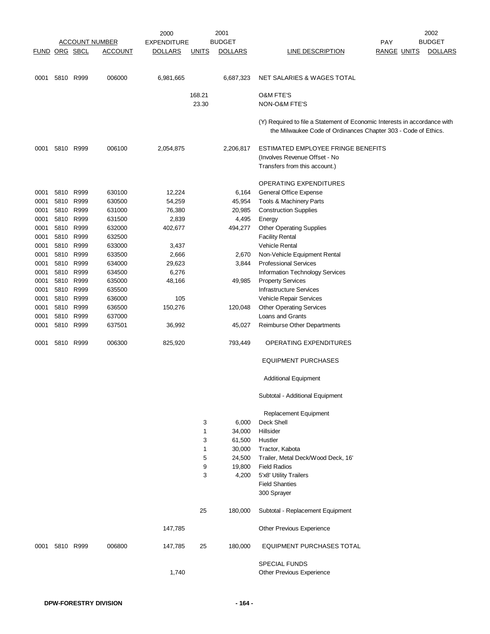|                      |      |           |                       | 2000               |              | 2001           |                                                                                                                                             |                    | 2002           |
|----------------------|------|-----------|-----------------------|--------------------|--------------|----------------|---------------------------------------------------------------------------------------------------------------------------------------------|--------------------|----------------|
|                      |      |           | <b>ACCOUNT NUMBER</b> | <b>EXPENDITURE</b> |              | <b>BUDGET</b>  |                                                                                                                                             | PAY                | <b>BUDGET</b>  |
| <b>FUND ORG SBCL</b> |      |           | <b>ACCOUNT</b>        | <b>DOLLARS</b>     | <b>UNITS</b> | <b>DOLLARS</b> | <b>LINE DESCRIPTION</b>                                                                                                                     | <b>RANGE UNITS</b> | <b>DOLLARS</b> |
| 0001                 |      | 5810 R999 | 006000                | 6,981,665          |              | 6,687,323      | NET SALARIES & WAGES TOTAL                                                                                                                  |                    |                |
|                      |      |           |                       |                    | 168.21       |                | <b>O&amp;M FTE'S</b>                                                                                                                        |                    |                |
|                      |      |           |                       |                    | 23.30        |                | <b>NON-O&amp;M FTE'S</b>                                                                                                                    |                    |                |
|                      |      |           |                       |                    |              |                | (Y) Required to file a Statement of Economic Interests in accordance with<br>the Milwaukee Code of Ordinances Chapter 303 - Code of Ethics. |                    |                |
| 0001                 |      | 5810 R999 | 006100                | 2,054,875          |              | 2,206,817      | ESTIMATED EMPLOYEE FRINGE BENEFITS<br>(Involves Revenue Offset - No                                                                         |                    |                |
|                      |      |           |                       |                    |              |                | Transfers from this account.)                                                                                                               |                    |                |
|                      |      |           |                       |                    |              |                | OPERATING EXPENDITURES                                                                                                                      |                    |                |
| 0001                 |      | 5810 R999 | 630100                | 12,224             |              | 6,164          | General Office Expense                                                                                                                      |                    |                |
| 0001                 |      | 5810 R999 | 630500                | 54,259             |              | 45,954         | Tools & Machinery Parts                                                                                                                     |                    |                |
| 0001                 |      | 5810 R999 | 631000                | 76,380             |              | 20,985         | <b>Construction Supplies</b>                                                                                                                |                    |                |
| 0001                 |      | 5810 R999 | 631500                | 2,839              |              | 4,495          | Energy                                                                                                                                      |                    |                |
| 0001                 |      | 5810 R999 | 632000                | 402,677            |              | 494,277        | <b>Other Operating Supplies</b>                                                                                                             |                    |                |
| 0001                 |      | 5810 R999 | 632500                |                    |              |                | <b>Facility Rental</b>                                                                                                                      |                    |                |
| 0001                 |      | 5810 R999 | 633000                | 3,437              |              |                | Vehicle Rental                                                                                                                              |                    |                |
| 0001                 |      | 5810 R999 | 633500                | 2,666              |              | 2,670          | Non-Vehicle Equipment Rental                                                                                                                |                    |                |
| 0001                 |      | 5810 R999 | 634000                | 29,623             |              | 3,844          | <b>Professional Services</b>                                                                                                                |                    |                |
| 0001                 |      | 5810 R999 | 634500                | 6,276              |              |                | Information Technology Services                                                                                                             |                    |                |
| 0001                 |      | 5810 R999 | 635000                | 48,166             |              | 49,985         | <b>Property Services</b>                                                                                                                    |                    |                |
| 0001                 | 5810 | R999      | 635500                |                    |              |                | <b>Infrastructure Services</b>                                                                                                              |                    |                |
| 0001                 |      | 5810 R999 | 636000                | 105                |              |                | Vehicle Repair Services                                                                                                                     |                    |                |
| 0001                 |      | 5810 R999 | 636500                | 150,276            |              | 120,048        | <b>Other Operating Services</b>                                                                                                             |                    |                |
| 0001                 |      | 5810 R999 | 637000                |                    |              |                | Loans and Grants                                                                                                                            |                    |                |
| 0001                 | 5810 | R999      | 637501                | 36,992             |              | 45,027         | Reimburse Other Departments                                                                                                                 |                    |                |
| 0001                 |      | 5810 R999 | 006300                | 825,920            |              | 793,449        | OPERATING EXPENDITURES                                                                                                                      |                    |                |
|                      |      |           |                       |                    |              |                | <b>EQUIPMENT PURCHASES</b>                                                                                                                  |                    |                |
|                      |      |           |                       |                    |              |                | <b>Additional Equipment</b>                                                                                                                 |                    |                |
|                      |      |           |                       |                    |              |                | Subtotal - Additional Equipment                                                                                                             |                    |                |
|                      |      |           |                       |                    |              |                | <b>Replacement Equipment</b>                                                                                                                |                    |                |
|                      |      |           |                       |                    | 3            | 6,000          | Deck Shell                                                                                                                                  |                    |                |
|                      |      |           |                       |                    | 1            | 34,000         | Hillsider                                                                                                                                   |                    |                |
|                      |      |           |                       |                    | 3            | 61,500         | Hustler                                                                                                                                     |                    |                |
|                      |      |           |                       |                    | 1            | 30,000         | Tractor, Kabota                                                                                                                             |                    |                |
|                      |      |           |                       |                    | 5            | 24,500         | Trailer, Metal Deck/Wood Deck, 16'                                                                                                          |                    |                |
|                      |      |           |                       |                    | 9            | 19,800         | <b>Field Radios</b>                                                                                                                         |                    |                |
|                      |      |           |                       |                    | 3            | 4,200          | 5'x8' Utility Trailers                                                                                                                      |                    |                |
|                      |      |           |                       |                    |              |                | <b>Field Shanties</b>                                                                                                                       |                    |                |
|                      |      |           |                       |                    |              |                | 300 Sprayer                                                                                                                                 |                    |                |
|                      |      |           |                       |                    | 25           | 180,000        | Subtotal - Replacement Equipment                                                                                                            |                    |                |
|                      |      |           |                       | 147,785            |              |                | Other Previous Experience                                                                                                                   |                    |                |
| 0001                 |      | 5810 R999 | 006800                | 147,785            | 25           | 180,000        | EQUIPMENT PURCHASES TOTAL                                                                                                                   |                    |                |
|                      |      |           |                       |                    |              |                | <b>SPECIAL FUNDS</b>                                                                                                                        |                    |                |
|                      |      |           |                       | 1,740              |              |                | Other Previous Experience                                                                                                                   |                    |                |
|                      |      |           |                       |                    |              |                |                                                                                                                                             |                    |                |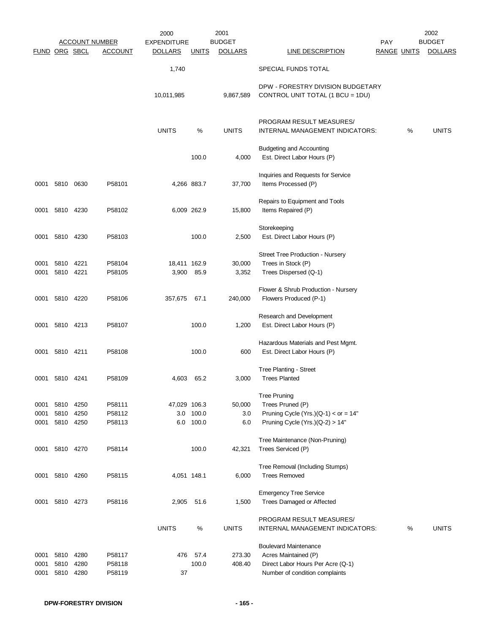|                      |                      |                      |                            | 2000               |                    | 2001             |                                                                                                                             |                    |   | 2002           |
|----------------------|----------------------|----------------------|----------------------------|--------------------|--------------------|------------------|-----------------------------------------------------------------------------------------------------------------------------|--------------------|---|----------------|
|                      |                      |                      | <b>ACCOUNT NUMBER</b>      | <b>EXPENDITURE</b> |                    | <b>BUDGET</b>    |                                                                                                                             | PAY                |   | <b>BUDGET</b>  |
| <b>FUND ORG SBCL</b> |                      |                      | <b>ACCOUNT</b>             | <b>DOLLARS</b>     | <b>UNITS</b>       | <b>DOLLARS</b>   | <b>LINE DESCRIPTION</b>                                                                                                     | <b>RANGE UNITS</b> |   | <b>DOLLARS</b> |
|                      |                      |                      |                            | 1,740              |                    |                  | SPECIAL FUNDS TOTAL                                                                                                         |                    |   |                |
|                      |                      |                      |                            | 10,011,985         |                    | 9,867,589        | DPW - FORESTRY DIVISION BUDGETARY<br>CONTROL UNIT TOTAL (1 BCU = 1DU)                                                       |                    |   |                |
|                      |                      |                      |                            | <b>UNITS</b>       | %                  | <b>UNITS</b>     | PROGRAM RESULT MEASURES/<br>INTERNAL MANAGEMENT INDICATORS:                                                                 |                    | % | <b>UNITS</b>   |
|                      |                      |                      |                            |                    | 100.0              | 4,000            | <b>Budgeting and Accounting</b><br>Est. Direct Labor Hours (P)                                                              |                    |   |                |
|                      | 0001 5810 0630       |                      | P58101                     |                    | 4,266 883.7        | 37,700           | Inquiries and Requests for Service<br>Items Processed (P)                                                                   |                    |   |                |
|                      | 0001 5810 4230       |                      | P58102                     |                    | 6,009 262.9        | 15,800           | Repairs to Equipment and Tools<br>Items Repaired (P)                                                                        |                    |   |                |
|                      | 0001 5810 4230       |                      | P58103                     |                    | 100.0              | 2,500            | Storekeeping<br>Est. Direct Labor Hours (P)                                                                                 |                    |   |                |
| 0001                 | 5810 4221            |                      | P58104                     | 18,411 162.9       |                    | 30,000           | Street Tree Production - Nursery<br>Trees in Stock (P)                                                                      |                    |   |                |
| 0001                 | 5810 4221            |                      | P58105                     | 3,900              | 85.9               | 3,352            | Trees Dispersed (Q-1)                                                                                                       |                    |   |                |
| 0001                 |                      | 5810 4220            | P58106                     | 357,675            | 67.1               | 240,000          | Flower & Shrub Production - Nursery<br>Flowers Produced (P-1)                                                               |                    |   |                |
| 0001                 | 5810 4213            |                      | P58107                     |                    | 100.0              | 1,200            | Research and Development<br>Est. Direct Labor Hours (P)                                                                     |                    |   |                |
|                      | 0001 5810 4211       |                      | P58108                     |                    | 100.0              | 600              | Hazardous Materials and Pest Mgmt.<br>Est. Direct Labor Hours (P)                                                           |                    |   |                |
| 0001                 | 5810 4241            |                      | P58109                     | 4,603              | 65.2               | 3,000            | Tree Planting - Street<br><b>Trees Planted</b>                                                                              |                    |   |                |
| 0001                 | 5810                 | 4250                 | P58111                     | 47,029 106.3       |                    | 50,000           | <b>Tree Pruning</b><br>Trees Pruned (P)                                                                                     |                    |   |                |
| 0001<br>0001         | 5810                 | 4250<br>5810 4250    | P58112<br>P58113           | 6.0                | 3.0 100.0<br>100.0 | 3.0<br>6.0       | Pruning Cycle (Yrs.)(Q-1) < or = $14"$<br>Pruning Cycle $(Yrs.)(Q-2) > 14"$                                                 |                    |   |                |
|                      |                      |                      |                            |                    |                    |                  | Tree Maintenance (Non-Pruning)                                                                                              |                    |   |                |
|                      | 0001 5810 4270       |                      | P58114                     |                    | 100.0              | 42,321           | Trees Serviced (P)                                                                                                          |                    |   |                |
|                      | 0001 5810 4260       |                      | P58115                     |                    | 4,051 148.1        | 6,000            | Tree Removal (Including Stumps)<br><b>Trees Removed</b>                                                                     |                    |   |                |
| 0001                 |                      | 5810 4273            | P58116                     | 2,905              | 51.6               | 1,500            | <b>Emergency Tree Service</b><br>Trees Damaged or Affected                                                                  |                    |   |                |
|                      |                      |                      |                            | <b>UNITS</b>       | %                  | <b>UNITS</b>     | PROGRAM RESULT MEASURES/<br>INTERNAL MANAGEMENT INDICATORS:                                                                 |                    | % | <b>UNITS</b>   |
| 0001<br>0001<br>0001 | 5810<br>5810<br>5810 | 4280<br>4280<br>4280 | P58117<br>P58118<br>P58119 | 476<br>37          | 57.4<br>100.0      | 273.30<br>408.40 | <b>Boulevard Maintenance</b><br>Acres Maintained (P)<br>Direct Labor Hours Per Acre (Q-1)<br>Number of condition complaints |                    |   |                |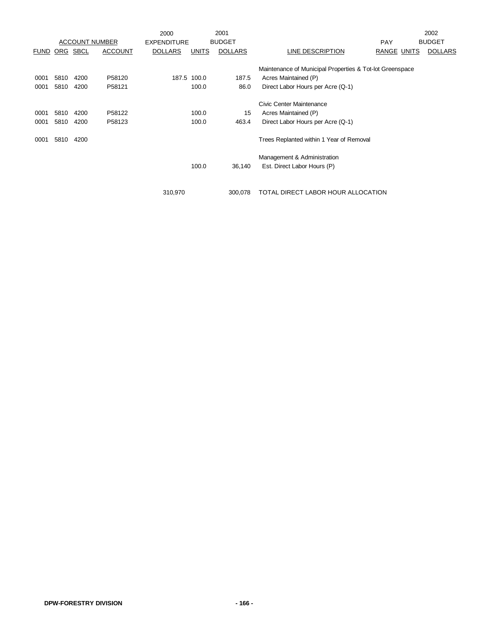|             |            |             |                       | 2000               |              | 2001           |                                                          |                    | 2002           |
|-------------|------------|-------------|-----------------------|--------------------|--------------|----------------|----------------------------------------------------------|--------------------|----------------|
|             |            |             | <b>ACCOUNT NUMBER</b> | <b>EXPENDITURE</b> |              | <b>BUDGET</b>  |                                                          | <b>PAY</b>         | <b>BUDGET</b>  |
| <u>FUND</u> | <u>ORG</u> | <u>SBCL</u> | <b>ACCOUNT</b>        | <b>DOLLARS</b>     | <b>UNITS</b> | <b>DOLLARS</b> | LINE DESCRIPTION                                         | <b>RANGE UNITS</b> | <b>DOLLARS</b> |
|             |            |             |                       |                    |              |                | Maintenance of Municipal Properties & Tot-lot Greenspace |                    |                |
| 0001        | 5810       | 4200        | P58120                |                    | 187.5 100.0  | 187.5          | Acres Maintained (P)                                     |                    |                |
| 0001        | 5810       | 4200        | P58121                |                    | 100.0        | 86.0           | Direct Labor Hours per Acre (Q-1)                        |                    |                |
|             |            |             |                       |                    |              |                | Civic Center Maintenance                                 |                    |                |
| 0001        | 5810       | 4200        | P58122                |                    | 100.0        | 15             | Acres Maintained (P)                                     |                    |                |
| 0001        | 5810       | 4200        | P58123                |                    | 100.0        | 463.4          | Direct Labor Hours per Acre (Q-1)                        |                    |                |
| 0001        | 5810       | 4200        |                       |                    |              |                | Trees Replanted within 1 Year of Removal                 |                    |                |
|             |            |             |                       |                    |              |                | Management & Administration                              |                    |                |
|             |            |             |                       |                    | 100.0        | 36,140         | Est. Direct Labor Hours (P)                              |                    |                |
|             |            |             |                       |                    |              |                |                                                          |                    |                |
|             |            |             |                       | 310,970            |              | 300.078        | TOTAL DIRECT LABOR HOUR ALLOCATION                       |                    |                |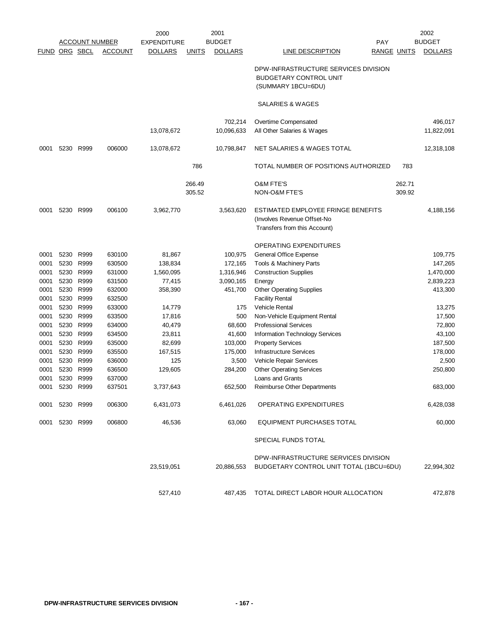|               |                |                |                | 2000               |              | 2001<br><b>BUDGET</b> |                                                                                             |        | 2002<br><b>BUDGET</b> |
|---------------|----------------|----------------|----------------|--------------------|--------------|-----------------------|---------------------------------------------------------------------------------------------|--------|-----------------------|
|               |                | ACCOUNT NUMBER |                | <b>EXPENDITURE</b> |              |                       | <b>PAY</b>                                                                                  |        |                       |
| FUND ORG SBCL |                |                | <b>ACCOUNT</b> | <b>DOLLARS</b>     | <b>UNITS</b> | <b>DOLLARS</b>        | <b>LINE DESCRIPTION</b><br><b>RANGE UNITS</b>                                               |        | <b>DOLLARS</b>        |
|               |                |                |                |                    |              |                       | DPW-INFRASTRUCTURE SERVICES DIVISION<br><b>BUDGETARY CONTROL UNIT</b><br>(SUMMARY 1BCU=6DU) |        |                       |
|               |                |                |                |                    |              |                       | SALARIES & WAGES                                                                            |        |                       |
|               |                |                |                |                    |              | 702,214               | Overtime Compensated                                                                        |        | 496,017               |
|               |                |                |                | 13,078,672         |              | 10,096,633            | All Other Salaries & Wages                                                                  |        | 11,822,091            |
|               |                |                |                |                    |              |                       |                                                                                             |        |                       |
| 0001          | 5230           | R999           | 006000         | 13,078,672         |              | 10,798,847            | NET SALARIES & WAGES TOTAL                                                                  |        | 12,318,108            |
|               |                |                |                |                    | 786          |                       | TOTAL NUMBER OF POSITIONS AUTHORIZED                                                        | 783    |                       |
|               |                |                |                |                    | 266.49       |                       | <b>O&amp;M FTE'S</b>                                                                        | 262.71 |                       |
|               |                |                |                |                    | 305.52       |                       | NON-O&M FTE'S                                                                               | 309.92 |                       |
|               |                |                |                |                    |              |                       |                                                                                             |        |                       |
| 0001          | 5230           | R999           | 006100         | 3,962,770          |              | 3,563,620             | ESTIMATED EMPLOYEE FRINGE BENEFITS                                                          |        | 4,188,156             |
|               |                |                |                |                    |              |                       | (Involves Revenue Offset-No                                                                 |        |                       |
|               |                |                |                |                    |              |                       | Transfers from this Account)                                                                |        |                       |
|               |                |                |                |                    |              |                       |                                                                                             |        |                       |
|               |                |                |                |                    |              |                       | <b>OPERATING EXPENDITURES</b>                                                               |        |                       |
| 0001          | 5230           | R999           | 630100         | 81,867             |              | 100,975               | General Office Expense                                                                      |        | 109,775               |
| 0001          | 5230           | R999           | 630500         | 138,834            |              | 172,165               | Tools & Machinery Parts                                                                     |        | 147,265               |
| 0001          | 5230           | R999           | 631000         | 1,560,095          |              | 1,316,946             | <b>Construction Supplies</b>                                                                |        | 1,470,000             |
| 0001          | 5230           | R999           | 631500         | 77,415             |              | 3,090,165             | Energy                                                                                      |        | 2,839,223             |
| 0001          | 5230           | R999           | 632000         | 358,390            |              | 451,700               | <b>Other Operating Supplies</b>                                                             |        | 413,300               |
| 0001          | 5230           | R999           | 632500         |                    |              |                       | <b>Facility Rental</b>                                                                      |        |                       |
| 0001          | 5230           | R999           | 633000         | 14,779             |              | 175                   | Vehicle Rental                                                                              |        | 13,275                |
| 0001          | 5230           | R999           | 633500         | 17,816             |              | 500                   | Non-Vehicle Equipment Rental                                                                |        | 17,500                |
| 0001          | 5230           | R999           | 634000         | 40,479             |              | 68,600                | <b>Professional Services</b>                                                                |        | 72,800                |
| 0001          | 5230           | R999           | 634500         | 23,811             |              | 41,600                | Information Technology Services                                                             |        | 43,100                |
| 0001          | 5230           | R999           | 635000         | 82,699             |              | 103,000               | <b>Property Services</b>                                                                    |        | 187,500               |
| 0001          | 5230           | R999           | 635500         | 167,515            |              | 175,000               | <b>Infrastructure Services</b>                                                              |        | 178,000               |
| 0001          | 5230           | R999           | 636000         | 125                |              | 3,500                 | Vehicle Repair Services                                                                     |        | 2,500                 |
| 0001          | 5230           | R999           | 636500         | 129,605            |              | 284,200               | <b>Other Operating Services</b>                                                             |        | 250,800               |
| 0001          | 5230           | R999           | 637000         |                    |              |                       | Loans and Grants                                                                            |        |                       |
| 0001          | 5230 R999      |                | 637501         | 3,737,643          |              | 652,500               | <b>Reimburse Other Departments</b>                                                          |        | 683,000               |
|               | 0001 5230 R999 |                | 006300         | 6,431,073          |              | 6,461,026             | OPERATING EXPENDITURES                                                                      |        | 6,428,038             |
|               | 0001 5230 R999 |                | 006800         | 46,536             |              | 63,060                | EQUIPMENT PURCHASES TOTAL                                                                   |        | 60,000                |
|               |                |                |                |                    |              |                       | SPECIAL FUNDS TOTAL                                                                         |        |                       |
|               |                |                |                |                    |              |                       | DPW-INFRASTRUCTURE SERVICES DIVISION                                                        |        |                       |
|               |                |                |                | 23,519,051         |              | 20,886,553            | BUDGETARY CONTROL UNIT TOTAL (1BCU=6DU)                                                     |        | 22,994,302            |
|               |                |                |                |                    |              |                       |                                                                                             |        |                       |
|               |                |                |                |                    |              |                       |                                                                                             |        |                       |
|               |                |                |                | 527,410            |              |                       | 487,435 TOTAL DIRECT LABOR HOUR ALLOCATION                                                  |        | 472,878               |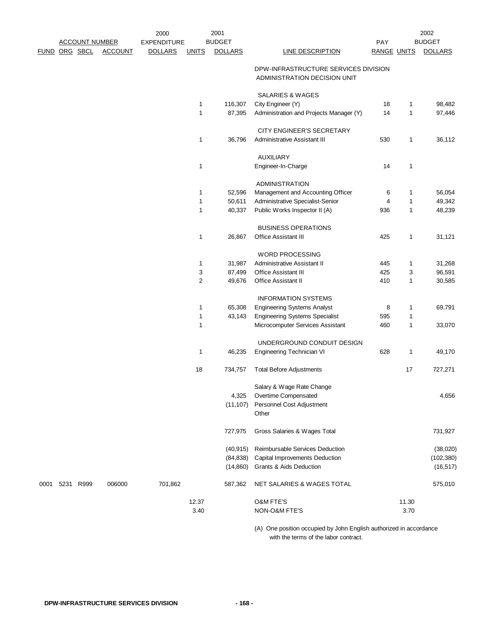|               |                | <b>ACCOUNT NUMBER</b> |                | 2000<br><b>EXPENDITURE</b> |                  | 2001<br><b>BUDGET</b> |                                                                      | <b>PAY</b>         |              | 2002<br><b>BUDGET</b> |
|---------------|----------------|-----------------------|----------------|----------------------------|------------------|-----------------------|----------------------------------------------------------------------|--------------------|--------------|-----------------------|
| FUND ORG SBCL |                |                       | <b>ACCOUNT</b> | <b>DOLLARS</b>             | <b>UNITS</b>     | <b>DOLLARS</b>        | <b>LINE DESCRIPTION</b>                                              | <b>RANGE UNITS</b> |              | <b>DOLLARS</b>        |
|               |                |                       |                |                            |                  |                       | DPW-INFRASTRUCTURE SERVICES DIVISION<br>ADMINISTRATION DECISION UNIT |                    |              |                       |
|               |                |                       |                |                            |                  |                       | <b>SALARIES &amp; WAGES</b>                                          |                    |              |                       |
|               |                |                       |                |                            | 1                | 116,307               | City Engineer (Y)                                                    | 18                 | 1            | 98,482                |
|               |                |                       |                |                            | 1                | 87,395                | Administration and Projects Manager (Y)                              | 14                 | $\mathbf{1}$ | 97,446                |
|               |                |                       |                |                            |                  |                       | CITY ENGINEER'S SECRETARY                                            |                    |              |                       |
|               |                |                       |                |                            | 1                | 36,796                | Administrative Assistant III                                         | 530                | 1            | 36,112                |
|               |                |                       |                |                            |                  |                       | <b>AUXILIARY</b>                                                     |                    |              |                       |
|               |                |                       |                |                            | $\mathbf{1}$     |                       | Engineer-In-Charge                                                   | 14                 | $\mathbf{1}$ |                       |
|               |                |                       |                |                            |                  |                       | <b>ADMINISTRATION</b>                                                |                    |              |                       |
|               |                |                       |                |                            | 1                | 52,596                | Management and Accounting Officer                                    | 6                  | 1            | 56,054                |
|               |                |                       |                |                            | $\mathbf{1}$     | 50,611                | Administrative Specialist-Senior                                     | 4                  | 1            | 49,342                |
|               |                |                       |                |                            | 1                | 40,337                | Public Works Inspector II (A)                                        | 936                | 1            | 48,239                |
|               |                |                       |                |                            |                  |                       | <b>BUSINESS OPERATIONS</b>                                           |                    |              |                       |
|               |                |                       |                |                            | 1                | 26,867                | <b>Office Assistant III</b>                                          | 425                | 1            | 31,121                |
|               |                |                       |                |                            |                  |                       | <b>WORD PROCESSING</b>                                               |                    |              |                       |
|               |                |                       |                |                            | 1                | 31,987                | Administrative Assistant II                                          | 445                | 1            | 31,268                |
|               |                |                       |                |                            | 3                | 87,499                | <b>Office Assistant III</b>                                          | 425                | 3            | 96,591                |
|               |                |                       |                |                            | $\boldsymbol{2}$ | 49,676                | <b>Office Assistant II</b>                                           | 410                | 1            | 30,585                |
|               |                |                       |                |                            |                  |                       | <b>INFORMATION SYSTEMS</b>                                           |                    |              |                       |
|               |                |                       |                |                            | 1                | 65,308                | <b>Engineering Systems Analyst</b>                                   | 8                  | 1            | 69,791                |
|               |                |                       |                |                            | $\mathbf{1}$     | 43,143                | <b>Engineering Systems Specialist</b>                                | 595                | $\mathbf{1}$ |                       |
|               |                |                       |                |                            | 1                |                       | Microcomputer Services Assistant                                     | 460                | 1            | 33,070                |
|               |                |                       |                |                            |                  |                       | UNDERGROUND CONDUIT DESIGN                                           |                    |              |                       |
|               |                |                       |                |                            | $\mathbf{1}$     | 46,235                | Engineering Technician VI                                            | 628                | 1            | 49,170                |
|               |                |                       |                |                            | 18               | 734,757               | <b>Total Before Adjustments</b>                                      |                    | 17           | 727,271               |
|               |                |                       |                |                            |                  |                       | Salary & Wage Rate Change                                            |                    |              |                       |
|               |                |                       |                |                            |                  | 4,325                 | Overtime Compensated                                                 |                    |              | 4,656                 |
|               |                |                       |                |                            |                  | (11, 107)             | Personnel Cost Adjustment                                            |                    |              |                       |
|               |                |                       |                |                            |                  |                       | Other                                                                |                    |              |                       |
|               |                |                       |                |                            |                  | 727,975               | Gross Salaries & Wages Total                                         |                    |              | 731,927               |
|               |                |                       |                |                            |                  | (40, 915)             | Reimbursable Services Deduction                                      |                    |              | (38,020)              |
|               |                |                       |                |                            |                  | (84, 838)             | <b>Capital Improvements Deduction</b>                                |                    |              | (102, 380)            |
|               |                |                       |                |                            |                  | (14, 860)             | <b>Grants &amp; Aids Deduction</b>                                   |                    |              | (16, 517)             |
|               | 0001 5231 R999 |                       | 006000         | 701,862                    |                  | 587,362               | NET SALARIES & WAGES TOTAL                                           |                    |              | 575,010               |
|               |                |                       |                |                            | 12.37            |                       | O&M FTE'S                                                            |                    | 11.30        |                       |
|               |                |                       |                |                            | 3.40             |                       | NON-O&M FTE'S                                                        |                    | 3.70         |                       |
|               |                |                       |                |                            |                  |                       | $(4)$ One position occupied by John English authorized in accordance |                    |              |                       |

(A) One position occupied by John English authorized in accordance with the terms of the labor contract.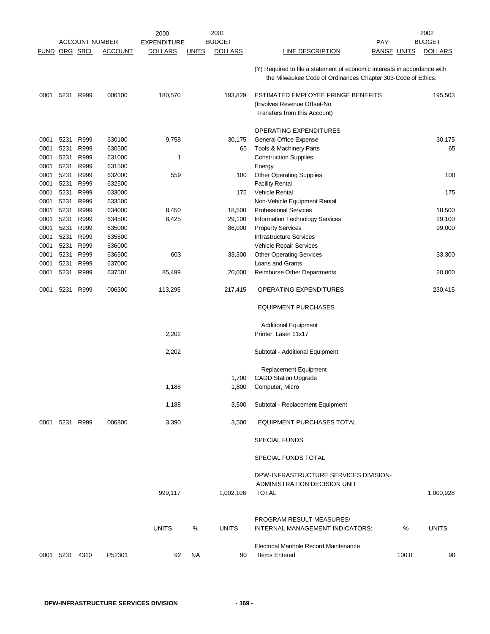|               |           |                       |                | 2000               |              | 2001           |                                                                                                                                           |                    | 2002           |
|---------------|-----------|-----------------------|----------------|--------------------|--------------|----------------|-------------------------------------------------------------------------------------------------------------------------------------------|--------------------|----------------|
|               |           | <u>ACCOUNT NUMBER</u> |                | <b>EXPENDITURE</b> |              | <b>BUDGET</b>  |                                                                                                                                           | <b>PAY</b>         | <b>BUDGET</b>  |
| FUND ORG SBCL |           |                       | <b>ACCOUNT</b> | <b>DOLLARS</b>     | <b>UNITS</b> | <b>DOLLARS</b> | LINE DESCRIPTION                                                                                                                          | <b>RANGE UNITS</b> | <b>DOLLARS</b> |
|               |           |                       |                |                    |              |                | (Y) Required to file a statement of economic interests in accordance with<br>the Milwaukee Code of Ordinances Chapter 303-Code of Ethics. |                    |                |
| 0001          | 5231 R999 |                       | 006100         | 180,570            |              | 193,829        | ESTIMATED EMPLOYEE FRINGE BENEFITS                                                                                                        |                    | 195,503        |
|               |           |                       |                |                    |              |                | (Involves Revenue Offset-No                                                                                                               |                    |                |
|               |           |                       |                |                    |              |                | Transfers from this Account)                                                                                                              |                    |                |
|               |           |                       |                |                    |              |                | OPERATING EXPENDITURES                                                                                                                    |                    |                |
| 0001          | 5231      | R999                  | 630100         | 9,758              |              | 30,175         | General Office Expense                                                                                                                    |                    | 30,175         |
| 0001          | 5231      | R999                  | 630500         |                    |              | 65             | Tools & Machinery Parts                                                                                                                   |                    | 65             |
| 0001          | 5231      | R999                  | 631000         | $\mathbf 1$        |              |                | <b>Construction Supplies</b>                                                                                                              |                    |                |
| 0001          | 5231      | R999                  | 631500         |                    |              |                | Energy                                                                                                                                    |                    |                |
| 0001          | 5231      | R999                  | 632000         | 559                |              | 100            | <b>Other Operating Supplies</b>                                                                                                           |                    | 100            |
| 0001          | 5231      | R999                  | 632500         |                    |              |                | <b>Facility Rental</b>                                                                                                                    |                    |                |
| 0001          | 5231      | R999                  | 633000         |                    |              | 175            | <b>Vehicle Rental</b>                                                                                                                     |                    | 175            |
| 0001          | 5231      | R999                  | 633500         |                    |              |                | Non-Vehicle Equipment Rental                                                                                                              |                    |                |
| 0001          | 5231      | R999                  | 634000         | 8,450              |              | 18,500         | <b>Professional Services</b>                                                                                                              |                    | 18,500         |
| 0001          | 5231      | R999                  | 634500         | 8,425              |              | 29,100         | Information Technology Services                                                                                                           |                    | 29,100         |
|               |           |                       | 635000         |                    |              |                |                                                                                                                                           |                    | 99,000         |
| 0001          | 5231      | R999                  |                |                    |              | 86,000         | <b>Property Services</b>                                                                                                                  |                    |                |
| 0001          | 5231      | R999                  | 635500         |                    |              |                | <b>Infrastructure Services</b>                                                                                                            |                    |                |
| 0001          | 5231      | R999                  | 636000         |                    |              |                | Vehicle Repair Services                                                                                                                   |                    |                |
| 0001          | 5231      | R999                  | 636500         | 603                |              | 33,300         | <b>Other Operating Services</b>                                                                                                           |                    | 33,300         |
| 0001          | 5231      | R999                  | 637000         |                    |              |                | Loans and Grants                                                                                                                          |                    |                |
| 0001          | 5231      | R999                  | 637501         | 85,499             |              | 20,000         | Reimburse Other Departments                                                                                                               |                    | 20,000         |
| 0001          | 5231      | R999                  | 006300         | 113,295            |              | 217,415        | OPERATING EXPENDITURES                                                                                                                    |                    | 230,415        |
|               |           |                       |                |                    |              |                | <b>EQUIPMENT PURCHASES</b>                                                                                                                |                    |                |
|               |           |                       |                |                    |              |                | <b>Additional Equipment</b>                                                                                                               |                    |                |
|               |           |                       |                | 2,202              |              |                | Printer, Laser 11x17                                                                                                                      |                    |                |
|               |           |                       |                | 2,202              |              |                | Subtotal - Additional Equipment                                                                                                           |                    |                |
|               |           |                       |                |                    |              |                | Replacement Equipment                                                                                                                     |                    |                |
|               |           |                       |                |                    |              | 1,700          | <b>CADD Station Upgrade</b>                                                                                                               |                    |                |
|               |           |                       |                | 1,188              |              | 1,800          | Computer, Micro                                                                                                                           |                    |                |
|               |           |                       |                | 1,188              |              | 3,500          | Subtotal - Replacement Equipment                                                                                                          |                    |                |
| 0001          | 5231 R999 |                       | 006800         | 3,390              |              | 3,500          | EQUIPMENT PURCHASES TOTAL                                                                                                                 |                    |                |
|               |           |                       |                |                    |              |                | <b>SPECIAL FUNDS</b>                                                                                                                      |                    |                |
|               |           |                       |                |                    |              |                | SPECIAL FUNDS TOTAL                                                                                                                       |                    |                |
|               |           |                       |                | 999,117            |              | 1,002,106      | DPW-INFRASTRUCTURE SERVICES DIVISION-<br>ADMINISTRATION DECISION UNIT<br><b>TOTAL</b>                                                     |                    | 1,000,928      |
|               |           |                       |                |                    |              |                |                                                                                                                                           |                    |                |
|               |           |                       |                | <b>UNITS</b>       | %            | <b>UNITS</b>   | PROGRAM RESULT MEASURES/<br>INTERNAL MANAGEMENT INDICATORS:                                                                               | %                  | <b>UNITS</b>   |
|               |           |                       |                |                    |              |                | Electrical Manhole Record Maintenance                                                                                                     |                    |                |
| 0001 5231     |           | 4310                  | P52301         | 92                 | NA.          | 90             | <b>Items Entered</b>                                                                                                                      | 100.0              | 90             |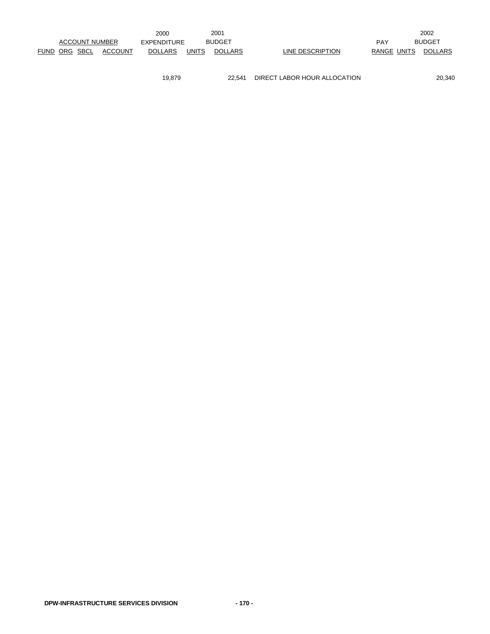|                       |                | 2000           |              | 2001           |                  |             | 2002           |
|-----------------------|----------------|----------------|--------------|----------------|------------------|-------------|----------------|
| <b>ACCOUNT NUMBER</b> |                | EXPENDITURE    |              | <b>BUDGET</b>  |                  | <b>PAY</b>  | <b>BUDGET</b>  |
| FUND ORG SBCL         | <b>ACCOUNT</b> | <b>DOLLARS</b> | <b>UNITS</b> | <b>DOLLARS</b> | LINE DESCRIPTION | RANGE UNITS | <b>DOLLARS</b> |
|                       |                |                |              |                |                  |             |                |

19,879 22,541 DIRECT LABOR HOUR ALLOCATION 20,340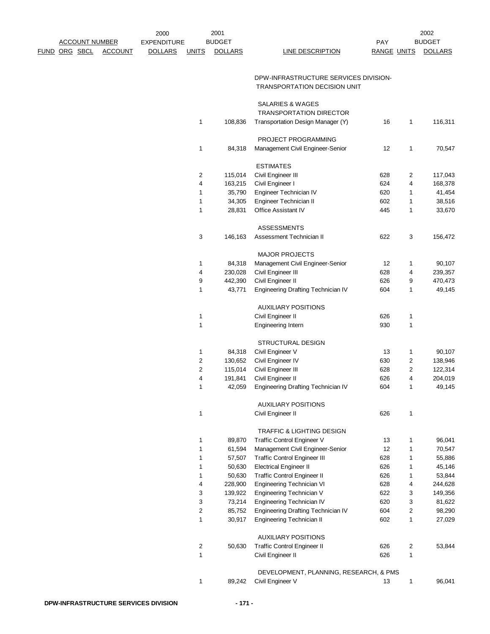|             |                       |                | 2000               |                         | 2001              |                                                         |                    |                | 2002              |
|-------------|-----------------------|----------------|--------------------|-------------------------|-------------------|---------------------------------------------------------|--------------------|----------------|-------------------|
|             | <b>ACCOUNT NUMBER</b> |                | <b>EXPENDITURE</b> |                         | <b>BUDGET</b>     |                                                         | <b>PAY</b>         |                | <b>BUDGET</b>     |
| <u>FUND</u> | ORG SBCL              | <b>ACCOUNT</b> | <b>DOLLARS</b>     | <b>UNITS</b>            | <b>DOLLARS</b>    | <b>LINE DESCRIPTION</b>                                 | <b>RANGE UNITS</b> |                | <b>DOLLARS</b>    |
|             |                       |                |                    |                         |                   | DPW-INFRASTRUCTURE SERVICES DIVISION-                   |                    |                |                   |
|             |                       |                |                    |                         |                   | TRANSPORTATION DECISION UNIT                            |                    |                |                   |
|             |                       |                |                    |                         |                   | SALARIES & WAGES<br><b>TRANSPORTATION DIRECTOR</b>      |                    |                |                   |
|             |                       |                |                    | $\mathbf{1}$            | 108,836           | Transportation Design Manager (Y)                       | 16                 | 1              | 116,311           |
|             |                       |                |                    |                         |                   | PROJECT PROGRAMMING                                     |                    |                |                   |
|             |                       |                |                    | 1                       | 84,318            | Management Civil Engineer-Senior                        | 12                 | 1              | 70,547            |
|             |                       |                |                    | $\overline{2}$          | 115,014           | <b>ESTIMATES</b><br>Civil Engineer III                  | 628                | 2              | 117,043           |
|             |                       |                |                    | 4                       | 163,215           | Civil Engineer I                                        | 624                | 4              | 168,378           |
|             |                       |                |                    | $\mathbf{1}$            | 35,790            | Engineer Technician IV                                  | 620                | 1              | 41,454            |
|             |                       |                |                    | $\mathbf{1}$            | 34,305            | Engineer Technician II                                  | 602                | 1              | 38,516            |
|             |                       |                |                    | $\mathbf{1}$            | 28,831            | Office Assistant IV                                     | 445                | 1              | 33,670            |
|             |                       |                |                    |                         |                   |                                                         |                    |                |                   |
|             |                       |                |                    |                         |                   | <b>ASSESSMENTS</b>                                      |                    |                |                   |
|             |                       |                |                    | 3                       | 146,163           | Assessment Technician II                                | 622                | 3              | 156,472           |
|             |                       |                |                    |                         |                   | <b>MAJOR PROJECTS</b>                                   |                    |                |                   |
|             |                       |                |                    | 1                       | 84,318            | Management Civil Engineer-Senior                        | 12                 | 1              | 90,107            |
|             |                       |                |                    | 4                       | 230,028           | Civil Engineer III                                      | 628                | 4              | 239,357           |
|             |                       |                |                    | 9                       | 442,390           | Civil Engineer II                                       | 626                | 9              | 470,473           |
|             |                       |                |                    | $\mathbf{1}$            | 43,771            | Engineering Drafting Technician IV                      | 604                | 1              | 49,145            |
|             |                       |                |                    | $\mathbf{1}$            |                   | <b>AUXILIARY POSITIONS</b><br>Civil Engineer II         | 626                | 1              |                   |
|             |                       |                |                    | $\mathbf{1}$            |                   | Engineering Intern                                      | 930                | 1              |                   |
|             |                       |                |                    |                         |                   | <b>STRUCTURAL DESIGN</b>                                |                    |                |                   |
|             |                       |                |                    | 1                       |                   |                                                         | 13                 |                | 90,107            |
|             |                       |                |                    | $\overline{c}$          | 84,318            | Civil Engineer V                                        | 630                | 1<br>2         |                   |
|             |                       |                |                    |                         | 130,652           | Civil Engineer IV                                       |                    |                | 138,946           |
|             |                       |                |                    | $\overline{c}$          | 115,014           | Civil Engineer III                                      | 628                | 2              | 122,314           |
|             |                       |                |                    | 4<br>$\mathbf{1}$       | 191,841<br>42,059 | Civil Engineer II<br>Engineering Drafting Technician IV | 626<br>604         | 4<br>1         | 204,019<br>49,145 |
|             |                       |                |                    |                         |                   | <b>AUXILIARY POSITIONS</b>                              |                    |                |                   |
|             |                       |                |                    | $\mathbf{1}$            |                   | Civil Engineer II                                       | 626                | 1              |                   |
|             |                       |                |                    |                         |                   | TRAFFIC & LIGHTING DESIGN                               |                    |                |                   |
|             |                       |                |                    | $\mathbf{1}$            | 89,870            | Traffic Control Engineer V                              | 13                 | 1              | 96,041            |
|             |                       |                |                    | $\mathbf{1}$            | 61,594            | Management Civil Engineer-Senior                        | 12                 | 1              | 70,547            |
|             |                       |                |                    | 1                       | 57,507            | <b>Traffic Control Engineer III</b>                     | 628                | 1              | 55,886            |
|             |                       |                |                    | 1                       | 50,630            | <b>Electrical Engineer II</b>                           | 626                | 1              | 45,146            |
|             |                       |                |                    | 1                       | 50,630            | Traffic Control Engineer II                             | 626                | 1              | 53,844            |
|             |                       |                |                    | 4                       | 228,900           | Engineering Technician VI                               | 628                | 4              | 244,628           |
|             |                       |                |                    | 3                       | 139,922           | Engineering Technician V                                | 622                | 3              | 149,356           |
|             |                       |                |                    | 3                       | 73,214            | Engineering Technician IV                               | 620                | 3              | 81,622            |
|             |                       |                |                    | $\overline{c}$          | 85,752            | Engineering Drafting Technician IV                      | 604                | $\overline{c}$ | 98,290            |
|             |                       |                |                    | 1                       | 30,917            | Engineering Technician II                               | 602                | 1              | 27,029            |
|             |                       |                |                    |                         |                   | <b>AUXILIARY POSITIONS</b>                              |                    |                |                   |
|             |                       |                |                    | $\overline{\mathbf{c}}$ | 50,630            | <b>Traffic Control Engineer II</b>                      | 626                | 2              | 53,844            |
|             |                       |                |                    | $\mathbf{1}$            |                   | Civil Engineer II                                       | 626                | 1              |                   |
|             |                       |                |                    |                         |                   | DEVELOPMENT, PLANNING, RESEARCH, & PMS                  |                    |                |                   |
|             |                       |                |                    | $\mathbf{1}$            | 89,242            | Civil Engineer V                                        | 13                 | $\mathbf{1}$   | 96,041            |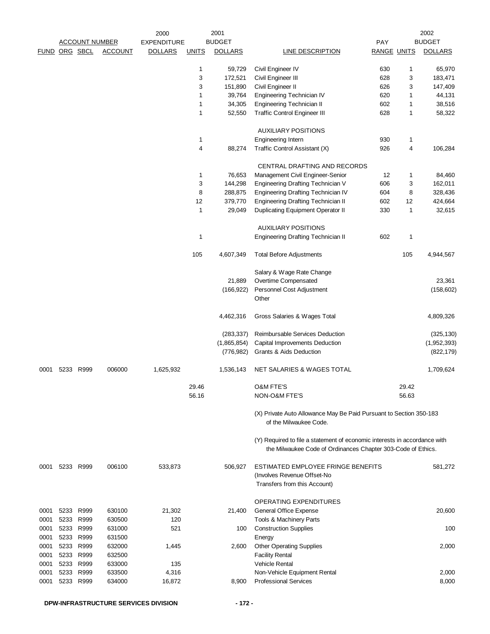|               | <b>ACCOUNT NUMBER</b>  |                  | 2000<br><b>EXPENDITURE</b> |                | 2001<br><b>BUDGET</b> |                                                                                                                                           | PAY                |              | 2002<br><b>BUDGET</b> |
|---------------|------------------------|------------------|----------------------------|----------------|-----------------------|-------------------------------------------------------------------------------------------------------------------------------------------|--------------------|--------------|-----------------------|
| FUND ORG SBCL |                        | <b>ACCOUNT</b>   | <b>DOLLARS</b>             | <b>UNITS</b>   | <b>DOLLARS</b>        | <b>LINE DESCRIPTION</b>                                                                                                                   | <b>RANGE UNITS</b> |              | <b>DOLLARS</b>        |
|               |                        |                  |                            |                |                       |                                                                                                                                           |                    |              |                       |
|               |                        |                  |                            | 1<br>3         | 59,729<br>172,521     | Civil Engineer IV<br>Civil Engineer III                                                                                                   | 630<br>628         | 1<br>3       | 65,970<br>183,471     |
|               |                        |                  |                            | 3              | 151,890               | Civil Engineer II                                                                                                                         | 626                | 3            | 147,409               |
|               |                        |                  |                            | 1              | 39,764                | Engineering Technician IV                                                                                                                 | 620                | 1            | 44,131                |
|               |                        |                  |                            | 1              | 34,305                | Engineering Technician II                                                                                                                 | 602                | 1            | 38,516                |
|               |                        |                  |                            | 1              | 52,550                | <b>Traffic Control Engineer III</b>                                                                                                       | 628                | $\mathbf{1}$ | 58,322                |
|               |                        |                  |                            |                |                       | <b>AUXILIARY POSITIONS</b>                                                                                                                |                    |              |                       |
|               |                        |                  |                            | 1              |                       | Engineering Intern                                                                                                                        | 930                | 1            |                       |
|               |                        |                  |                            | $\overline{4}$ | 88,274                | Traffic Control Assistant (X)                                                                                                             | 926                | 4            | 106,284               |
|               |                        |                  |                            | 1              | 76,653                | CENTRAL DRAFTING AND RECORDS<br>Management Civil Engineer-Senior                                                                          | 12                 | 1            | 84,460                |
|               |                        |                  |                            | 3              | 144,298               | Engineering Drafting Technician V                                                                                                         | 606                | 3            | 162,011               |
|               |                        |                  |                            | 8              | 288,875               | Engineering Drafting Technician IV                                                                                                        | 604                | 8            | 328,436               |
|               |                        |                  |                            | 12             | 379,770               | Engineering Drafting Technician II                                                                                                        | 602                | 12           | 424,664               |
|               |                        |                  |                            | $\mathbf{1}$   | 29,049                | <b>Duplicating Equipment Operator II</b>                                                                                                  | 330                | 1            | 32,615                |
|               |                        |                  |                            |                |                       | <b>AUXILIARY POSITIONS</b>                                                                                                                |                    |              |                       |
|               |                        |                  |                            | $\mathbf{1}$   |                       | <b>Engineering Drafting Technician II</b>                                                                                                 | 602                | 1            |                       |
|               |                        |                  |                            | 105            | 4,607,349             | <b>Total Before Adjustments</b>                                                                                                           |                    | 105          | 4,944,567             |
|               |                        |                  |                            |                |                       | Salary & Wage Rate Change                                                                                                                 |                    |              |                       |
|               |                        |                  |                            |                | 21,889                | Overtime Compensated                                                                                                                      |                    |              | 23,361                |
|               |                        |                  |                            |                | (166, 922)            | Personnel Cost Adjustment<br>Other                                                                                                        |                    |              | (158, 602)            |
|               |                        |                  |                            |                | 4,462,316             | Gross Salaries & Wages Total                                                                                                              |                    |              | 4,809,326             |
|               |                        |                  |                            |                | (283, 337)            | Reimbursable Services Deduction                                                                                                           |                    |              | (325, 130)            |
|               |                        |                  |                            |                | (1,865,854)           | Capital Improvements Deduction                                                                                                            |                    |              | (1,952,393)           |
|               |                        |                  |                            |                | (776, 982)            | Grants & Aids Deduction                                                                                                                   |                    |              | (822, 179)            |
| 0001          | 5233 R999              | 006000           | 1,625,932                  |                | 1,536,143             | NET SALARIES & WAGES TOTAL                                                                                                                |                    |              | 1,709,624             |
|               |                        |                  |                            | 29.46          |                       | <b>O&amp;M FTE'S</b>                                                                                                                      |                    | 29.42        |                       |
|               |                        |                  |                            | 56.16          |                       | NON-O&M FTE'S                                                                                                                             |                    | 56.63        |                       |
|               |                        |                  |                            |                |                       | (X) Private Auto Allowance May Be Paid Pursuant to Section 350-183<br>of the Milwaukee Code.                                              |                    |              |                       |
|               |                        |                  |                            |                |                       | (Y) Required to file a statement of economic interests in accordance with<br>the Milwaukee Code of Ordinances Chapter 303-Code of Ethics. |                    |              |                       |
| 0001          | 5233 R999              | 006100           | 533,873                    |                | 506,927               | ESTIMATED EMPLOYEE FRINGE BENEFITS                                                                                                        |                    |              | 581,272               |
|               |                        |                  |                            |                |                       | (Involves Revenue Offset-No<br>Transfers from this Account)                                                                               |                    |              |                       |
|               |                        |                  |                            |                |                       | OPERATING EXPENDITURES                                                                                                                    |                    |              |                       |
| 0001          | 5233 R999              | 630100           | 21,302                     |                | 21,400                | General Office Expense                                                                                                                    |                    |              | 20,600                |
| 0001          | 5233 R999              | 630500           | 120                        |                |                       | Tools & Machinery Parts                                                                                                                   |                    |              |                       |
| 0001          | 5233 R999              | 631000           | 521                        |                | 100                   | <b>Construction Supplies</b>                                                                                                              |                    |              | 100                   |
| 0001          | 5233 R999              | 631500           |                            |                |                       | Energy                                                                                                                                    |                    |              |                       |
| 0001<br>0001  | 5233 R999<br>5233 R999 | 632000<br>632500 | 1,445                      |                | 2,600                 | <b>Other Operating Supplies</b><br><b>Facility Rental</b>                                                                                 |                    |              | 2,000                 |
| 0001          | 5233 R999              | 633000           | 135                        |                |                       | <b>Vehicle Rental</b>                                                                                                                     |                    |              |                       |
| 0001          | 5233 R999              | 633500           | 4,316                      |                |                       | Non-Vehicle Equipment Rental                                                                                                              |                    |              | 2,000                 |
| 0001          | 5233 R999              | 634000           | 16,872                     |                | 8,900                 | <b>Professional Services</b>                                                                                                              |                    |              | 8,000                 |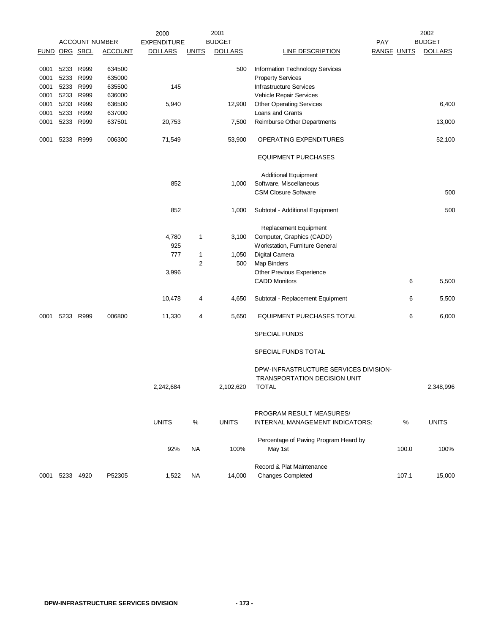|                      |                |                       |                | 2000               |              | 2001           |                                                     |                    | 2002           |
|----------------------|----------------|-----------------------|----------------|--------------------|--------------|----------------|-----------------------------------------------------|--------------------|----------------|
|                      |                | <b>ACCOUNT NUMBER</b> |                | <b>EXPENDITURE</b> |              | <b>BUDGET</b>  | <b>PAY</b>                                          |                    | <b>BUDGET</b>  |
| <b>FUND ORG SBCL</b> |                |                       | <b>ACCOUNT</b> | <b>DOLLARS</b>     | <b>UNITS</b> | <b>DOLLARS</b> | <b>LINE DESCRIPTION</b>                             | <b>RANGE UNITS</b> | <b>DOLLARS</b> |
| 0001                 | 5233 R999      |                       | 634500         |                    |              | 500            | Information Technology Services                     |                    |                |
| 0001                 | 5233 R999      |                       | 635000         |                    |              |                | <b>Property Services</b>                            |                    |                |
| 0001                 | 5233 R999      |                       | 635500         | 145                |              |                | <b>Infrastructure Services</b>                      |                    |                |
| 0001                 | 5233 R999      |                       | 636000         |                    |              |                | Vehicle Repair Services                             |                    |                |
| 0001                 | 5233 R999      |                       | 636500         | 5,940              |              | 12,900         | <b>Other Operating Services</b>                     |                    | 6,400          |
| 0001                 | 5233 R999      |                       | 637000         |                    |              |                | Loans and Grants                                    |                    |                |
| 0001                 | 5233 R999      |                       | 637501         | 20,753             |              | 7,500          | Reimburse Other Departments                         |                    | 13,000         |
|                      |                |                       |                |                    |              |                |                                                     |                    |                |
| 0001                 | 5233 R999      |                       | 006300         | 71,549             |              | 53,900         | OPERATING EXPENDITURES                              |                    | 52,100         |
|                      |                |                       |                |                    |              |                | <b>EQUIPMENT PURCHASES</b>                          |                    |                |
|                      |                |                       |                |                    |              |                | <b>Additional Equipment</b>                         |                    |                |
|                      |                |                       |                | 852                |              | 1,000          | Software, Miscellaneous                             |                    |                |
|                      |                |                       |                |                    |              |                | <b>CSM Closure Software</b>                         |                    | 500            |
|                      |                |                       |                | 852                |              | 1,000          | Subtotal - Additional Equipment                     |                    | 500            |
|                      |                |                       |                |                    |              |                | Replacement Equipment                               |                    |                |
|                      |                |                       |                | 4,780              | 1            | 3,100          | Computer, Graphics (CADD)                           |                    |                |
|                      |                |                       |                | 925                |              |                | Workstation, Furniture General                      |                    |                |
|                      |                |                       |                | 777                | 1            | 1,050          | Digital Camera                                      |                    |                |
|                      |                |                       |                |                    | 2            | 500            | Map Binders                                         |                    |                |
|                      |                |                       |                | 3,996              |              |                | Other Previous Experience                           |                    |                |
|                      |                |                       |                |                    |              |                | <b>CADD Monitors</b>                                | 6                  | 5,500          |
|                      |                |                       |                |                    |              |                |                                                     |                    |                |
|                      |                |                       |                | 10,478             | 4            | 4,650          | Subtotal - Replacement Equipment                    | 6                  | 5,500          |
| 0001                 | 5233 R999      |                       | 006800         | 11,330             | 4            | 5,650          | <b>EQUIPMENT PURCHASES TOTAL</b>                    | 6                  | 6,000          |
|                      |                |                       |                |                    |              |                | <b>SPECIAL FUNDS</b>                                |                    |                |
|                      |                |                       |                |                    |              |                | SPECIAL FUNDS TOTAL                                 |                    |                |
|                      |                |                       |                |                    |              |                | DPW-INFRASTRUCTURE SERVICES DIVISION-               |                    |                |
|                      |                |                       |                | 2,242,684          |              | 2,102,620      | <b>TRANSPORTATION DECISION UNIT</b><br><b>TOTAL</b> |                    | 2,348,996      |
|                      |                |                       |                |                    |              |                |                                                     |                    |                |
|                      |                |                       |                |                    |              |                | PROGRAM RESULT MEASURES/                            |                    |                |
|                      |                |                       |                | <b>UNITS</b>       | %            | <b>UNITS</b>   | INTERNAL MANAGEMENT INDICATORS:                     | %                  | <b>UNITS</b>   |
|                      |                |                       |                |                    |              |                | Percentage of Paving Program Heard by               |                    |                |
|                      |                |                       |                | 92%                | <b>NA</b>    | 100%           | May 1st                                             | 100.0              | 100%           |
|                      |                |                       |                |                    |              |                | Record & Plat Maintenance                           |                    |                |
|                      | 0001 5233 4920 |                       | P52305         | 1,522              | NA.          | 14,000         | <b>Changes Completed</b>                            | 107.1              | 15,000         |
|                      |                |                       |                |                    |              |                |                                                     |                    |                |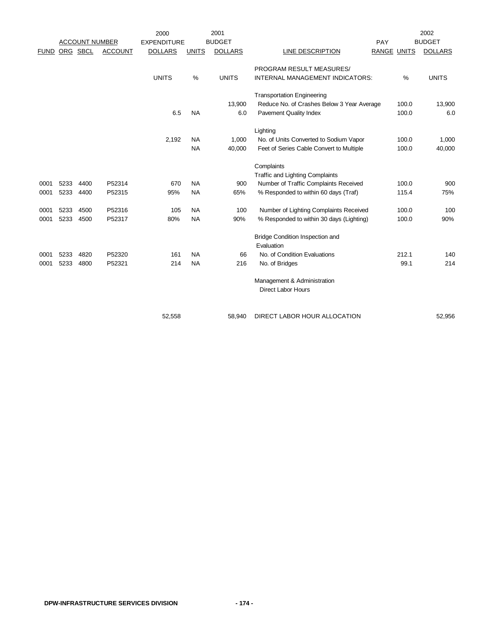|             |          | <b>ACCOUNT NUMBER</b> |                | 2000<br><b>EXPENDITURE</b> |                        | 2001<br><b>BUDGET</b> |                                                                                                           | PAY                |                | 2002<br><b>BUDGET</b> |
|-------------|----------|-----------------------|----------------|----------------------------|------------------------|-----------------------|-----------------------------------------------------------------------------------------------------------|--------------------|----------------|-----------------------|
| <b>FUND</b> | ORG SBCL |                       | <b>ACCOUNT</b> | <b>DOLLARS</b>             | <b>UNITS</b>           | <b>DOLLARS</b>        | <b>LINE DESCRIPTION</b>                                                                                   | <b>RANGE UNITS</b> |                | <b>DOLLARS</b>        |
|             |          |                       |                | <b>UNITS</b>               | $\frac{0}{0}$          | <b>UNITS</b>          | PROGRAM RESULT MEASURES/<br>INTERNAL MANAGEMENT INDICATORS:                                               |                    | $\%$           | <b>UNITS</b>          |
|             |          |                       |                | 6.5                        | <b>NA</b>              | 13,900<br>6.0         | <b>Transportation Engineering</b><br>Reduce No. of Crashes Below 3 Year Average<br>Pavement Quality Index |                    | 100.0<br>100.0 | 13,900<br>6.0         |
|             |          |                       |                | 2,192                      | <b>NA</b><br><b>NA</b> | 1,000<br>40,000       | Lighting<br>No. of Units Converted to Sodium Vapor<br>Feet of Series Cable Convert to Multiple            |                    | 100.0<br>100.0 | 1,000<br>40,000       |
|             |          |                       |                |                            |                        |                       | Complaints<br><b>Traffic and Lighting Complaints</b>                                                      |                    |                |                       |
| 0001        | 5233     | 4400                  | P52314         | 670                        | <b>NA</b>              | 900                   | Number of Traffic Complaints Received                                                                     |                    | 100.0          | 900                   |
| 0001        | 5233     | 4400                  | P52315         | 95%                        | <b>NA</b>              | 65%                   | % Responded to within 60 days (Traf)                                                                      |                    | 115.4          | 75%                   |
| 0001        | 5233     | 4500                  | P52316         | 105                        | <b>NA</b>              | 100                   | Number of Lighting Complaints Received                                                                    |                    | 100.0          | 100                   |
| 0001        | 5233     | 4500                  | P52317         | 80%                        | <b>NA</b>              | 90%                   | % Responded to within 30 days (Lighting)                                                                  |                    | 100.0          | 90%                   |
|             |          |                       |                |                            |                        |                       | <b>Bridge Condition Inspection and</b><br>Evaluation                                                      |                    |                |                       |
| 0001        | 5233     | 4820                  | P52320         | 161                        | <b>NA</b>              | 66                    | No. of Condition Evaluations                                                                              |                    | 212.1          | 140                   |
| 0001        | 5233     | 4800                  | P52321         | 214                        | <b>NA</b>              | 216                   | No. of Bridges                                                                                            |                    | 99.1           | 214                   |
|             |          |                       |                |                            |                        |                       | Management & Administration<br><b>Direct Labor Hours</b>                                                  |                    |                |                       |
|             |          |                       |                | 52,558                     |                        | 58,940                | DIRECT LABOR HOUR ALLOCATION                                                                              |                    |                | 52,956                |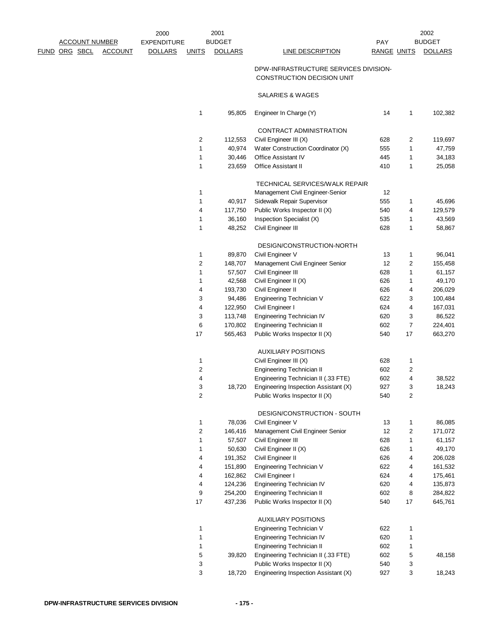|                      | <b>ACCOUNT NUMBER</b> |                | 2000<br><b>EXPENDITURE</b> |                | 2001<br><b>BUDGET</b> |                                                                     | PAY                |    | 2002<br><b>BUDGET</b> |
|----------------------|-----------------------|----------------|----------------------------|----------------|-----------------------|---------------------------------------------------------------------|--------------------|----|-----------------------|
|                      |                       |                |                            |                |                       | <b>LINE DESCRIPTION</b>                                             |                    |    |                       |
| <u>FUND ORG SBCL</u> |                       | <b>ACCOUNT</b> | <b>DOLLARS</b>             | <b>UNITS</b>   | <b>DOLLARS</b>        |                                                                     | <b>RANGE UNITS</b> |    | <b>DOLLARS</b>        |
|                      |                       |                |                            |                |                       | DPW-INFRASTRUCTURE SERVICES DIVISION-<br>CONSTRUCTION DECISION UNIT |                    |    |                       |
|                      |                       |                |                            |                |                       | SALARIES & WAGES                                                    |                    |    |                       |
|                      |                       |                |                            | 1              | 95,805                | Engineer In Charge (Y)                                              | 14                 | 1  | 102,382               |
|                      |                       |                |                            |                |                       | CONTRACT ADMINISTRATION                                             |                    |    |                       |
|                      |                       |                |                            | $\overline{c}$ | 112,553               | Civil Engineer III (X)                                              | 628                | 2  | 119,697               |
|                      |                       |                |                            | 1              | 40,974                | Water Construction Coordinator (X)                                  | 555                | 1  | 47,759                |
|                      |                       |                |                            | $\mathbf{1}$   | 30,446                | Office Assistant IV                                                 | 445                | 1  | 34,183                |
|                      |                       |                |                            | 1              | 23,659                | <b>Office Assistant II</b>                                          | 410                | 1  | 25,058                |
|                      |                       |                |                            |                |                       | TECHNICAL SERVICES/WALK REPAIR                                      |                    |    |                       |
|                      |                       |                |                            | 1              |                       | Management Civil Engineer-Senior                                    | 12                 |    |                       |
|                      |                       |                |                            | 1              | 40,917                | Sidewalk Repair Supervisor                                          | 555                | 1  | 45,696                |
|                      |                       |                |                            | 4              | 117,750               | Public Works Inspector II (X)                                       | 540                | 4  | 129,579               |
|                      |                       |                |                            | 1              | 36,160                | Inspection Specialist (X)                                           | 535                | 1  | 43,569                |
|                      |                       |                |                            | 1              | 48,252                | Civil Engineer III                                                  | 628                | 1  | 58,867                |
|                      |                       |                |                            |                |                       | DESIGN/CONSTRUCTION-NORTH                                           |                    |    |                       |
|                      |                       |                |                            | 1              | 89,870                | Civil Engineer V                                                    | 13                 | 1  | 96,041                |
|                      |                       |                |                            | $\sqrt{2}$     | 148,707               | Management Civil Engineer Senior                                    | 12                 | 2  | 155,458               |
|                      |                       |                |                            | 1              | 57,507                | Civil Engineer III                                                  | 628                | 1  | 61,157                |
|                      |                       |                |                            | 1              | 42,568                | Civil Engineer II (X)                                               | 626                | 1  | 49,170                |
|                      |                       |                |                            | 4              | 193,730               | Civil Engineer II                                                   | 626                | 4  | 206,029               |
|                      |                       |                |                            | 3              | 94,486                | Engineering Technician V                                            | 622                | 3  | 100,484               |
|                      |                       |                |                            | 4              | 122,950               | Civil Engineer I                                                    | 624                | 4  | 167,031               |
|                      |                       |                |                            | 3              | 113,748               | Engineering Technician IV                                           | 620                | 3  | 86,522                |
|                      |                       |                |                            | 6              | 170,802               | Engineering Technician II                                           | 602                | 7  | 224,401               |
|                      |                       |                |                            | 17             | 565,463               | Public Works Inspector II (X)                                       | 540                | 17 | 663,270               |
|                      |                       |                |                            |                |                       | <b>AUXILIARY POSITIONS</b>                                          |                    |    |                       |
|                      |                       |                |                            | 1              |                       | Civil Engineer III (X)                                              | 628                | 1  |                       |
|                      |                       |                |                            | $\overline{c}$ |                       | Engineering Technician II                                           | 602                | 2  |                       |
|                      |                       |                |                            | 4              |                       | Engineering Technician II (.33 FTE)                                 | 602                | 4  | 38,522                |
|                      |                       |                |                            | 3              | 18,720                | Engineering Inspection Assistant (X)                                | 927                | 3  | 18,243                |
|                      |                       |                |                            | $\overline{c}$ |                       | Public Works Inspector II (X)                                       | 540                | 2  |                       |
|                      |                       |                |                            |                |                       | DESIGN/CONSTRUCTION - SOUTH                                         |                    |    |                       |
|                      |                       |                |                            | 1              | 78,036                | Civil Engineer V                                                    | 13                 | 1  | 86,085                |
|                      |                       |                |                            | $\overline{c}$ | 146,416               | Management Civil Engineer Senior                                    | 12                 | 2  | 171,072               |
|                      |                       |                |                            | 1              | 57,507                | Civil Engineer III                                                  | 628                | 1  | 61,157                |
|                      |                       |                |                            | 1              | 50,630                | Civil Engineer II (X)                                               | 626                | 1  | 49,170                |
|                      |                       |                |                            | 4              | 191,352               | Civil Engineer II                                                   | 626                | 4  | 206,028               |
|                      |                       |                |                            | 4              | 151,890               | Engineering Technician V                                            | 622                | 4  | 161,532               |
|                      |                       |                |                            | 4              | 162,862               | Civil Engineer I                                                    | 624                | 4  | 175,461               |
|                      |                       |                |                            | 4              | 124,236               | Engineering Technician IV                                           | 620                | 4  | 135,873               |
|                      |                       |                |                            | 9              | 254,200               | Engineering Technician II                                           | 602                | 8  | 284,822               |
|                      |                       |                |                            | 17             | 437,236               | Public Works Inspector II (X)                                       | 540                | 17 | 645,761               |
|                      |                       |                |                            |                |                       | <b>AUXILIARY POSITIONS</b>                                          |                    |    |                       |
|                      |                       |                |                            | 1              |                       | Engineering Technician V                                            | 622                | 1  |                       |
|                      |                       |                |                            | 1              |                       | Engineering Technician IV                                           | 620                | 1  |                       |
|                      |                       |                |                            | 1              |                       | Engineering Technician II                                           | 602                | 1  |                       |
|                      |                       |                |                            | 5              | 39,820                | Engineering Technician II (.33 FTE)                                 | 602                | 5  | 48,158                |
|                      |                       |                |                            | 3              |                       | Public Works Inspector II (X)                                       | 540                | 3  |                       |
|                      |                       |                |                            | 3              | 18,720                | Engineering Inspection Assistant (X)                                | 927                | 3  | 18,243                |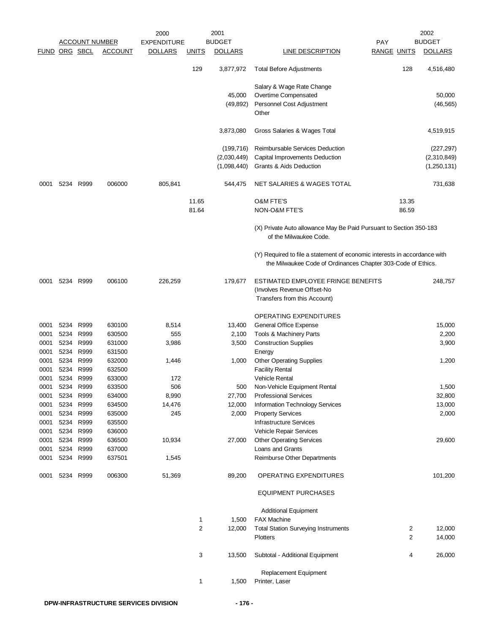|                      |      |                        |                       | 2000               |                | 2001           |                                                                                                                                           |                    |        | 2002             |
|----------------------|------|------------------------|-----------------------|--------------------|----------------|----------------|-------------------------------------------------------------------------------------------------------------------------------------------|--------------------|--------|------------------|
|                      |      |                        | <b>ACCOUNT NUMBER</b> | <b>EXPENDITURE</b> |                | <b>BUDGET</b>  |                                                                                                                                           | <b>PAY</b>         |        | <b>BUDGET</b>    |
| <b>FUND ORG SBCL</b> |      |                        | <b>ACCOUNT</b>        | <b>DOLLARS</b>     | <b>UNITS</b>   | <b>DOLLARS</b> | <b>LINE DESCRIPTION</b>                                                                                                                   | <u>RANGE UNITS</u> |        | <b>DOLLARS</b>   |
|                      |      |                        |                       |                    | 129            | 3,877,972      | <b>Total Before Adjustments</b>                                                                                                           |                    | 128    | 4,516,480        |
|                      |      |                        |                       |                    |                |                | Salary & Wage Rate Change                                                                                                                 |                    |        |                  |
|                      |      |                        |                       |                    |                | 45,000         | Overtime Compensated                                                                                                                      |                    |        | 50,000           |
|                      |      |                        |                       |                    |                | (49, 892)      | Personnel Cost Adjustment<br>Other                                                                                                        |                    |        | (46, 565)        |
|                      |      |                        |                       |                    |                | 3,873,080      | Gross Salaries & Wages Total                                                                                                              |                    |        | 4,519,915        |
|                      |      |                        |                       |                    |                | (199, 716)     | Reimbursable Services Deduction                                                                                                           |                    |        | (227, 297)       |
|                      |      |                        |                       |                    |                | (2,030,449)    | Capital Improvements Deduction                                                                                                            |                    |        | (2,310,849)      |
|                      |      |                        |                       |                    |                | (1,098,440)    | Grants & Aids Deduction                                                                                                                   |                    |        | (1,250,131)      |
| 0001                 | 5234 | R999                   | 006000                | 805,841            |                | 544,475        | NET SALARIES & WAGES TOTAL                                                                                                                |                    |        | 731,638          |
|                      |      |                        |                       |                    | 11.65          |                | <b>O&amp;M FTE'S</b>                                                                                                                      |                    | 13.35  |                  |
|                      |      |                        |                       |                    | 81.64          |                | <b>NON-O&amp;M FTE'S</b>                                                                                                                  |                    | 86.59  |                  |
|                      |      |                        |                       |                    |                |                | (X) Private Auto allowance May Be Paid Pursuant to Section 350-183<br>of the Milwaukee Code.                                              |                    |        |                  |
|                      |      |                        |                       |                    |                |                | (Y) Required to file a statement of economic interests in accordance with<br>the Milwaukee Code of Ordinances Chapter 303-Code of Ethics. |                    |        |                  |
| 0001                 |      | 5234 R999              | 006100                | 226,259            |                | 179,677        | ESTIMATED EMPLOYEE FRINGE BENEFITS                                                                                                        |                    |        | 248,757          |
|                      |      |                        |                       |                    |                |                | (Involves Revenue Offset-No                                                                                                               |                    |        |                  |
|                      |      |                        |                       |                    |                |                | Transfers from this Account)                                                                                                              |                    |        |                  |
|                      |      |                        |                       |                    |                |                | <b>OPERATING EXPENDITURES</b>                                                                                                             |                    |        |                  |
| 0001                 |      | 5234 R999              | 630100                | 8,514              |                | 13,400         | General Office Expense                                                                                                                    |                    |        | 15,000           |
| 0001                 | 5234 | R999                   | 630500                | 555                |                | 2,100          | Tools & Machinery Parts                                                                                                                   |                    |        | 2,200            |
| 0001                 | 5234 | R999                   | 631000                | 3,986              |                | 3,500          | <b>Construction Supplies</b>                                                                                                              |                    |        | 3,900            |
| 0001<br>0001         |      | 5234 R999<br>5234 R999 | 631500<br>632000      | 1,446              |                | 1,000          | Energy                                                                                                                                    |                    |        | 1,200            |
| 0001                 |      | 5234 R999              | 632500                |                    |                |                | <b>Other Operating Supplies</b><br><b>Facility Rental</b>                                                                                 |                    |        |                  |
| 0001                 | 5234 | R999                   | 633000                | 172                |                |                | <b>Vehicle Rental</b>                                                                                                                     |                    |        |                  |
| 0001                 | 5234 | R999                   | 633500                | 506                |                | 500            | Non-Vehicle Equipment Rental                                                                                                              |                    |        | 1,500            |
| 0001                 |      | 5234 R999              | 634000                | 8,990              |                | 27,700         | <b>Professional Services</b>                                                                                                              |                    |        | 32,800           |
| 0001                 | 5234 | R999                   | 634500                | 14,476             |                | 12,000         | Information Technology Services                                                                                                           |                    |        | 13,000           |
| 0001                 |      | 5234 R999              | 635000                | 245                |                | 2,000          | <b>Property Services</b>                                                                                                                  |                    |        | 2,000            |
| 0001                 |      | 5234 R999              | 635500                |                    |                |                | Infrastructure Services                                                                                                                   |                    |        |                  |
| 0001                 |      | 5234 R999              | 636000                |                    |                |                | Vehicle Repair Services                                                                                                                   |                    |        |                  |
| 0001                 |      | 5234 R999              | 636500                | 10,934             |                | 27,000         | <b>Other Operating Services</b>                                                                                                           |                    |        | 29,600           |
| 0001                 |      | 5234 R999              | 637000                |                    |                |                | Loans and Grants                                                                                                                          |                    |        |                  |
| 0001                 |      | 5234 R999              | 637501                | 1,545              |                |                | Reimburse Other Departments                                                                                                               |                    |        |                  |
| 0001                 |      | 5234 R999              | 006300                | 51,369             |                | 89,200         | OPERATING EXPENDITURES                                                                                                                    |                    |        | 101,200          |
|                      |      |                        |                       |                    |                |                | <b>EQUIPMENT PURCHASES</b>                                                                                                                |                    |        |                  |
|                      |      |                        |                       |                    |                |                | <b>Additional Equipment</b>                                                                                                               |                    |        |                  |
|                      |      |                        |                       |                    | 1              | 1,500          | <b>FAX Machine</b>                                                                                                                        |                    |        |                  |
|                      |      |                        |                       |                    | $\overline{c}$ | 12,000         | <b>Total Station Surveying Instruments</b><br><b>Plotters</b>                                                                             |                    | 2<br>2 | 12,000<br>14,000 |
|                      |      |                        |                       |                    | 3              | 13,500         | Subtotal - Additional Equipment                                                                                                           |                    | 4      | 26,000           |
|                      |      |                        |                       |                    |                |                |                                                                                                                                           |                    |        |                  |
|                      |      |                        |                       |                    | 1              | 1,500          | Replacement Equipment<br>Printer, Laser                                                                                                   |                    |        |                  |
|                      |      |                        |                       |                    |                |                |                                                                                                                                           |                    |        |                  |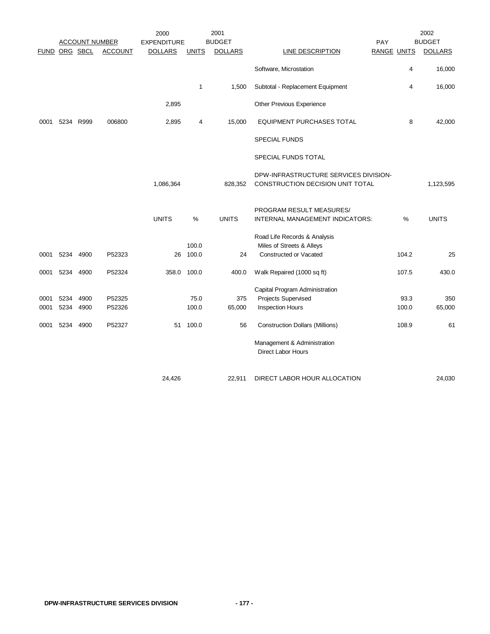|               |      |                       |                | 2000               |              | 2001           |                                        |     |                    | 2002           |
|---------------|------|-----------------------|----------------|--------------------|--------------|----------------|----------------------------------------|-----|--------------------|----------------|
|               |      | <b>ACCOUNT NUMBER</b> |                | <b>EXPENDITURE</b> |              | <b>BUDGET</b>  |                                        | PAY |                    | <b>BUDGET</b>  |
| FUND ORG SBCL |      |                       | <b>ACCOUNT</b> | <b>DOLLARS</b>     | <b>UNITS</b> | <b>DOLLARS</b> | <b>LINE DESCRIPTION</b>                |     | <b>RANGE UNITS</b> | <b>DOLLARS</b> |
|               |      |                       |                |                    |              |                | Software, Microstation                 |     | 4                  | 16,000         |
|               |      |                       |                |                    | 1            | 1,500          | Subtotal - Replacement Equipment       |     | 4                  | 16,000         |
|               |      |                       |                | 2,895              |              |                | Other Previous Experience              |     |                    |                |
| 0001          |      | 5234 R999             | 006800         | 2,895              | 4            | 15,000         | <b>EQUIPMENT PURCHASES TOTAL</b>       |     | 8                  | 42,000         |
|               |      |                       |                |                    |              |                | <b>SPECIAL FUNDS</b>                   |     |                    |                |
|               |      |                       |                |                    |              |                | SPECIAL FUNDS TOTAL                    |     |                    |                |
|               |      |                       |                |                    |              |                | DPW-INFRASTRUCTURE SERVICES DIVISION-  |     |                    |                |
|               |      |                       |                | 1,086,364          |              | 828,352        | CONSTRUCTION DECISION UNIT TOTAL       |     |                    | 1,123,595      |
|               |      |                       |                |                    |              |                | PROGRAM RESULT MEASURES/               |     |                    |                |
|               |      |                       |                | <b>UNITS</b>       | %            | <b>UNITS</b>   | INTERNAL MANAGEMENT INDICATORS:        |     | %                  | <b>UNITS</b>   |
|               |      |                       |                |                    |              |                | Road Life Records & Analysis           |     |                    |                |
|               |      |                       |                |                    | 100.0        |                | Miles of Streets & Alleys              |     |                    |                |
| 0001          | 5234 | 4900                  | P52323         | 26                 | 100.0        | 24             | Constructed or Vacated                 |     | 104.2              | 25             |
| 0001          | 5234 | 4900                  | P52324         | 358.0              | 100.0        | 400.0          | Walk Repaired (1000 sq ft)             |     | 107.5              | 430.0          |
|               |      |                       |                |                    |              |                | Capital Program Administration         |     |                    |                |
| 0001          | 5234 | 4900                  | P52325         |                    | 75.0         | 375            | Projects Supervised                    |     | 93.3               | 350            |
| 0001          | 5234 | 4900                  | P52326         |                    | 100.0        | 65,000         | <b>Inspection Hours</b>                |     | 100.0              | 65,000         |
|               |      |                       |                |                    |              |                |                                        |     |                    |                |
| 0001          | 5234 | 4900                  | P52327         | 51                 | 100.0        | 56             | <b>Construction Dollars (Millions)</b> |     | 108.9              | 61             |
|               |      |                       |                |                    |              |                | Management & Administration            |     |                    |                |
|               |      |                       |                |                    |              |                | <b>Direct Labor Hours</b>              |     |                    |                |
|               |      |                       |                |                    |              |                |                                        |     |                    |                |
|               |      |                       |                | 24,426             |              | 22,911         | DIRECT LABOR HOUR ALLOCATION           |     |                    | 24,030         |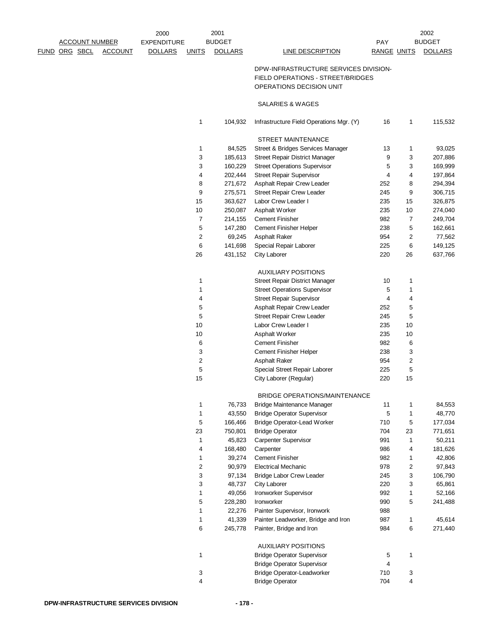|               |                       | 2000               |                | 2001           |                                                               |                    |                | 2002           |
|---------------|-----------------------|--------------------|----------------|----------------|---------------------------------------------------------------|--------------------|----------------|----------------|
|               | <b>ACCOUNT NUMBER</b> | <b>EXPENDITURE</b> |                | <b>BUDGET</b>  |                                                               | <b>PAY</b>         |                | <b>BUDGET</b>  |
| FUND ORG SBCL | <b>ACCOUNT</b>        | <b>DOLLARS</b>     | <b>UNITS</b>   | <b>DOLLARS</b> | LINE DESCRIPTION                                              | <b>RANGE UNITS</b> |                | <b>DOLLARS</b> |
|               |                       |                    |                |                | DPW-INFRASTRUCTURE SERVICES DIVISION-                         |                    |                |                |
|               |                       |                    |                |                |                                                               |                    |                |                |
|               |                       |                    |                |                | FIELD OPERATIONS - STREET/BRIDGES<br>OPERATIONS DECISION UNIT |                    |                |                |
|               |                       |                    |                |                |                                                               |                    |                |                |
|               |                       |                    |                |                | SALARIES & WAGES                                              |                    |                |                |
|               |                       |                    | 1              | 104,932        | Infrastructure Field Operations Mgr. (Y)                      | 16                 | $\mathbf{1}$   | 115,532        |
|               |                       |                    |                |                | <b>STREET MAINTENANCE</b>                                     |                    |                |                |
|               |                       |                    | 1              | 84,525         | Street & Bridges Services Manager                             | 13                 | $\mathbf{1}$   | 93,025         |
|               |                       |                    | 3              | 185,613        | Street Repair District Manager                                | 9                  | 3              | 207,886        |
|               |                       |                    | 3              | 160,229        | <b>Street Operations Supervisor</b>                           | 5                  | 3              | 169,999        |
|               |                       |                    | 4              | 202,444        | <b>Street Repair Supervisor</b>                               | 4                  | 4              | 197,864        |
|               |                       |                    | 8              | 271,672        | Asphalt Repair Crew Leader                                    | 252                | 8              | 294,394        |
|               |                       |                    | 9              | 275,571        | <b>Street Repair Crew Leader</b>                              | 245                | 9              | 306,715        |
|               |                       |                    | 15             | 363,627        | Labor Crew Leader I                                           | 235                | 15             | 326,875        |
|               |                       |                    | 10             | 250,087        | Asphalt Worker                                                | 235                | 10             | 274,040        |
|               |                       |                    | $\overline{7}$ | 214,155        | <b>Cement Finisher</b>                                        | 982                | 7              | 249,704        |
|               |                       |                    | 5              | 147,280        | Cement Finisher Helper                                        | 238                | 5              | 162,661        |
|               |                       |                    | 2              | 69,245         | <b>Asphalt Raker</b>                                          | 954                | 2              | 77,562         |
|               |                       |                    | 6              | 141,698        | Special Repair Laborer                                        | 225                | 6              | 149,125        |
|               |                       |                    | 26             | 431,152        | City Laborer                                                  | 220                | 26             | 637,766        |
|               |                       |                    |                |                |                                                               |                    |                |                |
|               |                       |                    |                |                | <b>AUXILIARY POSITIONS</b>                                    |                    |                |                |
|               |                       |                    | 1              |                | Street Repair District Manager                                | 10                 | 1              |                |
|               |                       |                    | 1              |                | <b>Street Operations Supervisor</b>                           | 5                  | 1              |                |
|               |                       |                    | 4              |                | <b>Street Repair Supervisor</b>                               | 4                  | 4              |                |
|               |                       |                    | 5              |                | Asphalt Repair Crew Leader                                    | 252                | 5              |                |
|               |                       |                    | 5              |                | <b>Street Repair Crew Leader</b>                              | 245                | 5              |                |
|               |                       |                    | 10             |                | Labor Crew Leader I                                           | 235                | 10             |                |
|               |                       |                    | 10             |                | Asphalt Worker                                                | 235                | 10             |                |
|               |                       |                    | 6              |                | <b>Cement Finisher</b>                                        | 982                | 6              |                |
|               |                       |                    | 3              |                | Cement Finisher Helper                                        | 238                | 3              |                |
|               |                       |                    | $\overline{c}$ |                | <b>Asphalt Raker</b>                                          | 954                | 2              |                |
|               |                       |                    | 5              |                | Special Street Repair Laborer                                 | 225                | 5              |                |
|               |                       |                    | 15             |                | City Laborer (Regular)                                        | 220                | 15             |                |
|               |                       |                    |                |                | BRIDGE OPERATIONS/MAINTENANCE                                 |                    |                |                |
|               |                       |                    | 1              | 76,733         | <b>Bridge Maintenance Manager</b>                             | 11                 | $\mathbf{1}$   | 84,553         |
|               |                       |                    | 1              | 43,550         | <b>Bridge Operator Supervisor</b>                             | 5                  | $\mathbf{1}$   | 48,770         |
|               |                       |                    | $\,$ 5 $\,$    | 166,466        | Bridge Operator-Lead Worker                                   | 710                | 5              | 177,034        |
|               |                       |                    | 23             | 750,801        | <b>Bridge Operator</b>                                        | 704                | 23             | 771,651        |
|               |                       |                    | 1              | 45,823         | Carpenter Supervisor                                          | 991                | $\mathbf{1}$   | 50,211         |
|               |                       |                    | 4              | 168,480        | Carpenter                                                     | 986                | 4              | 181,626        |
|               |                       |                    | 1              | 39,274         | <b>Cement Finisher</b>                                        | 982                | $\mathbf{1}$   | 42,806         |
|               |                       |                    | 2              |                |                                                               | 978                | $\overline{c}$ |                |
|               |                       |                    |                | 90,979         | <b>Electrical Mechanic</b><br><b>Bridge Labor Crew Leader</b> | 245                |                | 97,843         |
|               |                       |                    | 3              | 97,134         |                                                               | 220                | 3              | 106,790        |
|               |                       |                    | 3              | 48,737         | City Laborer                                                  |                    | 3              | 65,861         |
|               |                       |                    | 1              | 49,056         | Ironworker Supervisor                                         | 992                | $\mathbf{1}$   | 52,166         |
|               |                       |                    | 5              | 228,280        | Ironworker                                                    | 990                | 5              | 241,488        |
|               |                       |                    | 1              | 22,276         | Painter Supervisor, Ironwork                                  | 988                |                |                |
|               |                       |                    | 1              | 41,339         | Painter Leadworker, Bridge and Iron                           | 987                | $\mathbf{1}$   | 45,614         |
|               |                       |                    | 6              | 245,778        | Painter, Bridge and Iron                                      | 984                | 6              | 271,440        |
|               |                       |                    |                |                | <b>AUXILIARY POSITIONS</b>                                    |                    |                |                |
|               |                       |                    | 1              |                | <b>Bridge Operator Supervisor</b>                             | 5                  | $\mathbf{1}$   |                |
|               |                       |                    |                |                | <b>Bridge Operator Supervisor</b>                             | 4                  |                |                |
|               |                       |                    | 3              |                | <b>Bridge Operator-Leadworker</b>                             | 710                | 3              |                |
|               |                       |                    | 4              |                | <b>Bridge Operator</b>                                        | 704                | 4              |                |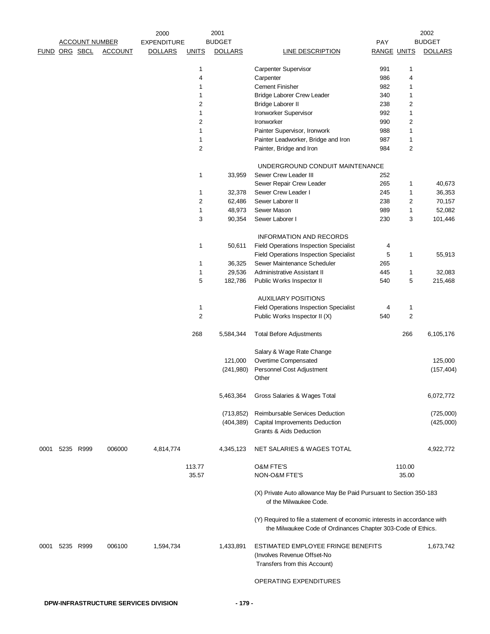|               | <b>ACCOUNT NUMBER</b> |           |                | 2001<br>2000<br><b>BUDGET</b> |                         |                | 2002                                                                                                                                      |                    |                  |                |
|---------------|-----------------------|-----------|----------------|-------------------------------|-------------------------|----------------|-------------------------------------------------------------------------------------------------------------------------------------------|--------------------|------------------|----------------|
|               |                       |           |                | <b>EXPENDITURE</b>            |                         |                |                                                                                                                                           | <b>PAY</b>         |                  | <b>BUDGET</b>  |
| FUND ORG SBCL |                       |           | <b>ACCOUNT</b> | <b>DOLLARS</b>                | <b>UNITS</b>            | <b>DOLLARS</b> | <b>LINE DESCRIPTION</b>                                                                                                                   | <b>RANGE UNITS</b> |                  | <b>DOLLARS</b> |
|               |                       |           |                |                               | 1                       |                | Carpenter Supervisor                                                                                                                      | 991                | 1                |                |
|               |                       |           |                |                               | 4                       |                | Carpenter                                                                                                                                 | 986                | 4                |                |
|               |                       |           |                |                               | 1                       |                | <b>Cement Finisher</b>                                                                                                                    | 982                | 1                |                |
|               |                       |           |                |                               | 1                       |                | Bridge Laborer Crew Leader                                                                                                                | 340                | 1                |                |
|               |                       |           |                |                               | 2                       |                | Bridge Laborer II                                                                                                                         | 238                | $\boldsymbol{2}$ |                |
|               |                       |           |                |                               | 1                       |                | Ironworker Supervisor                                                                                                                     | 992                | $\mathbf{1}$     |                |
|               |                       |           |                |                               | 2                       |                | Ironworker                                                                                                                                | 990                | 2                |                |
|               |                       |           |                |                               | 1                       |                | Painter Supervisor, Ironwork                                                                                                              | 988                | $\mathbf{1}$     |                |
|               |                       |           |                |                               | 1                       |                | Painter Leadworker, Bridge and Iron                                                                                                       | 987                | $\mathbf{1}$     |                |
|               |                       |           |                |                               | $\overline{2}$          |                | Painter, Bridge and Iron                                                                                                                  | 984                | $\overline{2}$   |                |
|               |                       |           |                |                               |                         |                |                                                                                                                                           |                    |                  |                |
|               |                       |           |                |                               |                         |                | UNDERGROUND CONDUIT MAINTENANCE                                                                                                           |                    |                  |                |
|               |                       |           |                |                               | 1                       | 33,959         | Sewer Crew Leader III                                                                                                                     | 252                |                  |                |
|               |                       |           |                |                               |                         |                | Sewer Repair Crew Leader                                                                                                                  | 265                | 1                | 40,673         |
|               |                       |           |                |                               | 1                       | 32,378         | Sewer Crew Leader I                                                                                                                       | 245                | 1                | 36,353         |
|               |                       |           |                |                               | 2                       | 62,486         | Sewer Laborer II                                                                                                                          | 238                | 2                | 70,157         |
|               |                       |           |                |                               | 1                       | 48,973         | Sewer Mason                                                                                                                               | 989                | $\mathbf{1}$     | 52,082         |
|               |                       |           |                |                               | 3                       | 90,354         | Sewer Laborer I                                                                                                                           | 230                | 3                | 101,446        |
|               |                       |           |                |                               |                         |                | <b>INFORMATION AND RECORDS</b>                                                                                                            |                    |                  |                |
|               |                       |           |                |                               | 1                       | 50,611         | <b>Field Operations Inspection Specialist</b>                                                                                             | 4                  |                  |                |
|               |                       |           |                |                               |                         |                | <b>Field Operations Inspection Specialist</b>                                                                                             | 5                  | $\mathbf{1}$     | 55,913         |
|               |                       |           |                |                               | 1                       | 36,325         | Sewer Maintenance Scheduler                                                                                                               | 265                |                  |                |
|               |                       |           |                |                               | 1                       | 29,536         | Administrative Assistant II                                                                                                               | 445                | $\mathbf{1}$     | 32,083         |
|               |                       |           |                |                               | 5                       | 182,786        | Public Works Inspector II                                                                                                                 | 540                | 5                | 215,468        |
|               |                       |           |                |                               |                         |                |                                                                                                                                           |                    |                  |                |
|               |                       |           |                |                               |                         |                | <b>AUXILIARY POSITIONS</b>                                                                                                                |                    |                  |                |
|               |                       |           |                |                               | 1                       |                | <b>Field Operations Inspection Specialist</b>                                                                                             | 4                  | 1                |                |
|               |                       |           |                |                               | $\overline{\mathbf{c}}$ |                | Public Works Inspector II (X)                                                                                                             | 540                | $\overline{c}$   |                |
|               |                       |           |                |                               | 268                     | 5,584,344      | <b>Total Before Adjustments</b>                                                                                                           |                    | 266              | 6,105,176      |
|               |                       |           |                |                               |                         |                | Salary & Wage Rate Change                                                                                                                 |                    |                  |                |
|               |                       |           |                |                               |                         | 121,000        | Overtime Compensated                                                                                                                      |                    |                  | 125,000        |
|               |                       |           |                |                               |                         | (241,980)      | Personnel Cost Adjustment                                                                                                                 |                    |                  | (157, 404)     |
|               |                       |           |                |                               |                         |                | Other                                                                                                                                     |                    |                  |                |
|               |                       |           |                |                               |                         | 5,463,364      | Gross Salaries & Wages Total                                                                                                              |                    |                  | 6,072,772      |
|               |                       |           |                |                               |                         | (713, 852)     | Reimbursable Services Deduction                                                                                                           |                    |                  | (725,000)      |
|               |                       |           |                |                               |                         | (404, 389)     | Capital Improvements Deduction                                                                                                            |                    |                  | (425,000)      |
|               |                       |           |                |                               |                         |                | Grants & Aids Deduction                                                                                                                   |                    |                  |                |
| 0001          |                       | 5235 R999 | 006000         | 4,814,774                     |                         | 4,345,123      | NET SALARIES & WAGES TOTAL                                                                                                                |                    |                  | 4,922,772      |
|               |                       |           |                |                               |                         |                |                                                                                                                                           |                    |                  |                |
|               |                       |           |                |                               | 113.77                  |                | <b>O&amp;M FTE'S</b>                                                                                                                      |                    | 110.00           |                |
|               |                       |           |                |                               | 35.57                   |                | NON-O&M FTE'S                                                                                                                             |                    | 35.00            |                |
|               |                       |           |                |                               |                         |                | (X) Private Auto allowance May Be Paid Pursuant to Section 350-183<br>of the Milwaukee Code.                                              |                    |                  |                |
|               |                       |           |                |                               |                         |                | (Y) Required to file a statement of economic interests in accordance with<br>the Milwaukee Code of Ordinances Chapter 303-Code of Ethics. |                    |                  |                |
| 0001          |                       | 5235 R999 | 006100         | 1,594,734                     |                         | 1,433,891      | ESTIMATED EMPLOYEE FRINGE BENEFITS<br>(Involves Revenue Offset-No<br>Transfers from this Account)                                         |                    |                  | 1,673,742      |
|               |                       |           |                |                               |                         |                | OPERATING EXPENDITURES                                                                                                                    |                    |                  |                |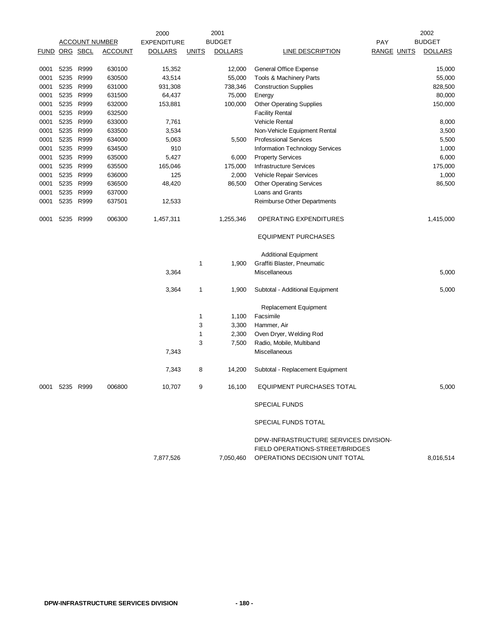|               | 2001<br>2000<br><b>ACCOUNT NUMBER</b> |      |                |                    |              |                |                                                                   |                    | 2002 |                |
|---------------|---------------------------------------|------|----------------|--------------------|--------------|----------------|-------------------------------------------------------------------|--------------------|------|----------------|
|               |                                       |      |                | <b>EXPENDITURE</b> |              | <b>BUDGET</b>  |                                                                   | PAY                |      | <b>BUDGET</b>  |
| FUND ORG SBCL |                                       |      | <b>ACCOUNT</b> | <b>DOLLARS</b>     | <b>UNITS</b> | <b>DOLLARS</b> | LINE DESCRIPTION                                                  | <b>RANGE UNITS</b> |      | <b>DOLLARS</b> |
| 0001          | 5235                                  | R999 | 630100         | 15,352             |              | 12,000         | General Office Expense                                            |                    |      | 15,000         |
| 0001          | 5235                                  | R999 | 630500         | 43,514             |              | 55,000         | Tools & Machinery Parts                                           |                    |      | 55,000         |
| 0001          | 5235                                  | R999 | 631000         | 931,308            |              | 738,346        | <b>Construction Supplies</b>                                      |                    |      | 828,500        |
| 0001          | 5235                                  | R999 | 631500         | 64,437             |              | 75,000         | Energy                                                            |                    |      | 80,000         |
| 0001          | 5235                                  | R999 | 632000         | 153,881            |              | 100,000        | <b>Other Operating Supplies</b>                                   |                    |      | 150,000        |
| 0001          | 5235 R999                             |      | 632500         |                    |              |                | <b>Facility Rental</b>                                            |                    |      |                |
| 0001          | 5235 R999                             |      | 633000         | 7,761              |              |                | <b>Vehicle Rental</b>                                             |                    |      | 8,000          |
| 0001          | 5235                                  | R999 | 633500         | 3,534              |              |                | Non-Vehicle Equipment Rental                                      |                    |      | 3,500          |
| 0001          | 5235                                  | R999 | 634000         | 5,063              |              | 5,500          | <b>Professional Services</b>                                      |                    |      | 5,500          |
| 0001          | 5235                                  | R999 | 634500         | 910                |              |                | Information Technology Services                                   |                    |      | 1,000          |
| 0001          | 5235                                  | R999 | 635000         | 5,427              |              | 6,000          | <b>Property Services</b>                                          |                    |      | 6,000          |
| 0001          | 5235                                  | R999 | 635500         | 165,046            |              | 175,000        | <b>Infrastructure Services</b>                                    |                    |      | 175,000        |
| 0001          | 5235                                  | R999 | 636000         | 125                |              | 2,000          | Vehicle Repair Services                                           |                    |      | 1,000          |
| 0001          | 5235                                  | R999 | 636500         | 48,420             |              | 86,500         | <b>Other Operating Services</b>                                   |                    |      | 86,500         |
| 0001          | 5235                                  | R999 | 637000         |                    |              |                | Loans and Grants                                                  |                    |      |                |
| 0001          | 5235                                  | R999 | 637501         | 12,533             |              |                | <b>Reimburse Other Departments</b>                                |                    |      |                |
| 0001          | 5235 R999                             |      | 006300         | 1,457,311          |              | 1,255,346      | <b>OPERATING EXPENDITURES</b>                                     |                    |      | 1,415,000      |
|               |                                       |      |                |                    |              |                | <b>EQUIPMENT PURCHASES</b>                                        |                    |      |                |
|               |                                       |      |                |                    |              |                | <b>Additional Equipment</b>                                       |                    |      |                |
|               |                                       |      |                |                    | $\mathbf 1$  | 1,900          | Graffiti Blaster, Pneumatic                                       |                    |      |                |
|               |                                       |      |                | 3,364              |              |                | Miscellaneous                                                     |                    |      | 5,000          |
|               |                                       |      |                | 3,364              | 1            | 1,900          | Subtotal - Additional Equipment                                   |                    |      | 5,000          |
|               |                                       |      |                |                    |              |                | Replacement Equipment                                             |                    |      |                |
|               |                                       |      |                |                    | 1            | 1,100          | Facsimile                                                         |                    |      |                |
|               |                                       |      |                |                    | 3            | 3,300          | Hammer, Air                                                       |                    |      |                |
|               |                                       |      |                |                    | 1            | 2,300          | Oven Dryer, Welding Rod                                           |                    |      |                |
|               |                                       |      |                |                    | 3            | 7,500          | Radio, Mobile, Multiband                                          |                    |      |                |
|               |                                       |      |                | 7,343              |              |                | Miscellaneous                                                     |                    |      |                |
|               |                                       |      |                | 7,343              | 8            | 14,200         | Subtotal - Replacement Equipment                                  |                    |      |                |
| 0001          | 5235                                  | R999 | 006800         | 10,707             | 9            | 16,100         | EQUIPMENT PURCHASES TOTAL                                         |                    |      | 5,000          |
|               |                                       |      |                |                    |              |                | <b>SPECIAL FUNDS</b>                                              |                    |      |                |
|               |                                       |      |                |                    |              |                | SPECIAL FUNDS TOTAL                                               |                    |      |                |
|               |                                       |      |                |                    |              |                | DPW-INFRASTRUCTURE SERVICES DIVISION-                             |                    |      |                |
|               |                                       |      |                | 7,877,526          |              | 7,050,460      | FIELD OPERATIONS-STREET/BRIDGES<br>OPERATIONS DECISION UNIT TOTAL |                    |      | 8,016,514      |
|               |                                       |      |                |                    |              |                |                                                                   |                    |      |                |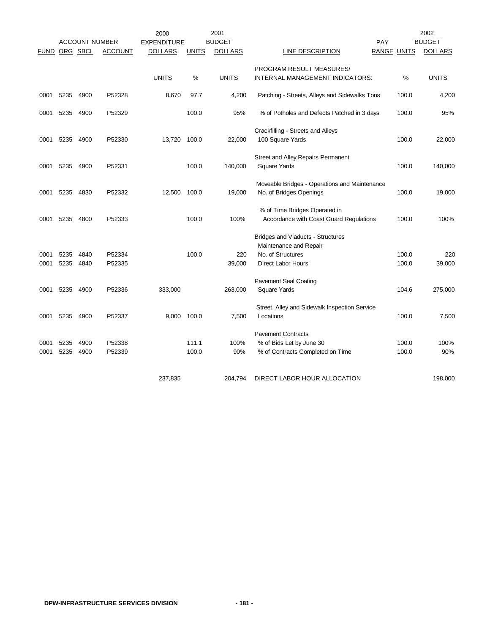|               |              | <b>ACCOUNT NUMBER</b> |                  | 2000<br><b>EXPENDITURE</b> |              | 2001<br><b>BUDGET</b> |                                                                          | PAY                |                | 2002<br><b>BUDGET</b> |
|---------------|--------------|-----------------------|------------------|----------------------------|--------------|-----------------------|--------------------------------------------------------------------------|--------------------|----------------|-----------------------|
| FUND ORG SBCL |              |                       | <b>ACCOUNT</b>   | <b>DOLLARS</b>             | <b>UNITS</b> | <b>DOLLARS</b>        | LINE DESCRIPTION                                                         | <b>RANGE UNITS</b> |                | <b>DOLLARS</b>        |
|               |              |                       |                  |                            |              |                       | PROGRAM RESULT MEASURES/                                                 |                    |                |                       |
|               |              |                       |                  | <b>UNITS</b>               | %            | <b>UNITS</b>          | INTERNAL MANAGEMENT INDICATORS:                                          |                    | %              | <b>UNITS</b>          |
| 0001          | 5235         | 4900                  | P52328           | 8,670                      | 97.7         | 4,200                 | Patching - Streets, Alleys and Sidewalks Tons                            |                    | 100.0          | 4,200                 |
| 0001          | 5235         | 4900                  | P52329           |                            | 100.0        | 95%                   | % of Potholes and Defects Patched in 3 days                              |                    | 100.0          | 95%                   |
|               |              |                       |                  |                            |              |                       | Crackfilling - Streets and Alleys                                        |                    |                |                       |
| 0001          | 5235         | 4900                  | P52330           | 13,720                     | 100.0        | 22,000                | 100 Square Yards                                                         |                    | 100.0          | 22,000                |
|               |              |                       |                  |                            |              |                       | Street and Alley Repairs Permanent                                       |                    |                |                       |
| 0001          | 5235         | 4900                  | P52331           |                            | 100.0        | 140,000               | Square Yards                                                             |                    | 100.0          | 140,000               |
| 0001          | 5235         | 4830                  | P52332           | 12,500                     | 100.0        | 19,000                | Moveable Bridges - Operations and Maintenance<br>No. of Bridges Openings |                    | 100.0          | 19,000                |
| 0001          | 5235         | 4800                  | P52333           |                            | 100.0        | 100%                  | % of Time Bridges Operated in<br>Accordance with Coast Guard Regulations |                    | 100.0          | 100%                  |
|               |              |                       |                  |                            |              |                       | Bridges and Viaducts - Structures                                        |                    |                |                       |
|               |              |                       |                  |                            |              |                       | Maintenance and Repair                                                   |                    |                |                       |
| 0001<br>0001  | 5235<br>5235 | 4840<br>4840          | P52334<br>P52335 |                            | 100.0        | 220<br>39,000         | No. of Structures<br><b>Direct Labor Hours</b>                           |                    | 100.0<br>100.0 | 220<br>39,000         |
|               |              |                       |                  |                            |              |                       |                                                                          |                    |                |                       |
|               |              |                       |                  |                            |              |                       | <b>Pavement Seal Coating</b>                                             |                    |                |                       |
| 0001          | 5235         | 4900                  | P52336           | 333,000                    |              | 263,000               | Square Yards                                                             |                    | 104.6          | 275,000               |
|               |              |                       |                  |                            |              |                       | Street, Alley and Sidewalk Inspection Service                            |                    |                |                       |
| 0001          | 5235         | 4900                  | P52337           | 9,000                      | 100.0        | 7,500                 | Locations                                                                |                    | 100.0          | 7,500                 |
|               |              |                       |                  |                            |              |                       | <b>Pavement Contracts</b>                                                |                    |                |                       |
| 0001          | 5235         | 4900                  | P52338           |                            | 111.1        | 100%                  | % of Bids Let by June 30                                                 |                    | 100.0          | 100%                  |
| 0001          | 5235         | 4900                  | P52339           |                            | 100.0        | 90%                   | % of Contracts Completed on Time                                         |                    | 100.0          | 90%                   |
|               |              |                       |                  | 237,835                    |              | 204,794               | DIRECT LABOR HOUR ALLOCATION                                             |                    |                | 198,000               |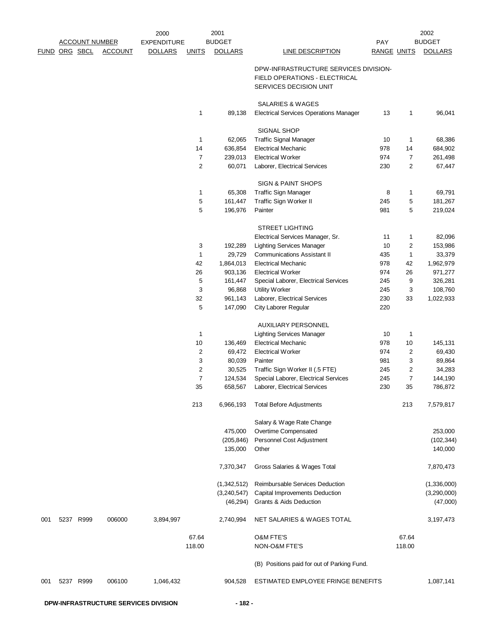|               |                       |                | 2000               |                | 2001           |                                                                              |                    |                | 2002           |
|---------------|-----------------------|----------------|--------------------|----------------|----------------|------------------------------------------------------------------------------|--------------------|----------------|----------------|
|               | <b>ACCOUNT NUMBER</b> |                | <b>EXPENDITURE</b> |                | <b>BUDGET</b>  |                                                                              | PAY                |                | <b>BUDGET</b>  |
| FUND ORG SBCL |                       | <b>ACCOUNT</b> | <b>DOLLARS</b>     | <b>UNITS</b>   | <b>DOLLARS</b> | <b>LINE DESCRIPTION</b>                                                      | <b>RANGE UNITS</b> |                | <b>DOLLARS</b> |
|               |                       |                |                    |                |                | DPW-INFRASTRUCTURE SERVICES DIVISION-                                        |                    |                |                |
|               |                       |                |                    |                |                | FIELD OPERATIONS - ELECTRICAL                                                |                    |                |                |
|               |                       |                |                    |                |                | SERVICES DECISION UNIT                                                       |                    |                |                |
|               |                       |                |                    |                |                |                                                                              |                    |                |                |
|               |                       |                |                    | 1              |                | <b>SALARIES &amp; WAGES</b><br><b>Electrical Services Operations Manager</b> |                    |                |                |
|               |                       |                |                    |                | 89,138         |                                                                              | 13                 | $\mathbf{1}$   | 96,041         |
|               |                       |                |                    |                |                | SIGNAL SHOP                                                                  |                    |                |                |
|               |                       |                |                    | 1              | 62,065         | <b>Traffic Signal Manager</b>                                                | 10                 | 1              | 68,386         |
|               |                       |                |                    | 14             | 636,854        | <b>Electrical Mechanic</b>                                                   | 978                | 14             | 684,902        |
|               |                       |                |                    | 7              | 239,013        | <b>Electrical Worker</b>                                                     | 974                | $\overline{7}$ | 261,498        |
|               |                       |                |                    | $\overline{c}$ | 60,071         | Laborer, Electrical Services                                                 | 230                | 2              | 67,447         |
|               |                       |                |                    |                |                | <b>SIGN &amp; PAINT SHOPS</b>                                                |                    |                |                |
|               |                       |                |                    | 1              | 65,308         | Traffic Sign Manager                                                         | 8                  | 1              | 69,791         |
|               |                       |                |                    | 5              | 161,447        | Traffic Sign Worker II                                                       | 245                | 5              | 181,267        |
|               |                       |                |                    | 5              | 196,976        | Painter                                                                      | 981                | 5              | 219,024        |
|               |                       |                |                    |                |                | <b>STREET LIGHTING</b>                                                       |                    |                |                |
|               |                       |                |                    |                |                | Electrical Services Manager, Sr.                                             | 11                 | $\mathbf{1}$   | 82,096         |
|               |                       |                |                    | 3              | 192,289        | <b>Lighting Services Manager</b>                                             | 10                 | 2              | 153,986        |
|               |                       |                |                    | 1              | 29,729         | <b>Communications Assistant II</b>                                           | 435                | $\mathbf{1}$   | 33,379         |
|               |                       |                |                    | 42             | 1,864,013      | <b>Electrical Mechanic</b>                                                   | 978                | 42             | 1,962,979      |
|               |                       |                |                    | 26             | 903,136        | <b>Electrical Worker</b>                                                     | 974                | 26             | 971,277        |
|               |                       |                |                    | 5              | 161,447        | Special Laborer, Electrical Services                                         | 245                | 9              | 326,281        |
|               |                       |                |                    | 3              | 96,868         | <b>Utility Worker</b>                                                        | 245                | 3              | 108,760        |
|               |                       |                |                    | 32             | 961,143        | Laborer, Electrical Services                                                 | 230                | 33             | 1,022,933      |
|               |                       |                |                    | 5              | 147,090        | City Laborer Regular                                                         | 220                |                |                |
|               |                       |                |                    |                |                | <b>AUXILIARY PERSONNEL</b>                                                   |                    |                |                |
|               |                       |                |                    | 1              |                | <b>Lighting Services Manager</b>                                             | 10                 | 1              |                |
|               |                       |                |                    | 10             | 136,469        | <b>Electrical Mechanic</b>                                                   | 978                | 10             | 145,131        |
|               |                       |                |                    | 2              | 69,472         | <b>Electrical Worker</b>                                                     | 974                | $\overline{c}$ | 69,430         |
|               |                       |                |                    | 3              | 80,039         | Painter                                                                      | 981                | 3              | 89,864         |
|               |                       |                |                    | $\overline{c}$ | 30,525         | Traffic Sign Worker II (.5 FTE)                                              | 245                | $\overline{c}$ | 34,283         |
|               |                       |                |                    | 7              | 124,534        | Special Laborer, Electrical Services                                         | 245                | $\overline{7}$ | 144,190        |
|               |                       |                |                    | 35             | 658,567        | Laborer, Electrical Services                                                 | 230                | 35             | 786,872        |
|               |                       |                |                    | 213            | 6,966,193      | <b>Total Before Adjustments</b>                                              |                    | 213            | 7,579,817      |
|               |                       |                |                    |                |                | Salary & Wage Rate Change                                                    |                    |                |                |
|               |                       |                |                    |                | 475,000        | Overtime Compensated                                                         |                    |                | 253,000        |
|               |                       |                |                    |                | (205, 846)     | Personnel Cost Adjustment                                                    |                    |                | (102, 344)     |
|               |                       |                |                    |                | 135,000        | Other                                                                        |                    |                | 140,000        |
|               |                       |                |                    |                | 7,370,347      | Gross Salaries & Wages Total                                                 |                    |                | 7,870,473      |
|               |                       |                |                    |                | (1,342,512)    | Reimbursable Services Deduction                                              |                    |                | (1,336,000)    |
|               |                       |                |                    |                | (3,240,547)    | Capital Improvements Deduction                                               |                    |                | (3,290,000)    |
|               |                       |                |                    |                | (46, 294)      | Grants & Aids Deduction                                                      |                    |                | (47,000)       |
| 001           | 5237 R999             | 006000         | 3,894,997          |                | 2,740,994      | NET SALARIES & WAGES TOTAL                                                   |                    |                | 3,197,473      |
|               |                       |                |                    | 67.64          |                | O&M FTE'S                                                                    |                    | 67.64          |                |
|               |                       |                |                    | 118.00         |                | NON-O&M FTE'S                                                                |                    | 118.00         |                |
|               |                       |                |                    |                |                | (B) Positions paid for out of Parking Fund.                                  |                    |                |                |
|               |                       |                |                    |                |                |                                                                              |                    |                |                |
| 001           | 5237 R999             | 006100         | 1,046,432          |                | 904,528        | ESTIMATED EMPLOYEE FRINGE BENEFITS                                           |                    |                | 1,087,141      |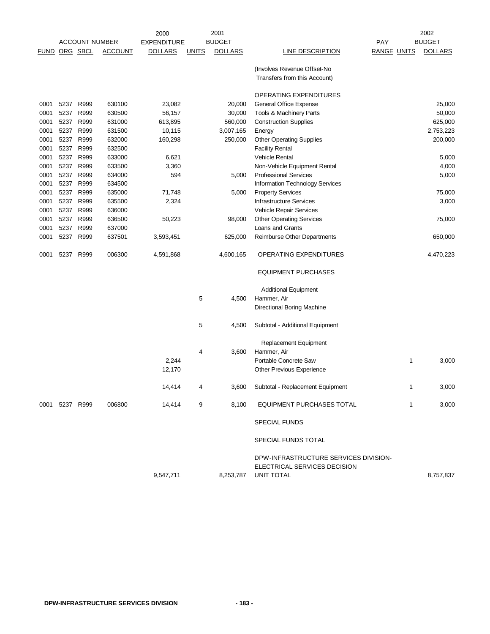|             |                 |                       |                | 2000               |              | 2001           |                                                                                     |            |                    | 2002           |
|-------------|-----------------|-----------------------|----------------|--------------------|--------------|----------------|-------------------------------------------------------------------------------------|------------|--------------------|----------------|
|             |                 | <u>ACCOUNT NUMBER</u> |                | <b>EXPENDITURE</b> |              | <b>BUDGET</b>  |                                                                                     | <b>PAY</b> |                    | <b>BUDGET</b>  |
| <b>FUND</b> | <u>ORG SBCL</u> |                       | <b>ACCOUNT</b> | <b>DOLLARS</b>     | <b>UNITS</b> | <b>DOLLARS</b> | <b>LINE DESCRIPTION</b>                                                             |            | <b>RANGE UNITS</b> | <b>DOLLARS</b> |
|             |                 |                       |                |                    |              |                | (Involves Revenue Offset-No                                                         |            |                    |                |
|             |                 |                       |                |                    |              |                | Transfers from this Account)                                                        |            |                    |                |
|             |                 |                       |                |                    |              |                | OPERATING EXPENDITURES                                                              |            |                    |                |
| 0001        | 5237 R999       |                       | 630100         | 23,082             |              | 20,000         | General Office Expense                                                              |            |                    | 25,000         |
| 0001        | 5237 R999       |                       | 630500         | 56,157             |              | 30,000         | Tools & Machinery Parts                                                             |            |                    | 50,000         |
| 0001        | 5237 R999       |                       | 631000         | 613,895            |              | 560,000        | <b>Construction Supplies</b>                                                        |            |                    | 625,000        |
| 0001        | 5237 R999       |                       | 631500         | 10,115             |              | 3,007,165      | Energy                                                                              |            |                    | 2,753,223      |
| 0001        | 5237 R999       |                       | 632000         | 160,298            |              | 250,000        | <b>Other Operating Supplies</b>                                                     |            |                    | 200,000        |
| 0001        | 5237 R999       |                       | 632500         |                    |              |                | <b>Facility Rental</b>                                                              |            |                    |                |
| 0001        | 5237 R999       |                       | 633000         | 6,621              |              |                | <b>Vehicle Rental</b>                                                               |            |                    | 5,000          |
| 0001        | 5237 R999       |                       | 633500         | 3,360              |              |                | Non-Vehicle Equipment Rental                                                        |            |                    | 4,000          |
| 0001        | 5237 R999       |                       | 634000         | 594                |              | 5,000          | <b>Professional Services</b>                                                        |            |                    | 5,000          |
| 0001        | 5237            | R999                  | 634500         |                    |              |                | Information Technology Services                                                     |            |                    |                |
| 0001        | 5237            | R999                  | 635000         | 71,748             |              | 5,000          | <b>Property Services</b>                                                            |            |                    | 75,000         |
| 0001        | 5237 R999       |                       | 635500         | 2,324              |              |                | <b>Infrastructure Services</b>                                                      |            |                    | 3,000          |
| 0001        | 5237            | R999                  | 636000         |                    |              |                | Vehicle Repair Services                                                             |            |                    |                |
| 0001        | 5237 R999       |                       | 636500         | 50,223             |              | 98,000         | <b>Other Operating Services</b>                                                     |            |                    | 75,000         |
| 0001        | 5237 R999       |                       | 637000         |                    |              |                | Loans and Grants                                                                    |            |                    |                |
| 0001        | 5237 R999       |                       | 637501         | 3,593,451          |              | 625,000        | Reimburse Other Departments                                                         |            |                    | 650,000        |
|             |                 |                       |                |                    |              |                |                                                                                     |            |                    |                |
| 0001        | 5237 R999       |                       | 006300         | 4,591,868          |              | 4,600,165      | OPERATING EXPENDITURES                                                              |            |                    | 4,470,223      |
|             |                 |                       |                |                    |              |                | <b>EQUIPMENT PURCHASES</b>                                                          |            |                    |                |
|             |                 |                       |                |                    |              |                | <b>Additional Equipment</b>                                                         |            |                    |                |
|             |                 |                       |                |                    | 5            | 4,500          | Hammer, Air                                                                         |            |                    |                |
|             |                 |                       |                |                    |              |                | Directional Boring Machine                                                          |            |                    |                |
|             |                 |                       |                |                    | 5            | 4,500          | Subtotal - Additional Equipment                                                     |            |                    |                |
|             |                 |                       |                |                    |              |                | Replacement Equipment                                                               |            |                    |                |
|             |                 |                       |                |                    | 4            | 3,600          | Hammer, Air                                                                         |            |                    |                |
|             |                 |                       |                | 2,244              |              |                | Portable Concrete Saw                                                               |            | 1                  | 3,000          |
|             |                 |                       |                | 12,170             |              |                | <b>Other Previous Experience</b>                                                    |            |                    |                |
|             |                 |                       |                |                    |              |                |                                                                                     |            |                    |                |
|             |                 |                       |                | 14,414             | 4            | 3,600          | Subtotal - Replacement Equipment                                                    |            | 1                  | 3,000          |
| 0001        | 5237 R999       |                       | 006800         | 14,414             | 9            | 8,100          | EQUIPMENT PURCHASES TOTAL                                                           |            | 1                  | 3,000          |
|             |                 |                       |                |                    |              |                | SPECIAL FUNDS                                                                       |            |                    |                |
|             |                 |                       |                |                    |              |                | SPECIAL FUNDS TOTAL                                                                 |            |                    |                |
|             |                 |                       |                | 9,547,711          |              | 8,253,787      | DPW-INFRASTRUCTURE SERVICES DIVISION-<br>ELECTRICAL SERVICES DECISION<br>UNIT TOTAL |            |                    | 8,757,837      |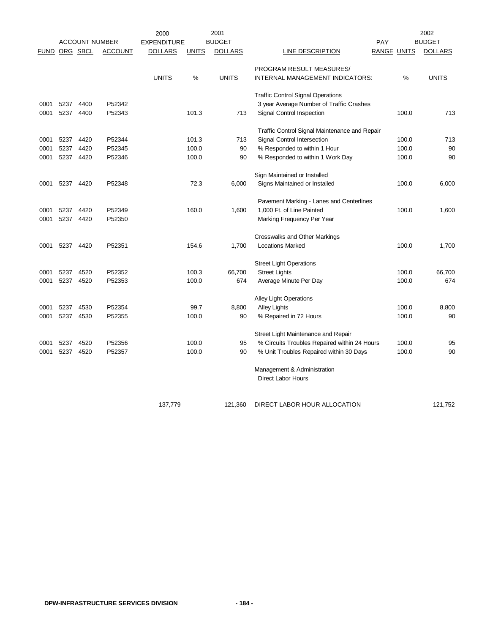|               |      | <b>ACCOUNT NUMBER</b> |                | 2000<br><b>EXPENDITURE</b> |              | 2001<br><b>BUDGET</b> |                                                          | <b>PAY</b> |                    | 2002<br><b>BUDGET</b> |
|---------------|------|-----------------------|----------------|----------------------------|--------------|-----------------------|----------------------------------------------------------|------------|--------------------|-----------------------|
| FUND ORG SBCL |      |                       | <b>ACCOUNT</b> | <b>DOLLARS</b>             | <b>UNITS</b> | <b>DOLLARS</b>        | <b>LINE DESCRIPTION</b>                                  |            | <b>RANGE UNITS</b> | <b>DOLLARS</b>        |
|               |      |                       |                |                            |              |                       | PROGRAM RESULT MEASURES/                                 |            |                    |                       |
|               |      |                       |                | <b>UNITS</b>               | %            | <b>UNITS</b>          | INTERNAL MANAGEMENT INDICATORS:                          |            | %                  | <b>UNITS</b>          |
|               |      |                       |                |                            |              |                       | <b>Traffic Control Signal Operations</b>                 |            |                    |                       |
| 0001          | 5237 | 4400                  | P52342         |                            |              |                       | 3 year Average Number of Traffic Crashes                 |            |                    |                       |
| 0001          | 5237 | 4400                  | P52343         |                            | 101.3        | 713                   | Signal Control Inspection                                |            | 100.0              | 713                   |
|               |      |                       |                |                            |              |                       | Traffic Control Signal Maintenance and Repair            |            |                    |                       |
| 0001          | 5237 | 4420                  | P52344         |                            | 101.3        | 713                   | Signal Control Intersection                              |            | 100.0              | 713                   |
| 0001          | 5237 | 4420                  | P52345         |                            | 100.0        | 90                    | % Responded to within 1 Hour                             |            | 100.0              | 90                    |
| 0001          | 5237 | 4420                  | P52346         |                            | 100.0        | 90                    | % Responded to within 1 Work Day                         |            | 100.0              | 90                    |
|               |      |                       |                |                            |              |                       | Sign Maintained or Installed                             |            |                    |                       |
| 0001          | 5237 | 4420                  | P52348         |                            | 72.3         | 6,000                 | Signs Maintained or Installed                            |            | 100.0              | 6,000                 |
|               |      |                       |                |                            |              |                       | Pavement Marking - Lanes and Centerlines                 |            |                    |                       |
| 0001          | 5237 | 4420                  | P52349         |                            | 160.0        | 1,600                 | 1,000 Ft. of Line Painted                                |            | 100.0              | 1,600                 |
| 0001          |      | 5237 4420             | P52350         |                            |              |                       | Marking Frequency Per Year                               |            |                    |                       |
|               |      |                       |                |                            |              |                       | Crosswalks and Other Markings                            |            |                    |                       |
| 0001          |      | 5237 4420             | P52351         |                            | 154.6        | 1,700                 | <b>Locations Marked</b>                                  |            | 100.0              | 1,700                 |
|               |      |                       |                |                            |              |                       | <b>Street Light Operations</b>                           |            |                    |                       |
| 0001          | 5237 | 4520                  | P52352         |                            | 100.3        | 66,700                | <b>Street Lights</b>                                     |            | 100.0              | 66,700                |
| 0001          | 5237 | 4520                  | P52353         |                            | 100.0        | 674                   | Average Minute Per Day                                   |            | 100.0              | 674                   |
|               |      |                       |                |                            |              |                       | <b>Alley Light Operations</b>                            |            |                    |                       |
| 0001          | 5237 | 4530                  | P52354         |                            | 99.7         | 8,800                 | <b>Alley Lights</b>                                      |            | 100.0              | 8,800                 |
| 0001          | 5237 | 4530                  | P52355         |                            | 100.0        | 90                    | % Repaired in 72 Hours                                   |            | 100.0              | 90                    |
|               |      |                       |                |                            |              |                       | Street Light Maintenance and Repair                      |            |                    |                       |
| 0001          | 5237 | 4520                  | P52356         |                            | 100.0        | 95                    | % Circuits Troubles Repaired within 24 Hours             |            | 100.0              | 95                    |
| 0001          | 5237 | 4520                  | P52357         |                            | 100.0        | 90                    | % Unit Troubles Repaired within 30 Days                  |            | 100.0              | 90                    |
|               |      |                       |                |                            |              |                       | Management & Administration<br><b>Direct Labor Hours</b> |            |                    |                       |
|               |      |                       |                | 137,779                    |              | 121,360               | DIRECT LABOR HOUR ALLOCATION                             |            |                    | 121,752               |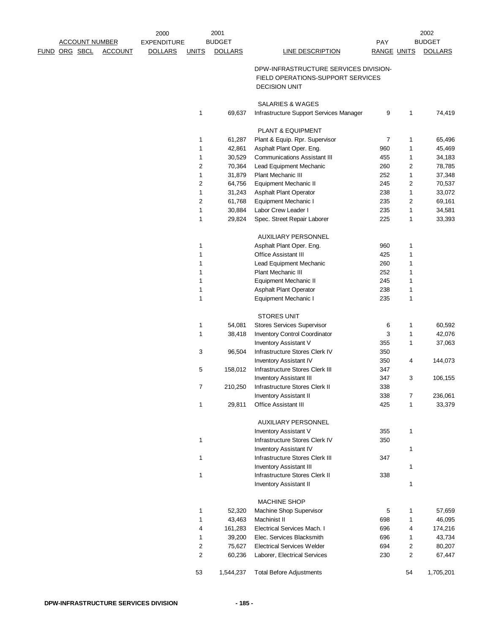|                      |                       | 2000               |                | 2001           |                                                     |                    |                  | 2002           |
|----------------------|-----------------------|--------------------|----------------|----------------|-----------------------------------------------------|--------------------|------------------|----------------|
|                      | <b>ACCOUNT NUMBER</b> | <b>EXPENDITURE</b> |                | <b>BUDGET</b>  |                                                     | PAY                |                  | <b>BUDGET</b>  |
| <u>FUND ORG SBCL</u> | <b>ACCOUNT</b>        | <b>DOLLARS</b>     | <b>UNITS</b>   | <b>DOLLARS</b> | LINE DESCRIPTION                                    | <b>RANGE UNITS</b> |                  | <b>DOLLARS</b> |
|                      |                       |                    |                |                |                                                     |                    |                  |                |
|                      |                       |                    |                |                | DPW-INFRASTRUCTURE SERVICES DIVISION-               |                    |                  |                |
|                      |                       |                    |                |                | FIELD OPERATIONS-SUPPORT SERVICES                   |                    |                  |                |
|                      |                       |                    |                |                | <b>DECISION UNIT</b>                                |                    |                  |                |
|                      |                       |                    |                |                | SALARIES & WAGES                                    |                    |                  |                |
|                      |                       |                    | 1              | 69,637         | Infrastructure Support Services Manager             | 9                  | 1                | 74,419         |
|                      |                       |                    |                |                |                                                     |                    |                  |                |
|                      |                       |                    | 1              | 61,287         | PLANT & EQUIPMENT<br>Plant & Equip. Rpr. Supervisor | $\overline{7}$     | $\mathbf{1}$     | 65,496         |
|                      |                       |                    | 1              | 42,861         | Asphalt Plant Oper. Eng.                            | 960                | $\mathbf{1}$     | 45,469         |
|                      |                       |                    | 1              | 30,529         | <b>Communications Assistant III</b>                 | 455                | $\mathbf{1}$     | 34,183         |
|                      |                       |                    | $\overline{c}$ | 70,364         | Lead Equipment Mechanic                             | 260                | 2                | 78,785         |
|                      |                       |                    | 1              | 31,879         | <b>Plant Mechanic III</b>                           | 252                | $\mathbf{1}$     | 37,348         |
|                      |                       |                    | 2              | 64,756         | Equipment Mechanic II                               | 245                | 2                | 70,537         |
|                      |                       |                    | 1              | 31,243         | <b>Asphalt Plant Operator</b>                       | 238                | $\mathbf{1}$     | 33,072         |
|                      |                       |                    | 2              | 61,768         | Equipment Mechanic I                                | 235                | 2                | 69,161         |
|                      |                       |                    | 1              | 30,884         | Labor Crew Leader I                                 | 235                | $\mathbf{1}$     | 34,581         |
|                      |                       |                    | 1              | 29,824         | Spec. Street Repair Laborer                         | 225                | $\mathbf{1}$     | 33,393         |
|                      |                       |                    |                |                |                                                     |                    |                  |                |
|                      |                       |                    |                |                | <b>AUXILIARY PERSONNEL</b>                          |                    |                  |                |
|                      |                       |                    | 1              |                | Asphalt Plant Oper. Eng.                            | 960                | 1                |                |
|                      |                       |                    | 1              |                | Office Assistant III                                | 425                | $\mathbf{1}$     |                |
|                      |                       |                    | 1              |                | Lead Equipment Mechanic                             | 260                | 1                |                |
|                      |                       |                    | 1              |                | Plant Mechanic III                                  | 252                | 1                |                |
|                      |                       |                    | 1              |                | Equipment Mechanic II                               | 245                | $\mathbf{1}$     |                |
|                      |                       |                    | 1              |                | <b>Asphalt Plant Operator</b>                       | 238                | 1                |                |
|                      |                       |                    | 1              |                | Equipment Mechanic I                                | 235                | $\mathbf{1}$     |                |
|                      |                       |                    |                |                | <b>STORES UNIT</b>                                  |                    |                  |                |
|                      |                       |                    | 1              | 54,081         | <b>Stores Services Supervisor</b>                   | 6                  | $\mathbf{1}$     | 60,592         |
|                      |                       |                    | 1              | 38,418         | <b>Inventory Control Coordinator</b>                | 3                  | $\mathbf{1}$     | 42,076         |
|                      |                       |                    |                |                | <b>Inventory Assistant V</b>                        | 355                | $\mathbf{1}$     | 37,063         |
|                      |                       |                    | 3              | 96,504         | Infrastructure Stores Clerk IV                      | 350                |                  |                |
|                      |                       |                    |                |                | <b>Inventory Assistant IV</b>                       | 350                | 4                | 144,073        |
|                      |                       |                    | 5              | 158,012        | Infrastructure Stores Clerk III                     | 347                |                  |                |
|                      |                       |                    |                |                | <b>Inventory Assistant III</b>                      | 347                | 3                | 106,155        |
|                      |                       |                    | 7              | 210,250        | Infrastructure Stores Clerk II                      | 338                |                  |                |
|                      |                       |                    |                |                | <b>Inventory Assistant II</b>                       | 338                | 7                | 236,061        |
|                      |                       |                    | $\mathbf{1}$   | 29,811         | Office Assistant III                                | 425                | $\mathbf{1}$     | 33,379         |
|                      |                       |                    |                |                |                                                     |                    |                  |                |
|                      |                       |                    |                |                | <b>AUXILIARY PERSONNEL</b>                          |                    |                  |                |
|                      |                       |                    |                |                | <b>Inventory Assistant V</b>                        | 355                | $\mathbf{1}$     |                |
|                      |                       |                    | 1              |                | Infrastructure Stores Clerk IV                      | 350                |                  |                |
|                      |                       |                    |                |                | <b>Inventory Assistant IV</b>                       |                    | $\mathbf{1}$     |                |
|                      |                       |                    | 1              |                | Infrastructure Stores Clerk III                     | 347                |                  |                |
|                      |                       |                    |                |                | <b>Inventory Assistant III</b>                      |                    | $\mathbf{1}$     |                |
|                      |                       |                    | 1              |                | Infrastructure Stores Clerk II                      | 338                |                  |                |
|                      |                       |                    |                |                | <b>Inventory Assistant II</b>                       |                    | $\mathbf{1}$     |                |
|                      |                       |                    |                |                | <b>MACHINE SHOP</b>                                 |                    |                  |                |
|                      |                       |                    | 1              | 52,320         | Machine Shop Supervisor                             | 5                  | 1                | 57,659         |
|                      |                       |                    | 1              | 43,463         | Machinist II                                        | 698                | $\mathbf{1}$     | 46,095         |
|                      |                       |                    | 4              | 161,283        | <b>Electrical Services Mach. I</b>                  | 696                | 4                | 174,216        |
|                      |                       |                    | 1              | 39,200         | Elec. Services Blacksmith                           | 696                | 1                | 43,734         |
|                      |                       |                    | 2              | 75,627         | <b>Electrical Services Welder</b>                   | 694                | 2                | 80,207         |
|                      |                       |                    | 2              | 60,236         | Laborer, Electrical Services                        | 230                | $\boldsymbol{2}$ | 67,447         |
|                      |                       |                    |                |                |                                                     |                    |                  |                |
|                      |                       |                    | 53             | 1,544,237      | <b>Total Before Adjustments</b>                     |                    | 54               | 1,705,201      |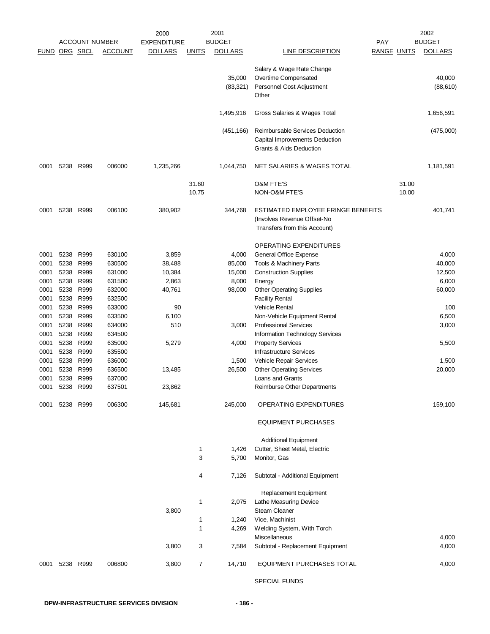|                      |           | <b>ACCOUNT NUMBER</b> |                | 2000<br><b>EXPENDITURE</b> |              | 2001<br><b>BUDGET</b> |                                    | <b>PAY</b>         |       | 2002<br><b>BUDGET</b> |
|----------------------|-----------|-----------------------|----------------|----------------------------|--------------|-----------------------|------------------------------------|--------------------|-------|-----------------------|
| <b>FUND ORG SBCL</b> |           |                       | <b>ACCOUNT</b> | <b>DOLLARS</b>             | <u>UNITS</u> | <b>DOLLARS</b>        | LINE DESCRIPTION                   | <b>RANGE UNITS</b> |       | <b>DOLLARS</b>        |
|                      |           |                       |                |                            |              |                       |                                    |                    |       |                       |
|                      |           |                       |                |                            |              |                       | Salary & Wage Rate Change          |                    |       |                       |
|                      |           |                       |                |                            |              | 35,000                | Overtime Compensated               |                    |       | 40,000                |
|                      |           |                       |                |                            |              | (83, 321)             | Personnel Cost Adjustment          |                    |       | (88, 610)             |
|                      |           |                       |                |                            |              |                       | Other                              |                    |       |                       |
|                      |           |                       |                |                            |              | 1,495,916             | Gross Salaries & Wages Total       |                    |       | 1,656,591             |
|                      |           |                       |                |                            |              | (451, 166)            | Reimbursable Services Deduction    |                    |       | (475,000)             |
|                      |           |                       |                |                            |              |                       | Capital Improvements Deduction     |                    |       |                       |
|                      |           |                       |                |                            |              |                       | Grants & Aids Deduction            |                    |       |                       |
| 0001                 | 5238      | R999                  | 006000         | 1,235,266                  |              | 1,044,750             | NET SALARIES & WAGES TOTAL         |                    |       | 1,181,591             |
|                      |           |                       |                |                            | 31.60        |                       | <b>O&amp;M FTE'S</b>               |                    | 31.00 |                       |
|                      |           |                       |                |                            | 10.75        |                       | NON-O&M FTE'S                      |                    | 10.00 |                       |
|                      |           |                       |                |                            |              |                       |                                    |                    |       |                       |
| 0001                 | 5238      | R999                  | 006100         | 380,902                    |              | 344,768               | ESTIMATED EMPLOYEE FRINGE BENEFITS |                    |       | 401,741               |
|                      |           |                       |                |                            |              |                       | (Involves Revenue Offset-No        |                    |       |                       |
|                      |           |                       |                |                            |              |                       | Transfers from this Account)       |                    |       |                       |
|                      |           |                       |                |                            |              |                       | <b>OPERATING EXPENDITURES</b>      |                    |       |                       |
| 0001                 | 5238      | R999                  | 630100         | 3,859                      |              | 4,000                 | General Office Expense             |                    |       | 4,000                 |
| 0001                 | 5238      | R999                  | 630500         | 38,488                     |              | 85,000                | Tools & Machinery Parts            |                    |       | 40,000                |
| 0001                 | 5238      | R999                  | 631000         | 10,384                     |              | 15,000                | <b>Construction Supplies</b>       |                    |       | 12,500                |
| 0001                 | 5238      | R999                  | 631500         | 2,863                      |              | 8,000                 | Energy                             |                    |       | 6,000                 |
| 0001                 | 5238      | R999                  | 632000         | 40,761                     |              | 98,000                | <b>Other Operating Supplies</b>    |                    |       | 60,000                |
| 0001                 | 5238      | R999                  | 632500         |                            |              |                       | <b>Facility Rental</b>             |                    |       |                       |
| 0001                 | 5238      | R999                  | 633000         | 90                         |              |                       | Vehicle Rental                     |                    |       | 100                   |
| 0001                 | 5238      | R999                  | 633500         | 6,100                      |              |                       | Non-Vehicle Equipment Rental       |                    |       | 6,500                 |
| 0001                 | 5238      | R999                  | 634000         | 510                        |              | 3,000                 | <b>Professional Services</b>       |                    |       | 3,000                 |
| 0001                 | 5238      | R999                  | 634500         |                            |              |                       | Information Technology Services    |                    |       |                       |
| 0001                 | 5238      | R999                  | 635000         | 5,279                      |              | 4,000                 | <b>Property Services</b>           |                    |       | 5,500                 |
| 0001                 | 5238      | R999                  | 635500         |                            |              |                       | <b>Infrastructure Services</b>     |                    |       |                       |
| 0001                 | 5238      | R999                  | 636000         |                            |              | 1,500                 | Vehicle Repair Services            |                    |       | 1,500                 |
| 0001                 | 5238      | R999                  | 636500         | 13,485                     |              | 26,500                | <b>Other Operating Services</b>    |                    |       | 20,000                |
| 0001                 | 5238      | R999                  | 637000         |                            |              |                       | Loans and Grants                   |                    |       |                       |
| 0001                 |           | 5238 R999             | 637501         | 23,862                     |              |                       | Reimburse Other Departments        |                    |       |                       |
| 0001                 | 5238 R999 |                       | 006300         | 145,681                    |              | 245,000               | OPERATING EXPENDITURES             |                    |       | 159,100               |
|                      |           |                       |                |                            |              |                       | <b>EQUIPMENT PURCHASES</b>         |                    |       |                       |
|                      |           |                       |                |                            |              |                       | <b>Additional Equipment</b>        |                    |       |                       |
|                      |           |                       |                |                            | 1            | 1,426                 | Cutter, Sheet Metal, Electric      |                    |       |                       |
|                      |           |                       |                |                            | 3            | 5,700                 | Monitor, Gas                       |                    |       |                       |
|                      |           |                       |                |                            | 4            | 7,126                 | Subtotal - Additional Equipment    |                    |       |                       |
|                      |           |                       |                |                            |              |                       | Replacement Equipment              |                    |       |                       |
|                      |           |                       |                |                            | 1            | 2,075                 | Lathe Measuring Device             |                    |       |                       |
|                      |           |                       |                | 3,800                      |              |                       | Steam Cleaner                      |                    |       |                       |
|                      |           |                       |                |                            | 1            | 1,240                 | Vice, Machinist                    |                    |       |                       |
|                      |           |                       |                |                            | 1            | 4,269                 | Welding System, With Torch         |                    |       |                       |
|                      |           |                       |                |                            |              |                       | Miscellaneous                      |                    |       | 4,000                 |
|                      |           |                       |                | 3,800                      | 3            | 7,584                 | Subtotal - Replacement Equipment   |                    |       | 4,000                 |
| 0001                 | 5238 R999 |                       | 006800         | 3,800                      | 7            | 14,710                | EQUIPMENT PURCHASES TOTAL          |                    |       | 4,000                 |
|                      |           |                       |                |                            |              |                       | SPECIAL FUNDS                      |                    |       |                       |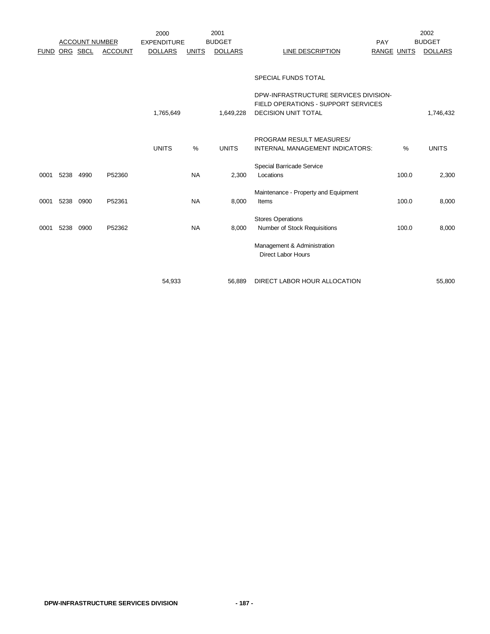|             |          |                       |                | 2000               |              | 2001           |                                       |     |                    | 2002           |
|-------------|----------|-----------------------|----------------|--------------------|--------------|----------------|---------------------------------------|-----|--------------------|----------------|
|             |          | <b>ACCOUNT NUMBER</b> |                | <b>EXPENDITURE</b> |              | <b>BUDGET</b>  |                                       | PAY |                    | <b>BUDGET</b>  |
| <b>FUND</b> | ORG SBCL |                       | <b>ACCOUNT</b> | <b>DOLLARS</b>     | <b>UNITS</b> | <b>DOLLARS</b> | LINE DESCRIPTION                      |     | <b>RANGE UNITS</b> | <b>DOLLARS</b> |
|             |          |                       |                |                    |              |                |                                       |     |                    |                |
|             |          |                       |                |                    |              |                | <b>SPECIAL FUNDS TOTAL</b>            |     |                    |                |
|             |          |                       |                |                    |              |                | DPW-INFRASTRUCTURE SERVICES DIVISION- |     |                    |                |
|             |          |                       |                |                    |              |                | FIELD OPERATIONS - SUPPORT SERVICES   |     |                    |                |
|             |          |                       |                | 1,765,649          |              | 1,649,228      | <b>DECISION UNIT TOTAL</b>            |     |                    | 1,746,432      |
|             |          |                       |                |                    |              |                |                                       |     |                    |                |
|             |          |                       |                |                    |              |                | PROGRAM RESULT MEASURES/              |     |                    |                |
|             |          |                       |                | <b>UNITS</b>       | %            | <b>UNITS</b>   | INTERNAL MANAGEMENT INDICATORS:       |     | %                  | <b>UNITS</b>   |
|             |          |                       |                |                    |              |                | Special Barricade Service             |     |                    |                |
| 0001        | 5238     | 4990                  | P52360         |                    | <b>NA</b>    | 2,300          | Locations                             |     | 100.0              | 2,300          |
|             |          |                       |                |                    |              |                | Maintenance - Property and Equipment  |     |                    |                |
| 0001        | 5238     | 0900                  | P52361         |                    | <b>NA</b>    | 8,000          | Items                                 |     | 100.0              | 8,000          |
|             |          |                       |                |                    |              |                |                                       |     |                    |                |
|             |          |                       |                |                    |              |                | <b>Stores Operations</b>              |     |                    |                |
| 0001        | 5238     | 0900                  | P52362         |                    | <b>NA</b>    | 8,000          | Number of Stock Requisitions          |     | 100.0              | 8,000          |
|             |          |                       |                |                    |              |                | Management & Administration           |     |                    |                |
|             |          |                       |                |                    |              |                | <b>Direct Labor Hours</b>             |     |                    |                |
|             |          |                       |                |                    |              |                |                                       |     |                    |                |
|             |          |                       |                |                    |              |                |                                       |     |                    |                |

54,933 56,889 DIRECT LABOR HOUR ALLOCATION 55,800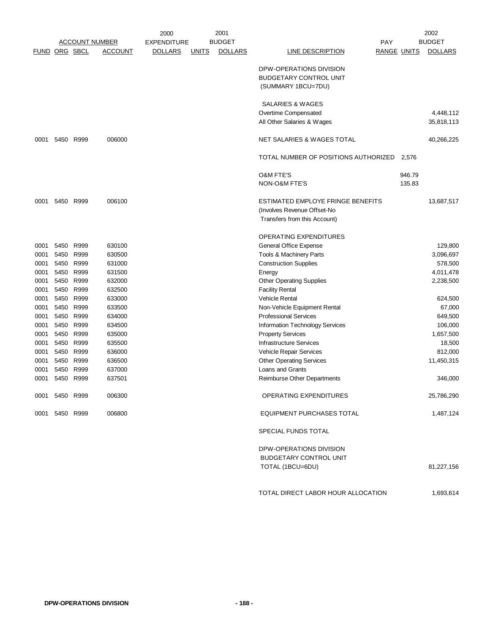|                      |                |                       |                | 2000               |              | 2001           |                                      |                    | 2002           |
|----------------------|----------------|-----------------------|----------------|--------------------|--------------|----------------|--------------------------------------|--------------------|----------------|
|                      |                | <b>ACCOUNT NUMBER</b> |                | <b>EXPENDITURE</b> |              | <b>BUDGET</b>  |                                      | PAY                | <b>BUDGET</b>  |
| <b>FUND ORG SBCL</b> |                |                       | <u>ACCOUNT</u> | <b>DOLLARS</b>     | <u>UNITS</u> | <b>DOLLARS</b> | <b>LINE DESCRIPTION</b>              | <b>RANGE UNITS</b> | <b>DOLLARS</b> |
|                      |                |                       |                |                    |              |                | DPW-OPERATIONS DIVISION              |                    |                |
|                      |                |                       |                |                    |              |                | <b>BUDGETARY CONTROL UNIT</b>        |                    |                |
|                      |                |                       |                |                    |              |                | (SUMMARY 1BCU=7DU)                   |                    |                |
|                      |                |                       |                |                    |              |                | SALARIES & WAGES                     |                    |                |
|                      |                |                       |                |                    |              |                | Overtime Compensated                 |                    | 4,448,112      |
|                      |                |                       |                |                    |              |                | All Other Salaries & Wages           |                    | 35,818,113     |
|                      |                |                       |                |                    |              |                |                                      |                    |                |
| 0001                 | 5450           | R999                  | 006000         |                    |              |                | NET SALARIES & WAGES TOTAL           |                    | 40,266,225     |
|                      |                |                       |                |                    |              |                | TOTAL NUMBER OF POSITIONS AUTHORIZED | 2,576              |                |
|                      |                |                       |                |                    |              |                | <b>O&amp;M FTE'S</b>                 | 946.79             |                |
|                      |                |                       |                |                    |              |                | NON-O&M FTE'S                        | 135.83             |                |
| 0001                 | 5450 R999      |                       | 006100         |                    |              |                | ESTIMATED EMPLOYE FRINGE BENEFITS    |                    | 13,687,517     |
|                      |                |                       |                |                    |              |                | (Involves Revenue Offset-No          |                    |                |
|                      |                |                       |                |                    |              |                | Transfers from this Account)         |                    |                |
|                      |                |                       |                |                    |              |                | OPERATING EXPENDITURES               |                    |                |
| 0001                 | 5450           | R999                  | 630100         |                    |              |                | General Office Expense               |                    | 129,800        |
| 0001                 | 5450           | R999                  | 630500         |                    |              |                | Tools & Machinery Parts              |                    | 3,096,697      |
| 0001                 | 5450           | R999                  | 631000         |                    |              |                | <b>Construction Supplies</b>         |                    | 578,500        |
| 0001                 | 5450           | R999                  | 631500         |                    |              |                | Energy                               |                    | 4,011,478      |
| 0001                 | 5450           | R999                  | 632000         |                    |              |                | <b>Other Operating Supplies</b>      |                    | 2,238,500      |
| 0001                 | 5450           | R999                  | 632500         |                    |              |                | <b>Facility Rental</b>               |                    |                |
| 0001                 | 5450           | R999                  | 633000         |                    |              |                | <b>Vehicle Rental</b>                |                    | 624,500        |
| 0001                 | 5450           | R999                  | 633500         |                    |              |                | Non-Vehicle Equipment Rental         |                    | 67,000         |
| 0001                 | 5450           | R999                  | 634000         |                    |              |                | <b>Professional Services</b>         |                    | 649,500        |
| 0001                 | 5450           | R999                  | 634500         |                    |              |                | Information Technology Services      |                    | 106,000        |
| 0001                 | 5450           | R999                  | 635000         |                    |              |                | <b>Property Services</b>             |                    | 1,657,500      |
| 0001                 |                | 5450 R999             | 635500         |                    |              |                | <b>Infrastructure Services</b>       |                    | 18,500         |
| 0001                 | 5450           | R999                  | 636000         |                    |              |                | Vehicle Repair Services              |                    | 812,000        |
| 0001                 | 5450           | R999                  | 636500         |                    |              |                | <b>Other Operating Services</b>      |                    | 11,450,315     |
| 0001                 | 5450           | R999                  | 637000         |                    |              |                | Loans and Grants                     |                    |                |
| 0001                 | 5450           | R999                  | 637501         |                    |              |                | Reimburse Other Departments          |                    | 346,000        |
|                      | 0001 5450 R999 |                       | 006300         |                    |              |                | <b>OPERATING EXPENDITURES</b>        |                    | 25,786,290     |
|                      | 0001 5450 R999 |                       | 006800         |                    |              |                | EQUIPMENT PURCHASES TOTAL            |                    | 1,487,124      |
|                      |                |                       |                |                    |              |                | SPECIAL FUNDS TOTAL                  |                    |                |
|                      |                |                       |                |                    |              |                | DPW-OPERATIONS DIVISION              |                    |                |
|                      |                |                       |                |                    |              |                | <b>BUDGETARY CONTROL UNIT</b>        |                    |                |
|                      |                |                       |                |                    |              |                | TOTAL (1BCU=6DU)                     |                    | 81,227,156     |
|                      |                |                       |                |                    |              |                |                                      |                    |                |

TOTAL DIRECT LABOR HOUR ALLOCATION 1,693,614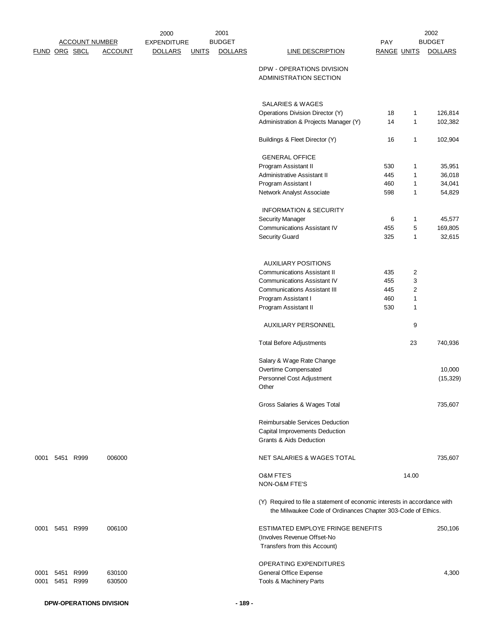| FUND ORG SBCL |      | <b>ACCOUNT NUMBER</b> | <b>ACCOUNT</b> | 2000<br><b>EXPENDITURE</b><br><b>DOLLARS</b> | <b>UNITS</b> | 2001<br><b>BUDGET</b><br><b>DOLLARS</b> | <b>LINE DESCRIPTION</b>                                                                                                                   | PAY<br><b>RANGE UNITS</b> |              | 2002<br><b>BUDGET</b><br><b>DOLLARS</b> |
|---------------|------|-----------------------|----------------|----------------------------------------------|--------------|-----------------------------------------|-------------------------------------------------------------------------------------------------------------------------------------------|---------------------------|--------------|-----------------------------------------|
|               |      |                       |                |                                              |              |                                         | DPW - OPERATIONS DIVISION<br>ADMINISTRATION SECTION                                                                                       |                           |              |                                         |
|               |      |                       |                |                                              |              |                                         | SALARIES & WAGES<br>Operations Division Director (Y)                                                                                      | 18                        | 1            | 126,814                                 |
|               |      |                       |                |                                              |              |                                         | Administration & Projects Manager (Y)                                                                                                     | 14                        | $\mathbf{1}$ | 102,382                                 |
|               |      |                       |                |                                              |              |                                         | Buildings & Fleet Director (Y)                                                                                                            | 16                        | 1            | 102,904                                 |
|               |      |                       |                |                                              |              |                                         | <b>GENERAL OFFICE</b>                                                                                                                     |                           |              |                                         |
|               |      |                       |                |                                              |              |                                         | Program Assistant II                                                                                                                      | 530                       | 1            | 35,951                                  |
|               |      |                       |                |                                              |              |                                         | Administrative Assistant II                                                                                                               | 445                       | 1            | 36,018                                  |
|               |      |                       |                |                                              |              |                                         | Program Assistant I                                                                                                                       | 460                       | 1            | 34,041                                  |
|               |      |                       |                |                                              |              |                                         | Network Analyst Associate                                                                                                                 | 598                       | 1            | 54,829                                  |
|               |      |                       |                |                                              |              |                                         | <b>INFORMATION &amp; SECURITY</b>                                                                                                         |                           |              | 45,577                                  |
|               |      |                       |                |                                              |              |                                         | <b>Security Manager</b>                                                                                                                   | 6                         | 1            |                                         |
|               |      |                       |                |                                              |              |                                         | <b>Communications Assistant IV</b>                                                                                                        | 455                       | 5            | 169,805                                 |
|               |      |                       |                |                                              |              |                                         | <b>Security Guard</b>                                                                                                                     | 325                       | 1            | 32,615                                  |
|               |      |                       |                |                                              |              |                                         | <b>AUXILIARY POSITIONS</b>                                                                                                                |                           |              |                                         |
|               |      |                       |                |                                              |              |                                         | <b>Communications Assistant II</b>                                                                                                        | 435                       | 2            |                                         |
|               |      |                       |                |                                              |              |                                         | <b>Communications Assistant IV</b>                                                                                                        | 455                       | 3            |                                         |
|               |      |                       |                |                                              |              |                                         | <b>Communications Assistant III</b>                                                                                                       | 445                       | 2            |                                         |
|               |      |                       |                |                                              |              |                                         | Program Assistant I                                                                                                                       | 460                       | $\mathbf{1}$ |                                         |
|               |      |                       |                |                                              |              |                                         | Program Assistant II                                                                                                                      | 530                       | 1            |                                         |
|               |      |                       |                |                                              |              |                                         | <b>AUXILIARY PERSONNEL</b>                                                                                                                |                           | 9            |                                         |
|               |      |                       |                |                                              |              |                                         | <b>Total Before Adjustments</b>                                                                                                           |                           | 23           | 740,936                                 |
|               |      |                       |                |                                              |              |                                         | Salary & Wage Rate Change                                                                                                                 |                           |              |                                         |
|               |      |                       |                |                                              |              |                                         | Overtime Compensated                                                                                                                      |                           |              | 10,000                                  |
|               |      |                       |                |                                              |              |                                         | Personnel Cost Adjustment                                                                                                                 |                           |              | (15, 329)                               |
|               |      |                       |                |                                              |              |                                         | Other                                                                                                                                     |                           |              |                                         |
|               |      |                       |                |                                              |              |                                         | Gross Salaries & Wages Total                                                                                                              |                           |              | 735,607                                 |
|               |      |                       |                |                                              |              |                                         | Reimbursable Services Deduction                                                                                                           |                           |              |                                         |
|               |      |                       |                |                                              |              |                                         | Capital Improvements Deduction<br>Grants & Aids Deduction                                                                                 |                           |              |                                         |
| 0001          |      | 5451 R999             | 006000         |                                              |              |                                         | NET SALARIES & WAGES TOTAL                                                                                                                |                           |              | 735,607                                 |
|               |      |                       |                |                                              |              |                                         | <b>O&amp;M FTE'S</b>                                                                                                                      |                           | 14.00        |                                         |
|               |      |                       |                |                                              |              |                                         | <b>NON-O&amp;M FTE'S</b>                                                                                                                  |                           |              |                                         |
|               |      |                       |                |                                              |              |                                         | (Y) Required to file a statement of economic interests in accordance with<br>the Milwaukee Code of Ordinances Chapter 303-Code of Ethics. |                           |              |                                         |
| 0001          |      | 5451 R999             | 006100         |                                              |              |                                         | ESTIMATED EMPLOYE FRINGE BENEFITS<br>(Involves Revenue Offset-No                                                                          |                           |              | 250,106                                 |
|               |      |                       |                |                                              |              |                                         | Transfers from this Account)                                                                                                              |                           |              |                                         |
|               |      |                       |                |                                              |              |                                         | OPERATING EXPENDITURES                                                                                                                    |                           |              |                                         |
| 0001          | 5451 | R999                  | 630100         |                                              |              |                                         | General Office Expense                                                                                                                    |                           |              | 4,300                                   |
| 0001          |      | 5451 R999             | 630500         |                                              |              |                                         | Tools & Machinery Parts                                                                                                                   |                           |              |                                         |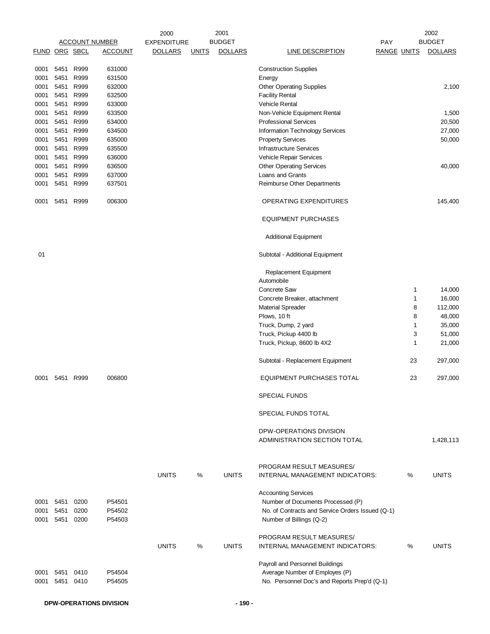|                      |                   |      |                       | 2000               | 2001          |                |                                                                              |                    |    | 2002           |
|----------------------|-------------------|------|-----------------------|--------------------|---------------|----------------|------------------------------------------------------------------------------|--------------------|----|----------------|
|                      |                   |      | <b>ACCOUNT NUMBER</b> | <b>EXPENDITURE</b> | <b>BUDGET</b> |                |                                                                              | <b>PAY</b>         |    | <b>BUDGET</b>  |
| <b>FUND ORG SBCL</b> |                   |      | <b>ACCOUNT</b>        | <b>DOLLARS</b>     | <b>UNITS</b>  | <b>DOLLARS</b> | <b>LINE DESCRIPTION</b>                                                      | <b>RANGE UNITS</b> |    | <b>DOLLARS</b> |
| 0001                 | 5451              | R999 | 631000                |                    |               |                | <b>Construction Supplies</b>                                                 |                    |    |                |
| 0001                 | 5451 R999         |      | 631500                |                    |               |                | Energy                                                                       |                    |    |                |
| 0001                 | 5451 R999         |      | 632000                |                    |               |                | <b>Other Operating Supplies</b>                                              |                    |    | 2,100          |
|                      | 5451              | R999 | 632500                |                    |               |                |                                                                              |                    |    |                |
| 0001                 |                   |      |                       |                    |               |                | <b>Facility Rental</b>                                                       |                    |    |                |
| 0001                 | 5451 R999         |      | 633000                |                    |               |                | <b>Vehicle Rental</b>                                                        |                    |    |                |
| 0001                 | 5451 R999         |      | 633500                |                    |               |                | Non-Vehicle Equipment Rental                                                 |                    |    | 1,500          |
| 0001                 | 5451              | R999 | 634000                |                    |               |                | <b>Professional Services</b>                                                 |                    |    | 20,500         |
| 0001                 | 5451 R999         |      | 634500                |                    |               |                | <b>Information Technology Services</b>                                       |                    |    | 27,000         |
| 0001                 | 5451 R999         |      | 635000                |                    |               |                | <b>Property Services</b>                                                     |                    |    | 50,000         |
| 0001                 | 5451              | R999 | 635500                |                    |               |                | <b>Infrastructure Services</b>                                               |                    |    |                |
| 0001                 | 5451 R999         |      | 636000                |                    |               |                | Vehicle Repair Services                                                      |                    |    |                |
| 0001                 | 5451 R999         |      | 636500                |                    |               |                | <b>Other Operating Services</b>                                              |                    |    | 40,000         |
|                      |                   |      |                       |                    |               |                |                                                                              |                    |    |                |
| 0001                 | 5451              | R999 | 637000                |                    |               |                | Loans and Grants                                                             |                    |    |                |
| 0001                 | 5451              | R999 | 637501                |                    |               |                | Reimburse Other Departments                                                  |                    |    |                |
| 0001                 | 5451              | R999 | 006300                |                    |               |                | <b>OPERATING EXPENDITURES</b>                                                |                    |    | 145,400        |
|                      |                   |      |                       |                    |               |                | <b>EQUIPMENT PURCHASES</b>                                                   |                    |    |                |
|                      |                   |      |                       |                    |               |                | <b>Additional Equipment</b>                                                  |                    |    |                |
| 01                   |                   |      |                       |                    |               |                | Subtotal - Additional Equipment                                              |                    |    |                |
|                      |                   |      |                       |                    |               |                | Replacement Equipment                                                        |                    |    |                |
|                      |                   |      |                       |                    |               |                | Automobile                                                                   |                    |    |                |
|                      |                   |      |                       |                    |               |                | Concrete Saw                                                                 |                    | 1  | 14,000         |
|                      |                   |      |                       |                    |               |                | Concrete Breaker, attachment                                                 |                    | 1  | 16,000         |
|                      |                   |      |                       |                    |               |                |                                                                              |                    |    |                |
|                      |                   |      |                       |                    |               |                | <b>Material Spreader</b>                                                     |                    | 8  | 112,000        |
|                      |                   |      |                       |                    |               |                | Plows, 10 ft                                                                 |                    | 8  | 48,000         |
|                      |                   |      |                       |                    |               |                | Truck, Dump, 2 yard                                                          |                    | 1  | 35,000         |
|                      |                   |      |                       |                    |               |                | Truck, Pickup 4400 lb                                                        |                    | 3  | 51,000         |
|                      |                   |      |                       |                    |               |                | Truck, Pickup, 8600 lb 4X2                                                   |                    | 1  | 21,000         |
|                      |                   |      |                       |                    |               |                | Subtotal - Replacement Equipment                                             |                    | 23 | 297,000        |
| 0001                 | 5451 R999         |      | 006800                |                    |               |                | EQUIPMENT PURCHASES TOTAL                                                    |                    | 23 | 297,000        |
|                      |                   |      |                       |                    |               |                | <b>SPECIAL FUNDS</b>                                                         |                    |    |                |
|                      |                   |      |                       |                    |               |                | SPECIAL FUNDS TOTAL                                                          |                    |    |                |
|                      |                   |      |                       |                    |               |                | DPW-OPERATIONS DIVISION                                                      |                    |    |                |
|                      |                   |      |                       |                    |               |                | ADMINISTRATION SECTION TOTAL                                                 |                    |    | 1,428,113      |
|                      |                   |      |                       |                    |               |                | PROGRAM RESULT MEASURES/                                                     |                    |    |                |
|                      |                   |      |                       | <b>UNITS</b>       | %             | <b>UNITS</b>   | INTERNAL MANAGEMENT INDICATORS:                                              |                    | %  | <b>UNITS</b>   |
|                      |                   |      |                       |                    |               |                | <b>Accounting Services</b>                                                   |                    |    |                |
| 0001                 | 5451              | 0200 | P54501                |                    |               |                | Number of Documents Processed (P)                                            |                    |    |                |
| 0001<br>0001         | 5451<br>5451 0200 | 0200 | P54502<br>P54503      |                    |               |                | No. of Contracts and Service Orders Issued (Q-1)<br>Number of Billings (Q-2) |                    |    |                |
|                      |                   |      |                       |                    |               |                |                                                                              |                    |    |                |
|                      |                   |      |                       |                    |               |                | PROGRAM RESULT MEASURES/                                                     |                    |    |                |
|                      |                   |      |                       | <b>UNITS</b>       | %             | <b>UNITS</b>   | INTERNAL MANAGEMENT INDICATORS:                                              |                    | %  | <b>UNITS</b>   |
|                      |                   |      |                       |                    |               |                | Payroll and Personnel Buildings                                              |                    |    |                |
|                      |                   |      |                       |                    |               |                |                                                                              |                    |    |                |
| 0001                 | 5451 0410         |      | P54504                |                    |               |                | Average Number of Employes (P)                                               |                    |    |                |
| 0001                 | 5451 0410         |      | P54505                |                    |               |                | No. Personnel Doc's and Reports Prep'd (Q-1)                                 |                    |    |                |
|                      |                   |      |                       |                    |               |                |                                                                              |                    |    |                |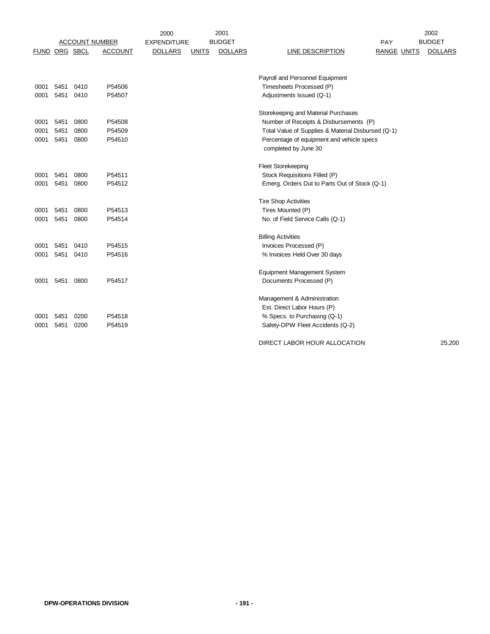|                      |              |              |                       | 2000               |              | 2001           |                                                    |                    | 2002           |
|----------------------|--------------|--------------|-----------------------|--------------------|--------------|----------------|----------------------------------------------------|--------------------|----------------|
|                      |              |              | <b>ACCOUNT NUMBER</b> | <b>EXPENDITURE</b> |              | <b>BUDGET</b>  |                                                    | PAY                | <b>BUDGET</b>  |
| <b>FUND ORG SBCL</b> |              |              | <b>ACCOUNT</b>        | <b>DOLLARS</b>     | <b>UNITS</b> | <b>DOLLARS</b> | <b>LINE DESCRIPTION</b>                            | <b>RANGE UNITS</b> | <b>DOLLARS</b> |
|                      |              |              |                       |                    |              |                |                                                    |                    |                |
|                      |              |              |                       |                    |              |                | Payroll and Personnel Equipment                    |                    |                |
|                      |              |              | P54506                |                    |              |                | Timesheets Processed (P)                           |                    |                |
| 0001                 | 5451<br>5451 | 0410<br>0410 | P54507                |                    |              |                | Adjustments Issued (Q-1)                           |                    |                |
| 0001                 |              |              |                       |                    |              |                |                                                    |                    |                |
|                      |              |              |                       |                    |              |                | Storekeeping and Material Purchases                |                    |                |
| 0001                 | 5451         | 0800         | P54508                |                    |              |                | Number of Receipts & Disbursements (P)             |                    |                |
| 0001                 | 5451         | 0800         | P54509                |                    |              |                | Total Value of Supplies & Material Disbursed (Q-1) |                    |                |
| 0001                 | 5451         | 0800         | P54510                |                    |              |                | Percentage of equipment and vehicle specs          |                    |                |
|                      |              |              |                       |                    |              |                | completed by June 30                               |                    |                |
|                      |              |              |                       |                    |              |                | <b>Fleet Storekeeping</b>                          |                    |                |
| 0001                 | 5451         | 0800         | P54511                |                    |              |                | Stock Requisitions Filled (P)                      |                    |                |
|                      |              |              | P54512                |                    |              |                |                                                    |                    |                |
| 0001                 | 5451         | 0800         |                       |                    |              |                | Emerg. Orders Dut to Parts Out of Stock (Q-1)      |                    |                |
|                      |              |              |                       |                    |              |                | <b>Tire Shop Activities</b>                        |                    |                |
| 0001                 | 5451         | 0800         | P54513                |                    |              |                | Tires Mounted (P)                                  |                    |                |
| 0001                 | 5451         | 0800         | P54514                |                    |              |                | No. of Field Service Calls (Q-1)                   |                    |                |
|                      |              |              |                       |                    |              |                | <b>Billing Activities</b>                          |                    |                |
| 0001                 | 5451         | 0410         | P54515                |                    |              |                | Invoices Processed (P)                             |                    |                |
| 0001                 | 5451         | 0410         | P54516                |                    |              |                | % Invoices Held Over 30 days                       |                    |                |
|                      |              |              |                       |                    |              |                |                                                    |                    |                |
|                      |              |              |                       |                    |              |                | <b>Equipment Management System</b>                 |                    |                |
| 0001                 | 5451         | 0800         | P54517                |                    |              |                | Documents Processed (P)                            |                    |                |
|                      |              |              |                       |                    |              |                | Management & Administration                        |                    |                |
|                      |              |              |                       |                    |              |                | Est. Direct Labor Hours (P)                        |                    |                |
| 0001                 | 5451         | 0200         | P54518                |                    |              |                | % Specs. to Purchasing (Q-1)                       |                    |                |
| 0001                 | 5451         | 0200         | P54519                |                    |              |                | Safety-DPW Fleet Accidents (Q-2)                   |                    |                |
|                      |              |              |                       |                    |              |                |                                                    |                    |                |
|                      |              |              |                       |                    |              |                | DIRECT LABOR HOUR ALLOCATION                       |                    | 25,200         |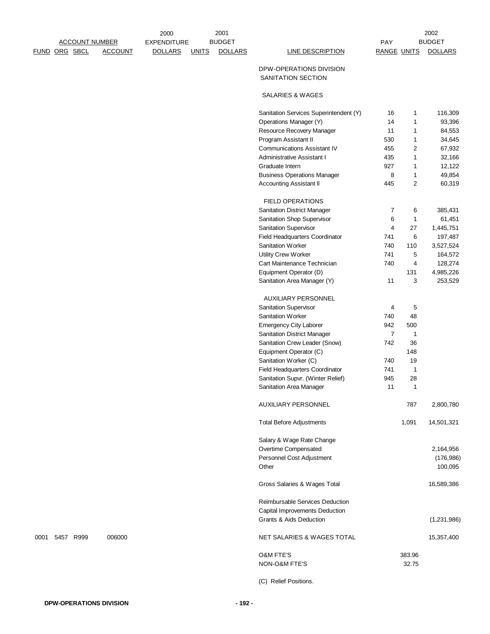|      |               |                       |                | 2000               |              | 2001           |                                               |                    |              | 2002           |
|------|---------------|-----------------------|----------------|--------------------|--------------|----------------|-----------------------------------------------|--------------------|--------------|----------------|
|      |               | <b>ACCOUNT NUMBER</b> |                | <b>EXPENDITURE</b> |              | <b>BUDGET</b>  |                                               | PAY                |              | <b>BUDGET</b>  |
|      | FUND ORG SBCL |                       | <b>ACCOUNT</b> | <b>DOLLARS</b>     | <b>UNITS</b> | <b>DOLLARS</b> | <b>LINE DESCRIPTION</b>                       | <b>RANGE UNITS</b> |              | <b>DOLLARS</b> |
|      |               |                       |                |                    |              |                | DPW-OPERATIONS DIVISION<br>SANITATION SECTION |                    |              |                |
|      |               |                       |                |                    |              |                | SALARIES & WAGES                              |                    |              |                |
|      |               |                       |                |                    |              |                | Sanitation Services Superintendent (Y)        | 16                 | 1            | 116,309        |
|      |               |                       |                |                    |              |                | Operations Manager (Y)                        | 14                 | 1            | 93,396         |
|      |               |                       |                |                    |              |                | Resource Recovery Manager                     | 11                 | 1            | 84,553         |
|      |               |                       |                |                    |              |                | Program Assistant II                          | 530                | 1            | 34,645         |
|      |               |                       |                |                    |              |                | <b>Communications Assistant IV</b>            | 455                | 2            | 67,932         |
|      |               |                       |                |                    |              |                | Administrative Assistant I                    | 435                | $\mathbf{1}$ | 32,166         |
|      |               |                       |                |                    |              |                | Graduate Intern                               | 927                | 1            | 12,122         |
|      |               |                       |                |                    |              |                | <b>Business Operations Manager</b>            | 8                  | 1            | 49,854         |
|      |               |                       |                |                    |              |                | <b>Accounting Assistant II</b>                | 445                | 2            | 60,319         |
|      |               |                       |                |                    |              |                | <b>FIELD OPERATIONS</b>                       |                    |              |                |
|      |               |                       |                |                    |              |                | <b>Sanitation District Manager</b>            | 7                  | 6            | 385,431        |
|      |               |                       |                |                    |              |                | Sanitation Shop Supervisor                    | 6                  | $\mathbf{1}$ | 61,451         |
|      |               |                       |                |                    |              |                | Sanitation Supervisor                         | $\overline{4}$     | 27           | 1,445,751      |
|      |               |                       |                |                    |              |                | Field Headquarters Coordinator                | 741                | 6            | 197,487        |
|      |               |                       |                |                    |              |                | Sanitation Worker                             | 740                | 110          | 3,527,524      |
|      |               |                       |                |                    |              |                | Utility Crew Worker                           | 741                | 5            | 164,572        |
|      |               |                       |                |                    |              |                | Cart Maintenance Technician                   | 740                | 4            | 128,274        |
|      |               |                       |                |                    |              |                | Equipment Operator (D)                        |                    | 131          | 4,985,226      |
|      |               |                       |                |                    |              |                | Sanitation Area Manager (Y)                   | 11                 | 3            | 253,529        |
|      |               |                       |                |                    |              |                | <b>AUXILIARY PERSONNEL</b>                    |                    |              |                |
|      |               |                       |                |                    |              |                | Sanitation Supervisor                         | 4                  | 5            |                |
|      |               |                       |                |                    |              |                | Sanitation Worker                             | 740                | 48           |                |
|      |               |                       |                |                    |              |                | <b>Emergency City Laborer</b>                 | 942                | 500          |                |
|      |               |                       |                |                    |              |                | Sanitation District Manager                   | $\overline{7}$     | $\mathbf{1}$ |                |
|      |               |                       |                |                    |              |                | Sanitation Crew Leader (Snow)                 | 742                | 36           |                |
|      |               |                       |                |                    |              |                | Equipment Operator (C)                        |                    | 148          |                |
|      |               |                       |                |                    |              |                | Sanitation Worker (C)                         | 740                | 19           |                |
|      |               |                       |                |                    |              |                | Field Headquarters Coordinator                | 741                | 1            |                |
|      |               |                       |                |                    |              |                | Sanitation Supvr. (Winter Relief)             | 945                | 28           |                |
|      |               |                       |                |                    |              |                | Sanitation Area Manager                       | 11                 |              |                |
|      |               |                       |                |                    |              |                | <b>AUXILIARY PERSONNEL</b>                    |                    | 787          | 2,800,780      |
|      |               |                       |                |                    |              |                | <b>Total Before Adjustments</b>               |                    | 1,091        | 14,501,321     |
|      |               |                       |                |                    |              |                | Salary & Wage Rate Change                     |                    |              |                |
|      |               |                       |                |                    |              |                | Overtime Compensated                          |                    |              | 2,164,956      |
|      |               |                       |                |                    |              |                | Personnel Cost Adjustment                     |                    |              | (176, 986)     |
|      |               |                       |                |                    |              |                | Other                                         |                    |              | 100,095        |
|      |               |                       |                |                    |              |                | Gross Salaries & Wages Total                  |                    |              | 16,589,386     |
|      |               |                       |                |                    |              |                | Reimbursable Services Deduction               |                    |              |                |
|      |               |                       |                |                    |              |                | Capital Improvements Deduction                |                    |              |                |
|      |               |                       |                |                    |              |                | <b>Grants &amp; Aids Deduction</b>            |                    |              | (1,231,986)    |
| 0001 | 5457 R999     |                       | 006000         |                    |              |                | NET SALARIES & WAGES TOTAL                    |                    |              | 15,357,400     |
|      |               |                       |                |                    |              |                | O&M FTE'S                                     |                    | 383.96       |                |
|      |               |                       |                |                    |              |                | NON-O&M FTE'S                                 |                    | 32.75        |                |
|      |               |                       |                |                    |              |                | (C) Relief Positions.                         |                    |              |                |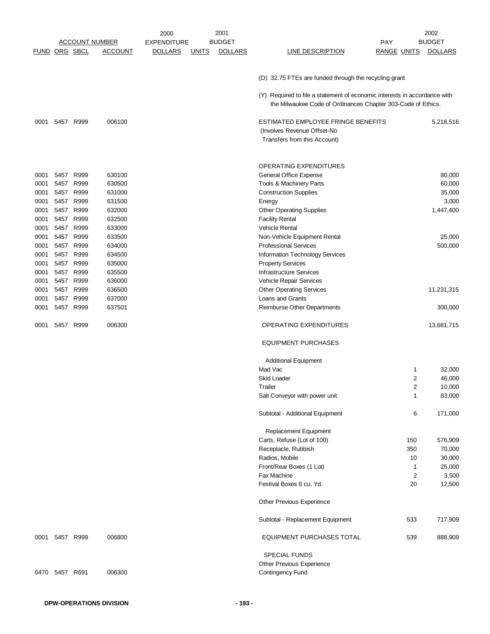|               |                |           |                       | 2000               |              | 2001           |                                                                                                                                           |                    | 2002           |
|---------------|----------------|-----------|-----------------------|--------------------|--------------|----------------|-------------------------------------------------------------------------------------------------------------------------------------------|--------------------|----------------|
|               |                |           | <b>ACCOUNT NUMBER</b> | <b>EXPENDITURE</b> |              | <b>BUDGET</b>  |                                                                                                                                           | PAY                | <b>BUDGET</b>  |
| FUND ORG SBCL |                |           | <b>ACCOUNT</b>        | <u>DOLLARS</u>     | <b>UNITS</b> | <b>DOLLARS</b> | <b>LINE DESCRIPTION</b>                                                                                                                   | <b>RANGE UNITS</b> | <b>DOLLARS</b> |
|               |                |           |                       |                    |              |                |                                                                                                                                           |                    |                |
|               |                |           |                       |                    |              |                | (D) 32.75 FTEs are funded through the recycling grant                                                                                     |                    |                |
|               |                |           |                       |                    |              |                | (Y) Required to file a statement of economic interests in accordance with<br>the Milwaukee Code of Ordinances Chapter 303-Code of Ethics. |                    |                |
| 0001          |                | 5457 R999 | 006100                |                    |              |                | ESTIMATED EMPLOYEE FRINGE BENEFITS<br>(Involves Revenue Offset-No<br>Transfers from this Account)                                         |                    | 5,218,516      |
|               |                |           |                       |                    |              |                |                                                                                                                                           |                    |                |
|               |                |           |                       |                    |              |                | OPERATING EXPENDITURES                                                                                                                    |                    |                |
| 0001          | 5457 R999      |           | 630100                |                    |              |                | General Office Expense                                                                                                                    |                    | 80,000         |
| 0001          | 5457           | R999      | 630500                |                    |              |                | Tools & Machinery Parts                                                                                                                   |                    | 60,000         |
| 0001          | 5457 R999      |           | 631000                |                    |              |                | <b>Construction Supplies</b>                                                                                                              |                    | 35,000         |
| 0001          | 5457 R999      |           | 631500                |                    |              |                | Energy                                                                                                                                    |                    | 3,000          |
| 0001          |                | 5457 R999 | 632000                |                    |              |                | <b>Other Operating Supplies</b>                                                                                                           |                    | 1,447,400      |
| 0001          | 5457 R999      |           | 632500                |                    |              |                | <b>Facility Rental</b>                                                                                                                    |                    |                |
| 0001          | 5457 R999      |           | 633000                |                    |              |                | Vehicle Rental                                                                                                                            |                    |                |
| 0001          |                | 5457 R999 | 633500                |                    |              |                | Non-Vehicle Equipment Rental                                                                                                              |                    | 25,000         |
| 0001          | 5457 R999      |           | 634000                |                    |              |                | <b>Professional Services</b>                                                                                                              |                    | 500,000        |
| 0001          | 5457 R999      |           | 634500                |                    |              |                | Information Technology Services                                                                                                           |                    |                |
|               |                |           |                       |                    |              |                |                                                                                                                                           |                    |                |
| 0001          | 5457 R999      |           | 635000                |                    |              |                | <b>Property Services</b>                                                                                                                  |                    |                |
| 0001          | 5457 R999      |           | 635500                |                    |              |                | Infrastructure Services                                                                                                                   |                    |                |
| 0001          | 5457 R999      |           | 636000                |                    |              |                | Vehicle Repair Services                                                                                                                   |                    |                |
| 0001          | 5457 R999      |           | 636500                |                    |              |                | <b>Other Operating Services</b>                                                                                                           |                    | 11,231,315     |
| 0001          | 5457 R999      |           | 637000                |                    |              |                | Loans and Grants                                                                                                                          |                    |                |
| 0001          | 5457           | R999      | 637501                |                    |              |                | Reimburse Other Departments                                                                                                               |                    | 300,000        |
| 0001          | 5457 R999      |           | 006300                |                    |              |                | <b>OPERATING EXPENDITURES</b>                                                                                                             |                    | 13,681,715     |
|               |                |           |                       |                    |              |                | <b>EQUIPMENT PURCHASES</b>                                                                                                                |                    |                |
|               |                |           |                       |                    |              |                | <b>Additional Equipment</b>                                                                                                               |                    |                |
|               |                |           |                       |                    |              |                | Mad Vac                                                                                                                                   | 1                  | 32,000         |
|               |                |           |                       |                    |              |                | <b>Skid Loader</b>                                                                                                                        | 2                  | 46,000         |
|               |                |           |                       |                    |              |                | Trailer                                                                                                                                   | 2                  | 10,000         |
|               |                |           |                       |                    |              |                | Salt Conveyor with power unit                                                                                                             | 1                  | 83,000         |
|               |                |           |                       |                    |              |                |                                                                                                                                           |                    |                |
|               |                |           |                       |                    |              |                | Subtotal - Additional Equipment                                                                                                           | 6                  | 171,000        |
|               |                |           |                       |                    |              |                | Replacement Equipment                                                                                                                     |                    |                |
|               |                |           |                       |                    |              |                | Carts, Refuse (Lot of 100)                                                                                                                | 150                | 576,909        |
|               |                |           |                       |                    |              |                | Receptacle, Rubbish                                                                                                                       | 350                | 70,000         |
|               |                |           |                       |                    |              |                | Radios, Mobile                                                                                                                            | 10                 | 30,000         |
|               |                |           |                       |                    |              |                |                                                                                                                                           |                    |                |
|               |                |           |                       |                    |              |                | Front/Rear Boxes (1 Lot)                                                                                                                  | 1                  | 25,000         |
|               |                |           |                       |                    |              |                | Fax Machine                                                                                                                               | $\overline{2}$     | 3,500          |
|               |                |           |                       |                    |              |                | Festival Boxes 6 cu. Yd.                                                                                                                  | 20                 | 12,500         |
|               |                |           |                       |                    |              |                | Other Previous Experience                                                                                                                 |                    |                |
|               |                |           |                       |                    |              |                | Subtotal - Replacement Equipment                                                                                                          | 533                | 717,909        |
| 0001          | 5457 R999      |           | 006800                |                    |              |                | EQUIPMENT PURCHASES TOTAL                                                                                                                 | 539                | 888,909        |
|               |                |           |                       |                    |              |                | <b>SPECIAL FUNDS</b>                                                                                                                      |                    |                |
|               |                |           |                       |                    |              |                | Other Previous Experience                                                                                                                 |                    |                |
|               | 0470 5457 R691 |           | 006300                |                    |              |                | Contingency Fund                                                                                                                          |                    |                |
|               |                |           |                       |                    |              |                |                                                                                                                                           |                    |                |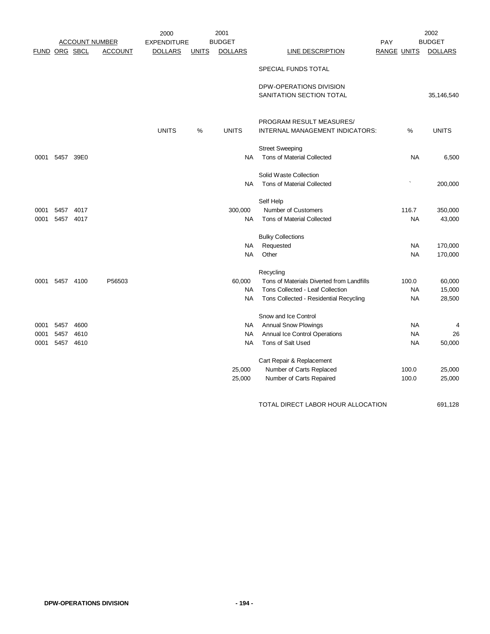|               |      |                       |                | 2000               |              | 2001           |                                           |                    |           | 2002           |
|---------------|------|-----------------------|----------------|--------------------|--------------|----------------|-------------------------------------------|--------------------|-----------|----------------|
|               |      | <b>ACCOUNT NUMBER</b> |                | <b>EXPENDITURE</b> |              | <b>BUDGET</b>  |                                           | PAY                |           | <b>BUDGET</b>  |
| FUND ORG SBCL |      |                       | <b>ACCOUNT</b> | <b>DOLLARS</b>     | <b>UNITS</b> | <b>DOLLARS</b> | LINE DESCRIPTION                          | <b>RANGE UNITS</b> |           | <b>DOLLARS</b> |
|               |      |                       |                |                    |              |                | SPECIAL FUNDS TOTAL                       |                    |           |                |
|               |      |                       |                |                    |              |                | DPW-OPERATIONS DIVISION                   |                    |           |                |
|               |      |                       |                |                    |              |                | SANITATION SECTION TOTAL                  |                    |           | 35,146,540     |
|               |      |                       |                |                    |              |                | PROGRAM RESULT MEASURES/                  |                    |           |                |
|               |      |                       |                | <b>UNITS</b>       | %            | <b>UNITS</b>   | INTERNAL MANAGEMENT INDICATORS:           |                    | %         | <b>UNITS</b>   |
|               |      |                       |                |                    |              |                | <b>Street Sweeping</b>                    |                    |           |                |
| 0001          | 5457 | 39E0                  |                |                    |              | <b>NA</b>      | Tons of Material Collected                |                    | <b>NA</b> | 6,500          |
|               |      |                       |                |                    |              |                | Solid Waste Collection                    |                    |           |                |
|               |      |                       |                |                    |              | <b>NA</b>      | <b>Tons of Material Collected</b>         |                    |           | 200,000        |
|               |      |                       |                |                    |              |                | Self Help                                 |                    |           |                |
| 0001          | 5457 | 4017                  |                |                    |              | 300,000        | Number of Customers                       |                    | 116.7     | 350,000        |
| 0001          | 5457 | 4017                  |                |                    |              | <b>NA</b>      | <b>Tons of Material Collected</b>         |                    | <b>NA</b> | 43,000         |
|               |      |                       |                |                    |              |                | <b>Bulky Collections</b>                  |                    |           |                |
|               |      |                       |                |                    |              | NA             | Requested                                 |                    | <b>NA</b> | 170,000        |
|               |      |                       |                |                    |              | <b>NA</b>      | Other                                     |                    | <b>NA</b> | 170,000        |
|               |      |                       |                |                    |              |                | Recycling                                 |                    |           |                |
| 0001          | 5457 | 4100                  | P56503         |                    |              | 60,000         | Tons of Materials Diverted from Landfills |                    | 100.0     | 60,000         |
|               |      |                       |                |                    |              | <b>NA</b>      | Tons Collected - Leaf Collection          |                    | <b>NA</b> | 15,000         |
|               |      |                       |                |                    |              | <b>NA</b>      | Tons Collected - Residential Recycling    |                    | <b>NA</b> | 28,500         |
|               |      |                       |                |                    |              |                | Snow and Ice Control                      |                    |           |                |
| 0001          | 5457 | 4600                  |                |                    |              | NA             | <b>Annual Snow Plowings</b>               |                    | <b>NA</b> | 4              |
| 0001          | 5457 | 4610                  |                |                    |              | <b>NA</b>      | Annual Ice Control Operations             |                    | <b>NA</b> | 26             |
| 0001          | 5457 | 4610                  |                |                    |              | <b>NA</b>      | Tons of Salt Used                         |                    | NA        | 50,000         |
|               |      |                       |                |                    |              |                | Cart Repair & Replacement                 |                    |           |                |
|               |      |                       |                |                    |              | 25,000         | Number of Carts Replaced                  |                    | 100.0     | 25,000         |
|               |      |                       |                |                    |              | 25,000         | Number of Carts Repaired                  |                    | 100.0     | 25,000         |
|               |      |                       |                |                    |              |                |                                           |                    |           |                |

TOTAL DIRECT LABOR HOUR ALLOCATION 691,128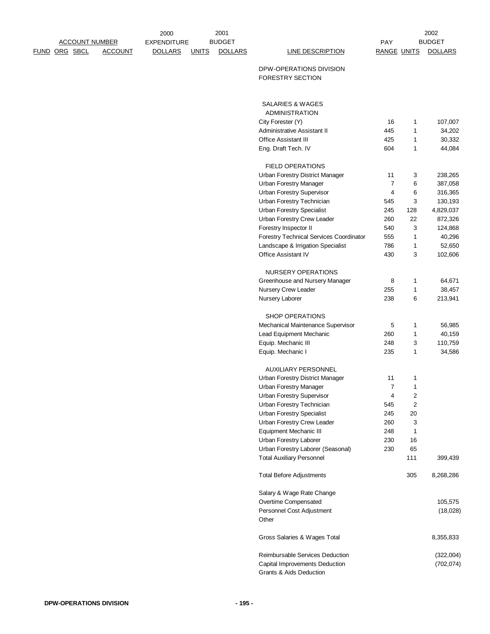|               |  | <b>ACCOUNT NUMBER</b> | 2000<br><b>EXPENDITURE</b> |              | 2001<br><b>BUDGET</b> |                                                          | <b>PAY</b>          |                                           | 2002<br><b>BUDGET</b> |
|---------------|--|-----------------------|----------------------------|--------------|-----------------------|----------------------------------------------------------|---------------------|-------------------------------------------|-----------------------|
| FUND ORG SBCL |  | <b>ACCOUNT</b>        | <b>DOLLARS</b>             | <b>UNITS</b> | <b>DOLLARS</b>        | <b>LINE DESCRIPTION</b>                                  | <b>RANGE UNITS</b>  |                                           | <b>DOLLARS</b>        |
|               |  |                       |                            |              |                       | DPW-OPERATIONS DIVISION<br><b>FORESTRY SECTION</b>       |                     |                                           |                       |
|               |  |                       |                            |              |                       | SALARIES & WAGES                                         |                     |                                           |                       |
|               |  |                       |                            |              |                       | <b>ADMINISTRATION</b>                                    |                     |                                           |                       |
|               |  |                       |                            |              |                       | City Forester (Y)                                        | 16                  | 1                                         | 107,007               |
|               |  |                       |                            |              |                       | Administrative Assistant II                              | 445                 | 1                                         | 34,202                |
|               |  |                       |                            |              |                       | <b>Office Assistant III</b>                              | 425                 | 1                                         | 30,332                |
|               |  |                       |                            |              |                       | Eng. Draft Tech. IV                                      | 604                 | 1                                         | 44,084                |
|               |  |                       |                            |              |                       | <b>FIELD OPERATIONS</b>                                  |                     |                                           |                       |
|               |  |                       |                            |              |                       | Urban Forestry District Manager                          | 11                  | 3                                         | 238,265               |
|               |  |                       |                            |              |                       | <b>Urban Forestry Manager</b>                            | $\overline{7}$      | 6                                         | 387,058               |
|               |  |                       |                            |              |                       | <b>Urban Forestry Supervisor</b>                         | 4                   | 6                                         | 316,365               |
|               |  |                       |                            |              |                       | Urban Forestry Technician                                | 545                 | 3                                         | 130,193               |
|               |  |                       |                            |              |                       | <b>Urban Forestry Specialist</b>                         | 245                 | 128                                       | 4,829,037             |
|               |  |                       |                            |              |                       | Urban Forestry Crew Leader                               | 260                 | 22                                        | 872,326               |
|               |  |                       |                            |              |                       | Forestry Inspector II                                    | 540                 | 3                                         | 124,868               |
|               |  |                       |                            |              |                       | <b>Forestry Technical Services Coordinator</b>           | 555                 | $\mathbf{1}$                              | 40,296                |
|               |  |                       |                            |              |                       | Landscape & Irrigation Specialist<br>Office Assistant IV | 786<br>430          | 1<br>3                                    | 52,650<br>102,606     |
|               |  |                       |                            |              |                       |                                                          |                     |                                           |                       |
|               |  |                       |                            |              |                       | NURSERY OPERATIONS                                       |                     |                                           |                       |
|               |  |                       |                            |              |                       | Greenhouse and Nursery Manager                           | 8                   | $\mathbf{1}$                              | 64,671                |
|               |  |                       |                            |              |                       | Nursery Crew Leader<br>Nursery Laborer                   | 255<br>238          | 1<br>6                                    | 38,457<br>213,941     |
|               |  |                       |                            |              |                       |                                                          |                     |                                           |                       |
|               |  |                       |                            |              |                       | <b>SHOP OPERATIONS</b>                                   |                     |                                           |                       |
|               |  |                       |                            |              |                       | Mechanical Maintenance Supervisor                        | 5                   | 1                                         | 56,985                |
|               |  |                       |                            |              |                       | Lead Equipment Mechanic                                  | 260<br>248          | $\mathbf{1}$<br>3                         | 40,159<br>110,759     |
|               |  |                       |                            |              |                       | Equip. Mechanic III<br>Equip. Mechanic I                 | 235                 | 1                                         | 34,586                |
|               |  |                       |                            |              |                       |                                                          |                     |                                           |                       |
|               |  |                       |                            |              |                       | <b>AUXILIARY PERSONNEL</b>                               |                     |                                           |                       |
|               |  |                       |                            |              |                       | Urban Forestry District Manager                          | 11                  | $\mathbf{1}$                              |                       |
|               |  |                       |                            |              |                       | Urban Forestry Manager                                   | $\overline{7}$<br>4 | 1                                         |                       |
|               |  |                       |                            |              |                       | Urban Forestry Supervisor<br>Urban Forestry Technician   | 545                 | $\overline{\mathbf{c}}$<br>$\overline{2}$ |                       |
|               |  |                       |                            |              |                       | <b>Urban Forestry Specialist</b>                         | 245                 | 20                                        |                       |
|               |  |                       |                            |              |                       | Urban Forestry Crew Leader                               | 260                 | 3                                         |                       |
|               |  |                       |                            |              |                       | <b>Equipment Mechanic III</b>                            | 248                 | $\mathbf{1}$                              |                       |
|               |  |                       |                            |              |                       | Urban Forestry Laborer                                   | 230                 | 16                                        |                       |
|               |  |                       |                            |              |                       | Urban Forestry Laborer (Seasonal)                        | 230                 | 65                                        |                       |
|               |  |                       |                            |              |                       | <b>Total Auxiliary Personnel</b>                         |                     | 111                                       | 399,439               |
|               |  |                       |                            |              |                       | <b>Total Before Adjustments</b>                          |                     | 305                                       | 8,268,286             |
|               |  |                       |                            |              |                       | Salary & Wage Rate Change                                |                     |                                           |                       |
|               |  |                       |                            |              |                       | Overtime Compensated                                     |                     |                                           | 105,575               |
|               |  |                       |                            |              |                       | Personnel Cost Adjustment                                |                     |                                           | (18,028)              |
|               |  |                       |                            |              |                       | Other                                                    |                     |                                           |                       |
|               |  |                       |                            |              |                       | Gross Salaries & Wages Total                             |                     |                                           | 8,355,833             |
|               |  |                       |                            |              |                       | Reimbursable Services Deduction                          |                     |                                           | (322,004)             |
|               |  |                       |                            |              |                       | Capital Improvements Deduction                           |                     |                                           | (702, 074)            |
|               |  |                       |                            |              |                       | <b>Grants &amp; Aids Deduction</b>                       |                     |                                           |                       |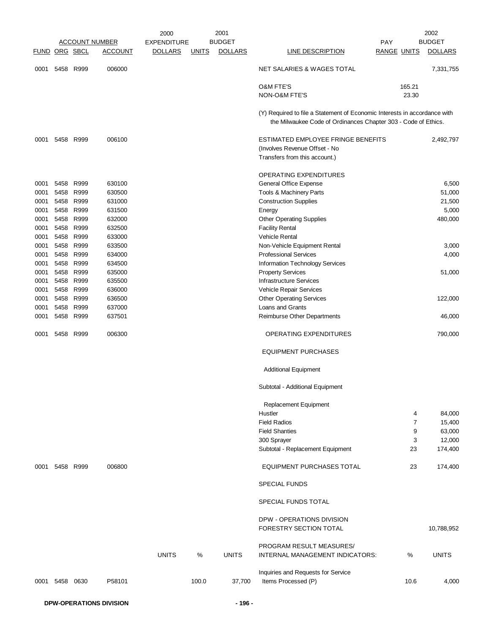|                      |           |      |                       | 2000               |              | 2001           |                                                                                                                                             |                    | 2002           |
|----------------------|-----------|------|-----------------------|--------------------|--------------|----------------|---------------------------------------------------------------------------------------------------------------------------------------------|--------------------|----------------|
|                      |           |      | <u>ACCOUNT NUMBER</u> | <b>EXPENDITURE</b> |              | <b>BUDGET</b>  |                                                                                                                                             | <b>PAY</b>         | <b>BUDGET</b>  |
| <b>FUND ORG SBCL</b> |           |      | <b>ACCOUNT</b>        | <b>DOLLARS</b>     | <u>UNITS</u> | <b>DOLLARS</b> | <b>LINE DESCRIPTION</b>                                                                                                                     | <b>RANGE UNITS</b> | <b>DOLLARS</b> |
| 0001                 | 5458 R999 |      | 006000                |                    |              |                | NET SALARIES & WAGES TOTAL                                                                                                                  |                    | 7,331,755      |
|                      |           |      |                       |                    |              |                | <b>O&amp;M FTE'S</b>                                                                                                                        | 165.21             |                |
|                      |           |      |                       |                    |              |                | NON-O&M FTE'S                                                                                                                               | 23.30              |                |
|                      |           |      |                       |                    |              |                |                                                                                                                                             |                    |                |
|                      |           |      |                       |                    |              |                | (Y) Required to file a Statement of Economic Interests in accordance with<br>the Milwaukee Code of Ordinances Chapter 303 - Code of Ethics. |                    |                |
| 0001                 | 5458 R999 |      | 006100                |                    |              |                | ESTIMATED EMPLOYEE FRINGE BENEFITS                                                                                                          |                    | 2,492,797      |
|                      |           |      |                       |                    |              |                | (Involves Revenue Offset - No                                                                                                               |                    |                |
|                      |           |      |                       |                    |              |                | Transfers from this account.)                                                                                                               |                    |                |
|                      |           |      |                       |                    |              |                | <b>OPERATING EXPENDITURES</b>                                                                                                               |                    |                |
| 0001                 | 5458 R999 |      | 630100                |                    |              |                | General Office Expense                                                                                                                      |                    | 6,500          |
| 0001                 | 5458 R999 |      | 630500                |                    |              |                | Tools & Machinery Parts                                                                                                                     |                    | 51,000         |
| 0001                 | 5458 R999 |      | 631000                |                    |              |                | <b>Construction Supplies</b>                                                                                                                |                    | 21,500         |
| 0001                 | 5458 R999 |      | 631500                |                    |              |                | Energy                                                                                                                                      |                    | 5,000          |
| 0001                 | 5458 R999 |      | 632000                |                    |              |                | <b>Other Operating Supplies</b>                                                                                                             |                    | 480,000        |
| 0001                 | 5458 R999 |      | 632500                |                    |              |                | <b>Facility Rental</b>                                                                                                                      |                    |                |
| 0001                 | 5458 R999 |      | 633000                |                    |              |                | <b>Vehicle Rental</b>                                                                                                                       |                    |                |
| 0001                 | 5458 R999 |      | 633500                |                    |              |                | Non-Vehicle Equipment Rental                                                                                                                |                    | 3,000          |
| 0001                 | 5458 R999 |      | 634000                |                    |              |                | <b>Professional Services</b>                                                                                                                |                    | 4,000          |
| 0001                 | 5458 R999 |      | 634500                |                    |              |                | Information Technology Services                                                                                                             |                    |                |
| 0001                 | 5458 R999 |      | 635000                |                    |              |                | <b>Property Services</b>                                                                                                                    |                    | 51,000         |
| 0001                 | 5458 R999 |      | 635500                |                    |              |                | <b>Infrastructure Services</b>                                                                                                              |                    |                |
| 0001                 | 5458 R999 |      | 636000                |                    |              |                | Vehicle Repair Services                                                                                                                     |                    |                |
| 0001                 | 5458 R999 |      | 636500                |                    |              |                | <b>Other Operating Services</b>                                                                                                             |                    | 122,000        |
| 0001                 | 5458      | R999 | 637000                |                    |              |                | Loans and Grants                                                                                                                            |                    |                |
| 0001                 | 5458      | R999 | 637501                |                    |              |                | Reimburse Other Departments                                                                                                                 |                    | 46,000         |
| 0001                 | 5458 R999 |      | 006300                |                    |              |                | OPERATING EXPENDITURES                                                                                                                      |                    | 790,000        |
|                      |           |      |                       |                    |              |                | <b>EQUIPMENT PURCHASES</b>                                                                                                                  |                    |                |
|                      |           |      |                       |                    |              |                | <b>Additional Equipment</b>                                                                                                                 |                    |                |
|                      |           |      |                       |                    |              |                | Subtotal - Additional Equipment                                                                                                             |                    |                |
|                      |           |      |                       |                    |              |                | Replacement Equipment                                                                                                                       |                    |                |
|                      |           |      |                       |                    |              |                | Hustler                                                                                                                                     | 4                  | 84,000         |
|                      |           |      |                       |                    |              |                | <b>Field Radios</b>                                                                                                                         | $\overline{7}$     | 15,400         |
|                      |           |      |                       |                    |              |                | <b>Field Shanties</b>                                                                                                                       | 9                  | 63,000         |
|                      |           |      |                       |                    |              |                | 300 Sprayer                                                                                                                                 | 3                  | 12,000         |
|                      |           |      |                       |                    |              |                | Subtotal - Replacement Equipment                                                                                                            | 23                 | 174,400        |
| 0001                 | 5458 R999 |      | 006800                |                    |              |                | <b>EQUIPMENT PURCHASES TOTAL</b>                                                                                                            | 23                 | 174,400        |
|                      |           |      |                       |                    |              |                | <b>SPECIAL FUNDS</b>                                                                                                                        |                    |                |
|                      |           |      |                       |                    |              |                | SPECIAL FUNDS TOTAL                                                                                                                         |                    |                |
|                      |           |      |                       |                    |              |                | DPW - OPERATIONS DIVISION<br>FORESTRY SECTION TOTAL                                                                                         |                    | 10,788,952     |
|                      |           |      |                       | <b>UNITS</b>       | %            | <b>UNITS</b>   | PROGRAM RESULT MEASURES/<br>INTERNAL MANAGEMENT INDICATORS:                                                                                 | %                  | <b>UNITS</b>   |
| 0001                 | 5458      | 0630 | P58101                |                    | 100.0        | 37,700         | Inquiries and Requests for Service<br>Items Processed (P)                                                                                   | 10.6               | 4,000          |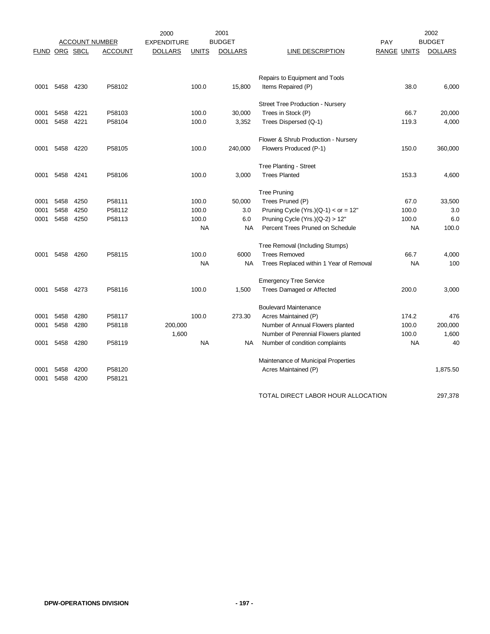|               |           |      |                       | 2000               |              | 2001           |                                         |                    |           | 2002           |
|---------------|-----------|------|-----------------------|--------------------|--------------|----------------|-----------------------------------------|--------------------|-----------|----------------|
|               |           |      | <b>ACCOUNT NUMBER</b> | <b>EXPENDITURE</b> |              | <b>BUDGET</b>  |                                         | PAY                |           | <b>BUDGET</b>  |
| FUND ORG SBCL |           |      | <b>ACCOUNT</b>        | <u>DOLLARS</u>     | <b>UNITS</b> | <b>DOLLARS</b> | <b>LINE DESCRIPTION</b>                 | <u>RANGE UNITS</u> |           | <b>DOLLARS</b> |
|               |           |      |                       |                    |              |                |                                         |                    |           |                |
|               |           |      |                       |                    |              |                |                                         |                    |           |                |
|               |           |      |                       |                    |              |                | Repairs to Equipment and Tools          |                    |           |                |
| 0001          | 5458 4230 |      | P58102                |                    | 100.0        | 15,800         | Items Repaired (P)                      |                    | 38.0      | 6,000          |
|               |           |      |                       |                    |              |                |                                         |                    |           |                |
|               |           |      |                       |                    |              |                | <b>Street Tree Production - Nursery</b> |                    |           |                |
| 0001          | 5458      | 4221 | P58103                |                    | 100.0        | 30,000         | Trees in Stock (P)                      |                    | 66.7      | 20,000         |
| 0001          | 5458      | 4221 | P58104                |                    | 100.0        | 3,352          | Trees Dispersed (Q-1)                   |                    | 119.3     | 4,000          |
|               |           |      |                       |                    |              |                | Flower & Shrub Production - Nursery     |                    |           |                |
| 0001          | 5458      | 4220 | P58105                |                    | 100.0        | 240,000        | Flowers Produced (P-1)                  |                    | 150.0     | 360,000        |
|               |           |      |                       |                    |              |                |                                         |                    |           |                |
|               |           |      |                       |                    |              |                | Tree Planting - Street                  |                    |           |                |
| 0001          | 5458 4241 |      | P58106                |                    | 100.0        | 3,000          | <b>Trees Planted</b>                    |                    | 153.3     | 4,600          |
|               |           |      |                       |                    |              |                |                                         |                    |           |                |
|               |           |      |                       |                    |              |                | <b>Tree Pruning</b>                     |                    |           |                |
| 0001          | 5458      | 4250 | P58111                |                    | 100.0        | 50,000         | Trees Pruned (P)                        |                    | 67.0      | 33,500         |
| 0001          | 5458      | 4250 | P58112                |                    | 100.0        | 3.0            | Pruning Cycle (Yrs.) $(Q-1) <$ or = 12" |                    | 100.0     | 3.0            |
| 0001          | 5458      | 4250 | P58113                |                    | 100.0        | 6.0            | Pruning Cycle (Yrs.) $(Q-2) > 12"$      |                    | 100.0     | 6.0            |
|               |           |      |                       |                    | <b>NA</b>    | <b>NA</b>      | Percent Trees Pruned on Schedule        |                    | <b>NA</b> | 100.0          |
|               |           |      |                       |                    |              |                |                                         |                    |           |                |
|               |           |      |                       |                    |              |                | Tree Removal (Including Stumps)         |                    |           |                |
| 0001          | 5458      | 4260 | P58115                |                    | 100.0        | 6000           | <b>Trees Removed</b>                    |                    | 66.7      | 4,000          |
|               |           |      |                       |                    | ΝA           | NA             | Trees Replaced within 1 Year of Removal |                    | NA        | 100            |
|               |           |      |                       |                    |              |                | <b>Emergency Tree Service</b>           |                    |           |                |
| 0001          | 5458      | 4273 | P58116                |                    | 100.0        | 1,500          | Trees Damaged or Affected               |                    | 200.0     | 3,000          |
|               |           |      |                       |                    |              |                |                                         |                    |           |                |
|               |           |      |                       |                    |              |                | <b>Boulevard Maintenance</b>            |                    |           |                |
| 0001          | 5458      | 4280 | P58117                |                    | 100.0        | 273.30         | Acres Maintained (P)                    |                    | 174.2     | 476            |
| 0001          | 5458      | 4280 | P58118                | 200,000            |              |                | Number of Annual Flowers planted        |                    | 100.0     | 200,000        |
|               |           |      |                       | 1,600              |              |                | Number of Perennial Flowers planted     |                    | 100.0     | 1,600          |
| 0001          | 5458      | 4280 | P58119                |                    | <b>NA</b>    | NA.            | Number of condition complaints          |                    | <b>NA</b> | 40             |
|               |           |      |                       |                    |              |                |                                         |                    |           |                |
|               |           |      |                       |                    |              |                | Maintenance of Municipal Properties     |                    |           |                |
| 0001          | 5458      | 4200 | P58120                |                    |              |                | Acres Maintained (P)                    |                    |           | 1,875.50       |
| 0001          | 5458      | 4200 | P58121                |                    |              |                |                                         |                    |           |                |
|               |           |      |                       |                    |              |                |                                         |                    |           |                |
|               |           |      |                       |                    |              |                | TOTAL DIRECT LABOR HOUR ALLOCATION      |                    |           | 297,378        |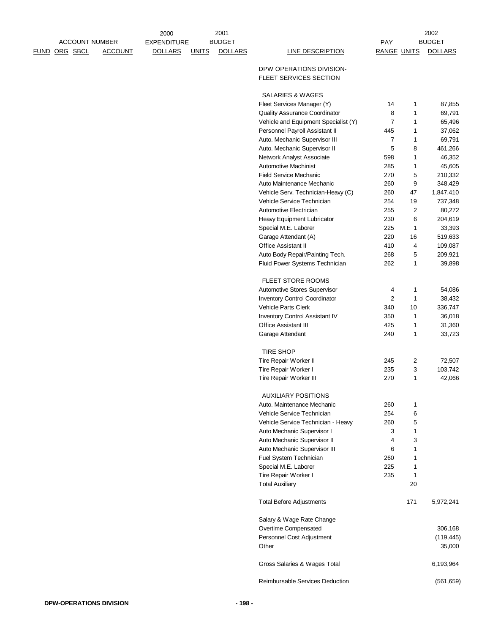|               | <b>ACCOUNT NUMBER</b> |                | 2000<br><b>EXPENDITURE</b> |              | 2001<br><b>BUDGET</b> |                                                               | <b>PAY</b>         |                   | 2002<br><b>BUDGET</b> |
|---------------|-----------------------|----------------|----------------------------|--------------|-----------------------|---------------------------------------------------------------|--------------------|-------------------|-----------------------|
| FUND ORG SBCL |                       | <b>ACCOUNT</b> | <b>DOLLARS</b>             | <b>UNITS</b> | <b>DOLLARS</b>        | <b>LINE DESCRIPTION</b>                                       | <b>RANGE UNITS</b> |                   | <b>DOLLARS</b>        |
|               |                       |                |                            |              |                       | DPW OPERATIONS DIVISION-<br><b>FLEET SERVICES SECTION</b>     |                    |                   |                       |
|               |                       |                |                            |              |                       | SALARIES & WAGES                                              |                    |                   |                       |
|               |                       |                |                            |              |                       | Fleet Services Manager (Y)                                    | 14                 | 1                 | 87,855                |
|               |                       |                |                            |              |                       | Quality Assurance Coordinator                                 | 8                  | 1                 | 69,791                |
|               |                       |                |                            |              |                       | Vehicle and Equipment Specialist (Y)                          | 7                  | 1                 | 65,496                |
|               |                       |                |                            |              |                       | Personnel Payroll Assistant II                                | 445                | 1                 | 37,062                |
|               |                       |                |                            |              |                       | Auto. Mechanic Supervisor III                                 | 7                  | 1                 | 69,791                |
|               |                       |                |                            |              |                       | Auto. Mechanic Supervisor II                                  | 5                  | 8                 | 461,266               |
|               |                       |                |                            |              |                       | Network Analyst Associate<br><b>Automotive Machinist</b>      | 598<br>285         | $\mathbf{1}$<br>1 | 46,352<br>45,605      |
|               |                       |                |                            |              |                       | <b>Field Service Mechanic</b>                                 | 270                | 5                 | 210,332               |
|               |                       |                |                            |              |                       | Auto Maintenance Mechanic                                     | 260                | 9                 | 348,429               |
|               |                       |                |                            |              |                       | Vehicle Serv. Technician-Heavy (C)                            | 260                | 47                | 1,847,410             |
|               |                       |                |                            |              |                       | Vehicle Service Technician                                    | 254                | 19                | 737,348               |
|               |                       |                |                            |              |                       | Automotive Electrician                                        | 255                | $\boldsymbol{2}$  | 80,272                |
|               |                       |                |                            |              |                       | Heavy Equipment Lubricator                                    | 230                | 6                 | 204,619               |
|               |                       |                |                            |              |                       | Special M.E. Laborer                                          | 225                | 1                 | 33,393                |
|               |                       |                |                            |              |                       | Garage Attendant (A)                                          | 220                | 16                | 519,633               |
|               |                       |                |                            |              |                       | <b>Office Assistant II</b>                                    | 410                | 4                 | 109,087               |
|               |                       |                |                            |              |                       | Auto Body Repair/Painting Tech.                               | 268<br>262         | 5<br>1            | 209,921<br>39,898     |
|               |                       |                |                            |              |                       | Fluid Power Systems Technician                                |                    |                   |                       |
|               |                       |                |                            |              |                       | FLEET STORE ROOMS                                             |                    |                   |                       |
|               |                       |                |                            |              |                       | Automotive Stores Supervisor                                  | 4                  | 1                 | 54,086                |
|               |                       |                |                            |              |                       | Inventory Control Coordinator                                 | 2                  | 1                 | 38,432                |
|               |                       |                |                            |              |                       | Vehicle Parts Clerk                                           | 340                | 10                | 336,747               |
|               |                       |                |                            |              |                       | Inventory Control Assistant IV<br><b>Office Assistant III</b> | 350<br>425         | $\mathbf{1}$<br>1 | 36,018<br>31,360      |
|               |                       |                |                            |              |                       | Garage Attendant                                              | 240                | 1                 | 33,723                |
|               |                       |                |                            |              |                       | <b>TIRE SHOP</b>                                              |                    |                   |                       |
|               |                       |                |                            |              |                       | Tire Repair Worker II                                         | 245                | 2                 | 72,507                |
|               |                       |                |                            |              |                       | Tire Repair Worker I                                          | 235                | 3                 | 103,742               |
|               |                       |                |                            |              |                       | Tire Repair Worker III                                        | 270                | $\mathbf{1}$      | 42,066                |
|               |                       |                |                            |              |                       | <b>AUXILIARY POSITIONS</b>                                    |                    |                   |                       |
|               |                       |                |                            |              |                       | Auto. Maintenance Mechanic                                    | 260                | 1                 |                       |
|               |                       |                |                            |              |                       | Vehicle Service Technician                                    | 254                | 6                 |                       |
|               |                       |                |                            |              |                       | Vehicle Service Technician - Heavy                            | 260                | 5                 |                       |
|               |                       |                |                            |              |                       | Auto Mechanic Supervisor I                                    | 3                  | 1                 |                       |
|               |                       |                |                            |              |                       | Auto Mechanic Supervisor II<br>Auto Mechanic Supervisor III   | 4<br>6             | 3<br>1            |                       |
|               |                       |                |                            |              |                       | Fuel System Technician                                        | 260                | 1                 |                       |
|               |                       |                |                            |              |                       | Special M.E. Laborer                                          | 225                | 1                 |                       |
|               |                       |                |                            |              |                       | Tire Repair Worker I                                          | 235                | 1                 |                       |
|               |                       |                |                            |              |                       | <b>Total Auxiliary</b>                                        |                    | 20                |                       |
|               |                       |                |                            |              |                       | <b>Total Before Adjustments</b>                               |                    | 171               | 5,972,241             |
|               |                       |                |                            |              |                       | Salary & Wage Rate Change                                     |                    |                   |                       |
|               |                       |                |                            |              |                       | Overtime Compensated                                          |                    |                   | 306,168               |
|               |                       |                |                            |              |                       | Personnel Cost Adjustment<br>Other                            |                    |                   | (119, 445)<br>35,000  |
|               |                       |                |                            |              |                       | Gross Salaries & Wages Total                                  |                    |                   | 6,193,964             |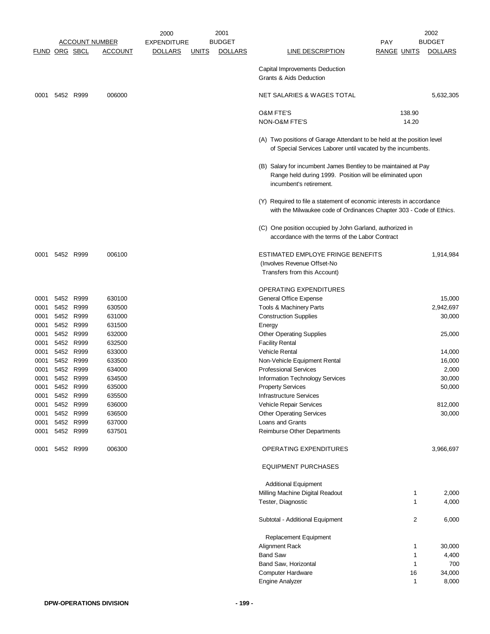|                      |                |           |                       | 2000               |              | 2001           |                                                                                                                                                       |                    |              | 2002           |
|----------------------|----------------|-----------|-----------------------|--------------------|--------------|----------------|-------------------------------------------------------------------------------------------------------------------------------------------------------|--------------------|--------------|----------------|
|                      |                |           | <b>ACCOUNT NUMBER</b> | <b>EXPENDITURE</b> |              | <b>BUDGET</b>  |                                                                                                                                                       | PAY                |              | <b>BUDGET</b>  |
| <b>FUND ORG SBCL</b> |                |           | <b>ACCOUNT</b>        | <b>DOLLARS</b>     | <b>UNITS</b> | <b>DOLLARS</b> | <b>LINE DESCRIPTION</b>                                                                                                                               | <b>RANGE UNITS</b> |              | <b>DOLLARS</b> |
|                      |                |           |                       |                    |              |                | Capital Improvements Deduction<br><b>Grants &amp; Aids Deduction</b>                                                                                  |                    |              |                |
| 0001                 |                | 5452 R999 | 006000                |                    |              |                | NET SALARIES & WAGES TOTAL                                                                                                                            |                    |              | 5,632,305      |
|                      |                |           |                       |                    |              |                | <b>O&amp;M FTE'S</b>                                                                                                                                  |                    | 138.90       |                |
|                      |                |           |                       |                    |              |                | <b>NON-O&amp;M FTE'S</b>                                                                                                                              |                    | 14.20        |                |
|                      |                |           |                       |                    |              |                | (A) Two positions of Garage Attendant to be held at the position level<br>of Special Services Laborer until vacated by the incumbents.                |                    |              |                |
|                      |                |           |                       |                    |              |                | (B) Salary for incumbent James Bentley to be maintained at Pay<br>Range held during 1999. Position will be eliminated upon<br>incumbent's retirement. |                    |              |                |
|                      |                |           |                       |                    |              |                | (Y) Required to file a statement of economic interests in accordance<br>with the Milwaukee code of Ordinances Chapter 303 - Code of Ethics.           |                    |              |                |
|                      |                |           |                       |                    |              |                | (C) One position occupied by John Garland, authorized in<br>accordance with the terms of the Labor Contract                                           |                    |              |                |
| 0001                 |                | 5452 R999 | 006100                |                    |              |                | ESTIMATED EMPLOYE FRINGE BENEFITS<br>(Involves Revenue Offset-No                                                                                      |                    |              | 1,914,984      |
|                      |                |           |                       |                    |              |                | Transfers from this Account)                                                                                                                          |                    |              |                |
|                      |                |           |                       |                    |              |                | <b>OPERATING EXPENDITURES</b>                                                                                                                         |                    |              |                |
| 0001                 |                | 5452 R999 | 630100                |                    |              |                | General Office Expense                                                                                                                                |                    |              | 15,000         |
| 0001                 |                | 5452 R999 | 630500                |                    |              |                | Tools & Machinery Parts                                                                                                                               |                    |              | 2,942,697      |
| 0001                 |                | 5452 R999 | 631000                |                    |              |                | <b>Construction Supplies</b>                                                                                                                          |                    |              | 30,000         |
| 0001                 | 5452           | R999      | 631500                |                    |              |                | Energy                                                                                                                                                |                    |              |                |
| 0001                 |                | 5452 R999 | 632000                |                    |              |                | <b>Other Operating Supplies</b>                                                                                                                       |                    |              | 25,000         |
| 0001                 | 5452           | R999      | 632500                |                    |              |                | <b>Facility Rental</b>                                                                                                                                |                    |              |                |
| 0001                 | 5452           | R999      | 633000                |                    |              |                | Vehicle Rental                                                                                                                                        |                    |              | 14,000         |
| 0001                 |                | 5452 R999 | 633500                |                    |              |                | Non-Vehicle Equipment Rental                                                                                                                          |                    |              | 16,000         |
| 0001                 |                | 5452 R999 | 634000                |                    |              |                | <b>Professional Services</b>                                                                                                                          |                    |              | 2,000          |
| 0001                 |                | 5452 R999 | 634500                |                    |              |                | Information Technology Services                                                                                                                       |                    |              | 30,000         |
| 0001                 |                | R999      |                       |                    |              |                |                                                                                                                                                       |                    |              |                |
|                      | 5452           |           | 635000                |                    |              |                | <b>Property Services</b>                                                                                                                              |                    |              | 50,000         |
| 0001                 |                | 5452 R999 | 635500                |                    |              |                | <b>Infrastructure Services</b>                                                                                                                        |                    |              |                |
| 0001                 |                | 5452 R999 | 636000                |                    |              |                | Vehicle Repair Services                                                                                                                               |                    |              | 812,000        |
| 0001                 |                | 5452 R999 | 636500                |                    |              |                | <b>Other Operating Services</b>                                                                                                                       |                    |              | 30,000         |
| 0001                 |                | 5452 R999 | 637000                |                    |              |                | Loans and Grants                                                                                                                                      |                    |              |                |
| 0001                 |                | 5452 R999 | 637501                |                    |              |                | Reimburse Other Departments                                                                                                                           |                    |              |                |
|                      | 0001 5452 R999 |           | 006300                |                    |              |                | OPERATING EXPENDITURES                                                                                                                                |                    |              | 3,966,697      |
|                      |                |           |                       |                    |              |                | <b>EQUIPMENT PURCHASES</b>                                                                                                                            |                    |              |                |
|                      |                |           |                       |                    |              |                | <b>Additional Equipment</b>                                                                                                                           |                    |              |                |
|                      |                |           |                       |                    |              |                | Milling Machine Digital Readout                                                                                                                       |                    | 1            | 2,000          |
|                      |                |           |                       |                    |              |                | Tester, Diagnostic                                                                                                                                    |                    | 1            | 4,000          |
|                      |                |           |                       |                    |              |                | Subtotal - Additional Equipment                                                                                                                       |                    | 2            | 6,000          |
|                      |                |           |                       |                    |              |                | Replacement Equipment                                                                                                                                 |                    |              |                |
|                      |                |           |                       |                    |              |                | Alignment Rack                                                                                                                                        |                    | 1            | 30,000         |
|                      |                |           |                       |                    |              |                | <b>Band Saw</b>                                                                                                                                       |                    | 1            | 4,400          |
|                      |                |           |                       |                    |              |                | Band Saw, Horizontal                                                                                                                                  |                    | 1            | 700            |
|                      |                |           |                       |                    |              |                | Computer Hardware                                                                                                                                     |                    | 16           | 34,000         |
|                      |                |           |                       |                    |              |                | <b>Engine Analyzer</b>                                                                                                                                |                    | $\mathbf{1}$ | 8,000          |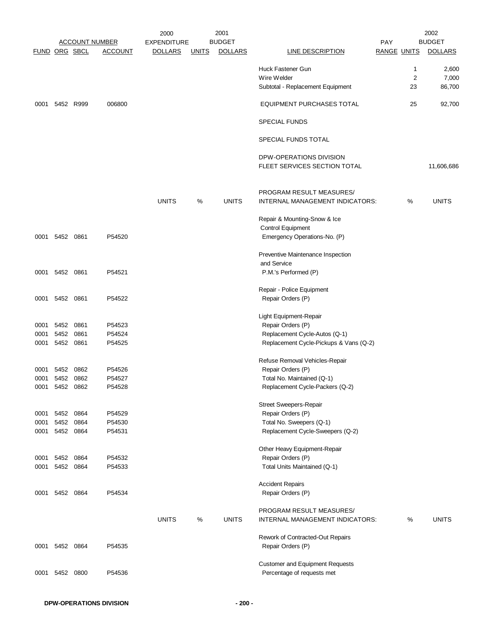|               |                |              |                       | 2000               |              | 2001           |                                                               |                    |                | 2002           |
|---------------|----------------|--------------|-----------------------|--------------------|--------------|----------------|---------------------------------------------------------------|--------------------|----------------|----------------|
|               |                |              | <b>ACCOUNT NUMBER</b> | <b>EXPENDITURE</b> |              | <b>BUDGET</b>  |                                                               | PAY                |                | <b>BUDGET</b>  |
| FUND ORG SBCL |                |              | <b>ACCOUNT</b>        | <u>DOLLARS</u>     | <b>UNITS</b> | <b>DOLLARS</b> | LINE DESCRIPTION                                              | <b>RANGE UNITS</b> |                | <b>DOLLARS</b> |
|               |                |              |                       |                    |              |                | Huck Fastener Gun                                             |                    | $\mathbf{1}$   | 2,600          |
|               |                |              |                       |                    |              |                | Wire Welder                                                   |                    | $\overline{2}$ | 7,000          |
|               |                |              |                       |                    |              |                | Subtotal - Replacement Equipment                              |                    | 23             | 86,700         |
| 0001          |                | 5452 R999    | 006800                |                    |              |                | <b>EQUIPMENT PURCHASES TOTAL</b>                              |                    | 25             | 92,700         |
|               |                |              |                       |                    |              |                | <b>SPECIAL FUNDS</b>                                          |                    |                |                |
|               |                |              |                       |                    |              |                | SPECIAL FUNDS TOTAL                                           |                    |                |                |
|               |                |              |                       |                    |              |                | DPW-OPERATIONS DIVISION                                       |                    |                |                |
|               |                |              |                       |                    |              |                | FLEET SERVICES SECTION TOTAL                                  |                    |                | 11,606,686     |
|               |                |              |                       |                    |              |                |                                                               |                    |                |                |
|               |                |              |                       |                    |              |                | PROGRAM RESULT MEASURES/                                      |                    |                |                |
|               |                |              |                       | <b>UNITS</b>       | %            | <b>UNITS</b>   | INTERNAL MANAGEMENT INDICATORS:                               |                    | %              | <b>UNITS</b>   |
|               |                |              |                       |                    |              |                |                                                               |                    |                |                |
|               |                |              |                       |                    |              |                | Repair & Mounting-Snow & Ice                                  |                    |                |                |
|               |                |              |                       |                    |              |                | <b>Control Equipment</b>                                      |                    |                |                |
|               | 0001 5452 0861 |              | P54520                |                    |              |                | Emergency Operations-No. (P)                                  |                    |                |                |
|               |                |              |                       |                    |              |                | Preventive Maintenance Inspection                             |                    |                |                |
|               |                |              |                       |                    |              |                | and Service                                                   |                    |                |                |
|               | 0001 5452 0861 |              | P54521                |                    |              |                | P.M.'s Performed (P)                                          |                    |                |                |
|               |                |              |                       |                    |              |                | Repair - Police Equipment                                     |                    |                |                |
| 0001          | 5452 0861      |              | P54522                |                    |              |                | Repair Orders (P)                                             |                    |                |                |
|               |                |              |                       |                    |              |                |                                                               |                    |                |                |
|               |                |              |                       |                    |              |                | Light Equipment-Repair                                        |                    |                |                |
| 0001<br>0001  | 5452<br>5452   | 0861<br>0861 | P54523<br>P54524      |                    |              |                | Repair Orders (P)<br>Replacement Cycle-Autos (Q-1)            |                    |                |                |
| 0001          | 5452 0861      |              | P54525                |                    |              |                | Replacement Cycle-Pickups & Vans (Q-2)                        |                    |                |                |
|               |                |              |                       |                    |              |                |                                                               |                    |                |                |
|               |                |              |                       |                    |              |                | Refuse Removal Vehicles-Repair                                |                    |                |                |
| 0001          |                | 5452 0862    | P54526                |                    |              |                | Repair Orders (P)                                             |                    |                |                |
| 0001<br>0001  | 5452<br>5452   | 0862<br>0862 | P54527<br>P54528      |                    |              |                | Total No. Maintained (Q-1)<br>Replacement Cycle-Packers (Q-2) |                    |                |                |
|               |                |              |                       |                    |              |                |                                                               |                    |                |                |
|               |                |              |                       |                    |              |                | <b>Street Sweepers-Repair</b>                                 |                    |                |                |
| 0001          | 5452           | 0864         | P54529                |                    |              |                | Repair Orders (P)                                             |                    |                |                |
| 0001          |                | 5452 0864    | P54530                |                    |              |                | Total No. Sweepers (Q-1)                                      |                    |                |                |
| 0001          |                | 5452 0864    | P54531                |                    |              |                | Replacement Cycle-Sweepers (Q-2)                              |                    |                |                |
|               |                |              |                       |                    |              |                | Other Heavy Equipment-Repair                                  |                    |                |                |
| 0001          |                | 5452 0864    | P54532                |                    |              |                | Repair Orders (P)                                             |                    |                |                |
| 0001          |                | 5452 0864    | P54533                |                    |              |                | Total Units Maintained (Q-1)                                  |                    |                |                |
|               |                |              |                       |                    |              |                | <b>Accident Repairs</b>                                       |                    |                |                |
|               | 0001 5452 0864 |              | P54534                |                    |              |                | Repair Orders (P)                                             |                    |                |                |
|               |                |              |                       |                    |              |                |                                                               |                    |                |                |
|               |                |              |                       | <b>UNITS</b>       | %            | <b>UNITS</b>   | PROGRAM RESULT MEASURES/<br>INTERNAL MANAGEMENT INDICATORS:   |                    | %              | <b>UNITS</b>   |
|               |                |              |                       |                    |              |                |                                                               |                    |                |                |
|               |                |              |                       |                    |              |                | Rework of Contracted-Out Repairs                              |                    |                |                |
| 0001          |                | 5452 0864    | P54535                |                    |              |                | Repair Orders (P)                                             |                    |                |                |
|               |                |              |                       |                    |              |                | <b>Customer and Equipment Requests</b>                        |                    |                |                |
| 0001          | 5452           | 0800         | P54536                |                    |              |                | Percentage of requests met                                    |                    |                |                |
|               |                |              |                       |                    |              |                |                                                               |                    |                |                |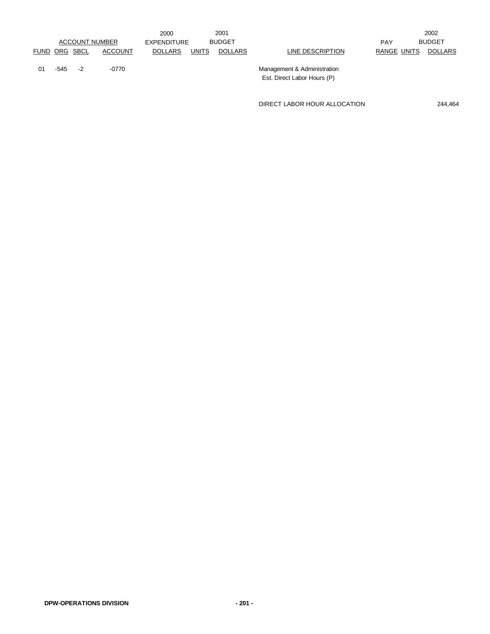|    |               |                       |                | 2000           |              | 2001           |                                                            |             | 2002          |
|----|---------------|-----------------------|----------------|----------------|--------------|----------------|------------------------------------------------------------|-------------|---------------|
|    |               | <b>ACCOUNT NUMBER</b> |                | EXPENDITURE    |              | <b>BUDGET</b>  |                                                            | <b>PAY</b>  | <b>BUDGET</b> |
|    | FUND ORG SBCL |                       | <b>ACCOUNT</b> | <b>DOLLARS</b> | <b>UNITS</b> | <b>DOLLARS</b> | LINE DESCRIPTION                                           | RANGE UNITS | DOLLARS       |
| 01 | -545          | $-2$                  | -0770          |                |              |                | Management & Administration<br>Est. Direct Labor Hours (P) |             |               |

DIRECT LABOR HOUR ALLOCATION 244,464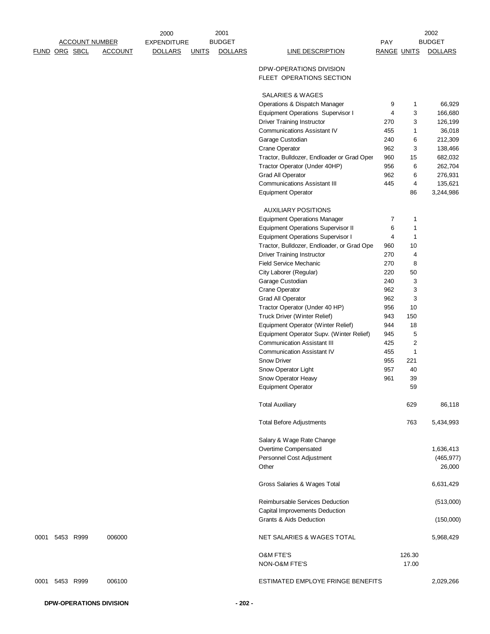|      |               | <u>ACCOUNT NUMBER</u> |                | 2000<br><b>EXPENDITURE</b> |              | 2001<br><b>BUDGET</b> |                                                                                        | <b>PAY</b>         |                              | 2002<br><b>BUDGET</b> |
|------|---------------|-----------------------|----------------|----------------------------|--------------|-----------------------|----------------------------------------------------------------------------------------|--------------------|------------------------------|-----------------------|
|      | FUND ORG SBCL |                       | <b>ACCOUNT</b> | <b>DOLLARS</b>             | <b>UNITS</b> | <b>DOLLARS</b>        | <b>LINE DESCRIPTION</b>                                                                | <b>RANGE UNITS</b> |                              | <b>DOLLARS</b>        |
|      |               |                       |                |                            |              |                       | DPW-OPERATIONS DIVISION<br>FLEET OPERATIONS SECTION                                    |                    |                              |                       |
|      |               |                       |                |                            |              |                       | SALARIES & WAGES                                                                       |                    |                              |                       |
|      |               |                       |                |                            |              |                       | Operations & Dispatch Manager                                                          | 9                  | 1                            | 66,929                |
|      |               |                       |                |                            |              |                       | <b>Equipment Operations Supervisor I</b>                                               | 4                  | 3                            | 166,680               |
|      |               |                       |                |                            |              |                       | <b>Driver Training Instructor</b><br><b>Communications Assistant IV</b>                | 270<br>455         | 3<br>1                       | 126,199<br>36,018     |
|      |               |                       |                |                            |              |                       | Garage Custodian                                                                       | 240                | 6                            | 212,309               |
|      |               |                       |                |                            |              |                       | <b>Crane Operator</b>                                                                  | 962                | 3                            | 138,466               |
|      |               |                       |                |                            |              |                       | Tractor, Bulldozer, Endloader or Grad Oper                                             | 960                | 15                           | 682,032               |
|      |               |                       |                |                            |              |                       | Tractor Operator (Under 40HP)                                                          | 956                | 6                            | 262,704               |
|      |               |                       |                |                            |              |                       | Grad All Operator                                                                      | 962<br>445         | 6                            | 276,931               |
|      |               |                       |                |                            |              |                       | <b>Communications Assistant III</b><br><b>Equipment Operator</b>                       |                    | 4<br>86                      | 135,621<br>3,244,986  |
|      |               |                       |                |                            |              |                       | <b>AUXILIARY POSITIONS</b>                                                             |                    |                              |                       |
|      |               |                       |                |                            |              |                       | <b>Equipment Operations Manager</b>                                                    | $\overline{7}$     | 1                            |                       |
|      |               |                       |                |                            |              |                       | <b>Equipment Operations Supervisor II</b>                                              | 6                  | 1                            |                       |
|      |               |                       |                |                            |              |                       | <b>Equipment Operations Supervisor I</b><br>Tractor, Bulldozer, Endloader, or Grad Ope | 4<br>960           | 1<br>10                      |                       |
|      |               |                       |                |                            |              |                       | <b>Driver Training Instructor</b>                                                      | 270                | 4                            |                       |
|      |               |                       |                |                            |              |                       | <b>Field Service Mechanic</b>                                                          | 270                | 8                            |                       |
|      |               |                       |                |                            |              |                       | City Laborer (Regular)                                                                 | 220                | 50                           |                       |
|      |               |                       |                |                            |              |                       | Garage Custodian                                                                       | 240                | 3                            |                       |
|      |               |                       |                |                            |              |                       | <b>Crane Operator</b><br>Grad All Operator                                             | 962<br>962         | 3<br>3                       |                       |
|      |               |                       |                |                            |              |                       | Tractor Operator (Under 40 HP)                                                         | 956                | 10                           |                       |
|      |               |                       |                |                            |              |                       | Truck Driver (Winter Relief)                                                           | 943                | 150                          |                       |
|      |               |                       |                |                            |              |                       | Equipment Operator (Winter Relief)                                                     | 944                | 18                           |                       |
|      |               |                       |                |                            |              |                       | Equipment Operator Supv. (Winter Relief)<br><b>Communication Assistant III</b>         | 945<br>425         | 5<br>$\overline{\mathbf{c}}$ |                       |
|      |               |                       |                |                            |              |                       | <b>Communication Assistant IV</b>                                                      | 455                | 1                            |                       |
|      |               |                       |                |                            |              |                       | <b>Snow Driver</b>                                                                     | 955                | 221                          |                       |
|      |               |                       |                |                            |              |                       | Snow Operator Light                                                                    | 957                | 40                           |                       |
|      |               |                       |                |                            |              |                       | Snow Operator Heavy                                                                    | 961                | 39                           |                       |
|      |               |                       |                |                            |              |                       | Equipment Operator                                                                     |                    | 59                           |                       |
|      |               |                       |                |                            |              |                       | <b>Total Auxiliary</b>                                                                 |                    | 629                          | 86,118                |
|      |               |                       |                |                            |              |                       | <b>Total Before Adjustments</b>                                                        |                    | 763                          | 5,434,993             |
|      |               |                       |                |                            |              |                       | Salary & Wage Rate Change                                                              |                    |                              |                       |
|      |               |                       |                |                            |              |                       | Overtime Compensated                                                                   |                    |                              | 1,636,413             |
|      |               |                       |                |                            |              |                       | Personnel Cost Adjustment                                                              |                    |                              | (465, 977)            |
|      |               |                       |                |                            |              |                       | Other                                                                                  |                    |                              | 26,000                |
|      |               |                       |                |                            |              |                       | Gross Salaries & Wages Total                                                           |                    |                              | 6,631,429             |
|      |               |                       |                |                            |              |                       | Reimbursable Services Deduction                                                        |                    |                              | (513,000)             |
|      |               |                       |                |                            |              |                       | Capital Improvements Deduction<br><b>Grants &amp; Aids Deduction</b>                   |                    |                              | (150,000)             |
| 0001 | 5453 R999     |                       | 006000         |                            |              |                       | NET SALARIES & WAGES TOTAL                                                             |                    |                              | 5,968,429             |
|      |               |                       |                |                            |              |                       | <b>O&amp;M FTE'S</b>                                                                   |                    | 126.30                       |                       |
|      |               |                       |                |                            |              |                       | NON-O&M FTE'S                                                                          |                    | 17.00                        |                       |
| 0001 | 5453 R999     |                       | 006100         |                            |              |                       | ESTIMATED EMPLOYE FRINGE BENEFITS                                                      |                    |                              | 2,029,266             |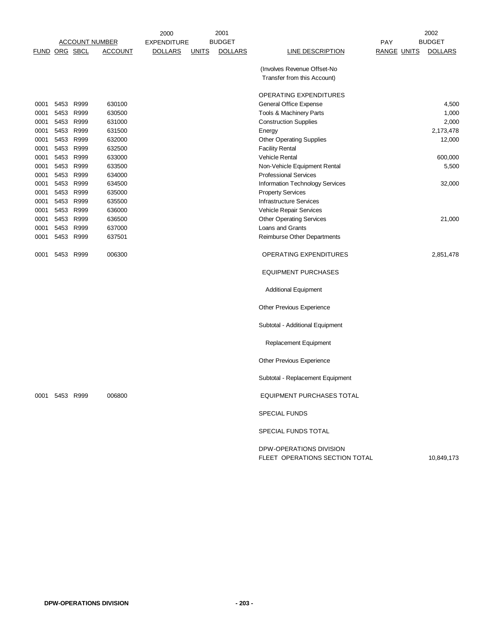|      |                |                       |                | 2000           |              | 2001           |                                                           |                    | 2002           |
|------|----------------|-----------------------|----------------|----------------|--------------|----------------|-----------------------------------------------------------|--------------------|----------------|
|      |                | <b>ACCOUNT NUMBER</b> |                | EXPENDITURE    |              | <b>BUDGET</b>  |                                                           | <b>PAY</b>         | <b>BUDGET</b>  |
|      | FUND ORG SBCL  |                       | <b>ACCOUNT</b> | <b>DOLLARS</b> | <b>UNITS</b> | <b>DOLLARS</b> | <b>LINE DESCRIPTION</b>                                   | <b>RANGE UNITS</b> | <b>DOLLARS</b> |
|      |                |                       |                |                |              |                | (Involves Revenue Offset-No                               |                    |                |
|      |                |                       |                |                |              |                | Transfer from this Account)                               |                    |                |
|      |                |                       |                |                |              |                |                                                           |                    |                |
|      |                |                       |                |                |              |                | OPERATING EXPENDITURES                                    |                    |                |
| 0001 | 5453 R999      |                       | 630100         |                |              |                | General Office Expense                                    |                    | 4,500          |
| 0001 | 5453 R999      |                       | 630500         |                |              |                | Tools & Machinery Parts                                   |                    | 1,000          |
| 0001 | 5453 R999      |                       | 631000         |                |              |                | <b>Construction Supplies</b>                              |                    | 2,000          |
| 0001 | 5453 R999      |                       | 631500         |                |              |                | Energy                                                    |                    | 2,173,478      |
| 0001 | 5453 R999      |                       | 632000         |                |              |                | <b>Other Operating Supplies</b>                           |                    | 12,000         |
| 0001 | 5453 R999      |                       | 632500         |                |              |                | <b>Facility Rental</b>                                    |                    |                |
| 0001 | 5453 R999      |                       | 633000         |                |              |                | Vehicle Rental                                            |                    | 600,000        |
| 0001 | 5453 R999      |                       | 633500         |                |              |                | Non-Vehicle Equipment Rental                              |                    | 5,500          |
| 0001 | 5453 R999      |                       | 634000         |                |              |                | <b>Professional Services</b>                              |                    |                |
| 0001 | 5453           | R999                  | 634500         |                |              |                | Information Technology Services                           |                    | 32,000         |
| 0001 | 5453 R999      |                       | 635000         |                |              |                | <b>Property Services</b>                                  |                    |                |
| 0001 | 5453 R999      |                       | 635500         |                |              |                | <b>Infrastructure Services</b>                            |                    |                |
| 0001 | 5453           | R999                  | 636000         |                |              |                | Vehicle Repair Services                                   |                    |                |
| 0001 | 5453 R999      |                       | 636500         |                |              |                | <b>Other Operating Services</b>                           |                    | 21,000         |
| 0001 | 5453 R999      |                       | 637000         |                |              |                | Loans and Grants                                          |                    |                |
| 0001 | 5453 R999      |                       | 637501         |                |              |                | Reimburse Other Departments                               |                    |                |
| 0001 | 5453           | R999                  | 006300         |                |              |                | OPERATING EXPENDITURES                                    |                    | 2,851,478      |
|      |                |                       |                |                |              |                | <b>EQUIPMENT PURCHASES</b>                                |                    |                |
|      |                |                       |                |                |              |                | <b>Additional Equipment</b>                               |                    |                |
|      |                |                       |                |                |              |                | Other Previous Experience                                 |                    |                |
|      |                |                       |                |                |              |                | Subtotal - Additional Equipment                           |                    |                |
|      |                |                       |                |                |              |                | <b>Replacement Equipment</b>                              |                    |                |
|      |                |                       |                |                |              |                | <b>Other Previous Experience</b>                          |                    |                |
|      |                |                       |                |                |              |                | Subtotal - Replacement Equipment                          |                    |                |
|      | 0001 5453 R999 |                       | 006800         |                |              |                | <b>EQUIPMENT PURCHASES TOTAL</b>                          |                    |                |
|      |                |                       |                |                |              |                | <b>SPECIAL FUNDS</b>                                      |                    |                |
|      |                |                       |                |                |              |                | SPECIAL FUNDS TOTAL                                       |                    |                |
|      |                |                       |                |                |              |                | DPW-OPERATIONS DIVISION<br>FLEET OPERATIONS SECTION TOTAL |                    | 10,849,173     |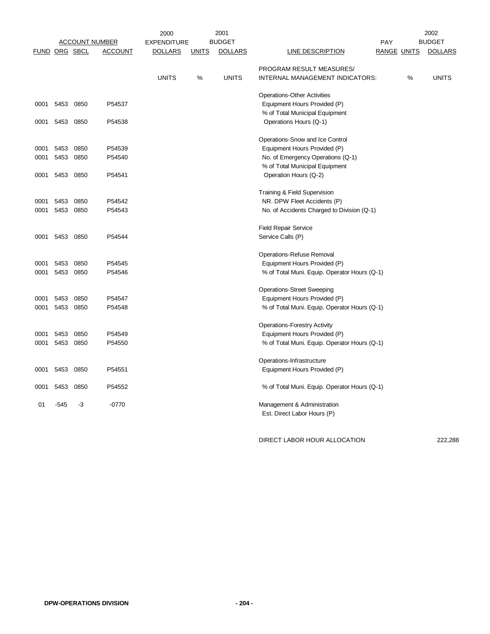|      |                      |                       |                | 2000               |              | 2001           | 2002                                                       |            |                    |                |
|------|----------------------|-----------------------|----------------|--------------------|--------------|----------------|------------------------------------------------------------|------------|--------------------|----------------|
|      |                      | <b>ACCOUNT NUMBER</b> |                | <b>EXPENDITURE</b> |              | <b>BUDGET</b>  |                                                            | <b>PAY</b> |                    | <b>BUDGET</b>  |
|      | <b>FUND ORG SBCL</b> |                       | <b>ACCOUNT</b> | <b>DOLLARS</b>     | <b>UNITS</b> | <b>DOLLARS</b> | <b>LINE DESCRIPTION</b>                                    |            | <b>RANGE UNITS</b> | <b>DOLLARS</b> |
|      |                      |                       |                |                    |              |                | PROGRAM RESULT MEASURES/                                   |            |                    |                |
|      |                      |                       |                | <b>UNITS</b>       | $\%$         | <b>UNITS</b>   | INTERNAL MANAGEMENT INDICATORS:                            |            | %                  | <b>UNITS</b>   |
|      |                      |                       |                |                    |              |                | <b>Operations-Other Activities</b>                         |            |                    |                |
|      | 0001 5453            | 0850                  | P54537         |                    |              |                | Equipment Hours Provided (P)                               |            |                    |                |
| 0001 | 5453                 | 0850                  | P54538         |                    |              |                | % of Total Municipal Equipment<br>Operations Hours (Q-1)   |            |                    |                |
|      |                      |                       |                |                    |              |                | Operations-Snow and Ice Control                            |            |                    |                |
| 0001 | 5453                 | 0850                  | P54539         |                    |              |                | Equipment Hours Provided (P)                               |            |                    |                |
| 0001 | 5453                 | 0850                  | P54540         |                    |              |                | No. of Emergency Operations (Q-1)                          |            |                    |                |
|      |                      |                       |                |                    |              |                | % of Total Municipal Equipment                             |            |                    |                |
| 0001 | 5453                 | 0850                  | P54541         |                    |              |                | Operation Hours (Q-2)                                      |            |                    |                |
|      |                      |                       |                |                    |              |                | Training & Field Supervision                               |            |                    |                |
| 0001 | 5453                 | 0850                  | P54542         |                    |              |                | NR. DPW Fleet Accidents (P)                                |            |                    |                |
| 0001 |                      | 5453 0850             | P54543         |                    |              |                | No. of Accidents Charged to Division (Q-1)                 |            |                    |                |
|      |                      |                       |                |                    |              |                | <b>Field Repair Service</b>                                |            |                    |                |
| 0001 |                      | 5453 0850             | P54544         |                    |              |                | Service Calls (P)                                          |            |                    |                |
|      |                      |                       |                |                    |              |                | Operations-Refuse Removal                                  |            |                    |                |
| 0001 | 5453                 | 0850                  | P54545         |                    |              |                | Equipment Hours Provided (P)                               |            |                    |                |
| 0001 | 5453                 | 0850                  | P54546         |                    |              |                | % of Total Muni. Equip. Operator Hours (Q-1)               |            |                    |                |
|      |                      |                       |                |                    |              |                | <b>Operations-Street Sweeping</b>                          |            |                    |                |
| 0001 | 5453                 | 0850                  | P54547         |                    |              |                | Equipment Hours Provided (P)                               |            |                    |                |
| 0001 | 5453                 | 0850                  | P54548         |                    |              |                | % of Total Muni. Equip. Operator Hours (Q-1)               |            |                    |                |
|      |                      |                       |                |                    |              |                | <b>Operations-Forestry Activity</b>                        |            |                    |                |
| 0001 | 5453                 | 0850                  | P54549         |                    |              |                | Equipment Hours Provided (P)                               |            |                    |                |
| 0001 | 5453                 | 0850                  | P54550         |                    |              |                | % of Total Muni. Equip. Operator Hours (Q-1)               |            |                    |                |
|      |                      |                       |                |                    |              |                | Operations-Infrastructure                                  |            |                    |                |
| 0001 | 5453                 | 0850                  | P54551         |                    |              |                | Equipment Hours Provided (P)                               |            |                    |                |
| 0001 | 5453                 | 0850                  | P54552         |                    |              |                | % of Total Muni. Equip. Operator Hours (Q-1)               |            |                    |                |
| 01   | -545                 | -3                    | $-0770$        |                    |              |                | Management & Administration<br>Est. Direct Labor Hours (P) |            |                    |                |

DIRECT LABOR HOUR ALLOCATION 222,288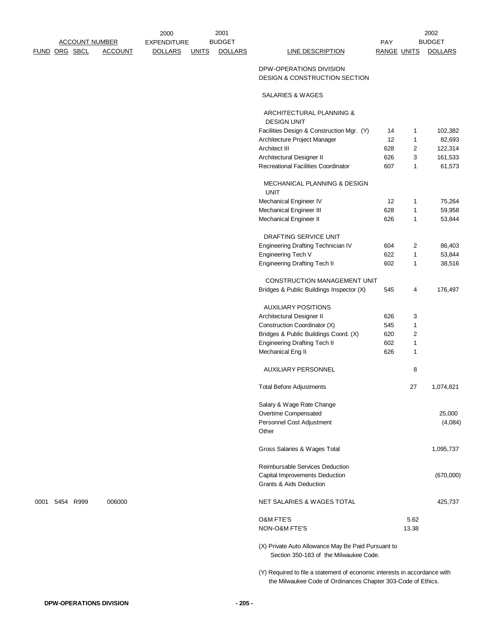|      |                       |                | 2000               |              | 2001           |                                                                                                                                           |                    |              | 2002           |
|------|-----------------------|----------------|--------------------|--------------|----------------|-------------------------------------------------------------------------------------------------------------------------------------------|--------------------|--------------|----------------|
|      | <b>ACCOUNT NUMBER</b> |                | <b>EXPENDITURE</b> |              | <b>BUDGET</b>  |                                                                                                                                           | <b>PAY</b>         |              | <b>BUDGET</b>  |
|      | FUND ORG SBCL         | <b>ACCOUNT</b> | <b>DOLLARS</b>     | <b>UNITS</b> | <b>DOLLARS</b> | <b>LINE DESCRIPTION</b>                                                                                                                   | <b>RANGE UNITS</b> |              | <b>DOLLARS</b> |
|      |                       |                |                    |              |                | DPW-OPERATIONS DIVISION<br><b>DESIGN &amp; CONSTRUCTION SECTION</b>                                                                       |                    |              |                |
|      |                       |                |                    |              |                | <b>SALARIES &amp; WAGES</b>                                                                                                               |                    |              |                |
|      |                       |                |                    |              |                | ARCHITECTURAL PLANNING &<br><b>DESIGN UNIT</b>                                                                                            |                    |              |                |
|      |                       |                |                    |              |                | Facilities Design & Construction Mgr. (Y)                                                                                                 | 14                 | 1            | 102,382        |
|      |                       |                |                    |              |                | Architecture Project Manager                                                                                                              | 12                 | $\mathbf{1}$ | 82,693         |
|      |                       |                |                    |              |                | Architect III                                                                                                                             | 628                | 2            | 122,314        |
|      |                       |                |                    |              |                | Architectural Designer II                                                                                                                 | 626                | 3            | 161,533        |
|      |                       |                |                    |              |                | <b>Recreational Facilities Coordinator</b>                                                                                                | 607                | 1            | 61,573         |
|      |                       |                |                    |              |                | MECHANICAL PLANNING & DESIGN<br><b>UNIT</b>                                                                                               |                    |              |                |
|      |                       |                |                    |              |                | Mechanical Engineer IV                                                                                                                    | 12                 | 1            | 75,264         |
|      |                       |                |                    |              |                | Mechanical Engineer III                                                                                                                   | 628                | 1            | 59,958         |
|      |                       |                |                    |              |                | Mechanical Engineer II                                                                                                                    | 626                | 1            | 53,844         |
|      |                       |                |                    |              |                | DRAFTING SERVICE UNIT                                                                                                                     |                    |              |                |
|      |                       |                |                    |              |                | Engineering Drafting Technician IV                                                                                                        | 604                | 2            | 86,403         |
|      |                       |                |                    |              |                | Engineering Tech V                                                                                                                        | 622                | 1            | 53,844         |
|      |                       |                |                    |              |                | <b>Engineering Drafting Tech II</b>                                                                                                       | 602                | 1            | 38,516         |
|      |                       |                |                    |              |                | CONSTRUCTION MANAGEMENT UNIT                                                                                                              |                    |              |                |
|      |                       |                |                    |              |                | Bridges & Public Buildings Inspector (X)                                                                                                  | 545                | 4            | 176,497        |
|      |                       |                |                    |              |                |                                                                                                                                           |                    |              |                |
|      |                       |                |                    |              |                | <b>AUXILIARY POSITIONS</b>                                                                                                                |                    |              |                |
|      |                       |                |                    |              |                | Architectural Designer II                                                                                                                 | 626                | 3            |                |
|      |                       |                |                    |              |                | Construction Coordinator (X)                                                                                                              | 545                | 1            |                |
|      |                       |                |                    |              |                | Bridges & Public Buildings Coord. (X)                                                                                                     | 620                | 2            |                |
|      |                       |                |                    |              |                | <b>Engineering Drafting Tech II</b>                                                                                                       | 602                | 1            |                |
|      |                       |                |                    |              |                | Mechanical Eng II                                                                                                                         | 626                | $\mathbf{1}$ |                |
|      |                       |                |                    |              |                | <b>AUXILIARY PERSONNEL</b>                                                                                                                |                    | 8            |                |
|      |                       |                |                    |              |                | <b>Total Before Adjustments</b>                                                                                                           |                    | 27           | 1,074,821      |
|      |                       |                |                    |              |                | Salary & Wage Rate Change                                                                                                                 |                    |              |                |
|      |                       |                |                    |              |                | Overtime Compensated                                                                                                                      |                    |              | 25,000         |
|      |                       |                |                    |              |                | Personnel Cost Adjustment<br>Other                                                                                                        |                    |              | (4,084)        |
|      |                       |                |                    |              |                | Gross Salaries & Wages Total                                                                                                              |                    |              | 1,095,737      |
|      |                       |                |                    |              |                | Reimbursable Services Deduction                                                                                                           |                    |              |                |
|      |                       |                |                    |              |                | Capital Improvements Deduction                                                                                                            |                    |              | (670,000)      |
|      |                       |                |                    |              |                | <b>Grants &amp; Aids Deduction</b>                                                                                                        |                    |              |                |
| 0001 | 5454 R999             | 006000         |                    |              |                | NET SALARIES & WAGES TOTAL                                                                                                                |                    |              | 425,737        |
|      |                       |                |                    |              |                | <b>O&amp;M FTE'S</b>                                                                                                                      |                    | 5.62         |                |
|      |                       |                |                    |              |                | NON-O&M FTE'S                                                                                                                             |                    | 13.38        |                |
|      |                       |                |                    |              |                | (X) Private Auto Allowance May Be Paid Pursuant to<br>Section 350-183 of the Milwaukee Code.                                              |                    |              |                |
|      |                       |                |                    |              |                | (Y) Required to file a statement of economic interests in accordance with<br>the Milwaukee Code of Ordinances Chapter 303-Code of Ethics. |                    |              |                |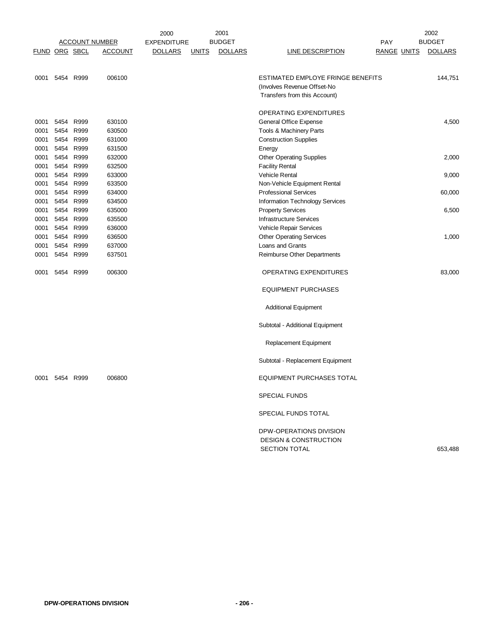|                      | 2000      |      |                       |                    |              | 2001           |                                    |                    | 2002           |  |
|----------------------|-----------|------|-----------------------|--------------------|--------------|----------------|------------------------------------|--------------------|----------------|--|
|                      |           |      | <b>ACCOUNT NUMBER</b> | <b>EXPENDITURE</b> |              | <b>BUDGET</b>  |                                    | PAY                | <b>BUDGET</b>  |  |
| <b>FUND ORG SBCL</b> |           |      | <b>ACCOUNT</b>        | <b>DOLLARS</b>     | <b>UNITS</b> | <b>DOLLARS</b> | <b>LINE DESCRIPTION</b>            | <b>RANGE UNITS</b> | <b>DOLLARS</b> |  |
|                      |           |      |                       |                    |              |                |                                    |                    |                |  |
|                      |           |      |                       |                    |              |                |                                    |                    |                |  |
| 0001                 | 5454 R999 |      | 006100                |                    |              |                | ESTIMATED EMPLOYE FRINGE BENEFITS  |                    | 144,751        |  |
|                      |           |      |                       |                    |              |                | (Involves Revenue Offset-No        |                    |                |  |
|                      |           |      |                       |                    |              |                | Transfers from this Account)       |                    |                |  |
|                      |           |      |                       |                    |              |                |                                    |                    |                |  |
|                      |           |      |                       |                    |              |                | OPERATING EXPENDITURES             |                    |                |  |
| 0001                 | 5454      | R999 | 630100                |                    |              |                | General Office Expense             |                    | 4,500          |  |
| 0001                 | 5454 R999 |      | 630500                |                    |              |                | Tools & Machinery Parts            |                    |                |  |
| 0001                 | 5454 R999 |      | 631000                |                    |              |                | <b>Construction Supplies</b>       |                    |                |  |
| 0001                 | 5454      | R999 | 631500                |                    |              |                | Energy                             |                    |                |  |
| 0001                 | 5454      | R999 | 632000                |                    |              |                | <b>Other Operating Supplies</b>    |                    | 2,000          |  |
| 0001                 | 5454      | R999 | 632500                |                    |              |                | <b>Facility Rental</b>             |                    |                |  |
| 0001                 | 5454      | R999 | 633000                |                    |              |                | <b>Vehicle Rental</b>              |                    | 9,000          |  |
| 0001                 | 5454      | R999 | 633500                |                    |              |                | Non-Vehicle Equipment Rental       |                    |                |  |
| 0001                 | 5454 R999 |      | 634000                |                    |              |                | <b>Professional Services</b>       |                    | 60,000         |  |
| 0001                 | 5454      | R999 | 634500                |                    |              |                | Information Technology Services    |                    |                |  |
| 0001                 | 5454      | R999 | 635000                |                    |              |                | <b>Property Services</b>           |                    | 6,500          |  |
| 0001                 | 5454 R999 |      | 635500                |                    |              |                | <b>Infrastructure Services</b>     |                    |                |  |
| 0001                 | 5454      | R999 | 636000                |                    |              |                | Vehicle Repair Services            |                    |                |  |
| 0001                 | 5454 R999 |      | 636500                |                    |              |                | <b>Other Operating Services</b>    |                    | 1,000          |  |
| 0001                 | 5454 R999 |      | 637000                |                    |              |                | Loans and Grants                   |                    |                |  |
| 0001                 | 5454 R999 |      | 637501                |                    |              |                | <b>Reimburse Other Departments</b> |                    |                |  |
|                      |           |      |                       |                    |              |                |                                    |                    |                |  |
| 0001                 | 5454 R999 |      | 006300                |                    |              |                | OPERATING EXPENDITURES             |                    | 83,000         |  |
|                      |           |      |                       |                    |              |                |                                    |                    |                |  |
|                      |           |      |                       |                    |              |                | <b>EQUIPMENT PURCHASES</b>         |                    |                |  |
|                      |           |      |                       |                    |              |                |                                    |                    |                |  |
|                      |           |      |                       |                    |              |                | <b>Additional Equipment</b>        |                    |                |  |
|                      |           |      |                       |                    |              |                |                                    |                    |                |  |
|                      |           |      |                       |                    |              |                | Subtotal - Additional Equipment    |                    |                |  |
|                      |           |      |                       |                    |              |                |                                    |                    |                |  |
|                      |           |      |                       |                    |              |                |                                    |                    |                |  |
|                      |           |      |                       |                    |              |                | Replacement Equipment              |                    |                |  |
|                      |           |      |                       |                    |              |                |                                    |                    |                |  |
|                      |           |      |                       |                    |              |                | Subtotal - Replacement Equipment   |                    |                |  |
|                      |           |      |                       |                    |              |                |                                    |                    |                |  |
| 0001                 | 5454 R999 |      | 006800                |                    |              |                | EQUIPMENT PURCHASES TOTAL          |                    |                |  |
|                      |           |      |                       |                    |              |                |                                    |                    |                |  |
|                      |           |      |                       |                    |              |                | <b>SPECIAL FUNDS</b>               |                    |                |  |
|                      |           |      |                       |                    |              |                |                                    |                    |                |  |
|                      |           |      |                       |                    |              |                | SPECIAL FUNDS TOTAL                |                    |                |  |
|                      |           |      |                       |                    |              |                | DPW-OPERATIONS DIVISION            |                    |                |  |
|                      |           |      |                       |                    |              |                | <b>DESIGN &amp; CONSTRUCTION</b>   |                    |                |  |
|                      |           |      |                       |                    |              |                | <b>SECTION TOTAL</b>               |                    |                |  |
|                      |           |      |                       |                    |              |                |                                    |                    | 653,488        |  |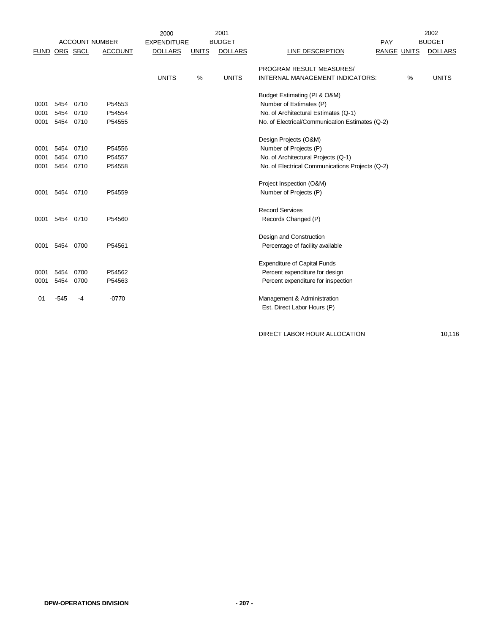|               |      |      |                       | 2000               |              | 2001           |                                                 |                    |      | 2002           |
|---------------|------|------|-----------------------|--------------------|--------------|----------------|-------------------------------------------------|--------------------|------|----------------|
|               |      |      | <b>ACCOUNT NUMBER</b> | <b>EXPENDITURE</b> |              | <b>BUDGET</b>  |                                                 | PAY                |      | <b>BUDGET</b>  |
| FUND ORG SBCL |      |      | <b>ACCOUNT</b>        | <b>DOLLARS</b>     | <b>UNITS</b> | <b>DOLLARS</b> | LINE DESCRIPTION                                | <b>RANGE UNITS</b> |      | <b>DOLLARS</b> |
|               |      |      |                       |                    |              |                | PROGRAM RESULT MEASURES/                        |                    |      |                |
|               |      |      |                       | <b>UNITS</b>       | %            | <b>UNITS</b>   | INTERNAL MANAGEMENT INDICATORS:                 |                    | $\%$ | <b>UNITS</b>   |
|               |      |      |                       |                    |              |                |                                                 |                    |      |                |
|               |      |      |                       |                    |              |                | Budget Estimating (PI & O&M)                    |                    |      |                |
| 0001          | 5454 | 0710 | P54553                |                    |              |                | Number of Estimates (P)                         |                    |      |                |
| 0001          | 5454 | 0710 | P54554                |                    |              |                | No. of Architectural Estimates (Q-1)            |                    |      |                |
| 0001          | 5454 | 0710 | P54555                |                    |              |                | No. of Electrical/Communication Estimates (Q-2) |                    |      |                |
|               |      |      |                       |                    |              |                | Design Projects (O&M)                           |                    |      |                |
| 0001          | 5454 | 0710 | P54556                |                    |              |                | Number of Projects (P)                          |                    |      |                |
| 0001          | 5454 | 0710 | P54557                |                    |              |                | No. of Architectural Projects (Q-1)             |                    |      |                |
| 0001          | 5454 | 0710 | P54558                |                    |              |                | No. of Electrical Communications Projects (Q-2) |                    |      |                |
|               |      |      |                       |                    |              |                |                                                 |                    |      |                |
|               |      |      |                       |                    |              |                | Project Inspection (O&M)                        |                    |      |                |
| 0001          | 5454 | 0710 | P54559                |                    |              |                | Number of Projects (P)                          |                    |      |                |
|               |      |      |                       |                    |              |                | <b>Record Services</b>                          |                    |      |                |
| 0001          | 5454 | 0710 | P54560                |                    |              |                | Records Changed (P)                             |                    |      |                |
|               |      |      |                       |                    |              |                |                                                 |                    |      |                |
|               |      |      |                       |                    |              |                | Design and Construction                         |                    |      |                |
| 0001          | 5454 | 0700 | P54561                |                    |              |                | Percentage of facility available                |                    |      |                |
|               |      |      |                       |                    |              |                | <b>Expenditure of Capital Funds</b>             |                    |      |                |
| 0001          | 5454 | 0700 | P54562                |                    |              |                | Percent expenditure for design                  |                    |      |                |
| 0001          | 5454 | 0700 | P54563                |                    |              |                | Percent expenditure for inspection              |                    |      |                |
|               |      |      |                       |                    |              |                |                                                 |                    |      |                |
| 01            | -545 | -4   | $-0770$               |                    |              |                | Management & Administration                     |                    |      |                |
|               |      |      |                       |                    |              |                | Est. Direct Labor Hours (P)                     |                    |      |                |

DIRECT LABOR HOUR ALLOCATION 10,116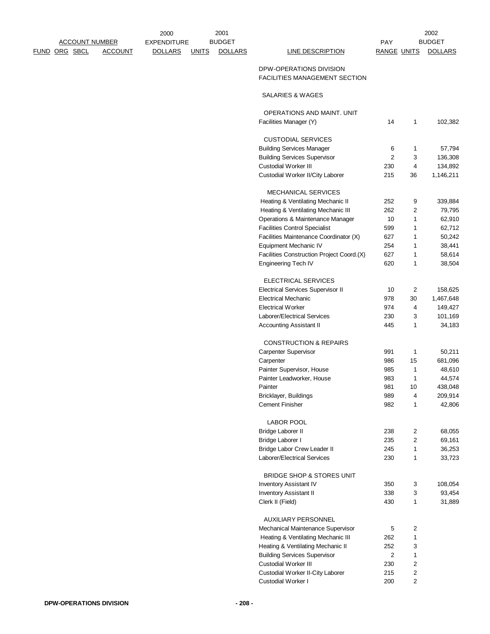|               | <b>ACCOUNT NUMBER</b> |                | 2000<br><b>EXPENDITURE</b> |              | 2001<br><b>BUDGET</b> |                                                                 | <b>PAY</b>         |                | 2002<br><b>BUDGET</b> |
|---------------|-----------------------|----------------|----------------------------|--------------|-----------------------|-----------------------------------------------------------------|--------------------|----------------|-----------------------|
| FUND ORG SBCL |                       | <b>ACCOUNT</b> | <b>DOLLARS</b>             | <b>UNITS</b> | <b>DOLLARS</b>        | <b>LINE DESCRIPTION</b>                                         | <b>RANGE UNITS</b> |                | <b>DOLLARS</b>        |
|               |                       |                |                            |              |                       | DPW-OPERATIONS DIVISION<br><b>FACILITIES MANAGEMENT SECTION</b> |                    |                |                       |
|               |                       |                |                            |              |                       | SALARIES & WAGES                                                |                    |                |                       |
|               |                       |                |                            |              |                       | <b>OPERATIONS AND MAINT, UNIT</b>                               |                    |                |                       |
|               |                       |                |                            |              |                       | Facilities Manager (Y)                                          | 14                 | 1              | 102,382               |
|               |                       |                |                            |              |                       | <b>CUSTODIAL SERVICES</b>                                       |                    |                |                       |
|               |                       |                |                            |              |                       | <b>Building Services Manager</b>                                | 6                  | 1              | 57,794                |
|               |                       |                |                            |              |                       | <b>Building Services Supervisor</b>                             | 2                  | 3              | 136,308               |
|               |                       |                |                            |              |                       | Custodial Worker III                                            | 230                | 4              | 134,892               |
|               |                       |                |                            |              |                       | Custodial Worker II/City Laborer                                | 215                | 36             | 1,146,211             |
|               |                       |                |                            |              |                       | <b>MECHANICAL SERVICES</b>                                      |                    |                |                       |
|               |                       |                |                            |              |                       | Heating & Ventilating Mechanic II                               | 252                | 9              | 339,884               |
|               |                       |                |                            |              |                       | Heating & Ventilating Mechanic III                              | 262                | 2              | 79,795                |
|               |                       |                |                            |              |                       | Operations & Maintenance Manager                                | 10                 | 1              | 62,910                |
|               |                       |                |                            |              |                       | <b>Facilities Control Specialist</b>                            | 599                | 1              | 62,712                |
|               |                       |                |                            |              |                       | Facilities Maintenance Coordinator (X)                          | 627                | 1              | 50,242                |
|               |                       |                |                            |              |                       | Equipment Mechanic IV                                           | 254                | 1              | 38,441                |
|               |                       |                |                            |              |                       | Facilities Construction Project Coord.(X)                       | 627                | 1              | 58,614                |
|               |                       |                |                            |              |                       | <b>Engineering Tech IV</b>                                      | 620                | 1              | 38,504                |
|               |                       |                |                            |              |                       | ELECTRICAL SERVICES                                             |                    |                |                       |
|               |                       |                |                            |              |                       | <b>Electrical Services Supervisor II</b>                        | 10                 | 2              | 158,625               |
|               |                       |                |                            |              |                       | <b>Electrical Mechanic</b>                                      | 978                | 30             | 1,467,648             |
|               |                       |                |                            |              |                       | <b>Electrical Worker</b>                                        | 974                | 4              | 149,427               |
|               |                       |                |                            |              |                       | Laborer/Electrical Services                                     | 230                | 3              | 101,169               |
|               |                       |                |                            |              |                       | <b>Accounting Assistant II</b>                                  | 445                | 1              | 34,183                |
|               |                       |                |                            |              |                       | <b>CONSTRUCTION &amp; REPAIRS</b>                               |                    |                |                       |
|               |                       |                |                            |              |                       | <b>Carpenter Supervisor</b>                                     | 991                | 1              | 50,211                |
|               |                       |                |                            |              |                       | Carpenter                                                       | 986                | 15             | 681,096               |
|               |                       |                |                            |              |                       | Painter Supervisor, House                                       | 985                | 1              | 48,610                |
|               |                       |                |                            |              |                       | Painter Leadworker, House                                       | 983                | 1              | 44,574                |
|               |                       |                |                            |              |                       | Painter                                                         | 981                | 10             | 438,048               |
|               |                       |                |                            |              |                       | Bricklayer, Buildings                                           | 989                | 4              | 209,914               |
|               |                       |                |                            |              |                       | <b>Cement Finisher</b>                                          | 982                | 1              | 42,806                |
|               |                       |                |                            |              |                       | <b>LABOR POOL</b>                                               |                    |                |                       |
|               |                       |                |                            |              |                       | <b>Bridge Laborer II</b>                                        | 238                | 2              | 68,055                |
|               |                       |                |                            |              |                       | Bridge Laborer I                                                | 235                | 2              | 69,161                |
|               |                       |                |                            |              |                       | Bridge Labor Crew Leader II                                     | 245                | 1              | 36,253                |
|               |                       |                |                            |              |                       | Laborer/Electrical Services                                     | 230                | 1              | 33,723                |
|               |                       |                |                            |              |                       | BRIDGE SHOP & STORES UNIT                                       |                    |                |                       |
|               |                       |                |                            |              |                       | Inventory Assistant IV                                          | 350                | 3              | 108,054               |
|               |                       |                |                            |              |                       | <b>Inventory Assistant II</b>                                   | 338                | 3              | 93,454                |
|               |                       |                |                            |              |                       | Clerk II (Field)                                                | 430                | 1              | 31,889                |
|               |                       |                |                            |              |                       | AUXILIARY PERSONNEL                                             |                    |                |                       |
|               |                       |                |                            |              |                       | Mechanical Maintenance Supervisor                               | 5                  | 2              |                       |
|               |                       |                |                            |              |                       | Heating & Ventilating Mechanic III                              | 262                | $\mathbf{1}$   |                       |
|               |                       |                |                            |              |                       | Heating & Ventilating Mechanic II                               | 252                | 3              |                       |
|               |                       |                |                            |              |                       | <b>Building Services Supervisor</b>                             | $\overline{c}$     | $\mathbf{1}$   |                       |
|               |                       |                |                            |              |                       | <b>Custodial Worker III</b>                                     | 230                | 2              |                       |
|               |                       |                |                            |              |                       | Custodial Worker II-City Laborer                                | 215                | $\overline{c}$ |                       |
|               |                       |                |                            |              |                       | Custodial Worker I                                              | 200                | $\overline{2}$ |                       |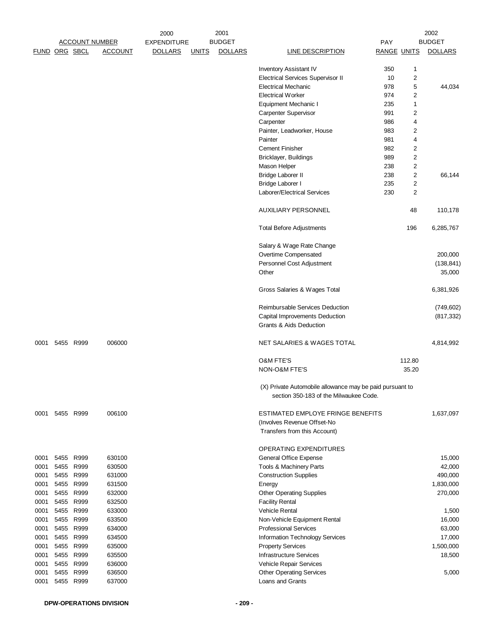|               |      | <b>ACCOUNT NUMBER</b>  |                  | 2000<br><b>EXPENDITURE</b> |              | 2001<br><b>BUDGET</b> |                                                                                                    | PAY                |        | 2002<br><b>BUDGET</b> |
|---------------|------|------------------------|------------------|----------------------------|--------------|-----------------------|----------------------------------------------------------------------------------------------------|--------------------|--------|-----------------------|
| FUND ORG SBCL |      |                        | <b>ACCOUNT</b>   | <b>DOLLARS</b>             | <b>UNITS</b> | <b>DOLLARS</b>        | <b>LINE DESCRIPTION</b>                                                                            | <b>RANGE UNITS</b> |        | <b>DOLLARS</b>        |
|               |      |                        |                  |                            |              |                       | Inventory Assistant IV                                                                             | 350                | 1      |                       |
|               |      |                        |                  |                            |              |                       | <b>Electrical Services Supervisor II</b>                                                           | 10                 | 2      |                       |
|               |      |                        |                  |                            |              |                       | <b>Electrical Mechanic</b>                                                                         | 978                | 5      | 44,034                |
|               |      |                        |                  |                            |              |                       | <b>Electrical Worker</b>                                                                           | 974                | 2      |                       |
|               |      |                        |                  |                            |              |                       | <b>Equipment Mechanic I</b>                                                                        | 235                | 1      |                       |
|               |      |                        |                  |                            |              |                       | <b>Carpenter Supervisor</b>                                                                        | 991                | 2      |                       |
|               |      |                        |                  |                            |              |                       | Carpenter                                                                                          | 986                | 4      |                       |
|               |      |                        |                  |                            |              |                       | Painter, Leadworker, House                                                                         | 983                | 2      |                       |
|               |      |                        |                  |                            |              |                       | Painter                                                                                            | 981                | 4      |                       |
|               |      |                        |                  |                            |              |                       | <b>Cement Finisher</b>                                                                             | 982                | 2      |                       |
|               |      |                        |                  |                            |              |                       | Bricklayer, Buildings                                                                              | 989                | 2      |                       |
|               |      |                        |                  |                            |              |                       | Mason Helper                                                                                       | 238                | 2      |                       |
|               |      |                        |                  |                            |              |                       | Bridge Laborer II                                                                                  | 238                | 2      | 66,144                |
|               |      |                        |                  |                            |              |                       | <b>Bridge Laborer I</b>                                                                            | 235                | 2      |                       |
|               |      |                        |                  |                            |              |                       | Laborer/Electrical Services                                                                        | 230                | 2      |                       |
|               |      |                        |                  |                            |              |                       | <b>AUXILIARY PERSONNEL</b>                                                                         |                    | 48     | 110,178               |
|               |      |                        |                  |                            |              |                       | <b>Total Before Adjustments</b>                                                                    |                    | 196    | 6,285,767             |
|               |      |                        |                  |                            |              |                       | Salary & Wage Rate Change                                                                          |                    |        |                       |
|               |      |                        |                  |                            |              |                       | Overtime Compensated                                                                               |                    |        | 200,000               |
|               |      |                        |                  |                            |              |                       | Personnel Cost Adjustment                                                                          |                    |        | (138, 841)            |
|               |      |                        |                  |                            |              |                       | Other                                                                                              |                    |        | 35,000                |
|               |      |                        |                  |                            |              |                       | Gross Salaries & Wages Total                                                                       |                    |        | 6,381,926             |
|               |      |                        |                  |                            |              |                       | Reimbursable Services Deduction                                                                    |                    |        | (749, 602)            |
|               |      |                        |                  |                            |              |                       | Capital Improvements Deduction                                                                     |                    |        | (817, 332)            |
|               |      |                        |                  |                            |              |                       | <b>Grants &amp; Aids Deduction</b>                                                                 |                    |        |                       |
| 0001          |      | 5455 R999              | 006000           |                            |              |                       | NET SALARIES & WAGES TOTAL                                                                         |                    |        | 4,814,992             |
|               |      |                        |                  |                            |              |                       | <b>O&amp;M FTE'S</b>                                                                               |                    | 112.80 |                       |
|               |      |                        |                  |                            |              |                       | <b>NON-O&amp;M FTE'S</b>                                                                           |                    | 35.20  |                       |
|               |      |                        |                  |                            |              |                       | (X) Private Automobile allowance may be paid pursuant to<br>section 350-183 of the Milwaukee Code. |                    |        |                       |
| 0001          |      | 5455 R999              | 006100           |                            |              |                       | ESTIMATED EMPLOYE FRINGE BENEFITS                                                                  |                    |        | 1,637,097             |
|               |      |                        |                  |                            |              |                       | (Involves Revenue Offset-No                                                                        |                    |        |                       |
|               |      |                        |                  |                            |              |                       | Transfers from this Account)                                                                       |                    |        |                       |
|               |      |                        |                  |                            |              |                       | <b>OPERATING EXPENDITURES</b>                                                                      |                    |        |                       |
| 0001          | 5455 | R999                   | 630100           |                            |              |                       | General Office Expense                                                                             |                    |        | 15,000                |
| 0001          |      | 5455 R999              | 630500           |                            |              |                       | Tools & Machinery Parts                                                                            |                    |        | 42,000                |
| 0001          |      | 5455 R999              | 631000           |                            |              |                       | <b>Construction Supplies</b>                                                                       |                    |        | 490,000               |
| 0001          |      | 5455 R999              | 631500           |                            |              |                       | Energy                                                                                             |                    |        | 1,830,000             |
| 0001          |      | 5455 R999              | 632000           |                            |              |                       | <b>Other Operating Supplies</b>                                                                    |                    |        | 270,000               |
| 0001          |      | 5455 R999              | 632500           |                            |              |                       | <b>Facility Rental</b>                                                                             |                    |        |                       |
| 0001          |      | 5455 R999              | 633000           |                            |              |                       | <b>Vehicle Rental</b>                                                                              |                    |        | 1,500                 |
| 0001          |      | 5455 R999              | 633500           |                            |              |                       | Non-Vehicle Equipment Rental                                                                       |                    |        | 16,000                |
| 0001          | 5455 | R999                   | 634000           |                            |              |                       | <b>Professional Services</b>                                                                       |                    |        | 63,000                |
| 0001          |      | 5455 R999              | 634500           |                            |              |                       | Information Technology Services                                                                    |                    |        | 17,000                |
| 0001          |      | 5455 R999              | 635000           |                            |              |                       | <b>Property Services</b>                                                                           |                    |        | 1,500,000             |
| 0001          |      | 5455 R999<br>5455 R999 | 635500           |                            |              |                       | <b>Infrastructure Services</b><br>Vehicle Repair Services                                          |                    |        | 18,500                |
| 0001          | 5455 | R999                   | 636000<br>636500 |                            |              |                       |                                                                                                    |                    |        |                       |
| 0001<br>0001  |      | 5455 R999              | 637000           |                            |              |                       | <b>Other Operating Services</b><br>Loans and Grants                                                |                    |        | 5,000                 |
|               |      |                        |                  |                            |              |                       |                                                                                                    |                    |        |                       |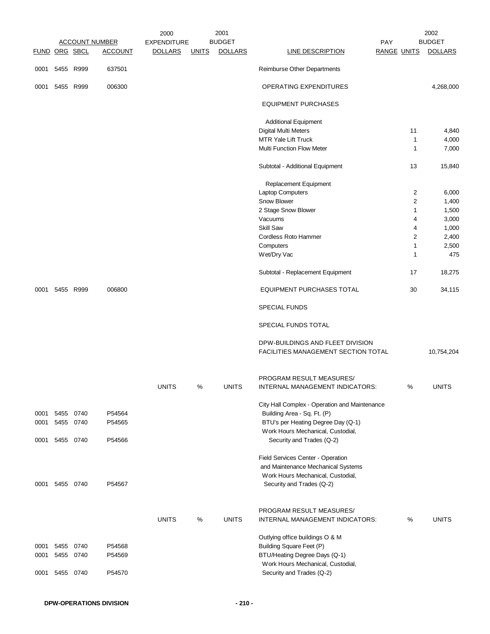|               |                |           |                       | 2000               |              | 2001           |                                                                         |                    |                | 2002           |
|---------------|----------------|-----------|-----------------------|--------------------|--------------|----------------|-------------------------------------------------------------------------|--------------------|----------------|----------------|
|               |                |           | <b>ACCOUNT NUMBER</b> | <b>EXPENDITURE</b> |              | <b>BUDGET</b>  |                                                                         | PAY                |                | <b>BUDGET</b>  |
| FUND ORG SBCL |                |           | <b>ACCOUNT</b>        | <b>DOLLARS</b>     | <b>UNITS</b> | <b>DOLLARS</b> | <b>LINE DESCRIPTION</b>                                                 | <b>RANGE UNITS</b> |                | <b>DOLLARS</b> |
|               | 0001 5455 R999 |           | 637501                |                    |              |                | Reimburse Other Departments                                             |                    |                |                |
| 0001          |                | 5455 R999 | 006300                |                    |              |                | OPERATING EXPENDITURES                                                  |                    |                | 4,268,000      |
|               |                |           |                       |                    |              |                | <b>EQUIPMENT PURCHASES</b>                                              |                    |                |                |
|               |                |           |                       |                    |              |                | <b>Additional Equipment</b>                                             |                    |                |                |
|               |                |           |                       |                    |              |                | Digital Multi Meters                                                    |                    | 11             | 4,840          |
|               |                |           |                       |                    |              |                | MTR Yale Lift Truck                                                     |                    | 1              | 4,000          |
|               |                |           |                       |                    |              |                | <b>Multi Function Flow Meter</b>                                        |                    | 1              | 7,000          |
|               |                |           |                       |                    |              |                | Subtotal - Additional Equipment                                         |                    | 13             | 15,840         |
|               |                |           |                       |                    |              |                | Replacement Equipment                                                   |                    |                |                |
|               |                |           |                       |                    |              |                | Laptop Computers                                                        |                    | 2              | 6,000          |
|               |                |           |                       |                    |              |                | Snow Blower                                                             |                    | $\overline{c}$ | 1,400          |
|               |                |           |                       |                    |              |                | 2 Stage Snow Blower                                                     |                    | 1              | 1,500          |
|               |                |           |                       |                    |              |                | Vacuums                                                                 |                    | 4              | 3,000          |
|               |                |           |                       |                    |              |                | Skill Saw                                                               |                    | 4              |                |
|               |                |           |                       |                    |              |                |                                                                         |                    |                | 1,000          |
|               |                |           |                       |                    |              |                | Cordless Roto Hammer                                                    |                    | $\overline{2}$ | 2,400          |
|               |                |           |                       |                    |              |                | Computers                                                               |                    | 1              | 2,500          |
|               |                |           |                       |                    |              |                | Wet/Dry Vac                                                             |                    | 1              | 475            |
|               |                |           |                       |                    |              |                | Subtotal - Replacement Equipment                                        |                    | 17             | 18,275         |
|               | 0001 5455 R999 |           | 006800                |                    |              |                | <b>EQUIPMENT PURCHASES TOTAL</b>                                        |                    | 30             | 34,115         |
|               |                |           |                       |                    |              |                | <b>SPECIAL FUNDS</b>                                                    |                    |                |                |
|               |                |           |                       |                    |              |                | SPECIAL FUNDS TOTAL                                                     |                    |                |                |
|               |                |           |                       |                    |              |                | DPW-BUILDINGS AND FLEET DIVISION<br>FACILITIES MANAGEMENT SECTION TOTAL |                    |                | 10,754,204     |
|               |                |           |                       |                    |              |                | PROGRAM RESULT MEASURES/                                                |                    |                |                |
|               |                |           |                       | <b>UNITS</b>       | $\%$         | <b>UNITS</b>   | INTERNAL MANAGEMENT INDICATORS:                                         |                    | $\%$           | <b>UNITS</b>   |
|               |                |           |                       |                    |              |                | City Hall Complex - Operation and Maintenance                           |                    |                |                |
| 0001          | 5455           | 0740      | P54564                |                    |              |                | Building Area - Sq. Ft. (P)                                             |                    |                |                |
| 0001          | 5455 0740      |           | P54565                |                    |              |                | BTU's per Heating Degree Day (Q-1)                                      |                    |                |                |
|               |                |           |                       |                    |              |                | Work Hours Mechanical, Custodial,                                       |                    |                |                |
| 0001          | 5455           | 0740      | P54566                |                    |              |                | Security and Trades (Q-2)                                               |                    |                |                |
|               |                |           |                       |                    |              |                | Field Services Center - Operation                                       |                    |                |                |
|               |                |           |                       |                    |              |                | and Maintenance Mechanical Systems                                      |                    |                |                |
|               |                |           |                       |                    |              |                | Work Hours Mechanical, Custodial,                                       |                    |                |                |
|               | 0001 5455 0740 |           | P54567                |                    |              |                | Security and Trades (Q-2)                                               |                    |                |                |
|               |                |           |                       |                    |              |                |                                                                         |                    |                |                |
|               |                |           |                       |                    |              |                | PROGRAM RESULT MEASURES/                                                |                    |                |                |
|               |                |           |                       | <b>UNITS</b>       | %            | <b>UNITS</b>   | INTERNAL MANAGEMENT INDICATORS:                                         |                    | %              | <b>UNITS</b>   |
|               |                |           |                       |                    |              |                | Outlying office buildings O & M                                         |                    |                |                |
| 0001          | 5455           | 0740      | P54568                |                    |              |                | Building Square Feet (P)                                                |                    |                |                |
| 0001          |                | 5455 0740 | P54569                |                    |              |                | BTU/Heating Degree Days (Q-1)                                           |                    |                |                |
|               |                |           |                       |                    |              |                | Work Hours Mechanical, Custodial,                                       |                    |                |                |
| 0001          | 5455 0740      |           | P54570                |                    |              |                | Security and Trades (Q-2)                                               |                    |                |                |
|               |                |           |                       |                    |              |                |                                                                         |                    |                |                |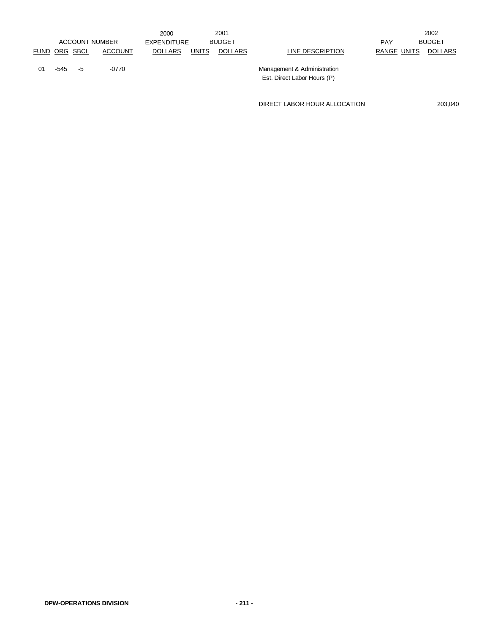|    |               |                       |         | 2000           |              | 2001           |                             |             | 2002          |
|----|---------------|-----------------------|---------|----------------|--------------|----------------|-----------------------------|-------------|---------------|
|    |               | <b>ACCOUNT NUMBER</b> |         | EXPENDITURE    |              | <b>BUDGET</b>  |                             | <b>PAY</b>  | <b>BUDGET</b> |
|    | FUND ORG SBCL |                       | ACCOUNT | <b>DOLLARS</b> | <b>UNITS</b> | <b>DOLLARS</b> | LINE DESCRIPTION            | RANGE UNITS | DOLLARS       |
| 01 | -545          | $-5$                  | -0770   |                |              |                | Management & Administration |             |               |
|    |               |                       |         |                |              |                | Est. Direct Labor Hours (P) |             |               |

DIRECT LABOR HOUR ALLOCATION 203,040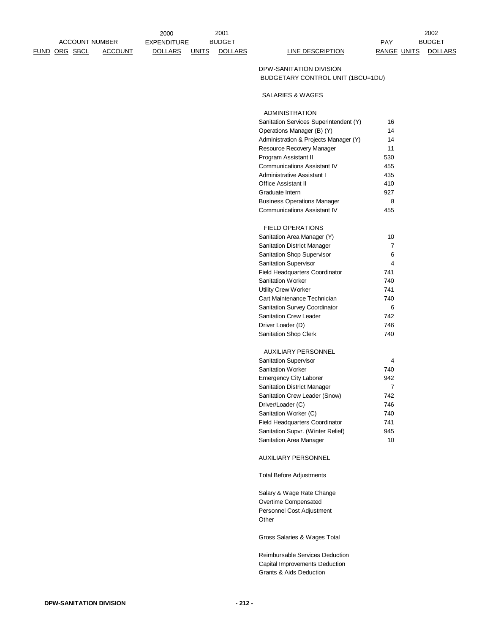FUND ORG SBCL ACCOUNT DOLLARS UNITS DOLLARS LINE DESCRIPTION RANGE UNITS DOLLARS

2000 EXPENDITURE BUDGET NEWSLET AND PAY ACCOUNT NUMBER EXPENDITURE BUDGET AND RESERVE THE PAY BUDGET 2001 BUDGET

2002

## DPW-SANITATION DIVISION BUDGETARY CONTROL UNIT (1BCU=1DU)

## SALARIES & WAGES

ADMINISTRATION

| Sanitation Services Superintendent (Y) | 16  |
|----------------------------------------|-----|
| Operations Manager (B) (Y)             | 14  |
| Administration & Projects Manager (Y)  | 14  |
| Resource Recovery Manager              | 11  |
| Program Assistant II                   | 530 |
| <b>Communications Assistant IV</b>     | 455 |
| Administrative Assistant I             | 435 |
| <b>Office Assistant II</b>             | 410 |
| Graduate Intern                        | 927 |
| <b>Business Operations Manager</b>     | 8   |
| <b>Communications Assistant IV</b>     | 455 |
| FIELD OPERATIONS                       |     |
| Sanitation Area Manager (Y)            | 10  |
| <b>Sanitation District Manager</b>     | 7   |
| Sanitation Shop Supervisor             | 6   |
| <b>Sanitation Supervisor</b>           | 4   |
| <b>Field Headquarters Coordinator</b>  | 741 |
| <b>Sanitation Worker</b>               | 740 |
| <b>Utility Crew Worker</b>             | 741 |
| Cart Maintenance Technician            | 740 |
| Sanitation Survey Coordinator          | 6   |
| <b>Sanitation Crew Leader</b>          | 742 |
| Driver Loader (D)                      | 746 |
| Sanitation Shop Clerk                  | 740 |
| AUXILIARY PERSONNEL                    |     |
| <b>Sanitation Supervisor</b>           | 4   |
| <b>Sanitation Worker</b>               | 740 |
| <b>Emergency City Laborer</b>          | 942 |
| <b>Sanitation District Manager</b>     | 7   |
| Sanitation Crew Leader (Snow)          | 742 |
| Driver/Loader (C)                      | 746 |
| Sanitation Worker (C)                  | 740 |
| <b>Field Headquarters Coordinator</b>  | 741 |
| Sanitation Supvr. (Winter Relief)      | 945 |
| Sanitation Area Manager                | 10  |
|                                        |     |

AUXILIARY PERSONNEL

Total Before Adjustments

Salary & Wage Rate Change Overtime Compensated Personnel Cost Adjustment **Other** 

Gross Salaries & Wages Total

Reimbursable Services Deduction Capital Improvements Deduction Grants & Aids Deduction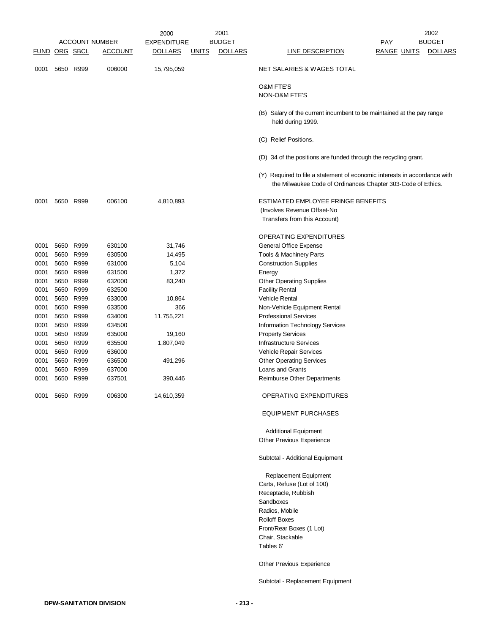|      |                      |           |                       | 2000           | 2001                           |                                                                                                                                           | 2002                                 |
|------|----------------------|-----------|-----------------------|----------------|--------------------------------|-------------------------------------------------------------------------------------------------------------------------------------------|--------------------------------------|
|      |                      |           | <b>ACCOUNT NUMBER</b> | EXPENDITURE    | <b>BUDGET</b>                  |                                                                                                                                           | <b>BUDGET</b><br><b>PAY</b>          |
|      | <u>FUND ORG SBCL</u> |           | <u>ACCOUNT</u>        | <b>DOLLARS</b> | <b>DOLLARS</b><br><b>UNITS</b> | <u>LINE DESCRIPTION</u>                                                                                                                   | <b>RANGE UNITS</b><br><b>DOLLARS</b> |
| 0001 |                      | 5650 R999 | 006000                | 15,795,059     |                                | NET SALARIES & WAGES TOTAL                                                                                                                |                                      |
|      |                      |           |                       |                |                                | O&M FTE'S<br>NON-O&M FTE'S                                                                                                                |                                      |
|      |                      |           |                       |                |                                | (B) Salary of the current incumbent to be maintained at the pay range<br>held during 1999.                                                |                                      |
|      |                      |           |                       |                |                                | (C) Relief Positions.                                                                                                                     |                                      |
|      |                      |           |                       |                |                                | (D) 34 of the positions are funded through the recycling grant.                                                                           |                                      |
|      |                      |           |                       |                |                                | (Y) Required to file a statement of economic interests in accordance with<br>the Milwaukee Code of Ordinances Chapter 303-Code of Ethics. |                                      |
| 0001 |                      | 5650 R999 | 006100                | 4,810,893      |                                | ESTIMATED EMPLOYEE FRINGE BENEFITS<br>(Involves Revenue Offset-No<br>Transfers from this Account)                                         |                                      |
|      |                      |           |                       |                |                                | OPERATING EXPENDITURES                                                                                                                    |                                      |
| 0001 | 5650                 | R999      | 630100                | 31,746         |                                | General Office Expense                                                                                                                    |                                      |
| 0001 | 5650                 | R999      | 630500                | 14,495         |                                | Tools & Machinery Parts                                                                                                                   |                                      |
| 0001 | 5650                 | R999      | 631000                | 5,104          |                                | <b>Construction Supplies</b>                                                                                                              |                                      |
| 0001 | 5650                 | R999      | 631500                | 1,372          |                                | Energy                                                                                                                                    |                                      |
| 0001 | 5650                 | R999      | 632000                | 83,240         |                                | <b>Other Operating Supplies</b>                                                                                                           |                                      |
| 0001 | 5650 R999            |           | 632500                |                |                                | <b>Facility Rental</b>                                                                                                                    |                                      |
| 0001 | 5650                 | R999      | 633000                | 10,864         |                                | <b>Vehicle Rental</b>                                                                                                                     |                                      |
| 0001 | 5650                 | R999      | 633500                | 366            |                                | Non-Vehicle Equipment Rental                                                                                                              |                                      |
| 0001 |                      | 5650 R999 | 634000                | 11,755,221     |                                | <b>Professional Services</b>                                                                                                              |                                      |
| 0001 | 5650                 | R999      | 634500                |                |                                | Information Technology Services                                                                                                           |                                      |
| 0001 | 5650                 | R999      | 635000                | 19,160         |                                | <b>Property Services</b>                                                                                                                  |                                      |
| 0001 |                      | 5650 R999 | 635500                | 1,807,049      |                                | <b>Infrastructure Services</b>                                                                                                            |                                      |
| 0001 | 5650                 | R999      | 636000                |                |                                | Vehicle Repair Services                                                                                                                   |                                      |
| 0001 | 5650                 | R999      | 636500                | 491,296        |                                | <b>Other Operating Services</b>                                                                                                           |                                      |
| 0001 | 5650                 | R999      | 637000                |                |                                | Loans and Grants                                                                                                                          |                                      |
| 0001 |                      | 5650 R999 | 637501                | 390,446        |                                | Reimburse Other Departments                                                                                                               |                                      |
| 0001 |                      | 5650 R999 | 006300                | 14,610,359     |                                | OPERATING EXPENDITURES                                                                                                                    |                                      |
|      |                      |           |                       |                |                                | <b>EQUIPMENT PURCHASES</b>                                                                                                                |                                      |
|      |                      |           |                       |                |                                | <b>Additional Equipment</b>                                                                                                               |                                      |
|      |                      |           |                       |                |                                | Other Previous Experience                                                                                                                 |                                      |
|      |                      |           |                       |                |                                | Subtotal - Additional Equipment                                                                                                           |                                      |
|      |                      |           |                       |                |                                | Replacement Equipment                                                                                                                     |                                      |
|      |                      |           |                       |                |                                | Carts, Refuse (Lot of 100)                                                                                                                |                                      |
|      |                      |           |                       |                |                                | Receptacle, Rubbish                                                                                                                       |                                      |
|      |                      |           |                       |                |                                | Sandboxes                                                                                                                                 |                                      |
|      |                      |           |                       |                |                                | Radios, Mobile                                                                                                                            |                                      |
|      |                      |           |                       |                |                                | <b>Rolloff Boxes</b>                                                                                                                      |                                      |
|      |                      |           |                       |                |                                | Front/Rear Boxes (1 Lot)                                                                                                                  |                                      |
|      |                      |           |                       |                |                                | Chair, Stackable                                                                                                                          |                                      |
|      |                      |           |                       |                |                                | Tables 6'                                                                                                                                 |                                      |
|      |                      |           |                       |                |                                | Other Previous Experience                                                                                                                 |                                      |

Subtotal - Replacement Equipment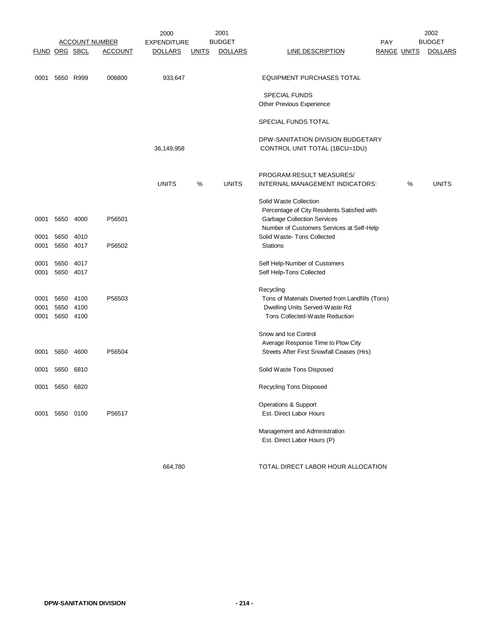|                      |           |                       | 2001<br>2000   |                    |              | 2002           |                                                  |                    |   |                |
|----------------------|-----------|-----------------------|----------------|--------------------|--------------|----------------|--------------------------------------------------|--------------------|---|----------------|
|                      |           | <b>ACCOUNT NUMBER</b> |                | <b>EXPENDITURE</b> |              | <b>BUDGET</b>  |                                                  | <b>PAY</b>         |   | <b>BUDGET</b>  |
| <b>FUND ORG SBCL</b> |           |                       | <b>ACCOUNT</b> | <b>DOLLARS</b>     | <b>UNITS</b> | <b>DOLLARS</b> | <b>LINE DESCRIPTION</b>                          | <b>RANGE UNITS</b> |   | <b>DOLLARS</b> |
|                      |           |                       |                |                    |              |                |                                                  |                    |   |                |
|                      |           |                       |                |                    |              |                |                                                  |                    |   |                |
| 0001                 | 5650 R999 |                       | 006800         | 933,647            |              |                | <b>EQUIPMENT PURCHASES TOTAL</b>                 |                    |   |                |
|                      |           |                       |                |                    |              |                |                                                  |                    |   |                |
|                      |           |                       |                |                    |              |                | <b>SPECIAL FUNDS</b>                             |                    |   |                |
|                      |           |                       |                |                    |              |                | <b>Other Previous Experience</b>                 |                    |   |                |
|                      |           |                       |                |                    |              |                |                                                  |                    |   |                |
|                      |           |                       |                |                    |              |                | SPECIAL FUNDS TOTAL                              |                    |   |                |
|                      |           |                       |                |                    |              |                |                                                  |                    |   |                |
|                      |           |                       |                |                    |              |                |                                                  |                    |   |                |
|                      |           |                       |                |                    |              |                | DPW-SANITATION DIVISION BUDGETARY                |                    |   |                |
|                      |           |                       |                | 36,149,958         |              |                | CONTROL UNIT TOTAL (1BCU=1DU)                    |                    |   |                |
|                      |           |                       |                |                    |              |                |                                                  |                    |   |                |
|                      |           |                       |                |                    |              |                |                                                  |                    |   |                |
|                      |           |                       |                |                    |              |                | PROGRAM RESULT MEASURES/                         |                    |   |                |
|                      |           |                       |                | <b>UNITS</b>       | %            | <b>UNITS</b>   | INTERNAL MANAGEMENT INDICATORS:                  |                    | % | <b>UNITS</b>   |
|                      |           |                       |                |                    |              |                |                                                  |                    |   |                |
|                      |           |                       |                |                    |              |                | Solid Waste Collection                           |                    |   |                |
|                      |           |                       |                |                    |              |                | Percentage of City Residents Satisfied with      |                    |   |                |
| 0001                 | 5650      | 4000                  | P56501         |                    |              |                | <b>Garbage Collection Services</b>               |                    |   |                |
|                      |           |                       |                |                    |              |                | Number of Customers Services at Self-Help        |                    |   |                |
| 0001                 | 5650      | 4010                  |                |                    |              |                | Solid Waste-Tons Collected                       |                    |   |                |
| 0001                 | 5650      | 4017                  | P56502         |                    |              |                | <b>Stations</b>                                  |                    |   |                |
|                      |           |                       |                |                    |              |                |                                                  |                    |   |                |
| 0001                 | 5650      | 4017                  |                |                    |              |                | Self Help-Number of Customers                    |                    |   |                |
|                      |           | 4017                  |                |                    |              |                |                                                  |                    |   |                |
| 0001                 | 5650      |                       |                |                    |              |                | Self Help-Tons Collected                         |                    |   |                |
|                      |           |                       |                |                    |              |                |                                                  |                    |   |                |
|                      |           |                       |                |                    |              |                | Recycling                                        |                    |   |                |
| 0001                 | 5650 4100 |                       | P56503         |                    |              |                | Tons of Materials Diverted from Landfills (Tons) |                    |   |                |
| 0001                 | 5650 4100 |                       |                |                    |              |                | Dwelling Units Served-Waste Rd                   |                    |   |                |
| 0001                 | 5650 4100 |                       |                |                    |              |                | Tons Collected-Waste Reduction                   |                    |   |                |
|                      |           |                       |                |                    |              |                |                                                  |                    |   |                |
|                      |           |                       |                |                    |              |                | Snow and Ice Control                             |                    |   |                |
|                      |           |                       |                |                    |              |                | Average Response Time to Plow City               |                    |   |                |
| 0001                 | 5650      | 4600                  | P56504         |                    |              |                | Streets After First Snowfall Ceases (Hrs)        |                    |   |                |
|                      |           |                       |                |                    |              |                |                                                  |                    |   |                |
| 0001                 | 5650      | 6810                  |                |                    |              |                | Solid Waste Tons Disposed                        |                    |   |                |
|                      |           |                       |                |                    |              |                |                                                  |                    |   |                |
| 0001                 | 5650 6820 |                       |                |                    |              |                | Recycling Tons Disposed                          |                    |   |                |
|                      |           |                       |                |                    |              |                |                                                  |                    |   |                |
|                      |           |                       |                |                    |              |                | Operations & Support                             |                    |   |                |
| 0001                 | 5650 0100 |                       | P56517         |                    |              |                | Est. Direct Labor Hours                          |                    |   |                |
|                      |           |                       |                |                    |              |                |                                                  |                    |   |                |
|                      |           |                       |                |                    |              |                | Management and Administration                    |                    |   |                |
|                      |           |                       |                |                    |              |                |                                                  |                    |   |                |
|                      |           |                       |                |                    |              |                | Est. Direct Labor Hours (P)                      |                    |   |                |
|                      |           |                       |                |                    |              |                |                                                  |                    |   |                |

664,780 TOTAL DIRECT LABOR HOUR ALLOCATION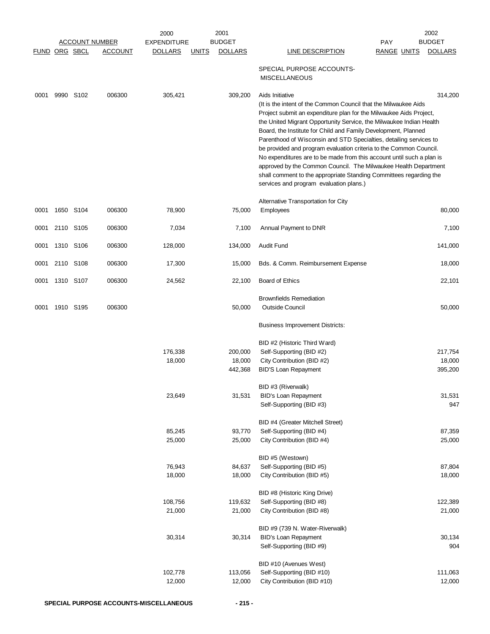|                      |           |                       | 2000               | 2001                           |                                                                                                                                                                                                                                                                                                                                                                                                                                                                                                                                                                                                                                                                                                            | 2002                                 |
|----------------------|-----------|-----------------------|--------------------|--------------------------------|------------------------------------------------------------------------------------------------------------------------------------------------------------------------------------------------------------------------------------------------------------------------------------------------------------------------------------------------------------------------------------------------------------------------------------------------------------------------------------------------------------------------------------------------------------------------------------------------------------------------------------------------------------------------------------------------------------|--------------------------------------|
|                      |           | <b>ACCOUNT NUMBER</b> | <b>EXPENDITURE</b> | <b>BUDGET</b>                  |                                                                                                                                                                                                                                                                                                                                                                                                                                                                                                                                                                                                                                                                                                            | <b>BUDGET</b><br>PAY                 |
| <b>FUND ORG SBCL</b> |           | <b>ACCOUNT</b>        | <b>DOLLARS</b>     | <b>UNITS</b><br><b>DOLLARS</b> | <b>LINE DESCRIPTION</b>                                                                                                                                                                                                                                                                                                                                                                                                                                                                                                                                                                                                                                                                                    | <b>DOLLARS</b><br><b>RANGE UNITS</b> |
|                      |           |                       |                    |                                | SPECIAL PURPOSE ACCOUNTS-<br><b>MISCELLANEOUS</b>                                                                                                                                                                                                                                                                                                                                                                                                                                                                                                                                                                                                                                                          |                                      |
| 0001                 | 9990 S102 | 006300                | 305,421            | 309,200                        | Aids Initiative<br>(It is the intent of the Common Council that the Milwaukee Aids<br>Project submit an expenditure plan for the Milwaukee Aids Project,<br>the United Migrant Opportunity Service, the Milwaukee Indian Health<br>Board, the Institute for Child and Family Development, Planned<br>Parenthood of Wisconsin and STD Specialties, detailing services to<br>be provided and program evaluation criteria to the Common Council.<br>No expenditures are to be made from this account until such a plan is<br>approved by the Common Council. The Milwaukee Health Department<br>shall comment to the appropriate Standing Committees regarding the<br>services and program evaluation plans.) | 314,200                              |
| 0001                 | 1650 S104 | 006300                | 78,900             | 75,000                         | Alternative Transportation for City<br><b>Employees</b>                                                                                                                                                                                                                                                                                                                                                                                                                                                                                                                                                                                                                                                    | 80,000                               |
| 0001                 | 2110 S105 | 006300                | 7,034              | 7,100                          | Annual Payment to DNR                                                                                                                                                                                                                                                                                                                                                                                                                                                                                                                                                                                                                                                                                      | 7,100                                |
| 0001                 | 1310 S106 | 006300                | 128,000            | 134,000                        | Audit Fund                                                                                                                                                                                                                                                                                                                                                                                                                                                                                                                                                                                                                                                                                                 | 141,000                              |
| 0001                 | 2110 S108 | 006300                | 17,300             | 15,000                         | Bds. & Comm. Reimbursement Expense                                                                                                                                                                                                                                                                                                                                                                                                                                                                                                                                                                                                                                                                         | 18,000                               |
| 0001                 | 1310 S107 | 006300                | 24,562             | 22,100                         | Board of Ethics                                                                                                                                                                                                                                                                                                                                                                                                                                                                                                                                                                                                                                                                                            | 22,101                               |
| 0001                 | 1910 S195 | 006300                |                    | 50,000                         | <b>Brownfields Remediation</b><br><b>Outside Council</b><br>Business Improvement Districts:                                                                                                                                                                                                                                                                                                                                                                                                                                                                                                                                                                                                                | 50,000                               |
|                      |           |                       |                    |                                |                                                                                                                                                                                                                                                                                                                                                                                                                                                                                                                                                                                                                                                                                                            |                                      |
|                      |           |                       |                    |                                | BID #2 (Historic Third Ward)                                                                                                                                                                                                                                                                                                                                                                                                                                                                                                                                                                                                                                                                               |                                      |
|                      |           |                       | 176,338            | 200,000                        | Self-Supporting (BID #2)                                                                                                                                                                                                                                                                                                                                                                                                                                                                                                                                                                                                                                                                                   | 217,754                              |
|                      |           |                       | 18,000             | 18,000                         | City Contribution (BID #2)                                                                                                                                                                                                                                                                                                                                                                                                                                                                                                                                                                                                                                                                                 | 18,000                               |
|                      |           |                       |                    | 442,368                        | <b>BID'S Loan Repayment</b>                                                                                                                                                                                                                                                                                                                                                                                                                                                                                                                                                                                                                                                                                | 395,200                              |
|                      |           |                       |                    |                                | BID #3 (Riverwalk)                                                                                                                                                                                                                                                                                                                                                                                                                                                                                                                                                                                                                                                                                         |                                      |
|                      |           |                       | 23,649             | 31,531                         | <b>BID's Loan Repayment</b>                                                                                                                                                                                                                                                                                                                                                                                                                                                                                                                                                                                                                                                                                | 31,531                               |
|                      |           |                       |                    |                                | Self-Supporting (BID #3)                                                                                                                                                                                                                                                                                                                                                                                                                                                                                                                                                                                                                                                                                   | 947                                  |
|                      |           |                       |                    |                                | BID #4 (Greater Mitchell Street)                                                                                                                                                                                                                                                                                                                                                                                                                                                                                                                                                                                                                                                                           |                                      |
|                      |           |                       | 85,245             | 93,770                         | Self-Supporting (BID #4)                                                                                                                                                                                                                                                                                                                                                                                                                                                                                                                                                                                                                                                                                   | 87,359                               |
|                      |           |                       | 25,000             | 25,000                         | City Contribution (BID #4)                                                                                                                                                                                                                                                                                                                                                                                                                                                                                                                                                                                                                                                                                 | 25,000                               |
|                      |           |                       |                    |                                | BID #5 (Westown)                                                                                                                                                                                                                                                                                                                                                                                                                                                                                                                                                                                                                                                                                           |                                      |
|                      |           |                       | 76,943             | 84,637                         | Self-Supporting (BID #5)                                                                                                                                                                                                                                                                                                                                                                                                                                                                                                                                                                                                                                                                                   | 87,804                               |
|                      |           |                       | 18,000             | 18,000                         | City Contribution (BID #5)                                                                                                                                                                                                                                                                                                                                                                                                                                                                                                                                                                                                                                                                                 | 18,000                               |
|                      |           |                       |                    |                                |                                                                                                                                                                                                                                                                                                                                                                                                                                                                                                                                                                                                                                                                                                            |                                      |
|                      |           |                       | 108,756            | 119,632                        | BID #8 (Historic King Drive)<br>Self-Supporting (BID #8)                                                                                                                                                                                                                                                                                                                                                                                                                                                                                                                                                                                                                                                   | 122,389                              |
|                      |           |                       | 21,000             | 21,000                         | City Contribution (BID #8)                                                                                                                                                                                                                                                                                                                                                                                                                                                                                                                                                                                                                                                                                 | 21,000                               |
|                      |           |                       |                    |                                |                                                                                                                                                                                                                                                                                                                                                                                                                                                                                                                                                                                                                                                                                                            |                                      |
|                      |           |                       |                    |                                | BID #9 (739 N. Water-Riverwalk)                                                                                                                                                                                                                                                                                                                                                                                                                                                                                                                                                                                                                                                                            |                                      |
|                      |           |                       | 30,314             | 30,314                         | BID's Loan Repayment<br>Self-Supporting (BID #9)                                                                                                                                                                                                                                                                                                                                                                                                                                                                                                                                                                                                                                                           | 30,134<br>904                        |
|                      |           |                       |                    |                                |                                                                                                                                                                                                                                                                                                                                                                                                                                                                                                                                                                                                                                                                                                            |                                      |
|                      |           |                       | 102,778            | 113,056                        | BID #10 (Avenues West)<br>Self-Supporting (BID #10)                                                                                                                                                                                                                                                                                                                                                                                                                                                                                                                                                                                                                                                        | 111,063                              |
|                      |           |                       | 12,000             | 12,000                         | City Contribution (BID #10)                                                                                                                                                                                                                                                                                                                                                                                                                                                                                                                                                                                                                                                                                | 12,000                               |
|                      |           |                       |                    |                                |                                                                                                                                                                                                                                                                                                                                                                                                                                                                                                                                                                                                                                                                                                            |                                      |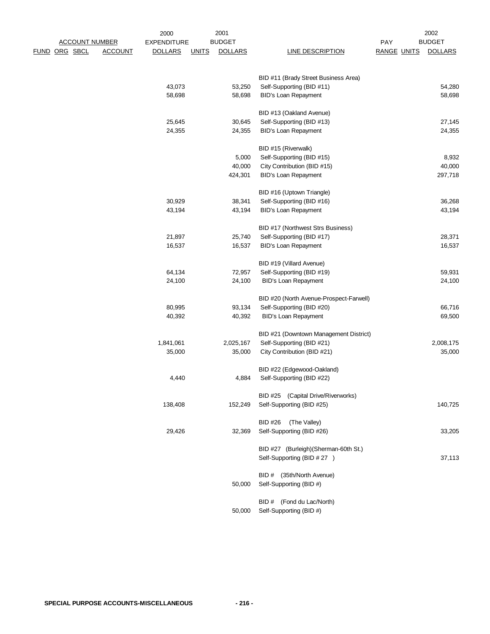|                      | <b>ACCOUNT NUMBER</b> | 2000<br><b>EXPENDITURE</b> |              | 2001<br><b>BUDGET</b> |                                         | PAY                | 2002<br><b>BUDGET</b> |
|----------------------|-----------------------|----------------------------|--------------|-----------------------|-----------------------------------------|--------------------|-----------------------|
| <u>FUND ORG SBCL</u> | <b>ACCOUNT</b>        | <b>DOLLARS</b>             | <b>UNITS</b> | <b>DOLLARS</b>        | <b>LINE DESCRIPTION</b>                 | <b>RANGE UNITS</b> | <b>DOLLARS</b>        |
|                      |                       |                            |              |                       | BID #11 (Brady Street Business Area)    |                    |                       |
|                      |                       | 43,073                     |              | 53,250                | Self-Supporting (BID #11)               |                    | 54,280                |
|                      |                       | 58,698                     |              | 58,698                | <b>BID's Loan Repayment</b>             |                    | 58,698                |
|                      |                       |                            |              |                       | BID #13 (Oakland Avenue)                |                    |                       |
|                      |                       | 25,645                     |              | 30,645                | Self-Supporting (BID #13)               |                    | 27,145                |
|                      |                       | 24,355                     |              | 24,355                | <b>BID's Loan Repayment</b>             |                    | 24,355                |
|                      |                       |                            |              |                       | BID #15 (Riverwalk)                     |                    |                       |
|                      |                       |                            |              | 5,000                 | Self-Supporting (BID #15)               |                    | 8,932                 |
|                      |                       |                            |              | 40,000                | City Contribution (BID #15)             |                    | 40,000                |
|                      |                       |                            |              | 424,301               | <b>BID's Loan Repayment</b>             |                    | 297,718               |
|                      |                       |                            |              |                       | BID #16 (Uptown Triangle)               |                    |                       |
|                      |                       | 30,929                     |              | 38,341                | Self-Supporting (BID #16)               |                    | 36,268                |
|                      |                       | 43,194                     |              | 43,194                | <b>BID's Loan Repayment</b>             |                    | 43,194                |
|                      |                       |                            |              |                       | BID #17 (Northwest Strs Business)       |                    |                       |
|                      |                       | 21,897                     |              | 25,740                | Self-Supporting (BID #17)               |                    | 28,371                |
|                      |                       | 16,537                     |              | 16,537                | <b>BID's Loan Repayment</b>             |                    | 16,537                |
|                      |                       |                            |              |                       | BID #19 (Villard Avenue)                |                    |                       |
|                      |                       | 64,134                     |              | 72,957                | Self-Supporting (BID #19)               |                    | 59,931                |
|                      |                       | 24,100                     |              | 24,100                | <b>BID's Loan Repayment</b>             |                    | 24,100                |
|                      |                       |                            |              |                       | BID #20 (North Avenue-Prospect-Farwell) |                    |                       |
|                      |                       | 80,995                     |              | 93,134                | Self-Supporting (BID #20)               |                    | 66,716                |
|                      |                       | 40,392                     |              | 40,392                | <b>BID's Loan Repayment</b>             |                    | 69,500                |
|                      |                       |                            |              |                       | BID #21 (Downtown Management District)  |                    |                       |
|                      |                       | 1,841,061                  |              | 2,025,167             | Self-Supporting (BID #21)               |                    | 2,008,175             |
|                      |                       | 35,000                     |              | 35,000                | City Contribution (BID #21)             |                    | 35,000                |
|                      |                       |                            |              |                       | BID #22 (Edgewood-Oakland)              |                    |                       |
|                      |                       | 4,440                      |              | 4,884                 | Self-Supporting (BID #22)               |                    |                       |
|                      |                       |                            |              |                       | BID #25 (Capital Drive/Riverworks)      |                    |                       |
|                      |                       | 138,408                    |              | 152,249               | Self-Supporting (BID #25)               |                    | 140,725               |
|                      |                       |                            |              |                       | <b>BID #26</b><br>(The Valley)          |                    |                       |
|                      |                       | 29,426                     |              | 32,369                | Self-Supporting (BID #26)               |                    | 33,205                |
|                      |                       |                            |              |                       | BID #27 (Burleigh) (Sherman-60th St.)   |                    |                       |
|                      |                       |                            |              |                       | Self-Supporting (BID #27)               |                    | 37,113                |
|                      |                       |                            |              |                       | BID # (35th/North Avenue)               |                    |                       |
|                      |                       |                            |              | 50,000                | Self-Supporting (BID #)                 |                    |                       |
|                      |                       |                            |              |                       | BID # (Fond du Lac/North)               |                    |                       |
|                      |                       |                            |              | 50,000                | Self-Supporting (BID #)                 |                    |                       |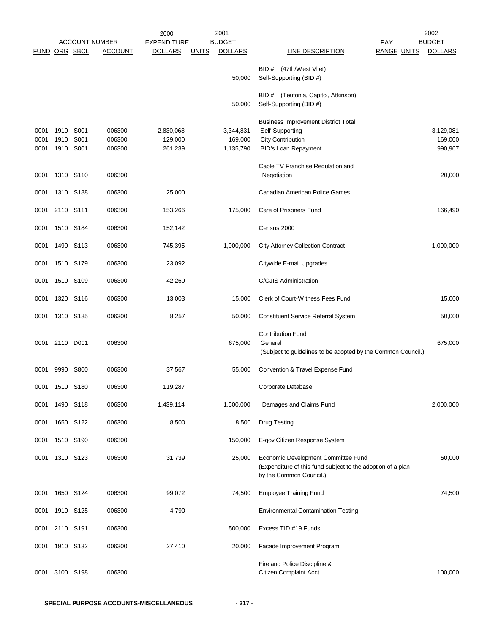|                      |                           |                  |                            | 2000                            |              | 2001                              |                                                                                                                               | 2002                            |
|----------------------|---------------------------|------------------|----------------------------|---------------------------------|--------------|-----------------------------------|-------------------------------------------------------------------------------------------------------------------------------|---------------------------------|
|                      |                           |                  | <b>ACCOUNT NUMBER</b>      | <b>EXPENDITURE</b>              |              | <b>BUDGET</b>                     | <b>PAY</b>                                                                                                                    | <b>BUDGET</b>                   |
| FUND ORG SBCL        |                           |                  | <b>ACCOUNT</b>             | <b>DOLLARS</b>                  | <b>UNITS</b> | <b>DOLLARS</b>                    | <b>LINE DESCRIPTION</b><br><b>RANGE UNITS</b>                                                                                 | <b>DOLLARS</b>                  |
|                      |                           |                  |                            |                                 |              | 50,000                            | BID # (47th/West Vliet)<br>Self-Supporting (BID #)                                                                            |                                 |
|                      |                           |                  |                            |                                 |              | 50,000                            | BID # (Teutonia, Capitol, Atkinson)<br>Self-Supporting (BID #)                                                                |                                 |
| 0001<br>0001<br>0001 | 1910<br>1910<br>1910 S001 | S001<br>S001     | 006300<br>006300<br>006300 | 2,830,068<br>129,000<br>261,239 |              | 3,344,831<br>169,000<br>1,135,790 | <b>Business Improvement District Total</b><br>Self-Supporting<br><b>City Contribution</b><br><b>BID's Loan Repayment</b>      | 3,129,081<br>169,000<br>990,967 |
| 0001                 |                           | 1310 S110        | 006300                     |                                 |              |                                   | Cable TV Franchise Regulation and<br>Negotiation                                                                              | 20,000                          |
| 0001                 |                           | 1310 S188        | 006300                     | 25,000                          |              |                                   | Canadian American Police Games                                                                                                |                                 |
| 0001                 | 2110 S111                 |                  | 006300                     | 153,266                         |              | 175,000                           | Care of Prisoners Fund                                                                                                        | 166,490                         |
| 0001                 |                           | 1510 S184        | 006300                     | 152,142                         |              |                                   | Census 2000                                                                                                                   |                                 |
| 0001                 |                           | 1490 S113        | 006300                     | 745,395                         |              | 1,000,000                         | <b>City Attorney Collection Contract</b>                                                                                      | 1,000,000                       |
| 0001                 |                           | 1510 S179        | 006300                     | 23,092                          |              |                                   | Citywide E-mail Upgrades                                                                                                      |                                 |
| 0001                 |                           | 1510 S109        | 006300                     | 42,260                          |              |                                   | C/CJIS Administration                                                                                                         |                                 |
| 0001                 | 1320                      | S116             | 006300                     | 13,003                          |              | 15,000                            | Clerk of Court-Witness Fees Fund                                                                                              | 15,000                          |
| 0001                 |                           | 1310 S185        | 006300                     | 8,257                           |              | 50,000                            | <b>Constituent Service Referral System</b>                                                                                    | 50,000                          |
| 0001                 | 2110 D001                 |                  | 006300                     |                                 |              | 675,000                           | <b>Contribution Fund</b><br>General<br>(Subject to guidelines to be adopted by the Common Council.)                           | 675,000                         |
| 0001                 |                           | 9990 S800        | 006300                     | 37,567                          |              | 55,000                            | Convention & Travel Expense Fund                                                                                              |                                 |
| 0001                 | 1510 S180                 |                  | 006300                     | 119,287                         |              |                                   | Corporate Database                                                                                                            |                                 |
| 0001                 |                           | 1490 S118        | 006300                     | 1,439,114                       |              | 1,500,000                         | Damages and Claims Fund                                                                                                       | 2,000,000                       |
| 0001                 |                           | 1650 S122        | 006300                     | 8,500                           |              | 8,500                             | <b>Drug Testing</b>                                                                                                           |                                 |
| 0001                 |                           | 1510 S190        | 006300                     |                                 |              | 150,000                           | E-gov Citizen Response System                                                                                                 |                                 |
| 0001                 |                           | 1310 S123        | 006300                     | 31,739                          |              | 25,000                            | Economic Development Committee Fund<br>(Expenditure of this fund subject to the adoption of a plan<br>by the Common Council.) | 50,000                          |
| 0001                 |                           | 1650 S124        | 006300                     | 99,072                          |              | 74,500                            | <b>Employee Training Fund</b>                                                                                                 | 74,500                          |
| 0001                 |                           | 1910 S125        | 006300                     | 4,790                           |              |                                   | <b>Environmental Contamination Testing</b>                                                                                    |                                 |
| 0001                 | 2110 S191                 |                  | 006300                     |                                 |              | 500,000                           | Excess TID #19 Funds                                                                                                          |                                 |
| 0001                 |                           | 1910 S132        | 006300                     | 27,410                          |              | 20,000                            | Facade Improvement Program                                                                                                    |                                 |
| 0001                 | 3100                      | S <sub>198</sub> | 006300                     |                                 |              |                                   | Fire and Police Discipline &<br>Citizen Complaint Acct.                                                                       | 100,000                         |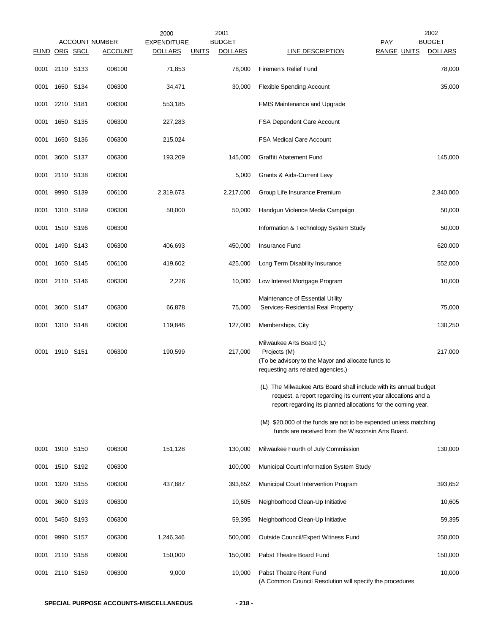|                      |           |           | <b>ACCOUNT NUMBER</b> | 2000<br><b>EXPENDITURE</b> |              | 2001<br><b>BUDGET</b> |                                                                                                                                                                                                      | PAY                | 2002<br><b>BUDGET</b> |
|----------------------|-----------|-----------|-----------------------|----------------------------|--------------|-----------------------|------------------------------------------------------------------------------------------------------------------------------------------------------------------------------------------------------|--------------------|-----------------------|
| <b>FUND ORG SBCL</b> |           |           | <b>ACCOUNT</b>        | <b>DOLLARS</b>             | <u>UNITS</u> | <b>DOLLARS</b>        | <b>LINE DESCRIPTION</b>                                                                                                                                                                              | <b>RANGE UNITS</b> | <b>DOLLARS</b>        |
| 0001                 | 2110 S133 |           | 006100                | 71,853                     |              | 78,000                | Firemen's Relief Fund                                                                                                                                                                                |                    | 78,000                |
| 0001                 | 1650 S134 |           | 006300                | 34,471                     |              | 30,000                | <b>Flexible Spending Account</b>                                                                                                                                                                     |                    | 35,000                |
| 0001                 | 2210 S181 |           | 006300                | 553,185                    |              |                       | FMIS Maintenance and Upgrade                                                                                                                                                                         |                    |                       |
| 0001                 | 1650 S135 |           | 006300                | 227,283                    |              |                       | FSA Dependent Care Account                                                                                                                                                                           |                    |                       |
| 0001                 | 1650 S136 |           | 006300                | 215,024                    |              |                       | <b>FSA Medical Care Account</b>                                                                                                                                                                      |                    |                       |
| 0001                 | 3600 S137 |           | 006300                | 193,209                    |              | 145,000               | Graffiti Abatement Fund                                                                                                                                                                              |                    | 145,000               |
| 0001                 | 2110 S138 |           | 006300                |                            |              | 5,000                 | Grants & Aids-Current Levy                                                                                                                                                                           |                    |                       |
| 0001                 | 9990 S139 |           | 006100                | 2,319,673                  |              | 2,217,000             | Group Life Insurance Premium                                                                                                                                                                         |                    | 2,340,000             |
| 0001                 | 1310 S189 |           | 006300                | 50,000                     |              | 50,000                | Handgun Violence Media Campaign                                                                                                                                                                      |                    | 50,000                |
| 0001                 | 1510 S196 |           | 006300                |                            |              |                       | Information & Technology System Study                                                                                                                                                                |                    | 50,000                |
| 0001                 | 1490 S143 |           | 006300                | 406,693                    |              | 450,000               | Insurance Fund                                                                                                                                                                                       |                    | 620,000               |
| 0001                 | 1650 S145 |           | 006100                | 419,602                    |              | 425,000               | Long Term Disability Insurance                                                                                                                                                                       |                    | 552,000               |
| 0001                 | 2110 S146 |           | 006300                | 2,226                      |              | 10,000                | Low Interest Mortgage Program                                                                                                                                                                        |                    | 10,000                |
| 0001                 | 3600 S147 |           | 006300                | 66,878                     |              | 75,000                | Maintenance of Essential Utility<br>Services-Residential Real Property                                                                                                                               |                    | 75,000                |
| 0001                 | 1310 S148 |           | 006300                | 119,846                    |              | 127,000               | Memberships, City                                                                                                                                                                                    |                    | 130,250               |
| 0001                 | 1910 S151 |           | 006300                | 190,599                    |              | 217,000               | Milwaukee Arts Board (L)<br>Projects (M)<br>(To be advisory to the Mayor and allocate funds to<br>requesting arts related agencies.)                                                                 |                    | 217,000               |
|                      |           |           |                       |                            |              |                       | (L) The Milwaukee Arts Board shall include with its annual budget<br>request, a report regarding its current year allocations and a<br>report regarding its planned allocations for the coming year. |                    |                       |
|                      |           |           |                       |                            |              |                       | (M) \$20,000 of the funds are not to be expended unless matching<br>funds are received from the Wisconsin Arts Board.                                                                                |                    |                       |
| 0001                 | 1910 S150 |           | 006300                | 151,128                    |              | 130,000               | Milwaukee Fourth of July Commission                                                                                                                                                                  |                    | 130,000               |
| 0001                 | 1510 S192 |           | 006300                |                            |              | 100,000               | Municipal Court Information System Study                                                                                                                                                             |                    |                       |
| 0001                 | 1320 S155 |           | 006300                | 437,887                    |              | 393,652               | Municipal Court Intervention Program                                                                                                                                                                 |                    | 393,652               |
| 0001                 |           | 3600 S193 | 006300                |                            |              | 10,605                | Neighborhood Clean-Up Initiative                                                                                                                                                                     |                    | 10,605                |
| 0001                 | 5450 S193 |           | 006300                |                            |              | 59,395                | Neighborhood Clean-Up Initiative                                                                                                                                                                     |                    | 59,395                |
| 0001                 | 9990 S157 |           | 006300                | 1,246,346                  |              | 500,000               | Outside Council/Expert Witness Fund                                                                                                                                                                  |                    | 250,000               |
| 0001                 | 2110 S158 |           | 006900                | 150,000                    |              | 150,000               | Pabst Theatre Board Fund                                                                                                                                                                             |                    | 150,000               |
| 0001                 | 2110 S159 |           | 006300                | 9,000                      |              | 10,000                | Pabst Theatre Rent Fund<br>(A Common Council Resolution will specify the procedures                                                                                                                  |                    | 10,000                |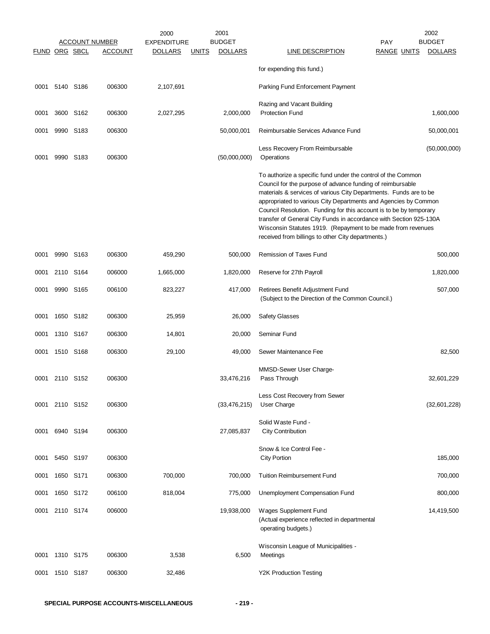|                      |           |           |                       | 2000               |              | 2001           |                                                                                                                                                                                                                                                                                                                                                                                                                                                                                                                                      |                    | 2002           |
|----------------------|-----------|-----------|-----------------------|--------------------|--------------|----------------|--------------------------------------------------------------------------------------------------------------------------------------------------------------------------------------------------------------------------------------------------------------------------------------------------------------------------------------------------------------------------------------------------------------------------------------------------------------------------------------------------------------------------------------|--------------------|----------------|
|                      |           |           | <b>ACCOUNT NUMBER</b> | <b>EXPENDITURE</b> |              | <b>BUDGET</b>  |                                                                                                                                                                                                                                                                                                                                                                                                                                                                                                                                      | <b>PAY</b>         | <b>BUDGET</b>  |
| <b>FUND ORG SBCL</b> |           |           | <b>ACCOUNT</b>        | <b>DOLLARS</b>     | <b>UNITS</b> | <b>DOLLARS</b> | <b>LINE DESCRIPTION</b>                                                                                                                                                                                                                                                                                                                                                                                                                                                                                                              | <b>RANGE UNITS</b> | <b>DOLLARS</b> |
|                      |           |           |                       |                    |              |                | for expending this fund.)                                                                                                                                                                                                                                                                                                                                                                                                                                                                                                            |                    |                |
| 0001                 |           | 5140 S186 | 006300                | 2,107,691          |              |                | Parking Fund Enforcement Payment                                                                                                                                                                                                                                                                                                                                                                                                                                                                                                     |                    |                |
|                      |           |           |                       |                    |              |                | Razing and Vacant Building                                                                                                                                                                                                                                                                                                                                                                                                                                                                                                           |                    |                |
| 0001                 |           | 3600 S162 | 006300                | 2,027,295          |              | 2,000,000      | <b>Protection Fund</b>                                                                                                                                                                                                                                                                                                                                                                                                                                                                                                               |                    | 1,600,000      |
| 0001                 |           | 9990 S183 | 006300                |                    |              | 50,000,001     | Reimbursable Services Advance Fund                                                                                                                                                                                                                                                                                                                                                                                                                                                                                                   |                    | 50,000,001     |
| 0001                 |           | 9990 S183 | 006300                |                    |              | (50,000,000)   | Less Recovery From Reimbursable<br>Operations                                                                                                                                                                                                                                                                                                                                                                                                                                                                                        |                    | (50,000,000)   |
|                      |           |           |                       |                    |              |                | To authorize a specific fund under the control of the Common<br>Council for the purpose of advance funding of reimbursable<br>materials & services of various City Departments. Funds are to be<br>appropriated to various City Departments and Agencies by Common<br>Council Resolution. Funding for this account is to be by temporary<br>transfer of General City Funds in accordance with Section 925-130A<br>Wisconsin Statutes 1919. (Repayment to be made from revenues<br>received from billings to other City departments.) |                    |                |
| 0001                 |           | 9990 S163 | 006300                | 459,290            |              | 500,000        | Remission of Taxes Fund                                                                                                                                                                                                                                                                                                                                                                                                                                                                                                              |                    | 500,000        |
| 0001                 |           | 2110 S164 | 006000                | 1,665,000          |              | 1,820,000      | Reserve for 27th Payroll                                                                                                                                                                                                                                                                                                                                                                                                                                                                                                             |                    | 1,820,000      |
| 0001                 |           | 9990 S165 | 006100                | 823,227            |              | 417,000        | Retirees Benefit Adjustment Fund<br>(Subject to the Direction of the Common Council.)                                                                                                                                                                                                                                                                                                                                                                                                                                                |                    | 507,000        |
| 0001                 |           | 1650 S182 | 006300                | 25,959             |              | 26,000         | <b>Safety Glasses</b>                                                                                                                                                                                                                                                                                                                                                                                                                                                                                                                |                    |                |
| 0001                 |           | 1310 S167 | 006300                | 14,801             |              | 20,000         | Seminar Fund                                                                                                                                                                                                                                                                                                                                                                                                                                                                                                                         |                    |                |
| 0001                 |           | 1510 S168 | 006300                | 29,100             |              | 49,000         | Sewer Maintenance Fee                                                                                                                                                                                                                                                                                                                                                                                                                                                                                                                |                    | 82,500         |
| 0001                 |           | 2110 S152 | 006300                |                    |              | 33,476,216     | MMSD-Sewer User Charge-<br>Pass Through                                                                                                                                                                                                                                                                                                                                                                                                                                                                                              |                    | 32,601,229     |
| 0001                 | 2110 S152 |           | 006300                |                    |              | (33, 476, 215) | Less Cost Recovery from Sewer<br>User Charge                                                                                                                                                                                                                                                                                                                                                                                                                                                                                         |                    | (32,601,228)   |
| 0001                 | 6940 S194 |           | 006300                |                    |              | 27,085,837     | Solid Waste Fund -<br><b>City Contribution</b>                                                                                                                                                                                                                                                                                                                                                                                                                                                                                       |                    |                |
| 0001                 |           | 5450 S197 | 006300                |                    |              |                | Snow & Ice Control Fee -<br><b>City Portion</b>                                                                                                                                                                                                                                                                                                                                                                                                                                                                                      |                    | 185,000        |
| 0001                 | 1650 S171 |           | 006300                | 700,000            |              | 700,000        | <b>Tuition Reimbursement Fund</b>                                                                                                                                                                                                                                                                                                                                                                                                                                                                                                    |                    | 700,000        |
| 0001                 |           | 1650 S172 | 006100                | 818,004            |              | 775,000        | Unemployment Compensation Fund                                                                                                                                                                                                                                                                                                                                                                                                                                                                                                       |                    | 800,000        |
| 0001                 |           | 2110 S174 | 006000                |                    |              | 19,938,000     | Wages Supplement Fund<br>(Actual experience reflected in departmental<br>operating budgets.)                                                                                                                                                                                                                                                                                                                                                                                                                                         |                    | 14,419,500     |
| 0001                 |           | 1310 S175 | 006300                | 3,538              |              | 6,500          | Wisconsin League of Municipalities -<br>Meetings                                                                                                                                                                                                                                                                                                                                                                                                                                                                                     |                    |                |
| 0001                 |           | 1510 S187 | 006300                | 32,486             |              |                | <b>Y2K Production Testing</b>                                                                                                                                                                                                                                                                                                                                                                                                                                                                                                        |                    |                |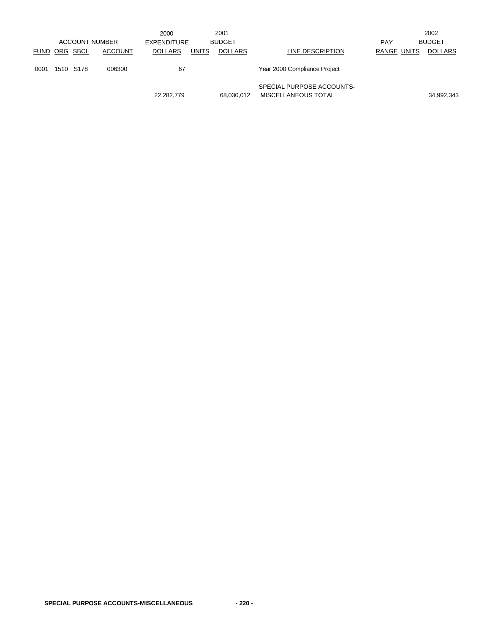|               |           |                       | 2000               |              | 2001           |                                                  |             | 2002           |
|---------------|-----------|-----------------------|--------------------|--------------|----------------|--------------------------------------------------|-------------|----------------|
|               |           | <b>ACCOUNT NUMBER</b> | <b>EXPENDITURE</b> |              | <b>BUDGET</b>  |                                                  | <b>PAY</b>  | <b>BUDGET</b>  |
| FUND ORG SBCL |           | <b>ACCOUNT</b>        | <b>DOLLARS</b>     | <b>UNITS</b> | <b>DOLLARS</b> | LINE DESCRIPTION                                 | RANGE UNITS | <b>DOLLARS</b> |
| 0001          | 1510 S178 | 006300                | 67                 |              |                | Year 2000 Compliance Project                     |             |                |
|               |           |                       | 22,282,779         |              | 68,030,012     | SPECIAL PURPOSE ACCOUNTS-<br>MISCELLANEOUS TOTAL |             | 34,992,343     |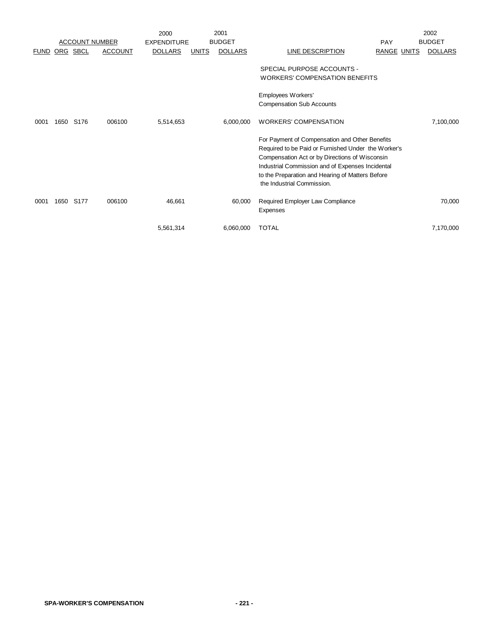|             |      |                       |                | 2000               |              | 2001           |                                                                     |                    | 2002           |
|-------------|------|-----------------------|----------------|--------------------|--------------|----------------|---------------------------------------------------------------------|--------------------|----------------|
|             |      | <b>ACCOUNT NUMBER</b> |                | <b>EXPENDITURE</b> |              | <b>BUDGET</b>  |                                                                     | <b>PAY</b>         | <b>BUDGET</b>  |
| <b>FUND</b> |      | ORG SBCL              | <b>ACCOUNT</b> | <b>DOLLARS</b>     | <b>UNITS</b> | <b>DOLLARS</b> | <b>LINE DESCRIPTION</b>                                             | <b>RANGE UNITS</b> | <b>DOLLARS</b> |
|             |      |                       |                |                    |              |                | SPECIAL PURPOSE ACCOUNTS -<br><b>WORKERS' COMPENSATION BENEFITS</b> |                    |                |
|             |      |                       |                |                    |              |                | Employees Workers'<br><b>Compensation Sub Accounts</b>              |                    |                |
|             |      |                       |                |                    |              |                |                                                                     |                    |                |
| 0001        | 1650 | S176                  | 006100         | 5,514,653          |              | 6,000,000      | <b>WORKERS' COMPENSATION</b>                                        |                    | 7,100,000      |
|             |      |                       |                |                    |              |                | For Payment of Compensation and Other Benefits                      |                    |                |
|             |      |                       |                |                    |              |                | Required to be Paid or Furnished Under the Worker's                 |                    |                |
|             |      |                       |                |                    |              |                | Compensation Act or by Directions of Wisconsin                      |                    |                |
|             |      |                       |                |                    |              |                | Industrial Commission and of Expenses Incidental                    |                    |                |
|             |      |                       |                |                    |              |                | to the Preparation and Hearing of Matters Before                    |                    |                |
|             |      |                       |                |                    |              |                | the Industrial Commission.                                          |                    |                |
| 0001        | 1650 | S177                  | 006100         | 46,661             |              | 60,000         | Required Employer Law Compliance                                    |                    | 70,000         |
|             |      |                       |                |                    |              |                | Expenses                                                            |                    |                |
|             |      |                       |                | 5,561,314          |              | 6,060,000      | <b>TOTAL</b>                                                        |                    | 7,170,000      |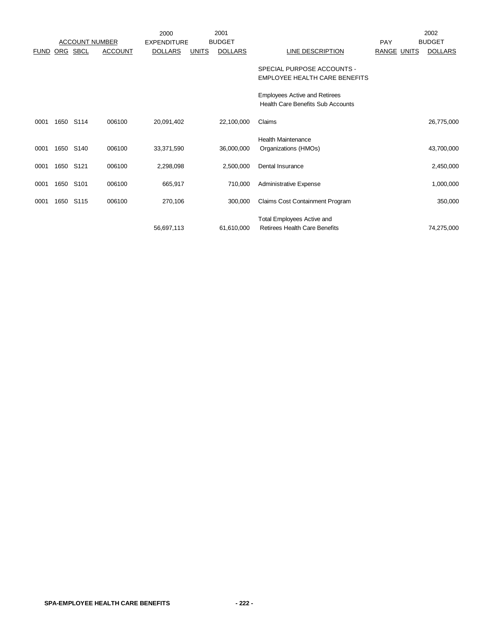|             |      | <b>ACCOUNT NUMBER</b> |                | 2000<br><b>EXPENDITURE</b> |              | 2001<br><b>BUDGET</b> |                                                                                  | PAY                | 2002<br><b>BUDGET</b> |
|-------------|------|-----------------------|----------------|----------------------------|--------------|-----------------------|----------------------------------------------------------------------------------|--------------------|-----------------------|
| <b>FUND</b> | ORG  | <b>SBCL</b>           | <b>ACCOUNT</b> | <b>DOLLARS</b>             | <b>UNITS</b> | <b>DOLLARS</b>        | <u>LINE DESCRIPTION</u>                                                          | <b>RANGE UNITS</b> | <b>DOLLARS</b>        |
|             |      |                       |                |                            |              |                       | SPECIAL PURPOSE ACCOUNTS -<br>EMPLOYEE HEALTH CARE BENEFITS                      |                    |                       |
|             |      |                       |                |                            |              |                       | <b>Employees Active and Retirees</b><br><b>Health Care Benefits Sub Accounts</b> |                    |                       |
| 0001        | 1650 | S114                  | 006100         | 20,091,402                 |              | 22,100,000            | Claims                                                                           |                    | 26,775,000            |
| 0001        | 1650 | S140                  | 006100         | 33,371,590                 |              | 36,000,000            | <b>Health Maintenance</b><br>Organizations (HMOs)                                |                    | 43,700,000            |
| 0001        | 1650 | S121                  | 006100         | 2,298,098                  |              | 2,500,000             | Dental Insurance                                                                 |                    | 2,450,000             |
| 0001        | 1650 | S <sub>101</sub>      | 006100         | 665,917                    |              | 710,000               | Administrative Expense                                                           |                    | 1,000,000             |
| 0001        | 1650 | S115                  | 006100         | 270,106                    |              | 300,000               | Claims Cost Containment Program                                                  |                    | 350,000               |
|             |      |                       |                | 56,697,113                 |              | 61,610,000            | <b>Total Employees Active and</b><br><b>Retirees Health Care Benefits</b>        |                    | 74,275,000            |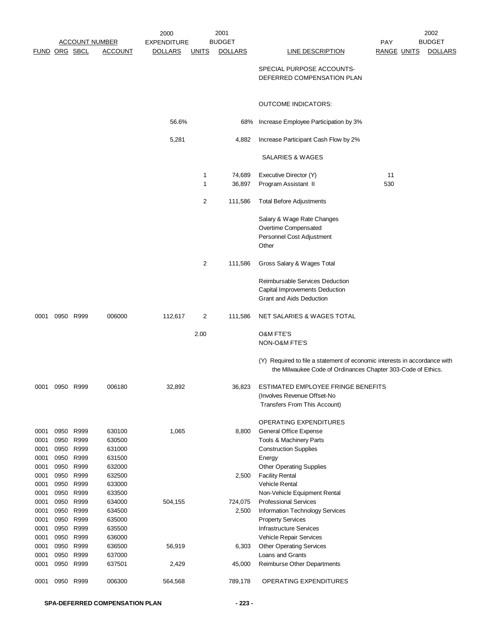|               |              |              |                       | 2000               |              | 2001           |                                                                           |                    | 2002           |
|---------------|--------------|--------------|-----------------------|--------------------|--------------|----------------|---------------------------------------------------------------------------|--------------------|----------------|
|               |              |              | <b>ACCOUNT NUMBER</b> | <b>EXPENDITURE</b> |              | <b>BUDGET</b>  |                                                                           | <b>PAY</b>         | <b>BUDGET</b>  |
| FUND ORG SBCL |              |              | <b>ACCOUNT</b>        | <b>DOLLARS</b>     | <u>UNITS</u> | <b>DOLLARS</b> | <b>LINE DESCRIPTION</b>                                                   | <b>RANGE UNITS</b> | <b>DOLLARS</b> |
|               |              |              |                       |                    |              |                | SPECIAL PURPOSE ACCOUNTS-                                                 |                    |                |
|               |              |              |                       |                    |              |                | DEFERRED COMPENSATION PLAN                                                |                    |                |
|               |              |              |                       |                    |              |                |                                                                           |                    |                |
|               |              |              |                       |                    |              |                | <b>OUTCOME INDICATORS:</b>                                                |                    |                |
|               |              |              |                       | 56.6%              |              | 68%            | Increase Employee Participation by 3%                                     |                    |                |
|               |              |              |                       | 5,281              |              | 4,882          | Increase Participant Cash Flow by 2%                                      |                    |                |
|               |              |              |                       |                    |              |                | SALARIES & WAGES                                                          |                    |                |
|               |              |              |                       |                    | 1            | 74,689         | Executive Director (Y)                                                    | 11                 |                |
|               |              |              |                       |                    | 1            | 36,897         | Program Assistant II                                                      | 530                |                |
|               |              |              |                       |                    |              |                |                                                                           |                    |                |
|               |              |              |                       |                    | 2            | 111,586        | <b>Total Before Adjustments</b>                                           |                    |                |
|               |              |              |                       |                    |              |                | Salary & Wage Rate Changes                                                |                    |                |
|               |              |              |                       |                    |              |                | Overtime Compensated                                                      |                    |                |
|               |              |              |                       |                    |              |                | Personnel Cost Adjustment<br>Other                                        |                    |                |
|               |              |              |                       |                    |              |                |                                                                           |                    |                |
|               |              |              |                       |                    | 2            | 111,586        | Gross Salary & Wages Total                                                |                    |                |
|               |              |              |                       |                    |              |                | Reimbursable Services Deduction                                           |                    |                |
|               |              |              |                       |                    |              |                | Capital Improvements Deduction                                            |                    |                |
|               |              |              |                       |                    |              |                | Grant and Aids Deduction                                                  |                    |                |
| 0001          |              | 0950 R999    | 006000                | 112,617            | 2            | 111,586        | NET SALARIES & WAGES TOTAL                                                |                    |                |
|               |              |              |                       |                    | 2.00         |                | <b>O&amp;M FTE'S</b>                                                      |                    |                |
|               |              |              |                       |                    |              |                | NON-O&M FTE'S                                                             |                    |                |
|               |              |              |                       |                    |              |                | (Y) Required to file a statement of economic interests in accordance with |                    |                |
|               |              |              |                       |                    |              |                | the Milwaukee Code of Ordinances Chapter 303-Code of Ethics.              |                    |                |
| 0001          |              | 0950 R999    | 006180                | 32,892             |              | 36,823         | ESTIMATED EMPLOYEE FRINGE BENEFITS                                        |                    |                |
|               |              |              |                       |                    |              |                | (Involves Revenue Offset-No                                               |                    |                |
|               |              |              |                       |                    |              |                | Transfers From This Account)                                              |                    |                |
|               |              |              |                       |                    |              |                | OPERATING EXPENDITURES                                                    |                    |                |
| 0001          | 0950         | R999         | 630100                | 1,065              |              | 8,800          | <b>General Office Expense</b>                                             |                    |                |
| 0001          | 0950         | R999         | 630500                |                    |              |                | Tools & Machinery Parts                                                   |                    |                |
| 0001<br>0001  | 0950<br>0950 | R999<br>R999 | 631000<br>631500      |                    |              |                | <b>Construction Supplies</b><br>Energy                                    |                    |                |
| 0001          | 0950         | R999         | 632000                |                    |              |                | <b>Other Operating Supplies</b>                                           |                    |                |
| 0001          | 0950         | R999         | 632500                |                    |              | 2,500          | <b>Facility Rental</b>                                                    |                    |                |
| 0001          | 0950         | R999         | 633000                |                    |              |                | Vehicle Rental                                                            |                    |                |
| 0001          | 0950         | R999         | 633500                |                    |              |                | Non-Vehicle Equipment Rental                                              |                    |                |
| 0001          | 0950         | R999         | 634000                | 504,155            |              | 724,075        | <b>Professional Services</b>                                              |                    |                |
| 0001          |              | 0950 R999    | 634500                |                    |              | 2,500          | Information Technology Services                                           |                    |                |
| 0001          | 0950         | R999         | 635000                |                    |              |                | <b>Property Services</b>                                                  |                    |                |
| 0001          | 0950         | R999         | 635500                |                    |              |                | Infrastructure Services                                                   |                    |                |
| 0001<br>0001  | 0950<br>0950 | R999<br>R999 | 636000<br>636500      | 56,919             |              | 6,303          | Vehicle Repair Services<br><b>Other Operating Services</b>                |                    |                |
| 0001          | 0950         | R999         | 637000                |                    |              |                | Loans and Grants                                                          |                    |                |
| 0001          |              | 0950 R999    | 637501                | 2,429              |              | 45,000         | Reimburse Other Departments                                               |                    |                |
| 0001          | 0950         | R999         | 006300                | 564,568            |              | 789,178        | OPERATING EXPENDITURES                                                    |                    |                |
|               |              |              |                       |                    |              |                |                                                                           |                    |                |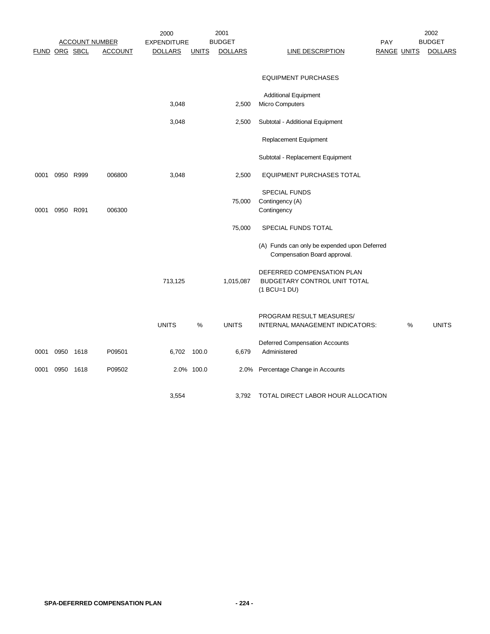|      | <b>ACCOUNT NUMBER</b> |      |                | 2001<br>2000       |              |                |                                                                              |            |                    | 2002           |
|------|-----------------------|------|----------------|--------------------|--------------|----------------|------------------------------------------------------------------------------|------------|--------------------|----------------|
|      |                       |      |                | <b>EXPENDITURE</b> |              | <b>BUDGET</b>  |                                                                              | <b>PAY</b> |                    | <b>BUDGET</b>  |
|      | FUND ORG SBCL         |      | <b>ACCOUNT</b> | <b>DOLLARS</b>     | <b>UNITS</b> | <b>DOLLARS</b> | <b>LINE DESCRIPTION</b>                                                      |            | <u>RANGE UNITS</u> | <b>DOLLARS</b> |
|      |                       |      |                |                    |              |                | <b>EQUIPMENT PURCHASES</b>                                                   |            |                    |                |
|      |                       |      |                |                    |              |                |                                                                              |            |                    |                |
|      |                       |      |                |                    |              |                | <b>Additional Equipment</b>                                                  |            |                    |                |
|      |                       |      |                | 3,048              |              | 2,500          | Micro Computers                                                              |            |                    |                |
|      |                       |      |                | 3,048              |              | 2,500          | Subtotal - Additional Equipment                                              |            |                    |                |
|      |                       |      |                |                    |              |                | Replacement Equipment                                                        |            |                    |                |
|      |                       |      |                |                    |              |                | Subtotal - Replacement Equipment                                             |            |                    |                |
| 0001 | 0950 R999             |      | 006800         | 3,048              |              | 2,500          | EQUIPMENT PURCHASES TOTAL                                                    |            |                    |                |
|      |                       |      |                |                    |              |                | <b>SPECIAL FUNDS</b>                                                         |            |                    |                |
|      |                       |      |                |                    |              | 75,000         | Contingency (A)                                                              |            |                    |                |
| 0001 | 0950 R091             |      | 006300         |                    |              |                | Contingency                                                                  |            |                    |                |
|      |                       |      |                |                    |              | 75,000         | SPECIAL FUNDS TOTAL                                                          |            |                    |                |
|      |                       |      |                |                    |              |                | (A) Funds can only be expended upon Deferred<br>Compensation Board approval. |            |                    |                |
|      |                       |      |                |                    |              |                | DEFERRED COMPENSATION PLAN                                                   |            |                    |                |
|      |                       |      |                | 713,125            |              | 1,015,087      | BUDGETARY CONTROL UNIT TOTAL                                                 |            |                    |                |
|      |                       |      |                |                    |              |                | $(1 BCU=1 DU)$                                                               |            |                    |                |
|      |                       |      |                |                    |              |                |                                                                              |            |                    |                |
|      |                       |      |                |                    |              |                | PROGRAM RESULT MEASURES/                                                     |            |                    |                |
|      |                       |      |                | <b>UNITS</b>       | %            | <b>UNITS</b>   | INTERNAL MANAGEMENT INDICATORS:                                              |            | %                  | <b>UNITS</b>   |
|      |                       |      |                |                    |              |                | Deferred Compensation Accounts                                               |            |                    |                |
| 0001 | 0950                  | 1618 | P09501         | 6,702              | 100.0        | 6,679          | Administered                                                                 |            |                    |                |
| 0001 | 0950 1618             |      | P09502         |                    | 2.0% 100.0   | 2.0%           | Percentage Change in Accounts                                                |            |                    |                |
|      |                       |      |                |                    |              |                |                                                                              |            |                    |                |
|      |                       |      |                | 3,554              |              | 3,792          | TOTAL DIRECT LABOR HOUR ALLOCATION                                           |            |                    |                |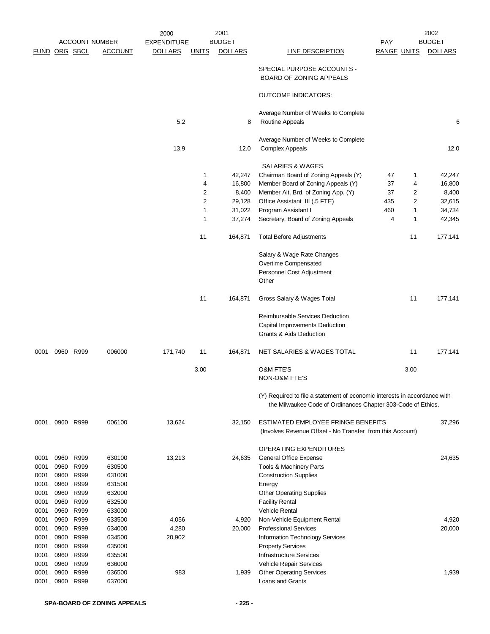|                      |      |           |                       | 2000               |              | 2001           |                                                                                                                                           |                    |                | 2002           |
|----------------------|------|-----------|-----------------------|--------------------|--------------|----------------|-------------------------------------------------------------------------------------------------------------------------------------------|--------------------|----------------|----------------|
|                      |      |           | <b>ACCOUNT NUMBER</b> | <b>EXPENDITURE</b> |              | <b>BUDGET</b>  |                                                                                                                                           | <b>PAY</b>         |                | <b>BUDGET</b>  |
| <b>FUND ORG SBCL</b> |      |           | <b>ACCOUNT</b>        | <b>DOLLARS</b>     | <b>UNITS</b> | <b>DOLLARS</b> | <b>LINE DESCRIPTION</b>                                                                                                                   | <b>RANGE UNITS</b> |                | <b>DOLLARS</b> |
|                      |      |           |                       |                    |              |                | SPECIAL PURPOSE ACCOUNTS -<br><b>BOARD OF ZONING APPEALS</b>                                                                              |                    |                |                |
|                      |      |           |                       |                    |              |                | <b>OUTCOME INDICATORS:</b>                                                                                                                |                    |                |                |
|                      |      |           |                       | 5.2                |              | 8              | Average Number of Weeks to Complete<br>Routine Appeals                                                                                    |                    |                | 6              |
|                      |      |           |                       | 13.9               |              | 12.0           | Average Number of Weeks to Complete<br><b>Complex Appeals</b>                                                                             |                    |                | 12.0           |
|                      |      |           |                       |                    |              |                | SALARIES & WAGES                                                                                                                          |                    |                |                |
|                      |      |           |                       |                    | 1            | 42,247         | Chairman Board of Zoning Appeals (Y)                                                                                                      | 47                 | 1              | 42,247         |
|                      |      |           |                       |                    | 4            | 16,800         | Member Board of Zoning Appeals (Y)                                                                                                        | 37                 | 4              | 16,800         |
|                      |      |           |                       |                    | 2            | 8,400          | Member Alt. Brd. of Zoning App. (Y)                                                                                                       | 37                 | 2              | 8,400          |
|                      |      |           |                       |                    | 2            | 29,128         | Office Assistant III (.5 FTE)                                                                                                             | 435                | $\overline{2}$ | 32,615         |
|                      |      |           |                       |                    | 1            | 31,022         | Program Assistant I                                                                                                                       | 460                | $\mathbf{1}$   | 34,734         |
|                      |      |           |                       |                    | 1            | 37,274         | Secretary, Board of Zoning Appeals                                                                                                        | 4                  | $\mathbf{1}$   | 42,345         |
|                      |      |           |                       |                    | 11           | 164,871        | <b>Total Before Adjustments</b>                                                                                                           |                    | 11             | 177,141        |
|                      |      |           |                       |                    |              |                | Salary & Wage Rate Changes                                                                                                                |                    |                |                |
|                      |      |           |                       |                    |              |                | Overtime Compensated                                                                                                                      |                    |                |                |
|                      |      |           |                       |                    |              |                | Personnel Cost Adjustment<br>Other                                                                                                        |                    |                |                |
|                      |      |           |                       |                    | 11           | 164,871        | Gross Salary & Wages Total                                                                                                                |                    | 11             | 177,141        |
|                      |      |           |                       |                    |              |                | Reimbursable Services Deduction<br>Capital Improvements Deduction<br><b>Grants &amp; Aids Deduction</b>                                   |                    |                |                |
| 0001                 |      | 0960 R999 | 006000                | 171,740            | 11           | 164,871        | NET SALARIES & WAGES TOTAL                                                                                                                |                    | 11             | 177,141        |
|                      |      |           |                       |                    | 3.00         |                | O&M FTE'S<br>NON-O&M FTE'S                                                                                                                |                    | 3.00           |                |
|                      |      |           |                       |                    |              |                | (Y) Required to file a statement of economic interests in accordance with<br>the Milwaukee Code of Ordinances Chapter 303-Code of Ethics. |                    |                |                |
| 0001                 |      | 0960 R999 | 006100                | 13,624             |              | 32,150         | ESTIMATED EMPLOYEE FRINGE BENEFITS<br>(Involves Revenue Offset - No Transfer from this Account)                                           |                    |                | 37,296         |
|                      |      |           |                       |                    |              |                | OPERATING EXPENDITURES                                                                                                                    |                    |                |                |
| 0001                 |      | 0960 R999 | 630100                | 13,213             |              | 24,635         | General Office Expense                                                                                                                    |                    |                | 24,635         |
| 0001                 | 0960 | R999      | 630500                |                    |              |                | Tools & Machinery Parts                                                                                                                   |                    |                |                |
| 0001                 |      | 0960 R999 | 631000                |                    |              |                | <b>Construction Supplies</b>                                                                                                              |                    |                |                |
| 0001                 | 0960 | R999      | 631500                |                    |              |                | Energy                                                                                                                                    |                    |                |                |
| 0001                 | 0960 | R999      | 632000                |                    |              |                | <b>Other Operating Supplies</b>                                                                                                           |                    |                |                |
| 0001                 | 0960 | R999      | 632500                |                    |              |                | <b>Facility Rental</b>                                                                                                                    |                    |                |                |
| 0001                 | 0960 | R999      | 633000                |                    |              |                | <b>Vehicle Rental</b>                                                                                                                     |                    |                |                |
| 0001                 | 0960 | R999      | 633500                | 4,056              |              | 4,920          | Non-Vehicle Equipment Rental                                                                                                              |                    |                | 4,920          |
| 0001                 |      | 0960 R999 | 634000                | 4,280              |              | 20,000         | <b>Professional Services</b>                                                                                                              |                    |                | 20,000         |
| 0001                 | 0960 | R999      | 634500                | 20,902             |              |                | Information Technology Services                                                                                                           |                    |                |                |
| 0001                 | 0960 | R999      | 635000                |                    |              |                | <b>Property Services</b>                                                                                                                  |                    |                |                |
| 0001                 | 0960 | R999      | 635500                |                    |              |                | <b>Infrastructure Services</b>                                                                                                            |                    |                |                |
| 0001                 | 0960 | R999      | 636000                |                    |              |                | Vehicle Repair Services                                                                                                                   |                    |                |                |
| 0001                 | 0960 | R999      | 636500                | 983                |              | 1,939          | <b>Other Operating Services</b>                                                                                                           |                    |                | 1,939          |
| 0001                 |      | 0960 R999 | 637000                |                    |              |                | Loans and Grants                                                                                                                          |                    |                |                |
|                      |      |           |                       |                    |              |                |                                                                                                                                           |                    |                |                |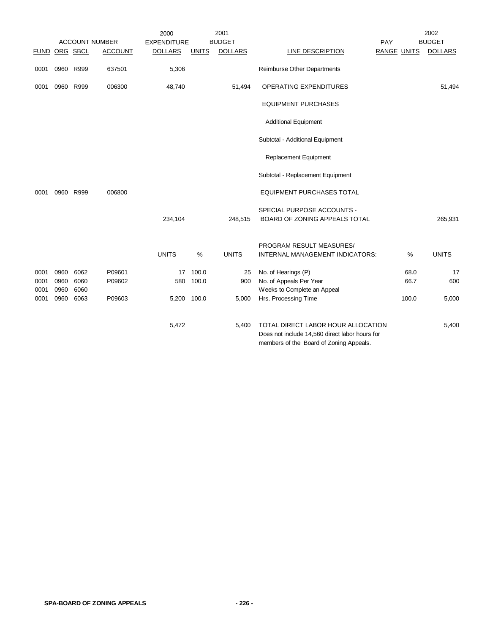|                      |           |           |                       | 2000               |              | 2001           |                                                                                                                                 |     |                    | 2002           |
|----------------------|-----------|-----------|-----------------------|--------------------|--------------|----------------|---------------------------------------------------------------------------------------------------------------------------------|-----|--------------------|----------------|
|                      |           |           | <b>ACCOUNT NUMBER</b> | <b>EXPENDITURE</b> |              | <b>BUDGET</b>  |                                                                                                                                 | PAY |                    | <b>BUDGET</b>  |
| <b>FUND ORG SBCL</b> |           |           | <b>ACCOUNT</b>        | <b>DOLLARS</b>     | <b>UNITS</b> | <b>DOLLARS</b> | <b>LINE DESCRIPTION</b>                                                                                                         |     | <b>RANGE UNITS</b> | <b>DOLLARS</b> |
| 0001                 |           | 0960 R999 | 637501                | 5,306              |              |                | Reimburse Other Departments                                                                                                     |     |                    |                |
| 0001                 | 0960 R999 |           | 006300                | 48,740             |              | 51,494         | OPERATING EXPENDITURES                                                                                                          |     |                    | 51,494         |
|                      |           |           |                       |                    |              |                | <b>EQUIPMENT PURCHASES</b>                                                                                                      |     |                    |                |
|                      |           |           |                       |                    |              |                | <b>Additional Equipment</b>                                                                                                     |     |                    |                |
|                      |           |           |                       |                    |              |                | Subtotal - Additional Equipment                                                                                                 |     |                    |                |
|                      |           |           |                       |                    |              |                | Replacement Equipment                                                                                                           |     |                    |                |
|                      |           |           |                       |                    |              |                | Subtotal - Replacement Equipment                                                                                                |     |                    |                |
| 0001                 | 0960 R999 |           | 006800                |                    |              |                | <b>EQUIPMENT PURCHASES TOTAL</b>                                                                                                |     |                    |                |
|                      |           |           |                       | 234,104            |              | 248,515        | SPECIAL PURPOSE ACCOUNTS -<br>BOARD OF ZONING APPEALS TOTAL                                                                     |     |                    | 265,931        |
|                      |           |           |                       | <b>UNITS</b>       | $\%$         | <b>UNITS</b>   | PROGRAM RESULT MEASURES/<br>INTERNAL MANAGEMENT INDICATORS:                                                                     |     | $\%$               | <b>UNITS</b>   |
| 0001                 | 0960      | 6062      | P09601                | 17                 | 100.0        | 25             | No. of Hearings (P)                                                                                                             |     | 68.0               | 17             |
| 0001                 | 0960      | 6060      | P09602                | 580                | 100.0        | 900            | No. of Appeals Per Year                                                                                                         |     | 66.7               | 600            |
| 0001                 | 0960      | 6060      |                       |                    |              |                | Weeks to Complete an Appeal                                                                                                     |     |                    |                |
| 0001                 | 0960      | 6063      | P09603                | 5,200 100.0        |              | 5,000          | Hrs. Processing Time                                                                                                            |     | 100.0              | 5,000          |
|                      |           |           |                       | 5,472              |              | 5,400          | TOTAL DIRECT LABOR HOUR ALLOCATION<br>Does not include 14,560 direct labor hours for<br>members of the Board of Zoning Appeals. |     |                    | 5,400          |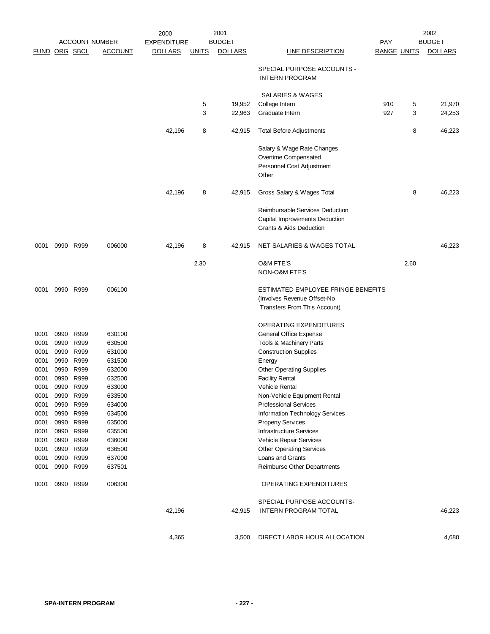|                      |      |                        |                       | 2000               |              | 2001           |                                                            |                    |      | 2002           |
|----------------------|------|------------------------|-----------------------|--------------------|--------------|----------------|------------------------------------------------------------|--------------------|------|----------------|
|                      |      |                        | <b>ACCOUNT NUMBER</b> | <b>EXPENDITURE</b> |              | <b>BUDGET</b>  |                                                            | <b>PAY</b>         |      | <b>BUDGET</b>  |
| <b>FUND ORG SBCL</b> |      |                        | <b>ACCOUNT</b>        | <b>DOLLARS</b>     | <u>UNITS</u> | <b>DOLLARS</b> | LINE DESCRIPTION                                           | <b>RANGE UNITS</b> |      | <b>DOLLARS</b> |
|                      |      |                        |                       |                    |              |                | SPECIAL PURPOSE ACCOUNTS -<br><b>INTERN PROGRAM</b>        |                    |      |                |
|                      |      |                        |                       |                    |              |                | SALARIES & WAGES                                           |                    |      |                |
|                      |      |                        |                       |                    | 5            | 19,952         | College Intern                                             | 910                | 5    | 21,970         |
|                      |      |                        |                       |                    | 3            | 22,963         | Graduate Intern                                            | 927                | 3    | 24,253         |
|                      |      |                        |                       | 42,196             | 8            | 42,915         | <b>Total Before Adjustments</b>                            |                    | 8    | 46,223         |
|                      |      |                        |                       |                    |              |                | Salary & Wage Rate Changes                                 |                    |      |                |
|                      |      |                        |                       |                    |              |                | Overtime Compensated                                       |                    |      |                |
|                      |      |                        |                       |                    |              |                | Personnel Cost Adjustment                                  |                    |      |                |
|                      |      |                        |                       |                    |              |                | Other                                                      |                    |      |                |
|                      |      |                        |                       | 42,196             | 8            | 42,915         | Gross Salary & Wages Total                                 |                    | 8    | 46,223         |
|                      |      |                        |                       |                    |              |                | <b>Reimbursable Services Deduction</b>                     |                    |      |                |
|                      |      |                        |                       |                    |              |                | Capital Improvements Deduction                             |                    |      |                |
|                      |      |                        |                       |                    |              |                | Grants & Aids Deduction                                    |                    |      |                |
| 0001                 |      | 0990 R999              | 006000                | 42,196             | 8            | 42,915         | NET SALARIES & WAGES TOTAL                                 |                    |      | 46,223         |
|                      |      |                        |                       |                    | 2.30         |                | <b>O&amp;M FTE'S</b>                                       |                    | 2.60 |                |
|                      |      |                        |                       |                    |              |                | NON-O&M FTE'S                                              |                    |      |                |
| 0001                 |      | 0990 R999              | 006100                |                    |              |                | ESTIMATED EMPLOYEE FRINGE BENEFITS                         |                    |      |                |
|                      |      |                        |                       |                    |              |                | (Involves Revenue Offset-No                                |                    |      |                |
|                      |      |                        |                       |                    |              |                | Transfers From This Account)                               |                    |      |                |
|                      |      |                        |                       |                    |              |                | OPERATING EXPENDITURES                                     |                    |      |                |
| 0001                 | 0990 | R999                   | 630100                |                    |              |                | General Office Expense                                     |                    |      |                |
| 0001                 | 0990 | R999                   | 630500                |                    |              |                | Tools & Machinery Parts                                    |                    |      |                |
| 0001                 | 0990 | R999                   | 631000                |                    |              |                | <b>Construction Supplies</b>                               |                    |      |                |
| 0001                 | 0990 | R999                   | 631500                |                    |              |                | Energy                                                     |                    |      |                |
| 0001                 | 0990 | R999                   | 632000                |                    |              |                | <b>Other Operating Supplies</b>                            |                    |      |                |
| 0001                 | 0990 | R999                   | 632500                |                    |              |                | <b>Facility Rental</b>                                     |                    |      |                |
| 0001                 | 0990 | R999                   | 633000                |                    |              |                | <b>Vehicle Rental</b>                                      |                    |      |                |
| 0001                 |      | 0990 R999              | 633500                |                    |              |                | Non-Vehicle Equipment Rental                               |                    |      |                |
| 0001                 |      | 0990 R999              | 634000                |                    |              |                | <b>Professional Services</b>                               |                    |      |                |
| 0001<br>0001         |      | 0990 R999<br>0990 R999 | 634500<br>635000      |                    |              |                | Information Technology Services                            |                    |      |                |
| 0001                 | 0990 | R999                   | 635500                |                    |              |                | <b>Property Services</b><br><b>Infrastructure Services</b> |                    |      |                |
| 0001                 |      | 0990 R999              | 636000                |                    |              |                | Vehicle Repair Services                                    |                    |      |                |
| 0001                 |      | 0990 R999              | 636500                |                    |              |                | <b>Other Operating Services</b>                            |                    |      |                |
| 0001                 |      | 0990 R999              | 637000                |                    |              |                | Loans and Grants                                           |                    |      |                |
| 0001                 |      | 0990 R999              | 637501                |                    |              |                | Reimburse Other Departments                                |                    |      |                |
| 0001                 |      | 0990 R999              | 006300                |                    |              |                | OPERATING EXPENDITURES                                     |                    |      |                |
|                      |      |                        |                       |                    |              |                | SPECIAL PURPOSE ACCOUNTS-                                  |                    |      |                |
|                      |      |                        |                       | 42,196             |              | 42,915         | <b>INTERN PROGRAM TOTAL</b>                                |                    |      | 46,223         |
|                      |      |                        |                       |                    |              |                |                                                            |                    |      |                |
|                      |      |                        |                       | 4,365              |              | 3,500          | DIRECT LABOR HOUR ALLOCATION                               |                    |      | 4,680          |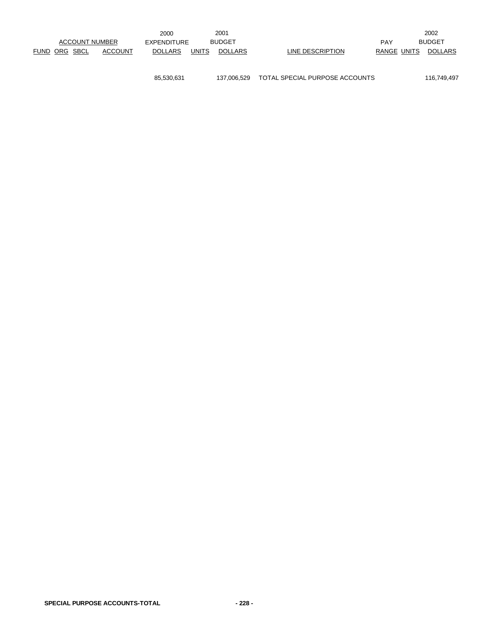|                       |                | 2000           |              | 2001           |                  |             | 2002           |
|-----------------------|----------------|----------------|--------------|----------------|------------------|-------------|----------------|
| <b>ACCOUNT NUMBER</b> |                | EXPENDITURE    |              | <b>BUDGET</b>  |                  | <b>PAY</b>  | <b>BUDGET</b>  |
| FUND ORG SBCL         | <b>ACCOUNT</b> | <b>DOLLARS</b> | <b>UNITS</b> | <b>DOLLARS</b> | LINE DESCRIPTION | RANGE UNITS | <b>DOLLARS</b> |
|                       |                |                |              |                |                  |             |                |

85,530,631 137,006,529 TOTAL SPECIAL PURPOSE ACCOUNTS 116,749,497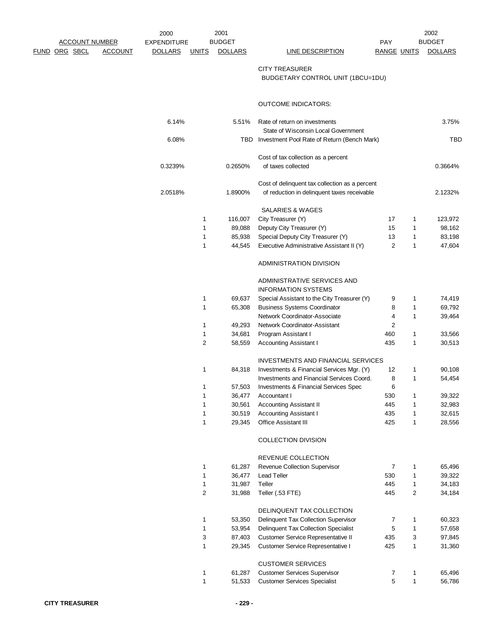| <b>ACCOUNT NUMBER</b> | 2000           |                    | 2001         |                |                                                                      | 2002                    |              |                |
|-----------------------|----------------|--------------------|--------------|----------------|----------------------------------------------------------------------|-------------------------|--------------|----------------|
|                       |                | <b>EXPENDITURE</b> |              | <b>BUDGET</b>  |                                                                      | <b>PAY</b>              |              | <b>BUDGET</b>  |
| <u>FUND ORG SBCL</u>  | <b>ACCOUNT</b> | <b>DOLLARS</b>     | <b>UNITS</b> | <b>DOLLARS</b> | <b>LINE DESCRIPTION</b>                                              | <b>RANGE UNITS</b>      |              | <b>DOLLARS</b> |
|                       |                |                    |              |                | <b>CITY TREASURER</b>                                                |                         |              |                |
|                       |                |                    |              |                | BUDGETARY CONTROL UNIT (1BCU=1DU)                                    |                         |              |                |
|                       |                |                    |              |                |                                                                      |                         |              |                |
|                       |                |                    |              |                | <b>OUTCOME INDICATORS:</b>                                           |                         |              |                |
|                       |                | 6.14%              |              | 5.51%          | Rate of return on investments<br>State of Wisconsin Local Government |                         |              | 3.75%          |
|                       |                | 6.08%              |              |                | TBD Investment Pool Rate of Return (Bench Mark)                      |                         |              | TBD            |
|                       |                |                    |              |                | Cost of tax collection as a percent                                  |                         |              |                |
|                       |                | 0.3239%            |              | 0.2650%        | of taxes collected                                                   |                         |              | 0.3664%        |
|                       |                |                    |              |                | Cost of delinquent tax collection as a percent                       |                         |              |                |
|                       |                | 2.0518%            |              | 1.8900%        | of reduction in delinquent taxes receivable                          |                         |              | 2.1232%        |
|                       |                |                    |              |                | SALARIES & WAGES                                                     |                         |              |                |
|                       |                |                    | 1            | 116,007        | City Treasurer (Y)                                                   | 17                      | 1            | 123,972        |
|                       |                |                    | 1            | 89,088         | Deputy City Treasurer (Y)                                            | 15                      | 1            | 98,162         |
|                       |                |                    | 1            | 85,938         | Special Deputy City Treasurer (Y)                                    | 13                      | 1            | 83,198         |
|                       |                |                    | 1            | 44,545         | Executive Administrative Assistant II (Y)                            | $\overline{2}$          | 1            | 47,604         |
|                       |                |                    |              |                | ADMINISTRATION DIVISION                                              |                         |              |                |
|                       |                |                    |              |                | ADMINISTRATIVE SERVICES AND<br><b>INFORMATION SYSTEMS</b>            |                         |              |                |
|                       |                |                    | 1            | 69,637         | Special Assistant to the City Treasurer (Y)                          | 9                       | 1            | 74,419         |
|                       |                |                    | 1            | 65,308         | <b>Business Systems Coordinator</b>                                  | 8                       | 1            | 69,792         |
|                       |                |                    |              |                | Network Coordinator-Associate                                        | 4                       | 1            | 39,464         |
|                       |                |                    | 1            | 49,293         | Network Coordinator-Assistant                                        | $\overline{\mathbf{c}}$ |              |                |
|                       |                |                    | 1            | 34,681         | Program Assistant I                                                  | 460                     | 1            | 33,566         |
|                       |                |                    | 2            | 58,559         | <b>Accounting Assistant I</b>                                        | 435                     | 1            | 30,513         |
|                       |                |                    |              |                | <b>INVESTMENTS AND FINANCIAL SERVICES</b>                            |                         |              |                |
|                       |                |                    | 1            | 84,318         | Investments & Financial Services Mgr. (Y)                            | 12                      | 1            | 90,108         |
|                       |                |                    |              |                | Investments and Financial Services Coord.                            | 8                       | 1            | 54,454         |
|                       |                |                    | 1            |                |                                                                      | 6                       |              |                |
|                       |                |                    | $\mathbf 1$  | 57,503         | Investments & Financial Services Spec                                | 530                     | $\mathbf{1}$ |                |
|                       |                |                    |              | 36,477         | Accountant I                                                         |                         |              | 39,322         |
|                       |                |                    | 1            | 30,561         | <b>Accounting Assistant II</b>                                       | 445                     | 1            | 32,983         |
|                       |                |                    | $\mathbf 1$  | 30,519         | <b>Accounting Assistant I</b>                                        | 435                     | $\mathbf{1}$ | 32,615         |
|                       |                |                    | $\mathbf 1$  | 29,345         | Office Assistant III                                                 | 425                     | 1            | 28,556         |
|                       |                |                    |              |                | COLLECTION DIVISION                                                  |                         |              |                |
|                       |                |                    |              |                | REVENUE COLLECTION                                                   |                         |              |                |
|                       |                |                    | 1            | 61,287         | Revenue Collection Supervisor                                        | 7                       | 1            | 65,496         |
|                       |                |                    | 1            | 36,477         | <b>Lead Teller</b>                                                   | 530                     | 1            | 39,322         |
|                       |                |                    | 1            | 31,987         | Teller                                                               | 445                     | 1            | 34,183         |
|                       |                |                    | 2            | 31,988         | Teller (.53 FTE)                                                     | 445                     | 2            | 34,184         |
|                       |                |                    |              |                | DELINQUENT TAX COLLECTION                                            |                         |              |                |
|                       |                |                    | 1            | 53,350         | Delinquent Tax Collection Supervisor                                 | 7                       | 1            | 60,323         |
|                       |                |                    | $\mathbf 1$  | 53,954         | Delinquent Tax Collection Specialist                                 | 5                       | 1            | 57,658         |
|                       |                |                    | 3            | 87,403         | Customer Service Representative II                                   | 435                     | 3            | 97,845         |
|                       |                |                    | 1            | 29,345         | Customer Service Representative I                                    | 425                     | 1            | 31,360         |
|                       |                |                    |              |                | <b>CUSTOMER SERVICES</b>                                             |                         |              |                |
|                       |                |                    | 1            | 61,287         | <b>Customer Services Supervisor</b>                                  | 7                       | 1            | 65,496         |
|                       |                |                    | $\mathbf{1}$ | 51,533         | <b>Customer Services Specialist</b>                                  | 5                       | $\mathbf{1}$ | 56,786         |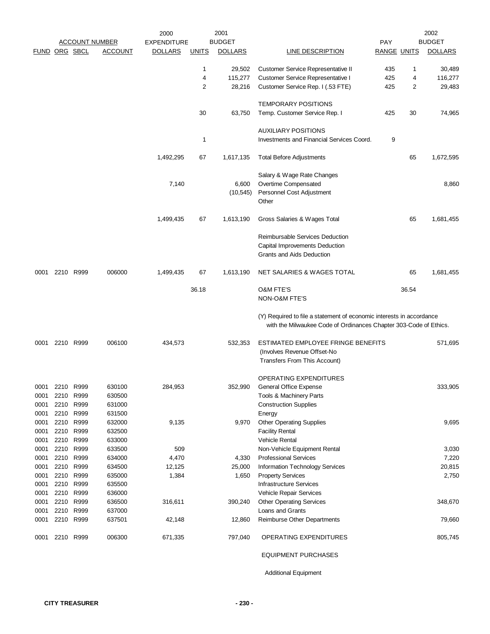|                      |      |                        |                       | 2000               |              | 2001           |                                                                                                                                           |                    |       | 2002           |
|----------------------|------|------------------------|-----------------------|--------------------|--------------|----------------|-------------------------------------------------------------------------------------------------------------------------------------------|--------------------|-------|----------------|
|                      |      |                        | <b>ACCOUNT NUMBER</b> | <b>EXPENDITURE</b> |              | <b>BUDGET</b>  |                                                                                                                                           | PAY                |       | <b>BUDGET</b>  |
| <b>FUND ORG SBCL</b> |      |                        | <b>ACCOUNT</b>        | <b>DOLLARS</b>     | <u>UNITS</u> | <b>DOLLARS</b> | LINE DESCRIPTION                                                                                                                          | <b>RANGE UNITS</b> |       | <b>DOLLARS</b> |
|                      |      |                        |                       |                    | 1            | 29,502         | Customer Service Representative II                                                                                                        | 435                | 1     | 30,489         |
|                      |      |                        |                       |                    | 4            | 115,277        | Customer Service Representative I                                                                                                         | 425                | 4     | 116,277        |
|                      |      |                        |                       |                    | 2            | 28,216         | Customer Service Rep. I (.53 FTE)                                                                                                         | 425                | 2     | 29,483         |
|                      |      |                        |                       |                    |              |                | <b>TEMPORARY POSITIONS</b>                                                                                                                |                    |       |                |
|                      |      |                        |                       |                    | 30           | 63,750         | Temp. Customer Service Rep. I                                                                                                             | 425                | 30    | 74,965         |
|                      |      |                        |                       |                    |              |                | <b>AUXILIARY POSITIONS</b>                                                                                                                |                    |       |                |
|                      |      |                        |                       |                    | 1            |                | Investments and Financial Services Coord.                                                                                                 | 9                  |       |                |
|                      |      |                        |                       | 1,492,295          | 67           | 1,617,135      | <b>Total Before Adjustments</b>                                                                                                           |                    | 65    | 1,672,595      |
|                      |      |                        |                       |                    |              |                | Salary & Wage Rate Changes                                                                                                                |                    |       |                |
|                      |      |                        |                       | 7,140              |              | 6,600          | Overtime Compensated                                                                                                                      |                    |       | 8,860          |
|                      |      |                        |                       |                    |              | (10, 545)      | Personnel Cost Adjustment                                                                                                                 |                    |       |                |
|                      |      |                        |                       |                    |              |                | Other                                                                                                                                     |                    |       |                |
|                      |      |                        |                       | 1,499,435          | 67           | 1,613,190      | Gross Salaries & Wages Total                                                                                                              |                    | 65    | 1,681,455      |
|                      |      |                        |                       |                    |              |                | Reimbursable Services Deduction                                                                                                           |                    |       |                |
|                      |      |                        |                       |                    |              |                | Capital Improvements Deduction                                                                                                            |                    |       |                |
|                      |      |                        |                       |                    |              |                | Grants and Aids Deduction                                                                                                                 |                    |       |                |
| 0001                 |      | 2210 R999              | 006000                | 1,499,435          | 67           | 1,613,190      | NET SALARIES & WAGES TOTAL                                                                                                                |                    | 65    | 1,681,455      |
|                      |      |                        |                       |                    | 36.18        |                | <b>O&amp;M FTE'S</b>                                                                                                                      |                    | 36.54 |                |
|                      |      |                        |                       |                    |              |                | NON-O&M FTE'S                                                                                                                             |                    |       |                |
|                      |      |                        |                       |                    |              |                | (Y) Required to file a statement of economic interests in accordance<br>with the Milwaukee Code of Ordinances Chapter 303-Code of Ethics. |                    |       |                |
| 0001                 |      | 2210 R999              | 006100                | 434,573            |              | 532,353        | ESTIMATED EMPLOYEE FRINGE BENEFITS                                                                                                        |                    |       | 571,695        |
|                      |      |                        |                       |                    |              |                | (Involves Revenue Offset-No                                                                                                               |                    |       |                |
|                      |      |                        |                       |                    |              |                | Transfers From This Account)                                                                                                              |                    |       |                |
|                      |      |                        |                       |                    |              |                | <b>OPERATING EXPENDITURES</b>                                                                                                             |                    |       |                |
| 0001                 |      | 2210 R999              | 630100                | 284,953            |              | 352,990        | <b>General Office Expense</b>                                                                                                             |                    |       | 333,905        |
| 0001                 |      | 2210 R999              | 630500                |                    |              |                | Tools & Machinery Parts                                                                                                                   |                    |       |                |
| 0001                 |      | 2210 R999              | 631000                |                    |              |                | <b>Construction Supplies</b>                                                                                                              |                    |       |                |
| 0001                 |      | 2210 R999              | 631500                |                    |              |                | Energy                                                                                                                                    |                    |       |                |
| 0001                 |      | 2210 R999              | 632000                | 9,135              |              | 9,970          | <b>Other Operating Supplies</b>                                                                                                           |                    |       | 9,695          |
| 0001                 |      | 2210 R999              | 632500                |                    |              |                | <b>Facility Rental</b>                                                                                                                    |                    |       |                |
| 0001                 |      | 2210 R999              | 633000                |                    |              |                | <b>Vehicle Rental</b>                                                                                                                     |                    |       |                |
| 0001                 | 2210 | R999                   | 633500                | 509                |              |                | Non-Vehicle Equipment Rental                                                                                                              |                    |       | 3,030          |
| 0001                 |      | 2210 R999              | 634000                | 4,470              |              | 4,330          | <b>Professional Services</b>                                                                                                              |                    |       | 7,220          |
| 0001                 |      | 2210 R999              | 634500                | 12,125             |              | 25,000         | Information Technology Services                                                                                                           |                    |       | 20,815         |
| 0001                 | 2210 | R999                   | 635000                | 1,384              |              | 1,650          | <b>Property Services</b>                                                                                                                  |                    |       | 2,750          |
| 0001<br>0001         |      | 2210 R999<br>2210 R999 | 635500<br>636000      |                    |              |                | <b>Infrastructure Services</b><br>Vehicle Repair Services                                                                                 |                    |       |                |
| 0001                 | 2210 | R999                   | 636500                | 316,611            |              | 390,240        | <b>Other Operating Services</b>                                                                                                           |                    |       | 348,670        |
| 0001                 |      | 2210 R999              | 637000                |                    |              |                | Loans and Grants                                                                                                                          |                    |       |                |
| 0001                 |      | 2210 R999              | 637501                | 42,148             |              | 12,860         | Reimburse Other Departments                                                                                                               |                    |       | 79,660         |
|                      |      |                        |                       |                    |              |                |                                                                                                                                           |                    |       |                |
| 0001                 |      | 2210 R999              | 006300                | 671,335            |              | 797,040        | OPERATING EXPENDITURES                                                                                                                    |                    |       | 805,745        |
|                      |      |                        |                       |                    |              |                | <b>EQUIPMENT PURCHASES</b>                                                                                                                |                    |       |                |

Additional Equipment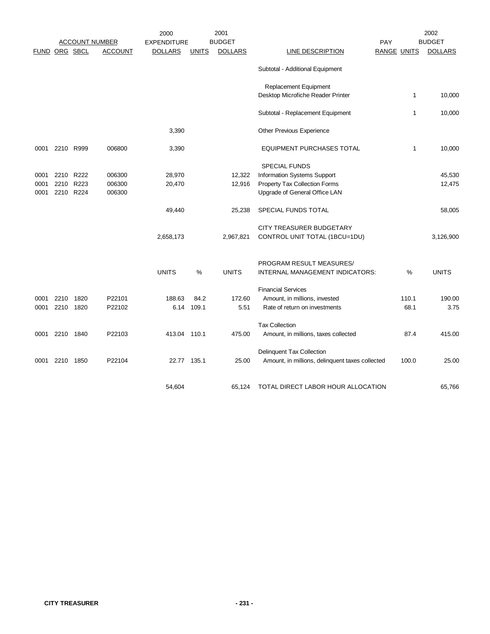|      |               |           |                       | 2000               |              | 2001           |                                                 |                    | 2002           |  |  |
|------|---------------|-----------|-----------------------|--------------------|--------------|----------------|-------------------------------------------------|--------------------|----------------|--|--|
|      |               |           | <b>ACCOUNT NUMBER</b> | <b>EXPENDITURE</b> |              | <b>BUDGET</b>  |                                                 | PAY                | <b>BUDGET</b>  |  |  |
|      | FUND ORG SBCL |           | <b>ACCOUNT</b>        | <b>DOLLARS</b>     | <b>UNITS</b> | <b>DOLLARS</b> | <b>LINE DESCRIPTION</b>                         | <b>RANGE UNITS</b> | <b>DOLLARS</b> |  |  |
|      |               |           |                       |                    |              |                | Subtotal - Additional Equipment                 |                    |                |  |  |
|      |               |           |                       |                    |              |                | Replacement Equipment                           |                    |                |  |  |
|      |               |           |                       |                    |              |                | Desktop Microfiche Reader Printer               | $\mathbf{1}$       | 10,000         |  |  |
|      |               |           |                       |                    |              |                | Subtotal - Replacement Equipment                | $\mathbf{1}$       | 10,000         |  |  |
|      |               |           |                       | 3,390              |              |                | Other Previous Experience                       |                    |                |  |  |
| 0001 |               | 2210 R999 | 006800                | 3,390              |              |                | <b>EQUIPMENT PURCHASES TOTAL</b>                | $\mathbf{1}$       | 10,000         |  |  |
|      |               |           |                       |                    |              |                | <b>SPECIAL FUNDS</b>                            |                    |                |  |  |
| 0001 |               | 2210 R222 | 006300                | 28,970             |              | 12,322         | Information Systems Support                     |                    | 45,530         |  |  |
| 0001 |               | 2210 R223 | 006300                | 20,470             |              | 12,916         | Property Tax Collection Forms                   |                    | 12,475         |  |  |
| 0001 |               | 2210 R224 | 006300                |                    |              |                | Upgrade of General Office LAN                   |                    |                |  |  |
|      |               |           |                       | 49,440             |              | 25,238         | SPECIAL FUNDS TOTAL                             |                    | 58,005         |  |  |
|      |               |           |                       |                    |              |                | CITY TREASURER BUDGETARY                        |                    |                |  |  |
|      |               |           |                       | 2,658,173          |              | 2,967,821      | CONTROL UNIT TOTAL (1BCU=1DU)                   |                    | 3,126,900      |  |  |
|      |               |           |                       |                    |              |                | PROGRAM RESULT MEASURES/                        |                    |                |  |  |
|      |               |           |                       | <b>UNITS</b>       | $\%$         | <b>UNITS</b>   | INTERNAL MANAGEMENT INDICATORS:                 | %                  | <b>UNITS</b>   |  |  |
|      |               |           |                       |                    |              |                | <b>Financial Services</b>                       |                    |                |  |  |
| 0001 | 2210          | 1820      | P22101                | 188.63             | 84.2         | 172.60         | Amount, in millions, invested                   | 110.1              | 190.00         |  |  |
| 0001 | 2210          | 1820      | P22102                |                    | 6.14 109.1   | 5.51           | Rate of return on investments                   | 68.1               | 3.75           |  |  |
|      |               |           |                       |                    |              |                | <b>Tax Collection</b>                           |                    |                |  |  |
| 0001 |               | 2210 1840 | P22103                | 413.04 110.1       |              | 475.00         | Amount, in millions, taxes collected            | 87.4               | 415.00         |  |  |
|      |               |           |                       |                    |              |                | Delinquent Tax Collection                       |                    |                |  |  |
| 0001 | 2210          | 1850      | P22104                | 22.77 135.1        |              | 25.00          | Amount, in millions, delinquent taxes collected | 100.0              | 25.00          |  |  |
|      |               |           |                       |                    |              |                |                                                 |                    |                |  |  |
|      |               |           |                       | 54,604             |              | 65,124         | TOTAL DIRECT LABOR HOUR ALLOCATION              |                    | 65,766         |  |  |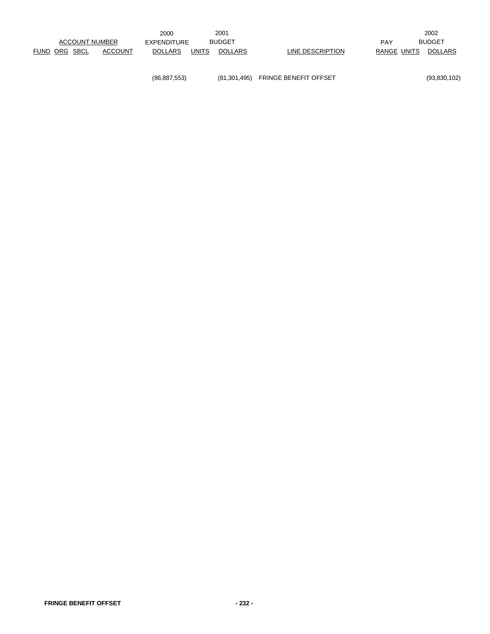|               |                       | 2000           |              | 2001           |                  |             | 2002           |
|---------------|-----------------------|----------------|--------------|----------------|------------------|-------------|----------------|
|               | <b>ACCOUNT NUMBER</b> | EXPENDITURE    |              | <b>BUDGET</b>  |                  | <b>PAY</b>  | <b>BUDGET</b>  |
| FUND ORG SBCL | ACCOUNT               | <b>DOLLARS</b> | <b>UNITS</b> | <b>DOLLARS</b> | LINE DESCRIPTION | RANGE UNITS | <b>DOLLARS</b> |
|               |                       |                |              |                |                  |             |                |

(86,887,553) (81,301,495) FRINGE BENEFIT OFFSET (93,830,102)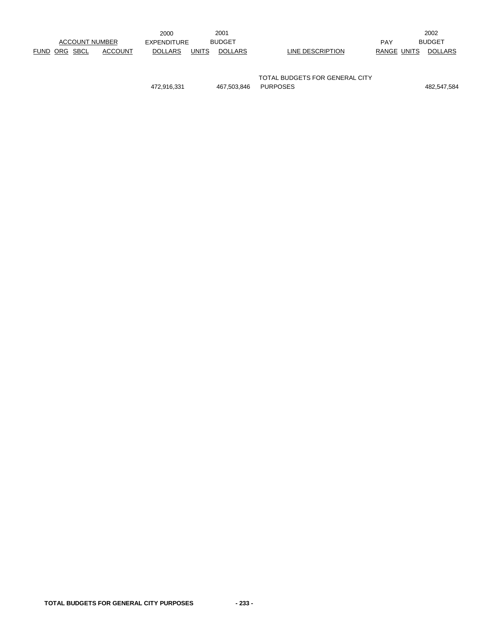|                          | 2000                           | 2001                               | 2002                          |
|--------------------------|--------------------------------|------------------------------------|-------------------------------|
| <b>ACCOUNT NUMBER</b>    | EXPENDITURE                    | <b>BUDGET</b>                      | <b>BUDGET</b><br>PAY          |
| FUND ORG SBCL<br>ACCOUNT | <b>UNITS</b><br><b>DOLLARS</b> | <b>DOLLARS</b><br>LINE DESCRIPTION | RANGE UNITS<br><b>DOLLARS</b> |
|                          |                                |                                    |                               |

TOTAL BUDGETS FOR GENERAL CITY 472,916,331 467,503,846 PURPOSES 482,547,584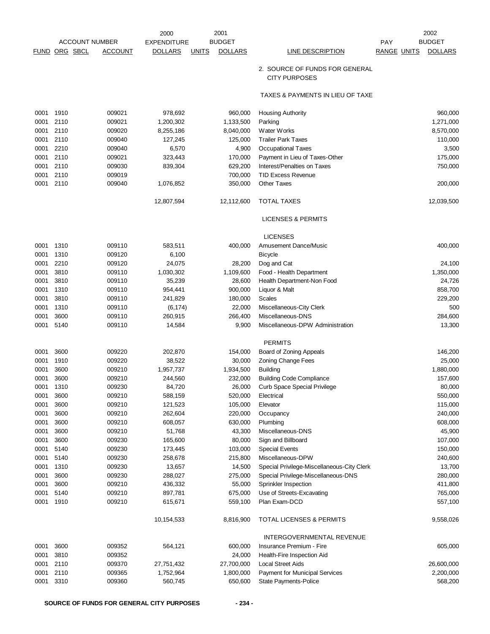|              |                       |                  | 2000               | 2001                           |                                                        | 2002                                 |
|--------------|-----------------------|------------------|--------------------|--------------------------------|--------------------------------------------------------|--------------------------------------|
|              | <b>ACCOUNT NUMBER</b> |                  | <b>EXPENDITURE</b> | <b>BUDGET</b>                  |                                                        | <b>BUDGET</b><br>PAY                 |
| <u>FUND</u>  | ORG SBCL              | <u>ACCOUNT</u>   | <b>DOLLARS</b>     | <b>UNITS</b><br><b>DOLLARS</b> | <b>LINE DESCRIPTION</b>                                | <b>RANGE UNITS</b><br><b>DOLLARS</b> |
|              |                       |                  |                    |                                | 2. SOURCE OF FUNDS FOR GENERAL<br><b>CITY PURPOSES</b> |                                      |
|              |                       |                  |                    |                                | TAXES & PAYMENTS IN LIEU OF TAXE                       |                                      |
| 0001         | 1910                  | 009021           | 978,692            | 960,000                        | <b>Housing Authority</b>                               | 960,000                              |
| 0001         | 2110                  | 009021           | 1,200,302          | 1,133,500                      | Parking                                                | 1,271,000                            |
| 0001         | 2110                  | 009020           | 8,255,186          | 8,040,000                      | Water Works                                            | 8,570,000                            |
| 0001         | 2110                  | 009040           | 127,245            | 125,000                        | <b>Trailer Park Taxes</b>                              | 110,000                              |
| 0001         | 2210                  | 009040           | 6,570              | 4,900                          | <b>Occupational Taxes</b>                              | 3,500                                |
| 0001         | 2110                  | 009021           | 323,443            | 170,000                        | Payment in Lieu of Taxes-Other                         | 175,000                              |
| 0001         | 2110                  | 009030           | 839,304            | 629,200                        | Interest/Penalties on Taxes                            | 750,000                              |
| 0001         | 2110                  | 009019           |                    | 700,000                        | <b>TID Excess Revenue</b>                              |                                      |
| 0001         | 2110                  | 009040           | 1,076,852          | 350,000                        | <b>Other Taxes</b>                                     | 200,000                              |
|              |                       |                  | 12,807,594         | 12,112,600                     | <b>TOTAL TAXES</b>                                     | 12,039,500                           |
|              |                       |                  |                    |                                | <b>LICENSES &amp; PERMITS</b>                          |                                      |
|              |                       |                  |                    |                                | <b>LICENSES</b>                                        |                                      |
| 0001         | 1310                  | 009110           | 583,511            | 400,000                        | <b>Amusement Dance/Music</b>                           | 400,000                              |
| 0001         | 1310                  | 009120           | 6,100              |                                | <b>Bicycle</b>                                         |                                      |
| 0001         | 2210                  | 009120           | 24,075             | 28,200                         | Dog and Cat                                            | 24,100                               |
| 0001         | 3810                  | 009110           | 1,030,302          | 1,109,600                      | Food - Health Department                               | 1,350,000                            |
| 0001         | 3810                  | 009110           | 35,239             | 28,600                         | Health Department-Non Food                             | 24,726                               |
| 0001         | 1310                  | 009110           | 954,441            | 900,000                        | Liquor & Malt                                          | 858,700                              |
| 0001         | 3810                  | 009110           | 241,829            | 180,000                        | <b>Scales</b>                                          | 229,200                              |
| 0001         | 1310                  | 009110           | (6, 174)           | 22,000                         | Miscellaneous-City Clerk                               | 500                                  |
| 0001         | 3600                  | 009110           | 260,915            | 266,400                        | Miscellaneous-DNS                                      | 284,600                              |
| 0001         | 5140                  | 009110           | 14,584             | 9,900                          | Miscellaneous-DPW Administration                       | 13,300                               |
|              |                       |                  |                    |                                | <b>PERMITS</b>                                         |                                      |
| 0001         | 3600                  | 009220           | 202,870            | 154,000                        | Board of Zoning Appeals                                | 146,200                              |
| 0001         | 1910                  | 009220           | 38,522             | 30,000                         | <b>Zoning Change Fees</b>                              | 25,000                               |
| 0001         | 3600                  | 009210           | 1,957,737          | 1,934,500                      | <b>Building</b>                                        | 1,880,000                            |
| 0001         | 3600                  | 009210           | 244,560            | 232,000                        | <b>Building Code Compliance</b>                        | 157,600                              |
| 0001         | 1310                  | 009230           | 84,720             | 26,000                         | Curb Space Special Privilege                           | 80,000                               |
| 0001         | 3600                  | 009210           | 588,159            | 520,000                        | Electrical                                             | 550,000                              |
| 0001         | 3600                  | 009210           | 121,523            | 105,000                        | Elevator                                               | 115,000                              |
| 0001         | 3600                  | 009210           | 262,604            | 220,000                        | Occupancy                                              | 240,000                              |
| 0001         | 3600                  | 009210           | 608,057            | 630,000                        | Plumbing                                               | 608,000                              |
| 0001         | 3600                  | 009210           | 51,768             | 43,300                         | Miscellaneous-DNS                                      | 45,900                               |
| 0001         | 3600                  | 009230           | 165,600            | 80,000                         | Sign and Billboard                                     | 107,000                              |
| 0001         | 5140                  | 009230           | 173,445            | 103,000                        | <b>Special Events</b>                                  | 150,000                              |
| 0001         | 5140                  | 009230           | 258,678            | 215,800                        | Miscellaneous-DPW                                      | 240,600                              |
| 0001         | 1310                  | 009230           | 13,657             | 14,500                         | Special Privilege-Miscellaneous-City Clerk             | 13,700                               |
| 0001         | 3600                  | 009230           | 288,027            | 275,000                        | Special Privilege-Miscellaneous-DNS                    | 280,000                              |
| 0001         | 3600                  | 009210           | 436,332            | 55,000                         | Sprinkler Inspection                                   | 411,800                              |
| 0001         | 5140<br>1910          | 009210<br>009210 | 897,781            | 675,000                        | Use of Streets-Excavating<br>Plan Exam-DCD             | 765,000                              |
| 0001         |                       |                  | 615,671            | 559,100                        |                                                        | 557,100                              |
|              |                       |                  | 10,154,533         | 8,816,900                      | <b>TOTAL LICENSES &amp; PERMITS</b>                    | 9,558,026                            |
|              |                       |                  |                    |                                | INTERGOVERNMENTAL REVENUE                              |                                      |
| 0001<br>0001 | 3600<br>3810          | 009352<br>009352 | 564,121            | 600,000<br>24,000              | Insurance Premium - Fire<br>Health-Fire Inspection Aid | 605,000                              |
| 0001         | 2110                  | 009370           | 27,751,432         | 27,700,000                     | <b>Local Street Aids</b>                               | 26,600,000                           |
| 0001         | 2110                  | 009365           | 1,752,964          | 1,800,000                      | Payment for Municipal Services                         | 2,200,000                            |
| 0001         | 3310                  | 009360           | 560,745            | 650,600                        | State Payments-Police                                  | 568,200                              |
|              |                       |                  |                    |                                |                                                        |                                      |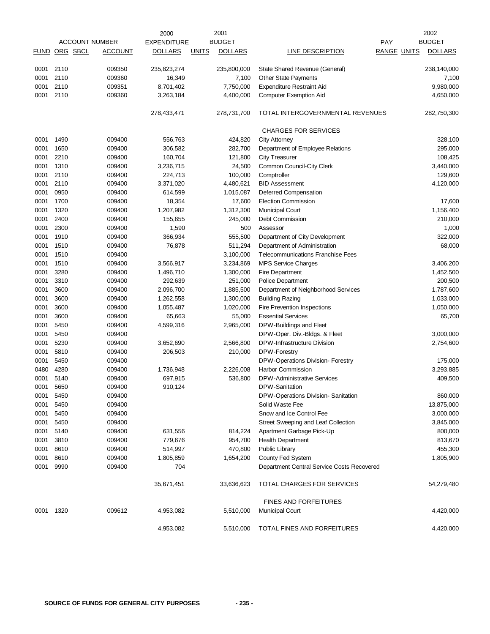|               |      |                       | 2000               |              | 2001           |                                            |                    | 2002           |
|---------------|------|-----------------------|--------------------|--------------|----------------|--------------------------------------------|--------------------|----------------|
|               |      | <b>ACCOUNT NUMBER</b> | <b>EXPENDITURE</b> |              | <b>BUDGET</b>  |                                            | PAY                | <b>BUDGET</b>  |
| FUND ORG SBCL |      | <b>ACCOUNT</b>        | <b>DOLLARS</b>     | <b>UNITS</b> | <b>DOLLARS</b> | <b>LINE DESCRIPTION</b>                    | <b>RANGE UNITS</b> | <b>DOLLARS</b> |
| 0001          | 2110 | 009350                | 235,823,274        |              | 235,800,000    | State Shared Revenue (General)             |                    | 238,140,000    |
| 0001          | 2110 | 009360                | 16,349             |              | 7,100          | Other State Payments                       |                    | 7,100          |
| 0001          | 2110 | 009351                | 8,701,402          |              | 7,750,000      | <b>Expenditure Restraint Aid</b>           |                    | 9,980,000      |
| 0001          | 2110 | 009360                | 3,263,184          |              | 4,400,000      | <b>Computer Exemption Aid</b>              |                    | 4,650,000      |
|               |      |                       | 278,433,471        |              | 278,731,700    | TOTAL INTERGOVERNMENTAL REVENUES           |                    | 282,750,300    |
|               |      |                       |                    |              |                | <b>CHARGES FOR SERVICES</b>                |                    |                |
| 0001          | 1490 | 009400                | 556,763            |              | 424,820        | <b>City Attorney</b>                       |                    | 328,100        |
| 0001          | 1650 | 009400                | 306,582            |              | 282,700        | Department of Employee Relations           |                    | 295,000        |
| 0001          | 2210 | 009400                | 160,704            |              | 121,800        | <b>City Treasurer</b>                      |                    | 108,425        |
| 0001          | 1310 | 009400                | 3,236,715          |              | 24,500         | Common Council-City Clerk                  |                    | 3,440,000      |
| 0001          | 2110 | 009400                | 224,713            |              | 100,000        | Comptroller                                |                    | 129,600        |
| 0001          | 2110 | 009400                | 3,371,020          |              | 4,480,621      | <b>BID Assessment</b>                      |                    | 4,120,000      |
| 0001          | 0950 | 009400                | 614,599            |              | 1,015,087      | Deferred Compensation                      |                    |                |
| 0001          | 1700 | 009400                | 18,354             |              | 17,600         | <b>Election Commission</b>                 |                    | 17,600         |
| 0001          | 1320 | 009400                | 1,207,982          |              | 1,312,300      | <b>Municipal Court</b>                     |                    | 1,156,400      |
| 0001          | 2400 | 009400                | 155,655            |              | 245,000        | <b>Debt Commission</b>                     |                    | 210,000        |
| 0001          | 2300 | 009400                | 1,590              |              | 500            | Assessor                                   |                    | 1,000          |
| 0001          | 1910 | 009400                | 366,934            |              | 555,500        | Department of City Development             |                    | 322,000        |
| 0001          | 1510 | 009400                | 76,878             |              | 511,294        | Department of Administration               |                    | 68,000         |
| 0001          | 1510 | 009400                |                    |              | 3,100,000      | <b>Telecommunications Franchise Fees</b>   |                    |                |
| 0001          | 1510 | 009400                | 3,566,917          |              | 3,234,869      | <b>MPS Service Charges</b>                 |                    | 3,406,200      |
| 0001          | 3280 | 009400                | 1,496,710          |              | 1,300,000      | Fire Department                            |                    | 1,452,500      |
| 0001          | 3310 | 009400                | 292,639            |              | 251,000        | <b>Police Department</b>                   |                    | 200,500        |
|               | 3600 | 009400                |                    |              |                |                                            |                    |                |
| 0001<br>0001  | 3600 |                       | 2,096,700          |              | 1,885,500      | Department of Neighborhood Services        |                    | 1,787,600      |
|               | 3600 | 009400                | 1,262,558          |              | 1,300,000      | <b>Building Razing</b>                     |                    | 1,033,000      |
| 0001          |      | 009400                | 1,055,487          |              | 1,020,000      | Fire Prevention Inspections                |                    | 1,050,000      |
| 0001          | 3600 | 009400                | 65,663             |              | 55,000         | <b>Essential Services</b>                  |                    | 65,700         |
| 0001          | 5450 | 009400                | 4,599,316          |              | 2,965,000      | DPW-Buildings and Fleet                    |                    |                |
| 0001          | 5450 | 009400                |                    |              |                | DPW-Oper. Div.-Bldgs. & Fleet              |                    | 3,000,000      |
| 0001          | 5230 | 009400                | 3,652,690          |              | 2,566,800      | DPW-Infrastructure Division                |                    | 2,754,600      |
| 0001          | 5810 | 009400                | 206,503            |              | 210,000        | DPW-Forestry                               |                    |                |
| 0001          | 5450 | 009400                |                    |              |                | DPW-Operations Division- Forestry          |                    | 175,000        |
| 0480          | 4280 | 009400                | 1,736,948          |              | 2,226,008      | <b>Harbor Commission</b>                   |                    | 3,293,885      |
| 0001          | 5140 | 009400                | 697,915            |              | 536,800        | DPW-Administrative Services                |                    | 409,500        |
| 0001          | 5650 | 009400                | 910,124            |              |                | DPW-Sanitation                             |                    |                |
| 0001          | 5450 | 009400                |                    |              |                | DPW-Operations Division- Sanitation        |                    | 860,000        |
| 0001          | 5450 | 009400                |                    |              |                | Solid Waste Fee                            |                    | 13,875,000     |
| 0001          | 5450 | 009400                |                    |              |                | Snow and Ice Control Fee                   |                    | 3,000,000      |
| 0001          | 5450 | 009400                |                    |              |                | Street Sweeping and Leaf Collection        |                    | 3,845,000      |
| 0001          | 5140 | 009400                | 631,556            |              | 814,224        | Apartment Garbage Pick-Up                  |                    | 800,000        |
| 0001          | 3810 | 009400                | 779,676            |              | 954,700        | <b>Health Department</b>                   |                    | 813,670        |
| 0001          | 8610 | 009400                | 514,997            |              | 470,800        | Public Library                             |                    | 455,300        |
| 0001          | 8610 | 009400                | 1,805,859          |              | 1,654,200      | County Fed System                          |                    | 1,805,900      |
| 0001          | 9990 | 009400                | 704                |              |                | Department Central Service Costs Recovered |                    |                |
|               |      |                       | 35,671,451         |              | 33,636,623     | TOTAL CHARGES FOR SERVICES                 |                    | 54,279,480     |
|               |      |                       |                    |              |                | <b>FINES AND FORFEITURES</b>               |                    |                |
| 0001          | 1320 | 009612                | 4,953,082          |              | 5,510,000      | <b>Municipal Court</b>                     |                    | 4,420,000      |
|               |      |                       | 4,953,082          |              | 5,510,000      | TOTAL FINES AND FORFEITURES                |                    | 4,420,000      |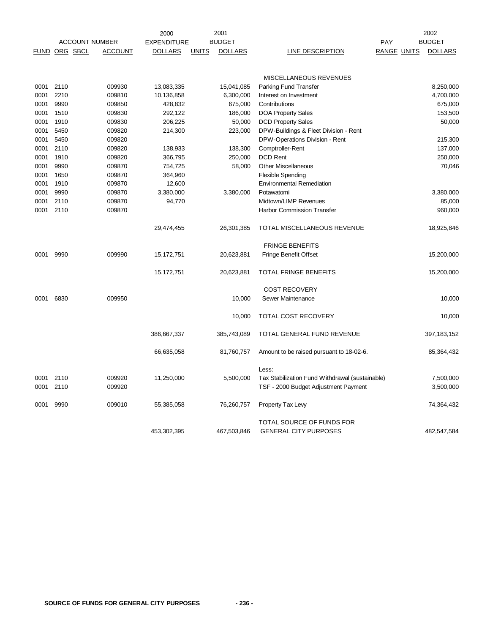|               |      |                       |                | 2000               |              | 2001           |                                                           | 2002               |  |                |
|---------------|------|-----------------------|----------------|--------------------|--------------|----------------|-----------------------------------------------------------|--------------------|--|----------------|
|               |      | <b>ACCOUNT NUMBER</b> |                | <b>EXPENDITURE</b> |              | <b>BUDGET</b>  |                                                           | <b>PAY</b>         |  | <b>BUDGET</b>  |
| FUND ORG SBCL |      |                       | <b>ACCOUNT</b> | <b>DOLLARS</b>     | <b>UNITS</b> | <b>DOLLARS</b> | LINE DESCRIPTION                                          | <b>RANGE UNITS</b> |  | <b>DOLLARS</b> |
|               |      |                       |                |                    |              |                | MISCELLANEOUS REVENUES                                    |                    |  |                |
| 0001          | 2110 |                       | 009930         | 13,083,335         |              | 15,041,085     | Parking Fund Transfer                                     |                    |  | 8,250,000      |
| 0001          | 2210 |                       | 009810         | 10,136,858         |              | 6,300,000      | Interest on Investment                                    |                    |  | 4,700,000      |
| 0001          | 9990 |                       | 009850         | 428,832            |              | 675,000        | Contributions                                             |                    |  | 675,000        |
| 0001          | 1510 |                       | 009830         | 292,122            |              | 186,000        | <b>DOA Property Sales</b>                                 |                    |  | 153,500        |
| 0001          | 1910 |                       | 009830         | 206,225            |              | 50,000         | <b>DCD Property Sales</b>                                 |                    |  | 50,000         |
| 0001          | 5450 |                       | 009820         | 214,300            |              | 223,000        | DPW-Buildings & Fleet Division - Rent                     |                    |  |                |
| 0001          | 5450 |                       | 009820         |                    |              |                | DPW-Operations Division - Rent                            |                    |  | 215,300        |
| 0001          | 2110 |                       | 009820         | 138,933            |              | 138,300        | Comptroller-Rent                                          |                    |  | 137,000        |
| 0001          | 1910 |                       | 009820         | 366,795            |              | 250,000        | <b>DCD Rent</b>                                           |                    |  | 250,000        |
| 0001          | 9990 |                       | 009870         | 754,725            |              | 58,000         | <b>Other Miscellaneous</b>                                |                    |  | 70,046         |
| 0001          | 1650 |                       | 009870         | 364,960            |              |                | <b>Flexible Spending</b>                                  |                    |  |                |
| 0001          | 1910 |                       | 009870         | 12,600             |              |                | <b>Environmental Remediation</b>                          |                    |  |                |
| 0001          | 9990 |                       | 009870         | 3,380,000          |              | 3,380,000      | Potawatomi                                                |                    |  | 3,380,000      |
| 0001          | 2110 |                       | 009870         | 94,770             |              |                | Midtown/LIMP Revenues                                     |                    |  | 85,000         |
| 0001          | 2110 |                       | 009870         |                    |              |                | Harbor Commission Transfer                                |                    |  | 960,000        |
|               |      |                       |                | 29,474,455         |              | 26,301,385     | TOTAL MISCELLANEOUS REVENUE                               |                    |  | 18,925,846     |
|               |      |                       |                |                    |              |                | <b>FRINGE BENEFITS</b>                                    |                    |  |                |
| 0001          | 9990 |                       | 009990         | 15,172,751         |              | 20,623,881     | Fringe Benefit Offset                                     |                    |  | 15,200,000     |
|               |      |                       |                | 15,172,751         |              | 20,623,881     | <b>TOTAL FRINGE BENEFITS</b>                              |                    |  | 15,200,000     |
|               |      |                       |                |                    |              |                | <b>COST RECOVERY</b>                                      |                    |  |                |
| 0001          | 6830 |                       | 009950         |                    |              | 10,000         | Sewer Maintenance                                         |                    |  | 10,000         |
|               |      |                       |                |                    |              | 10,000         | <b>TOTAL COST RECOVERY</b>                                |                    |  | 10,000         |
|               |      |                       |                | 386,667,337        |              | 385,743,089    | TOTAL GENERAL FUND REVENUE                                |                    |  | 397, 183, 152  |
|               |      |                       |                | 66,635,058         |              | 81,760,757     | Amount to be raised pursuant to 18-02-6.                  |                    |  | 85,364,432     |
|               |      |                       |                |                    |              |                | Less:                                                     |                    |  |                |
| 0001          | 2110 |                       | 009920         | 11,250,000         |              | 5,500,000      | Tax Stabilization Fund Withdrawal (sustainable)           |                    |  | 7,500,000      |
| 0001          | 2110 |                       | 009920         |                    |              |                | TSF - 2000 Budget Adjustment Payment                      |                    |  | 3,500,000      |
| 0001          | 9990 |                       | 009010         | 55,385,058         |              | 76,260,757     | Property Tax Levy                                         |                    |  | 74,364,432     |
|               |      |                       |                | 453,302,395        |              | 467,503,846    | TOTAL SOURCE OF FUNDS FOR<br><b>GENERAL CITY PURPOSES</b> |                    |  | 482,547,584    |
|               |      |                       |                |                    |              |                |                                                           |                    |  |                |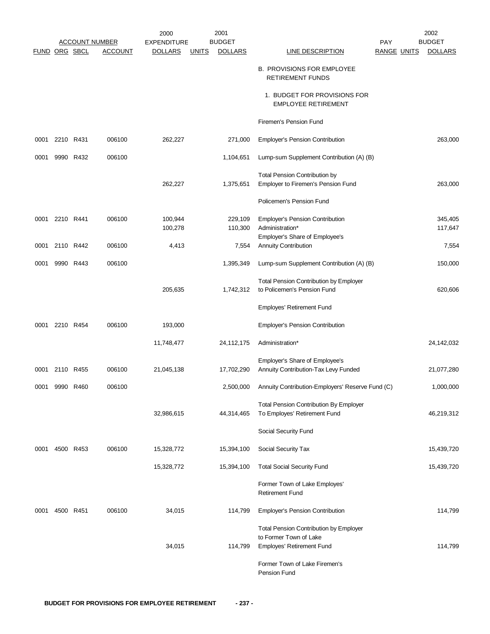|                      |           |           |                       | 2000               | 2001                           |                                                                              |                    | 2002           |
|----------------------|-----------|-----------|-----------------------|--------------------|--------------------------------|------------------------------------------------------------------------------|--------------------|----------------|
|                      |           |           | <b>ACCOUNT NUMBER</b> | <b>EXPENDITURE</b> | <b>BUDGET</b>                  |                                                                              | <b>PAY</b>         | <b>BUDGET</b>  |
| <b>FUND ORG SBCL</b> |           |           | <b>ACCOUNT</b>        | <b>DOLLARS</b>     | <b>DOLLARS</b><br><b>UNITS</b> | <b>LINE DESCRIPTION</b>                                                      | <b>RANGE UNITS</b> | <b>DOLLARS</b> |
|                      |           |           |                       |                    |                                | <b>B. PROVISIONS FOR EMPLOYEE</b><br><b>RETIREMENT FUNDS</b>                 |                    |                |
|                      |           |           |                       |                    |                                | 1. BUDGET FOR PROVISIONS FOR<br><b>EMPLOYEE RETIREMENT</b>                   |                    |                |
|                      |           |           |                       |                    |                                | Firemen's Pension Fund                                                       |                    |                |
| 0001                 | 2210      | R431      | 006100                | 262,227            | 271,000                        | <b>Employer's Pension Contribution</b>                                       |                    | 263,000        |
| 0001                 |           | 9990 R432 | 006100                |                    | 1,104,651                      | Lump-sum Supplement Contribution (A) (B)                                     |                    |                |
|                      |           |           |                       |                    |                                |                                                                              |                    |                |
|                      |           |           |                       | 262,227            | 1,375,651                      | <b>Total Pension Contribution by</b><br>Employer to Firemen's Pension Fund   |                    | 263,000        |
|                      |           |           |                       |                    |                                | Policemen's Pension Fund                                                     |                    |                |
|                      |           |           |                       |                    |                                |                                                                              |                    |                |
| 0001                 | 2210 R441 |           | 006100                | 100,944            | 229,109                        | <b>Employer's Pension Contribution</b>                                       |                    | 345,405        |
|                      |           |           |                       | 100,278            | 110,300                        | Administration*<br>Employer's Share of Employee's                            |                    | 117,647        |
| 0001                 |           | 2110 R442 | 006100                | 4,413              | 7,554                          | <b>Annuity Contribution</b>                                                  |                    | 7,554          |
| 0001                 |           | 9990 R443 | 006100                |                    | 1,395,349                      | Lump-sum Supplement Contribution (A) (B)                                     |                    | 150,000        |
|                      |           |           |                       |                    |                                |                                                                              |                    |                |
|                      |           |           |                       | 205,635            | 1,742,312                      | <b>Total Pension Contribution by Employer</b><br>to Policemen's Pension Fund |                    | 620,606        |
|                      |           |           |                       |                    |                                | Employes' Retirement Fund                                                    |                    |                |
| 0001                 |           | 2210 R454 | 006100                | 193,000            |                                | <b>Employer's Pension Contribution</b>                                       |                    |                |
|                      |           |           |                       | 11,748,477         | 24,112,175                     | Administration*                                                              |                    | 24,142,032     |
|                      |           |           |                       |                    |                                |                                                                              |                    |                |
|                      |           |           |                       |                    |                                | Employer's Share of Employee's                                               |                    |                |
| 0001                 |           | 2110 R455 | 006100                | 21,045,138         | 17,702,290                     | Annuity Contribution-Tax Levy Funded                                         |                    | 21,077,280     |
| 0001                 | 9990      | R460      | 006100                |                    | 2,500,000                      | Annuity Contribution-Employers' Reserve Fund (C)                             |                    | 1,000,000      |
|                      |           |           |                       |                    |                                | <b>Total Pension Contribution By Employer</b>                                |                    |                |
|                      |           |           |                       | 32,986,615         | 44,314,465                     | To Employes' Retirement Fund                                                 |                    | 46,219,312     |
|                      |           |           |                       |                    |                                | Social Security Fund                                                         |                    |                |
| 0001                 |           | 4500 R453 | 006100                | 15,328,772         | 15,394,100                     | Social Security Tax                                                          |                    | 15,439,720     |
|                      |           |           |                       | 15,328,772         | 15,394,100                     | <b>Total Social Security Fund</b>                                            |                    | 15,439,720     |
|                      |           |           |                       |                    |                                | Former Town of Lake Employes'                                                |                    |                |
|                      |           |           |                       |                    |                                | <b>Retirement Fund</b>                                                       |                    |                |
| 0001                 |           | 4500 R451 | 006100                | 34,015             | 114,799                        | <b>Employer's Pension Contribution</b>                                       |                    | 114,799        |
|                      |           |           |                       |                    |                                | <b>Total Pension Contribution by Employer</b>                                |                    |                |
|                      |           |           |                       |                    |                                | to Former Town of Lake                                                       |                    |                |
|                      |           |           |                       | 34,015             | 114,799                        | Employes' Retirement Fund                                                    |                    | 114,799        |
|                      |           |           |                       |                    |                                | Former Town of Lake Firemen's<br>Pension Fund                                |                    |                |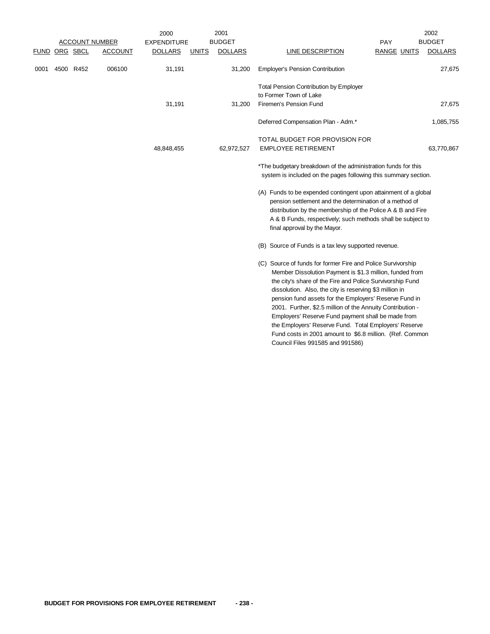|      |                      |                       |                | 2000               |              | 2001           |                                                                                                                                                                                                                                                                                                                                                                                                                                                                                                                                                                                        |                    | 2002           |
|------|----------------------|-----------------------|----------------|--------------------|--------------|----------------|----------------------------------------------------------------------------------------------------------------------------------------------------------------------------------------------------------------------------------------------------------------------------------------------------------------------------------------------------------------------------------------------------------------------------------------------------------------------------------------------------------------------------------------------------------------------------------------|--------------------|----------------|
|      |                      | <b>ACCOUNT NUMBER</b> |                | <b>EXPENDITURE</b> |              | <b>BUDGET</b>  |                                                                                                                                                                                                                                                                                                                                                                                                                                                                                                                                                                                        | PAY                | <b>BUDGET</b>  |
|      | <u>FUND ORG SBCL</u> |                       | <b>ACCOUNT</b> | <b>DOLLARS</b>     | <b>UNITS</b> | <b>DOLLARS</b> | LINE DESCRIPTION                                                                                                                                                                                                                                                                                                                                                                                                                                                                                                                                                                       | <b>RANGE UNITS</b> | <b>DOLLARS</b> |
| 0001 |                      | 4500 R452             | 006100         | 31,191             |              | 31,200         | <b>Employer's Pension Contribution</b>                                                                                                                                                                                                                                                                                                                                                                                                                                                                                                                                                 |                    | 27,675         |
|      |                      |                       |                |                    |              |                | <b>Total Pension Contribution by Employer</b>                                                                                                                                                                                                                                                                                                                                                                                                                                                                                                                                          |                    |                |
|      |                      |                       |                |                    |              |                | to Former Town of Lake                                                                                                                                                                                                                                                                                                                                                                                                                                                                                                                                                                 |                    |                |
|      |                      |                       |                | 31,191             |              | 31,200         | Firemen's Pension Fund                                                                                                                                                                                                                                                                                                                                                                                                                                                                                                                                                                 |                    | 27,675         |
|      |                      |                       |                |                    |              |                | Deferred Compensation Plan - Adm.*                                                                                                                                                                                                                                                                                                                                                                                                                                                                                                                                                     |                    | 1,085,755      |
|      |                      |                       |                |                    |              |                | TOTAL BUDGET FOR PROVISION FOR                                                                                                                                                                                                                                                                                                                                                                                                                                                                                                                                                         |                    |                |
|      |                      |                       |                | 48,848,455         |              | 62,972,527     | <b>EMPLOYEE RETIREMENT</b>                                                                                                                                                                                                                                                                                                                                                                                                                                                                                                                                                             |                    | 63,770,867     |
|      |                      |                       |                |                    |              |                | *The budgetary breakdown of the administration funds for this<br>system is included on the pages following this summary section.                                                                                                                                                                                                                                                                                                                                                                                                                                                       |                    |                |
|      |                      |                       |                |                    |              |                | (A) Funds to be expended contingent upon attainment of a global<br>pension settlement and the determination of a method of<br>distribution by the membership of the Police A & B and Fire<br>A & B Funds, respectively; such methods shall be subject to<br>final approval by the Mayor.                                                                                                                                                                                                                                                                                               |                    |                |
|      |                      |                       |                |                    |              |                | (B) Source of Funds is a tax levy supported revenue.                                                                                                                                                                                                                                                                                                                                                                                                                                                                                                                                   |                    |                |
|      |                      |                       |                |                    |              |                | (C) Source of funds for former Fire and Police Survivorship<br>Member Dissolution Payment is \$1.3 million, funded from<br>the city's share of the Fire and Police Survivorship Fund<br>dissolution. Also, the city is reserving \$3 million in<br>pension fund assets for the Employers' Reserve Fund in<br>2001. Further, \$2.5 million of the Annuity Contribution -<br>Employers' Reserve Fund payment shall be made from<br>the Employers' Reserve Fund. Total Employers' Reserve<br>Fund costs in 2001 amount to \$6.8 million. (Ref. Common<br>Council Files 991585 and 991586) |                    |                |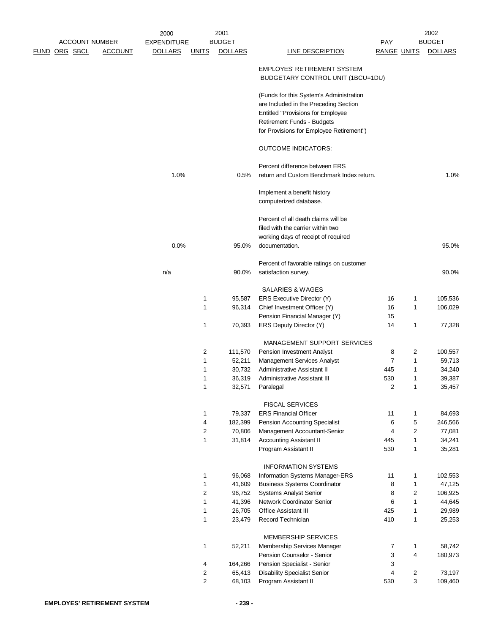|                       |                | 2000               |                | 2001           |                                                                                                                                                                                                        |                    |                | 2002           |
|-----------------------|----------------|--------------------|----------------|----------------|--------------------------------------------------------------------------------------------------------------------------------------------------------------------------------------------------------|--------------------|----------------|----------------|
| <b>ACCOUNT NUMBER</b> |                | <b>EXPENDITURE</b> |                | <b>BUDGET</b>  |                                                                                                                                                                                                        | PAY                |                | <b>BUDGET</b>  |
| <u>FUND ORG SBCL</u>  | <b>ACCOUNT</b> | <b>DOLLARS</b>     | <u>UNITS</u>   | <b>DOLLARS</b> | <b>LINE DESCRIPTION</b>                                                                                                                                                                                | <b>RANGE UNITS</b> |                | <b>DOLLARS</b> |
|                       |                |                    |                |                | <b>EMPLOYES' RETIREMENT SYSTEM</b><br>BUDGETARY CONTROL UNIT (1BCU=1DU)                                                                                                                                |                    |                |                |
|                       |                |                    |                |                | (Funds for this System's Administration<br>are Included in the Preceding Section<br><b>Entitled "Provisions for Employee</b><br>Retirement Funds - Budgets<br>for Provisions for Employee Retirement") |                    |                |                |
|                       |                |                    |                |                | <b>OUTCOME INDICATORS:</b>                                                                                                                                                                             |                    |                |                |
|                       |                | 1.0%               |                | 0.5%           | Percent difference between ERS<br>return and Custom Benchmark Index return.                                                                                                                            |                    |                | 1.0%           |
|                       |                |                    |                |                | Implement a benefit history<br>computerized database.                                                                                                                                                  |                    |                |                |
|                       |                |                    |                |                | Percent of all death claims will be<br>filed with the carrier within two<br>working days of receipt of required                                                                                        |                    |                |                |
|                       |                | 0.0%               |                | 95.0%          | documentation.                                                                                                                                                                                         |                    |                | 95.0%          |
|                       |                | n/a                |                | 90.0%          | Percent of favorable ratings on customer<br>satisfaction survey.                                                                                                                                       |                    |                | 90.0%          |
|                       |                |                    |                |                | SALARIES & WAGES                                                                                                                                                                                       |                    |                |                |
|                       |                |                    | 1              | 95,587         | ERS Executive Director (Y)                                                                                                                                                                             | 16                 | 1              | 105,536        |
|                       |                |                    | 1              | 96,314         | Chief Investment Officer (Y)                                                                                                                                                                           | 16                 | $\mathbf{1}$   | 106,029        |
|                       |                |                    |                |                | Pension Financial Manager (Y)                                                                                                                                                                          | 15                 |                |                |
|                       |                |                    | 1              | 70,393         | ERS Deputy Director (Y)                                                                                                                                                                                | 14                 | $\mathbf{1}$   | 77,328         |
|                       |                |                    |                |                | MANAGEMENT SUPPORT SERVICES                                                                                                                                                                            |                    |                |                |
|                       |                |                    | 2              | 111,570        | Pension Investment Analyst                                                                                                                                                                             | 8                  | 2              | 100,557        |
|                       |                |                    | 1              | 52,211         | Management Services Analyst                                                                                                                                                                            | $\overline{7}$     | $\mathbf{1}$   | 59,713         |
|                       |                |                    | 1              | 30,732         | Administrative Assistant II                                                                                                                                                                            | 445                | 1              | 34,240         |
|                       |                |                    | 1              | 36,319         | Administrative Assistant III                                                                                                                                                                           | 530                | 1              | 39,387         |
|                       |                |                    | 1              | 32,571         | Paralegal                                                                                                                                                                                              | $\overline{2}$     | $\mathbf 1$    | 35,457         |
|                       |                |                    |                |                | <b>FISCAL SERVICES</b>                                                                                                                                                                                 |                    |                |                |
|                       |                |                    | 1              | 79,337         | <b>ERS Financial Officer</b>                                                                                                                                                                           | 11                 | $\mathbf{1}$   | 84,693         |
|                       |                |                    | 4              | 182,399        | Pension Accounting Specialist                                                                                                                                                                          | 6                  | 5              | 246,566        |
|                       |                |                    | 2              | 70,806         | Management Accountant-Senior                                                                                                                                                                           | 4                  | $\overline{c}$ | 77,081         |
|                       |                |                    | $\mathbf{1}$   | 31,814         | <b>Accounting Assistant II</b>                                                                                                                                                                         | 445                | $\mathbf{1}$   | 34,241         |
|                       |                |                    |                |                | Program Assistant II                                                                                                                                                                                   | 530                | $\mathbf{1}$   | 35,281         |
|                       |                |                    |                |                | <b>INFORMATION SYSTEMS</b>                                                                                                                                                                             |                    |                |                |
|                       |                |                    | 1              | 96,068         | Information Systems Manager-ERS                                                                                                                                                                        | 11                 | $\mathbf{1}$   | 102,553        |
|                       |                |                    | 1              | 41,609         | <b>Business Systems Coordinator</b>                                                                                                                                                                    | 8                  | $\mathbf{1}$   | 47,125         |
|                       |                |                    | 2              | 96,752         | Systems Analyst Senior                                                                                                                                                                                 | 8                  | $\overline{2}$ | 106,925        |
|                       |                |                    | $\mathbf{1}$   | 41,396         | Network Coordinator Senior                                                                                                                                                                             | 6                  | $\mathbf{1}$   | 44,645         |
|                       |                |                    | 1              | 26,705         | <b>Office Assistant III</b>                                                                                                                                                                            | 425                | $\mathbf{1}$   | 29,989         |
|                       |                |                    | 1              | 23,479         | Record Technician                                                                                                                                                                                      | 410                | $\mathbf{1}$   | 25,253         |
|                       |                |                    |                |                | MEMBERSHIP SERVICES                                                                                                                                                                                    |                    |                |                |
|                       |                |                    | 1              | 52,211         | Membership Services Manager                                                                                                                                                                            | 7                  | $\mathbf{1}$   | 58,742         |
|                       |                |                    |                |                | Pension Counselor - Senior                                                                                                                                                                             | 3                  | 4              | 180,973        |
|                       |                |                    | 4              | 164,266        | Pension Specialist - Senior                                                                                                                                                                            | 3                  |                |                |
|                       |                |                    | 2              | 65,413         | <b>Disability Specialist Senior</b>                                                                                                                                                                    | 4                  | 2              | 73,197         |
|                       |                |                    | $\overline{2}$ | 68,103         | Program Assistant II                                                                                                                                                                                   | 530                | 3              | 109,460        |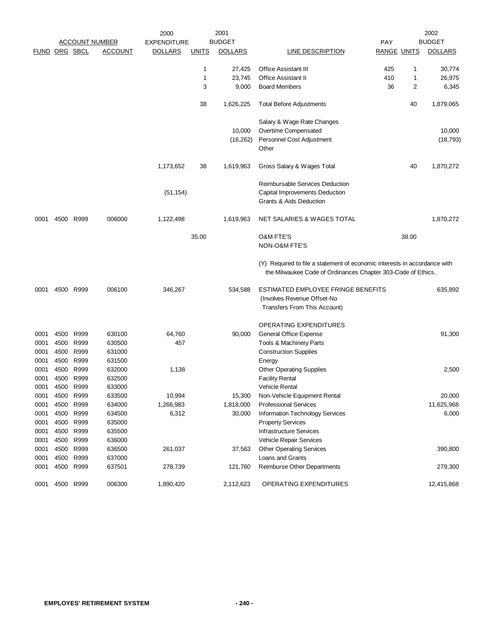|               |           |                   | <u>ACCOUNT NUMBER</u> | 2000<br><b>EXPENDITURE</b> |              | 2001<br><b>BUDGET</b> |                                                                                                                                           | <b>PAY</b>         |       | 2002<br><b>BUDGET</b> |
|---------------|-----------|-------------------|-----------------------|----------------------------|--------------|-----------------------|-------------------------------------------------------------------------------------------------------------------------------------------|--------------------|-------|-----------------------|
| FUND ORG SBCL |           |                   | <b>ACCOUNT</b>        | <b>DOLLARS</b>             | <u>UNITS</u> | <b>DOLLARS</b>        | LINE DESCRIPTION                                                                                                                          | <b>RANGE UNITS</b> |       | <b>DOLLARS</b>        |
|               |           |                   |                       |                            |              |                       |                                                                                                                                           |                    |       |                       |
|               |           |                   |                       |                            | 1            | 27,425                | <b>Office Assistant III</b>                                                                                                               | 425                | 1     | 30,774                |
|               |           |                   |                       |                            | 1            | 23,745                | <b>Office Assistant II</b>                                                                                                                | 410                | 1     | 26,975                |
|               |           |                   |                       |                            | 3            | 9,000                 | <b>Board Members</b>                                                                                                                      | 36                 | 2     | 6,345                 |
|               |           |                   |                       |                            | 38           | 1,626,225             | <b>Total Before Adjustments</b>                                                                                                           |                    | 40    | 1,879,065             |
|               |           |                   |                       |                            |              |                       | Salary & Wage Rate Changes                                                                                                                |                    |       |                       |
|               |           |                   |                       |                            |              | 10,000                | Overtime Compensated                                                                                                                      |                    |       | 10,000                |
|               |           |                   |                       |                            |              | (16, 262)             | Personnel Cost Adjustment                                                                                                                 |                    |       | (18, 793)             |
|               |           |                   |                       |                            |              |                       | Other                                                                                                                                     |                    |       |                       |
|               |           |                   |                       | 1,173,652                  | 38           | 1,619,963             | Gross Salary & Wages Total                                                                                                                |                    | 40    | 1,870,272             |
|               |           |                   |                       | (51, 154)                  |              |                       | Reimbursable Services Deduction<br>Capital Improvements Deduction<br>Grants & Aids Deduction                                              |                    |       |                       |
| 0001          | 4500      | R999              | 006000                | 1,122,498                  |              | 1,619,963             | NET SALARIES & WAGES TOTAL                                                                                                                |                    |       | 1,870,272             |
|               |           |                   |                       |                            |              |                       |                                                                                                                                           |                    |       |                       |
|               |           |                   |                       |                            | 35.00        |                       | <b>O&amp;M FTE'S</b><br>NON-O&M FTE'S                                                                                                     |                    | 38.00 |                       |
|               |           |                   |                       |                            |              |                       | (Y) Required to file a statement of economic interests in accordance with<br>the Milwaukee Code of Ordinances Chapter 303-Code of Ethics. |                    |       |                       |
| 0001          |           | 4500 R999         | 006100                | 346,267                    |              | 534,588               | ESTIMATED EMPLOYEE FRINGE BENEFITS                                                                                                        |                    |       | 635,892               |
|               |           |                   |                       |                            |              |                       | (Involves Revenue Offset-No                                                                                                               |                    |       |                       |
|               |           |                   |                       |                            |              |                       | Transfers From This Account)                                                                                                              |                    |       |                       |
|               |           |                   |                       |                            |              |                       | OPERATING EXPENDITURES                                                                                                                    |                    |       |                       |
| 0001          | 4500      | R999              | 630100                | 64,760                     |              | 90,000                | General Office Expense                                                                                                                    |                    |       | 91,300                |
| 0001          | 4500      | R999              | 630500                | 457                        |              |                       | Tools & Machinery Parts                                                                                                                   |                    |       |                       |
| 0001          | 4500      | R999<br>4500 R999 | 631000                |                            |              |                       | <b>Construction Supplies</b>                                                                                                              |                    |       |                       |
| 0001          |           | 4500 R999         | 631500                |                            |              |                       | Energy<br><b>Other Operating Supplies</b>                                                                                                 |                    |       |                       |
| 0001<br>0001  | 4500      | R999              | 632000<br>632500      | 1,138                      |              |                       | <b>Facility Rental</b>                                                                                                                    |                    |       | 2,500                 |
| 0001          | 4500      | R999              | 633000                |                            |              |                       | <b>Vehicle Rental</b>                                                                                                                     |                    |       |                       |
| 0001          |           | 4500 R999         | 633500                | 10,994                     |              | 15,300                | Non-Vehicle Equipment Rental                                                                                                              |                    |       | 20,000                |
| 0001          |           | 4500 R999         | 634000                | 1,266,983                  |              | 1,818,000             | <b>Professional Services</b>                                                                                                              |                    |       | 11,625,968            |
| 0001          |           | 4500 R999         | 634500                | 6,312                      |              | 30,000                | <b>Information Technology Services</b>                                                                                                    |                    |       | 6,000                 |
| 0001          |           | 4500 R999         | 635000                |                            |              |                       | <b>Property Services</b>                                                                                                                  |                    |       |                       |
| 0001          | 4500 R999 |                   | 635500                |                            |              |                       | Infrastructure Services                                                                                                                   |                    |       |                       |
| 0001          | 4500      | R999              | 636000                |                            |              |                       | Vehicle Repair Services                                                                                                                   |                    |       |                       |
| 0001          |           | 4500 R999         | 636500                | 261,037                    |              | 37,563                | <b>Other Operating Services</b>                                                                                                           |                    |       | 390,800               |
| 0001          |           | 4500 R999         | 637000                |                            |              |                       | Loans and Grants                                                                                                                          |                    |       |                       |
| 0001          |           | 4500 R999         | 637501                | 278,739                    |              | 121,760               | Reimburse Other Departments                                                                                                               |                    |       | 279,300               |
| 0001          | 4500 R999 |                   | 006300                | 1,890,420                  |              | 2,112,623             | OPERATING EXPENDITURES                                                                                                                    |                    |       | 12,415,868            |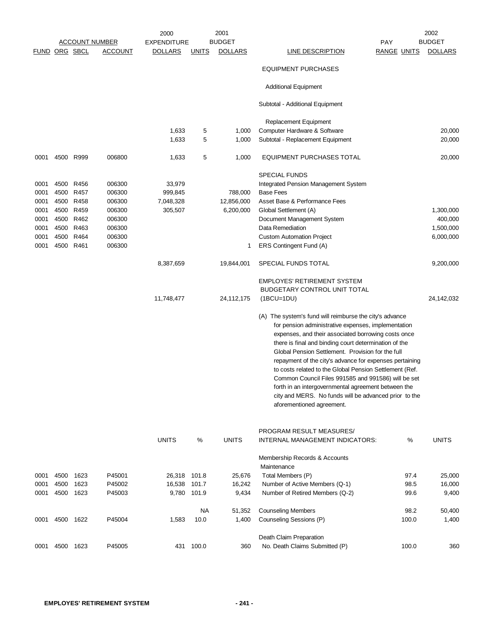|               |           |           |                       | 2000               |              | 2001           |                                                                                    |                    | 2002           |
|---------------|-----------|-----------|-----------------------|--------------------|--------------|----------------|------------------------------------------------------------------------------------|--------------------|----------------|
|               |           |           | <b>ACCOUNT NUMBER</b> | <b>EXPENDITURE</b> |              | <b>BUDGET</b>  |                                                                                    | <b>PAY</b>         | <b>BUDGET</b>  |
| FUND ORG SBCL |           |           | <b>ACCOUNT</b>        | <b>DOLLARS</b>     | <b>UNITS</b> | <b>DOLLARS</b> | LINE DESCRIPTION                                                                   | <b>RANGE UNITS</b> | <b>DOLLARS</b> |
|               |           |           |                       |                    |              |                | <b>EQUIPMENT PURCHASES</b>                                                         |                    |                |
|               |           |           |                       |                    |              |                | <b>Additional Equipment</b>                                                        |                    |                |
|               |           |           |                       |                    |              |                | Subtotal - Additional Equipment                                                    |                    |                |
|               |           |           |                       |                    |              |                | Replacement Equipment                                                              |                    |                |
|               |           |           |                       | 1,633              | 5            | 1,000          | Computer Hardware & Software                                                       |                    | 20,000         |
|               |           |           |                       | 1,633              | 5            | 1,000          | Subtotal - Replacement Equipment                                                   |                    | 20,000         |
| 0001          |           | 4500 R999 | 006800                | 1,633              | 5            | 1,000          | <b>EQUIPMENT PURCHASES TOTAL</b>                                                   |                    | 20,000         |
|               |           |           |                       |                    |              |                | <b>SPECIAL FUNDS</b>                                                               |                    |                |
| 0001          |           | 4500 R456 | 006300                | 33,979             |              |                | Integrated Pension Management System                                               |                    |                |
| 0001          |           | 4500 R457 | 006300                | 999,845            |              | 788,000        | <b>Base Fees</b>                                                                   |                    |                |
| 0001          |           | 4500 R458 | 006300                | 7,048,328          |              | 12,856,000     | Asset Base & Performance Fees                                                      |                    |                |
| 0001          |           | 4500 R459 | 006300                | 305,507            |              | 6,200,000      | Global Settlement (A)                                                              |                    | 1,300,000      |
| 0001          |           | 4500 R462 | 006300                |                    |              |                | Document Management System                                                         |                    | 400,000        |
| 0001          |           | 4500 R463 | 006300                |                    |              |                | Data Remediation                                                                   |                    | 1,500,000      |
| 0001          |           | 4500 R464 | 006300                |                    |              |                | <b>Custom Automation Project</b>                                                   |                    | 6,000,000      |
|               |           |           |                       |                    |              |                |                                                                                    |                    |                |
| 0001          | 4500 R461 |           | 006300                |                    |              | 1              | ERS Contingent Fund (A)                                                            |                    |                |
|               |           |           |                       | 8,387,659          |              | 19,844,001     | SPECIAL FUNDS TOTAL                                                                |                    | 9,200,000      |
|               |           |           |                       |                    |              |                | <b>EMPLOYES' RETIREMENT SYSTEM</b>                                                 |                    |                |
|               |           |           |                       |                    |              |                | BUDGETARY CONTROL UNIT TOTAL                                                       |                    |                |
|               |           |           |                       | 11,748,477         |              | 24,112,175     | $(1BCU=1DU)$                                                                       |                    | 24,142,032     |
|               |           |           |                       |                    |              |                | (A) The system's fund will reimburse the city's advance                            |                    |                |
|               |           |           |                       |                    |              |                |                                                                                    |                    |                |
|               |           |           |                       |                    |              |                | for pension administrative expenses, implementation                                |                    |                |
|               |           |           |                       |                    |              |                | expenses, and their associated borrowing costs once                                |                    |                |
|               |           |           |                       |                    |              |                | there is final and binding court determination of the                              |                    |                |
|               |           |           |                       |                    |              |                | Global Pension Settlement. Provision for the full                                  |                    |                |
|               |           |           |                       |                    |              |                | repayment of the city's advance for expenses pertaining                            |                    |                |
|               |           |           |                       |                    |              |                | to costs related to the Global Pension Settlement (Ref.                            |                    |                |
|               |           |           |                       |                    |              |                | Common Council Files 991585 and 991586) will be set                                |                    |                |
|               |           |           |                       |                    |              |                | forth in an intergovernmental agreement between the                                |                    |                |
|               |           |           |                       |                    |              |                | city and MERS. No funds will be advanced prior to the<br>aforementioned agreement. |                    |                |
|               |           |           |                       |                    |              |                |                                                                                    |                    |                |
|               |           |           |                       |                    |              |                | PROGRAM RESULT MEASURES/                                                           |                    |                |
|               |           |           |                       | <b>UNITS</b>       | $\%$         | <b>UNITS</b>   | INTERNAL MANAGEMENT INDICATORS:                                                    | $\%$               | <b>UNITS</b>   |
|               |           |           |                       |                    |              |                | Membership Records & Accounts                                                      |                    |                |
|               |           |           |                       |                    |              |                | Maintenance                                                                        |                    |                |
| 0001          | 4500      | 1623      | P45001                | 26,318             | 101.8        | 25,676         | Total Members (P)                                                                  | 97.4               | 25,000         |
| 0001          | 4500      | 1623      | P45002                | 16,538             | 101.7        | 16,242         | Number of Active Members (Q-1)                                                     | 98.5               | 16,000         |
| 0001          | 4500      | 1623      | P45003                | 9,780              | 101.9        | 9,434          | Number of Retired Members (Q-2)                                                    | 99.6               | 9,400          |
|               |           |           |                       |                    |              |                |                                                                                    |                    |                |
|               |           |           |                       |                    | NA.          | 51,352         | <b>Counseling Members</b>                                                          | 98.2               | 50,400         |
| 0001          | 4500      | 1622      | P45004                | 1,583              | 10.0         | 1,400          | Counseling Sessions (P)                                                            | 100.0              | 1,400          |
|               |           |           |                       |                    |              |                | Death Claim Preparation                                                            |                    |                |
| 0001          | 4500      | 1623      | P45005                |                    | 431 100.0    | 360            | No. Death Claims Submitted (P)                                                     | 100.0              | 360            |
|               |           |           |                       |                    |              |                |                                                                                    |                    |                |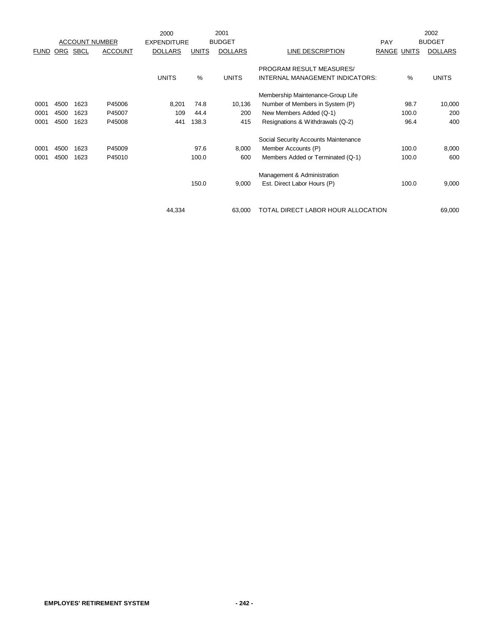|             |      |                       |                | 2000               |              | 2001           |                                      |                    | 2002           |
|-------------|------|-----------------------|----------------|--------------------|--------------|----------------|--------------------------------------|--------------------|----------------|
|             |      | <b>ACCOUNT NUMBER</b> |                | <b>EXPENDITURE</b> |              | <b>BUDGET</b>  |                                      | <b>PAY</b>         | <b>BUDGET</b>  |
| <b>FUND</b> | ORG  | <b>SBCL</b>           | <b>ACCOUNT</b> | <b>DOLLARS</b>     | <b>UNITS</b> | <b>DOLLARS</b> | LINE DESCRIPTION                     | <b>RANGE UNITS</b> | <b>DOLLARS</b> |
|             |      |                       |                |                    |              |                | PROGRAM RESULT MEASURES/             |                    |                |
|             |      |                       |                | <b>UNITS</b>       | %            | <b>UNITS</b>   | INTERNAL MANAGEMENT INDICATORS:      | %                  | <b>UNITS</b>   |
|             |      |                       |                |                    |              |                |                                      |                    |                |
|             |      |                       |                |                    |              |                | Membership Maintenance-Group Life    |                    |                |
| 0001        | 4500 | 1623                  | P45006         | 8,201              | 74.8         | 10,136         | Number of Members in System (P)      | 98.7               | 10,000         |
| 0001        | 4500 | 1623                  | P45007         | 109                | 44.4         | 200            | New Members Added (Q-1)              | 100.0              | 200            |
| 0001        | 4500 | 1623                  | P45008         | 441                | 138.3        | 415            | Resignations & Withdrawals (Q-2)     | 96.4               | 400            |
|             |      |                       |                |                    |              |                | Social Security Accounts Maintenance |                    |                |
| 0001        | 4500 | 1623                  | P45009         |                    | 97.6         | 8,000          | Member Accounts (P)                  | 100.0              | 8,000          |
| 0001        | 4500 | 1623                  | P45010         |                    | 100.0        | 600            | Members Added or Terminated (Q-1)    | 100.0              | 600            |
|             |      |                       |                |                    |              |                | Management & Administration          |                    |                |
|             |      |                       |                |                    | 150.0        | 9,000          | Est. Direct Labor Hours (P)          | 100.0              | 9,000          |
|             |      |                       |                |                    |              |                |                                      |                    |                |
|             |      |                       |                | 44,334             |              | 63,000         | TOTAL DIRECT LABOR HOUR ALLOCATION   |                    | 69,000         |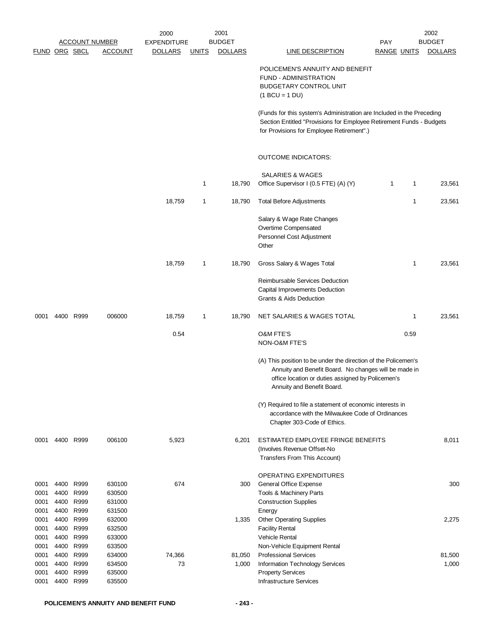|                                      |                              |                                           |                                                | 2000               |              | 2001            |                                                                                                                                                                                                            |                    |      | 2002            |
|--------------------------------------|------------------------------|-------------------------------------------|------------------------------------------------|--------------------|--------------|-----------------|------------------------------------------------------------------------------------------------------------------------------------------------------------------------------------------------------------|--------------------|------|-----------------|
|                                      |                              | <u>ACCOUNT NUMBER</u>                     |                                                | <b>EXPENDITURE</b> |              | <b>BUDGET</b>   |                                                                                                                                                                                                            | <b>PAY</b>         |      | <b>BUDGET</b>   |
| FUND ORG SBCL                        |                              |                                           | <b>ACCOUNT</b>                                 | <b>DOLLARS</b>     | <b>UNITS</b> | <b>DOLLARS</b>  | LINE DESCRIPTION                                                                                                                                                                                           | <b>RANGE UNITS</b> |      | <b>DOLLARS</b>  |
|                                      |                              |                                           |                                                |                    |              |                 | POLICEMEN'S ANNUITY AND BENEFIT<br>FUND - ADMINISTRATION<br><b>BUDGETARY CONTROL UNIT</b><br>$(1 BCU = 1 DU)$                                                                                              |                    |      |                 |
|                                      |                              |                                           |                                                |                    |              |                 | (Funds for this system's Administration are Included in the Preceding<br>Section Entitled "Provisions for Employee Retirement Funds - Budgets<br>for Provisions for Employee Retirement".)                 |                    |      |                 |
|                                      |                              |                                           |                                                |                    |              |                 | <b>OUTCOME INDICATORS:</b>                                                                                                                                                                                 |                    |      |                 |
|                                      |                              |                                           |                                                |                    |              |                 | SALARIES & WAGES                                                                                                                                                                                           |                    |      |                 |
|                                      |                              |                                           |                                                |                    | 1            | 18,790          | Office Supervisor I (0.5 FTE) (A) (Y)                                                                                                                                                                      | 1                  | 1    | 23,561          |
|                                      |                              |                                           |                                                | 18,759             | 1            | 18,790          | <b>Total Before Adjustments</b>                                                                                                                                                                            |                    | 1    | 23,561          |
|                                      |                              |                                           |                                                |                    |              |                 | Salary & Wage Rate Changes<br>Overtime Compensated<br>Personnel Cost Adjustment<br>Other                                                                                                                   |                    |      |                 |
|                                      |                              |                                           |                                                | 18,759             | 1            | 18,790          | Gross Salary & Wages Total                                                                                                                                                                                 |                    | 1    | 23,561          |
|                                      |                              |                                           |                                                |                    |              |                 | Reimbursable Services Deduction<br>Capital Improvements Deduction<br>Grants & Aids Deduction                                                                                                               |                    |      |                 |
| 0001                                 |                              | 4400 R999                                 | 006000                                         | 18,759             | 1            | 18,790          | NET SALARIES & WAGES TOTAL                                                                                                                                                                                 |                    | 1    | 23,561          |
|                                      |                              |                                           |                                                | 0.54               |              |                 | <b>O&amp;M FTE'S</b><br>NON-O&M FTE'S                                                                                                                                                                      |                    | 0.59 |                 |
|                                      |                              |                                           |                                                |                    |              |                 | (A) This position to be under the direction of the Policemen's<br>Annuity and Benefit Board. No changes will be made in<br>office location or duties assigned by Policemen's<br>Annuity and Benefit Board. |                    |      |                 |
|                                      |                              |                                           |                                                |                    |              |                 | (Y) Required to file a statement of economic interests in<br>accordance with the Milwaukee Code of Ordinances<br>Chapter 303-Code of Ethics.                                                               |                    |      |                 |
| 0001                                 |                              | 4400 R999                                 | 006100                                         | 5,923              |              | 6,201           | ESTIMATED EMPLOYEE FRINGE BENEFITS<br>(Involves Revenue Offset-No<br>Transfers From This Account)                                                                                                          |                    |      | 8,011           |
| 0001<br>0001<br>0001                 | 4400<br>4400                 | 4400 R999<br>R999<br>R999                 | 630100<br>630500<br>631000                     | 674                |              | 300             | <b>OPERATING EXPENDITURES</b><br>General Office Expense<br>Tools & Machinery Parts<br><b>Construction Supplies</b>                                                                                         |                    |      | 300             |
| 0001<br>0001<br>0001<br>0001         | 4400<br>4400                 | R999<br>R999<br>4400 R999<br>4400 R999    | 631500<br>632000<br>632500<br>633000           |                    |              | 1,335           | Energy<br><b>Other Operating Supplies</b><br><b>Facility Rental</b><br>Vehicle Rental                                                                                                                      |                    |      | 2,275           |
| 0001<br>0001<br>0001<br>0001<br>0001 | 4400<br>4400<br>4400<br>4400 | R999<br>R999<br>4400 R999<br>R999<br>R999 | 633500<br>634000<br>634500<br>635000<br>635500 | 74,366<br>73       |              | 81,050<br>1,000 | Non-Vehicle Equipment Rental<br><b>Professional Services</b><br>Information Technology Services<br><b>Property Services</b><br><b>Infrastructure Services</b>                                              |                    |      | 81,500<br>1,000 |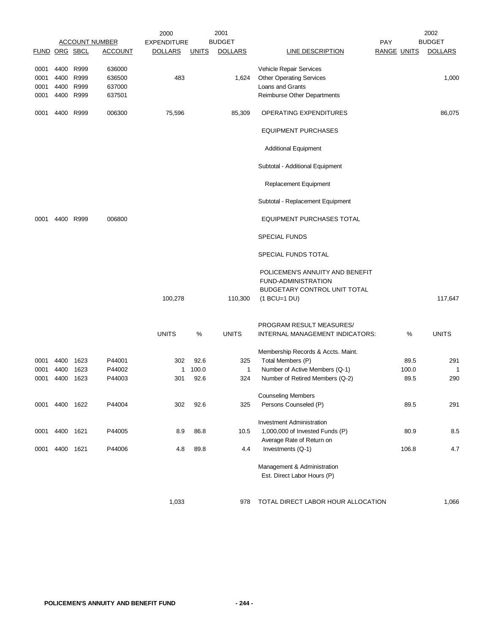|                      |           |           |                       | 2000               |              | 2001           |                                                            |                    |       | 2002           |
|----------------------|-----------|-----------|-----------------------|--------------------|--------------|----------------|------------------------------------------------------------|--------------------|-------|----------------|
|                      |           |           | <b>ACCOUNT NUMBER</b> | <b>EXPENDITURE</b> |              | <b>BUDGET</b>  |                                                            | <b>PAY</b>         |       | <b>BUDGET</b>  |
| <b>FUND ORG SBCL</b> |           |           | <b>ACCOUNT</b>        | <b>DOLLARS</b>     | <u>UNITS</u> | <b>DOLLARS</b> | <b>LINE DESCRIPTION</b>                                    | <b>RANGE UNITS</b> |       | <b>DOLLARS</b> |
| 0001                 |           | 4400 R999 | 636000                |                    |              |                | Vehicle Repair Services                                    |                    |       |                |
| 0001                 | 4400 R999 |           | 636500                | 483                |              | 1,624          | <b>Other Operating Services</b>                            |                    |       | 1,000          |
| 0001                 |           | 4400 R999 | 637000                |                    |              |                | Loans and Grants                                           |                    |       |                |
| 0001                 |           | 4400 R999 | 637501                |                    |              |                | Reimburse Other Departments                                |                    |       |                |
| 0001                 |           | 4400 R999 | 006300                | 75,596             |              | 85,309         | OPERATING EXPENDITURES                                     |                    |       | 86,075         |
|                      |           |           |                       |                    |              |                | <b>EQUIPMENT PURCHASES</b>                                 |                    |       |                |
|                      |           |           |                       |                    |              |                | <b>Additional Equipment</b>                                |                    |       |                |
|                      |           |           |                       |                    |              |                | Subtotal - Additional Equipment                            |                    |       |                |
|                      |           |           |                       |                    |              |                | Replacement Equipment                                      |                    |       |                |
|                      |           |           |                       |                    |              |                | Subtotal - Replacement Equipment                           |                    |       |                |
| 0001                 |           | 4400 R999 | 006800                |                    |              |                | <b>EQUIPMENT PURCHASES TOTAL</b>                           |                    |       |                |
|                      |           |           |                       |                    |              |                | <b>SPECIAL FUNDS</b>                                       |                    |       |                |
|                      |           |           |                       |                    |              |                | SPECIAL FUNDS TOTAL                                        |                    |       |                |
|                      |           |           |                       |                    |              |                | POLICEMEN'S ANNUITY AND BENEFIT                            |                    |       |                |
|                      |           |           |                       |                    |              |                | FUND-ADMINISTRATION                                        |                    |       |                |
|                      |           |           |                       |                    |              |                | BUDGETARY CONTROL UNIT TOTAL                               |                    |       |                |
|                      |           |           |                       | 100,278            |              | 110,300        | $(1 BCU=1 DU)$                                             |                    |       | 117,647        |
|                      |           |           |                       |                    |              |                | PROGRAM RESULT MEASURES/                                   |                    |       |                |
|                      |           |           |                       | <b>UNITS</b>       | ℅            | <b>UNITS</b>   | INTERNAL MANAGEMENT INDICATORS:                            |                    | %     | <b>UNITS</b>   |
|                      |           |           |                       |                    |              |                | Membership Records & Accts. Maint.                         |                    |       |                |
| 0001                 | 4400      | 1623      | P44001                | 302                | 92.6         | 325            | Total Members (P)                                          |                    | 89.5  | 291            |
| 0001                 | 4400      | 1623      | P44002                | 1                  | 100.0        | $\mathbf{1}$   | Number of Active Members (Q-1)                             |                    | 100.0 | $\mathbf{1}$   |
| 0001                 | 4400      | 1623      | P44003                | 301                | 92.6         | 324            | Number of Retired Members (Q-2)                            |                    | 89.5  | 290            |
|                      |           |           |                       |                    |              |                |                                                            |                    |       |                |
|                      |           |           |                       |                    |              |                | <b>Counseling Members</b>                                  |                    |       |                |
| 0001                 | 4400      | 1622      | P44004                | 302                | 92.6         | 325            | Persons Counseled (P)                                      |                    | 89.5  | 291            |
|                      |           |           |                       |                    |              |                | <b>Investment Administration</b>                           |                    |       |                |
| 0001                 | 4400      | 1621      | P44005                | 8.9                | 86.8         | 10.5           | 1,000,000 of Invested Funds (P)                            |                    | 80.9  | 8.5            |
|                      |           |           |                       |                    |              |                | Average Rate of Return on                                  |                    |       |                |
| 0001                 | 4400 1621 |           | P44006                | 4.8                | 89.8         | 4.4            | Investments (Q-1)                                          |                    | 106.8 | 4.7            |
|                      |           |           |                       |                    |              |                | Management & Administration<br>Est. Direct Labor Hours (P) |                    |       |                |
|                      |           |           |                       | 1,033              |              | 978            | TOTAL DIRECT LABOR HOUR ALLOCATION                         |                    |       | 1,066          |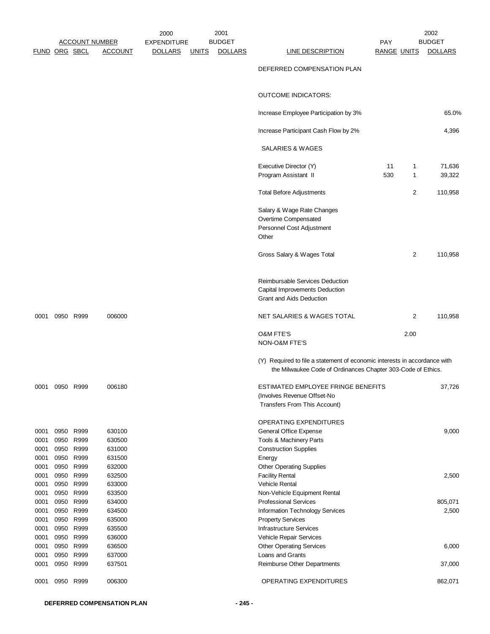|                      | <b>FUND ORG SBCL</b> | <b>ACCOUNT NUMBER</b>                            | <u>ACCOUNT</u>                       | 2000<br><b>EXPENDITURE</b><br><b>DOLLARS</b> | <u>UNITS</u> | 2001<br><b>BUDGET</b><br><b>DOLLARS</b> | <b>LINE DESCRIPTION</b>                                                                                                                   | <b>PAY</b><br><b>RANGE UNITS</b> |        | 2002<br><b>BUDGET</b><br><b>DOLLARS</b> |
|----------------------|----------------------|--------------------------------------------------|--------------------------------------|----------------------------------------------|--------------|-----------------------------------------|-------------------------------------------------------------------------------------------------------------------------------------------|----------------------------------|--------|-----------------------------------------|
|                      |                      |                                                  |                                      |                                              |              |                                         | DEFERRED COMPENSATION PLAN                                                                                                                |                                  |        |                                         |
|                      |                      |                                                  |                                      |                                              |              |                                         | <b>OUTCOME INDICATORS:</b>                                                                                                                |                                  |        |                                         |
|                      |                      |                                                  |                                      |                                              |              |                                         | Increase Employee Participation by 3%                                                                                                     |                                  |        | 65.0%                                   |
|                      |                      |                                                  |                                      |                                              |              |                                         | Increase Participant Cash Flow by 2%                                                                                                      |                                  |        | 4,396                                   |
|                      |                      |                                                  |                                      |                                              |              |                                         | SALARIES & WAGES                                                                                                                          |                                  |        |                                         |
|                      |                      |                                                  |                                      |                                              |              |                                         | Executive Director (Y)<br>Program Assistant II                                                                                            | 11<br>530                        | 1<br>1 | 71,636<br>39,322                        |
|                      |                      |                                                  |                                      |                                              |              |                                         | <b>Total Before Adjustments</b>                                                                                                           |                                  | 2      | 110,958                                 |
|                      |                      |                                                  |                                      |                                              |              |                                         | Salary & Wage Rate Changes<br>Overtime Compensated<br>Personnel Cost Adjustment<br>Other                                                  |                                  |        |                                         |
|                      |                      |                                                  |                                      |                                              |              |                                         | Gross Salary & Wages Total                                                                                                                |                                  | 2      | 110,958                                 |
|                      |                      |                                                  |                                      |                                              |              |                                         | Reimbursable Services Deduction<br>Capital Improvements Deduction<br><b>Grant and Aids Deduction</b>                                      |                                  |        |                                         |
| 0001                 |                      | 0950 R999                                        | 006000                               |                                              |              |                                         | NET SALARIES & WAGES TOTAL                                                                                                                |                                  | 2      | 110,958                                 |
|                      |                      |                                                  |                                      |                                              |              |                                         | <b>O&amp;M FTE'S</b><br>NON-O&M FTE'S                                                                                                     |                                  | 2.00   |                                         |
|                      |                      |                                                  |                                      |                                              |              |                                         | (Y) Required to file a statement of economic interests in accordance with<br>the Milwaukee Code of Ordinances Chapter 303-Code of Ethics. |                                  |        |                                         |
| 0001                 |                      | 0950 R999                                        | 006180                               |                                              |              |                                         | ESTIMATED EMPLOYEE FRINGE BENEFITS<br>(Involves Revenue Offset-No<br>Transfers From This Account)                                         |                                  |        | 37,726                                  |
| 0001<br>0001<br>0001 |                      | 0950 R999<br>0950 R999<br>0950 R999<br>0950 R999 | 630100<br>630500<br>631000<br>631500 |                                              |              |                                         | OPERATING EXPENDITURES<br>General Office Expense<br>Tools & Machinery Parts<br><b>Construction Supplies</b>                               |                                  |        | 9,000                                   |
| 0001<br>0001<br>0001 | 0950<br>0950         | R999<br>R999                                     | 632000<br>632500                     |                                              |              |                                         | Energy<br><b>Other Operating Supplies</b><br><b>Facility Rental</b>                                                                       |                                  |        | 2,500                                   |
| 0001<br>0001<br>0001 | 0950                 | 0950 R999<br>R999<br>0950 R999                   | 633000<br>633500<br>634000           |                                              |              |                                         | <b>Vehicle Rental</b><br>Non-Vehicle Equipment Rental<br><b>Professional Services</b>                                                     |                                  |        | 805,071                                 |
| 0001<br>0001<br>0001 | 0950<br>0950         | 0950 R999<br>R999<br>R999                        | 634500<br>635000<br>635500           |                                              |              |                                         | Information Technology Services<br><b>Property Services</b><br><b>Infrastructure Services</b>                                             |                                  |        | 2,500                                   |
| 0001<br>0001         |                      | 0950 R999<br>0950 R999                           | 636000<br>636500                     |                                              |              |                                         | Vehicle Repair Services<br><b>Other Operating Services</b>                                                                                |                                  |        | 6,000                                   |
| 0001<br>0001         | 0950                 | R999<br>0950 R999                                | 637000<br>637501                     |                                              |              |                                         | Loans and Grants<br>Reimburse Other Departments                                                                                           |                                  |        | 37,000                                  |
| 0001                 | 0950                 | R999                                             | 006300                               |                                              |              |                                         | OPERATING EXPENDITURES                                                                                                                    |                                  |        | 862,071                                 |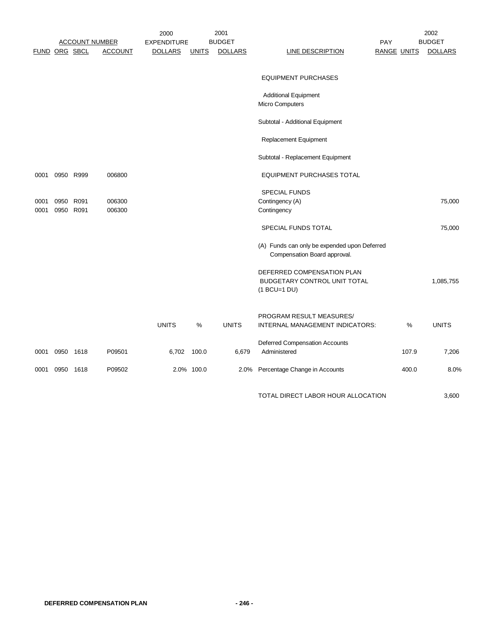|      |               | <b>ACCOUNT NUMBER</b> |                | 2000<br><b>EXPENDITURE</b> |              | 2001<br><b>BUDGET</b> |                                                                              | <b>PAY</b> |                    | 2002<br><b>BUDGET</b> |
|------|---------------|-----------------------|----------------|----------------------------|--------------|-----------------------|------------------------------------------------------------------------------|------------|--------------------|-----------------------|
|      | FUND ORG SBCL |                       | <b>ACCOUNT</b> | <b>DOLLARS</b>             | <b>UNITS</b> | <b>DOLLARS</b>        | <b>LINE DESCRIPTION</b>                                                      |            | <b>RANGE UNITS</b> | <b>DOLLARS</b>        |
|      |               |                       |                |                            |              |                       |                                                                              |            |                    |                       |
|      |               |                       |                |                            |              |                       | <b>EQUIPMENT PURCHASES</b>                                                   |            |                    |                       |
|      |               |                       |                |                            |              |                       | <b>Additional Equipment</b>                                                  |            |                    |                       |
|      |               |                       |                |                            |              |                       | Micro Computers                                                              |            |                    |                       |
|      |               |                       |                |                            |              |                       | Subtotal - Additional Equipment                                              |            |                    |                       |
|      |               |                       |                |                            |              |                       | Replacement Equipment                                                        |            |                    |                       |
|      |               |                       |                |                            |              |                       | Subtotal - Replacement Equipment                                             |            |                    |                       |
| 0001 |               | 0950 R999             | 006800         |                            |              |                       | <b>EQUIPMENT PURCHASES TOTAL</b>                                             |            |                    |                       |
|      |               |                       |                |                            |              |                       | SPECIAL FUNDS                                                                |            |                    |                       |
| 0001 |               | 0950 R091             | 006300         |                            |              |                       | Contingency (A)                                                              |            |                    | 75,000                |
| 0001 |               | 0950 R091             | 006300         |                            |              |                       | Contingency                                                                  |            |                    |                       |
|      |               |                       |                |                            |              |                       | SPECIAL FUNDS TOTAL                                                          |            |                    | 75,000                |
|      |               |                       |                |                            |              |                       | (A) Funds can only be expended upon Deferred<br>Compensation Board approval. |            |                    |                       |
|      |               |                       |                |                            |              |                       | DEFERRED COMPENSATION PLAN                                                   |            |                    |                       |
|      |               |                       |                |                            |              |                       | BUDGETARY CONTROL UNIT TOTAL                                                 |            |                    | 1,085,755             |
|      |               |                       |                |                            |              |                       | (1 BCU=1 DU)                                                                 |            |                    |                       |
|      |               |                       |                |                            |              |                       | PROGRAM RESULT MEASURES/                                                     |            |                    |                       |
|      |               |                       |                | <b>UNITS</b>               | %            | <b>UNITS</b>          | INTERNAL MANAGEMENT INDICATORS:                                              |            | %                  | <b>UNITS</b>          |
|      |               |                       |                |                            |              |                       | Deferred Compensation Accounts                                               |            |                    |                       |
| 0001 | 0950          | 1618                  | P09501         | 6,702                      | 100.0        | 6,679                 | Administered                                                                 |            | 107.9              | 7,206                 |
| 0001 | 0950 1618     |                       | P09502         |                            | 2.0% 100.0   | 2.0%                  | Percentage Change in Accounts                                                |            | 400.0              | 8.0%                  |
|      |               |                       |                |                            |              |                       | TOTAL DIRECT LABOR HOUR ALLOCATION                                           |            |                    | 3,600                 |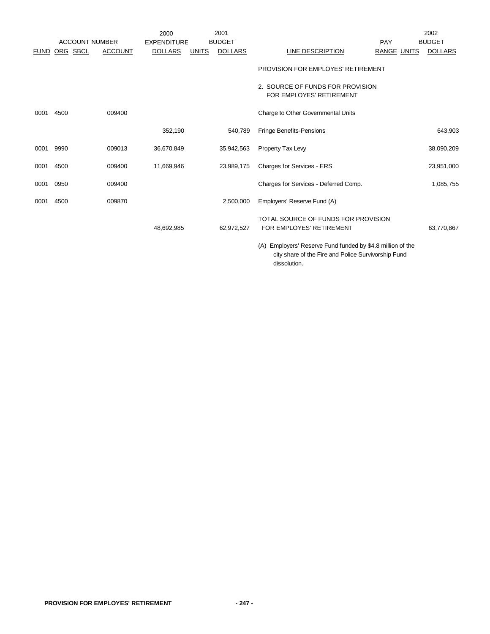|             |                       |                | 2000               |              | 2001           |                                                                 |                    | 2002           |
|-------------|-----------------------|----------------|--------------------|--------------|----------------|-----------------------------------------------------------------|--------------------|----------------|
|             | <b>ACCOUNT NUMBER</b> |                | <b>EXPENDITURE</b> |              | <b>BUDGET</b>  |                                                                 | <b>PAY</b>         | <b>BUDGET</b>  |
| <b>FUND</b> | ORG SBCL              | <b>ACCOUNT</b> | <b>DOLLARS</b>     | <b>UNITS</b> | <b>DOLLARS</b> | <u>LINE DESCRIPTION</u>                                         | <b>RANGE UNITS</b> | <b>DOLLARS</b> |
|             |                       |                |                    |              |                | PROVISION FOR EMPLOYES' RETIREMENT                              |                    |                |
|             |                       |                |                    |              |                | 2. SOURCE OF FUNDS FOR PROVISION<br>FOR EMPLOYES' RETIREMENT    |                    |                |
| 0001        | 4500                  | 009400         |                    |              |                | Charge to Other Governmental Units                              |                    |                |
|             |                       |                | 352,190            |              | 540,789        | Fringe Benefits-Pensions                                        |                    | 643,903        |
| 0001        | 9990                  | 009013         | 36,670,849         |              | 35,942,563     | Property Tax Levy                                               |                    | 38,090,209     |
| 0001        | 4500                  | 009400         | 11,669,946         |              | 23,989,175     | Charges for Services - ERS                                      |                    | 23,951,000     |
| 0001        | 0950                  | 009400         |                    |              |                | Charges for Services - Deferred Comp.                           |                    | 1,085,755      |
| 0001        | 4500                  | 009870         |                    |              | 2,500,000      | Employers' Reserve Fund (A)                                     |                    |                |
|             |                       |                | 48,692,985         |              | 62,972,527     | TOTAL SOURCE OF FUNDS FOR PROVISION<br>FOR EMPLOYES' RETIREMENT |                    | 63,770,867     |

(A) Employers' Reserve Fund funded by \$4.8 million of the city share of the Fire and Police Survivorship Fund dissolution.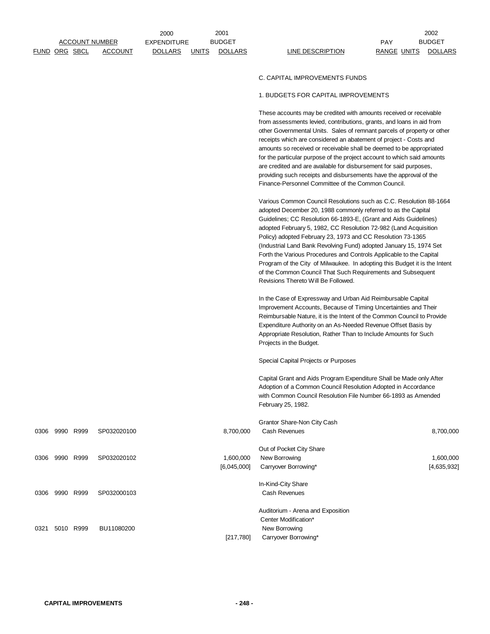|      |                      |           | <b>ACCOUNT NUMBER</b> | <b>EXPENDITURE</b> |              | <b>BUDGET</b>            |                                                                                                                                                                                                                                                                                                                                                                                                                                                                                                                                                                                                                                                                             | <b>PAY</b>         | <b>BUDGET</b>            |
|------|----------------------|-----------|-----------------------|--------------------|--------------|--------------------------|-----------------------------------------------------------------------------------------------------------------------------------------------------------------------------------------------------------------------------------------------------------------------------------------------------------------------------------------------------------------------------------------------------------------------------------------------------------------------------------------------------------------------------------------------------------------------------------------------------------------------------------------------------------------------------|--------------------|--------------------------|
|      | <b>FUND ORG SBCL</b> |           | <b>ACCOUNT</b>        | <b>DOLLARS</b>     | <u>UNITS</u> | <b>DOLLARS</b>           | <b>LINE DESCRIPTION</b>                                                                                                                                                                                                                                                                                                                                                                                                                                                                                                                                                                                                                                                     | <b>RANGE UNITS</b> | <b>DOLLARS</b>           |
|      |                      |           |                       |                    |              |                          |                                                                                                                                                                                                                                                                                                                                                                                                                                                                                                                                                                                                                                                                             |                    |                          |
|      |                      |           |                       |                    |              |                          | C. CAPITAL IMPROVEMENTS FUNDS                                                                                                                                                                                                                                                                                                                                                                                                                                                                                                                                                                                                                                               |                    |                          |
|      |                      |           |                       |                    |              |                          | 1. BUDGETS FOR CAPITAL IMPROVEMENTS                                                                                                                                                                                                                                                                                                                                                                                                                                                                                                                                                                                                                                         |                    |                          |
|      |                      |           |                       |                    |              |                          | These accounts may be credited with amounts received or receivable<br>from assessments levied, contributions, grants, and loans in aid from<br>other Governmental Units. Sales of remnant parcels of property or other<br>receipts which are considered an abatement of project - Costs and<br>amounts so received or receivable shall be deemed to be appropriated<br>for the particular purpose of the project account to which said amounts<br>are credited and are available for disbursement for said purposes,<br>providing such receipts and disbursements have the approval of the<br>Finance-Personnel Committee of the Common Council.                            |                    |                          |
|      |                      |           |                       |                    |              |                          | Various Common Council Resolutions such as C.C. Resolution 88-1664<br>adopted December 20, 1988 commonly referred to as the Capital<br>Guidelines; CC Resolution 66-1893-E, (Grant and Aids Guidelines)<br>adopted February 5, 1982, CC Resolution 72-982 (Land Acquisition<br>Policy) adopted February 23, 1973 and CC Resolution 73-1365<br>(Industrial Land Bank Revolving Fund) adopted January 15, 1974 Set<br>Forth the Various Procedures and Controls Applicable to the Capital<br>Program of the City of Milwaukee. In adopting this Budget it is the Intent<br>of the Common Council That Such Requirements and Subsequent<br>Revisions Thereto Will Be Followed. |                    |                          |
|      |                      |           |                       |                    |              |                          | In the Case of Expressway and Urban Aid Reimbursable Capital<br>Improvement Accounts, Because of Timing Uncertainties and Their<br>Reimbursable Nature, it is the Intent of the Common Council to Provide<br>Expenditure Authority on an As-Needed Revenue Offset Basis by<br>Appropriate Resolution, Rather Than to Include Amounts for Such<br>Projects in the Budget.                                                                                                                                                                                                                                                                                                    |                    |                          |
|      |                      |           |                       |                    |              |                          | Special Capital Projects or Purposes                                                                                                                                                                                                                                                                                                                                                                                                                                                                                                                                                                                                                                        |                    |                          |
|      |                      |           |                       |                    |              |                          | Capital Grant and Aids Program Expenditure Shall be Made only After<br>Adoption of a Common Council Resolution Adopted in Accordance<br>with Common Council Resolution File Number 66-1893 as Amended<br>February 25, 1982.                                                                                                                                                                                                                                                                                                                                                                                                                                                 |                    |                          |
|      |                      |           |                       |                    |              |                          | Grantor Share-Non City Cash                                                                                                                                                                                                                                                                                                                                                                                                                                                                                                                                                                                                                                                 |                    |                          |
| 0306 | 9990 R999            |           | SP032020100           |                    |              | 8,700,000                | Cash Revenues                                                                                                                                                                                                                                                                                                                                                                                                                                                                                                                                                                                                                                                               |                    | 8,700,000                |
| 0306 | 9990 R999            |           | SP032020102           |                    |              | 1,600,000<br>[6,045,000] | Out of Pocket City Share<br>New Borrowing<br>Carryover Borrowing*                                                                                                                                                                                                                                                                                                                                                                                                                                                                                                                                                                                                           |                    | 1,600,000<br>[4,635,932] |
| 0306 |                      | 9990 R999 | SP032000103           |                    |              |                          | In-Kind-City Share<br>Cash Revenues                                                                                                                                                                                                                                                                                                                                                                                                                                                                                                                                                                                                                                         |                    |                          |
| 0321 |                      | 5010 R999 | BU11080200            |                    |              | [217,780]                | Auditorium - Arena and Exposition<br>Center Modification*<br>New Borrowing<br>Carryover Borrowing*                                                                                                                                                                                                                                                                                                                                                                                                                                                                                                                                                                          |                    |                          |

2001 2002

2000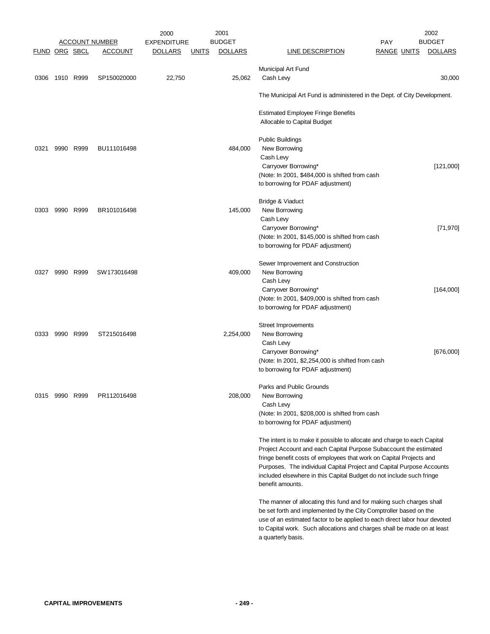|                      |                |           |                       | 2000               |              | 2001           |                                                                            |                    | 2002           |
|----------------------|----------------|-----------|-----------------------|--------------------|--------------|----------------|----------------------------------------------------------------------------|--------------------|----------------|
|                      |                |           | <u>ACCOUNT NUMBER</u> | <b>EXPENDITURE</b> |              | <b>BUDGET</b>  |                                                                            | <b>PAY</b>         | <b>BUDGET</b>  |
| <b>FUND ORG SBCL</b> |                |           | <b>ACCOUNT</b>        | <b>DOLLARS</b>     | <u>UNITS</u> | <b>DOLLARS</b> | <b>LINE DESCRIPTION</b>                                                    | <b>RANGE UNITS</b> | <b>DOLLARS</b> |
|                      |                |           |                       |                    |              |                | Municipal Art Fund                                                         |                    |                |
| 0306                 | 1910 R999      |           | SP150020000           | 22,750             |              | 25,062         | Cash Levy                                                                  |                    | 30,000         |
|                      |                |           |                       |                    |              |                |                                                                            |                    |                |
|                      |                |           |                       |                    |              |                | The Municipal Art Fund is administered in the Dept. of City Development.   |                    |                |
|                      |                |           |                       |                    |              |                | <b>Estimated Employee Fringe Benefits</b>                                  |                    |                |
|                      |                |           |                       |                    |              |                | Allocable to Capital Budget                                                |                    |                |
|                      |                |           |                       |                    |              |                | <b>Public Buildings</b>                                                    |                    |                |
| 0321                 |                | 9990 R999 | BU111016498           |                    |              | 484,000        | New Borrowing                                                              |                    |                |
|                      |                |           |                       |                    |              |                | Cash Levy                                                                  |                    |                |
|                      |                |           |                       |                    |              |                | Carryover Borrowing*                                                       |                    | [121,000]      |
|                      |                |           |                       |                    |              |                | (Note: In 2001, \$484,000 is shifted from cash                             |                    |                |
|                      |                |           |                       |                    |              |                | to borrowing for PDAF adjustment)                                          |                    |                |
|                      |                |           |                       |                    |              |                |                                                                            |                    |                |
|                      |                |           |                       |                    |              |                | Bridge & Viaduct                                                           |                    |                |
| 0303                 |                | 9990 R999 | BR101016498           |                    |              | 145,000        | New Borrowing                                                              |                    |                |
|                      |                |           |                       |                    |              |                | Cash Levy                                                                  |                    |                |
|                      |                |           |                       |                    |              |                | Carryover Borrowing*                                                       |                    | [71, 970]      |
|                      |                |           |                       |                    |              |                | (Note: In 2001, \$145,000 is shifted from cash                             |                    |                |
|                      |                |           |                       |                    |              |                | to borrowing for PDAF adjustment)                                          |                    |                |
|                      |                |           |                       |                    |              |                |                                                                            |                    |                |
|                      |                |           |                       |                    |              |                | Sewer Improvement and Construction                                         |                    |                |
| 0327                 | 9990           | R999      | SW173016498           |                    |              | 409,000        | New Borrowing                                                              |                    |                |
|                      |                |           |                       |                    |              |                | Cash Levy                                                                  |                    |                |
|                      |                |           |                       |                    |              |                | Carryover Borrowing*                                                       |                    | [164,000]      |
|                      |                |           |                       |                    |              |                | (Note: In 2001, \$409,000 is shifted from cash                             |                    |                |
|                      |                |           |                       |                    |              |                | to borrowing for PDAF adjustment)                                          |                    |                |
|                      |                |           |                       |                    |              |                | Street Improvements                                                        |                    |                |
| 0333                 |                | 9990 R999 | ST215016498           |                    |              | 2,254,000      | New Borrowing                                                              |                    |                |
|                      |                |           |                       |                    |              |                | Cash Levy                                                                  |                    |                |
|                      |                |           |                       |                    |              |                | Carryover Borrowing*                                                       |                    | [676,000]      |
|                      |                |           |                       |                    |              |                | (Note: In 2001, \$2,254,000 is shifted from cash                           |                    |                |
|                      |                |           |                       |                    |              |                | to borrowing for PDAF adjustment)                                          |                    |                |
|                      |                |           |                       |                    |              |                | Parks and Public Grounds                                                   |                    |                |
|                      | 0315 9990 R999 |           | PR112016498           |                    |              | 208,000        | New Borrowing                                                              |                    |                |
|                      |                |           |                       |                    |              |                | Cash Levy                                                                  |                    |                |
|                      |                |           |                       |                    |              |                | (Note: In 2001, \$208,000 is shifted from cash                             |                    |                |
|                      |                |           |                       |                    |              |                | to borrowing for PDAF adjustment)                                          |                    |                |
|                      |                |           |                       |                    |              |                |                                                                            |                    |                |
|                      |                |           |                       |                    |              |                | The intent is to make it possible to allocate and charge to each Capital   |                    |                |
|                      |                |           |                       |                    |              |                | Project Account and each Capital Purpose Subaccount the estimated          |                    |                |
|                      |                |           |                       |                    |              |                | fringe benefit costs of employees that work on Capital Projects and        |                    |                |
|                      |                |           |                       |                    |              |                | Purposes. The individual Capital Project and Capital Purpose Accounts      |                    |                |
|                      |                |           |                       |                    |              |                | included elsewhere in this Capital Budget do not include such fringe       |                    |                |
|                      |                |           |                       |                    |              |                | benefit amounts.                                                           |                    |                |
|                      |                |           |                       |                    |              |                | The manner of allocating this fund and for making such charges shall       |                    |                |
|                      |                |           |                       |                    |              |                | be set forth and implemented by the City Comptroller based on the          |                    |                |
|                      |                |           |                       |                    |              |                | use of an estimated factor to be applied to each direct labor hour devoted |                    |                |
|                      |                |           |                       |                    |              |                | to Capital work. Such allocations and charges shall be made on at least    |                    |                |
|                      |                |           |                       |                    |              |                | a quarterly basis.                                                         |                    |                |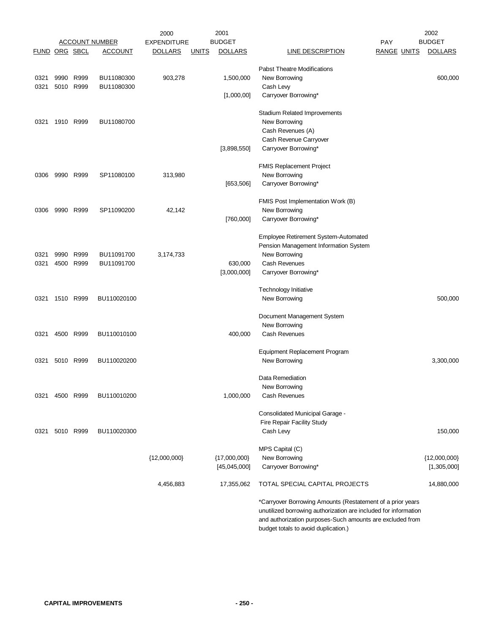|               |           |           |                       | 2000               |              | 2001           | 2002                                                            |                |  |  |
|---------------|-----------|-----------|-----------------------|--------------------|--------------|----------------|-----------------------------------------------------------------|----------------|--|--|
|               |           |           | <b>ACCOUNT NUMBER</b> | <b>EXPENDITURE</b> |              | <b>BUDGET</b>  | PAY                                                             | <b>BUDGET</b>  |  |  |
| FUND ORG SBCL |           |           | <b>ACCOUNT</b>        | <u>DOLLARS</u>     | <b>UNITS</b> | <b>DOLLARS</b> | <b>RANGE UNITS</b><br><b>LINE DESCRIPTION</b>                   | <b>DOLLARS</b> |  |  |
|               |           |           |                       |                    |              |                | <b>Pabst Theatre Modifications</b>                              |                |  |  |
| 0321          |           | 9990 R999 | BU11080300            | 903,278            |              | 1,500,000      | New Borrowing                                                   | 600,000        |  |  |
| 0321          |           | 5010 R999 | BU11080300            |                    |              |                | Cash Levy                                                       |                |  |  |
|               |           |           |                       |                    |              | [1,000,00]     | Carryover Borrowing*                                            |                |  |  |
|               |           |           |                       |                    |              |                |                                                                 |                |  |  |
|               |           |           |                       |                    |              |                | <b>Stadium Related Improvements</b>                             |                |  |  |
| 0321          |           | 1910 R999 | BU11080700            |                    |              |                | New Borrowing                                                   |                |  |  |
|               |           |           |                       |                    |              |                | Cash Revenues (A)<br>Cash Revenue Carryover                     |                |  |  |
|               |           |           |                       |                    |              | [3,898,550]    | Carryover Borrowing*                                            |                |  |  |
|               |           |           |                       |                    |              |                |                                                                 |                |  |  |
|               |           |           |                       |                    |              |                | <b>FMIS Replacement Project</b>                                 |                |  |  |
| 0306          |           | 9990 R999 | SP11080100            | 313,980            |              |                | New Borrowing                                                   |                |  |  |
|               |           |           |                       |                    |              | [653, 506]     | Carryover Borrowing*                                            |                |  |  |
|               |           |           |                       |                    |              |                | FMIS Post Implementation Work (B)                               |                |  |  |
| 0306          |           | 9990 R999 | SP11090200            | 42,142             |              |                | New Borrowing                                                   |                |  |  |
|               |           |           |                       |                    |              | [760,000]      | Carryover Borrowing*                                            |                |  |  |
|               |           |           |                       |                    |              |                | Employee Retirement System-Automated                            |                |  |  |
|               |           |           |                       |                    |              |                | Pension Management Information System                           |                |  |  |
| 0321          | 9990      | R999      | BU11091700            | 3,174,733          |              |                | New Borrowing                                                   |                |  |  |
| 0321          |           | 4500 R999 | BU11091700            |                    |              | 630,000        | <b>Cash Revenues</b>                                            |                |  |  |
|               |           |           |                       |                    |              | [3,000,000]    | Carryover Borrowing*                                            |                |  |  |
|               |           |           |                       |                    |              |                |                                                                 |                |  |  |
|               |           |           |                       |                    |              |                | Technology Initiative                                           |                |  |  |
| 0321          |           | 1510 R999 | BU110020100           |                    |              |                | New Borrowing                                                   | 500,000        |  |  |
|               |           |           |                       |                    |              |                | Document Management System                                      |                |  |  |
|               |           |           |                       |                    |              |                | New Borrowing                                                   |                |  |  |
| 0321          |           | 4500 R999 | BU110010100           |                    |              | 400,000        | Cash Revenues                                                   |                |  |  |
|               |           |           |                       |                    |              |                | <b>Equipment Replacement Program</b>                            |                |  |  |
| 0321          |           | 5010 R999 | BU110020200           |                    |              |                | New Borrowing                                                   | 3,300,000      |  |  |
|               |           |           |                       |                    |              |                |                                                                 |                |  |  |
|               |           |           |                       |                    |              |                | Data Remediation                                                |                |  |  |
|               |           |           |                       |                    |              |                | New Borrowing                                                   |                |  |  |
| 0321          |           | 4500 R999 | BU110010200           |                    |              | 1,000,000      | Cash Revenues                                                   |                |  |  |
|               |           |           |                       |                    |              |                | Consolidated Municipal Garage -                                 |                |  |  |
|               |           |           |                       |                    |              |                | Fire Repair Facility Study                                      |                |  |  |
| 0321          | 5010 R999 |           | BU110020300           |                    |              |                | Cash Levy                                                       | 150,000        |  |  |
|               |           |           |                       |                    |              |                | MPS Capital (C)                                                 |                |  |  |
|               |           |           |                       | ${12,000,000}$     |              | ${17,000,000}$ | New Borrowing                                                   | ${12,000,000}$ |  |  |
|               |           |           |                       |                    |              | [45,045,000]   | Carryover Borrowing*                                            | [1,305,000]    |  |  |
|               |           |           |                       |                    |              |                |                                                                 |                |  |  |
|               |           |           |                       | 4,456,883          |              | 17,355,062     | TOTAL SPECIAL CAPITAL PROJECTS                                  | 14,880,000     |  |  |
|               |           |           |                       |                    |              |                | *Carryover Borrowing Amounts (Restatement of a prior years      |                |  |  |
|               |           |           |                       |                    |              |                | unutilized borrowing authorization are included for information |                |  |  |
|               |           |           |                       |                    |              |                | and authorization purposes-Such amounts are excluded from       |                |  |  |

budget totals to avoid duplication.)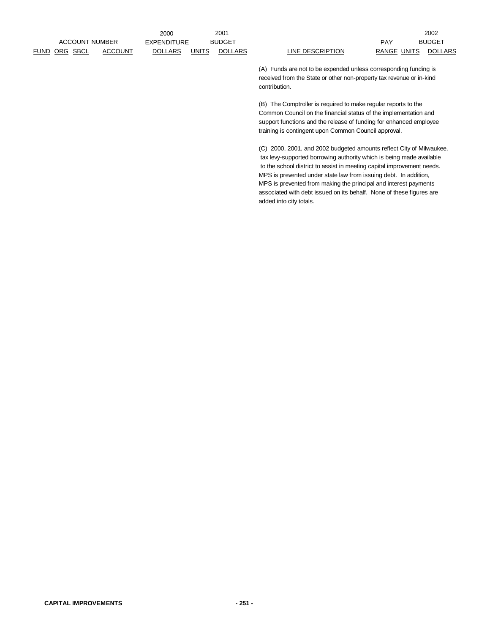FUND ORG SBCL ACCOUNT DOLLARS UNITS DOLLARS LINE DESCRIPTION RANGE UNITS DOLLARS ACCOUNT NUMBER

2000 EXPENDITURE BUDGET PAY

2001 2002 BUDGET BUDGET

> (A) Funds are not to be expended unless corresponding funding is received from the State or other non-property tax revenue or in-kind contribution.

(B) The Comptroller is required to make regular reports to the Common Council on the financial status of the implementation and support functions and the release of funding for enhanced employee training is contingent upon Common Council approval.

(C) 2000, 2001, and 2002 budgeted amounts reflect City of Milwaukee, tax levy-supported borrowing authority which is being made available to the school district to assist in meeting capital improvement needs. MPS is prevented under state law from issuing debt. In addition, MPS is prevented from making the principal and interest payments associated with debt issued on its behalf. None of these figures are added into city totals.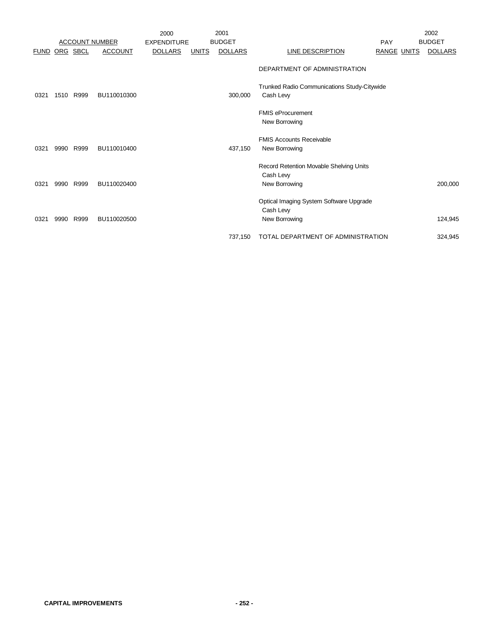|             |          |                       |                | 2000               |              | 2001           |                                                                       |                    | 2002           |
|-------------|----------|-----------------------|----------------|--------------------|--------------|----------------|-----------------------------------------------------------------------|--------------------|----------------|
|             |          | <b>ACCOUNT NUMBER</b> |                | <b>EXPENDITURE</b> |              | <b>BUDGET</b>  |                                                                       | PAY                | <b>BUDGET</b>  |
| <b>FUND</b> | ORG SBCL |                       | <b>ACCOUNT</b> | <b>DOLLARS</b>     | <b>UNITS</b> | <b>DOLLARS</b> | <b>LINE DESCRIPTION</b>                                               | <b>RANGE UNITS</b> | <b>DOLLARS</b> |
|             |          |                       |                |                    |              |                | DEPARTMENT OF ADMINISTRATION                                          |                    |                |
| 0321        | 1510     | R999                  | BU110010300    |                    |              | 300,000        | Trunked Radio Communications Study-Citywide<br>Cash Levy              |                    |                |
|             |          |                       |                |                    |              |                | <b>FMIS eProcurement</b><br>New Borrowing                             |                    |                |
| 0321        | 9990     | R999                  | BU110010400    |                    |              | 437,150        | <b>FMIS Accounts Receivable</b><br>New Borrowing                      |                    |                |
|             |          |                       |                |                    |              |                | Record Retention Movable Shelving Units<br>Cash Levy                  |                    |                |
| 0321        | 9990     | R999                  | BU110020400    |                    |              |                | New Borrowing                                                         |                    | 200,000        |
| 0321        | 9990     | R999                  | BU110020500    |                    |              |                | Optical Imaging System Software Upgrade<br>Cash Levy<br>New Borrowing |                    | 124,945        |
|             |          |                       |                |                    |              | 737,150        | TOTAL DEPARTMENT OF ADMINISTRATION                                    |                    | 324,945        |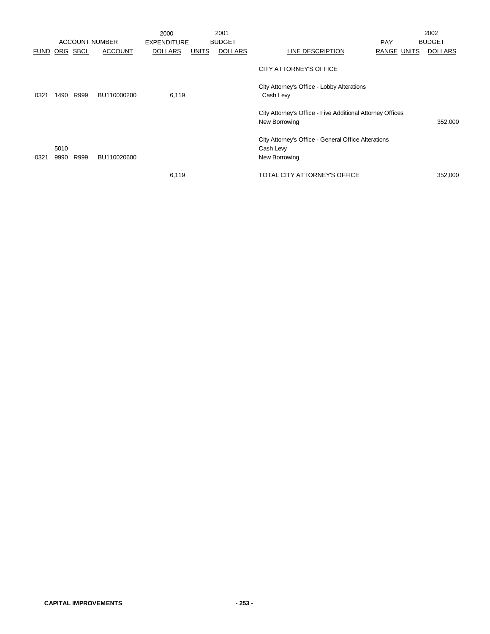|                      |              |      |                       | 2000               |              | 2001           |                                                                                   |                    | 2002           |
|----------------------|--------------|------|-----------------------|--------------------|--------------|----------------|-----------------------------------------------------------------------------------|--------------------|----------------|
|                      |              |      | <b>ACCOUNT NUMBER</b> | <b>EXPENDITURE</b> |              | <b>BUDGET</b>  |                                                                                   | <b>PAY</b>         | <b>BUDGET</b>  |
| <b>FUND ORG SBCL</b> |              |      | <b>ACCOUNT</b>        | <b>DOLLARS</b>     | <b>UNITS</b> | <b>DOLLARS</b> | <b>LINE DESCRIPTION</b>                                                           | <b>RANGE UNITS</b> | <b>DOLLARS</b> |
|                      |              |      |                       |                    |              |                | CITY ATTORNEY'S OFFICE                                                            |                    |                |
| 0321                 | 1490         | R999 | BU110000200           | 6,119              |              |                | City Attorney's Office - Lobby Alterations<br>Cash Lew                            |                    |                |
|                      |              |      |                       |                    |              |                | City Attorney's Office - Five Additional Attorney Offices<br>New Borrowing        |                    | 352,000        |
| 0321                 | 5010<br>9990 | R999 | BU110020600           |                    |              |                | City Attorney's Office - General Office Alterations<br>Cash Levy<br>New Borrowing |                    |                |
|                      |              |      |                       | 6,119              |              |                | TOTAL CITY ATTORNEY'S OFFICE                                                      |                    | 352,000        |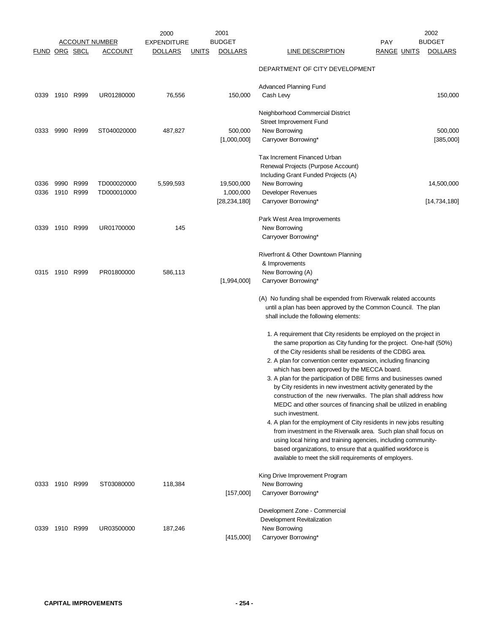| <b>FUND ORG SBCL</b> |                   |      | ACCOUNT NUMBER<br><b>ACCOUNT</b> | 2000<br><b>EXPENDITURE</b><br><b>DOLLARS</b> | <u>UNITS</u> | 2001<br><b>BUDGET</b><br><b>DOLLARS</b>   | <u>LINE DESCRIPTION</u>                                                                                                                                                                                                                                                                                                             | <b>PAY</b><br><b>RANGE UNITS</b> | 2002<br><b>BUDGET</b><br><b>DOLLARS</b> |
|----------------------|-------------------|------|----------------------------------|----------------------------------------------|--------------|-------------------------------------------|-------------------------------------------------------------------------------------------------------------------------------------------------------------------------------------------------------------------------------------------------------------------------------------------------------------------------------------|----------------------------------|-----------------------------------------|
|                      |                   |      |                                  |                                              |              |                                           | DEPARTMENT OF CITY DEVELOPMENT                                                                                                                                                                                                                                                                                                      |                                  |                                         |
| 0339                 | 1910 R999         |      | UR01280000                       | 76,556                                       |              | 150,000                                   | <b>Advanced Planning Fund</b><br>Cash Levy                                                                                                                                                                                                                                                                                          |                                  | 150,000                                 |
|                      |                   |      |                                  |                                              |              |                                           | Neighborhood Commercial District<br>Street Improvement Fund                                                                                                                                                                                                                                                                         |                                  |                                         |
| 0333                 | 9990 R999         |      | ST040020000                      | 487,827                                      |              | 500,000<br>[1,000,000]                    | New Borrowing<br>Carryover Borrowing*                                                                                                                                                                                                                                                                                               |                                  | 500,000<br>[385,000]                    |
|                      |                   |      |                                  |                                              |              |                                           | Tax Increment Financed Urban<br>Renewal Projects (Purpose Account)<br>Including Grant Funded Projects (A)                                                                                                                                                                                                                           |                                  |                                         |
| 0336<br>0336         | 9990<br>1910 R999 | R999 | TD000020000<br>TD000010000       | 5,599,593                                    |              | 19,500,000<br>1,000,000<br>[28, 234, 180] | New Borrowing<br>Developer Revenues<br>Carryover Borrowing*                                                                                                                                                                                                                                                                         |                                  | 14,500,000<br>[14, 734, 180]            |
| 0339                 | 1910 R999         |      | UR01700000                       | 145                                          |              |                                           | Park West Area Improvements<br>New Borrowing<br>Carryover Borrowing*                                                                                                                                                                                                                                                                |                                  |                                         |
|                      | 0315 1910 R999    |      | PR01800000                       | 586,113                                      |              | [1,994,000]                               | Riverfront & Other Downtown Planning<br>& Improvements<br>New Borrowing (A)<br>Carryover Borrowing*                                                                                                                                                                                                                                 |                                  |                                         |
|                      |                   |      |                                  |                                              |              |                                           | (A) No funding shall be expended from Riverwalk related accounts<br>until a plan has been approved by the Common Council. The plan<br>shall include the following elements:                                                                                                                                                         |                                  |                                         |
|                      |                   |      |                                  |                                              |              |                                           | 1. A requirement that City residents be employed on the project in<br>the same proportion as City funding for the project. One-half (50%)<br>of the City residents shall be residents of the CDBG area.<br>2. A plan for convention center expansion, including financing<br>which has been approved by the MECCA board.            |                                  |                                         |
|                      |                   |      |                                  |                                              |              |                                           | 3. A plan for the participation of DBE firms and businesses owned<br>by City residents in new investment activity generated by the<br>construction of the new riverwalks. The plan shall address how<br>MEDC and other sources of financing shall be utilized in enabling<br>such investment.                                       |                                  |                                         |
|                      |                   |      |                                  |                                              |              |                                           | 4. A plan for the employment of City residents in new jobs resulting<br>from investment in the Riverwalk area. Such plan shall focus on<br>using local hiring and training agencies, including community-<br>based organizations, to ensure that a qualified workforce is<br>available to meet the skill requirements of employers. |                                  |                                         |
|                      | 0333 1910 R999    |      | ST03080000                       | 118,384                                      |              | [157,000]                                 | King Drive Improvement Program<br>New Borrowing<br>Carryover Borrowing*                                                                                                                                                                                                                                                             |                                  |                                         |
| 0339                 | 1910 R999         |      | UR03500000                       | 187,246                                      |              | [415,000]                                 | Development Zone - Commercial<br>Development Revitalization<br>New Borrowing<br>Carryover Borrowing*                                                                                                                                                                                                                                |                                  |                                         |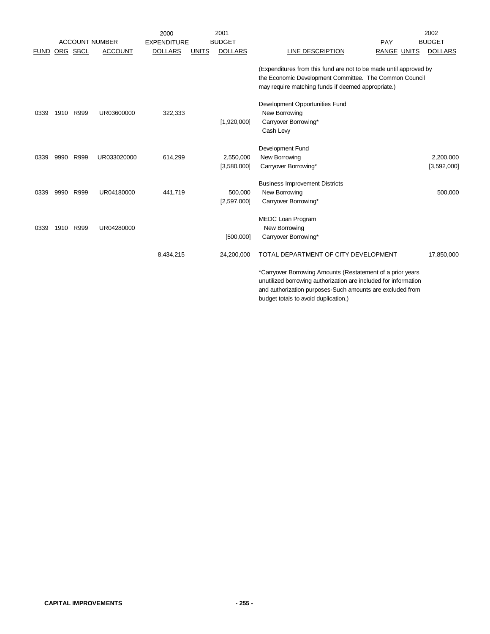|             |      |          |                       | 2000               |              | 2001                     |                                                                                                                                                                                            | 2002                     |
|-------------|------|----------|-----------------------|--------------------|--------------|--------------------------|--------------------------------------------------------------------------------------------------------------------------------------------------------------------------------------------|--------------------------|
|             |      |          | <b>ACCOUNT NUMBER</b> | <b>EXPENDITURE</b> |              | <b>BUDGET</b>            | PAY                                                                                                                                                                                        | <b>BUDGET</b>            |
| <b>FUND</b> |      | ORG SBCL | <b>ACCOUNT</b>        | <b>DOLLARS</b>     | <b>UNITS</b> | <b>DOLLARS</b>           | LINE DESCRIPTION<br><b>RANGE UNITS</b>                                                                                                                                                     | <b>DOLLARS</b>           |
|             |      |          |                       |                    |              |                          | (Expenditures from this fund are not to be made until approved by<br>the Economic Development Committee. The Common Council<br>may require matching funds if deemed appropriate.)          |                          |
| 0339        | 1910 | R999     | UR03600000            | 322,333            |              | [1,920,000]              | Development Opportunities Fund<br>New Borrowing<br>Carryover Borrowing*<br>Cash Lew                                                                                                        |                          |
| 0339        | 9990 | R999     | UR033020000           | 614,299            |              | 2,550,000<br>[3,580,000] | Development Fund<br>New Borrowing<br>Carryover Borrowing*                                                                                                                                  | 2,200,000<br>[3,592,000] |
| 0339        | 9990 | R999     | UR04180000            | 441,719            |              | 500,000<br>[2,597,000]   | <b>Business Improvement Districts</b><br>New Borrowing<br>Carryover Borrowing*                                                                                                             | 500,000                  |
| 0339        | 1910 | R999     | UR04280000            |                    |              | [500,000]                | MEDC Loan Program<br>New Borrowing<br>Carryover Borrowing*                                                                                                                                 |                          |
|             |      |          |                       | 8,434,215          |              | 24,200,000               | TOTAL DEPARTMENT OF CITY DEVELOPMENT                                                                                                                                                       | 17,850,000               |
|             |      |          |                       |                    |              |                          | *Carryover Borrowing Amounts (Restatement of a prior years<br>unutilized borrowing authorization are included for information<br>and authorization purposes-Such amounts are excluded from |                          |

budget totals to avoid duplication.)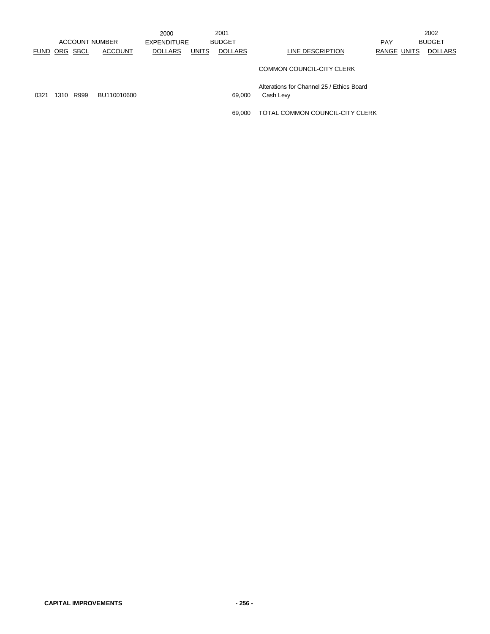|                      |      |      |                       | 2000           |              | 2001           |                                                       |             | 2002           |
|----------------------|------|------|-----------------------|----------------|--------------|----------------|-------------------------------------------------------|-------------|----------------|
|                      |      |      | <b>ACCOUNT NUMBER</b> | EXPENDITURE    |              | <b>BUDGET</b>  |                                                       | <b>PAY</b>  | <b>BUDGET</b>  |
| <b>FUND ORG SBCL</b> |      |      | <b>ACCOUNT</b>        | <b>DOLLARS</b> | <b>UNITS</b> | <b>DOLLARS</b> | LINE DESCRIPTION                                      | RANGE UNITS | <b>DOLLARS</b> |
|                      |      |      |                       |                |              |                | COMMON COUNCIL-CITY CLERK                             |             |                |
| 0321                 | 1310 | R999 | BU110010600           |                |              | 69,000         | Alterations for Channel 25 / Ethics Board<br>Cash Lew |             |                |
|                      |      |      |                       |                |              | 69.000         | TOTAL COMMON COUNCIL-CITY CLERK                       |             |                |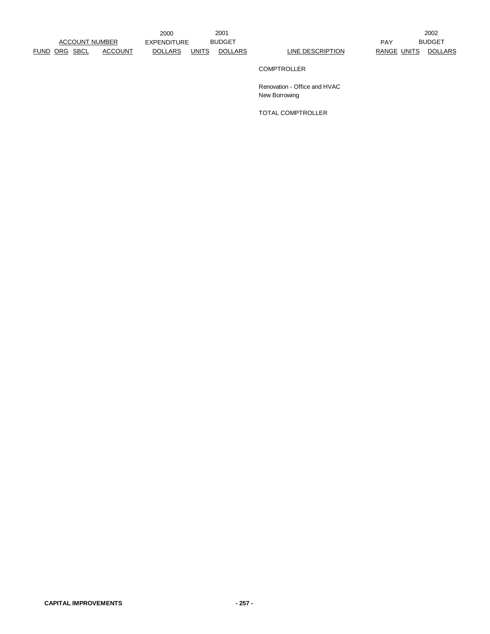FUND ORG SBCL ACCOUNT DOLLARS UNITS DOLLARS LINE DESCRIPTION RANGE UNITS DOLLARS

2000 EXPENDITURE PAY ACCOUNT NUMBER

2001 2002 PAY BUDGET

## COMPTROLLER

Renovation - Office and HVAC New Borrowing

TOTAL COMPTROLLER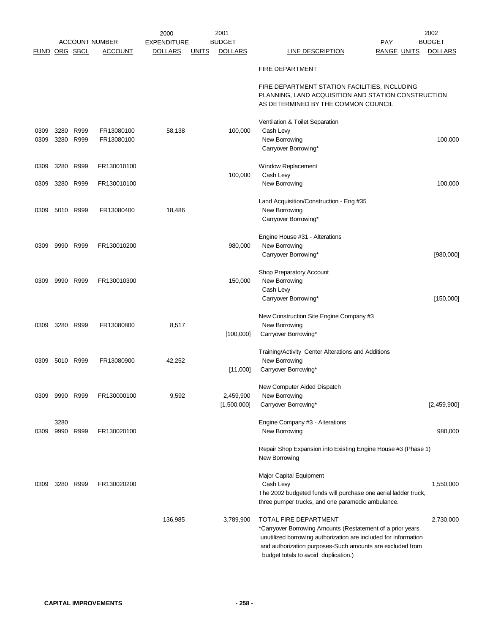|                      |      |                   |                                         | 2000                          |              | 2001                            |                                                                                                                     | 2002                            |
|----------------------|------|-------------------|-----------------------------------------|-------------------------------|--------------|---------------------------------|---------------------------------------------------------------------------------------------------------------------|---------------------------------|
| <b>FUND ORG SBCL</b> |      |                   | <u>ACCOUNT NUMBER</u><br><u>ACCOUNT</u> | EXPENDITURE<br><b>DOLLARS</b> | <b>UNITS</b> | <b>BUDGET</b><br><b>DOLLARS</b> | PAY<br><b>LINE DESCRIPTION</b><br><b>RANGE UNITS</b>                                                                | <b>BUDGET</b><br><b>DOLLARS</b> |
|                      |      |                   |                                         |                               |              |                                 |                                                                                                                     |                                 |
|                      |      |                   |                                         |                               |              |                                 | <b>FIRE DEPARTMENT</b>                                                                                              |                                 |
|                      |      |                   |                                         |                               |              |                                 | FIRE DEPARTMENT STATION FACILITIES, INCLUDING<br>PLANNING, LAND ACQUISITION AND STATION CONSTRUCTION                |                                 |
|                      |      |                   |                                         |                               |              |                                 | AS DETERMINED BY THE COMMON COUNCIL                                                                                 |                                 |
|                      |      |                   |                                         |                               |              |                                 | Ventilation & Toilet Separation                                                                                     |                                 |
| 0309<br>0309         | 3280 | R999<br>3280 R999 | FR13080100<br>FR13080100                | 58,138                        |              | 100,000                         | Cash Levy<br>New Borrowing                                                                                          | 100,000                         |
|                      |      |                   |                                         |                               |              |                                 | Carryover Borrowing*                                                                                                |                                 |
| 0309                 |      | 3280 R999         | FR130010100                             |                               |              |                                 | Window Replacement                                                                                                  |                                 |
|                      |      |                   |                                         |                               |              | 100,000                         | Cash Levy                                                                                                           |                                 |
| 0309                 |      | 3280 R999         | FR130010100                             |                               |              |                                 | New Borrowing                                                                                                       | 100,000                         |
|                      |      |                   |                                         |                               |              |                                 | Land Acquisition/Construction - Eng #35                                                                             |                                 |
| 0309                 |      | 5010 R999         | FR13080400                              | 18,486                        |              |                                 | New Borrowing<br>Carryover Borrowing*                                                                               |                                 |
|                      |      |                   |                                         |                               |              |                                 |                                                                                                                     |                                 |
|                      |      |                   |                                         |                               |              |                                 | Engine House #31 - Alterations                                                                                      |                                 |
| 0309                 |      | 9990 R999         | FR130010200                             |                               |              | 980,000                         | New Borrowing                                                                                                       |                                 |
|                      |      |                   |                                         |                               |              |                                 | Carryover Borrowing*                                                                                                | [980,000]                       |
|                      |      |                   |                                         |                               |              |                                 | Shop Preparatory Account                                                                                            |                                 |
| 0309                 |      | 9990 R999         | FR130010300                             |                               |              | 150,000                         | New Borrowing<br>Cash Levy                                                                                          |                                 |
|                      |      |                   |                                         |                               |              |                                 | Carryover Borrowing*                                                                                                | [150,000]                       |
|                      |      |                   |                                         |                               |              |                                 | New Construction Site Engine Company #3                                                                             |                                 |
| 0309                 |      | 3280 R999         | FR13080800                              | 8,517                         |              |                                 | New Borrowing                                                                                                       |                                 |
|                      |      |                   |                                         |                               |              | [100,000]                       | Carryover Borrowing*                                                                                                |                                 |
|                      |      |                   |                                         |                               |              |                                 | Training/Activity Center Alterations and Additions                                                                  |                                 |
| 0309                 |      | 5010 R999         | FR13080900                              | 42,252                        |              |                                 | New Borrowing                                                                                                       |                                 |
|                      |      |                   |                                         |                               |              | [11,000]                        | Carryover Borrowing*                                                                                                |                                 |
|                      |      |                   |                                         |                               |              |                                 | New Computer Aided Dispatch                                                                                         |                                 |
| 0309                 |      | 9990 R999         | FR130000100                             | 9,592                         |              | 2,459,900<br>[1,500,000]        | New Borrowing<br>Carryover Borrowing*                                                                               | [2,459,900]                     |
|                      |      |                   |                                         |                               |              |                                 |                                                                                                                     |                                 |
|                      | 3280 |                   |                                         |                               |              |                                 | Engine Company #3 - Alterations                                                                                     |                                 |
| 0309                 | 9990 | R999              | FR130020100                             |                               |              |                                 | New Borrowing                                                                                                       | 980,000                         |
|                      |      |                   |                                         |                               |              |                                 | Repair Shop Expansion into Existing Engine House #3 (Phase 1)<br>New Borrowing                                      |                                 |
|                      |      |                   |                                         |                               |              |                                 | Major Capital Equipment                                                                                             |                                 |
| 0309                 |      | 3280 R999         | FR130020200                             |                               |              |                                 | Cash Levy                                                                                                           | 1,550,000                       |
|                      |      |                   |                                         |                               |              |                                 | The 2002 budgeted funds will purchase one aerial ladder truck,<br>three pumper trucks, and one paramedic ambulance. |                                 |
|                      |      |                   |                                         |                               |              |                                 |                                                                                                                     |                                 |
|                      |      |                   |                                         | 136,985                       |              | 3,789,900                       | TOTAL FIRE DEPARTMENT<br>*Carryover Borrowing Amounts (Restatement of a prior years                                 | 2,730,000                       |
|                      |      |                   |                                         |                               |              |                                 | unutilized borrowing authorization are included for information                                                     |                                 |
|                      |      |                   |                                         |                               |              |                                 | and authorization purposes-Such amounts are excluded from<br>budget totals to avoid duplication.)                   |                                 |
|                      |      |                   |                                         |                               |              |                                 |                                                                                                                     |                                 |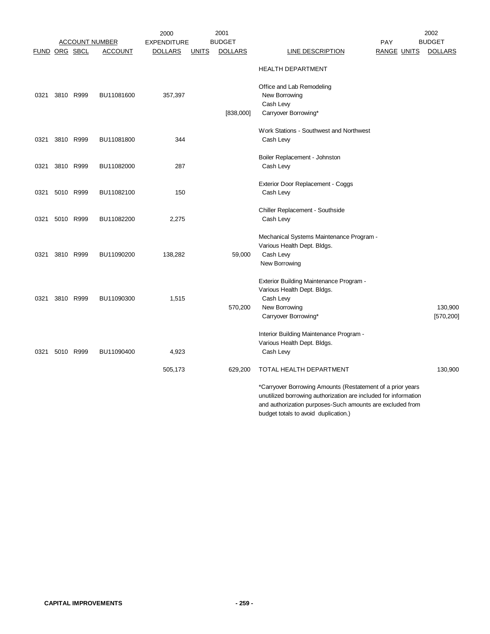|      |                      |           |                       | 2000               |              | 2001           |                                                                 |                    | 2002           |
|------|----------------------|-----------|-----------------------|--------------------|--------------|----------------|-----------------------------------------------------------------|--------------------|----------------|
|      |                      |           | <b>ACCOUNT NUMBER</b> | <b>EXPENDITURE</b> |              | <b>BUDGET</b>  |                                                                 | PAY                | <b>BUDGET</b>  |
|      | <b>FUND ORG SBCL</b> |           | <b>ACCOUNT</b>        | <u>DOLLARS</u>     | <b>UNITS</b> | <b>DOLLARS</b> | <b>LINE DESCRIPTION</b>                                         | <b>RANGE UNITS</b> | <b>DOLLARS</b> |
|      |                      |           |                       |                    |              |                | <b>HEALTH DEPARTMENT</b>                                        |                    |                |
|      |                      |           |                       |                    |              |                | Office and Lab Remodeling                                       |                    |                |
| 0321 |                      | 3810 R999 | BU11081600            | 357,397            |              |                | New Borrowing                                                   |                    |                |
|      |                      |           |                       |                    |              |                | Cash Levy                                                       |                    |                |
|      |                      |           |                       |                    |              | [838,000]      | Carryover Borrowing*                                            |                    |                |
|      |                      |           |                       |                    |              |                | Work Stations - Southwest and Northwest                         |                    |                |
| 0321 |                      | 3810 R999 | BU11081800            | 344                |              |                | Cash Levy                                                       |                    |                |
|      |                      |           |                       |                    |              |                | Boiler Replacement - Johnston                                   |                    |                |
| 0321 |                      | 3810 R999 | BU11082000            | 287                |              |                | Cash Levy                                                       |                    |                |
|      |                      |           |                       |                    |              |                |                                                                 |                    |                |
|      |                      |           |                       |                    |              |                | Exterior Door Replacement - Coggs                               |                    |                |
| 0321 |                      | 5010 R999 | BU11082100            | 150                |              |                | Cash Levy                                                       |                    |                |
|      |                      |           |                       |                    |              |                | Chiller Replacement - Southside                                 |                    |                |
| 0321 | 5010 R999            |           | BU11082200            | 2,275              |              |                | Cash Levy                                                       |                    |                |
|      |                      |           |                       |                    |              |                | Mechanical Systems Maintenance Program -                        |                    |                |
|      |                      |           |                       |                    |              |                | Various Health Dept. Bldgs.                                     |                    |                |
| 0321 |                      | 3810 R999 | BU11090200            | 138,282            |              | 59,000         | Cash Levy                                                       |                    |                |
|      |                      |           |                       |                    |              |                | New Borrowing                                                   |                    |                |
|      |                      |           |                       |                    |              |                | Exterior Building Maintenance Program -                         |                    |                |
|      |                      |           |                       |                    |              |                | Various Health Dept. Bldgs.                                     |                    |                |
| 0321 |                      | 3810 R999 | BU11090300            | 1,515              |              |                | Cash Levy                                                       |                    |                |
|      |                      |           |                       |                    |              | 570,200        | New Borrowing                                                   |                    | 130,900        |
|      |                      |           |                       |                    |              |                | Carryover Borrowing*                                            |                    | [570, 200]     |
|      |                      |           |                       |                    |              |                | Interior Building Maintenance Program -                         |                    |                |
|      |                      |           |                       |                    |              |                | Various Health Dept. Bldgs.                                     |                    |                |
| 0321 |                      | 5010 R999 | BU11090400            | 4,923              |              |                | Cash Levy                                                       |                    |                |
|      |                      |           |                       | 505,173            |              | 629,200        | TOTAL HEALTH DEPARTMENT                                         |                    | 130,900        |
|      |                      |           |                       |                    |              |                | *Carryover Borrowing Amounts (Restatement of a prior years      |                    |                |
|      |                      |           |                       |                    |              |                | unutilized borrowing authorization are included for information |                    |                |
|      |                      |           |                       |                    |              |                | and authorization purposes-Such amounts are excluded from       |                    |                |
|      |                      |           |                       |                    |              |                | budget totals to avoid duplication.)                            |                    |                |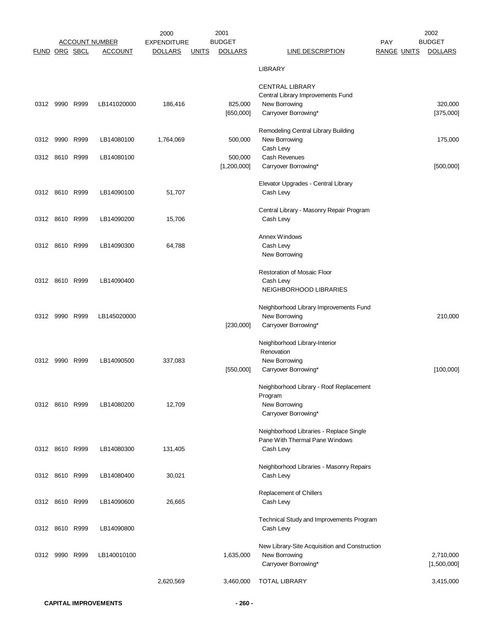|               |                |                       | 2000               | 2001                           |                                               | 2002                                 |
|---------------|----------------|-----------------------|--------------------|--------------------------------|-----------------------------------------------|--------------------------------------|
|               |                | <u>ACCOUNT NUMBER</u> | <b>EXPENDITURE</b> | <b>BUDGET</b>                  |                                               | <b>BUDGET</b><br><b>PAY</b>          |
| FUND ORG SBCL |                | <b>ACCOUNT</b>        | <u>DOLLARS</u>     | <b>DOLLARS</b><br><b>UNITS</b> | <b>LINE DESCRIPTION</b>                       | <b>DOLLARS</b><br><b>RANGE UNITS</b> |
|               |                |                       |                    |                                | <b>LIBRARY</b>                                |                                      |
|               |                |                       |                    |                                | <b>CENTRAL LIBRARY</b>                        |                                      |
|               |                |                       |                    |                                | Central Library Improvements Fund             |                                      |
| 0312          | 9990 R999      | LB141020000           | 186,416            | 825,000                        | New Borrowing                                 | 320,000                              |
|               |                |                       |                    | [650,000]                      | Carryover Borrowing*                          | [375,000]                            |
|               |                |                       |                    |                                |                                               |                                      |
|               |                |                       |                    |                                | Remodeling Central Library Building           |                                      |
| 0312          | 9990 R999      | LB14080100            | 1,764,069          | 500,000                        | New Borrowing                                 | 175,000                              |
|               |                |                       |                    |                                | Cash Levy                                     |                                      |
| 0312          | 8610 R999      | LB14080100            |                    | 500,000                        | Cash Revenues                                 |                                      |
|               |                |                       |                    | [1,200,000]                    | Carryover Borrowing*                          | [500,000]                            |
|               |                |                       |                    |                                | Elevator Upgrades - Central Library           |                                      |
|               | 0312 8610 R999 | LB14090100            | 51,707             |                                | Cash Levy                                     |                                      |
|               |                |                       |                    |                                |                                               |                                      |
|               |                |                       |                    |                                | Central Library - Masonry Repair Program      |                                      |
|               | 0312 8610 R999 | LB14090200            | 15,706             |                                | Cash Levy                                     |                                      |
|               |                |                       |                    |                                | Annex Windows                                 |                                      |
|               | 0312 8610 R999 | LB14090300            | 64,788             |                                | Cash Levy                                     |                                      |
|               |                |                       |                    |                                | New Borrowing                                 |                                      |
|               |                |                       |                    |                                |                                               |                                      |
|               |                |                       |                    |                                | <b>Restoration of Mosaic Floor</b>            |                                      |
|               | 0312 8610 R999 | LB14090400            |                    |                                | Cash Levy                                     |                                      |
|               |                |                       |                    |                                | NEIGHBORHOOD LIBRARIES                        |                                      |
|               |                |                       |                    |                                | Neighborhood Library Improvements Fund        |                                      |
| 0312          | 9990 R999      | LB145020000           |                    |                                | New Borrowing                                 | 210,000                              |
|               |                |                       |                    | [230,000]                      | Carryover Borrowing*                          |                                      |
|               |                |                       |                    |                                |                                               |                                      |
|               |                |                       |                    |                                | Neighborhood Library-Interior<br>Renovation   |                                      |
| 0312          | 9990 R999      | LB14090500            | 337,083            |                                | New Borrowing                                 |                                      |
|               |                |                       |                    | [550,000]                      | Carryover Borrowing*                          | [100,000]                            |
|               |                |                       |                    |                                |                                               |                                      |
|               |                |                       |                    |                                | Neighborhood Library - Roof Replacement       |                                      |
|               |                |                       |                    |                                | Program                                       |                                      |
|               | 0312 8610 R999 | LB14080200            | 12,709             |                                | New Borrowing                                 |                                      |
|               |                |                       |                    |                                | Carryover Borrowing*                          |                                      |
|               |                |                       |                    |                                | Neighborhood Libraries - Replace Single       |                                      |
|               |                |                       |                    |                                | Pane With Thermal Pane Windows                |                                      |
|               | 0312 8610 R999 | LB14080300            | 131,405            |                                | Cash Levy                                     |                                      |
|               |                |                       |                    |                                |                                               |                                      |
|               |                |                       |                    |                                | Neighborhood Libraries - Masonry Repairs      |                                      |
|               | 0312 8610 R999 | LB14080400            | 30,021             |                                | Cash Levy                                     |                                      |
|               |                |                       |                    |                                | Replacement of Chillers                       |                                      |
|               | 0312 8610 R999 | LB14090600            | 26,665             |                                | Cash Levy                                     |                                      |
|               |                |                       |                    |                                |                                               |                                      |
|               |                |                       |                    |                                | Technical Study and Improvements Program      |                                      |
|               | 0312 8610 R999 | LB14090800            |                    |                                | Cash Levy                                     |                                      |
|               |                |                       |                    |                                | New Library-Site Acquisition and Construction |                                      |
|               | 0312 9990 R999 | LB140010100           |                    | 1,635,000                      | New Borrowing                                 | 2,710,000                            |
|               |                |                       |                    |                                | Carryover Borrowing*                          | [1,500,000]                          |
|               |                |                       |                    |                                |                                               |                                      |
|               |                |                       | 2,620,569          | 3,460,000                      | <b>TOTAL LIBRARY</b>                          | 3,415,000                            |
|               |                |                       |                    |                                |                                               |                                      |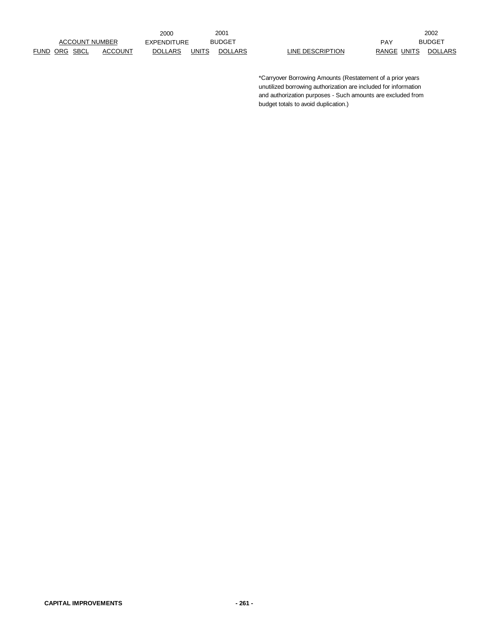FUND ORG SBCL ACCOUNT DOLLARS UNITS DOLLARS LINE DESCRIPTION RANGE UNITS DOLLARS ACCOUNT NUMBER

2000 EXPENDITURE BUDGET NEXT PAY

2001 2002 BUDGET PAY BUDGET

> \*Carryover Borrowing Amounts (Restatement of a prior years unutilized borrowing authorization are included for information and authorization purposes - Such amounts are excluded from budget totals to avoid duplication.)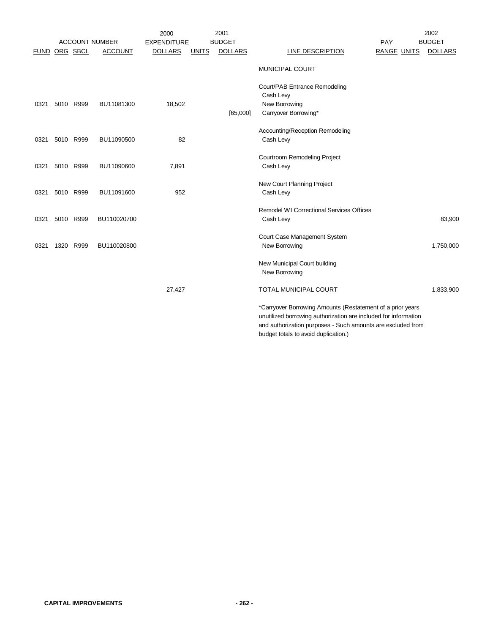|                      |           |           |                       | 2000               |              | 2001           |                                                                                                                                                                                                                                      | 2002           |
|----------------------|-----------|-----------|-----------------------|--------------------|--------------|----------------|--------------------------------------------------------------------------------------------------------------------------------------------------------------------------------------------------------------------------------------|----------------|
|                      |           |           | <b>ACCOUNT NUMBER</b> | <b>EXPENDITURE</b> |              | <b>BUDGET</b>  | <b>PAY</b>                                                                                                                                                                                                                           | <b>BUDGET</b>  |
| <b>FUND ORG SBCL</b> |           |           | <b>ACCOUNT</b>        | <b>DOLLARS</b>     | <b>UNITS</b> | <b>DOLLARS</b> | <b>LINE DESCRIPTION</b><br><b>RANGE UNITS</b>                                                                                                                                                                                        | <b>DOLLARS</b> |
|                      |           |           |                       |                    |              |                | MUNICIPAL COURT                                                                                                                                                                                                                      |                |
| 0321                 | 5010 R999 |           | BU11081300            | 18,502             |              |                | Court/PAB Entrance Remodeling<br>Cash Levy<br>New Borrowing                                                                                                                                                                          |                |
|                      |           |           |                       |                    |              | [65,000]       | Carryover Borrowing*                                                                                                                                                                                                                 |                |
| 0321                 | 5010 R999 |           | BU11090500            | 82                 |              |                | Accounting/Reception Remodeling<br>Cash Levy                                                                                                                                                                                         |                |
| 0321                 |           | 5010 R999 | BU11090600            | 7,891              |              |                | Courtroom Remodeling Project<br>Cash Levy                                                                                                                                                                                            |                |
| 0321                 |           | 5010 R999 | BU11091600            | 952                |              |                | New Court Planning Project<br>Cash Levy                                                                                                                                                                                              |                |
|                      |           |           |                       |                    |              |                | <b>Remodel WI Correctional Services Offices</b>                                                                                                                                                                                      |                |
| 0321                 |           | 5010 R999 | BU110020700           |                    |              |                | Cash Levy                                                                                                                                                                                                                            | 83,900         |
|                      |           |           |                       |                    |              |                | Court Case Management System                                                                                                                                                                                                         |                |
| 0321                 |           | 1320 R999 | BU110020800           |                    |              |                | New Borrowing                                                                                                                                                                                                                        | 1,750,000      |
|                      |           |           |                       |                    |              |                | New Municipal Court building<br>New Borrowing                                                                                                                                                                                        |                |
|                      |           |           |                       | 27,427             |              |                | <b>TOTAL MUNICIPAL COURT</b>                                                                                                                                                                                                         | 1,833,900      |
|                      |           |           |                       |                    |              |                | *Carryover Borrowing Amounts (Restatement of a prior years<br>unutilized borrowing authorization are included for information<br>and authorization purposes - Such amounts are excluded from<br>budget totals to avoid duplication.) |                |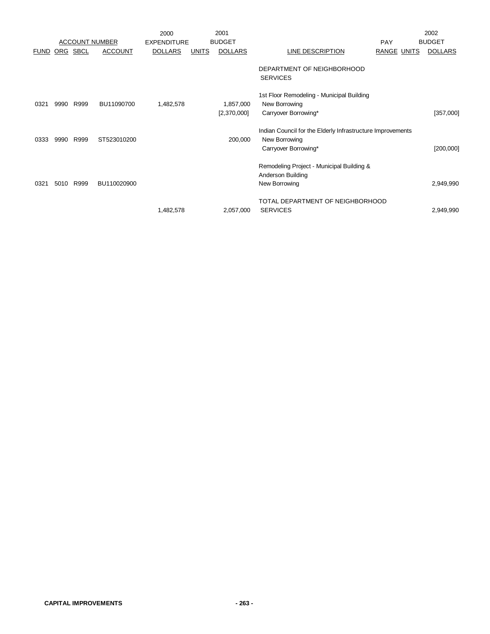|             |      |                       |                | 2000               |              | 2001                     |                                                                                    |                    | 2002           |
|-------------|------|-----------------------|----------------|--------------------|--------------|--------------------------|------------------------------------------------------------------------------------|--------------------|----------------|
|             |      | <b>ACCOUNT NUMBER</b> |                | <b>EXPENDITURE</b> |              | <b>BUDGET</b>            |                                                                                    | <b>PAY</b>         | <b>BUDGET</b>  |
| <u>FUND</u> |      | ORG SBCL              | <b>ACCOUNT</b> | <b>DOLLARS</b>     | <b>UNITS</b> | <b>DOLLARS</b>           | <u>LINE DESCRIPTION</u>                                                            | <b>RANGE UNITS</b> | <b>DOLLARS</b> |
|             |      |                       |                |                    |              |                          | DEPARTMENT OF NEIGHBORHOOD<br><b>SERVICES</b>                                      |                    |                |
| 0321        | 9990 | R999                  | BU11090700     | 1,482,578          |              | 1,857,000<br>[2,370,000] | 1st Floor Remodeling - Municipal Building<br>New Borrowing<br>Carryover Borrowing* |                    | [357,000]      |
|             |      |                       |                |                    |              |                          |                                                                                    |                    |                |
|             |      |                       |                |                    |              |                          | Indian Council for the Elderly Infrastructure Improvements                         |                    |                |
| 0333        | 9990 | R999                  | ST523010200    |                    |              | 200,000                  | New Borrowing                                                                      |                    |                |
|             |      |                       |                |                    |              |                          | Carryover Borrowing*                                                               |                    | [200,000]      |
|             |      |                       |                |                    |              |                          | Remodeling Project - Municipal Building &                                          |                    |                |
|             |      |                       |                |                    |              |                          | Anderson Building                                                                  |                    |                |
| 0321        | 5010 | R999                  | BU110020900    |                    |              |                          | New Borrowing                                                                      |                    | 2,949,990      |
|             |      |                       |                |                    |              |                          | TOTAL DEPARTMENT OF NEIGHBORHOOD                                                   |                    |                |
|             |      |                       |                | 1,482,578          |              | 2,057,000                | <b>SERVICES</b>                                                                    |                    | 2,949,990      |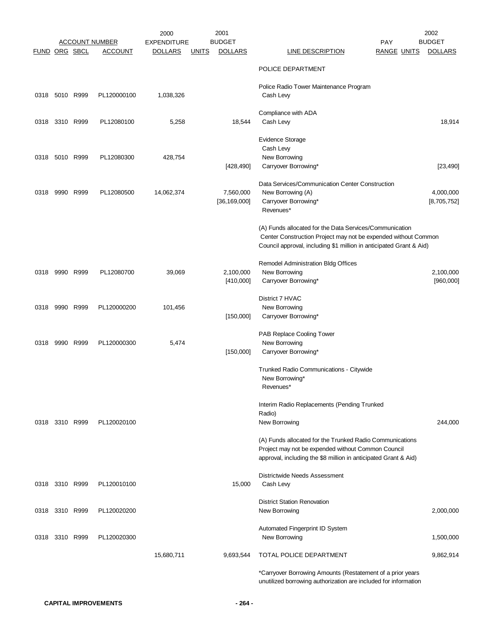|               |                |      |                       | 2000               |              | 2001                        |                                                                                                                                                                                                  | 2002                     |
|---------------|----------------|------|-----------------------|--------------------|--------------|-----------------------------|--------------------------------------------------------------------------------------------------------------------------------------------------------------------------------------------------|--------------------------|
|               |                |      | <u>ACCOUNT NUMBER</u> | <b>EXPENDITURE</b> |              | <b>BUDGET</b>               | <b>PAY</b>                                                                                                                                                                                       | <b>BUDGET</b>            |
| FUND ORG SBCL |                |      | <b>ACCOUNT</b>        | <b>DOLLARS</b>     | <u>UNITS</u> | <b>DOLLARS</b>              | LINE DESCRIPTION<br><b>RANGE UNITS</b>                                                                                                                                                           | <b>DOLLARS</b>           |
|               |                |      |                       |                    |              |                             | POLICE DEPARTMENT                                                                                                                                                                                |                          |
|               | 0318 5010 R999 |      | PL120000100           | 1,038,326          |              |                             | Police Radio Tower Maintenance Program<br>Cash Levy                                                                                                                                              |                          |
|               | 0318 3310 R999 |      | PL12080100            | 5,258              |              | 18,544                      | Compliance with ADA<br>Cash Levy                                                                                                                                                                 | 18,914                   |
| 0318          | 5010 R999      |      | PL12080300            | 428,754            |              | [428, 490]                  | <b>Evidence Storage</b><br>Cash Levy<br>New Borrowing<br>Carryover Borrowing*                                                                                                                    | [23, 490]                |
| 0318          | 9990           | R999 | PL12080500            | 14,062,374         |              | 7,560,000<br>[36, 169, 000] | Data Services/Communication Center Construction<br>New Borrowing (A)<br>Carryover Borrowing*<br>Revenues*                                                                                        | 4,000,000<br>[8,705,752] |
|               |                |      |                       |                    |              |                             | (A) Funds allocated for the Data Services/Communication<br>Center Construction Project may not be expended without Common<br>Council approval, including \$1 million in anticipated Grant & Aid) |                          |
| 0318          | 9990 R999      |      | PL12080700            | 39,069             |              | 2,100,000<br>[410,000]      | Remodel Administration Bldg Offices<br>New Borrowing<br>Carryover Borrowing*                                                                                                                     | 2,100,000<br>[960,000]   |
| 0318          | 9990 R999      |      | PL120000200           | 101,456            |              | [150,000]                   | District 7 HVAC<br>New Borrowing<br>Carryover Borrowing*                                                                                                                                         |                          |
| 0318          | 9990 R999      |      | PL120000300           | 5,474              |              | [150,000]                   | PAB Replace Cooling Tower<br>New Borrowing<br>Carryover Borrowing*                                                                                                                               |                          |
|               |                |      |                       |                    |              |                             | Trunked Radio Communications - Citywide<br>New Borrowing*<br>Revenues*                                                                                                                           |                          |
|               | 0318 3310 R999 |      | PL120020100           |                    |              |                             | Interim Radio Replacements (Pending Trunked<br>Radio)<br>New Borrowing                                                                                                                           | 244,000                  |
|               |                |      |                       |                    |              |                             | (A) Funds allocated for the Trunked Radio Communications<br>Project may not be expended without Common Council<br>approval, including the \$8 million in anticipated Grant & Aid)                |                          |
|               | 0318 3310 R999 |      | PL120010100           |                    |              | 15,000                      | Districtwide Needs Assessment<br>Cash Levy                                                                                                                                                       |                          |
|               | 0318 3310 R999 |      | PL120020200           |                    |              |                             | <b>District Station Renovation</b><br>New Borrowing                                                                                                                                              | 2,000,000                |
|               | 0318 3310 R999 |      | PL120020300           |                    |              |                             | Automated Fingerprint ID System<br>New Borrowing                                                                                                                                                 | 1,500,000                |
|               |                |      |                       | 15,680,711         |              | 9,693,544                   | TOTAL POLICE DEPARTMENT                                                                                                                                                                          | 9,862,914                |
|               |                |      |                       |                    |              |                             | *Carryover Borrowing Amounts (Restatement of a prior years<br>unutilized borrowing authorization are included for information                                                                    |                          |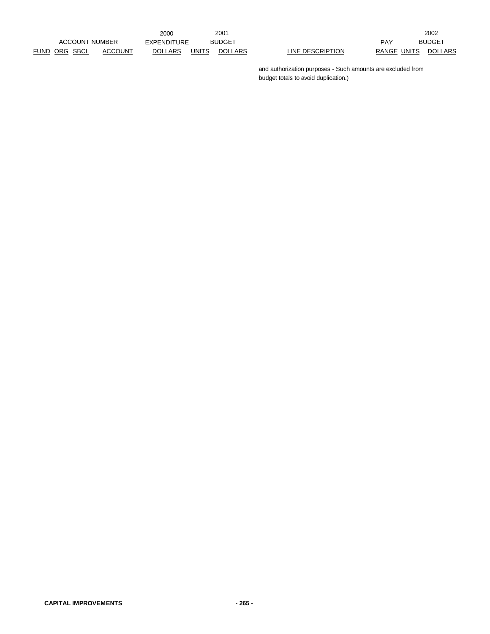2000 EXPENDITURE BUDGET PAY

2001 2002 BUDGET PAY BUDGET

> and authorization purposes - Such amounts are excluded from budget totals to avoid duplication.)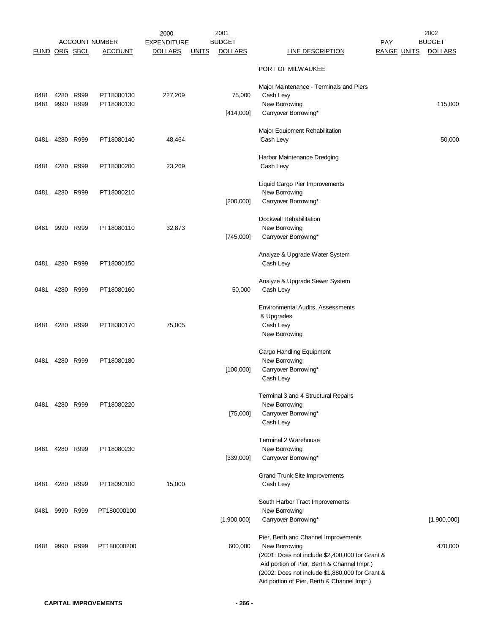|               |           |                   |                                         | 2000                                 |              | 2001                            |                                                                                                |                                  | 2002<br><b>BUDGET</b> |
|---------------|-----------|-------------------|-----------------------------------------|--------------------------------------|--------------|---------------------------------|------------------------------------------------------------------------------------------------|----------------------------------|-----------------------|
| FUND ORG SBCL |           |                   | <b>ACCOUNT NUMBER</b><br><b>ACCOUNT</b> | <b>EXPENDITURE</b><br><b>DOLLARS</b> | <b>UNITS</b> | <b>BUDGET</b><br><b>DOLLARS</b> | <b>LINE DESCRIPTION</b>                                                                        | <b>PAY</b><br><b>RANGE UNITS</b> | <b>DOLLARS</b>        |
|               |           |                   |                                         |                                      |              |                                 | PORT OF MILWAUKEE                                                                              |                                  |                       |
|               |           |                   |                                         |                                      |              |                                 | Major Maintenance - Terminals and Piers                                                        |                                  |                       |
| 0481<br>0481  | 9990      | 4280 R999<br>R999 | PT18080130<br>PT18080130                | 227,209                              |              | 75,000                          | Cash Levy<br>New Borrowing                                                                     |                                  | 115,000               |
|               |           |                   |                                         |                                      |              | [414,000]                       | Carryover Borrowing*                                                                           |                                  |                       |
| 0481          |           | 4280 R999         | PT18080140                              | 48,464                               |              |                                 | Major Equipment Rehabilitation<br>Cash Levy                                                    |                                  | 50,000                |
| 0481          | 4280 R999 |                   | PT18080200                              | 23,269                               |              |                                 | Harbor Maintenance Dredging<br>Cash Levy                                                       |                                  |                       |
| 0481          |           | 4280 R999         | PT18080210                              |                                      |              |                                 | Liquid Cargo Pier Improvements<br>New Borrowing                                                |                                  |                       |
|               |           |                   |                                         |                                      |              | [200,000]                       | Carryover Borrowing*                                                                           |                                  |                       |
| 0481          |           | 9990 R999         | PT18080110                              | 32,873                               |              |                                 | <b>Dockwall Rehabilitation</b><br>New Borrowing                                                |                                  |                       |
|               |           |                   |                                         |                                      |              | [745,000]                       | Carryover Borrowing*                                                                           |                                  |                       |
| 0481          |           | 4280 R999         | PT18080150                              |                                      |              |                                 | Analyze & Upgrade Water System<br>Cash Levy                                                    |                                  |                       |
| 0481          | 4280 R999 |                   | PT18080160                              |                                      |              | 50,000                          | Analyze & Upgrade Sewer System<br>Cash Levy                                                    |                                  |                       |
|               |           |                   |                                         |                                      |              |                                 | Environmental Audits, Assessments                                                              |                                  |                       |
|               |           |                   |                                         |                                      |              |                                 | & Upgrades                                                                                     |                                  |                       |
| 0481          |           | 4280 R999         | PT18080170                              | 75,005                               |              |                                 | Cash Levy<br>New Borrowing                                                                     |                                  |                       |
|               |           |                   |                                         |                                      |              |                                 | Cargo Handling Equipment                                                                       |                                  |                       |
| 0481          |           | 4280 R999         | PT18080180                              |                                      |              | [100,000]                       | New Borrowing<br>Carryover Borrowing*                                                          |                                  |                       |
|               |           |                   |                                         |                                      |              |                                 | Cash Levy                                                                                      |                                  |                       |
| 0481          |           | 4280 R999         | PT18080220                              |                                      |              |                                 | Terminal 3 and 4 Structural Repairs<br>New Borrowing                                           |                                  |                       |
|               |           |                   |                                         |                                      |              | [75,000]                        | Carryover Borrowing*                                                                           |                                  |                       |
|               |           |                   |                                         |                                      |              |                                 | Cash Levy                                                                                      |                                  |                       |
| 0481          |           | 4280 R999         | PT18080230                              |                                      |              |                                 | Terminal 2 Warehouse<br>New Borrowing                                                          |                                  |                       |
|               |           |                   |                                         |                                      |              | [339,000]                       | Carryover Borrowing*                                                                           |                                  |                       |
| 0481          | 4280 R999 |                   | PT18090100                              | 15,000                               |              |                                 | <b>Grand Trunk Site Improvements</b><br>Cash Levy                                              |                                  |                       |
|               |           |                   |                                         |                                      |              |                                 | South Harbor Tract Improvements                                                                |                                  |                       |
| 0481          |           | 9990 R999         | PT180000100                             |                                      |              | [1,900,000]                     | New Borrowing<br>Carryover Borrowing*                                                          |                                  | [1,900,000]           |
|               |           |                   |                                         |                                      |              |                                 |                                                                                                |                                  |                       |
| 0481          |           | 9990 R999         | PT180000200                             |                                      |              | 600,000                         | Pier, Berth and Channel Improvements<br>New Borrowing                                          |                                  | 470,000               |
|               |           |                   |                                         |                                      |              |                                 | (2001: Does not include \$2,400,000 for Grant &                                                |                                  |                       |
|               |           |                   |                                         |                                      |              |                                 | Aid portion of Pier, Berth & Channel Impr.)<br>(2002: Does not include \$1,880,000 for Grant & |                                  |                       |
|               |           |                   |                                         |                                      |              |                                 | Aid portion of Pier, Berth & Channel Impr.)                                                    |                                  |                       |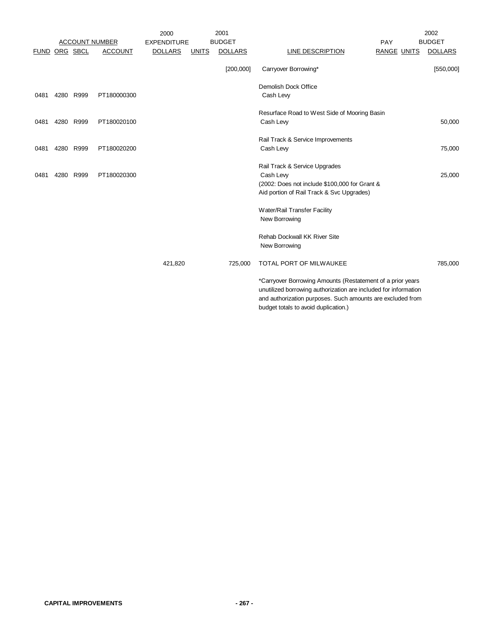|               |           |           | <b>ACCOUNT NUMBER</b> | 2000<br><b>EXPENDITURE</b> |              | 2001<br><b>BUDGET</b> |                                                                                                                                                                                                                                     | PAY                | 2002<br><b>BUDGET</b> |
|---------------|-----------|-----------|-----------------------|----------------------------|--------------|-----------------------|-------------------------------------------------------------------------------------------------------------------------------------------------------------------------------------------------------------------------------------|--------------------|-----------------------|
| FUND ORG SBCL |           |           | <b>ACCOUNT</b>        | <b>DOLLARS</b>             | <b>UNITS</b> | <b>DOLLARS</b>        | LINE DESCRIPTION                                                                                                                                                                                                                    | <b>RANGE UNITS</b> | <b>DOLLARS</b>        |
|               |           |           |                       |                            |              | [200,000]             | Carryover Borrowing*                                                                                                                                                                                                                |                    | [550,000]             |
| 0481          | 4280 R999 |           | PT180000300           |                            |              |                       | Demolish Dock Office<br>Cash Levy                                                                                                                                                                                                   |                    |                       |
| 0481          |           | 4280 R999 | PT180020100           |                            |              |                       | Resurface Road to West Side of Mooring Basin<br>Cash Levy                                                                                                                                                                           |                    | 50,000                |
| 0481          |           | 4280 R999 | PT180020200           |                            |              |                       | Rail Track & Service Improvements<br>Cash Levy                                                                                                                                                                                      |                    | 75,000                |
| 0481          |           | 4280 R999 | PT180020300           |                            |              |                       | Rail Track & Service Upgrades<br>Cash Levy<br>(2002: Does not include \$100,000 for Grant &<br>Aid portion of Rail Track & Svc Upgrades)                                                                                            |                    | 25,000                |
|               |           |           |                       |                            |              |                       | Water/Rail Transfer Facility<br>New Borrowing                                                                                                                                                                                       |                    |                       |
|               |           |           |                       |                            |              |                       | <b>Rehab Dockwall KK River Site</b><br>New Borrowing                                                                                                                                                                                |                    |                       |
|               |           |           |                       | 421,820                    |              | 725,000               | TOTAL PORT OF MILWAUKEE                                                                                                                                                                                                             |                    | 785,000               |
|               |           |           |                       |                            |              |                       | *Carryover Borrowing Amounts (Restatement of a prior years<br>unutilized borrowing authorization are included for information<br>and authorization purposes. Such amounts are excluded from<br>budget totals to avoid duplication.) |                    |                       |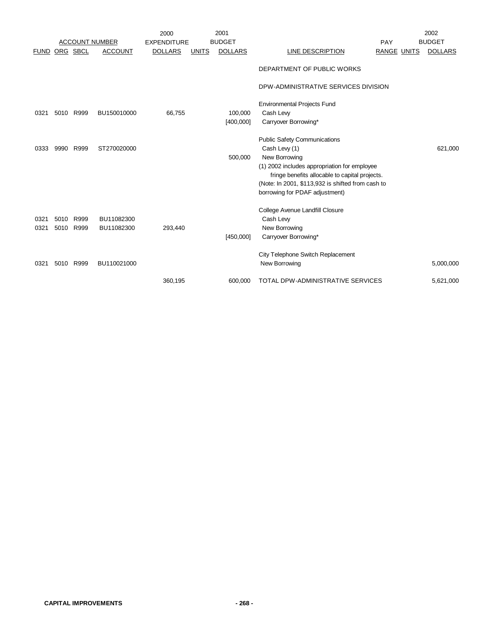|              |              |                       |                          | 2000               |              | 2001           |                                                                                                                                                                                                                                                                |                    | 2002           |
|--------------|--------------|-----------------------|--------------------------|--------------------|--------------|----------------|----------------------------------------------------------------------------------------------------------------------------------------------------------------------------------------------------------------------------------------------------------------|--------------------|----------------|
|              |              | <b>ACCOUNT NUMBER</b> |                          | <b>EXPENDITURE</b> |              | <b>BUDGET</b>  |                                                                                                                                                                                                                                                                | PAY                | <b>BUDGET</b>  |
| <u>FUND</u>  | ORG SBCL     |                       | <b>ACCOUNT</b>           | <b>DOLLARS</b>     | <b>UNITS</b> | <b>DOLLARS</b> | <b>LINE DESCRIPTION</b>                                                                                                                                                                                                                                        | <b>RANGE UNITS</b> | <b>DOLLARS</b> |
|              |              |                       |                          |                    |              |                | DEPARTMENT OF PUBLIC WORKS                                                                                                                                                                                                                                     |                    |                |
|              |              |                       |                          |                    |              |                | DPW-ADMINISTRATIVE SERVICES DIVISION                                                                                                                                                                                                                           |                    |                |
|              |              |                       |                          |                    |              |                | <b>Environmental Projects Fund</b>                                                                                                                                                                                                                             |                    |                |
| 0321         |              | 5010 R999             | BU150010000              | 66,755             |              | 100,000        | Cash Levy                                                                                                                                                                                                                                                      |                    |                |
|              |              |                       |                          |                    |              | [400,000]      | Carryover Borrowing*                                                                                                                                                                                                                                           |                    |                |
| 0333         | 9990         | R999                  | ST270020000              |                    |              | 500,000        | <b>Public Safety Communications</b><br>Cash Levy (1)<br>New Borrowing<br>(1) 2002 includes appropriation for employee<br>fringe benefits allocable to capital projects.<br>(Note: In 2001, \$113,932 is shifted from cash to<br>borrowing for PDAF adjustment) |                    | 621,000        |
| 0321<br>0321 | 5010<br>5010 | R999<br>R999          | BU11082300<br>BU11082300 | 293,440            |              | [450,000]      | College Avenue Landfill Closure<br>Cash Levy<br>New Borrowing<br>Carryover Borrowing*                                                                                                                                                                          |                    |                |
| 0321         | 5010         | R999                  | BU110021000              |                    |              |                | City Telephone Switch Replacement<br>New Borrowing                                                                                                                                                                                                             |                    | 5,000,000      |
|              |              |                       |                          | 360,195            |              | 600,000        | <b>TOTAL DPW-ADMINISTRATIVE SERVICES</b>                                                                                                                                                                                                                       |                    | 5,621,000      |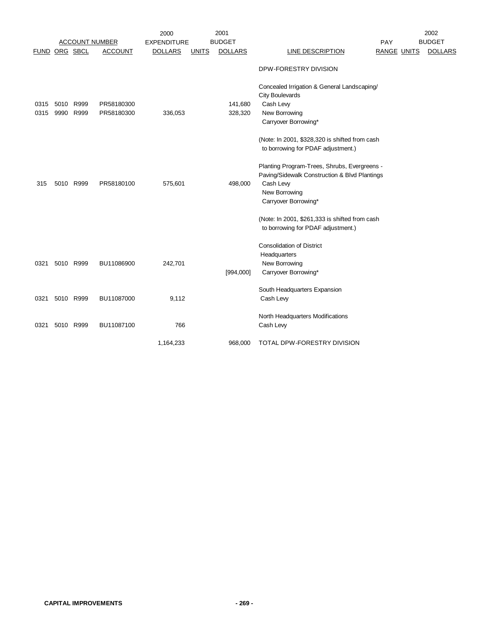|               |              |                       |                          | 2000               |              | 2001               |                                                                                                                                                     |                    | 2002           |
|---------------|--------------|-----------------------|--------------------------|--------------------|--------------|--------------------|-----------------------------------------------------------------------------------------------------------------------------------------------------|--------------------|----------------|
|               |              | <b>ACCOUNT NUMBER</b> |                          | <b>EXPENDITURE</b> |              | <b>BUDGET</b>      |                                                                                                                                                     | PAY                | <b>BUDGET</b>  |
| FUND ORG SBCL |              |                       | <b>ACCOUNT</b>           | <b>DOLLARS</b>     | <b>UNITS</b> | <b>DOLLARS</b>     | <b>LINE DESCRIPTION</b>                                                                                                                             | <b>RANGE UNITS</b> | <b>DOLLARS</b> |
|               |              |                       |                          |                    |              |                    | DPW-FORESTRY DIVISION                                                                                                                               |                    |                |
| 0315<br>0315  | 5010<br>9990 | R999<br>R999          | PR58180300<br>PR58180300 | 336,053            |              | 141,680<br>328,320 | Concealed Irrigation & General Landscaping/<br><b>City Boulevards</b><br>Cash Levy<br>New Borrowing<br>Carryover Borrowing*                         |                    |                |
|               |              |                       |                          |                    |              |                    | (Note: In 2001, \$328,320 is shifted from cash<br>to borrowing for PDAF adjustment.)                                                                |                    |                |
| 315           |              | 5010 R999             | PR58180100               | 575,601            |              | 498,000            | Planting Program-Trees, Shrubs, Evergreens -<br>Paving/Sidewalk Construction & Blvd Plantings<br>Cash Levy<br>New Borrowing<br>Carryover Borrowing* |                    |                |
|               |              |                       |                          |                    |              |                    | (Note: In 2001, \$261,333 is shifted from cash<br>to borrowing for PDAF adjustment.)                                                                |                    |                |
| 0321          |              | 5010 R999             | BU11086900               | 242,701            |              | [994,000]          | <b>Consolidation of District</b><br>Headquarters<br>New Borrowing<br>Carryover Borrowing*                                                           |                    |                |
| 0321          |              | 5010 R999             | BU11087000               | 9,112              |              |                    | South Headquarters Expansion<br>Cash Levy                                                                                                           |                    |                |
| 0321          | 5010         | R999                  | BU11087100               | 766                |              |                    | North Headquarters Modifications<br>Cash Levy                                                                                                       |                    |                |
|               |              |                       |                          | 1,164,233          |              | 968,000            | TOTAL DPW-FORESTRY DIVISION                                                                                                                         |                    |                |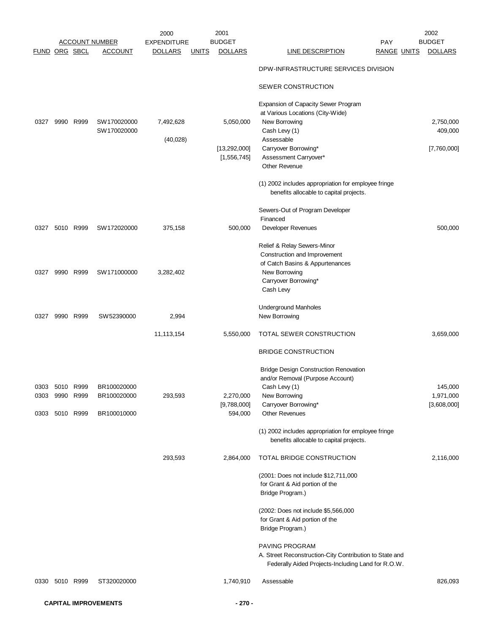|                |                |           |                       | 2000               |              | 2001           |                                                                                                | 2002           |
|----------------|----------------|-----------|-----------------------|--------------------|--------------|----------------|------------------------------------------------------------------------------------------------|----------------|
|                |                |           | <u>ACCOUNT NUMBER</u> | <b>EXPENDITURE</b> |              | <b>BUDGET</b>  | <b>PAY</b>                                                                                     | <b>BUDGET</b>  |
| FUND ORG SBCL  |                |           | <b>ACCOUNT</b>        | <b>DOLLARS</b>     | <u>UNITS</u> | <b>DOLLARS</b> | <b>LINE DESCRIPTION</b><br><b>RANGE UNITS</b>                                                  | <b>DOLLARS</b> |
|                |                |           |                       |                    |              |                | DPW-INFRASTRUCTURE SERVICES DIVISION                                                           |                |
|                |                |           |                       |                    |              |                | SEWER CONSTRUCTION                                                                             |                |
|                |                |           |                       |                    |              |                | Expansion of Capacity Sewer Program                                                            |                |
| 0327           |                | 9990 R999 | SW170020000           | 7,492,628          |              |                | at Various Locations (City-Wide)<br>New Borrowing                                              | 2,750,000      |
|                |                |           | SW170020000           |                    |              | 5,050,000      | Cash Levy (1)                                                                                  | 409,000        |
|                |                |           |                       | (40,028)           |              |                | Assessable                                                                                     |                |
|                |                |           |                       |                    |              | [13,292,000]   | Carryover Borrowing*                                                                           | [7,760,000]    |
|                |                |           |                       |                    |              | [1,556,745]    | Assessment Carryover*                                                                          |                |
|                |                |           |                       |                    |              |                | Other Revenue                                                                                  |                |
|                |                |           |                       |                    |              |                |                                                                                                |                |
|                |                |           |                       |                    |              |                | (1) 2002 includes appropriation for employee fringe                                            |                |
|                |                |           |                       |                    |              |                | benefits allocable to capital projects.                                                        |                |
|                |                |           |                       |                    |              |                | Sewers-Out of Program Developer                                                                |                |
|                |                |           |                       |                    |              |                | Financed                                                                                       |                |
| 0327           | 5010 R999      |           | SW172020000           | 375,158            |              | 500,000        | Developer Revenues                                                                             | 500,000        |
|                |                |           |                       |                    |              |                | Relief & Relay Sewers-Minor                                                                    |                |
|                |                |           |                       |                    |              |                | Construction and Improvement                                                                   |                |
|                |                |           |                       |                    |              |                | of Catch Basins & Appurtenances                                                                |                |
| 0327           |                | 9990 R999 | SW171000000           | 3,282,402          |              |                | New Borrowing                                                                                  |                |
|                |                |           |                       |                    |              |                | Carryover Borrowing*                                                                           |                |
|                |                |           |                       |                    |              |                | Cash Levy                                                                                      |                |
|                |                |           |                       |                    |              |                | Underground Manholes                                                                           |                |
| 0327           |                | 9990 R999 | SW 52390000           | 2,994              |              |                | New Borrowing                                                                                  |                |
|                |                |           |                       | 11,113,154         |              | 5,550,000      | TOTAL SEWER CONSTRUCTION                                                                       | 3,659,000      |
|                |                |           |                       |                    |              |                | <b>BRIDGE CONSTRUCTION</b>                                                                     |                |
|                |                |           |                       |                    |              |                |                                                                                                |                |
|                |                |           |                       |                    |              |                | <b>Bridge Design Construction Renovation</b>                                                   |                |
|                |                |           |                       |                    |              |                | and/or Removal (Purpose Account)                                                               |                |
| 0303           | 5010 R999      |           | BR100020000           |                    |              |                | Cash Levy (1)                                                                                  | 145,000        |
|                | 0303 9990 R999 |           | BR100020000           | 293,593            |              | 2,270,000      | New Borrowing                                                                                  | 1,971,000      |
|                |                |           |                       |                    |              | [9,788,000]    | Carryover Borrowing*                                                                           | [3,608,000]    |
| 0303 5010 R999 |                |           | BR100010000           |                    |              | 594,000        | <b>Other Revenues</b>                                                                          |                |
|                |                |           |                       |                    |              |                | (1) 2002 includes appropriation for employee fringe<br>benefits allocable to capital projects. |                |
|                |                |           |                       |                    |              |                |                                                                                                |                |
|                |                |           |                       | 293,593            |              | 2,864,000      | TOTAL BRIDGE CONSTRUCTION                                                                      | 2,116,000      |
|                |                |           |                       |                    |              |                | (2001: Does not include \$12,711,000                                                           |                |
|                |                |           |                       |                    |              |                | for Grant & Aid portion of the                                                                 |                |
|                |                |           |                       |                    |              |                | Bridge Program.)                                                                               |                |
|                |                |           |                       |                    |              |                | (2002: Does not include \$5,566,000)                                                           |                |
|                |                |           |                       |                    |              |                | for Grant & Aid portion of the                                                                 |                |
|                |                |           |                       |                    |              |                | Bridge Program.)                                                                               |                |
|                |                |           |                       |                    |              |                |                                                                                                |                |
|                |                |           |                       |                    |              |                | PAVING PROGRAM                                                                                 |                |
|                |                |           |                       |                    |              |                | A. Street Reconstruction-City Contribution to State and                                        |                |
|                |                |           |                       |                    |              |                | Federally Aided Projects-Including Land for R.O.W.                                             |                |
| 0330           | 5010 R999      |           | ST320020000           |                    |              | 1,740,910      | Assessable                                                                                     | 826,093        |
|                |                |           |                       |                    |              |                |                                                                                                |                |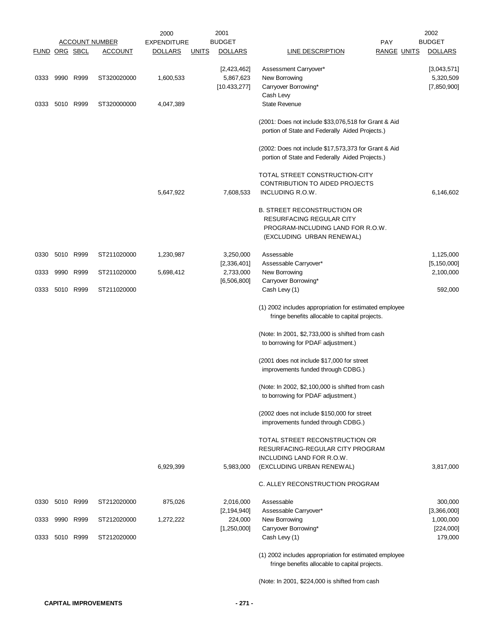|                      |                |                       | 2000               |              | 2001                     |                                                                                                                                  | 2002                       |
|----------------------|----------------|-----------------------|--------------------|--------------|--------------------------|----------------------------------------------------------------------------------------------------------------------------------|----------------------------|
|                      |                | <b>ACCOUNT NUMBER</b> | <b>EXPENDITURE</b> |              | <b>BUDGET</b>            | PAY                                                                                                                              | <b>BUDGET</b>              |
| <b>FUND ORG SBCL</b> |                | <b>ACCOUNT</b>        | <b>DOLLARS</b>     | <u>UNITS</u> | <b>DOLLARS</b>           | <b>LINE DESCRIPTION</b><br><b>RANGE UNITS</b>                                                                                    | <b>DOLLARS</b>             |
| 0333                 | 9990 R999      | ST320020000           | 1,600,533          |              | [2,423,462]<br>5,867,623 | Assessment Carryover*<br>New Borrowing                                                                                           | [3,043,571]<br>5,320,509   |
|                      |                |                       |                    |              | [10.433, 277]            | Carryover Borrowing*<br>Cash Levy                                                                                                | [7,850,900]                |
| 0333                 | 5010 R999      | ST320000000           | 4,047,389          |              |                          | <b>State Revenue</b>                                                                                                             |                            |
|                      |                |                       |                    |              |                          | (2001: Does not include \$33,076,518 for Grant & Aid<br>portion of State and Federally Aided Projects.)                          |                            |
|                      |                |                       |                    |              |                          | (2002: Does not include \$17,573,373 for Grant & Aid<br>portion of State and Federally Aided Projects.)                          |                            |
|                      |                |                       |                    |              |                          | TOTAL STREET CONSTRUCTION-CITY                                                                                                   |                            |
|                      |                |                       | 5,647,922          |              | 7,608,533                | <b>CONTRIBUTION TO AIDED PROJECTS</b><br>INCLUDING R.O.W.                                                                        | 6,146,602                  |
|                      |                |                       |                    |              |                          | <b>B. STREET RECONSTRUCTION OR</b><br>RESURFACING REGULAR CITY<br>PROGRAM-INCLUDING LAND FOR R.O.W.<br>(EXCLUDING URBAN RENEWAL) |                            |
| 0330                 | 5010 R999      | ST211020000           | 1,230,987          |              | 3,250,000                | Assessable                                                                                                                       | 1,125,000                  |
| 0333                 | 9990 R999      | ST211020000           | 5,698,412          |              | [2,336,401]<br>2,733,000 | Assessable Carryover*<br>New Borrowing                                                                                           | [5, 150, 000]<br>2,100,000 |
| 0333                 | 5010 R999      | ST211020000           |                    |              | [6, 506, 800]            | Carryover Borrowing*<br>Cash Levy (1)                                                                                            | 592,000                    |
|                      |                |                       |                    |              |                          | (1) 2002 includes appropriation for estimated employee<br>fringe benefits allocable to capital projects.                         |                            |
|                      |                |                       |                    |              |                          | (Note: In 2001, \$2,733,000 is shifted from cash<br>to borrowing for PDAF adjustment.)                                           |                            |
|                      |                |                       |                    |              |                          | (2001 does not include \$17,000 for street<br>improvements funded through CDBG.)                                                 |                            |
|                      |                |                       |                    |              |                          | (Note: In 2002, \$2,100,000 is shifted from cash<br>to borrowing for PDAF adjustment.)                                           |                            |
|                      |                |                       |                    |              |                          | (2002 does not include \$150,000 for street<br>improvements funded through CDBG.)                                                |                            |
|                      |                |                       |                    |              |                          | TOTAL STREET RECONSTRUCTION OR<br>RESURFACING-REGULAR CITY PROGRAM<br>INCLUDING LAND FOR R.O.W.                                  |                            |
|                      |                |                       | 6,929,399          |              | 5,983,000                | (EXCLUDING URBAN RENEWAL)                                                                                                        | 3,817,000                  |
|                      |                |                       |                    |              |                          | C. ALLEY RECONSTRUCTION PROGRAM                                                                                                  |                            |
|                      | 0330 5010 R999 | ST212020000           | 875,026            |              | 2,016,000                | Assessable                                                                                                                       | 300,000                    |
| 0333                 | 9990 R999      | ST212020000           | 1,272,222          |              | [2, 194, 940]<br>224,000 | Assessable Carryover*<br>New Borrowing                                                                                           | [3,366,000]<br>1,000,000   |
|                      | 0333 5010 R999 | ST212020000           |                    |              | [1,250,000]              | Carryover Borrowing*<br>Cash Levy (1)                                                                                            | [224,000]<br>179,000       |
|                      |                |                       |                    |              |                          | (1) 2002 includes appropriation for estimated employee<br>fringe benefits allocable to capital projects.                         |                            |
|                      |                |                       |                    |              |                          | (Note: In 2001, \$224,000 is shifted from cash                                                                                   |                            |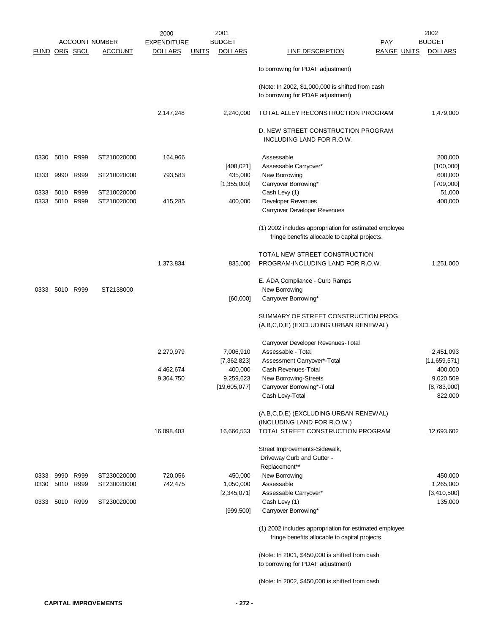|      |           |                      |                       | 2000               | 2001                           |                                                                                                          | 2002           |
|------|-----------|----------------------|-----------------------|--------------------|--------------------------------|----------------------------------------------------------------------------------------------------------|----------------|
|      |           |                      | <b>ACCOUNT NUMBER</b> | <b>EXPENDITURE</b> | <b>BUDGET</b>                  | PAY                                                                                                      | <b>BUDGET</b>  |
|      |           | <b>FUND ORG SBCL</b> | <u>ACCOUNT</u>        | <b>DOLLARS</b>     | <b>DOLLARS</b><br><b>UNITS</b> | <b>RANGE UNITS</b><br><b>LINE DESCRIPTION</b>                                                            | <b>DOLLARS</b> |
|      |           |                      |                       |                    |                                | to borrowing for PDAF adjustment)                                                                        |                |
|      |           |                      |                       |                    |                                | (Note: In 2002, \$1,000,000 is shifted from cash<br>to borrowing for PDAF adjustment)                    |                |
|      |           |                      |                       | 2,147,248          | 2,240,000                      | TOTAL ALLEY RECONSTRUCTION PROGRAM                                                                       | 1,479,000      |
|      |           |                      |                       |                    |                                | D. NEW STREET CONSTRUCTION PROGRAM<br>INCLUDING LAND FOR R.O.W.                                          |                |
| 0330 | 5010 R999 |                      | ST210020000           | 164,966            |                                | Assessable                                                                                               | 200,000        |
|      |           |                      |                       |                    | [408, 021]                     | Assessable Carryover*                                                                                    | [100,000]      |
| 0333 | 9990      | R999                 | ST210020000           | 793,583            | 435,000                        | New Borrowing                                                                                            | 600,000        |
|      |           |                      |                       |                    | [1,355,000]                    | Carryover Borrowing*                                                                                     | [709,000]      |
| 0333 | 5010      | R999                 | ST210020000           |                    |                                | Cash Levy (1)                                                                                            | 51,000         |
| 0333 | 5010      | R999                 | ST210020000           | 415,285            | 400,000                        | Developer Revenues                                                                                       | 400,000        |
|      |           |                      |                       |                    |                                | Carryover Developer Revenues                                                                             |                |
|      |           |                      |                       |                    |                                | (1) 2002 includes appropriation for estimated employee<br>fringe benefits allocable to capital projects. |                |
|      |           |                      |                       |                    |                                | TOTAL NEW STREET CONSTRUCTION                                                                            |                |
|      |           |                      |                       | 1,373,834          |                                | PROGRAM-INCLUDING LAND FOR R.O.W.                                                                        |                |
|      |           |                      |                       |                    | 835,000                        |                                                                                                          | 1,251,000      |
|      |           |                      |                       |                    |                                | E. ADA Compliance - Curb Ramps                                                                           |                |
| 0333 |           | 5010 R999            | ST2138000             |                    |                                | New Borrowing                                                                                            |                |
|      |           |                      |                       |                    | [60,000]                       | Carryover Borrowing*                                                                                     |                |
|      |           |                      |                       |                    |                                |                                                                                                          |                |
|      |           |                      |                       |                    |                                | SUMMARY OF STREET CONSTRUCTION PROG.<br>(A,B,C,D,E) (EXCLUDING URBAN RENEWAL)                            |                |
|      |           |                      |                       |                    |                                | Carryover Developer Revenues-Total                                                                       |                |
|      |           |                      |                       |                    |                                | Assessable - Total                                                                                       |                |
|      |           |                      |                       | 2,270,979          | 7,006,910                      | Assessment Carryover*-Total                                                                              | 2,451,093      |
|      |           |                      |                       |                    | [7,362,823]<br>400,000         |                                                                                                          | [11,659,571]   |
|      |           |                      |                       | 4,462,674          |                                | Cash Revenues-Total                                                                                      | 400,000        |
|      |           |                      |                       | 9,364,750          | 9,259,623                      | New Borrowing-Streets                                                                                    | 9,020,509      |
|      |           |                      |                       |                    | [19,605,077]                   | Carryover Borrowing*-Total                                                                               | [8,783,900]    |
|      |           |                      |                       |                    |                                | Cash Levy-Total                                                                                          | 822,000        |
|      |           |                      |                       |                    |                                | (A,B,C,D,E) (EXCLUDING URBAN RENEWAL)                                                                    |                |
|      |           |                      |                       |                    |                                | (INCLUDING LAND FOR R.O.W.)                                                                              |                |
|      |           |                      |                       | 16,098,403         | 16,666,533                     | TOTAL STREET CONSTRUCTION PROGRAM                                                                        | 12,693,602     |
|      |           |                      |                       |                    |                                | Street Improvements-Sidewalk,                                                                            |                |
|      |           |                      |                       |                    |                                | Driveway Curb and Gutter -                                                                               |                |
|      |           |                      |                       |                    |                                | Replacement**                                                                                            |                |
| 0333 | 9990      | R999                 | ST230020000           | 720,056            | 450,000                        | New Borrowing                                                                                            | 450,000        |
| 0330 |           | 5010 R999            | ST230020000           | 742,475            | 1,050,000                      | Assessable                                                                                               | 1,265,000      |
|      |           |                      |                       |                    | [2,345,071]                    | Assessable Carryover*                                                                                    | [3,410,500]    |
| 0333 |           | 5010 R999            | ST230020000           |                    |                                | Cash Levy (1)                                                                                            | 135,000        |
|      |           |                      |                       |                    | [999, 500]                     | Carryover Borrowing*                                                                                     |                |
|      |           |                      |                       |                    |                                |                                                                                                          |                |
|      |           |                      |                       |                    |                                | (1) 2002 includes appropriation for estimated employee<br>fringe benefits allocable to capital projects. |                |
|      |           |                      |                       |                    |                                |                                                                                                          |                |
|      |           |                      |                       |                    |                                | (Note: In 2001, \$450,000 is shifted from cash<br>to borrowing for PDAF adjustment)                      |                |
|      |           |                      |                       |                    |                                | (Note: In 2002, \$450,000 is shifted from cash                                                           |                |
|      |           |                      |                       |                    |                                |                                                                                                          |                |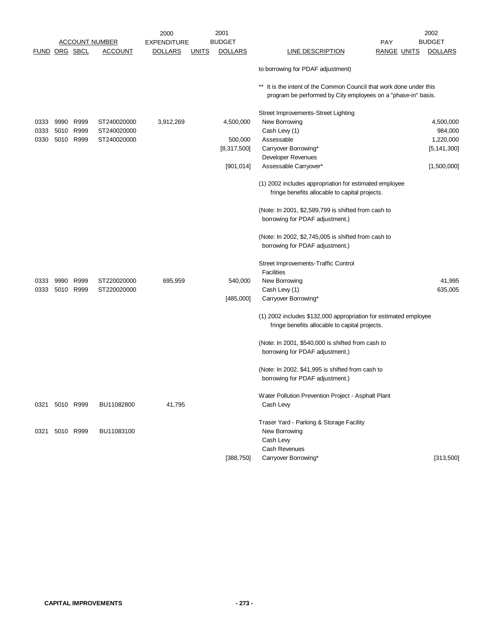|                      |           |                       |                | 2000               |              | 2001           |                                                                                                                                            | 2002           |
|----------------------|-----------|-----------------------|----------------|--------------------|--------------|----------------|--------------------------------------------------------------------------------------------------------------------------------------------|----------------|
|                      |           | <b>ACCOUNT NUMBER</b> |                | <b>EXPENDITURE</b> |              | <b>BUDGET</b>  | PAY                                                                                                                                        | <b>BUDGET</b>  |
| <b>FUND ORG SBCL</b> |           |                       | <b>ACCOUNT</b> | <b>DOLLARS</b>     | <u>UNITS</u> | <b>DOLLARS</b> | <b>LINE DESCRIPTION</b><br><b>RANGE UNITS</b>                                                                                              | <b>DOLLARS</b> |
|                      |           |                       |                |                    |              |                | to borrowing for PDAF adjustment)                                                                                                          |                |
|                      |           |                       |                |                    |              |                | It is the intent of the Common Council that work done under this<br>$***$<br>program be performed by City employees on a "phase-in" basis. |                |
|                      |           |                       |                |                    |              |                | Street Improvements-Street Lighting                                                                                                        |                |
| 0333                 | 9990      | R999                  | ST240020000    | 3,912,269          |              | 4,500,000      | New Borrowing                                                                                                                              | 4,500,000      |
| 0333                 | 5010 R999 |                       | ST240020000    |                    |              |                | Cash Levy (1)                                                                                                                              | 984,000        |
| 0330                 |           | 5010 R999             | ST240020000    |                    |              | 500,000        | Assessable                                                                                                                                 | 1,220,000      |
|                      |           |                       |                |                    |              | [8,317,500]    | Carryover Borrowing*                                                                                                                       | [5, 141, 300]  |
|                      |           |                       |                |                    |              |                | Developer Revenues                                                                                                                         |                |
|                      |           |                       |                |                    |              | [901, 014]     | Assessable Carryover*                                                                                                                      | [1,500,000]    |
|                      |           |                       |                |                    |              |                | (1) 2002 includes appropriation for estimated employee<br>fringe benefits allocable to capital projects.                                   |                |
|                      |           |                       |                |                    |              |                | (Note: In 2001, \$2,589,799 is shifted from cash to<br>borrowing for PDAF adjustment.)                                                     |                |
|                      |           |                       |                |                    |              |                | (Note: In 2002, \$2,745,005 is shifted from cash to<br>borrowing for PDAF adjustment.)                                                     |                |
|                      |           |                       |                |                    |              |                | Street Improvements-Traffic Control                                                                                                        |                |
|                      |           |                       |                |                    |              |                | <b>Facilities</b>                                                                                                                          |                |
| 0333                 | 9990      | R999                  | ST220020000    | 695,959            |              | 540,000        | New Borrowing                                                                                                                              | 41,995         |
| 0333                 |           | 5010 R999             | ST220020000    |                    |              |                | Cash Levy (1)                                                                                                                              | 635,005        |
|                      |           |                       |                |                    |              | [485,000]      | Carryover Borrowing*                                                                                                                       |                |
|                      |           |                       |                |                    |              |                | (1) 2002 includes \$132,000 appropriation for estimated employee<br>fringe benefits allocable to capital projects.                         |                |
|                      |           |                       |                |                    |              |                |                                                                                                                                            |                |
|                      |           |                       |                |                    |              |                | (Note: In 2001, \$540,000 is shifted from cash to                                                                                          |                |
|                      |           |                       |                |                    |              |                | borrowing for PDAF adjustment.)                                                                                                            |                |
|                      |           |                       |                |                    |              |                | (Note: In 2002, \$41,995 is shifted from cash to                                                                                           |                |
|                      |           |                       |                |                    |              |                | borrowing for PDAF adjustment.)                                                                                                            |                |
| 0321                 |           | 5010 R999             | BU11082800     | 41,795             |              |                | Water Pollution Prevention Project - Asphalt Plant<br>Cash Levy                                                                            |                |
|                      |           |                       |                |                    |              |                |                                                                                                                                            |                |
|                      |           |                       |                |                    |              |                | Traser Yard - Parking & Storage Facility                                                                                                   |                |
| 0321                 |           | 5010 R999             | BU11083100     |                    |              |                | New Borrowing                                                                                                                              |                |
|                      |           |                       |                |                    |              |                | Cash Levy                                                                                                                                  |                |
|                      |           |                       |                |                    |              |                | Cash Revenues                                                                                                                              |                |
|                      |           |                       |                |                    |              | [388, 750]     | Carryover Borrowing*                                                                                                                       | [313,500]      |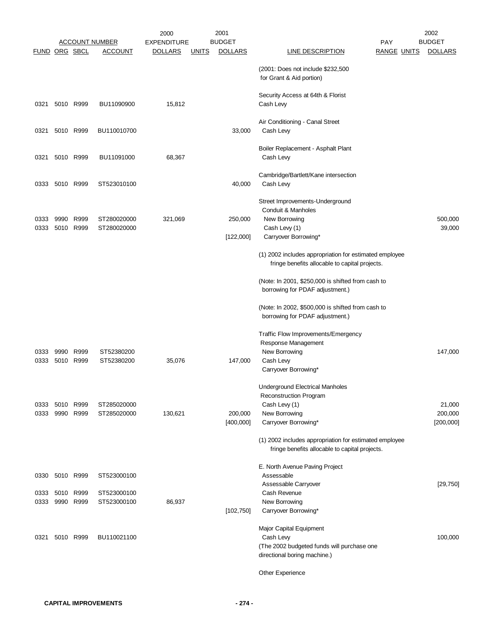|                      |                        |                        |                            | 2000               | 2001                           |                                                                                                          | 2002                                 |
|----------------------|------------------------|------------------------|----------------------------|--------------------|--------------------------------|----------------------------------------------------------------------------------------------------------|--------------------------------------|
|                      |                        |                        | <b>ACCOUNT NUMBER</b>      | <b>EXPENDITURE</b> | <b>BUDGET</b>                  | PAY                                                                                                      | <b>BUDGET</b>                        |
| <b>FUND ORG SBCL</b> |                        |                        | <b>ACCOUNT</b>             | <b>DOLLARS</b>     | <b>DOLLARS</b><br><b>UNITS</b> | <b>LINE DESCRIPTION</b>                                                                                  | <b>RANGE UNITS</b><br><b>DOLLARS</b> |
|                      |                        |                        |                            |                    |                                | (2001: Does not include \$232,500<br>for Grant & Aid portion)                                            |                                      |
| 0321                 |                        | 5010 R999              | BU11090900                 | 15,812             |                                | Security Access at 64th & Florist<br>Cash Levy                                                           |                                      |
| 0321                 |                        | 5010 R999              | BU110010700                |                    | 33,000                         | Air Conditioning - Canal Street<br>Cash Levy                                                             |                                      |
| 0321                 |                        | 5010 R999              | BU11091000                 | 68,367             |                                | Boiler Replacement - Asphalt Plant<br>Cash Levy                                                          |                                      |
| 0333                 | 5010 R999              |                        | ST523010100                |                    | 40,000                         | Cambridge/Bartlett/Kane intersection<br>Cash Levy                                                        |                                      |
|                      |                        |                        |                            |                    |                                | Street Improvements-Underground<br>Conduit & Manholes                                                    |                                      |
| 0333<br>0333         |                        | 9990 R999<br>5010 R999 | ST280020000<br>ST280020000 | 321,069            | 250,000<br>[122,000]           | New Borrowing<br>Cash Levy (1)<br>Carryover Borrowing*                                                   | 500,000<br>39,000                    |
|                      |                        |                        |                            |                    |                                | (1) 2002 includes appropriation for estimated employee<br>fringe benefits allocable to capital projects. |                                      |
|                      |                        |                        |                            |                    |                                | (Note: In 2001, \$250,000 is shifted from cash to<br>borrowing for PDAF adjustment.)                     |                                      |
|                      |                        |                        |                            |                    |                                | (Note: In 2002, \$500,000 is shifted from cash to<br>borrowing for PDAF adjustment.)                     |                                      |
|                      |                        |                        |                            |                    |                                | Traffic Flow Improvements/Emergency<br>Response Management                                               |                                      |
| 0333<br>0333         | 9990<br>5010 R999      | R999                   | ST52380200<br>ST52380200   | 35,076             | 147,000                        | New Borrowing<br>Cash Levy<br>Carryover Borrowing*                                                       | 147,000                              |
|                      |                        |                        |                            |                    |                                | Underground Electrical Manholes<br><b>Reconstruction Program</b>                                         |                                      |
| 0333<br>0333         |                        | 5010 R999<br>9990 R999 | ST285020000<br>ST285020000 | 130,621            | 200,000                        | Cash Levy (1)<br>New Borrowing                                                                           | 21,000<br>200,000                    |
|                      |                        |                        |                            |                    | [400,000]                      | Carryover Borrowing*                                                                                     | [200,000]                            |
|                      |                        |                        |                            |                    |                                | (1) 2002 includes appropriation for estimated employee<br>fringe benefits allocable to capital projects. |                                      |
| 0330                 | 5010 R999              |                        | ST523000100                |                    |                                | E. North Avenue Paving Project<br>Assessable                                                             |                                      |
| 0333<br>0333         | 5010 R999<br>9990 R999 |                        | ST523000100<br>ST523000100 | 86,937             |                                | Assessable Carryover<br>Cash Revenue<br>New Borrowing                                                    | [29,750]                             |
|                      |                        |                        |                            |                    | [102, 750]                     | Carryover Borrowing*<br>Major Capital Equipment                                                          |                                      |
| 0321                 |                        | 5010 R999              | BU110021100                |                    |                                | Cash Levy<br>(The 2002 budgeted funds will purchase one<br>directional boring machine.)                  | 100,000                              |
|                      |                        |                        |                            |                    |                                | Other Experience                                                                                         |                                      |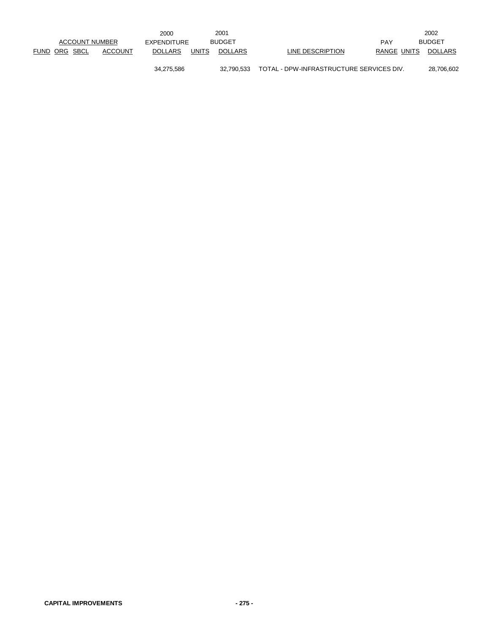|               |                |                | 2000           |              | 2001           |                                          |             | 2002           |
|---------------|----------------|----------------|----------------|--------------|----------------|------------------------------------------|-------------|----------------|
|               | ACCOUNT NUMBER |                | EXPENDITURE    |              | <b>BUDGET</b>  |                                          | PAY         | <b>BUDGET</b>  |
| FUND ORG SBCL |                | <b>ACCOUNT</b> | <b>DOLLARS</b> | <b>UNITS</b> | <b>DOLLARS</b> | LINE DESCRIPTION                         | RANGE UNITS | <b>DOLLARS</b> |
|               |                |                | 34,275,586     |              | 32.790.533     | TOTAL - DPW-INFRASTRUCTURE SERVICES DIV. |             | 28,706,602     |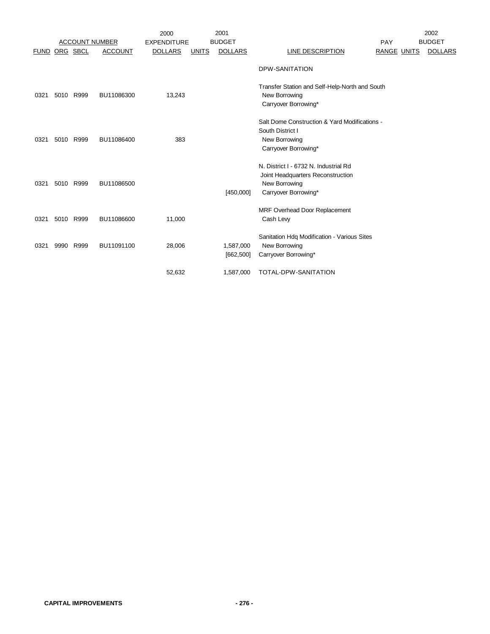|      |      |                       |                | 2000               |              | 2001                    |                                                                                                                     |                    | 2002           |
|------|------|-----------------------|----------------|--------------------|--------------|-------------------------|---------------------------------------------------------------------------------------------------------------------|--------------------|----------------|
|      |      | <b>ACCOUNT NUMBER</b> |                | <b>EXPENDITURE</b> |              | <b>BUDGET</b>           |                                                                                                                     | <b>PAY</b>         | <b>BUDGET</b>  |
| FUND |      | ORG SBCL              | <b>ACCOUNT</b> | <b>DOLLARS</b>     | <b>UNITS</b> | <b>DOLLARS</b>          | LINE DESCRIPTION                                                                                                    | <b>RANGE UNITS</b> | <b>DOLLARS</b> |
|      |      |                       |                |                    |              |                         | DPW-SANITATION                                                                                                      |                    |                |
| 0321 |      | 5010 R999             | BU11086300     | 13,243             |              |                         | Transfer Station and Self-Help-North and South<br>New Borrowing<br>Carryover Borrowing*                             |                    |                |
| 0321 |      | 5010 R999             | BU11086400     | 383                |              |                         | Salt Dome Construction & Yard Modifications -<br>South District I<br>New Borrowing<br>Carryover Borrowing*          |                    |                |
| 0321 | 5010 | R999                  | BU11086500     |                    |              | [450,000]               | N. District I - 6732 N. Industrial Rd<br>Joint Headquarters Reconstruction<br>New Borrowing<br>Carryover Borrowing* |                    |                |
| 0321 |      | 5010 R999             | BU11086600     | 11,000             |              |                         | MRF Overhead Door Replacement<br>Cash Levy                                                                          |                    |                |
| 0321 | 9990 | R999                  | BU11091100     | 28,006             |              | 1,587,000<br>[662, 500] | Sanitation Hdq Modification - Various Sites<br>New Borrowing<br>Carryover Borrowing*                                |                    |                |
|      |      |                       |                | 52,632             |              | 1,587,000               | TOTAL-DPW-SANITATION                                                                                                |                    |                |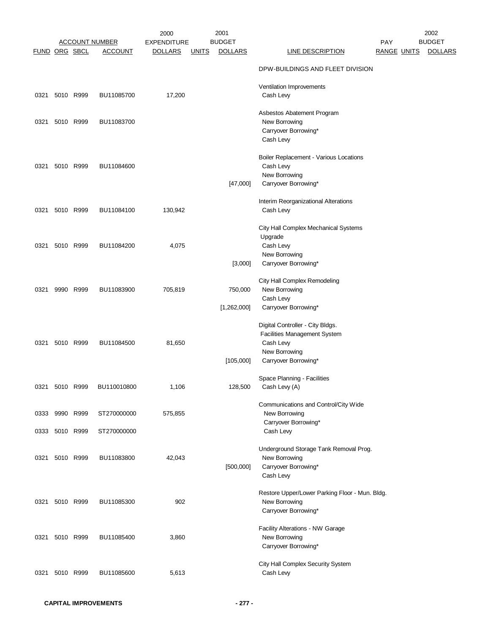|                      |                |           |                       | 2000               | 2001                           |                                                                 |                    | 2002           |
|----------------------|----------------|-----------|-----------------------|--------------------|--------------------------------|-----------------------------------------------------------------|--------------------|----------------|
|                      |                |           | <b>ACCOUNT NUMBER</b> | <b>EXPENDITURE</b> | <b>BUDGET</b>                  |                                                                 | <b>PAY</b>         | <b>BUDGET</b>  |
| <b>FUND ORG SBCL</b> |                |           | <b>ACCOUNT</b>        | <u>DOLLARS</u>     | <b>DOLLARS</b><br><b>UNITS</b> | <b>LINE DESCRIPTION</b>                                         | <u>RANGE UNITS</u> | <b>DOLLARS</b> |
|                      |                |           |                       |                    |                                | DPW-BUILDINGS AND FLEET DIVISION                                |                    |                |
|                      |                |           |                       |                    |                                |                                                                 |                    |                |
| 0321                 |                | 5010 R999 | BU11085700            | 17,200             |                                | Ventilation Improvements<br>Cash Levy                           |                    |                |
|                      |                |           |                       |                    |                                |                                                                 |                    |                |
|                      |                |           |                       |                    |                                | Asbestos Abatement Program                                      |                    |                |
| 0321                 |                | 5010 R999 | BU11083700            |                    |                                | New Borrowing                                                   |                    |                |
|                      |                |           |                       |                    |                                | Carryover Borrowing*<br>Cash Levy                               |                    |                |
|                      |                |           |                       |                    |                                |                                                                 |                    |                |
|                      |                |           |                       |                    |                                | Boiler Replacement - Various Locations                          |                    |                |
| 0321                 |                | 5010 R999 | BU11084600            |                    |                                | Cash Levy                                                       |                    |                |
|                      |                |           |                       |                    |                                | New Borrowing                                                   |                    |                |
|                      |                |           |                       |                    | [47,000]                       | Carryover Borrowing*                                            |                    |                |
|                      |                |           |                       |                    |                                | Interim Reorganizational Alterations                            |                    |                |
| 0321                 |                | 5010 R999 | BU11084100            | 130,942            |                                | Cash Levy                                                       |                    |                |
|                      |                |           |                       |                    |                                | City Hall Complex Mechanical Systems                            |                    |                |
|                      |                |           |                       |                    |                                | Upgrade                                                         |                    |                |
| 0321                 |                | 5010 R999 | BU11084200            | 4,075              |                                | Cash Levy                                                       |                    |                |
|                      |                |           |                       |                    |                                | New Borrowing                                                   |                    |                |
|                      |                |           |                       |                    | [3,000]                        | Carryover Borrowing*                                            |                    |                |
|                      |                |           |                       |                    |                                | City Hall Complex Remodeling                                    |                    |                |
| 0321                 |                | 9990 R999 | BU11083900            | 705,819            | 750,000                        | New Borrowing                                                   |                    |                |
|                      |                |           |                       |                    |                                | Cash Levy                                                       |                    |                |
|                      |                |           |                       |                    | [1,262,000]                    | Carryover Borrowing*                                            |                    |                |
|                      |                |           |                       |                    |                                | Digital Controller - City Bldgs.                                |                    |                |
|                      |                |           |                       |                    |                                | Facilities Management System                                    |                    |                |
| 0321                 |                | 5010 R999 | BU11084500            | 81,650             |                                | Cash Levy                                                       |                    |                |
|                      |                |           |                       |                    |                                | New Borrowing                                                   |                    |                |
|                      |                |           |                       |                    | [105,000]                      | Carryover Borrowing*                                            |                    |                |
|                      |                |           |                       |                    |                                | Space Planning - Facilities                                     |                    |                |
| 0321                 | 5010 R999      |           | BU110010800           | 1,106              | 128,500                        | Cash Levy (A)                                                   |                    |                |
|                      |                |           |                       |                    |                                |                                                                 |                    |                |
|                      | 0333 9990 R999 |           | ST270000000           | 575,855            |                                | Communications and Control/City Wide<br>New Borrowing           |                    |                |
|                      |                |           |                       |                    |                                | Carryover Borrowing*                                            |                    |                |
|                      | 0333 5010 R999 |           | ST270000000           |                    |                                | Cash Levy                                                       |                    |                |
|                      |                |           |                       |                    |                                |                                                                 |                    |                |
| 0321                 |                | 5010 R999 | BU11083800            | 42,043             |                                | Underground Storage Tank Removal Prog.<br>New Borrowing         |                    |                |
|                      |                |           |                       |                    | [500,000]                      | Carryover Borrowing*                                            |                    |                |
|                      |                |           |                       |                    |                                | Cash Levy                                                       |                    |                |
|                      |                |           |                       |                    |                                |                                                                 |                    |                |
| 0321                 |                | 5010 R999 | BU11085300            | 902                |                                | Restore Upper/Lower Parking Floor - Mun. Bldg.<br>New Borrowing |                    |                |
|                      |                |           |                       |                    |                                | Carryover Borrowing*                                            |                    |                |
|                      |                |           |                       |                    |                                |                                                                 |                    |                |
|                      |                |           |                       |                    |                                | Facility Alterations - NW Garage                                |                    |                |
| 0321                 |                | 5010 R999 | BU11085400            | 3,860              |                                | New Borrowing                                                   |                    |                |
|                      |                |           |                       |                    |                                | Carryover Borrowing*                                            |                    |                |
|                      |                |           |                       |                    |                                | City Hall Complex Security System                               |                    |                |
| 0321                 |                | 5010 R999 | BU11085600            | 5,613              |                                | Cash Levy                                                       |                    |                |
|                      |                |           |                       |                    |                                |                                                                 |                    |                |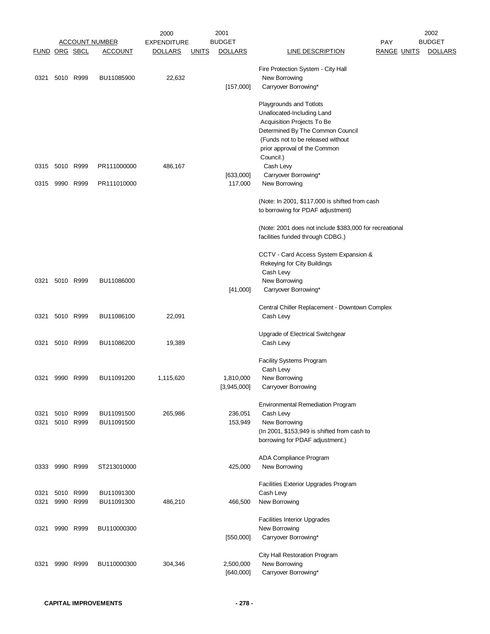|                      |                |           |                       | 2000               | 2001                           |                                                         |                    | 2002           |
|----------------------|----------------|-----------|-----------------------|--------------------|--------------------------------|---------------------------------------------------------|--------------------|----------------|
|                      |                |           | <b>ACCOUNT NUMBER</b> | <b>EXPENDITURE</b> | <b>BUDGET</b>                  |                                                         | <b>PAY</b>         | <b>BUDGET</b>  |
| <b>FUND ORG SBCL</b> |                |           | <u>ACCOUNT</u>        | <u>DOLLARS</u>     | <b>DOLLARS</b><br><b>UNITS</b> | <b>LINE DESCRIPTION</b>                                 | <u>RANGE UNITS</u> | <b>DOLLARS</b> |
|                      |                |           |                       |                    |                                | Fire Protection System - City Hall                      |                    |                |
| 0321                 |                | 5010 R999 | BU11085900            | 22,632             |                                | New Borrowing                                           |                    |                |
|                      |                |           |                       |                    | [157,000]                      | Carryover Borrowing*                                    |                    |                |
|                      |                |           |                       |                    |                                |                                                         |                    |                |
|                      |                |           |                       |                    |                                | Playgrounds and Totlots                                 |                    |                |
|                      |                |           |                       |                    |                                | Unallocated-Including Land                              |                    |                |
|                      |                |           |                       |                    |                                | Acquisition Projects To Be                              |                    |                |
|                      |                |           |                       |                    |                                | Determined By The Common Council                        |                    |                |
|                      |                |           |                       |                    |                                | (Funds not to be released without                       |                    |                |
|                      |                |           |                       |                    |                                | prior approval of the Common                            |                    |                |
|                      |                |           |                       |                    |                                | Council.)                                               |                    |                |
|                      | 0315 5010 R999 |           | PR111000000           | 486,167            |                                | Cash Levy                                               |                    |                |
|                      |                |           |                       |                    | [633,000]                      | Carryover Borrowing*                                    |                    |                |
| 0315                 | 9990 R999      |           | PR111010000           |                    | 117,000                        | New Borrowing                                           |                    |                |
|                      |                |           |                       |                    |                                |                                                         |                    |                |
|                      |                |           |                       |                    |                                | (Note: In 2001, \$117,000 is shifted from cash          |                    |                |
|                      |                |           |                       |                    |                                | to borrowing for PDAF adjustment)                       |                    |                |
|                      |                |           |                       |                    |                                |                                                         |                    |                |
|                      |                |           |                       |                    |                                | (Note: 2001 does not include \$383,000 for recreational |                    |                |
|                      |                |           |                       |                    |                                | facilities funded through CDBG.)                        |                    |                |
|                      |                |           |                       |                    |                                |                                                         |                    |                |
|                      |                |           |                       |                    |                                | CCTV - Card Access System Expansion &                   |                    |                |
|                      |                |           |                       |                    |                                | Rekeying for City Buildings                             |                    |                |
|                      |                |           |                       |                    |                                | Cash Levy                                               |                    |                |
| 0321                 |                | 5010 R999 | BU11086000            |                    |                                | New Borrowing                                           |                    |                |
|                      |                |           |                       |                    | [41,000]                       | Carryover Borrowing*                                    |                    |                |
|                      |                |           |                       |                    |                                |                                                         |                    |                |
|                      |                |           |                       |                    |                                | Central Chiller Replacement - Downtown Complex          |                    |                |
| 0321                 |                | 5010 R999 | BU11086100            | 22,091             |                                | Cash Levy                                               |                    |                |
|                      |                |           |                       |                    |                                |                                                         |                    |                |
| 0321                 |                | 5010 R999 | BU11086200            | 19,389             |                                | Upgrade of Electrical Switchgear<br>Cash Levy           |                    |                |
|                      |                |           |                       |                    |                                |                                                         |                    |                |
|                      |                |           |                       |                    |                                | <b>Facility Systems Program</b>                         |                    |                |
|                      |                |           |                       |                    |                                | Cash Levy                                               |                    |                |
| 0321                 | 9990 R999      |           | BU11091200            | 1,115,620          | 1,810,000                      | New Borrowing                                           |                    |                |
|                      |                |           |                       |                    | [3,945,000]                    | Carryover Borrowing                                     |                    |                |
|                      |                |           |                       |                    |                                |                                                         |                    |                |
|                      |                |           |                       |                    |                                | <b>Environmental Remediation Program</b>                |                    |                |
| 0321                 | 5010           | R999      | BU11091500            | 265,986            | 236,051                        | Cash Levy                                               |                    |                |
| 0321                 |                | 5010 R999 | BU11091500            |                    | 153,949                        | New Borrowing                                           |                    |                |
|                      |                |           |                       |                    |                                | (In 2001, \$153,949 is shifted from cash to             |                    |                |
|                      |                |           |                       |                    |                                | borrowing for PDAF adjustment.)                         |                    |                |
|                      |                |           |                       |                    |                                |                                                         |                    |                |
|                      |                |           |                       |                    |                                | ADA Compliance Program                                  |                    |                |
|                      | 0333 9990 R999 |           | ST213010000           |                    | 425,000                        | New Borrowing                                           |                    |                |
|                      |                |           |                       |                    |                                |                                                         |                    |                |
|                      |                |           |                       |                    |                                | <b>Facilities Exterior Upgrades Program</b>             |                    |                |
| 0321                 |                | 5010 R999 | BU11091300            |                    |                                | Cash Levy                                               |                    |                |
| 0321                 |                | 9990 R999 | BU11091300            | 486,210            | 466,500                        | New Borrowing                                           |                    |                |
|                      |                |           |                       |                    |                                |                                                         |                    |                |
|                      |                |           |                       |                    |                                | <b>Facilities Interior Upgrades</b>                     |                    |                |
| 0321                 |                | 9990 R999 | BU110000300           |                    |                                | New Borrowing                                           |                    |                |
|                      |                |           |                       |                    | [550,000]                      | Carryover Borrowing*                                    |                    |                |
|                      |                |           |                       |                    |                                |                                                         |                    |                |
|                      |                |           |                       |                    |                                | City Hall Restoration Program                           |                    |                |
| 0321                 | 9990           | R999      | BU110000300           | 304,346            | 2,500,000                      | New Borrowing                                           |                    |                |
|                      |                |           |                       |                    | [640,000]                      | Carryover Borrowing*                                    |                    |                |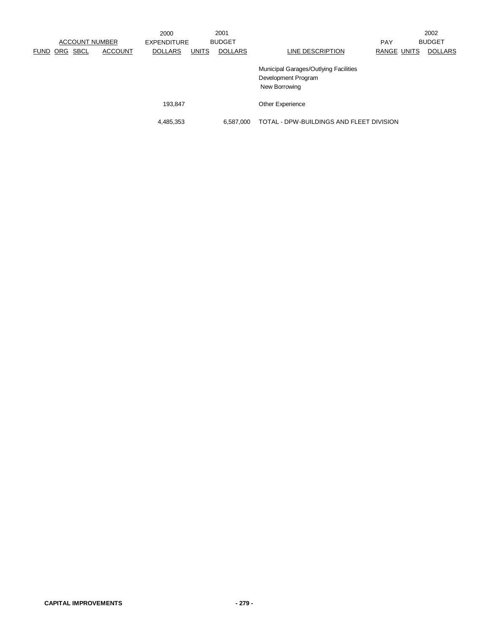|                         | <b>ACCOUNT NUMBER</b> | 2000<br><b>EXPENDITURE</b> |              | 2001<br><b>BUDGET</b> |                                                                               | <b>PAY</b>  | 2002<br><b>BUDGET</b> |
|-------------------------|-----------------------|----------------------------|--------------|-----------------------|-------------------------------------------------------------------------------|-------------|-----------------------|
| <b>SBCL</b><br>FUND ORG | <b>ACCOUNT</b>        | <b>DOLLARS</b>             | <b>UNITS</b> | <b>DOLLARS</b>        | LINE DESCRIPTION                                                              | RANGE UNITS | <b>DOLLARS</b>        |
|                         |                       |                            |              |                       | Municipal Garages/Outlying Facilities<br>Development Program<br>New Borrowing |             |                       |
|                         |                       | 193.847                    |              |                       | <b>Other Experience</b>                                                       |             |                       |
|                         |                       | 4,485,353                  |              | 6.587.000             | TOTAL - DPW-BUILDINGS AND FLEET DIVISION                                      |             |                       |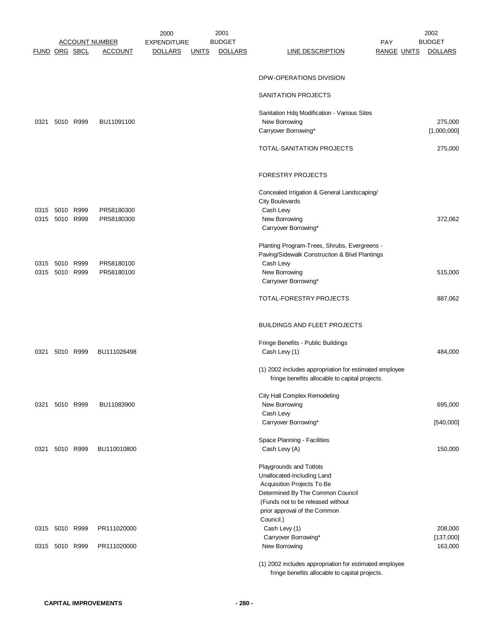|               |                |           |                       | 2000               |              | 2001           |                                                              |                    | 2002           |
|---------------|----------------|-----------|-----------------------|--------------------|--------------|----------------|--------------------------------------------------------------|--------------------|----------------|
|               |                |           | <b>ACCOUNT NUMBER</b> | <b>EXPENDITURE</b> |              | <b>BUDGET</b>  |                                                              | <b>PAY</b>         | <b>BUDGET</b>  |
| FUND ORG SBCL |                |           | <b>ACCOUNT</b>        | <b>DOLLARS</b>     | <b>UNITS</b> | <b>DOLLARS</b> | <b>LINE DESCRIPTION</b>                                      | <b>RANGE UNITS</b> | <b>DOLLARS</b> |
|               |                |           |                       |                    |              |                |                                                              |                    |                |
|               |                |           |                       |                    |              |                | DPW-OPERATIONS DIVISION                                      |                    |                |
|               |                |           |                       |                    |              |                |                                                              |                    |                |
|               |                |           |                       |                    |              |                | SANITATION PROJECTS                                          |                    |                |
|               |                |           |                       |                    |              |                |                                                              |                    |                |
| 0321          |                | 5010 R999 | BU11091100            |                    |              |                | Sanitation Hdq Modification - Various Sites<br>New Borrowing |                    | 275,000        |
|               |                |           |                       |                    |              |                | Carryover Borrowing*                                         |                    | [1,000,000]    |
|               |                |           |                       |                    |              |                |                                                              |                    |                |
|               |                |           |                       |                    |              |                | TOTAL-SANITATION PROJECTS                                    |                    | 275,000        |
|               |                |           |                       |                    |              |                |                                                              |                    |                |
|               |                |           |                       |                    |              |                |                                                              |                    |                |
|               |                |           |                       |                    |              |                | <b>FORESTRY PROJECTS</b>                                     |                    |                |
|               |                |           |                       |                    |              |                | Concealed Irrigation & General Landscaping/                  |                    |                |
|               |                |           |                       |                    |              |                | <b>City Boulevards</b>                                       |                    |                |
|               | 0315 5010 R999 |           | PR58180300            |                    |              |                | Cash Levy                                                    |                    |                |
| 0315          |                | 5010 R999 | PR58180300            |                    |              |                | New Borrowing                                                |                    | 372,062        |
|               |                |           |                       |                    |              |                | Carryover Borrowing*                                         |                    |                |
|               |                |           |                       |                    |              |                |                                                              |                    |                |
|               |                |           |                       |                    |              |                | Planting Program-Trees, Shrubs, Evergreens -                 |                    |                |
|               |                |           |                       |                    |              |                | Paving/Sidewalk Construction & Blvd Plantings                |                    |                |
| 0315          | 5010 R999      |           | PR58180100            |                    |              |                | Cash Levy                                                    |                    |                |
|               | 0315 5010 R999 |           | PR58180100            |                    |              |                | New Borrowing                                                |                    | 515,000        |
|               |                |           |                       |                    |              |                | Carryover Borrowing*                                         |                    |                |
|               |                |           |                       |                    |              |                | TOTAL-FORESTRY PROJECTS                                      |                    | 887,062        |
|               |                |           |                       |                    |              |                |                                                              |                    |                |
|               |                |           |                       |                    |              |                |                                                              |                    |                |
|               |                |           |                       |                    |              |                | <b>BUILDINGS AND FLEET PROJECTS</b>                          |                    |                |
|               |                |           |                       |                    |              |                |                                                              |                    |                |
|               |                |           |                       |                    |              |                | Fringe Benefits - Public Buildings                           |                    |                |
| 0321          |                | 5010 R999 | BU111026498           |                    |              |                | Cash Levy (1)                                                |                    | 484,000        |
|               |                |           |                       |                    |              |                | (1) 2002 includes appropriation for estimated employee       |                    |                |
|               |                |           |                       |                    |              |                | fringe benefits allocable to capital projects.               |                    |                |
|               |                |           |                       |                    |              |                |                                                              |                    |                |
|               |                |           |                       |                    |              |                | City Hall Complex Remodeling                                 |                    |                |
|               | 0321 5010 R999 |           | BU11083900            |                    |              |                | New Borrowing                                                |                    | 695,000        |
|               |                |           |                       |                    |              |                | Cash Levy                                                    |                    |                |
|               |                |           |                       |                    |              |                | Carryover Borrowing*                                         |                    | [540,000]      |
|               |                |           |                       |                    |              |                |                                                              |                    |                |
|               |                | 5010 R999 | BU110010800           |                    |              |                | Space Planning - Facilities<br>Cash Levy (A)                 |                    | 150,000        |
| 0321          |                |           |                       |                    |              |                |                                                              |                    |                |
|               |                |           |                       |                    |              |                | Playgrounds and Totlots                                      |                    |                |
|               |                |           |                       |                    |              |                | Unallocated-Including Land                                   |                    |                |
|               |                |           |                       |                    |              |                | Acquisition Projects To Be                                   |                    |                |
|               |                |           |                       |                    |              |                | Determined By The Common Council                             |                    |                |
|               |                |           |                       |                    |              |                | (Funds not to be released without                            |                    |                |
|               |                |           |                       |                    |              |                | prior approval of the Common                                 |                    |                |
|               |                |           |                       |                    |              |                | Council.)                                                    |                    |                |
|               | 0315 5010 R999 |           | PR111020000           |                    |              |                | Cash Levy (1)                                                |                    | 208,000        |
|               |                |           |                       |                    |              |                | Carryover Borrowing*                                         |                    | [137,000]      |
|               | 0315 5010 R999 |           | PR111020000           |                    |              |                | New Borrowing                                                |                    | 163,000        |
|               |                |           |                       |                    |              |                | (1) 2002 includes appropriation for estimated employee       |                    |                |
|               |                |           |                       |                    |              |                |                                                              |                    |                |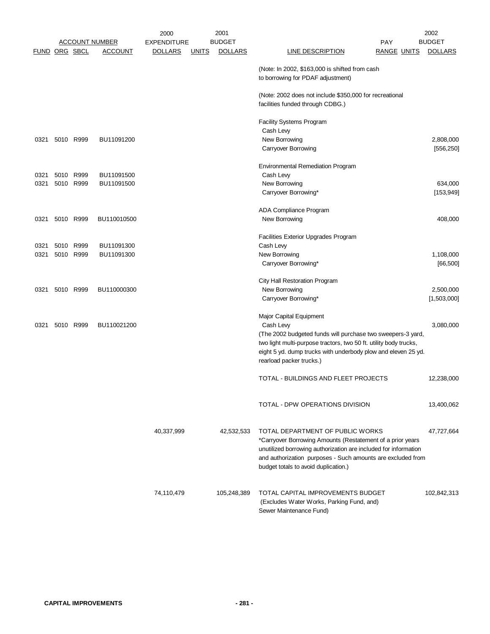|      |                      |           |                       | 2000               |              | 2001           |                                                                                | 2002           |
|------|----------------------|-----------|-----------------------|--------------------|--------------|----------------|--------------------------------------------------------------------------------|----------------|
|      |                      |           | <b>ACCOUNT NUMBER</b> | <b>EXPENDITURE</b> |              | <b>BUDGET</b>  | PAY                                                                            | <b>BUDGET</b>  |
|      | <b>FUND ORG SBCL</b> |           | <u>ACCOUNT</u>        | <b>DOLLARS</b>     | <u>UNITS</u> | <b>DOLLARS</b> | <b>LINE DESCRIPTION</b><br><b>RANGE UNITS</b>                                  | <b>DOLLARS</b> |
|      |                      |           |                       |                    |              |                | (Note: In 2002, \$163,000 is shifted from cash                                 |                |
|      |                      |           |                       |                    |              |                | to borrowing for PDAF adjustment)                                              |                |
|      |                      |           |                       |                    |              |                | (Note: 2002 does not include \$350,000 for recreational                        |                |
|      |                      |           |                       |                    |              |                | facilities funded through CDBG.)                                               |                |
|      |                      |           |                       |                    |              |                |                                                                                |                |
|      |                      |           |                       |                    |              |                | <b>Facility Systems Program</b>                                                |                |
|      |                      |           |                       |                    |              |                | Cash Levy                                                                      |                |
| 0321 |                      | 5010 R999 | BU11091200            |                    |              |                | New Borrowing                                                                  | 2,808,000      |
|      |                      |           |                       |                    |              |                | <b>Carryover Borrowing</b>                                                     | [556, 250]     |
|      |                      |           |                       |                    |              |                | <b>Environmental Remediation Program</b>                                       |                |
| 0321 |                      | 5010 R999 | BU11091500            |                    |              |                | Cash Levy                                                                      |                |
| 0321 |                      | 5010 R999 | BU11091500            |                    |              |                | New Borrowing                                                                  | 634,000        |
|      |                      |           |                       |                    |              |                | Carryover Borrowing*                                                           | [153, 949]     |
|      |                      |           |                       |                    |              |                | ADA Compliance Program                                                         |                |
| 0321 |                      | 5010 R999 | BU110010500           |                    |              |                | New Borrowing                                                                  | 408,000        |
|      |                      |           |                       |                    |              |                |                                                                                |                |
| 0321 |                      | 5010 R999 | BU11091300            |                    |              |                | <b>Facilities Exterior Upgrades Program</b><br>Cash Levy                       |                |
| 0321 |                      | 5010 R999 | BU11091300            |                    |              |                | New Borrowing                                                                  | 1,108,000      |
|      |                      |           |                       |                    |              |                | Carryover Borrowing*                                                           | [66, 500]      |
|      |                      |           |                       |                    |              |                |                                                                                |                |
|      |                      |           |                       |                    |              |                | City Hall Restoration Program                                                  |                |
| 0321 |                      | 5010 R999 | BU110000300           |                    |              |                | New Borrowing                                                                  | 2,500,000      |
|      |                      |           |                       |                    |              |                | Carryover Borrowing*                                                           | [1,503,000]    |
|      |                      |           |                       |                    |              |                | Major Capital Equipment                                                        |                |
| 0321 |                      | 5010 R999 | BU110021200           |                    |              |                | Cash Levy                                                                      | 3,080,000      |
|      |                      |           |                       |                    |              |                | (The 2002 budgeted funds will purchase two sweepers-3 yard,                    |                |
|      |                      |           |                       |                    |              |                | two light multi-purpose tractors, two 50 ft. utility body trucks,              |                |
|      |                      |           |                       |                    |              |                | eight 5 yd. dump trucks with underbody plow and eleven 25 yd.                  |                |
|      |                      |           |                       |                    |              |                | rearload packer trucks.)                                                       |                |
|      |                      |           |                       |                    |              |                | TOTAL - BUILDINGS AND FLEET PROJECTS                                           | 12,238,000     |
|      |                      |           |                       |                    |              |                |                                                                                |                |
|      |                      |           |                       |                    |              |                |                                                                                |                |
|      |                      |           |                       |                    |              |                | TOTAL - DPW OPERATIONS DIVISION                                                | 13,400,062     |
|      |                      |           |                       |                    |              |                |                                                                                |                |
|      |                      |           |                       | 40,337,999         |              | 42,532,533     | TOTAL DEPARTMENT OF PUBLIC WORKS                                               | 47,727,664     |
|      |                      |           |                       |                    |              |                | *Carryover Borrowing Amounts (Restatement of a prior years                     |                |
|      |                      |           |                       |                    |              |                | unutilized borrowing authorization are included for information                |                |
|      |                      |           |                       |                    |              |                | and authorization purposes - Such amounts are excluded from                    |                |
|      |                      |           |                       |                    |              |                | budget totals to avoid duplication.)                                           |                |
|      |                      |           |                       |                    |              |                |                                                                                |                |
|      |                      |           |                       | 74,110,479         |              | 105,248,389    | TOTAL CAPITAL IMPROVEMENTS BUDGET<br>(Excludes Water Works, Parking Fund, and) | 102,842,313    |
|      |                      |           |                       |                    |              |                |                                                                                |                |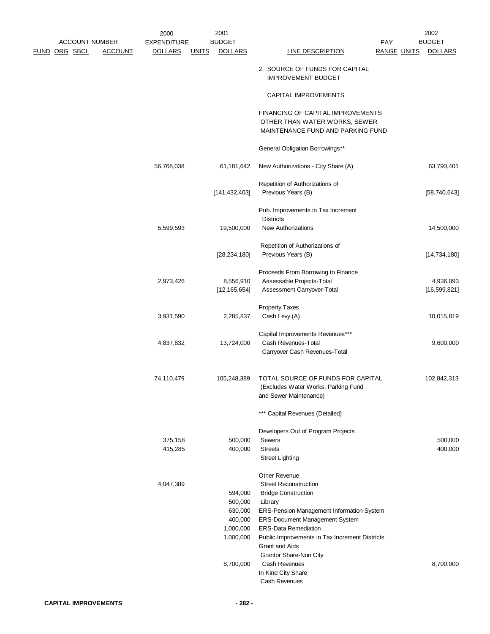|                      |                       |                | 2000               |              | 2001            |                                                             |                    | 2002           |
|----------------------|-----------------------|----------------|--------------------|--------------|-----------------|-------------------------------------------------------------|--------------------|----------------|
|                      | <b>ACCOUNT NUMBER</b> |                | <b>EXPENDITURE</b> |              | <b>BUDGET</b>   |                                                             | <b>PAY</b>         | <b>BUDGET</b>  |
| <b>FUND ORG SBCL</b> |                       | <b>ACCOUNT</b> | <b>DOLLARS</b>     | <b>UNITS</b> | <b>DOLLARS</b>  | <b>LINE DESCRIPTION</b>                                     | <b>RANGE UNITS</b> | <b>DOLLARS</b> |
|                      |                       |                |                    |              |                 | 2. SOURCE OF FUNDS FOR CAPITAL<br><b>IMPROVEMENT BUDGET</b> |                    |                |
|                      |                       |                |                    |              |                 | CAPITAL IMPROVEMENTS                                        |                    |                |
|                      |                       |                |                    |              |                 | FINANCING OF CAPITAL IMPROVEMENTS                           |                    |                |
|                      |                       |                |                    |              |                 | OTHER THAN WATER WORKS, SEWER                               |                    |                |
|                      |                       |                |                    |              |                 | MAINTENANCE FUND AND PARKING FUND                           |                    |                |
|                      |                       |                |                    |              |                 | General Obligation Borrowings**                             |                    |                |
|                      |                       |                | 56,768,038         |              | 61, 181, 642    | New Authorizations - City Share (A)                         |                    | 63,790,401     |
|                      |                       |                |                    |              |                 | Repetition of Authorizations of                             |                    |                |
|                      |                       |                |                    |              | [141, 432, 403] | Previous Years (B)                                          |                    | [58,740,643]   |
|                      |                       |                |                    |              |                 | Pub. Improvements in Tax Increment                          |                    |                |
|                      |                       |                |                    |              |                 | <b>Districts</b>                                            |                    |                |
|                      |                       |                | 5,599,593          |              | 19,500,000      | New Authorizations                                          |                    | 14,500,000     |
|                      |                       |                |                    |              |                 | Repetition of Authorizations of                             |                    |                |
|                      |                       |                |                    |              | [28, 234, 180]  | Previous Years (B)                                          |                    | [14, 734, 180] |
|                      |                       |                |                    |              |                 | Proceeds From Borrowing to Finance                          |                    |                |
|                      |                       |                | 2,973,426          |              | 8,556,910       | Assessable Projects-Total                                   |                    | 4,936,093      |
|                      |                       |                |                    |              | [12, 165, 654]  | Assessment Carryover-Total                                  |                    | [16, 599, 821] |
|                      |                       |                |                    |              |                 | <b>Property Taxes</b>                                       |                    |                |
|                      |                       |                | 3,931,590          |              | 2,285,837       | Cash Levy (A)                                               |                    | 10,015,819     |
|                      |                       |                |                    |              |                 | Capital Improvements Revenues***                            |                    |                |
|                      |                       |                | 4,837,832          |              | 13,724,000      | Cash Revenues-Total                                         |                    | 9,600,000      |
|                      |                       |                |                    |              |                 | Carryover Cash Revenues-Total                               |                    |                |
|                      |                       |                | 74,110,479         |              | 105,248,389     | TOTAL SOURCE OF FUNDS FOR CAPITAL                           |                    | 102,842,313    |
|                      |                       |                |                    |              |                 | (Excludes Water Works, Parking Fund                         |                    |                |
|                      |                       |                |                    |              |                 | and Sewer Maintenance)                                      |                    |                |
|                      |                       |                |                    |              |                 | *** Capital Revenues (Detailed)                             |                    |                |
|                      |                       |                |                    |              |                 | Developers Out of Program Projects                          |                    |                |
|                      |                       |                | 375,158            |              | 500,000         | Sewers                                                      |                    | 500,000        |
|                      |                       |                | 415,285            |              | 400,000         | <b>Streets</b><br><b>Street Lighting</b>                    |                    | 400,000        |
|                      |                       |                |                    |              |                 | Other Revenue                                               |                    |                |
|                      |                       |                | 4,047,389          |              |                 | <b>Street Reconstruction</b>                                |                    |                |
|                      |                       |                |                    |              | 594,000         | <b>Bridge Construction</b>                                  |                    |                |
|                      |                       |                |                    |              | 500,000         | Library                                                     |                    |                |
|                      |                       |                |                    |              | 630,000         | ERS-Pension Management Information System                   |                    |                |
|                      |                       |                |                    |              | 400,000         | ERS-Document Management System                              |                    |                |
|                      |                       |                |                    |              | 1,000,000       | <b>ERS-Data Remediation</b>                                 |                    |                |
|                      |                       |                |                    |              | 1,000,000       | Public Improvements in Tax Increment Districts              |                    |                |
|                      |                       |                |                    |              |                 | <b>Grant and Aids</b><br>Grantor Share-Non City             |                    |                |
|                      |                       |                |                    |              | 8,700,000       | Cash Revenues                                               |                    | 8,700,000      |
|                      |                       |                |                    |              |                 | In Kind City Share                                          |                    |                |
|                      |                       |                |                    |              |                 | Cash Revenues                                               |                    |                |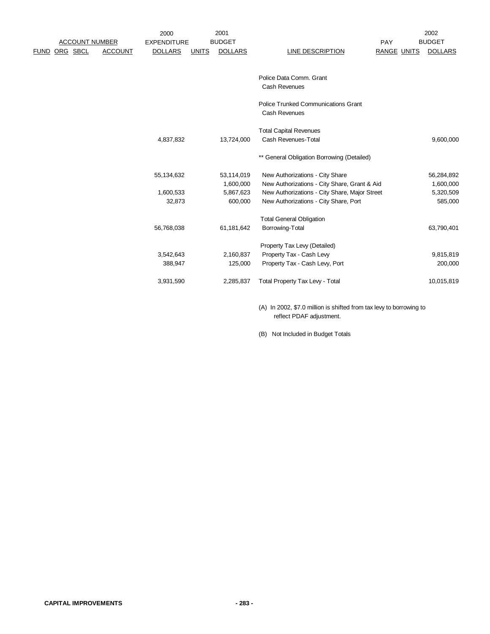|      |                       |                | 2000               |              | 2001           |                                               |                    | 2002           |
|------|-----------------------|----------------|--------------------|--------------|----------------|-----------------------------------------------|--------------------|----------------|
|      | <b>ACCOUNT NUMBER</b> |                | <b>EXPENDITURE</b> |              | <b>BUDGET</b>  |                                               | PAY                | <b>BUDGET</b>  |
| FUND | ORG SBCL              | <b>ACCOUNT</b> | <b>DOLLARS</b>     | <b>UNITS</b> | <b>DOLLARS</b> | LINE DESCRIPTION                              | <b>RANGE UNITS</b> | <b>DOLLARS</b> |
|      |                       |                |                    |              |                |                                               |                    |                |
|      |                       |                |                    |              |                | Police Data Comm. Grant                       |                    |                |
|      |                       |                |                    |              |                | Cash Revenues                                 |                    |                |
|      |                       |                |                    |              |                | <b>Police Trunked Communications Grant</b>    |                    |                |
|      |                       |                |                    |              |                | Cash Revenues                                 |                    |                |
|      |                       |                |                    |              |                | <b>Total Capital Revenues</b>                 |                    |                |
|      |                       |                | 4,837,832          |              | 13,724,000     | Cash Revenues-Total                           |                    | 9,600,000      |
|      |                       |                |                    |              |                | ** General Obligation Borrowing (Detailed)    |                    |                |
|      |                       |                | 55,134,632         |              | 53,114,019     | New Authorizations - City Share               |                    | 56,284,892     |
|      |                       |                |                    |              | 1,600,000      | New Authorizations - City Share, Grant & Aid  |                    | 1,600,000      |
|      |                       |                | 1,600,533          |              | 5,867,623      | New Authorizations - City Share, Major Street |                    | 5,320,509      |
|      |                       |                | 32,873             |              | 600,000        | New Authorizations - City Share, Port         |                    | 585,000        |
|      |                       |                |                    |              |                | <b>Total General Obligation</b>               |                    |                |
|      |                       |                | 56,768,038         |              | 61,181,642     | Borrowing-Total                               |                    | 63,790,401     |
|      |                       |                |                    |              |                | Property Tax Levy (Detailed)                  |                    |                |
|      |                       |                | 3,542,643          |              | 2,160,837      | Property Tax - Cash Levy                      |                    | 9,815,819      |
|      |                       |                | 388,947            |              | 125,000        | Property Tax - Cash Levy, Port                |                    | 200,000        |
|      |                       |                | 3,931,590          |              | 2,285,837      | Total Property Tax Levy - Total               |                    | 10,015,819     |
|      |                       |                |                    |              |                |                                               |                    |                |

(A) In 2002, \$7.0 million is shifted from tax levy to borrowing to reflect PDAF adjustment.

(B) Not Included in Budget Totals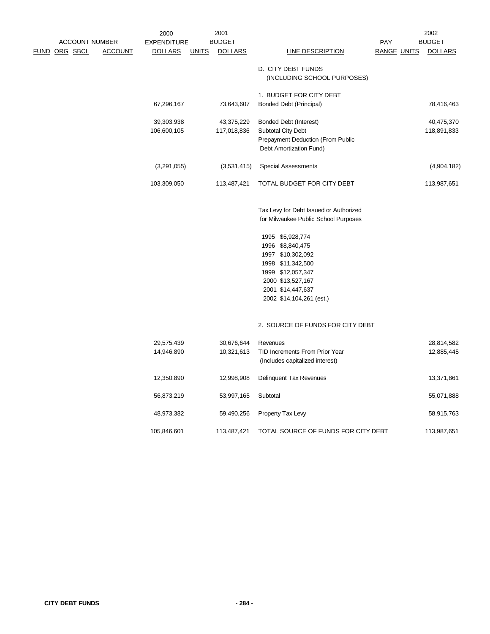|                                        |                | 2000<br><b>EXPENDITURE</b> |              | 2001<br><b>BUDGET</b>     |                                                                                                                                                                                                                                                             | PAY                | 2002<br><b>BUDGET</b>     |
|----------------------------------------|----------------|----------------------------|--------------|---------------------------|-------------------------------------------------------------------------------------------------------------------------------------------------------------------------------------------------------------------------------------------------------------|--------------------|---------------------------|
| <b>ACCOUNT NUMBER</b><br>FUND ORG SBCL | <b>ACCOUNT</b> | <b>DOLLARS</b>             | <b>UNITS</b> | <b>DOLLARS</b>            | <b>LINE DESCRIPTION</b>                                                                                                                                                                                                                                     | <b>RANGE UNITS</b> | <b>DOLLARS</b>            |
|                                        |                |                            |              |                           | D. CITY DEBT FUNDS<br>(INCLUDING SCHOOL PURPOSES)                                                                                                                                                                                                           |                    |                           |
|                                        |                | 67,296,167                 |              | 73,643,607                | 1. BUDGET FOR CITY DEBT<br><b>Bonded Debt (Principal)</b>                                                                                                                                                                                                   |                    | 78,416,463                |
|                                        |                | 39,303,938<br>106,600,105  |              | 43,375,229<br>117,018,836 | <b>Bonded Debt (Interest)</b><br><b>Subtotal City Debt</b><br>Prepayment Deduction (From Public<br>Debt Amortization Fund)                                                                                                                                  |                    | 40,475,370<br>118,891,833 |
|                                        |                | (3,291,055)                |              | (3,531,415)               | <b>Special Assessments</b>                                                                                                                                                                                                                                  |                    | (4,904,182)               |
|                                        |                | 103,309,050                |              | 113,487,421               | TOTAL BUDGET FOR CITY DEBT                                                                                                                                                                                                                                  |                    | 113,987,651               |
|                                        |                |                            |              |                           | Tax Levy for Debt Issued or Authorized<br>for Milwaukee Public School Purposes<br>1995 \$5,928,774<br>1996 \$8,840,475<br>1997 \$10,302,092<br>1998 \$11,342,500<br>1999 \$12,057,347<br>2000 \$13,527,167<br>2001 \$14,447,637<br>2002 \$14,104,261 (est.) |                    |                           |
|                                        |                |                            |              |                           | 2. SOURCE OF FUNDS FOR CITY DEBT                                                                                                                                                                                                                            |                    |                           |
|                                        |                | 29,575,439<br>14,946,890   |              | 30,676,644<br>10,321,613  | Revenues<br>TID Increments From Prior Year<br>(Includes capitalized interest)                                                                                                                                                                               |                    | 28,814,582<br>12,885,445  |
|                                        |                | 12,350,890                 |              | 12,998,908                | Delinquent Tax Revenues                                                                                                                                                                                                                                     |                    | 13,371,861                |
|                                        |                | 56,873,219                 |              | 53,997,165                | Subtotal                                                                                                                                                                                                                                                    |                    | 55,071,888                |
|                                        |                | 48,973,382                 |              | 59,490,256                | Property Tax Levy                                                                                                                                                                                                                                           |                    | 58,915,763                |
|                                        |                | 105,846,601                |              | 113,487,421               | TOTAL SOURCE OF FUNDS FOR CITY DEBT                                                                                                                                                                                                                         |                    | 113,987,651               |
|                                        |                |                            |              |                           |                                                                                                                                                                                                                                                             |                    |                           |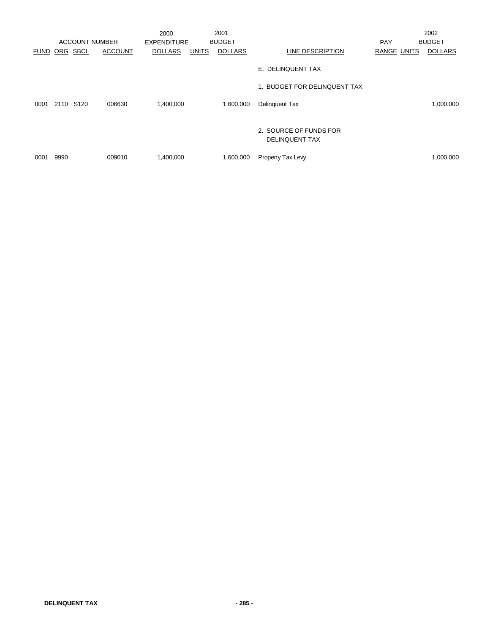|                 |           |                       |                | 2000               |              | 2001           |                                                 |             | 2002           |
|-----------------|-----------|-----------------------|----------------|--------------------|--------------|----------------|-------------------------------------------------|-------------|----------------|
|                 |           | <b>ACCOUNT NUMBER</b> |                | <b>EXPENDITURE</b> |              | <b>BUDGET</b>  |                                                 | <b>PAY</b>  | <b>BUDGET</b>  |
| <b>FUND ORG</b> |           | <b>SBCL</b>           | <b>ACCOUNT</b> | <b>DOLLARS</b>     | <b>UNITS</b> | <b>DOLLARS</b> | LINE DESCRIPTION                                | RANGE UNITS | <b>DOLLARS</b> |
|                 |           |                       |                |                    |              |                | E. DELINQUENT TAX                               |             |                |
|                 |           |                       |                |                    |              |                | 1. BUDGET FOR DELINQUENT TAX                    |             |                |
| 0001            | 2110 S120 |                       | 006630         | 1,400,000          |              | 1,600,000      | Delinquent Tax                                  |             | 1,000,000      |
|                 |           |                       |                |                    |              |                | 2. SOURCE OF FUNDS FOR<br><b>DELINQUENT TAX</b> |             |                |
| 0001            | 9990      |                       | 009010         | 1,400,000          |              | 1,600,000      | Property Tax Levy                               |             | 1,000,000      |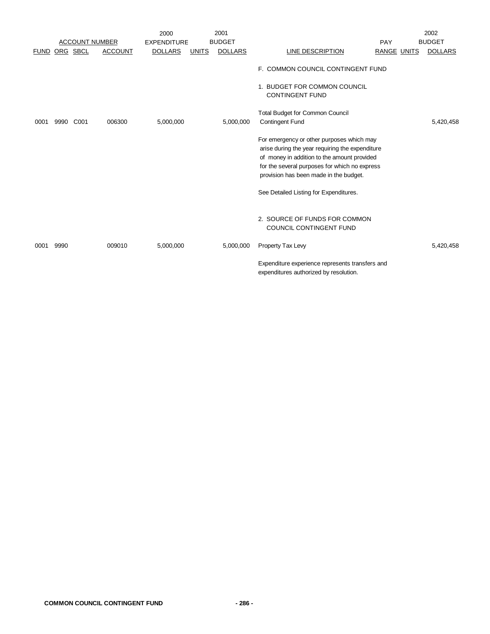|             |      |                       |                | 2000               |              | 2001           |                                                                                                                                                                                                                                        |                    | 2002           |
|-------------|------|-----------------------|----------------|--------------------|--------------|----------------|----------------------------------------------------------------------------------------------------------------------------------------------------------------------------------------------------------------------------------------|--------------------|----------------|
|             |      | <b>ACCOUNT NUMBER</b> |                | <b>EXPENDITURE</b> |              | <b>BUDGET</b>  |                                                                                                                                                                                                                                        | PAY                | <b>BUDGET</b>  |
| <b>FUND</b> |      | ORG SBCL              | <b>ACCOUNT</b> | <b>DOLLARS</b>     | <b>UNITS</b> | <b>DOLLARS</b> | <b>LINE DESCRIPTION</b>                                                                                                                                                                                                                | <b>RANGE UNITS</b> | <b>DOLLARS</b> |
|             |      |                       |                |                    |              |                | F. COMMON COUNCIL CONTINGENT FUND                                                                                                                                                                                                      |                    |                |
|             |      |                       |                |                    |              |                | 1. BUDGET FOR COMMON COUNCIL<br><b>CONTINGENT FUND</b>                                                                                                                                                                                 |                    |                |
|             |      |                       |                |                    |              |                | Total Budget for Common Council                                                                                                                                                                                                        |                    |                |
| 0001        | 9990 | C <sub>001</sub>      | 006300         | 5,000,000          |              | 5,000,000      | <b>Contingent Fund</b>                                                                                                                                                                                                                 |                    | 5,420,458      |
|             |      |                       |                |                    |              |                | For emergency or other purposes which may<br>arise during the year requiring the expenditure<br>of money in addition to the amount provided<br>for the several purposes for which no express<br>provision has been made in the budget. |                    |                |
|             |      |                       |                |                    |              |                | See Detailed Listing for Expenditures.                                                                                                                                                                                                 |                    |                |
|             |      |                       |                |                    |              |                | 2. SOURCE OF FUNDS FOR COMMON<br><b>COUNCIL CONTINGENT FUND</b>                                                                                                                                                                        |                    |                |
| 0001        | 9990 |                       | 009010         | 5,000,000          |              | 5,000,000      | Property Tax Levy                                                                                                                                                                                                                      |                    | 5,420,458      |
|             |      |                       |                |                    |              |                | Expenditure experience represents transfers and<br>expenditures authorized by resolution.                                                                                                                                              |                    |                |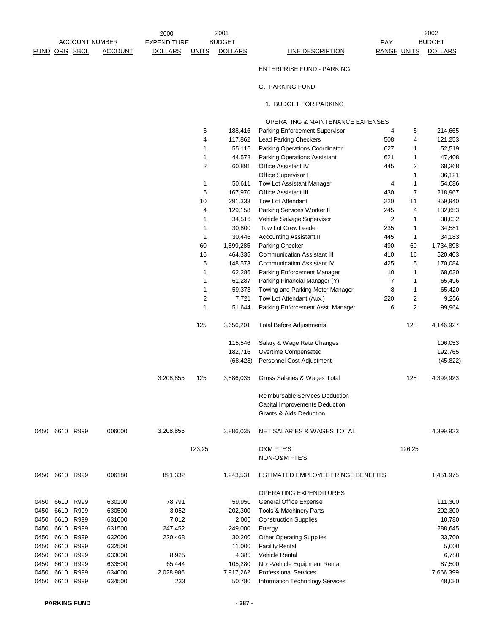|      |               |           |                       | 2000               |              | 2001           |                                             |                    |                | 2002           |
|------|---------------|-----------|-----------------------|--------------------|--------------|----------------|---------------------------------------------|--------------------|----------------|----------------|
|      |               |           | <b>ACCOUNT NUMBER</b> | <b>EXPENDITURE</b> |              | <b>BUDGET</b>  |                                             | <b>PAY</b>         |                | <b>BUDGET</b>  |
|      | FUND ORG SBCL |           | <b>ACCOUNT</b>        | <b>DOLLARS</b>     | <b>UNITS</b> | <b>DOLLARS</b> | <b>LINE DESCRIPTION</b>                     | <b>RANGE UNITS</b> |                | <b>DOLLARS</b> |
|      |               |           |                       |                    |              |                | <b>ENTERPRISE FUND - PARKING</b>            |                    |                |                |
|      |               |           |                       |                    |              |                | G. PARKING FUND                             |                    |                |                |
|      |               |           |                       |                    |              |                | 1. BUDGET FOR PARKING                       |                    |                |                |
|      |               |           |                       |                    |              |                | <b>OPERATING &amp; MAINTENANCE EXPENSES</b> |                    |                |                |
|      |               |           |                       |                    | 6            | 188,416        | Parking Enforcement Supervisor              | 4                  | 5              | 214,665        |
|      |               |           |                       |                    | 4            | 117,862        | <b>Lead Parking Checkers</b>                | 508                | 4              | 121,253        |
|      |               |           |                       |                    | 1            | 55,116         | Parking Operations Coordinator              | 627                | 1              | 52,519         |
|      |               |           |                       |                    | 1            | 44,578         | Parking Operations Assistant                | 621                | 1              | 47,408         |
|      |               |           |                       |                    | 2            | 60,891         | <b>Office Assistant IV</b>                  | 445                | 2              | 68,368         |
|      |               |           |                       |                    |              |                | Office Supervisor I                         |                    | 1              | 36,121         |
|      |               |           |                       |                    | 1            | 50,611         | Tow Lot Assistant Manager                   | 4                  | 1              | 54,086         |
|      |               |           |                       |                    | 6            | 167,970        | <b>Office Assistant III</b>                 | 430                | 7              | 218,967        |
|      |               |           |                       |                    | 10           | 291,333        | Tow Lot Attendant                           | 220                | 11             | 359,940        |
|      |               |           |                       |                    | 4            | 129,158        | Parking Services Worker II                  | 245                | 4              | 132,653        |
|      |               |           |                       |                    | 1            | 34,516         | Vehicle Salvage Supervisor                  | $\overline{c}$     | 1              | 38,032         |
|      |               |           |                       |                    | 1            | 30,800         | Tow Lot Crew Leader                         | 235                | 1              | 34,581         |
|      |               |           |                       |                    | 1            | 30,446         | <b>Accounting Assistant II</b>              | 445                | $\mathbf{1}$   | 34,183         |
|      |               |           |                       |                    | 60           | 1,599,285      | Parking Checker                             | 490                | 60             | 1,734,898      |
|      |               |           |                       |                    | 16           | 464,335        | <b>Communication Assistant III</b>          | 410                | 16             | 520,403        |
|      |               |           |                       |                    | 5            | 148,573        | <b>Communication Assistant IV</b>           | 425                | 5              | 170,084        |
|      |               |           |                       |                    | 1            | 62,286         | Parking Enforcement Manager                 | 10                 | 1              | 68,630         |
|      |               |           |                       |                    | 1            | 61,287         | Parking Financial Manager (Y)               | 7                  | 1              | 65,496         |
|      |               |           |                       |                    | 1            | 59,373         | Towing and Parking Meter Manager            | 8                  | 1              | 65,420         |
|      |               |           |                       |                    | 2            | 7,721          | Tow Lot Attendant (Aux.)                    | 220                | $\overline{2}$ | 9,256          |
|      |               |           |                       |                    | 1            | 51,644         | Parking Enforcement Asst. Manager           | 6                  | 2              | 99,964         |
|      |               |           |                       |                    | 125          | 3,656,201      | <b>Total Before Adjustments</b>             |                    | 128            | 4,146,927      |
|      |               |           |                       |                    |              | 115,546        | Salary & Wage Rate Changes                  |                    |                | 106,053        |
|      |               |           |                       |                    |              | 182,716        | Overtime Compensated                        |                    |                | 192,765        |
|      |               |           |                       |                    |              | (68, 428)      | Personnel Cost Adjustment                   |                    |                | (45, 822)      |
|      |               |           |                       | 3,208,855          | 125          | 3,886,035      | Gross Salaries & Wages Total                |                    | 128            | 4,399,923      |
|      |               |           |                       |                    |              |                | Reimbursable Services Deduction             |                    |                |                |
|      |               |           |                       |                    |              |                | Capital Improvements Deduction              |                    |                |                |
|      |               |           |                       |                    |              |                | Grants & Aids Deduction                     |                    |                |                |
| 0450 |               | 6610 R999 | 006000                | 3,208,855          |              | 3,886,035      | NET SALARIES & WAGES TOTAL                  |                    |                | 4,399,923      |
|      |               |           |                       |                    | 123.25       |                | <b>O&amp;M FTE'S</b>                        |                    | 126.25         |                |
|      |               |           |                       |                    |              |                | NON-O&M FTE'S                               |                    |                |                |
| 0450 | 6610 R999     |           | 006180                | 891,332            |              | 1,243,531      | ESTIMATED EMPLOYEE FRINGE BENEFITS          |                    |                | 1,451,975      |
|      |               |           |                       |                    |              |                | OPERATING EXPENDITURES                      |                    |                |                |
| 0450 |               | 6610 R999 | 630100                | 78,791             |              | 59,950         | General Office Expense                      |                    |                | 111,300        |
| 0450 | 6610          | R999      | 630500                | 3,052              |              | 202,300        | Tools & Machinery Parts                     |                    |                | 202,300        |
| 0450 | 6610 R999     |           | 631000                | 7,012              |              | 2,000          | <b>Construction Supplies</b>                |                    |                | 10,780         |
| 0450 | 6610          | R999      | 631500                | 247,452            |              | 249,000        | Energy                                      |                    |                | 288,645        |
| 0450 | 6610          | R999      | 632000                | 220,468            |              | 30,200         | <b>Other Operating Supplies</b>             |                    |                | 33,700         |
| 0450 | 6610          | R999      | 632500                |                    |              | 11,000         | <b>Facility Rental</b>                      |                    |                | 5,000          |
| 0450 | 6610          | R999      | 633000                | 8,925              |              | 4,380          | <b>Vehicle Rental</b>                       |                    |                | 6,780          |
| 0450 | 6610          | R999      | 633500                | 65,444             |              | 105,280        | Non-Vehicle Equipment Rental                |                    |                | 87,500         |
| 0450 | 6610          | R999      | 634000                | 2,028,986          |              | 7,917,262      | <b>Professional Services</b>                |                    |                | 7,666,399      |
| 0450 | 6610          | R999      | 634500                | 233                |              | 50,780         | Information Technology Services             |                    |                | 48,080         |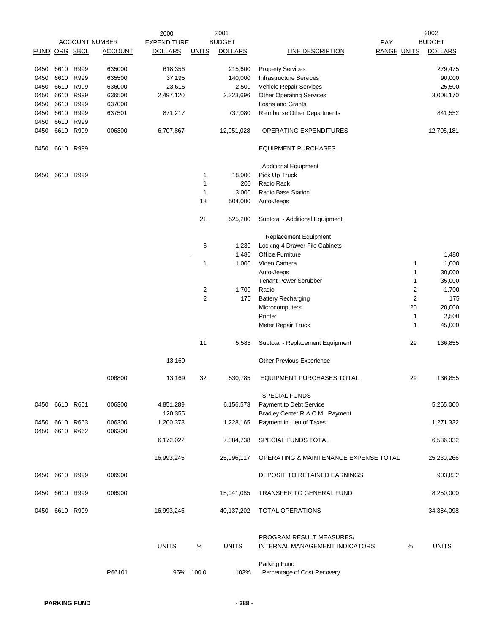|              |                      |                   |                       | 2000               |                         | 2001           |                                                             |                         | 2002           |
|--------------|----------------------|-------------------|-----------------------|--------------------|-------------------------|----------------|-------------------------------------------------------------|-------------------------|----------------|
|              |                      |                   | <b>ACCOUNT NUMBER</b> | <b>EXPENDITURE</b> |                         | <b>BUDGET</b>  | PAY                                                         |                         | <b>BUDGET</b>  |
|              | <b>FUND ORG SBCL</b> |                   | <b>ACCOUNT</b>        | <b>DOLLARS</b>     | <b>UNITS</b>            | <b>DOLLARS</b> | LINE DESCRIPTION                                            | <b>RANGE UNITS</b>      | <b>DOLLARS</b> |
| 0450         | 6610                 | R999              | 635000                | 618,356            |                         | 215,600        | <b>Property Services</b>                                    |                         | 279,475        |
| 0450         | 6610                 | R999              | 635500                | 37,195             |                         | 140,000        | <b>Infrastructure Services</b>                              |                         | 90,000         |
|              | 6610                 | R999              | 636000                |                    |                         |                | Vehicle Repair Services                                     |                         |                |
| 0450         |                      |                   |                       | 23,616             |                         | 2,500          |                                                             |                         | 25,500         |
| 0450         | 6610                 | R999              | 636500                | 2,497,120          |                         | 2,323,696      | <b>Other Operating Services</b>                             |                         | 3,008,170      |
| 0450         | 6610                 | R999              | 637000                |                    |                         |                | Loans and Grants                                            |                         |                |
| 0450         | 6610                 | R999              | 637501                | 871,217            |                         | 737,080        | Reimburse Other Departments                                 |                         | 841,552        |
| 0450<br>0450 | 6610                 | R999<br>6610 R999 | 006300                | 6,707,867          |                         | 12,051,028     | OPERATING EXPENDITURES                                      |                         | 12,705,181     |
| 0450         | 6610                 | R999              |                       |                    |                         |                | <b>EQUIPMENT PURCHASES</b>                                  |                         |                |
|              |                      |                   |                       |                    |                         |                | <b>Additional Equipment</b>                                 |                         |                |
| 0450         |                      | 6610 R999         |                       |                    | 1                       | 18,000         | Pick Up Truck                                               |                         |                |
|              |                      |                   |                       |                    | 1                       | 200            | Radio Rack                                                  |                         |                |
|              |                      |                   |                       |                    | 1                       | 3,000          | Radio Base Station                                          |                         |                |
|              |                      |                   |                       |                    |                         |                |                                                             |                         |                |
|              |                      |                   |                       |                    | 18                      | 504,000        | Auto-Jeeps                                                  |                         |                |
|              |                      |                   |                       |                    | 21                      | 525,200        | Subtotal - Additional Equipment                             |                         |                |
|              |                      |                   |                       |                    |                         |                | Replacement Equipment                                       |                         |                |
|              |                      |                   |                       |                    | 6                       | 1,230          | Locking 4 Drawer File Cabinets                              |                         |                |
|              |                      |                   |                       |                    |                         | 1,480          | <b>Office Furniture</b>                                     |                         | 1,480          |
|              |                      |                   |                       |                    | 1                       | 1,000          | Video Camera                                                |                         |                |
|              |                      |                   |                       |                    |                         |                |                                                             | 1                       | 1,000          |
|              |                      |                   |                       |                    |                         |                | Auto-Jeeps                                                  | 1                       | 30,000         |
|              |                      |                   |                       |                    |                         |                | <b>Tenant Power Scrubber</b>                                | $\mathbf{1}$            | 35,000         |
|              |                      |                   |                       |                    | 2                       | 1,700          | Radio                                                       | 2                       | 1,700          |
|              |                      |                   |                       |                    | $\overline{\mathbf{c}}$ | 175            | <b>Battery Recharging</b>                                   | $\overline{\mathbf{c}}$ | 175            |
|              |                      |                   |                       |                    |                         |                | Microcomputers                                              | 20                      | 20,000         |
|              |                      |                   |                       |                    |                         |                | Printer                                                     | 1                       | 2,500          |
|              |                      |                   |                       |                    |                         |                | Meter Repair Truck                                          | 1                       | 45,000         |
|              |                      |                   |                       |                    | 11                      | 5,585          | Subtotal - Replacement Equipment                            | 29                      | 136,855        |
|              |                      |                   |                       | 13,169             |                         |                | Other Previous Experience                                   |                         |                |
|              |                      |                   |                       |                    |                         |                |                                                             |                         |                |
|              |                      |                   | 006800                | 13,169             | 32                      | 530,785        | <b>EQUIPMENT PURCHASES TOTAL</b>                            | 29                      | 136,855        |
|              |                      |                   |                       |                    |                         |                | <b>SPECIAL FUNDS</b>                                        |                         |                |
| 0450         |                      | 6610 R661         | 006300                | 4,851,289          |                         | 6,156,573      | Payment to Debt Service                                     |                         | 5,265,000      |
|              |                      |                   |                       | 120,355            |                         |                | Bradley Center R.A.C.M. Payment                             |                         |                |
| 0450<br>0450 | 6610<br>6610         | R663<br>R662      | 006300<br>006300      | 1,200,378          |                         | 1,228,165      | Payment in Lieu of Taxes                                    |                         | 1,271,332      |
|              |                      |                   |                       | 6,172,022          |                         | 7,384,738      | SPECIAL FUNDS TOTAL                                         |                         | 6,536,332      |
|              |                      |                   |                       | 16,993,245         |                         | 25,096,117     | OPERATING & MAINTENANCE EXPENSE TOTAL                       |                         | 25,230,266     |
| 0450         |                      | 6610 R999         | 006900                |                    |                         |                | DEPOSIT TO RETAINED EARNINGS                                |                         | 903,832        |
| 0450         |                      | 6610 R999         | 006900                |                    |                         | 15,041,085     | <b>TRANSFER TO GENERAL FUND</b>                             |                         | 8,250,000      |
| 0450         |                      | 6610 R999         |                       | 16,993,245         |                         | 40,137,202     | <b>TOTAL OPERATIONS</b>                                     |                         | 34,384,098     |
|              |                      |                   |                       | <b>UNITS</b>       | %                       | <b>UNITS</b>   | PROGRAM RESULT MEASURES/<br>INTERNAL MANAGEMENT INDICATORS: | %                       | <b>UNITS</b>   |
|              |                      |                   | P66101                |                    | 95% 100.0               | 103%           | Parking Fund<br>Percentage of Cost Recovery                 |                         |                |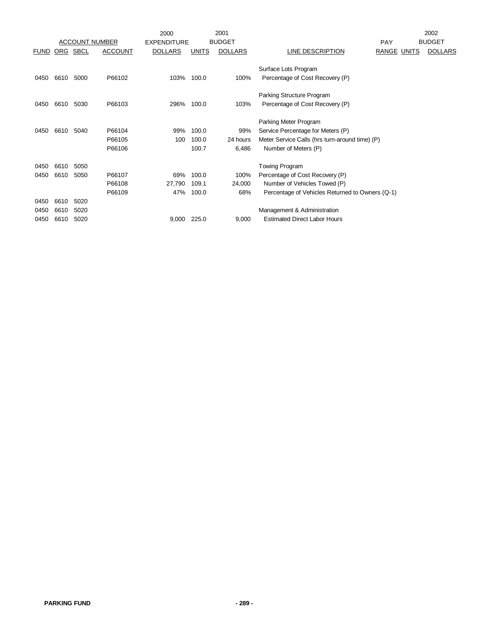|             |            |             |                       | 2000               |              | 2001           |                                                 |                    | 2002           |
|-------------|------------|-------------|-----------------------|--------------------|--------------|----------------|-------------------------------------------------|--------------------|----------------|
|             |            |             | <b>ACCOUNT NUMBER</b> | <b>EXPENDITURE</b> |              | <b>BUDGET</b>  |                                                 | <b>PAY</b>         | <b>BUDGET</b>  |
| <b>FUND</b> | <u>ORG</u> | <b>SBCL</b> | <b>ACCOUNT</b>        | <b>DOLLARS</b>     | <b>UNITS</b> | <b>DOLLARS</b> | LINE DESCRIPTION                                | <b>RANGE UNITS</b> | <b>DOLLARS</b> |
|             |            |             |                       |                    |              |                | Surface Lots Program                            |                    |                |
| 0450        | 6610       | 5000        | P66102                | 103%               | 100.0        | 100%           | Percentage of Cost Recovery (P)                 |                    |                |
|             |            |             |                       |                    |              |                | Parking Structure Program                       |                    |                |
| 0450        | 6610       | 5030        | P66103                | 296%               | 100.0        | 103%           | Percentage of Cost Recovery (P)                 |                    |                |
|             |            |             |                       |                    |              |                | Parking Meter Program                           |                    |                |
| 0450        | 6610       | 5040        | P66104                | 99%                | 100.0        | 99%            | Service Percentage for Meters (P)               |                    |                |
|             |            |             | P66105                | 100                | 100.0        | 24 hours       | Meter Service Calls (hrs turn-around time) (P)  |                    |                |
|             |            |             | P66106                |                    | 100.7        | 6,486          | Number of Meters (P)                            |                    |                |
| 0450        | 6610       | 5050        |                       |                    |              |                | <b>Towing Program</b>                           |                    |                |
| 0450        | 6610       | 5050        | P66107                | 69%                | 100.0        | 100%           | Percentage of Cost Recovery (P)                 |                    |                |
|             |            |             | P66108                | 27,790             | 109.1        | 24,000         | Number of Vehicles Towed (P)                    |                    |                |
|             |            |             | P66109                | 47%                | 100.0        | 68%            | Percentage of Vehicles Returned to Owners (Q-1) |                    |                |
| 0450        | 6610       | 5020        |                       |                    |              |                |                                                 |                    |                |
| 0450        | 6610       | 5020        |                       |                    |              |                | Management & Administration                     |                    |                |
| 0450        | 6610       | 5020        |                       | 9,000              | 225.0        | 9,000          | <b>Estimated Direct Labor Hours</b>             |                    |                |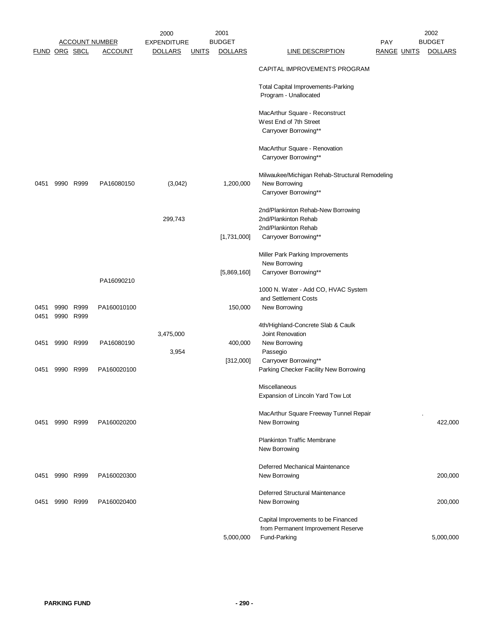|                      |                |           |                       | 2000               |              | 2001           |                                                         |                    | 2002           |
|----------------------|----------------|-----------|-----------------------|--------------------|--------------|----------------|---------------------------------------------------------|--------------------|----------------|
|                      |                |           | <u>ACCOUNT NUMBER</u> | <b>EXPENDITURE</b> |              | <b>BUDGET</b>  |                                                         | <b>PAY</b>         | <b>BUDGET</b>  |
| <b>FUND ORG SBCL</b> |                |           | <b>ACCOUNT</b>        | <b>DOLLARS</b>     | <b>UNITS</b> | <b>DOLLARS</b> | <b>LINE DESCRIPTION</b>                                 | <b>RANGE UNITS</b> | <b>DOLLARS</b> |
|                      |                |           |                       |                    |              |                | CAPITAL IMPROVEMENTS PROGRAM                            |                    |                |
|                      |                |           |                       |                    |              |                | <b>Total Capital Improvements-Parking</b>               |                    |                |
|                      |                |           |                       |                    |              |                | Program - Unallocated                                   |                    |                |
|                      |                |           |                       |                    |              |                | MacArthur Square - Reconstruct                          |                    |                |
|                      |                |           |                       |                    |              |                | West End of 7th Street                                  |                    |                |
|                      |                |           |                       |                    |              |                | Carryover Borrowing**                                   |                    |                |
|                      |                |           |                       |                    |              |                |                                                         |                    |                |
|                      |                |           |                       |                    |              |                | MacArthur Square - Renovation                           |                    |                |
|                      |                |           |                       |                    |              |                | Carryover Borrowing**                                   |                    |                |
|                      |                |           |                       |                    |              |                | Milwaukee/Michigan Rehab-Structural Remodeling          |                    |                |
| 0451                 |                | 9990 R999 | PA16080150            | (3,042)            |              | 1,200,000      | New Borrowing                                           |                    |                |
|                      |                |           |                       |                    |              |                | Carryover Borrowing**                                   |                    |                |
|                      |                |           |                       |                    |              |                | 2nd/Plankinton Rehab-New Borrowing                      |                    |                |
|                      |                |           |                       | 299,743            |              |                | 2nd/Plankinton Rehab                                    |                    |                |
|                      |                |           |                       |                    |              |                | 2nd/Plankinton Rehab                                    |                    |                |
|                      |                |           |                       |                    |              | [1,731,000]    | Carryover Borrowing**                                   |                    |                |
|                      |                |           |                       |                    |              |                |                                                         |                    |                |
|                      |                |           |                       |                    |              |                | Miller Park Parking Improvements<br>New Borrowing       |                    |                |
|                      |                |           |                       |                    |              | [5,869,160]    | Carryover Borrowing**                                   |                    |                |
|                      |                |           | PA16090210            |                    |              |                |                                                         |                    |                |
|                      |                |           |                       |                    |              |                | 1000 N. Water - Add CO, HVAC System                     |                    |                |
|                      |                |           |                       |                    |              |                | and Settlement Costs                                    |                    |                |
| 0451<br>0451         | 9990 R999      | 9990 R999 | PA160010100           |                    |              | 150,000        | New Borrowing                                           |                    |                |
|                      |                |           |                       |                    |              |                | 4th/Highland-Concrete Slab & Caulk                      |                    |                |
|                      |                |           |                       | 3,475,000          |              |                | Joint Renovation                                        |                    |                |
| 0451                 |                | 9990 R999 | PA16080190            |                    |              | 400,000        | New Borrowing                                           |                    |                |
|                      |                |           |                       | 3,954              |              |                | Passegio                                                |                    |                |
|                      |                |           |                       |                    |              | [312,000]      | Carryover Borrowing**                                   |                    |                |
| 0451                 |                | 9990 R999 | PA160020100           |                    |              |                | Parking Checker Facility New Borrowing                  |                    |                |
|                      |                |           |                       |                    |              |                | Miscellaneous                                           |                    |                |
|                      |                |           |                       |                    |              |                | Expansion of Lincoln Yard Tow Lot                       |                    |                |
|                      |                |           |                       |                    |              |                |                                                         |                    |                |
| 0451                 |                | 9990 R999 | PA160020200           |                    |              |                | MacArthur Square Freeway Tunnel Repair<br>New Borrowing |                    | 422,000        |
|                      |                |           |                       |                    |              |                |                                                         |                    |                |
|                      |                |           |                       |                    |              |                | <b>Plankinton Traffic Membrane</b>                      |                    |                |
|                      |                |           |                       |                    |              |                | New Borrowing                                           |                    |                |
|                      |                |           |                       |                    |              |                | Deferred Mechanical Maintenance                         |                    |                |
|                      | 0451 9990 R999 |           | PA160020300           |                    |              |                | New Borrowing                                           |                    | 200,000        |
|                      |                |           |                       |                    |              |                |                                                         |                    |                |
|                      |                |           |                       |                    |              |                | Deferred Structural Maintenance                         |                    |                |
| 0451                 | 9990 R999      |           | PA160020400           |                    |              |                | New Borrowing                                           |                    | 200,000        |
|                      |                |           |                       |                    |              |                | Capital Improvements to be Financed                     |                    |                |
|                      |                |           |                       |                    |              |                | from Permanent Improvement Reserve                      |                    |                |
|                      |                |           |                       |                    |              | 5,000,000      | Fund-Parking                                            |                    | 5,000,000      |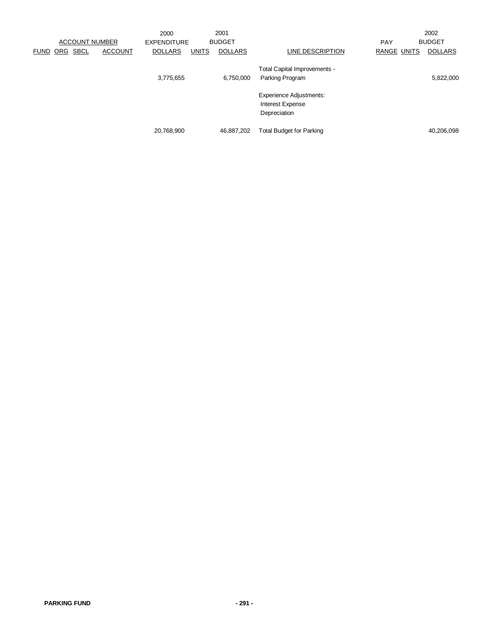|                                   |                | 2000               |              | 2001           |                                                                           |                    | 2002           |
|-----------------------------------|----------------|--------------------|--------------|----------------|---------------------------------------------------------------------------|--------------------|----------------|
| <b>ACCOUNT NUMBER</b>             |                | <b>EXPENDITURE</b> |              | <b>BUDGET</b>  |                                                                           | <b>PAY</b>         | <b>BUDGET</b>  |
| <b>SBCL</b><br>ORG<br><b>FUND</b> | <b>ACCOUNT</b> | <b>DOLLARS</b>     | <b>UNITS</b> | <b>DOLLARS</b> | LINE DESCRIPTION                                                          | <b>RANGE UNITS</b> | <b>DOLLARS</b> |
|                                   |                | 3,775,655          |              | 6,750,000      | Total Capital Improvements -<br>Parking Program                           |                    | 5,822,000      |
|                                   |                |                    |              |                | <b>Experience Adjustments:</b><br><b>Interest Expense</b><br>Depreciation |                    |                |
|                                   |                | 20,768,900         |              | 46,887,202     | <b>Total Budget for Parking</b>                                           |                    | 40,206,098     |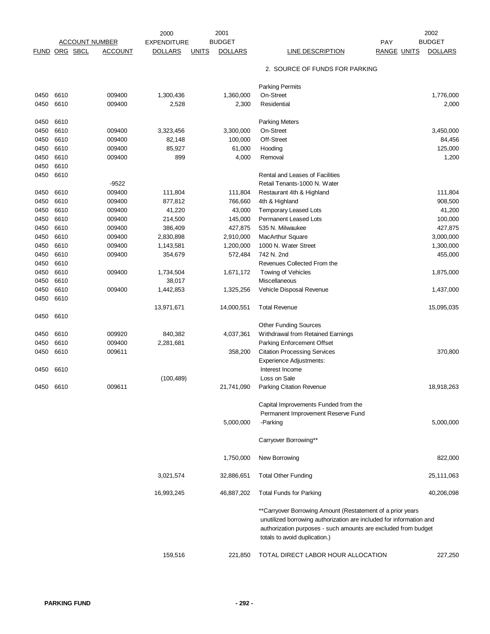|      |                       |                | 2000               | 2001                           |                                                                                                                                                                                                                                      | 2002                                 |
|------|-----------------------|----------------|--------------------|--------------------------------|--------------------------------------------------------------------------------------------------------------------------------------------------------------------------------------------------------------------------------------|--------------------------------------|
|      | <b>ACCOUNT NUMBER</b> |                | <b>EXPENDITURE</b> | <b>BUDGET</b>                  |                                                                                                                                                                                                                                      | <b>BUDGET</b><br>PAY                 |
|      | <b>FUND ORG SBCL</b>  | <u>ACCOUNT</u> | <b>DOLLARS</b>     | <b>UNITS</b><br><b>DOLLARS</b> | <b>LINE DESCRIPTION</b>                                                                                                                                                                                                              | <b>RANGE UNITS</b><br><b>DOLLARS</b> |
|      |                       |                |                    |                                | 2. SOURCE OF FUNDS FOR PARKING                                                                                                                                                                                                       |                                      |
|      |                       |                |                    |                                | <b>Parking Permits</b>                                                                                                                                                                                                               |                                      |
| 0450 | 6610                  | 009400         | 1,300,436          | 1,360,000                      | On-Street                                                                                                                                                                                                                            | 1,776,000                            |
| 0450 | 6610                  | 009400         | 2,528              | 2,300                          | Residential                                                                                                                                                                                                                          | 2,000                                |
| 0450 | 6610                  |                |                    |                                | <b>Parking Meters</b>                                                                                                                                                                                                                |                                      |
| 0450 | 6610                  | 009400         | 3,323,456          | 3,300,000                      | On-Street                                                                                                                                                                                                                            | 3,450,000                            |
| 0450 | 6610                  | 009400         | 82,148             | 100,000                        | Off-Street                                                                                                                                                                                                                           | 84,456                               |
| 0450 | 6610                  | 009400         | 85,927             | 61,000                         | Hooding                                                                                                                                                                                                                              | 125,000                              |
| 0450 | 6610                  | 009400         | 899                | 4,000                          | Removal                                                                                                                                                                                                                              | 1,200                                |
| 0450 | 6610                  |                |                    |                                |                                                                                                                                                                                                                                      |                                      |
| 0450 | 6610                  |                |                    |                                | Rental and Leases of Facilities                                                                                                                                                                                                      |                                      |
|      |                       | $-9522$        |                    |                                | Retail Tenants-1000 N. Water                                                                                                                                                                                                         |                                      |
| 0450 | 6610                  | 009400         | 111,804            | 111,804                        | Restaurant 4th & Highland                                                                                                                                                                                                            | 111,804                              |
| 0450 | 6610                  | 009400         | 877,812            | 766,660                        | 4th & Highland                                                                                                                                                                                                                       | 908,500                              |
|      |                       |                |                    |                                |                                                                                                                                                                                                                                      |                                      |
| 0450 | 6610                  | 009400         | 41,220             | 43,000                         | <b>Temporary Leased Lots</b>                                                                                                                                                                                                         | 41,200                               |
| 0450 | 6610                  | 009400         | 214,500            | 145,000                        | Permanent Leased Lots                                                                                                                                                                                                                | 100,000                              |
| 0450 | 6610                  | 009400         | 386,409            | 427,875                        | 535 N. Milwaukee                                                                                                                                                                                                                     | 427,875                              |
| 0450 | 6610                  | 009400         | 2,830,898          | 2,910,000                      | <b>MacArthur Square</b>                                                                                                                                                                                                              | 3,000,000                            |
| 0450 | 6610                  | 009400         | 1,143,581          | 1,200,000                      | 1000 N. Water Street                                                                                                                                                                                                                 | 1,300,000                            |
| 0450 | 6610                  | 009400         | 354,679            | 572,484                        | 742 N. 2nd                                                                                                                                                                                                                           | 455,000                              |
| 0450 | 6610                  |                |                    |                                | Revenues Collected From the                                                                                                                                                                                                          |                                      |
| 0450 | 6610                  | 009400         | 1,734,504          | 1,671,172                      | Towing of Vehicles                                                                                                                                                                                                                   | 1,875,000                            |
| 0450 | 6610                  |                | 38,017             |                                | Miscellaneous                                                                                                                                                                                                                        |                                      |
| 0450 | 6610                  | 009400         | 1,442,853          | 1,325,256                      | Vehicle Disposal Revenue                                                                                                                                                                                                             | 1,437,000                            |
| 0450 | 6610                  |                |                    |                                |                                                                                                                                                                                                                                      |                                      |
|      |                       |                | 13,971,671         | 14,000,551                     | <b>Total Revenue</b>                                                                                                                                                                                                                 | 15,095,035                           |
| 0450 | 6610                  |                |                    |                                |                                                                                                                                                                                                                                      |                                      |
|      |                       |                |                    |                                | <b>Other Funding Sources</b>                                                                                                                                                                                                         |                                      |
| 0450 | 6610                  | 009920         | 840,382            | 4,037,361                      | Withdrawal from Retained Earnings                                                                                                                                                                                                    |                                      |
| 0450 | 6610                  | 009400         | 2,281,681          |                                | Parking Enforcement Offset                                                                                                                                                                                                           |                                      |
| 0450 | 6610                  | 009611         |                    | 358,200                        | <b>Citation Processing Services</b>                                                                                                                                                                                                  | 370,800                              |
|      |                       |                |                    |                                | Experience Adjustments:                                                                                                                                                                                                              |                                      |
|      |                       |                |                    |                                |                                                                                                                                                                                                                                      |                                      |
| 0450 | 6610                  |                |                    |                                | Interest Income                                                                                                                                                                                                                      |                                      |
|      |                       |                | (100, 489)         |                                | Loss on Sale                                                                                                                                                                                                                         |                                      |
| 0450 | 6610                  | 009611         |                    | 21,741,090                     | Parking Citation Revenue                                                                                                                                                                                                             | 18,918,263                           |
|      |                       |                |                    |                                | Capital Improvements Funded from the                                                                                                                                                                                                 |                                      |
|      |                       |                |                    |                                | Permanent Improvement Reserve Fund                                                                                                                                                                                                   |                                      |
|      |                       |                |                    | 5,000,000                      | -Parking                                                                                                                                                                                                                             | 5,000,000                            |
|      |                       |                |                    |                                |                                                                                                                                                                                                                                      |                                      |
|      |                       |                |                    |                                | Carryover Borrowing**                                                                                                                                                                                                                |                                      |
|      |                       |                |                    | 1,750,000                      | New Borrowing                                                                                                                                                                                                                        | 822,000                              |
|      |                       |                | 3,021,574          | 32,886,651                     | <b>Total Other Funding</b>                                                                                                                                                                                                           | 25,111,063                           |
|      |                       |                | 16,993,245         | 46,887,202                     | <b>Total Funds for Parking</b>                                                                                                                                                                                                       | 40,206,098                           |
|      |                       |                |                    |                                | **Carryover Borrowing Amount (Restatement of a prior years<br>unutilized borrowing authorization are included for information and<br>authorization purposes - such amounts are excluded from budget<br>totals to avoid duplication.) |                                      |
|      |                       |                | 159,516            | 221,850                        | TOTAL DIRECT LABOR HOUR ALLOCATION                                                                                                                                                                                                   | 227,250                              |
|      |                       |                |                    |                                |                                                                                                                                                                                                                                      |                                      |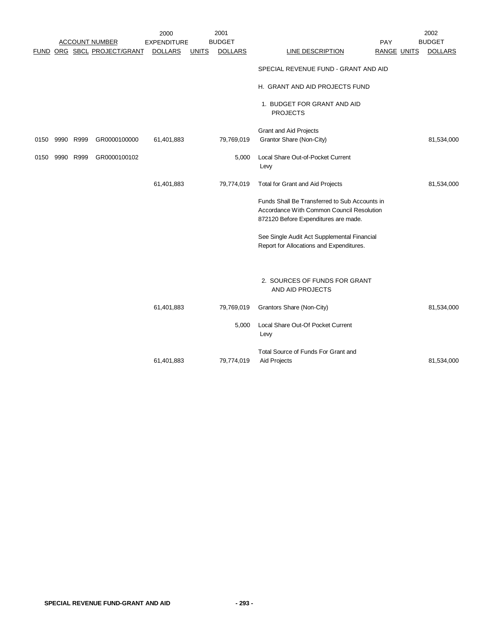|      |      |           |                             | 2000               |              | 2001           |                                                                                                                                    |                    | 2002           |
|------|------|-----------|-----------------------------|--------------------|--------------|----------------|------------------------------------------------------------------------------------------------------------------------------------|--------------------|----------------|
|      |      |           | <b>ACCOUNT NUMBER</b>       | <b>EXPENDITURE</b> |              | <b>BUDGET</b>  |                                                                                                                                    | PAY                | <b>BUDGET</b>  |
|      |      |           | FUND ORG SBCL PROJECT/GRANT | <b>DOLLARS</b>     | <b>UNITS</b> | <b>DOLLARS</b> | LINE DESCRIPTION                                                                                                                   | <b>RANGE UNITS</b> | <b>DOLLARS</b> |
|      |      |           |                             |                    |              |                | SPECIAL REVENUE FUND - GRANT AND AID                                                                                               |                    |                |
|      |      |           |                             |                    |              |                | H. GRANT AND AID PROJECTS FUND                                                                                                     |                    |                |
|      |      |           |                             |                    |              |                | 1. BUDGET FOR GRANT AND AID<br><b>PROJECTS</b>                                                                                     |                    |                |
|      |      |           |                             |                    |              |                | Grant and Aid Projects                                                                                                             |                    |                |
| 0150 |      | 9990 R999 | GR0000100000                | 61,401,883         |              | 79,769,019     | Grantor Share (Non-City)                                                                                                           |                    | 81,534,000     |
| 0150 | 9990 | R999      | GR0000100102                |                    |              | 5,000          | Local Share Out-of-Pocket Current<br>Levy                                                                                          |                    |                |
|      |      |           |                             | 61,401,883         |              | 79,774,019     | Total for Grant and Aid Projects                                                                                                   |                    | 81,534,000     |
|      |      |           |                             |                    |              |                | Funds Shall Be Transferred to Sub Accounts in<br>Accordance With Common Council Resolution<br>872120 Before Expenditures are made. |                    |                |
|      |      |           |                             |                    |              |                | See Single Audit Act Supplemental Financial<br>Report for Allocations and Expenditures.                                            |                    |                |
|      |      |           |                             |                    |              |                | 2. SOURCES OF FUNDS FOR GRANT<br>AND AID PROJECTS                                                                                  |                    |                |
|      |      |           |                             | 61,401,883         |              | 79,769,019     | Grantors Share (Non-City)                                                                                                          |                    | 81,534,000     |
|      |      |           |                             |                    |              | 5,000          | Local Share Out-Of Pocket Current<br>Levy                                                                                          |                    |                |
|      |      |           |                             |                    |              |                | Total Source of Funds For Grant and                                                                                                |                    |                |
|      |      |           |                             | 61,401,883         |              | 79,774,019     | Aid Projects                                                                                                                       |                    | 81,534,000     |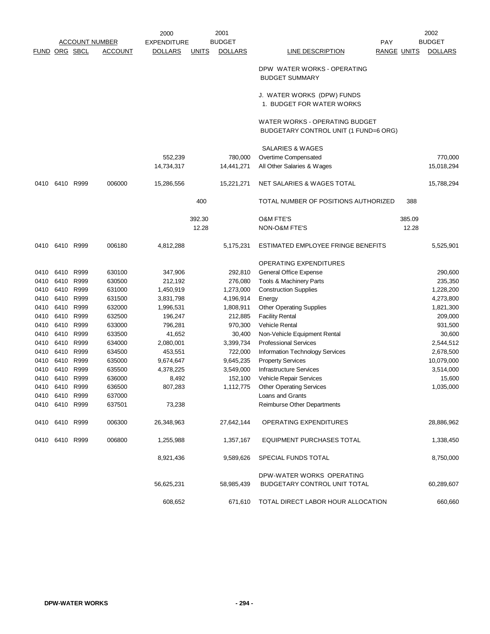|                      |                |           |                       | 2000               |              | 2001           |                                                                         |                    | 2002           |
|----------------------|----------------|-----------|-----------------------|--------------------|--------------|----------------|-------------------------------------------------------------------------|--------------------|----------------|
|                      |                |           | <b>ACCOUNT NUMBER</b> | <b>EXPENDITURE</b> |              | <b>BUDGET</b>  | <b>PAY</b>                                                              |                    | <b>BUDGET</b>  |
| <b>FUND ORG SBCL</b> |                |           | <u>ACCOUNT</u>        | <b>DOLLARS</b>     | <b>UNITS</b> | <b>DOLLARS</b> | <b>LINE DESCRIPTION</b>                                                 | <b>RANGE UNITS</b> | <b>DOLLARS</b> |
|                      |                |           |                       |                    |              |                | DPW WATER WORKS - OPERATING<br><b>BUDGET SUMMARY</b>                    |                    |                |
|                      |                |           |                       |                    |              |                | J. WATER WORKS (DPW) FUNDS<br>1. BUDGET FOR WATER WORKS                 |                    |                |
|                      |                |           |                       |                    |              |                | WATER WORKS - OPERATING BUDGET<br>BUDGETARY CONTROL UNIT (1 FUND=6 ORG) |                    |                |
|                      |                |           |                       |                    |              |                | SALARIES & WAGES                                                        |                    |                |
|                      |                |           |                       | 552,239            |              | 780,000        | Overtime Compensated                                                    |                    | 770,000        |
|                      |                |           |                       | 14,734,317         |              | 14,441,271     | All Other Salaries & Wages                                              |                    | 15,018,294     |
| 0410                 | 6410 R999      |           | 006000                | 15,286,556         |              | 15,221,271     | NET SALARIES & WAGES TOTAL                                              |                    | 15,788,294     |
|                      |                |           |                       |                    | 400          |                | TOTAL NUMBER OF POSITIONS AUTHORIZED                                    | 388                |                |
|                      |                |           |                       |                    | 392.30       |                | <b>O&amp;M FTE'S</b>                                                    | 385.09             |                |
|                      |                |           |                       |                    | 12.28        |                | NON-O&M FTE'S                                                           | 12.28              |                |
| 0410                 | 6410 R999      |           | 006180                | 4,812,288          |              | 5,175,231      | ESTIMATED EMPLOYEE FRINGE BENEFITS                                      |                    | 5,525,901      |
|                      |                |           |                       |                    |              |                | OPERATING EXPENDITURES                                                  |                    |                |
| 0410                 |                | 6410 R999 | 630100                | 347,906            |              | 292,810        | General Office Expense                                                  |                    | 290,600        |
| 0410                 | 6410           | R999      | 630500                | 212,192            |              | 276,080        | Tools & Machinery Parts                                                 |                    | 235,350        |
| 0410                 | 6410 R999      |           | 631000                | 1,450,919          |              | 1,273,000      | <b>Construction Supplies</b>                                            |                    | 1,228,200      |
| 0410                 |                | 6410 R999 | 631500                | 3,831,798          |              | 4,196,914      | Energy                                                                  |                    | 4,273,800      |
| 0410                 | 6410           | R999      | 632000                | 1,996,531          |              | 1,808,911      | <b>Other Operating Supplies</b>                                         |                    | 1,821,300      |
| 0410                 | 6410 R999      |           | 632500                | 196,247            |              | 212,885        | <b>Facility Rental</b>                                                  |                    | 209,000        |
| 0410                 |                | 6410 R999 | 633000                | 796,281            |              | 970,300        | <b>Vehicle Rental</b>                                                   |                    | 931,500        |
| 0410                 |                | 6410 R999 | 633500                | 41,652             |              | 30,400         | Non-Vehicle Equipment Rental                                            |                    | 30,600         |
| 0410                 | 6410 R999      |           | 634000                | 2,080,001          |              | 3,399,734      | <b>Professional Services</b>                                            |                    | 2,544,512      |
| 0410                 | 6410 R999      |           | 634500                | 453,551            |              | 722,000        | Information Technology Services                                         |                    | 2,678,500      |
| 0410                 | 6410           | R999      | 635000                | 9,674,647          |              | 9,645,235      | <b>Property Services</b>                                                |                    | 10,079,000     |
| 0410                 | 6410           | R999      | 635500                | 4,378,225          |              | 3,549,000      | <b>Infrastructure Services</b>                                          |                    | 3,514,000      |
| 0410                 |                | 6410 R999 | 636000                | 8,492              |              | 152,100        | Vehicle Repair Services                                                 |                    | 15,600         |
| 0410                 | 6410           | R999      | 636500                | 807,283            |              | 1,112,775      | <b>Other Operating Services</b>                                         |                    | 1,035,000      |
|                      | 0410 6410 R999 |           | 637000                |                    |              |                | Loans and Grants                                                        |                    |                |
|                      | 0410 6410 R999 |           | 637501                | 73,238             |              |                | Reimburse Other Departments                                             |                    |                |
|                      | 0410 6410 R999 |           | 006300                | 26,348,963         |              | 27,642,144     | OPERATING EXPENDITURES                                                  |                    | 28,886,962     |
|                      | 0410 6410 R999 |           | 006800                | 1,255,988          |              | 1,357,167      | EQUIPMENT PURCHASES TOTAL                                               |                    | 1,338,450      |
|                      |                |           |                       | 8,921,436          |              | 9,589,626      | SPECIAL FUNDS TOTAL                                                     |                    | 8,750,000      |
|                      |                |           |                       |                    |              |                | DPW-WATER WORKS OPERATING                                               |                    |                |
|                      |                |           |                       | 56,625,231         |              | 58,985,439     | BUDGETARY CONTROL UNIT TOTAL                                            |                    | 60,289,607     |
|                      |                |           |                       | 608,652            |              | 671,610        | TOTAL DIRECT LABOR HOUR ALLOCATION                                      |                    | 660,660        |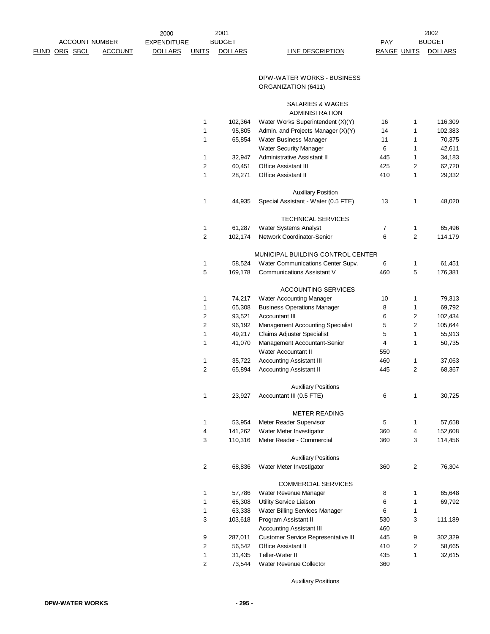|  | <b>ACCOUNT NUMBER</b> |                | <b>EXPENDITURE</b> |                | <b>BUDGET</b>      |                                                                         | PAY                |        | <b>BUDGET</b>      |
|--|-----------------------|----------------|--------------------|----------------|--------------------|-------------------------------------------------------------------------|--------------------|--------|--------------------|
|  | FUND ORG SBCL         | <b>ACCOUNT</b> | <b>DOLLARS</b>     | <b>UNITS</b>   | <b>DOLLARS</b>     | <b>LINE DESCRIPTION</b>                                                 | <b>RANGE UNITS</b> |        | <b>DOLLARS</b>     |
|  |                       |                |                    |                |                    |                                                                         |                    |        |                    |
|  |                       |                |                    |                |                    | DPW-WATER WORKS - BUSINESS                                              |                    |        |                    |
|  |                       |                |                    |                |                    | ORGANIZATION (6411)                                                     |                    |        |                    |
|  |                       |                |                    |                |                    |                                                                         |                    |        |                    |
|  |                       |                |                    |                |                    | SALARIES & WAGES                                                        |                    |        |                    |
|  |                       |                |                    |                |                    | <b>ADMINISTRATION</b>                                                   |                    |        |                    |
|  |                       |                |                    | 1<br>1         | 102,364<br>95,805  | Water Works Superintendent (X)(Y)<br>Admin. and Projects Manager (X)(Y) | 16<br>14           | 1<br>1 | 116,309<br>102,383 |
|  |                       |                |                    | 1              | 65,854             | Water Business Manager                                                  | 11                 | 1      | 70,375             |
|  |                       |                |                    |                |                    | Water Security Manager                                                  | 6                  | 1      | 42,611             |
|  |                       |                |                    | 1              | 32,947             | Administrative Assistant II                                             | 445                | 1      | 34,183             |
|  |                       |                |                    | 2              | 60,451             | <b>Office Assistant III</b>                                             | 425                | 2      | 62,720             |
|  |                       |                |                    | 1              | 28,271             | Office Assistant II                                                     | 410                | 1      | 29,332             |
|  |                       |                |                    |                |                    |                                                                         |                    |        |                    |
|  |                       |                |                    |                |                    | <b>Auxiliary Position</b>                                               |                    |        |                    |
|  |                       |                |                    | 1              | 44,935             | Special Assistant - Water (0.5 FTE)                                     | 13                 | 1      | 48,020             |
|  |                       |                |                    |                |                    | <b>TECHNICAL SERVICES</b>                                               |                    |        |                    |
|  |                       |                |                    | 1              | 61,287             | Water Systems Analyst                                                   | 7                  | 1      | 65,496             |
|  |                       |                |                    | $\overline{c}$ | 102,174            | Network Coordinator-Senior                                              | 6                  | 2      | 114,179            |
|  |                       |                |                    |                |                    |                                                                         |                    |        |                    |
|  |                       |                |                    |                |                    | MUNICIPAL BUILDING CONTROL CENTER                                       |                    |        |                    |
|  |                       |                |                    | 1              | 58,524             | Water Communications Center Supv.                                       | 6                  | 1      | 61,451             |
|  |                       |                |                    | 5              | 169,178            | <b>Communications Assistant V</b>                                       | 460                | 5      | 176,381            |
|  |                       |                |                    |                |                    | <b>ACCOUNTING SERVICES</b>                                              |                    |        |                    |
|  |                       |                |                    | 1              | 74,217             | Water Accounting Manager                                                | 10                 | 1      | 79,313             |
|  |                       |                |                    | 1              | 65,308             | <b>Business Operations Manager</b>                                      | 8                  | 1      | 69,792             |
|  |                       |                |                    | $\overline{c}$ | 93,521             | <b>Accountant III</b>                                                   | 6                  | 2      | 102,434            |
|  |                       |                |                    | 2              | 96,192             | Management Accounting Specialist                                        | 5                  | 2      | 105,644            |
|  |                       |                |                    | 1              | 49,217             | <b>Claims Adjuster Specialist</b>                                       | 5                  | 1      | 55,913             |
|  |                       |                |                    | 1              | 41,070             | Management Accountant-Senior                                            | 4                  | 1      | 50,735             |
|  |                       |                |                    |                |                    | Water Accountant II                                                     | 550                |        |                    |
|  |                       |                |                    | 1              | 35,722             | <b>Accounting Assistant III</b>                                         | 460                | 1      | 37,063             |
|  |                       |                |                    | 2              | 65,894             | <b>Accounting Assistant II</b>                                          | 445                | 2      | 68,367             |
|  |                       |                |                    |                |                    | <b>Auxiliary Positions</b>                                              |                    |        |                    |
|  |                       |                |                    | 1              | 23,927             | Accountant III (0.5 FTE)                                                | 6                  | 1      | 30,725             |
|  |                       |                |                    |                |                    |                                                                         |                    |        |                    |
|  |                       |                |                    |                |                    | <b>METER READING</b>                                                    |                    |        |                    |
|  |                       |                |                    | 1              | 53,954             | Meter Reader Supervisor                                                 | 5                  | 1      | 57,658             |
|  |                       |                |                    | 4<br>3         | 141,262<br>110,316 | Water Meter Investigator<br>Meter Reader - Commercial                   | 360<br>360         | 4<br>3 | 152,608<br>114,456 |
|  |                       |                |                    |                |                    |                                                                         |                    |        |                    |
|  |                       |                |                    |                |                    | <b>Auxiliary Positions</b>                                              |                    |        |                    |
|  |                       |                |                    | 2              | 68,836             | Water Meter Investigator                                                | 360                | 2      | 76,304             |
|  |                       |                |                    |                |                    |                                                                         |                    |        |                    |
|  |                       |                |                    | 1              | 57,786             | COMMERCIAL SERVICES<br>Water Revenue Manager                            | 8                  | 1      | 65,648             |
|  |                       |                |                    | 1              | 65,308             | Utility Service Liaison                                                 | 6                  | 1      | 69,792             |
|  |                       |                |                    | 1              | 63,338             | Water Billing Services Manager                                          | 6                  | 1      |                    |
|  |                       |                |                    | 3              | 103,618            | Program Assistant II                                                    | 530                | 3      | 111,189            |
|  |                       |                |                    |                |                    | <b>Accounting Assistant III</b>                                         | 460                |        |                    |
|  |                       |                |                    | 9              | 287,011            | Customer Service Representative III                                     | 445                | 9      | 302,329            |
|  |                       |                |                    | 2              | 56,542             | Office Assistant II                                                     | 410                | 2      | 58,665             |
|  |                       |                |                    | 1              | 31,435             | Teller-Water II                                                         | 435                | 1      | 32,615             |

2002

Auxiliary Positions

73,544 Water Revenue Collector 360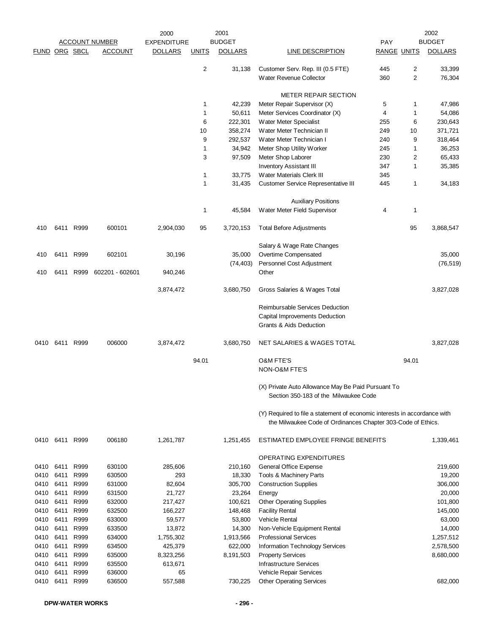|               |              |              | 2001<br>2000          |                    |                |                |                                                                                                                                           | 2002               |       |                |
|---------------|--------------|--------------|-----------------------|--------------------|----------------|----------------|-------------------------------------------------------------------------------------------------------------------------------------------|--------------------|-------|----------------|
|               |              |              | <b>ACCOUNT NUMBER</b> | <b>EXPENDITURE</b> |                | <b>BUDGET</b>  |                                                                                                                                           | <b>PAY</b>         |       | <b>BUDGET</b>  |
| FUND ORG SBCL |              |              | <b>ACCOUNT</b>        | <b>DOLLARS</b>     | <b>UNITS</b>   | <b>DOLLARS</b> | <b>LINE DESCRIPTION</b>                                                                                                                   | <b>RANGE UNITS</b> |       | <b>DOLLARS</b> |
|               |              |              |                       |                    | $\overline{c}$ | 31,138         | Customer Serv. Rep. III (0.5 FTE)                                                                                                         | 445                | 2     | 33,399         |
|               |              |              |                       |                    |                |                | Water Revenue Collector                                                                                                                   | 360                | 2     | 76,304         |
|               |              |              |                       |                    |                |                | <b>METER REPAIR SECTION</b>                                                                                                               |                    |       |                |
|               |              |              |                       |                    | 1              | 42,239         | Meter Repair Supervisor (X)                                                                                                               | 5                  | 1     | 47,986         |
|               |              |              |                       |                    | 1              | 50,611         | Meter Services Coordinator (X)                                                                                                            | $\overline{4}$     | 1     | 54,086         |
|               |              |              |                       |                    | 6              | 222,301        | Water Meter Specialist                                                                                                                    | 255                | 6     | 230,643        |
|               |              |              |                       |                    | 10             | 358,274        | Water Meter Technician II                                                                                                                 | 249                | 10    | 371,721        |
|               |              |              |                       |                    | 9              | 292,537        | Water Meter Technician I                                                                                                                  | 240                | 9     | 318,464        |
|               |              |              |                       |                    | 1              | 34,942         | Meter Shop Utility Worker                                                                                                                 | 245                | 1     | 36,253         |
|               |              |              |                       |                    | 3              | 97,509         | Meter Shop Laborer                                                                                                                        | 230                | 2     | 65,433         |
|               |              |              |                       |                    |                |                | <b>Inventory Assistant III</b>                                                                                                            | 347                | 1     | 35,385         |
|               |              |              |                       |                    | $\mathbf{1}$   | 33,775         | Water Materials Clerk III                                                                                                                 | 345                |       |                |
|               |              |              |                       |                    | 1              | 31,435         | <b>Customer Service Representative III</b>                                                                                                | 445                | 1     | 34,183         |
|               |              |              |                       |                    |                |                | <b>Auxiliary Positions</b>                                                                                                                |                    |       |                |
|               |              |              |                       |                    | 1              | 45,584         | Water Meter Field Supervisor                                                                                                              | 4                  | 1     |                |
| 410           |              | 6411 R999    | 600101                | 2,904,030          | 95             | 3,720,153      | <b>Total Before Adjustments</b>                                                                                                           |                    | 95    | 3,868,547      |
|               |              |              |                       |                    |                |                | Salary & Wage Rate Changes                                                                                                                |                    |       |                |
| 410           | 6411         | R999         | 602101                | 30,196             |                | 35,000         | Overtime Compensated                                                                                                                      |                    |       | 35,000         |
|               |              |              |                       |                    |                | (74, 403)      | Personnel Cost Adjustment                                                                                                                 |                    |       | (76, 519)      |
| 410           | 6411         | R999         | 602201 - 602601       | 940,246            |                |                | Other                                                                                                                                     |                    |       |                |
|               |              |              |                       | 3,874,472          |                | 3,680,750      | Gross Salaries & Wages Total                                                                                                              |                    |       | 3,827,028      |
|               |              |              |                       |                    |                |                | Reimbursable Services Deduction                                                                                                           |                    |       |                |
|               |              |              |                       |                    |                |                | Capital Improvements Deduction                                                                                                            |                    |       |                |
|               |              |              |                       |                    |                |                | Grants & Aids Deduction                                                                                                                   |                    |       |                |
| 0410          | 6411 R999    |              | 006000                | 3,874,472          |                | 3,680,750      | <b>NET SALARIES &amp; WAGES TOTAL</b>                                                                                                     |                    |       | 3,827,028      |
|               |              |              |                       |                    | 94.01          |                | <b>O&amp;M FTE'S</b>                                                                                                                      |                    | 94.01 |                |
|               |              |              |                       |                    |                |                | NON-O&M FTE'S                                                                                                                             |                    |       |                |
|               |              |              |                       |                    |                |                | (X) Private Auto Allowance May Be Paid Pursuant To<br>Section 350-183 of the Milwaukee Code                                               |                    |       |                |
|               |              |              |                       |                    |                |                | (Y) Required to file a statement of economic interests in accordance with<br>the Milwaukee Code of Ordinances Chapter 303-Code of Ethics. |                    |       |                |
| 0410          | 6411         | R999         | 006180                | 1,261,787          |                | 1,251,455      | ESTIMATED EMPLOYEE FRINGE BENEFITS                                                                                                        |                    |       | 1,339,461      |
|               |              |              |                       |                    |                |                | OPERATING EXPENDITURES                                                                                                                    |                    |       |                |
| 0410          | 6411         | R999         | 630100                | 285,606            |                | 210,160        | <b>General Office Expense</b>                                                                                                             |                    |       | 219,600        |
| 0410          | 6411         | R999         | 630500                | 293                |                | 18,330         | Tools & Machinery Parts                                                                                                                   |                    |       | 19,200         |
| 0410          | 6411         | R999         | 631000                | 82,604             |                | 305,700        | <b>Construction Supplies</b>                                                                                                              |                    |       | 306,000        |
| 0410          | 6411         | R999         | 631500                | 21,727             |                | 23,264         | Energy                                                                                                                                    |                    |       | 20,000         |
| 0410          | 6411         | R999         | 632000                | 217,427            |                | 100,621        | <b>Other Operating Supplies</b>                                                                                                           |                    |       | 101,800        |
| 0410          | 6411         | R999         | 632500                | 166,227            |                | 148,468        | <b>Facility Rental</b>                                                                                                                    |                    |       | 145,000        |
| 0410          | 6411         | R999         | 633000                | 59,577             |                | 53,800         | <b>Vehicle Rental</b>                                                                                                                     |                    |       | 63,000         |
| 0410          | 6411         | R999         | 633500                | 13,872             |                | 14,300         | Non-Vehicle Equipment Rental                                                                                                              |                    |       | 14,000         |
| 0410          | 6411         | R999         | 634000                | 1,755,302          |                | 1,913,566      | <b>Professional Services</b>                                                                                                              |                    |       | 1,257,512      |
| 0410          | 6411         | R999         | 634500                | 425,379            |                | 622,000        | Information Technology Services                                                                                                           |                    |       | 2,578,500      |
| 0410          | 6411         | R999         | 635000                | 8,323,256          |                | 8,191,503      | <b>Property Services</b>                                                                                                                  |                    |       | 8,680,000      |
| 0410          | 6411         | R999         | 635500                | 613,671            |                |                | <b>Infrastructure Services</b>                                                                                                            |                    |       |                |
| 0410<br>0410  | 6411<br>6411 | R999<br>R999 | 636000<br>636500      | 65<br>557,588      |                | 730,225        | Vehicle Repair Services<br><b>Other Operating Services</b>                                                                                |                    |       | 682,000        |
|               |              |              |                       |                    |                |                |                                                                                                                                           |                    |       |                |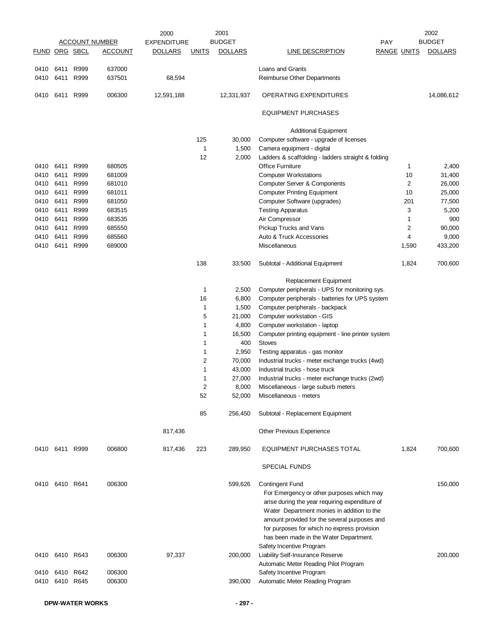|               |                |      |                       | 2000               |              | 2001           |                                                                                                                                                                                                                                                                                    |            |                    | 2002           |
|---------------|----------------|------|-----------------------|--------------------|--------------|----------------|------------------------------------------------------------------------------------------------------------------------------------------------------------------------------------------------------------------------------------------------------------------------------------|------------|--------------------|----------------|
|               |                |      | <b>ACCOUNT NUMBER</b> | <b>EXPENDITURE</b> |              | <b>BUDGET</b>  |                                                                                                                                                                                                                                                                                    | <b>PAY</b> |                    | <b>BUDGET</b>  |
| FUND ORG SBCL |                |      | <b>ACCOUNT</b>        | <b>DOLLARS</b>     | <b>UNITS</b> | <b>DOLLARS</b> | <b>LINE DESCRIPTION</b>                                                                                                                                                                                                                                                            |            | <b>RANGE UNITS</b> | <b>DOLLARS</b> |
|               | 0410 6411      | R999 | 637000                |                    |              |                | Loans and Grants                                                                                                                                                                                                                                                                   |            |                    |                |
| 0410          | 6411           | R999 | 637501                | 68,594             |              |                | <b>Reimburse Other Departments</b>                                                                                                                                                                                                                                                 |            |                    |                |
| 0410          | 6411           | R999 | 006300                | 12,591,188         |              | 12,331,937     | <b>OPERATING EXPENDITURES</b>                                                                                                                                                                                                                                                      |            |                    | 14,086,612     |
|               |                |      |                       |                    |              |                | <b>EQUIPMENT PURCHASES</b>                                                                                                                                                                                                                                                         |            |                    |                |
|               |                |      |                       |                    |              |                | <b>Additional Equipment</b>                                                                                                                                                                                                                                                        |            |                    |                |
|               |                |      |                       |                    | 125          | 30,000         | Computer software - upgrade of licenses                                                                                                                                                                                                                                            |            |                    |                |
|               |                |      |                       |                    | 1            | 1,500          | Camera equipment - digital                                                                                                                                                                                                                                                         |            |                    |                |
|               |                |      |                       |                    | 12           | 2,000          | Ladders & scaffolding - ladders straight & folding                                                                                                                                                                                                                                 |            |                    |                |
| 0410 6411     |                | R999 | 680505                |                    |              |                | <b>Office Furniture</b>                                                                                                                                                                                                                                                            |            | 1                  | 2,400          |
| 0410          | 6411           | R999 | 681009                |                    |              |                | <b>Computer Workstations</b>                                                                                                                                                                                                                                                       |            | 10                 | 31,400         |
| 0410          | 6411           | R999 | 681010                |                    |              |                | <b>Computer Server &amp; Components</b>                                                                                                                                                                                                                                            |            | 2                  | 26,000         |
| 0410          | 6411           | R999 | 681011                |                    |              |                | <b>Computer Printing Equipment</b>                                                                                                                                                                                                                                                 |            | 10                 | 25,000         |
| 0410          | 6411           | R999 | 681050                |                    |              |                | Computer Software (upgrades)                                                                                                                                                                                                                                                       |            | 201                | 77,500         |
| 0410          | 6411           | R999 | 683515                |                    |              |                | <b>Testing Apparatus</b>                                                                                                                                                                                                                                                           |            | 3                  | 5,200          |
| 0410          | 6411           | R999 | 683535                |                    |              |                | Air Compressor                                                                                                                                                                                                                                                                     |            | 1                  | 900            |
| 0410          | 6411           | R999 | 685550                |                    |              |                | Pickup Trucks and Vans                                                                                                                                                                                                                                                             |            | 2                  | 90,000         |
| 0410          | 6411           | R999 | 685560                |                    |              |                | Auto & Truck Accessories                                                                                                                                                                                                                                                           |            | 4                  | 9,000          |
| 0410          | 6411           | R999 | 689000                |                    |              |                | Miscellaneous                                                                                                                                                                                                                                                                      |            | 1,590              | 433,200        |
|               |                |      |                       |                    | 138          | 33,500         | Subtotal - Additional Equipment                                                                                                                                                                                                                                                    |            | 1,824              | 700,600        |
|               |                |      |                       |                    |              |                | Replacement Equipment                                                                                                                                                                                                                                                              |            |                    |                |
|               |                |      |                       |                    | 1            | 2,500          | Computer peripherals - UPS for monitoring sys.                                                                                                                                                                                                                                     |            |                    |                |
|               |                |      |                       |                    | 16           | 6,800          | Computer peripherals - batteries for UPS system                                                                                                                                                                                                                                    |            |                    |                |
|               |                |      |                       |                    | 1            | 1,500          | Computer peripherals - backpack                                                                                                                                                                                                                                                    |            |                    |                |
|               |                |      |                       |                    | 5            | 21,000         | Computer workstation - GIS                                                                                                                                                                                                                                                         |            |                    |                |
|               |                |      |                       |                    | 1            | 4,800          | Computer workstation - laptop                                                                                                                                                                                                                                                      |            |                    |                |
|               |                |      |                       |                    | 1            | 16,500         | Computer printing equipment - line printer system                                                                                                                                                                                                                                  |            |                    |                |
|               |                |      |                       |                    | 1            | 400            | <b>Stoves</b>                                                                                                                                                                                                                                                                      |            |                    |                |
|               |                |      |                       |                    | 1            | 2,950          | Testing apparatus - gas monitor                                                                                                                                                                                                                                                    |            |                    |                |
|               |                |      |                       |                    | 2            | 70,000         | Industrial trucks - meter exchange trucks (4wd)                                                                                                                                                                                                                                    |            |                    |                |
|               |                |      |                       |                    | 1            | 43,000         | Industrial trucks - hose truck                                                                                                                                                                                                                                                     |            |                    |                |
|               |                |      |                       |                    | 1            | 27,000         | Industrial trucks - meter exchange trucks (2wd)                                                                                                                                                                                                                                    |            |                    |                |
|               |                |      |                       |                    | っ            | 8,000          | Miscellaneous - large suburb meters                                                                                                                                                                                                                                                |            |                    |                |
|               |                |      |                       |                    | 52           | 52,000         | Miscellaneous - meters                                                                                                                                                                                                                                                             |            |                    |                |
|               |                |      |                       |                    | 85           | 256,450        | Subtotal - Replacement Equipment                                                                                                                                                                                                                                                   |            |                    |                |
|               |                |      |                       | 817,436            |              |                | Other Previous Experience                                                                                                                                                                                                                                                          |            |                    |                |
|               | 0410 6411      | R999 | 006800                | 817,436            | 223          | 289,950        | EQUIPMENT PURCHASES TOTAL                                                                                                                                                                                                                                                          |            | 1,824              | 700,600        |
|               |                |      |                       |                    |              |                | <b>SPECIAL FUNDS</b>                                                                                                                                                                                                                                                               |            |                    |                |
|               | 0410 6410 R641 |      | 006300                |                    |              | 599,626        | <b>Contingent Fund</b>                                                                                                                                                                                                                                                             |            |                    | 150,000        |
|               |                |      |                       |                    |              |                | For Emergency or other purposes which may<br>arise during the year requiring expenditure of<br>Water Department monies in addition to the<br>amount provided for the several purposes and<br>for purposes for which no express provision<br>has been made in the Water Department. |            |                    |                |
|               | 0410 6410 R643 |      | 006300                | 97,337             |              | 200,000        | Safety Incentive Program<br>Liability Self-Insurance Reserve<br>Automatic Meter Reading Pilot Program                                                                                                                                                                              |            |                    | 200,000        |
|               | 0410 6410      | R642 | 006300                |                    |              |                | Safety Incentive Program                                                                                                                                                                                                                                                           |            |                    |                |
| 0410          | 6410           | R645 | 006300                |                    |              | 390,000        | Automatic Meter Reading Program                                                                                                                                                                                                                                                    |            |                    |                |
|               |                |      |                       |                    |              |                |                                                                                                                                                                                                                                                                                    |            |                    |                |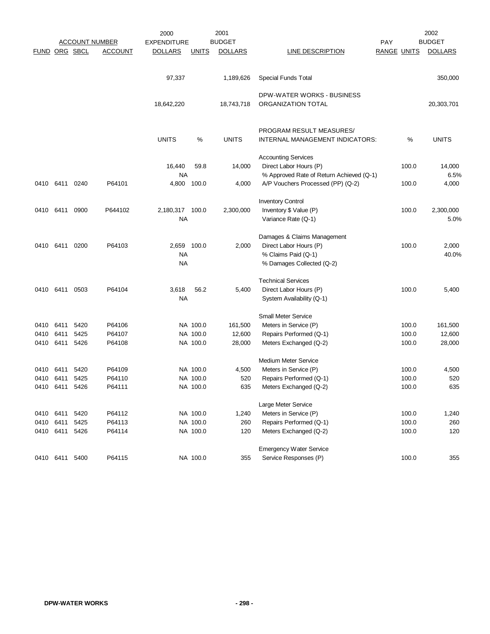|      |               |                       |                | 2000               |              | 2001           |                                          |                    |       | 2002           |  |
|------|---------------|-----------------------|----------------|--------------------|--------------|----------------|------------------------------------------|--------------------|-------|----------------|--|
|      |               | <b>ACCOUNT NUMBER</b> |                | <b>EXPENDITURE</b> |              | <b>BUDGET</b>  |                                          | <b>PAY</b>         |       | <b>BUDGET</b>  |  |
|      | FUND ORG SBCL |                       | <b>ACCOUNT</b> | <b>DOLLARS</b>     | <u>UNITS</u> | <b>DOLLARS</b> | <b>LINE DESCRIPTION</b>                  | <b>RANGE UNITS</b> |       | <b>DOLLARS</b> |  |
|      |               |                       |                |                    |              |                |                                          |                    |       |                |  |
|      |               |                       |                | 97,337             |              | 1,189,626      | Special Funds Total                      |                    |       | 350,000        |  |
|      |               |                       |                |                    |              |                |                                          |                    |       |                |  |
|      |               |                       |                |                    |              |                | DPW-WATER WORKS - BUSINESS               |                    |       |                |  |
|      |               |                       |                | 18,642,220         |              | 18,743,718     | ORGANIZATION TOTAL                       |                    |       | 20,303,701     |  |
|      |               |                       |                |                    |              |                | PROGRAM RESULT MEASURES/                 |                    |       |                |  |
|      |               |                       |                | <b>UNITS</b>       | %            | <b>UNITS</b>   | INTERNAL MANAGEMENT INDICATORS:          |                    | %     | <b>UNITS</b>   |  |
|      |               |                       |                |                    |              |                | <b>Accounting Services</b>               |                    |       |                |  |
|      |               |                       |                | 16,440             | 59.8         | 14,000         | Direct Labor Hours (P)                   |                    | 100.0 | 14,000         |  |
|      |               |                       |                | <b>NA</b>          |              |                | % Approved Rate of Return Achieved (Q-1) |                    |       | 6.5%           |  |
|      | 0410 6411     | 0240                  | P64101         | 4,800              | 100.0        | 4,000          | A/P Vouchers Processed (PP) (Q-2)        |                    | 100.0 | 4,000          |  |
|      |               |                       |                |                    |              |                | <b>Inventory Control</b>                 |                    |       |                |  |
| 0410 | 6411          | 0900                  | P644102        | 2,180,317 100.0    |              | 2,300,000      | Inventory \$ Value (P)                   |                    | 100.0 | 2,300,000      |  |
|      |               |                       |                | <b>NA</b>          |              |                | Variance Rate (Q-1)                      |                    |       | 5.0%           |  |
|      |               |                       |                |                    |              |                | Damages & Claims Management              |                    |       |                |  |
| 0410 | 6411          | 0200                  | P64103         | 2,659              | 100.0        | 2,000          | Direct Labor Hours (P)                   |                    | 100.0 | 2,000          |  |
|      |               |                       |                | <b>NA</b>          |              |                | % Claims Paid (Q-1)                      |                    |       | 40.0%          |  |
|      |               |                       |                | <b>NA</b>          |              |                | % Damages Collected (Q-2)                |                    |       |                |  |
|      |               |                       |                |                    |              |                | <b>Technical Services</b>                |                    |       |                |  |
|      | 0410 6411     | 0503                  | P64104         | 3,618              | 56.2         | 5,400          | Direct Labor Hours (P)                   |                    | 100.0 | 5,400          |  |
|      |               |                       |                | <b>NA</b>          |              |                | System Availability (Q-1)                |                    |       |                |  |
|      |               |                       |                |                    |              |                | <b>Small Meter Service</b>               |                    |       |                |  |
| 0410 | 6411          | 5420                  | P64106         |                    | NA 100.0     | 161,500        | Meters in Service (P)                    |                    | 100.0 | 161,500        |  |
| 0410 | 6411          | 5425                  | P64107         |                    | NA 100.0     | 12,600         | Repairs Performed (Q-1)                  |                    | 100.0 | 12,600         |  |
| 0410 | 6411          | 5426                  | P64108         |                    | NA 100.0     | 28,000         | Meters Exchanged (Q-2)                   |                    | 100.0 | 28,000         |  |
|      |               |                       |                |                    |              |                | <b>Medium Meter Service</b>              |                    |       |                |  |
|      | 0410 6411     | 5420                  | P64109         |                    | NA 100.0     | 4,500          | Meters in Service (P)                    |                    | 100.0 | 4,500          |  |
|      | 0410 6411     | 5425                  | P64110         |                    | NA 100.0     | 520            | Repairs Performed (Q-1)                  |                    | 100.0 | 520            |  |
|      | 0410 6411     | 5426                  | P64111         |                    | NA 100.0     | 635            | Meters Exchanged (Q-2)                   |                    | 100.0 | 635            |  |
|      |               |                       |                |                    |              |                | Large Meter Service                      |                    |       |                |  |
| 0410 | 6411          | 5420                  | P64112         |                    | NA 100.0     | 1,240          | Meters in Service (P)                    |                    | 100.0 | 1,240          |  |
|      | 0410 6411     | 5425                  | P64113         |                    | NA 100.0     | 260            | Repairs Performed (Q-1)                  |                    | 100.0 | 260            |  |
|      | 0410 6411     | 5426                  | P64114         |                    | NA 100.0     | 120            | Meters Exchanged (Q-2)                   |                    | 100.0 | 120            |  |
|      |               |                       |                |                    |              |                | <b>Emergency Water Service</b>           |                    |       |                |  |
|      | 0410 6411     | 5400                  | P64115         |                    | NA 100.0     | 355            | Service Responses (P)                    |                    | 100.0 | 355            |  |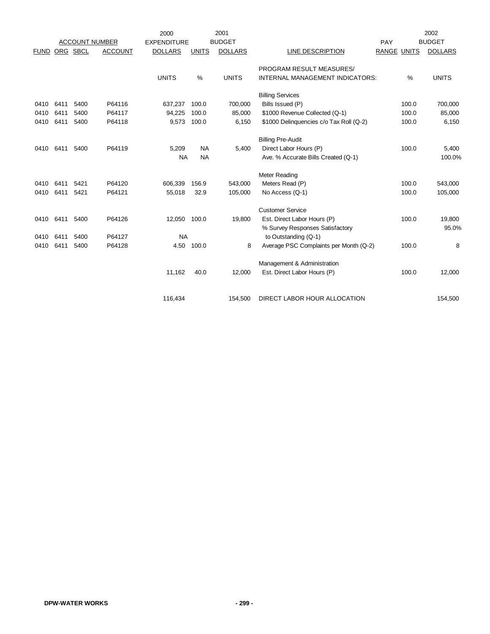|             |      |          |                       | 2000               |              | 2001           |                                         |                    |       | 2002           |
|-------------|------|----------|-----------------------|--------------------|--------------|----------------|-----------------------------------------|--------------------|-------|----------------|
|             |      |          | <b>ACCOUNT NUMBER</b> | <b>EXPENDITURE</b> |              | <b>BUDGET</b>  |                                         | PAY                |       | <b>BUDGET</b>  |
| <b>FUND</b> |      | ORG SBCL | <b>ACCOUNT</b>        | <b>DOLLARS</b>     | <b>UNITS</b> | <b>DOLLARS</b> | LINE DESCRIPTION                        | <b>RANGE UNITS</b> |       | <b>DOLLARS</b> |
|             |      |          |                       |                    |              |                | PROGRAM RESULT MEASURES/                |                    |       |                |
|             |      |          |                       | <b>UNITS</b>       | %            | <b>UNITS</b>   | INTERNAL MANAGEMENT INDICATORS:         |                    | %     | <b>UNITS</b>   |
|             |      |          |                       |                    |              |                | <b>Billing Services</b>                 |                    |       |                |
| 0410        | 6411 | 5400     | P64116                | 637,237            | 100.0        | 700,000        | Bills Issued (P)                        |                    | 100.0 | 700,000        |
| 0410        | 6411 | 5400     | P64117                | 94,225             | 100.0        | 85,000         | \$1000 Revenue Collected (Q-1)          |                    | 100.0 | 85,000         |
| 0410        | 6411 | 5400     | P64118                | 9,573              | 100.0        | 6,150          | \$1000 Delinquencies c/o Tax Roll (Q-2) |                    | 100.0 | 6,150          |
|             |      |          |                       |                    |              |                | <b>Billing Pre-Audit</b>                |                    |       |                |
| 0410        | 6411 | 5400     | P64119                | 5,209              | <b>NA</b>    | 5,400          | Direct Labor Hours (P)                  |                    | 100.0 | 5,400          |
|             |      |          |                       | <b>NA</b>          | <b>NA</b>    |                | Ave. % Accurate Bills Created (Q-1)     |                    |       | 100.0%         |
|             |      |          |                       |                    |              |                | Meter Reading                           |                    |       |                |
| 0410        | 6411 | 5421     | P64120                | 606,339            | 156.9        | 543,000        | Meters Read (P)                         |                    | 100.0 | 543,000        |
| 0410        | 6411 | 5421     | P64121                | 55,018             | 32.9         | 105,000        | No Access (Q-1)                         |                    | 100.0 | 105,000        |
|             |      |          |                       |                    |              |                | <b>Customer Service</b>                 |                    |       |                |
| 0410        | 6411 | 5400     | P64126                | 12,050             | 100.0        | 19,800         | Est. Direct Labor Hours (P)             |                    | 100.0 | 19,800         |
|             |      |          |                       |                    |              |                | % Survey Responses Satisfactory         |                    |       | 95.0%          |
| 0410        | 6411 | 5400     | P64127                | <b>NA</b>          |              |                | to Outstanding (Q-1)                    |                    |       |                |
| 0410        | 6411 | 5400     | P64128                | 4.50               | 100.0        | 8              | Average PSC Complaints per Month (Q-2)  |                    | 100.0 | 8              |
|             |      |          |                       |                    |              |                | Management & Administration             |                    |       |                |
|             |      |          |                       | 11,162             | 40.0         | 12,000         | Est. Direct Labor Hours (P)             |                    | 100.0 | 12,000         |
|             |      |          |                       |                    |              |                |                                         |                    |       |                |
|             |      |          |                       | 116,434            |              | 154,500        | DIRECT LABOR HOUR ALLOCATION            |                    |       | 154.500        |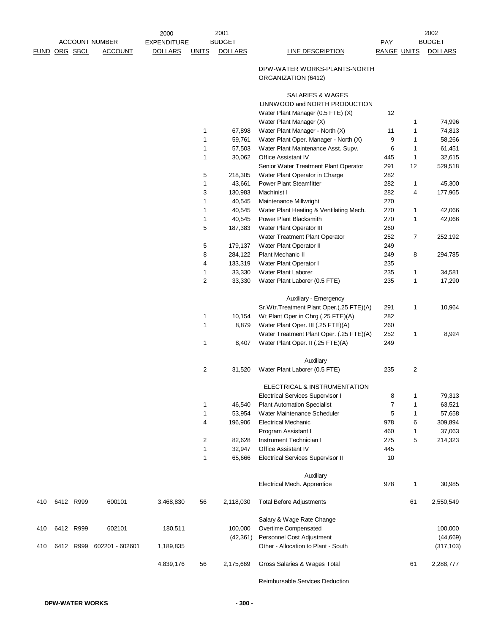|     |               |           |                       | 2000               |                | 2001             |                                                                          |                    |                | 2002             |
|-----|---------------|-----------|-----------------------|--------------------|----------------|------------------|--------------------------------------------------------------------------|--------------------|----------------|------------------|
|     |               |           | <b>ACCOUNT NUMBER</b> | <b>EXPENDITURE</b> |                | <b>BUDGET</b>    |                                                                          | PAY                |                | <b>BUDGET</b>    |
|     | FUND ORG SBCL |           | <b>ACCOUNT</b>        | <b>DOLLARS</b>     | <b>UNITS</b>   | <b>DOLLARS</b>   | LINE DESCRIPTION                                                         | <b>RANGE UNITS</b> |                | <b>DOLLARS</b>   |
|     |               |           |                       |                    |                |                  | DPW-WATER WORKS-PLANTS-NORTH<br>ORGANIZATION (6412)                      |                    |                |                  |
|     |               |           |                       |                    |                |                  | SALARIES & WAGES<br>LINNWOOD and NORTH PRODUCTION                        |                    |                |                  |
|     |               |           |                       |                    |                |                  | Water Plant Manager (0.5 FTE) (X)                                        | 12                 |                |                  |
|     |               |           |                       |                    |                |                  | Water Plant Manager (X)                                                  |                    | 1              | 74,996           |
|     |               |           |                       |                    | 1<br>1         | 67,898<br>59,761 | Water Plant Manager - North (X)<br>Water Plant Oper. Manager - North (X) | 11<br>9            | 1<br>1         | 74,813<br>58,266 |
|     |               |           |                       |                    | 1              | 57,503           | Water Plant Maintenance Asst. Supv.                                      | 6                  | 1              | 61,451           |
|     |               |           |                       |                    | 1              | 30,062           | Office Assistant IV                                                      | 445                | 1              | 32,615           |
|     |               |           |                       |                    |                |                  | Senior Water Treatment Plant Operator                                    | 291                | 12             | 529,518          |
|     |               |           |                       |                    | 5              | 218,305          | Water Plant Operator in Charge                                           | 282                |                |                  |
|     |               |           |                       |                    | 1              | 43,661           | <b>Power Plant Steamfitter</b>                                           | 282                | 1              | 45,300           |
|     |               |           |                       |                    | 3              | 130,983          | Machinist I                                                              | 282                | 4              | 177,965          |
|     |               |           |                       |                    | 1              | 40,545           | Maintenance Millwright                                                   | 270                |                |                  |
|     |               |           |                       |                    | 1              | 40,545           | Water Plant Heating & Ventilating Mech.                                  | 270                | 1              | 42,066           |
|     |               |           |                       |                    | 1              | 40,545           | Power Plant Blacksmith                                                   | 270                | 1              | 42,066           |
|     |               |           |                       |                    | 5              | 187,383          | Water Plant Operator III                                                 | 260                |                |                  |
|     |               |           |                       |                    |                |                  | Water Treatment Plant Operator                                           | 252                | 7              | 252,192          |
|     |               |           |                       |                    | 5              | 179,137          | Water Plant Operator II                                                  | 249                |                |                  |
|     |               |           |                       |                    | 8              | 284,122          | Plant Mechanic II                                                        | 249                | 8              | 294,785          |
|     |               |           |                       |                    | 4              | 133,319          | Water Plant Operator I                                                   | 235                |                |                  |
|     |               |           |                       |                    | $\mathbf{1}$   | 33,330           | Water Plant Laborer                                                      | 235                | 1              | 34,581           |
|     |               |           |                       |                    | $\sqrt{2}$     | 33,330           | Water Plant Laborer (0.5 FTE)                                            | 235                | 1              | 17,290           |
|     |               |           |                       |                    |                |                  | Auxiliary - Emergency                                                    |                    |                |                  |
|     |               |           |                       |                    |                |                  | Sr. Wtr. Treatment Plant Oper. (.25 FTE) (A)                             | 291                | 1              | 10,964           |
|     |               |           |                       |                    | $\mathbf{1}$   | 10,154           | Wt Plant Oper in Chrg (.25 FTE)(A)                                       | 282                |                |                  |
|     |               |           |                       |                    | $\mathbf{1}$   | 8,879            | Water Plant Oper. III (.25 FTE)(A)                                       | 260                |                |                  |
|     |               |           |                       |                    |                |                  | Water Treatment Plant Oper. (.25 FTE)(A)                                 | 252                | 1              | 8,924            |
|     |               |           |                       |                    | 1              | 8,407            | Water Plant Oper. II (.25 FTE)(A)                                        | 249                |                |                  |
|     |               |           |                       |                    |                |                  | Auxiliary                                                                |                    |                |                  |
|     |               |           |                       |                    | $\overline{c}$ | 31,520           | Water Plant Laborer (0.5 FTE)                                            | 235                | $\overline{c}$ |                  |
|     |               |           |                       |                    |                |                  | ELECTRICAL & INSTRUMENTATION                                             |                    |                |                  |
|     |               |           |                       |                    |                |                  | <b>Electrical Services Supervisor I</b>                                  | 8                  | 1              | 79,313           |
|     |               |           |                       |                    | 1              | 46,540           | <b>Plant Automation Specialist</b>                                       | 7                  | 1              | 63,521           |
|     |               |           |                       |                    | $\mathbf{1}$   | 53,954           | Water Maintenance Scheduler                                              | 5                  | 1              | 57,658           |
|     |               |           |                       |                    | 4              | 196,906          | <b>Electrical Mechanic</b>                                               | 978                | 6              | 309,894          |
|     |               |           |                       |                    |                |                  | Program Assistant I                                                      | 460                | 1              | 37,063           |
|     |               |           |                       |                    | $\overline{2}$ | 82,628           | Instrument Technician I                                                  | 275                | 5              | 214,323          |
|     |               |           |                       |                    | 1              | 32,947           | Office Assistant IV                                                      | 445                |                |                  |
|     |               |           |                       |                    | 1              | 65,666           | <b>Electrical Services Supervisor II</b>                                 | 10                 |                |                  |
|     |               |           |                       |                    |                |                  | Auxiliary                                                                |                    |                |                  |
|     |               |           |                       |                    |                |                  | Electrical Mech. Apprentice                                              | 978                | 1              | 30,985           |
| 410 |               | 6412 R999 | 600101                | 3,468,830          | 56             | 2,118,030        | <b>Total Before Adjustments</b>                                          |                    | 61             | 2,550,549        |
|     |               |           |                       |                    |                |                  | Salary & Wage Rate Change                                                |                    |                |                  |
| 410 |               | 6412 R999 | 602101                | 180,511            |                | 100,000          | Overtime Compensated                                                     |                    |                | 100,000          |
|     |               |           |                       |                    |                | (42, 361)        | Personnel Cost Adjustment                                                |                    |                | (44, 669)        |
| 410 | 6412          | R999      | 602201 - 602601       | 1,189,835          |                |                  | Other - Allocation to Plant - South                                      |                    |                | (317, 103)       |
|     |               |           |                       | 4,839,176          | 56             | 2,175,669        | Gross Salaries & Wages Total                                             |                    | 61             | 2,288,777        |
|     |               |           |                       |                    |                |                  | Reimbursable Services Deduction                                          |                    |                |                  |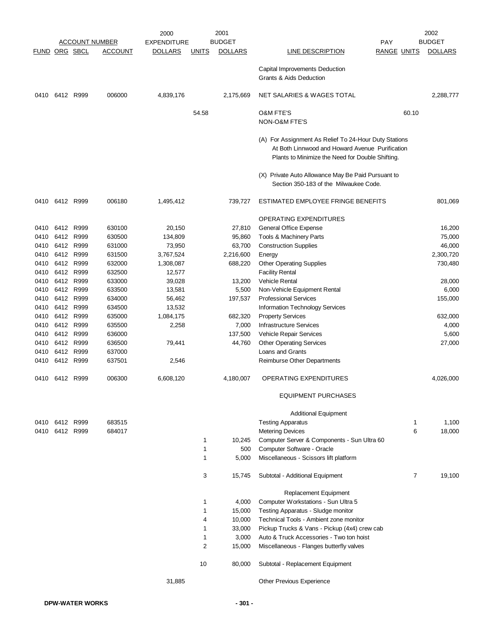|                      |           |           |                       | 2000               |              | 2001           |                                                                                                                                                              |                    |       | 2002           |
|----------------------|-----------|-----------|-----------------------|--------------------|--------------|----------------|--------------------------------------------------------------------------------------------------------------------------------------------------------------|--------------------|-------|----------------|
|                      |           |           | <b>ACCOUNT NUMBER</b> | <b>EXPENDITURE</b> |              | <b>BUDGET</b>  |                                                                                                                                                              | <b>PAY</b>         |       | <b>BUDGET</b>  |
| <b>FUND ORG SBCL</b> |           |           | <b>ACCOUNT</b>        | <b>DOLLARS</b>     | <b>UNITS</b> | <b>DOLLARS</b> | <b>LINE DESCRIPTION</b>                                                                                                                                      | <b>RANGE UNITS</b> |       | <b>DOLLARS</b> |
|                      |           |           |                       |                    |              |                | Capital Improvements Deduction<br><b>Grants &amp; Aids Deduction</b>                                                                                         |                    |       |                |
| 0410                 |           | 6412 R999 | 006000                | 4,839,176          |              | 2,175,669      | NET SALARIES & WAGES TOTAL                                                                                                                                   |                    |       | 2,288,777      |
|                      |           |           |                       |                    | 54.58        |                | <b>O&amp;M FTE'S</b>                                                                                                                                         |                    | 60.10 |                |
|                      |           |           |                       |                    |              |                | NON-O&M FTE'S                                                                                                                                                |                    |       |                |
|                      |           |           |                       |                    |              |                | (A) For Assignment As Relief To 24-Hour Duty Stations<br>At Both Linnwood and Howard Avenue Purification<br>Plants to Minimize the Need for Double Shifting. |                    |       |                |
|                      |           |           |                       |                    |              |                | (X) Private Auto Allowance May Be Paid Pursuant to<br>Section 350-183 of the Milwaukee Code.                                                                 |                    |       |                |
| 0410                 | 6412 R999 |           | 006180                | 1,495,412          |              | 739,727        | ESTIMATED EMPLOYEE FRINGE BENEFITS                                                                                                                           |                    |       | 801,069        |
|                      |           |           |                       |                    |              |                | OPERATING EXPENDITURES                                                                                                                                       |                    |       |                |
| 0410                 |           | 6412 R999 | 630100                | 20,150             |              | 27,810         | General Office Expense                                                                                                                                       |                    |       | 16,200         |
| 0410                 |           | 6412 R999 | 630500                | 134,809            |              | 95,860         | Tools & Machinery Parts                                                                                                                                      |                    |       | 75,000         |
| 0410                 |           | 6412 R999 | 631000                | 73,950             |              | 63,700         | <b>Construction Supplies</b>                                                                                                                                 |                    |       | 46,000         |
| 0410                 |           | 6412 R999 | 631500                | 3,767,524          |              | 2,216,600      | Energy                                                                                                                                                       |                    |       | 2,300,720      |
| 0410                 |           | 6412 R999 | 632000                | 1,308,087          |              | 688,220        | <b>Other Operating Supplies</b>                                                                                                                              |                    |       | 730,480        |
| 0410                 |           | 6412 R999 | 632500                | 12,577             |              |                | <b>Facility Rental</b>                                                                                                                                       |                    |       |                |
| 0410                 |           | 6412 R999 | 633000                | 39,028             |              | 13,200         | Vehicle Rental                                                                                                                                               |                    |       | 28,000         |
| 0410                 | 6412      | R999      | 633500                | 13,581             |              | 5,500          | Non-Vehicle Equipment Rental                                                                                                                                 |                    |       | 6,000          |
| 0410                 |           | 6412 R999 | 634000                | 56,462             |              | 197,537        | <b>Professional Services</b>                                                                                                                                 |                    |       | 155,000        |
| 0410                 |           | 6412 R999 | 634500                | 13,532             |              |                | Information Technology Services                                                                                                                              |                    |       |                |
| 0410                 | 6412      | R999      | 635000                | 1,084,175          |              | 682,320        | <b>Property Services</b>                                                                                                                                     |                    |       | 632,000        |
| 0410                 |           | 6412 R999 | 635500                | 2,258              |              | 7,000          | <b>Infrastructure Services</b>                                                                                                                               |                    |       | 4,000          |
| 0410                 |           | 6412 R999 | 636000                |                    |              | 137,500        | Vehicle Repair Services                                                                                                                                      |                    |       | 5,600          |
| 0410                 |           | 6412 R999 | 636500                | 79,441             |              | 44,760         | <b>Other Operating Services</b>                                                                                                                              |                    |       | 27,000         |
| 0410                 |           | 6412 R999 | 637000                |                    |              |                | Loans and Grants                                                                                                                                             |                    |       |                |
| 0410                 |           | 6412 R999 | 637501                | 2,546              |              |                | Reimburse Other Departments                                                                                                                                  |                    |       |                |
| 0410                 | 6412 R999 |           | 006300                | 6,608,120          |              | 4,180,007      | OPERATING EXPENDITURES                                                                                                                                       |                    |       | 4,026,000      |
|                      |           |           |                       |                    |              |                | <b>EQUIPMENT PURCHASES</b>                                                                                                                                   |                    |       |                |
|                      |           |           |                       |                    |              |                | <b>Additional Equipment</b>                                                                                                                                  |                    |       |                |
| 0410                 |           | 6412 R999 | 683515                |                    |              |                | <b>Testing Apparatus</b>                                                                                                                                     |                    | 1     | 1,100          |
| 0410                 |           | 6412 R999 | 684017                |                    |              |                | <b>Metering Devices</b>                                                                                                                                      |                    | 6     | 18,000         |
|                      |           |           |                       |                    | 1            | 10,245         | Computer Server & Components - Sun Ultra 60                                                                                                                  |                    |       |                |
|                      |           |           |                       |                    | 1            | 500            | Computer Software - Oracle                                                                                                                                   |                    |       |                |
|                      |           |           |                       |                    | 1            | 5,000          | Miscellaneous - Scissors lift platform                                                                                                                       |                    |       |                |
|                      |           |           |                       |                    | 3            | 15,745         | Subtotal - Additional Equipment                                                                                                                              |                    | 7     | 19,100         |
|                      |           |           |                       |                    |              |                | <b>Replacement Equipment</b>                                                                                                                                 |                    |       |                |
|                      |           |           |                       |                    | 1            | 4,000          | Computer Workstations - Sun Ultra 5                                                                                                                          |                    |       |                |
|                      |           |           |                       |                    | 1            | 15,000         | Testing Apparatus - Sludge monitor                                                                                                                           |                    |       |                |
|                      |           |           |                       |                    | 4            | 10,000         | Technical Tools - Ambient zone monitor                                                                                                                       |                    |       |                |
|                      |           |           |                       |                    | 1            | 33,000         | Pickup Trucks & Vans - Pickup (4x4) crew cab                                                                                                                 |                    |       |                |
|                      |           |           |                       |                    | $\mathbf{1}$ | 3,000          | Auto & Truck Accessories - Two ton hoist                                                                                                                     |                    |       |                |
|                      |           |           |                       |                    | 2            | 15,000         | Miscellaneous - Flanges butterfly valves                                                                                                                     |                    |       |                |
|                      |           |           |                       |                    | 10           | 80,000         | Subtotal - Replacement Equipment                                                                                                                             |                    |       |                |
|                      |           |           |                       | 31,885             |              |                | Other Previous Experience                                                                                                                                    |                    |       |                |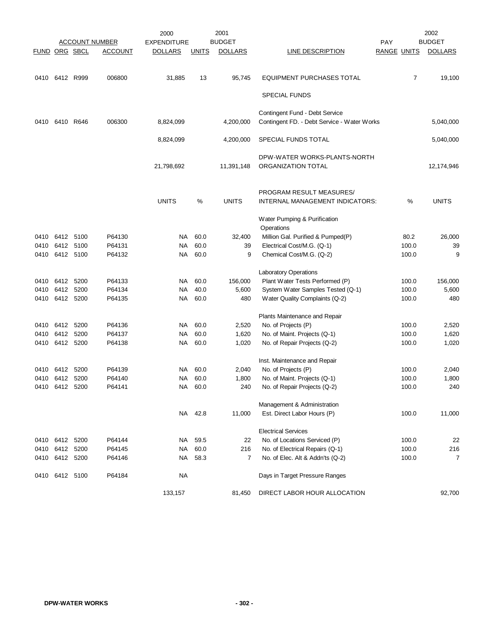|               |                |      | <b>ACCOUNT NUMBER</b> | 2000<br><b>EXPENDITURE</b> |              | 2001<br><b>BUDGET</b> |                                             | <b>PAY</b>         |       | 2002<br><b>BUDGET</b> |
|---------------|----------------|------|-----------------------|----------------------------|--------------|-----------------------|---------------------------------------------|--------------------|-------|-----------------------|
| FUND ORG SBCL |                |      | <b>ACCOUNT</b>        | <b>DOLLARS</b>             | <b>UNITS</b> | <b>DOLLARS</b>        | <b>LINE DESCRIPTION</b>                     | <b>RANGE UNITS</b> |       | <b>DOLLARS</b>        |
|               |                |      |                       |                            |              |                       |                                             |                    |       |                       |
| 0410          | 6412 R999      |      | 006800                | 31,885                     | 13           | 95,745                | <b>EQUIPMENT PURCHASES TOTAL</b>            |                    | 7     | 19,100                |
|               |                |      |                       |                            |              |                       | <b>SPECIAL FUNDS</b>                        |                    |       |                       |
|               |                |      |                       |                            |              |                       | Contingent Fund - Debt Service              |                    |       |                       |
| 0410          | 6410 R646      |      | 006300                | 8,824,099                  |              | 4,200,000             | Contingent FD. - Debt Service - Water Works |                    |       | 5,040,000             |
|               |                |      |                       | 8,824,099                  |              | 4,200,000             | SPECIAL FUNDS TOTAL                         |                    |       | 5,040,000             |
|               |                |      |                       |                            |              |                       | DPW-WATER WORKS-PLANTS-NORTH                |                    |       |                       |
|               |                |      |                       | 21,798,692                 |              | 11,391,148            | ORGANIZATION TOTAL                          |                    |       | 12,174,946            |
|               |                |      |                       |                            |              |                       | PROGRAM RESULT MEASURES/                    |                    |       |                       |
|               |                |      |                       | <b>UNITS</b>               | %            | <b>UNITS</b>          | INTERNAL MANAGEMENT INDICATORS:             |                    | %     | <b>UNITS</b>          |
|               |                |      |                       |                            |              |                       | Water Pumping & Purification                |                    |       |                       |
|               |                |      |                       |                            |              |                       | Operations                                  |                    |       |                       |
| 0410          | 6412 5100      |      | P64130                | NA.                        | 60.0         | 32,400                | Million Gal. Purified & Pumped(P)           |                    | 80.2  | 26,000                |
| 0410          | 6412 5100      |      | P64131                | NA                         | 60.0         | 39                    | Electrical Cost/M.G. (Q-1)                  |                    | 100.0 | 39                    |
| 0410          | 6412 5100      |      | P64132                | NA                         | 60.0         | 9                     | Chemical Cost/M.G. (Q-2)                    |                    | 100.0 | 9                     |
|               |                |      |                       |                            |              |                       | <b>Laboratory Operations</b>                |                    |       |                       |
| 0410          | 6412           | 5200 | P64133                | NA                         | 60.0         | 156,000               | Plant Water Tests Performed (P)             |                    | 100.0 | 156,000               |
| 0410          | 6412 5200      |      | P64134                | NA                         | 40.0         | 5,600                 | System Water Samples Tested (Q-1)           |                    | 100.0 | 5,600                 |
| 0410          | 6412 5200      |      | P64135                | NA                         | 60.0         | 480                   | Water Quality Complaints (Q-2)              |                    | 100.0 | 480                   |
|               |                |      |                       |                            |              |                       | Plants Maintenance and Repair               |                    |       |                       |
| 0410          | 6412           | 5200 | P64136                | NA.                        | 60.0         | 2,520                 | No. of Projects (P)                         |                    | 100.0 | 2,520                 |
| 0410          | 6412           | 5200 | P64137                | NA.                        | 60.0         | 1,620                 | No. of Maint. Projects (Q-1)                |                    | 100.0 | 1,620                 |
| 0410          | 6412 5200      |      | P64138                | NA                         | 60.0         | 1,020                 | No. of Repair Projects (Q-2)                |                    | 100.0 | 1,020                 |
|               |                |      |                       |                            |              |                       | Inst. Maintenance and Repair                |                    |       |                       |
| 0410          | 6412 5200      |      | P64139                | NA.                        | 60.0         | 2,040                 | No. of Projects (P)                         |                    | 100.0 | 2,040                 |
|               | 0410 6412 5200 |      | P64140                | NA                         | 60.0         | 1,800                 | No. of Maint. Projects (Q-1)                |                    | 100.0 | 1,800                 |
|               | 0410 6412 5200 |      | P64141                |                            | NA 60.0      | 240                   | No. of Repair Projects (Q-2)                |                    | 100.0 | 240                   |
|               |                |      |                       |                            |              |                       | Management & Administration                 |                    |       |                       |
|               |                |      |                       |                            | NA 42.8      | 11,000                | Est. Direct Labor Hours (P)                 |                    | 100.0 | 11,000                |
|               |                |      |                       |                            |              |                       | <b>Electrical Services</b>                  |                    |       |                       |
| 0410          | 6412           | 5200 | P64144                | NA                         | 59.5         | 22                    | No. of Locations Serviced (P)               |                    | 100.0 | 22                    |
| 0410          | 6412           | 5200 | P64145                | <b>NA</b>                  | 60.0         | 216                   | No. of Electrical Repairs (Q-1)             |                    | 100.0 | 216                   |
|               | 0410 6412 5200 |      | P64146                | NA                         | 58.3         | 7                     | No. of Elec. Alt & Addn'ts (Q-2)            |                    | 100.0 | 7                     |
| 0410          | 6412 5100      |      | P64184                | <b>NA</b>                  |              |                       | Days in Target Pressure Ranges              |                    |       |                       |
|               |                |      |                       | 133,157                    |              | 81,450                | DIRECT LABOR HOUR ALLOCATION                |                    |       | 92,700                |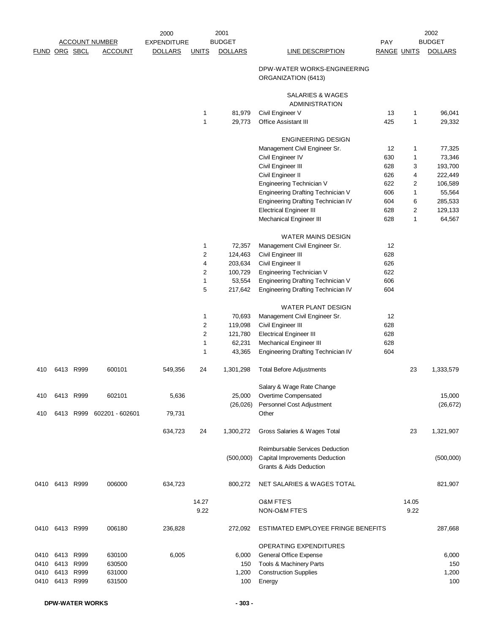|               |                |           | <b>ACCOUNT NUMBER</b> | 2000<br><b>EXPENDITURE</b> |                | 2001<br><b>BUDGET</b> |                                                                                              | <b>PAY</b>         |                | 2002<br><b>BUDGET</b> |
|---------------|----------------|-----------|-----------------------|----------------------------|----------------|-----------------------|----------------------------------------------------------------------------------------------|--------------------|----------------|-----------------------|
| FUND ORG SBCL |                |           | <b>ACCOUNT</b>        | <b>DOLLARS</b>             | <b>UNITS</b>   | <b>DOLLARS</b>        | <b>LINE DESCRIPTION</b>                                                                      | <b>RANGE UNITS</b> |                | <b>DOLLARS</b>        |
|               |                |           |                       |                            |                |                       | DPW-WATER WORKS-ENGINEERING<br>ORGANIZATION (6413)                                           |                    |                |                       |
|               |                |           |                       |                            |                |                       | SALARIES & WAGES<br><b>ADMINISTRATION</b>                                                    |                    |                |                       |
|               |                |           |                       |                            | 1              | 81,979                | Civil Engineer V                                                                             | 13                 | 1              | 96,041                |
|               |                |           |                       |                            | $\mathbf{1}$   | 29,773                | Office Assistant III                                                                         | 425                | $\mathbf{1}$   | 29,332                |
|               |                |           |                       |                            |                |                       | <b>ENGINEERING DESIGN</b>                                                                    |                    |                |                       |
|               |                |           |                       |                            |                |                       | Management Civil Engineer Sr.                                                                | 12                 | 1              | 77,325                |
|               |                |           |                       |                            |                |                       | Civil Engineer IV                                                                            | 630                | 1              | 73,346                |
|               |                |           |                       |                            |                |                       | Civil Engineer III                                                                           | 628                | 3              | 193,700               |
|               |                |           |                       |                            |                |                       | Civil Engineer II                                                                            | 626                | 4              | 222,449               |
|               |                |           |                       |                            |                |                       | Engineering Technician V                                                                     | 622                | $\overline{2}$ | 106,589               |
|               |                |           |                       |                            |                |                       | <b>Engineering Drafting Technician V</b>                                                     | 606                | 1              | 55,564                |
|               |                |           |                       |                            |                |                       | Engineering Drafting Technician IV                                                           | 604                | 6              | 285,533               |
|               |                |           |                       |                            |                |                       | <b>Electrical Engineer III</b>                                                               | 628                | 2              | 129,133               |
|               |                |           |                       |                            |                |                       | Mechanical Engineer III                                                                      | 628                | $\mathbf{1}$   | 64,567                |
|               |                |           |                       |                            |                |                       | <b>WATER MAINS DESIGN</b>                                                                    |                    |                |                       |
|               |                |           |                       |                            | 1              | 72,357                | Management Civil Engineer Sr.                                                                | 12                 |                |                       |
|               |                |           |                       |                            | $\overline{c}$ | 124,463               | Civil Engineer III                                                                           | 628                |                |                       |
|               |                |           |                       |                            | 4              | 203,634               | Civil Engineer II                                                                            | 626                |                |                       |
|               |                |           |                       |                            | 2              | 100,729               | Engineering Technician V                                                                     | 622                |                |                       |
|               |                |           |                       |                            | 1              | 53,554                | Engineering Drafting Technician V                                                            | 606                |                |                       |
|               |                |           |                       |                            | 5              | 217,642               | Engineering Drafting Technician IV                                                           | 604                |                |                       |
|               |                |           |                       |                            |                |                       | WATER PLANT DESIGN                                                                           |                    |                |                       |
|               |                |           |                       |                            | 1              | 70,693                | Management Civil Engineer Sr.                                                                | 12                 |                |                       |
|               |                |           |                       |                            | 2              | 119,098               | Civil Engineer III                                                                           | 628                |                |                       |
|               |                |           |                       |                            | $\sqrt{2}$     | 121,780               | <b>Electrical Engineer III</b>                                                               | 628                |                |                       |
|               |                |           |                       |                            | $\mathbf{1}$   | 62,231                | Mechanical Engineer III                                                                      | 628                |                |                       |
|               |                |           |                       |                            | 1              | 43,365                | <b>Engineering Drafting Technician IV</b>                                                    | 604                |                |                       |
| 410           |                | 6413 R999 | 600101                | 549,356                    | 24             | 1,301,298             | <b>Total Before Adjustments</b>                                                              |                    | 23             | 1,333,579             |
|               |                |           |                       |                            |                |                       | Salary & Wage Rate Change                                                                    |                    |                |                       |
| 410           |                | 6413 R999 | 602101                | 5,636                      |                | 25,000                | Overtime Compensated                                                                         |                    |                | 15,000                |
| 410           |                | 6413 R999 | 602201 - 602601       | 79,731                     |                | (26, 026)             | Personnel Cost Adjustment<br>Other                                                           |                    |                | (26, 672)             |
|               |                |           |                       | 634,723                    | 24             | 1,300,272             | Gross Salaries & Wages Total                                                                 |                    | 23             | 1,321,907             |
|               |                |           |                       |                            |                |                       |                                                                                              |                    |                |                       |
|               |                |           |                       |                            |                | (500,000)             | Reimbursable Services Deduction<br>Capital Improvements Deduction<br>Grants & Aids Deduction |                    |                | (500,000)             |
|               | 0410 6413 R999 |           | 006000                | 634,723                    |                | 800,272               | NET SALARIES & WAGES TOTAL                                                                   |                    |                | 821,907               |
|               |                |           |                       |                            | 14.27          |                       | <b>O&amp;M FTE'S</b>                                                                         |                    | 14.05          |                       |
|               |                |           |                       |                            | 9.22           |                       | NON-O&M FTE'S                                                                                |                    | 9.22           |                       |
|               | 0410 6413 R999 |           | 006180                | 236,828                    |                | 272,092               | ESTIMATED EMPLOYEE FRINGE BENEFITS                                                           |                    |                | 287,668               |
|               |                |           |                       |                            |                |                       | OPERATING EXPENDITURES                                                                       |                    |                |                       |
| 0410          |                | 6413 R999 | 630100                | 6,005                      |                | 6,000                 | General Office Expense                                                                       |                    |                | 6,000                 |
| 0410          | 6413 R999      |           | 630500                |                            |                | 150                   | Tools & Machinery Parts                                                                      |                    |                | 150                   |
| 0410          |                | 6413 R999 | 631000                |                            |                | 1,200                 | <b>Construction Supplies</b>                                                                 |                    |                | 1,200                 |
| 0410          |                | 6413 R999 | 631500                |                            |                | 100                   | Energy                                                                                       |                    |                | 100                   |
|               |                |           |                       |                            |                |                       |                                                                                              |                    |                |                       |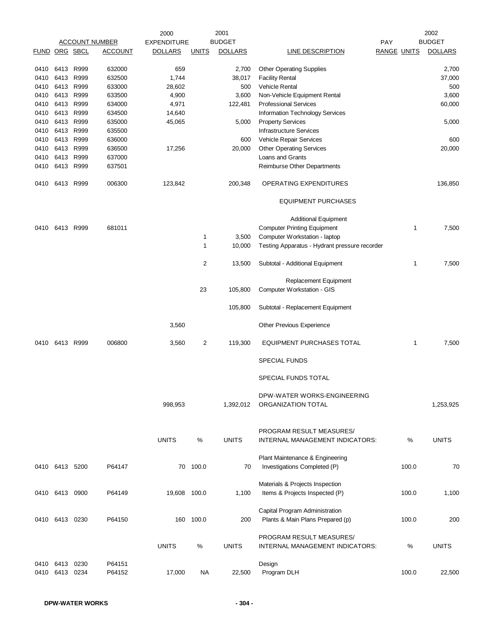|               |                |      |                       | 2000               |              | 2001           |                                               |                    |       | 2002           |
|---------------|----------------|------|-----------------------|--------------------|--------------|----------------|-----------------------------------------------|--------------------|-------|----------------|
|               |                |      | <u>ACCOUNT NUMBER</u> | <b>EXPENDITURE</b> |              | <b>BUDGET</b>  |                                               | <b>PAY</b>         |       | <b>BUDGET</b>  |
| FUND ORG SBCL |                |      | <b>ACCOUNT</b>        | <b>DOLLARS</b>     | <b>UNITS</b> | <b>DOLLARS</b> | <b>LINE DESCRIPTION</b>                       | <b>RANGE UNITS</b> |       | <b>DOLLARS</b> |
|               |                |      |                       |                    |              |                |                                               |                    |       |                |
| 0410          | 6413 R999      |      | 632000                | 659                |              | 2,700          | <b>Other Operating Supplies</b>               |                    |       | 2,700          |
| 0410          | 6413           | R999 | 632500                | 1,744              |              | 38,017         | <b>Facility Rental</b>                        |                    |       | 37,000         |
| 0410          | 6413           | R999 | 633000                | 28,602             |              | 500            | <b>Vehicle Rental</b>                         |                    |       | 500            |
| 0410          | 6413           | R999 | 633500                | 4,900              |              | 3,600          | Non-Vehicle Equipment Rental                  |                    |       | 3,600          |
| 0410          | 6413           | R999 | 634000                | 4,971              |              | 122,481        | <b>Professional Services</b>                  |                    |       | 60,000         |
| 0410          | 6413           | R999 | 634500                | 14,640             |              |                | <b>Information Technology Services</b>        |                    |       |                |
| 0410          | 6413 R999      |      | 635000                | 45,065             |              | 5,000          | <b>Property Services</b>                      |                    |       | 5,000          |
| 0410          | 6413 R999      |      | 635500                |                    |              |                | <b>Infrastructure Services</b>                |                    |       |                |
| 0410          | 6413           | R999 | 636000                |                    |              | 600            | Vehicle Repair Services                       |                    |       | 600            |
| 0410          | 6413 R999      |      | 636500                | 17,256             |              | 20,000         | <b>Other Operating Services</b>               |                    |       | 20,000         |
| 0410          | 6413           | R999 | 637000                |                    |              |                | Loans and Grants                              |                    |       |                |
| 0410          | 6413 R999      |      | 637501                |                    |              |                | Reimburse Other Departments                   |                    |       |                |
|               |                |      |                       |                    |              |                |                                               |                    |       |                |
| 0410          | 6413 R999      |      | 006300                | 123,842            |              | 200,348        | OPERATING EXPENDITURES                        |                    |       | 136,850        |
|               |                |      |                       |                    |              |                | <b>EQUIPMENT PURCHASES</b>                    |                    |       |                |
|               |                |      |                       |                    |              |                | <b>Additional Equipment</b>                   |                    |       |                |
| 0410          | 6413 R999      |      | 681011                |                    |              |                | <b>Computer Printing Equipment</b>            |                    | 1     | 7,500          |
|               |                |      |                       |                    |              |                |                                               |                    |       |                |
|               |                |      |                       |                    | 1            | 3,500          | Computer Workstation - laptop                 |                    |       |                |
|               |                |      |                       |                    | 1            | 10,000         | Testing Apparatus - Hydrant pressure recorder |                    |       |                |
|               |                |      |                       |                    | 2            | 13,500         | Subtotal - Additional Equipment               |                    | 1     | 7,500          |
|               |                |      |                       |                    |              |                | Replacement Equipment                         |                    |       |                |
|               |                |      |                       |                    | 23           | 105,800        | Computer Workstation - GIS                    |                    |       |                |
|               |                |      |                       |                    |              | 105,800        | Subtotal - Replacement Equipment              |                    |       |                |
|               |                |      |                       | 3,560              |              |                | Other Previous Experience                     |                    |       |                |
| 0410          | 6413 R999      |      | 006800                | 3,560              | 2            | 119,300        | EQUIPMENT PURCHASES TOTAL                     |                    | 1     | 7,500          |
|               |                |      |                       |                    |              |                | <b>SPECIAL FUNDS</b>                          |                    |       |                |
|               |                |      |                       |                    |              |                | SPECIAL FUNDS TOTAL                           |                    |       |                |
|               |                |      |                       |                    |              |                | DPW-WATER WORKS-ENGINEERING                   |                    |       |                |
|               |                |      |                       | 998,953            |              | 1,392,012      | ORGANIZATION TOTAL                            |                    |       | 1,253,925      |
|               |                |      |                       |                    |              |                |                                               |                    |       |                |
|               |                |      |                       |                    |              |                | PROGRAM RESULT MEASURES/                      |                    |       |                |
|               |                |      |                       | <b>UNITS</b>       |              | <b>UNITS</b>   | INTERNAL MANAGEMENT INDICATORS:               |                    |       | <b>UNITS</b>   |
|               |                |      |                       |                    | $\%$         |                |                                               |                    | %     |                |
|               |                |      |                       |                    |              |                |                                               |                    |       |                |
|               |                |      |                       |                    |              |                | Plant Maintenance & Engineering               |                    |       |                |
|               | 0410 6413 5200 |      | P64147                | 70                 | 100.0        | 70             | Investigations Completed (P)                  |                    | 100.0 | 70             |
|               |                |      |                       |                    |              |                | Materials & Projects Inspection               |                    |       |                |
|               | 0410 6413 0900 |      | P64149                | 19,608 100.0       |              | 1,100          | Items & Projects Inspected (P)                |                    | 100.0 | 1,100          |
|               |                |      |                       |                    |              |                |                                               |                    |       |                |
|               |                |      |                       |                    |              |                | Capital Program Administration                |                    |       |                |
|               |                |      |                       |                    | 100.0        |                |                                               |                    |       |                |
| 0410          | 6413 0230      |      | P64150                | 160                |              | 200            | Plants & Main Plans Prepared (p)              |                    | 100.0 | 200            |
|               |                |      |                       |                    |              |                | PROGRAM RESULT MEASURES/                      |                    |       |                |
|               |                |      |                       | <b>UNITS</b>       |              | <b>UNITS</b>   |                                               |                    |       | <b>UNITS</b>   |
|               |                |      |                       |                    | %            |                | INTERNAL MANAGEMENT INDICATORS:               |                    | %     |                |
|               |                |      |                       |                    |              |                |                                               |                    |       |                |
| 0410          | 6413           | 0230 | P64151                |                    |              |                | Design                                        |                    |       |                |
| 0410          | 6413           | 0234 | P64152                | 17,000             | NA           | 22,500         | Program DLH                                   |                    | 100.0 | 22,500         |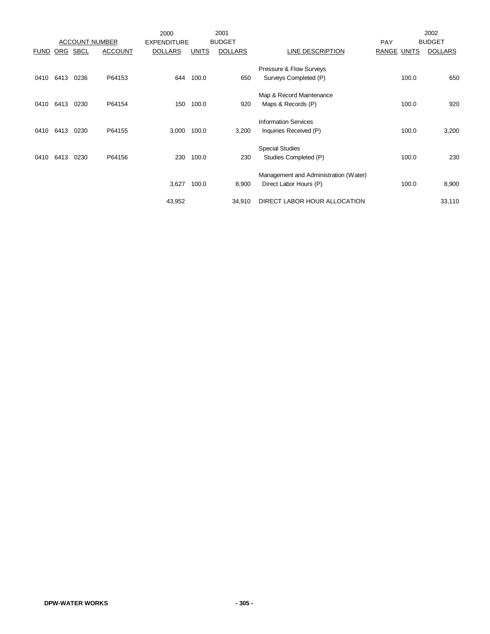|             |      |             |                       | 2000               |              | 2001           |                                       |                    |       | 2002           |
|-------------|------|-------------|-----------------------|--------------------|--------------|----------------|---------------------------------------|--------------------|-------|----------------|
|             |      |             | <b>ACCOUNT NUMBER</b> | <b>EXPENDITURE</b> |              | <b>BUDGET</b>  |                                       | PAY                |       | <b>BUDGET</b>  |
| <b>FUND</b> | ORG  | <b>SBCL</b> | <b>ACCOUNT</b>        | <b>DOLLARS</b>     | <b>UNITS</b> | <b>DOLLARS</b> | LINE DESCRIPTION                      | <b>RANGE UNITS</b> |       | <b>DOLLARS</b> |
|             |      |             |                       |                    |              |                |                                       |                    |       |                |
|             |      |             |                       |                    |              |                | Pressure & Flow Surveys               |                    |       |                |
| 0410        | 6413 | 0236        | P64153                | 644                | 100.0        | 650            | Surveys Completed (P)                 |                    | 100.0 | 650            |
|             |      |             |                       |                    |              |                |                                       |                    |       |                |
|             |      |             |                       |                    |              |                | Map & Record Maintenance              |                    |       |                |
| 0410        | 6413 | 0230        | P64154                | 150                | 100.0        | 920            | Maps & Records (P)                    |                    | 100.0 | 920            |
|             |      |             |                       |                    |              |                |                                       |                    |       |                |
|             |      |             |                       |                    |              |                | <b>Information Services</b>           |                    |       |                |
| 0410        | 6413 | 0230        | P64155                | 3,000              | 100.0        | 3,200          | Inquiries Received (P)                |                    | 100.0 | 3,200          |
|             |      |             |                       |                    |              |                |                                       |                    |       |                |
|             |      |             |                       |                    |              |                | <b>Special Studies</b>                |                    |       |                |
| 0410        | 6413 | 0230        | P64156                | 230                | 100.0        | 230            | Studies Completed (P)                 |                    | 100.0 | 230            |
|             |      |             |                       |                    |              |                |                                       |                    |       |                |
|             |      |             |                       |                    |              |                | Management and Administration (Water) |                    |       |                |
|             |      |             |                       | 3,627              | 100.0        | 8,900          | Direct Labor Hours (P)                |                    | 100.0 | 8,900          |
|             |      |             |                       |                    |              |                |                                       |                    |       |                |
|             |      |             |                       | 43,952             |              | 34,910         | DIRECT LABOR HOUR ALLOCATION          |                    |       | 33,110         |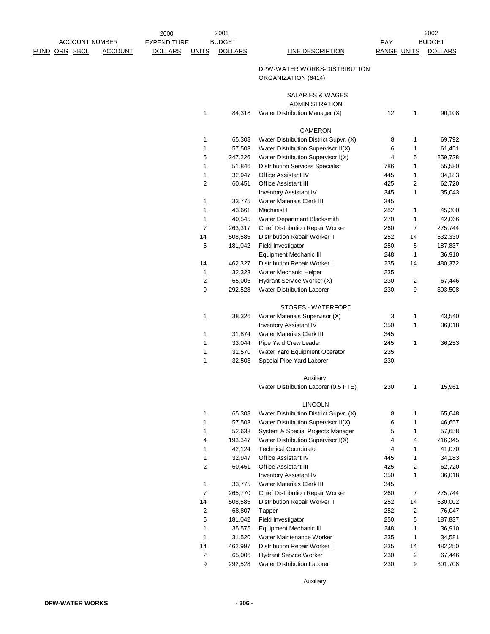| 2000               |                         | 2001              |                                                             |                    |                              | 2002              |
|--------------------|-------------------------|-------------------|-------------------------------------------------------------|--------------------|------------------------------|-------------------|
| <b>EXPENDITURE</b> |                         | <b>BUDGET</b>     |                                                             | <b>PAY</b>         |                              | <b>BUDGET</b>     |
| <u>DOLLARS</u>     | <u>UNITS</u>            | <b>DOLLARS</b>    | <b>LINE DESCRIPTION</b>                                     | <u>RANGE UNITS</u> |                              | <b>DOLLARS</b>    |
|                    |                         |                   | DPW-WATER WORKS-DISTRIBUTION<br>ORGANIZATION (6414)         |                    |                              |                   |
|                    |                         |                   | SALARIES & WAGES<br>ADMINISTRATION                          |                    |                              |                   |
|                    | 1                       | 84,318            | Water Distribution Manager (X)                              | 12                 | 1                            | 90,108            |
|                    |                         |                   | CAMERON                                                     |                    |                              |                   |
|                    | 1                       | 65,308            | Water Distribution District Supvr. (X)                      | 8                  | 1                            | 69,792            |
|                    | 1                       | 57,503            | Water Distribution Supervisor II(X)                         | 6                  | 1                            | 61,451            |
|                    | 5                       | 247,226           | Water Distribution Supervisor I(X)                          | 4                  | 5                            | 259,728           |
|                    | 1                       | 51,846            | <b>Distribution Services Specialist</b>                     | 786                | 1                            | 55,580            |
|                    | 1                       | 32,947            | Office Assistant IV                                         | 445                | 1                            | 34,183            |
|                    | 2                       | 60,451            | <b>Office Assistant III</b>                                 | 425                | 2                            | 62,720            |
|                    |                         |                   | Inventory Assistant IV                                      | 345                | 1                            | 35,043            |
|                    | 1                       | 33,775            | Water Materials Clerk III                                   | 345                |                              |                   |
|                    | 1                       | 43,661            | Machinist I                                                 | 282                | 1                            | 45,300            |
|                    | 1                       | 40,545            | Water Department Blacksmith                                 | 270                | 1                            | 42,066            |
|                    | 7                       | 263,317           | Chief Distribution Repair Worker                            | 260                | 7                            | 275,744           |
|                    | 14                      | 508,585           | Distribution Repair Worker II                               | 252                | 14                           | 532,330           |
|                    | 5                       | 181,042           | Field Investigator                                          | 250                | 5                            | 187,837           |
|                    |                         |                   | Equipment Mechanic III                                      | 248                | 1                            | 36,910            |
|                    | 14                      | 462,327           | Distribution Repair Worker I                                | 235                | 14                           | 480,372           |
|                    | 1                       | 32,323            | Water Mechanic Helper                                       | 235                |                              |                   |
|                    | 2                       | 65,006            | Hydrant Service Worker (X)                                  | 230                | 2                            | 67,446            |
|                    | 9                       | 292,528           | Water Distribution Laborer                                  | 230                | 9                            | 303,508           |
|                    |                         |                   | STORES - WATERFORD                                          |                    |                              |                   |
|                    | 1                       | 38,326            | Water Materials Supervisor (X)                              | 3                  | 1                            | 43,540            |
|                    |                         |                   | <b>Inventory Assistant IV</b>                               | 350                | 1                            | 36,018            |
|                    | 1                       | 31,874            | Water Materials Clerk III                                   | 345                |                              |                   |
|                    | 1                       | 33,044            | Pipe Yard Crew Leader                                       | 245                | 1                            | 36,253            |
|                    | 1                       | 31,570            | Water Yard Equipment Operator                               | 235                |                              |                   |
|                    | 1                       | 32,503            | Special Pipe Yard Laborer                                   | 230                |                              |                   |
|                    |                         |                   | Auxiliary                                                   |                    |                              |                   |
|                    |                         |                   | Water Distribution Laborer (0.5 FTE)                        | 230                |                              | 15,961            |
|                    |                         |                   | <b>LINCOLN</b>                                              |                    |                              |                   |
|                    | 1                       | 65,308            | Water Distribution District Supvr. (X)                      | 8                  | 1                            | 65,648            |
|                    | 1                       | 57,503            | Water Distribution Supervisor II(X)                         | 6                  | 1                            | 46,657            |
|                    | 1                       | 52,638            | System & Special Projects Manager                           | 5                  | 1                            | 57,658            |
|                    | 4                       | 193,347           | Water Distribution Supervisor I(X)                          | 4                  | 4                            | 216,345           |
|                    | 1                       | 42,124            | <b>Technical Coordinator</b>                                | 4                  | 1                            | 41,070            |
|                    | 1                       | 32,947            | <b>Office Assistant IV</b>                                  | 445                | 1                            | 34,183            |
|                    | $\overline{\mathbf{c}}$ | 60,451            | <b>Office Assistant III</b>                                 | 425                | $\overline{c}$               | 62,720            |
|                    |                         |                   | Inventory Assistant IV                                      | 350                | 1                            | 36,018            |
|                    | 1                       | 33,775            | Water Materials Clerk III                                   | 345                |                              |                   |
|                    | $\overline{7}$          | 265,770           | Chief Distribution Repair Worker                            | 260                | 7                            | 275,744           |
|                    | 14                      | 508,585           | Distribution Repair Worker II                               | 252                | 14                           | 530,002           |
|                    | $\overline{c}$          | 68,807            | Tapper                                                      | 252                | 2                            | 76,047            |
|                    | 5                       | 181,042           | Field Investigator                                          | 250                | 5                            | 187,837           |
|                    | 1                       | 35,575            | Equipment Mechanic III                                      | 248                | 1                            | 36,910            |
|                    | 1                       | 31,520            | Water Maintenance Worker                                    | 235                | 1                            | 34,581            |
|                    | 14                      | 462,997           | Distribution Repair Worker I                                | 235                | 14                           | 482,250           |
|                    | 2<br>9                  | 65,006<br>292,528 | <b>Hydrant Service Worker</b><br>Water Distribution Laborer | 230<br>230         | $\overline{\mathbf{c}}$<br>9 | 67,446<br>301,708 |
|                    |                         |                   |                                                             |                    |                              |                   |

Auxiliary

FUND ORG SBCL ACCOUNT ACCOUNT NUMBER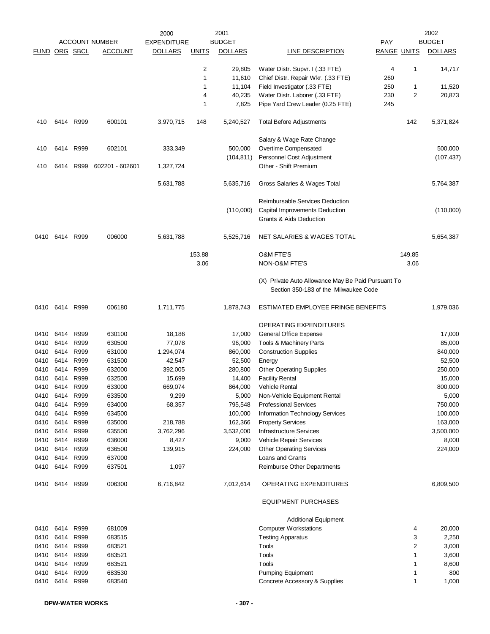|               |                |           |                       | 2000               |              | 2001           |                                                                                             |                    |                | 2002           |
|---------------|----------------|-----------|-----------------------|--------------------|--------------|----------------|---------------------------------------------------------------------------------------------|--------------------|----------------|----------------|
|               |                |           | <b>ACCOUNT NUMBER</b> | <b>EXPENDITURE</b> |              | <b>BUDGET</b>  |                                                                                             | <b>PAY</b>         |                | <b>BUDGET</b>  |
| FUND ORG SBCL |                |           | <b>ACCOUNT</b>        | <b>DOLLARS</b>     | <b>UNITS</b> | <b>DOLLARS</b> | <b>LINE DESCRIPTION</b>                                                                     | <b>RANGE UNITS</b> |                | <b>DOLLARS</b> |
|               |                |           |                       |                    | 2            | 29,805         | Water Distr. Supvr. I (.33 FTE)                                                             | 4                  | 1              | 14,717         |
|               |                |           |                       |                    | $\mathbf{1}$ | 11,610         | Chief Distr. Repair Wkr. (.33 FTE)                                                          | 260                |                |                |
|               |                |           |                       |                    | 1            | 11,104         | Field Investigator (.33 FTE)                                                                | 250                | 1              | 11,520         |
|               |                |           |                       |                    | 4            | 40,235         | Water Distr. Laborer (.33 FTE)                                                              | 230                | $\overline{2}$ | 20,873         |
|               |                |           |                       |                    | 1            | 7,825          | Pipe Yard Crew Leader (0.25 FTE)                                                            | 245                |                |                |
| 410           |                | 6414 R999 | 600101                | 3,970,715          | 148          | 5,240,527      | <b>Total Before Adjustments</b>                                                             |                    | 142            | 5,371,824      |
|               |                |           |                       |                    |              |                | Salary & Wage Rate Change                                                                   |                    |                |                |
| 410           | 6414           | R999      | 602101                | 333,349            |              | 500,000        | Overtime Compensated                                                                        |                    |                | 500,000        |
|               |                |           |                       |                    |              | (104, 811)     | Personnel Cost Adjustment                                                                   |                    |                | (107, 437)     |
| 410           | 6414           | R999      | 602201 - 602601       | 1,327,724          |              |                | Other - Shift Premium                                                                       |                    |                |                |
|               |                |           |                       | 5,631,788          |              | 5,635,716      | Gross Salaries & Wages Total                                                                |                    |                | 5,764,387      |
|               |                |           |                       |                    |              |                | Reimbursable Services Deduction                                                             |                    |                |                |
|               |                |           |                       |                    |              | (110,000)      | Capital Improvements Deduction                                                              |                    |                | (110,000)      |
|               |                |           |                       |                    |              |                | Grants & Aids Deduction                                                                     |                    |                |                |
| 0410          | 6414           | R999      | 006000                | 5,631,788          |              | 5,525,716      | NET SALARIES & WAGES TOTAL                                                                  |                    |                | 5,654,387      |
|               |                |           |                       |                    | 153.88       |                | <b>O&amp;M FTE'S</b>                                                                        |                    | 149.85         |                |
|               |                |           |                       |                    | 3.06         |                | NON-O&M FTE'S                                                                               |                    | 3.06           |                |
|               |                |           |                       |                    |              |                | (X) Private Auto Allowance May Be Paid Pursuant To<br>Section 350-183 of the Milwaukee Code |                    |                |                |
| 0410          |                | 6414 R999 | 006180                | 1,711,775          |              | 1,878,743      | ESTIMATED EMPLOYEE FRINGE BENEFITS                                                          |                    |                | 1,979,036      |
|               |                |           |                       |                    |              |                | OPERATING EXPENDITURES                                                                      |                    |                |                |
| 0410          | 6414           | R999      | 630100                | 18,186             |              | 17,000         | General Office Expense                                                                      |                    |                | 17,000         |
| 0410          | 6414           | R999      | 630500                | 77,078             |              | 96,000         | Tools & Machinery Parts                                                                     |                    |                | 85,000         |
| 0410          | 6414           | R999      | 631000                | 1,294,074          |              | 860,000        | <b>Construction Supplies</b>                                                                |                    |                | 840,000        |
| 0410          | 6414           | R999      | 631500                | 42,547             |              | 52,500         | Energy                                                                                      |                    |                | 52,500         |
| 0410          | 6414           | R999      | 632000                | 392,005            |              | 280,800        | <b>Other Operating Supplies</b>                                                             |                    |                | 250,000        |
| 0410          | 6414           | R999      | 632500                | 15,699             |              | 14,400         | <b>Facility Rental</b>                                                                      |                    |                | 15,000         |
| 0410          | 6414           | R999      | 633000                | 669,074            |              | 864,000        | Vehicle Rental                                                                              |                    |                | 800,000        |
| 0410          | 6414 R999      |           | 633500                | 9,299              |              | 5,000          | Non-Vehicle Equipment Rental                                                                |                    |                | 5,000          |
| 0410          | 6414           | R999      | 634000                | 68,357             |              | 795,548        | <b>Professional Services</b>                                                                |                    |                | 750,000        |
| 0410          | 6414           | R999      | 634500                |                    |              | 100,000        | Information Technology Services                                                             |                    |                | 100,000        |
| 0410          | 6414           | R999      | 635000                | 218,788            |              | 162,366        | <b>Property Services</b>                                                                    |                    |                | 163,000        |
| 0410          | 6414           | R999      | 635500                | 3,762,296          |              | 3,532,000      | <b>Infrastructure Services</b>                                                              |                    |                | 3,500,000      |
| 0410          | 6414           | R999      | 636000                | 8,427              |              | 9,000          | Vehicle Repair Services                                                                     |                    |                | 8,000          |
| 0410          | 6414 R999      |           | 636500                | 139,915            |              | 224,000        | <b>Other Operating Services</b>                                                             |                    |                | 224,000        |
| 0410          | 6414           | R999      | 637000                |                    |              |                | Loans and Grants                                                                            |                    |                |                |
| 0410          | 6414 R999      |           | 637501                | 1,097              |              |                | Reimburse Other Departments                                                                 |                    |                |                |
|               | 0410 6414 R999 |           | 006300                | 6,716,842          |              | 7,012,614      | OPERATING EXPENDITURES                                                                      |                    |                | 6,809,500      |
|               |                |           |                       |                    |              |                | <b>EQUIPMENT PURCHASES</b>                                                                  |                    |                |                |
|               |                |           |                       |                    |              |                | <b>Additional Equipment</b>                                                                 |                    |                |                |
| 0410          |                | 6414 R999 | 681009                |                    |              |                | <b>Computer Workstations</b>                                                                |                    | 4              | 20,000         |
| 0410          | 6414           | R999      | 683515                |                    |              |                | <b>Testing Apparatus</b>                                                                    |                    | 3              | 2,250          |
| 0410          | 6414           | R999      | 683521                |                    |              |                | Tools                                                                                       |                    | 2              | 3,000          |
| 0410          |                | 6414 R999 | 683521                |                    |              |                | Tools                                                                                       |                    | 1              | 3,600          |
| 0410          | 6414 R999      |           | 683521                |                    |              |                | Tools                                                                                       |                    |                | 8,600          |
| 0410          | 6414           | R999      | 683530                |                    |              |                | <b>Pumping Equipment</b>                                                                    |                    | 1              | 800            |
| 0410          | 6414           | R999      | 683540                |                    |              |                | Concrete Accessory & Supplies                                                               |                    | 1              | 1,000          |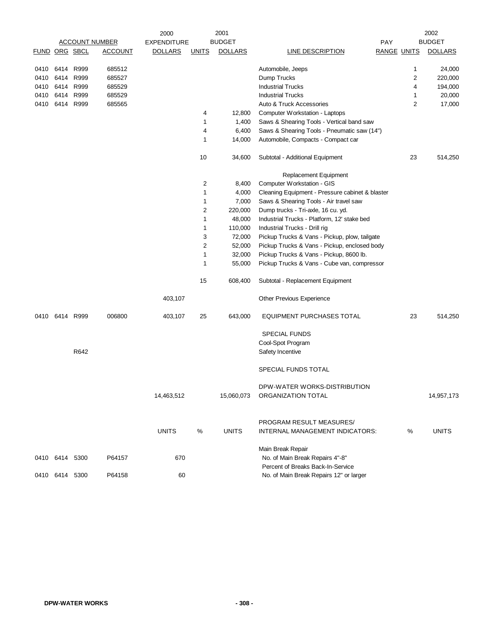|      |                      |           |                       | 2000               |              | 2001           |                                                 |     |                    | 2002           |
|------|----------------------|-----------|-----------------------|--------------------|--------------|----------------|-------------------------------------------------|-----|--------------------|----------------|
|      |                      |           | <b>ACCOUNT NUMBER</b> | <b>EXPENDITURE</b> |              | <b>BUDGET</b>  |                                                 | PAY |                    | <b>BUDGET</b>  |
|      | <b>FUND ORG SBCL</b> |           | <b>ACCOUNT</b>        | <b>DOLLARS</b>     | <b>UNITS</b> | <b>DOLLARS</b> | <b>LINE DESCRIPTION</b>                         |     | <b>RANGE UNITS</b> | <b>DOLLARS</b> |
|      |                      |           |                       |                    |              |                |                                                 |     |                    |                |
| 0410 |                      | 6414 R999 | 685512                |                    |              |                | Automobile, Jeeps                               |     | 1                  | 24,000         |
| 0410 |                      | 6414 R999 | 685527                |                    |              |                | Dump Trucks                                     |     | 2                  | 220,000        |
| 0410 |                      | 6414 R999 | 685529                |                    |              |                | <b>Industrial Trucks</b>                        |     | 4                  | 194,000        |
| 0410 |                      | 6414 R999 | 685529                |                    |              |                | <b>Industrial Trucks</b>                        |     | 1                  | 20,000         |
| 0410 |                      | 6414 R999 | 685565                |                    |              |                | Auto & Truck Accessories                        |     | 2                  | 17,000         |
|      |                      |           |                       |                    | 4            | 12,800         | Computer Workstation - Laptops                  |     |                    |                |
|      |                      |           |                       |                    | 1            | 1,400          | Saws & Shearing Tools - Vertical band saw       |     |                    |                |
|      |                      |           |                       |                    | 4            | 6,400          | Saws & Shearing Tools - Pneumatic saw (14")     |     |                    |                |
|      |                      |           |                       |                    | 1            | 14,000         | Automobile, Compacts - Compact car              |     |                    |                |
|      |                      |           |                       |                    | 10           | 34,600         | Subtotal - Additional Equipment                 |     | 23                 | 514,250        |
|      |                      |           |                       |                    |              |                | Replacement Equipment                           |     |                    |                |
|      |                      |           |                       |                    | 2            | 8,400          | Computer Workstation - GIS                      |     |                    |                |
|      |                      |           |                       |                    | 1            | 4,000          | Cleaning Equipment - Pressure cabinet & blaster |     |                    |                |
|      |                      |           |                       |                    | 1            | 7,000          | Saws & Shearing Tools - Air travel saw          |     |                    |                |
|      |                      |           |                       |                    | 2            | 220,000        | Dump trucks - Tri-axle, 16 cu. yd.              |     |                    |                |
|      |                      |           |                       |                    | 1            | 48,000         | Industrial Trucks - Platform, 12' stake bed     |     |                    |                |
|      |                      |           |                       |                    | 1            | 110,000        | Industrial Trucks - Drill rig                   |     |                    |                |
|      |                      |           |                       |                    | 3            | 72,000         | Pickup Trucks & Vans - Pickup, plow, tailgate   |     |                    |                |
|      |                      |           |                       |                    | 2            | 52,000         | Pickup Trucks & Vans - Pickup, enclosed body    |     |                    |                |
|      |                      |           |                       |                    | 1            | 32,000         | Pickup Trucks & Vans - Pickup, 8600 lb.         |     |                    |                |
|      |                      |           |                       |                    | 1            | 55,000         | Pickup Trucks & Vans - Cube van, compressor     |     |                    |                |
|      |                      |           |                       |                    | 15           | 608,400        | Subtotal - Replacement Equipment                |     |                    |                |
|      |                      |           |                       | 403,107            |              |                | Other Previous Experience                       |     |                    |                |
| 0410 | 6414 R999            |           | 006800                | 403,107            | 25           | 643,000        | <b>EQUIPMENT PURCHASES TOTAL</b>                |     | 23                 | 514,250        |
|      |                      |           |                       |                    |              |                | <b>SPECIAL FUNDS</b>                            |     |                    |                |
|      |                      |           |                       |                    |              |                | Cool-Spot Program                               |     |                    |                |
|      |                      | R642      |                       |                    |              |                | Safety Incentive                                |     |                    |                |
|      |                      |           |                       |                    |              |                | SPECIAL FUNDS TOTAL                             |     |                    |                |
|      |                      |           |                       |                    |              |                | DPW-WATER WORKS-DISTRIBUTION                    |     |                    |                |
|      |                      |           |                       | 14,463,512         |              | 15,060,073     | ORGANIZATION TOTAL                              |     |                    | 14,957,173     |
|      |                      |           |                       |                    |              |                | PROGRAM RESULT MEASURES/                        |     |                    |                |
|      |                      |           |                       | <b>UNITS</b>       | $\%$         | <b>UNITS</b>   | INTERNAL MANAGEMENT INDICATORS:                 |     | %                  | <b>UNITS</b>   |
|      |                      |           |                       |                    |              |                | Main Break Repair                               |     |                    |                |
|      | 0410 6414 5300       |           | P64157                | 670                |              |                | No. of Main Break Repairs 4"-8"                 |     |                    |                |
|      |                      |           |                       |                    |              |                | Percent of Breaks Back-In-Service               |     |                    |                |
|      | 0410 6414 5300       |           | P64158                | 60                 |              |                | No. of Main Break Repairs 12" or larger         |     |                    |                |
|      |                      |           |                       |                    |              |                |                                                 |     |                    |                |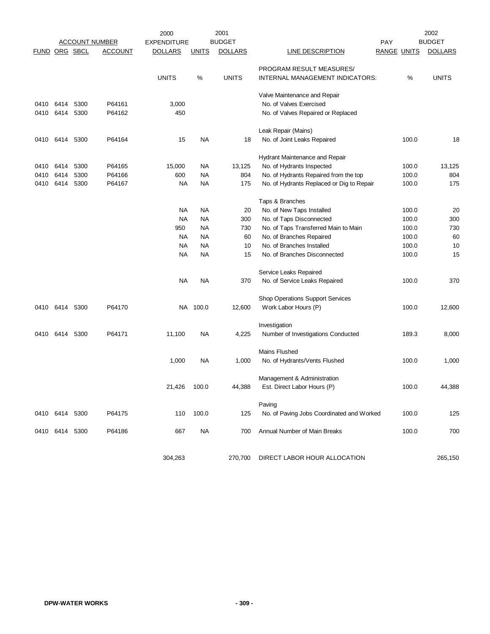|               |                |      |                       | 2000               |              | 2001           | 2002                                      |                    |       |                |
|---------------|----------------|------|-----------------------|--------------------|--------------|----------------|-------------------------------------------|--------------------|-------|----------------|
|               |                |      | <b>ACCOUNT NUMBER</b> | <b>EXPENDITURE</b> |              | <b>BUDGET</b>  |                                           | <b>PAY</b>         |       | <b>BUDGET</b>  |
| FUND ORG SBCL |                |      | <b>ACCOUNT</b>        | <b>DOLLARS</b>     | <u>UNITS</u> | <b>DOLLARS</b> | LINE DESCRIPTION                          | <b>RANGE UNITS</b> |       | <b>DOLLARS</b> |
|               |                |      |                       |                    |              |                | PROGRAM RESULT MEASURES/                  |                    |       |                |
|               |                |      |                       | <b>UNITS</b>       | %            | <b>UNITS</b>   | INTERNAL MANAGEMENT INDICATORS:           |                    | %     | <b>UNITS</b>   |
|               |                |      |                       |                    |              |                |                                           |                    |       |                |
|               |                |      |                       |                    |              |                | Valve Maintenance and Repair              |                    |       |                |
| 0410          | 6414           | 5300 | P64161                | 3,000              |              |                | No. of Valves Exercised                   |                    |       |                |
| 0410          | 6414           | 5300 | P64162                | 450                |              |                | No. of Valves Repaired or Replaced        |                    |       |                |
|               |                |      |                       |                    |              |                | Leak Repair (Mains)                       |                    |       |                |
| 0410          | 6414           | 5300 | P64164                | 15                 | <b>NA</b>    | 18             | No. of Joint Leaks Repaired               |                    | 100.0 | 18             |
|               |                |      |                       |                    |              |                |                                           |                    |       |                |
|               |                |      |                       |                    |              |                | Hydrant Maintenance and Repair            |                    |       |                |
| 0410          | 6414           | 5300 | P64165                | 15,000             | <b>NA</b>    | 13,125         | No. of Hydrants Inspected                 |                    | 100.0 | 13,125         |
| 0410          | 6414           | 5300 | P64166                | 600                | <b>NA</b>    | 804            | No. of Hydrants Repaired from the top     |                    | 100.0 | 804            |
| 0410          | 6414           | 5300 | P64167                | <b>NA</b>          | NA           | 175            | No. of Hydrants Replaced or Dig to Repair |                    | 100.0 | 175            |
|               |                |      |                       |                    |              |                | Taps & Branches                           |                    |       |                |
|               |                |      |                       | <b>NA</b>          | NA           | 20             | No. of New Taps Installed                 |                    | 100.0 | 20             |
|               |                |      |                       | <b>NA</b>          | <b>NA</b>    | 300            | No. of Taps Disconnected                  |                    | 100.0 | 300            |
|               |                |      |                       | 950                | NA           | 730            | No. of Taps Transferred Main to Main      |                    | 100.0 | 730            |
|               |                |      |                       | NA                 | NA           | 60             | No. of Branches Repaired                  |                    | 100.0 | 60             |
|               |                |      |                       | NA                 | NA           | 10             | No. of Branches Installed                 |                    | 100.0 | 10             |
|               |                |      |                       | <b>NA</b>          | <b>NA</b>    | 15             | No. of Branches Disconnected              |                    | 100.0 | 15             |
|               |                |      |                       |                    |              |                | Service Leaks Repaired                    |                    |       |                |
|               |                |      |                       | <b>NA</b>          | <b>NA</b>    | 370            | No. of Service Leaks Repaired             |                    | 100.0 | 370            |
|               |                |      |                       |                    |              |                |                                           |                    |       |                |
|               |                |      |                       |                    |              |                | Shop Operations Support Services          |                    |       |                |
| 0410          | 6414           | 5300 | P64170                | NA                 | 100.0        | 12,600         | Work Labor Hours (P)                      |                    | 100.0 | 12,600         |
|               |                |      |                       |                    |              |                | Investigation                             |                    |       |                |
| 0410          | 6414           | 5300 | P64171                | 11,100             | <b>NA</b>    | 4,225          | Number of Investigations Conducted        |                    | 189.3 | 8,000          |
|               |                |      |                       |                    |              |                | <b>Mains Flushed</b>                      |                    |       |                |
|               |                |      |                       |                    |              |                |                                           |                    |       |                |
|               |                |      |                       | 1,000              | NA           | 1,000          | No. of Hydrants/Vents Flushed             |                    | 100.0 | 1,000          |
|               |                |      |                       |                    |              |                | Management & Administration               |                    |       |                |
|               |                |      |                       | 21,426             | 100.0        | 44,388         | Est. Direct Labor Hours (P)               |                    | 100.0 | 44,388         |
|               |                |      |                       |                    |              |                | Paving                                    |                    |       |                |
| 0410          | 6414           | 5300 | P64175                | 110                | 100.0        | 125            | No. of Paving Jobs Coordinated and Worked |                    | 100.0 | 125            |
|               |                |      |                       |                    |              |                |                                           |                    |       |                |
|               | 0410 6414 5300 |      | P64186                | 667                | <b>NA</b>    | 700            | Annual Number of Main Breaks              |                    | 100.0 | 700            |
|               |                |      |                       |                    |              |                |                                           |                    |       |                |
|               |                |      |                       | 304,263            |              | 270,700        | DIRECT LABOR HOUR ALLOCATION              |                    |       | 265,150        |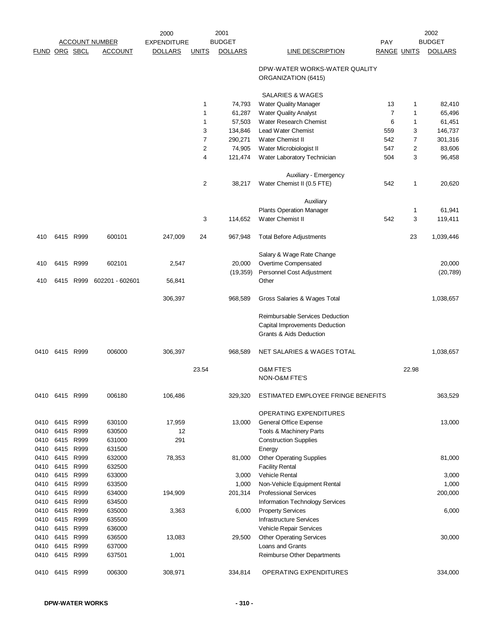|               |                        |           |                       | 2000               |                | 2001           |                                                                                                         |                    |                | 2002           |
|---------------|------------------------|-----------|-----------------------|--------------------|----------------|----------------|---------------------------------------------------------------------------------------------------------|--------------------|----------------|----------------|
|               |                        |           | <b>ACCOUNT NUMBER</b> | <b>EXPENDITURE</b> |                | <b>BUDGET</b>  |                                                                                                         | PAY                |                | <b>BUDGET</b>  |
| FUND ORG SBCL |                        |           | <b>ACCOUNT</b>        | <b>DOLLARS</b>     | <b>UNITS</b>   | <b>DOLLARS</b> | <b>LINE DESCRIPTION</b>                                                                                 | <b>RANGE UNITS</b> |                | <b>DOLLARS</b> |
|               |                        |           |                       |                    |                |                | DPW-WATER WORKS-WATER QUALITY<br>ORGANIZATION (6415)                                                    |                    |                |                |
|               |                        |           |                       |                    |                |                | SALARIES & WAGES                                                                                        |                    |                |                |
|               |                        |           |                       |                    | 1              | 74,793         | Water Quality Manager                                                                                   | 13                 | 1              | 82,410         |
|               |                        |           |                       |                    | 1              | 61,287         | Water Quality Analyst                                                                                   | $\overline{7}$     | $\mathbf{1}$   | 65,496         |
|               |                        |           |                       |                    | 1              | 57,503         | Water Research Chemist                                                                                  | 6                  | 1              | 61,451         |
|               |                        |           |                       |                    | 3              | 134,846        | Lead Water Chemist                                                                                      | 559                | 3              | 146,737        |
|               |                        |           |                       |                    | $\overline{7}$ | 290,271        | Water Chemist II                                                                                        | 542                | 7              | 301,316        |
|               |                        |           |                       |                    | $\sqrt{2}$     | 74,905         | Water Microbiologist II                                                                                 | 547                | $\overline{2}$ | 83,606         |
|               |                        |           |                       |                    | $\overline{4}$ | 121,474        | Water Laboratory Technician                                                                             | 504                | 3              | 96,458         |
|               |                        |           |                       |                    |                |                | Auxiliary - Emergency                                                                                   |                    |                |                |
|               |                        |           |                       |                    | $\overline{2}$ | 38,217         | Water Chemist II (0.5 FTE)                                                                              | 542                | $\mathbf{1}$   | 20,620         |
|               |                        |           |                       |                    |                |                | Auxiliary                                                                                               |                    |                |                |
|               |                        |           |                       |                    |                |                | <b>Plants Operation Manager</b>                                                                         |                    | 1              | 61,941         |
|               |                        |           |                       |                    | 3              | 114,652        | Water Chemist II                                                                                        | 542                | 3              | 119,411        |
| 410           |                        | 6415 R999 | 600101                | 247,009            | 24             | 967,948        | <b>Total Before Adjustments</b>                                                                         |                    | 23             | 1,039,446      |
|               |                        |           |                       |                    |                |                | Salary & Wage Rate Change                                                                               |                    |                |                |
| 410           |                        | 6415 R999 | 602101                | 2,547              |                | 20,000         | Overtime Compensated                                                                                    |                    |                | 20,000         |
|               |                        |           |                       |                    |                | (19, 359)      | Personnel Cost Adjustment                                                                               |                    |                | (20, 789)      |
| 410           |                        | 6415 R999 | 602201 - 602601       | 56,841             |                |                | Other                                                                                                   |                    |                |                |
|               |                        |           |                       | 306,397            |                | 968,589        | Gross Salaries & Wages Total                                                                            |                    |                | 1,038,657      |
|               |                        |           |                       |                    |                |                | Reimbursable Services Deduction<br>Capital Improvements Deduction<br><b>Grants &amp; Aids Deduction</b> |                    |                |                |
| 0410          | 6415 R999              |           | 006000                | 306,397            |                | 968,589        | NET SALARIES & WAGES TOTAL                                                                              |                    |                | 1,038,657      |
|               |                        |           |                       |                    | 23.54          |                | <b>O&amp;M FTE'S</b><br><b>NON-O&amp;M FTE'S</b>                                                        |                    | 22.98          |                |
| 0410          | 6415 R999              |           | 006180                | 106,486            |                | 329,320        | ESTIMATED EMPLOYEE FRINGE BENEFITS                                                                      |                    |                | 363,529        |
|               |                        |           |                       |                    |                |                | OPERATING EXPENDITURES                                                                                  |                    |                |                |
| 0410          |                        | 6415 R999 | 630100                | 17,959             |                | 13,000         | General Office Expense                                                                                  |                    |                | 13,000         |
| 0410          | 6415 R999              |           | 630500                | 12                 |                |                | Tools & Machinery Parts                                                                                 |                    |                |                |
| 0410          | 6415 R999              |           | 631000                | 291                |                |                | <b>Construction Supplies</b>                                                                            |                    |                |                |
| 0410          | 6415 R999              |           | 631500                |                    |                |                | Energy                                                                                                  |                    |                |                |
| 0410          | 6415 R999              |           | 632000                | 78,353             |                | 81,000         | <b>Other Operating Supplies</b>                                                                         |                    |                | 81,000         |
| 0410          | 6415 R999              |           | 632500                |                    |                |                | <b>Facility Rental</b>                                                                                  |                    |                |                |
| 0410          | 6415                   | R999      | 633000                |                    |                | 3,000          | Vehicle Rental                                                                                          |                    |                | 3,000          |
| 0410          | 6415 R999              |           | 633500                |                    |                | 1,000          | Non-Vehicle Equipment Rental                                                                            |                    |                | 1,000          |
| 0410          | 6415 R999              |           | 634000                | 194,909            |                | 201,314        | <b>Professional Services</b>                                                                            |                    |                | 200,000        |
| 0410          | 6415 R999              |           | 634500                |                    |                |                | Information Technology Services                                                                         |                    |                |                |
| 0410          | 6415 R999<br>6415 R999 |           | 635000                | 3,363              |                | 6,000          | <b>Property Services</b>                                                                                |                    |                | 6,000          |
| 0410<br>0410  | 6415                   | R999      | 635500<br>636000      |                    |                |                | <b>Infrastructure Services</b><br>Vehicle Repair Services                                               |                    |                |                |
| 0410          | 6415 R999              |           | 636500                | 13,083             |                | 29,500         | <b>Other Operating Services</b>                                                                         |                    |                | 30,000         |
| 0410          | 6415                   | R999      | 637000                |                    |                |                | Loans and Grants                                                                                        |                    |                |                |
| 0410          | 6415 R999              |           | 637501                | 1,001              |                |                | Reimburse Other Departments                                                                             |                    |                |                |
| 0410          | 6415 R999              |           | 006300                | 308,971            |                | 334,814        | OPERATING EXPENDITURES                                                                                  |                    |                | 334,000        |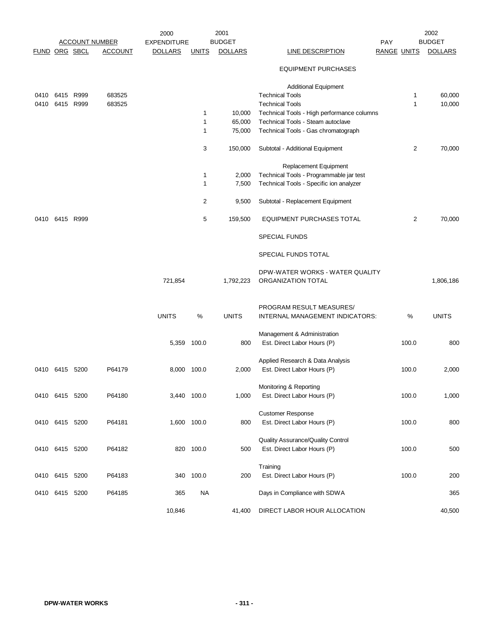|                |                |      |                                         | 2000                                 |              | 2001                            |                                            |                    |       | 2002                            |
|----------------|----------------|------|-----------------------------------------|--------------------------------------|--------------|---------------------------------|--------------------------------------------|--------------------|-------|---------------------------------|
| FUND ORG SBCL  |                |      | <b>ACCOUNT NUMBER</b><br><b>ACCOUNT</b> | <b>EXPENDITURE</b><br><b>DOLLARS</b> |              | <b>BUDGET</b><br><b>DOLLARS</b> |                                            | <b>PAY</b>         |       | <b>BUDGET</b><br><b>DOLLARS</b> |
|                |                |      |                                         |                                      | <b>UNITS</b> |                                 | <b>LINE DESCRIPTION</b>                    | <b>RANGE UNITS</b> |       |                                 |
|                |                |      |                                         |                                      |              |                                 | <b>EQUIPMENT PURCHASES</b>                 |                    |       |                                 |
|                |                |      |                                         |                                      |              |                                 | <b>Additional Equipment</b>                |                    |       |                                 |
| 0410           | 6415 R999      |      | 683525                                  |                                      |              |                                 | <b>Technical Tools</b>                     |                    | 1     | 60,000                          |
| 0410           | 6415           | R999 | 683525                                  |                                      |              |                                 | <b>Technical Tools</b>                     |                    | 1     | 10,000                          |
|                |                |      |                                         |                                      | $\mathbf{1}$ | 10,000                          | Technical Tools - High performance columns |                    |       |                                 |
|                |                |      |                                         |                                      | 1            | 65,000                          | Technical Tools - Steam autoclave          |                    |       |                                 |
|                |                |      |                                         |                                      | 1            | 75,000                          | Technical Tools - Gas chromatograph        |                    |       |                                 |
|                |                |      |                                         |                                      |              |                                 |                                            |                    |       |                                 |
|                |                |      |                                         |                                      | 3            | 150,000                         | Subtotal - Additional Equipment            |                    | 2     | 70,000                          |
|                |                |      |                                         |                                      |              |                                 | Replacement Equipment                      |                    |       |                                 |
|                |                |      |                                         |                                      | 1            | 2,000                           | Technical Tools - Programmable jar test    |                    |       |                                 |
|                |                |      |                                         |                                      | 1            | 7,500                           | Technical Tools - Specific ion analyzer    |                    |       |                                 |
|                |                |      |                                         |                                      |              |                                 |                                            |                    |       |                                 |
|                |                |      |                                         |                                      | 2            | 9,500                           | Subtotal - Replacement Equipment           |                    |       |                                 |
| 0410           | 6415 R999      |      |                                         |                                      | 5            | 159,500                         | <b>EQUIPMENT PURCHASES TOTAL</b>           |                    | 2     | 70,000                          |
|                |                |      |                                         |                                      |              |                                 | <b>SPECIAL FUNDS</b>                       |                    |       |                                 |
|                |                |      |                                         |                                      |              |                                 | SPECIAL FUNDS TOTAL                        |                    |       |                                 |
|                |                |      |                                         |                                      |              |                                 |                                            |                    |       |                                 |
|                |                |      |                                         |                                      |              |                                 | DPW-WATER WORKS - WATER QUALITY            |                    |       |                                 |
|                |                |      |                                         | 721,854                              |              | 1,792,223                       | ORGANIZATION TOTAL                         |                    |       | 1,806,186                       |
|                |                |      |                                         |                                      |              |                                 |                                            |                    |       |                                 |
|                |                |      |                                         |                                      |              |                                 |                                            |                    |       |                                 |
|                |                |      |                                         |                                      |              |                                 | PROGRAM RESULT MEASURES/                   |                    |       |                                 |
|                |                |      |                                         | <b>UNITS</b>                         | $\%$         | <b>UNITS</b>                    | INTERNAL MANAGEMENT INDICATORS:            |                    | %     | <b>UNITS</b>                    |
|                |                |      |                                         |                                      |              |                                 | Management & Administration                |                    |       |                                 |
|                |                |      |                                         | 5,359 100.0                          |              | 800                             | Est. Direct Labor Hours (P)                |                    | 100.0 | 800                             |
|                |                |      |                                         |                                      |              |                                 |                                            |                    |       |                                 |
|                |                |      |                                         |                                      |              |                                 | Applied Research & Data Analysis           |                    |       |                                 |
|                | 0410 6415 5200 |      | P64179                                  | 8,000 100.0                          |              | 2,000                           | Est. Direct Labor Hours (P)                |                    | 100.0 | 2,000                           |
|                |                |      |                                         |                                      |              |                                 |                                            |                    |       |                                 |
|                |                |      |                                         |                                      |              |                                 | Monitoring & Reporting                     |                    |       |                                 |
|                | 0410 6415 5200 |      | P64180                                  | 3,440 100.0                          |              | 1,000                           | Est. Direct Labor Hours (P)                |                    | 100.0 | 1,000                           |
|                |                |      |                                         |                                      |              |                                 |                                            |                    |       |                                 |
|                |                |      |                                         |                                      |              |                                 | <b>Customer Response</b>                   |                    |       |                                 |
| 0410 6415 5200 |                |      | P64181                                  |                                      | 1,600 100.0  | 800                             | Est. Direct Labor Hours (P)                |                    | 100.0 | 800                             |
|                |                |      |                                         |                                      |              |                                 |                                            |                    |       |                                 |
|                |                |      |                                         |                                      |              |                                 | Quality Assurance/Quality Control          |                    |       |                                 |
| 0410 6415 5200 |                |      | P64182                                  |                                      | 820 100.0    | 500                             | Est. Direct Labor Hours (P)                |                    | 100.0 | 500                             |
|                |                |      |                                         |                                      |              |                                 | Training                                   |                    |       |                                 |
|                | 0410 6415 5200 |      | P64183                                  |                                      | 340 100.0    | 200                             | Est. Direct Labor Hours (P)                |                    | 100.0 | 200                             |
|                |                |      |                                         |                                      |              |                                 |                                            |                    |       |                                 |
| 0410 6415 5200 |                |      | P64185                                  | 365                                  | <b>NA</b>    |                                 | Days in Compliance with SDWA               |                    |       | 365                             |
|                |                |      |                                         |                                      |              |                                 |                                            |                    |       |                                 |
|                |                |      |                                         | 10,846                               |              | 41,400                          | DIRECT LABOR HOUR ALLOCATION               |                    |       | 40,500                          |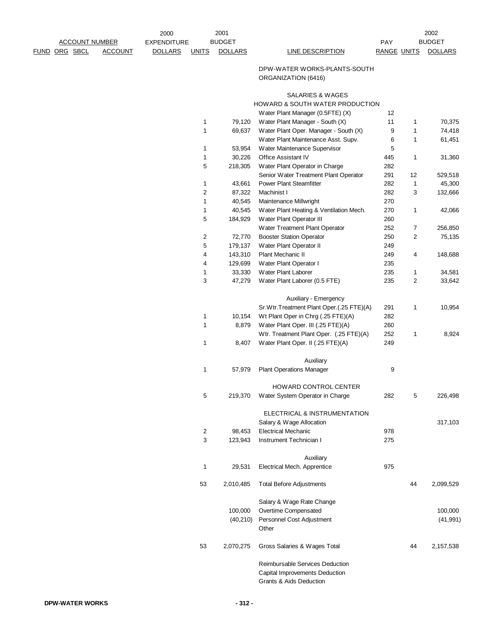| <b>EXPENDITURE</b> |                | <b>BUDGET</b>  |                                                     | <b>PAY</b>         |    | <b>BUDGET</b>  |
|--------------------|----------------|----------------|-----------------------------------------------------|--------------------|----|----------------|
| <u>DOLLARS</u>     | <b>UNITS</b>   | <b>DOLLARS</b> | <b>LINE DESCRIPTION</b>                             | <u>RANGE UNITS</u> |    | <b>DOLLARS</b> |
|                    |                |                | DPW-WATER WORKS-PLANTS-SOUTH<br>ORGANIZATION (6416) |                    |    |                |
|                    |                |                | SALARIES & WAGES                                    |                    |    |                |
|                    |                |                | <b>HOWARD &amp; SOUTH WATER PRODUCTION</b>          |                    |    |                |
|                    |                |                | Water Plant Manager (0.5FTE) (X)                    | 12                 |    |                |
|                    | 1              | 79,120         | Water Plant Manager - South (X)                     | 11                 | 1  | 70,375         |
|                    | 1              | 69,637         | Water Plant Oper. Manager - South (X)               | 9                  | 1  | 74,418         |
|                    |                |                | Water Plant Maintenance Asst. Supv.                 | 6                  | 1  | 61,451         |
|                    | 1              | 53,954         | Water Maintenance Supervisor                        | 5                  |    |                |
|                    | 1              | 30,226         | <b>Office Assistant IV</b>                          | 445                | 1  | 31,360         |
|                    | 5              | 218,305        | Water Plant Operator in Charge                      | 282                |    |                |
|                    |                |                | Senior Water Treatment Plant Operator               | 291                | 12 | 529,518        |
|                    | 1              | 43,661         | <b>Power Plant Steamfitter</b>                      | 282                | 1  | 45,300         |
|                    | $\overline{2}$ | 87,322         | Machinist I                                         | 282                | 3  | 132,666        |
|                    | 1              | 40,545         | Maintenance Millwright                              | 270                |    |                |
|                    | 1              | 40,545         | Water Plant Heating & Ventilation Mech.             | 270                | 1  | 42,066         |
|                    | 5              |                | Water Plant Operator III                            | 260                |    |                |
|                    |                | 184,929        |                                                     |                    |    |                |
|                    |                |                | Water Treatment Plant Operator                      | 252                | 7  | 256,850        |
|                    | $\overline{2}$ | 72,770         | <b>Booster Station Operator</b>                     | 250                | 2  | 75,135         |
|                    | 5              | 179,137        | Water Plant Operator II                             | 249                |    |                |
|                    | 4              | 143,310        | Plant Mechanic II                                   | 249                | 4  | 148,688        |
|                    | 4              | 129,699        | Water Plant Operator I                              | 235                |    |                |
|                    | 1              | 33,330         | Water Plant Laborer                                 | 235                | 1  | 34,581         |
|                    | 3              | 47,279         | Water Plant Laborer (0.5 FTE)                       | 235                | 2  | 33,642         |
|                    |                |                |                                                     |                    |    |                |
|                    |                |                | Auxiliary - Emergency                               |                    |    |                |
|                    |                |                | Sr. Wtr. Treatment Plant Oper. (.25 FTE) (A)        | 291                | 1  | 10,954         |
|                    | 1              | 10,154         | Wt Plant Oper in Chrg (.25 FTE)(A)                  | 282                |    |                |
|                    | 1              | 8,879          | Water Plant Oper. III (.25 FTE)(A)                  | 260                |    |                |
|                    |                |                | Wtr. Treatment Plant Oper. (.25 FTE)(A)             | 252                | 1  | 8,924          |
|                    | 1              | 8,407          | Water Plant Oper. II (.25 FTE)(A)                   | 249                |    |                |
|                    |                |                | Auxiliary                                           |                    |    |                |
|                    | 1              | 57,979         | <b>Plant Operations Manager</b>                     | 9                  |    |                |
|                    |                |                |                                                     |                    |    |                |
|                    |                |                | HOWARD CONTROL CENTER                               |                    |    |                |
|                    | 5              | 219,370        | Water System Operator in Charge                     | 282                | 5  | 226,498        |
|                    |                |                |                                                     |                    |    |                |
|                    |                |                | ELECTRICAL & INSTRUMENTATION                        |                    |    |                |
|                    |                |                | Salary & Wage Allocation                            |                    |    | 317,103        |
|                    | 2              | 98,453         | <b>Electrical Mechanic</b>                          | 978                |    |                |
|                    | 3              | 123,943        | Instrument Technician I                             | 275                |    |                |
|                    |                |                | Auxiliary                                           |                    |    |                |
|                    | 1              | 29,531         | Electrical Mech. Apprentice                         | 975                |    |                |
|                    |                |                |                                                     |                    |    |                |
|                    | 53             | 2,010,485      | <b>Total Before Adjustments</b>                     |                    | 44 | 2,099,529      |
|                    |                |                |                                                     |                    |    |                |
|                    |                |                | Salary & Wage Rate Change                           |                    |    |                |
|                    |                | 100,000        | Overtime Compensated                                |                    |    | 100,000        |
|                    |                | (40, 210)      | Personnel Cost Adjustment                           |                    |    | (41, 991)      |
|                    |                |                | Other                                               |                    |    |                |
|                    | 53             | 2,070,275      | Gross Salaries & Wages Total                        |                    | 44 | 2,157,538      |
|                    |                |                |                                                     |                    |    |                |
|                    |                |                | <b>Doimburgable Consigne Doduction</b>              |                    |    |                |

2001 2002

2000

FUND ORG SBCL ACCOUNT ACCOUNT NUMBER

> Reimbursable Services Deduction Capital Improvements Deduction Grants & Aids Deduction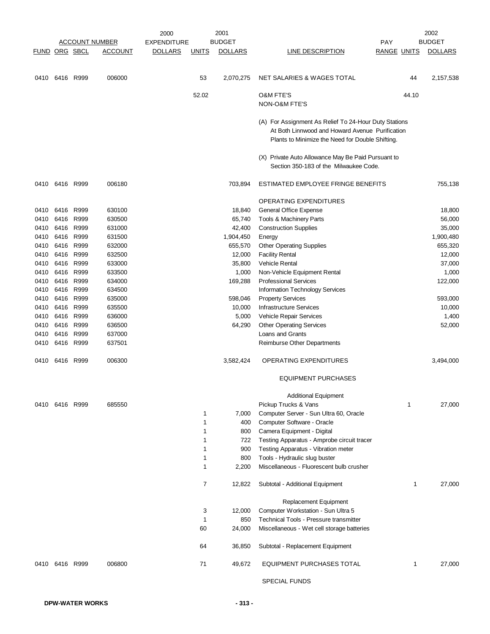|               |                |           |                       | 2000               |              | 2001           |                                                       |                    | 2002           |
|---------------|----------------|-----------|-----------------------|--------------------|--------------|----------------|-------------------------------------------------------|--------------------|----------------|
|               |                |           | <b>ACCOUNT NUMBER</b> | <b>EXPENDITURE</b> |              | <b>BUDGET</b>  |                                                       | <b>PAY</b>         | <b>BUDGET</b>  |
| FUND ORG SBCL |                |           | <b>ACCOUNT</b>        | <b>DOLLARS</b>     | <u>UNITS</u> | <b>DOLLARS</b> | LINE DESCRIPTION                                      | <b>RANGE UNITS</b> | <b>DOLLARS</b> |
|               |                |           |                       |                    |              |                |                                                       |                    |                |
| 0410          | 6416 R999      |           | 006000                |                    | 53           | 2,070,275      | NET SALARIES & WAGES TOTAL                            | 44                 | 2,157,538      |
|               |                |           |                       |                    | 52.02        |                | O&M FTE'S<br>NON-O&M FTE'S                            | 44.10              |                |
|               |                |           |                       |                    |              |                |                                                       |                    |                |
|               |                |           |                       |                    |              |                | (A) For Assignment As Relief To 24-Hour Duty Stations |                    |                |
|               |                |           |                       |                    |              |                | At Both Linnwood and Howard Avenue Purification       |                    |                |
|               |                |           |                       |                    |              |                | Plants to Minimize the Need for Double Shifting.      |                    |                |
|               |                |           |                       |                    |              |                | (X) Private Auto Allowance May Be Paid Pursuant to    |                    |                |
|               |                |           |                       |                    |              |                | Section 350-183 of the Milwaukee Code.                |                    |                |
|               |                |           |                       |                    |              |                |                                                       |                    |                |
| 0410          | 6416 R999      |           | 006180                |                    |              | 703,894        | ESTIMATED EMPLOYEE FRINGE BENEFITS                    |                    | 755,138        |
|               |                |           |                       |                    |              |                | <b>OPERATING EXPENDITURES</b>                         |                    |                |
| 0410          | 6416 R999      |           | 630100                |                    |              | 18,840         | General Office Expense                                |                    | 18,800         |
| 0410          |                | 6416 R999 | 630500                |                    |              | 65,740         | Tools & Machinery Parts                               |                    | 56,000         |
| 0410          |                | 6416 R999 | 631000                |                    |              | 42,400         | <b>Construction Supplies</b>                          |                    | 35,000         |
| 0410          |                | 6416 R999 | 631500                |                    |              | 1,904,450      | Energy                                                |                    | 1,900,480      |
| 0410          |                | 6416 R999 | 632000                |                    |              | 655,570        | <b>Other Operating Supplies</b>                       |                    | 655,320        |
| 0410          |                | 6416 R999 | 632500                |                    |              | 12,000         | <b>Facility Rental</b>                                |                    | 12,000         |
| 0410          |                | 6416 R999 | 633000                |                    |              | 35,800         | <b>Vehicle Rental</b>                                 |                    | 37,000         |
| 0410          |                | 6416 R999 | 633500                |                    |              | 1,000          | Non-Vehicle Equipment Rental                          |                    | 1,000          |
| 0410          |                | 6416 R999 | 634000                |                    |              | 169,288        | <b>Professional Services</b>                          |                    | 122,000        |
| 0410          |                | 6416 R999 | 634500                |                    |              |                | Information Technology Services                       |                    |                |
| 0410          | 6416           | R999      | 635000                |                    |              | 598,046        | <b>Property Services</b>                              |                    | 593,000        |
| 0410          |                | 6416 R999 | 635500                |                    |              | 10,000         | <b>Infrastructure Services</b>                        |                    | 10,000         |
| 0410          | 6416 R999      |           | 636000                |                    |              | 5,000          | Vehicle Repair Services                               |                    | 1,400          |
| 0410          | 6416           | R999      | 636500                |                    |              | 64,290         | <b>Other Operating Services</b>                       |                    | 52,000         |
| 0410          |                | 6416 R999 | 637000                |                    |              |                | Loans and Grants                                      |                    |                |
| 0410          |                | 6416 R999 | 637501                |                    |              |                | Reimburse Other Departments                           |                    |                |
| 0410          | 6416 R999      |           | 006300                |                    |              | 3,582,424      | OPERATING EXPENDITURES                                |                    | 3,494,000      |
|               |                |           |                       |                    |              |                | <b>EQUIPMENT PURCHASES</b>                            |                    |                |
|               |                |           |                       |                    |              |                | <b>Additional Equipment</b>                           |                    |                |
|               | 0410 6416 R999 |           | 685550                |                    |              |                | Pickup Trucks & Vans                                  | 1                  | 27,000         |
|               |                |           |                       |                    | 1            | 7,000          | Computer Server - Sun Ultra 60, Oracle                |                    |                |
|               |                |           |                       |                    | 1            | 400            | Computer Software - Oracle                            |                    |                |
|               |                |           |                       |                    | 1            | 800            | Camera Equipment - Digital                            |                    |                |
|               |                |           |                       |                    | 1            | 722            | Testing Apparatus - Amprobe circuit tracer            |                    |                |
|               |                |           |                       |                    | 1            | 900            | Testing Apparatus - Vibration meter                   |                    |                |
|               |                |           |                       |                    | 1            | 800            | Tools - Hydraulic slug buster                         |                    |                |
|               |                |           |                       |                    | 1            | 2,200          | Miscellaneous - Fluorescent bulb crusher              |                    |                |
|               |                |           |                       |                    | 7            | 12,822         | Subtotal - Additional Equipment                       | 1                  | 27,000         |
|               |                |           |                       |                    |              |                | Replacement Equipment                                 |                    |                |
|               |                |           |                       |                    | 3            | 12,000         | Computer Workstation - Sun Ultra 5                    |                    |                |
|               |                |           |                       |                    | 1            | 850            | Technical Tools - Pressure transmitter                |                    |                |
|               |                |           |                       |                    | 60           | 24,000         | Miscellaneous - Wet cell storage batteries            |                    |                |
|               |                |           |                       |                    | 64           | 36,850         | Subtotal - Replacement Equipment                      |                    |                |
|               | 0410 6416 R999 |           | 006800                |                    | 71           | 49,672         | EQUIPMENT PURCHASES TOTAL                             | 1                  | 27,000         |
|               |                |           |                       |                    |              |                | <b>SPECIAL FUNDS</b>                                  |                    |                |
|               |                |           |                       |                    |              |                |                                                       |                    |                |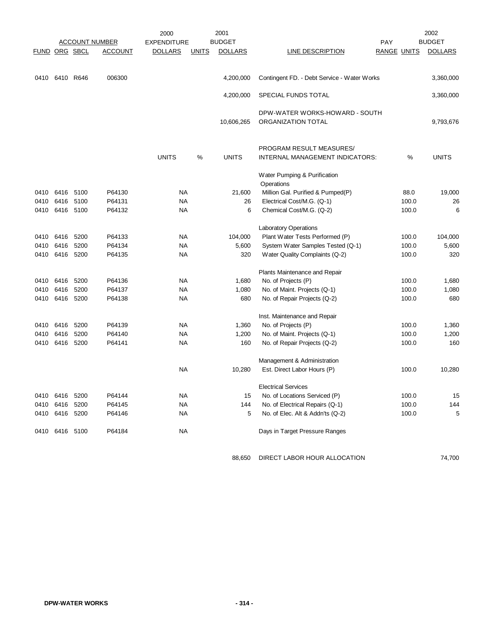|                      |           |      |                       | 2000               |              | 2001           |                                                      |                    |       | 2002           |
|----------------------|-----------|------|-----------------------|--------------------|--------------|----------------|------------------------------------------------------|--------------------|-------|----------------|
|                      |           |      | <b>ACCOUNT NUMBER</b> | <b>EXPENDITURE</b> |              | <b>BUDGET</b>  |                                                      | PAY                |       | <b>BUDGET</b>  |
| <b>FUND ORG SBCL</b> |           |      | <b>ACCOUNT</b>        | <b>DOLLARS</b>     | <b>UNITS</b> | <b>DOLLARS</b> | <b>LINE DESCRIPTION</b>                              | <b>RANGE UNITS</b> |       | <b>DOLLARS</b> |
|                      |           |      |                       |                    |              |                |                                                      |                    |       |                |
| 0410                 | 6410 R646 |      | 006300                |                    |              | 4,200,000      | Contingent FD. - Debt Service - Water Works          |                    |       | 3,360,000      |
|                      |           |      |                       |                    |              | 4,200,000      | SPECIAL FUNDS TOTAL                                  |                    |       | 3,360,000      |
|                      |           |      |                       |                    |              | 10,606,265     | DPW-WATER WORKS-HOWARD - SOUTH<br>ORGANIZATION TOTAL |                    |       | 9,793,676      |
|                      |           |      |                       |                    |              |                |                                                      |                    |       |                |
|                      |           |      |                       |                    |              |                | PROGRAM RESULT MEASURES/                             |                    |       |                |
|                      |           |      |                       | <b>UNITS</b>       | %            | <b>UNITS</b>   | INTERNAL MANAGEMENT INDICATORS:                      |                    | %     | <b>UNITS</b>   |
|                      |           |      |                       |                    |              |                | Water Pumping & Purification                         |                    |       |                |
|                      |           |      |                       |                    |              |                | Operations                                           |                    |       |                |
| 0410                 | 6416 5100 |      | P64130                | <b>NA</b>          |              | 21,600         | Million Gal. Purified & Pumped(P)                    |                    | 88.0  | 19,000         |
| 0410                 | 6416      | 5100 | P64131                | <b>NA</b>          |              | 26             | Electrical Cost/M.G. (Q-1)                           |                    | 100.0 | 26             |
| 0410                 | 6416 5100 |      | P64132                | <b>NA</b>          |              | 6              | Chemical Cost/M.G. (Q-2)                             |                    | 100.0 | 6              |
|                      |           |      |                       |                    |              |                | <b>Laboratory Operations</b>                         |                    |       |                |
| 0410                 | 6416      | 5200 | P64133                | <b>NA</b>          |              | 104,000        | Plant Water Tests Performed (P)                      |                    | 100.0 | 104,000        |
| 0410                 | 6416      | 5200 | P64134                | <b>NA</b>          |              | 5,600          | System Water Samples Tested (Q-1)                    |                    | 100.0 | 5,600          |
| 0410                 | 6416      | 5200 | P64135                | <b>NA</b>          |              | 320            | Water Quality Complaints (Q-2)                       |                    | 100.0 | 320            |
|                      |           |      |                       |                    |              |                | Plants Maintenance and Repair                        |                    |       |                |
| 0410                 | 6416      | 5200 | P64136                | <b>NA</b>          |              | 1,680          | No. of Projects (P)                                  |                    | 100.0 | 1,680          |
| 0410                 | 6416      | 5200 | P64137                | <b>NA</b>          |              | 1,080          | No. of Maint. Projects (Q-1)                         |                    | 100.0 | 1,080          |
| 0410                 | 6416      | 5200 | P64138                | NA                 |              | 680            | No. of Repair Projects (Q-2)                         |                    | 100.0 | 680            |
|                      |           |      |                       |                    |              |                | Inst. Maintenance and Repair                         |                    |       |                |
| 0410                 | 6416      | 5200 | P64139                | NA                 |              | 1,360          | No. of Projects (P)                                  |                    | 100.0 | 1,360          |
| 0410                 | 6416      | 5200 | P64140                | <b>NA</b>          |              | 1,200          | No. of Maint. Projects (Q-1)                         |                    | 100.0 | 1,200          |
| 0410                 | 6416      | 5200 | P64141                | <b>NA</b>          |              | 160            | No. of Repair Projects (Q-2)                         |                    | 100.0 | 160            |
|                      |           |      |                       |                    |              |                | Management & Administration                          |                    |       |                |
|                      |           |      |                       | <b>NA</b>          |              | 10,280         | Est. Direct Labor Hours (P)                          |                    | 100.0 | 10,280         |
|                      |           |      |                       |                    |              |                | <b>Electrical Services</b>                           |                    |       |                |
| 0410                 | 6416      | 5200 | P64144                | <b>NA</b>          |              | 15             | No. of Locations Serviced (P)                        |                    | 100.0 | 15             |
| 0410                 | 6416      | 5200 | P64145                | <b>NA</b>          |              | 144            | No. of Electrical Repairs (Q-1)                      |                    | 100.0 | 144            |
| 0410                 | 6416 5200 |      | P64146                | <b>NA</b>          |              | 5              | No. of Elec. Alt & Addn'ts (Q-2)                     |                    | 100.0 | 5              |
| 0410                 | 6416 5100 |      | P64184                | <b>NA</b>          |              |                | Days in Target Pressure Ranges                       |                    |       |                |

88,650 DIRECT LABOR HOUR ALLOCATION 74,700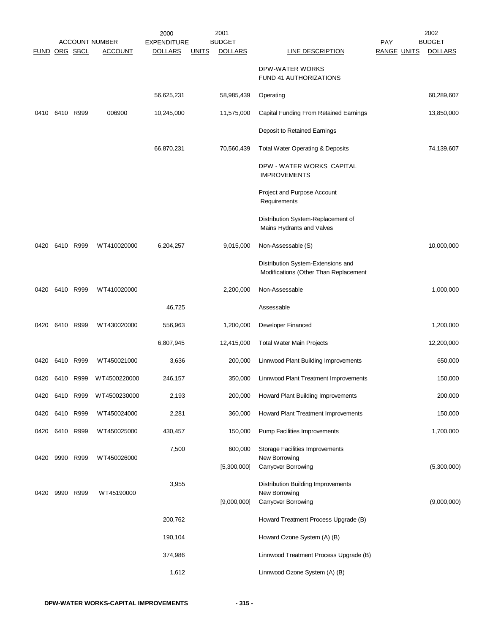|               |           |           | <b>ACCOUNT NUMBER</b> | 2000<br><b>EXPENDITURE</b> |              | 2001<br><b>BUDGET</b> |                                                                                   | <b>PAY</b>         | 2002<br><b>BUDGET</b> |
|---------------|-----------|-----------|-----------------------|----------------------------|--------------|-----------------------|-----------------------------------------------------------------------------------|--------------------|-----------------------|
| FUND ORG SBCL |           |           | <b>ACCOUNT</b>        | <b>DOLLARS</b>             | <b>UNITS</b> | <b>DOLLARS</b>        | LINE DESCRIPTION                                                                  | <b>RANGE UNITS</b> | <b>DOLLARS</b>        |
|               |           |           |                       |                            |              |                       | DPW-WATER WORKS<br>FUND 41 AUTHORIZATIONS                                         |                    |                       |
|               |           |           |                       | 56,625,231                 |              | 58,985,439            | Operating                                                                         |                    | 60,289,607            |
| 0410          |           | 6410 R999 | 006900                | 10,245,000                 |              | 11,575,000            | Capital Funding From Retained Earnings                                            |                    | 13,850,000            |
|               |           |           |                       |                            |              |                       | Deposit to Retained Earnings                                                      |                    |                       |
|               |           |           |                       | 66,870,231                 |              | 70,560,439            | Total Water Operating & Deposits                                                  |                    | 74,139,607            |
|               |           |           |                       |                            |              |                       | DPW - WATER WORKS CAPITAL<br><b>IMPROVEMENTS</b>                                  |                    |                       |
|               |           |           |                       |                            |              |                       | Project and Purpose Account<br>Requirements                                       |                    |                       |
|               |           |           |                       |                            |              |                       | Distribution System-Replacement of<br>Mains Hydrants and Valves                   |                    |                       |
| 0420          |           | 6410 R999 | WT410020000           | 6,204,257                  |              | 9,015,000             | Non-Assessable (S)                                                                |                    | 10,000,000            |
|               |           |           |                       |                            |              |                       | Distribution System-Extensions and<br>Modifications (Other Than Replacement       |                    |                       |
| 0420          |           | 6410 R999 | WT410020000           |                            |              | 2,200,000             | Non-Assessable                                                                    |                    | 1,000,000             |
|               |           |           |                       | 46,725                     |              |                       | Assessable                                                                        |                    |                       |
| 0420          |           | 6410 R999 | WT430020000           | 556,963                    |              | 1,200,000             | Developer Financed                                                                |                    | 1,200,000             |
|               |           |           |                       | 6,807,945                  |              | 12,415,000            | <b>Total Water Main Projects</b>                                                  |                    | 12,200,000            |
| 0420          |           | 6410 R999 | WT450021000           | 3,636                      |              | 200,000               | Linnwood Plant Building Improvements                                              |                    | 650,000               |
| 0420          |           | 6410 R999 | WT4500220000          | 246,157                    |              | 350,000               | Linnwood Plant Treatment Improvements                                             |                    | 150,000               |
| 0420          |           | 6410 R999 | WT4500230000          | 2,193                      |              | 200,000               | Howard Plant Building Improvements                                                |                    | 200,000               |
| 0420          | 6410 R999 |           | WT450024000           | 2,281                      |              | 360,000               | Howard Plant Treatment Improvements                                               |                    | 150,000               |
| 0420          |           | 6410 R999 | WT450025000           | 430,457                    |              | 150,000               | Pump Facilities Improvements                                                      |                    | 1,700,000             |
| 0420          | 9990      | R999      | WT450026000           | 7,500                      |              | 600,000               | <b>Storage Facilities Improvements</b><br>New Borrowing                           |                    |                       |
|               |           |           |                       |                            |              | [5,300,000]           | Carryover Borrowing                                                               |                    | (5,300,000)           |
| 0420          |           | 9990 R999 | WT45190000            | 3,955                      |              | [9,000,000]           | <b>Distribution Building Improvements</b><br>New Borrowing<br>Carryover Borrowing |                    | (9,000,000)           |
|               |           |           |                       | 200,762                    |              |                       | Howard Treatment Process Upgrade (B)                                              |                    |                       |
|               |           |           |                       | 190,104                    |              |                       | Howard Ozone System (A) (B)                                                       |                    |                       |
|               |           |           |                       | 374,986                    |              |                       | Linnwood Treatment Process Upgrade (B)                                            |                    |                       |
|               |           |           |                       | 1,612                      |              |                       | Linnwood Ozone System (A) (B)                                                     |                    |                       |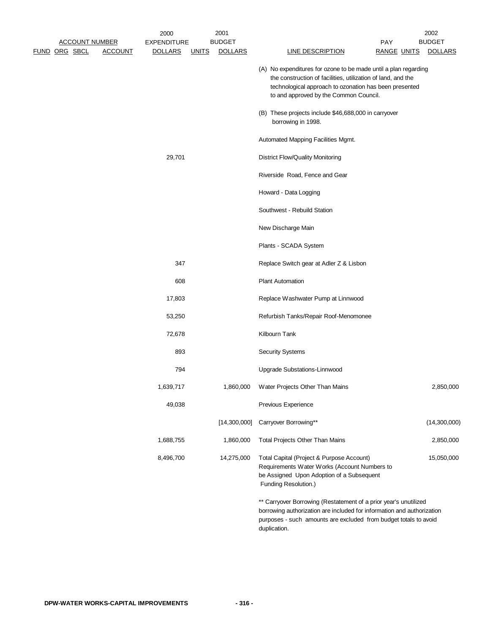|  | <b>ACCOUNT NUMBER</b> |                | 2000<br><b>EXPENDITURE</b> |              | 2001<br><b>BUDGET</b> |                                                                                                                                                                                                                                     | <b>PAY</b>         | 2002<br><b>BUDGET</b> |
|--|-----------------------|----------------|----------------------------|--------------|-----------------------|-------------------------------------------------------------------------------------------------------------------------------------------------------------------------------------------------------------------------------------|--------------------|-----------------------|
|  | <u>FUND ORG SBCL</u>  | <b>ACCOUNT</b> | <b>DOLLARS</b>             | <u>UNITS</u> | <b>DOLLARS</b>        | <b>LINE DESCRIPTION</b>                                                                                                                                                                                                             | <u>RANGE UNITS</u> | <b>DOLLARS</b>        |
|  |                       |                |                            |              |                       | (A) No expenditures for ozone to be made until a plan regarding<br>the construction of facilities, utilization of land, and the<br>technological approach to ozonation has been presented<br>to and approved by the Common Council. |                    |                       |
|  |                       |                |                            |              |                       | (B) These projects include \$46,688,000 in carryover<br>borrowing in 1998.                                                                                                                                                          |                    |                       |
|  |                       |                |                            |              |                       | Automated Mapping Facilities Mgmt.                                                                                                                                                                                                  |                    |                       |
|  |                       |                | 29,701                     |              |                       | <b>District Flow/Quality Monitoring</b>                                                                                                                                                                                             |                    |                       |
|  |                       |                |                            |              |                       | Riverside Road, Fence and Gear                                                                                                                                                                                                      |                    |                       |
|  |                       |                |                            |              |                       | Howard - Data Logging                                                                                                                                                                                                               |                    |                       |
|  |                       |                |                            |              |                       | Southwest - Rebuild Station                                                                                                                                                                                                         |                    |                       |
|  |                       |                |                            |              |                       | New Discharge Main                                                                                                                                                                                                                  |                    |                       |
|  |                       |                |                            |              |                       | Plants - SCADA System                                                                                                                                                                                                               |                    |                       |
|  |                       |                | 347                        |              |                       | Replace Switch gear at Adler Z & Lisbon                                                                                                                                                                                             |                    |                       |
|  |                       |                | 608                        |              |                       | <b>Plant Automation</b>                                                                                                                                                                                                             |                    |                       |
|  |                       |                | 17,803                     |              |                       | Replace Washwater Pump at Linnwood                                                                                                                                                                                                  |                    |                       |
|  |                       |                | 53,250                     |              |                       | Refurbish Tanks/Repair Roof-Menomonee                                                                                                                                                                                               |                    |                       |
|  |                       |                | 72,678                     |              |                       | Kilbourn Tank                                                                                                                                                                                                                       |                    |                       |
|  |                       |                | 893                        |              |                       | <b>Security Systems</b>                                                                                                                                                                                                             |                    |                       |
|  |                       |                | 794                        |              |                       | Upgrade Substations-Linnwood                                                                                                                                                                                                        |                    |                       |
|  |                       |                | 1,639,717                  |              | 1,860,000             | Water Projects Other Than Mains                                                                                                                                                                                                     |                    | 2,850,000             |
|  |                       |                | 49,038                     |              |                       | Previous Experience                                                                                                                                                                                                                 |                    |                       |
|  |                       |                |                            |              | [14,300,000]          | Carryover Borrowing**                                                                                                                                                                                                               |                    | (14,300,000)          |
|  |                       |                | 1,688,755                  |              | 1,860,000             | Total Projects Other Than Mains                                                                                                                                                                                                     |                    | 2,850,000             |
|  |                       |                | 8,496,700                  |              | 14,275,000            | Total Capital (Project & Purpose Account)<br>Requirements Water Works (Account Numbers to<br>be Assigned Upon Adoption of a Subsequent<br>Funding Resolution.)                                                                      |                    | 15,050,000            |
|  |                       |                |                            |              |                       | ** Carryover Borrowing (Restatement of a prior year's unutilized<br>borrowing authorization are included for information and authorization<br>purposes - such amounts are excluded from budget totals to avoid                      |                    |                       |

duplication.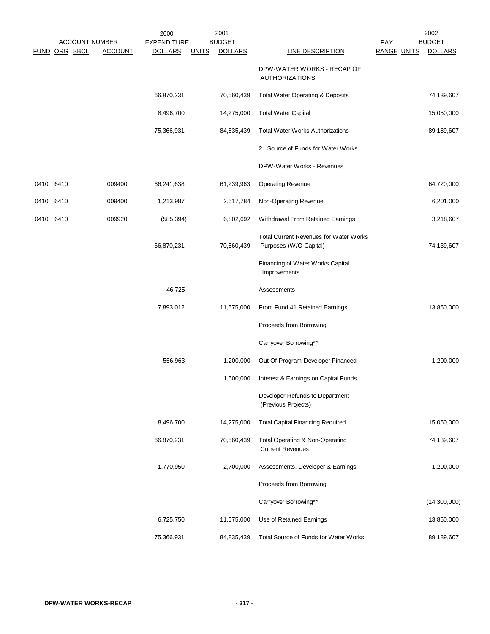|               |      | <b>ACCOUNT NUMBER</b> | 2000<br><b>EXPENDITURE</b> |              | 2001<br><b>BUDGET</b> |                                                                         | PAY                | 2002<br><b>BUDGET</b> |
|---------------|------|-----------------------|----------------------------|--------------|-----------------------|-------------------------------------------------------------------------|--------------------|-----------------------|
| FUND ORG SBCL |      | <b>ACCOUNT</b>        | <b>DOLLARS</b>             | <b>UNITS</b> | <b>DOLLARS</b>        | <b>LINE DESCRIPTION</b>                                                 | <b>RANGE UNITS</b> | <b>DOLLARS</b>        |
|               |      |                       |                            |              |                       | DPW-WATER WORKS - RECAP OF<br><b>AUTHORIZATIONS</b>                     |                    |                       |
|               |      |                       | 66,870,231                 |              | 70,560,439            | Total Water Operating & Deposits                                        |                    | 74,139,607            |
|               |      |                       | 8,496,700                  |              | 14,275,000            | <b>Total Water Capital</b>                                              |                    | 15,050,000            |
|               |      |                       | 75,366,931                 |              | 84,835,439            | <b>Total Water Works Authorizations</b>                                 |                    | 89,189,607            |
|               |      |                       |                            |              |                       | 2. Source of Funds for Water Works                                      |                    |                       |
|               |      |                       |                            |              |                       | DPW-Water Works - Revenues                                              |                    |                       |
| 0410          | 6410 | 009400                | 66,241,638                 |              | 61,239,963            | <b>Operating Revenue</b>                                                |                    | 64,720,000            |
| 0410          | 6410 | 009400                | 1,213,987                  |              | 2,517,784             | Non-Operating Revenue                                                   |                    | 6,201,000             |
| 0410 6410     |      | 009920                | (585, 394)                 |              | 6,802,692             | Withdrawal From Retained Earnings                                       |                    | 3,218,607             |
|               |      |                       | 66,870,231                 |              | 70,560,439            | <b>Total Current Revenues for Water Works</b><br>Purposes (W/O Capital) |                    | 74,139,607            |
|               |      |                       |                            |              |                       | Financing of Water Works Capital<br>Improvements                        |                    |                       |
|               |      |                       | 46,725                     |              |                       | Assessments                                                             |                    |                       |
|               |      |                       | 7,893,012                  |              | 11,575,000            | From Fund 41 Retained Earnings                                          |                    | 13,850,000            |
|               |      |                       |                            |              |                       | Proceeds from Borrowing                                                 |                    |                       |
|               |      |                       |                            |              |                       | Carryover Borrowing**                                                   |                    |                       |
|               |      |                       | 556,963                    |              | 1,200,000             | Out Of Program-Developer Financed                                       |                    | 1,200,000             |
|               |      |                       |                            |              | 1,500,000             | Interest & Earnings on Capital Funds                                    |                    |                       |
|               |      |                       |                            |              |                       | Developer Refunds to Department<br>(Previous Projects)                  |                    |                       |
|               |      |                       | 8,496,700                  |              | 14,275,000            | <b>Total Capital Financing Required</b>                                 |                    | 15,050,000            |
|               |      |                       | 66,870,231                 |              | 70,560,439            | Total Operating & Non-Operating<br><b>Current Revenues</b>              |                    | 74,139,607            |
|               |      |                       | 1,770,950                  |              | 2,700,000             | Assessments, Developer & Earnings                                       |                    | 1,200,000             |
|               |      |                       |                            |              |                       | Proceeds from Borrowing                                                 |                    |                       |
|               |      |                       |                            |              |                       | Carryover Borrowing**                                                   |                    | (14,300,000)          |
|               |      |                       | 6,725,750                  |              | 11,575,000            | Use of Retained Earnings                                                |                    | 13,850,000            |
|               |      |                       | 75,366,931                 |              | 84,835,439            | Total Source of Funds for Water Works                                   |                    | 89,189,607            |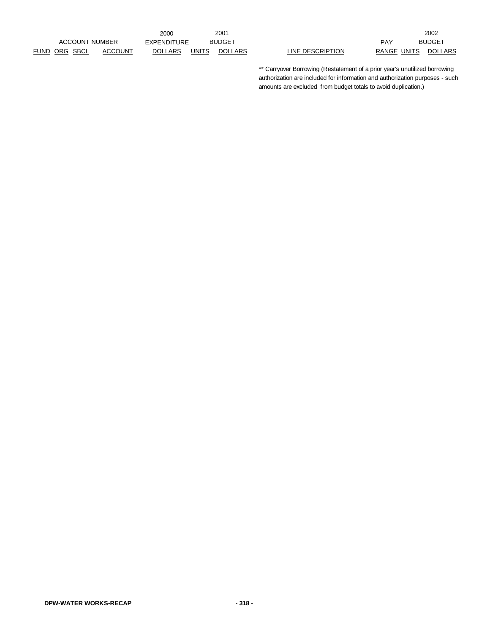|               |                       |                | 200C           |       | 200۰           |                  |     |             | 2002          |
|---------------|-----------------------|----------------|----------------|-------|----------------|------------------|-----|-------------|---------------|
|               | <b>ACCOUNT NUMBER</b> |                | EXPENDITURE    |       | <b>BUDGET</b>  |                  | PAY |             | <b>BUDGET</b> |
| FUND ORG SBCL |                       | <b>ACCOUNT</b> | <b>DOLLARS</b> | UNITS | <b>DOLLARS</b> | LINE DESCRIPTION |     | RANGE UNITS | <b>DOLL</b>   |

UNITS DOLLARS LINE DESCRIPTION RANGE UNITS DOLLARS 2002

> \*\* Carryover Borrowing (Restatement of a prior year's unutilized borrowing authorization are included for information and authorization purposes - such amounts are excluded from budget totals to avoid duplication.)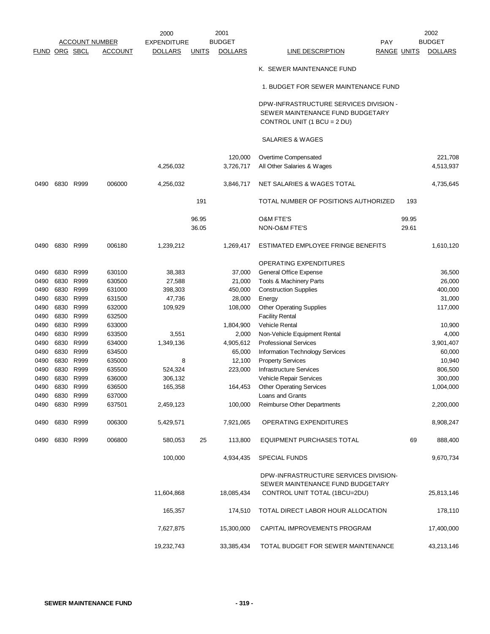|              |                      |              |                       | 2000               |              | 2001               |                                                                                                            |                    | 2002           |
|--------------|----------------------|--------------|-----------------------|--------------------|--------------|--------------------|------------------------------------------------------------------------------------------------------------|--------------------|----------------|
|              |                      |              | <b>ACCOUNT NUMBER</b> | <b>EXPENDITURE</b> |              | <b>BUDGET</b>      | PAY                                                                                                        |                    | <b>BUDGET</b>  |
|              | <b>FUND ORG SBCL</b> |              | <b>ACCOUNT</b>        | <b>DOLLARS</b>     | <u>UNITS</u> | <b>DOLLARS</b>     | <b>LINE DESCRIPTION</b>                                                                                    | <u>RANGE UNITS</u> | <b>DOLLARS</b> |
|              |                      |              |                       |                    |              |                    | K. SEWER MAINTENANCE FUND                                                                                  |                    |                |
|              |                      |              |                       |                    |              |                    | 1. BUDGET FOR SEWER MAINTENANCE FUND                                                                       |                    |                |
|              |                      |              |                       |                    |              |                    | DPW-INFRASTRUCTURE SERVICES DIVISION -<br>SEWER MAINTENANCE FUND BUDGETARY<br>CONTROL UNIT (1 BCU = 2 DU)  |                    |                |
|              |                      |              |                       |                    |              |                    | <b>SALARIES &amp; WAGES</b>                                                                                |                    |                |
|              |                      |              |                       |                    |              | 120,000            | Overtime Compensated                                                                                       |                    | 221,708        |
|              |                      |              |                       | 4,256,032          |              | 3,726,717          | All Other Salaries & Wages                                                                                 |                    | 4,513,937      |
| 0490         |                      | 6830 R999    | 006000                | 4,256,032          |              | 3,846,717          | NET SALARIES & WAGES TOTAL                                                                                 |                    | 4,735,645      |
|              |                      |              |                       |                    | 191          |                    | TOTAL NUMBER OF POSITIONS AUTHORIZED                                                                       | 193                |                |
|              |                      |              |                       |                    | 96.95        |                    | <b>O&amp;M FTE'S</b>                                                                                       | 99.95              |                |
|              |                      |              |                       |                    | 36.05        |                    | NON-O&M FTE'S                                                                                              | 29.61              |                |
| 0490         |                      | 6830 R999    | 006180                | 1,239,212          |              | 1,269,417          | ESTIMATED EMPLOYEE FRINGE BENEFITS                                                                         |                    | 1,610,120      |
|              |                      |              |                       |                    |              |                    | <b>OPERATING EXPENDITURES</b>                                                                              |                    |                |
| 0490         | 6830                 | R999         | 630100                | 38,383             |              | 37,000             | General Office Expense                                                                                     |                    | 36,500         |
| 0490         | 6830                 | R999         | 630500                | 27,588             |              | 21,000             | Tools & Machinery Parts                                                                                    |                    | 26,000         |
| 0490         | 6830                 | R999         | 631000                | 398,303            |              | 450,000            | <b>Construction Supplies</b>                                                                               |                    | 400,000        |
| 0490         | 6830                 | R999         | 631500                | 47,736             |              | 28,000             | Energy                                                                                                     |                    | 31,000         |
| 0490         | 6830                 | R999         | 632000                | 109,929            |              | 108,000            | <b>Other Operating Supplies</b>                                                                            |                    | 117,000        |
| 0490         | 6830                 | R999         | 632500                |                    |              |                    | <b>Facility Rental</b>                                                                                     |                    |                |
| 0490         | 6830                 | R999         | 633000                |                    |              | 1,804,900          | <b>Vehicle Rental</b>                                                                                      |                    | 10,900         |
| 0490         | 6830                 | R999         | 633500                | 3,551              |              |                    | Non-Vehicle Equipment Rental                                                                               |                    | 4,000          |
| 0490         | 6830                 | R999         | 634000                | 1,349,136          |              | 2,000<br>4,905,612 | <b>Professional Services</b>                                                                               |                    | 3,901,407      |
|              | 6830                 | R999         |                       |                    |              | 65,000             |                                                                                                            |                    |                |
| 0490         |                      |              | 634500                |                    |              | 12,100             | Information Technology Services<br><b>Property Services</b>                                                |                    | 60,000         |
| 0490<br>0490 | 6830<br>6830         | R999<br>R999 | 635000<br>635500      | 8                  |              |                    | <b>Infrastructure Services</b>                                                                             |                    | 10,940         |
|              | 6830                 | R999         | 636000                | 524,324            |              | 223,000            |                                                                                                            |                    | 806,500        |
| 0490         |                      |              |                       | 306,132            |              |                    | Vehicle Repair Services                                                                                    |                    | 300,000        |
| 0490         | 6830                 | R999         | 636500                | 165,358            |              | 164,453            | <b>Other Operating Services</b>                                                                            |                    | 1,004,000      |
| 0490         | 6830 R999            |              | 637000                |                    |              |                    | Loans and Grants                                                                                           |                    |                |
| 0490         | 6830 R999            |              | 637501                | 2,459,123          |              | 100,000            | Reimburse Other Departments                                                                                |                    | 2,200,000      |
| 0490         | 6830 R999            |              | 006300                | 5,429,571          |              | 7,921,065          | OPERATING EXPENDITURES                                                                                     |                    | 8,908,247      |
|              | 0490 6830 R999       |              | 006800                | 580,053            | 25           | 113,800            | <b>EQUIPMENT PURCHASES TOTAL</b>                                                                           | 69                 | 888,400        |
|              |                      |              |                       | 100,000            |              | 4,934,435          | <b>SPECIAL FUNDS</b>                                                                                       |                    | 9,670,734      |
|              |                      |              |                       | 11,604,868         |              | 18,085,434         | DPW-INFRASTRUCTURE SERVICES DIVISION-<br>SEWER MAINTENANCE FUND BUDGETARY<br>CONTROL UNIT TOTAL (1BCU=2DU) |                    | 25,813,146     |
|              |                      |              |                       | 165,357            |              | 174,510            | TOTAL DIRECT LABOR HOUR ALLOCATION                                                                         |                    | 178,110        |
|              |                      |              |                       | 7,627,875          |              | 15,300,000         | CAPITAL IMPROVEMENTS PROGRAM                                                                               |                    | 17,400,000     |
|              |                      |              |                       | 19,232,743         |              | 33,385,434         | TOTAL BUDGET FOR SEWER MAINTENANCE                                                                         |                    | 43,213,146     |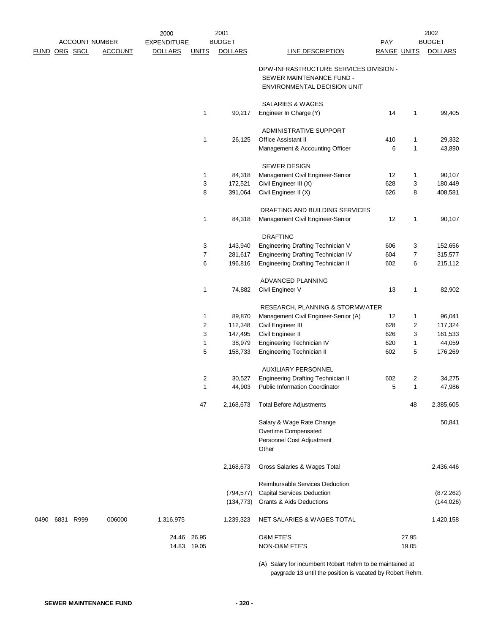|               |           |                       | 2000               |              | 2001              |                                                               |                    |                | 2002              |
|---------------|-----------|-----------------------|--------------------|--------------|-------------------|---------------------------------------------------------------|--------------------|----------------|-------------------|
|               |           | <b>ACCOUNT NUMBER</b> | <b>EXPENDITURE</b> |              | <b>BUDGET</b>     |                                                               | PAY                |                | <b>BUDGET</b>     |
| FUND ORG SBCL |           | <b>ACCOUNT</b>        | <b>DOLLARS</b>     | <b>UNITS</b> | <b>DOLLARS</b>    | <b>LINE DESCRIPTION</b>                                       | <b>RANGE UNITS</b> |                | <b>DOLLARS</b>    |
|               |           |                       |                    |              |                   | DPW-INFRASTRUCTURE SERVICES DIVISION -                        |                    |                |                   |
|               |           |                       |                    |              |                   | SEWER MAINTENANCE FUND -                                      |                    |                |                   |
|               |           |                       |                    |              |                   | ENVIRONMENTAL DECISION UNIT                                   |                    |                |                   |
|               |           |                       |                    |              |                   |                                                               |                    |                |                   |
|               |           |                       |                    |              |                   | SALARIES & WAGES                                              |                    |                |                   |
|               |           |                       |                    | 1            | 90,217            | Engineer In Charge (Y)                                        | 14                 | 1              | 99,405            |
|               |           |                       |                    |              |                   | ADMINISTRATIVE SUPPORT                                        |                    |                |                   |
|               |           |                       |                    | 1            | 26,125            | Office Assistant II                                           | 410                | 1              | 29,332            |
|               |           |                       |                    |              |                   | Management & Accounting Officer                               | 6                  | $\mathbf{1}$   | 43,890            |
|               |           |                       |                    |              |                   |                                                               |                    |                |                   |
|               |           |                       |                    | 1            | 84,318            | <b>SEWER DESIGN</b><br>Management Civil Engineer-Senior       | 12                 | 1              | 90,107            |
|               |           |                       |                    | 3            | 172,521           | Civil Engineer III (X)                                        | 628                | 3              | 180,449           |
|               |           |                       |                    | 8            | 391,064           | Civil Engineer II (X)                                         | 626                | 8              | 408,581           |
|               |           |                       |                    |              |                   |                                                               |                    |                |                   |
|               |           |                       |                    |              |                   | DRAFTING AND BUILDING SERVICES                                |                    |                |                   |
|               |           |                       |                    | 1            | 84,318            | Management Civil Engineer-Senior                              | 12                 | 1              | 90,107            |
|               |           |                       |                    |              |                   | <b>DRAFTING</b>                                               |                    |                |                   |
|               |           |                       |                    | 3            | 143,940           | Engineering Drafting Technician V                             | 606                | 3              | 152,656           |
|               |           |                       |                    | 7            | 281,617           | Engineering Drafting Technician IV                            | 604                | 7              | 315,577           |
|               |           |                       |                    | 6            | 196,816           | <b>Engineering Drafting Technician II</b>                     | 602                | 6              | 215,112           |
|               |           |                       |                    |              |                   |                                                               |                    |                |                   |
|               |           |                       |                    | 1            | 74,882            | ADVANCED PLANNING<br>Civil Engineer V                         | 13                 | 1              | 82,902            |
|               |           |                       |                    |              |                   |                                                               |                    |                |                   |
|               |           |                       |                    |              |                   | RESEARCH, PLANNING & STORMWATER                               |                    |                |                   |
|               |           |                       |                    | 1            | 89,870            | Management Civil Engineer-Senior (A)                          | 12                 | 1              | 96,041            |
|               |           |                       |                    | 2            | 112,348           | Civil Engineer III                                            | 628                | 2              | 117,324           |
|               |           |                       |                    | 3            | 147,495           | Civil Engineer II                                             | 626                | 3              | 161,533           |
|               |           |                       |                    | 1<br>5       | 38,979<br>158,733 | Engineering Technician IV<br><b>Engineering Technician II</b> | 620<br>602         | 1<br>5         | 44,059<br>176,269 |
|               |           |                       |                    |              |                   |                                                               |                    |                |                   |
|               |           |                       |                    |              |                   | <b>AUXILIARY PERSONNEL</b>                                    |                    |                |                   |
|               |           |                       |                    | 2            | 30,527            | <b>Engineering Drafting Technician II</b>                     | 602                | $\overline{2}$ | 34,275            |
|               |           |                       |                    | 1            | 44,903            | <b>Public Information Coordinator</b>                         | 5                  | 1              | 47,986            |
|               |           |                       |                    | 47           | 2,168,673         | <b>Total Before Adjustments</b>                               |                    | 48             | 2,385,605         |
|               |           |                       |                    |              |                   | Salary & Wage Rate Change                                     |                    |                | 50,841            |
|               |           |                       |                    |              |                   | Overtime Compensated                                          |                    |                |                   |
|               |           |                       |                    |              |                   | Personnel Cost Adjustment                                     |                    |                |                   |
|               |           |                       |                    |              |                   | Other                                                         |                    |                |                   |
|               |           |                       |                    |              | 2,168,673         |                                                               |                    |                |                   |
|               |           |                       |                    |              |                   | Gross Salaries & Wages Total                                  |                    |                | 2,436,446         |
|               |           |                       |                    |              |                   | Reimbursable Services Deduction                               |                    |                |                   |
|               |           |                       |                    |              | (794, 577)        | <b>Capital Services Deduction</b>                             |                    |                | (872, 262)        |
|               |           |                       |                    |              | (134, 773)        | Grants & Aids Deductions                                      |                    |                | (144, 026)        |
| 0490          | 6831 R999 | 006000                | 1,316,975          |              | 1,239,323         | NET SALARIES & WAGES TOTAL                                    |                    |                | 1,420,158         |
|               |           |                       | 24.46              | 26.95        |                   | O&M FTE'S                                                     |                    | 27.95          |                   |
|               |           |                       |                    | 14.83 19.05  |                   | NON-O&M FTE'S                                                 |                    | 19.05          |                   |
|               |           |                       |                    |              |                   |                                                               |                    |                |                   |

(A) Salary for incumbent Robert Rehm to be maintained at paygrade 13 until the position is vacated by Robert Rehm.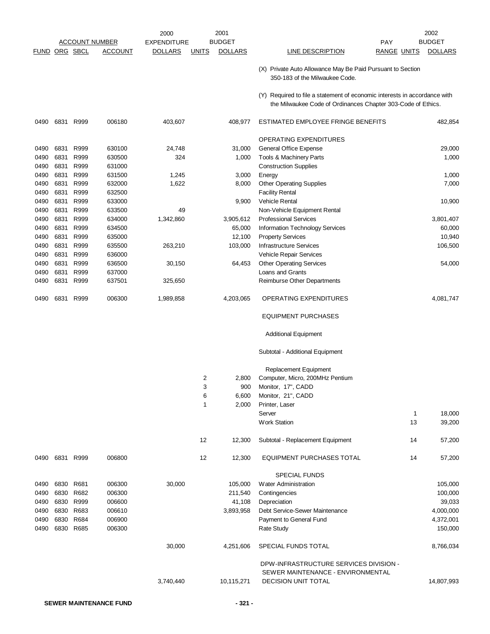|                      |      |                |                       | 2000               | 2001                           |       |                                                                                                                                           |                    | 2002           |
|----------------------|------|----------------|-----------------------|--------------------|--------------------------------|-------|-------------------------------------------------------------------------------------------------------------------------------------------|--------------------|----------------|
|                      |      |                | <u>ACCOUNT NUMBER</u> | <b>EXPENDITURE</b> | <b>BUDGET</b>                  |       | PAY                                                                                                                                       |                    | <b>BUDGET</b>  |
| <b>FUND ORG SBCL</b> |      |                | <u>ACCOUNT</u>        | <b>DOLLARS</b>     | <b>DOLLARS</b><br><u>UNITS</u> |       | <b>LINE DESCRIPTION</b>                                                                                                                   | <b>RANGE UNITS</b> | <b>DOLLARS</b> |
|                      |      |                |                       |                    |                                |       | (X) Private Auto Allowance May Be Paid Pursuant to Section<br>350-183 of the Milwaukee Code.                                              |                    |                |
|                      |      |                |                       |                    |                                |       | (Y) Required to file a statement of economic interests in accordance with<br>the Milwaukee Code of Ordinances Chapter 303-Code of Ethics. |                    |                |
| 0490                 | 6831 | R999           | 006180                | 403,607            | 408,977                        |       | ESTIMATED EMPLOYEE FRINGE BENEFITS                                                                                                        |                    | 482,854        |
|                      |      |                |                       |                    |                                |       | OPERATING EXPENDITURES                                                                                                                    |                    |                |
| 0490                 | 6831 | R999           | 630100                | 24,748             | 31,000                         |       | General Office Expense                                                                                                                    |                    | 29,000         |
| 0490                 | 6831 | R999           | 630500                | 324                |                                | 1,000 | Tools & Machinery Parts                                                                                                                   |                    | 1,000          |
| 0490                 | 6831 | R999           | 631000                |                    |                                |       | <b>Construction Supplies</b>                                                                                                              |                    |                |
| 0490                 | 6831 | R999           | 631500                | 1,245              |                                | 3,000 | Energy                                                                                                                                    |                    | 1,000          |
| 0490                 | 6831 | R999           | 632000                | 1,622              |                                | 8,000 | <b>Other Operating Supplies</b>                                                                                                           |                    | 7,000          |
| 0490                 | 6831 | R999           | 632500                |                    |                                |       | <b>Facility Rental</b>                                                                                                                    |                    |                |
| 0490                 | 6831 | R999           | 633000                |                    |                                | 9,900 | <b>Vehicle Rental</b>                                                                                                                     |                    | 10,900         |
| 0490                 | 6831 | R999           | 633500                | 49                 |                                |       | Non-Vehicle Equipment Rental                                                                                                              |                    |                |
| 0490                 | 6831 | R999           | 634000                | 1,342,860          | 3,905,612                      |       | <b>Professional Services</b>                                                                                                              |                    | 3,801,407      |
| 0490                 | 6831 | R999           | 634500                |                    | 65,000                         |       | Information Technology Services                                                                                                           |                    | 60,000         |
| 0490                 | 6831 | R999           | 635000                |                    | 12,100                         |       | <b>Property Services</b>                                                                                                                  |                    | 10,940         |
| 0490                 | 6831 | R999           | 635500                | 263,210            | 103,000                        |       | <b>Infrastructure Services</b>                                                                                                            |                    | 106,500        |
| 0490                 | 6831 | R999           | 636000                |                    |                                |       | Vehicle Repair Services                                                                                                                   |                    |                |
| 0490                 | 6831 | R999           | 636500                | 30,150             | 64,453                         |       | <b>Other Operating Services</b>                                                                                                           |                    | 54,000         |
| 0490                 | 6831 | R999           | 637000                |                    |                                |       | Loans and Grants                                                                                                                          |                    |                |
| 0490                 | 6831 | R999           | 637501                | 325,650            |                                |       | Reimburse Other Departments                                                                                                               |                    |                |
| 0490                 | 6831 | R999           | 006300                | 1,989,858          | 4,203,065                      |       | <b>OPERATING EXPENDITURES</b>                                                                                                             |                    | 4,081,747      |
|                      |      |                |                       |                    |                                |       | <b>EQUIPMENT PURCHASES</b>                                                                                                                |                    |                |
|                      |      |                |                       |                    |                                |       | <b>Additional Equipment</b>                                                                                                               |                    |                |
|                      |      |                |                       |                    |                                |       | Subtotal - Additional Equipment                                                                                                           |                    |                |
|                      |      |                |                       |                    |                                |       | Replacement Equipment                                                                                                                     |                    |                |
|                      |      |                |                       |                    | 2                              | 2,800 | Computer, Micro, 200MHz Pentium                                                                                                           |                    |                |
|                      |      |                |                       |                    | 3                              | 900   | Monitor, 17", CADD                                                                                                                        |                    |                |
|                      |      |                |                       |                    | 6                              | 6,600 | Monitor, 21", CADD                                                                                                                        |                    |                |
|                      |      |                |                       |                    | 1                              | 2,000 | Printer, Laser                                                                                                                            |                    |                |
|                      |      |                |                       |                    |                                |       | Server                                                                                                                                    | 1                  | 18,000         |
|                      |      |                |                       |                    |                                |       | <b>Work Station</b>                                                                                                                       | 13                 | 39,200         |
|                      |      |                |                       |                    | 12<br>12,300                   |       | Subtotal - Replacement Equipment                                                                                                          | 14                 | 57,200         |
|                      |      | 0490 6831 R999 | 006800                |                    | 12<br>12,300                   |       | <b>EQUIPMENT PURCHASES TOTAL</b>                                                                                                          | 14                 | 57,200         |
|                      |      |                |                       |                    |                                |       | <b>SPECIAL FUNDS</b>                                                                                                                      |                    |                |
| 0490                 |      | 6830 R681      | 006300                | 30,000             | 105,000                        |       | Water Administration                                                                                                                      |                    | 105,000        |
| 0490                 |      | 6830 R682      | 006300                |                    | 211,540                        |       | Contingencies                                                                                                                             |                    | 100,000        |
| 0490                 |      | 6830 R999      | 006600                |                    | 41,108                         |       | Depreciation                                                                                                                              |                    | 39,033         |
| 0490                 |      | 6830 R683      | 006610                |                    | 3,893,958                      |       | Debt Service-Sewer Maintenance                                                                                                            |                    | 4,000,000      |
| 0490                 |      | 6830 R684      | 006900                |                    |                                |       | Payment to General Fund                                                                                                                   |                    | 4,372,001      |
| 0490                 |      | 6830 R685      | 006300                |                    |                                |       | <b>Rate Study</b>                                                                                                                         |                    | 150,000        |
|                      |      |                |                       | 30,000             | 4,251,606                      |       | SPECIAL FUNDS TOTAL                                                                                                                       |                    | 8,766,034      |
|                      |      |                |                       |                    |                                |       | DPW-INFRASTRUCTURE SERVICES DIVISION -                                                                                                    |                    |                |
|                      |      |                |                       |                    |                                |       | SEWER MAINTENANCE - ENVIRONMENTAL                                                                                                         |                    |                |
|                      |      |                |                       | 3,740,440          | 10,115,271                     |       | <b>DECISION UNIT TOTAL</b>                                                                                                                |                    | 14,807,993     |
|                      |      |                |                       |                    |                                |       |                                                                                                                                           |                    |                |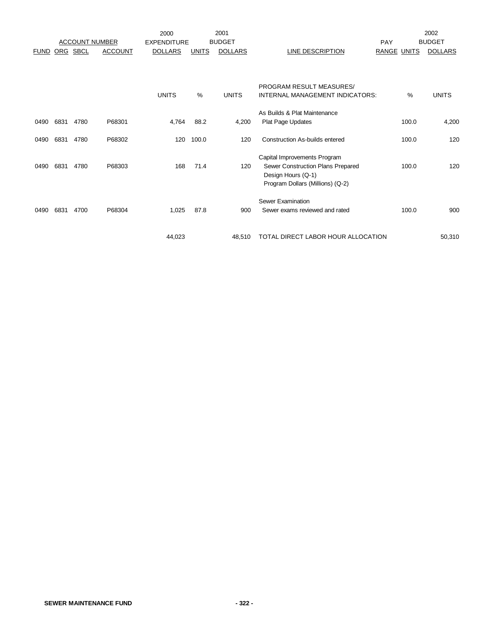|             |            |                       |                | 2000               |               | 2001           |                                                                                         |                    |       | 2002           |
|-------------|------------|-----------------------|----------------|--------------------|---------------|----------------|-----------------------------------------------------------------------------------------|--------------------|-------|----------------|
|             |            | <b>ACCOUNT NUMBER</b> |                | <b>EXPENDITURE</b> |               | <b>BUDGET</b>  |                                                                                         | PAY                |       | <b>BUDGET</b>  |
| <b>FUND</b> | <b>ORG</b> | <b>SBCL</b>           | <b>ACCOUNT</b> | <b>DOLLARS</b>     | <b>UNITS</b>  | <b>DOLLARS</b> | LINE DESCRIPTION                                                                        | <b>RANGE UNITS</b> |       | <b>DOLLARS</b> |
|             |            |                       |                |                    |               |                |                                                                                         |                    |       |                |
|             |            |                       |                |                    |               |                | PROGRAM RESULT MEASURES/                                                                |                    |       |                |
|             |            |                       |                | <b>UNITS</b>       | $\frac{0}{0}$ | <b>UNITS</b>   | INTERNAL MANAGEMENT INDICATORS:                                                         |                    | %     | <b>UNITS</b>   |
|             |            |                       |                |                    |               |                | As Builds & Plat Maintenance                                                            |                    |       |                |
| 0490        | 6831       | 4780                  | P68301         | 4,764              | 88.2          | 4,200          | Plat Page Updates                                                                       |                    | 100.0 | 4,200          |
| 0490        | 6831       | 4780                  | P68302         | 120                | 100.0         | 120            | <b>Construction As-builds entered</b>                                                   |                    | 100.0 | 120            |
| 0490        | 6831       | 4780                  | P68303         | 168                | 71.4          | 120            | Capital Improvements Program<br>Sewer Construction Plans Prepared<br>Design Hours (Q-1) |                    | 100.0 | 120            |
|             |            |                       |                |                    |               |                | Program Dollars (Millions) (Q-2)                                                        |                    |       |                |
|             |            |                       |                |                    |               |                | Sewer Examination                                                                       |                    |       |                |
| 0490        | 6831       | 4700                  | P68304         | 1,025              | 87.8          | 900            | Sewer exams reviewed and rated                                                          |                    | 100.0 | 900            |
|             |            |                       |                | 44,023             |               | 48.510         | TOTAL DIRECT LABOR HOUR ALLOCATION                                                      |                    |       | 50,310         |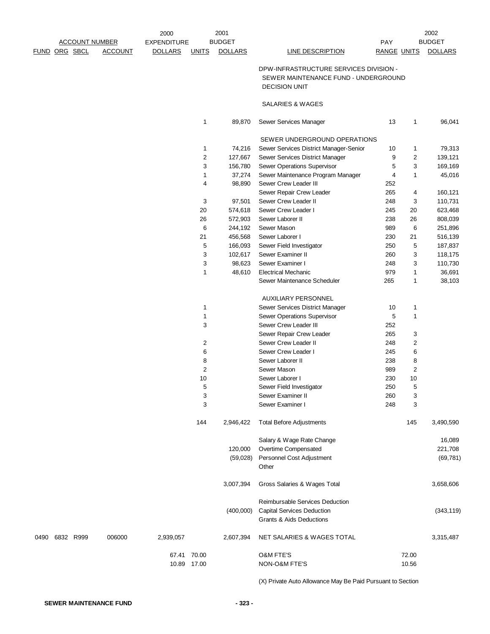|      |                       |                | 2000               |                      | 2001           |                                                                                                        |                    |                | 2002           |
|------|-----------------------|----------------|--------------------|----------------------|----------------|--------------------------------------------------------------------------------------------------------|--------------------|----------------|----------------|
|      | <b>ACCOUNT NUMBER</b> |                | <b>EXPENDITURE</b> |                      | <b>BUDGET</b>  |                                                                                                        | PAY                |                | <b>BUDGET</b>  |
|      | <u>FUND ORG SBCL</u>  | <b>ACCOUNT</b> | <b>DOLLARS</b>     | <b>UNITS</b>         | <b>DOLLARS</b> | <b>LINE DESCRIPTION</b>                                                                                | <b>RANGE UNITS</b> |                | <b>DOLLARS</b> |
|      |                       |                |                    |                      |                | DPW-INFRASTRUCTURE SERVICES DIVISION -<br>SEWER MAINTENANCE FUND - UNDERGROUND<br><b>DECISION UNIT</b> |                    |                |                |
|      |                       |                |                    |                      |                | SALARIES & WAGES                                                                                       |                    |                |                |
|      |                       |                |                    | 1                    | 89,870         | Sewer Services Manager                                                                                 | 13                 | $\mathbf{1}$   | 96,041         |
|      |                       |                |                    |                      |                | SEWER UNDERGROUND OPERATIONS                                                                           |                    |                |                |
|      |                       |                |                    | 1                    | 74,216         | Sewer Services District Manager-Senior                                                                 | 10                 | $\mathbf{1}$   | 79,313         |
|      |                       |                |                    | $\overline{c}$       | 127,667        | Sewer Services District Manager                                                                        | 9                  | $\overline{c}$ | 139,121        |
|      |                       |                |                    | 3                    | 156,780        | Sewer Operations Supervisor                                                                            | 5                  | 3              | 169,169        |
|      |                       |                |                    | $\mathbf{1}$         | 37,274         | Sewer Maintenance Program Manager                                                                      | 4                  | $\mathbf{1}$   | 45,016         |
|      |                       |                |                    | 4                    | 98,890         | Sewer Crew Leader III                                                                                  | 252                |                |                |
|      |                       |                |                    |                      |                | Sewer Repair Crew Leader                                                                               | 265                | 4              | 160,121        |
|      |                       |                |                    | 3                    | 97,501         | Sewer Crew Leader II                                                                                   | 248                | 3              | 110,731        |
|      |                       |                |                    | 20                   | 574,618        | Sewer Crew Leader I                                                                                    | 245                | 20             | 623,468        |
|      |                       |                |                    | 26                   | 572,903        | Sewer Laborer II                                                                                       | 238                | 26             | 808,039        |
|      |                       |                |                    | 6                    | 244,192        | Sewer Mason                                                                                            | 989                | 6              | 251,896        |
|      |                       |                |                    | 21                   | 456,568        | Sewer Laborer I                                                                                        | 230                | 21             | 516,139        |
|      |                       |                |                    | 5                    | 166,093        | Sewer Field Investigator                                                                               | 250                | 5              | 187,837        |
|      |                       |                |                    | 3                    | 102,617        | Sewer Examiner II                                                                                      | 260                | 3              | 118,175        |
|      |                       |                |                    | 3                    | 98,623         | Sewer Examiner I                                                                                       | 248                | 3              | 110,730        |
|      |                       |                |                    | 1                    | 48,610         | <b>Electrical Mechanic</b>                                                                             | 979                | $\mathbf{1}$   | 36,691         |
|      |                       |                |                    |                      |                | Sewer Maintenance Scheduler                                                                            | 265                | $\mathbf{1}$   | 38,103         |
|      |                       |                |                    |                      |                | AUXILIARY PERSONNEL                                                                                    |                    |                |                |
|      |                       |                |                    | 1                    |                | Sewer Services District Manager                                                                        | 10                 | 1              |                |
|      |                       |                |                    | 1                    |                | Sewer Operations Supervisor                                                                            | 5                  | $\mathbf{1}$   |                |
|      |                       |                |                    | 3                    |                | Sewer Crew Leader III                                                                                  | 252                |                |                |
|      |                       |                |                    |                      |                | Sewer Repair Crew Leader                                                                               | 265                | 3              |                |
|      |                       |                |                    | 2                    |                | Sewer Crew Leader II                                                                                   | 248                | 2              |                |
|      |                       |                |                    | 6                    |                | Sewer Crew Leader I                                                                                    | 245                | 6              |                |
|      |                       |                |                    | 8                    |                | Sewer Laborer II                                                                                       | 238                | 8              |                |
|      |                       |                |                    | $\overline{c}$       |                | Sewer Mason                                                                                            | 989                | $\overline{c}$ |                |
|      |                       |                |                    | 10                   |                | Sewer Laborer I                                                                                        | 230                | 10             |                |
|      |                       |                |                    | 5                    |                | Sewer Field Investigator                                                                               | 250                | 5              |                |
|      |                       |                |                    | 3                    |                | Sewer Examiner II                                                                                      | 260                | 3              |                |
|      |                       |                |                    | 3                    |                | Sewer Examiner I                                                                                       | 248                | 3              |                |
|      |                       |                |                    | 144                  | 2,946,422      | <b>Total Before Adjustments</b>                                                                        |                    | 145            | 3,490,590      |
|      |                       |                |                    |                      |                | Salary & Wage Rate Change                                                                              |                    |                | 16,089         |
|      |                       |                |                    |                      | 120,000        | Overtime Compensated                                                                                   |                    |                | 221,708        |
|      |                       |                |                    |                      | (59,028)       | Personnel Cost Adjustment                                                                              |                    |                | (69, 781)      |
|      |                       |                |                    |                      |                | Other                                                                                                  |                    |                |                |
|      |                       |                |                    |                      | 3,007,394      | Gross Salaries & Wages Total                                                                           |                    |                | 3,658,606      |
|      |                       |                |                    |                      |                | Reimbursable Services Deduction                                                                        |                    |                |                |
|      |                       |                |                    |                      | (400,000)      | <b>Capital Services Deduction</b><br>Grants & Aids Deductions                                          |                    |                | (343, 119)     |
| 0490 | 6832 R999             | 006000         | 2,939,057          |                      | 2,607,394      | NET SALARIES & WAGES TOTAL                                                                             |                    |                | 3,315,487      |
|      |                       |                | 67.41              | 70.00<br>10.89 17.00 |                | <b>O&amp;M FTE'S</b><br>NON-O&M FTE'S                                                                  |                    | 72.00<br>10.56 |                |
|      |                       |                |                    |                      |                |                                                                                                        |                    |                |                |

(X) Private Auto Allowance May Be Paid Pursuant to Section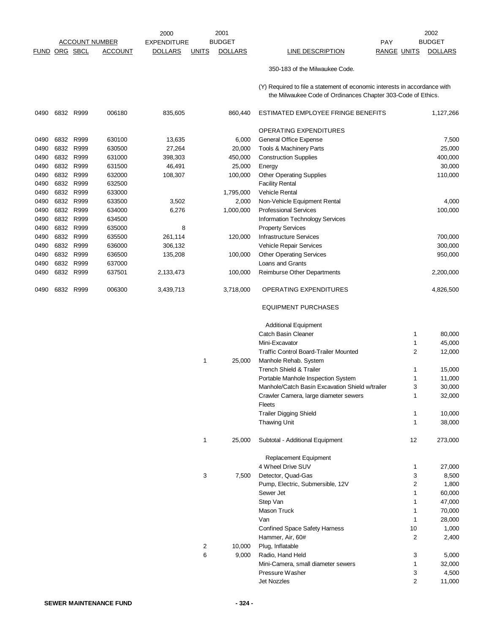2000 EXPENDITURE BUDGET NOTES AND THE PAY FUND ORG SBCL ACCOUNT DOLLARS UNITS DOLLARS LINE DESCRIPTION RANGE UNITS DOLLARS 2002 ACCOUNT NUMBER EXPENDITURE BUDGET AND RESERVE THE PAY BUDGET 2001 BUDGET 350-183 of the Milwaukee Code. (Y) Required to file a statement of economic interests in accordance with the Milwaukee Code of Ordinances Chapter 303-Code of Ethics. 0490 6832 R999 006180 835,605 860,440 ESTIMATED EMPLOYEE FRINGE BENEFITS 1,127,266 OPERATING EXPENDITURES 0490 6832 R999 630100 13,635 6,000 General Office Expense 6,000 6 and 57,500 0490 6832 R999 630500 27,264 20,000 Tools & Machinery Parts 25,000 0490 6832 R999 631000 398,303 450,000 Construction Supplies 400,000 0490 6832 R999 631500 46,491 25,000 Energy 30,000 0490 6832 R999 632000 108,307 100,000 Other Operating Supplies 110,000 110,000 0490 6832 R999 632500 **6832 R999 632500 Facility Rental** 0490 6832 R999 633000 6300 1,795,000 Vehicle Rental 0490 6832 R999 633500 3,502 2,000 Non-Vehicle Equipment Rental 4,000 0490 6832 R999 634000 6,276 1,000,000 Professional Services 100,000 0490 6832 R999 634500 Information Technology Services 0490 6832 R999 635000 8 8 Property Services 0490 6832 R999 635500 261,114 120,000 Infrastructure Services 700,000 0490 6832 R999 636000 306,132 Vehicle Repair Services 300,000 0490 6832 R999 636500 135,208 100,000 Other Operating Services 950,000 0490 6832 R999 637000 Loans and Grants 0490 6832 R999 637501 2,133,473 100,000 Reimburse Other Departments 2,200,000 0490 6832 R999 006300 3,439,713 3,718,000 OPERATING EXPENDITURES 4,826,500

#### EQUIPMENT PURCHASES

|   |        | <b>Additional Equipment</b>                     |                |         |
|---|--------|-------------------------------------------------|----------------|---------|
|   |        | <b>Catch Basin Cleaner</b>                      | $\mathbf{1}$   | 80,000  |
|   |        | Mini-Excavator                                  | 1              | 45,000  |
|   |        | <b>Traffic Control Board-Trailer Mounted</b>    | $\overline{2}$ | 12,000  |
| 1 | 25,000 | Manhole Rehab. System                           |                |         |
|   |        | <b>Trench Shield &amp; Trailer</b>              | 1              | 15,000  |
|   |        | Portable Manhole Inspection System              | 1              | 11,000  |
|   |        | Manhole/Catch Basin Excavation Shield w/trailer | 3              | 30,000  |
|   |        | Crawler Camera, large diameter sewers           | 1              | 32,000  |
|   |        | Fleets                                          |                |         |
|   |        | <b>Trailer Digging Shield</b>                   | 1              | 10,000  |
|   |        | <b>Thawing Unit</b>                             | 1              | 38,000  |
| 1 | 25,000 | Subtotal - Additional Equipment                 | 12             | 273,000 |
|   |        | <b>Replacement Equipment</b>                    |                |         |
|   |        | 4 Wheel Drive SUV                               | $\mathbf{1}$   | 27,000  |
| 3 | 7,500  | Detector, Quad-Gas                              | 3              | 8,500   |
|   |        | Pump, Electric, Submersible, 12V                | $\overline{2}$ | 1,800   |
|   |        | Sewer Jet                                       | 1              | 60,000  |
|   |        | Step Van                                        | 1              | 47,000  |
|   |        | Mason Truck                                     | $\mathbf{1}$   | 70,000  |
|   |        | Van                                             | 1              | 28,000  |
|   |        | <b>Confined Space Safety Harness</b>            | 10             | 1,000   |
|   |        | Hammer, Air, 60#                                | $\overline{2}$ | 2,400   |
| 2 | 10,000 | Plug, Inflatable                                |                |         |
| 6 | 9,000  | Radio, Hand Held                                | 3              | 5,000   |
|   |        | Mini-Camera, small diameter sewers              | 1              | 32,000  |
|   |        | Pressure Washer                                 | 3              | 4,500   |
|   |        | <b>Jet Nozzles</b>                              | $\overline{2}$ | 11,000  |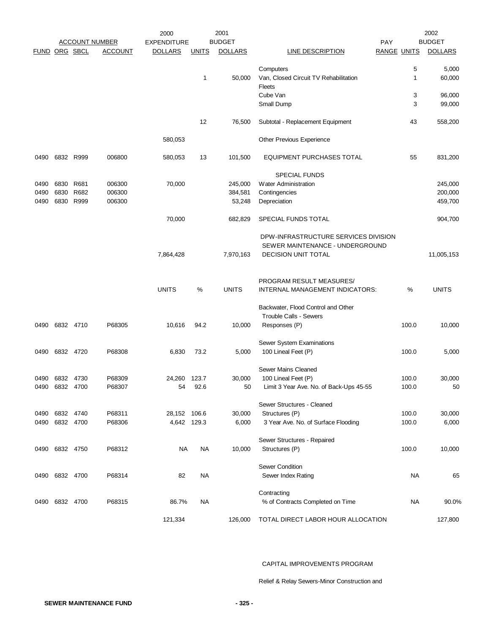|                      |                |      | <b>ACCOUNT NUMBER</b> | 2000<br><b>EXPENDITURE</b> |              | 2001<br><b>BUDGET</b> | <b>PAY</b>                                       |                    | 2002<br><b>BUDGET</b> |
|----------------------|----------------|------|-----------------------|----------------------------|--------------|-----------------------|--------------------------------------------------|--------------------|-----------------------|
| <b>FUND ORG SBCL</b> |                |      | <b>ACCOUNT</b>        | <b>DOLLARS</b>             | <b>UNITS</b> | <b>DOLLARS</b>        | <b>LINE DESCRIPTION</b>                          | <b>RANGE UNITS</b> | <b>DOLLARS</b>        |
|                      |                |      |                       |                            |              |                       |                                                  |                    |                       |
|                      |                |      |                       |                            |              |                       | Computers                                        | 5                  | 5,000                 |
|                      |                |      |                       |                            | 1            | 50,000                | Van, Closed Circuit TV Rehabilitation            | $\mathbf{1}$       | 60,000                |
|                      |                |      |                       |                            |              |                       | Fleets<br>Cube Van                               | 3                  | 96,000                |
|                      |                |      |                       |                            |              |                       | Small Dump                                       | 3                  | 99,000                |
|                      |                |      |                       |                            |              |                       |                                                  |                    |                       |
|                      |                |      |                       |                            | 12           | 76,500                | Subtotal - Replacement Equipment                 | 43                 | 558,200               |
|                      |                |      |                       | 580,053                    |              |                       | Other Previous Experience                        |                    |                       |
| 0490                 | 6832 R999      |      | 006800                | 580,053                    | 13           | 101,500               | EQUIPMENT PURCHASES TOTAL                        | 55                 | 831,200               |
|                      |                |      |                       |                            |              |                       | <b>SPECIAL FUNDS</b>                             |                    |                       |
| 0490                 | 6830           | R681 | 006300                | 70,000                     |              | 245,000               | Water Administration                             |                    | 245,000               |
| 0490                 | 6830           | R682 | 006300                |                            |              | 384,581               | Contingencies                                    |                    | 200,000               |
| 0490                 | 6830           | R999 | 006300                |                            |              | 53,248                | Depreciation                                     |                    | 459,700               |
|                      |                |      |                       | 70,000                     |              | 682,829               | SPECIAL FUNDS TOTAL                              |                    | 904,700               |
|                      |                |      |                       |                            |              |                       | DPW-INFRASTRUCTURE SERVICES DIVISION             |                    |                       |
|                      |                |      |                       |                            |              |                       | SEWER MAINTENANCE - UNDERGROUND                  |                    |                       |
|                      |                |      |                       | 7,864,428                  |              | 7,970,163             | <b>DECISION UNIT TOTAL</b>                       |                    | 11,005,153            |
|                      |                |      |                       |                            |              |                       |                                                  |                    |                       |
|                      |                |      |                       |                            |              |                       | PROGRAM RESULT MEASURES/                         |                    |                       |
|                      |                |      |                       | <b>UNITS</b>               | %            | <b>UNITS</b>          | INTERNAL MANAGEMENT INDICATORS:                  | %                  | <b>UNITS</b>          |
|                      |                |      |                       |                            |              |                       | Backwater, Flood Control and Other               |                    |                       |
|                      |                |      |                       |                            |              |                       | <b>Trouble Calls - Sewers</b>                    |                    |                       |
|                      | 0490 6832 4710 |      | P68305                | 10,616                     | 94.2         | 10,000                | Responses (P)                                    | 100.0              | 10,000                |
|                      |                |      |                       |                            |              |                       |                                                  |                    |                       |
| 0490                 | 6832 4720      |      | P68308                | 6,830                      | 73.2         | 5,000                 | Sewer System Examinations<br>100 Lineal Feet (P) | 100.0              | 5,000                 |
|                      |                |      |                       |                            |              |                       |                                                  |                    |                       |
|                      |                |      |                       |                            |              |                       | Sewer Mains Cleaned                              |                    |                       |
| 0490                 | 6832           | 4730 | P68309                | 24,260 123.7               |              | 30,000                | 100 Lineal Feet (P)                              | 100.0              | 30,000                |
|                      | 0490 6832 4700 |      | P68307                | 54                         | 92.6         | 50                    | Limit 3 Year Ave. No. of Back-Ups 45-55          | 100.0              | 50                    |
|                      |                |      |                       |                            |              |                       | Sewer Structures - Cleaned                       |                    |                       |
| 0490                 | 6832           | 4740 | P68311                | 28,152 106.6               |              | 30,000                | Structures (P)                                   | 100.0              | 30,000                |
| 0490                 | 6832 4700      |      | P68306                | 4,642 129.3                |              | 6,000                 | 3 Year Ave. No. of Surface Flooding              | 100.0              | 6,000                 |
|                      |                |      |                       |                            |              |                       |                                                  |                    |                       |
|                      | 0490 6832 4750 |      | P68312                | <b>NA</b>                  | <b>NA</b>    | 10,000                | Sewer Structures - Repaired<br>Structures (P)    | 100.0              | 10,000                |
|                      |                |      |                       |                            |              |                       |                                                  |                    |                       |
|                      |                |      |                       |                            |              |                       | <b>Sewer Condition</b>                           |                    |                       |
|                      | 0490 6832 4700 |      | P68314                | 82                         | <b>NA</b>    |                       | Sewer Index Rating                               | NA                 | 65                    |
|                      |                |      |                       |                            |              |                       | Contracting                                      |                    |                       |
| 0490                 | 6832 4700      |      | P68315                | 86.7%                      | NA           |                       | % of Contracts Completed on Time                 | NA                 | 90.0%                 |
|                      |                |      |                       |                            |              |                       |                                                  |                    |                       |
|                      |                |      |                       | 121,334                    |              | 126,000               | TOTAL DIRECT LABOR HOUR ALLOCATION               |                    | 127,800               |

#### CAPITAL IMPROVEMENTS PROGRAM

Relief & Relay Sewers-Minor Construction and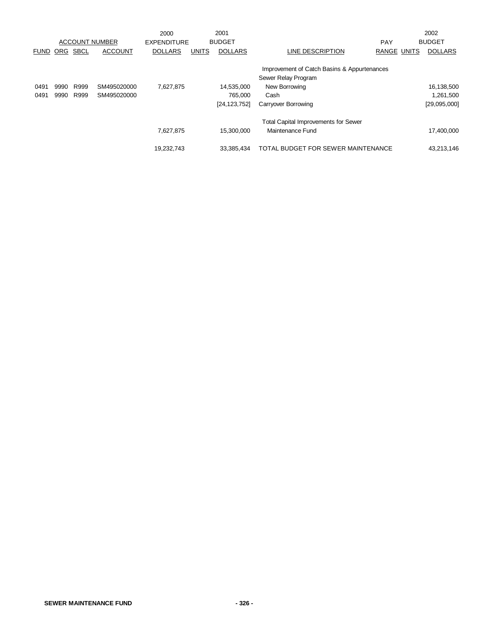|             |      |             |                       | 2000               |              | 2001           |                                                                    |                    | 2002           |
|-------------|------|-------------|-----------------------|--------------------|--------------|----------------|--------------------------------------------------------------------|--------------------|----------------|
|             |      |             | <b>ACCOUNT NUMBER</b> | <b>EXPENDITURE</b> |              | <b>BUDGET</b>  |                                                                    | PAY                | <b>BUDGET</b>  |
| <b>FUND</b> | ORG  | <b>SBCL</b> | <b>ACCOUNT</b>        | <b>DOLLARS</b>     | <b>UNITS</b> | <b>DOLLARS</b> | LINE DESCRIPTION                                                   | <b>RANGE UNITS</b> | <b>DOLLARS</b> |
|             |      |             |                       |                    |              |                | Improvement of Catch Basins & Appurtenances<br>Sewer Relay Program |                    |                |
| 0491        | 9990 | R999        | SM495020000           | 7,627,875          |              | 14,535,000     | New Borrowing                                                      |                    | 16,138,500     |
| 0491        | 9990 | R999        | SM495020000           |                    |              | 765.000        | Cash                                                               |                    | 1,261,500      |
|             |      |             |                       |                    |              | [24, 123, 752] | Carryover Borrowing                                                |                    | [29,095,000]   |
|             |      |             |                       |                    |              |                | <b>Total Capital Improvements for Sewer</b>                        |                    |                |
|             |      |             |                       | 7,627,875          |              | 15.300.000     | Maintenance Fund                                                   |                    | 17,400,000     |
|             |      |             |                       | 19,232,743         |              | 33,385,434     | TOTAL BUDGET FOR SEWER MAINTENANCE                                 |                    | 43,213,146     |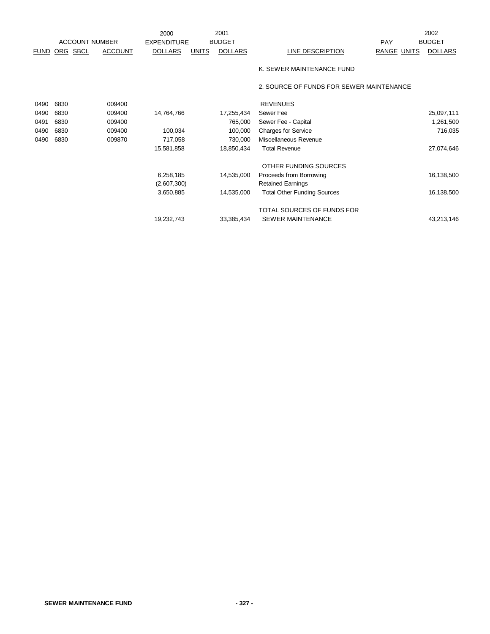|             |            |                       |                | 2000               |              | 2001           |                                          |                    | 2002           |
|-------------|------------|-----------------------|----------------|--------------------|--------------|----------------|------------------------------------------|--------------------|----------------|
|             |            | <b>ACCOUNT NUMBER</b> |                | <b>EXPENDITURE</b> |              | <b>BUDGET</b>  |                                          | <b>PAY</b>         | <b>BUDGET</b>  |
| <b>FUND</b> | <u>ORG</u> | <b>SBCL</b>           | <b>ACCOUNT</b> | <b>DOLLARS</b>     | <b>UNITS</b> | <b>DOLLARS</b> | LINE DESCRIPTION                         | <b>RANGE UNITS</b> | <b>DOLLARS</b> |
|             |            |                       |                |                    |              |                | K. SEWER MAINTENANCE FUND                |                    |                |
|             |            |                       |                |                    |              |                | 2. SOURCE OF FUNDS FOR SEWER MAINTENANCE |                    |                |
| 0490        | 6830       |                       | 009400         |                    |              |                | <b>REVENUES</b>                          |                    |                |
| 0490        | 6830       |                       | 009400         | 14,764,766         |              | 17,255,434     | Sewer Fee                                |                    | 25,097,111     |
| 0491        | 6830       |                       | 009400         |                    |              | 765,000        | Sewer Fee - Capital                      |                    | 1,261,500      |
| 0490        | 6830       |                       | 009400         | 100,034            |              | 100,000        | <b>Charges for Service</b>               |                    | 716,035        |
| 0490        | 6830       |                       | 009870         | 717,058            |              | 730,000        | Miscellaneous Revenue                    |                    |                |
|             |            |                       |                | 15,581,858         |              | 18,850,434     | <b>Total Revenue</b>                     |                    | 27,074,646     |
|             |            |                       |                |                    |              |                | OTHER FUNDING SOURCES                    |                    |                |
|             |            |                       |                | 6,258,185          |              | 14,535,000     | Proceeds from Borrowing                  |                    | 16,138,500     |
|             |            |                       |                | (2,607,300)        |              |                | <b>Retained Earnings</b>                 |                    |                |
|             |            |                       |                | 3,650,885          |              | 14,535,000     | <b>Total Other Funding Sources</b>       |                    | 16,138,500     |
|             |            |                       |                |                    |              |                | TOTAL SOURCES OF FUNDS FOR               |                    |                |
|             |            |                       |                | 19,232,743         |              | 33,385,434     | SEWER MAINTENANCE                        |                    | 43,213,146     |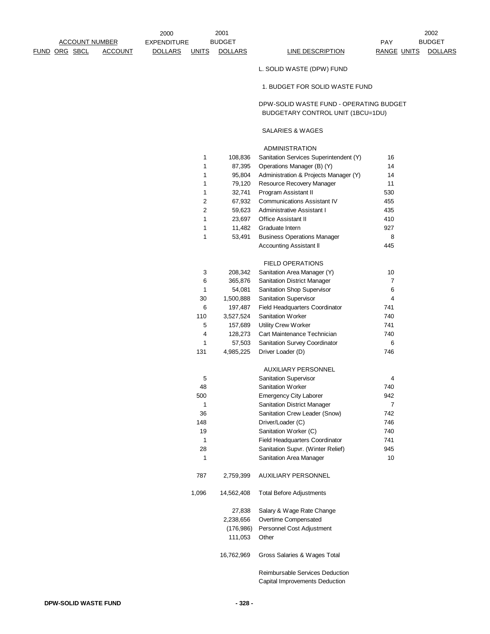|                       |                | 2000               |                | 2001           |                                                                              |                    | 2002           |
|-----------------------|----------------|--------------------|----------------|----------------|------------------------------------------------------------------------------|--------------------|----------------|
| <b>ACCOUNT NUMBER</b> |                | <b>EXPENDITURE</b> |                | <b>BUDGET</b>  |                                                                              | <b>PAY</b>         | <b>BUDGET</b>  |
| <u>FUND ORG SBCL</u>  | <b>ACCOUNT</b> | <b>DOLLARS</b>     | <b>UNITS</b>   | <b>DOLLARS</b> | <b>LINE DESCRIPTION</b>                                                      | <b>RANGE UNITS</b> | <b>DOLLARS</b> |
|                       |                |                    |                |                | L. SOLID WASTE (DPW) FUND                                                    |                    |                |
|                       |                |                    |                |                | 1. BUDGET FOR SOLID WASTE FUND                                               |                    |                |
|                       |                |                    |                |                | DPW-SOLID WASTE FUND - OPERATING BUDGET<br>BUDGETARY CONTROL UNIT (1BCU=1DU) |                    |                |
|                       |                |                    |                |                | SALARIES & WAGES                                                             |                    |                |
|                       |                |                    |                |                | <b>ADMINISTRATION</b>                                                        |                    |                |
|                       |                |                    | 1              | 108,836        | Sanitation Services Superintendent (Y)                                       | 16                 |                |
|                       |                |                    | 1              | 87,395         | Operations Manager (B) (Y)                                                   | 14                 |                |
|                       |                |                    | 1              | 95,804         | Administration & Projects Manager (Y)                                        | 14                 |                |
|                       |                |                    | 1              | 79,120         | Resource Recovery Manager                                                    | 11                 |                |
|                       |                |                    | 1              | 32,741         | Program Assistant II                                                         | 530                |                |
|                       |                |                    | $\overline{c}$ | 67,932         | <b>Communications Assistant IV</b>                                           | 455                |                |
|                       |                |                    | 2              | 59,623         | Administrative Assistant I                                                   | 435                |                |
|                       |                |                    | 1              | 23,697         | <b>Office Assistant II</b>                                                   | 410                |                |
|                       |                |                    | 1              | 11,482         | Graduate Intern                                                              | 927                |                |
|                       |                |                    | 1              | 53,491         | <b>Business Operations Manager</b>                                           | 8                  |                |
|                       |                |                    |                |                | <b>Accounting Assistant II</b>                                               | 445                |                |
|                       |                |                    |                |                | <b>FIELD OPERATIONS</b>                                                      |                    |                |
|                       |                |                    | 3              | 208,342        | Sanitation Area Manager (Y)                                                  | 10                 |                |
|                       |                |                    | 6              | 365,876        | <b>Sanitation District Manager</b>                                           | $\overline{7}$     |                |
|                       |                |                    | $\mathbf{1}$   | 54,081         | Sanitation Shop Supervisor                                                   | 6                  |                |
|                       |                |                    | 30             | 1,500,888      | <b>Sanitation Supervisor</b>                                                 | $\overline{4}$     |                |
|                       |                |                    | 6              | 197,487        | Field Headquarters Coordinator                                               | 741                |                |
|                       |                |                    | 110            | 3,527,524      | Sanitation Worker                                                            | 740                |                |
|                       |                |                    | 5              | 157,689        | Utility Crew Worker                                                          | 741                |                |
|                       |                |                    | 4              | 128,273        | Cart Maintenance Technician                                                  | 740                |                |
|                       |                |                    | 1              | 57,503         | Sanitation Survey Coordinator                                                | 6                  |                |
|                       |                |                    | 131            | 4,985,225      | Driver Loader (D)                                                            | 746                |                |
|                       |                |                    |                |                | <b>AUXILIARY PERSONNEL</b>                                                   |                    |                |
|                       |                |                    | 5              |                | <b>Sanitation Supervisor</b>                                                 | 4                  |                |
|                       |                |                    | 48             |                | Sanitation Worker                                                            | 740                |                |
|                       |                |                    | 500            |                | <b>Emergency City Laborer</b>                                                | 942                |                |
|                       |                |                    | 1              |                | <b>Sanitation District Manager</b>                                           | $\overline{7}$     |                |
|                       |                |                    | 36             |                | Sanitation Crew Leader (Snow)                                                | 742                |                |
|                       |                |                    | 148            |                | Driver/Loader (C)                                                            | 746                |                |
|                       |                |                    | 19             |                | Sanitation Worker (C)                                                        | 740                |                |
|                       |                |                    | 1              |                | Field Headquarters Coordinator                                               | 741                |                |
|                       |                |                    | 28             |                | Sanitation Supvr. (Winter Relief)                                            | 945                |                |
|                       |                |                    | 1              |                | Sanitation Area Manager                                                      | 10                 |                |
|                       |                |                    | 787            | 2,759,399      | <b>AUXILIARY PERSONNEL</b>                                                   |                    |                |
|                       |                |                    | 1,096          | 14,562,408     | <b>Total Before Adjustments</b>                                              |                    |                |
|                       |                |                    |                | 27,838         | Salary & Wage Rate Change                                                    |                    |                |
|                       |                |                    |                | 2,238,656      | Overtime Compensated                                                         |                    |                |
|                       |                |                    |                | (176, 986)     | Personnel Cost Adjustment                                                    |                    |                |

Reimbursable Services Deduction Capital Improvements Deduction

111,053 Other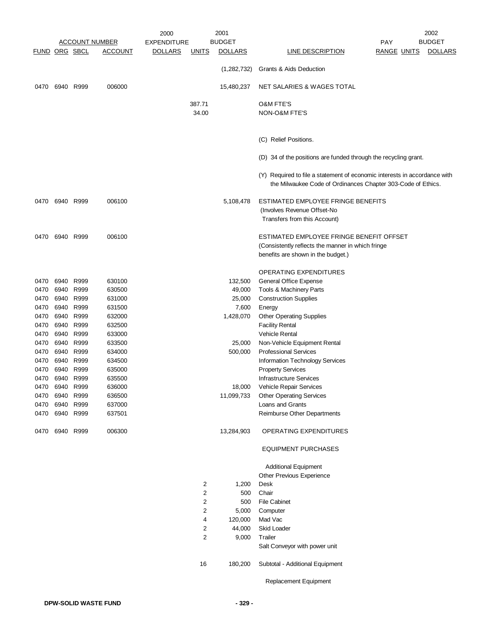|                      |              |              |                       | 2001<br>2000       |                 |                   | 2002                                                                      |                    |                |  |
|----------------------|--------------|--------------|-----------------------|--------------------|-----------------|-------------------|---------------------------------------------------------------------------|--------------------|----------------|--|
|                      |              |              | <b>ACCOUNT NUMBER</b> | <b>EXPENDITURE</b> |                 | <b>BUDGET</b>     |                                                                           | PAY                | <b>BUDGET</b>  |  |
| <b>FUND ORG SBCL</b> |              |              | <u>ACCOUNT</u>        | <u>DOLLARS</u>     | <u>UNITS</u>    | <u>DOLLARS</u>    | <b>LINE DESCRIPTION</b>                                                   | <u>RANGE UNITS</u> | <b>DOLLARS</b> |  |
|                      |              |              |                       |                    |                 | (1,282,732)       | Grants & Aids Deduction                                                   |                    |                |  |
| 0470                 | 6940 R999    |              | 006000                |                    |                 | 15,480,237        | NET SALARIES & WAGES TOTAL                                                |                    |                |  |
|                      |              |              |                       |                    |                 |                   | O&M FTE'S                                                                 |                    |                |  |
|                      |              |              |                       |                    | 387.71<br>34.00 |                   | NON-O&M FTE'S                                                             |                    |                |  |
|                      |              |              |                       |                    |                 |                   |                                                                           |                    |                |  |
|                      |              |              |                       |                    |                 |                   | (C) Relief Positions.                                                     |                    |                |  |
|                      |              |              |                       |                    |                 |                   | (D) 34 of the positions are funded through the recycling grant.           |                    |                |  |
|                      |              |              |                       |                    |                 |                   | (Y) Required to file a statement of economic interests in accordance with |                    |                |  |
|                      |              |              |                       |                    |                 |                   | the Milwaukee Code of Ordinances Chapter 303-Code of Ethics.              |                    |                |  |
| 0470                 | 6940 R999    |              | 006100                |                    |                 | 5,108,478         | ESTIMATED EMPLOYEE FRINGE BENEFITS                                        |                    |                |  |
|                      |              |              |                       |                    |                 |                   | (Involves Revenue Offset-No                                               |                    |                |  |
|                      |              |              |                       |                    |                 |                   | Transfers from this Account)                                              |                    |                |  |
| 0470                 | 6940 R999    |              | 006100                |                    |                 |                   | ESTIMATED EMPLOYEE FRINGE BENEFIT OFFSET                                  |                    |                |  |
|                      |              |              |                       |                    |                 |                   | (Consistently reflects the manner in which fringe                         |                    |                |  |
|                      |              |              |                       |                    |                 |                   | benefits are shown in the budget.)                                        |                    |                |  |
|                      |              |              |                       |                    |                 |                   | <b>OPERATING EXPENDITURES</b>                                             |                    |                |  |
| 0470                 | 6940 R999    |              | 630100                |                    |                 | 132,500           | General Office Expense                                                    |                    |                |  |
| 0470                 | 6940 R999    |              | 630500                |                    |                 | 49,000            | Tools & Machinery Parts                                                   |                    |                |  |
| 0470                 | 6940         | R999         | 631000                |                    |                 | 25,000            | <b>Construction Supplies</b>                                              |                    |                |  |
| 0470                 | 6940         | R999         | 631500                |                    |                 | 7,600             | Energy                                                                    |                    |                |  |
| 0470                 | 6940         | R999         | 632000                |                    |                 | 1,428,070         | <b>Other Operating Supplies</b>                                           |                    |                |  |
| 0470                 | 6940         | R999         | 632500                |                    |                 |                   | <b>Facility Rental</b>                                                    |                    |                |  |
| 0470                 | 6940         | R999         | 633000                |                    |                 |                   | Vehicle Rental<br>Non-Vehicle Equipment Rental                            |                    |                |  |
| 0470<br>0470         | 6940<br>6940 | R999<br>R999 | 633500<br>634000      |                    |                 | 25,000<br>500,000 | <b>Professional Services</b>                                              |                    |                |  |
| 0470                 | 6940         | R999         | 634500                |                    |                 |                   | <b>Information Technology Services</b>                                    |                    |                |  |
| 0470                 | 6940         | R999         | 635000                |                    |                 |                   | <b>Property Services</b>                                                  |                    |                |  |
| 0470                 | 6940         | R999         | 635500                |                    |                 |                   | <b>Infrastructure Services</b>                                            |                    |                |  |
| 0470                 | 6940         | R999         | 636000                |                    |                 | 18,000            | Vehicle Repair Services                                                   |                    |                |  |
| 0470                 | 6940 R999    |              | 636500                |                    |                 | 11,099,733        | <b>Other Operating Services</b>                                           |                    |                |  |
| 0470                 | 6940         | R999         | 637000                |                    |                 |                   | Loans and Grants                                                          |                    |                |  |
| 0470                 | 6940         | R999         | 637501                |                    |                 |                   | Reimburse Other Departments                                               |                    |                |  |
| 0470                 | 6940 R999    |              | 006300                |                    |                 | 13,284,903        | OPERATING EXPENDITURES                                                    |                    |                |  |
|                      |              |              |                       |                    |                 |                   | <b>EQUIPMENT PURCHASES</b>                                                |                    |                |  |
|                      |              |              |                       |                    |                 |                   | <b>Additional Equipment</b>                                               |                    |                |  |
|                      |              |              |                       |                    |                 |                   | Other Previous Experience                                                 |                    |                |  |
|                      |              |              |                       |                    | 2<br>2          | 1,200             | Desk<br>Chair                                                             |                    |                |  |
|                      |              |              |                       |                    | $\overline{c}$  | 500<br>500        | <b>File Cabinet</b>                                                       |                    |                |  |
|                      |              |              |                       |                    | 2               | 5,000             | Computer                                                                  |                    |                |  |
|                      |              |              |                       |                    | 4               | 120,000           | Mad Vac                                                                   |                    |                |  |
|                      |              |              |                       |                    | 2               | 44,000            | Skid Loader                                                               |                    |                |  |
|                      |              |              |                       |                    | 2               | 9,000             | Trailer                                                                   |                    |                |  |
|                      |              |              |                       |                    |                 |                   | Salt Conveyor with power unit                                             |                    |                |  |
|                      |              |              |                       |                    | 16              | 180,200           | Subtotal - Additional Equipment                                           |                    |                |  |
|                      |              |              |                       |                    |                 |                   | Replacement Equipment                                                     |                    |                |  |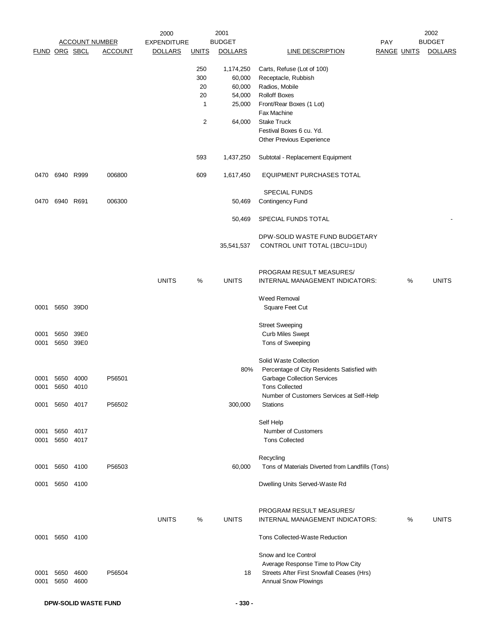|               |                |           |                       | 2000               |              | 2001           |                                                  |                    |   | 2002           |
|---------------|----------------|-----------|-----------------------|--------------------|--------------|----------------|--------------------------------------------------|--------------------|---|----------------|
|               |                |           | <b>ACCOUNT NUMBER</b> | <b>EXPENDITURE</b> |              | <b>BUDGET</b>  |                                                  | PAY                |   | <b>BUDGET</b>  |
| FUND ORG SBCL |                |           | <b>ACCOUNT</b>        | <b>DOLLARS</b>     | <b>UNITS</b> | <b>DOLLARS</b> | <b>LINE DESCRIPTION</b>                          | <b>RANGE UNITS</b> |   | <b>DOLLARS</b> |
|               |                |           |                       |                    | 250          | 1,174,250      | Carts, Refuse (Lot of 100)                       |                    |   |                |
|               |                |           |                       |                    | 300          | 60,000         | Receptacle, Rubbish                              |                    |   |                |
|               |                |           |                       |                    | 20           | 60,000         | Radios, Mobile                                   |                    |   |                |
|               |                |           |                       |                    | 20           | 54,000         | <b>Rolloff Boxes</b>                             |                    |   |                |
|               |                |           |                       |                    | 1            | 25,000         | Front/Rear Boxes (1 Lot)                         |                    |   |                |
|               |                |           |                       |                    |              |                | Fax Machine                                      |                    |   |                |
|               |                |           |                       |                    | 2            | 64,000         | <b>Stake Truck</b>                               |                    |   |                |
|               |                |           |                       |                    |              |                | Festival Boxes 6 cu. Yd.                         |                    |   |                |
|               |                |           |                       |                    |              |                | Other Previous Experience                        |                    |   |                |
|               |                |           |                       |                    |              |                |                                                  |                    |   |                |
|               |                |           |                       |                    | 593          | 1,437,250      | Subtotal - Replacement Equipment                 |                    |   |                |
|               | 0470 6940 R999 |           | 006800                |                    | 609          | 1,617,450      | <b>EQUIPMENT PURCHASES TOTAL</b>                 |                    |   |                |
|               |                |           |                       |                    |              |                |                                                  |                    |   |                |
|               |                |           |                       |                    |              |                | <b>SPECIAL FUNDS</b>                             |                    |   |                |
|               | 0470 6940 R691 |           | 006300                |                    |              | 50,469         | Contingency Fund                                 |                    |   |                |
|               |                |           |                       |                    |              | 50,469         | SPECIAL FUNDS TOTAL                              |                    |   |                |
|               |                |           |                       |                    |              |                |                                                  |                    |   |                |
|               |                |           |                       |                    |              |                | DPW-SOLID WASTE FUND BUDGETARY                   |                    |   |                |
|               |                |           |                       |                    |              | 35,541,537     | CONTROL UNIT TOTAL (1BCU=1DU)                    |                    |   |                |
|               |                |           |                       |                    |              |                |                                                  |                    |   |                |
|               |                |           |                       |                    |              |                | PROGRAM RESULT MEASURES/                         |                    |   |                |
|               |                |           |                       | <b>UNITS</b>       | $\%$         | <b>UNITS</b>   | INTERNAL MANAGEMENT INDICATORS:                  |                    | % | <b>UNITS</b>   |
|               |                |           |                       |                    |              |                |                                                  |                    |   |                |
|               |                |           |                       |                    |              |                | Weed Removal                                     |                    |   |                |
| 0001          |                | 5650 39D0 |                       |                    |              |                | Square Feet Cut                                  |                    |   |                |
|               |                |           |                       |                    |              |                | <b>Street Sweeping</b>                           |                    |   |                |
| 0001          | 5650           | 39E0      |                       |                    |              |                | <b>Curb Miles Swept</b>                          |                    |   |                |
| 0001          | 5650           | 39E0      |                       |                    |              |                | Tons of Sweeping                                 |                    |   |                |
|               |                |           |                       |                    |              |                |                                                  |                    |   |                |
|               |                |           |                       |                    |              |                | Solid Waste Collection                           |                    |   |                |
|               |                |           |                       |                    |              | 80%            | Percentage of City Residents Satisfied with      |                    |   |                |
|               | 0001 5650 4000 |           | P56501                |                    |              |                | <b>Garbage Collection Services</b>               |                    |   |                |
| 0001          | 5650 4010      |           |                       |                    |              |                | <b>Tons Collected</b>                            |                    |   |                |
|               |                |           |                       |                    |              |                | Number of Customers Services at Self-Help        |                    |   |                |
|               | 0001 5650 4017 |           | P56502                |                    |              | 300,000        | Stations                                         |                    |   |                |
|               |                |           |                       |                    |              |                |                                                  |                    |   |                |
|               |                |           |                       |                    |              |                | Self Help                                        |                    |   |                |
| 0001          | 5650 4017      |           |                       |                    |              |                | Number of Customers                              |                    |   |                |
| 0001          |                | 5650 4017 |                       |                    |              |                | <b>Tons Collected</b>                            |                    |   |                |
|               |                |           |                       |                    |              |                | Recycling                                        |                    |   |                |
|               | 0001 5650 4100 |           | P56503                |                    |              | 60,000         | Tons of Materials Diverted from Landfills (Tons) |                    |   |                |
|               |                |           |                       |                    |              |                |                                                  |                    |   |                |
|               | 0001 5650 4100 |           |                       |                    |              |                | Dwelling Units Served-Waste Rd                   |                    |   |                |
|               |                |           |                       |                    |              |                |                                                  |                    |   |                |
|               |                |           |                       |                    |              |                | PROGRAM RESULT MEASURES/                         |                    |   |                |
|               |                |           |                       | <b>UNITS</b>       | %            | <b>UNITS</b>   | INTERNAL MANAGEMENT INDICATORS:                  |                    | % | <b>UNITS</b>   |
|               |                |           |                       |                    |              |                |                                                  |                    |   |                |
| 0001          |                | 5650 4100 |                       |                    |              |                | Tons Collected-Waste Reduction                   |                    |   |                |
|               |                |           |                       |                    |              |                | Snow and Ice Control                             |                    |   |                |
|               |                |           |                       |                    |              |                | Average Response Time to Plow City               |                    |   |                |
| 0001          | 5650           | 4600      | P56504                |                    |              | 18             | Streets After First Snowfall Ceases (Hrs)        |                    |   |                |
| 0001          | 5650           | 4600      |                       |                    |              |                | Annual Snow Plowings                             |                    |   |                |
|               |                |           |                       |                    |              |                |                                                  |                    |   |                |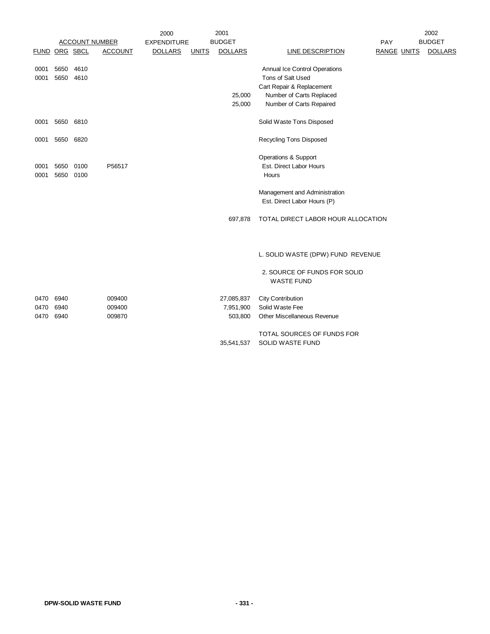|               |           |                       |                | 2000               |              | 2001           |                                    |                    | 2002           |
|---------------|-----------|-----------------------|----------------|--------------------|--------------|----------------|------------------------------------|--------------------|----------------|
|               |           | <b>ACCOUNT NUMBER</b> |                | <b>EXPENDITURE</b> |              | <b>BUDGET</b>  |                                    | PAY                | <b>BUDGET</b>  |
| FUND ORG SBCL |           |                       | <b>ACCOUNT</b> | <b>DOLLARS</b>     | <b>UNITS</b> | <b>DOLLARS</b> | <b>LINE DESCRIPTION</b>            | <b>RANGE UNITS</b> | <b>DOLLARS</b> |
| 0001          | 5650      | 4610                  |                |                    |              |                | Annual Ice Control Operations      |                    |                |
| 0001          |           | 5650 4610             |                |                    |              |                | Tons of Salt Used                  |                    |                |
|               |           |                       |                |                    |              |                |                                    |                    |                |
|               |           |                       |                |                    |              |                | Cart Repair & Replacement          |                    |                |
|               |           |                       |                |                    |              | 25,000         | Number of Carts Replaced           |                    |                |
|               |           |                       |                |                    |              | 25,000         | Number of Carts Repaired           |                    |                |
| 0001          | 5650 6810 |                       |                |                    |              |                | Solid Waste Tons Disposed          |                    |                |
| 0001          | 5650 6820 |                       |                |                    |              |                | <b>Recycling Tons Disposed</b>     |                    |                |
|               |           |                       |                |                    |              |                | Operations & Support               |                    |                |
| 0001          |           | 5650 0100             | P56517         |                    |              |                | Est. Direct Labor Hours            |                    |                |
| 0001          | 5650      | 0100                  |                |                    |              |                | Hours                              |                    |                |
|               |           |                       |                |                    |              |                | Management and Administration      |                    |                |
|               |           |                       |                |                    |              |                | Est. Direct Labor Hours (P)        |                    |                |
|               |           |                       |                |                    |              | 697,878        | TOTAL DIRECT LABOR HOUR ALLOCATION |                    |                |
|               |           |                       |                |                    |              |                |                                    |                    |                |
|               |           |                       |                |                    |              |                | L. SOLID WASTE (DPW) FUND REVENUE  |                    |                |
|               |           |                       |                |                    |              |                | 2. SOURCE OF FUNDS FOR SOLID       |                    |                |
|               |           |                       |                |                    |              |                | <b>WASTE FUND</b>                  |                    |                |
| 0470          | 6940      |                       | 009400         |                    |              | 27,085,837     | <b>City Contribution</b>           |                    |                |
| 0470          | 6940      |                       | 009400         |                    |              | 7,951,900      | Solid Waste Fee                    |                    |                |
| 0470          | 6940      |                       | 009870         |                    |              | 503,800        | Other Miscellaneous Revenue        |                    |                |
|               |           |                       |                |                    |              |                | TOTAL SOURCES OF FUNDS FOR         |                    |                |
|               |           |                       |                |                    |              | 35,541,537     | SOLID WASTE FUND                   |                    |                |
|               |           |                       |                |                    |              |                |                                    |                    |                |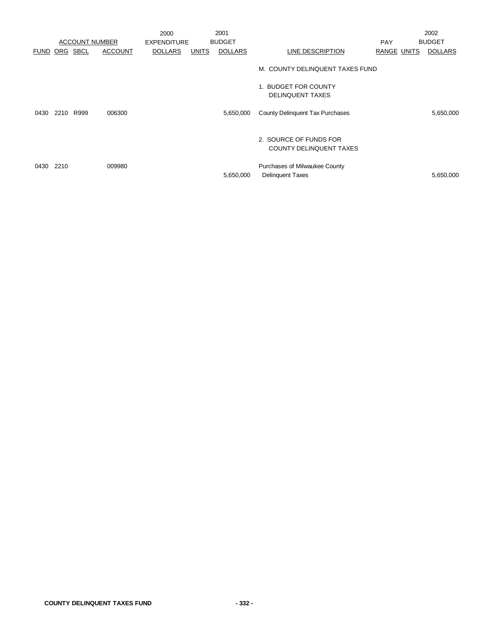|                      |      |                       |                | 2000               |              | 2001           |                                                          |                    | 2002           |
|----------------------|------|-----------------------|----------------|--------------------|--------------|----------------|----------------------------------------------------------|--------------------|----------------|
|                      |      | <b>ACCOUNT NUMBER</b> |                | <b>EXPENDITURE</b> |              | <b>BUDGET</b>  |                                                          | <b>PAY</b>         | <b>BUDGET</b>  |
| <b>FUND ORG SBCL</b> |      |                       | <b>ACCOUNT</b> | <b>DOLLARS</b>     | <b>UNITS</b> | <b>DOLLARS</b> | LINE DESCRIPTION                                         | <b>RANGE UNITS</b> | <b>DOLLARS</b> |
|                      |      |                       |                |                    |              |                | M. COUNTY DELINQUENT TAXES FUND                          |                    |                |
|                      |      |                       |                |                    |              |                | 1. BUDGET FOR COUNTY<br><b>DELINQUENT TAXES</b>          |                    |                |
| 0430                 |      | 2210 R999             | 006300         |                    |              | 5,650,000      | County Delinquent Tax Purchases                          |                    | 5,650,000      |
|                      |      |                       |                |                    |              |                | 2. SOURCE OF FUNDS FOR<br><b>COUNTY DELINQUENT TAXES</b> |                    |                |
| 0430                 | 2210 |                       | 009980         |                    |              | 5,650,000      | Purchases of Milwaukee County<br><b>Delinquent Taxes</b> |                    | 5,650,000      |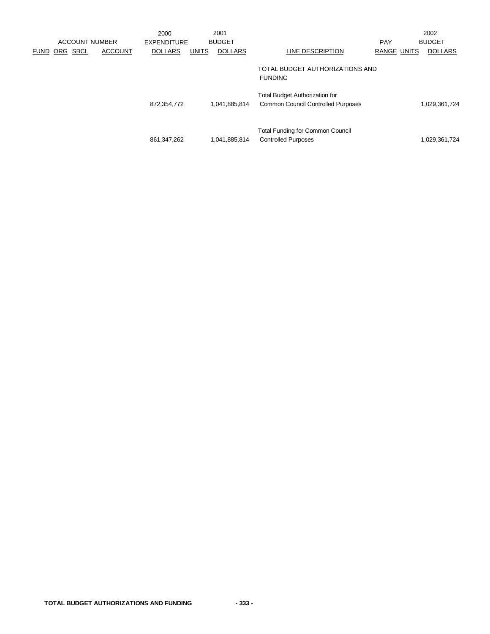|             |            | <b>ACCOUNT NUMBER</b> |                | 2000<br>EXPENDITURE |              | 2001<br><b>BUDGET</b> |                                                                                    | <b>PAY</b>         | 2002<br><b>BUDGET</b> |
|-------------|------------|-----------------------|----------------|---------------------|--------------|-----------------------|------------------------------------------------------------------------------------|--------------------|-----------------------|
| <b>FUND</b> | <b>ORG</b> | <b>SBCL</b>           | <b>ACCOUNT</b> | <b>DOLLARS</b>      | <b>UNITS</b> | <b>DOLLARS</b>        | LINE DESCRIPTION                                                                   | <b>RANGE UNITS</b> | <b>DOLLARS</b>        |
|             |            |                       |                |                     |              |                       | TOTAL BUDGET AUTHORIZATIONS AND<br><b>FUNDING</b>                                  |                    |                       |
|             |            |                       |                | 872,354,772         |              | 1,041,885,814         | <b>Total Budget Authorization for</b><br><b>Common Council Controlled Purposes</b> |                    | 1,029,361,724         |
|             |            |                       |                | 861,347,262         |              | 1,041,885,814         | <b>Total Funding for Common Council</b><br><b>Controlled Purposes</b>              |                    | 1,029,361,724         |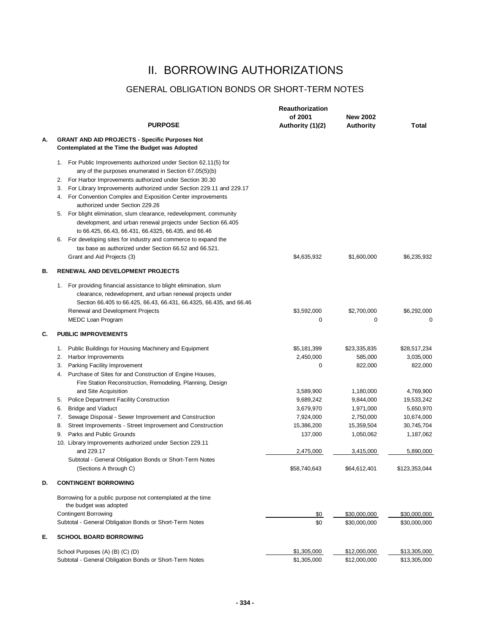### II. BORROWING AUTHORIZATIONS

### GENERAL OBLIGATION BONDS OR SHORT-TERM NOTES

|    |                                                                                                          | <b>Reauthorization</b> |                 |               |  |
|----|----------------------------------------------------------------------------------------------------------|------------------------|-----------------|---------------|--|
|    |                                                                                                          | of 2001                | <b>New 2002</b> |               |  |
|    | <b>PURPOSE</b>                                                                                           | Authority (1)(2)       | Authority       | Total         |  |
| А. | <b>GRANT AND AID PROJECTS - Specific Purposes Not</b><br>Contemplated at the Time the Budget was Adopted |                        |                 |               |  |
|    | 1. For Public Improvements authorized under Section 62.11(5) for                                         |                        |                 |               |  |
|    | any of the purposes enumerated in Section 67.05(5)(b)                                                    |                        |                 |               |  |
|    | 2.<br>For Harbor Improvements authorized under Section 30.30                                             |                        |                 |               |  |
|    | For Library Improvements authorized under Section 229.11 and 229.17<br>3.                                |                        |                 |               |  |
|    | For Convention Complex and Exposition Center improvements<br>4.                                          |                        |                 |               |  |
|    | authorized under Section 229.26                                                                          |                        |                 |               |  |
|    | For blight elimination, slum clearance, redevelopment, community<br>5.                                   |                        |                 |               |  |
|    | development, and urban renewal projects under Section 66.405                                             |                        |                 |               |  |
|    | to 66.425, 66.43, 66.431, 66.4325, 66.435, and 66.46                                                     |                        |                 |               |  |
|    | 6.<br>For developing sites for industry and commerce to expand the                                       |                        |                 |               |  |
|    | tax base as authorized under Section 66.52 and 66.521.                                                   |                        |                 |               |  |
|    | Grant and Aid Projects (3)                                                                               | \$4,635,932            | \$1,600,000     | \$6,235,932   |  |
| В. | RENEWAL AND DEVELOPMENT PROJECTS                                                                         |                        |                 |               |  |
|    |                                                                                                          |                        |                 |               |  |
|    | 1. For providing financial assistance to blight elimination, slum                                        |                        |                 |               |  |
|    | clearance, redevelopment, and urban renewal projects under                                               |                        |                 |               |  |
|    | Section 66.405 to 66.425, 66.43, 66.431, 66.4325, 66.435, and 66.46                                      |                        |                 |               |  |
|    | Renewal and Development Projects                                                                         | \$3,592,000            | \$2,700,000     | \$6,292,000   |  |
|    | MEDC Loan Program                                                                                        | 0                      | 0               | $\mathbf 0$   |  |
| С. | <b>PUBLIC IMPROVEMENTS</b>                                                                               |                        |                 |               |  |
|    | Public Buildings for Housing Machinery and Equipment<br>1.                                               | \$5,181,399            | \$23,335,835    | \$28,517,234  |  |
|    | 2.<br>Harbor Improvements                                                                                | 2,450,000              | 585,000         | 3,035,000     |  |
|    | Parking Facility Improvement<br>3.                                                                       | 0                      | 822,000         | 822,000       |  |
|    | Purchase of Sites for and Construction of Engine Houses,<br>4.                                           |                        |                 |               |  |
|    | Fire Station Reconstruction, Remodeling, Planning, Design                                                |                        |                 |               |  |
|    | and Site Acquisition                                                                                     | 3,589,900              | 1,180,000       | 4,769,900     |  |
|    | <b>Police Department Facility Construction</b><br>5.                                                     | 9,689,242              | 9,844,000       | 19,533,242    |  |
|    | <b>Bridge and Viaduct</b><br>6.                                                                          | 3,679,970              | 1,971,000       | 5,650,970     |  |
|    | 7.<br>Sewage Disposal - Sewer Improvement and Construction                                               | 7,924,000              | 2,750,000       | 10,674,000    |  |
|    | Street Improvements - Street Improvement and Construction<br>8.                                          | 15,386,200             | 15,359,504      | 30,745,704    |  |
|    | Parks and Public Grounds<br>9.                                                                           | 137,000                | 1,050,062       | 1,187,062     |  |
|    | 10. Library Improvements authorized under Section 229.11<br>and 229.17                                   | 2,475,000              | 3,415,000       | 5,890,000     |  |
|    | Subtotal - General Obligation Bonds or Short-Term Notes                                                  |                        |                 |               |  |
|    | (Sections A through C)                                                                                   | \$58,740,643           | \$64,612,401    | \$123,353,044 |  |
| D. | <b>CONTINGENT BORROWING</b>                                                                              |                        |                 |               |  |
|    | Borrowing for a public purpose not contemplated at the time<br>the budget was adopted                    |                        |                 |               |  |
|    | <b>Contingent Borrowing</b>                                                                              | \$0                    | \$30,000,000    | \$30,000,000  |  |
|    | Subtotal - General Obligation Bonds or Short-Term Notes                                                  | \$0                    | \$30,000,000    | \$30,000,000  |  |
| Е. | <b>SCHOOL BOARD BORROWING</b>                                                                            |                        |                 |               |  |
|    | School Purposes (A) (B) (C) (D)                                                                          | \$1,305,000            | \$12,000,000    | \$13,305,000  |  |
|    | Subtotal - General Obligation Bonds or Short-Term Notes                                                  | \$1,305,000            | \$12,000,000    | \$13,305,000  |  |
|    |                                                                                                          |                        |                 |               |  |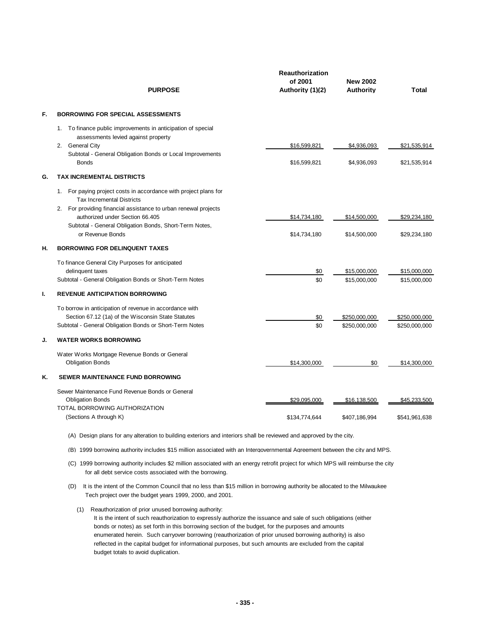|    | <b>PURPOSE</b>                                                                                                                                                                                                 | <b>Reauthorization</b><br>of 2001<br>Authority (1)(2) | <b>New 2002</b><br><b>Authority</b>  | <b>Total</b>                         |
|----|----------------------------------------------------------------------------------------------------------------------------------------------------------------------------------------------------------------|-------------------------------------------------------|--------------------------------------|--------------------------------------|
| F. | <b>BORROWING FOR SPECIAL ASSESSMENTS</b>                                                                                                                                                                       |                                                       |                                      |                                      |
|    | 1. To finance public improvements in anticipation of special<br>assessments levied against property<br>2. General City<br>Subtotal - General Obligation Bonds or Local Improvements                            | \$16,599,821                                          | \$4,936,093                          | \$21,535,914                         |
|    | <b>Bonds</b>                                                                                                                                                                                                   | \$16,599,821                                          | \$4,936,093                          | \$21,535,914                         |
| G. | <b>TAX INCREMENTAL DISTRICTS</b><br>For paying project costs in accordance with project plans for<br>1.<br><b>Tax Incremental Districts</b><br>2. For providing financial assistance to urban renewal projects |                                                       |                                      |                                      |
|    | authorized under Section 66.405<br>Subtotal - General Obligation Bonds, Short-Term Notes,<br>or Revenue Bonds                                                                                                  | \$14,734,180<br>\$14,734,180                          | \$14,500,000<br>\$14,500,000         | \$29,234,180<br>\$29,234,180         |
| н. | <b>BORROWING FOR DELINQUENT TAXES</b>                                                                                                                                                                          |                                                       |                                      |                                      |
|    | To finance General City Purposes for anticipated<br>delinquent taxes<br>Subtotal - General Obligation Bonds or Short-Term Notes                                                                                | \$0<br>\$0                                            | \$15,000,000<br>\$15,000,000         | \$15,000,000<br>\$15,000,000         |
| ı. | <b>REVENUE ANTICIPATION BORROWING</b>                                                                                                                                                                          |                                                       |                                      |                                      |
|    | To borrow in anticipation of revenue in accordance with<br>Section 67.12 (1a) of the Wisconsin State Statutes<br>Subtotal - General Obligation Bonds or Short-Term Notes                                       | \$0<br>\$0                                            | \$250,000,000<br>\$250,000,000       | \$250,000,000<br>\$250,000,000       |
| J. | <b>WATER WORKS BORROWING</b>                                                                                                                                                                                   |                                                       |                                      |                                      |
|    | Water Works Mortgage Revenue Bonds or General<br><b>Obligation Bonds</b>                                                                                                                                       | \$14,300,000                                          | \$0                                  | \$14,300,000                         |
| Κ. | <b>SEWER MAINTENANCE FUND BORROWING</b>                                                                                                                                                                        |                                                       |                                      |                                      |
|    | Sewer Maintenance Fund Revenue Bonds or General<br><b>Obligation Bonds</b><br>TOTAL BORROWING AUTHORIZATION<br>(Sections A through K)                                                                          | \$29,095,000<br>\$134,774,644                         | <u>\$16,138,500</u><br>\$407,186,994 | <u>\$45,233,500</u><br>\$541,961,638 |
|    |                                                                                                                                                                                                                |                                                       |                                      |                                      |

(A) Design plans for any alteration to building exteriors and interiors shall be reviewed and approved by the city.

(B) 1999 borrowing authority includes \$15 million associated with an Intergovernmental Agreement between the city and MPS.

(C) 1999 borrowing authority includes \$2 million associated with an energy retrofit project for which MPS will reimburse the city for all debt service costs associated with the borrowing.

- (D) It is the intent of the Common Council that no less than \$15 million in borrowing authority be allocated to the Milwaukee Tech project over the budget years 1999, 2000, and 2001.
	- (1) Reauthorization of prior unused borrowing authority:

It is the intent of such reauthorization to expressly authorize the issuance and sale of such obligations (either bonds or notes) as set forth in this borrowing section of the budget, for the purposes and amounts enumerated herein. Such carryover borrowing (reauthorization of prior unused borrowing authority) is also reflected in the capital budget for informational purposes, but such amounts are excluded from the capital budget totals to avoid duplication.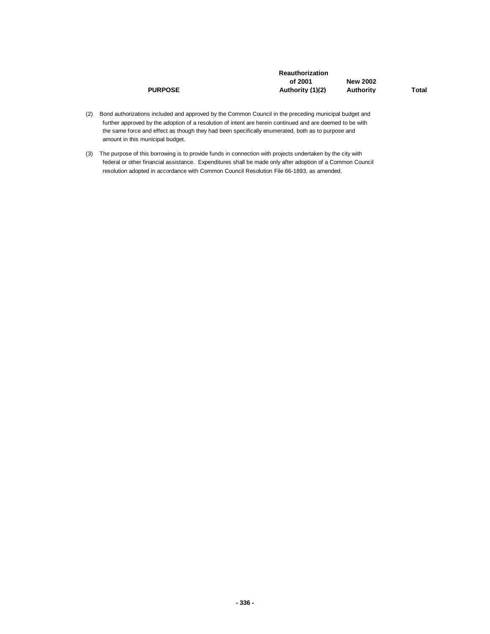|                | <b>Reauthorization</b> |                 |       |
|----------------|------------------------|-----------------|-------|
|                | of 2001                | <b>New 2002</b> |       |
| <b>PURPOSE</b> | Authority (1)(2)       | Authority       | Total |

- (2) Bond authorizations included and approved by the Common Council in the preceding municipal budget and further approved by the adoption of a resolution of intent are herein continued and are deemed to be with the same force and effect as though they had been specifically enumerated, both as to purpose and amount in this municipal budget.
- (3) The purpose of this borrowing is to provide funds in connection with projects undertaken by the city with federal or other financial assistance. Expenditures shall be made only after adoption of a Common Council resolution adopted in accordance with Common Council Resolution File 66-1893, as amended.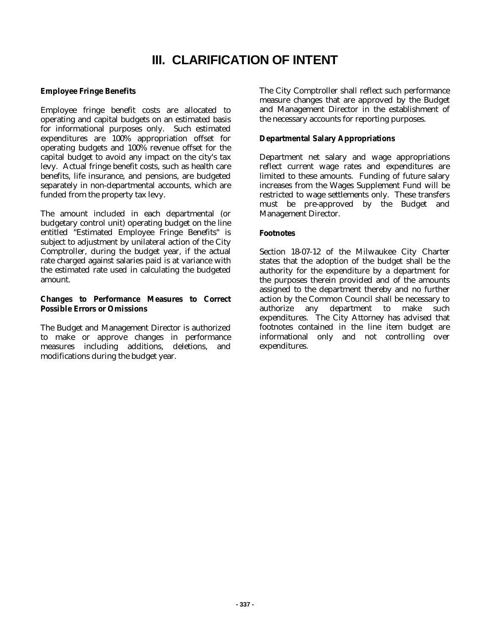# **III. CLARIFICATION OF INTENT**

### **Employee Fringe Benefits**

Employee fringe benefit costs are allocated to operating and capital budgets on an estimated basis for informational purposes only. Such estimated expenditures are 100% appropriation offset for operating budgets and 100% revenue offset for the capital budget to avoid any impact on the city's tax levy. Actual fringe benefit costs, such as health care benefits, life insurance, and pensions, are budgeted separately in non-departmental accounts, which are funded from the property tax levy.

The amount included in each departmental (or budgetary control unit) operating budget on the line entitled "Estimated Employee Fringe Benefits" is subject to adjustment by unilateral action of the City Comptroller, during the budget year, if the actual rate charged against salaries paid is at variance with the estimated rate used in calculating the budgeted amount.

#### **Changes to Performance Measures to Correct Possible Errors or Omissions**

The Budget and Management Director is authorized to make or approve changes in performance measures including additions, deletions, and modifications during the budget year.

The City Comptroller shall reflect such performance measure changes that are approved by the Budget and Management Director in the establishment of the necessary accounts for reporting purposes.

#### **Departmental Salary Appropriations**

Department net salary and wage appropriations reflect current wage rates and expenditures are limited to these amounts. Funding of future salary increases from the Wages Supplement Fund will be restricted to wage settlements only. These transfers must be pre-approved by the Budget and Management Director.

#### **Footnotes**

Section 18-07-12 of the Milwaukee City Charter states that the adoption of the budget shall be the authority for the expenditure by a department for the purposes therein provided and of the amounts assigned to the department thereby and no further action by the Common Council shall be necessary to authorize any department to make such expenditures. The City Attorney has advised that footnotes contained in the line item budget are informational only and not controlling over expenditures.